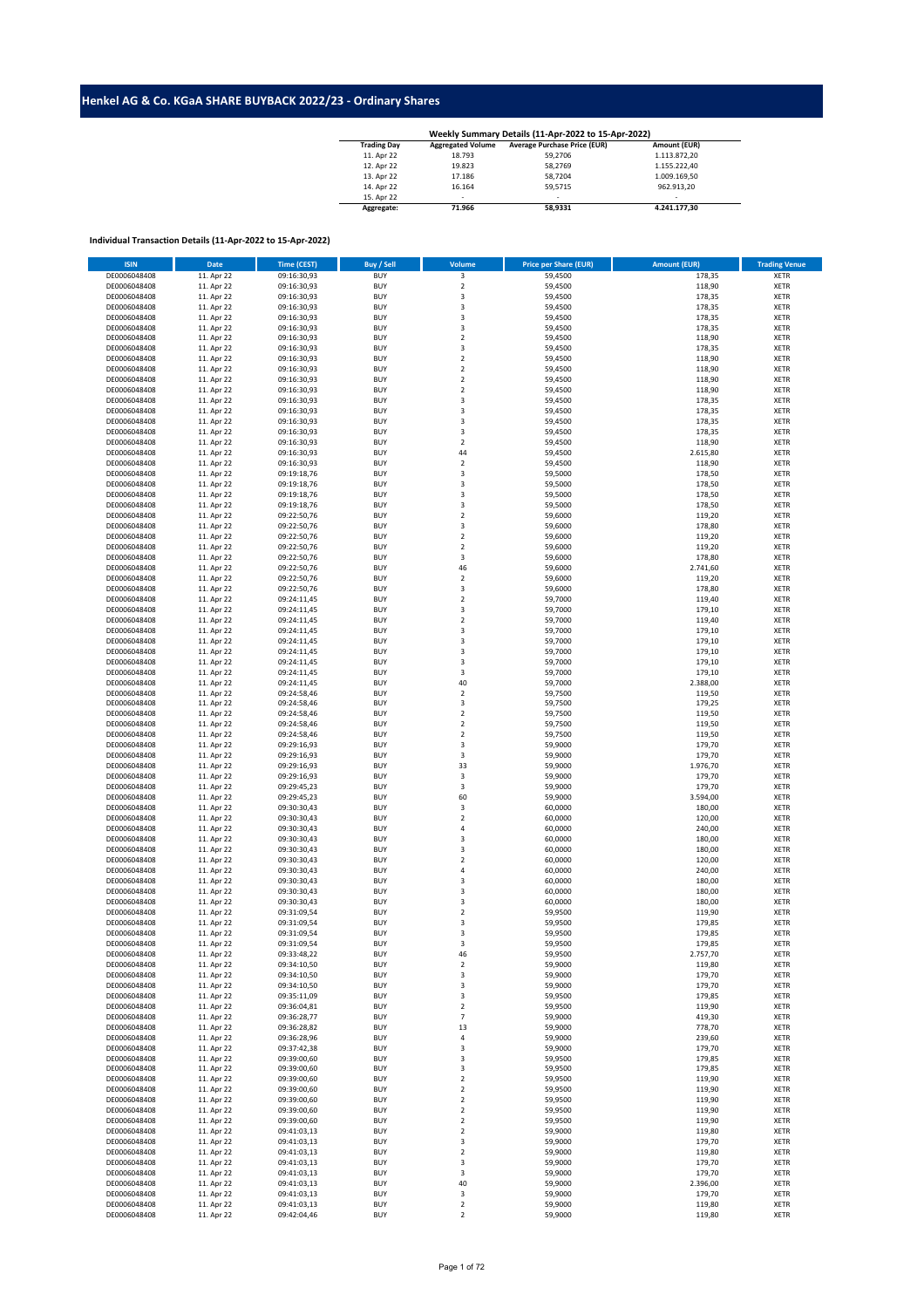## **Henkel AG & Co. KGaA SHARE BUYBACK 2022/23 - Ordinary Shares**

| <b>Trading Day</b> | <b>Aggregated Volume</b> | <b>Average Purchase Price (EUR)</b> | Amount (EUR) |
|--------------------|--------------------------|-------------------------------------|--------------|
| 11. Apr 22         | 18.793                   | 59.2706                             | 1.113.872.20 |
| 12. Apr 22         | 19.823                   | 58.2769                             | 1.155.222.40 |
| 13. Apr 22         | 17.186                   | 58.7204                             | 1.009.169.50 |
| 14. Apr 22         | 16.164                   | 59.5715                             | 962.913.20   |
| 15. Apr 22         | ۰                        | $\overline{\phantom{a}}$            | ۰.           |
| Aggregate:         | 71.966                   | 58.9331                             | 4.241.177.30 |

## **Individual Transaction Details (11-Apr-2022 to 15-Apr-2022)**

| <b>ISIN</b>  | <b>Date</b> | <b>Time (CEST)</b> | <b>Buy / Sell</b> | <b>Volume</b>           | <b>Price per Share (EUR)</b> | <b>Amount (EUR)</b> | <b>Trading Venue</b> |
|--------------|-------------|--------------------|-------------------|-------------------------|------------------------------|---------------------|----------------------|
| DE0006048408 | 11. Apr 22  | 09:16:30,93        | <b>BUY</b>        | 3                       | 59,4500                      | 178,35              | <b>XETR</b>          |
| DE0006048408 | 11. Apr 22  | 09:16:30,93        | <b>BUY</b>        | $\mathbf 2$             | 59,4500                      | 118,90              | XETR                 |
|              |             |                    |                   |                         |                              |                     |                      |
| DE0006048408 | 11. Apr 22  | 09:16:30,93        | <b>BUY</b>        | 3                       | 59,4500                      | 178,35              | <b>XETR</b>          |
| DE0006048408 | 11. Apr 22  | 09:16:30,93        | <b>BUY</b>        | $\mathsf 3$             | 59,4500                      | 178,35              | XETR                 |
| DE0006048408 | 11. Apr 22  | 09:16:30,93        | <b>BUY</b>        | 3                       | 59,4500                      | 178,35              | <b>XETR</b>          |
| DE0006048408 | 11. Apr 22  | 09:16:30,93        | <b>BUY</b>        | $\overline{\mathbf{3}}$ | 59,4500                      | 178,35              | XETR                 |
| DE0006048408 | 11. Apr 22  | 09:16:30,93        | <b>BUY</b>        | $\overline{2}$          | 59,4500                      | 118,90              | <b>XETR</b>          |
| DE0006048408 | 11. Apr 22  | 09:16:30,93        | <b>BUY</b>        | 3                       | 59,4500                      | 178,35              | <b>XETR</b>          |
| DE0006048408 | 11. Apr 22  | 09:16:30,93        | <b>BUY</b>        | $\overline{2}$          | 59,4500                      | 118,90              | <b>XETR</b>          |
| DE0006048408 | 11. Apr 22  | 09:16:30,93        | <b>BUY</b>        | $\overline{2}$          | 59,4500                      | 118,90              | <b>XETR</b>          |
| DE0006048408 | 11. Apr 22  | 09:16:30,93        | <b>BUY</b>        | $\mathbf 2$             | 59,4500                      | 118,90              | <b>XETR</b>          |
|              |             |                    |                   |                         |                              |                     |                      |
| DE0006048408 | 11. Apr 22  | 09:16:30,93        | <b>BUY</b>        | $\mathbf 2$             | 59,4500                      | 118,90              | <b>XETR</b>          |
| DE0006048408 | 11. Apr 22  | 09:16:30,93        | <b>BUY</b>        | $\mathsf 3$             | 59,4500                      | 178,35              | <b>XETR</b>          |
| DE0006048408 | 11. Apr 22  | 09:16:30,93        | <b>BUY</b>        | $\mathsf 3$             | 59,4500                      | 178,35              | <b>XETR</b>          |
| DE0006048408 | 11. Apr 22  | 09:16:30,93        | <b>BUY</b>        | $\mathsf 3$             | 59,4500                      | 178,35              | <b>XETR</b>          |
| DE0006048408 | 11. Apr 22  | 09:16:30,93        | <b>BUY</b>        | 3                       | 59,4500                      | 178,35              | <b>XETR</b>          |
| DE0006048408 | 11. Apr 22  | 09:16:30,93        | <b>BUY</b>        | $\boldsymbol{2}$        | 59,4500                      | 118,90              | <b>XETR</b>          |
| DE0006048408 | 11. Apr 22  | 09:16:30,93        | <b>BUY</b>        | 44                      | 59,4500                      | 2.615,80            | <b>XETR</b>          |
| DE0006048408 | 11. Apr 22  | 09:16:30,93        | <b>BUY</b>        | $\mathbf 2$             | 59,4500                      | 118,90              | <b>XETR</b>          |
| DE0006048408 | 11. Apr 22  | 09:19:18,76        | <b>BUY</b>        | 3                       | 59,5000                      | 178,50              | <b>XETR</b>          |
| DE0006048408 | 11. Apr 22  | 09:19:18,76        | <b>BUY</b>        | 3                       | 59,5000                      | 178,50              | XETR                 |
| DE0006048408 | 11. Apr 22  | 09:19:18,76        | <b>BUY</b>        | 3                       | 59,5000                      | 178,50              | <b>XETR</b>          |
| DE0006048408 | 11. Apr 22  |                    | <b>BUY</b>        | $\overline{\mathbf{3}}$ | 59,5000                      | 178,50              |                      |
|              |             | 09:19:18,76        |                   |                         |                              |                     | <b>XETR</b>          |
| DE0006048408 | 11. Apr 22  | 09:22:50,76        | <b>BUY</b>        | $\overline{2}$          | 59,6000                      | 119,20              | <b>XETR</b>          |
| DE0006048408 | 11. Apr 22  | 09:22:50,76        | <b>BUY</b>        | 3                       | 59,6000                      | 178,80              | XETR                 |
| DE0006048408 | 11. Apr 22  | 09:22:50,76        | <b>BUY</b>        | $\overline{2}$          | 59,6000                      | 119,20              | <b>XETR</b>          |
| DE0006048408 | 11. Apr 22  | 09:22:50,76        | <b>BUY</b>        | $\mathbf 2$             | 59,6000                      | 119,20              | <b>XETR</b>          |
| DE0006048408 | 11. Apr 22  | 09:22:50,76        | <b>BUY</b>        | 3                       | 59,6000                      | 178,80              | <b>XETR</b>          |
| DE0006048408 | 11. Apr 22  | 09:22:50,76        | <b>BUY</b>        | 46                      | 59,6000                      | 2.741,60            | <b>XETR</b>          |
| DE0006048408 | 11. Apr 22  | 09:22:50,76        | <b>BUY</b>        | $\overline{2}$          | 59,6000                      | 119,20              | <b>XETR</b>          |
| DE0006048408 | 11. Apr 22  | 09:22:50,76        | <b>BUY</b>        | $\mathsf 3$             | 59,6000                      | 178,80              | <b>XETR</b>          |
| DE0006048408 | 11. Apr 22  | 09:24:11,45        | <b>BUY</b>        | $\overline{2}$          | 59,7000                      | 119,40              | <b>XETR</b>          |
| DE0006048408 | 11. Apr 22  | 09:24:11,45        | <b>BUY</b>        | 3                       | 59,7000                      | 179,10              | <b>XETR</b>          |
|              |             |                    |                   |                         |                              |                     |                      |
| DE0006048408 | 11. Apr 22  | 09:24:11,45        | <b>BUY</b>        | $\boldsymbol{2}$        | 59,7000                      | 119,40              | <b>XETR</b>          |
| DE0006048408 | 11. Apr 22  | 09:24:11,45        | <b>BUY</b>        | 3                       | 59,7000                      | 179,10              | <b>XETR</b>          |
| DE0006048408 | 11. Apr 22  | 09:24:11,45        | <b>BUY</b>        | 3                       | 59,7000                      | 179,10              | <b>XETR</b>          |
| DE0006048408 | 11. Apr 22  | 09:24:11,45        | <b>BUY</b>        | $\mathsf 3$             | 59,7000                      | 179,10              | <b>XETR</b>          |
| DE0006048408 | 11. Apr 22  | 09:24:11,45        | <b>BUY</b>        | $\mathsf 3$             | 59,7000                      | 179,10              | <b>XETR</b>          |
| DE0006048408 | 11. Apr 22  | 09:24:11,45        | <b>BUY</b>        | $\overline{\mathbf{3}}$ | 59,7000                      | 179,10              | <b>XETR</b>          |
| DE0006048408 | 11. Apr 22  | 09:24:11,45        | <b>BUY</b>        | 40                      | 59,7000                      | 2.388,00            | <b>XETR</b>          |
| DE0006048408 | 11. Apr 22  | 09:24:58,46        | <b>BUY</b>        | $\overline{2}$          | 59,7500                      | 119,50              | <b>XETR</b>          |
| DE0006048408 | 11. Apr 22  | 09:24:58,46        | <b>BUY</b>        | 3                       | 59,7500                      | 179,25              | <b>XETR</b>          |
| DE0006048408 |             |                    | <b>BUY</b>        | $\overline{2}$          | 59,7500                      | 119,50              | <b>XETR</b>          |
|              | 11. Apr 22  | 09:24:58,46        |                   |                         |                              |                     |                      |
| DE0006048408 | 11. Apr 22  | 09:24:58,46        | <b>BUY</b>        | $\mathbf 2$             | 59,7500                      | 119,50              | <b>XETR</b>          |
| DE0006048408 | 11. Apr 22  | 09:24:58,46        | <b>BUY</b>        | $\mathbf 2$             | 59,7500                      | 119,50              | <b>XETR</b>          |
| DE0006048408 | 11. Apr 22  | 09:29:16,93        | <b>BUY</b>        | $\mathsf 3$             | 59,9000                      | 179,70              | <b>XETR</b>          |
| DE0006048408 | 11. Apr 22  | 09:29:16,93        | <b>BUY</b>        | 3                       | 59,9000                      | 179,70              | <b>XETR</b>          |
| DE0006048408 | 11. Apr 22  | 09:29:16,93        | <b>BUY</b>        | 33                      | 59,9000                      | 1.976,70            | <b>XETR</b>          |
| DE0006048408 | 11. Apr 22  | 09:29:16,93        | <b>BUY</b>        | 3                       | 59,9000                      | 179,70              | <b>XETR</b>          |
| DE0006048408 | 11. Apr 22  | 09:29:45,23        | <b>BUY</b>        | 3                       | 59,9000                      | 179,70              | <b>XETR</b>          |
| DE0006048408 | 11. Apr 22  | 09:29:45,23        | <b>BUY</b>        | 60                      | 59,9000                      | 3.594,00            | <b>XETR</b>          |
| DE0006048408 | 11. Apr 22  | 09:30:30,43        | <b>BUY</b>        | 3                       | 60,0000                      | 180,00              | <b>XETR</b>          |
| DE0006048408 | 11. Apr 22  | 09:30:30,43        | <b>BUY</b>        | $\overline{2}$          | 60,0000                      | 120,00              | <b>XETR</b>          |
| DE0006048408 | 11. Apr 22  |                    | <b>BUY</b>        | 4                       |                              | 240,00              | XETR                 |
|              |             | 09:30:30,43        |                   |                         | 60,0000                      |                     |                      |
| DE0006048408 | 11. Apr 22  | 09:30:30,43        | <b>BUY</b>        | $\overline{3}$          | 60,0000                      | 180,00              | <b>XETR</b>          |
| DE0006048408 | 11. Apr 22  | 09:30:30,43        | <b>BUY</b>        | $\overline{\mathbf{3}}$ | 60,0000                      | 180,00              | <b>XETR</b>          |
| DE0006048408 | 11. Apr 22  | 09:30:30,43        | <b>BUY</b>        | $\overline{2}$          | 60,0000                      | 120,00              | <b>XETR</b>          |
| DE0006048408 | 11. Apr 22  | 09:30:30,43        | <b>BUY</b>        | $\sqrt{4}$              | 60,0000                      | 240,00              | XETR                 |
| DE0006048408 | 11. Apr 22  | 09:30:30,43        | <b>BUY</b>        | 3                       | 60,0000                      | 180,00              | <b>XETR</b>          |
| DE0006048408 | 11. Apr 22  | 09:30:30,43        | <b>BUY</b>        | 3                       | 60,0000                      | 180,00              | <b>XETR</b>          |
| DE0006048408 | 11. Apr 22  | 09:30:30,43        | <b>BUY</b>        | $\mathsf 3$             | 60,0000                      | 180,00              | <b>XETR</b>          |
| DE0006048408 | 11. Apr 22  | 09:31:09,54        | <b>BUY</b>        | $\mathbf 2$             | 59,9500                      | 119,90              | <b>XETR</b>          |
| DE0006048408 | 11. Apr 22  | 09:31:09,54        | <b>BUY</b>        | 3                       | 59,9500                      | 179,85              | <b>XETR</b>          |
| DE0006048408 | 11. Apr 22  | 09:31:09,54        | <b>BUY</b>        | 3                       | 59,9500                      | 179,85              | <b>XETR</b>          |
| DE0006048408 | 11. Apr 22  | 09:31:09,54        | <b>BUY</b>        | 3                       | 59,9500                      | 179,85              | <b>XETR</b>          |
| DE0006048408 | 11. Apr 22  | 09:33:48,22        | <b>BUY</b>        | 46                      | 59,9500                      | 2.757,70            | XETR                 |
|              |             |                    |                   |                         | 59,9000                      |                     |                      |
| DE0006048408 | 11. Apr 22  | 09:34:10,50        | <b>BUY</b>        | $\sqrt{2}$              |                              | 119,80              | <b>XETR</b>          |
| DE0006048408 | 11. Apr 22  | 09:34:10,50        | <b>BUY</b>        | 3                       | 59,9000                      | 179,70              | <b>XETR</b>          |
| DE0006048408 | 11. Apr 22  | 09:34:10,50        | <b>BUY</b>        | 3                       | 59,9000                      | 179,70              | <b>XETR</b>          |
| DE0006048408 | 11. Apr 22  | 09:35:11,09        | <b>BUY</b>        | 3                       | 59,9500                      | 179,85              | <b>XETR</b>          |
| DE0006048408 | 11. Apr 22  | 09:36:04,81        | <b>BUY</b>        | $\boldsymbol{2}$        | 59,9500                      | 119,90              | <b>XETR</b>          |
| DE0006048408 | 11. Apr 22  | 09:36:28,77        | <b>BUY</b>        | $\overline{7}$          | 59,9000                      | 419,30              | <b>XETR</b>          |
| DE0006048408 | 11. Apr 22  | 09:36:28,82        | <b>BUY</b>        | 13                      | 59,9000                      | 778,70              | <b>XETR</b>          |
| DE0006048408 | 11. Apr 22  | 09:36:28,96        | <b>BUY</b>        | $\sqrt{4}$              | 59,9000                      | 239,60              | <b>XETR</b>          |
| DE0006048408 | 11. Apr 22  | 09:37:42,38        | <b>BUY</b>        | 3                       | 59,9000                      | 179,70              | XETR                 |
| DE0006048408 | 11. Apr 22  | 09:39:00,60        | <b>BUY</b>        | 3                       | 59,9500                      | 179,85              | XETR                 |
| DE0006048408 | 11. Apr 22  | 09:39:00,60        | <b>BUY</b>        | 3                       | 59,9500                      | 179,85              | <b>XETR</b>          |
| DE0006048408 |             |                    | <b>BUY</b>        | $\boldsymbol{2}$        | 59,9500                      | 119,90              | <b>XETR</b>          |
|              | 11. Apr 22  | 09:39:00,60        |                   |                         |                              |                     |                      |
| DE0006048408 | 11. Apr 22  | 09:39:00,60        | <b>BUY</b>        | $\overline{\mathbf{c}}$ | 59,9500                      | 119,90              | XETR                 |
| DE0006048408 | 11. Apr 22  | 09:39:00,60        | <b>BUY</b>        | $\sqrt{2}$              | 59,9500                      | 119,90              | <b>XETR</b>          |
| DE0006048408 | 11. Apr 22  | 09:39:00,60        | <b>BUY</b>        | $\sqrt{2}$              | 59,9500                      | 119,90              | <b>XETR</b>          |
| DE0006048408 | 11. Apr 22  | 09:39:00,60        | <b>BUY</b>        | $\overline{\mathbf{c}}$ | 59,9500                      | 119,90              | <b>XETR</b>          |
| DE0006048408 | 11. Apr 22  | 09:41:03,13        | <b>BUY</b>        | $\overline{\mathbf{c}}$ | 59,9000                      | 119,80              | <b>XETR</b>          |
| DE0006048408 | 11. Apr 22  | 09:41:03,13        | <b>BUY</b>        | 3                       | 59,9000                      | 179,70              | <b>XETR</b>          |
| DE0006048408 | 11. Apr 22  | 09:41:03,13        | <b>BUY</b>        | $\sqrt{2}$              | 59,9000                      | 119,80              | <b>XETR</b>          |
| DE0006048408 | 11. Apr 22  | 09:41:03,13        | <b>BUY</b>        | 3                       | 59,9000                      | 179,70              | <b>XETR</b>          |
| DE0006048408 | 11. Apr 22  | 09:41:03,13        | <b>BUY</b>        | 3                       | 59,9000                      | 179,70              | <b>XETR</b>          |
| DE0006048408 | 11. Apr 22  | 09:41:03,13        | <b>BUY</b>        | 40                      | 59,9000                      | 2.396,00            | <b>XETR</b>          |
| DE0006048408 |             |                    |                   | 3                       | 59,9000                      | 179,70              | <b>XETR</b>          |
|              | 11. Apr 22  | 09:41:03,13        | <b>BUY</b>        |                         |                              |                     |                      |
| DE0006048408 | 11. Apr 22  | 09:41:03,13        | <b>BUY</b>        | $\boldsymbol{2}$        | 59,9000                      | 119,80              | <b>XETR</b>          |
| DE0006048408 | 11. Apr 22  | 09:42:04,46        | <b>BUY</b>        | $\sqrt{2}$              | 59,9000                      | 119,80              | <b>XETR</b>          |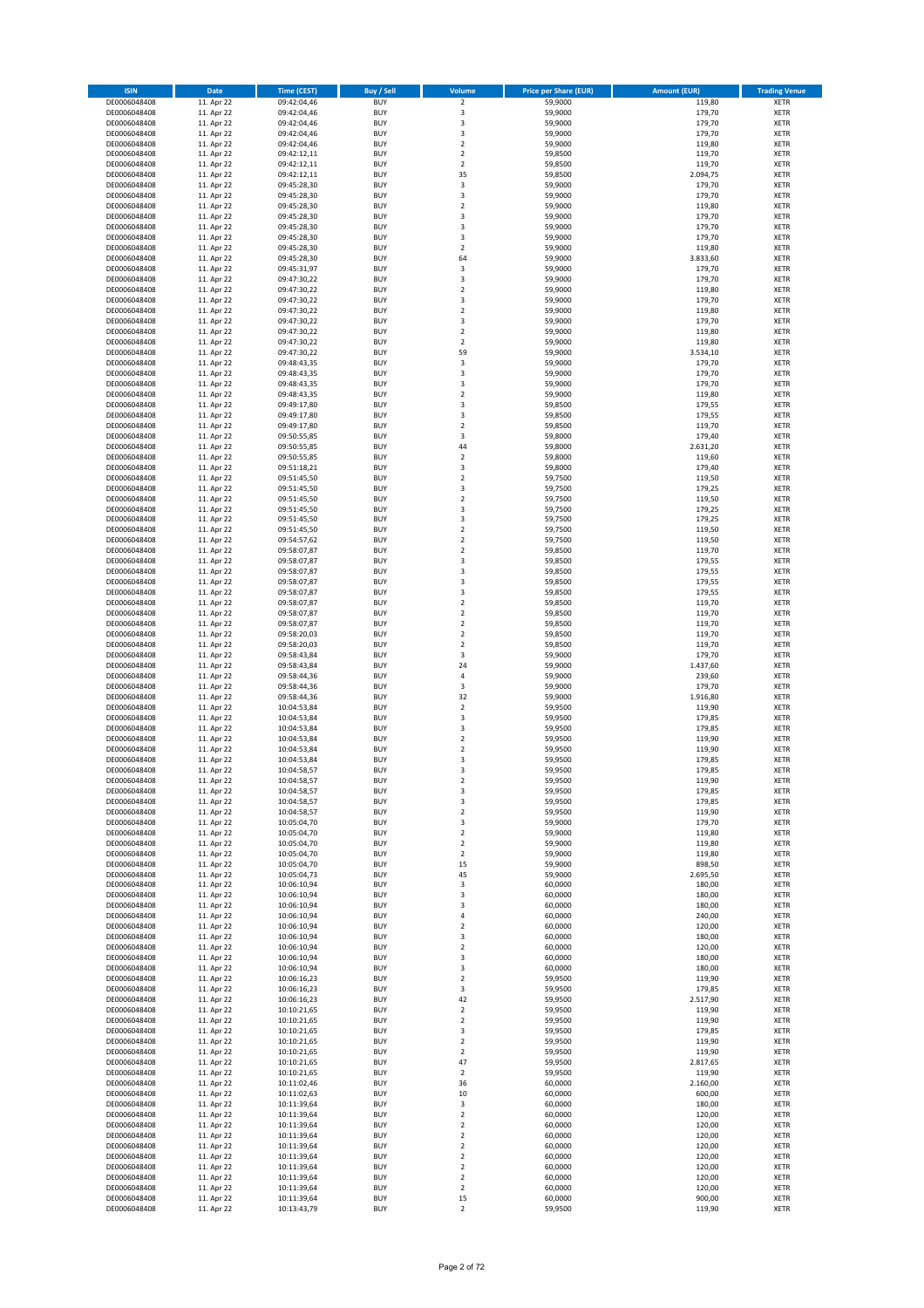| <b>ISIN</b>                  | <b>Date</b>              | <b>Time (CEST)</b>         | <b>Buy / Sell</b>        | Volume                                 | <b>Price per Share (EUR)</b> | <b>Amount (EUR)</b> | <b>Trading Venue</b>       |
|------------------------------|--------------------------|----------------------------|--------------------------|----------------------------------------|------------------------------|---------------------|----------------------------|
| DE0006048408                 | 11. Apr 22               | 09:42:04,46                | <b>BUY</b>               | $\overline{\mathbf{c}}$                | 59,9000                      | 119,80              | XETR                       |
| DE0006048408                 | 11. Apr 22               | 09:42:04,46                | <b>BUY</b>               | 3                                      | 59,9000                      | 179,70              | XETR                       |
| DE0006048408<br>DE0006048408 | 11. Apr 22<br>11. Apr 22 | 09:42:04,46<br>09:42:04,46 | <b>BUY</b><br><b>BUY</b> | 3<br>3                                 | 59,9000<br>59,9000           | 179,70<br>179,70    | XETR<br>XETR               |
| DE0006048408                 | 11. Apr 22               | 09:42:04,46                | <b>BUY</b>               | $\mathbf 2$                            | 59,9000                      | 119,80              | XETR                       |
| DE0006048408                 | 11. Apr 22               | 09:42:12,11                | <b>BUY</b>               | $\overline{\mathbf{c}}$                | 59,8500                      | 119,70              | <b>XETR</b>                |
| DE0006048408                 | 11. Apr 22               | 09:42:12,11                | <b>BUY</b>               | $\overline{\mathbf{c}}$                | 59,8500                      | 119,70              | <b>XETR</b>                |
| DE0006048408                 | 11. Apr 22               | 09:42:12,11                | <b>BUY</b>               | 35                                     | 59,8500                      | 2.094,75            | <b>XETR</b>                |
| DE0006048408<br>DE0006048408 | 11. Apr 22<br>11. Apr 22 | 09:45:28,30                | <b>BUY</b><br><b>BUY</b> | 3<br>3                                 | 59,9000<br>59,9000           | 179,70<br>179,70    | <b>XETR</b><br><b>XETR</b> |
| DE0006048408                 | 11. Apr 22               | 09:45:28,30<br>09:45:28,30 | <b>BUY</b>               | $\mathbf 2$                            | 59,9000                      | 119,80              | <b>XETR</b>                |
| DE0006048408                 | 11. Apr 22               | 09:45:28,30                | <b>BUY</b>               | 3                                      | 59,9000                      | 179,70              | <b>XETR</b>                |
| DE0006048408                 | 11. Apr 22               | 09:45:28,30                | <b>BUY</b>               | 3                                      | 59,9000                      | 179,70              | XETR                       |
| DE0006048408                 | 11. Apr 22               | 09:45:28,30                | <b>BUY</b>               | 3                                      | 59,9000                      | 179,70              | <b>XETR</b>                |
| DE0006048408                 | 11. Apr 22               | 09:45:28,30                | <b>BUY</b>               | $\mathbf 2$                            | 59,9000                      | 119,80              | XETR                       |
| DE0006048408<br>DE0006048408 | 11. Apr 22<br>11. Apr 22 | 09:45:28,30<br>09:45:31,97 | <b>BUY</b><br><b>BUY</b> | 64<br>3                                | 59,9000<br>59,9000           | 3.833,60<br>179,70  | <b>XETR</b><br>XETR        |
| DE0006048408                 | 11. Apr 22               | 09:47:30,22                | <b>BUY</b>               | 3                                      | 59,9000                      | 179,70              | <b>XETR</b>                |
| DE0006048408                 | 11. Apr 22               | 09:47:30,22                | <b>BUY</b>               | $\mathbf 2$                            | 59,9000                      | 119,80              | XETR                       |
| DE0006048408                 | 11. Apr 22               | 09:47:30,22                | <b>BUY</b>               | 3                                      | 59,9000                      | 179,70              | <b>XETR</b>                |
| DE0006048408                 | 11. Apr 22               | 09:47:30,22                | <b>BUY</b>               | $\overline{\mathbf{c}}$                | 59,9000                      | 119,80              | XETR                       |
| DE0006048408<br>DE0006048408 | 11. Apr 22<br>11. Apr 22 | 09:47:30,22<br>09:47:30,22 | <b>BUY</b><br><b>BUY</b> | 3<br>$\overline{\mathbf{c}}$           | 59,9000<br>59,9000           | 179,70<br>119,80    | XETR<br><b>XETR</b>        |
| DE0006048408                 | 11. Apr 22               | 09:47:30,22                | <b>BUY</b>               | $\mathbf 2$                            | 59,9000                      | 119,80              | <b>XETR</b>                |
| DE0006048408                 | 11. Apr 22               | 09:47:30,22                | <b>BUY</b>               | 59                                     | 59,9000                      | 3.534,10            | <b>XETR</b>                |
| DE0006048408                 | 11. Apr 22               | 09:48:43,35                | <b>BUY</b>               | 3                                      | 59,9000                      | 179,70              | <b>XETR</b>                |
| DE0006048408                 | 11. Apr 22               | 09:48:43,35                | <b>BUY</b>               | 3                                      | 59,9000                      | 179,70              | <b>XETR</b>                |
| DE0006048408<br>DE0006048408 | 11. Apr 22<br>11. Apr 22 | 09:48:43,35<br>09:48:43,35 | <b>BUY</b><br><b>BUY</b> | 3<br>$\mathbf 2$                       | 59,9000<br>59,9000           | 179,70<br>119,80    | <b>XETR</b><br><b>XETR</b> |
| DE0006048408                 | 11. Apr 22               | 09:49:17,80                | <b>BUY</b>               | 3                                      | 59,8500                      | 179,55              | XETR                       |
| DE0006048408                 | 11. Apr 22               | 09:49:17,80                | <b>BUY</b>               | 3                                      | 59,8500                      | 179,55              | <b>XETR</b>                |
| DE0006048408                 | 11. Apr 22               | 09:49:17,80                | <b>BUY</b>               | $\overline{\mathbf{c}}$                | 59,8500                      | 119,70              | <b>XETR</b>                |
| DE0006048408                 | 11. Apr 22               | 09:50:55,85                | <b>BUY</b>               | 3                                      | 59,8000                      | 179,40              | <b>XETR</b>                |
| DE0006048408<br>DE0006048408 | 11. Apr 22<br>11. Apr 22 | 09:50:55,85<br>09:50:55,85 | <b>BUY</b><br><b>BUY</b> | 44<br>$\overline{\mathbf{c}}$          | 59,8000<br>59,8000           | 2.631,20<br>119,60  | XETR<br><b>XETR</b>        |
| DE0006048408                 | 11. Apr 22               | 09:51:18,21                | <b>BUY</b>               | 3                                      | 59,8000                      | 179,40              | XETR                       |
| DE0006048408                 | 11. Apr 22               | 09:51:45,50                | <b>BUY</b>               | $\overline{\mathbf{c}}$                | 59,7500                      | 119,50              | <b>XETR</b>                |
| DE0006048408                 | 11. Apr 22               | 09:51:45,50                | <b>BUY</b>               | 3                                      | 59,7500                      | 179,25              | XETR                       |
| DE0006048408                 | 11. Apr 22               | 09:51:45,50                | <b>BUY</b>               | $\overline{\mathbf{c}}$                | 59,7500                      | 119,50              | <b>XETR</b>                |
| DE0006048408                 | 11. Apr 22               | 09:51:45,50                | <b>BUY</b>               | 3                                      | 59,7500                      | 179,25              | <b>XETR</b>                |
| DE0006048408<br>DE0006048408 | 11. Apr 22<br>11. Apr 22 | 09:51:45,50<br>09:51:45,50 | <b>BUY</b><br><b>BUY</b> | 3<br>$\mathbf 2$                       | 59,7500<br>59,7500           | 179,25<br>119,50    | <b>XETR</b><br><b>XETR</b> |
| DE0006048408                 | 11. Apr 22               | 09:54:57,62                | <b>BUY</b>               | $\overline{\mathbf{c}}$                | 59,7500                      | 119,50              | <b>XETR</b>                |
| DE0006048408                 | 11. Apr 22               | 09:58:07,87                | <b>BUY</b>               | $\overline{\mathbf{c}}$                | 59,8500                      | 119,70              | <b>XETR</b>                |
| DE0006048408                 | 11. Apr 22               | 09:58:07,87                | <b>BUY</b>               | 3                                      | 59,8500                      | 179,55              | <b>XETR</b>                |
| DE0006048408                 | 11. Apr 22               | 09:58:07,87                | <b>BUY</b>               | 3                                      | 59,8500                      | 179,55              | XETR                       |
| DE0006048408<br>DE0006048408 | 11. Apr 22<br>11. Apr 22 | 09:58:07,87                | <b>BUY</b><br><b>BUY</b> | 3<br>3                                 | 59,8500<br>59,8500           | 179,55<br>179,55    | XETR<br><b>XETR</b>        |
| DE0006048408                 | 11. Apr 22               | 09:58:07,87<br>09:58:07,87 | <b>BUY</b>               | $\mathbf 2$                            | 59,8500                      | 119,70              | <b>XETR</b>                |
| DE0006048408                 | 11. Apr 22               | 09:58:07,87                | <b>BUY</b>               | $\mathbf 2$                            | 59,8500                      | 119,70              | <b>XETR</b>                |
| DE0006048408                 | 11. Apr 22               | 09:58:07,87                | <b>BUY</b>               | $\mathbf 2$                            | 59,8500                      | 119,70              | <b>XETR</b>                |
| DE0006048408                 | 11. Apr 22               | 09:58:20,03                | <b>BUY</b>               | $\overline{\mathbf{c}}$                | 59,8500                      | 119,70              | <b>XETR</b>                |
| DE0006048408                 | 11. Apr 22               | 09:58:20,03                | <b>BUY</b>               | $\mathbf 2$                            | 59,8500                      | 119,70              | <b>XETR</b>                |
| DE0006048408<br>DE0006048408 | 11. Apr 22<br>11. Apr 22 | 09:58:43,84<br>09:58:43,84 | <b>BUY</b><br><b>BUY</b> | 3<br>24                                | 59,9000<br>59,9000           | 179,70<br>1.437,60  | XETR<br>XETR               |
| DE0006048408                 | 11. Apr 22               | 09:58:44,36                | <b>BUY</b>               | $\overline{4}$                         | 59,9000                      | 239,60              | <b>XETR</b>                |
| DE0006048408                 | 11. Apr 22               | 09:58:44,36                | <b>BUY</b>               | 3                                      | 59,9000                      | 179,70              | <b>XETR</b>                |
| DE0006048408                 | 11. Apr 22               | 09:58:44,36                | <b>BUY</b>               | 32                                     | 59,9000                      | 1.916,80            | <b>XETR</b>                |
| DE0006048408                 | 11. Apr 22               | 10:04:53,84                | <b>BUY</b>               | $\overline{\mathbf{c}}$                | 59,9500                      | 119,90              | XETR                       |
| DE0006048408<br>DE0006048408 | 11. Apr 22<br>11. Apr 22 | 10:04:53,84<br>10:04:53,84 | <b>BUY</b><br><b>BUY</b> | 3<br>3                                 | 59,9500<br>59,9500           | 179,85<br>179,85    | <b>XETR</b><br>XETR        |
| DE0006048408                 | 11. Apr 22               | 10:04:53,84                | <b>BUY</b>               | $\overline{\mathbf{c}}$                | 59,9500                      | 119,90              | <b>XETR</b>                |
| DE0006048408                 | 11. Apr 22               | 10:04:53,84                | <b>BUY</b>               | 2                                      | 59,9500                      | 119,90              | XETR                       |
| DE0006048408                 | 11. Apr 22               | 10:04:53,84                | <b>BUY</b>               | 3                                      | 59,9500                      | 179,85              | <b>XETR</b>                |
| DE0006048408                 | 11. Apr 22               | 10:04:58,57                | <b>BUY</b>               | 3                                      | 59,9500                      | 179,85              | <b>XETR</b>                |
| DE0006048408<br>DE0006048408 | 11. Apr 22<br>11. Apr 22 | 10:04:58,57<br>10:04:58,57 | <b>BUY</b><br><b>BUY</b> | 2<br>3                                 | 59,9500<br>59,9500           | 119,90<br>179,85    | XETR<br>XETR               |
| DE0006048408                 | 11. Apr 22               | 10:04:58,57                | <b>BUY</b>               | 3                                      | 59,9500                      | 179,85              | XETR                       |
| DE0006048408                 | 11. Apr 22               | 10:04:58,57                | <b>BUY</b>               | $\mathbf 2$                            | 59,9500                      | 119,90              | XETR                       |
| DE0006048408                 | 11. Apr 22               | 10:05:04,70                | <b>BUY</b>               | 3                                      | 59,9000                      | 179,70              | <b>XETR</b>                |
| DE0006048408                 | 11. Apr 22               | 10:05:04,70                | <b>BUY</b>               | $\mathbf 2$                            | 59,9000                      | 119,80              | XETR                       |
| DE0006048408<br>DE0006048408 | 11. Apr 22<br>11. Apr 22 | 10:05:04.70<br>10:05:04,70 | <b>BUY</b><br><b>BUY</b> | $\overline{\mathbf{c}}$<br>$\mathbf 2$ | 59,9000<br>59,9000           | 119,80<br>119,80    | <b>XETR</b><br>XETR        |
| DE0006048408                 | 11. Apr 22               | 10:05:04,70                | <b>BUY</b>               | 15                                     | 59,9000                      | 898,50              | <b>XETR</b>                |
| DE0006048408                 | 11. Apr 22               | 10:05:04,73                | <b>BUY</b>               | 45                                     | 59,9000                      | 2.695,50            | XETR                       |
| DE0006048408                 | 11. Apr 22               | 10:06:10,94                | <b>BUY</b>               | 3                                      | 60,0000                      | 180,00              | <b>XETR</b>                |
| DE0006048408<br>DE0006048408 | 11. Apr 22<br>11. Apr 22 | 10:06:10,94<br>10:06:10,94 | <b>BUY</b><br><b>BUY</b> | 3<br>3                                 | 60,0000<br>60,0000           | 180,00<br>180,00    | XETR<br><b>XETR</b>        |
| DE0006048408                 | 11. Apr 22               | 10:06:10,94                | <b>BUY</b>               | 4                                      | 60,0000                      | 240,00              | XETR                       |
| DE0006048408                 | 11. Apr 22               | 10:06:10,94                | <b>BUY</b>               | 2                                      | 60,0000                      | 120,00              | <b>XETR</b>                |
| DE0006048408                 | 11. Apr 22               | 10:06:10,94                | <b>BUY</b>               | 3                                      | 60,0000                      | 180,00              | XETR                       |
| DE0006048408                 | 11. Apr 22               | 10:06:10,94                | <b>BUY</b>               | $\mathbf 2$                            | 60,0000                      | 120,00              | <b>XETR</b>                |
| DE0006048408                 | 11. Apr 22               | 10:06:10,94                | <b>BUY</b>               | 3                                      | 60,0000                      | 180,00              | XETR                       |
| DE0006048408<br>DE0006048408 | 11. Apr 22<br>11. Apr 22 | 10:06:10,94<br>10:06:16,23 | <b>BUY</b><br><b>BUY</b> | 3<br>$\mathbf 2$                       | 60,0000<br>59,9500           | 180,00<br>119,90    | <b>XETR</b><br>XETR        |
| DE0006048408                 | 11. Apr 22               | 10:06:16,23                | <b>BUY</b>               | 3                                      | 59,9500                      | 179,85              | <b>XETR</b>                |
| DE0006048408                 | 11. Apr 22               | 10:06:16,23                | <b>BUY</b>               | 42                                     | 59,9500                      | 2.517,90            | <b>XETR</b>                |
| DE0006048408                 | 11. Apr 22               | 10:10:21,65                | <b>BUY</b>               | $\mathbf 2$                            | 59,9500                      | 119,90              | XETR                       |
| DE0006048408                 | 11. Apr 22               | 10:10:21,65                | <b>BUY</b>               | $\mathbf 2$                            | 59,9500                      | 119,90              | <b>XETR</b>                |
| DE0006048408<br>DE0006048408 | 11. Apr 22<br>11. Apr 22 | 10:10:21,65<br>10:10:21,65 | <b>BUY</b><br><b>BUY</b> | 3<br>$\overline{2}$                    | 59,9500<br>59,9500           | 179,85<br>119,90    | XETR<br><b>XETR</b>        |
| DE0006048408                 | 11. Apr 22               | 10:10:21,65                | <b>BUY</b>               | 2                                      | 59,9500                      | 119,90              | XETR                       |
| DE0006048408                 | 11. Apr 22               | 10:10:21,65                | <b>BUY</b>               | 47                                     | 59,9500                      | 2.817,65            | <b>XETR</b>                |
| DE0006048408                 | 11. Apr 22               | 10:10:21,65                | <b>BUY</b>               | $\mathbf 2$                            | 59,9500                      | 119,90              | XETR                       |
| DE0006048408                 | 11. Apr 22               | 10:11:02,46                | <b>BUY</b>               | 36                                     | 60,0000                      | 2.160,00            | <b>XETR</b>                |
| DE0006048408<br>DE0006048408 | 11. Apr 22<br>11. Apr 22 | 10:11:02,63<br>10:11:39,64 | <b>BUY</b><br><b>BUY</b> | 10<br>3                                | 60,0000<br>60,0000           | 600,00<br>180,00    | XETR<br><b>XETR</b>        |
| DE0006048408                 | 11. Apr 22               | 10:11:39,64                | <b>BUY</b>               | $\mathbf 2$                            | 60,0000                      | 120,00              | XETR                       |
| DE0006048408                 | 11. Apr 22               | 10:11:39,64                | <b>BUY</b>               | $\mathbf 2$                            | 60,0000                      | 120,00              | <b>XETR</b>                |
| DE0006048408                 | 11. Apr 22               | 10:11:39,64                | <b>BUY</b>               | 2                                      | 60,0000                      | 120,00              | <b>XETR</b>                |
| DE0006048408                 | 11. Apr 22               | 10:11:39,64                | <b>BUY</b>               | 2                                      | 60,0000                      | 120,00              | <b>XETR</b>                |
| DE0006048408<br>DE0006048408 | 11. Apr 22<br>11. Apr 22 | 10:11:39,64<br>10:11:39,64 | <b>BUY</b><br><b>BUY</b> | $\mathbf 2$<br>$\mathbf 2$             | 60,0000<br>60,0000           | 120,00<br>120,00    | XETR<br><b>XETR</b>        |
| DE0006048408                 | 11. Apr 22               | 10:11:39,64                | <b>BUY</b>               | $\mathbf 2$                            | 60,0000                      | 120,00              | XETR                       |
| DE0006048408                 | 11. Apr 22               | 10:11:39,64                | <b>BUY</b>               | $\mathbf 2$                            | 60,0000                      | 120,00              | XETR                       |
| DE0006048408                 | 11. Apr 22               | 10:11:39,64                | <b>BUY</b>               | 15                                     | 60,0000                      | 900,00              | XETR                       |
| DE0006048408                 | 11. Apr 22               | 10:13:43,79                | <b>BUY</b>               | $\mathbf 2$                            | 59,9500                      | 119,90              | XETR                       |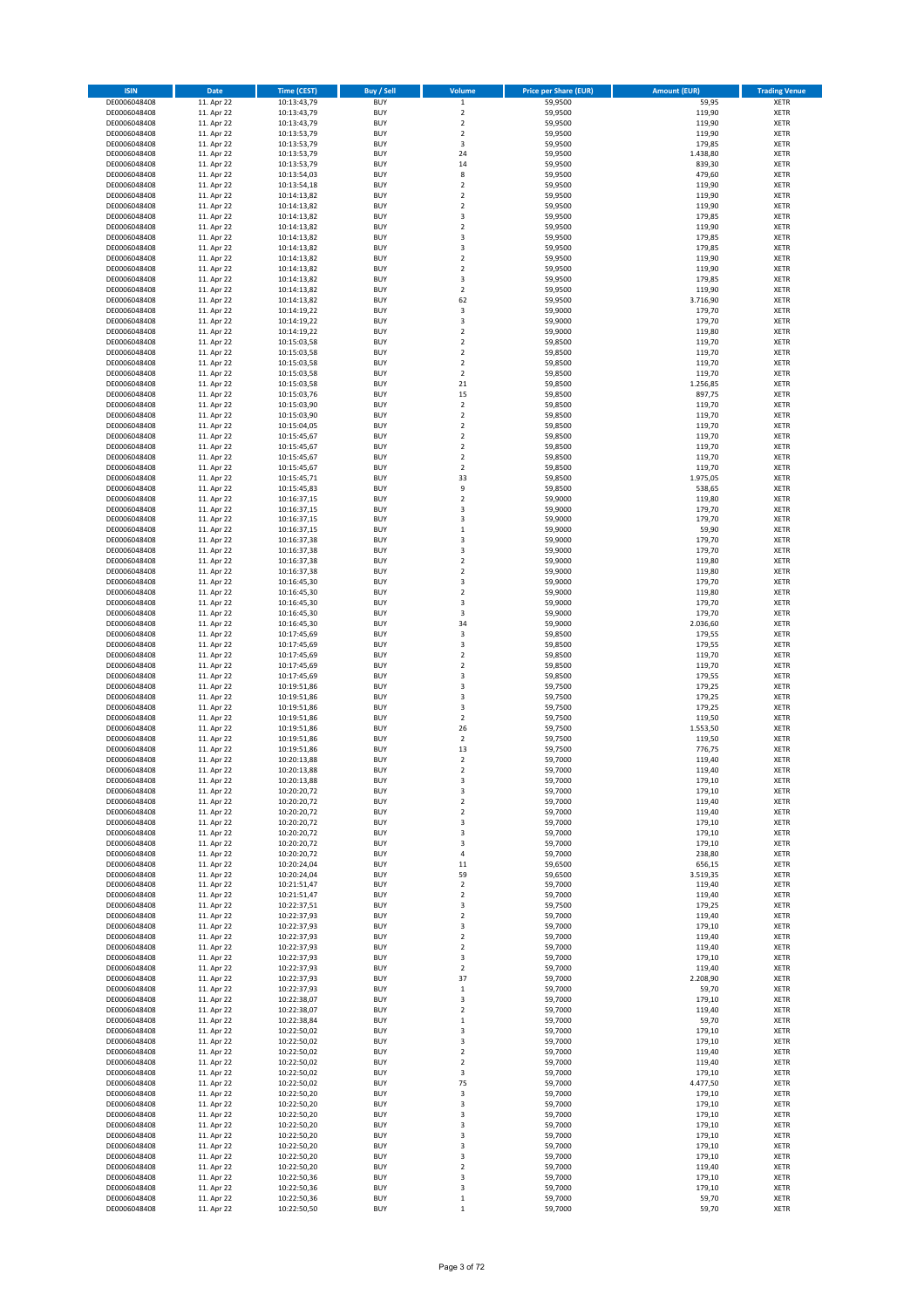| <b>ISIN</b>                  | <b>Date</b>              | <b>Time (CEST)</b>         | Buy / Sell               | Volume                                 | <b>Price per Share (EUR)</b> | <b>Amount (EUR)</b> | <b>Trading Venue</b>       |
|------------------------------|--------------------------|----------------------------|--------------------------|----------------------------------------|------------------------------|---------------------|----------------------------|
| DE0006048408                 | 11. Apr 22               | 10:13:43,79                | <b>BUY</b>               | $\,$ 1 $\,$                            | 59,9500                      | 59,95               | XETR                       |
| DE0006048408                 | 11. Apr 22               | 10:13:43,79                | <b>BUY</b>               | $\mathbf 2$                            | 59,9500                      | 119,90              | XETR                       |
| DE0006048408<br>DE0006048408 | 11. Apr 22<br>11. Apr 22 | 10:13:43,79<br>10:13:53,79 | <b>BUY</b><br><b>BUY</b> | $\mathbf 2$<br>$\mathbf 2$             | 59,9500<br>59,9500           | 119,90<br>119,90    | XETR<br>XETR               |
| DE0006048408                 | 11. Apr 22               | 10:13:53,79                | <b>BUY</b>               | 3                                      | 59,9500                      | 179,85              | XETR                       |
| DE0006048408                 | 11. Apr 22               | 10:13:53,79                | <b>BUY</b>               | 24                                     | 59,9500                      | 1.438,80            | <b>XETR</b>                |
| DE0006048408                 | 11. Apr 22               | 10:13:53,79                | <b>BUY</b>               | 14                                     | 59,9500                      | 839,30              | <b>XETR</b>                |
| DE0006048408                 | 11. Apr 22               | 10:13:54,03                | <b>BUY</b>               | 8                                      | 59,9500                      | 479,60              | <b>XETR</b>                |
| DE0006048408<br>DE0006048408 | 11. Apr 22<br>11. Apr 22 | 10:13:54,18<br>10:14:13,82 | <b>BUY</b><br><b>BUY</b> | $\mathbf 2$<br>$\overline{\mathbf{c}}$ | 59,9500<br>59,9500           | 119,90<br>119,90    | <b>XETR</b><br><b>XETR</b> |
| DE0006048408                 | 11. Apr 22               | 10:14:13,82                | <b>BUY</b>               | $\mathbf 2$                            | 59,9500                      | 119,90              | <b>XETR</b>                |
| DE0006048408                 | 11. Apr 22               | 10:14:13,82                | <b>BUY</b>               | 3                                      | 59,9500                      | 179,85              | <b>XETR</b>                |
| DE0006048408                 | 11. Apr 22               | 10:14:13,82                | <b>BUY</b>               | $\mathbf 2$                            | 59,9500                      | 119,90              | XETR                       |
| DE0006048408                 | 11. Apr 22               | 10:14:13,82                | <b>BUY</b>               | 3                                      | 59,9500                      | 179,85              | <b>XETR</b>                |
| DE0006048408                 | 11. Apr 22               | 10:14:13,82                | <b>BUY</b>               | 3                                      | 59,9500                      | 179,85              | XETR                       |
| DE0006048408<br>DE0006048408 | 11. Apr 22<br>11. Apr 22 | 10:14:13,82<br>10:14:13,82 | <b>BUY</b><br><b>BUY</b> | $\overline{\mathbf{c}}$<br>$\mathbf 2$ | 59,9500<br>59,9500           | 119,90<br>119,90    | <b>XETR</b><br>XETR        |
| DE0006048408                 | 11. Apr 22               | 10:14:13,82                | <b>BUY</b>               | 3                                      | 59,9500                      | 179,85              | <b>XETR</b>                |
| DE0006048408                 | 11. Apr 22               | 10:14:13,82                | <b>BUY</b>               | $\mathbf 2$                            | 59,9500                      | 119,90              | XETR                       |
| DE0006048408                 | 11. Apr 22               | 10:14:13,82                | <b>BUY</b>               | 62                                     | 59,9500                      | 3.716,90            | <b>XETR</b>                |
| DE0006048408                 | 11. Apr 22               | 10:14:19,22                | <b>BUY</b>               | 3                                      | 59,9000                      | 179,70              | XETR                       |
| DE0006048408<br>DE0006048408 | 11. Apr 22<br>11. Apr 22 | 10:14:19,22<br>10:14:19,22 | <b>BUY</b><br><b>BUY</b> | 3<br>$\overline{\mathbf{c}}$           | 59,9000<br>59,9000           | 179,70<br>119,80    | XETR<br><b>XETR</b>        |
| DE0006048408                 | 11. Apr 22               | 10:15:03,58                | <b>BUY</b>               | $\overline{2}$                         | 59,8500                      | 119,70              | <b>XETR</b>                |
| DE0006048408                 | 11. Apr 22               | 10:15:03,58                | <b>BUY</b>               | $\overline{\mathbf{c}}$                | 59,8500                      | 119,70              | <b>XETR</b>                |
| DE0006048408                 | 11. Apr 22               | 10:15:03,58                | <b>BUY</b>               | $\overline{\mathbf{c}}$                | 59,8500                      | 119,70              | XETR                       |
| DE0006048408                 | 11. Apr 22               | 10:15:03,58                | <b>BUY</b>               | $\mathbf 2$                            | 59,8500                      | 119,70              | <b>XETR</b>                |
| DE0006048408<br>DE0006048408 | 11. Apr 22<br>11. Apr 22 | 10:15:03,58                | <b>BUY</b><br><b>BUY</b> | 21<br>15                               | 59,8500<br>59,8500           | 1.256,85<br>897,75  | <b>XETR</b><br><b>XETR</b> |
| DE0006048408                 | 11. Apr 22               | 10:15:03,76<br>10:15:03,90 | <b>BUY</b>               | $\mathbf 2$                            | 59,8500                      | 119,70              | XETR                       |
| DE0006048408                 | 11. Apr 22               | 10:15:03,90                | <b>BUY</b>               | $\mathbf 2$                            | 59,8500                      | 119,70              | <b>XETR</b>                |
| DE0006048408                 | 11. Apr 22               | 10:15:04,05                | <b>BUY</b>               | $\mathbf 2$                            | 59,8500                      | 119,70              | <b>XETR</b>                |
| DE0006048408                 | 11. Apr 22               | 10:15:45,67                | <b>BUY</b>               | $\mathbf 2$                            | 59,8500                      | 119,70              | <b>XETR</b>                |
| DE0006048408<br>DE0006048408 | 11. Apr 22<br>11. Apr 22 | 10:15:45,67<br>10:15:45,67 | <b>BUY</b><br><b>BUY</b> | $\mathbf 2$<br>$\mathbf 2$             | 59,8500<br>59,8500           | 119,70<br>119,70    | XETR<br><b>XETR</b>        |
| DE0006048408                 | 11. Apr 22               | 10:15:45,67                | <b>BUY</b>               | $\mathbf 2$                            | 59,8500                      | 119,70              | XETR                       |
| DE0006048408                 | 11. Apr 22               | 10:15:45,71                | <b>BUY</b>               | 33                                     | 59,8500                      | 1.975,05            | <b>XETR</b>                |
| DE0006048408                 | 11. Apr 22               | 10:15:45,83                | <b>BUY</b>               | 9                                      | 59,8500                      | 538,65              | XETR                       |
| DE0006048408                 | 11. Apr 22               | 10:16:37,15                | <b>BUY</b>               | $\mathbf 2$                            | 59,9000                      | 119,80              | <b>XETR</b>                |
| DE0006048408                 | 11. Apr 22               | 10:16:37,15                | <b>BUY</b>               | 3                                      | 59,9000                      | 179,70              | <b>XETR</b>                |
| DE0006048408<br>DE0006048408 | 11. Apr 22<br>11. Apr 22 | 10:16:37,15<br>10:16:37,15 | <b>BUY</b><br><b>BUY</b> | 3<br>$\mathbf 1$                       | 59,9000<br>59,9000           | 179,70<br>59,90     | <b>XETR</b><br><b>XETR</b> |
| DE0006048408                 | 11. Apr 22               | 10:16:37,38                | <b>BUY</b>               | 3                                      | 59,9000                      | 179,70              | <b>XETR</b>                |
| DE0006048408                 | 11. Apr 22               | 10:16:37,38                | <b>BUY</b>               | 3                                      | 59,9000                      | 179,70              | <b>XETR</b>                |
| DE0006048408                 | 11. Apr 22               | 10:16:37,38                | <b>BUY</b>               | $\mathbf 2$                            | 59,9000                      | 119,80              | <b>XETR</b>                |
| DE0006048408                 | 11. Apr 22               | 10:16:37,38                | <b>BUY</b>               | $\mathbf 2$                            | 59,9000                      | 119,80              | XETR                       |
| DE0006048408<br>DE0006048408 | 11. Apr 22<br>11. Apr 22 | 10:16:45,30                | <b>BUY</b><br><b>BUY</b> | 3<br>$\overline{\mathbf{c}}$           | 59,9000<br>59,9000           | 179,70<br>119,80    | XETR<br><b>XETR</b>        |
| DE0006048408                 | 11. Apr 22               | 10:16:45,30<br>10:16:45,30 | <b>BUY</b>               | 3                                      | 59,9000                      | 179,70              | <b>XETR</b>                |
| DE0006048408                 | 11. Apr 22               | 10:16:45,30                | <b>BUY</b>               | 3                                      | 59,9000                      | 179,70              | <b>XETR</b>                |
| DE0006048408                 | 11. Apr 22               | 10:16:45,30                | <b>BUY</b>               | 34                                     | 59,9000                      | 2.036,60            | <b>XETR</b>                |
| DE0006048408                 | 11. Apr 22               | 10:17:45,69                | <b>BUY</b>               | 3                                      | 59,8500                      | 179,55              | <b>XETR</b>                |
| DE0006048408                 | 11. Apr 22               | 10:17:45,69                | <b>BUY</b>               | 3                                      | 59,8500                      | 179,55              | <b>XETR</b>                |
| DE0006048408<br>DE0006048408 | 11. Apr 22<br>11. Apr 22 | 10:17:45,69<br>10:17:45,69 | <b>BUY</b><br><b>BUY</b> | $\mathbf 2$<br>$\mathbf 2$             | 59,8500<br>59,8500           | 119,70<br>119,70    | XETR<br>XETR               |
| DE0006048408                 | 11. Apr 22               | 10:17:45,69                | <b>BUY</b>               | 3                                      | 59,8500                      | 179,55              | <b>XETR</b>                |
| DE0006048408                 | 11. Apr 22               | 10:19:51,86                | <b>BUY</b>               | 3                                      | 59,7500                      | 179,25              | <b>XETR</b>                |
| DE0006048408                 | 11. Apr 22               | 10:19:51,86                | <b>BUY</b>               | 3                                      | 59,7500                      | 179,25              | <b>XETR</b>                |
| DE0006048408                 | 11. Apr 22               | 10:19:51,86                | <b>BUY</b>               | 3                                      | 59,7500                      | 179,25              | XETR                       |
| DE0006048408<br>DE0006048408 | 11. Apr 22<br>11. Apr 22 | 10:19:51,86<br>10:19:51,86 | <b>BUY</b><br><b>BUY</b> | $\overline{\mathbf{c}}$<br>26          | 59,7500<br>59,7500           | 119,50<br>1.553,50  | <b>XETR</b><br>XETR        |
| DE0006048408                 | 11. Apr 22               | 10:19:51,86                | <b>BUY</b>               | $\overline{2}$                         | 59,7500                      | 119,50              | <b>XETR</b>                |
| DE0006048408                 | 11. Apr 22               | 10:19:51,86                | <b>BUY</b>               | 13                                     | 59,7500                      | 776,75              | XETR                       |
| DE0006048408                 | 11. Apr 22               | 10:20:13,88                | <b>BUY</b>               | $\overline{\mathbf{c}}$                | 59,7000                      | 119,40              | <b>XETR</b>                |
| DE0006048408                 | 11. Apr 22               | 10:20:13,88                | <b>BUY</b>               | $\mathbf 2$                            | 59,7000                      | 119,40              | <b>XETR</b>                |
| DE0006048408<br>DE0006048408 | 11. Apr 22<br>11. Apr 22 | 10:20:13,88<br>10:20:20,72 | <b>BUY</b><br><b>BUY</b> | 3<br>3                                 | 59,7000<br>59,7000           | 179,10<br>179,10    | XETR<br>XETR               |
| DE0006048408                 | 11. Apr 22               | 10:20:20,72                | <b>BUY</b>               | $\mathbf 2$                            | 59,7000                      | 119,40              | XETR                       |
| DE0006048408                 | 11. Apr 22               | 10:20:20,72                | <b>BUY</b>               | $\mathbf 2$                            | 59,7000                      | 119,40              | XETR                       |
| DE0006048408                 | 11. Apr 22               | 10:20:20,72                | <b>BUY</b>               | 3                                      | 59,7000                      | 179,10              | XETR                       |
| DE0006048408                 | 11. Apr 22               | 10:20:20,72                | <b>BUY</b>               | 3                                      | 59,7000                      | 179,10              | XETR                       |
| DE0006048408<br>DE0006048408 | 11. Apr 22<br>11. Apr 22 | 10:20:20.72<br>10:20:20,72 | <b>BUY</b><br><b>BUY</b> | 3<br>4                                 | 59,7000<br>59,7000           | 179,10<br>238,80    | <b>XETR</b><br>XETR        |
| DE0006048408                 | 11. Apr 22               | 10:20:24,04                | <b>BUY</b>               | 11                                     | 59,6500                      | 656,15              | <b>XETR</b>                |
| DE0006048408                 | 11. Apr 22               | 10:20:24,04                | <b>BUY</b>               | 59                                     | 59,6500                      | 3.519,35            | XETR                       |
| DE0006048408                 | 11. Apr 22               | 10:21:51,47                | <b>BUY</b>               | $\mathbf 2$                            | 59,7000                      | 119,40              | <b>XETR</b>                |
| DE0006048408                 | 11. Apr 22               | 10:21:51,47                | <b>BUY</b>               | $\mathbf 2$                            | 59,7000                      | 119,40              | XETR                       |
| DE0006048408<br>DE0006048408 | 11. Apr 22<br>11. Apr 22 | 10:22:37,51<br>10:22:37,93 | <b>BUY</b><br><b>BUY</b> | 3<br>$\mathbf 2$                       | 59,7500<br>59,7000           | 179,25<br>119,40    | <b>XETR</b><br>XETR        |
| DE0006048408                 | 11. Apr 22               | 10:22:37,93                | <b>BUY</b>               | 3                                      | 59,7000                      | 179,10              | <b>XETR</b>                |
| DE0006048408                 | 11. Apr 22               | 10:22:37,93                | <b>BUY</b>               | $\mathbf 2$                            | 59,7000                      | 119,40              | XETR                       |
| DE0006048408                 | 11. Apr 22               | 10:22:37,93                | <b>BUY</b>               | $\mathbf 2$                            | 59,7000                      | 119,40              | <b>XETR</b>                |
| DE0006048408                 | 11. Apr 22               | 10:22:37,93                | <b>BUY</b>               | 3                                      | 59,7000                      | 179,10              | XETR                       |
| DE0006048408<br>DE0006048408 | 11. Apr 22<br>11. Apr 22 | 10:22:37,93<br>10:22:37,93 | <b>BUY</b><br><b>BUY</b> | 2<br>37                                | 59,7000<br>59,7000           | 119,40<br>2.208,90  | <b>XETR</b><br>XETR        |
| DE0006048408                 | 11. Apr 22               | 10:22:37,93                | <b>BUY</b>               | $\mathbf 1$                            | 59,7000                      | 59,70               | <b>XETR</b>                |
| DE0006048408                 | 11. Apr 22               | 10:22:38,07                | <b>BUY</b>               | 3                                      | 59,7000                      | 179,10              | <b>XETR</b>                |
| DE0006048408                 | 11. Apr 22               | 10:22:38,07                | <b>BUY</b>               | 2                                      | 59,7000                      | 119,40              | XETR                       |
| DE0006048408                 | 11. Apr 22               | 10:22:38,84                | <b>BUY</b>               | $\mathbf 1$                            | 59,7000                      | 59,70               | <b>XETR</b>                |
| DE0006048408<br>DE0006048408 | 11. Apr 22<br>11. Apr 22 | 10:22:50,02<br>10:22:50,02 | <b>BUY</b><br><b>BUY</b> | 3<br>3                                 | 59,7000<br>59,7000           | 179,10<br>179,10    | XETR<br><b>XETR</b>        |
| DE0006048408                 | 11. Apr 22               | 10:22:50,02                | <b>BUY</b>               | 2                                      | 59,7000                      | 119,40              | XETR                       |
| DE0006048408                 | 11. Apr 22               | 10:22:50,02                | <b>BUY</b>               | $\mathbf 2$                            | 59,7000                      | 119,40              | <b>XETR</b>                |
| DE0006048408                 | 11. Apr 22               | 10:22:50,02                | <b>BUY</b>               | 3                                      | 59,7000                      | 179,10              | XETR                       |
| DE0006048408                 | 11. Apr 22               | 10:22:50,02                | <b>BUY</b>               | 75                                     | 59,7000                      | 4.477,50            | <b>XETR</b>                |
| DE0006048408<br>DE0006048408 | 11. Apr 22<br>11. Apr 22 | 10:22:50,20<br>10:22:50,20 | <b>BUY</b><br><b>BUY</b> | 3<br>3                                 | 59,7000<br>59,7000           | 179,10<br>179,10    | XETR<br><b>XETR</b>        |
| DE0006048408                 | 11. Apr 22               | 10:22:50,20                | <b>BUY</b>               | 3                                      | 59,7000                      | 179,10              | XETR                       |
| DE0006048408                 | 11. Apr 22               | 10:22:50,20                | <b>BUY</b>               | 3                                      | 59,7000                      | 179,10              | <b>XETR</b>                |
| DE0006048408                 | 11. Apr 22               | 10:22:50,20                | <b>BUY</b>               | 3                                      | 59,7000                      | 179,10              | <b>XETR</b>                |
| DE0006048408                 | 11. Apr 22               | 10:22:50,20                | <b>BUY</b>               | 3                                      | 59,7000                      | 179,10              | <b>XETR</b>                |
| DE0006048408<br>DE0006048408 | 11. Apr 22<br>11. Apr 22 | 10:22:50,20<br>10:22:50,20 | <b>BUY</b><br><b>BUY</b> | 3<br>$\mathbf 2$                       | 59,7000<br>59,7000           | 179,10<br>119,40    | XETR<br><b>XETR</b>        |
| DE0006048408                 | 11. Apr 22               | 10:22:50,36                | <b>BUY</b>               | 3                                      | 59,7000                      | 179,10              | XETR                       |
| DE0006048408                 | 11. Apr 22               | 10:22:50,36                | <b>BUY</b>               | 3                                      | 59,7000                      | 179,10              | XETR                       |
| DE0006048408                 | 11. Apr 22               | 10:22:50,36                | <b>BUY</b>               | $\mathbf 1$                            | 59,7000                      | 59,70               | XETR                       |
| DE0006048408                 | 11. Apr 22               | 10:22:50,50                | <b>BUY</b>               | $\mathbf 1$                            | 59,7000                      | 59,70               | XETR                       |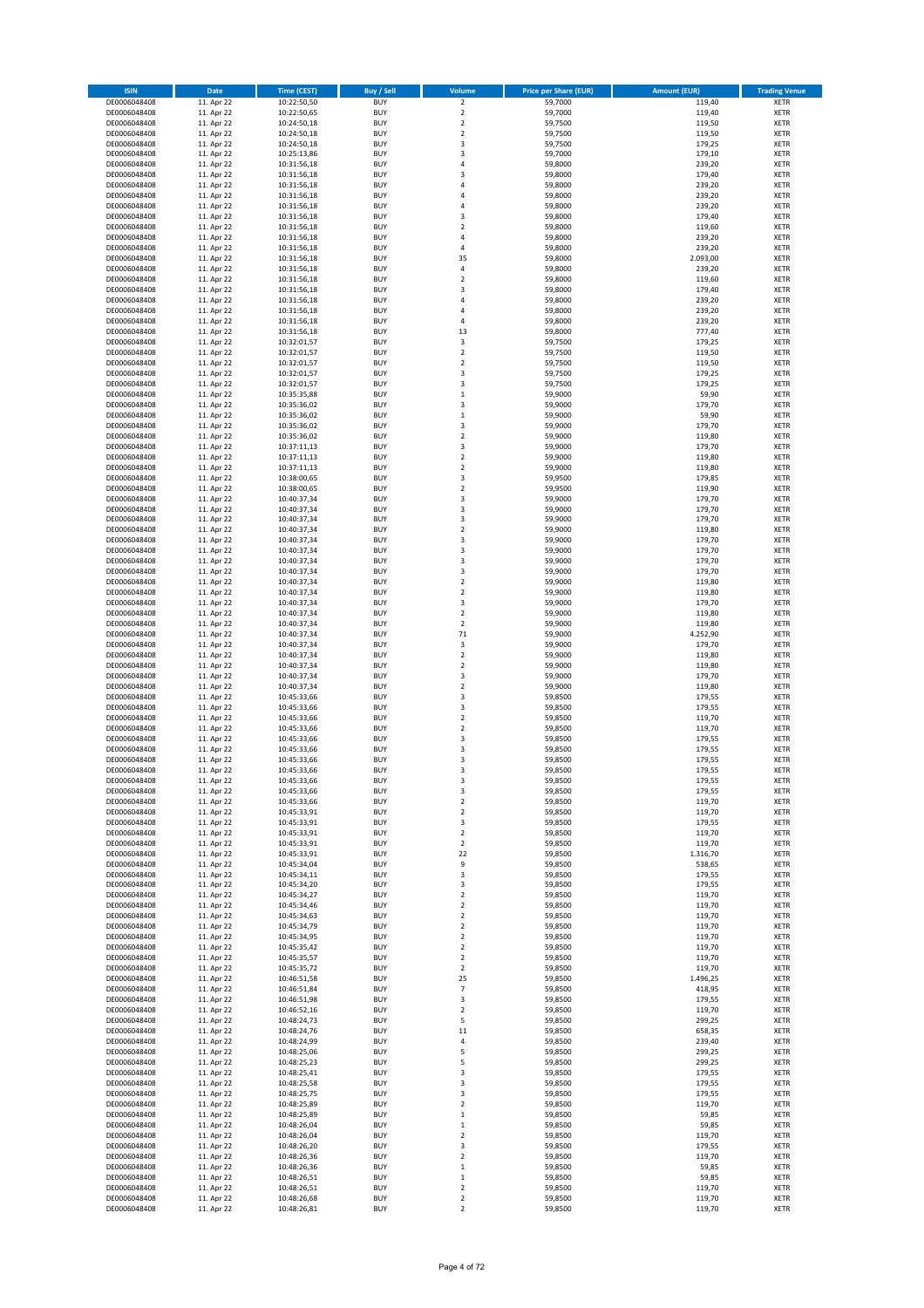| <b>ISIN</b>                  | <b>Date</b>              | <b>Time (CEST)</b>         | Buy / Sell               | Volume                       | <b>Price per Share (EUR)</b> | <b>Amount (EUR)</b> | <b>Trading Venue</b>       |
|------------------------------|--------------------------|----------------------------|--------------------------|------------------------------|------------------------------|---------------------|----------------------------|
| DE0006048408                 | 11. Apr 22               | 10:22:50,50                | <b>BUY</b>               | $\overline{\mathbf{c}}$      | 59,7000                      | 119,40              | XETR                       |
| DE0006048408                 | 11. Apr 22               | 10:22:50,65                | <b>BUY</b>               | $\mathbf 2$                  | 59,7000                      | 119,40              | XETR                       |
| DE0006048408<br>DE0006048408 | 11. Apr 22<br>11. Apr 22 | 10:24:50,18<br>10:24:50,18 | <b>BUY</b><br><b>BUY</b> | $\mathbf 2$<br>$\mathbf 2$   | 59,7500<br>59,7500           | 119,50<br>119,50    | XETR<br>XETR               |
| DE0006048408                 | 11. Apr 22               | 10:24:50,18                | <b>BUY</b>               | 3                            | 59,7500                      | 179,25              | XETR                       |
| DE0006048408                 | 11. Apr 22               | 10:25:13,86                | <b>BUY</b>               | 3                            | 59,7000                      | 179,10              | <b>XETR</b>                |
| DE0006048408                 | 11. Apr 22               | 10:31:56,18                | <b>BUY</b>               | 4                            | 59,8000                      | 239,20              | <b>XETR</b>                |
| DE0006048408                 | 11. Apr 22               | 10:31:56,18                | <b>BUY</b>               | 3                            | 59,8000                      | 179,40              | <b>XETR</b>                |
| DE0006048408<br>DE0006048408 | 11. Apr 22<br>11. Apr 22 | 10:31:56,18                | <b>BUY</b><br><b>BUY</b> | 4<br>$\overline{a}$          | 59,8000<br>59,8000           | 239,20<br>239,20    | <b>XETR</b><br><b>XETR</b> |
| DE0006048408                 | 11. Apr 22               | 10:31:56,18<br>10:31:56,18 | <b>BUY</b>               | 4                            | 59,8000                      | 239,20              | XETR                       |
| DE0006048408                 | 11. Apr 22               | 10:31:56,18                | <b>BUY</b>               | 3                            | 59,8000                      | 179,40              | <b>XETR</b>                |
| DE0006048408                 | 11. Apr 22               | 10:31:56,18                | <b>BUY</b>               | $\mathbf 2$                  | 59,8000                      | 119,60              | XETR                       |
| DE0006048408                 | 11. Apr 22               | 10:31:56,18                | <b>BUY</b>               | 4                            | 59,8000                      | 239,20              | <b>XETR</b>                |
| DE0006048408                 | 11. Apr 22               | 10:31:56,18                | <b>BUY</b>               | 4                            | 59,8000                      | 239,20              | XETR                       |
| DE0006048408<br>DE0006048408 | 11. Apr 22<br>11. Apr 22 | 10:31:56,18<br>10:31:56,18 | <b>BUY</b><br><b>BUY</b> | 35<br>4                      | 59,8000<br>59,8000           | 2.093,00<br>239,20  | <b>XETR</b><br>XETR        |
| DE0006048408                 | 11. Apr 22               | 10:31:56,18                | <b>BUY</b>               | $\mathbf 2$                  | 59,8000                      | 119,60              | <b>XETR</b>                |
| DE0006048408                 | 11. Apr 22               | 10:31:56,18                | <b>BUY</b>               | 3                            | 59,8000                      | 179,40              | XETR                       |
| DE0006048408                 | 11. Apr 22               | 10:31:56,18                | <b>BUY</b>               | 4                            | 59,8000                      | 239,20              | <b>XETR</b>                |
| DE0006048408                 | 11. Apr 22<br>11. Apr 22 | 10:31:56,18                | <b>BUY</b><br><b>BUY</b> | 4<br>4                       | 59,8000<br>59,8000           | 239,20<br>239,20    | XETR<br>XETR               |
| DE0006048408<br>DE0006048408 | 11. Apr 22               | 10:31:56,18<br>10:31:56,18 | <b>BUY</b>               | 13                           | 59,8000                      | 777,40              | <b>XETR</b>                |
| DE0006048408                 | 11. Apr 22               | 10:32:01,57                | <b>BUY</b>               | 3                            | 59,7500                      | 179,25              | <b>XETR</b>                |
| DE0006048408                 | 11. Apr 22               | 10:32:01,57                | <b>BUY</b>               | $\mathbf 2$                  | 59,7500                      | 119,50              | <b>XETR</b>                |
| DE0006048408                 | 11. Apr 22               | 10:32:01,57                | <b>BUY</b>               | $\mathbf 2$                  | 59,7500                      | 119,50              | <b>XETR</b>                |
| DE0006048408                 | 11. Apr 22               | 10:32:01,57                | <b>BUY</b>               | 3                            | 59,7500                      | 179,25              | <b>XETR</b>                |
| DE0006048408<br>DE0006048408 | 11. Apr 22<br>11. Apr 22 | 10:32:01,57<br>10:35:35,88 | <b>BUY</b><br><b>BUY</b> | 3<br>$\mathbf 1$             | 59,7500<br>59,9000           | 179,25<br>59,90     | <b>XETR</b><br><b>XETR</b> |
| DE0006048408                 | 11. Apr 22               | 10:35:36,02                | <b>BUY</b>               | 3                            | 59,9000                      | 179,70              | <b>XETR</b>                |
| DE0006048408                 | 11. Apr 22               | 10:35:36,02                | <b>BUY</b>               | $\mathbf 1$                  | 59,9000                      | 59,90               | <b>XETR</b>                |
| DE0006048408                 | 11. Apr 22               | 10:35:36,02                | <b>BUY</b>               | 3                            | 59,9000                      | 179,70              | <b>XETR</b>                |
| DE0006048408                 | 11. Apr 22               | 10:35:36,02                | <b>BUY</b>               | $\mathbf 2$                  | 59,9000                      | 119,80              | <b>XETR</b>                |
| DE0006048408<br>DE0006048408 | 11. Apr 22<br>11. Apr 22 | 10:37:11,13<br>10:37:11,13 | <b>BUY</b><br><b>BUY</b> | 3<br>$\mathbf 2$             | 59,9000<br>59,9000           | 179,70<br>119,80    | XETR<br><b>XETR</b>        |
| DE0006048408                 | 11. Apr 22               | 10:37:11,13                | <b>BUY</b>               | $\mathbf 2$                  | 59,9000                      | 119,80              | XETR                       |
| DE0006048408                 | 11. Apr 22               | 10:38:00,65                | <b>BUY</b>               | 3                            | 59,9500                      | 179,85              | <b>XETR</b>                |
| DE0006048408                 | 11. Apr 22               | 10:38:00,65                | <b>BUY</b>               | $\mathbf 2$                  | 59,9500                      | 119,90              | XETR                       |
| DE0006048408                 | 11. Apr 22               | 10:40:37,34                | <b>BUY</b>               | 3                            | 59,9000                      | 179,70              | <b>XETR</b>                |
| DE0006048408<br>DE0006048408 | 11. Apr 22<br>11. Apr 22 | 10:40:37,34                | <b>BUY</b><br><b>BUY</b> | 3<br>3                       | 59,9000<br>59,9000           | 179,70<br>179,70    | <b>XETR</b><br><b>XETR</b> |
| DE0006048408                 | 11. Apr 22               | 10:40:37,34<br>10:40:37,34 | <b>BUY</b>               | $\mathbf 2$                  | 59,9000                      | 119,80              | <b>XETR</b>                |
| DE0006048408                 | 11. Apr 22               | 10:40:37,34                | <b>BUY</b>               | 3                            | 59,9000                      | 179,70              | <b>XETR</b>                |
| DE0006048408                 | 11. Apr 22               | 10:40:37,34                | <b>BUY</b>               | 3                            | 59,9000                      | 179,70              | <b>XETR</b>                |
| DE0006048408                 | 11. Apr 22               | 10:40:37,34                | <b>BUY</b>               | 3                            | 59,9000                      | 179,70              | <b>XETR</b>                |
| DE0006048408                 | 11. Apr 22               | 10:40:37,34                | <b>BUY</b>               | 3                            | 59,9000                      | 179,70              | XETR                       |
| DE0006048408<br>DE0006048408 | 11. Apr 22<br>11. Apr 22 | 10:40:37,34<br>10:40:37,34 | <b>BUY</b><br><b>BUY</b> | 2<br>$\overline{\mathbf{c}}$ | 59,9000<br>59,9000           | 119,80<br>119,80    | XETR<br><b>XETR</b>        |
| DE0006048408                 | 11. Apr 22               | 10:40:37,34                | <b>BUY</b>               | 3                            | 59,9000                      | 179,70              | <b>XETR</b>                |
| DE0006048408                 | 11. Apr 22               | 10:40:37,34                | <b>BUY</b>               | $\mathbf 2$                  | 59,9000                      | 119,80              | XETR                       |
| DE0006048408                 | 11. Apr 22               | 10:40:37,34                | <b>BUY</b>               | $\mathbf 2$                  | 59,9000                      | 119,80              | <b>XETR</b>                |
| DE0006048408                 | 11. Apr 22               | 10:40:37,34                | <b>BUY</b><br><b>BUY</b> | 71<br>3                      | 59,9000                      | 4.252,90            | <b>XETR</b>                |
| DE0006048408<br>DE0006048408 | 11. Apr 22<br>11. Apr 22 | 10:40:37,34<br>10:40:37,34 | <b>BUY</b>               | $\mathbf 2$                  | 59,9000<br>59,9000           | 179,70<br>119,80    | <b>XETR</b><br><b>XETR</b> |
| DE0006048408                 | 11. Apr 22               | 10:40:37,34                | <b>BUY</b>               | $\mathbf 2$                  | 59,9000                      | 119,80              | XETR                       |
| DE0006048408                 | 11. Apr 22               | 10:40:37,34                | <b>BUY</b>               | 3                            | 59,9000                      | 179,70              | <b>XETR</b>                |
| DE0006048408                 | 11. Apr 22               | 10:40:37,34                | <b>BUY</b>               | $\mathbf 2$                  | 59,9000                      | 119,80              | <b>XETR</b>                |
| DE0006048408                 | 11. Apr 22               | 10:45:33,66                | <b>BUY</b><br><b>BUY</b> | 3                            | 59,8500                      | 179,55              | <b>XETR</b><br>XETR        |
| DE0006048408<br>DE0006048408 | 11. Apr 22<br>11. Apr 22 | 10:45:33,66<br>10:45:33,66 | <b>BUY</b>               | 3<br>$\overline{\mathbf{c}}$ | 59,8500<br>59,8500           | 179,55<br>119,70    | <b>XETR</b>                |
| DE0006048408                 | 11. Apr 22               | 10:45:33,66                | <b>BUY</b>               | $\mathbf 2$                  | 59,8500                      | 119,70              | XETR                       |
| DE0006048408                 | 11. Apr 22               | 10:45:33,66                | <b>BUY</b>               | 3                            | 59,8500                      | 179,55              | <b>XETR</b>                |
| DE0006048408                 | 11. Apr 22               | 10:45:33,66                | <b>BUY</b>               | 3                            | 59,8500                      | 179,55              | XETR                       |
| DE0006048408                 | 11. Apr 22               | 10:45:33,66                | <b>BUY</b><br><b>BUY</b> | 3<br>3                       | 59,8500                      | 179,55              | <b>XETR</b>                |
| DE0006048408<br>DE0006048408 | 11. Apr 22<br>11. Apr 22 | 10:45:33,66<br>10:45:33,66 | <b>BUY</b>               | 3                            | 59,8500<br>59,8500           | 179,55<br>179,55    | XETR<br>XETR               |
| DE0006048408                 | 11. Apr 22               | 10:45:33,66                | <b>BUY</b>               | 3                            | 59,8500                      | 179,55              | XETR                       |
| DE0006048408                 | 11. Apr 22               | 10:45:33,66                | <b>BUY</b>               | $\mathbf 2$                  | 59,8500                      | 119,70              | XETR                       |
| DE0006048408                 | 11. Apr 22               | 10:45:33,91                | <b>BUY</b>               | 2                            | 59,8500                      | 119,70              | XETR                       |
| DE0006048408                 | 11. Apr 22               | 10:45:33,91                | <b>BUY</b>               | 3                            | 59,8500                      | 179,55<br>119,70    | <b>XETR</b>                |
| DE0006048408<br>DE0006048408 | 11. Apr 22<br>11. Apr 22 | 10:45:33,91<br>10:45:33,91 | <b>BUY</b><br><b>BUY</b> | $\mathbf 2$<br>$\mathbf 2$   | 59,8500<br>59,8500           | 119,70              | XETR<br><b>XETR</b>        |
| DE0006048408                 | 11. Apr 22               | 10:45:33,91                | <b>BUY</b>               | 22                           | 59,8500                      | 1.316,70            | XETR                       |
| DE0006048408                 | 11. Apr 22               | 10:45:34,04                | <b>BUY</b>               | 9                            | 59,8500                      | 538,65              | <b>XETR</b>                |
| DE0006048408                 | 11. Apr 22               | 10:45:34,11                | <b>BUY</b>               | 3                            | 59,8500                      | 179,55              | XETR                       |
| DE0006048408<br>DE0006048408 | 11. Apr 22<br>11. Apr 22 | 10:45:34,20<br>10:45:34,27 | <b>BUY</b><br><b>BUY</b> | 3<br>$\mathbf 2$             | 59,8500<br>59,8500           | 179,55<br>119,70    | <b>XETR</b><br>XETR        |
| DE0006048408                 | 11. Apr 22               | 10:45:34,46                | <b>BUY</b>               | $\mathbf 2$                  | 59,8500                      | 119,70              | <b>XETR</b>                |
| DE0006048408                 | 11. Apr 22               | 10:45:34,63                | <b>BUY</b>               | $\mathbf 2$                  | 59,8500                      | 119,70              | XETR                       |
| DE0006048408                 | 11. Apr 22               | 10:45:34,79                | <b>BUY</b>               | $\mathbf 2$                  | 59,8500                      | 119,70              | <b>XETR</b>                |
| DE0006048408                 | 11. Apr 22               | 10:45:34,95                | <b>BUY</b>               | $\mathbf 2$                  | 59,8500                      | 119,70              | XETR                       |
| DE0006048408<br>DE0006048408 | 11. Apr 22<br>11. Apr 22 | 10:45:35,42                | <b>BUY</b><br><b>BUY</b> | $\mathbf 2$                  | 59,8500<br>59,8500           | 119,70<br>119,70    | <b>XETR</b><br>XETR        |
| DE0006048408                 | 11. Apr 22               | 10:45:35,57<br>10:45:35,72 | <b>BUY</b>               | 2<br>2                       | 59,8500                      | 119,70              | <b>XETR</b>                |
| DE0006048408                 | 11. Apr 22               | 10:46:51,58                | <b>BUY</b>               | 25                           | 59,8500                      | 1.496,25            | XETR                       |
| DE0006048408                 | 11. Apr 22               | 10:46:51,84                | <b>BUY</b>               | 7                            | 59,8500                      | 418,95              | <b>XETR</b>                |
| DE0006048408                 | 11. Apr 22               | 10:46:51,98                | <b>BUY</b>               | 3                            | 59,8500                      | 179,55              | <b>XETR</b>                |
| DE0006048408<br>DE0006048408 | 11. Apr 22<br>11. Apr 22 | 10:46:52,16<br>10:48:24,73 | <b>BUY</b><br><b>BUY</b> | 2<br>5                       | 59,8500<br>59,8500           | 119,70<br>299,25    | XETR<br><b>XETR</b>        |
| DE0006048408                 | 11. Apr 22               | 10:48:24,76                | <b>BUY</b>               | 11                           | 59,8500                      | 658,35              | XETR                       |
| DE0006048408                 | 11. Apr 22               | 10:48:24,99                | <b>BUY</b>               | 4                            | 59,8500                      | 239,40              | <b>XETR</b>                |
| DE0006048408                 | 11. Apr 22               | 10:48:25,06                | <b>BUY</b>               | 5                            | 59,8500                      | 299,25              | XETR                       |
| DE0006048408                 | 11. Apr 22               | 10:48:25,23                | <b>BUY</b>               | 5                            | 59,8500                      | 299,25              | <b>XETR</b>                |
| DE0006048408                 | 11. Apr 22               | 10:48:25,41                | <b>BUY</b><br><b>BUY</b> | 3                            | 59,8500                      | 179,55              | XETR<br><b>XETR</b>        |
| DE0006048408<br>DE0006048408 | 11. Apr 22<br>11. Apr 22 | 10:48:25,58<br>10:48:25,75 | <b>BUY</b>               | 3<br>3                       | 59,8500<br>59,8500           | 179,55<br>179,55    | XETR                       |
| DE0006048408                 | 11. Apr 22               | 10:48:25,89                | <b>BUY</b>               | $\mathbf 2$                  | 59,8500                      | 119,70              | <b>XETR</b>                |
| DE0006048408                 |                          | 10:48:25,89                | <b>BUY</b>               | $\mathbf 1$                  | 59,8500                      | 59,85               | XETR                       |
|                              | 11. Apr 22               |                            |                          |                              |                              | 59,85               | <b>XETR</b>                |
| DE0006048408                 | 11. Apr 22               | 10:48:26,04                | <b>BUY</b>               | $\mathbf 1$                  | 59,8500                      |                     |                            |
| DE0006048408                 | 11. Apr 22               | 10:48:26,04                | <b>BUY</b>               | 2                            | 59,8500                      | 119,70              | <b>XETR</b>                |
| DE0006048408<br>DE0006048408 | 11. Apr 22               | 10:48:26,20                | <b>BUY</b><br><b>BUY</b> | 3<br>$\mathbf 2$             | 59,8500<br>59,8500           | 179,55<br>119,70    | <b>XETR</b><br>XETR        |
| DE0006048408                 | 11. Apr 22<br>11. Apr 22 | 10:48:26,36<br>10:48:26,36 | <b>BUY</b>               | $\mathbf 1$                  | 59,8500                      | 59,85               | <b>XETR</b>                |
| DE0006048408                 | 11. Apr 22               | 10:48:26,51                | <b>BUY</b>               | $\mathbf 1$                  | 59,8500                      | 59,85               | XETR                       |
| DE0006048408<br>DE0006048408 | 11. Apr 22<br>11. Apr 22 | 10:48:26,51<br>10:48:26,68 | <b>BUY</b><br><b>BUY</b> | $\mathbf 2$<br>$\mathbf 2$   | 59,8500<br>59,8500           | 119,70<br>119,70    | XETR<br>XETR               |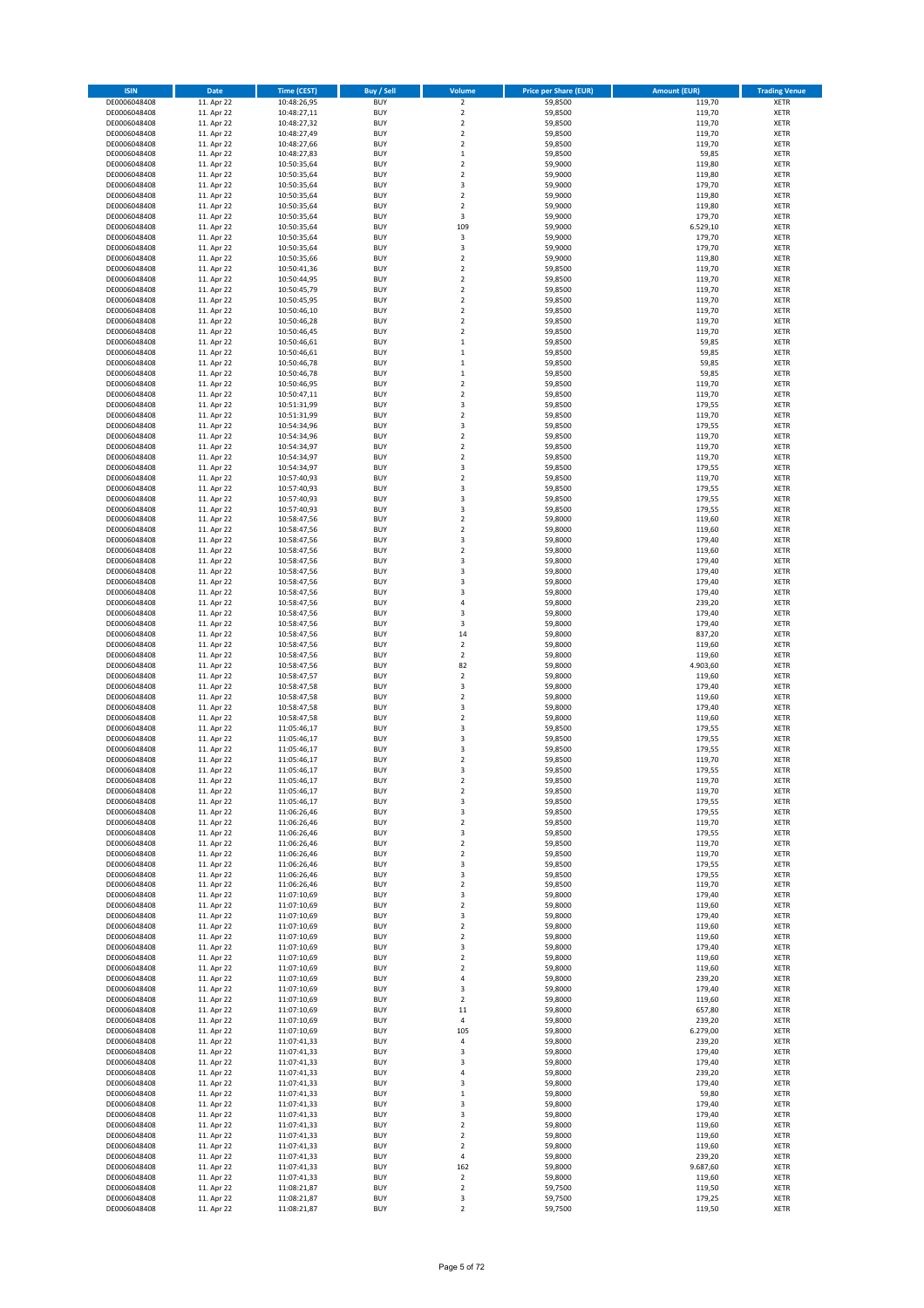| <b>BUY</b><br>DE0006048408<br>11. Apr 22<br>10:48:26,95<br>$\overline{\mathbf{c}}$<br>59,8500<br>119,70<br>XETR<br>$\mathbf 2$<br>59,8500<br>119,70<br>DE0006048408<br>11. Apr 22<br>10:48:27,11<br><b>BUY</b><br>XETR<br>$\mathbf 2$<br>59,8500<br>119,70<br>11. Apr 22<br><b>BUY</b><br>XETR<br>DE0006048408<br>10:48:27,32<br>DE0006048408<br>11. Apr 22<br>10:48:27,49<br><b>BUY</b><br>$\mathbf 2$<br>59,8500<br>119,70<br>XETR<br>11. Apr 22<br><b>BUY</b><br>$\mathbf 2$<br>59,8500<br>119,70<br>XETR<br>DE0006048408<br>10:48:27,66<br>DE0006048408<br>11. Apr 22<br>10:48:27,83<br><b>BUY</b><br>$\mathbf{1}$<br>59,8500<br>59,85<br><b>XETR</b><br>DE0006048408<br>11. Apr 22<br><b>BUY</b><br>$\overline{\mathbf{c}}$<br>59,9000<br>119,80<br><b>XETR</b><br>10:50:35,64<br>DE0006048408<br>11. Apr 22<br><b>BUY</b><br>$\overline{\mathbf{c}}$<br>59,9000<br>119,80<br><b>XETR</b><br>10:50:35,64<br>11. Apr 22<br><b>BUY</b><br>3<br>59,9000<br>179,70<br><b>XETR</b><br>DE0006048408<br>10:50:35,64<br>DE0006048408<br>11. Apr 22<br><b>BUY</b><br>$\overline{\mathbf{c}}$<br>59,9000<br>119,80<br><b>XETR</b><br>10:50:35,64<br>11. Apr 22<br><b>BUY</b><br>$\mathbf 2$<br>59,9000<br>119,80<br>XETR<br>DE0006048408<br>10:50:35,64<br>DE0006048408<br>11. Apr 22<br><b>BUY</b><br>3<br>59,9000<br>179,70<br><b>XETR</b><br>10:50:35,64<br><b>BUY</b><br>109<br>6.529,10<br>XETR<br>DE0006048408<br>11. Apr 22<br>59,9000<br>10:50:35,64<br>DE0006048408<br>11. Apr 22<br><b>BUY</b><br>3<br>59,9000<br>179,70<br><b>XETR</b><br>10:50:35,64<br>DE0006048408<br>11. Apr 22<br><b>BUY</b><br>3<br>59,9000<br>179,70<br>XETR<br>10:50:35,64<br>DE0006048408<br>11. Apr 22<br><b>BUY</b><br>$\overline{\mathbf{c}}$<br>59,9000<br>119,80<br><b>XETR</b><br>10:50:35,66<br>11. Apr 22<br><b>BUY</b><br>119,70<br>XETR<br>DE0006048408<br>10:50:41,36<br>2<br>59,8500<br>DE0006048408<br>11. Apr 22<br><b>BUY</b><br>$\overline{\mathbf{c}}$<br>59,8500<br>119,70<br><b>XETR</b><br>10:50:44,95<br>11. Apr 22<br><b>BUY</b><br>$\mathbf 2$<br>59,8500<br>119,70<br>XETR<br>DE0006048408<br>10:50:45,79<br><b>BUY</b><br>$\overline{\mathbf{c}}$<br>DE0006048408<br>11. Apr 22<br>10:50:45,95<br>59,8500<br>119,70<br><b>XETR</b><br>DE0006048408<br>11. Apr 22<br><b>BUY</b><br>$\overline{\mathbf{c}}$<br>59,8500<br>119,70<br>XETR<br>10:50:46,10<br>11. Apr 22<br><b>BUY</b><br>$\overline{\mathbf{c}}$<br>59,8500<br>119,70<br>XETR<br>DE0006048408<br>10:50:46,28<br>DE0006048408<br>11. Apr 22<br>10:50:46,45<br><b>BUY</b><br>$\overline{\mathbf{c}}$<br>59,8500<br>119,70<br><b>XETR</b><br>11. Apr 22<br><b>BUY</b><br>59,8500<br>59,85<br>DE0006048408<br>10:50:46,61<br>$\mathbf 1$<br><b>XETR</b><br>DE0006048408<br>11. Apr 22<br>10:50:46,61<br><b>BUY</b><br>59,8500<br>59,85<br><b>XETR</b><br>$\mathbf 1$<br>11. Apr 22<br><b>BUY</b><br>59,8500<br>59,85<br><b>XETR</b><br>DE0006048408<br>10:50:46,78<br>$\mathbf 1$<br>DE0006048408<br>11. Apr 22<br><b>BUY</b><br>$\mathbf 1$<br>59,8500<br>59,85<br><b>XETR</b><br>10:50:46,78<br>$\mathbf 2$<br>11. Apr 22<br><b>BUY</b><br>59,8500<br>119,70<br>DE0006048408<br>10:50:46,95<br><b>XETR</b><br>DE0006048408<br>11. Apr 22<br><b>BUY</b><br>$\mathbf 2$<br>59,8500<br>119,70<br><b>XETR</b><br>10:50:47,11<br><b>BUY</b><br>179,55<br>DE0006048408<br>11. Apr 22<br>10:51:31,99<br>3<br>59,8500<br><b>XETR</b><br>DE0006048408<br>11. Apr 22<br><b>BUY</b><br>$\mathbf 2$<br>59,8500<br>119,70<br><b>XETR</b><br>10:51:31,99<br>11. Apr 22<br><b>BUY</b><br>3<br>179,55<br>DE0006048408<br>10:54:34,96<br>59,8500<br><b>XETR</b><br>DE0006048408<br><b>BUY</b><br>$\mathbf 2$<br>119,70<br>11. Apr 22<br>10:54:34,96<br>59,8500<br><b>XETR</b><br><b>BUY</b><br>$\mathbf 2$<br>119,70<br>XETR<br>DE0006048408<br>11. Apr 22<br>10:54:34,97<br>59,8500<br>DE0006048408<br>11. Apr 22<br><b>BUY</b><br>$\mathbf 2$<br>59,8500<br>119,70<br><b>XETR</b><br>10:54:34,97<br>11. Apr 22<br><b>BUY</b><br>3<br>59,8500<br>179,55<br>XETR<br>DE0006048408<br>10:54:34,97<br>DE0006048408<br>11. Apr 22<br><b>BUY</b><br>$\mathbf 2$<br>59,8500<br>119,70<br><b>XETR</b><br>10:57:40,93<br>179,55<br>DE0006048408<br>11. Apr 22<br><b>BUY</b><br>3<br>59,8500<br>XETR<br>10:57:40,93<br>DE0006048408<br>11. Apr 22<br>10:57:40,93<br><b>BUY</b><br>3<br>59,8500<br>179,55<br><b>XETR</b><br>11. Apr 22<br>179,55<br>DE0006048408<br><b>BUY</b><br>3<br>59,8500<br><b>XETR</b><br>10:57:40,93<br>DE0006048408<br>11. Apr 22<br><b>BUY</b><br>$\overline{\mathbf{c}}$<br>59,8000<br>119,60<br><b>XETR</b><br>10:58:47,56<br>DE0006048408<br>11. Apr 22<br><b>BUY</b><br>$\mathbf 2$<br>59,8000<br>119,60<br><b>XETR</b><br>10:58:47,56<br>DE0006048408<br>11. Apr 22<br><b>BUY</b><br>3<br>59,8000<br>179,40<br><b>XETR</b><br>10:58:47,56<br>11. Apr 22<br><b>BUY</b><br>$\overline{\mathbf{c}}$<br>59,8000<br>119,60<br><b>XETR</b><br>DE0006048408<br>10:58:47,56<br>DE0006048408<br>11. Apr 22<br><b>BUY</b><br>3<br>59,8000<br>179,40<br><b>XETR</b><br>10:58:47,56<br>DE0006048408<br>11. Apr 22<br><b>BUY</b><br>3<br>59,8000<br>179,40<br>XETR<br>10:58:47,56<br>DE0006048408<br>11. Apr 22<br>10:58:47,56<br><b>BUY</b><br>3<br>59,8000<br>179,40<br>XETR<br>DE0006048408<br>11. Apr 22<br><b>BUY</b><br>3<br>59,8000<br>179,40<br><b>XETR</b><br>10:58:47,56<br><b>BUY</b><br>239,20<br>DE0006048408<br>11. Apr 22<br>10:58:47,56<br>4<br>59,8000<br><b>XETR</b><br>DE0006048408<br>11. Apr 22<br><b>BUY</b><br>3<br>59,8000<br>179,40<br><b>XETR</b><br>10:58:47,56<br><b>BUY</b><br>179,40<br>DE0006048408<br>11. Apr 22<br>10:58:47,56<br>3<br>59,8000<br><b>XETR</b><br>DE0006048408<br>11. Apr 22<br><b>BUY</b><br>14<br>59,8000<br>837,20<br><b>XETR</b><br>10:58:47,56<br>$\mathbf 2$<br><b>BUY</b><br>59,8000<br>119,60<br>DE0006048408<br>11. Apr 22<br>10:58:47,56<br><b>XETR</b><br>DE0006048408<br>11. Apr 22<br><b>BUY</b><br>$\overline{\mathbf{c}}$<br>59,8000<br>119,60<br><b>XETR</b><br>10:58:47,56<br>11. Apr 22<br><b>BUY</b><br>82<br>59,8000<br>4.903,60<br>XETR<br>DE0006048408<br>10:58:47,56<br>DE0006048408<br>11. Apr 22<br><b>BUY</b><br>$\overline{\mathbf{c}}$<br>59,8000<br>119,60<br><b>XETR</b><br>10:58:47,57<br>11. Apr 22<br><b>BUY</b><br>3<br>59,8000<br>179,40<br>DE0006048408<br>10:58:47,58<br><b>XETR</b><br>DE0006048408<br>11. Apr 22<br>10:58:47,58<br><b>BUY</b><br>$\overline{\mathbf{c}}$<br>59,8000<br>119,60<br><b>XETR</b><br>11. Apr 22<br><b>BUY</b><br>3<br>59,8000<br>179,40<br><b>XETR</b><br>DE0006048408<br>10:58:47,58<br>DE0006048408<br>11. Apr 22<br><b>BUY</b><br>$\overline{\mathbf{c}}$<br>59,8000<br>119,60<br><b>XETR</b><br>10:58:47,58<br>11. Apr 22<br><b>BUY</b><br>3<br>59,8500<br>179,55<br>XETR<br>DE0006048408<br>11:05:46,17<br>DE0006048408<br>11. Apr 22<br><b>BUY</b><br>3<br>59,8500<br>179,55<br><b>XETR</b><br>11:05:46,17<br><b>BUY</b><br>179,55<br>XETR<br>DE0006048408<br>11. Apr 22<br>11:05:46,17<br>3<br>59,8500<br>DE0006048408<br><b>BUY</b><br>$\overline{\mathbf{c}}$<br>59,8500<br>119,70<br><b>XETR</b><br>11. Apr 22<br>11:05:46,17<br>DE0006048408<br><b>BUY</b><br>59,8500<br>179,55<br>XETR<br>11. Apr 22<br>11:05:46,17<br>3<br>DE0006048408<br>11. Apr 22<br>11:05:46,17<br><b>BUY</b><br>2<br>59,8500<br>119,70<br>XETR<br>DE0006048408<br>$\boldsymbol{2}$<br>59,8500<br>119,70<br>XETR<br>11. Apr 22<br>11:05:46,17<br><b>BUY</b><br>DE0006048408<br>11. Apr 22<br>11:05:46,17<br><b>BUY</b><br>59,8500<br>179,55<br>XETR<br>3<br>59,8500<br>DE0006048408<br>11. Apr 22<br>11:06:26,46<br><b>BUY</b><br>179,55<br>XETR<br>3<br>DE0006048408<br>11. Apr 22<br>11:06:26,46<br><b>BUY</b><br>$\mathbf 2$<br>59,8500<br>119,70<br>XETR<br>179,55<br>11. Apr 22<br>11:06:26,46<br><b>BUY</b><br>59,8500<br>XETR<br>DE0006048408<br>3<br>DE0006048408<br>11. Apr 22<br>11:06:26,46<br><b>BUY</b><br>$\overline{\mathbf{c}}$<br>59,8500<br>119,70<br><b>XETR</b><br>DE0006048408<br>11. Apr 22<br>11:06:26,46<br><b>BUY</b><br>$\mathbf 2$<br>59,8500<br>119,70<br>XETR<br>11. Apr 22<br><b>BUY</b><br>3<br>59,8500<br>179,55<br>DE0006048408<br>11:06:26,46<br><b>XETR</b><br>DE0006048408<br>11. Apr 22<br>11:06:26,46<br><b>BUY</b><br>3<br>59,8500<br>179,55<br>XETR<br>11. Apr 22<br><b>BUY</b><br>59,8500<br>119,70<br>DE0006048408<br>11:06:26,46<br>2<br><b>XETR</b><br>DE0006048408<br>11. Apr 22<br>11:07:10,69<br><b>BUY</b><br>3<br>59,8000<br>179,40<br>XETR<br>11. Apr 22<br><b>BUY</b><br>$\mathbf 2$<br>59,8000<br>119,60<br>DE0006048408<br>11:07:10,69<br><b>XETR</b><br>DE0006048408<br>11. Apr 22<br>11:07:10,69<br><b>BUY</b><br>3<br>59,8000<br>179,40<br>XETR<br>$\mathbf 2$<br>59,8000<br>DE0006048408<br>11. Apr 22<br>11:07:10,69<br><b>BUY</b><br>119,60<br><b>XETR</b><br>DE0006048408<br>11. Apr 22<br>11:07:10,69<br><b>BUY</b><br>$\mathbf 2$<br>59,8000<br>119,60<br>XETR<br>59,8000<br>DE0006048408<br>11. Apr 22<br>11:07:10,69<br><b>BUY</b><br>3<br>179,40<br><b>XETR</b><br>DE0006048408<br>11. Apr 22<br><b>BUY</b><br>59,8000<br>119,60<br>XETR<br>11:07:10,69<br>2<br>59,8000<br>DE0006048408<br>11. Apr 22<br>11:07:10,69<br><b>BUY</b><br>2<br>119,60<br><b>XETR</b><br>DE0006048408<br>11. Apr 22<br><b>BUY</b><br>4<br>59,8000<br>239,20<br>XETR<br>11:07:10,69<br><b>BUY</b><br>59,8000<br>179,40<br>DE0006048408<br>11. Apr 22<br>11:07:10,69<br>3<br><b>XETR</b><br><b>BUY</b><br>59,8000<br>119,60<br>DE0006048408<br>11. Apr 22<br>11:07:10,69<br>2<br><b>XETR</b><br><b>BUY</b><br>59,8000<br>657,80<br>XETR<br>DE0006048408<br>11. Apr 22<br>11:07:10,69<br>11<br>DE0006048408<br>11. Apr 22<br>11:07:10,69<br><b>BUY</b><br>59,8000<br>239,20<br><b>XETR</b><br>4<br>6.279,00<br>DE0006048408<br>11. Apr 22<br><b>BUY</b><br>105<br>59,8000<br>XETR<br>11:07:10,69<br>DE0006048408<br>11. Apr 22<br><b>BUY</b><br>59,8000<br>239,20<br><b>XETR</b><br>11:07:41,33<br>4<br>11. Apr 22<br><b>BUY</b><br>59,8000<br>179,40<br>XETR<br>DE0006048408<br>11:07:41,33<br>3<br>DE0006048408<br>11. Apr 22<br>11:07:41,33<br><b>BUY</b><br>59,8000<br>179,40<br><b>XETR</b><br>3<br>59,8000<br>11. Apr 22<br><b>BUY</b><br>239,20<br>XETR<br>DE0006048408<br>11:07:41,33<br>4<br>DE0006048408<br>11. Apr 22<br><b>BUY</b><br>59,8000<br>179,40<br><b>XETR</b><br>11:07:41,33<br>3<br>11. Apr 22<br><b>BUY</b><br>59,8000<br>59,80<br>XETR<br>DE0006048408<br>11:07:41,33<br>$\mathbf 1$<br>DE0006048408<br>11. Apr 22<br><b>BUY</b><br>59,8000<br>179,40<br><b>XETR</b><br>11:07:41,33<br>3<br>DE0006048408<br>11. Apr 22<br><b>BUY</b><br>3<br>59,8000<br>179,40<br>XETR<br>11:07:41,33<br>DE0006048408<br>11. Apr 22<br><b>BUY</b><br>59,8000<br>119,60<br>11:07:41,33<br>2<br><b>XETR</b><br><b>BUY</b><br>59,8000<br>119,60<br>DE0006048408<br>11. Apr 22<br>2<br><b>XETR</b><br>11:07:41,33<br>DE0006048408<br>11. Apr 22<br>11:07:41,33<br><b>BUY</b><br>2<br>59,8000<br>119,60<br><b>XETR</b><br>DE0006048408<br>11. Apr 22<br><b>BUY</b><br>4<br>59,8000<br>239,20<br>XETR<br>11:07:41,33<br>59,8000<br>9.687,60<br>DE0006048408<br>11. Apr 22<br>11:07:41,33<br><b>BUY</b><br>162<br><b>XETR</b><br>DE0006048408<br>11. Apr 22<br><b>BUY</b><br>$\boldsymbol{2}$<br>59,8000<br>119,60<br>XETR<br>11:07:41,33 | <b>ISIN</b>  | <b>Date</b> | <b>Time (CEST)</b> | <b>Buy / Sell</b> | Volume      | <b>Price per Share (EUR)</b> | <b>Amount (EUR)</b> | <b>Trading Venue</b> |
|--------------------------------------------------------------------------------------------------------------------------------------------------------------------------------------------------------------------------------------------------------------------------------------------------------------------------------------------------------------------------------------------------------------------------------------------------------------------------------------------------------------------------------------------------------------------------------------------------------------------------------------------------------------------------------------------------------------------------------------------------------------------------------------------------------------------------------------------------------------------------------------------------------------------------------------------------------------------------------------------------------------------------------------------------------------------------------------------------------------------------------------------------------------------------------------------------------------------------------------------------------------------------------------------------------------------------------------------------------------------------------------------------------------------------------------------------------------------------------------------------------------------------------------------------------------------------------------------------------------------------------------------------------------------------------------------------------------------------------------------------------------------------------------------------------------------------------------------------------------------------------------------------------------------------------------------------------------------------------------------------------------------------------------------------------------------------------------------------------------------------------------------------------------------------------------------------------------------------------------------------------------------------------------------------------------------------------------------------------------------------------------------------------------------------------------------------------------------------------------------------------------------------------------------------------------------------------------------------------------------------------------------------------------------------------------------------------------------------------------------------------------------------------------------------------------------------------------------------------------------------------------------------------------------------------------------------------------------------------------------------------------------------------------------------------------------------------------------------------------------------------------------------------------------------------------------------------------------------------------------------------------------------------------------------------------------------------------------------------------------------------------------------------------------------------------------------------------------------------------------------------------------------------------------------------------------------------------------------------------------------------------------------------------------------------------------------------------------------------------------------------------------------------------------------------------------------------------------------------------------------------------------------------------------------------------------------------------------------------------------------------------------------------------------------------------------------------------------------------------------------------------------------------------------------------------------------------------------------------------------------------------------------------------------------------------------------------------------------------------------------------------------------------------------------------------------------------------------------------------------------------------------------------------------------------------------------------------------------------------------------------------------------------------------------------------------------------------------------------------------------------------------------------------------------------------------------------------------------------------------------------------------------------------------------------------------------------------------------------------------------------------------------------------------------------------------------------------------------------------------------------------------------------------------------------------------------------------------------------------------------------------------------------------------------------------------------------------------------------------------------------------------------------------------------------------------------------------------------------------------------------------------------------------------------------------------------------------------------------------------------------------------------------------------------------------------------------------------------------------------------------------------------------------------------------------------------------------------------------------------------------------------------------------------------------------------------------------------------------------------------------------------------------------------------------------------------------------------------------------------------------------------------------------------------------------------------------------------------------------------------------------------------------------------------------------------------------------------------------------------------------------------------------------------------------------------------------------------------------------------------------------------------------------------------------------------------------------------------------------------------------------------------------------------------------------------------------------------------------------------------------------------------------------------------------------------------------------------------------------------------------------------------------------------------------------------------------------------------------------------------------------------------------------------------------------------------------------------------------------------------------------------------------------------------------------------------------------------------------------------------------------------------------------------------------------------------------------------------------------------------------------------------------------------------------------------------------------------------------------------------------------------------------------------------------------------------------------------------------------------------------------------------------------------------------------------------------------------------------------------------------------------------------------------------------------------------------------------------------------------------------------------------------------------------------------------------------------------------------------------------------------------------------------------------------------------------------------------------------------------------------------------------------------------------------------------------------------------------------------------------------------------------------------------------------------------------------------------------------------------------------------------------------------------------------------------------------------------------------------------------------------------------------------------------------------------------------------------------------------------------------------------------------------------------------------------------------------------------------------------------------------------------------------------------------------------------------------------------------------------------------------------------------------------------------------------------------------------------------------------------------------------------------------------------------------------------------------------------------------------------------------------------------------------------------------------------------------------------------------------------------------------------------------------------------------------------------------------------------------------------------------------------------------------------------------------------------------------------------------------------------------------------------------------------------------------------------------------------------------------------------------------------------------------------------------------------------------------------------------------------------------------------------------------------------------------------------------------------------------------------------------------------------------------------------------------------------------------------------------------------------------------------------------------------------------------------------------------------------------------------------------------------------------------------------------------------------------------------------------------------------------------------------------------------------------------------------------------------------------------------------------------------------------------------------------------------------------------------------------------------------------------------------------------------------------------------------------------------------------------------------------------------------------------------------------------------------------------------------------------------------------------------------------------------------------------------------------------------------------------------------------------------------------------------------------------------------------------------------------------------------------------------------------------------------------------------------------------------------------------------------------------------------------------------------------------------------------------------------------------------|--------------|-------------|--------------------|-------------------|-------------|------------------------------|---------------------|----------------------|
|                                                                                                                                                                                                                                                                                                                                                                                                                                                                                                                                                                                                                                                                                                                                                                                                                                                                                                                                                                                                                                                                                                                                                                                                                                                                                                                                                                                                                                                                                                                                                                                                                                                                                                                                                                                                                                                                                                                                                                                                                                                                                                                                                                                                                                                                                                                                                                                                                                                                                                                                                                                                                                                                                                                                                                                                                                                                                                                                                                                                                                                                                                                                                                                                                                                                                                                                                                                                                                                                                                                                                                                                                                                                                                                                                                                                                                                                                                                                                                                                                                                                                                                                                                                                                                                                                                                                                                                                                                                                                                                                                                                                                                                                                                                                                                                                                                                                                                                                                                                                                                                                                                                                                                                                                                                                                                                                                                                                                                                                                                                                                                                                                                                                                                                                                                                                                                                                                                                                                                                                                                                                                                                                                                                                                                                                                                                                                                                                                                                                                                                                                                                                                                                                                                                                                                                                                                                                                                                                                                                                                                                                                                                                                                                                                                                                                                                                                                                                                                                                                                                                                                                                                                                                                                                                                                                                                                                                                                                                                                                                                                                                                                                                                                                                                                                                                                                                                                                                                                                                                                                                                                                                                                                                                                                                                                                                                                                                                                                                                                                                                                                                                                                                                                                                                                                                                                                                                                                                                                                                                                                                                                                                                                                                                                                                                                                                                                                                                                                                                                                                                                                                                                                                                                                                                                                                                                                                                                                                                                                                                                                                                                                                                                                                                                                                                                                                                                                                                                                                                                                                                                                                                                                                                                                                                                                  |              |             |                    |                   |             |                              |                     |                      |
|                                                                                                                                                                                                                                                                                                                                                                                                                                                                                                                                                                                                                                                                                                                                                                                                                                                                                                                                                                                                                                                                                                                                                                                                                                                                                                                                                                                                                                                                                                                                                                                                                                                                                                                                                                                                                                                                                                                                                                                                                                                                                                                                                                                                                                                                                                                                                                                                                                                                                                                                                                                                                                                                                                                                                                                                                                                                                                                                                                                                                                                                                                                                                                                                                                                                                                                                                                                                                                                                                                                                                                                                                                                                                                                                                                                                                                                                                                                                                                                                                                                                                                                                                                                                                                                                                                                                                                                                                                                                                                                                                                                                                                                                                                                                                                                                                                                                                                                                                                                                                                                                                                                                                                                                                                                                                                                                                                                                                                                                                                                                                                                                                                                                                                                                                                                                                                                                                                                                                                                                                                                                                                                                                                                                                                                                                                                                                                                                                                                                                                                                                                                                                                                                                                                                                                                                                                                                                                                                                                                                                                                                                                                                                                                                                                                                                                                                                                                                                                                                                                                                                                                                                                                                                                                                                                                                                                                                                                                                                                                                                                                                                                                                                                                                                                                                                                                                                                                                                                                                                                                                                                                                                                                                                                                                                                                                                                                                                                                                                                                                                                                                                                                                                                                                                                                                                                                                                                                                                                                                                                                                                                                                                                                                                                                                                                                                                                                                                                                                                                                                                                                                                                                                                                                                                                                                                                                                                                                                                                                                                                                                                                                                                                                                                                                                                                                                                                                                                                                                                                                                                                                                                                                                                                                                                                                  |              |             |                    |                   |             |                              |                     |                      |
|                                                                                                                                                                                                                                                                                                                                                                                                                                                                                                                                                                                                                                                                                                                                                                                                                                                                                                                                                                                                                                                                                                                                                                                                                                                                                                                                                                                                                                                                                                                                                                                                                                                                                                                                                                                                                                                                                                                                                                                                                                                                                                                                                                                                                                                                                                                                                                                                                                                                                                                                                                                                                                                                                                                                                                                                                                                                                                                                                                                                                                                                                                                                                                                                                                                                                                                                                                                                                                                                                                                                                                                                                                                                                                                                                                                                                                                                                                                                                                                                                                                                                                                                                                                                                                                                                                                                                                                                                                                                                                                                                                                                                                                                                                                                                                                                                                                                                                                                                                                                                                                                                                                                                                                                                                                                                                                                                                                                                                                                                                                                                                                                                                                                                                                                                                                                                                                                                                                                                                                                                                                                                                                                                                                                                                                                                                                                                                                                                                                                                                                                                                                                                                                                                                                                                                                                                                                                                                                                                                                                                                                                                                                                                                                                                                                                                                                                                                                                                                                                                                                                                                                                                                                                                                                                                                                                                                                                                                                                                                                                                                                                                                                                                                                                                                                                                                                                                                                                                                                                                                                                                                                                                                                                                                                                                                                                                                                                                                                                                                                                                                                                                                                                                                                                                                                                                                                                                                                                                                                                                                                                                                                                                                                                                                                                                                                                                                                                                                                                                                                                                                                                                                                                                                                                                                                                                                                                                                                                                                                                                                                                                                                                                                                                                                                                                                                                                                                                                                                                                                                                                                                                                                                                                                                                                                                  |              |             |                    |                   |             |                              |                     |                      |
|                                                                                                                                                                                                                                                                                                                                                                                                                                                                                                                                                                                                                                                                                                                                                                                                                                                                                                                                                                                                                                                                                                                                                                                                                                                                                                                                                                                                                                                                                                                                                                                                                                                                                                                                                                                                                                                                                                                                                                                                                                                                                                                                                                                                                                                                                                                                                                                                                                                                                                                                                                                                                                                                                                                                                                                                                                                                                                                                                                                                                                                                                                                                                                                                                                                                                                                                                                                                                                                                                                                                                                                                                                                                                                                                                                                                                                                                                                                                                                                                                                                                                                                                                                                                                                                                                                                                                                                                                                                                                                                                                                                                                                                                                                                                                                                                                                                                                                                                                                                                                                                                                                                                                                                                                                                                                                                                                                                                                                                                                                                                                                                                                                                                                                                                                                                                                                                                                                                                                                                                                                                                                                                                                                                                                                                                                                                                                                                                                                                                                                                                                                                                                                                                                                                                                                                                                                                                                                                                                                                                                                                                                                                                                                                                                                                                                                                                                                                                                                                                                                                                                                                                                                                                                                                                                                                                                                                                                                                                                                                                                                                                                                                                                                                                                                                                                                                                                                                                                                                                                                                                                                                                                                                                                                                                                                                                                                                                                                                                                                                                                                                                                                                                                                                                                                                                                                                                                                                                                                                                                                                                                                                                                                                                                                                                                                                                                                                                                                                                                                                                                                                                                                                                                                                                                                                                                                                                                                                                                                                                                                                                                                                                                                                                                                                                                                                                                                                                                                                                                                                                                                                                                                                                                                                                                                                  |              |             |                    |                   |             |                              |                     |                      |
|                                                                                                                                                                                                                                                                                                                                                                                                                                                                                                                                                                                                                                                                                                                                                                                                                                                                                                                                                                                                                                                                                                                                                                                                                                                                                                                                                                                                                                                                                                                                                                                                                                                                                                                                                                                                                                                                                                                                                                                                                                                                                                                                                                                                                                                                                                                                                                                                                                                                                                                                                                                                                                                                                                                                                                                                                                                                                                                                                                                                                                                                                                                                                                                                                                                                                                                                                                                                                                                                                                                                                                                                                                                                                                                                                                                                                                                                                                                                                                                                                                                                                                                                                                                                                                                                                                                                                                                                                                                                                                                                                                                                                                                                                                                                                                                                                                                                                                                                                                                                                                                                                                                                                                                                                                                                                                                                                                                                                                                                                                                                                                                                                                                                                                                                                                                                                                                                                                                                                                                                                                                                                                                                                                                                                                                                                                                                                                                                                                                                                                                                                                                                                                                                                                                                                                                                                                                                                                                                                                                                                                                                                                                                                                                                                                                                                                                                                                                                                                                                                                                                                                                                                                                                                                                                                                                                                                                                                                                                                                                                                                                                                                                                                                                                                                                                                                                                                                                                                                                                                                                                                                                                                                                                                                                                                                                                                                                                                                                                                                                                                                                                                                                                                                                                                                                                                                                                                                                                                                                                                                                                                                                                                                                                                                                                                                                                                                                                                                                                                                                                                                                                                                                                                                                                                                                                                                                                                                                                                                                                                                                                                                                                                                                                                                                                                                                                                                                                                                                                                                                                                                                                                                                                                                                                                                                  |              |             |                    |                   |             |                              |                     |                      |
|                                                                                                                                                                                                                                                                                                                                                                                                                                                                                                                                                                                                                                                                                                                                                                                                                                                                                                                                                                                                                                                                                                                                                                                                                                                                                                                                                                                                                                                                                                                                                                                                                                                                                                                                                                                                                                                                                                                                                                                                                                                                                                                                                                                                                                                                                                                                                                                                                                                                                                                                                                                                                                                                                                                                                                                                                                                                                                                                                                                                                                                                                                                                                                                                                                                                                                                                                                                                                                                                                                                                                                                                                                                                                                                                                                                                                                                                                                                                                                                                                                                                                                                                                                                                                                                                                                                                                                                                                                                                                                                                                                                                                                                                                                                                                                                                                                                                                                                                                                                                                                                                                                                                                                                                                                                                                                                                                                                                                                                                                                                                                                                                                                                                                                                                                                                                                                                                                                                                                                                                                                                                                                                                                                                                                                                                                                                                                                                                                                                                                                                                                                                                                                                                                                                                                                                                                                                                                                                                                                                                                                                                                                                                                                                                                                                                                                                                                                                                                                                                                                                                                                                                                                                                                                                                                                                                                                                                                                                                                                                                                                                                                                                                                                                                                                                                                                                                                                                                                                                                                                                                                                                                                                                                                                                                                                                                                                                                                                                                                                                                                                                                                                                                                                                                                                                                                                                                                                                                                                                                                                                                                                                                                                                                                                                                                                                                                                                                                                                                                                                                                                                                                                                                                                                                                                                                                                                                                                                                                                                                                                                                                                                                                                                                                                                                                                                                                                                                                                                                                                                                                                                                                                                                                                                                                                                  |              |             |                    |                   |             |                              |                     |                      |
|                                                                                                                                                                                                                                                                                                                                                                                                                                                                                                                                                                                                                                                                                                                                                                                                                                                                                                                                                                                                                                                                                                                                                                                                                                                                                                                                                                                                                                                                                                                                                                                                                                                                                                                                                                                                                                                                                                                                                                                                                                                                                                                                                                                                                                                                                                                                                                                                                                                                                                                                                                                                                                                                                                                                                                                                                                                                                                                                                                                                                                                                                                                                                                                                                                                                                                                                                                                                                                                                                                                                                                                                                                                                                                                                                                                                                                                                                                                                                                                                                                                                                                                                                                                                                                                                                                                                                                                                                                                                                                                                                                                                                                                                                                                                                                                                                                                                                                                                                                                                                                                                                                                                                                                                                                                                                                                                                                                                                                                                                                                                                                                                                                                                                                                                                                                                                                                                                                                                                                                                                                                                                                                                                                                                                                                                                                                                                                                                                                                                                                                                                                                                                                                                                                                                                                                                                                                                                                                                                                                                                                                                                                                                                                                                                                                                                                                                                                                                                                                                                                                                                                                                                                                                                                                                                                                                                                                                                                                                                                                                                                                                                                                                                                                                                                                                                                                                                                                                                                                                                                                                                                                                                                                                                                                                                                                                                                                                                                                                                                                                                                                                                                                                                                                                                                                                                                                                                                                                                                                                                                                                                                                                                                                                                                                                                                                                                                                                                                                                                                                                                                                                                                                                                                                                                                                                                                                                                                                                                                                                                                                                                                                                                                                                                                                                                                                                                                                                                                                                                                                                                                                                                                                                                                                                                                                  |              |             |                    |                   |             |                              |                     |                      |
|                                                                                                                                                                                                                                                                                                                                                                                                                                                                                                                                                                                                                                                                                                                                                                                                                                                                                                                                                                                                                                                                                                                                                                                                                                                                                                                                                                                                                                                                                                                                                                                                                                                                                                                                                                                                                                                                                                                                                                                                                                                                                                                                                                                                                                                                                                                                                                                                                                                                                                                                                                                                                                                                                                                                                                                                                                                                                                                                                                                                                                                                                                                                                                                                                                                                                                                                                                                                                                                                                                                                                                                                                                                                                                                                                                                                                                                                                                                                                                                                                                                                                                                                                                                                                                                                                                                                                                                                                                                                                                                                                                                                                                                                                                                                                                                                                                                                                                                                                                                                                                                                                                                                                                                                                                                                                                                                                                                                                                                                                                                                                                                                                                                                                                                                                                                                                                                                                                                                                                                                                                                                                                                                                                                                                                                                                                                                                                                                                                                                                                                                                                                                                                                                                                                                                                                                                                                                                                                                                                                                                                                                                                                                                                                                                                                                                                                                                                                                                                                                                                                                                                                                                                                                                                                                                                                                                                                                                                                                                                                                                                                                                                                                                                                                                                                                                                                                                                                                                                                                                                                                                                                                                                                                                                                                                                                                                                                                                                                                                                                                                                                                                                                                                                                                                                                                                                                                                                                                                                                                                                                                                                                                                                                                                                                                                                                                                                                                                                                                                                                                                                                                                                                                                                                                                                                                                                                                                                                                                                                                                                                                                                                                                                                                                                                                                                                                                                                                                                                                                                                                                                                                                                                                                                                                                                                  |              |             |                    |                   |             |                              |                     |                      |
|                                                                                                                                                                                                                                                                                                                                                                                                                                                                                                                                                                                                                                                                                                                                                                                                                                                                                                                                                                                                                                                                                                                                                                                                                                                                                                                                                                                                                                                                                                                                                                                                                                                                                                                                                                                                                                                                                                                                                                                                                                                                                                                                                                                                                                                                                                                                                                                                                                                                                                                                                                                                                                                                                                                                                                                                                                                                                                                                                                                                                                                                                                                                                                                                                                                                                                                                                                                                                                                                                                                                                                                                                                                                                                                                                                                                                                                                                                                                                                                                                                                                                                                                                                                                                                                                                                                                                                                                                                                                                                                                                                                                                                                                                                                                                                                                                                                                                                                                                                                                                                                                                                                                                                                                                                                                                                                                                                                                                                                                                                                                                                                                                                                                                                                                                                                                                                                                                                                                                                                                                                                                                                                                                                                                                                                                                                                                                                                                                                                                                                                                                                                                                                                                                                                                                                                                                                                                                                                                                                                                                                                                                                                                                                                                                                                                                                                                                                                                                                                                                                                                                                                                                                                                                                                                                                                                                                                                                                                                                                                                                                                                                                                                                                                                                                                                                                                                                                                                                                                                                                                                                                                                                                                                                                                                                                                                                                                                                                                                                                                                                                                                                                                                                                                                                                                                                                                                                                                                                                                                                                                                                                                                                                                                                                                                                                                                                                                                                                                                                                                                                                                                                                                                                                                                                                                                                                                                                                                                                                                                                                                                                                                                                                                                                                                                                                                                                                                                                                                                                                                                                                                                                                                                                                                                                                                  |              |             |                    |                   |             |                              |                     |                      |
|                                                                                                                                                                                                                                                                                                                                                                                                                                                                                                                                                                                                                                                                                                                                                                                                                                                                                                                                                                                                                                                                                                                                                                                                                                                                                                                                                                                                                                                                                                                                                                                                                                                                                                                                                                                                                                                                                                                                                                                                                                                                                                                                                                                                                                                                                                                                                                                                                                                                                                                                                                                                                                                                                                                                                                                                                                                                                                                                                                                                                                                                                                                                                                                                                                                                                                                                                                                                                                                                                                                                                                                                                                                                                                                                                                                                                                                                                                                                                                                                                                                                                                                                                                                                                                                                                                                                                                                                                                                                                                                                                                                                                                                                                                                                                                                                                                                                                                                                                                                                                                                                                                                                                                                                                                                                                                                                                                                                                                                                                                                                                                                                                                                                                                                                                                                                                                                                                                                                                                                                                                                                                                                                                                                                                                                                                                                                                                                                                                                                                                                                                                                                                                                                                                                                                                                                                                                                                                                                                                                                                                                                                                                                                                                                                                                                                                                                                                                                                                                                                                                                                                                                                                                                                                                                                                                                                                                                                                                                                                                                                                                                                                                                                                                                                                                                                                                                                                                                                                                                                                                                                                                                                                                                                                                                                                                                                                                                                                                                                                                                                                                                                                                                                                                                                                                                                                                                                                                                                                                                                                                                                                                                                                                                                                                                                                                                                                                                                                                                                                                                                                                                                                                                                                                                                                                                                                                                                                                                                                                                                                                                                                                                                                                                                                                                                                                                                                                                                                                                                                                                                                                                                                                                                                                                                                                  |              |             |                    |                   |             |                              |                     |                      |
|                                                                                                                                                                                                                                                                                                                                                                                                                                                                                                                                                                                                                                                                                                                                                                                                                                                                                                                                                                                                                                                                                                                                                                                                                                                                                                                                                                                                                                                                                                                                                                                                                                                                                                                                                                                                                                                                                                                                                                                                                                                                                                                                                                                                                                                                                                                                                                                                                                                                                                                                                                                                                                                                                                                                                                                                                                                                                                                                                                                                                                                                                                                                                                                                                                                                                                                                                                                                                                                                                                                                                                                                                                                                                                                                                                                                                                                                                                                                                                                                                                                                                                                                                                                                                                                                                                                                                                                                                                                                                                                                                                                                                                                                                                                                                                                                                                                                                                                                                                                                                                                                                                                                                                                                                                                                                                                                                                                                                                                                                                                                                                                                                                                                                                                                                                                                                                                                                                                                                                                                                                                                                                                                                                                                                                                                                                                                                                                                                                                                                                                                                                                                                                                                                                                                                                                                                                                                                                                                                                                                                                                                                                                                                                                                                                                                                                                                                                                                                                                                                                                                                                                                                                                                                                                                                                                                                                                                                                                                                                                                                                                                                                                                                                                                                                                                                                                                                                                                                                                                                                                                                                                                                                                                                                                                                                                                                                                                                                                                                                                                                                                                                                                                                                                                                                                                                                                                                                                                                                                                                                                                                                                                                                                                                                                                                                                                                                                                                                                                                                                                                                                                                                                                                                                                                                                                                                                                                                                                                                                                                                                                                                                                                                                                                                                                                                                                                                                                                                                                                                                                                                                                                                                                                                                                                                                  |              |             |                    |                   |             |                              |                     |                      |
|                                                                                                                                                                                                                                                                                                                                                                                                                                                                                                                                                                                                                                                                                                                                                                                                                                                                                                                                                                                                                                                                                                                                                                                                                                                                                                                                                                                                                                                                                                                                                                                                                                                                                                                                                                                                                                                                                                                                                                                                                                                                                                                                                                                                                                                                                                                                                                                                                                                                                                                                                                                                                                                                                                                                                                                                                                                                                                                                                                                                                                                                                                                                                                                                                                                                                                                                                                                                                                                                                                                                                                                                                                                                                                                                                                                                                                                                                                                                                                                                                                                                                                                                                                                                                                                                                                                                                                                                                                                                                                                                                                                                                                                                                                                                                                                                                                                                                                                                                                                                                                                                                                                                                                                                                                                                                                                                                                                                                                                                                                                                                                                                                                                                                                                                                                                                                                                                                                                                                                                                                                                                                                                                                                                                                                                                                                                                                                                                                                                                                                                                                                                                                                                                                                                                                                                                                                                                                                                                                                                                                                                                                                                                                                                                                                                                                                                                                                                                                                                                                                                                                                                                                                                                                                                                                                                                                                                                                                                                                                                                                                                                                                                                                                                                                                                                                                                                                                                                                                                                                                                                                                                                                                                                                                                                                                                                                                                                                                                                                                                                                                                                                                                                                                                                                                                                                                                                                                                                                                                                                                                                                                                                                                                                                                                                                                                                                                                                                                                                                                                                                                                                                                                                                                                                                                                                                                                                                                                                                                                                                                                                                                                                                                                                                                                                                                                                                                                                                                                                                                                                                                                                                                                                                                                                                                                  |              |             |                    |                   |             |                              |                     |                      |
|                                                                                                                                                                                                                                                                                                                                                                                                                                                                                                                                                                                                                                                                                                                                                                                                                                                                                                                                                                                                                                                                                                                                                                                                                                                                                                                                                                                                                                                                                                                                                                                                                                                                                                                                                                                                                                                                                                                                                                                                                                                                                                                                                                                                                                                                                                                                                                                                                                                                                                                                                                                                                                                                                                                                                                                                                                                                                                                                                                                                                                                                                                                                                                                                                                                                                                                                                                                                                                                                                                                                                                                                                                                                                                                                                                                                                                                                                                                                                                                                                                                                                                                                                                                                                                                                                                                                                                                                                                                                                                                                                                                                                                                                                                                                                                                                                                                                                                                                                                                                                                                                                                                                                                                                                                                                                                                                                                                                                                                                                                                                                                                                                                                                                                                                                                                                                                                                                                                                                                                                                                                                                                                                                                                                                                                                                                                                                                                                                                                                                                                                                                                                                                                                                                                                                                                                                                                                                                                                                                                                                                                                                                                                                                                                                                                                                                                                                                                                                                                                                                                                                                                                                                                                                                                                                                                                                                                                                                                                                                                                                                                                                                                                                                                                                                                                                                                                                                                                                                                                                                                                                                                                                                                                                                                                                                                                                                                                                                                                                                                                                                                                                                                                                                                                                                                                                                                                                                                                                                                                                                                                                                                                                                                                                                                                                                                                                                                                                                                                                                                                                                                                                                                                                                                                                                                                                                                                                                                                                                                                                                                                                                                                                                                                                                                                                                                                                                                                                                                                                                                                                                                                                                                                                                                                                                                  |              |             |                    |                   |             |                              |                     |                      |
|                                                                                                                                                                                                                                                                                                                                                                                                                                                                                                                                                                                                                                                                                                                                                                                                                                                                                                                                                                                                                                                                                                                                                                                                                                                                                                                                                                                                                                                                                                                                                                                                                                                                                                                                                                                                                                                                                                                                                                                                                                                                                                                                                                                                                                                                                                                                                                                                                                                                                                                                                                                                                                                                                                                                                                                                                                                                                                                                                                                                                                                                                                                                                                                                                                                                                                                                                                                                                                                                                                                                                                                                                                                                                                                                                                                                                                                                                                                                                                                                                                                                                                                                                                                                                                                                                                                                                                                                                                                                                                                                                                                                                                                                                                                                                                                                                                                                                                                                                                                                                                                                                                                                                                                                                                                                                                                                                                                                                                                                                                                                                                                                                                                                                                                                                                                                                                                                                                                                                                                                                                                                                                                                                                                                                                                                                                                                                                                                                                                                                                                                                                                                                                                                                                                                                                                                                                                                                                                                                                                                                                                                                                                                                                                                                                                                                                                                                                                                                                                                                                                                                                                                                                                                                                                                                                                                                                                                                                                                                                                                                                                                                                                                                                                                                                                                                                                                                                                                                                                                                                                                                                                                                                                                                                                                                                                                                                                                                                                                                                                                                                                                                                                                                                                                                                                                                                                                                                                                                                                                                                                                                                                                                                                                                                                                                                                                                                                                                                                                                                                                                                                                                                                                                                                                                                                                                                                                                                                                                                                                                                                                                                                                                                                                                                                                                                                                                                                                                                                                                                                                                                                                                                                                                                                                                                                  |              |             |                    |                   |             |                              |                     |                      |
|                                                                                                                                                                                                                                                                                                                                                                                                                                                                                                                                                                                                                                                                                                                                                                                                                                                                                                                                                                                                                                                                                                                                                                                                                                                                                                                                                                                                                                                                                                                                                                                                                                                                                                                                                                                                                                                                                                                                                                                                                                                                                                                                                                                                                                                                                                                                                                                                                                                                                                                                                                                                                                                                                                                                                                                                                                                                                                                                                                                                                                                                                                                                                                                                                                                                                                                                                                                                                                                                                                                                                                                                                                                                                                                                                                                                                                                                                                                                                                                                                                                                                                                                                                                                                                                                                                                                                                                                                                                                                                                                                                                                                                                                                                                                                                                                                                                                                                                                                                                                                                                                                                                                                                                                                                                                                                                                                                                                                                                                                                                                                                                                                                                                                                                                                                                                                                                                                                                                                                                                                                                                                                                                                                                                                                                                                                                                                                                                                                                                                                                                                                                                                                                                                                                                                                                                                                                                                                                                                                                                                                                                                                                                                                                                                                                                                                                                                                                                                                                                                                                                                                                                                                                                                                                                                                                                                                                                                                                                                                                                                                                                                                                                                                                                                                                                                                                                                                                                                                                                                                                                                                                                                                                                                                                                                                                                                                                                                                                                                                                                                                                                                                                                                                                                                                                                                                                                                                                                                                                                                                                                                                                                                                                                                                                                                                                                                                                                                                                                                                                                                                                                                                                                                                                                                                                                                                                                                                                                                                                                                                                                                                                                                                                                                                                                                                                                                                                                                                                                                                                                                                                                                                                                                                                                                                                  |              |             |                    |                   |             |                              |                     |                      |
|                                                                                                                                                                                                                                                                                                                                                                                                                                                                                                                                                                                                                                                                                                                                                                                                                                                                                                                                                                                                                                                                                                                                                                                                                                                                                                                                                                                                                                                                                                                                                                                                                                                                                                                                                                                                                                                                                                                                                                                                                                                                                                                                                                                                                                                                                                                                                                                                                                                                                                                                                                                                                                                                                                                                                                                                                                                                                                                                                                                                                                                                                                                                                                                                                                                                                                                                                                                                                                                                                                                                                                                                                                                                                                                                                                                                                                                                                                                                                                                                                                                                                                                                                                                                                                                                                                                                                                                                                                                                                                                                                                                                                                                                                                                                                                                                                                                                                                                                                                                                                                                                                                                                                                                                                                                                                                                                                                                                                                                                                                                                                                                                                                                                                                                                                                                                                                                                                                                                                                                                                                                                                                                                                                                                                                                                                                                                                                                                                                                                                                                                                                                                                                                                                                                                                                                                                                                                                                                                                                                                                                                                                                                                                                                                                                                                                                                                                                                                                                                                                                                                                                                                                                                                                                                                                                                                                                                                                                                                                                                                                                                                                                                                                                                                                                                                                                                                                                                                                                                                                                                                                                                                                                                                                                                                                                                                                                                                                                                                                                                                                                                                                                                                                                                                                                                                                                                                                                                                                                                                                                                                                                                                                                                                                                                                                                                                                                                                                                                                                                                                                                                                                                                                                                                                                                                                                                                                                                                                                                                                                                                                                                                                                                                                                                                                                                                                                                                                                                                                                                                                                                                                                                                                                                                                                                                  |              |             |                    |                   |             |                              |                     |                      |
|                                                                                                                                                                                                                                                                                                                                                                                                                                                                                                                                                                                                                                                                                                                                                                                                                                                                                                                                                                                                                                                                                                                                                                                                                                                                                                                                                                                                                                                                                                                                                                                                                                                                                                                                                                                                                                                                                                                                                                                                                                                                                                                                                                                                                                                                                                                                                                                                                                                                                                                                                                                                                                                                                                                                                                                                                                                                                                                                                                                                                                                                                                                                                                                                                                                                                                                                                                                                                                                                                                                                                                                                                                                                                                                                                                                                                                                                                                                                                                                                                                                                                                                                                                                                                                                                                                                                                                                                                                                                                                                                                                                                                                                                                                                                                                                                                                                                                                                                                                                                                                                                                                                                                                                                                                                                                                                                                                                                                                                                                                                                                                                                                                                                                                                                                                                                                                                                                                                                                                                                                                                                                                                                                                                                                                                                                                                                                                                                                                                                                                                                                                                                                                                                                                                                                                                                                                                                                                                                                                                                                                                                                                                                                                                                                                                                                                                                                                                                                                                                                                                                                                                                                                                                                                                                                                                                                                                                                                                                                                                                                                                                                                                                                                                                                                                                                                                                                                                                                                                                                                                                                                                                                                                                                                                                                                                                                                                                                                                                                                                                                                                                                                                                                                                                                                                                                                                                                                                                                                                                                                                                                                                                                                                                                                                                                                                                                                                                                                                                                                                                                                                                                                                                                                                                                                                                                                                                                                                                                                                                                                                                                                                                                                                                                                                                                                                                                                                                                                                                                                                                                                                                                                                                                                                                                                                  |              |             |                    |                   |             |                              |                     |                      |
|                                                                                                                                                                                                                                                                                                                                                                                                                                                                                                                                                                                                                                                                                                                                                                                                                                                                                                                                                                                                                                                                                                                                                                                                                                                                                                                                                                                                                                                                                                                                                                                                                                                                                                                                                                                                                                                                                                                                                                                                                                                                                                                                                                                                                                                                                                                                                                                                                                                                                                                                                                                                                                                                                                                                                                                                                                                                                                                                                                                                                                                                                                                                                                                                                                                                                                                                                                                                                                                                                                                                                                                                                                                                                                                                                                                                                                                                                                                                                                                                                                                                                                                                                                                                                                                                                                                                                                                                                                                                                                                                                                                                                                                                                                                                                                                                                                                                                                                                                                                                                                                                                                                                                                                                                                                                                                                                                                                                                                                                                                                                                                                                                                                                                                                                                                                                                                                                                                                                                                                                                                                                                                                                                                                                                                                                                                                                                                                                                                                                                                                                                                                                                                                                                                                                                                                                                                                                                                                                                                                                                                                                                                                                                                                                                                                                                                                                                                                                                                                                                                                                                                                                                                                                                                                                                                                                                                                                                                                                                                                                                                                                                                                                                                                                                                                                                                                                                                                                                                                                                                                                                                                                                                                                                                                                                                                                                                                                                                                                                                                                                                                                                                                                                                                                                                                                                                                                                                                                                                                                                                                                                                                                                                                                                                                                                                                                                                                                                                                                                                                                                                                                                                                                                                                                                                                                                                                                                                                                                                                                                                                                                                                                                                                                                                                                                                                                                                                                                                                                                                                                                                                                                                                                                                                                                                                  |              |             |                    |                   |             |                              |                     |                      |
|                                                                                                                                                                                                                                                                                                                                                                                                                                                                                                                                                                                                                                                                                                                                                                                                                                                                                                                                                                                                                                                                                                                                                                                                                                                                                                                                                                                                                                                                                                                                                                                                                                                                                                                                                                                                                                                                                                                                                                                                                                                                                                                                                                                                                                                                                                                                                                                                                                                                                                                                                                                                                                                                                                                                                                                                                                                                                                                                                                                                                                                                                                                                                                                                                                                                                                                                                                                                                                                                                                                                                                                                                                                                                                                                                                                                                                                                                                                                                                                                                                                                                                                                                                                                                                                                                                                                                                                                                                                                                                                                                                                                                                                                                                                                                                                                                                                                                                                                                                                                                                                                                                                                                                                                                                                                                                                                                                                                                                                                                                                                                                                                                                                                                                                                                                                                                                                                                                                                                                                                                                                                                                                                                                                                                                                                                                                                                                                                                                                                                                                                                                                                                                                                                                                                                                                                                                                                                                                                                                                                                                                                                                                                                                                                                                                                                                                                                                                                                                                                                                                                                                                                                                                                                                                                                                                                                                                                                                                                                                                                                                                                                                                                                                                                                                                                                                                                                                                                                                                                                                                                                                                                                                                                                                                                                                                                                                                                                                                                                                                                                                                                                                                                                                                                                                                                                                                                                                                                                                                                                                                                                                                                                                                                                                                                                                                                                                                                                                                                                                                                                                                                                                                                                                                                                                                                                                                                                                                                                                                                                                                                                                                                                                                                                                                                                                                                                                                                                                                                                                                                                                                                                                                                                                                                                                                  |              |             |                    |                   |             |                              |                     |                      |
|                                                                                                                                                                                                                                                                                                                                                                                                                                                                                                                                                                                                                                                                                                                                                                                                                                                                                                                                                                                                                                                                                                                                                                                                                                                                                                                                                                                                                                                                                                                                                                                                                                                                                                                                                                                                                                                                                                                                                                                                                                                                                                                                                                                                                                                                                                                                                                                                                                                                                                                                                                                                                                                                                                                                                                                                                                                                                                                                                                                                                                                                                                                                                                                                                                                                                                                                                                                                                                                                                                                                                                                                                                                                                                                                                                                                                                                                                                                                                                                                                                                                                                                                                                                                                                                                                                                                                                                                                                                                                                                                                                                                                                                                                                                                                                                                                                                                                                                                                                                                                                                                                                                                                                                                                                                                                                                                                                                                                                                                                                                                                                                                                                                                                                                                                                                                                                                                                                                                                                                                                                                                                                                                                                                                                                                                                                                                                                                                                                                                                                                                                                                                                                                                                                                                                                                                                                                                                                                                                                                                                                                                                                                                                                                                                                                                                                                                                                                                                                                                                                                                                                                                                                                                                                                                                                                                                                                                                                                                                                                                                                                                                                                                                                                                                                                                                                                                                                                                                                                                                                                                                                                                                                                                                                                                                                                                                                                                                                                                                                                                                                                                                                                                                                                                                                                                                                                                                                                                                                                                                                                                                                                                                                                                                                                                                                                                                                                                                                                                                                                                                                                                                                                                                                                                                                                                                                                                                                                                                                                                                                                                                                                                                                                                                                                                                                                                                                                                                                                                                                                                                                                                                                                                                                                                                                                  |              |             |                    |                   |             |                              |                     |                      |
|                                                                                                                                                                                                                                                                                                                                                                                                                                                                                                                                                                                                                                                                                                                                                                                                                                                                                                                                                                                                                                                                                                                                                                                                                                                                                                                                                                                                                                                                                                                                                                                                                                                                                                                                                                                                                                                                                                                                                                                                                                                                                                                                                                                                                                                                                                                                                                                                                                                                                                                                                                                                                                                                                                                                                                                                                                                                                                                                                                                                                                                                                                                                                                                                                                                                                                                                                                                                                                                                                                                                                                                                                                                                                                                                                                                                                                                                                                                                                                                                                                                                                                                                                                                                                                                                                                                                                                                                                                                                                                                                                                                                                                                                                                                                                                                                                                                                                                                                                                                                                                                                                                                                                                                                                                                                                                                                                                                                                                                                                                                                                                                                                                                                                                                                                                                                                                                                                                                                                                                                                                                                                                                                                                                                                                                                                                                                                                                                                                                                                                                                                                                                                                                                                                                                                                                                                                                                                                                                                                                                                                                                                                                                                                                                                                                                                                                                                                                                                                                                                                                                                                                                                                                                                                                                                                                                                                                                                                                                                                                                                                                                                                                                                                                                                                                                                                                                                                                                                                                                                                                                                                                                                                                                                                                                                                                                                                                                                                                                                                                                                                                                                                                                                                                                                                                                                                                                                                                                                                                                                                                                                                                                                                                                                                                                                                                                                                                                                                                                                                                                                                                                                                                                                                                                                                                                                                                                                                                                                                                                                                                                                                                                                                                                                                                                                                                                                                                                                                                                                                                                                                                                                                                                                                                                                                                  |              |             |                    |                   |             |                              |                     |                      |
|                                                                                                                                                                                                                                                                                                                                                                                                                                                                                                                                                                                                                                                                                                                                                                                                                                                                                                                                                                                                                                                                                                                                                                                                                                                                                                                                                                                                                                                                                                                                                                                                                                                                                                                                                                                                                                                                                                                                                                                                                                                                                                                                                                                                                                                                                                                                                                                                                                                                                                                                                                                                                                                                                                                                                                                                                                                                                                                                                                                                                                                                                                                                                                                                                                                                                                                                                                                                                                                                                                                                                                                                                                                                                                                                                                                                                                                                                                                                                                                                                                                                                                                                                                                                                                                                                                                                                                                                                                                                                                                                                                                                                                                                                                                                                                                                                                                                                                                                                                                                                                                                                                                                                                                                                                                                                                                                                                                                                                                                                                                                                                                                                                                                                                                                                                                                                                                                                                                                                                                                                                                                                                                                                                                                                                                                                                                                                                                                                                                                                                                                                                                                                                                                                                                                                                                                                                                                                                                                                                                                                                                                                                                                                                                                                                                                                                                                                                                                                                                                                                                                                                                                                                                                                                                                                                                                                                                                                                                                                                                                                                                                                                                                                                                                                                                                                                                                                                                                                                                                                                                                                                                                                                                                                                                                                                                                                                                                                                                                                                                                                                                                                                                                                                                                                                                                                                                                                                                                                                                                                                                                                                                                                                                                                                                                                                                                                                                                                                                                                                                                                                                                                                                                                                                                                                                                                                                                                                                                                                                                                                                                                                                                                                                                                                                                                                                                                                                                                                                                                                                                                                                                                                                                                                                                                                                  |              |             |                    |                   |             |                              |                     |                      |
|                                                                                                                                                                                                                                                                                                                                                                                                                                                                                                                                                                                                                                                                                                                                                                                                                                                                                                                                                                                                                                                                                                                                                                                                                                                                                                                                                                                                                                                                                                                                                                                                                                                                                                                                                                                                                                                                                                                                                                                                                                                                                                                                                                                                                                                                                                                                                                                                                                                                                                                                                                                                                                                                                                                                                                                                                                                                                                                                                                                                                                                                                                                                                                                                                                                                                                                                                                                                                                                                                                                                                                                                                                                                                                                                                                                                                                                                                                                                                                                                                                                                                                                                                                                                                                                                                                                                                                                                                                                                                                                                                                                                                                                                                                                                                                                                                                                                                                                                                                                                                                                                                                                                                                                                                                                                                                                                                                                                                                                                                                                                                                                                                                                                                                                                                                                                                                                                                                                                                                                                                                                                                                                                                                                                                                                                                                                                                                                                                                                                                                                                                                                                                                                                                                                                                                                                                                                                                                                                                                                                                                                                                                                                                                                                                                                                                                                                                                                                                                                                                                                                                                                                                                                                                                                                                                                                                                                                                                                                                                                                                                                                                                                                                                                                                                                                                                                                                                                                                                                                                                                                                                                                                                                                                                                                                                                                                                                                                                                                                                                                                                                                                                                                                                                                                                                                                                                                                                                                                                                                                                                                                                                                                                                                                                                                                                                                                                                                                                                                                                                                                                                                                                                                                                                                                                                                                                                                                                                                                                                                                                                                                                                                                                                                                                                                                                                                                                                                                                                                                                                                                                                                                                                                                                                                                                                  |              |             |                    |                   |             |                              |                     |                      |
|                                                                                                                                                                                                                                                                                                                                                                                                                                                                                                                                                                                                                                                                                                                                                                                                                                                                                                                                                                                                                                                                                                                                                                                                                                                                                                                                                                                                                                                                                                                                                                                                                                                                                                                                                                                                                                                                                                                                                                                                                                                                                                                                                                                                                                                                                                                                                                                                                                                                                                                                                                                                                                                                                                                                                                                                                                                                                                                                                                                                                                                                                                                                                                                                                                                                                                                                                                                                                                                                                                                                                                                                                                                                                                                                                                                                                                                                                                                                                                                                                                                                                                                                                                                                                                                                                                                                                                                                                                                                                                                                                                                                                                                                                                                                                                                                                                                                                                                                                                                                                                                                                                                                                                                                                                                                                                                                                                                                                                                                                                                                                                                                                                                                                                                                                                                                                                                                                                                                                                                                                                                                                                                                                                                                                                                                                                                                                                                                                                                                                                                                                                                                                                                                                                                                                                                                                                                                                                                                                                                                                                                                                                                                                                                                                                                                                                                                                                                                                                                                                                                                                                                                                                                                                                                                                                                                                                                                                                                                                                                                                                                                                                                                                                                                                                                                                                                                                                                                                                                                                                                                                                                                                                                                                                                                                                                                                                                                                                                                                                                                                                                                                                                                                                                                                                                                                                                                                                                                                                                                                                                                                                                                                                                                                                                                                                                                                                                                                                                                                                                                                                                                                                                                                                                                                                                                                                                                                                                                                                                                                                                                                                                                                                                                                                                                                                                                                                                                                                                                                                                                                                                                                                                                                                                                                                                  |              |             |                    |                   |             |                              |                     |                      |
|                                                                                                                                                                                                                                                                                                                                                                                                                                                                                                                                                                                                                                                                                                                                                                                                                                                                                                                                                                                                                                                                                                                                                                                                                                                                                                                                                                                                                                                                                                                                                                                                                                                                                                                                                                                                                                                                                                                                                                                                                                                                                                                                                                                                                                                                                                                                                                                                                                                                                                                                                                                                                                                                                                                                                                                                                                                                                                                                                                                                                                                                                                                                                                                                                                                                                                                                                                                                                                                                                                                                                                                                                                                                                                                                                                                                                                                                                                                                                                                                                                                                                                                                                                                                                                                                                                                                                                                                                                                                                                                                                                                                                                                                                                                                                                                                                                                                                                                                                                                                                                                                                                                                                                                                                                                                                                                                                                                                                                                                                                                                                                                                                                                                                                                                                                                                                                                                                                                                                                                                                                                                                                                                                                                                                                                                                                                                                                                                                                                                                                                                                                                                                                                                                                                                                                                                                                                                                                                                                                                                                                                                                                                                                                                                                                                                                                                                                                                                                                                                                                                                                                                                                                                                                                                                                                                                                                                                                                                                                                                                                                                                                                                                                                                                                                                                                                                                                                                                                                                                                                                                                                                                                                                                                                                                                                                                                                                                                                                                                                                                                                                                                                                                                                                                                                                                                                                                                                                                                                                                                                                                                                                                                                                                                                                                                                                                                                                                                                                                                                                                                                                                                                                                                                                                                                                                                                                                                                                                                                                                                                                                                                                                                                                                                                                                                                                                                                                                                                                                                                                                                                                                                                                                                                                                                                                  |              |             |                    |                   |             |                              |                     |                      |
|                                                                                                                                                                                                                                                                                                                                                                                                                                                                                                                                                                                                                                                                                                                                                                                                                                                                                                                                                                                                                                                                                                                                                                                                                                                                                                                                                                                                                                                                                                                                                                                                                                                                                                                                                                                                                                                                                                                                                                                                                                                                                                                                                                                                                                                                                                                                                                                                                                                                                                                                                                                                                                                                                                                                                                                                                                                                                                                                                                                                                                                                                                                                                                                                                                                                                                                                                                                                                                                                                                                                                                                                                                                                                                                                                                                                                                                                                                                                                                                                                                                                                                                                                                                                                                                                                                                                                                                                                                                                                                                                                                                                                                                                                                                                                                                                                                                                                                                                                                                                                                                                                                                                                                                                                                                                                                                                                                                                                                                                                                                                                                                                                                                                                                                                                                                                                                                                                                                                                                                                                                                                                                                                                                                                                                                                                                                                                                                                                                                                                                                                                                                                                                                                                                                                                                                                                                                                                                                                                                                                                                                                                                                                                                                                                                                                                                                                                                                                                                                                                                                                                                                                                                                                                                                                                                                                                                                                                                                                                                                                                                                                                                                                                                                                                                                                                                                                                                                                                                                                                                                                                                                                                                                                                                                                                                                                                                                                                                                                                                                                                                                                                                                                                                                                                                                                                                                                                                                                                                                                                                                                                                                                                                                                                                                                                                                                                                                                                                                                                                                                                                                                                                                                                                                                                                                                                                                                                                                                                                                                                                                                                                                                                                                                                                                                                                                                                                                                                                                                                                                                                                                                                                                                                                                                                                                  |              |             |                    |                   |             |                              |                     |                      |
|                                                                                                                                                                                                                                                                                                                                                                                                                                                                                                                                                                                                                                                                                                                                                                                                                                                                                                                                                                                                                                                                                                                                                                                                                                                                                                                                                                                                                                                                                                                                                                                                                                                                                                                                                                                                                                                                                                                                                                                                                                                                                                                                                                                                                                                                                                                                                                                                                                                                                                                                                                                                                                                                                                                                                                                                                                                                                                                                                                                                                                                                                                                                                                                                                                                                                                                                                                                                                                                                                                                                                                                                                                                                                                                                                                                                                                                                                                                                                                                                                                                                                                                                                                                                                                                                                                                                                                                                                                                                                                                                                                                                                                                                                                                                                                                                                                                                                                                                                                                                                                                                                                                                                                                                                                                                                                                                                                                                                                                                                                                                                                                                                                                                                                                                                                                                                                                                                                                                                                                                                                                                                                                                                                                                                                                                                                                                                                                                                                                                                                                                                                                                                                                                                                                                                                                                                                                                                                                                                                                                                                                                                                                                                                                                                                                                                                                                                                                                                                                                                                                                                                                                                                                                                                                                                                                                                                                                                                                                                                                                                                                                                                                                                                                                                                                                                                                                                                                                                                                                                                                                                                                                                                                                                                                                                                                                                                                                                                                                                                                                                                                                                                                                                                                                                                                                                                                                                                                                                                                                                                                                                                                                                                                                                                                                                                                                                                                                                                                                                                                                                                                                                                                                                                                                                                                                                                                                                                                                                                                                                                                                                                                                                                                                                                                                                                                                                                                                                                                                                                                                                                                                                                                                                                                                                                                  |              |             |                    |                   |             |                              |                     |                      |
|                                                                                                                                                                                                                                                                                                                                                                                                                                                                                                                                                                                                                                                                                                                                                                                                                                                                                                                                                                                                                                                                                                                                                                                                                                                                                                                                                                                                                                                                                                                                                                                                                                                                                                                                                                                                                                                                                                                                                                                                                                                                                                                                                                                                                                                                                                                                                                                                                                                                                                                                                                                                                                                                                                                                                                                                                                                                                                                                                                                                                                                                                                                                                                                                                                                                                                                                                                                                                                                                                                                                                                                                                                                                                                                                                                                                                                                                                                                                                                                                                                                                                                                                                                                                                                                                                                                                                                                                                                                                                                                                                                                                                                                                                                                                                                                                                                                                                                                                                                                                                                                                                                                                                                                                                                                                                                                                                                                                                                                                                                                                                                                                                                                                                                                                                                                                                                                                                                                                                                                                                                                                                                                                                                                                                                                                                                                                                                                                                                                                                                                                                                                                                                                                                                                                                                                                                                                                                                                                                                                                                                                                                                                                                                                                                                                                                                                                                                                                                                                                                                                                                                                                                                                                                                                                                                                                                                                                                                                                                                                                                                                                                                                                                                                                                                                                                                                                                                                                                                                                                                                                                                                                                                                                                                                                                                                                                                                                                                                                                                                                                                                                                                                                                                                                                                                                                                                                                                                                                                                                                                                                                                                                                                                                                                                                                                                                                                                                                                                                                                                                                                                                                                                                                                                                                                                                                                                                                                                                                                                                                                                                                                                                                                                                                                                                                                                                                                                                                                                                                                                                                                                                                                                                                                                                                                                  |              |             |                    |                   |             |                              |                     |                      |
|                                                                                                                                                                                                                                                                                                                                                                                                                                                                                                                                                                                                                                                                                                                                                                                                                                                                                                                                                                                                                                                                                                                                                                                                                                                                                                                                                                                                                                                                                                                                                                                                                                                                                                                                                                                                                                                                                                                                                                                                                                                                                                                                                                                                                                                                                                                                                                                                                                                                                                                                                                                                                                                                                                                                                                                                                                                                                                                                                                                                                                                                                                                                                                                                                                                                                                                                                                                                                                                                                                                                                                                                                                                                                                                                                                                                                                                                                                                                                                                                                                                                                                                                                                                                                                                                                                                                                                                                                                                                                                                                                                                                                                                                                                                                                                                                                                                                                                                                                                                                                                                                                                                                                                                                                                                                                                                                                                                                                                                                                                                                                                                                                                                                                                                                                                                                                                                                                                                                                                                                                                                                                                                                                                                                                                                                                                                                                                                                                                                                                                                                                                                                                                                                                                                                                                                                                                                                                                                                                                                                                                                                                                                                                                                                                                                                                                                                                                                                                                                                                                                                                                                                                                                                                                                                                                                                                                                                                                                                                                                                                                                                                                                                                                                                                                                                                                                                                                                                                                                                                                                                                                                                                                                                                                                                                                                                                                                                                                                                                                                                                                                                                                                                                                                                                                                                                                                                                                                                                                                                                                                                                                                                                                                                                                                                                                                                                                                                                                                                                                                                                                                                                                                                                                                                                                                                                                                                                                                                                                                                                                                                                                                                                                                                                                                                                                                                                                                                                                                                                                                                                                                                                                                                                                                                                                                  |              |             |                    |                   |             |                              |                     |                      |
|                                                                                                                                                                                                                                                                                                                                                                                                                                                                                                                                                                                                                                                                                                                                                                                                                                                                                                                                                                                                                                                                                                                                                                                                                                                                                                                                                                                                                                                                                                                                                                                                                                                                                                                                                                                                                                                                                                                                                                                                                                                                                                                                                                                                                                                                                                                                                                                                                                                                                                                                                                                                                                                                                                                                                                                                                                                                                                                                                                                                                                                                                                                                                                                                                                                                                                                                                                                                                                                                                                                                                                                                                                                                                                                                                                                                                                                                                                                                                                                                                                                                                                                                                                                                                                                                                                                                                                                                                                                                                                                                                                                                                                                                                                                                                                                                                                                                                                                                                                                                                                                                                                                                                                                                                                                                                                                                                                                                                                                                                                                                                                                                                                                                                                                                                                                                                                                                                                                                                                                                                                                                                                                                                                                                                                                                                                                                                                                                                                                                                                                                                                                                                                                                                                                                                                                                                                                                                                                                                                                                                                                                                                                                                                                                                                                                                                                                                                                                                                                                                                                                                                                                                                                                                                                                                                                                                                                                                                                                                                                                                                                                                                                                                                                                                                                                                                                                                                                                                                                                                                                                                                                                                                                                                                                                                                                                                                                                                                                                                                                                                                                                                                                                                                                                                                                                                                                                                                                                                                                                                                                                                                                                                                                                                                                                                                                                                                                                                                                                                                                                                                                                                                                                                                                                                                                                                                                                                                                                                                                                                                                                                                                                                                                                                                                                                                                                                                                                                                                                                                                                                                                                                                                                                                                                                                                  |              |             |                    |                   |             |                              |                     |                      |
|                                                                                                                                                                                                                                                                                                                                                                                                                                                                                                                                                                                                                                                                                                                                                                                                                                                                                                                                                                                                                                                                                                                                                                                                                                                                                                                                                                                                                                                                                                                                                                                                                                                                                                                                                                                                                                                                                                                                                                                                                                                                                                                                                                                                                                                                                                                                                                                                                                                                                                                                                                                                                                                                                                                                                                                                                                                                                                                                                                                                                                                                                                                                                                                                                                                                                                                                                                                                                                                                                                                                                                                                                                                                                                                                                                                                                                                                                                                                                                                                                                                                                                                                                                                                                                                                                                                                                                                                                                                                                                                                                                                                                                                                                                                                                                                                                                                                                                                                                                                                                                                                                                                                                                                                                                                                                                                                                                                                                                                                                                                                                                                                                                                                                                                                                                                                                                                                                                                                                                                                                                                                                                                                                                                                                                                                                                                                                                                                                                                                                                                                                                                                                                                                                                                                                                                                                                                                                                                                                                                                                                                                                                                                                                                                                                                                                                                                                                                                                                                                                                                                                                                                                                                                                                                                                                                                                                                                                                                                                                                                                                                                                                                                                                                                                                                                                                                                                                                                                                                                                                                                                                                                                                                                                                                                                                                                                                                                                                                                                                                                                                                                                                                                                                                                                                                                                                                                                                                                                                                                                                                                                                                                                                                                                                                                                                                                                                                                                                                                                                                                                                                                                                                                                                                                                                                                                                                                                                                                                                                                                                                                                                                                                                                                                                                                                                                                                                                                                                                                                                                                                                                                                                                                                                                                                                                  |              |             |                    |                   |             |                              |                     |                      |
|                                                                                                                                                                                                                                                                                                                                                                                                                                                                                                                                                                                                                                                                                                                                                                                                                                                                                                                                                                                                                                                                                                                                                                                                                                                                                                                                                                                                                                                                                                                                                                                                                                                                                                                                                                                                                                                                                                                                                                                                                                                                                                                                                                                                                                                                                                                                                                                                                                                                                                                                                                                                                                                                                                                                                                                                                                                                                                                                                                                                                                                                                                                                                                                                                                                                                                                                                                                                                                                                                                                                                                                                                                                                                                                                                                                                                                                                                                                                                                                                                                                                                                                                                                                                                                                                                                                                                                                                                                                                                                                                                                                                                                                                                                                                                                                                                                                                                                                                                                                                                                                                                                                                                                                                                                                                                                                                                                                                                                                                                                                                                                                                                                                                                                                                                                                                                                                                                                                                                                                                                                                                                                                                                                                                                                                                                                                                                                                                                                                                                                                                                                                                                                                                                                                                                                                                                                                                                                                                                                                                                                                                                                                                                                                                                                                                                                                                                                                                                                                                                                                                                                                                                                                                                                                                                                                                                                                                                                                                                                                                                                                                                                                                                                                                                                                                                                                                                                                                                                                                                                                                                                                                                                                                                                                                                                                                                                                                                                                                                                                                                                                                                                                                                                                                                                                                                                                                                                                                                                                                                                                                                                                                                                                                                                                                                                                                                                                                                                                                                                                                                                                                                                                                                                                                                                                                                                                                                                                                                                                                                                                                                                                                                                                                                                                                                                                                                                                                                                                                                                                                                                                                                                                                                                                                                                                  |              |             |                    |                   |             |                              |                     |                      |
|                                                                                                                                                                                                                                                                                                                                                                                                                                                                                                                                                                                                                                                                                                                                                                                                                                                                                                                                                                                                                                                                                                                                                                                                                                                                                                                                                                                                                                                                                                                                                                                                                                                                                                                                                                                                                                                                                                                                                                                                                                                                                                                                                                                                                                                                                                                                                                                                                                                                                                                                                                                                                                                                                                                                                                                                                                                                                                                                                                                                                                                                                                                                                                                                                                                                                                                                                                                                                                                                                                                                                                                                                                                                                                                                                                                                                                                                                                                                                                                                                                                                                                                                                                                                                                                                                                                                                                                                                                                                                                                                                                                                                                                                                                                                                                                                                                                                                                                                                                                                                                                                                                                                                                                                                                                                                                                                                                                                                                                                                                                                                                                                                                                                                                                                                                                                                                                                                                                                                                                                                                                                                                                                                                                                                                                                                                                                                                                                                                                                                                                                                                                                                                                                                                                                                                                                                                                                                                                                                                                                                                                                                                                                                                                                                                                                                                                                                                                                                                                                                                                                                                                                                                                                                                                                                                                                                                                                                                                                                                                                                                                                                                                                                                                                                                                                                                                                                                                                                                                                                                                                                                                                                                                                                                                                                                                                                                                                                                                                                                                                                                                                                                                                                                                                                                                                                                                                                                                                                                                                                                                                                                                                                                                                                                                                                                                                                                                                                                                                                                                                                                                                                                                                                                                                                                                                                                                                                                                                                                                                                                                                                                                                                                                                                                                                                                                                                                                                                                                                                                                                                                                                                                                                                                                                                                                  |              |             |                    |                   |             |                              |                     |                      |
|                                                                                                                                                                                                                                                                                                                                                                                                                                                                                                                                                                                                                                                                                                                                                                                                                                                                                                                                                                                                                                                                                                                                                                                                                                                                                                                                                                                                                                                                                                                                                                                                                                                                                                                                                                                                                                                                                                                                                                                                                                                                                                                                                                                                                                                                                                                                                                                                                                                                                                                                                                                                                                                                                                                                                                                                                                                                                                                                                                                                                                                                                                                                                                                                                                                                                                                                                                                                                                                                                                                                                                                                                                                                                                                                                                                                                                                                                                                                                                                                                                                                                                                                                                                                                                                                                                                                                                                                                                                                                                                                                                                                                                                                                                                                                                                                                                                                                                                                                                                                                                                                                                                                                                                                                                                                                                                                                                                                                                                                                                                                                                                                                                                                                                                                                                                                                                                                                                                                                                                                                                                                                                                                                                                                                                                                                                                                                                                                                                                                                                                                                                                                                                                                                                                                                                                                                                                                                                                                                                                                                                                                                                                                                                                                                                                                                                                                                                                                                                                                                                                                                                                                                                                                                                                                                                                                                                                                                                                                                                                                                                                                                                                                                                                                                                                                                                                                                                                                                                                                                                                                                                                                                                                                                                                                                                                                                                                                                                                                                                                                                                                                                                                                                                                                                                                                                                                                                                                                                                                                                                                                                                                                                                                                                                                                                                                                                                                                                                                                                                                                                                                                                                                                                                                                                                                                                                                                                                                                                                                                                                                                                                                                                                                                                                                                                                                                                                                                                                                                                                                                                                                                                                                                                                                                                                                  |              |             |                    |                   |             |                              |                     |                      |
|                                                                                                                                                                                                                                                                                                                                                                                                                                                                                                                                                                                                                                                                                                                                                                                                                                                                                                                                                                                                                                                                                                                                                                                                                                                                                                                                                                                                                                                                                                                                                                                                                                                                                                                                                                                                                                                                                                                                                                                                                                                                                                                                                                                                                                                                                                                                                                                                                                                                                                                                                                                                                                                                                                                                                                                                                                                                                                                                                                                                                                                                                                                                                                                                                                                                                                                                                                                                                                                                                                                                                                                                                                                                                                                                                                                                                                                                                                                                                                                                                                                                                                                                                                                                                                                                                                                                                                                                                                                                                                                                                                                                                                                                                                                                                                                                                                                                                                                                                                                                                                                                                                                                                                                                                                                                                                                                                                                                                                                                                                                                                                                                                                                                                                                                                                                                                                                                                                                                                                                                                                                                                                                                                                                                                                                                                                                                                                                                                                                                                                                                                                                                                                                                                                                                                                                                                                                                                                                                                                                                                                                                                                                                                                                                                                                                                                                                                                                                                                                                                                                                                                                                                                                                                                                                                                                                                                                                                                                                                                                                                                                                                                                                                                                                                                                                                                                                                                                                                                                                                                                                                                                                                                                                                                                                                                                                                                                                                                                                                                                                                                                                                                                                                                                                                                                                                                                                                                                                                                                                                                                                                                                                                                                                                                                                                                                                                                                                                                                                                                                                                                                                                                                                                                                                                                                                                                                                                                                                                                                                                                                                                                                                                                                                                                                                                                                                                                                                                                                                                                                                                                                                                                                                                                                                                                                  |              |             |                    |                   |             |                              |                     |                      |
|                                                                                                                                                                                                                                                                                                                                                                                                                                                                                                                                                                                                                                                                                                                                                                                                                                                                                                                                                                                                                                                                                                                                                                                                                                                                                                                                                                                                                                                                                                                                                                                                                                                                                                                                                                                                                                                                                                                                                                                                                                                                                                                                                                                                                                                                                                                                                                                                                                                                                                                                                                                                                                                                                                                                                                                                                                                                                                                                                                                                                                                                                                                                                                                                                                                                                                                                                                                                                                                                                                                                                                                                                                                                                                                                                                                                                                                                                                                                                                                                                                                                                                                                                                                                                                                                                                                                                                                                                                                                                                                                                                                                                                                                                                                                                                                                                                                                                                                                                                                                                                                                                                                                                                                                                                                                                                                                                                                                                                                                                                                                                                                                                                                                                                                                                                                                                                                                                                                                                                                                                                                                                                                                                                                                                                                                                                                                                                                                                                                                                                                                                                                                                                                                                                                                                                                                                                                                                                                                                                                                                                                                                                                                                                                                                                                                                                                                                                                                                                                                                                                                                                                                                                                                                                                                                                                                                                                                                                                                                                                                                                                                                                                                                                                                                                                                                                                                                                                                                                                                                                                                                                                                                                                                                                                                                                                                                                                                                                                                                                                                                                                                                                                                                                                                                                                                                                                                                                                                                                                                                                                                                                                                                                                                                                                                                                                                                                                                                                                                                                                                                                                                                                                                                                                                                                                                                                                                                                                                                                                                                                                                                                                                                                                                                                                                                                                                                                                                                                                                                                                                                                                                                                                                                                                                                                                  |              |             |                    |                   |             |                              |                     |                      |
|                                                                                                                                                                                                                                                                                                                                                                                                                                                                                                                                                                                                                                                                                                                                                                                                                                                                                                                                                                                                                                                                                                                                                                                                                                                                                                                                                                                                                                                                                                                                                                                                                                                                                                                                                                                                                                                                                                                                                                                                                                                                                                                                                                                                                                                                                                                                                                                                                                                                                                                                                                                                                                                                                                                                                                                                                                                                                                                                                                                                                                                                                                                                                                                                                                                                                                                                                                                                                                                                                                                                                                                                                                                                                                                                                                                                                                                                                                                                                                                                                                                                                                                                                                                                                                                                                                                                                                                                                                                                                                                                                                                                                                                                                                                                                                                                                                                                                                                                                                                                                                                                                                                                                                                                                                                                                                                                                                                                                                                                                                                                                                                                                                                                                                                                                                                                                                                                                                                                                                                                                                                                                                                                                                                                                                                                                                                                                                                                                                                                                                                                                                                                                                                                                                                                                                                                                                                                                                                                                                                                                                                                                                                                                                                                                                                                                                                                                                                                                                                                                                                                                                                                                                                                                                                                                                                                                                                                                                                                                                                                                                                                                                                                                                                                                                                                                                                                                                                                                                                                                                                                                                                                                                                                                                                                                                                                                                                                                                                                                                                                                                                                                                                                                                                                                                                                                                                                                                                                                                                                                                                                                                                                                                                                                                                                                                                                                                                                                                                                                                                                                                                                                                                                                                                                                                                                                                                                                                                                                                                                                                                                                                                                                                                                                                                                                                                                                                                                                                                                                                                                                                                                                                                                                                                                                                                  |              |             |                    |                   |             |                              |                     |                      |
|                                                                                                                                                                                                                                                                                                                                                                                                                                                                                                                                                                                                                                                                                                                                                                                                                                                                                                                                                                                                                                                                                                                                                                                                                                                                                                                                                                                                                                                                                                                                                                                                                                                                                                                                                                                                                                                                                                                                                                                                                                                                                                                                                                                                                                                                                                                                                                                                                                                                                                                                                                                                                                                                                                                                                                                                                                                                                                                                                                                                                                                                                                                                                                                                                                                                                                                                                                                                                                                                                                                                                                                                                                                                                                                                                                                                                                                                                                                                                                                                                                                                                                                                                                                                                                                                                                                                                                                                                                                                                                                                                                                                                                                                                                                                                                                                                                                                                                                                                                                                                                                                                                                                                                                                                                                                                                                                                                                                                                                                                                                                                                                                                                                                                                                                                                                                                                                                                                                                                                                                                                                                                                                                                                                                                                                                                                                                                                                                                                                                                                                                                                                                                                                                                                                                                                                                                                                                                                                                                                                                                                                                                                                                                                                                                                                                                                                                                                                                                                                                                                                                                                                                                                                                                                                                                                                                                                                                                                                                                                                                                                                                                                                                                                                                                                                                                                                                                                                                                                                                                                                                                                                                                                                                                                                                                                                                                                                                                                                                                                                                                                                                                                                                                                                                                                                                                                                                                                                                                                                                                                                                                                                                                                                                                                                                                                                                                                                                                                                                                                                                                                                                                                                                                                                                                                                                                                                                                                                                                                                                                                                                                                                                                                                                                                                                                                                                                                                                                                                                                                                                                                                                                                                                                                                                                                                  |              |             |                    |                   |             |                              |                     |                      |
|                                                                                                                                                                                                                                                                                                                                                                                                                                                                                                                                                                                                                                                                                                                                                                                                                                                                                                                                                                                                                                                                                                                                                                                                                                                                                                                                                                                                                                                                                                                                                                                                                                                                                                                                                                                                                                                                                                                                                                                                                                                                                                                                                                                                                                                                                                                                                                                                                                                                                                                                                                                                                                                                                                                                                                                                                                                                                                                                                                                                                                                                                                                                                                                                                                                                                                                                                                                                                                                                                                                                                                                                                                                                                                                                                                                                                                                                                                                                                                                                                                                                                                                                                                                                                                                                                                                                                                                                                                                                                                                                                                                                                                                                                                                                                                                                                                                                                                                                                                                                                                                                                                                                                                                                                                                                                                                                                                                                                                                                                                                                                                                                                                                                                                                                                                                                                                                                                                                                                                                                                                                                                                                                                                                                                                                                                                                                                                                                                                                                                                                                                                                                                                                                                                                                                                                                                                                                                                                                                                                                                                                                                                                                                                                                                                                                                                                                                                                                                                                                                                                                                                                                                                                                                                                                                                                                                                                                                                                                                                                                                                                                                                                                                                                                                                                                                                                                                                                                                                                                                                                                                                                                                                                                                                                                                                                                                                                                                                                                                                                                                                                                                                                                                                                                                                                                                                                                                                                                                                                                                                                                                                                                                                                                                                                                                                                                                                                                                                                                                                                                                                                                                                                                                                                                                                                                                                                                                                                                                                                                                                                                                                                                                                                                                                                                                                                                                                                                                                                                                                                                                                                                                                                                                                                                                                                  |              |             |                    |                   |             |                              |                     |                      |
|                                                                                                                                                                                                                                                                                                                                                                                                                                                                                                                                                                                                                                                                                                                                                                                                                                                                                                                                                                                                                                                                                                                                                                                                                                                                                                                                                                                                                                                                                                                                                                                                                                                                                                                                                                                                                                                                                                                                                                                                                                                                                                                                                                                                                                                                                                                                                                                                                                                                                                                                                                                                                                                                                                                                                                                                                                                                                                                                                                                                                                                                                                                                                                                                                                                                                                                                                                                                                                                                                                                                                                                                                                                                                                                                                                                                                                                                                                                                                                                                                                                                                                                                                                                                                                                                                                                                                                                                                                                                                                                                                                                                                                                                                                                                                                                                                                                                                                                                                                                                                                                                                                                                                                                                                                                                                                                                                                                                                                                                                                                                                                                                                                                                                                                                                                                                                                                                                                                                                                                                                                                                                                                                                                                                                                                                                                                                                                                                                                                                                                                                                                                                                                                                                                                                                                                                                                                                                                                                                                                                                                                                                                                                                                                                                                                                                                                                                                                                                                                                                                                                                                                                                                                                                                                                                                                                                                                                                                                                                                                                                                                                                                                                                                                                                                                                                                                                                                                                                                                                                                                                                                                                                                                                                                                                                                                                                                                                                                                                                                                                                                                                                                                                                                                                                                                                                                                                                                                                                                                                                                                                                                                                                                                                                                                                                                                                                                                                                                                                                                                                                                                                                                                                                                                                                                                                                                                                                                                                                                                                                                                                                                                                                                                                                                                                                                                                                                                                                                                                                                                                                                                                                                                                                                                                                                                  |              |             |                    |                   |             |                              |                     |                      |
|                                                                                                                                                                                                                                                                                                                                                                                                                                                                                                                                                                                                                                                                                                                                                                                                                                                                                                                                                                                                                                                                                                                                                                                                                                                                                                                                                                                                                                                                                                                                                                                                                                                                                                                                                                                                                                                                                                                                                                                                                                                                                                                                                                                                                                                                                                                                                                                                                                                                                                                                                                                                                                                                                                                                                                                                                                                                                                                                                                                                                                                                                                                                                                                                                                                                                                                                                                                                                                                                                                                                                                                                                                                                                                                                                                                                                                                                                                                                                                                                                                                                                                                                                                                                                                                                                                                                                                                                                                                                                                                                                                                                                                                                                                                                                                                                                                                                                                                                                                                                                                                                                                                                                                                                                                                                                                                                                                                                                                                                                                                                                                                                                                                                                                                                                                                                                                                                                                                                                                                                                                                                                                                                                                                                                                                                                                                                                                                                                                                                                                                                                                                                                                                                                                                                                                                                                                                                                                                                                                                                                                                                                                                                                                                                                                                                                                                                                                                                                                                                                                                                                                                                                                                                                                                                                                                                                                                                                                                                                                                                                                                                                                                                                                                                                                                                                                                                                                                                                                                                                                                                                                                                                                                                                                                                                                                                                                                                                                                                                                                                                                                                                                                                                                                                                                                                                                                                                                                                                                                                                                                                                                                                                                                                                                                                                                                                                                                                                                                                                                                                                                                                                                                                                                                                                                                                                                                                                                                                                                                                                                                                                                                                                                                                                                                                                                                                                                                                                                                                                                                                                                                                                                                                                                                                                                                  |              |             |                    |                   |             |                              |                     |                      |
|                                                                                                                                                                                                                                                                                                                                                                                                                                                                                                                                                                                                                                                                                                                                                                                                                                                                                                                                                                                                                                                                                                                                                                                                                                                                                                                                                                                                                                                                                                                                                                                                                                                                                                                                                                                                                                                                                                                                                                                                                                                                                                                                                                                                                                                                                                                                                                                                                                                                                                                                                                                                                                                                                                                                                                                                                                                                                                                                                                                                                                                                                                                                                                                                                                                                                                                                                                                                                                                                                                                                                                                                                                                                                                                                                                                                                                                                                                                                                                                                                                                                                                                                                                                                                                                                                                                                                                                                                                                                                                                                                                                                                                                                                                                                                                                                                                                                                                                                                                                                                                                                                                                                                                                                                                                                                                                                                                                                                                                                                                                                                                                                                                                                                                                                                                                                                                                                                                                                                                                                                                                                                                                                                                                                                                                                                                                                                                                                                                                                                                                                                                                                                                                                                                                                                                                                                                                                                                                                                                                                                                                                                                                                                                                                                                                                                                                                                                                                                                                                                                                                                                                                                                                                                                                                                                                                                                                                                                                                                                                                                                                                                                                                                                                                                                                                                                                                                                                                                                                                                                                                                                                                                                                                                                                                                                                                                                                                                                                                                                                                                                                                                                                                                                                                                                                                                                                                                                                                                                                                                                                                                                                                                                                                                                                                                                                                                                                                                                                                                                                                                                                                                                                                                                                                                                                                                                                                                                                                                                                                                                                                                                                                                                                                                                                                                                                                                                                                                                                                                                                                                                                                                                                                                                                                                                                  |              |             |                    |                   |             |                              |                     |                      |
|                                                                                                                                                                                                                                                                                                                                                                                                                                                                                                                                                                                                                                                                                                                                                                                                                                                                                                                                                                                                                                                                                                                                                                                                                                                                                                                                                                                                                                                                                                                                                                                                                                                                                                                                                                                                                                                                                                                                                                                                                                                                                                                                                                                                                                                                                                                                                                                                                                                                                                                                                                                                                                                                                                                                                                                                                                                                                                                                                                                                                                                                                                                                                                                                                                                                                                                                                                                                                                                                                                                                                                                                                                                                                                                                                                                                                                                                                                                                                                                                                                                                                                                                                                                                                                                                                                                                                                                                                                                                                                                                                                                                                                                                                                                                                                                                                                                                                                                                                                                                                                                                                                                                                                                                                                                                                                                                                                                                                                                                                                                                                                                                                                                                                                                                                                                                                                                                                                                                                                                                                                                                                                                                                                                                                                                                                                                                                                                                                                                                                                                                                                                                                                                                                                                                                                                                                                                                                                                                                                                                                                                                                                                                                                                                                                                                                                                                                                                                                                                                                                                                                                                                                                                                                                                                                                                                                                                                                                                                                                                                                                                                                                                                                                                                                                                                                                                                                                                                                                                                                                                                                                                                                                                                                                                                                                                                                                                                                                                                                                                                                                                                                                                                                                                                                                                                                                                                                                                                                                                                                                                                                                                                                                                                                                                                                                                                                                                                                                                                                                                                                                                                                                                                                                                                                                                                                                                                                                                                                                                                                                                                                                                                                                                                                                                                                                                                                                                                                                                                                                                                                                                                                                                                                                                                                                                  |              |             |                    |                   |             |                              |                     |                      |
|                                                                                                                                                                                                                                                                                                                                                                                                                                                                                                                                                                                                                                                                                                                                                                                                                                                                                                                                                                                                                                                                                                                                                                                                                                                                                                                                                                                                                                                                                                                                                                                                                                                                                                                                                                                                                                                                                                                                                                                                                                                                                                                                                                                                                                                                                                                                                                                                                                                                                                                                                                                                                                                                                                                                                                                                                                                                                                                                                                                                                                                                                                                                                                                                                                                                                                                                                                                                                                                                                                                                                                                                                                                                                                                                                                                                                                                                                                                                                                                                                                                                                                                                                                                                                                                                                                                                                                                                                                                                                                                                                                                                                                                                                                                                                                                                                                                                                                                                                                                                                                                                                                                                                                                                                                                                                                                                                                                                                                                                                                                                                                                                                                                                                                                                                                                                                                                                                                                                                                                                                                                                                                                                                                                                                                                                                                                                                                                                                                                                                                                                                                                                                                                                                                                                                                                                                                                                                                                                                                                                                                                                                                                                                                                                                                                                                                                                                                                                                                                                                                                                                                                                                                                                                                                                                                                                                                                                                                                                                                                                                                                                                                                                                                                                                                                                                                                                                                                                                                                                                                                                                                                                                                                                                                                                                                                                                                                                                                                                                                                                                                                                                                                                                                                                                                                                                                                                                                                                                                                                                                                                                                                                                                                                                                                                                                                                                                                                                                                                                                                                                                                                                                                                                                                                                                                                                                                                                                                                                                                                                                                                                                                                                                                                                                                                                                                                                                                                                                                                                                                                                                                                                                                                                                                                                                                  |              |             |                    |                   |             |                              |                     |                      |
|                                                                                                                                                                                                                                                                                                                                                                                                                                                                                                                                                                                                                                                                                                                                                                                                                                                                                                                                                                                                                                                                                                                                                                                                                                                                                                                                                                                                                                                                                                                                                                                                                                                                                                                                                                                                                                                                                                                                                                                                                                                                                                                                                                                                                                                                                                                                                                                                                                                                                                                                                                                                                                                                                                                                                                                                                                                                                                                                                                                                                                                                                                                                                                                                                                                                                                                                                                                                                                                                                                                                                                                                                                                                                                                                                                                                                                                                                                                                                                                                                                                                                                                                                                                                                                                                                                                                                                                                                                                                                                                                                                                                                                                                                                                                                                                                                                                                                                                                                                                                                                                                                                                                                                                                                                                                                                                                                                                                                                                                                                                                                                                                                                                                                                                                                                                                                                                                                                                                                                                                                                                                                                                                                                                                                                                                                                                                                                                                                                                                                                                                                                                                                                                                                                                                                                                                                                                                                                                                                                                                                                                                                                                                                                                                                                                                                                                                                                                                                                                                                                                                                                                                                                                                                                                                                                                                                                                                                                                                                                                                                                                                                                                                                                                                                                                                                                                                                                                                                                                                                                                                                                                                                                                                                                                                                                                                                                                                                                                                                                                                                                                                                                                                                                                                                                                                                                                                                                                                                                                                                                                                                                                                                                                                                                                                                                                                                                                                                                                                                                                                                                                                                                                                                                                                                                                                                                                                                                                                                                                                                                                                                                                                                                                                                                                                                                                                                                                                                                                                                                                                                                                                                                                                                                                                                                                  |              |             |                    |                   |             |                              |                     |                      |
|                                                                                                                                                                                                                                                                                                                                                                                                                                                                                                                                                                                                                                                                                                                                                                                                                                                                                                                                                                                                                                                                                                                                                                                                                                                                                                                                                                                                                                                                                                                                                                                                                                                                                                                                                                                                                                                                                                                                                                                                                                                                                                                                                                                                                                                                                                                                                                                                                                                                                                                                                                                                                                                                                                                                                                                                                                                                                                                                                                                                                                                                                                                                                                                                                                                                                                                                                                                                                                                                                                                                                                                                                                                                                                                                                                                                                                                                                                                                                                                                                                                                                                                                                                                                                                                                                                                                                                                                                                                                                                                                                                                                                                                                                                                                                                                                                                                                                                                                                                                                                                                                                                                                                                                                                                                                                                                                                                                                                                                                                                                                                                                                                                                                                                                                                                                                                                                                                                                                                                                                                                                                                                                                                                                                                                                                                                                                                                                                                                                                                                                                                                                                                                                                                                                                                                                                                                                                                                                                                                                                                                                                                                                                                                                                                                                                                                                                                                                                                                                                                                                                                                                                                                                                                                                                                                                                                                                                                                                                                                                                                                                                                                                                                                                                                                                                                                                                                                                                                                                                                                                                                                                                                                                                                                                                                                                                                                                                                                                                                                                                                                                                                                                                                                                                                                                                                                                                                                                                                                                                                                                                                                                                                                                                                                                                                                                                                                                                                                                                                                                                                                                                                                                                                                                                                                                                                                                                                                                                                                                                                                                                                                                                                                                                                                                                                                                                                                                                                                                                                                                                                                                                                                                                                                                                                                                  |              |             |                    |                   |             |                              |                     |                      |
|                                                                                                                                                                                                                                                                                                                                                                                                                                                                                                                                                                                                                                                                                                                                                                                                                                                                                                                                                                                                                                                                                                                                                                                                                                                                                                                                                                                                                                                                                                                                                                                                                                                                                                                                                                                                                                                                                                                                                                                                                                                                                                                                                                                                                                                                                                                                                                                                                                                                                                                                                                                                                                                                                                                                                                                                                                                                                                                                                                                                                                                                                                                                                                                                                                                                                                                                                                                                                                                                                                                                                                                                                                                                                                                                                                                                                                                                                                                                                                                                                                                                                                                                                                                                                                                                                                                                                                                                                                                                                                                                                                                                                                                                                                                                                                                                                                                                                                                                                                                                                                                                                                                                                                                                                                                                                                                                                                                                                                                                                                                                                                                                                                                                                                                                                                                                                                                                                                                                                                                                                                                                                                                                                                                                                                                                                                                                                                                                                                                                                                                                                                                                                                                                                                                                                                                                                                                                                                                                                                                                                                                                                                                                                                                                                                                                                                                                                                                                                                                                                                                                                                                                                                                                                                                                                                                                                                                                                                                                                                                                                                                                                                                                                                                                                                                                                                                                                                                                                                                                                                                                                                                                                                                                                                                                                                                                                                                                                                                                                                                                                                                                                                                                                                                                                                                                                                                                                                                                                                                                                                                                                                                                                                                                                                                                                                                                                                                                                                                                                                                                                                                                                                                                                                                                                                                                                                                                                                                                                                                                                                                                                                                                                                                                                                                                                                                                                                                                                                                                                                                                                                                                                                                                                                                                                                                  |              |             |                    |                   |             |                              |                     |                      |
|                                                                                                                                                                                                                                                                                                                                                                                                                                                                                                                                                                                                                                                                                                                                                                                                                                                                                                                                                                                                                                                                                                                                                                                                                                                                                                                                                                                                                                                                                                                                                                                                                                                                                                                                                                                                                                                                                                                                                                                                                                                                                                                                                                                                                                                                                                                                                                                                                                                                                                                                                                                                                                                                                                                                                                                                                                                                                                                                                                                                                                                                                                                                                                                                                                                                                                                                                                                                                                                                                                                                                                                                                                                                                                                                                                                                                                                                                                                                                                                                                                                                                                                                                                                                                                                                                                                                                                                                                                                                                                                                                                                                                                                                                                                                                                                                                                                                                                                                                                                                                                                                                                                                                                                                                                                                                                                                                                                                                                                                                                                                                                                                                                                                                                                                                                                                                                                                                                                                                                                                                                                                                                                                                                                                                                                                                                                                                                                                                                                                                                                                                                                                                                                                                                                                                                                                                                                                                                                                                                                                                                                                                                                                                                                                                                                                                                                                                                                                                                                                                                                                                                                                                                                                                                                                                                                                                                                                                                                                                                                                                                                                                                                                                                                                                                                                                                                                                                                                                                                                                                                                                                                                                                                                                                                                                                                                                                                                                                                                                                                                                                                                                                                                                                                                                                                                                                                                                                                                                                                                                                                                                                                                                                                                                                                                                                                                                                                                                                                                                                                                                                                                                                                                                                                                                                                                                                                                                                                                                                                                                                                                                                                                                                                                                                                                                                                                                                                                                                                                                                                                                                                                                                                                                                                                                                                  |              |             |                    |                   |             |                              |                     |                      |
|                                                                                                                                                                                                                                                                                                                                                                                                                                                                                                                                                                                                                                                                                                                                                                                                                                                                                                                                                                                                                                                                                                                                                                                                                                                                                                                                                                                                                                                                                                                                                                                                                                                                                                                                                                                                                                                                                                                                                                                                                                                                                                                                                                                                                                                                                                                                                                                                                                                                                                                                                                                                                                                                                                                                                                                                                                                                                                                                                                                                                                                                                                                                                                                                                                                                                                                                                                                                                                                                                                                                                                                                                                                                                                                                                                                                                                                                                                                                                                                                                                                                                                                                                                                                                                                                                                                                                                                                                                                                                                                                                                                                                                                                                                                                                                                                                                                                                                                                                                                                                                                                                                                                                                                                                                                                                                                                                                                                                                                                                                                                                                                                                                                                                                                                                                                                                                                                                                                                                                                                                                                                                                                                                                                                                                                                                                                                                                                                                                                                                                                                                                                                                                                                                                                                                                                                                                                                                                                                                                                                                                                                                                                                                                                                                                                                                                                                                                                                                                                                                                                                                                                                                                                                                                                                                                                                                                                                                                                                                                                                                                                                                                                                                                                                                                                                                                                                                                                                                                                                                                                                                                                                                                                                                                                                                                                                                                                                                                                                                                                                                                                                                                                                                                                                                                                                                                                                                                                                                                                                                                                                                                                                                                                                                                                                                                                                                                                                                                                                                                                                                                                                                                                                                                                                                                                                                                                                                                                                                                                                                                                                                                                                                                                                                                                                                                                                                                                                                                                                                                                                                                                                                                                                                                                                                                                  |              |             |                    |                   |             |                              |                     |                      |
|                                                                                                                                                                                                                                                                                                                                                                                                                                                                                                                                                                                                                                                                                                                                                                                                                                                                                                                                                                                                                                                                                                                                                                                                                                                                                                                                                                                                                                                                                                                                                                                                                                                                                                                                                                                                                                                                                                                                                                                                                                                                                                                                                                                                                                                                                                                                                                                                                                                                                                                                                                                                                                                                                                                                                                                                                                                                                                                                                                                                                                                                                                                                                                                                                                                                                                                                                                                                                                                                                                                                                                                                                                                                                                                                                                                                                                                                                                                                                                                                                                                                                                                                                                                                                                                                                                                                                                                                                                                                                                                                                                                                                                                                                                                                                                                                                                                                                                                                                                                                                                                                                                                                                                                                                                                                                                                                                                                                                                                                                                                                                                                                                                                                                                                                                                                                                                                                                                                                                                                                                                                                                                                                                                                                                                                                                                                                                                                                                                                                                                                                                                                                                                                                                                                                                                                                                                                                                                                                                                                                                                                                                                                                                                                                                                                                                                                                                                                                                                                                                                                                                                                                                                                                                                                                                                                                                                                                                                                                                                                                                                                                                                                                                                                                                                                                                                                                                                                                                                                                                                                                                                                                                                                                                                                                                                                                                                                                                                                                                                                                                                                                                                                                                                                                                                                                                                                                                                                                                                                                                                                                                                                                                                                                                                                                                                                                                                                                                                                                                                                                                                                                                                                                                                                                                                                                                                                                                                                                                                                                                                                                                                                                                                                                                                                                                                                                                                                                                                                                                                                                                                                                                                                                                                                                                                                  |              |             |                    |                   |             |                              |                     |                      |
|                                                                                                                                                                                                                                                                                                                                                                                                                                                                                                                                                                                                                                                                                                                                                                                                                                                                                                                                                                                                                                                                                                                                                                                                                                                                                                                                                                                                                                                                                                                                                                                                                                                                                                                                                                                                                                                                                                                                                                                                                                                                                                                                                                                                                                                                                                                                                                                                                                                                                                                                                                                                                                                                                                                                                                                                                                                                                                                                                                                                                                                                                                                                                                                                                                                                                                                                                                                                                                                                                                                                                                                                                                                                                                                                                                                                                                                                                                                                                                                                                                                                                                                                                                                                                                                                                                                                                                                                                                                                                                                                                                                                                                                                                                                                                                                                                                                                                                                                                                                                                                                                                                                                                                                                                                                                                                                                                                                                                                                                                                                                                                                                                                                                                                                                                                                                                                                                                                                                                                                                                                                                                                                                                                                                                                                                                                                                                                                                                                                                                                                                                                                                                                                                                                                                                                                                                                                                                                                                                                                                                                                                                                                                                                                                                                                                                                                                                                                                                                                                                                                                                                                                                                                                                                                                                                                                                                                                                                                                                                                                                                                                                                                                                                                                                                                                                                                                                                                                                                                                                                                                                                                                                                                                                                                                                                                                                                                                                                                                                                                                                                                                                                                                                                                                                                                                                                                                                                                                                                                                                                                                                                                                                                                                                                                                                                                                                                                                                                                                                                                                                                                                                                                                                                                                                                                                                                                                                                                                                                                                                                                                                                                                                                                                                                                                                                                                                                                                                                                                                                                                                                                                                                                                                                                                                                                  |              |             |                    |                   |             |                              |                     |                      |
|                                                                                                                                                                                                                                                                                                                                                                                                                                                                                                                                                                                                                                                                                                                                                                                                                                                                                                                                                                                                                                                                                                                                                                                                                                                                                                                                                                                                                                                                                                                                                                                                                                                                                                                                                                                                                                                                                                                                                                                                                                                                                                                                                                                                                                                                                                                                                                                                                                                                                                                                                                                                                                                                                                                                                                                                                                                                                                                                                                                                                                                                                                                                                                                                                                                                                                                                                                                                                                                                                                                                                                                                                                                                                                                                                                                                                                                                                                                                                                                                                                                                                                                                                                                                                                                                                                                                                                                                                                                                                                                                                                                                                                                                                                                                                                                                                                                                                                                                                                                                                                                                                                                                                                                                                                                                                                                                                                                                                                                                                                                                                                                                                                                                                                                                                                                                                                                                                                                                                                                                                                                                                                                                                                                                                                                                                                                                                                                                                                                                                                                                                                                                                                                                                                                                                                                                                                                                                                                                                                                                                                                                                                                                                                                                                                                                                                                                                                                                                                                                                                                                                                                                                                                                                                                                                                                                                                                                                                                                                                                                                                                                                                                                                                                                                                                                                                                                                                                                                                                                                                                                                                                                                                                                                                                                                                                                                                                                                                                                                                                                                                                                                                                                                                                                                                                                                                                                                                                                                                                                                                                                                                                                                                                                                                                                                                                                                                                                                                                                                                                                                                                                                                                                                                                                                                                                                                                                                                                                                                                                                                                                                                                                                                                                                                                                                                                                                                                                                                                                                                                                                                                                                                                                                                                                                                                  |              |             |                    |                   |             |                              |                     |                      |
|                                                                                                                                                                                                                                                                                                                                                                                                                                                                                                                                                                                                                                                                                                                                                                                                                                                                                                                                                                                                                                                                                                                                                                                                                                                                                                                                                                                                                                                                                                                                                                                                                                                                                                                                                                                                                                                                                                                                                                                                                                                                                                                                                                                                                                                                                                                                                                                                                                                                                                                                                                                                                                                                                                                                                                                                                                                                                                                                                                                                                                                                                                                                                                                                                                                                                                                                                                                                                                                                                                                                                                                                                                                                                                                                                                                                                                                                                                                                                                                                                                                                                                                                                                                                                                                                                                                                                                                                                                                                                                                                                                                                                                                                                                                                                                                                                                                                                                                                                                                                                                                                                                                                                                                                                                                                                                                                                                                                                                                                                                                                                                                                                                                                                                                                                                                                                                                                                                                                                                                                                                                                                                                                                                                                                                                                                                                                                                                                                                                                                                                                                                                                                                                                                                                                                                                                                                                                                                                                                                                                                                                                                                                                                                                                                                                                                                                                                                                                                                                                                                                                                                                                                                                                                                                                                                                                                                                                                                                                                                                                                                                                                                                                                                                                                                                                                                                                                                                                                                                                                                                                                                                                                                                                                                                                                                                                                                                                                                                                                                                                                                                                                                                                                                                                                                                                                                                                                                                                                                                                                                                                                                                                                                                                                                                                                                                                                                                                                                                                                                                                                                                                                                                                                                                                                                                                                                                                                                                                                                                                                                                                                                                                                                                                                                                                                                                                                                                                                                                                                                                                                                                                                                                                                                                                                                                  |              |             |                    |                   |             |                              |                     |                      |
|                                                                                                                                                                                                                                                                                                                                                                                                                                                                                                                                                                                                                                                                                                                                                                                                                                                                                                                                                                                                                                                                                                                                                                                                                                                                                                                                                                                                                                                                                                                                                                                                                                                                                                                                                                                                                                                                                                                                                                                                                                                                                                                                                                                                                                                                                                                                                                                                                                                                                                                                                                                                                                                                                                                                                                                                                                                                                                                                                                                                                                                                                                                                                                                                                                                                                                                                                                                                                                                                                                                                                                                                                                                                                                                                                                                                                                                                                                                                                                                                                                                                                                                                                                                                                                                                                                                                                                                                                                                                                                                                                                                                                                                                                                                                                                                                                                                                                                                                                                                                                                                                                                                                                                                                                                                                                                                                                                                                                                                                                                                                                                                                                                                                                                                                                                                                                                                                                                                                                                                                                                                                                                                                                                                                                                                                                                                                                                                                                                                                                                                                                                                                                                                                                                                                                                                                                                                                                                                                                                                                                                                                                                                                                                                                                                                                                                                                                                                                                                                                                                                                                                                                                                                                                                                                                                                                                                                                                                                                                                                                                                                                                                                                                                                                                                                                                                                                                                                                                                                                                                                                                                                                                                                                                                                                                                                                                                                                                                                                                                                                                                                                                                                                                                                                                                                                                                                                                                                                                                                                                                                                                                                                                                                                                                                                                                                                                                                                                                                                                                                                                                                                                                                                                                                                                                                                                                                                                                                                                                                                                                                                                                                                                                                                                                                                                                                                                                                                                                                                                                                                                                                                                                                                                                                                                                                  |              |             |                    |                   |             |                              |                     |                      |
|                                                                                                                                                                                                                                                                                                                                                                                                                                                                                                                                                                                                                                                                                                                                                                                                                                                                                                                                                                                                                                                                                                                                                                                                                                                                                                                                                                                                                                                                                                                                                                                                                                                                                                                                                                                                                                                                                                                                                                                                                                                                                                                                                                                                                                                                                                                                                                                                                                                                                                                                                                                                                                                                                                                                                                                                                                                                                                                                                                                                                                                                                                                                                                                                                                                                                                                                                                                                                                                                                                                                                                                                                                                                                                                                                                                                                                                                                                                                                                                                                                                                                                                                                                                                                                                                                                                                                                                                                                                                                                                                                                                                                                                                                                                                                                                                                                                                                                                                                                                                                                                                                                                                                                                                                                                                                                                                                                                                                                                                                                                                                                                                                                                                                                                                                                                                                                                                                                                                                                                                                                                                                                                                                                                                                                                                                                                                                                                                                                                                                                                                                                                                                                                                                                                                                                                                                                                                                                                                                                                                                                                                                                                                                                                                                                                                                                                                                                                                                                                                                                                                                                                                                                                                                                                                                                                                                                                                                                                                                                                                                                                                                                                                                                                                                                                                                                                                                                                                                                                                                                                                                                                                                                                                                                                                                                                                                                                                                                                                                                                                                                                                                                                                                                                                                                                                                                                                                                                                                                                                                                                                                                                                                                                                                                                                                                                                                                                                                                                                                                                                                                                                                                                                                                                                                                                                                                                                                                                                                                                                                                                                                                                                                                                                                                                                                                                                                                                                                                                                                                                                                                                                                                                                                                                                                                                  |              |             |                    |                   |             |                              |                     |                      |
|                                                                                                                                                                                                                                                                                                                                                                                                                                                                                                                                                                                                                                                                                                                                                                                                                                                                                                                                                                                                                                                                                                                                                                                                                                                                                                                                                                                                                                                                                                                                                                                                                                                                                                                                                                                                                                                                                                                                                                                                                                                                                                                                                                                                                                                                                                                                                                                                                                                                                                                                                                                                                                                                                                                                                                                                                                                                                                                                                                                                                                                                                                                                                                                                                                                                                                                                                                                                                                                                                                                                                                                                                                                                                                                                                                                                                                                                                                                                                                                                                                                                                                                                                                                                                                                                                                                                                                                                                                                                                                                                                                                                                                                                                                                                                                                                                                                                                                                                                                                                                                                                                                                                                                                                                                                                                                                                                                                                                                                                                                                                                                                                                                                                                                                                                                                                                                                                                                                                                                                                                                                                                                                                                                                                                                                                                                                                                                                                                                                                                                                                                                                                                                                                                                                                                                                                                                                                                                                                                                                                                                                                                                                                                                                                                                                                                                                                                                                                                                                                                                                                                                                                                                                                                                                                                                                                                                                                                                                                                                                                                                                                                                                                                                                                                                                                                                                                                                                                                                                                                                                                                                                                                                                                                                                                                                                                                                                                                                                                                                                                                                                                                                                                                                                                                                                                                                                                                                                                                                                                                                                                                                                                                                                                                                                                                                                                                                                                                                                                                                                                                                                                                                                                                                                                                                                                                                                                                                                                                                                                                                                                                                                                                                                                                                                                                                                                                                                                                                                                                                                                                                                                                                                                                                                                                                                  |              |             |                    |                   |             |                              |                     |                      |
|                                                                                                                                                                                                                                                                                                                                                                                                                                                                                                                                                                                                                                                                                                                                                                                                                                                                                                                                                                                                                                                                                                                                                                                                                                                                                                                                                                                                                                                                                                                                                                                                                                                                                                                                                                                                                                                                                                                                                                                                                                                                                                                                                                                                                                                                                                                                                                                                                                                                                                                                                                                                                                                                                                                                                                                                                                                                                                                                                                                                                                                                                                                                                                                                                                                                                                                                                                                                                                                                                                                                                                                                                                                                                                                                                                                                                                                                                                                                                                                                                                                                                                                                                                                                                                                                                                                                                                                                                                                                                                                                                                                                                                                                                                                                                                                                                                                                                                                                                                                                                                                                                                                                                                                                                                                                                                                                                                                                                                                                                                                                                                                                                                                                                                                                                                                                                                                                                                                                                                                                                                                                                                                                                                                                                                                                                                                                                                                                                                                                                                                                                                                                                                                                                                                                                                                                                                                                                                                                                                                                                                                                                                                                                                                                                                                                                                                                                                                                                                                                                                                                                                                                                                                                                                                                                                                                                                                                                                                                                                                                                                                                                                                                                                                                                                                                                                                                                                                                                                                                                                                                                                                                                                                                                                                                                                                                                                                                                                                                                                                                                                                                                                                                                                                                                                                                                                                                                                                                                                                                                                                                                                                                                                                                                                                                                                                                                                                                                                                                                                                                                                                                                                                                                                                                                                                                                                                                                                                                                                                                                                                                                                                                                                                                                                                                                                                                                                                                                                                                                                                                                                                                                                                                                                                                                                                  |              |             |                    |                   |             |                              |                     |                      |
|                                                                                                                                                                                                                                                                                                                                                                                                                                                                                                                                                                                                                                                                                                                                                                                                                                                                                                                                                                                                                                                                                                                                                                                                                                                                                                                                                                                                                                                                                                                                                                                                                                                                                                                                                                                                                                                                                                                                                                                                                                                                                                                                                                                                                                                                                                                                                                                                                                                                                                                                                                                                                                                                                                                                                                                                                                                                                                                                                                                                                                                                                                                                                                                                                                                                                                                                                                                                                                                                                                                                                                                                                                                                                                                                                                                                                                                                                                                                                                                                                                                                                                                                                                                                                                                                                                                                                                                                                                                                                                                                                                                                                                                                                                                                                                                                                                                                                                                                                                                                                                                                                                                                                                                                                                                                                                                                                                                                                                                                                                                                                                                                                                                                                                                                                                                                                                                                                                                                                                                                                                                                                                                                                                                                                                                                                                                                                                                                                                                                                                                                                                                                                                                                                                                                                                                                                                                                                                                                                                                                                                                                                                                                                                                                                                                                                                                                                                                                                                                                                                                                                                                                                                                                                                                                                                                                                                                                                                                                                                                                                                                                                                                                                                                                                                                                                                                                                                                                                                                                                                                                                                                                                                                                                                                                                                                                                                                                                                                                                                                                                                                                                                                                                                                                                                                                                                                                                                                                                                                                                                                                                                                                                                                                                                                                                                                                                                                                                                                                                                                                                                                                                                                                                                                                                                                                                                                                                                                                                                                                                                                                                                                                                                                                                                                                                                                                                                                                                                                                                                                                                                                                                                                                                                                                                                                  |              |             |                    |                   |             |                              |                     |                      |
|                                                                                                                                                                                                                                                                                                                                                                                                                                                                                                                                                                                                                                                                                                                                                                                                                                                                                                                                                                                                                                                                                                                                                                                                                                                                                                                                                                                                                                                                                                                                                                                                                                                                                                                                                                                                                                                                                                                                                                                                                                                                                                                                                                                                                                                                                                                                                                                                                                                                                                                                                                                                                                                                                                                                                                                                                                                                                                                                                                                                                                                                                                                                                                                                                                                                                                                                                                                                                                                                                                                                                                                                                                                                                                                                                                                                                                                                                                                                                                                                                                                                                                                                                                                                                                                                                                                                                                                                                                                                                                                                                                                                                                                                                                                                                                                                                                                                                                                                                                                                                                                                                                                                                                                                                                                                                                                                                                                                                                                                                                                                                                                                                                                                                                                                                                                                                                                                                                                                                                                                                                                                                                                                                                                                                                                                                                                                                                                                                                                                                                                                                                                                                                                                                                                                                                                                                                                                                                                                                                                                                                                                                                                                                                                                                                                                                                                                                                                                                                                                                                                                                                                                                                                                                                                                                                                                                                                                                                                                                                                                                                                                                                                                                                                                                                                                                                                                                                                                                                                                                                                                                                                                                                                                                                                                                                                                                                                                                                                                                                                                                                                                                                                                                                                                                                                                                                                                                                                                                                                                                                                                                                                                                                                                                                                                                                                                                                                                                                                                                                                                                                                                                                                                                                                                                                                                                                                                                                                                                                                                                                                                                                                                                                                                                                                                                                                                                                                                                                                                                                                                                                                                                                                                                                                                                                                  |              |             |                    |                   |             |                              |                     |                      |
|                                                                                                                                                                                                                                                                                                                                                                                                                                                                                                                                                                                                                                                                                                                                                                                                                                                                                                                                                                                                                                                                                                                                                                                                                                                                                                                                                                                                                                                                                                                                                                                                                                                                                                                                                                                                                                                                                                                                                                                                                                                                                                                                                                                                                                                                                                                                                                                                                                                                                                                                                                                                                                                                                                                                                                                                                                                                                                                                                                                                                                                                                                                                                                                                                                                                                                                                                                                                                                                                                                                                                                                                                                                                                                                                                                                                                                                                                                                                                                                                                                                                                                                                                                                                                                                                                                                                                                                                                                                                                                                                                                                                                                                                                                                                                                                                                                                                                                                                                                                                                                                                                                                                                                                                                                                                                                                                                                                                                                                                                                                                                                                                                                                                                                                                                                                                                                                                                                                                                                                                                                                                                                                                                                                                                                                                                                                                                                                                                                                                                                                                                                                                                                                                                                                                                                                                                                                                                                                                                                                                                                                                                                                                                                                                                                                                                                                                                                                                                                                                                                                                                                                                                                                                                                                                                                                                                                                                                                                                                                                                                                                                                                                                                                                                                                                                                                                                                                                                                                                                                                                                                                                                                                                                                                                                                                                                                                                                                                                                                                                                                                                                                                                                                                                                                                                                                                                                                                                                                                                                                                                                                                                                                                                                                                                                                                                                                                                                                                                                                                                                                                                                                                                                                                                                                                                                                                                                                                                                                                                                                                                                                                                                                                                                                                                                                                                                                                                                                                                                                                                                                                                                                                                                                                                                                                                  |              |             |                    |                   |             |                              |                     |                      |
|                                                                                                                                                                                                                                                                                                                                                                                                                                                                                                                                                                                                                                                                                                                                                                                                                                                                                                                                                                                                                                                                                                                                                                                                                                                                                                                                                                                                                                                                                                                                                                                                                                                                                                                                                                                                                                                                                                                                                                                                                                                                                                                                                                                                                                                                                                                                                                                                                                                                                                                                                                                                                                                                                                                                                                                                                                                                                                                                                                                                                                                                                                                                                                                                                                                                                                                                                                                                                                                                                                                                                                                                                                                                                                                                                                                                                                                                                                                                                                                                                                                                                                                                                                                                                                                                                                                                                                                                                                                                                                                                                                                                                                                                                                                                                                                                                                                                                                                                                                                                                                                                                                                                                                                                                                                                                                                                                                                                                                                                                                                                                                                                                                                                                                                                                                                                                                                                                                                                                                                                                                                                                                                                                                                                                                                                                                                                                                                                                                                                                                                                                                                                                                                                                                                                                                                                                                                                                                                                                                                                                                                                                                                                                                                                                                                                                                                                                                                                                                                                                                                                                                                                                                                                                                                                                                                                                                                                                                                                                                                                                                                                                                                                                                                                                                                                                                                                                                                                                                                                                                                                                                                                                                                                                                                                                                                                                                                                                                                                                                                                                                                                                                                                                                                                                                                                                                                                                                                                                                                                                                                                                                                                                                                                                                                                                                                                                                                                                                                                                                                                                                                                                                                                                                                                                                                                                                                                                                                                                                                                                                                                                                                                                                                                                                                                                                                                                                                                                                                                                                                                                                                                                                                                                                                                                                                  |              |             |                    |                   |             |                              |                     |                      |
|                                                                                                                                                                                                                                                                                                                                                                                                                                                                                                                                                                                                                                                                                                                                                                                                                                                                                                                                                                                                                                                                                                                                                                                                                                                                                                                                                                                                                                                                                                                                                                                                                                                                                                                                                                                                                                                                                                                                                                                                                                                                                                                                                                                                                                                                                                                                                                                                                                                                                                                                                                                                                                                                                                                                                                                                                                                                                                                                                                                                                                                                                                                                                                                                                                                                                                                                                                                                                                                                                                                                                                                                                                                                                                                                                                                                                                                                                                                                                                                                                                                                                                                                                                                                                                                                                                                                                                                                                                                                                                                                                                                                                                                                                                                                                                                                                                                                                                                                                                                                                                                                                                                                                                                                                                                                                                                                                                                                                                                                                                                                                                                                                                                                                                                                                                                                                                                                                                                                                                                                                                                                                                                                                                                                                                                                                                                                                                                                                                                                                                                                                                                                                                                                                                                                                                                                                                                                                                                                                                                                                                                                                                                                                                                                                                                                                                                                                                                                                                                                                                                                                                                                                                                                                                                                                                                                                                                                                                                                                                                                                                                                                                                                                                                                                                                                                                                                                                                                                                                                                                                                                                                                                                                                                                                                                                                                                                                                                                                                                                                                                                                                                                                                                                                                                                                                                                                                                                                                                                                                                                                                                                                                                                                                                                                                                                                                                                                                                                                                                                                                                                                                                                                                                                                                                                                                                                                                                                                                                                                                                                                                                                                                                                                                                                                                                                                                                                                                                                                                                                                                                                                                                                                                                                                                                                                  |              |             |                    |                   |             |                              |                     |                      |
|                                                                                                                                                                                                                                                                                                                                                                                                                                                                                                                                                                                                                                                                                                                                                                                                                                                                                                                                                                                                                                                                                                                                                                                                                                                                                                                                                                                                                                                                                                                                                                                                                                                                                                                                                                                                                                                                                                                                                                                                                                                                                                                                                                                                                                                                                                                                                                                                                                                                                                                                                                                                                                                                                                                                                                                                                                                                                                                                                                                                                                                                                                                                                                                                                                                                                                                                                                                                                                                                                                                                                                                                                                                                                                                                                                                                                                                                                                                                                                                                                                                                                                                                                                                                                                                                                                                                                                                                                                                                                                                                                                                                                                                                                                                                                                                                                                                                                                                                                                                                                                                                                                                                                                                                                                                                                                                                                                                                                                                                                                                                                                                                                                                                                                                                                                                                                                                                                                                                                                                                                                                                                                                                                                                                                                                                                                                                                                                                                                                                                                                                                                                                                                                                                                                                                                                                                                                                                                                                                                                                                                                                                                                                                                                                                                                                                                                                                                                                                                                                                                                                                                                                                                                                                                                                                                                                                                                                                                                                                                                                                                                                                                                                                                                                                                                                                                                                                                                                                                                                                                                                                                                                                                                                                                                                                                                                                                                                                                                                                                                                                                                                                                                                                                                                                                                                                                                                                                                                                                                                                                                                                                                                                                                                                                                                                                                                                                                                                                                                                                                                                                                                                                                                                                                                                                                                                                                                                                                                                                                                                                                                                                                                                                                                                                                                                                                                                                                                                                                                                                                                                                                                                                                                                                                                                                                  |              |             |                    |                   |             |                              |                     |                      |
|                                                                                                                                                                                                                                                                                                                                                                                                                                                                                                                                                                                                                                                                                                                                                                                                                                                                                                                                                                                                                                                                                                                                                                                                                                                                                                                                                                                                                                                                                                                                                                                                                                                                                                                                                                                                                                                                                                                                                                                                                                                                                                                                                                                                                                                                                                                                                                                                                                                                                                                                                                                                                                                                                                                                                                                                                                                                                                                                                                                                                                                                                                                                                                                                                                                                                                                                                                                                                                                                                                                                                                                                                                                                                                                                                                                                                                                                                                                                                                                                                                                                                                                                                                                                                                                                                                                                                                                                                                                                                                                                                                                                                                                                                                                                                                                                                                                                                                                                                                                                                                                                                                                                                                                                                                                                                                                                                                                                                                                                                                                                                                                                                                                                                                                                                                                                                                                                                                                                                                                                                                                                                                                                                                                                                                                                                                                                                                                                                                                                                                                                                                                                                                                                                                                                                                                                                                                                                                                                                                                                                                                                                                                                                                                                                                                                                                                                                                                                                                                                                                                                                                                                                                                                                                                                                                                                                                                                                                                                                                                                                                                                                                                                                                                                                                                                                                                                                                                                                                                                                                                                                                                                                                                                                                                                                                                                                                                                                                                                                                                                                                                                                                                                                                                                                                                                                                                                                                                                                                                                                                                                                                                                                                                                                                                                                                                                                                                                                                                                                                                                                                                                                                                                                                                                                                                                                                                                                                                                                                                                                                                                                                                                                                                                                                                                                                                                                                                                                                                                                                                                                                                                                                                                                                                                                                                  |              |             |                    |                   |             |                              |                     |                      |
|                                                                                                                                                                                                                                                                                                                                                                                                                                                                                                                                                                                                                                                                                                                                                                                                                                                                                                                                                                                                                                                                                                                                                                                                                                                                                                                                                                                                                                                                                                                                                                                                                                                                                                                                                                                                                                                                                                                                                                                                                                                                                                                                                                                                                                                                                                                                                                                                                                                                                                                                                                                                                                                                                                                                                                                                                                                                                                                                                                                                                                                                                                                                                                                                                                                                                                                                                                                                                                                                                                                                                                                                                                                                                                                                                                                                                                                                                                                                                                                                                                                                                                                                                                                                                                                                                                                                                                                                                                                                                                                                                                                                                                                                                                                                                                                                                                                                                                                                                                                                                                                                                                                                                                                                                                                                                                                                                                                                                                                                                                                                                                                                                                                                                                                                                                                                                                                                                                                                                                                                                                                                                                                                                                                                                                                                                                                                                                                                                                                                                                                                                                                                                                                                                                                                                                                                                                                                                                                                                                                                                                                                                                                                                                                                                                                                                                                                                                                                                                                                                                                                                                                                                                                                                                                                                                                                                                                                                                                                                                                                                                                                                                                                                                                                                                                                                                                                                                                                                                                                                                                                                                                                                                                                                                                                                                                                                                                                                                                                                                                                                                                                                                                                                                                                                                                                                                                                                                                                                                                                                                                                                                                                                                                                                                                                                                                                                                                                                                                                                                                                                                                                                                                                                                                                                                                                                                                                                                                                                                                                                                                                                                                                                                                                                                                                                                                                                                                                                                                                                                                                                                                                                                                                                                                                                                                  |              |             |                    |                   |             |                              |                     |                      |
|                                                                                                                                                                                                                                                                                                                                                                                                                                                                                                                                                                                                                                                                                                                                                                                                                                                                                                                                                                                                                                                                                                                                                                                                                                                                                                                                                                                                                                                                                                                                                                                                                                                                                                                                                                                                                                                                                                                                                                                                                                                                                                                                                                                                                                                                                                                                                                                                                                                                                                                                                                                                                                                                                                                                                                                                                                                                                                                                                                                                                                                                                                                                                                                                                                                                                                                                                                                                                                                                                                                                                                                                                                                                                                                                                                                                                                                                                                                                                                                                                                                                                                                                                                                                                                                                                                                                                                                                                                                                                                                                                                                                                                                                                                                                                                                                                                                                                                                                                                                                                                                                                                                                                                                                                                                                                                                                                                                                                                                                                                                                                                                                                                                                                                                                                                                                                                                                                                                                                                                                                                                                                                                                                                                                                                                                                                                                                                                                                                                                                                                                                                                                                                                                                                                                                                                                                                                                                                                                                                                                                                                                                                                                                                                                                                                                                                                                                                                                                                                                                                                                                                                                                                                                                                                                                                                                                                                                                                                                                                                                                                                                                                                                                                                                                                                                                                                                                                                                                                                                                                                                                                                                                                                                                                                                                                                                                                                                                                                                                                                                                                                                                                                                                                                                                                                                                                                                                                                                                                                                                                                                                                                                                                                                                                                                                                                                                                                                                                                                                                                                                                                                                                                                                                                                                                                                                                                                                                                                                                                                                                                                                                                                                                                                                                                                                                                                                                                                                                                                                                                                                                                                                                                                                                                                                                                  |              |             |                    |                   |             |                              |                     |                      |
|                                                                                                                                                                                                                                                                                                                                                                                                                                                                                                                                                                                                                                                                                                                                                                                                                                                                                                                                                                                                                                                                                                                                                                                                                                                                                                                                                                                                                                                                                                                                                                                                                                                                                                                                                                                                                                                                                                                                                                                                                                                                                                                                                                                                                                                                                                                                                                                                                                                                                                                                                                                                                                                                                                                                                                                                                                                                                                                                                                                                                                                                                                                                                                                                                                                                                                                                                                                                                                                                                                                                                                                                                                                                                                                                                                                                                                                                                                                                                                                                                                                                                                                                                                                                                                                                                                                                                                                                                                                                                                                                                                                                                                                                                                                                                                                                                                                                                                                                                                                                                                                                                                                                                                                                                                                                                                                                                                                                                                                                                                                                                                                                                                                                                                                                                                                                                                                                                                                                                                                                                                                                                                                                                                                                                                                                                                                                                                                                                                                                                                                                                                                                                                                                                                                                                                                                                                                                                                                                                                                                                                                                                                                                                                                                                                                                                                                                                                                                                                                                                                                                                                                                                                                                                                                                                                                                                                                                                                                                                                                                                                                                                                                                                                                                                                                                                                                                                                                                                                                                                                                                                                                                                                                                                                                                                                                                                                                                                                                                                                                                                                                                                                                                                                                                                                                                                                                                                                                                                                                                                                                                                                                                                                                                                                                                                                                                                                                                                                                                                                                                                                                                                                                                                                                                                                                                                                                                                                                                                                                                                                                                                                                                                                                                                                                                                                                                                                                                                                                                                                                                                                                                                                                                                                                                                                                  |              |             |                    |                   |             |                              |                     |                      |
|                                                                                                                                                                                                                                                                                                                                                                                                                                                                                                                                                                                                                                                                                                                                                                                                                                                                                                                                                                                                                                                                                                                                                                                                                                                                                                                                                                                                                                                                                                                                                                                                                                                                                                                                                                                                                                                                                                                                                                                                                                                                                                                                                                                                                                                                                                                                                                                                                                                                                                                                                                                                                                                                                                                                                                                                                                                                                                                                                                                                                                                                                                                                                                                                                                                                                                                                                                                                                                                                                                                                                                                                                                                                                                                                                                                                                                                                                                                                                                                                                                                                                                                                                                                                                                                                                                                                                                                                                                                                                                                                                                                                                                                                                                                                                                                                                                                                                                                                                                                                                                                                                                                                                                                                                                                                                                                                                                                                                                                                                                                                                                                                                                                                                                                                                                                                                                                                                                                                                                                                                                                                                                                                                                                                                                                                                                                                                                                                                                                                                                                                                                                                                                                                                                                                                                                                                                                                                                                                                                                                                                                                                                                                                                                                                                                                                                                                                                                                                                                                                                                                                                                                                                                                                                                                                                                                                                                                                                                                                                                                                                                                                                                                                                                                                                                                                                                                                                                                                                                                                                                                                                                                                                                                                                                                                                                                                                                                                                                                                                                                                                                                                                                                                                                                                                                                                                                                                                                                                                                                                                                                                                                                                                                                                                                                                                                                                                                                                                                                                                                                                                                                                                                                                                                                                                                                                                                                                                                                                                                                                                                                                                                                                                                                                                                                                                                                                                                                                                                                                                                                                                                                                                                                                                                                                                                  |              |             |                    |                   |             |                              |                     |                      |
|                                                                                                                                                                                                                                                                                                                                                                                                                                                                                                                                                                                                                                                                                                                                                                                                                                                                                                                                                                                                                                                                                                                                                                                                                                                                                                                                                                                                                                                                                                                                                                                                                                                                                                                                                                                                                                                                                                                                                                                                                                                                                                                                                                                                                                                                                                                                                                                                                                                                                                                                                                                                                                                                                                                                                                                                                                                                                                                                                                                                                                                                                                                                                                                                                                                                                                                                                                                                                                                                                                                                                                                                                                                                                                                                                                                                                                                                                                                                                                                                                                                                                                                                                                                                                                                                                                                                                                                                                                                                                                                                                                                                                                                                                                                                                                                                                                                                                                                                                                                                                                                                                                                                                                                                                                                                                                                                                                                                                                                                                                                                                                                                                                                                                                                                                                                                                                                                                                                                                                                                                                                                                                                                                                                                                                                                                                                                                                                                                                                                                                                                                                                                                                                                                                                                                                                                                                                                                                                                                                                                                                                                                                                                                                                                                                                                                                                                                                                                                                                                                                                                                                                                                                                                                                                                                                                                                                                                                                                                                                                                                                                                                                                                                                                                                                                                                                                                                                                                                                                                                                                                                                                                                                                                                                                                                                                                                                                                                                                                                                                                                                                                                                                                                                                                                                                                                                                                                                                                                                                                                                                                                                                                                                                                                                                                                                                                                                                                                                                                                                                                                                                                                                                                                                                                                                                                                                                                                                                                                                                                                                                                                                                                                                                                                                                                                                                                                                                                                                                                                                                                                                                                                                                                                                                                                                                  |              |             |                    |                   |             |                              |                     |                      |
|                                                                                                                                                                                                                                                                                                                                                                                                                                                                                                                                                                                                                                                                                                                                                                                                                                                                                                                                                                                                                                                                                                                                                                                                                                                                                                                                                                                                                                                                                                                                                                                                                                                                                                                                                                                                                                                                                                                                                                                                                                                                                                                                                                                                                                                                                                                                                                                                                                                                                                                                                                                                                                                                                                                                                                                                                                                                                                                                                                                                                                                                                                                                                                                                                                                                                                                                                                                                                                                                                                                                                                                                                                                                                                                                                                                                                                                                                                                                                                                                                                                                                                                                                                                                                                                                                                                                                                                                                                                                                                                                                                                                                                                                                                                                                                                                                                                                                                                                                                                                                                                                                                                                                                                                                                                                                                                                                                                                                                                                                                                                                                                                                                                                                                                                                                                                                                                                                                                                                                                                                                                                                                                                                                                                                                                                                                                                                                                                                                                                                                                                                                                                                                                                                                                                                                                                                                                                                                                                                                                                                                                                                                                                                                                                                                                                                                                                                                                                                                                                                                                                                                                                                                                                                                                                                                                                                                                                                                                                                                                                                                                                                                                                                                                                                                                                                                                                                                                                                                                                                                                                                                                                                                                                                                                                                                                                                                                                                                                                                                                                                                                                                                                                                                                                                                                                                                                                                                                                                                                                                                                                                                                                                                                                                                                                                                                                                                                                                                                                                                                                                                                                                                                                                                                                                                                                                                                                                                                                                                                                                                                                                                                                                                                                                                                                                                                                                                                                                                                                                                                                                                                                                                                                                                                                                                                  |              |             |                    |                   |             |                              |                     |                      |
|                                                                                                                                                                                                                                                                                                                                                                                                                                                                                                                                                                                                                                                                                                                                                                                                                                                                                                                                                                                                                                                                                                                                                                                                                                                                                                                                                                                                                                                                                                                                                                                                                                                                                                                                                                                                                                                                                                                                                                                                                                                                                                                                                                                                                                                                                                                                                                                                                                                                                                                                                                                                                                                                                                                                                                                                                                                                                                                                                                                                                                                                                                                                                                                                                                                                                                                                                                                                                                                                                                                                                                                                                                                                                                                                                                                                                                                                                                                                                                                                                                                                                                                                                                                                                                                                                                                                                                                                                                                                                                                                                                                                                                                                                                                                                                                                                                                                                                                                                                                                                                                                                                                                                                                                                                                                                                                                                                                                                                                                                                                                                                                                                                                                                                                                                                                                                                                                                                                                                                                                                                                                                                                                                                                                                                                                                                                                                                                                                                                                                                                                                                                                                                                                                                                                                                                                                                                                                                                                                                                                                                                                                                                                                                                                                                                                                                                                                                                                                                                                                                                                                                                                                                                                                                                                                                                                                                                                                                                                                                                                                                                                                                                                                                                                                                                                                                                                                                                                                                                                                                                                                                                                                                                                                                                                                                                                                                                                                                                                                                                                                                                                                                                                                                                                                                                                                                                                                                                                                                                                                                                                                                                                                                                                                                                                                                                                                                                                                                                                                                                                                                                                                                                                                                                                                                                                                                                                                                                                                                                                                                                                                                                                                                                                                                                                                                                                                                                                                                                                                                                                                                                                                                                                                                                                                                                  |              |             |                    |                   |             |                              |                     |                      |
|                                                                                                                                                                                                                                                                                                                                                                                                                                                                                                                                                                                                                                                                                                                                                                                                                                                                                                                                                                                                                                                                                                                                                                                                                                                                                                                                                                                                                                                                                                                                                                                                                                                                                                                                                                                                                                                                                                                                                                                                                                                                                                                                                                                                                                                                                                                                                                                                                                                                                                                                                                                                                                                                                                                                                                                                                                                                                                                                                                                                                                                                                                                                                                                                                                                                                                                                                                                                                                                                                                                                                                                                                                                                                                                                                                                                                                                                                                                                                                                                                                                                                                                                                                                                                                                                                                                                                                                                                                                                                                                                                                                                                                                                                                                                                                                                                                                                                                                                                                                                                                                                                                                                                                                                                                                                                                                                                                                                                                                                                                                                                                                                                                                                                                                                                                                                                                                                                                                                                                                                                                                                                                                                                                                                                                                                                                                                                                                                                                                                                                                                                                                                                                                                                                                                                                                                                                                                                                                                                                                                                                                                                                                                                                                                                                                                                                                                                                                                                                                                                                                                                                                                                                                                                                                                                                                                                                                                                                                                                                                                                                                                                                                                                                                                                                                                                                                                                                                                                                                                                                                                                                                                                                                                                                                                                                                                                                                                                                                                                                                                                                                                                                                                                                                                                                                                                                                                                                                                                                                                                                                                                                                                                                                                                                                                                                                                                                                                                                                                                                                                                                                                                                                                                                                                                                                                                                                                                                                                                                                                                                                                                                                                                                                                                                                                                                                                                                                                                                                                                                                                                                                                                                                                                                                                                                                  |              |             |                    |                   |             |                              |                     |                      |
|                                                                                                                                                                                                                                                                                                                                                                                                                                                                                                                                                                                                                                                                                                                                                                                                                                                                                                                                                                                                                                                                                                                                                                                                                                                                                                                                                                                                                                                                                                                                                                                                                                                                                                                                                                                                                                                                                                                                                                                                                                                                                                                                                                                                                                                                                                                                                                                                                                                                                                                                                                                                                                                                                                                                                                                                                                                                                                                                                                                                                                                                                                                                                                                                                                                                                                                                                                                                                                                                                                                                                                                                                                                                                                                                                                                                                                                                                                                                                                                                                                                                                                                                                                                                                                                                                                                                                                                                                                                                                                                                                                                                                                                                                                                                                                                                                                                                                                                                                                                                                                                                                                                                                                                                                                                                                                                                                                                                                                                                                                                                                                                                                                                                                                                                                                                                                                                                                                                                                                                                                                                                                                                                                                                                                                                                                                                                                                                                                                                                                                                                                                                                                                                                                                                                                                                                                                                                                                                                                                                                                                                                                                                                                                                                                                                                                                                                                                                                                                                                                                                                                                                                                                                                                                                                                                                                                                                                                                                                                                                                                                                                                                                                                                                                                                                                                                                                                                                                                                                                                                                                                                                                                                                                                                                                                                                                                                                                                                                                                                                                                                                                                                                                                                                                                                                                                                                                                                                                                                                                                                                                                                                                                                                                                                                                                                                                                                                                                                                                                                                                                                                                                                                                                                                                                                                                                                                                                                                                                                                                                                                                                                                                                                                                                                                                                                                                                                                                                                                                                                                                                                                                                                                                                                                                                                                  |              |             |                    |                   |             |                              |                     |                      |
|                                                                                                                                                                                                                                                                                                                                                                                                                                                                                                                                                                                                                                                                                                                                                                                                                                                                                                                                                                                                                                                                                                                                                                                                                                                                                                                                                                                                                                                                                                                                                                                                                                                                                                                                                                                                                                                                                                                                                                                                                                                                                                                                                                                                                                                                                                                                                                                                                                                                                                                                                                                                                                                                                                                                                                                                                                                                                                                                                                                                                                                                                                                                                                                                                                                                                                                                                                                                                                                                                                                                                                                                                                                                                                                                                                                                                                                                                                                                                                                                                                                                                                                                                                                                                                                                                                                                                                                                                                                                                                                                                                                                                                                                                                                                                                                                                                                                                                                                                                                                                                                                                                                                                                                                                                                                                                                                                                                                                                                                                                                                                                                                                                                                                                                                                                                                                                                                                                                                                                                                                                                                                                                                                                                                                                                                                                                                                                                                                                                                                                                                                                                                                                                                                                                                                                                                                                                                                                                                                                                                                                                                                                                                                                                                                                                                                                                                                                                                                                                                                                                                                                                                                                                                                                                                                                                                                                                                                                                                                                                                                                                                                                                                                                                                                                                                                                                                                                                                                                                                                                                                                                                                                                                                                                                                                                                                                                                                                                                                                                                                                                                                                                                                                                                                                                                                                                                                                                                                                                                                                                                                                                                                                                                                                                                                                                                                                                                                                                                                                                                                                                                                                                                                                                                                                                                                                                                                                                                                                                                                                                                                                                                                                                                                                                                                                                                                                                                                                                                                                                                                                                                                                                                                                                                                                                                  |              |             |                    |                   |             |                              |                     |                      |
|                                                                                                                                                                                                                                                                                                                                                                                                                                                                                                                                                                                                                                                                                                                                                                                                                                                                                                                                                                                                                                                                                                                                                                                                                                                                                                                                                                                                                                                                                                                                                                                                                                                                                                                                                                                                                                                                                                                                                                                                                                                                                                                                                                                                                                                                                                                                                                                                                                                                                                                                                                                                                                                                                                                                                                                                                                                                                                                                                                                                                                                                                                                                                                                                                                                                                                                                                                                                                                                                                                                                                                                                                                                                                                                                                                                                                                                                                                                                                                                                                                                                                                                                                                                                                                                                                                                                                                                                                                                                                                                                                                                                                                                                                                                                                                                                                                                                                                                                                                                                                                                                                                                                                                                                                                                                                                                                                                                                                                                                                                                                                                                                                                                                                                                                                                                                                                                                                                                                                                                                                                                                                                                                                                                                                                                                                                                                                                                                                                                                                                                                                                                                                                                                                                                                                                                                                                                                                                                                                                                                                                                                                                                                                                                                                                                                                                                                                                                                                                                                                                                                                                                                                                                                                                                                                                                                                                                                                                                                                                                                                                                                                                                                                                                                                                                                                                                                                                                                                                                                                                                                                                                                                                                                                                                                                                                                                                                                                                                                                                                                                                                                                                                                                                                                                                                                                                                                                                                                                                                                                                                                                                                                                                                                                                                                                                                                                                                                                                                                                                                                                                                                                                                                                                                                                                                                                                                                                                                                                                                                                                                                                                                                                                                                                                                                                                                                                                                                                                                                                                                                                                                                                                                                                                                                                                                  |              |             |                    |                   |             |                              |                     |                      |
|                                                                                                                                                                                                                                                                                                                                                                                                                                                                                                                                                                                                                                                                                                                                                                                                                                                                                                                                                                                                                                                                                                                                                                                                                                                                                                                                                                                                                                                                                                                                                                                                                                                                                                                                                                                                                                                                                                                                                                                                                                                                                                                                                                                                                                                                                                                                                                                                                                                                                                                                                                                                                                                                                                                                                                                                                                                                                                                                                                                                                                                                                                                                                                                                                                                                                                                                                                                                                                                                                                                                                                                                                                                                                                                                                                                                                                                                                                                                                                                                                                                                                                                                                                                                                                                                                                                                                                                                                                                                                                                                                                                                                                                                                                                                                                                                                                                                                                                                                                                                                                                                                                                                                                                                                                                                                                                                                                                                                                                                                                                                                                                                                                                                                                                                                                                                                                                                                                                                                                                                                                                                                                                                                                                                                                                                                                                                                                                                                                                                                                                                                                                                                                                                                                                                                                                                                                                                                                                                                                                                                                                                                                                                                                                                                                                                                                                                                                                                                                                                                                                                                                                                                                                                                                                                                                                                                                                                                                                                                                                                                                                                                                                                                                                                                                                                                                                                                                                                                                                                                                                                                                                                                                                                                                                                                                                                                                                                                                                                                                                                                                                                                                                                                                                                                                                                                                                                                                                                                                                                                                                                                                                                                                                                                                                                                                                                                                                                                                                                                                                                                                                                                                                                                                                                                                                                                                                                                                                                                                                                                                                                                                                                                                                                                                                                                                                                                                                                                                                                                                                                                                                                                                                                                                                                                                                  |              |             |                    |                   |             |                              |                     |                      |
|                                                                                                                                                                                                                                                                                                                                                                                                                                                                                                                                                                                                                                                                                                                                                                                                                                                                                                                                                                                                                                                                                                                                                                                                                                                                                                                                                                                                                                                                                                                                                                                                                                                                                                                                                                                                                                                                                                                                                                                                                                                                                                                                                                                                                                                                                                                                                                                                                                                                                                                                                                                                                                                                                                                                                                                                                                                                                                                                                                                                                                                                                                                                                                                                                                                                                                                                                                                                                                                                                                                                                                                                                                                                                                                                                                                                                                                                                                                                                                                                                                                                                                                                                                                                                                                                                                                                                                                                                                                                                                                                                                                                                                                                                                                                                                                                                                                                                                                                                                                                                                                                                                                                                                                                                                                                                                                                                                                                                                                                                                                                                                                                                                                                                                                                                                                                                                                                                                                                                                                                                                                                                                                                                                                                                                                                                                                                                                                                                                                                                                                                                                                                                                                                                                                                                                                                                                                                                                                                                                                                                                                                                                                                                                                                                                                                                                                                                                                                                                                                                                                                                                                                                                                                                                                                                                                                                                                                                                                                                                                                                                                                                                                                                                                                                                                                                                                                                                                                                                                                                                                                                                                                                                                                                                                                                                                                                                                                                                                                                                                                                                                                                                                                                                                                                                                                                                                                                                                                                                                                                                                                                                                                                                                                                                                                                                                                                                                                                                                                                                                                                                                                                                                                                                                                                                                                                                                                                                                                                                                                                                                                                                                                                                                                                                                                                                                                                                                                                                                                                                                                                                                                                                                                                                                                                                                  |              |             |                    |                   |             |                              |                     |                      |
|                                                                                                                                                                                                                                                                                                                                                                                                                                                                                                                                                                                                                                                                                                                                                                                                                                                                                                                                                                                                                                                                                                                                                                                                                                                                                                                                                                                                                                                                                                                                                                                                                                                                                                                                                                                                                                                                                                                                                                                                                                                                                                                                                                                                                                                                                                                                                                                                                                                                                                                                                                                                                                                                                                                                                                                                                                                                                                                                                                                                                                                                                                                                                                                                                                                                                                                                                                                                                                                                                                                                                                                                                                                                                                                                                                                                                                                                                                                                                                                                                                                                                                                                                                                                                                                                                                                                                                                                                                                                                                                                                                                                                                                                                                                                                                                                                                                                                                                                                                                                                                                                                                                                                                                                                                                                                                                                                                                                                                                                                                                                                                                                                                                                                                                                                                                                                                                                                                                                                                                                                                                                                                                                                                                                                                                                                                                                                                                                                                                                                                                                                                                                                                                                                                                                                                                                                                                                                                                                                                                                                                                                                                                                                                                                                                                                                                                                                                                                                                                                                                                                                                                                                                                                                                                                                                                                                                                                                                                                                                                                                                                                                                                                                                                                                                                                                                                                                                                                                                                                                                                                                                                                                                                                                                                                                                                                                                                                                                                                                                                                                                                                                                                                                                                                                                                                                                                                                                                                                                                                                                                                                                                                                                                                                                                                                                                                                                                                                                                                                                                                                                                                                                                                                                                                                                                                                                                                                                                                                                                                                                                                                                                                                                                                                                                                                                                                                                                                                                                                                                                                                                                                                                                                                                                                                                                  |              |             |                    |                   |             |                              |                     |                      |
|                                                                                                                                                                                                                                                                                                                                                                                                                                                                                                                                                                                                                                                                                                                                                                                                                                                                                                                                                                                                                                                                                                                                                                                                                                                                                                                                                                                                                                                                                                                                                                                                                                                                                                                                                                                                                                                                                                                                                                                                                                                                                                                                                                                                                                                                                                                                                                                                                                                                                                                                                                                                                                                                                                                                                                                                                                                                                                                                                                                                                                                                                                                                                                                                                                                                                                                                                                                                                                                                                                                                                                                                                                                                                                                                                                                                                                                                                                                                                                                                                                                                                                                                                                                                                                                                                                                                                                                                                                                                                                                                                                                                                                                                                                                                                                                                                                                                                                                                                                                                                                                                                                                                                                                                                                                                                                                                                                                                                                                                                                                                                                                                                                                                                                                                                                                                                                                                                                                                                                                                                                                                                                                                                                                                                                                                                                                                                                                                                                                                                                                                                                                                                                                                                                                                                                                                                                                                                                                                                                                                                                                                                                                                                                                                                                                                                                                                                                                                                                                                                                                                                                                                                                                                                                                                                                                                                                                                                                                                                                                                                                                                                                                                                                                                                                                                                                                                                                                                                                                                                                                                                                                                                                                                                                                                                                                                                                                                                                                                                                                                                                                                                                                                                                                                                                                                                                                                                                                                                                                                                                                                                                                                                                                                                                                                                                                                                                                                                                                                                                                                                                                                                                                                                                                                                                                                                                                                                                                                                                                                                                                                                                                                                                                                                                                                                                                                                                                                                                                                                                                                                                                                                                                                                                                                                                                  |              |             |                    |                   |             |                              |                     |                      |
|                                                                                                                                                                                                                                                                                                                                                                                                                                                                                                                                                                                                                                                                                                                                                                                                                                                                                                                                                                                                                                                                                                                                                                                                                                                                                                                                                                                                                                                                                                                                                                                                                                                                                                                                                                                                                                                                                                                                                                                                                                                                                                                                                                                                                                                                                                                                                                                                                                                                                                                                                                                                                                                                                                                                                                                                                                                                                                                                                                                                                                                                                                                                                                                                                                                                                                                                                                                                                                                                                                                                                                                                                                                                                                                                                                                                                                                                                                                                                                                                                                                                                                                                                                                                                                                                                                                                                                                                                                                                                                                                                                                                                                                                                                                                                                                                                                                                                                                                                                                                                                                                                                                                                                                                                                                                                                                                                                                                                                                                                                                                                                                                                                                                                                                                                                                                                                                                                                                                                                                                                                                                                                                                                                                                                                                                                                                                                                                                                                                                                                                                                                                                                                                                                                                                                                                                                                                                                                                                                                                                                                                                                                                                                                                                                                                                                                                                                                                                                                                                                                                                                                                                                                                                                                                                                                                                                                                                                                                                                                                                                                                                                                                                                                                                                                                                                                                                                                                                                                                                                                                                                                                                                                                                                                                                                                                                                                                                                                                                                                                                                                                                                                                                                                                                                                                                                                                                                                                                                                                                                                                                                                                                                                                                                                                                                                                                                                                                                                                                                                                                                                                                                                                                                                                                                                                                                                                                                                                                                                                                                                                                                                                                                                                                                                                                                                                                                                                                                                                                                                                                                                                                                                                                                                                                                                                  |              |             |                    |                   |             |                              |                     |                      |
|                                                                                                                                                                                                                                                                                                                                                                                                                                                                                                                                                                                                                                                                                                                                                                                                                                                                                                                                                                                                                                                                                                                                                                                                                                                                                                                                                                                                                                                                                                                                                                                                                                                                                                                                                                                                                                                                                                                                                                                                                                                                                                                                                                                                                                                                                                                                                                                                                                                                                                                                                                                                                                                                                                                                                                                                                                                                                                                                                                                                                                                                                                                                                                                                                                                                                                                                                                                                                                                                                                                                                                                                                                                                                                                                                                                                                                                                                                                                                                                                                                                                                                                                                                                                                                                                                                                                                                                                                                                                                                                                                                                                                                                                                                                                                                                                                                                                                                                                                                                                                                                                                                                                                                                                                                                                                                                                                                                                                                                                                                                                                                                                                                                                                                                                                                                                                                                                                                                                                                                                                                                                                                                                                                                                                                                                                                                                                                                                                                                                                                                                                                                                                                                                                                                                                                                                                                                                                                                                                                                                                                                                                                                                                                                                                                                                                                                                                                                                                                                                                                                                                                                                                                                                                                                                                                                                                                                                                                                                                                                                                                                                                                                                                                                                                                                                                                                                                                                                                                                                                                                                                                                                                                                                                                                                                                                                                                                                                                                                                                                                                                                                                                                                                                                                                                                                                                                                                                                                                                                                                                                                                                                                                                                                                                                                                                                                                                                                                                                                                                                                                                                                                                                                                                                                                                                                                                                                                                                                                                                                                                                                                                                                                                                                                                                                                                                                                                                                                                                                                                                                                                                                                                                                                                                                                                                  |              |             |                    |                   |             |                              |                     |                      |
|                                                                                                                                                                                                                                                                                                                                                                                                                                                                                                                                                                                                                                                                                                                                                                                                                                                                                                                                                                                                                                                                                                                                                                                                                                                                                                                                                                                                                                                                                                                                                                                                                                                                                                                                                                                                                                                                                                                                                                                                                                                                                                                                                                                                                                                                                                                                                                                                                                                                                                                                                                                                                                                                                                                                                                                                                                                                                                                                                                                                                                                                                                                                                                                                                                                                                                                                                                                                                                                                                                                                                                                                                                                                                                                                                                                                                                                                                                                                                                                                                                                                                                                                                                                                                                                                                                                                                                                                                                                                                                                                                                                                                                                                                                                                                                                                                                                                                                                                                                                                                                                                                                                                                                                                                                                                                                                                                                                                                                                                                                                                                                                                                                                                                                                                                                                                                                                                                                                                                                                                                                                                                                                                                                                                                                                                                                                                                                                                                                                                                                                                                                                                                                                                                                                                                                                                                                                                                                                                                                                                                                                                                                                                                                                                                                                                                                                                                                                                                                                                                                                                                                                                                                                                                                                                                                                                                                                                                                                                                                                                                                                                                                                                                                                                                                                                                                                                                                                                                                                                                                                                                                                                                                                                                                                                                                                                                                                                                                                                                                                                                                                                                                                                                                                                                                                                                                                                                                                                                                                                                                                                                                                                                                                                                                                                                                                                                                                                                                                                                                                                                                                                                                                                                                                                                                                                                                                                                                                                                                                                                                                                                                                                                                                                                                                                                                                                                                                                                                                                                                                                                                                                                                                                                                                                                                                  |              |             |                    |                   |             |                              |                     |                      |
|                                                                                                                                                                                                                                                                                                                                                                                                                                                                                                                                                                                                                                                                                                                                                                                                                                                                                                                                                                                                                                                                                                                                                                                                                                                                                                                                                                                                                                                                                                                                                                                                                                                                                                                                                                                                                                                                                                                                                                                                                                                                                                                                                                                                                                                                                                                                                                                                                                                                                                                                                                                                                                                                                                                                                                                                                                                                                                                                                                                                                                                                                                                                                                                                                                                                                                                                                                                                                                                                                                                                                                                                                                                                                                                                                                                                                                                                                                                                                                                                                                                                                                                                                                                                                                                                                                                                                                                                                                                                                                                                                                                                                                                                                                                                                                                                                                                                                                                                                                                                                                                                                                                                                                                                                                                                                                                                                                                                                                                                                                                                                                                                                                                                                                                                                                                                                                                                                                                                                                                                                                                                                                                                                                                                                                                                                                                                                                                                                                                                                                                                                                                                                                                                                                                                                                                                                                                                                                                                                                                                                                                                                                                                                                                                                                                                                                                                                                                                                                                                                                                                                                                                                                                                                                                                                                                                                                                                                                                                                                                                                                                                                                                                                                                                                                                                                                                                                                                                                                                                                                                                                                                                                                                                                                                                                                                                                                                                                                                                                                                                                                                                                                                                                                                                                                                                                                                                                                                                                                                                                                                                                                                                                                                                                                                                                                                                                                                                                                                                                                                                                                                                                                                                                                                                                                                                                                                                                                                                                                                                                                                                                                                                                                                                                                                                                                                                                                                                                                                                                                                                                                                                                                                                                                                                                                                  |              |             |                    |                   |             |                              |                     |                      |
|                                                                                                                                                                                                                                                                                                                                                                                                                                                                                                                                                                                                                                                                                                                                                                                                                                                                                                                                                                                                                                                                                                                                                                                                                                                                                                                                                                                                                                                                                                                                                                                                                                                                                                                                                                                                                                                                                                                                                                                                                                                                                                                                                                                                                                                                                                                                                                                                                                                                                                                                                                                                                                                                                                                                                                                                                                                                                                                                                                                                                                                                                                                                                                                                                                                                                                                                                                                                                                                                                                                                                                                                                                                                                                                                                                                                                                                                                                                                                                                                                                                                                                                                                                                                                                                                                                                                                                                                                                                                                                                                                                                                                                                                                                                                                                                                                                                                                                                                                                                                                                                                                                                                                                                                                                                                                                                                                                                                                                                                                                                                                                                                                                                                                                                                                                                                                                                                                                                                                                                                                                                                                                                                                                                                                                                                                                                                                                                                                                                                                                                                                                                                                                                                                                                                                                                                                                                                                                                                                                                                                                                                                                                                                                                                                                                                                                                                                                                                                                                                                                                                                                                                                                                                                                                                                                                                                                                                                                                                                                                                                                                                                                                                                                                                                                                                                                                                                                                                                                                                                                                                                                                                                                                                                                                                                                                                                                                                                                                                                                                                                                                                                                                                                                                                                                                                                                                                                                                                                                                                                                                                                                                                                                                                                                                                                                                                                                                                                                                                                                                                                                                                                                                                                                                                                                                                                                                                                                                                                                                                                                                                                                                                                                                                                                                                                                                                                                                                                                                                                                                                                                                                                                                                                                                                                                                  |              |             |                    |                   |             |                              |                     |                      |
|                                                                                                                                                                                                                                                                                                                                                                                                                                                                                                                                                                                                                                                                                                                                                                                                                                                                                                                                                                                                                                                                                                                                                                                                                                                                                                                                                                                                                                                                                                                                                                                                                                                                                                                                                                                                                                                                                                                                                                                                                                                                                                                                                                                                                                                                                                                                                                                                                                                                                                                                                                                                                                                                                                                                                                                                                                                                                                                                                                                                                                                                                                                                                                                                                                                                                                                                                                                                                                                                                                                                                                                                                                                                                                                                                                                                                                                                                                                                                                                                                                                                                                                                                                                                                                                                                                                                                                                                                                                                                                                                                                                                                                                                                                                                                                                                                                                                                                                                                                                                                                                                                                                                                                                                                                                                                                                                                                                                                                                                                                                                                                                                                                                                                                                                                                                                                                                                                                                                                                                                                                                                                                                                                                                                                                                                                                                                                                                                                                                                                                                                                                                                                                                                                                                                                                                                                                                                                                                                                                                                                                                                                                                                                                                                                                                                                                                                                                                                                                                                                                                                                                                                                                                                                                                                                                                                                                                                                                                                                                                                                                                                                                                                                                                                                                                                                                                                                                                                                                                                                                                                                                                                                                                                                                                                                                                                                                                                                                                                                                                                                                                                                                                                                                                                                                                                                                                                                                                                                                                                                                                                                                                                                                                                                                                                                                                                                                                                                                                                                                                                                                                                                                                                                                                                                                                                                                                                                                                                                                                                                                                                                                                                                                                                                                                                                                                                                                                                                                                                                                                                                                                                                                                                                                                                                                                  |              |             |                    |                   |             |                              |                     |                      |
|                                                                                                                                                                                                                                                                                                                                                                                                                                                                                                                                                                                                                                                                                                                                                                                                                                                                                                                                                                                                                                                                                                                                                                                                                                                                                                                                                                                                                                                                                                                                                                                                                                                                                                                                                                                                                                                                                                                                                                                                                                                                                                                                                                                                                                                                                                                                                                                                                                                                                                                                                                                                                                                                                                                                                                                                                                                                                                                                                                                                                                                                                                                                                                                                                                                                                                                                                                                                                                                                                                                                                                                                                                                                                                                                                                                                                                                                                                                                                                                                                                                                                                                                                                                                                                                                                                                                                                                                                                                                                                                                                                                                                                                                                                                                                                                                                                                                                                                                                                                                                                                                                                                                                                                                                                                                                                                                                                                                                                                                                                                                                                                                                                                                                                                                                                                                                                                                                                                                                                                                                                                                                                                                                                                                                                                                                                                                                                                                                                                                                                                                                                                                                                                                                                                                                                                                                                                                                                                                                                                                                                                                                                                                                                                                                                                                                                                                                                                                                                                                                                                                                                                                                                                                                                                                                                                                                                                                                                                                                                                                                                                                                                                                                                                                                                                                                                                                                                                                                                                                                                                                                                                                                                                                                                                                                                                                                                                                                                                                                                                                                                                                                                                                                                                                                                                                                                                                                                                                                                                                                                                                                                                                                                                                                                                                                                                                                                                                                                                                                                                                                                                                                                                                                                                                                                                                                                                                                                                                                                                                                                                                                                                                                                                                                                                                                                                                                                                                                                                                                                                                                                                                                                                                                                                                                                                  |              |             |                    |                   |             |                              |                     |                      |
|                                                                                                                                                                                                                                                                                                                                                                                                                                                                                                                                                                                                                                                                                                                                                                                                                                                                                                                                                                                                                                                                                                                                                                                                                                                                                                                                                                                                                                                                                                                                                                                                                                                                                                                                                                                                                                                                                                                                                                                                                                                                                                                                                                                                                                                                                                                                                                                                                                                                                                                                                                                                                                                                                                                                                                                                                                                                                                                                                                                                                                                                                                                                                                                                                                                                                                                                                                                                                                                                                                                                                                                                                                                                                                                                                                                                                                                                                                                                                                                                                                                                                                                                                                                                                                                                                                                                                                                                                                                                                                                                                                                                                                                                                                                                                                                                                                                                                                                                                                                                                                                                                                                                                                                                                                                                                                                                                                                                                                                                                                                                                                                                                                                                                                                                                                                                                                                                                                                                                                                                                                                                                                                                                                                                                                                                                                                                                                                                                                                                                                                                                                                                                                                                                                                                                                                                                                                                                                                                                                                                                                                                                                                                                                                                                                                                                                                                                                                                                                                                                                                                                                                                                                                                                                                                                                                                                                                                                                                                                                                                                                                                                                                                                                                                                                                                                                                                                                                                                                                                                                                                                                                                                                                                                                                                                                                                                                                                                                                                                                                                                                                                                                                                                                                                                                                                                                                                                                                                                                                                                                                                                                                                                                                                                                                                                                                                                                                                                                                                                                                                                                                                                                                                                                                                                                                                                                                                                                                                                                                                                                                                                                                                                                                                                                                                                                                                                                                                                                                                                                                                                                                                                                                                                                                                                                                  |              |             |                    |                   |             |                              |                     |                      |
|                                                                                                                                                                                                                                                                                                                                                                                                                                                                                                                                                                                                                                                                                                                                                                                                                                                                                                                                                                                                                                                                                                                                                                                                                                                                                                                                                                                                                                                                                                                                                                                                                                                                                                                                                                                                                                                                                                                                                                                                                                                                                                                                                                                                                                                                                                                                                                                                                                                                                                                                                                                                                                                                                                                                                                                                                                                                                                                                                                                                                                                                                                                                                                                                                                                                                                                                                                                                                                                                                                                                                                                                                                                                                                                                                                                                                                                                                                                                                                                                                                                                                                                                                                                                                                                                                                                                                                                                                                                                                                                                                                                                                                                                                                                                                                                                                                                                                                                                                                                                                                                                                                                                                                                                                                                                                                                                                                                                                                                                                                                                                                                                                                                                                                                                                                                                                                                                                                                                                                                                                                                                                                                                                                                                                                                                                                                                                                                                                                                                                                                                                                                                                                                                                                                                                                                                                                                                                                                                                                                                                                                                                                                                                                                                                                                                                                                                                                                                                                                                                                                                                                                                                                                                                                                                                                                                                                                                                                                                                                                                                                                                                                                                                                                                                                                                                                                                                                                                                                                                                                                                                                                                                                                                                                                                                                                                                                                                                                                                                                                                                                                                                                                                                                                                                                                                                                                                                                                                                                                                                                                                                                                                                                                                                                                                                                                                                                                                                                                                                                                                                                                                                                                                                                                                                                                                                                                                                                                                                                                                                                                                                                                                                                                                                                                                                                                                                                                                                                                                                                                                                                                                                                                                                                                                                                                  |              |             |                    |                   |             |                              |                     |                      |
|                                                                                                                                                                                                                                                                                                                                                                                                                                                                                                                                                                                                                                                                                                                                                                                                                                                                                                                                                                                                                                                                                                                                                                                                                                                                                                                                                                                                                                                                                                                                                                                                                                                                                                                                                                                                                                                                                                                                                                                                                                                                                                                                                                                                                                                                                                                                                                                                                                                                                                                                                                                                                                                                                                                                                                                                                                                                                                                                                                                                                                                                                                                                                                                                                                                                                                                                                                                                                                                                                                                                                                                                                                                                                                                                                                                                                                                                                                                                                                                                                                                                                                                                                                                                                                                                                                                                                                                                                                                                                                                                                                                                                                                                                                                                                                                                                                                                                                                                                                                                                                                                                                                                                                                                                                                                                                                                                                                                                                                                                                                                                                                                                                                                                                                                                                                                                                                                                                                                                                                                                                                                                                                                                                                                                                                                                                                                                                                                                                                                                                                                                                                                                                                                                                                                                                                                                                                                                                                                                                                                                                                                                                                                                                                                                                                                                                                                                                                                                                                                                                                                                                                                                                                                                                                                                                                                                                                                                                                                                                                                                                                                                                                                                                                                                                                                                                                                                                                                                                                                                                                                                                                                                                                                                                                                                                                                                                                                                                                                                                                                                                                                                                                                                                                                                                                                                                                                                                                                                                                                                                                                                                                                                                                                                                                                                                                                                                                                                                                                                                                                                                                                                                                                                                                                                                                                                                                                                                                                                                                                                                                                                                                                                                                                                                                                                                                                                                                                                                                                                                                                                                                                                                                                                                                                                                                  |              |             |                    |                   |             |                              |                     |                      |
|                                                                                                                                                                                                                                                                                                                                                                                                                                                                                                                                                                                                                                                                                                                                                                                                                                                                                                                                                                                                                                                                                                                                                                                                                                                                                                                                                                                                                                                                                                                                                                                                                                                                                                                                                                                                                                                                                                                                                                                                                                                                                                                                                                                                                                                                                                                                                                                                                                                                                                                                                                                                                                                                                                                                                                                                                                                                                                                                                                                                                                                                                                                                                                                                                                                                                                                                                                                                                                                                                                                                                                                                                                                                                                                                                                                                                                                                                                                                                                                                                                                                                                                                                                                                                                                                                                                                                                                                                                                                                                                                                                                                                                                                                                                                                                                                                                                                                                                                                                                                                                                                                                                                                                                                                                                                                                                                                                                                                                                                                                                                                                                                                                                                                                                                                                                                                                                                                                                                                                                                                                                                                                                                                                                                                                                                                                                                                                                                                                                                                                                                                                                                                                                                                                                                                                                                                                                                                                                                                                                                                                                                                                                                                                                                                                                                                                                                                                                                                                                                                                                                                                                                                                                                                                                                                                                                                                                                                                                                                                                                                                                                                                                                                                                                                                                                                                                                                                                                                                                                                                                                                                                                                                                                                                                                                                                                                                                                                                                                                                                                                                                                                                                                                                                                                                                                                                                                                                                                                                                                                                                                                                                                                                                                                                                                                                                                                                                                                                                                                                                                                                                                                                                                                                                                                                                                                                                                                                                                                                                                                                                                                                                                                                                                                                                                                                                                                                                                                                                                                                                                                                                                                                                                                                                                                                                  | DE0006048408 | 11. Apr 22  | 11:08:21,87        | <b>BUY</b>        | $\mathbf 2$ | 59,7500                      | 119,50              | XETR                 |
| DE0006048408<br>11. Apr 22<br>11:08:21,87<br><b>BUY</b><br>3<br>59,7500<br>179,25<br>XETR                                                                                                                                                                                                                                                                                                                                                                                                                                                                                                                                                                                                                                                                                                                                                                                                                                                                                                                                                                                                                                                                                                                                                                                                                                                                                                                                                                                                                                                                                                                                                                                                                                                                                                                                                                                                                                                                                                                                                                                                                                                                                                                                                                                                                                                                                                                                                                                                                                                                                                                                                                                                                                                                                                                                                                                                                                                                                                                                                                                                                                                                                                                                                                                                                                                                                                                                                                                                                                                                                                                                                                                                                                                                                                                                                                                                                                                                                                                                                                                                                                                                                                                                                                                                                                                                                                                                                                                                                                                                                                                                                                                                                                                                                                                                                                                                                                                                                                                                                                                                                                                                                                                                                                                                                                                                                                                                                                                                                                                                                                                                                                                                                                                                                                                                                                                                                                                                                                                                                                                                                                                                                                                                                                                                                                                                                                                                                                                                                                                                                                                                                                                                                                                                                                                                                                                                                                                                                                                                                                                                                                                                                                                                                                                                                                                                                                                                                                                                                                                                                                                                                                                                                                                                                                                                                                                                                                                                                                                                                                                                                                                                                                                                                                                                                                                                                                                                                                                                                                                                                                                                                                                                                                                                                                                                                                                                                                                                                                                                                                                                                                                                                                                                                                                                                                                                                                                                                                                                                                                                                                                                                                                                                                                                                                                                                                                                                                                                                                                                                                                                                                                                                                                                                                                                                                                                                                                                                                                                                                                                                                                                                                                                                                                                                                                                                                                                                                                                                                                                                                                                                                                                                                                                                        | DE0006048408 | 11. Apr 22  | 11:08:21,87        | <b>BUY</b>        | $\mathbf 2$ | 59,7500                      | 119,50              | <b>XETR</b>          |
|                                                                                                                                                                                                                                                                                                                                                                                                                                                                                                                                                                                                                                                                                                                                                                                                                                                                                                                                                                                                                                                                                                                                                                                                                                                                                                                                                                                                                                                                                                                                                                                                                                                                                                                                                                                                                                                                                                                                                                                                                                                                                                                                                                                                                                                                                                                                                                                                                                                                                                                                                                                                                                                                                                                                                                                                                                                                                                                                                                                                                                                                                                                                                                                                                                                                                                                                                                                                                                                                                                                                                                                                                                                                                                                                                                                                                                                                                                                                                                                                                                                                                                                                                                                                                                                                                                                                                                                                                                                                                                                                                                                                                                                                                                                                                                                                                                                                                                                                                                                                                                                                                                                                                                                                                                                                                                                                                                                                                                                                                                                                                                                                                                                                                                                                                                                                                                                                                                                                                                                                                                                                                                                                                                                                                                                                                                                                                                                                                                                                                                                                                                                                                                                                                                                                                                                                                                                                                                                                                                                                                                                                                                                                                                                                                                                                                                                                                                                                                                                                                                                                                                                                                                                                                                                                                                                                                                                                                                                                                                                                                                                                                                                                                                                                                                                                                                                                                                                                                                                                                                                                                                                                                                                                                                                                                                                                                                                                                                                                                                                                                                                                                                                                                                                                                                                                                                                                                                                                                                                                                                                                                                                                                                                                                                                                                                                                                                                                                                                                                                                                                                                                                                                                                                                                                                                                                                                                                                                                                                                                                                                                                                                                                                                                                                                                                                                                                                                                                                                                                                                                                                                                                                                                                                                                                                                  |              |             |                    |                   |             |                              |                     |                      |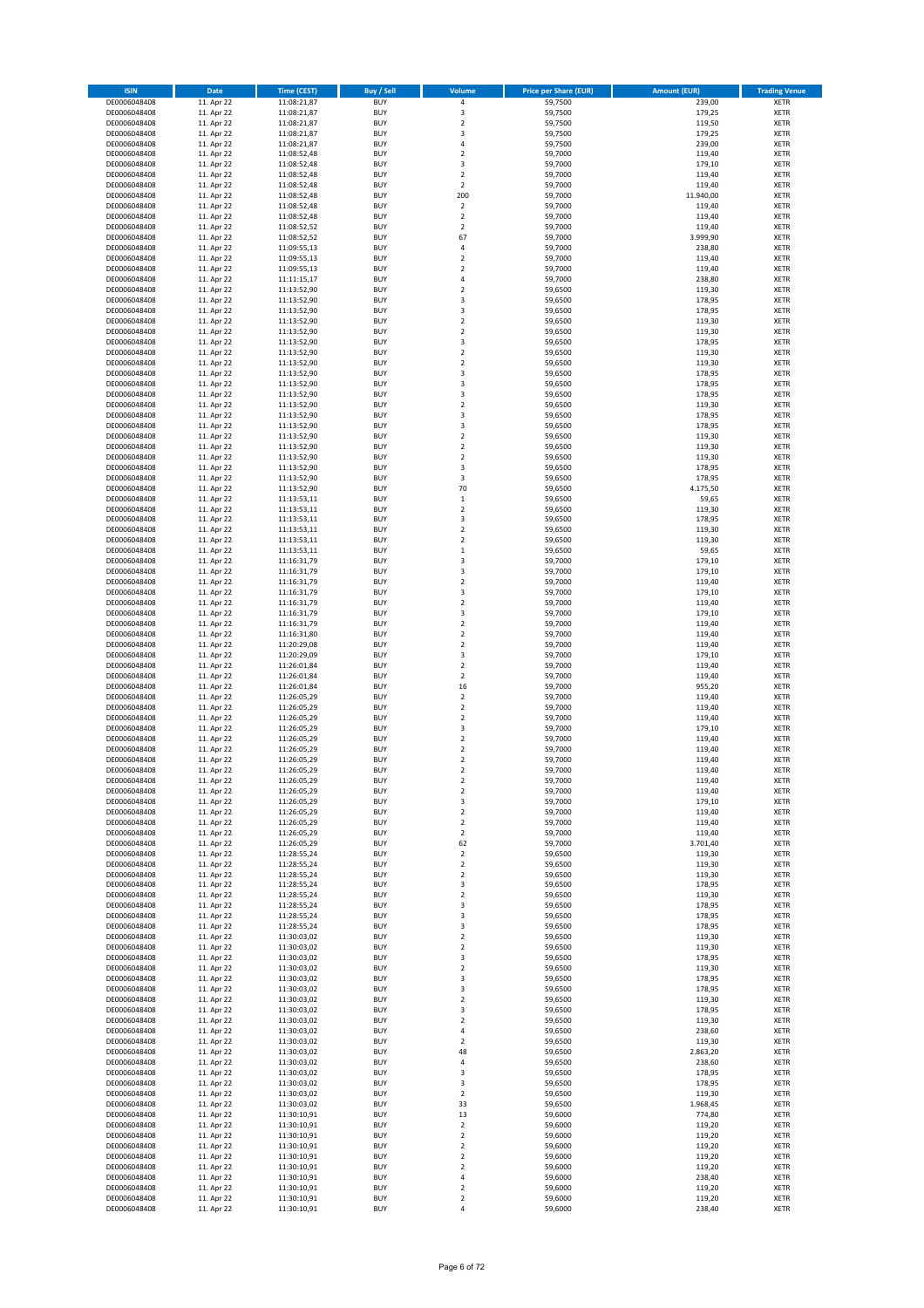| <b>ISIN</b>                  | <b>Date</b>              | Time (CEST)                | <b>Buy / Sell</b>        | Volume                                 | <b>Price per Share (EUR)</b> | <b>Amount (EUR)</b> | <b>Trading Venue</b>       |
|------------------------------|--------------------------|----------------------------|--------------------------|----------------------------------------|------------------------------|---------------------|----------------------------|
| DE0006048408                 | 11. Apr 22               | 11:08:21,87                | <b>BUY</b>               | 4                                      | 59,7500                      | 239,00              | <b>XETR</b>                |
| DE0006048408                 | 11. Apr 22               | 11:08:21,87                | <b>BUY</b>               | 3                                      | 59,7500                      | 179,25              | XETR                       |
| DE0006048408<br>DE0006048408 | 11. Apr 22<br>11. Apr 22 | 11:08:21,87<br>11:08:21,87 | <b>BUY</b><br><b>BUY</b> | $\mathbf 2$<br>3                       | 59,7500<br>59,7500           | 119,50<br>179,25    | XETR<br>XETR               |
| DE0006048408                 | 11. Apr 22               | 11:08:21,87                | <b>BUY</b>               | 4                                      | 59,7500                      | 239,00              | XETR                       |
| DE0006048408                 | 11. Apr 22               | 11:08:52,48                | <b>BUY</b>               | $\mathbf 2$                            | 59,7000                      | 119,40              | <b>XETR</b>                |
| DE0006048408                 | 11. Apr 22               | 11:08:52,48                | <b>BUY</b>               | 3                                      | 59,7000                      | 179,10              | <b>XETR</b>                |
| DE0006048408                 | 11. Apr 22               | 11:08:52,48                | <b>BUY</b>               | $\mathbf 2$                            | 59,7000                      | 119,40              | <b>XETR</b>                |
| DE0006048408<br>DE0006048408 | 11. Apr 22<br>11. Apr 22 | 11:08:52,48<br>11:08:52,48 | <b>BUY</b><br><b>BUY</b> | $\mathbf 2$<br>200                     | 59,7000<br>59,7000           | 119,40<br>11.940,00 | <b>XETR</b><br><b>XETR</b> |
| DE0006048408                 | 11. Apr 22               | 11:08:52,48                | <b>BUY</b>               | $\mathbf 2$                            | 59,7000                      | 119,40              | <b>XETR</b>                |
| DE0006048408                 | 11. Apr 22               | 11:08:52,48                | <b>BUY</b>               | $\overline{2}$                         | 59,7000                      | 119,40              | <b>XETR</b>                |
| DE0006048408                 | 11. Apr 22               | 11:08:52,52                | <b>BUY</b>               | $\mathbf 2$                            | 59,7000                      | 119,40              | XETR                       |
| DE0006048408                 | 11. Apr 22               | 11:08:52,52                | <b>BUY</b>               | 67                                     | 59,7000                      | 3.999,90            | <b>XETR</b>                |
| DE0006048408                 | 11. Apr 22               | 11:09:55,13                | <b>BUY</b>               | 4                                      | 59,7000                      | 238,80              | XETR                       |
| DE0006048408<br>DE0006048408 | 11. Apr 22<br>11. Apr 22 | 11:09:55,13<br>11:09:55,13 | <b>BUY</b><br><b>BUY</b> | $\overline{\mathbf{c}}$<br>$\mathbf 2$ | 59,7000<br>59,7000           | 119,40<br>119,40    | <b>XETR</b><br>XETR        |
| DE0006048408                 | 11. Apr 22               | 11:11:15,17                | <b>BUY</b>               | 4                                      | 59,7000                      | 238,80              | <b>XETR</b>                |
| DE0006048408                 | 11. Apr 22               | 11:13:52,90                | <b>BUY</b>               | $\overline{\mathbf{c}}$                | 59,6500                      | 119,30              | XETR                       |
| DE0006048408                 | 11. Apr 22               | 11:13:52,90                | <b>BUY</b>               | 3                                      | 59,6500                      | 178,95              | <b>XETR</b>                |
| DE0006048408                 | 11. Apr 22               | 11:13:52,90                | <b>BUY</b>               | 3                                      | 59,6500                      | 178,95              | XETR                       |
| DE0006048408<br>DE0006048408 | 11. Apr 22<br>11. Apr 22 | 11:13:52,90<br>11:13:52,90 | <b>BUY</b><br><b>BUY</b> | $\mathbf 2$<br>$\overline{\mathbf{c}}$ | 59,6500<br>59,6500           | 119,30<br>119,30    | XETR<br><b>XETR</b>        |
| DE0006048408                 | 11. Apr 22               | 11:13:52,90                | <b>BUY</b>               | 3                                      | 59,6500                      | 178,95              | XETR                       |
| DE0006048408                 | 11. Apr 22               | 11:13:52,90                | <b>BUY</b>               | $\overline{\mathbf{c}}$                | 59,6500                      | 119,30              | <b>XETR</b>                |
| DE0006048408                 | 11. Apr 22               | 11:13:52,90                | <b>BUY</b>               | $\overline{\mathbf{c}}$                | 59,6500                      | 119,30              | XETR                       |
| DE0006048408                 | 11. Apr 22               | 11:13:52,90                | <b>BUY</b>               | 3                                      | 59,6500                      | 178,95              | <b>XETR</b>                |
| DE0006048408<br>DE0006048408 | 11. Apr 22<br>11. Apr 22 | 11:13:52,90<br>11:13:52,90 | <b>BUY</b><br><b>BUY</b> | 3<br>3                                 | 59,6500<br>59,6500           | 178,95<br>178,95    | <b>XETR</b><br><b>XETR</b> |
| DE0006048408                 | 11. Apr 22               | 11:13:52,90                | <b>BUY</b>               | $\mathbf 2$                            | 59,6500                      | 119,30              | XETR                       |
| DE0006048408                 | 11. Apr 22               | 11:13:52,90                | <b>BUY</b>               | 3                                      | 59,6500                      | 178,95              | <b>XETR</b>                |
| DE0006048408                 | 11. Apr 22               | 11:13:52,90                | <b>BUY</b>               | 3                                      | 59,6500                      | 178,95              | <b>XETR</b>                |
| DE0006048408                 | 11. Apr 22               | 11:13:52,90                | <b>BUY</b>               | $\overline{\mathbf{c}}$                | 59,6500                      | 119,30              | <b>XETR</b>                |
| DE0006048408<br>DE0006048408 | 11. Apr 22<br>11. Apr 22 | 11:13:52,90                | <b>BUY</b><br><b>BUY</b> | $\mathbf 2$<br>$\overline{\mathbf{c}}$ | 59,6500<br>59,6500           | 119,30<br>119,30    | XETR<br><b>XETR</b>        |
| DE0006048408                 | 11. Apr 22               | 11:13:52,90<br>11:13:52,90 | <b>BUY</b>               | 3                                      | 59,6500                      | 178,95              | XETR                       |
| DE0006048408                 | 11. Apr 22               | 11:13:52,90                | <b>BUY</b>               | 3                                      | 59,6500                      | 178,95              | <b>XETR</b>                |
| DE0006048408                 | 11. Apr 22               | 11:13:52,90                | <b>BUY</b>               | 70                                     | 59,6500                      | 4.175,50            | XETR                       |
| DE0006048408                 | 11. Apr 22               | 11:13:53,11                | <b>BUY</b>               | $\mathbf 1$                            | 59,6500                      | 59,65               | <b>XETR</b>                |
| DE0006048408                 | 11. Apr 22               | 11:13:53,11                | <b>BUY</b>               | $\mathbf 2$                            | 59,6500                      | 119,30              | <b>XETR</b>                |
| DE0006048408<br>DE0006048408 | 11. Apr 22<br>11. Apr 22 | 11:13:53,11<br>11:13:53,11 | <b>BUY</b><br><b>BUY</b> | 3<br>$\overline{\mathbf{c}}$           | 59,6500<br>59,6500           | 178,95<br>119,30    | <b>XETR</b><br><b>XETR</b> |
| DE0006048408                 | 11. Apr 22               | 11:13:53,11                | <b>BUY</b>               | $\overline{\mathbf{c}}$                | 59,6500                      | 119,30              | <b>XETR</b>                |
| DE0006048408                 | 11. Apr 22               | 11:13:53,11                | <b>BUY</b>               | $\mathbf 1$                            | 59,6500                      | 59,65               | <b>XETR</b>                |
| DE0006048408                 | 11. Apr 22               | 11:16:31,79                | <b>BUY</b>               | 3                                      | 59,7000                      | 179,10              | <b>XETR</b>                |
| DE0006048408                 | 11. Apr 22               | 11:16:31,79                | <b>BUY</b>               | 3                                      | 59,7000                      | 179,10              | XETR                       |
| DE0006048408<br>DE0006048408 | 11. Apr 22<br>11. Apr 22 | 11:16:31,79                | <b>BUY</b><br><b>BUY</b> | 2<br>3                                 | 59,7000<br>59,7000           | 119,40<br>179,10    | XETR<br><b>XETR</b>        |
| DE0006048408                 | 11. Apr 22               | 11:16:31,79<br>11:16:31,79 | <b>BUY</b>               | $\mathbf 2$                            | 59,7000                      | 119,40              | <b>XETR</b>                |
| DE0006048408                 | 11. Apr 22               | 11:16:31,79                | <b>BUY</b>               | 3                                      | 59,7000                      | 179,10              | <b>XETR</b>                |
| DE0006048408                 | 11. Apr 22               | 11:16:31,79                | <b>BUY</b>               | $\mathbf 2$                            | 59,7000                      | 119,40              | <b>XETR</b>                |
| DE0006048408                 | 11. Apr 22               | 11:16:31,80                | <b>BUY</b>               | $\mathbf 2$                            | 59,7000                      | 119,40              | <b>XETR</b>                |
| DE0006048408                 | 11. Apr 22               | 11:20:29,08                | <b>BUY</b>               | $\mathbf 2$                            | 59,7000                      | 119,40              | <b>XETR</b>                |
| DE0006048408<br>DE0006048408 | 11. Apr 22<br>11. Apr 22 | 11:20:29,09<br>11:26:01,84 | <b>BUY</b><br><b>BUY</b> | 3<br>$\mathbf 2$                       | 59,7000<br>59,7000           | 179,10<br>119,40    | XETR<br>XETR               |
| DE0006048408                 | 11. Apr 22               | 11:26:01,84                | <b>BUY</b>               | $\mathbf 2$                            | 59,7000                      | 119,40              | <b>XETR</b>                |
| DE0006048408                 | 11. Apr 22               | 11:26:01,84                | <b>BUY</b>               | 16                                     | 59,7000                      | 955,20              | <b>XETR</b>                |
| DE0006048408                 | 11. Apr 22               | 11:26:05,29                | <b>BUY</b>               | $\mathbf 2$                            | 59,7000                      | 119,40              | <b>XETR</b>                |
| DE0006048408                 | 11. Apr 22               | 11:26:05,29                | <b>BUY</b>               | $\mathbf 2$                            | 59,7000                      | 119,40              | XETR                       |
| DE0006048408<br>DE0006048408 | 11. Apr 22<br>11. Apr 22 | 11:26:05,29<br>11:26:05,29 | <b>BUY</b><br><b>BUY</b> | $\mathbf 2$<br>3                       | 59,7000<br>59,7000           | 119,40<br>179,10    | <b>XETR</b><br>XETR        |
| DE0006048408                 | 11. Apr 22               | 11:26:05,29                | <b>BUY</b>               | $\overline{2}$                         | 59,7000                      | 119,40              | <b>XETR</b>                |
| DE0006048408                 | 11. Apr 22               | 11:26:05,29                | <b>BUY</b>               | $\mathbf 2$                            | 59,7000                      | 119,40              | XETR                       |
| DE0006048408                 | 11. Apr 22               | 11:26:05,29                | <b>BUY</b>               | $\mathbf 2$                            | 59,7000                      | 119,40              | <b>XETR</b>                |
| DE0006048408                 | 11. Apr 22               | 11:26:05,29                | <b>BUY</b>               | $\mathbf 2$                            | 59,7000                      | 119,40              | <b>XETR</b>                |
| DE0006048408<br>DE0006048408 | 11. Apr 22<br>11. Apr 22 | 11:26:05,29<br>11:26:05,29 | <b>BUY</b><br><b>BUY</b> | 2<br>$\boldsymbol{2}$                  | 59,7000<br>59,7000           | 119,40<br>119,40    | XETR<br>XETR               |
| DE0006048408                 | 11. Apr 22               | 11:26:05,29                | <b>BUY</b>               | 3                                      | 59,7000                      | 179,10              | XETR                       |
| DE0006048408                 | 11. Apr 22               | 11:26:05,29                | <b>BUY</b>               | $\mathbf 2$                            | 59,7000                      | 119,40              | XETR                       |
| DE0006048408                 | 11. Apr 22               | 11:26:05,29                | <b>BUY</b>               | $\mathbf 2$                            | 59,7000                      | 119,40              | XETR                       |
| DE0006048408                 | 11. Apr 22               | 11:26:05,29                | <b>BUY</b>               | 2                                      | 59,7000                      | 119,40              | XETR                       |
| DE0006048408<br>DE0006048408 | 11. Apr 22<br>11. Apr 22 | 11:26:05,29<br>11:28:55,24 | <b>BUY</b><br><b>BUY</b> | 62<br>$\mathbf 2$                      | 59,7000<br>59,6500           | 3.701,40<br>119,30  | <b>XETR</b><br>XETR        |
| DE0006048408                 | 11. Apr 22               | 11:28:55,24                | <b>BUY</b>               | $\mathbf 2$                            | 59,6500                      | 119,30              | <b>XETR</b>                |
| DE0006048408                 | 11. Apr 22               | 11:28:55,24                | <b>BUY</b>               | $\mathbf 2$                            | 59,6500                      | 119,30              | XETR                       |
| DE0006048408                 | 11. Apr 22               | 11:28:55,24                | <b>BUY</b>               | 3                                      | 59,6500                      | 178,95              | <b>XETR</b>                |
| DE0006048408                 | 11. Apr 22               | 11:28:55,24                | <b>BUY</b>               | $\mathbf 2$                            | 59,6500                      | 119,30              | XETR                       |
| DE0006048408<br>DE0006048408 | 11. Apr 22<br>11. Apr 22 | 11:28:55,24<br>11:28:55,24 | <b>BUY</b><br><b>BUY</b> | 3<br>3                                 | 59,6500<br>59,6500           | 178,95<br>178,95    | <b>XETR</b><br>XETR        |
| DE0006048408                 | 11. Apr 22               | 11:28:55,24                | <b>BUY</b>               | 3                                      | 59,6500                      | 178,95              | <b>XETR</b>                |
| DE0006048408                 | 11. Apr 22               | 11:30:03,02                | <b>BUY</b>               | $\mathbf 2$                            | 59,6500                      | 119,30              | XETR                       |
| DE0006048408                 | 11. Apr 22               | 11:30:03,02                | <b>BUY</b>               | $\mathbf 2$                            | 59,6500                      | 119,30              | <b>XETR</b>                |
| DE0006048408                 | 11. Apr 22               | 11:30:03,02                | <b>BUY</b>               | 3                                      | 59,6500                      | 178,95              | XETR                       |
| DE0006048408<br>DE0006048408 | 11. Apr 22<br>11. Apr 22 | 11:30:03,02<br>11:30:03,02 | <b>BUY</b><br><b>BUY</b> | 2<br>3                                 | 59,6500<br>59,6500           | 119,30<br>178,95    | <b>XETR</b><br>XETR        |
| DE0006048408                 | 11. Apr 22               | 11:30:03,02                | <b>BUY</b>               | 3                                      | 59,6500                      | 178,95              | <b>XETR</b>                |
| DE0006048408                 | 11. Apr 22               | 11:30:03,02                | <b>BUY</b>               | $\mathbf 2$                            | 59,6500                      | 119,30              | <b>XETR</b>                |
| DE0006048408                 | 11. Apr 22               | 11:30:03,02                | <b>BUY</b>               | 3                                      | 59,6500                      | 178,95              | XETR                       |
| DE0006048408                 | 11. Apr 22<br>11. Apr 22 | 11:30:03,02                | <b>BUY</b>               | $\mathbf 2$                            | 59,6500                      | 119,30              | <b>XETR</b>                |
| DE0006048408<br>DE0006048408 | 11. Apr 22               | 11:30:03,02<br>11:30:03,02 | <b>BUY</b><br><b>BUY</b> | 4<br>$\mathbf 2$                       | 59,6500<br>59,6500           | 238,60<br>119,30    | XETR<br><b>XETR</b>        |
| DE0006048408                 | 11. Apr 22               | 11:30:03,02                | <b>BUY</b>               | 48                                     | 59,6500                      | 2.863,20            | XETR                       |
| DE0006048408                 | 11. Apr 22               | 11:30:03,02                | <b>BUY</b>               | 4                                      | 59,6500                      | 238,60              | <b>XETR</b>                |
| DE0006048408                 | 11. Apr 22               | 11:30:03,02                | <b>BUY</b>               | 3                                      | 59,6500                      | 178,95              | XETR                       |
| DE0006048408                 | 11. Apr 22               | 11:30:03,02                | <b>BUY</b>               | 3                                      | 59,6500                      | 178,95              | <b>XETR</b>                |
| DE0006048408<br>DE0006048408 | 11. Apr 22<br>11. Apr 22 | 11:30:03,02<br>11:30:03,02 | <b>BUY</b><br><b>BUY</b> | 2<br>33                                | 59,6500<br>59,6500           | 119,30<br>1.968,45  | XETR<br><b>XETR</b>        |
| DE0006048408                 | 11. Apr 22               | 11:30:10,91                | <b>BUY</b>               | 13                                     | 59,6000                      | 774,80              | XETR                       |
| DE0006048408                 | 11. Apr 22               | 11:30:10,91                | <b>BUY</b>               | $\mathbf 2$                            | 59,6000                      | 119,20              | <b>XETR</b>                |
| DE0006048408                 | 11. Apr 22               | 11:30:10,91                | <b>BUY</b>               | 2                                      | 59,6000                      | 119,20              | <b>XETR</b>                |
| DE0006048408                 | 11. Apr 22               | 11:30:10,91                | <b>BUY</b>               | 2                                      | 59,6000                      | 119,20              | <b>XETR</b>                |
| DE0006048408<br>DE0006048408 | 11. Apr 22<br>11. Apr 22 | 11:30:10,91<br>11:30:10,91 | <b>BUY</b><br><b>BUY</b> | $\mathbf 2$<br>$\mathbf 2$             | 59,6000<br>59,6000           | 119,20<br>119,20    | XETR<br><b>XETR</b>        |
| DE0006048408                 | 11. Apr 22               | 11:30:10,91                | <b>BUY</b>               | 4                                      | 59,6000                      | 238,40              | XETR                       |
| DE0006048408                 | 11. Apr 22               | 11:30:10,91                | <b>BUY</b>               | $\mathbf 2$                            | 59,6000                      | 119,20              | XETR                       |
| DE0006048408                 | 11. Apr 22               | 11:30:10,91                | <b>BUY</b>               | $\mathbf 2$                            | 59,6000                      | 119,20              | XETR                       |
| DE0006048408                 | 11. Apr 22               | 11:30:10,91                | <b>BUY</b>               | 4                                      | 59,6000                      | 238,40              | XETR                       |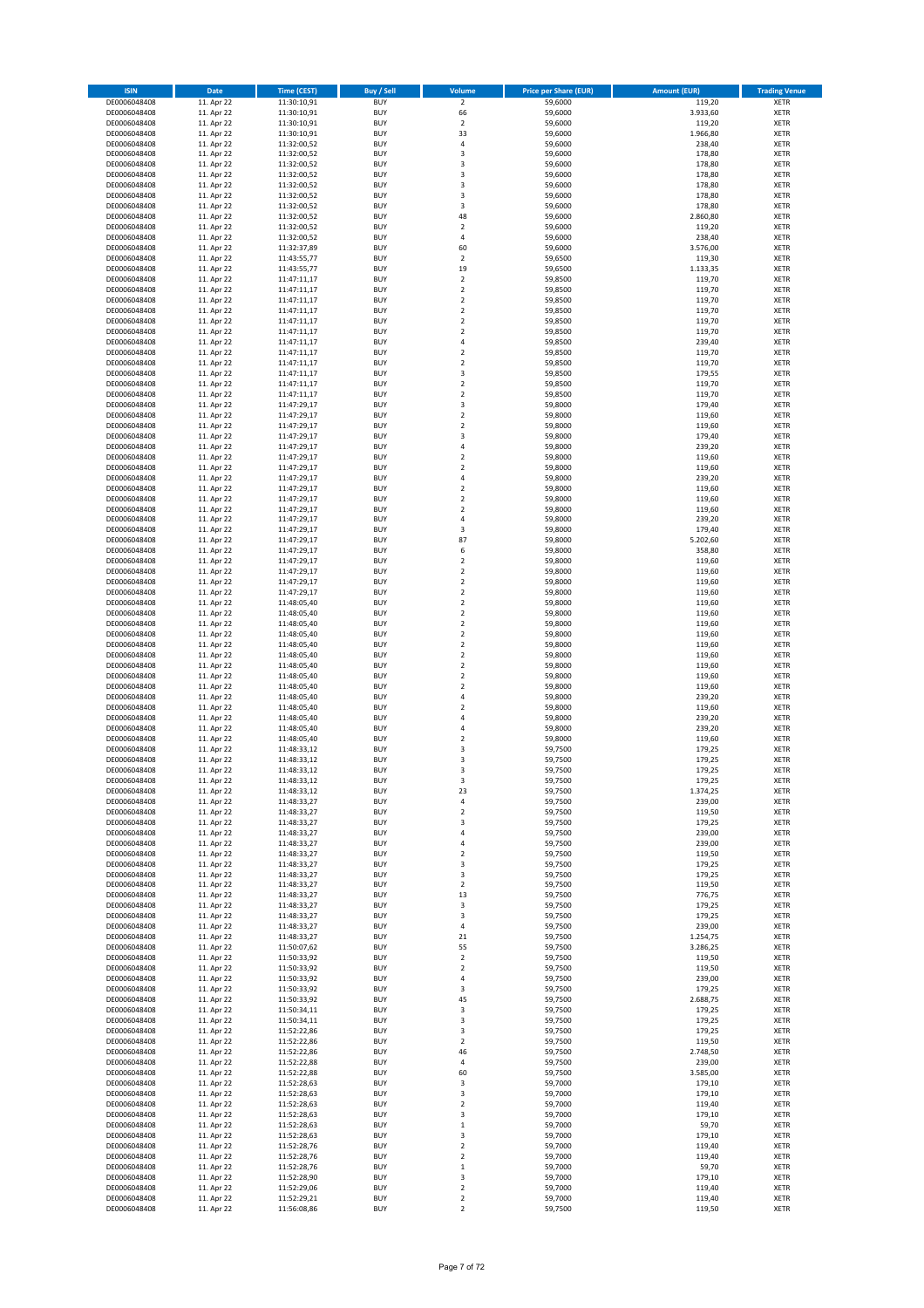| <b>ISIN</b>                  | Date                     | <b>Time (CEST)</b>         | <b>Buy / Sell</b>        | Volume                               | <b>Price per Share (EUR)</b> | <b>Amount (EUR)</b> | <b>Trading Venue</b>       |
|------------------------------|--------------------------|----------------------------|--------------------------|--------------------------------------|------------------------------|---------------------|----------------------------|
| DE0006048408                 | 11. Apr 22               | 11:30:10,91                | <b>BUY</b>               | $\overline{2}$                       | 59,6000                      | 119,20              | <b>XETR</b>                |
| DE0006048408                 | 11. Apr 22               | 11:30:10,91                | <b>BUY</b>               | 66                                   | 59,6000                      | 3.933,60            | <b>XETR</b>                |
| DE0006048408<br>DE0006048408 | 11. Apr 22<br>11. Apr 22 | 11:30:10,91<br>11:30:10,91 | <b>BUY</b><br><b>BUY</b> | $\mathbf 2$<br>33                    | 59,6000<br>59,6000           | 119,20<br>1.966,80  | <b>XETR</b><br><b>XETR</b> |
| DE0006048408                 | 11. Apr 22               | 11:32:00,52                | <b>BUY</b>               | 4                                    | 59,6000                      | 238,40              | <b>XETR</b>                |
| DE0006048408                 | 11. Apr 22               | 11:32:00,52                | <b>BUY</b>               | 3                                    | 59,6000                      | 178,80              | <b>XETR</b>                |
| DE0006048408                 | 11. Apr 22               | 11:32:00,52                | <b>BUY</b>               | 3                                    | 59,6000                      | 178,80              | <b>XETR</b>                |
| DE0006048408                 | 11. Apr 22               | 11:32:00,52                | <b>BUY</b>               | 3                                    | 59,6000                      | 178,80              | <b>XETR</b>                |
| DE0006048408<br>DE0006048408 | 11. Apr 22<br>11. Apr 22 | 11:32:00,52<br>11:32:00,52 | <b>BUY</b><br><b>BUY</b> | 3<br>3                               | 59,6000<br>59,6000           | 178,80<br>178,80    | XETR<br><b>XETR</b>        |
| DE0006048408                 | 11. Apr 22               | 11:32:00,52                | <b>BUY</b>               | 3                                    | 59,6000                      | 178,80              | XETR                       |
| DE0006048408                 | 11. Apr 22               | 11:32:00,52                | <b>BUY</b>               | 48                                   | 59,6000                      | 2.860,80            | <b>XETR</b>                |
| DE0006048408                 | 11. Apr 22               | 11:32:00,52                | <b>BUY</b>               | $\sqrt{2}$                           | 59,6000                      | 119,20              | XETR                       |
| DE0006048408                 | 11. Apr 22               | 11:32:00,52                | <b>BUY</b>               | $\sqrt{4}$                           | 59,6000                      | 238,40              | <b>XETR</b>                |
| DE0006048408                 | 11. Apr 22               | 11:32:37,89                | <b>BUY</b>               | 60                                   | 59,6000                      | 3.576,00            | XETR                       |
| DE0006048408<br>DE0006048408 | 11. Apr 22<br>11. Apr 22 | 11:43:55,77<br>11:43:55,77 | <b>BUY</b><br><b>BUY</b> | $\overline{2}$<br>19                 | 59,6500<br>59,6500           | 119,30<br>1.133,35  | <b>XETR</b><br>XETR        |
| DE0006048408                 | 11. Apr 22               | 11:47:11,17                | <b>BUY</b>               | $\overline{2}$                       | 59,8500                      | 119,70              | <b>XETR</b>                |
| DE0006048408                 | 11. Apr 22               | 11:47:11,17                | <b>BUY</b>               | $\mathbf 2$                          | 59,8500                      | 119,70              | XETR                       |
| DE0006048408                 | 11. Apr 22               | 11:47:11,17                | <b>BUY</b>               | $\mathbf 2$                          | 59,8500                      | 119,70              | <b>XETR</b>                |
| DE0006048408                 | 11. Apr 22<br>11. Apr 22 | 11:47:11,17                | <b>BUY</b><br><b>BUY</b> | $\overline{2}$<br>$\mathbf 2$        | 59,8500<br>59,8500           | 119,70<br>119,70    | <b>XETR</b><br><b>XETR</b> |
| DE0006048408<br>DE0006048408 | 11. Apr 22               | 11:47:11,17<br>11:47:11,17 | <b>BUY</b>               | $\overline{2}$                       | 59,8500                      | 119,70              | <b>XETR</b>                |
| DE0006048408                 | 11. Apr 22               | 11:47:11,17                | <b>BUY</b>               | $\sqrt{4}$                           | 59,8500                      | 239,40              | <b>XETR</b>                |
| DE0006048408                 | 11. Apr 22               | 11:47:11,17                | <b>BUY</b>               | $\mathbf 2$                          | 59,8500                      | 119,70              | <b>XETR</b>                |
| DE0006048408                 | 11. Apr 22               | 11:47:11,17                | <b>BUY</b>               | $\mathbf 2$                          | 59,8500                      | 119,70              | <b>XETR</b>                |
| DE0006048408                 | 11. Apr 22               | 11:47:11,17                | <b>BUY</b>               | 3                                    | 59,8500                      | 179,55              | <b>XETR</b>                |
| DE0006048408<br>DE0006048408 | 11. Apr 22<br>11. Apr 22 | 11:47:11,17<br>11:47:11,17 | <b>BUY</b><br><b>BUY</b> | $\mathbf 2$<br>$\boldsymbol{2}$      | 59,8500<br>59,8500           | 119,70<br>119,70    | <b>XETR</b><br><b>XETR</b> |
| DE0006048408                 | 11. Apr 22               | 11:47:29,17                | <b>BUY</b>               | 3                                    | 59,8000                      | 179,40              | <b>XETR</b>                |
| DE0006048408                 | 11. Apr 22               | 11:47:29,17                | <b>BUY</b>               | $\mathbf 2$                          | 59,8000                      | 119,60              | <b>XETR</b>                |
| DE0006048408                 | 11. Apr 22               | 11:47:29,17                | <b>BUY</b>               | $\mathbf 2$                          | 59,8000                      | 119,60              | <b>XETR</b>                |
| DE0006048408                 | 11. Apr 22               | 11:47:29,17                | <b>BUY</b><br><b>BUY</b> | 3<br>$\sqrt{4}$                      | 59,8000                      | 179,40              | <b>XETR</b>                |
| DE0006048408<br>DE0006048408 | 11. Apr 22<br>11. Apr 22 | 11:47:29,17<br>11:47:29,17 | <b>BUY</b>               | $\overline{2}$                       | 59,8000<br>59,8000           | 239,20<br>119,60    | XETR<br><b>XETR</b>        |
| DE0006048408                 | 11. Apr 22               | 11:47:29,17                | <b>BUY</b>               | $\overline{2}$                       | 59,8000                      | 119,60              | XETR                       |
| DE0006048408                 | 11. Apr 22               | 11:47:29,17                | <b>BUY</b>               | $\sqrt{4}$                           | 59,8000                      | 239,20              | <b>XETR</b>                |
| DE0006048408                 | 11. Apr 22               | 11:47:29,17                | <b>BUY</b>               | $\mathbf 2$                          | 59,8000                      | 119,60              | XETR                       |
| DE0006048408                 | 11. Apr 22               | 11:47:29,17                | <b>BUY</b>               | $\overline{2}$                       | 59,8000                      | 119,60              | <b>XETR</b>                |
| DE0006048408<br>DE0006048408 | 11. Apr 22<br>11. Apr 22 | 11:47:29,17<br>11:47:29,17 | <b>BUY</b><br><b>BUY</b> | $\overline{2}$<br>$\sqrt{4}$         | 59,8000<br>59,8000           | 119,60<br>239,20    | <b>XETR</b><br><b>XETR</b> |
| DE0006048408                 | 11. Apr 22               | 11:47:29,17                | <b>BUY</b>               | 3                                    | 59,8000                      | 179,40              | XETR                       |
| DE0006048408                 | 11. Apr 22               | 11:47:29,17                | <b>BUY</b>               | 87                                   | 59,8000                      | 5.202,60            | <b>XETR</b>                |
| DE0006048408                 | 11. Apr 22               | 11:47:29,17                | <b>BUY</b>               | 6                                    | 59,8000                      | 358,80              | <b>XETR</b>                |
| DE0006048408                 | 11. Apr 22               | 11:47:29,17                | <b>BUY</b>               | $\overline{2}$                       | 59,8000                      | 119,60              | <b>XETR</b>                |
| DE0006048408                 | 11. Apr 22               | 11:47:29,17                | <b>BUY</b>               | $\boldsymbol{2}$                     | 59,8000                      | 119,60              | <b>XETR</b>                |
| DE0006048408<br>DE0006048408 | 11. Apr 22<br>11. Apr 22 | 11:47:29,17<br>11:47:29,17 | <b>BUY</b><br><b>BUY</b> | $\boldsymbol{2}$<br>$\mathbf 2$      | 59,8000<br>59,8000           | 119,60<br>119,60    | XETR<br><b>XETR</b>        |
| DE0006048408                 | 11. Apr 22               | 11:48:05,40                | <b>BUY</b>               | $\mathbf 2$                          | 59,8000                      | 119,60              | <b>XETR</b>                |
| DE0006048408                 | 11. Apr 22               | 11:48:05,40                | <b>BUY</b>               | $\boldsymbol{2}$                     | 59,8000                      | 119,60              | <b>XETR</b>                |
| DE0006048408                 | 11. Apr 22               | 11:48:05,40                | <b>BUY</b>               | $\boldsymbol{2}$                     | 59,8000                      | 119,60              | <b>XETR</b>                |
| DE0006048408                 | 11. Apr 22               | 11:48:05,40                | <b>BUY</b><br><b>BUY</b> | $\mathbf 2$<br>$\mathbf 2$           | 59,8000                      | 119,60              | <b>XETR</b>                |
| DE0006048408<br>DE0006048408 | 11. Apr 22<br>11. Apr 22 | 11:48:05,40<br>11:48:05,40 | <b>BUY</b>               | $\boldsymbol{2}$                     | 59,8000<br>59,8000           | 119,60<br>119,60    | <b>XETR</b><br><b>XETR</b> |
| DE0006048408                 | 11. Apr 22               | 11:48:05,40                | <b>BUY</b>               | $\mathbf 2$                          | 59,8000                      | 119,60              | <b>XETR</b>                |
| DE0006048408                 | 11. Apr 22               | 11:48:05,40                | <b>BUY</b>               | $\overline{2}$                       | 59,8000                      | 119,60              | <b>XETR</b>                |
| DE0006048408                 | 11. Apr 22               | 11:48:05,40                | <b>BUY</b>               | $\mathbf 2$                          | 59,8000                      | 119,60              | <b>XETR</b>                |
| DE0006048408                 | 11. Apr 22               | 11:48:05,40                | <b>BUY</b>               | $\overline{4}$<br>$\overline{2}$     | 59,8000                      | 239,20              | <b>XETR</b>                |
| DE0006048408<br>DE0006048408 | 11. Apr 22<br>11. Apr 22 | 11:48:05,40<br>11:48:05,40 | <b>BUY</b><br><b>BUY</b> | $\sqrt{4}$                           | 59,8000<br>59,8000           | 119,60<br>239,20    | <b>XETR</b><br><b>XETR</b> |
| DE0006048408                 | 11. Apr 22               | 11:48:05,40                | <b>BUY</b>               | $\sqrt{4}$                           | 59,8000                      | 239,20              | XETR                       |
| DE0006048408                 | 11. Apr 22               | 11:48:05,40                | <b>BUY</b>               | $\overline{2}$                       | 59,8000                      | 119,60              | <b>XETR</b>                |
| DE0006048408                 | 11. Apr 22               | 11:48:33,12                | <b>BUY</b>               | 3                                    | 59,7500                      | 179,25              | XETR                       |
| DE0006048408                 | 11. Apr 22               | 11:48:33,12                | <b>BUY</b>               | 3                                    | 59,7500                      | 179,25              | <b>XETR</b>                |
| DE0006048408<br>DE0006048408 | 11. Apr 22<br>11. Apr 22 | 11:48:33,12<br>11:48:33,12 | <b>BUY</b><br><b>BUY</b> | 3<br>3                               | 59,7500<br>59,7500           | 179,25<br>179,25    | <b>XETR</b><br>XETR        |
| DE0006048408                 | 11. Apr 22               | 11:48:33,12                | <b>BUY</b>               | 23                                   | 59,7500                      | 1.374,25            | XETR                       |
| DE0006048408                 | 11. Apr 22               | 11:48:33,27                | <b>BUY</b>               | 4                                    | 59,7500                      | 239,00              | XETR                       |
| DE0006048408                 | 11. Apr 22               | 11:48:33,27                | <b>BUY</b>               | $\overline{\mathbf{c}}$              | 59,7500                      | 119,50              | XETR                       |
| DE0006048408<br>DE0006048408 | 11. Apr 22               | 11:48:33,27                | <b>BUY</b>               | 3                                    | 59,7500                      | 179,25              | XETR                       |
| DE0006048408                 | 11. Apr 22<br>11. Apr 22 | 11:48:33,27<br>11:48:33,27 | <b>BUY</b><br><b>BUY</b> | 4<br>4                               | 59,7500<br>59,7500           | 239,00<br>239,00    | XETR<br><b>XETR</b>        |
| DE0006048408                 | 11. Apr 22               | 11:48:33,27                | <b>BUY</b>               | $\sqrt{2}$                           | 59,7500                      | 119,50              | XETR                       |
| DE0006048408                 | 11. Apr 22               | 11:48:33,27                | <b>BUY</b>               | 3                                    | 59,7500                      | 179,25              | <b>XETR</b>                |
| DE0006048408                 | 11. Apr 22               | 11:48:33,27                | <b>BUY</b>               | 3                                    | 59,7500                      | 179,25              | XETR                       |
| DE0006048408<br>DE0006048408 | 11. Apr 22<br>11. Apr 22 | 11:48:33,27<br>11:48:33,27 | <b>BUY</b><br><b>BUY</b> | $\boldsymbol{2}$<br>13               | 59,7500<br>59,7500           | 119,50<br>776,75    | <b>XETR</b><br><b>XETR</b> |
| DE0006048408                 | 11. Apr 22               | 11:48:33,27                | <b>BUY</b>               | 3                                    | 59,7500                      | 179,25              | XETR                       |
| DE0006048408                 | 11. Apr 22               | 11:48:33,27                | <b>BUY</b>               | 3                                    | 59,7500                      | 179,25              | XETR                       |
| DE0006048408                 | 11. Apr 22               | 11:48:33,27                | <b>BUY</b>               | 4                                    | 59,7500                      | 239,00              | <b>XETR</b>                |
| DE0006048408                 | 11. Apr 22               | 11:48:33,27                | <b>BUY</b>               | 21                                   | 59,7500                      | 1.254,75            | <b>XETR</b>                |
| DE0006048408<br>DE0006048408 | 11. Apr 22<br>11. Apr 22 | 11:50:07,62<br>11:50:33,92 | <b>BUY</b><br><b>BUY</b> | 55<br>$\mathbf 2$                    | 59,7500<br>59,7500           | 3.286,25<br>119,50  | <b>XETR</b><br><b>XETR</b> |
| DE0006048408                 | 11. Apr 22               | 11:50:33,92                | <b>BUY</b>               | $\overline{2}$                       | 59,7500                      | 119,50              | <b>XETR</b>                |
| DE0006048408                 | 11. Apr 22               | 11:50:33,92                | <b>BUY</b>               | 4                                    | 59,7500                      | 239,00              | <b>XETR</b>                |
| DE0006048408                 | 11. Apr 22               | 11:50:33,92                | <b>BUY</b>               | 3                                    | 59,7500                      | 179,25              | <b>XETR</b>                |
| DE0006048408                 | 11. Apr 22               | 11:50:33,92                | <b>BUY</b><br><b>BUY</b> | 45<br>3                              | 59,7500<br>59,7500           | 2.688,75<br>179,25  | XETR<br>XETR               |
| DE0006048408<br>DE0006048408 | 11. Apr 22<br>11. Apr 22 | 11:50:34,11<br>11:50:34,11 | <b>BUY</b>               | 3                                    | 59,7500                      | 179,25              | XETR                       |
| DE0006048408                 | 11. Apr 22               | 11:52:22,86                | <b>BUY</b>               | 3                                    | 59,7500                      | 179,25              | XETR                       |
| DE0006048408                 | 11. Apr 22               | 11:52:22,86                | <b>BUY</b>               | $\overline{2}$                       | 59,7500                      | 119,50              | <b>XETR</b>                |
| DE0006048408                 | 11. Apr 22               | 11:52:22,86                | <b>BUY</b>               | 46                                   | 59,7500                      | 2.748,50            | XETR                       |
| DE0006048408                 | 11. Apr 22               | 11:52:22,88                | <b>BUY</b>               | 4                                    | 59,7500                      | 239,00              | XETR                       |
| DE0006048408                 | 11. Apr 22               | 11:52:22,88                | <b>BUY</b><br><b>BUY</b> | 60                                   | 59,7500                      | 3.585,00            | XETR                       |
| DE0006048408<br>DE0006048408 | 11. Apr 22<br>11. Apr 22 | 11:52:28,63<br>11:52:28,63 | <b>BUY</b>               | 3<br>3                               | 59,7000<br>59,7000           | 179,10<br>179,10    | XETR<br>XETR               |
| DE0006048408                 | 11. Apr 22               | 11:52:28,63                | <b>BUY</b>               | $\boldsymbol{2}$                     | 59,7000                      | 119,40              | XETR                       |
| DE0006048408                 | 11. Apr 22               | 11:52:28,63                | <b>BUY</b>               | 3                                    | 59,7000                      | 179,10              | XETR                       |
| DE0006048408                 | 11. Apr 22               | 11:52:28,63                | <b>BUY</b>               | $\,$ 1                               | 59,7000                      | 59,70               | <b>XETR</b>                |
| DE0006048408<br>DE0006048408 | 11. Apr 22<br>11. Apr 22 | 11:52:28,63<br>11:52:28,76 | <b>BUY</b><br><b>BUY</b> | 3<br>$\boldsymbol{2}$                | 59,7000<br>59,7000           | 179,10<br>119,40    | <b>XETR</b><br><b>XETR</b> |
| DE0006048408                 | 11. Apr 22               | 11:52:28,76                | <b>BUY</b>               | $\boldsymbol{2}$                     | 59,7000                      | 119,40              | <b>XETR</b>                |
| DE0006048408                 | 11. Apr 22               | 11:52:28,76                | <b>BUY</b>               | $\mathbf 1$                          | 59,7000                      | 59,70               | <b>XETR</b>                |
| DE0006048408                 | 11. Apr 22               | 11:52:28,90                | <b>BUY</b>               | 3                                    | 59,7000                      | 179,10              | <b>XETR</b>                |
| DE0006048408                 | 11. Apr 22               | 11:52:29,06                | <b>BUY</b>               | $\overline{2}$                       | 59,7000                      | 119,40              | <b>XETR</b>                |
| DE0006048408<br>DE0006048408 | 11. Apr 22<br>11. Apr 22 | 11:52:29,21<br>11:56:08,86 | <b>BUY</b><br><b>BUY</b> | $\boldsymbol{2}$<br>$\boldsymbol{2}$ | 59,7000<br>59,7500           | 119,40<br>119,50    | <b>XETR</b><br>XETR        |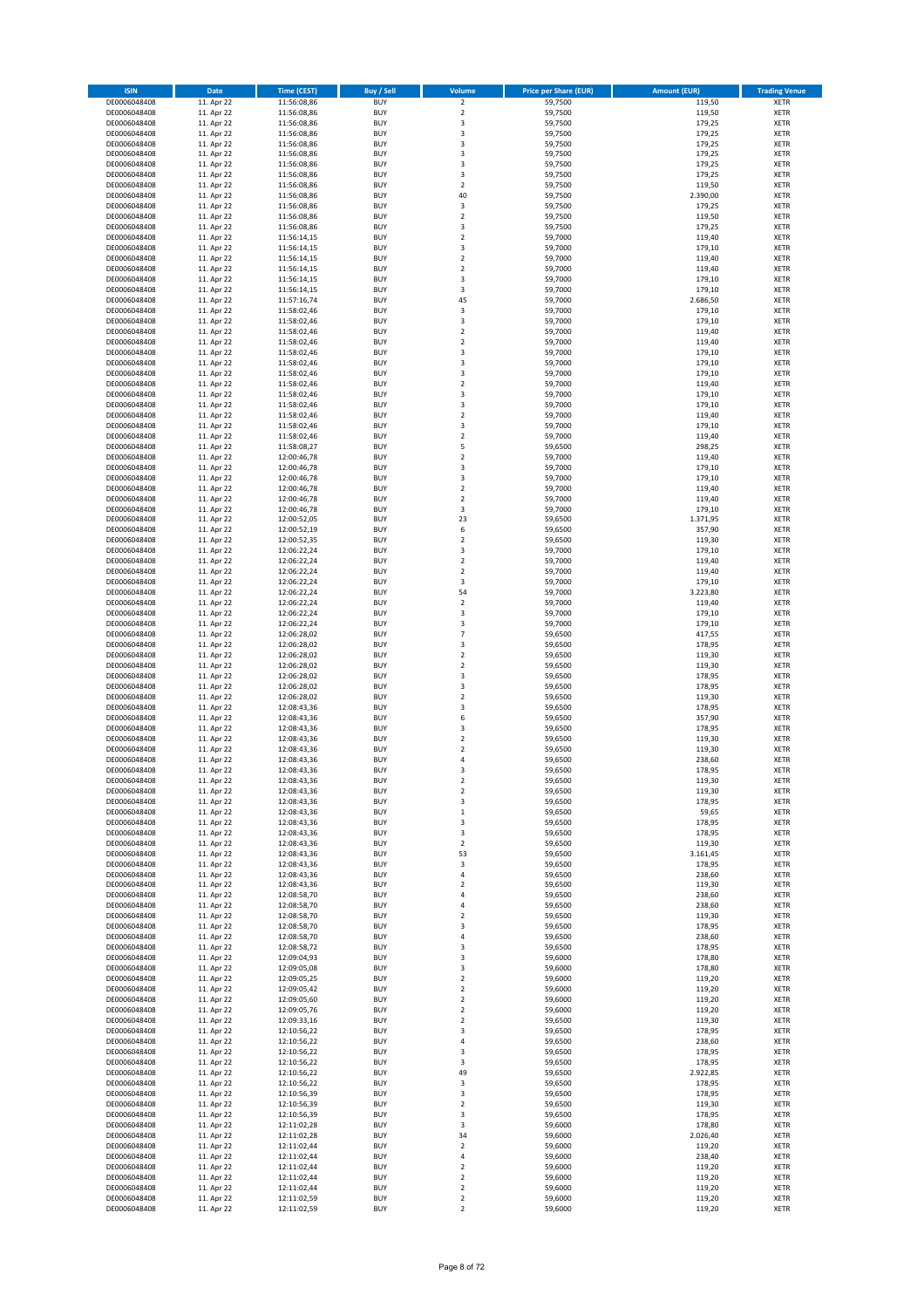| <b>ISIN</b>                  | Date                     | <b>Time (CEST)</b>         | <b>Buy / Sell</b>        | Volume                                 | <b>Price per Share (EUR)</b> | <b>Amount (EUR)</b> | <b>Trading Venue</b>       |
|------------------------------|--------------------------|----------------------------|--------------------------|----------------------------------------|------------------------------|---------------------|----------------------------|
| DE0006048408                 | 11. Apr 22               | 11:56:08,86                | <b>BUY</b>               | $\overline{2}$                         | 59,7500                      | 119,50              | <b>XETR</b>                |
| DE0006048408                 | 11. Apr 22               | 11:56:08,86                | <b>BUY</b>               | $\mathbf 2$                            | 59,7500                      | 119,50              | <b>XETR</b>                |
| DE0006048408<br>DE0006048408 | 11. Apr 22<br>11. Apr 22 | 11:56:08,86<br>11:56:08,86 | <b>BUY</b><br><b>BUY</b> | 3<br>3                                 | 59,7500<br>59,7500           | 179,25<br>179,25    | <b>XETR</b><br><b>XETR</b> |
| DE0006048408                 | 11. Apr 22               | 11:56:08,86                | <b>BUY</b>               | 3                                      | 59,7500                      | 179,25              | <b>XETR</b>                |
| DE0006048408                 | 11. Apr 22               | 11:56:08,86                | <b>BUY</b>               | 3                                      | 59,7500                      | 179,25              | <b>XETR</b>                |
| DE0006048408                 | 11. Apr 22               | 11:56:08,86                | <b>BUY</b>               | 3                                      | 59,7500                      | 179,25              | <b>XETR</b>                |
| DE0006048408                 | 11. Apr 22               | 11:56:08,86                | <b>BUY</b>               | 3                                      | 59,7500                      | 179,25              | <b>XETR</b>                |
| DE0006048408<br>DE0006048408 | 11. Apr 22<br>11. Apr 22 | 11:56:08,86                | <b>BUY</b><br><b>BUY</b> | $\boldsymbol{2}$<br>40                 | 59,7500<br>59,7500           | 119,50<br>2.390,00  | <b>XETR</b><br><b>XETR</b> |
| DE0006048408                 | 11. Apr 22               | 11:56:08,86<br>11:56:08,86 | <b>BUY</b>               | $\overline{\mathbf{3}}$                | 59,7500                      | 179,25              | XETR                       |
| DE0006048408                 | 11. Apr 22               | 11:56:08,86                | <b>BUY</b>               | $\overline{2}$                         | 59,7500                      | 119,50              | <b>XETR</b>                |
| DE0006048408                 | 11. Apr 22               | 11:56:08,86                | <b>BUY</b>               | 3                                      | 59,7500                      | 179,25              | XETR                       |
| DE0006048408                 | 11. Apr 22               | 11:56:14,15                | <b>BUY</b>               | $\overline{2}$                         | 59,7000                      | 119,40              | <b>XETR</b>                |
| DE0006048408                 | 11. Apr 22               | 11:56:14,15                | <b>BUY</b>               | 3                                      | 59,7000                      | 179,10              | XETR                       |
| DE0006048408<br>DE0006048408 | 11. Apr 22<br>11. Apr 22 | 11:56:14,15<br>11:56:14,15 | <b>BUY</b><br><b>BUY</b> | $\overline{2}$<br>$\boldsymbol{2}$     | 59,7000<br>59,7000           | 119,40<br>119,40    | <b>XETR</b><br>XETR        |
| DE0006048408                 | 11. Apr 22               | 11:56:14,15                | <b>BUY</b>               | 3                                      | 59,7000                      | 179,10              | <b>XETR</b>                |
| DE0006048408                 | 11. Apr 22               | 11:56:14,15                | <b>BUY</b>               | $\overline{\mathbf{3}}$                | 59,7000                      | 179,10              | XETR                       |
| DE0006048408                 | 11. Apr 22               | 11:57:16,74                | <b>BUY</b>               | 45                                     | 59,7000                      | 2.686,50            | <b>XETR</b>                |
| DE0006048408                 | 11. Apr 22<br>11. Apr 22 | 11:58:02,46                | <b>BUY</b><br><b>BUY</b> | 3<br>$\mathsf 3$                       | 59,7000<br>59,7000           | 179,10<br>179,10    | <b>XETR</b><br><b>XETR</b> |
| DE0006048408<br>DE0006048408 | 11. Apr 22               | 11:58:02,46<br>11:58:02,46 | <b>BUY</b>               | $\overline{2}$                         | 59,7000                      | 119,40              | <b>XETR</b>                |
| DE0006048408                 | 11. Apr 22               | 11:58:02,46                | <b>BUY</b>               | $\mathbf 2$                            | 59,7000                      | 119,40              | <b>XETR</b>                |
| DE0006048408                 | 11. Apr 22               | 11:58:02,46                | <b>BUY</b>               | 3                                      | 59,7000                      | 179,10              | <b>XETR</b>                |
| DE0006048408                 | 11. Apr 22               | 11:58:02,46                | <b>BUY</b>               | 3                                      | 59,7000                      | 179,10              | <b>XETR</b>                |
| DE0006048408                 | 11. Apr 22               | 11:58:02,46                | <b>BUY</b>               | 3                                      | 59,7000                      | 179,10              | <b>XETR</b>                |
| DE0006048408<br>DE0006048408 | 11. Apr 22<br>11. Apr 22 | 11:58:02,46<br>11:58:02,46 | <b>BUY</b><br><b>BUY</b> | $\mathbf 2$<br>3                       | 59,7000<br>59,7000           | 119,40<br>179,10    | <b>XETR</b><br><b>XETR</b> |
| DE0006048408                 | 11. Apr 22               | 11:58:02,46                | <b>BUY</b>               | 3                                      | 59,7000                      | 179,10              | <b>XETR</b>                |
| DE0006048408                 | 11. Apr 22               | 11:58:02,46                | <b>BUY</b>               | $\sqrt{2}$                             | 59,7000                      | 119,40              | <b>XETR</b>                |
| DE0006048408                 | 11. Apr 22               | 11:58:02,46                | <b>BUY</b>               | 3                                      | 59,7000                      | 179,10              | <b>XETR</b>                |
| DE0006048408                 | 11. Apr 22               | 11:58:02,46<br>11:58:08,27 | <b>BUY</b><br><b>BUY</b> | $\overline{2}$                         | 59,7000                      | 119,40              | <b>XETR</b>                |
| DE0006048408<br>DE0006048408 | 11. Apr 22<br>11. Apr 22 | 12:00:46,78                | <b>BUY</b>               | 5<br>$\overline{2}$                    | 59,6500<br>59,7000           | 298,25<br>119,40    | XETR<br><b>XETR</b>        |
| DE0006048408                 | 11. Apr 22               | 12:00:46,78                | <b>BUY</b>               | $\overline{\mathbf{3}}$                | 59,7000                      | 179,10              | XETR                       |
| DE0006048408                 | 11. Apr 22               | 12:00:46,78                | <b>BUY</b>               | 3                                      | 59,7000                      | 179,10              | <b>XETR</b>                |
| DE0006048408                 | 11. Apr 22               | 12:00:46,78                | <b>BUY</b>               | $\sqrt{2}$                             | 59,7000                      | 119,40              | <b>XETR</b>                |
| DE0006048408                 | 11. Apr 22               | 12:00:46,78                | <b>BUY</b>               | $\overline{2}$                         | 59,7000                      | 119,40              | <b>XETR</b>                |
| DE0006048408<br>DE0006048408 | 11. Apr 22<br>11. Apr 22 | 12:00:46,78<br>12:00:52,05 | <b>BUY</b><br><b>BUY</b> | $\overline{\mathbf{3}}$<br>23          | 59,7000<br>59,6500           | 179,10<br>1.371,95  | <b>XETR</b><br><b>XETR</b> |
| DE0006048408                 | 11. Apr 22               | 12:00:52,19                | <b>BUY</b>               | 6                                      | 59,6500                      | 357,90              | <b>XETR</b>                |
| DE0006048408                 | 11. Apr 22               | 12:00:52,35                | <b>BUY</b>               | $\overline{2}$                         | 59,6500                      | 119,30              | <b>XETR</b>                |
| DE0006048408                 | 11. Apr 22               | 12:06:22,24                | <b>BUY</b>               | $\overline{\mathbf{3}}$                | 59,7000                      | 179,10              | <b>XETR</b>                |
| DE0006048408                 | 11. Apr 22               | 12:06:22,24                | <b>BUY</b>               | $\overline{2}$                         | 59,7000                      | 119,40              | <b>XETR</b>                |
| DE0006048408                 | 11. Apr 22               | 12:06:22,24                | <b>BUY</b>               | $\mathbf 2$                            | 59,7000                      | 119,40              | <b>XETR</b>                |
| DE0006048408<br>DE0006048408 | 11. Apr 22<br>11. Apr 22 | 12:06:22,24<br>12:06:22,24 | <b>BUY</b><br><b>BUY</b> | 3<br>54                                | 59,7000<br>59,7000           | 179,10<br>3.223,80  | <b>XETR</b><br><b>XETR</b> |
| DE0006048408                 | 11. Apr 22               | 12:06:22,24                | <b>BUY</b>               | $\mathbf 2$                            | 59,7000                      | 119,40              | <b>XETR</b>                |
| DE0006048408                 | 11. Apr 22               | 12:06:22,24                | <b>BUY</b>               | 3                                      | 59,7000                      | 179,10              | <b>XETR</b>                |
| DE0006048408                 | 11. Apr 22               | 12:06:22,24                | <b>BUY</b>               | 3                                      | 59,7000                      | 179,10              | <b>XETR</b>                |
| DE0006048408                 | 11. Apr 22               | 12:06:28,02                | <b>BUY</b><br><b>BUY</b> | $\overline{7}$<br>3                    | 59,6500                      | 417,55              | <b>XETR</b>                |
| DE0006048408<br>DE0006048408 | 11. Apr 22<br>11. Apr 22 | 12:06:28,02<br>12:06:28,02 | <b>BUY</b>               | $\overline{2}$                         | 59,6500<br>59,6500           | 178,95<br>119,30    | <b>XETR</b><br><b>XETR</b> |
| DE0006048408                 | 11. Apr 22               | 12:06:28,02                | <b>BUY</b>               | $\mathbf 2$                            | 59,6500                      | 119,30              | <b>XETR</b>                |
| DE0006048408                 | 11. Apr 22               | 12:06:28,02                | <b>BUY</b>               | 3                                      | 59,6500                      | 178,95              | <b>XETR</b>                |
| DE0006048408                 | 11. Apr 22               | 12:06:28,02                | <b>BUY</b>               | $\overline{\mathbf{3}}$                | 59,6500                      | 178,95              | <b>XETR</b>                |
| DE0006048408                 | 11. Apr 22               | 12:06:28,02                | <b>BUY</b><br><b>BUY</b> | $\overline{2}$<br>3                    | 59,6500                      | 119,30              | <b>XETR</b><br><b>XETR</b> |
| DE0006048408<br>DE0006048408 | 11. Apr 22<br>11. Apr 22 | 12:08:43,36<br>12:08:43,36 | <b>BUY</b>               | 6                                      | 59,6500<br>59,6500           | 178,95<br>357,90    | <b>XETR</b>                |
| DE0006048408                 | 11. Apr 22               | 12:08:43,36                | <b>BUY</b>               | 3                                      | 59,6500                      | 178,95              | XETR                       |
| DE0006048408                 | 11. Apr 22               | 12:08:43,36                | <b>BUY</b>               | $\overline{2}$                         | 59,6500                      | 119,30              | <b>XETR</b>                |
| DE0006048408                 | 11. Apr 22               | 12:08:43,36                | <b>BUY</b>               | $\overline{\mathbf{c}}$                | 59,6500                      | 119,30              | XETR                       |
| DE0006048408                 | 11. Apr 22               | 12:08:43,36<br>12:08:43,36 | <b>BUY</b><br><b>BUY</b> | 4<br>3                                 | 59,6500                      | 238,60              | <b>XETR</b>                |
| DE0006048408<br>DE0006048408 | 11. Apr 22<br>11. Apr 22 | 12:08:43,36                | <b>BUY</b>               | 2                                      | 59,6500<br>59,6500           | 178,95<br>119,30    | <b>XETR</b><br>XETR        |
| DE0006048408                 | 11. Apr 22               | 12:08:43,36                | <b>BUY</b>               | $\mathbf 2$                            | 59,6500                      | 119,30              | XETR                       |
| DE0006048408                 | 11. Apr 22               | 12:08:43,36                | <b>BUY</b>               | 3                                      | 59,6500                      | 178,95              | XETR                       |
| DE0006048408                 | 11. Apr 22               | 12:08:43,36                | <b>BUY</b>               | $\,$ 1                                 | 59,6500                      | 59,65               | <b>XETR</b>                |
| DE0006048408                 | 11. Apr 22               | 12:08:43,36                | <b>BUY</b>               | 3                                      | 59,6500<br>59,6500           | 178,95              | <b>XETR</b>                |
| DE0006048408<br>DE0006048408 | 11. Apr 22<br>11. Apr 22 | 12:08:43,36<br>12:08:43,36 | <b>BUY</b><br><b>BUY</b> | 3<br>$\mathbf 2$                       | 59,6500                      | 178,95<br>119,30    | XETR<br><b>XETR</b>        |
| DE0006048408                 | 11. Apr 22               | 12:08:43,36                | <b>BUY</b>               | 53                                     | 59,6500                      | 3.161,45            | XETR                       |
| DE0006048408                 | 11. Apr 22               | 12:08:43,36                | <b>BUY</b>               | 3                                      | 59,6500                      | 178,95              | <b>XETR</b>                |
| DE0006048408                 | 11. Apr 22               | 12:08:43,36                | <b>BUY</b>               | 4                                      | 59,6500                      | 238,60              | XETR                       |
| DE0006048408<br>DE0006048408 | 11. Apr 22<br>11. Apr 22 | 12:08:43,36<br>12:08:58,70 | <b>BUY</b><br><b>BUY</b> | $\boldsymbol{2}$<br>$\overline{4}$     | 59,6500<br>59,6500           | 119,30<br>238,60    | <b>XETR</b><br><b>XETR</b> |
| DE0006048408                 | 11. Apr 22               | 12:08:58,70                | <b>BUY</b>               | 4                                      | 59,6500                      | 238,60              | <b>XETR</b>                |
| DE0006048408                 | 11. Apr 22               | 12:08:58,70                | <b>BUY</b>               | $\mathbf 2$                            | 59,6500                      | 119,30              | XETR                       |
| DE0006048408                 | 11. Apr 22               | 12:08:58,70                | <b>BUY</b>               | 3                                      | 59,6500                      | 178,95              | <b>XETR</b>                |
| DE0006048408                 | 11. Apr 22               | 12:08:58,70                | <b>BUY</b>               | 4                                      | 59,6500                      | 238,60              | <b>XETR</b>                |
| DE0006048408<br>DE0006048408 | 11. Apr 22<br>11. Apr 22 | 12:08:58,72<br>12:09:04,93 | <b>BUY</b><br><b>BUY</b> | 3<br>3                                 | 59,6500<br>59,6000           | 178,95<br>178,80    | <b>XETR</b><br><b>XETR</b> |
| DE0006048408                 | 11. Apr 22               | 12:09:05,08                | <b>BUY</b>               | 3                                      | 59,6000                      | 178,80              | <b>XETR</b>                |
| DE0006048408                 | 11. Apr 22               | 12:09:05,25                | <b>BUY</b>               | $\mathbf 2$                            | 59,6000                      | 119,20              | <b>XETR</b>                |
| DE0006048408                 | 11. Apr 22               | 12:09:05,42                | <b>BUY</b>               | $\overline{2}$                         | 59,6000                      | 119,20              | <b>XETR</b>                |
| DE0006048408                 | 11. Apr 22               | 12:09:05,60                | <b>BUY</b>               | $\overline{2}$                         | 59,6000                      | 119,20              | <b>XETR</b>                |
| DE0006048408<br>DE0006048408 | 11. Apr 22<br>11. Apr 22 | 12:09:05,76<br>12:09:33,16 | <b>BUY</b><br><b>BUY</b> | $\overline{\mathbf{c}}$<br>$\mathbf 2$ | 59,6000<br>59,6500           | 119,20<br>119,30    | XETR<br>XETR               |
| DE0006048408                 | 11. Apr 22               | 12:10:56,22                | <b>BUY</b>               | 3                                      | 59,6500                      | 178,95              | XETR                       |
| DE0006048408                 | 11. Apr 22               | 12:10:56,22                | <b>BUY</b>               | $\sqrt{4}$                             | 59,6500                      | 238,60              | <b>XETR</b>                |
| DE0006048408                 | 11. Apr 22               | 12:10:56,22                | <b>BUY</b>               | 3                                      | 59,6500                      | 178,95              | XETR                       |
| DE0006048408                 | 11. Apr 22               | 12:10:56,22                | <b>BUY</b>               | 3                                      | 59,6500                      | 178,95              | XETR                       |
| DE0006048408<br>DE0006048408 | 11. Apr 22<br>11. Apr 22 | 12:10:56,22<br>12:10:56,22 | <b>BUY</b><br><b>BUY</b> | 49<br>3                                | 59,6500<br>59,6500           | 2.922,85<br>178,95  | XETR                       |
| DE0006048408                 | 11. Apr 22               | 12:10:56,39                | <b>BUY</b>               | 3                                      | 59,6500                      | 178,95              | XETR<br>XETR               |
| DE0006048408                 | 11. Apr 22               | 12:10:56,39                | <b>BUY</b>               | $\boldsymbol{2}$                       | 59,6500                      | 119,30              | XETR                       |
| DE0006048408                 | 11. Apr 22               | 12:10:56,39                | <b>BUY</b>               | 3                                      | 59,6500                      | 178,95              | XETR                       |
| DE0006048408                 | 11. Apr 22               | 12:11:02,28                | <b>BUY</b>               | 3                                      | 59,6000                      | 178,80              | <b>XETR</b>                |
| DE0006048408<br>DE0006048408 | 11. Apr 22<br>11. Apr 22 | 12:11:02,28<br>12:11:02,44 | <b>BUY</b><br><b>BUY</b> | 34<br>$\overline{\mathbf{c}}$          | 59,6000<br>59,6000           | 2.026,40<br>119,20  | <b>XETR</b><br><b>XETR</b> |
| DE0006048408                 | 11. Apr 22               | 12:11:02,44                | <b>BUY</b>               | 4                                      | 59,6000                      | 238,40              | <b>XETR</b>                |
| DE0006048408                 | 11. Apr 22               | 12:11:02,44                | <b>BUY</b>               | $\overline{2}$                         | 59,6000                      | 119,20              | <b>XETR</b>                |
| DE0006048408                 | 11. Apr 22               | 12:11:02,44                | <b>BUY</b>               | $\mathbf 2$                            | 59,6000                      | 119,20              | <b>XETR</b>                |
| DE0006048408                 | 11. Apr 22               | 12:11:02,44                | <b>BUY</b>               | $\overline{2}$                         | 59,6000                      | 119,20              | <b>XETR</b>                |
| DE0006048408<br>DE0006048408 | 11. Apr 22<br>11. Apr 22 | 12:11:02,59<br>12:11:02,59 | <b>BUY</b><br><b>BUY</b> | $\boldsymbol{2}$<br>$\boldsymbol{2}$   | 59,6000<br>59,6000           | 119,20<br>119,20    | <b>XETR</b><br>XETR        |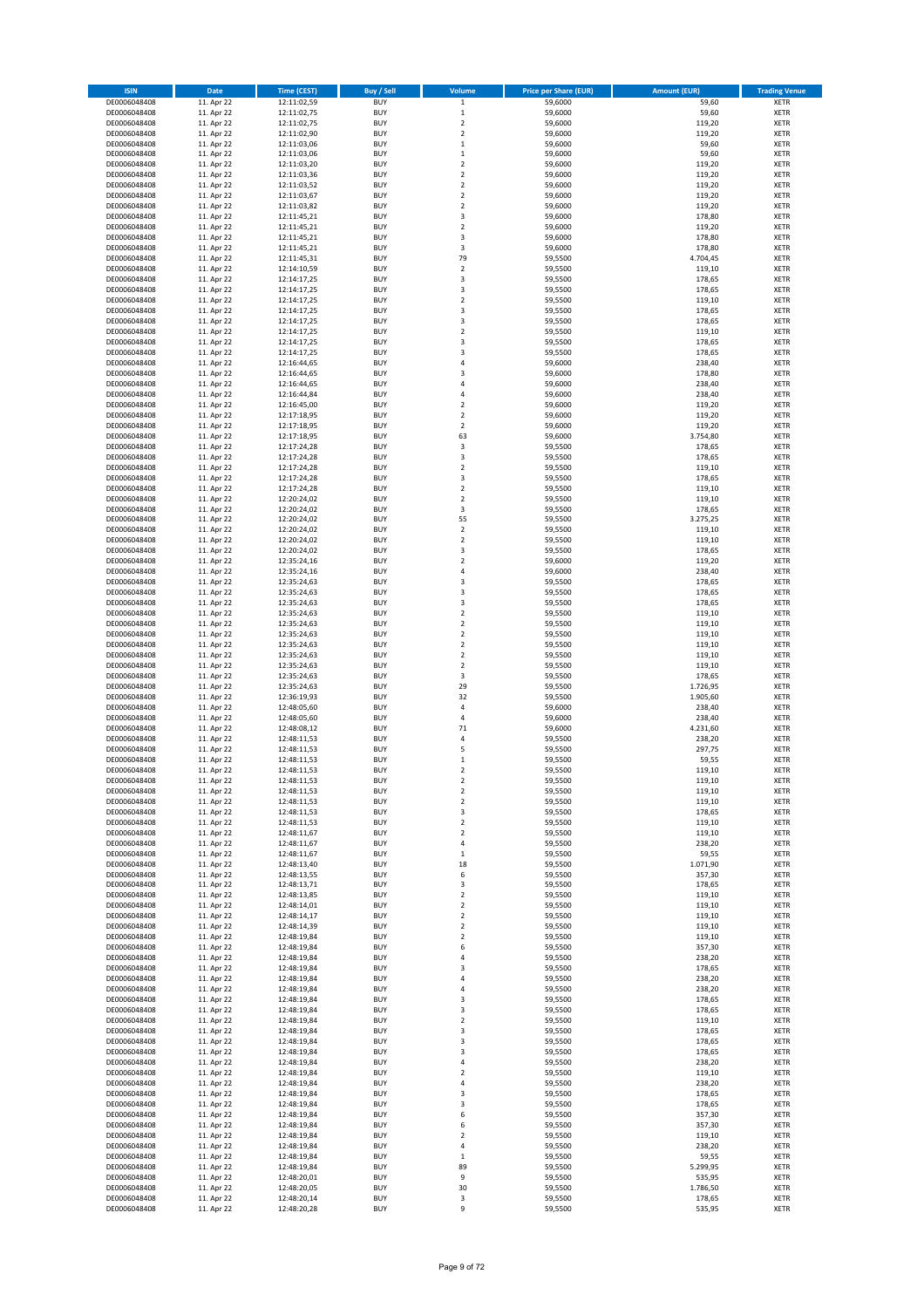| <b>ISIN</b>                  | Date                     | <b>Time (CEST)</b>         | <b>Buy / Sell</b>        | Volume                                | <b>Price per Share (EUR)</b> | <b>Amount (EUR)</b> | <b>Trading Venue</b>       |
|------------------------------|--------------------------|----------------------------|--------------------------|---------------------------------------|------------------------------|---------------------|----------------------------|
| DE0006048408                 | 11. Apr 22               | 12:11:02,59                | <b>BUY</b>               | $\mathbf 1$                           | 59,6000                      | 59,60               | <b>XETR</b>                |
| DE0006048408                 | 11. Apr 22               | 12:11:02,75                | <b>BUY</b>               | $\mathbf 1$                           | 59,6000                      | 59,60               | <b>XETR</b>                |
| DE0006048408<br>DE0006048408 | 11. Apr 22<br>11. Apr 22 | 12:11:02,75<br>12:11:02,90 | <b>BUY</b><br><b>BUY</b> | $\mathbf 2$<br>$\overline{2}$         | 59,6000<br>59,6000           | 119,20<br>119,20    | <b>XETR</b><br><b>XETR</b> |
| DE0006048408                 | 11. Apr 22               | 12:11:03,06                | <b>BUY</b>               | $\,$ 1                                | 59,6000                      | 59,60               | <b>XETR</b>                |
| DE0006048408                 | 11. Apr 22               | 12:11:03,06                | <b>BUY</b>               | $\,1\,$                               | 59,6000                      | 59,60               | <b>XETR</b>                |
| DE0006048408                 | 11. Apr 22               | 12:11:03,20                | <b>BUY</b>               | $\overline{2}$                        | 59,6000                      | 119,20              | <b>XETR</b>                |
| DE0006048408                 | 11. Apr 22               | 12:11:03,36                | <b>BUY</b>               | $\overline{2}$                        | 59,6000                      | 119,20              | <b>XETR</b>                |
| DE0006048408<br>DE0006048408 | 11. Apr 22<br>11. Apr 22 | 12:11:03,52<br>12:11:03,67 | <b>BUY</b><br><b>BUY</b> | $\overline{2}$<br>$\overline{2}$      | 59,6000<br>59,6000           | 119,20<br>119,20    | XETR<br><b>XETR</b>        |
| DE0006048408                 | 11. Apr 22               | 12:11:03,82                | <b>BUY</b>               | $\mathbf 2$                           | 59,6000                      | 119,20              | XETR                       |
| DE0006048408                 | 11. Apr 22               | 12:11:45,21                | <b>BUY</b>               | 3                                     | 59,6000                      | 178,80              | <b>XETR</b>                |
| DE0006048408                 | 11. Apr 22               | 12:11:45,21                | <b>BUY</b>               | $\boldsymbol{2}$                      | 59,6000                      | 119,20              | XETR                       |
| DE0006048408                 | 11. Apr 22               | 12:11:45,21                | <b>BUY</b>               | 3                                     | 59,6000                      | 178,80              | <b>XETR</b>                |
| DE0006048408                 | 11. Apr 22               | 12:11:45,21                | <b>BUY</b>               | 3                                     | 59,6000                      | 178,80              | XETR                       |
| DE0006048408<br>DE0006048408 | 11. Apr 22<br>11. Apr 22 | 12:11:45,31<br>12:14:10,59 | <b>BUY</b><br><b>BUY</b> | 79<br>$\sqrt{2}$                      | 59,5500<br>59,5500           | 4.704,45<br>119,10  | <b>XETR</b><br>XETR        |
| DE0006048408                 | 11. Apr 22               | 12:14:17,25                | <b>BUY</b>               | 3                                     | 59,5500                      | 178,65              | <b>XETR</b>                |
| DE0006048408                 | 11. Apr 22               | 12:14:17,25                | <b>BUY</b>               | $\overline{\mathbf{3}}$               | 59,5500                      | 178,65              | XETR                       |
| DE0006048408                 | 11. Apr 22               | 12:14:17,25                | <b>BUY</b>               | $\overline{2}$                        | 59,5500                      | 119,10              | <b>XETR</b>                |
| DE0006048408<br>DE0006048408 | 11. Apr 22<br>11. Apr 22 | 12:14:17,25<br>12:14:17,25 | <b>BUY</b><br><b>BUY</b> | 3<br>3                                | 59,5500<br>59,5500           | 178,65<br>178,65    | <b>XETR</b><br><b>XETR</b> |
| DE0006048408                 | 11. Apr 22               | 12:14:17,25                | <b>BUY</b>               | $\overline{2}$                        | 59,5500                      | 119,10              | <b>XETR</b>                |
| DE0006048408                 | 11. Apr 22               | 12:14:17,25                | <b>BUY</b>               | 3                                     | 59,5500                      | 178,65              | <b>XETR</b>                |
| DE0006048408                 | 11. Apr 22               | 12:14:17,25                | <b>BUY</b>               | 3                                     | 59,5500                      | 178,65              | <b>XETR</b>                |
| DE0006048408                 | 11. Apr 22               | 12:16:44,65                | <b>BUY</b>               | 4                                     | 59,6000                      | 238,40              | <b>XETR</b>                |
| DE0006048408                 | 11. Apr 22               | 12:16:44,65                | <b>BUY</b>               | 3                                     | 59,6000                      | 178,80              | <b>XETR</b>                |
| DE0006048408<br>DE0006048408 | 11. Apr 22<br>11. Apr 22 | 12:16:44,65<br>12:16:44,84 | <b>BUY</b><br><b>BUY</b> | 4<br>$\sqrt{4}$                       | 59,6000<br>59,6000           | 238,40<br>238,40    | <b>XETR</b><br><b>XETR</b> |
| DE0006048408                 | 11. Apr 22               | 12:16:45,00                | <b>BUY</b>               | $\sqrt{2}$                            | 59,6000                      | 119,20              | <b>XETR</b>                |
| DE0006048408                 | 11. Apr 22               | 12:17:18,95                | <b>BUY</b>               | $\mathbf 2$                           | 59,6000                      | 119,20              | <b>XETR</b>                |
| DE0006048408                 | 11. Apr 22               | 12:17:18,95                | <b>BUY</b>               | $\mathbf 2$                           | 59,6000                      | 119,20              | <b>XETR</b>                |
| DE0006048408<br>DE0006048408 | 11. Apr 22<br>11. Apr 22 | 12:17:18,95<br>12:17:24,28 | <b>BUY</b><br><b>BUY</b> | 63<br>3                               | 59,6000<br>59,5500           | 3.754,80<br>178,65  | <b>XETR</b><br>XETR        |
| DE0006048408                 | 11. Apr 22               | 12:17:24,28                | <b>BUY</b>               | 3                                     | 59,5500                      | 178,65              | <b>XETR</b>                |
| DE0006048408                 | 11. Apr 22               | 12:17:24,28                | <b>BUY</b>               | $\overline{2}$                        | 59,5500                      | 119,10              | XETR                       |
| DE0006048408                 | 11. Apr 22               | 12:17:24,28                | <b>BUY</b>               | 3                                     | 59,5500                      | 178,65              | <b>XETR</b>                |
| DE0006048408                 | 11. Apr 22               | 12:17:24,28                | <b>BUY</b>               | $\mathbf 2$                           | 59,5500                      | 119,10              | <b>XETR</b>                |
| DE0006048408                 | 11. Apr 22               | 12:20:24,02                | <b>BUY</b>               | $\overline{2}$                        | 59,5500                      | 119,10              | <b>XETR</b>                |
| DE0006048408<br>DE0006048408 | 11. Apr 22<br>11. Apr 22 | 12:20:24,02<br>12:20:24,02 | <b>BUY</b><br><b>BUY</b> | $\overline{\mathbf{3}}$<br>55         | 59,5500<br>59,5500           | 178,65<br>3.275,25  | <b>XETR</b><br><b>XETR</b> |
| DE0006048408                 | 11. Apr 22               | 12:20:24,02                | <b>BUY</b>               | $\sqrt{2}$                            | 59,5500                      | 119,10              | <b>XETR</b>                |
| DE0006048408                 | 11. Apr 22               | 12:20:24,02                | <b>BUY</b>               | $\overline{2}$                        | 59,5500                      | 119,10              | <b>XETR</b>                |
| DE0006048408                 | 11. Apr 22               | 12:20:24,02                | <b>BUY</b>               | 3                                     | 59,5500                      | 178,65              | <b>XETR</b>                |
| DE0006048408                 | 11. Apr 22               | 12:35:24,16                | <b>BUY</b>               | $\overline{2}$                        | 59,6000                      | 119,20              | <b>XETR</b>                |
| DE0006048408                 | 11. Apr 22               | 12:35:24,16                | <b>BUY</b><br><b>BUY</b> | $\sqrt{4}$                            | 59,6000                      | 238,40<br>178,65    | <b>XETR</b>                |
| DE0006048408<br>DE0006048408 | 11. Apr 22<br>11. Apr 22 | 12:35:24,63<br>12:35:24,63 | <b>BUY</b>               | 3<br>3                                | 59,5500<br>59,5500           | 178,65              | <b>XETR</b><br><b>XETR</b> |
| DE0006048408                 | 11. Apr 22               | 12:35:24,63                | <b>BUY</b>               | 3                                     | 59,5500                      | 178,65              | <b>XETR</b>                |
| DE0006048408                 | 11. Apr 22               | 12:35:24,63                | <b>BUY</b>               | $\boldsymbol{2}$                      | 59,5500                      | 119,10              | <b>XETR</b>                |
| DE0006048408                 | 11. Apr 22               | 12:35:24,63                | <b>BUY</b>               | $\boldsymbol{2}$                      | 59,5500                      | 119,10              | <b>XETR</b>                |
| DE0006048408                 | 11. Apr 22               | 12:35:24,63                | <b>BUY</b>               | $\overline{2}$                        | 59,5500                      | 119,10              | <b>XETR</b>                |
| DE0006048408<br>DE0006048408 | 11. Apr 22<br>11. Apr 22 | 12:35:24,63<br>12:35:24,63 | <b>BUY</b><br><b>BUY</b> | $\mathbf 2$<br>$\overline{2}$         | 59,5500<br>59,5500           | 119,10<br>119,10    | <b>XETR</b><br><b>XETR</b> |
| DE0006048408                 | 11. Apr 22               | 12:35:24,63                | <b>BUY</b>               | $\mathbf 2$                           | 59,5500                      | 119,10              | <b>XETR</b>                |
| DE0006048408                 | 11. Apr 22               | 12:35:24,63                | <b>BUY</b>               | 3                                     | 59,5500                      | 178,65              | <b>XETR</b>                |
| DE0006048408                 | 11. Apr 22               | 12:35:24,63                | <b>BUY</b>               | 29                                    | 59,5500                      | 1.726,95            | <b>XETR</b>                |
| DE0006048408                 | 11. Apr 22               | 12:36:19,93                | <b>BUY</b>               | 32                                    | 59,5500                      | 1.905,60            | <b>XETR</b>                |
| DE0006048408<br>DE0006048408 | 11. Apr 22<br>11. Apr 22 | 12:48:05,60<br>12:48:05,60 | <b>BUY</b><br><b>BUY</b> | $\sqrt{4}$<br>4                       | 59,6000<br>59,6000           | 238,40<br>238,40    | <b>XETR</b><br><b>XETR</b> |
| DE0006048408                 | 11. Apr 22               | 12:48:08,12                | <b>BUY</b>               | 71                                    | 59,6000                      | 4.231,60            | XETR                       |
| DE0006048408                 | 11. Apr 22               | 12:48:11,53                | <b>BUY</b>               | $\sqrt{4}$                            | 59,5500                      | 238,20              | <b>XETR</b>                |
| DE0006048408                 | 11. Apr 22               | 12:48:11,53                | <b>BUY</b>               | 5                                     | 59,5500                      | 297,75              | <b>XETR</b>                |
| DE0006048408                 | 11. Apr 22               | 12:48:11,53                | <b>BUY</b>               | $\mathbf 1$                           | 59,5500                      | 59,55               | <b>XETR</b>                |
| DE0006048408<br>DE0006048408 | 11. Apr 22<br>11. Apr 22 | 12:48:11,53<br>12:48:11,53 | <b>BUY</b><br><b>BUY</b> | $\overline{2}$<br>2                   | 59,5500<br>59,5500           | 119,10<br>119,10    | <b>XETR</b><br>XETR        |
| DE0006048408                 | 11. Apr 22               | 12:48:11,53                | <b>BUY</b>               | $\mathbf 2$                           | 59,5500                      | 119,10              | XETR                       |
| DE0006048408                 | 11. Apr 22               | 12:48:11,53                | <b>BUY</b>               | $\boldsymbol{2}$                      | 59,5500                      | 119,10              | XETR                       |
| DE0006048408                 | 11. Apr 22               | 12:48:11,53                | <b>BUY</b>               | 3                                     | 59,5500                      | 178,65              | <b>XETR</b>                |
| DE0006048408                 | 11. Apr 22               | 12:48:11,53                | <b>BUY</b>               | $\overline{2}$                        | 59,5500                      | 119,10              | <b>XETR</b>                |
| DE0006048408<br>DE0006048408 | 11. Apr 22<br>11. Apr 22 | 12:48:11,67<br>12:48:11,67 | <b>BUY</b><br><b>BUY</b> | $\overline{\mathbf{c}}$<br>$\sqrt{4}$ | 59,5500<br>59,5500           | 119,10<br>238,20    | XETR<br><b>XETR</b>        |
| DE0006048408                 | 11. Apr 22               | 12:48:11,67                | <b>BUY</b>               | $\,$ 1                                | 59,5500                      | 59,55               | XETR                       |
| DE0006048408                 | 11. Apr 22               | 12:48:13,40                | <b>BUY</b>               | 18                                    | 59,5500                      | 1.071,90            | <b>XETR</b>                |
| DE0006048408                 | 11. Apr 22               | 12:48:13,55                | <b>BUY</b>               | 6                                     | 59,5500                      | 357,30              | XETR                       |
| DE0006048408<br>DE0006048408 | 11. Apr 22<br>11. Apr 22 | 12:48:13,71<br>12:48:13,85 | <b>BUY</b><br><b>BUY</b> | 3<br>$\sqrt{2}$                       | 59,5500<br>59,5500           | 178,65<br>119,10    | <b>XETR</b><br><b>XETR</b> |
| DE0006048408                 | 11. Apr 22               | 12:48:14,01                | <b>BUY</b>               | $\overline{2}$                        | 59,5500                      | 119,10              | <b>XETR</b>                |
| DE0006048408                 | 11. Apr 22               | 12:48:14,17                | <b>BUY</b>               | $\mathbf 2$                           | 59,5500                      | 119,10              | XETR                       |
| DE0006048408                 | 11. Apr 22               | 12:48:14,39                | <b>BUY</b>               | $\boldsymbol{2}$                      | 59,5500                      | 119,10              | <b>XETR</b>                |
| DE0006048408                 | 11. Apr 22               | 12:48:19,84                | <b>BUY</b>               | $\boldsymbol{2}$                      | 59,5500                      | 119,10              | <b>XETR</b>                |
| DE0006048408                 | 11. Apr 22               | 12:48:19,84                | <b>BUY</b>               | 6                                     | 59,5500                      | 357,30              | <b>XETR</b>                |
| DE0006048408<br>DE0006048408 | 11. Apr 22<br>11. Apr 22 | 12:48:19,84<br>12:48:19,84 | <b>BUY</b><br><b>BUY</b> | 4<br>3                                | 59,5500<br>59,5500           | 238,20<br>178,65    | <b>XETR</b><br><b>XETR</b> |
| DE0006048408                 | 11. Apr 22               | 12:48:19,84                | <b>BUY</b>               | $\overline{4}$                        | 59,5500                      | 238,20              | <b>XETR</b>                |
| DE0006048408                 | 11. Apr 22               | 12:48:19,84                | <b>BUY</b>               | 4                                     | 59,5500                      | 238,20              | <b>XETR</b>                |
| DE0006048408                 | 11. Apr 22               | 12:48:19,84                | <b>BUY</b>               | 3                                     | 59,5500                      | 178,65              | <b>XETR</b>                |
| DE0006048408<br>DE0006048408 | 11. Apr 22<br>11. Apr 22 | 12:48:19,84                | <b>BUY</b><br><b>BUY</b> | 3<br>$\overline{2}$                   | 59,5500<br>59,5500           | 178,65<br>119,10    | XETR<br>XETR               |
| DE0006048408                 | 11. Apr 22               | 12:48:19,84<br>12:48:19,84 | <b>BUY</b>               | 3                                     | 59,5500                      | 178,65              | XETR                       |
| DE0006048408                 | 11. Apr 22               | 12:48:19,84                | <b>BUY</b>               | 3                                     | 59,5500                      | 178,65              | <b>XETR</b>                |
| DE0006048408                 | 11. Apr 22               | 12:48:19,84                | <b>BUY</b>               | 3                                     | 59,5500                      | 178,65              | XETR                       |
| DE0006048408                 | 11. Apr 22               | 12:48:19,84                | <b>BUY</b>               | 4                                     | 59,5500                      | 238,20              | XETR                       |
| DE0006048408                 | 11. Apr 22               | 12:48:19,84                | <b>BUY</b>               | $\boldsymbol{2}$                      | 59,5500                      | 119,10              | XETR                       |
| DE0006048408<br>DE0006048408 | 11. Apr 22<br>11. Apr 22 | 12:48:19,84<br>12:48:19,84 | <b>BUY</b><br><b>BUY</b> | $\sqrt{4}$<br>3                       | 59,5500<br>59,5500           | 238,20<br>178,65    | <b>XETR</b><br>XETR        |
| DE0006048408                 | 11. Apr 22               | 12:48:19,84                | <b>BUY</b>               | 3                                     | 59,5500                      | 178,65              | XETR                       |
| DE0006048408                 | 11. Apr 22               | 12:48:19,84                | <b>BUY</b>               | 6                                     | 59,5500                      | 357,30              | XETR                       |
| DE0006048408                 | 11. Apr 22               | 12:48:19,84                | <b>BUY</b>               | 6                                     | 59,5500                      | 357,30              | <b>XETR</b>                |
| DE0006048408                 | 11. Apr 22               | 12:48:19,84                | <b>BUY</b>               | $\overline{2}$                        | 59,5500                      | 119,10              | <b>XETR</b>                |
| DE0006048408<br>DE0006048408 | 11. Apr 22<br>11. Apr 22 | 12:48:19,84<br>12:48:19,84 | <b>BUY</b><br><b>BUY</b> | 4<br>$\,$ 1                           | 59,5500<br>59,5500           | 238,20<br>59,55     | <b>XETR</b><br><b>XETR</b> |
| DE0006048408                 | 11. Apr 22               | 12:48:19,84                | <b>BUY</b>               | 89                                    | 59,5500                      | 5.299,95            | <b>XETR</b>                |
| DE0006048408                 | 11. Apr 22               | 12:48:20,01                | <b>BUY</b>               | 9                                     | 59,5500                      | 535,95              | <b>XETR</b>                |
| DE0006048408                 | 11. Apr 22               | 12:48:20,05                | <b>BUY</b>               | 30                                    | 59,5500                      | 1.786,50            | <b>XETR</b>                |
| DE0006048408                 | 11. Apr 22               | 12:48:20,14                | <b>BUY</b>               | 3                                     | 59,5500                      | 178,65              | <b>XETR</b>                |
| DE0006048408                 | 11. Apr 22               | 12:48:20,28                | <b>BUY</b>               | 9                                     | 59,5500                      | 535,95              | <b>XETR</b>                |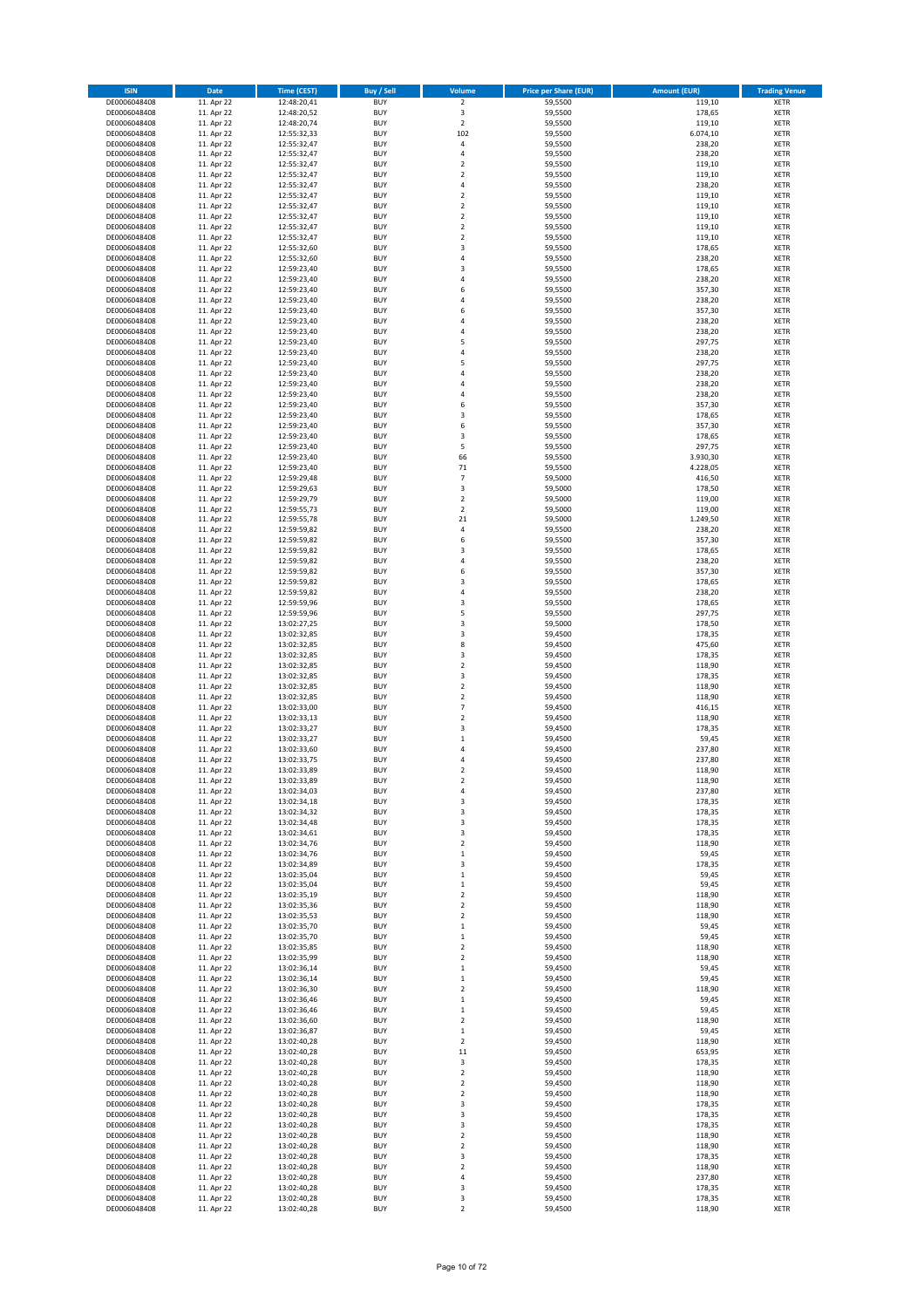| <b>ISIN</b>                  | <b>Date</b>              | <b>Time (CEST)</b>         | <b>Buy / Sell</b>        | Volume                          | <b>Price per Share (EUR)</b> | <b>Amount (EUR)</b>  | <b>Trading Venue</b>       |
|------------------------------|--------------------------|----------------------------|--------------------------|---------------------------------|------------------------------|----------------------|----------------------------|
| DE0006048408                 | 11. Apr 22               | 12:48:20,41                | <b>BUY</b>               | $\overline{\mathbf{c}}$         | 59,5500                      | 119,10               | XETR                       |
| DE0006048408                 | 11. Apr 22               | 12:48:20,52                | <b>BUY</b>               | 3                               | 59,5500                      | 178,65               | XETR                       |
| DE0006048408<br>DE0006048408 | 11. Apr 22<br>11. Apr 22 | 12:48:20,74<br>12:55:32,33 | <b>BUY</b><br><b>BUY</b> | $\mathbf 2$<br>102              | 59,5500<br>59,5500           | 119,10<br>6.074,10   | <b>XETR</b><br><b>XETR</b> |
| DE0006048408                 | 11. Apr 22               | 12:55:32,47                | <b>BUY</b>               | 4                               | 59,5500                      | 238,20               | <b>XETR</b>                |
| DE0006048408                 | 11. Apr 22               | 12:55:32,47                | <b>BUY</b>               | $\overline{4}$                  | 59,5500                      | 238,20               | <b>XETR</b>                |
| DE0006048408                 | 11. Apr 22               | 12:55:32,47                | <b>BUY</b>               | $\mathbf 2$                     | 59,5500                      | 119,10               | <b>XETR</b>                |
| DE0006048408                 | 11. Apr 22               | 12:55:32,47                | <b>BUY</b>               | $\mathbf 2$                     | 59,5500                      | 119,10               | <b>XETR</b>                |
| DE0006048408<br>DE0006048408 | 11. Apr 22<br>11. Apr 22 | 12:55:32,47                | <b>BUY</b><br><b>BUY</b> | 4<br>$\mathbf 2$                | 59,5500<br>59,5500           | 238,20<br>119,10     | <b>XETR</b><br><b>XETR</b> |
| DE0006048408                 | 11. Apr 22               | 12:55:32,47<br>12:55:32,47 | <b>BUY</b>               | $\mathbf 2$                     | 59,5500                      | 119,10               | <b>XETR</b>                |
| DE0006048408                 | 11. Apr 22               | 12:55:32,47                | <b>BUY</b>               | $\mathbf 2$                     | 59,5500                      | 119,10               | <b>XETR</b>                |
| DE0006048408                 | 11. Apr 22               | 12:55:32,47                | <b>BUY</b>               | $\mathbf 2$                     | 59,5500                      | 119,10               | XETR                       |
| DE0006048408                 | 11. Apr 22               | 12:55:32,47                | <b>BUY</b>               | $\mathbf 2$                     | 59,5500                      | 119,10               | <b>XETR</b>                |
| DE0006048408                 | 11. Apr 22               | 12:55:32,60                | <b>BUY</b>               | 3                               | 59,5500                      | 178,65               | XETR                       |
| DE0006048408<br>DE0006048408 | 11. Apr 22<br>11. Apr 22 | 12:55:32,60<br>12:59:23,40 | <b>BUY</b><br><b>BUY</b> | 4<br>3                          | 59,5500<br>59,5500           | 238,20<br>178,65     | <b>XETR</b><br>XETR        |
| DE0006048408                 | 11. Apr 22               | 12:59:23,40                | <b>BUY</b>               | 4                               | 59,5500                      | 238,20               | <b>XETR</b>                |
| DE0006048408                 | 11. Apr 22               | 12:59:23,40                | <b>BUY</b>               | 6                               | 59,5500                      | 357,30               | XETR                       |
| DE0006048408                 | 11. Apr 22               | 12:59:23,40                | <b>BUY</b>               | 4                               | 59,5500                      | 238,20               | <b>XETR</b>                |
| DE0006048408                 | 11. Apr 22               | 12:59:23,40                | <b>BUY</b>               | 6                               | 59,5500                      | 357,30               | <b>XETR</b>                |
| DE0006048408<br>DE0006048408 | 11. Apr 22<br>11. Apr 22 | 12:59:23,40<br>12:59:23,40 | <b>BUY</b><br><b>BUY</b> | 4<br>$\overline{4}$             | 59,5500<br>59,5500           | 238,20<br>238,20     | <b>XETR</b><br><b>XETR</b> |
| DE0006048408                 | 11. Apr 22               | 12:59:23,40                | <b>BUY</b>               | 5                               | 59,5500                      | 297,75               | <b>XETR</b>                |
| DE0006048408                 | 11. Apr 22               | 12:59:23,40                | <b>BUY</b>               | $\overline{4}$                  | 59,5500                      | 238,20               | <b>XETR</b>                |
| DE0006048408                 | 11. Apr 22               | 12:59:23,40                | <b>BUY</b>               | 5                               | 59,5500                      | 297,75               | <b>XETR</b>                |
| DE0006048408                 | 11. Apr 22               | 12:59:23,40                | <b>BUY</b>               | $\overline{4}$                  | 59,5500                      | 238,20               | <b>XETR</b>                |
| DE0006048408                 | 11. Apr 22               | 12:59:23,40                | <b>BUY</b><br><b>BUY</b> | 4<br>4                          | 59,5500                      | 238,20               | <b>XETR</b><br><b>XETR</b> |
| DE0006048408<br>DE0006048408 | 11. Apr 22<br>11. Apr 22 | 12:59:23,40<br>12:59:23,40 | <b>BUY</b>               | 6                               | 59,5500<br>59,5500           | 238,20<br>357,30     | <b>XETR</b>                |
| DE0006048408                 | 11. Apr 22               | 12:59:23,40                | <b>BUY</b>               | 3                               | 59,5500                      | 178,65               | <b>XETR</b>                |
| DE0006048408                 | 11. Apr 22               | 12:59:23,40                | <b>BUY</b>               | 6                               | 59,5500                      | 357,30               | <b>XETR</b>                |
| DE0006048408                 | 11. Apr 22               | 12:59:23,40                | <b>BUY</b>               | 3                               | 59,5500                      | 178,65               | <b>XETR</b>                |
| DE0006048408                 | 11. Apr 22               | 12:59:23,40                | <b>BUY</b>               | 5                               | 59,5500                      | 297,75               | XETR                       |
| DE0006048408<br>DE0006048408 | 11. Apr 22<br>11. Apr 22 | 12:59:23,40<br>12:59:23,40 | <b>BUY</b><br><b>BUY</b> | 66<br>$71\,$                    | 59,5500<br>59,5500           | 3.930,30<br>4.228,05 | <b>XETR</b><br>XETR        |
| DE0006048408                 | 11. Apr 22               | 12:59:29,48                | <b>BUY</b>               | $\overline{7}$                  | 59,5000                      | 416,50               | <b>XETR</b>                |
| DE0006048408                 | 11. Apr 22               | 12:59:29,63                | <b>BUY</b>               | 3                               | 59,5000                      | 178,50               | XETR                       |
| DE0006048408                 | 11. Apr 22               | 12:59:29,79                | <b>BUY</b>               | $\overline{\mathbf{c}}$         | 59,5000                      | 119,00               | <b>XETR</b>                |
| DE0006048408                 | 11. Apr 22               | 12:59:55,73                | <b>BUY</b>               | $\mathbf 2$                     | 59,5000                      | 119,00               | <b>XETR</b>                |
| DE0006048408                 | 11. Apr 22               | 12:59:55,78                | <b>BUY</b><br><b>BUY</b> | 21                              | 59,5000                      | 1.249,50             | <b>XETR</b><br><b>XETR</b> |
| DE0006048408<br>DE0006048408 | 11. Apr 22<br>11. Apr 22 | 12:59:59,82<br>12:59:59,82 | <b>BUY</b>               | 4<br>6                          | 59,5500<br>59,5500           | 238,20<br>357,30     | <b>XETR</b>                |
| DE0006048408                 | 11. Apr 22               | 12:59:59,82                | <b>BUY</b>               | 3                               | 59,5500                      | 178,65               | <b>XETR</b>                |
| DE0006048408                 | 11. Apr 22               | 12:59:59,82                | <b>BUY</b>               | 4                               | 59,5500                      | 238,20               | <b>XETR</b>                |
| DE0006048408                 | 11. Apr 22               | 12:59:59,82                | <b>BUY</b>               | 6                               | 59,5500                      | 357,30               | XETR                       |
| DE0006048408                 | 11. Apr 22               | 12:59:59,82                | <b>BUY</b>               | 3                               | 59,5500                      | 178,65               | XETR                       |
| DE0006048408<br>DE0006048408 | 11. Apr 22<br>11. Apr 22 | 12:59:59,82<br>12:59:59,96 | <b>BUY</b><br><b>BUY</b> | $\overline{4}$<br>3             | 59,5500<br>59,5500           | 238,20<br>178,65     | <b>XETR</b><br><b>XETR</b> |
| DE0006048408                 | 11. Apr 22               | 12:59:59,96                | <b>BUY</b>               | 5                               | 59,5500                      | 297,75               | <b>XETR</b>                |
| DE0006048408                 | 11. Apr 22               | 13:02:27,25                | <b>BUY</b>               | 3                               | 59,5000                      | 178,50               | <b>XETR</b>                |
| DE0006048408                 | 11. Apr 22               | 13:02:32,85                | <b>BUY</b>               | 3                               | 59,4500                      | 178,35               | <b>XETR</b>                |
| DE0006048408                 | 11. Apr 22               | 13:02:32,85                | <b>BUY</b>               | 8                               | 59,4500                      | 475,60               | <b>XETR</b>                |
| DE0006048408<br>DE0006048408 | 11. Apr 22<br>11. Apr 22 | 13:02:32,85<br>13:02:32,85 | <b>BUY</b><br><b>BUY</b> | 3<br>$\mathbf 2$                | 59,4500<br>59,4500           | 178,35<br>118,90     | <b>XETR</b><br><b>XETR</b> |
| DE0006048408                 | 11. Apr 22               | 13:02:32,85                | <b>BUY</b>               | 3                               | 59,4500                      | 178,35               | <b>XETR</b>                |
| DE0006048408                 | 11. Apr 22               | 13:02:32,85                | <b>BUY</b>               | $\mathbf 2$                     | 59,4500                      | 118,90               | <b>XETR</b>                |
| DE0006048408                 | 11. Apr 22               | 13:02:32,85                | <b>BUY</b>               | $\overline{\mathbf{c}}$         | 59,4500                      | 118,90               | <b>XETR</b>                |
| DE0006048408                 | 11. Apr 22               | 13:02:33,00                | <b>BUY</b>               | $\overline{7}$                  | 59,4500                      | 416,15               | <b>XETR</b>                |
| DE0006048408                 | 11. Apr 22               | 13:02:33,13                | <b>BUY</b>               | $\overline{\mathbf{c}}$         | 59,4500                      | 118,90               | <b>XETR</b>                |
| DE0006048408<br>DE0006048408 | 11. Apr 22<br>11. Apr 22 | 13:02:33,27<br>13:02:33,27 | <b>BUY</b><br><b>BUY</b> | 3<br>$\mathbf 1$                | 59,4500<br>59,4500           | 178,35<br>59,45      | XETR<br><b>XETR</b>        |
| DE0006048408                 | 11. Apr 22               | 13:02:33,60                | <b>BUY</b>               | 4                               | 59,4500                      | 237,80               | XETR                       |
| DE0006048408                 | 11. Apr 22               | 13:02:33,75                | <b>BUY</b>               | 4                               | 59,4500                      | 237,80               | <b>XETR</b>                |
| DE0006048408                 | 11. Apr 22               | 13:02:33,89                | <b>BUY</b>               | $\overline{\mathbf{2}}$         | 59,4500                      | 118,90               | <b>XETR</b>                |
| DE0006048408                 | 11. Apr 22               | 13:02:33,89                | <b>BUY</b>               | 2                               | 59,4500                      | 118,90               | XETR                       |
| DE0006048408<br>DE0006048408 | 11. Apr 22<br>11. Apr 22 | 13:02:34,03<br>13:02:34,18 | <b>BUY</b><br><b>BUY</b> | 4<br>3                          | 59,4500<br>59,4500           | 237,80<br>178,35     | XETR<br>XETR               |
| DE0006048408                 | 11. Apr 22               | 13:02:34,32                | <b>BUY</b>               | 3                               | 59,4500                      | 178,35               | XETR                       |
| DE0006048408                 | 11. Apr 22               | 13:02:34,48                | <b>BUY</b>               | 3                               | 59,4500                      | 178,35               | XETR                       |
| DE0006048408                 | 11. Apr 22               | 13:02:34,61                | <b>BUY</b>               | 3                               | 59,4500                      | 178,35               | XETR                       |
| DE0006048408                 | 11. Apr 22               | 13:02:34,76                | <b>BUY</b>               | $\overline{\mathbf{c}}$         | 59,4500                      | 118,90               | <b>XETR</b>                |
| DE0006048408<br>DE0006048408 | 11. Apr 22<br>11. Apr 22 | 13:02:34,76<br>13:02:34,89 | <b>BUY</b><br><b>BUY</b> | $\mathbf 1$<br>3                | 59,4500<br>59,4500           | 59,45<br>178,35      | XETR<br><b>XETR</b>        |
| DE0006048408                 | 11. Apr 22               | 13:02:35,04                | <b>BUY</b>               | $\mathbf 1$                     | 59,4500                      | 59,45                | XETR                       |
| DE0006048408                 | 11. Apr 22               | 13:02:35,04                | <b>BUY</b>               | $\mathbf 1$                     | 59,4500                      | 59,45                | <b>XETR</b>                |
| DE0006048408                 | 11. Apr 22               | 13:02:35,19                | <b>BUY</b>               | $\mathbf 2$                     | 59,4500                      | 118,90               | XETR                       |
| DE0006048408                 | 11. Apr 22               | 13:02:35,36                | <b>BUY</b>               | $\mathbf 2$                     | 59,4500                      | 118,90               | <b>XETR</b>                |
| DE0006048408<br>DE0006048408 | 11. Apr 22<br>11. Apr 22 | 13:02:35,53<br>13:02:35,70 | <b>BUY</b><br><b>BUY</b> | $\boldsymbol{2}$<br>$\mathbf 1$ | 59,4500<br>59,4500           | 118,90<br>59,45      | XETR<br><b>XETR</b>        |
| DE0006048408                 | 11. Apr 22               | 13:02:35,70                | <b>BUY</b>               | $\mathbf 1$                     | 59,4500                      | 59,45                | XETR                       |
| DE0006048408                 | 11. Apr 22               | 13:02:35,85                | <b>BUY</b>               | $\mathbf 2$                     | 59,4500                      | 118,90               | <b>XETR</b>                |
| DE0006048408                 | 11. Apr 22               | 13:02:35,99                | <b>BUY</b>               | 2                               | 59,4500                      | 118,90               | XETR                       |
| DE0006048408                 | 11. Apr 22               | 13:02:36,14                | <b>BUY</b>               | $\mathbf 1$                     | 59,4500                      | 59,45                | <b>XETR</b>                |
| DE0006048408<br>DE0006048408 | 11. Apr 22<br>11. Apr 22 | 13:02:36,14<br>13:02:36,30 | <b>BUY</b><br><b>BUY</b> | $\mathbf 1$<br>$\mathbf 2$      | 59,4500<br>59,4500           | 59,45<br>118,90      | XETR<br><b>XETR</b>        |
| DE0006048408                 | 11. Apr 22               | 13:02:36,46                | <b>BUY</b>               | $\mathbf 1$                     | 59,4500                      | 59,45                | <b>XETR</b>                |
| DE0006048408                 | 11. Apr 22               | 13:02:36,46                | <b>BUY</b>               | $\mathbf 1$                     | 59,4500                      | 59,45                | XETR                       |
| DE0006048408                 | 11. Apr 22               | 13:02:36,60                | <b>BUY</b>               | $\mathbf 2$                     | 59,4500                      | 118,90               | <b>XETR</b>                |
| DE0006048408                 | 11. Apr 22               | 13:02:36,87                | <b>BUY</b>               | $\mathbf 1$                     | 59,4500                      | 59,45                | XETR                       |
| DE0006048408                 | 11. Apr 22               | 13:02:40,28                | <b>BUY</b>               | $\mathbf 2$                     | 59,4500                      | 118,90               | <b>XETR</b>                |
| DE0006048408<br>DE0006048408 | 11. Apr 22<br>11. Apr 22 | 13:02:40,28<br>13:02:40,28 | <b>BUY</b><br><b>BUY</b> | 11<br>3                         | 59,4500<br>59,4500           | 653,95<br>178,35     | XETR<br><b>XETR</b>        |
| DE0006048408                 | 11. Apr 22               | 13:02:40,28                | <b>BUY</b>               | $\mathbf 2$                     | 59,4500                      | 118,90               | XETR                       |
| DE0006048408                 | 11. Apr 22               | 13:02:40,28                | <b>BUY</b>               | $\mathbf 2$                     | 59,4500                      | 118,90               | <b>XETR</b>                |
| DE0006048408                 | 11. Apr 22               | 13:02:40,28                | <b>BUY</b>               | 2                               | 59,4500                      | 118,90               | XETR                       |
| DE0006048408                 | 11. Apr 22               | 13:02:40,28                | <b>BUY</b>               | 3                               | 59,4500                      | 178,35               | <b>XETR</b>                |
| DE0006048408                 | 11. Apr 22               | 13:02:40,28                | <b>BUY</b>               | 3                               | 59,4500                      | 178,35               | XETR                       |
| DE0006048408<br>DE0006048408 | 11. Apr 22<br>11. Apr 22 | 13:02:40,28<br>13:02:40,28 | <b>BUY</b><br><b>BUY</b> | 3<br>2                          | 59,4500<br>59,4500           | 178,35<br>118,90     | <b>XETR</b><br><b>XETR</b> |
| DE0006048408                 | 11. Apr 22               | 13:02:40,28                | <b>BUY</b>               | 2                               | 59,4500                      | 118,90               | <b>XETR</b>                |
| DE0006048408                 | 11. Apr 22               | 13:02:40,28                | <b>BUY</b>               | 3                               | 59,4500                      | 178,35               | XETR                       |
| DE0006048408                 | 11. Apr 22               | 13:02:40,28                | <b>BUY</b>               | $\mathbf 2$                     | 59,4500                      | 118,90               | <b>XETR</b>                |
| DE0006048408                 | 11. Apr 22               | 13:02:40,28                | <b>BUY</b>               | 4                               | 59,4500                      | 237,80               | XETR                       |
| DE0006048408<br>DE0006048408 | 11. Apr 22<br>11. Apr 22 | 13:02:40,28<br>13:02:40,28 | <b>BUY</b><br><b>BUY</b> | 3<br>3                          | 59,4500<br>59,4500           | 178,35<br>178,35     | XETR<br>XETR               |
| DE0006048408                 | 11. Apr 22               | 13:02:40,28                | <b>BUY</b>               | $\mathbf 2$                     | 59,4500                      | 118,90               | XETR                       |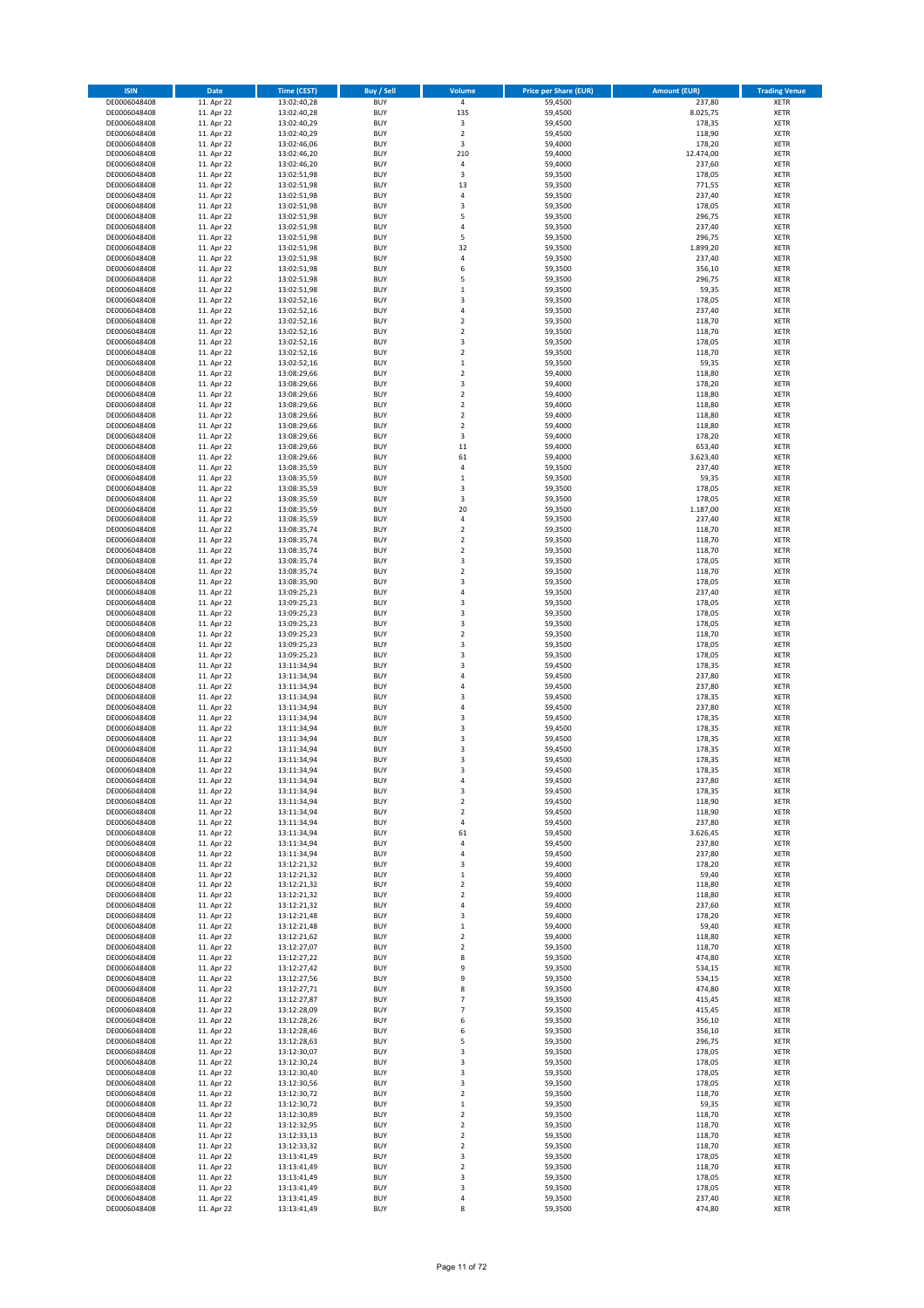| <b>ISIN</b>                  | <b>Date</b>              | Time (CEST)                | <b>Buy / Sell</b>        | Volume                     | <b>Price per Share (EUR)</b> | <b>Amount (EUR)</b> | <b>Trading Venue</b>       |
|------------------------------|--------------------------|----------------------------|--------------------------|----------------------------|------------------------------|---------------------|----------------------------|
| DE0006048408                 | 11. Apr 22               | 13:02:40,28                | <b>BUY</b>               | $\overline{4}$             | 59,4500                      | 237,80              | <b>XETR</b>                |
| DE0006048408<br>DE0006048408 | 11. Apr 22<br>11. Apr 22 | 13:02:40,28<br>13:02:40,29 | <b>BUY</b><br><b>BUY</b> | 135<br>3                   | 59,4500<br>59,4500           | 8.025,75<br>178,35  | XETR<br><b>XETR</b>        |
| DE0006048408                 | 11. Apr 22               | 13:02:40,29                | <b>BUY</b>               | $\mathbf 2$                | 59,4500                      | 118,90              | XETR                       |
| DE0006048408                 | 11. Apr 22               | 13:02:46,06                | <b>BUY</b>               | 3                          | 59,4000                      | 178,20              | XETR                       |
| DE0006048408                 | 11. Apr 22               | 13:02:46,20                | <b>BUY</b>               | 210                        | 59,4000                      | 12.474,00           | <b>XETR</b>                |
| DE0006048408<br>DE0006048408 | 11. Apr 22<br>11. Apr 22 | 13:02:46,20<br>13:02:51,98 | <b>BUY</b><br><b>BUY</b> | 4<br>3                     | 59,4000<br>59,3500           | 237,60<br>178,05    | <b>XETR</b><br><b>XETR</b> |
| DE0006048408                 | 11. Apr 22               | 13:02:51,98                | <b>BUY</b>               | 13                         | 59,3500                      | 771,55              | <b>XETR</b>                |
| DE0006048408                 | 11. Apr 22               | 13:02:51,98                | <b>BUY</b>               | 4                          | 59,3500                      | 237,40              | <b>XETR</b>                |
| DE0006048408                 | 11. Apr 22               | 13:02:51,98                | <b>BUY</b>               | 3                          | 59,3500                      | 178,05              | <b>XETR</b>                |
| DE0006048408                 | 11. Apr 22               | 13:02:51,98                | <b>BUY</b>               | 5                          | 59,3500                      | 296,75              | <b>XETR</b>                |
| DE0006048408<br>DE0006048408 | 11. Apr 22<br>11. Apr 22 | 13:02:51,98<br>13:02:51,98 | <b>BUY</b><br><b>BUY</b> | 4<br>5                     | 59,3500<br>59,3500           | 237,40<br>296,75    | XETR<br><b>XETR</b>        |
| DE0006048408                 | 11. Apr 22               | 13:02:51,98                | <b>BUY</b>               | 32                         | 59,3500                      | 1.899,20            | XETR                       |
| DE0006048408                 | 11. Apr 22               | 13:02:51,98                | <b>BUY</b>               | 4                          | 59,3500                      | 237,40              | <b>XETR</b>                |
| DE0006048408                 | 11. Apr 22               | 13:02:51,98                | <b>BUY</b>               | 6                          | 59,3500                      | 356,10              | XETR                       |
| DE0006048408<br>DE0006048408 | 11. Apr 22<br>11. Apr 22 | 13:02:51,98<br>13:02:51,98 | <b>BUY</b><br><b>BUY</b> | 5<br>$\mathbf 1$           | 59,3500<br>59,3500           | 296,75<br>59,35     | <b>XETR</b><br>XETR        |
| DE0006048408                 | 11. Apr 22               | 13:02:52,16                | <b>BUY</b>               | 3                          | 59,3500                      | 178,05              | <b>XETR</b>                |
| DE0006048408                 | 11. Apr 22               | 13:02:52,16                | <b>BUY</b>               | 4                          | 59,3500                      | 237,40              | XETR                       |
| DE0006048408                 | 11. Apr 22               | 13:02:52,16                | <b>BUY</b>               | $\mathbf 2$                | 59,3500                      | 118,70              | XETR                       |
| DE0006048408<br>DE0006048408 | 11. Apr 22<br>11. Apr 22 | 13:02:52,16<br>13:02:52,16 | <b>BUY</b><br><b>BUY</b> | $\mathbf 2$<br>3           | 59,3500<br>59,3500           | 118,70<br>178,05    | <b>XETR</b><br><b>XETR</b> |
| DE0006048408                 | 11. Apr 22               | 13:02:52,16                | <b>BUY</b>               | $\mathbf 2$                | 59,3500                      | 118,70              | <b>XETR</b>                |
| DE0006048408                 | 11. Apr 22               | 13:02:52,16                | <b>BUY</b>               | $\mathbf 1$                | 59,3500                      | 59,35               | XETR                       |
| DE0006048408                 | 11. Apr 22               | 13:08:29,66                | <b>BUY</b>               | $\mathbf 2$                | 59,4000                      | 118,80              | <b>XETR</b>                |
| DE0006048408                 | 11. Apr 22               | 13:08:29,66                | <b>BUY</b>               | 3                          | 59,4000                      | 178,20              | <b>XETR</b>                |
| DE0006048408<br>DE0006048408 | 11. Apr 22<br>11. Apr 22 | 13:08:29,66<br>13:08:29,66 | <b>BUY</b><br><b>BUY</b> | $\mathbf 2$<br>$\mathbf 2$ | 59,4000<br>59,4000           | 118,80<br>118,80    | <b>XETR</b><br>XETR        |
| DE0006048408                 | 11. Apr 22               | 13:08:29,66                | <b>BUY</b>               | $\mathbf 2$                | 59,4000                      | 118,80              | <b>XETR</b>                |
| DE0006048408                 | 11. Apr 22               | 13:08:29,66                | <b>BUY</b>               | $\overline{\mathbf{c}}$    | 59,4000                      | 118,80              | <b>XETR</b>                |
| DE0006048408                 | 11. Apr 22               | 13:08:29,66                | <b>BUY</b>               | 3                          | 59,4000                      | 178,20              | <b>XETR</b>                |
| DE0006048408<br>DE0006048408 | 11. Apr 22<br>11. Apr 22 | 13:08:29,66<br>13:08:29,66 | <b>BUY</b><br><b>BUY</b> | $11\,$<br>61               | 59,4000<br>59,4000           | 653,40<br>3.623,40  | XETR<br><b>XETR</b>        |
| DE0006048408                 | 11. Apr 22               | 13:08:35,59                | <b>BUY</b>               | 4                          | 59,3500                      | 237,40              | XETR                       |
| DE0006048408                 | 11. Apr 22               | 13:08:35,59                | <b>BUY</b>               | $\mathbf 1$                | 59,3500                      | 59,35               | <b>XETR</b>                |
| DE0006048408                 | 11. Apr 22               | 13:08:35,59                | <b>BUY</b>               | 3                          | 59,3500                      | 178,05              | XETR                       |
| DE0006048408<br>DE0006048408 | 11. Apr 22<br>11. Apr 22 | 13:08:35,59                | <b>BUY</b><br><b>BUY</b> | 3<br>20                    | 59,3500<br>59,3500           | 178,05<br>1.187,00  | <b>XETR</b><br><b>XETR</b> |
| DE0006048408                 | 11. Apr 22               | 13:08:35,59<br>13:08:35,59 | <b>BUY</b>               | 4                          | 59,3500                      | 237,40              | <b>XETR</b>                |
| DE0006048408                 | 11. Apr 22               | 13:08:35,74                | <b>BUY</b>               | $\mathbf 2$                | 59,3500                      | 118,70              | <b>XETR</b>                |
| DE0006048408                 | 11. Apr 22               | 13:08:35,74                | <b>BUY</b>               | $\overline{\mathbf{c}}$    | 59,3500                      | 118,70              | <b>XETR</b>                |
| DE0006048408                 | 11. Apr 22               | 13:08:35,74                | <b>BUY</b>               | $\mathbf 2$                | 59,3500                      | 118,70              | <b>XETR</b>                |
| DE0006048408<br>DE0006048408 | 11. Apr 22<br>11. Apr 22 | 13:08:35,74<br>13:08:35,74 | <b>BUY</b><br><b>BUY</b> | 3<br>$\mathbf 2$           | 59,3500<br>59,3500           | 178,05<br>118,70    | <b>XETR</b><br>XETR        |
| DE0006048408                 | 11. Apr 22               | 13:08:35,90                | <b>BUY</b>               | 3                          | 59,3500                      | 178,05              | XETR                       |
| DE0006048408                 | 11. Apr 22               | 13:09:25,23                | <b>BUY</b>               | $\overline{4}$             | 59,3500                      | 237,40              | <b>XETR</b>                |
| DE0006048408                 | 11. Apr 22               | 13:09:25,23                | <b>BUY</b>               | 3                          | 59,3500                      | 178,05              | <b>XETR</b>                |
| DE0006048408<br>DE0006048408 | 11. Apr 22<br>11. Apr 22 | 13:09:25,23<br>13:09:25,23 | <b>BUY</b><br><b>BUY</b> | 3<br>3                     | 59,3500<br>59,3500           | 178,05<br>178,05    | <b>XETR</b><br><b>XETR</b> |
| DE0006048408                 | 11. Apr 22               | 13:09:25,23                | <b>BUY</b>               | $\overline{\mathbf{c}}$    | 59,3500                      | 118,70              | <b>XETR</b>                |
| DE0006048408                 | 11. Apr 22               | 13:09:25,23                | <b>BUY</b>               | 3                          | 59,3500                      | 178,05              | <b>XETR</b>                |
| DE0006048408                 | 11. Apr 22               | 13:09:25,23                | <b>BUY</b>               | 3                          | 59,3500                      | 178,05              | XETR                       |
| DE0006048408                 | 11. Apr 22               | 13:11:34,94                | <b>BUY</b>               | 3<br>$\overline{4}$        | 59,4500                      | 178,35              | XETR                       |
| DE0006048408<br>DE0006048408 | 11. Apr 22<br>11. Apr 22 | 13:11:34,94<br>13:11:34,94 | <b>BUY</b><br><b>BUY</b> | 4                          | 59,4500<br>59,4500           | 237,80<br>237,80    | <b>XETR</b><br><b>XETR</b> |
| DE0006048408                 | 11. Apr 22               | 13:11:34,94                | <b>BUY</b>               | 3                          | 59,4500                      | 178,35              | <b>XETR</b>                |
| DE0006048408                 | 11. Apr 22               | 13:11:34,94                | <b>BUY</b>               | 4                          | 59,4500                      | 237,80              | XETR                       |
| DE0006048408                 | 11. Apr 22               | 13:11:34,94                | <b>BUY</b>               | 3                          | 59,4500                      | 178,35              | <b>XETR</b>                |
| DE0006048408<br>DE0006048408 | 11. Apr 22<br>11. Apr 22 | 13:11:34,94<br>13:11:34,94 | <b>BUY</b><br><b>BUY</b> | 3<br>3                     | 59,4500<br>59,4500           | 178,35<br>178,35    | XETR<br><b>XETR</b>        |
| DE0006048408                 | 11. Apr 22               | 13:11:34,94                | <b>BUY</b>               | 3                          | 59,4500                      | 178,35              | XETR                       |
| DE0006048408                 | 11. Apr 22               | 13:11:34,94                | <b>BUY</b>               | 3                          | 59,4500                      | 178,35              | <b>XETR</b>                |
| DE0006048408                 | 11. Apr 22               | 13:11:34,94                | <b>BUY</b>               | 3                          | 59,4500                      | 178,35              | <b>XETR</b>                |
| DE0006048408<br>DE0006048408 | 11. Apr 22<br>11. Apr 22 | 13:11:34,94<br>13:11:34,94 | <b>BUY</b><br><b>BUY</b> | 4<br>3                     | 59,4500<br>59,4500           | 237,80<br>178,35    | XETR<br>XETR               |
| DE0006048408                 | 11. Apr 22               | 13:11:34,94                | <b>BUY</b>               | $\mathbf 2$                | 59,4500                      | 118,90              | XETR                       |
| DE0006048408                 | 11. Apr 22               | 13:11:34,94                | <b>BUY</b>               | 2                          | 59,4500                      | 118,90              | XETR                       |
| DE0006048408                 | 11. Apr 22               | 13:11:34,94                | <b>BUY</b>               | 4                          | 59,4500                      | 237,80              | XETR                       |
| DE0006048408<br>DE0006048408 | 11. Apr 22<br>11. Apr 22 | 13:11:34,94<br>13:11:34,94 | <b>BUY</b><br><b>BUY</b> | 61<br>4                    | 59,4500<br>59,4500           | 3.626,45<br>237,80  | XETR<br><b>XETR</b>        |
| DE0006048408                 | 11. Apr 22               | 13:11:34,94                | <b>BUY</b>               | 4                          | 59,4500                      | 237,80              | XETR                       |
| DE0006048408                 | 11. Apr 22               | 13:12:21,32                | <b>BUY</b>               | 3                          | 59,4000                      | 178,20              | <b>XETR</b>                |
| DE0006048408                 | 11. Apr 22               | 13:12:21,32                | <b>BUY</b>               | $\mathbf 1$                | 59,4000                      | 59,40               | XETR                       |
| DE0006048408<br>DE0006048408 | 11. Apr 22<br>11. Apr 22 | 13:12:21,32<br>13:12:21,32 | <b>BUY</b><br><b>BUY</b> | 2<br>$\mathbf 2$           | 59,4000<br>59,4000           | 118,80<br>118,80    | <b>XETR</b><br>XETR        |
| DE0006048408                 | 11. Apr 22               | 13:12:21,32                | <b>BUY</b>               | 4                          | 59,4000                      | 237,60              | <b>XETR</b>                |
| DE0006048408                 | 11. Apr 22               | 13:12:21,48                | <b>BUY</b>               | 3                          | 59,4000                      | 178,20              | XETR                       |
| DE0006048408                 | 11. Apr 22               | 13:12:21,48                | <b>BUY</b>               | $\mathbf 1$                | 59,4000                      | 59,40               | <b>XETR</b>                |
| DE0006048408<br>DE0006048408 | 11. Apr 22<br>11. Apr 22 | 13:12:21,62<br>13:12:27,07 | <b>BUY</b><br><b>BUY</b> | $\mathbf 2$<br>$\mathbf 2$ | 59,4000<br>59,3500           | 118,80<br>118,70    | XETR<br><b>XETR</b>        |
| DE0006048408                 | 11. Apr 22               | 13:12:27,22                | <b>BUY</b>               | 8                          | 59,3500                      | 474,80              | XETR                       |
| DE0006048408                 | 11. Apr 22               | 13:12:27,42                | <b>BUY</b>               | 9                          | 59,3500                      | 534,15              | <b>XETR</b>                |
| DE0006048408                 | 11. Apr 22               | 13:12:27,56                | <b>BUY</b>               | 9                          | 59,3500                      | 534,15              | XETR                       |
| DE0006048408<br>DE0006048408 | 11. Apr 22<br>11. Apr 22 | 13:12:27,71<br>13:12:27,87 | <b>BUY</b><br><b>BUY</b> | 8<br>$\overline{7}$        | 59,3500<br>59,3500           | 474,80<br>415,45    | <b>XETR</b><br><b>XETR</b> |
| DE0006048408                 | 11. Apr 22               | 13:12:28,09                | <b>BUY</b>               | 7                          | 59,3500                      | 415,45              | XETR                       |
| DE0006048408                 | 11. Apr 22               | 13:12:28,26                | <b>BUY</b>               | 6                          | 59,3500                      | 356,10              | <b>XETR</b>                |
| DE0006048408                 | 11. Apr 22               | 13:12:28,46                | <b>BUY</b><br><b>BUY</b> | 6<br>5                     | 59,3500                      | 356,10              | XETR<br><b>XETR</b>        |
| DE0006048408<br>DE0006048408 | 11. Apr 22<br>11. Apr 22 | 13:12:28,63<br>13:12:30,07 | <b>BUY</b>               | 3                          | 59,3500<br>59,3500           | 296,75<br>178,05    | XETR                       |
| DE0006048408                 | 11. Apr 22               | 13:12:30,24                | <b>BUY</b>               | 3                          | 59,3500                      | 178,05              | <b>XETR</b>                |
| DE0006048408                 | 11. Apr 22               | 13:12:30,40                | <b>BUY</b>               | 3                          | 59,3500                      | 178,05              | XETR                       |
| DE0006048408                 | 11. Apr 22               | 13:12:30,56                | <b>BUY</b>               | 3                          | 59,3500                      | 178,05              | <b>XETR</b>                |
| DE0006048408<br>DE0006048408 | 11. Apr 22<br>11. Apr 22 | 13:12:30,72<br>13:12:30,72 | <b>BUY</b><br><b>BUY</b> | 2<br>$\mathbf 1$           | 59,3500<br>59,3500           | 118,70<br>59,35     | XETR<br><b>XETR</b>        |
| DE0006048408                 | 11. Apr 22               | 13:12:30,89                | <b>BUY</b>               | $\mathbf 2$                | 59,3500                      | 118,70              | XETR                       |
| DE0006048408                 | 11. Apr 22               | 13:12:32,95                | <b>BUY</b>               | $\mathbf 2$                | 59,3500                      | 118,70              | <b>XETR</b>                |
| DE0006048408                 | 11. Apr 22               | 13:12:33,13                | <b>BUY</b>               | 2                          | 59,3500                      | 118,70              | <b>XETR</b>                |
| DE0006048408<br>DE0006048408 | 11. Apr 22<br>11. Apr 22 | 13:12:33,32<br>13:13:41,49 | <b>BUY</b><br><b>BUY</b> | 2<br>3                     | 59,3500<br>59,3500           | 118,70<br>178,05    | <b>XETR</b><br>XETR        |
| DE0006048408                 | 11. Apr 22               | 13:13:41,49                | <b>BUY</b>               | $\mathbf 2$                | 59,3500                      | 118,70              | <b>XETR</b>                |
| DE0006048408                 | 11. Apr 22               | 13:13:41,49                | <b>BUY</b>               | 3                          | 59,3500                      | 178,05              | XETR                       |
| DE0006048408                 | 11. Apr 22               | 13:13:41,49                | <b>BUY</b>               | 3                          | 59,3500                      | 178,05              | XETR                       |
| DE0006048408<br>DE0006048408 | 11. Apr 22<br>11. Apr 22 | 13:13:41,49<br>13:13:41,49 | <b>BUY</b><br><b>BUY</b> | 4<br>8                     | 59,3500<br>59,3500           | 237,40<br>474,80    | XETR<br>XETR               |
|                              |                          |                            |                          |                            |                              |                     |                            |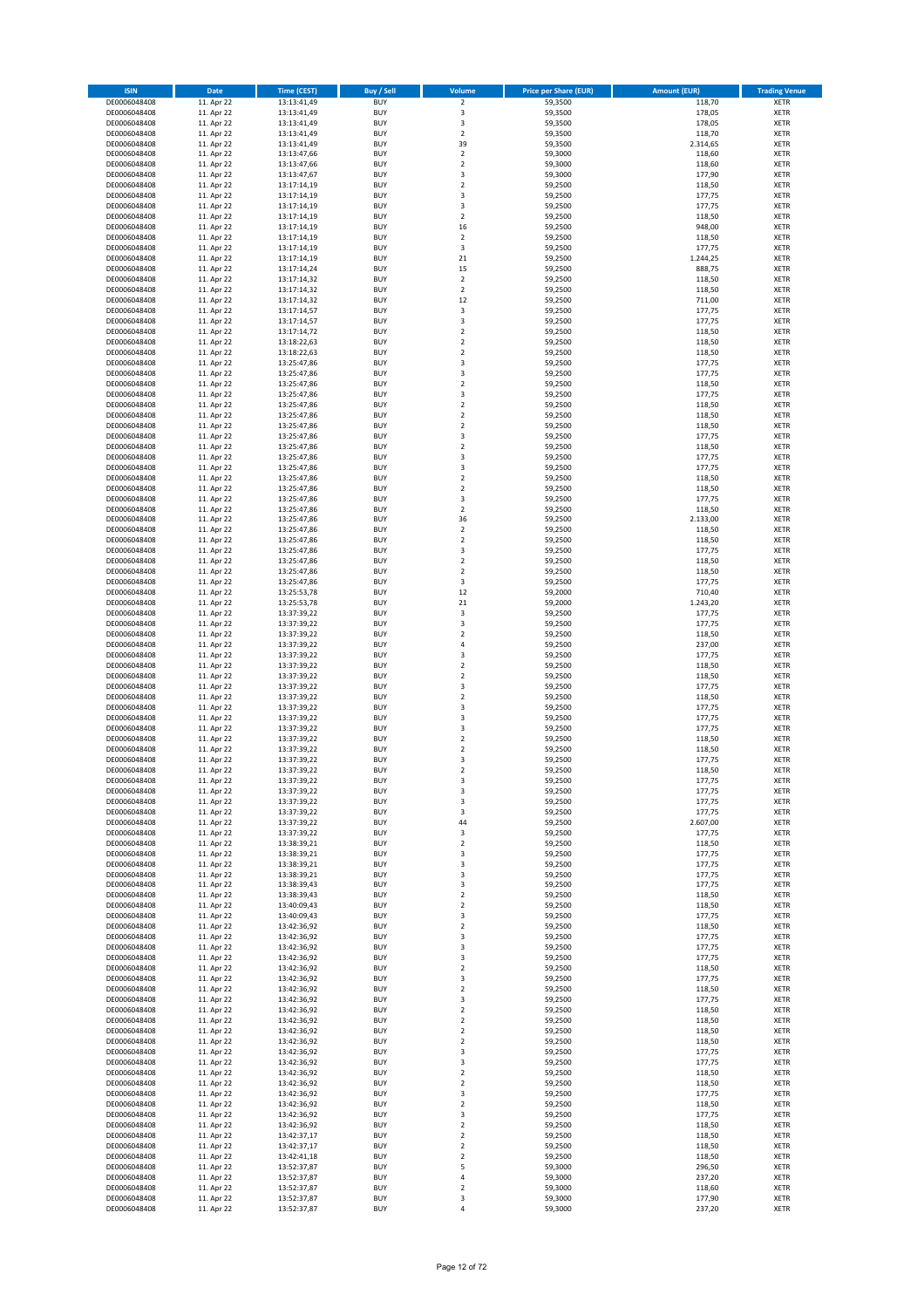| <b>ISIN</b>                  | Date                     | <b>Time (CEST)</b>         | <b>Buy / Sell</b>        | Volume                                     | <b>Price per Share (EUR)</b> | <b>Amount (EUR)</b> | <b>Trading Venue</b>       |
|------------------------------|--------------------------|----------------------------|--------------------------|--------------------------------------------|------------------------------|---------------------|----------------------------|
| DE0006048408                 | 11. Apr 22               | 13:13:41,49                | <b>BUY</b>               | $\overline{\mathbf{c}}$                    | 59,3500                      | 118,70              | XETR                       |
| DE0006048408                 | 11. Apr 22               | 13:13:41,49                | <b>BUY</b>               | 3                                          | 59,3500                      | 178,05              | XETR                       |
| DE0006048408                 | 11. Apr 22               | 13:13:41,49                | <b>BUY</b>               | 3                                          | 59,3500                      | 178,05              | <b>XETR</b>                |
| DE0006048408                 | 11. Apr 22               | 13:13:41,49                | <b>BUY</b>               | $\boldsymbol{2}$                           | 59,3500                      | 118,70              | <b>XETR</b>                |
| DE0006048408                 | 11. Apr 22               | 13:13:41,49                | <b>BUY</b>               | 39                                         | 59,3500                      | 2.314,65            | <b>XETR</b>                |
| DE0006048408                 | 11. Apr 22               | 13:13:47,66                | <b>BUY</b>               | $\overline{2}$                             | 59,3000                      | 118,60              | <b>XETR</b>                |
| DE0006048408                 | 11. Apr 22               | 13:13:47,66                | <b>BUY</b>               | $\overline{2}$<br>$\overline{\mathbf{3}}$  | 59,3000                      | 118,60              | XETR                       |
| DE0006048408<br>DE0006048408 | 11. Apr 22<br>11. Apr 22 | 13:13:47,67<br>13:17:14,19 | <b>BUY</b><br><b>BUY</b> | $\overline{2}$                             | 59,3000<br>59,2500           | 177,90<br>118,50    | <b>XETR</b><br>XETR        |
| DE0006048408                 | 11. Apr 22               | 13:17:14,19                | <b>BUY</b>               | $\overline{\mathbf{3}}$                    | 59,2500                      | 177,75              | <b>XETR</b>                |
| DE0006048408                 | 11. Apr 22               | 13:17:14,19                | <b>BUY</b>               | $\overline{\mathbf{3}}$                    | 59,2500                      | 177,75              | XETR                       |
| DE0006048408                 | 11. Apr 22               | 13:17:14,19                | <b>BUY</b>               | $\overline{2}$                             | 59,2500                      | 118,50              | <b>XETR</b>                |
| DE0006048408                 | 11. Apr 22               | 13:17:14,19                | <b>BUY</b>               | 16                                         | 59,2500                      | 948,00              | XETR                       |
| DE0006048408                 | 11. Apr 22               | 13:17:14,19                | <b>BUY</b>               | $\overline{2}$                             | 59,2500                      | 118,50              | <b>XETR</b>                |
| DE0006048408                 | 11. Apr 22               | 13:17:14,19                | <b>BUY</b>               | 3                                          | 59,2500                      | 177,75              | <b>XETR</b>                |
| DE0006048408                 | 11. Apr 22               | 13:17:14,19                | <b>BUY</b>               | 21                                         | 59,2500                      | 1.244,25            | <b>XETR</b>                |
| DE0006048408                 | 11. Apr 22               | 13:17:14,24                | <b>BUY</b>               | 15                                         | 59,2500                      | 888,75              | XETR                       |
| DE0006048408                 | 11. Apr 22               | 13:17:14,32                | <b>BUY</b>               | $\overline{2}$                             | 59,2500                      | 118,50              | <b>XETR</b>                |
| DE0006048408                 | 11. Apr 22               | 13:17:14,32                | <b>BUY</b>               | $\mathbf 2$                                | 59,2500                      | 118,50              | <b>XETR</b>                |
| DE0006048408                 | 11. Apr 22               | 13:17:14,32                | <b>BUY</b>               | 12                                         | 59,2500                      | 711,00              | <b>XETR</b>                |
| DE0006048408                 | 11. Apr 22               | 13:17:14,57                | <b>BUY</b>               | 3                                          | 59,2500                      | 177,75              | XETR                       |
| DE0006048408                 | 11. Apr 22               | 13:17:14,57                | <b>BUY</b>               | 3                                          | 59,2500                      | 177,75              | XETR                       |
| DE0006048408                 | 11. Apr 22<br>11. Apr 22 | 13:17:14,72                | <b>BUY</b><br><b>BUY</b> | $\overline{2}$<br>$\overline{2}$           | 59,2500                      | 118,50              | <b>XETR</b><br><b>XETR</b> |
| DE0006048408<br>DE0006048408 | 11. Apr 22               | 13:18:22,63<br>13:18:22,63 | <b>BUY</b>               | $\overline{2}$                             | 59,2500<br>59,2500           | 118,50<br>118,50    | <b>XETR</b>                |
| DE0006048408                 | 11. Apr 22               | 13:25:47,86                | <b>BUY</b>               | 3                                          | 59,2500                      | 177,75              | <b>XETR</b>                |
| DE0006048408                 | 11. Apr 22               | 13:25:47,86                | <b>BUY</b>               | $\overline{\mathbf{3}}$                    | 59,2500                      | 177,75              | <b>XETR</b>                |
| DE0006048408                 | 11. Apr 22               | 13:25:47,86                | <b>BUY</b>               | $\overline{2}$                             | 59,2500                      | 118,50              | <b>XETR</b>                |
| DE0006048408                 | 11. Apr 22               | 13:25:47,86                | <b>BUY</b>               | $\overline{\mathbf{3}}$                    | 59,2500                      | 177,75              | <b>XETR</b>                |
| DE0006048408                 | 11. Apr 22               | 13:25:47,86                | <b>BUY</b>               | $\overline{2}$                             | 59,2500                      | 118,50              | <b>XETR</b>                |
| DE0006048408                 | 11. Apr 22               | 13:25:47,86                | <b>BUY</b>               | $\overline{2}$                             | 59,2500                      | 118,50              | <b>XETR</b>                |
| DE0006048408                 | 11. Apr 22               | 13:25:47,86                | <b>BUY</b>               | $\overline{2}$                             | 59,2500                      | 118,50              | <b>XETR</b>                |
| DE0006048408                 | 11. Apr 22               | 13:25:47,86                | <b>BUY</b>               | $\overline{\mathbf{3}}$                    | 59,2500                      | 177,75              | <b>XETR</b>                |
| DE0006048408                 | 11. Apr 22               | 13:25:47,86                | <b>BUY</b>               | $\overline{2}$                             | 59,2500                      | 118,50              | XETR                       |
| DE0006048408                 | 11. Apr 22               | 13:25:47,86                | <b>BUY</b>               | $\overline{\mathbf{3}}$                    | 59,2500                      | 177,75              | <b>XETR</b>                |
| DE0006048408                 | 11. Apr 22               | 13:25:47,86                | <b>BUY</b>               | $\overline{\mathbf{3}}$                    | 59,2500                      | 177,75              | XETR                       |
| DE0006048408                 | 11. Apr 22               | 13:25:47,86                | <b>BUY</b>               | $\overline{2}$                             | 59,2500                      | 118,50              | <b>XETR</b>                |
| DE0006048408                 | 11. Apr 22               | 13:25:47,86                | <b>BUY</b>               | $\mathbf 2$                                | 59,2500                      | 118,50              | XETR                       |
| DE0006048408                 | 11. Apr 22<br>11. Apr 22 | 13:25:47,86                | <b>BUY</b><br><b>BUY</b> | 3                                          | 59,2500                      | 177,75              | <b>XETR</b>                |
| DE0006048408<br>DE0006048408 | 11. Apr 22               | 13:25:47,86<br>13:25:47,86 | <b>BUY</b>               | $\mathbf 2$<br>36                          | 59,2500<br>59,2500           | 118,50<br>2.133,00  | XETR<br><b>XETR</b>        |
| DE0006048408                 | 11. Apr 22               | 13:25:47,86                | <b>BUY</b>               | $\mathbf 2$                                | 59,2500                      | 118,50              | XETR                       |
| DE0006048408                 | 11. Apr 22               | 13:25:47,86                | <b>BUY</b>               | $\overline{2}$                             | 59,2500                      | 118,50              | <b>XETR</b>                |
| DE0006048408                 | 11. Apr 22               | 13:25:47,86                | <b>BUY</b>               | 3                                          | 59,2500                      | 177,75              | <b>XETR</b>                |
| DE0006048408                 | 11. Apr 22               | 13:25:47,86                | <b>BUY</b>               | $\overline{2}$                             | 59,2500                      | 118,50              | <b>XETR</b>                |
| DE0006048408                 | 11. Apr 22               | 13:25:47,86                | <b>BUY</b>               | $\mathbf 2$                                | 59,2500                      | 118,50              | XETR                       |
| DE0006048408                 | 11. Apr 22               | 13:25:47,86                | <b>BUY</b>               | 3                                          | 59,2500                      | 177,75              | <b>XETR</b>                |
| DE0006048408                 | 11. Apr 22               | 13:25:53,78                | <b>BUY</b>               | 12                                         | 59,2000                      | 710,40              | <b>XETR</b>                |
| DE0006048408                 | 11. Apr 22               | 13:25:53,78                | <b>BUY</b>               | $21\,$                                     | 59,2000                      | 1.243,20            | <b>XETR</b>                |
| DE0006048408                 | 11. Apr 22               | 13:37:39,22                | <b>BUY</b>               | 3                                          | 59,2500                      | 177,75              | <b>XETR</b>                |
| DE0006048408                 | 11. Apr 22               | 13:37:39,22                | <b>BUY</b>               | $\overline{\mathbf{3}}$                    | 59,2500                      | 177,75              | <b>XETR</b>                |
| DE0006048408                 | 11. Apr 22               | 13:37:39,22                | <b>BUY</b>               | $\overline{\phantom{a}}$                   | 59,2500                      | 118,50              | <b>XETR</b>                |
| DE0006048408                 | 11. Apr 22               | 13:37:39,22                | <b>BUY</b>               | $\overline{4}$                             | 59,2500                      | 237,00              | <b>XETR</b>                |
| DE0006048408                 | 11. Apr 22               | 13:37:39,22                | <b>BUY</b>               | $\overline{\mathbf{3}}$                    | 59,2500                      | 177,75              | <b>XETR</b>                |
| DE0006048408                 | 11. Apr 22               | 13:37:39,22                | <b>BUY</b>               | $\overline{2}$<br>$\overline{\phantom{a}}$ | 59,2500                      | 118,50              | <b>XETR</b>                |
| DE0006048408                 | 11. Apr 22               | 13:37:39,22                | <b>BUY</b><br><b>BUY</b> | $\overline{\mathbf{3}}$                    | 59,2500                      | 118,50              | <b>XETR</b>                |
| DE0006048408<br>DE0006048408 | 11. Apr 22<br>11. Apr 22 | 13:37:39,22<br>13:37:39,22 | <b>BUY</b>               | $\overline{2}$                             | 59,2500<br>59,2500           | 177,75<br>118,50    | <b>XETR</b><br><b>XETR</b> |
| DE0006048408                 | 11. Apr 22               | 13:37:39,22                | <b>BUY</b>               | $\overline{\mathbf{3}}$                    | 59,2500                      | 177,75              | <b>XETR</b>                |
| DE0006048408                 | 11. Apr 22               | 13:37:39,22                | <b>BUY</b>               | 3                                          | 59,2500                      | 177,75              | <b>XETR</b>                |
| DE0006048408                 | 11. Apr 22               | 13:37:39,22                | <b>BUY</b>               | $\overline{\mathbf{3}}$                    | 59,2500                      | 177,75              | <b>XETR</b>                |
| DE0006048408                 | 11. Apr 22               | 13:37:39,22                | <b>BUY</b>               | $\overline{2}$                             | 59,2500                      | 118,50              | <b>XETR</b>                |
| DE0006048408                 | 11. Apr 22               | 13:37:39,22                | <b>BUY</b>               | 2                                          | 59,2500                      | 118,50              | XETR                       |
| DE0006048408                 | 11. Apr 22               | 13:37:39,22                | <b>BUY</b>               | 3                                          | 59,2500                      | 177,75              | <b>XETR</b>                |
| DE0006048408                 | 11. Apr 22               | 13:37:39,22                | <b>BUY</b>               | $\overline{2}$                             | 59,2500                      | 118,50              | XETR                       |
| DE0006048408                 | 11. Apr 22               | 13:37:39,22                | <b>BUY</b>               | 3                                          | 59,2500                      | 177,75              | XETR                       |
| DE0006048408                 | 11. Apr 22               | 13:37:39,22                | <b>BUY</b>               | 3                                          | 59,2500                      | 177,75              | <b>XETR</b>                |
| DE0006048408                 | 11. Apr 22               | 13:37:39,22                | <b>BUY</b>               | 3                                          | 59,2500                      | 177,75              | XETR                       |
| DE0006048408                 | 11. Apr 22               | 13:37:39,22                | <b>BUY</b>               | 3                                          | 59,2500                      | 177,75              | <b>XETR</b>                |
| DE0006048408                 | 11. Apr 22               | 13:37:39,22                | <b>BUY</b>               | 44                                         | 59,2500                      | 2.607,00            | <b>XETR</b>                |
| DE0006048408                 | 11. Apr 22               | 13:37:39,22                | <b>BUY</b>               | 3                                          | 59,2500                      | 177,75              | <b>XETR</b>                |
| DE0006048408                 | 11. Apr 22               | 13:38:39,21                | <b>BUY</b>               | $\overline{2}$                             | 59,2500                      | 118,50              | <b>XETR</b>                |
| DE0006048408<br>DE0006048408 | 11. Apr 22<br>11. Apr 22 | 13:38:39,21                | <b>BUY</b><br><b>BUY</b> | 3<br>$\overline{\mathbf{3}}$               | 59,2500<br>59,2500           | 177,75<br>177,75    | XETR                       |
| DE0006048408                 | 11. Apr 22               | 13:38:39,21<br>13:38:39,21 | <b>BUY</b>               | 3                                          | 59,2500                      | 177,75              | <b>XETR</b><br>XETR        |
| DE0006048408                 | 11. Apr 22               | 13:38:39,43                | <b>BUY</b>               | 3                                          | 59,2500                      | 177,75              | <b>XETR</b>                |
| DE0006048408                 | 11. Apr 22               | 13:38:39,43                | <b>BUY</b>               | $\overline{2}$                             | 59,2500                      | 118,50              | XETR                       |
| DE0006048408                 | 11. Apr 22               | 13:40:09,43                | <b>BUY</b>               | $\mathbf 2$                                | 59,2500                      | 118,50              | <b>XETR</b>                |
| DE0006048408                 | 11. Apr 22               | 13:40:09,43                | <b>BUY</b>               | 3                                          | 59,2500                      | 177,75              | XETR                       |
| DE0006048408                 | 11. Apr 22               | 13:42:36,92                | <b>BUY</b>               | $\mathbf 2$                                | 59,2500                      | 118,50              | <b>XETR</b>                |
| DE0006048408                 | 11. Apr 22               | 13:42:36,92                | <b>BUY</b>               | $\overline{\mathbf{3}}$                    | 59,2500                      | 177,75              | XETR                       |
| DE0006048408                 | 11. Apr 22               | 13:42:36,92                | <b>BUY</b>               | 3                                          | 59,2500                      | 177,75              | <b>XETR</b>                |
| DE0006048408                 | 11. Apr 22               | 13:42:36,92                | <b>BUY</b>               | 3                                          | 59,2500                      | 177,75              | XETR                       |
| DE0006048408                 | 11. Apr 22               | 13:42:36,92                | <b>BUY</b>               | $\overline{\mathbf{2}}$                    | 59,2500                      | 118,50              | <b>XETR</b>                |
| DE0006048408                 | 11. Apr 22               | 13:42:36,92                | <b>BUY</b>               | $\overline{\mathbf{3}}$                    | 59,2500                      | 177,75              | XETR                       |
| DE0006048408                 | 11. Apr 22               | 13:42:36,92                | <b>BUY</b>               | $\mathbf 2$                                | 59,2500                      | 118,50              | <b>XETR</b>                |
| DE0006048408                 | 11. Apr 22               | 13:42:36,92                | <b>BUY</b>               | 3                                          | 59,2500                      | 177,75              | <b>XETR</b>                |
| DE0006048408                 | 11. Apr 22               | 13:42:36,92                | <b>BUY</b><br><b>BUY</b> | 2                                          | 59,2500                      | 118,50              | <b>XETR</b>                |
| DE0006048408<br>DE0006048408 | 11. Apr 22<br>11. Apr 22 | 13:42:36,92<br>13:42:36,92 | <b>BUY</b>               | 2<br>$\mathbf 2$                           | 59,2500                      | 118,50<br>118,50    | <b>XETR</b><br><b>XETR</b> |
| DE0006048408                 | 11. Apr 22               | 13:42:36,92                | <b>BUY</b>               | 2                                          | 59,2500<br>59,2500           | 118,50              | <b>XETR</b>                |
| DE0006048408                 | 11. Apr 22               | 13:42:36,92                | <b>BUY</b>               | 3                                          | 59,2500                      | 177,75              | <b>XETR</b>                |
| DE0006048408                 | 11. Apr 22               | 13:42:36,92                | <b>BUY</b>               | 3                                          | 59,2500                      | 177,75              | <b>XETR</b>                |
| DE0006048408                 | 11. Apr 22               | 13:42:36,92                | <b>BUY</b>               | $\mathbf 2$                                | 59,2500                      | 118,50              | <b>XETR</b>                |
| DE0006048408                 | 11. Apr 22               | 13:42:36,92                | <b>BUY</b>               | $\mathbf 2$                                | 59,2500                      | 118,50              | <b>XETR</b>                |
| DE0006048408                 | 11. Apr 22               | 13:42:36,92                | <b>BUY</b>               | 3                                          | 59,2500                      | 177,75              | <b>XETR</b>                |
| DE0006048408                 | 11. Apr 22               | 13:42:36,92                | <b>BUY</b>               | $\overline{2}$                             | 59,2500                      | 118,50              | XETR                       |
| DE0006048408                 | 11. Apr 22               | 13:42:36,92                | <b>BUY</b>               | 3                                          | 59,2500                      | 177,75              | <b>XETR</b>                |
| DE0006048408                 | 11. Apr 22               | 13:42:36,92                | <b>BUY</b>               | $\overline{2}$                             | 59,2500                      | 118,50              | <b>XETR</b>                |
| DE0006048408                 | 11. Apr 22               | 13:42:37,17                | <b>BUY</b>               | $\overline{2}$                             | 59,2500                      | 118,50              | <b>XETR</b>                |
| DE0006048408                 | 11. Apr 22               | 13:42:37,17                | <b>BUY</b>               | $\overline{\mathbf{2}}$                    | 59,2500                      | 118,50              | <b>XETR</b>                |
| DE0006048408                 | 11. Apr 22               | 13:42:41,18                | <b>BUY</b>               | $\overline{2}$                             | 59,2500                      | 118,50              | XETR                       |
| DE0006048408                 | 11. Apr 22               | 13:52:37,87                | <b>BUY</b>               | 5                                          | 59,3000                      | 296,50              | <b>XETR</b>                |
| DE0006048408                 | 11. Apr 22               | 13:52:37,87                | <b>BUY</b>               | 4                                          | 59,3000                      | 237,20              | XETR                       |
| DE0006048408                 | 11. Apr 22               | 13:52:37,87                | <b>BUY</b>               | 2                                          | 59,3000                      | 118,60              | <b>XETR</b>                |
| DE0006048408<br>DE0006048408 | 11. Apr 22<br>11. Apr 22 | 13:52:37,87                | <b>BUY</b><br><b>BUY</b> | 3<br>4                                     | 59,3000<br>59,3000           | 177,90<br>237,20    | <b>XETR</b><br><b>XETR</b> |
|                              |                          | 13:52:37,87                |                          |                                            |                              |                     |                            |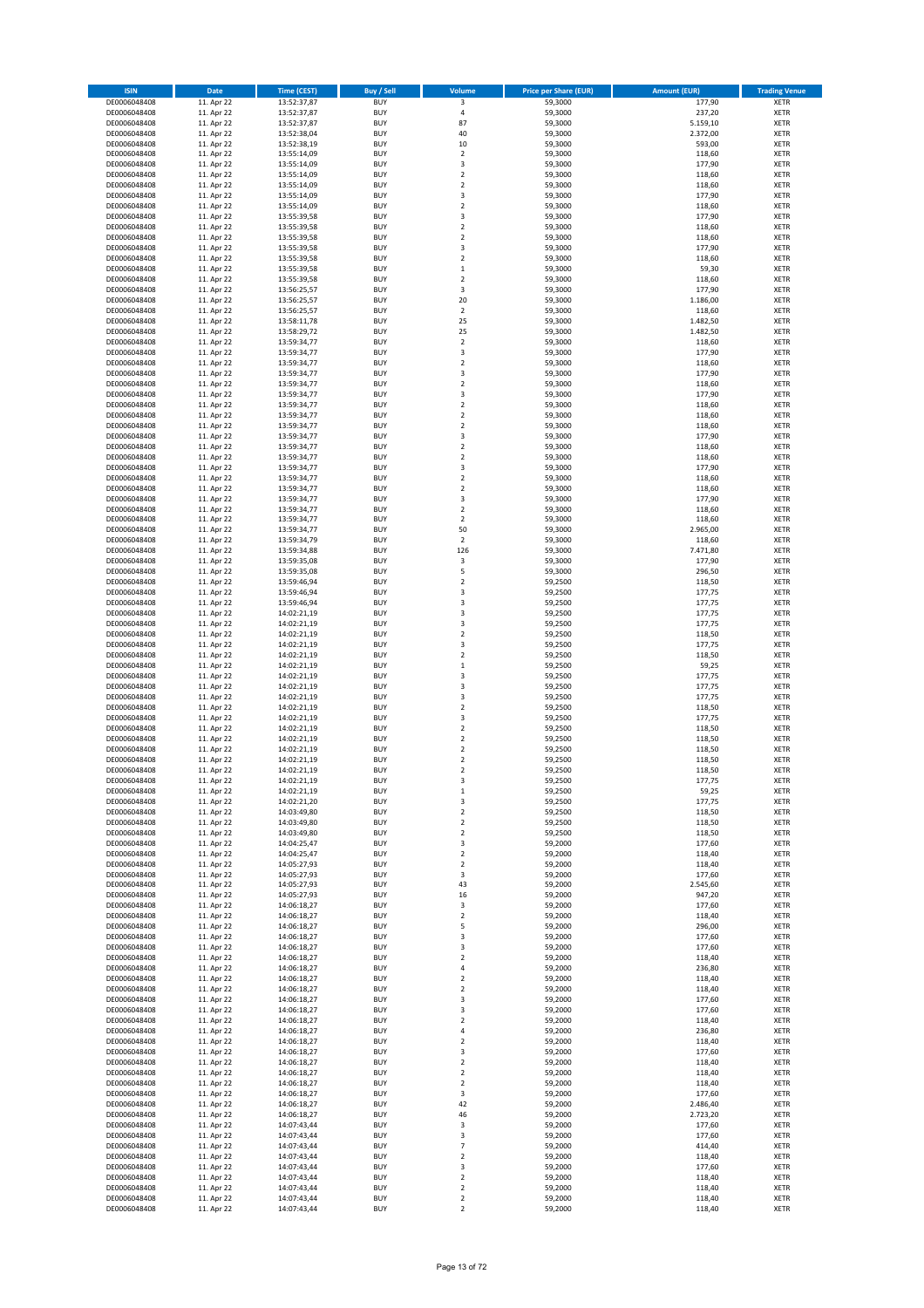| <b>ISIN</b>                  | Date                     | <b>Time (CEST)</b>         | <b>Buy / Sell</b>        | Volume                           | <b>Price per Share (EUR)</b> | <b>Amount (EUR)</b> | <b>Trading Venue</b>       |
|------------------------------|--------------------------|----------------------------|--------------------------|----------------------------------|------------------------------|---------------------|----------------------------|
| DE0006048408                 | 11. Apr 22               | 13:52:37,87                | <b>BUY</b>               | $\overline{\mathbf{3}}$          | 59,3000                      | 177,90              | <b>XETR</b>                |
| DE0006048408                 | 11. Apr 22               | 13:52:37,87                | <b>BUY</b>               | $\pmb{4}$                        | 59,3000                      | 237,20              | <b>XETR</b>                |
| DE0006048408                 | 11. Apr 22               | 13:52:37,87                | <b>BUY</b>               | 87                               | 59,3000                      | 5.159,10            | <b>XETR</b>                |
| DE0006048408                 | 11. Apr 22               | 13:52:38,04                | <b>BUY</b>               | 40                               | 59,3000                      | 2.372,00            | <b>XETR</b>                |
| DE0006048408<br>DE0006048408 | 11. Apr 22<br>11. Apr 22 | 13:52:38,19<br>13:55:14,09 | <b>BUY</b><br><b>BUY</b> | 10<br>$\mathbf 2$                | 59,3000<br>59,3000           | 593,00<br>118,60    | <b>XETR</b><br><b>XETR</b> |
| DE0006048408                 | 11. Apr 22               | 13:55:14,09                | <b>BUY</b>               | 3                                | 59,3000                      | 177,90              | <b>XETR</b>                |
| DE0006048408                 | 11. Apr 22               | 13:55:14,09                | <b>BUY</b>               | $\mathbf 2$                      | 59,3000                      | 118,60              | <b>XETR</b>                |
| DE0006048408                 | 11. Apr 22               | 13:55:14,09                | <b>BUY</b>               | $\overline{2}$                   | 59,3000                      | 118,60              | <b>XETR</b>                |
| DE0006048408                 | 11. Apr 22               | 13:55:14,09                | <b>BUY</b>               | 3                                | 59,3000                      | 177,90              | <b>XETR</b>                |
| DE0006048408                 | 11. Apr 22               | 13:55:14,09                | <b>BUY</b>               | $\overline{2}$                   | 59,3000                      | 118,60              | <b>XETR</b>                |
| DE0006048408                 | 11. Apr 22               | 13:55:39,58                | <b>BUY</b>               | 3                                | 59,3000                      | 177,90              | <b>XETR</b>                |
| DE0006048408                 | 11. Apr 22<br>11. Apr 22 | 13:55:39,58                | <b>BUY</b><br><b>BUY</b> | $\overline{2}$<br>$\mathbf 2$    | 59,3000                      | 118,60              | <b>XETR</b><br><b>XETR</b> |
| DE0006048408<br>DE0006048408 | 11. Apr 22               | 13:55:39,58<br>13:55:39,58 | <b>BUY</b>               | 3                                | 59,3000<br>59.3000           | 118,60<br>177,90    | <b>XETR</b>                |
| DE0006048408                 | 11. Apr 22               | 13:55:39,58                | <b>BUY</b>               | $\mathbf 2$                      | 59,3000                      | 118,60              | <b>XETR</b>                |
| DE0006048408                 | 11. Apr 22               | 13:55:39,58                | <b>BUY</b>               | $\,1\,$                          | 59,3000                      | 59,30               | <b>XETR</b>                |
| DE0006048408                 | 11. Apr 22               | 13:55:39,58                | <b>BUY</b>               | $\overline{2}$                   | 59,3000                      | 118,60              | <b>XETR</b>                |
| DE0006048408                 | 11. Apr 22               | 13:56:25,57                | <b>BUY</b>               | 3                                | 59,3000                      | 177,90              | <b>XETR</b>                |
| DE0006048408                 | 11. Apr 22               | 13:56:25,57                | <b>BUY</b>               | 20                               | 59,3000                      | 1.186,00            | <b>XETR</b>                |
| DE0006048408<br>DE0006048408 | 11. Apr 22<br>11. Apr 22 | 13:56:25,57<br>13:58:11,78 | <b>BUY</b><br><b>BUY</b> | $\mathbf 2$<br>25                | 59,3000<br>59,3000           | 118,60<br>1.482,50  | <b>XETR</b><br><b>XETR</b> |
| DE0006048408                 | 11. Apr 22               | 13:58:29,72                | <b>BUY</b>               | 25                               | 59,3000                      | 1.482,50            | <b>XETR</b>                |
| DE0006048408                 | 11. Apr 22               | 13:59:34,77                | <b>BUY</b>               | $\overline{2}$                   | 59,3000                      | 118,60              | <b>XETR</b>                |
| DE0006048408                 | 11. Apr 22               | 13:59:34,77                | <b>BUY</b>               | 3                                | 59,3000                      | 177,90              | <b>XETR</b>                |
| DE0006048408                 | 11. Apr 22               | 13:59:34,77                | <b>BUY</b>               | $\mathbf 2$                      | 59,3000                      | 118,60              | <b>XETR</b>                |
| DE0006048408                 | 11. Apr 22               | 13:59:34,77                | <b>BUY</b>               | $\overline{\mathbf{3}}$          | 59,3000                      | 177,90              | <b>XETR</b>                |
| DE0006048408                 | 11. Apr 22               | 13:59:34,77                | <b>BUY</b>               | $\overline{2}$                   | 59,3000                      | 118,60              | <b>XETR</b>                |
| DE0006048408<br>DE0006048408 | 11. Apr 22               | 13:59:34,77                | <b>BUY</b><br><b>BUY</b> | 3<br>$\mathbf 2$                 | 59,3000                      | 177,90              | <b>XETR</b><br><b>XETR</b> |
| DE0006048408                 | 11. Apr 22<br>11. Apr 22 | 13:59:34,77<br>13:59:34,77 | <b>BUY</b>               | $\mathbf 2$                      | 59,3000<br>59,3000           | 118,60<br>118,60    | <b>XETR</b>                |
| DE0006048408                 | 11. Apr 22               | 13:59:34,77                | <b>BUY</b>               | $\overline{2}$                   | 59,3000                      | 118,60              | <b>XETR</b>                |
| DE0006048408                 | 11. Apr 22               | 13:59:34,77                | <b>BUY</b>               | 3                                | 59,3000                      | 177,90              | <b>XETR</b>                |
| DE0006048408                 | 11. Apr 22               | 13:59:34,77                | <b>BUY</b>               | $\overline{2}$                   | 59,3000                      | 118,60              | <b>XETR</b>                |
| DE0006048408                 | 11. Apr 22               | 13:59:34,77                | <b>BUY</b>               | $\mathbf 2$                      | 59,3000                      | 118,60              | <b>XETR</b>                |
| DE0006048408                 | 11. Apr 22               | 13:59:34,77                | <b>BUY</b>               | 3                                | 59,3000                      | 177,90              | <b>XETR</b>                |
| DE0006048408                 | 11. Apr 22               | 13:59:34,77                | <b>BUY</b>               | $\mathbf 2$                      | 59,3000                      | 118,60              | <b>XETR</b>                |
| DE0006048408<br>DE0006048408 | 11. Apr 22<br>11. Apr 22 | 13:59:34,77<br>13:59:34,77 | <b>BUY</b><br><b>BUY</b> | $\overline{2}$<br>3              | 59,3000<br>59,3000           | 118,60<br>177,90    | <b>XETR</b><br><b>XETR</b> |
| DE0006048408                 | 11. Apr 22               | 13:59:34,77                | <b>BUY</b>               | $\overline{2}$                   | 59.3000                      | 118,60              | <b>XETR</b>                |
| DE0006048408                 | 11. Apr 22               | 13:59:34,77                | <b>BUY</b>               | $\mathbf 2$                      | 59,3000                      | 118,60              | XETR                       |
| DE0006048408                 | 11. Apr 22               | 13:59:34,77                | <b>BUY</b>               | 50                               | 59,3000                      | 2.965,00            | <b>XETR</b>                |
| DE0006048408                 | 11. Apr 22               | 13:59:34,79                | <b>BUY</b>               | $\mathbf 2$                      | 59,3000                      | 118,60              | <b>XETR</b>                |
| DE0006048408                 | 11. Apr 22               | 13:59:34,88                | <b>BUY</b>               | 126                              | 59,3000                      | 7.471,80            | <b>XETR</b>                |
| DE0006048408                 | 11. Apr 22               | 13:59:35,08                | <b>BUY</b>               | 3                                | 59,3000                      | 177,90              | XETR                       |
| DE0006048408                 | 11. Apr 22               | 13:59:35,08                | <b>BUY</b>               | 5                                | 59,3000                      | 296,50              | <b>XETR</b>                |
| DE0006048408<br>DE0006048408 | 11. Apr 22<br>11. Apr 22 | 13:59:46,94<br>13:59:46,94 | <b>BUY</b><br><b>BUY</b> | $\overline{2}$<br>3              | 59,2500<br>59,2500           | 118,50<br>177,75    | <b>XETR</b><br><b>XETR</b> |
| DE0006048408                 | 11. Apr 22               | 13:59:46,94                | <b>BUY</b>               | 3                                | 59,2500                      | 177,75              | <b>XETR</b>                |
| DE0006048408                 | 11. Apr 22               | 14:02:21,19                | <b>BUY</b>               | 3                                | 59,2500                      | 177,75              | <b>XETR</b>                |
| DE0006048408                 | 11. Apr 22               | 14:02:21,19                | <b>BUY</b>               | 3                                | 59,2500                      | 177,75              | <b>XETR</b>                |
| DE0006048408                 | 11. Apr 22               | 14:02:21,19                | <b>BUY</b>               | $\mathbf 2$                      | 59,2500                      | 118,50              | <b>XETR</b>                |
| DE0006048408                 | 11. Apr 22               | 14:02:21,19                | <b>BUY</b>               | 3                                | 59,2500                      | 177,75              | <b>XETR</b>                |
| DE0006048408                 | 11. Apr 22               | 14:02:21,19                | <b>BUY</b>               | $\mathbf 2$                      | 59,2500                      | 118,50              | <b>XETR</b>                |
| DE0006048408                 | 11. Apr 22               | 14:02:21,19                | <b>BUY</b><br><b>BUY</b> | $\,1\,$<br>3                     | 59,2500                      | 59,25               | <b>XETR</b>                |
| DE0006048408<br>DE0006048408 | 11. Apr 22<br>11. Apr 22 | 14:02:21,19<br>14:02:21,19 | <b>BUY</b>               | 3                                | 59,2500<br>59,2500           | 177,75<br>177,75    | <b>XETR</b><br><b>XETR</b> |
| DE0006048408                 | 11. Apr 22               | 14:02:21,19                | <b>BUY</b>               | 3                                | 59,2500                      | 177,75              | <b>XETR</b>                |
| DE0006048408                 | 11. Apr 22               | 14:02:21,19                | <b>BUY</b>               | $\mathbf 2$                      | 59,2500                      | 118,50              | <b>XETR</b>                |
| DE0006048408                 | 11. Apr 22               | 14:02:21,19                | <b>BUY</b>               | 3                                | 59,2500                      | 177,75              | <b>XETR</b>                |
| DE0006048408                 | 11. Apr 22               | 14:02:21,19                | <b>BUY</b>               | $\overline{2}$                   | 59,2500                      | 118,50              | <b>XETR</b>                |
| DE0006048408                 | 11. Apr 22               | 14:02:21,19                | <b>BUY</b>               | $\boldsymbol{2}$                 | 59,2500                      | 118,50              | <b>XETR</b>                |
| DE0006048408                 | 11. Apr 22               | 14:02:21,19                | <b>BUY</b><br><b>BUY</b> | $\overline{2}$                   | 59,2500                      | 118,50              | <b>XETR</b><br><b>XETR</b> |
| DE0006048408<br>DE0006048408 | 11. Apr 22<br>11. Apr 22 | 14:02:21,19<br>14:02:21,19 | <b>BUY</b>               | $\overline{2}$<br>$\overline{2}$ | 59,2500<br>59,2500           | 118,50<br>118,50    | <b>XETR</b>                |
| DE0006048408                 | 11. Apr 22               | 14:02:21,19                | <b>BUY</b>               | 3                                | 59,2500                      | 177,75              | XETR                       |
| DE0006048408                 | 11. Apr 22               | 14:02:21,19                | <b>BUY</b>               | $\,$ 1 $\,$                      | 59,2500                      | 59,25               | XETR                       |
| DE0006048408                 | 11. Apr 22               | 14:02:21,20                | <b>BUY</b>               | 3                                | 59,2500                      | 177,75              | XETR                       |
| DE0006048408                 | 11. Apr 22               | 14:03:49,80                | <b>BUY</b>               | $\overline{2}$                   | 59,2500                      | 118,50              | <b>XETR</b>                |
| DE0006048408                 | 11. Apr 22               | 14:03:49,80                | <b>BUY</b>               | $\mathbf 2$                      | 59,2500                      | 118,50              | XETR                       |
| DE0006048408                 | 11. Apr 22               | 14:03:49,80<br>14:04:25,47 | <b>BUY</b>               | $\overline{2}$                   | 59,2500                      | 118,50              | XETR                       |
| DE0006048408<br>DE0006048408 | 11. Apr 22<br>11. Apr 22 | 14:04:25,47                | <b>BUY</b><br><b>BUY</b> | 3<br>$\overline{2}$              | 59,2000<br>59,2000           | 177,60<br>118,40    | <b>XETR</b><br><b>XETR</b> |
| DE0006048408                 | 11. Apr 22               | 14:05:27,93                | <b>BUY</b>               | $\overline{2}$                   | 59,2000                      | 118,40              | <b>XETR</b>                |
| DE0006048408                 | 11. Apr 22               | 14:05:27,93                | <b>BUY</b>               | 3                                | 59,2000                      | 177,60              | <b>XETR</b>                |
| DE0006048408                 | 11. Apr 22               | 14:05:27,93                | <b>BUY</b>               | 43                               | 59,2000                      | 2.545,60            | <b>XETR</b>                |
| DE0006048408                 | 11. Apr 22               | 14:05:27,93                | <b>BUY</b>               | 16                               | 59,2000                      | 947,20              | <b>XETR</b>                |
| DE0006048408                 | 11. Apr 22               | 14:06:18,27                | <b>BUY</b>               | 3                                | 59,2000                      | 177,60              | <b>XETR</b>                |
| DE0006048408<br>DE0006048408 | 11. Apr 22<br>11. Apr 22 | 14:06:18,27<br>14:06:18,27 | <b>BUY</b><br><b>BUY</b> | $\mathbf 2$<br>5                 | 59,2000<br>59,2000           | 118,40<br>296,00    | XETR<br><b>XETR</b>        |
| DE0006048408                 | 11. Apr 22               | 14:06:18,27                | <b>BUY</b>               | 3                                | 59,2000                      | 177,60              | <b>XETR</b>                |
| DE0006048408                 | 11. Apr 22               | 14:06:18,27                | <b>BUY</b>               | 3                                | 59,2000                      | 177,60              | <b>XETR</b>                |
| DE0006048408                 | 11. Apr 22               | 14:06:18,27                | <b>BUY</b>               | $\mathbf 2$                      | 59,2000                      | 118,40              | <b>XETR</b>                |
| DE0006048408                 | 11. Apr 22               | 14:06:18,27                | <b>BUY</b>               | 4                                | 59,2000                      | 236,80              | <b>XETR</b>                |
| DE0006048408                 | 11. Apr 22               | 14:06:18,27                | <b>BUY</b>               | $\overline{2}$                   | 59,2000                      | 118,40              | <b>XETR</b>                |
| DE0006048408<br>DE0006048408 | 11. Apr 22<br>11. Apr 22 | 14:06:18,27<br>14:06:18,27 | <b>BUY</b><br><b>BUY</b> | $\overline{2}$<br>3              | 59,2000<br>59,2000           | 118,40<br>177,60    | <b>XETR</b><br>XETR        |
| DE0006048408                 | 11. Apr 22               | 14:06:18,27                | <b>BUY</b>               | 3                                | 59,2000                      | 177,60              | <b>XETR</b>                |
| DE0006048408                 | 11. Apr 22               | 14:06:18,27                | <b>BUY</b>               | $\overline{2}$                   | 59,2000                      | 118,40              | <b>XETR</b>                |
| DE0006048408                 | 11. Apr 22               | 14:06:18,27                | <b>BUY</b>               | 4                                | 59,2000                      | 236,80              | <b>XETR</b>                |
| DE0006048408                 | 11. Apr 22               | 14:06:18,27                | <b>BUY</b>               | $\mathbf 2$                      | 59,2000                      | 118,40              | <b>XETR</b>                |
| DE0006048408                 | 11. Apr 22               | 14:06:18,27                | <b>BUY</b>               | 3                                | 59,2000                      | 177,60              | XETR                       |
| DE0006048408                 | 11. Apr 22               | 14:06:18,27                | <b>BUY</b>               | $\overline{2}$                   | 59,2000                      | 118,40              | XETR                       |
| DE0006048408                 | 11. Apr 22               | 14:06:18,27                | <b>BUY</b>               | $\overline{2}$                   | 59,2000                      | 118,40              | <b>XETR</b>                |
| DE0006048408<br>DE0006048408 | 11. Apr 22<br>11. Apr 22 | 14:06:18,27<br>14:06:18,27 | <b>BUY</b><br><b>BUY</b> | $\overline{2}$<br>3              | 59,2000<br>59,2000           | 118,40<br>177,60    | XETR<br><b>XETR</b>        |
| DE0006048408                 | 11. Apr 22               | 14:06:18,27                | <b>BUY</b>               | 42                               | 59,2000                      | 2.486,40            | <b>XETR</b>                |
| DE0006048408                 | 11. Apr 22               | 14:06:18,27                | <b>BUY</b>               | 46                               | 59,2000                      | 2.723,20            | <b>XETR</b>                |
| DE0006048408                 | 11. Apr 22               | 14:07:43,44                | <b>BUY</b>               | 3                                | 59,2000                      | 177,60              | <b>XETR</b>                |
| DE0006048408                 | 11. Apr 22               | 14:07:43,44                | <b>BUY</b>               | 3                                | 59,2000                      | 177,60              | <b>XETR</b>                |
| DE0006048408                 | 11. Apr 22               | 14:07:43,44                | <b>BUY</b>               | $\overline{7}$                   | 59,2000                      | 414,40              | <b>XETR</b>                |
| DE0006048408<br>DE0006048408 | 11. Apr 22               | 14:07:43,44                | <b>BUY</b><br><b>BUY</b> | $\mathbf 2$<br>3                 | 59,2000<br>59,2000           | 118,40              | <b>XETR</b><br><b>XETR</b> |
| DE0006048408                 | 11. Apr 22<br>11. Apr 22 | 14:07:43,44<br>14:07:43,44 | <b>BUY</b>               | $\mathbf 2$                      | 59,2000                      | 177,60<br>118,40    | XETR                       |
| DE0006048408                 | 11. Apr 22               | 14:07:43,44                | <b>BUY</b>               | $\overline{2}$                   | 59,2000                      | 118,40              | <b>XETR</b>                |
| DE0006048408                 | 11. Apr 22               | 14:07:43,44                | <b>BUY</b>               | $\overline{2}$                   | 59,2000                      | 118,40              | <b>XETR</b>                |
| DE0006048408                 | 11. Apr 22               | 14:07:43,44                | <b>BUY</b>               | $\boldsymbol{2}$                 | 59,2000                      | 118,40              | XETR                       |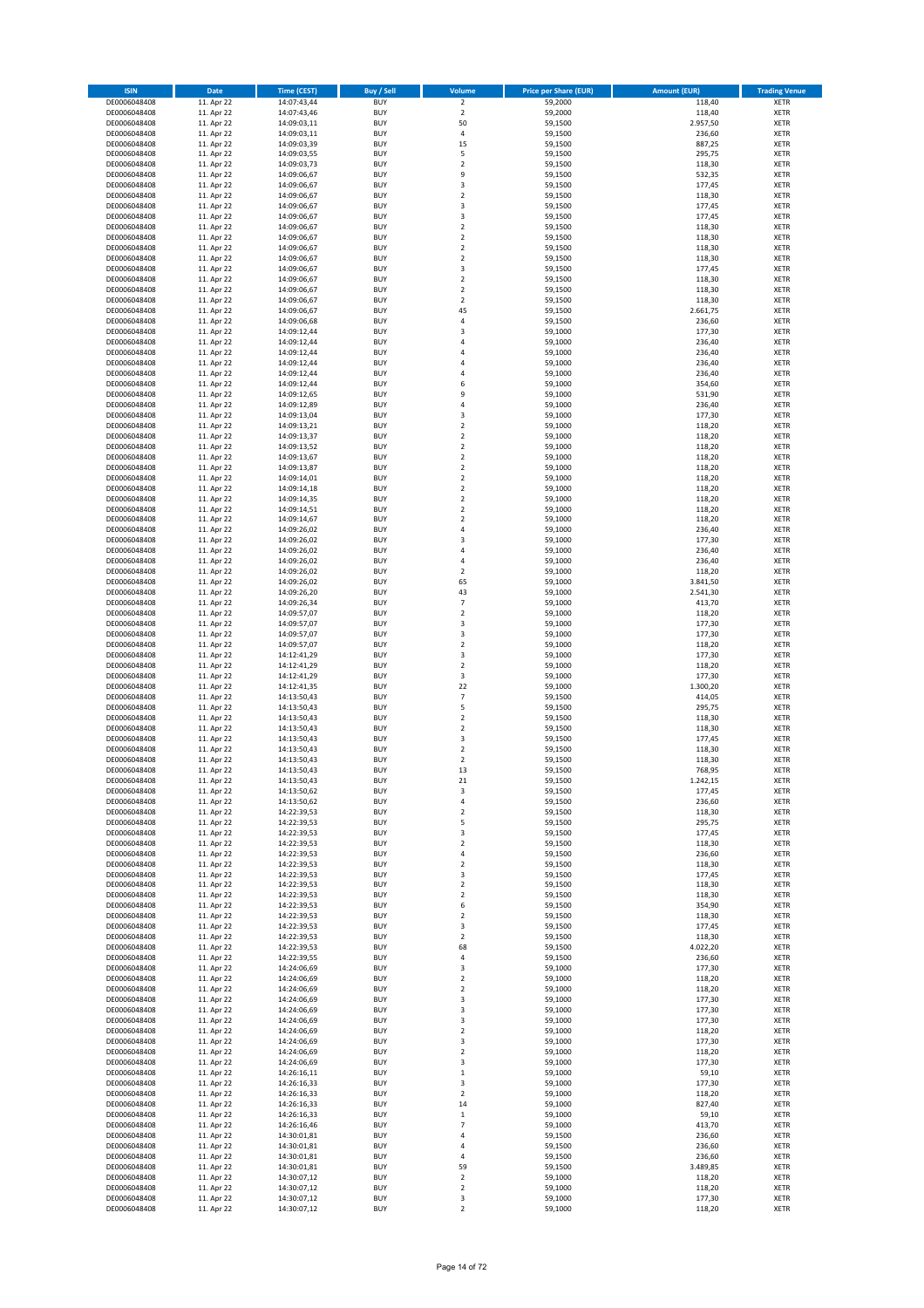| <b>ISIN</b>                  | Date                     | <b>Time (CEST)</b>         | <b>Buy / Sell</b>        | Volume                             | <b>Price per Share (EUR)</b> | <b>Amount (EUR)</b> | <b>Trading Venue</b>       |
|------------------------------|--------------------------|----------------------------|--------------------------|------------------------------------|------------------------------|---------------------|----------------------------|
| DE0006048408                 | 11. Apr 22               | 14:07:43,44                | <b>BUY</b>               | $\overline{2}$                     | 59,2000                      | 118,40              | <b>XETR</b>                |
| DE0006048408                 | 11. Apr 22               | 14:07:43,46                | <b>BUY</b>               | $\mathbf 2$                        | 59,2000                      | 118,40              | <b>XETR</b>                |
| DE0006048408<br>DE0006048408 | 11. Apr 22<br>11. Apr 22 | 14:09:03,11<br>14:09:03,11 | <b>BUY</b><br><b>BUY</b> | 50<br>$\sqrt{4}$                   | 59,1500<br>59,1500           | 2.957,50<br>236,60  | <b>XETR</b><br><b>XETR</b> |
| DE0006048408                 | 11. Apr 22               | 14:09:03,39                | <b>BUY</b>               | 15                                 | 59,1500                      | 887,25              | <b>XETR</b>                |
| DE0006048408                 | 11. Apr 22               | 14:09:03,55                | <b>BUY</b>               | 5                                  | 59,1500                      | 295,75              | <b>XETR</b>                |
| DE0006048408                 | 11. Apr 22               | 14:09:03,73                | <b>BUY</b>               | $\overline{2}$                     | 59,1500                      | 118,30              | <b>XETR</b>                |
| DE0006048408                 | 11. Apr 22               | 14:09:06,67                | <b>BUY</b>               | 9                                  | 59,1500                      | 532,35              | <b>XETR</b>                |
| DE0006048408<br>DE0006048408 | 11. Apr 22<br>11. Apr 22 | 14:09:06,67                | <b>BUY</b><br><b>BUY</b> | 3<br>$\overline{2}$                | 59,1500<br>59,1500           | 177,45<br>118,30    | <b>XETR</b><br><b>XETR</b> |
| DE0006048408                 | 11. Apr 22               | 14:09:06,67<br>14:09:06,67 | <b>BUY</b>               | $\overline{\mathbf{3}}$            | 59,1500                      | 177,45              | <b>XETR</b>                |
| DE0006048408                 | 11. Apr 22               | 14:09:06,67                | <b>BUY</b>               | 3                                  | 59,1500                      | 177,45              | <b>XETR</b>                |
| DE0006048408                 | 11. Apr 22               | 14:09:06,67                | <b>BUY</b>               | $\boldsymbol{2}$                   | 59,1500                      | 118,30              | XETR                       |
| DE0006048408                 | 11. Apr 22               | 14:09:06,67                | <b>BUY</b>               | $\overline{2}$                     | 59,1500                      | 118,30              | <b>XETR</b>                |
| DE0006048408                 | 11. Apr 22               | 14:09:06,67                | <b>BUY</b>               | $\mathbf 2$                        | 59,1500                      | 118,30              | XETR                       |
| DE0006048408<br>DE0006048408 | 11. Apr 22<br>11. Apr 22 | 14:09:06,67<br>14:09:06,67 | <b>BUY</b><br><b>BUY</b> | $\overline{2}$<br>3                | 59,1500<br>59,1500           | 118,30<br>177,45    | <b>XETR</b><br>XETR        |
| DE0006048408                 | 11. Apr 22               | 14:09:06,67                | <b>BUY</b>               | $\overline{2}$                     | 59,1500                      | 118,30              | <b>XETR</b>                |
| DE0006048408                 | 11. Apr 22               | 14:09:06,67                | <b>BUY</b>               | $\overline{2}$                     | 59,1500                      | 118,30              | XETR                       |
| DE0006048408                 | 11. Apr 22               | 14:09:06,67                | <b>BUY</b>               | $\overline{2}$                     | 59,1500                      | 118,30              | <b>XETR</b>                |
| DE0006048408                 | 11. Apr 22               | 14:09:06,67                | <b>BUY</b>               | 45                                 | 59,1500                      | 2.661,75            | <b>XETR</b>                |
| DE0006048408<br>DE0006048408 | 11. Apr 22<br>11. Apr 22 | 14:09:06,68<br>14:09:12,44 | <b>BUY</b><br><b>BUY</b> | $\sqrt{4}$<br>3                    | 59,1500<br>59,1000           | 236,60<br>177,30    | <b>XETR</b><br><b>XETR</b> |
| DE0006048408                 | 11. Apr 22               | 14:09:12,44                | <b>BUY</b>               | 4                                  | 59,1000                      | 236,40              | <b>XETR</b>                |
| DE0006048408                 | 11. Apr 22               | 14:09:12,44                | <b>BUY</b>               | $\overline{4}$                     | 59,1000                      | 236,40              | <b>XETR</b>                |
| DE0006048408                 | 11. Apr 22               | 14:09:12,44                | <b>BUY</b>               | 4                                  | 59,1000                      | 236,40              | <b>XETR</b>                |
| DE0006048408                 | 11. Apr 22               | 14:09:12,44                | <b>BUY</b>               | $\overline{a}$                     | 59,1000                      | 236,40              | <b>XETR</b>                |
| DE0006048408<br>DE0006048408 | 11. Apr 22<br>11. Apr 22 | 14:09:12,44                | <b>BUY</b><br><b>BUY</b> | 6<br>9                             | 59,1000<br>59,1000           | 354,60<br>531,90    | <b>XETR</b><br><b>XETR</b> |
| DE0006048408                 | 11. Apr 22               | 14:09:12,65<br>14:09:12,89 | <b>BUY</b>               | $\sqrt{4}$                         | 59,1000                      | 236,40              | <b>XETR</b>                |
| DE0006048408                 | 11. Apr 22               | 14:09:13,04                | <b>BUY</b>               | 3                                  | 59,1000                      | 177,30              | <b>XETR</b>                |
| DE0006048408                 | 11. Apr 22               | 14:09:13,21                | <b>BUY</b>               | $\mathbf 2$                        | 59,1000                      | 118,20              | <b>XETR</b>                |
| DE0006048408                 | 11. Apr 22               | 14:09:13,37                | <b>BUY</b>               | $\overline{2}$                     | 59,1000                      | 118,20              | <b>XETR</b>                |
| DE0006048408<br>DE0006048408 | 11. Apr 22<br>11. Apr 22 | 14:09:13,52                | <b>BUY</b><br><b>BUY</b> | $\boldsymbol{2}$<br>$\overline{2}$ | 59,1000<br>59,1000           | 118,20<br>118,20    | XETR<br><b>XETR</b>        |
| DE0006048408                 | 11. Apr 22               | 14:09:13,67<br>14:09:13,87 | <b>BUY</b>               | $\mathbf 2$                        | 59,1000                      | 118,20              | XETR                       |
| DE0006048408                 | 11. Apr 22               | 14:09:14,01                | <b>BUY</b>               | $\overline{2}$                     | 59,1000                      | 118,20              | <b>XETR</b>                |
| DE0006048408                 | 11. Apr 22               | 14:09:14,18                | <b>BUY</b>               | $\boldsymbol{2}$                   | 59,1000                      | 118,20              | XETR                       |
| DE0006048408                 | 11. Apr 22               | 14:09:14,35                | <b>BUY</b>               | $\overline{2}$                     | 59,1000                      | 118,20              | <b>XETR</b>                |
| DE0006048408                 | 11. Apr 22               | 14:09:14,51                | <b>BUY</b>               | $\overline{2}$                     | 59,1000                      | 118,20              | <b>XETR</b>                |
| DE0006048408<br>DE0006048408 | 11. Apr 22<br>11. Apr 22 | 14:09:14,67<br>14:09:26,02 | <b>BUY</b><br><b>BUY</b> | $\overline{2}$<br>$\sqrt{4}$       | 59,1000<br>59,1000           | 118,20<br>236,40    | <b>XETR</b><br><b>XETR</b> |
| DE0006048408                 | 11. Apr 22               | 14:09:26,02                | <b>BUY</b>               | 3                                  | 59,1000                      | 177,30              | <b>XETR</b>                |
| DE0006048408                 | 11. Apr 22               | 14:09:26,02                | <b>BUY</b>               | $\overline{4}$                     | 59,1000                      | 236,40              | <b>XETR</b>                |
| DE0006048408                 | 11. Apr 22               | 14:09:26,02                | <b>BUY</b>               | $\sqrt{4}$                         | 59,1000                      | 236,40              | <b>XETR</b>                |
| DE0006048408                 | 11. Apr 22               | 14:09:26,02                | <b>BUY</b>               | $\boldsymbol{2}$                   | 59,1000                      | 118,20              | <b>XETR</b>                |
| DE0006048408<br>DE0006048408 | 11. Apr 22<br>11. Apr 22 | 14:09:26,02                | <b>BUY</b><br><b>BUY</b> | 65<br>43                           | 59,1000<br>59,1000           | 3.841,50            | XETR<br><b>XETR</b>        |
| DE0006048408                 | 11. Apr 22               | 14:09:26,20<br>14:09:26,34 | <b>BUY</b>               | $\overline{7}$                     | 59,1000                      | 2.541,30<br>413,70  | <b>XETR</b>                |
| DE0006048408                 | 11. Apr 22               | 14:09:57,07                | <b>BUY</b>               | $\boldsymbol{2}$                   | 59,1000                      | 118,20              | <b>XETR</b>                |
| DE0006048408                 | 11. Apr 22               | 14:09:57,07                | <b>BUY</b>               | 3                                  | 59,1000                      | 177,30              | <b>XETR</b>                |
| DE0006048408                 | 11. Apr 22               | 14:09:57,07                | <b>BUY</b>               | 3                                  | 59,1000                      | 177,30              | <b>XETR</b>                |
| DE0006048408                 | 11. Apr 22               | 14:09:57,07                | <b>BUY</b>               | $\mathbf 2$                        | 59,1000                      | 118,20              | <b>XETR</b>                |
| DE0006048408<br>DE0006048408 | 11. Apr 22<br>11. Apr 22 | 14:12:41,29<br>14:12:41,29 | <b>BUY</b><br><b>BUY</b> | 3<br>$\mathbf 2$                   | 59,1000<br>59,1000           | 177,30<br>118,20    | <b>XETR</b><br><b>XETR</b> |
| DE0006048408                 | 11. Apr 22               | 14:12:41,29                | <b>BUY</b>               | 3                                  | 59,1000                      | 177,30              | <b>XETR</b>                |
| DE0006048408                 | 11. Apr 22               | 14:12:41,35                | <b>BUY</b>               | 22                                 | 59,1000                      | 1.300,20            | <b>XETR</b>                |
| DE0006048408                 | 11. Apr 22               | 14:13:50,43                | <b>BUY</b>               | $\overline{7}$                     | 59,1500                      | 414,05              | <b>XETR</b>                |
| DE0006048408                 | 11. Apr 22               | 14:13:50,43                | <b>BUY</b>               | 5                                  | 59,1500                      | 295,75              | <b>XETR</b>                |
| DE0006048408<br>DE0006048408 | 11. Apr 22<br>11. Apr 22 | 14:13:50,43<br>14:13:50,43 | <b>BUY</b><br><b>BUY</b> | $\overline{2}$<br>$\mathbf 2$      | 59,1500<br>59,1500           | 118,30<br>118,30    | <b>XETR</b><br>XETR        |
| DE0006048408                 | 11. Apr 22               | 14:13:50,43                | <b>BUY</b>               | 3                                  | 59,1500                      | 177,45              | <b>XETR</b>                |
| DE0006048408                 | 11. Apr 22               | 14:13:50,43                | <b>BUY</b>               | $\sqrt{2}$                         | 59,1500                      | 118,30              | XETR                       |
| DE0006048408                 | 11. Apr 22               | 14:13:50,43                | <b>BUY</b>               | $\overline{2}$                     | 59,1500                      | 118,30              | <b>XETR</b>                |
| DE0006048408                 | 11. Apr 22               | 14:13:50,43                | <b>BUY</b>               | 13                                 | 59,1500                      | 768,95              | <b>XETR</b>                |
| DE0006048408<br>DE0006048408 | 11. Apr 22<br>11. Apr 22 | 14:13:50,43<br>14:13:50,62 | <b>BUY</b><br><b>BUY</b> | 21<br>3                            | 59,1500<br>59,1500           | 1.242,15<br>177,45  | XETR<br>XETR               |
| DE0006048408                 | 11. Apr 22               | 14:13:50,62                | <b>BUY</b>               | 4                                  | 59,1500                      | 236,60              | XETR                       |
| DE0006048408                 | 11. Apr 22               | 14:22:39,53                | <b>BUY</b>               | $\overline{\mathbf{c}}$            | 59,1500                      | 118,30              | XETR                       |
| DE0006048408                 | 11. Apr 22               | 14:22:39,53                | <b>BUY</b>               | 5                                  | 59,1500                      | 295,75              | XETR                       |
| DE0006048408                 | 11. Apr 22               | 14:22:39,53                | <b>BUY</b>               | 3                                  | 59,1500                      | 177,45              | XETR                       |
| DE0006048408<br>DE0006048408 | 11. Apr 22<br>11. Apr 22 | 14:22:39,53<br>14:22:39,53 | <b>BUY</b><br><b>BUY</b> | $\overline{2}$<br>$\sqrt{4}$       | 59,1500<br>59,1500           | 118,30<br>236,60    | <b>XETR</b><br>XETR        |
| DE0006048408                 | 11. Apr 22               | 14:22:39,53                | <b>BUY</b>               | $\boldsymbol{2}$                   | 59,1500                      | 118,30              | <b>XETR</b>                |
| DE0006048408                 | 11. Apr 22               | 14:22:39,53                | <b>BUY</b>               | 3                                  | 59,1500                      | 177,45              | XETR                       |
| DE0006048408                 | 11. Apr 22               | 14:22:39,53                | <b>BUY</b>               | $\boldsymbol{2}$                   | 59,1500                      | 118,30              | <b>XETR</b>                |
| DE0006048408                 | 11. Apr 22               | 14:22:39,53                | <b>BUY</b>               | $\boldsymbol{2}$                   | 59,1500                      | 118,30              | <b>XETR</b>                |
| DE0006048408<br>DE0006048408 | 11. Apr 22<br>11. Apr 22 | 14:22:39,53<br>14:22:39,53 | <b>BUY</b><br><b>BUY</b> | 6<br>$\overline{2}$                | 59,1500<br>59,1500           | 354,90<br>118,30    | <b>XETR</b><br>XETR        |
| DE0006048408                 | 11. Apr 22               | 14:22:39,53                | <b>BUY</b>               | 3                                  | 59,1500                      | 177,45              | <b>XETR</b>                |
| DE0006048408                 | 11. Apr 22               | 14:22:39,53                | <b>BUY</b>               | $\sqrt{2}$                         | 59,1500                      | 118,30              | <b>XETR</b>                |
| DE0006048408                 | 11. Apr 22               | 14:22:39,53                | <b>BUY</b>               | 68                                 | 59,1500                      | 4.022,20            | <b>XETR</b>                |
| DE0006048408                 | 11. Apr 22               | 14:22:39,55                | <b>BUY</b><br><b>BUY</b> | 4                                  | 59,1500<br>59,1000           | 236,60<br>177,30    | <b>XETR</b>                |
| DE0006048408<br>DE0006048408 | 11. Apr 22<br>11. Apr 22 | 14:24:06,69<br>14:24:06,69 | <b>BUY</b>               | 3<br>$\boldsymbol{2}$              | 59,1000                      | 118,20              | <b>XETR</b><br><b>XETR</b> |
| DE0006048408                 | 11. Apr 22               | 14:24:06,69                | <b>BUY</b>               | $\overline{2}$                     | 59,1000                      | 118,20              | <b>XETR</b>                |
| DE0006048408                 | 11. Apr 22               | 14:24:06,69                | <b>BUY</b>               | 3                                  | 59,1000                      | 177,30              | <b>XETR</b>                |
| DE0006048408                 | 11. Apr 22               | 14:24:06,69                | <b>BUY</b>               | 3                                  | 59,1000                      | 177,30              | XETR                       |
| DE0006048408                 | 11. Apr 22               | 14:24:06,69                | <b>BUY</b>               | 3                                  | 59,1000                      | 177,30              | XETR                       |
| DE0006048408<br>DE0006048408 | 11. Apr 22<br>11. Apr 22 | 14:24:06,69<br>14:24:06,69 | <b>BUY</b><br><b>BUY</b> | $\sqrt{2}$<br>3                    | 59,1000<br>59,1000           | 118,20<br>177,30    | XETR<br><b>XETR</b>        |
| DE0006048408                 | 11. Apr 22               | 14:24:06,69                | <b>BUY</b>               | $\sqrt{2}$                         | 59,1000                      | 118,20              | XETR                       |
| DE0006048408                 | 11. Apr 22               | 14:24:06,69                | <b>BUY</b>               | 3                                  | 59,1000                      | 177,30              | XETR                       |
| DE0006048408                 | 11. Apr 22               | 14:26:16,11                | <b>BUY</b>               | $\,$ 1                             | 59,1000                      | 59,10               | XETR                       |
| DE0006048408                 | 11. Apr 22               | 14:26:16,33                | <b>BUY</b>               | 3                                  | 59,1000                      | 177,30              | <b>XETR</b>                |
| DE0006048408<br>DE0006048408 | 11. Apr 22<br>11. Apr 22 | 14:26:16,33<br>14:26:16,33 | <b>BUY</b><br><b>BUY</b> | $\overline{2}$<br>14               | 59,1000<br>59,1000           | 118,20<br>827,40    | XETR<br>XETR               |
| DE0006048408                 | 11. Apr 22               | 14:26:16,33                | <b>BUY</b>               | $\,$ 1                             | 59,1000                      | 59,10               | XETR                       |
| DE0006048408                 | 11. Apr 22               | 14:26:16,46                | <b>BUY</b>               | $\overline{7}$                     | 59,1000                      | 413,70              | <b>XETR</b>                |
| DE0006048408                 | 11. Apr 22               | 14:30:01,81                | <b>BUY</b>               | 4                                  | 59,1500                      | 236,60              | <b>XETR</b>                |
| DE0006048408                 | 11. Apr 22               | 14:30:01,81                | <b>BUY</b>               | 4                                  | 59,1500                      | 236,60              | <b>XETR</b>                |
| DE0006048408<br>DE0006048408 | 11. Apr 22<br>11. Apr 22 | 14:30:01,81<br>14:30:01,81 | <b>BUY</b><br><b>BUY</b> | $\sqrt{4}$<br>59                   | 59,1500<br>59,1500           | 236,60<br>3.489,85  | <b>XETR</b><br><b>XETR</b> |
| DE0006048408                 | 11. Apr 22               | 14:30:07,12                | <b>BUY</b>               | $\mathbf 2$                        | 59,1000                      | 118,20              | <b>XETR</b>                |
| DE0006048408                 | 11. Apr 22               | 14:30:07,12                | <b>BUY</b>               | $\overline{2}$                     | 59,1000                      | 118,20              | <b>XETR</b>                |
| DE0006048408                 | 11. Apr 22               | 14:30:07,12                | <b>BUY</b>               | 3                                  | 59,1000                      | 177,30              | <b>XETR</b>                |
| DE0006048408                 | 11. Apr 22               | 14:30:07,12                | <b>BUY</b>               | $\boldsymbol{2}$                   | 59,1000                      | 118,20              | <b>XETR</b>                |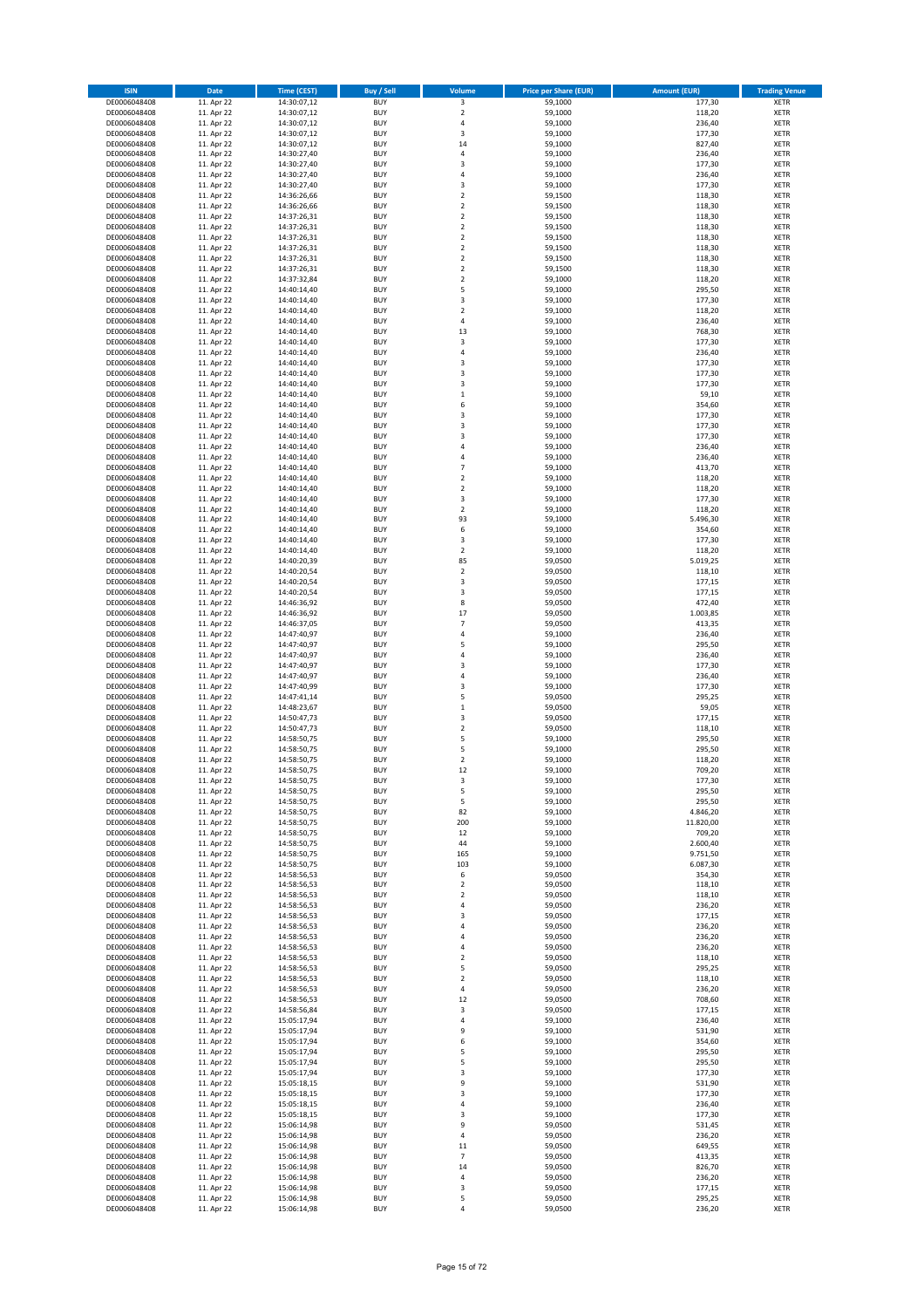| <b>ISIN</b>                  | <b>Date</b>              | <b>Time (CEST)</b>         | <b>Buy / Sell</b>        | Volume                     | <b>Price per Share (EUR)</b> | <b>Amount (EUR)</b> | <b>Trading Venue</b>       |
|------------------------------|--------------------------|----------------------------|--------------------------|----------------------------|------------------------------|---------------------|----------------------------|
| DE0006048408                 | 11. Apr 22               | 14:30:07,12                | <b>BUY</b>               | 3                          | 59,1000                      | 177,30              | XETR                       |
| DE0006048408<br>DE0006048408 | 11. Apr 22<br>11. Apr 22 | 14:30:07,12<br>14:30:07,12 | <b>BUY</b><br><b>BUY</b> | $\mathbf 2$<br>4           | 59,1000<br>59,1000           | 118,20<br>236,40    | XETR<br>XETR               |
| DE0006048408                 | 11. Apr 22               | 14:30:07,12                | <b>BUY</b>               | 3                          | 59,1000                      | 177,30              | XETR                       |
| DE0006048408                 | 11. Apr 22               | 14:30:07,12                | <b>BUY</b>               | 14                         | 59,1000                      | 827,40              | XETR                       |
| DE0006048408                 | 11. Apr 22               | 14:30:27,40                | <b>BUY</b>               | $\overline{4}$             | 59,1000                      | 236,40              | <b>XETR</b>                |
| DE0006048408<br>DE0006048408 | 11. Apr 22<br>11. Apr 22 | 14:30:27,40<br>14:30:27,40 | <b>BUY</b><br><b>BUY</b> | 3<br>4                     | 59,1000<br>59,1000           | 177,30<br>236,40    | <b>XETR</b><br><b>XETR</b> |
| DE0006048408                 | 11. Apr 22               | 14:30:27,40                | <b>BUY</b>               | 3                          | 59,1000                      | 177,30              | <b>XETR</b>                |
| DE0006048408                 | 11. Apr 22               | 14:36:26,66                | <b>BUY</b>               | $\mathbf 2$                | 59,1500                      | 118,30              | <b>XETR</b>                |
| DE0006048408                 | 11. Apr 22               | 14:36:26,66                | <b>BUY</b>               | $\mathbf 2$                | 59,1500                      | 118,30              | XETR                       |
| DE0006048408                 | 11. Apr 22               | 14:37:26,31                | <b>BUY</b>               | $\overline{2}$             | 59,1500                      | 118,30              | <b>XETR</b>                |
| DE0006048408<br>DE0006048408 | 11. Apr 22<br>11. Apr 22 | 14:37:26,31<br>14:37:26,31 | <b>BUY</b><br><b>BUY</b> | $\mathbf 2$<br>$\mathbf 2$ | 59,1500<br>59,1500           | 118,30<br>118,30    | XETR<br><b>XETR</b>        |
| DE0006048408                 | 11. Apr 22               | 14:37:26,31                | <b>BUY</b>               | $\mathbf 2$                | 59,1500                      | 118,30              | XETR                       |
| DE0006048408                 | 11. Apr 22               | 14:37:26,31                | <b>BUY</b>               | $\mathbf 2$                | 59,1500                      | 118,30              | <b>XETR</b>                |
| DE0006048408                 | 11. Apr 22               | 14:37:26,31                | <b>BUY</b>               | $\mathbf 2$                | 59,1500                      | 118,30              | XETR                       |
| DE0006048408<br>DE0006048408 | 11. Apr 22<br>11. Apr 22 | 14:37:32,84<br>14:40:14,40 | <b>BUY</b><br><b>BUY</b> | $\mathbf 2$<br>5           | 59,1000<br>59,1000           | 118,20<br>295,50    | <b>XETR</b><br>XETR        |
| DE0006048408                 | 11. Apr 22               | 14:40:14,40                | <b>BUY</b>               | 3                          | 59,1000                      | 177,30              | <b>XETR</b>                |
| DE0006048408                 | 11. Apr 22               | 14:40:14,40                | <b>BUY</b>               | $\mathbf 2$                | 59,1000                      | 118,20              | XETR                       |
| DE0006048408                 | 11. Apr 22               | 14:40:14,40                | <b>BUY</b>               | 4                          | 59,1000                      | 236,40              | XETR                       |
| DE0006048408<br>DE0006048408 | 11. Apr 22<br>11. Apr 22 | 14:40:14,40<br>14:40:14,40 | <b>BUY</b><br><b>BUY</b> | 13<br>3                    | 59,1000<br>59,1000           | 768,30<br>177,30    | <b>XETR</b><br><b>XETR</b> |
| DE0006048408                 | 11. Apr 22               | 14:40:14,40                | <b>BUY</b>               | 4                          | 59,1000                      | 236,40              | <b>XETR</b>                |
| DE0006048408                 | 11. Apr 22               | 14:40:14,40                | <b>BUY</b>               | 3                          | 59,1000                      | 177,30              | XETR                       |
| DE0006048408                 | 11. Apr 22               | 14:40:14,40                | <b>BUY</b>               | 3                          | 59,1000                      | 177,30              | <b>XETR</b>                |
| DE0006048408                 | 11. Apr 22               | 14:40:14,40                | <b>BUY</b>               | 3                          | 59,1000                      | 177,30              | <b>XETR</b>                |
| DE0006048408<br>DE0006048408 | 11. Apr 22<br>11. Apr 22 | 14:40:14,40<br>14:40:14,40 | <b>BUY</b><br><b>BUY</b> | $\mathbf 1$<br>6           | 59,1000<br>59,1000           | 59,10<br>354,60     | XETR<br>XETR               |
| DE0006048408                 | 11. Apr 22               | 14:40:14,40                | <b>BUY</b>               | 3                          | 59,1000                      | 177,30              | <b>XETR</b>                |
| DE0006048408                 | 11. Apr 22               | 14:40:14,40                | <b>BUY</b>               | 3                          | 59,1000                      | 177,30              | <b>XETR</b>                |
| DE0006048408                 | 11. Apr 22               | 14:40:14,40                | <b>BUY</b>               | 3                          | 59,1000                      | 177,30              | <b>XETR</b>                |
| DE0006048408<br>DE0006048408 | 11. Apr 22<br>11. Apr 22 | 14:40:14,40<br>14:40:14,40 | <b>BUY</b><br><b>BUY</b> | 4<br>4                     | 59,1000<br>59,1000           | 236,40<br>236,40    | XETR<br><b>XETR</b>        |
| DE0006048408                 | 11. Apr 22               | 14:40:14,40                | <b>BUY</b>               | $\overline{7}$             | 59,1000                      | 413,70              | XETR                       |
| DE0006048408                 | 11. Apr 22               | 14:40:14,40                | <b>BUY</b>               | $\overline{\mathbf{c}}$    | 59,1000                      | 118,20              | <b>XETR</b>                |
| DE0006048408                 | 11. Apr 22               | 14:40:14,40                | <b>BUY</b>               | $\mathbf 2$                | 59,1000                      | 118,20              | XETR                       |
| DE0006048408                 | 11. Apr 22               | 14:40:14,40                | <b>BUY</b>               | 3<br>$\mathbf 2$           | 59,1000                      | 177,30              | <b>XETR</b>                |
| DE0006048408<br>DE0006048408 | 11. Apr 22<br>11. Apr 22 | 14:40:14,40<br>14:40:14,40 | <b>BUY</b><br><b>BUY</b> | 93                         | 59,1000<br>59,1000           | 118,20<br>5.496,30  | <b>XETR</b><br><b>XETR</b> |
| DE0006048408                 | 11. Apr 22               | 14:40:14,40                | <b>BUY</b>               | 6                          | 59,1000                      | 354,60              | <b>XETR</b>                |
| DE0006048408                 | 11. Apr 22               | 14:40:14,40                | <b>BUY</b>               | 3                          | 59,1000                      | 177,30              | <b>XETR</b>                |
| DE0006048408                 | 11. Apr 22               | 14:40:14,40                | <b>BUY</b>               | $\overline{\mathbf{c}}$    | 59,1000                      | 118,20              | XETR                       |
| DE0006048408<br>DE0006048408 | 11. Apr 22<br>11. Apr 22 | 14:40:20,39<br>14:40:20,54 | <b>BUY</b><br><b>BUY</b> | 85<br>$\mathbf 2$          | 59,0500<br>59,0500           | 5.019,25<br>118,10  | <b>XETR</b><br>XETR        |
| DE0006048408                 | 11. Apr 22               | 14:40:20,54                | <b>BUY</b>               | 3                          | 59,0500                      | 177,15              | XETR                       |
| DE0006048408                 | 11. Apr 22               | 14:40:20,54                | <b>BUY</b>               | 3                          | 59,0500                      | 177,15              | <b>XETR</b>                |
| DE0006048408                 | 11. Apr 22               | 14:46:36,92                | <b>BUY</b>               | 8                          | 59,0500                      | 472,40              | <b>XETR</b>                |
| DE0006048408                 | 11. Apr 22               | 14:46:36,92                | <b>BUY</b><br><b>BUY</b> | 17<br>$\overline{7}$       | 59,0500                      | 1.003,85            | XETR                       |
| DE0006048408<br>DE0006048408 | 11. Apr 22<br>11. Apr 22 | 14:46:37,05<br>14:47:40,97 | <b>BUY</b>               | $\overline{4}$             | 59,0500<br>59,1000           | 413,35<br>236,40    | <b>XETR</b><br><b>XETR</b> |
| DE0006048408                 | 11. Apr 22               | 14:47:40,97                | <b>BUY</b>               | 5                          | 59,1000                      | 295,50              | <b>XETR</b>                |
| DE0006048408                 | 11. Apr 22               | 14:47:40,97                | <b>BUY</b>               | 4                          | 59,1000                      | 236,40              | XETR                       |
| DE0006048408                 | 11. Apr 22               | 14:47:40,97                | <b>BUY</b>               | 3                          | 59,1000                      | 177,30              | XETR                       |
| DE0006048408<br>DE0006048408 | 11. Apr 22<br>11. Apr 22 | 14:47:40,97<br>14:47:40,99 | <b>BUY</b><br><b>BUY</b> | $\overline{4}$<br>3        | 59,1000<br>59,1000           | 236,40<br>177,30    | <b>XETR</b><br><b>XETR</b> |
| DE0006048408                 | 11. Apr 22               | 14:47:41,14                | <b>BUY</b>               | 5                          | 59,0500                      | 295,25              | <b>XETR</b>                |
| DE0006048408                 | 11. Apr 22               | 14:48:23,67                | <b>BUY</b>               | $\mathbf 1$                | 59,0500                      | 59,05               | XETR                       |
| DE0006048408                 | 11. Apr 22               | 14:50:47,73                | <b>BUY</b>               | 3                          | 59,0500                      | 177,15              | <b>XETR</b>                |
| DE0006048408<br>DE0006048408 | 11. Apr 22<br>11. Apr 22 | 14:50:47,73<br>14:58:50,75 | <b>BUY</b><br><b>BUY</b> | $\mathbf 2$<br>5           | 59,0500<br>59,1000           | 118,10<br>295,50    | XETR<br><b>XETR</b>        |
| DE0006048408                 | 11. Apr 22               | 14:58:50,75                | <b>BUY</b>               | 5                          | 59,1000                      | 295,50              | XETR                       |
| DE0006048408                 | 11. Apr 22               | 14:58:50,75                | <b>BUY</b>               | $\overline{\mathbf{c}}$    | 59,1000                      | 118,20              | <b>XETR</b>                |
| DE0006048408                 | 11. Apr 22               | 14:58:50,75                | <b>BUY</b>               | 12                         | 59,1000                      | 709,20              | XETR                       |
| DE0006048408<br>DE0006048408 | 11. Apr 22<br>11. Apr 22 | 14:58:50,75<br>14:58:50,75 | <b>BUY</b><br><b>BUY</b> | 3<br>5                     | 59,1000<br>59,1000           | 177,30<br>295,50    | XETR<br>XETR               |
| DE0006048408                 | 11. Apr 22               | 14:58:50,75                | <b>BUY</b>               | 5                          | 59,1000                      | 295,50              | XETR                       |
| DE0006048408                 | 11. Apr 22               | 14:58:50,75                | <b>BUY</b>               | 82                         | 59,1000                      | 4.846,20            | XETR                       |
| DE0006048408                 | 11. Apr 22               | 14:58:50,75                | <b>BUY</b>               | 200                        | 59,1000                      | 11.820,00           | <b>XETR</b>                |
| DE0006048408<br>DE0006048408 | 11. Apr 22<br>11. Apr 22 | 14:58:50,75<br>14:58:50,75 | <b>BUY</b><br><b>BUY</b> | 12<br>44                   | 59,1000<br>59,1000           | 709,20<br>2.600.40  | XETR<br><b>XETR</b>        |
| DE0006048408                 | 11. Apr 22               | 14:58:50,75                | <b>BUY</b>               | 165                        | 59,1000                      | 9.751,50            | XETR                       |
| DE0006048408                 | 11. Apr 22               | 14:58:50,75                | <b>BUY</b>               | 103                        | 59,1000                      | 6.087,30            | <b>XETR</b>                |
| DE0006048408                 | 11. Apr 22               | 14:58:56,53                | <b>BUY</b>               | 6                          | 59,0500                      | 354,30              | XETR                       |
| DE0006048408<br>DE0006048408 | 11. Apr 22<br>11. Apr 22 | 14:58:56,53<br>14:58:56,53 | <b>BUY</b><br><b>BUY</b> | 2<br>$\mathbf 2$           | 59,0500<br>59,0500           | 118,10<br>118,10    | <b>XETR</b><br>XETR        |
| DE0006048408                 | 11. Apr 22               | 14:58:56,53                | <b>BUY</b>               | 4                          | 59,0500                      | 236,20              | <b>XETR</b>                |
| DE0006048408                 | 11. Apr 22               | 14:58:56,53                | <b>BUY</b>               | 3                          | 59,0500                      | 177,15              | XETR                       |
| DE0006048408                 | 11. Apr 22               | 14:58:56,53                | <b>BUY</b>               | 4                          | 59,0500                      | 236,20              | <b>XETR</b>                |
| DE0006048408<br>DE0006048408 | 11. Apr 22<br>11. Apr 22 | 14:58:56,53<br>14:58:56,53 | <b>BUY</b><br><b>BUY</b> | 4<br>4                     | 59,0500<br>59,0500           | 236,20<br>236,20    | XETR<br><b>XETR</b>        |
| DE0006048408                 | 11. Apr 22               | 14:58:56,53                | <b>BUY</b>               | 2                          | 59,0500                      | 118,10              | <b>XETR</b>                |
| DE0006048408                 | 11. Apr 22               | 14:58:56,53                | <b>BUY</b>               | 5                          | 59,0500                      | 295,25              | <b>XETR</b>                |
| DE0006048408                 | 11. Apr 22               | 14:58:56,53                | <b>BUY</b>               | $\boldsymbol{2}$           | 59,0500                      | 118,10              | XETR                       |
| DE0006048408<br>DE0006048408 | 11. Apr 22<br>11. Apr 22 | 14:58:56,53<br>14:58:56,53 | <b>BUY</b><br><b>BUY</b> | 4<br>12                    | 59,0500<br>59,0500           | 236,20<br>708,60    | <b>XETR</b><br><b>XETR</b> |
| DE0006048408                 | 11. Apr 22               | 14:58:56,84                | <b>BUY</b>               | 3                          | 59,0500                      | 177,15              | XETR                       |
| DE0006048408                 | 11. Apr 22               | 15:05:17,94                | <b>BUY</b>               | 4                          | 59,1000                      | 236,40              | <b>XETR</b>                |
| DE0006048408                 | 11. Apr 22               | 15:05:17,94                | <b>BUY</b>               | 9                          | 59,1000                      | 531,90              | XETR                       |
| DE0006048408                 | 11. Apr 22               | 15:05:17,94                | <b>BUY</b>               | 6                          | 59,1000                      | 354,60              | <b>XETR</b>                |
| DE0006048408<br>DE0006048408 | 11. Apr 22<br>11. Apr 22 | 15:05:17,94<br>15:05:17,94 | <b>BUY</b><br><b>BUY</b> | 5<br>5                     | 59,1000<br>59,1000           | 295,50<br>295,50    | XETR<br><b>XETR</b>        |
| DE0006048408                 | 11. Apr 22               | 15:05:17,94                | <b>BUY</b>               | 3                          | 59,1000                      | 177,30              | XETR                       |
| DE0006048408                 | 11. Apr 22               | 15:05:18,15                | <b>BUY</b>               | 9                          | 59,1000                      | 531,90              | <b>XETR</b>                |
| DE0006048408                 | 11. Apr 22               | 15:05:18,15                | <b>BUY</b>               | 3                          | 59,1000                      | 177,30              | XETR                       |
| DE0006048408<br>DE0006048408 | 11. Apr 22<br>11. Apr 22 | 15:05:18,15<br>15:05:18,15 | <b>BUY</b><br><b>BUY</b> | 4<br>3                     | 59,1000<br>59,1000           | 236,40<br>177,30    | <b>XETR</b><br>XETR        |
| DE0006048408                 | 11. Apr 22               | 15:06:14,98                | <b>BUY</b>               | 9                          | 59,0500                      | 531,45              | <b>XETR</b>                |
| DE0006048408                 | 11. Apr 22               | 15:06:14,98                | <b>BUY</b>               | 4                          | 59,0500                      | 236,20              | <b>XETR</b>                |
| DE0006048408                 | 11. Apr 22               | 15:06:14,98                | <b>BUY</b>               | 11                         | 59,0500                      | 649,55              | <b>XETR</b>                |
| DE0006048408<br>DE0006048408 | 11. Apr 22<br>11. Apr 22 | 15:06:14,98<br>15:06:14,98 | <b>BUY</b><br><b>BUY</b> | $\overline{7}$<br>14       | 59,0500<br>59,0500           | 413,35<br>826,70    | XETR<br><b>XETR</b>        |
| DE0006048408                 | 11. Apr 22               | 15:06:14,98                | <b>BUY</b>               | 4                          | 59,0500                      | 236,20              | XETR                       |
| DE0006048408                 | 11. Apr 22               | 15:06:14,98                | <b>BUY</b>               | 3                          | 59,0500                      | 177,15              | XETR                       |
| DE0006048408                 | 11. Apr 22               | 15:06:14,98                | <b>BUY</b>               | 5                          | 59,0500                      | 295,25              | XETR                       |
| DE0006048408                 | 11. Apr 22               | 15:06:14,98                | <b>BUY</b>               | 4                          | 59,0500                      | 236,20              | <b>XETR</b>                |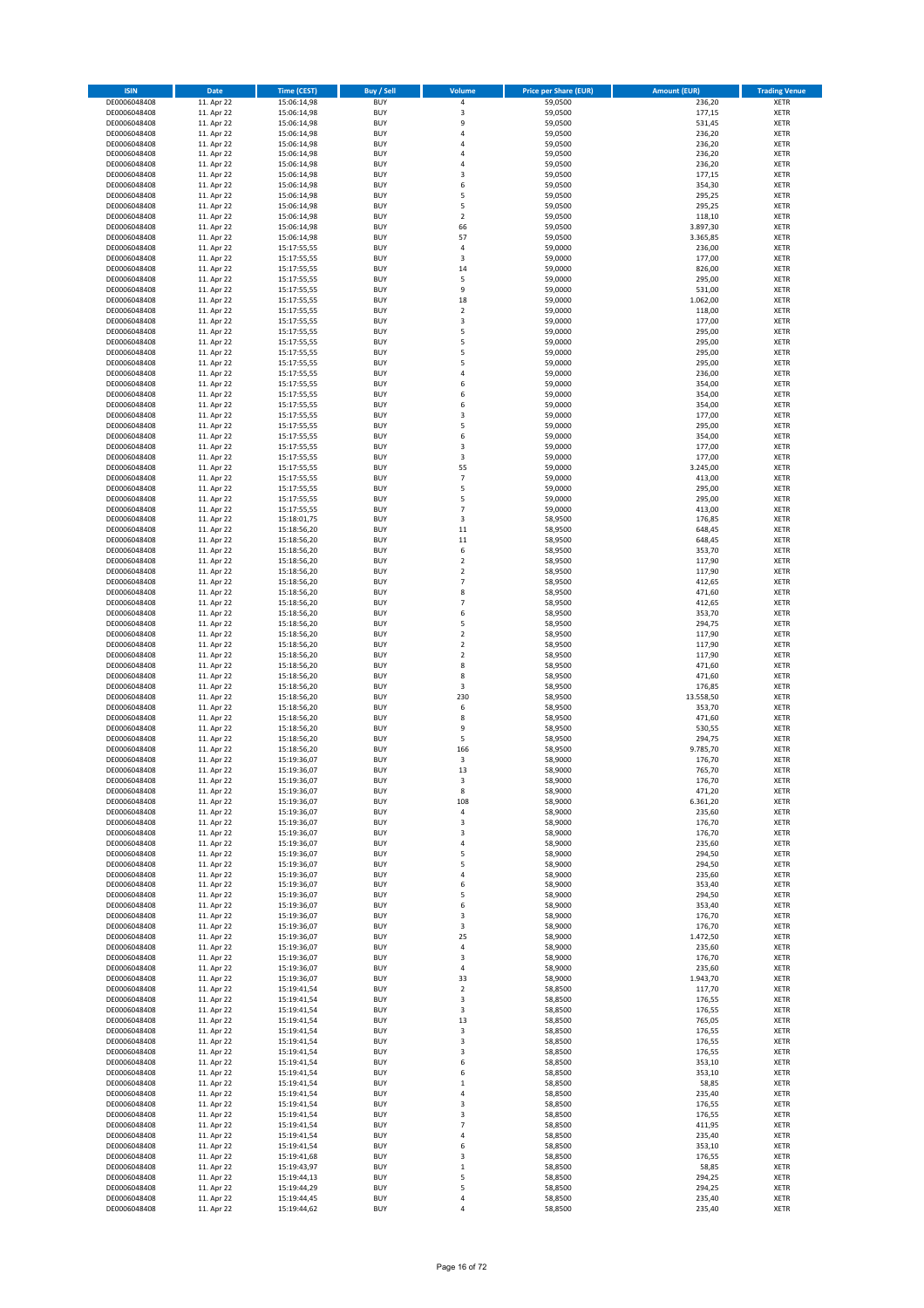| <b>ISIN</b>                  | <b>Date</b>              | <b>Time (CEST)</b>         | <b>Buy / Sell</b>        | Volume                                 | <b>Price per Share (EUR)</b> | <b>Amount (EUR)</b> | <b>Trading Venue</b>       |
|------------------------------|--------------------------|----------------------------|--------------------------|----------------------------------------|------------------------------|---------------------|----------------------------|
| DE0006048408                 | 11. Apr 22               | 15:06:14,98                | <b>BUY</b>               | 4                                      | 59,0500                      | 236,20              | XETR                       |
| DE0006048408<br>DE0006048408 | 11. Apr 22<br>11. Apr 22 | 15:06:14,98<br>15:06:14,98 | <b>BUY</b><br><b>BUY</b> | 3<br>9                                 | 59,0500<br>59,0500           | 177,15<br>531,45    | XETR<br>XETR               |
| DE0006048408                 | 11. Apr 22               | 15:06:14,98                | <b>BUY</b>               | 4                                      | 59,0500                      | 236,20              | XETR                       |
| DE0006048408                 | 11. Apr 22               | 15:06:14,98                | <b>BUY</b>               | 4                                      | 59,0500                      | 236,20              | XETR                       |
| DE0006048408                 | 11. Apr 22               | 15:06:14,98                | <b>BUY</b>               | $\overline{4}$                         | 59,0500                      | 236,20              | <b>XETR</b>                |
| DE0006048408<br>DE0006048408 | 11. Apr 22<br>11. Apr 22 | 15:06:14,98<br>15:06:14,98 | <b>BUY</b><br><b>BUY</b> | $\overline{4}$<br>3                    | 59,0500<br>59,0500           | 236,20<br>177,15    | <b>XETR</b><br><b>XETR</b> |
| DE0006048408                 | 11. Apr 22               | 15:06:14,98                | <b>BUY</b>               | 6                                      | 59,0500                      | 354,30              | <b>XETR</b>                |
| DE0006048408                 | 11. Apr 22               | 15:06:14,98                | <b>BUY</b>               | 5                                      | 59,0500                      | 295,25              | <b>XETR</b>                |
| DE0006048408                 | 11. Apr 22               | 15:06:14,98                | <b>BUY</b>               | 5                                      | 59,0500                      | 295,25              | <b>XETR</b>                |
| DE0006048408<br>DE0006048408 | 11. Apr 22<br>11. Apr 22 | 15:06:14,98<br>15:06:14,98 | <b>BUY</b><br><b>BUY</b> | $\overline{2}$<br>66                   | 59,0500<br>59,0500           | 118,10<br>3.897,30  | <b>XETR</b><br>XETR        |
| DE0006048408                 | 11. Apr 22               | 15:06:14,98                | <b>BUY</b>               | 57                                     | 59,0500                      | 3.365,85            | <b>XETR</b>                |
| DE0006048408                 | 11. Apr 22               | 15:17:55,55                | <b>BUY</b>               | 4                                      | 59,0000                      | 236,00              | XETR                       |
| DE0006048408                 | 11. Apr 22               | 15:17:55,55                | <b>BUY</b>               | 3                                      | 59,0000                      | 177,00              | <b>XETR</b>                |
| DE0006048408<br>DE0006048408 | 11. Apr 22<br>11. Apr 22 | 15:17:55,55<br>15:17:55,55 | <b>BUY</b><br><b>BUY</b> | 14<br>5                                | 59,0000<br>59,0000           | 826,00<br>295,00    | XETR<br><b>XETR</b>        |
| DE0006048408                 | 11. Apr 22               | 15:17:55,55                | <b>BUY</b>               | 9                                      | 59,0000                      | 531,00              | XETR                       |
| DE0006048408                 | 11. Apr 22               | 15:17:55,55                | <b>BUY</b>               | 18                                     | 59,0000                      | 1.062,00            | <b>XETR</b>                |
| DE0006048408                 | 11. Apr 22               | 15:17:55,55                | <b>BUY</b>               | $\mathbf 2$                            | 59,0000                      | 118,00              | XETR                       |
| DE0006048408<br>DE0006048408 | 11. Apr 22<br>11. Apr 22 | 15:17:55,55<br>15:17:55,55 | <b>BUY</b><br><b>BUY</b> | 3<br>5                                 | 59,0000<br>59,0000           | 177,00<br>295,00    | XETR<br><b>XETR</b>        |
| DE0006048408                 | 11. Apr 22               | 15:17:55,55                | <b>BUY</b>               | 5                                      | 59,0000                      | 295,00              | <b>XETR</b>                |
| DE0006048408                 | 11. Apr 22               | 15:17:55,55                | <b>BUY</b>               | 5                                      | 59,0000                      | 295,00              | <b>XETR</b>                |
| DE0006048408                 | 11. Apr 22               | 15:17:55,55                | <b>BUY</b>               | 5                                      | 59,0000                      | 295,00              | <b>XETR</b>                |
| DE0006048408<br>DE0006048408 | 11. Apr 22<br>11. Apr 22 | 15:17:55,55<br>15:17:55,55 | <b>BUY</b><br><b>BUY</b> | $\overline{4}$<br>6                    | 59,0000<br>59,0000           | 236,00<br>354,00    | <b>XETR</b><br><b>XETR</b> |
| DE0006048408                 | 11. Apr 22               | 15:17:55,55                | <b>BUY</b>               | 6                                      | 59,0000                      | 354,00              | <b>XETR</b>                |
| DE0006048408                 | 11. Apr 22               | 15:17:55,55                | <b>BUY</b>               | 6                                      | 59,0000                      | 354,00              | <b>XETR</b>                |
| DE0006048408                 | 11. Apr 22               | 15:17:55,55                | <b>BUY</b>               | 3                                      | 59,0000                      | 177,00              | <b>XETR</b>                |
| DE0006048408<br>DE0006048408 | 11. Apr 22<br>11. Apr 22 | 15:17:55,55<br>15:17:55,55 | <b>BUY</b><br><b>BUY</b> | 5<br>6                                 | 59,0000<br>59,0000           | 295,00<br>354,00    | <b>XETR</b><br><b>XETR</b> |
| DE0006048408                 | 11. Apr 22               | 15:17:55,55                | <b>BUY</b>               | 3                                      | 59,0000                      | 177,00              | XETR                       |
| DE0006048408                 | 11. Apr 22               | 15:17:55,55                | <b>BUY</b>               | 3                                      | 59,0000                      | 177,00              | <b>XETR</b>                |
| DE0006048408                 | 11. Apr 22               | 15:17:55,55                | <b>BUY</b>               | 55                                     | 59,0000                      | 3.245,00            | XETR                       |
| DE0006048408<br>DE0006048408 | 11. Apr 22<br>11. Apr 22 | 15:17:55,55<br>15:17:55,55 | <b>BUY</b><br><b>BUY</b> | $\overline{7}$<br>5                    | 59,0000<br>59,0000           | 413,00<br>295,00    | <b>XETR</b><br>XETR        |
| DE0006048408                 | 11. Apr 22               | 15:17:55,55                | <b>BUY</b>               | 5                                      | 59,0000                      | 295,00              | <b>XETR</b>                |
| DE0006048408                 | 11. Apr 22               | 15:17:55,55                | <b>BUY</b>               | $\overline{7}$                         | 59,0000                      | 413,00              | <b>XETR</b>                |
| DE0006048408                 | 11. Apr 22               | 15:18:01,75                | <b>BUY</b>               | 3                                      | 58,9500                      | 176,85              | <b>XETR</b>                |
| DE0006048408<br>DE0006048408 | 11. Apr 22<br>11. Apr 22 | 15:18:56,20<br>15:18:56,20 | <b>BUY</b><br><b>BUY</b> | 11<br>11                               | 58,9500<br>58,9500           | 648,45<br>648,45    | <b>XETR</b><br><b>XETR</b> |
| DE0006048408                 | 11. Apr 22               | 15:18:56,20                | <b>BUY</b>               | 6                                      | 58,9500                      | 353,70              | <b>XETR</b>                |
| DE0006048408                 | 11. Apr 22               | 15:18:56,20                | <b>BUY</b>               | $\overline{\mathbf{c}}$                | 58,9500                      | 117,90              | <b>XETR</b>                |
| DE0006048408                 | 11. Apr 22               | 15:18:56,20                | <b>BUY</b>               | $\mathbf 2$                            | 58,9500                      | 117,90              | XETR                       |
| DE0006048408<br>DE0006048408 | 11. Apr 22<br>11. Apr 22 | 15:18:56,20<br>15:18:56,20 | <b>BUY</b><br><b>BUY</b> | $\overline{7}$<br>8                    | 58,9500<br>58,9500           | 412,65<br>471,60    | XETR<br><b>XETR</b>        |
| DE0006048408                 | 11. Apr 22               | 15:18:56,20                | <b>BUY</b>               | $\overline{7}$                         | 58,9500                      | 412,65              | <b>XETR</b>                |
| DE0006048408                 | 11. Apr 22               | 15:18:56,20                | <b>BUY</b>               | 6                                      | 58,9500                      | 353,70              | <b>XETR</b>                |
| DE0006048408                 | 11. Apr 22               | 15:18:56,20                | <b>BUY</b>               | 5                                      | 58,9500                      | 294,75              | <b>XETR</b>                |
| DE0006048408<br>DE0006048408 | 11. Apr 22<br>11. Apr 22 | 15:18:56,20<br>15:18:56,20 | <b>BUY</b><br><b>BUY</b> | $\overline{\mathbf{c}}$<br>$\mathbf 2$ | 58,9500<br>58,9500           | 117,90<br>117,90    | <b>XETR</b><br><b>XETR</b> |
| DE0006048408                 | 11. Apr 22               | 15:18:56,20                | <b>BUY</b>               | $\mathbf 2$                            | 58,9500                      | 117,90              | XETR                       |
| DE0006048408                 | 11. Apr 22               | 15:18:56,20                | <b>BUY</b>               | 8                                      | 58,9500                      | 471,60              | XETR                       |
| DE0006048408                 | 11. Apr 22<br>11. Apr 22 | 15:18:56,20                | <b>BUY</b><br><b>BUY</b> | 8<br>3                                 | 58,9500<br>58,9500           | 471,60<br>176,85    | <b>XETR</b><br><b>XETR</b> |
| DE0006048408<br>DE0006048408 | 11. Apr 22               | 15:18:56,20<br>15:18:56,20 | <b>BUY</b>               | 230                                    | 58,9500                      | 13.558,50           | <b>XETR</b>                |
| DE0006048408                 | 11. Apr 22               | 15:18:56,20                | <b>BUY</b>               | 6                                      | 58,9500                      | 353,70              | XETR                       |
| DE0006048408                 | 11. Apr 22               | 15:18:56,20                | <b>BUY</b>               | 8                                      | 58,9500                      | 471,60              | <b>XETR</b>                |
| DE0006048408<br>DE0006048408 | 11. Apr 22<br>11. Apr 22 | 15:18:56,20<br>15:18:56,20 | <b>BUY</b><br><b>BUY</b> | 9<br>5                                 | 58,9500<br>58,9500           | 530,55<br>294,75    | XETR<br><b>XETR</b>        |
| DE0006048408                 | 11. Apr 22               | 15:18:56,20                | <b>BUY</b>               | 166                                    | 58,9500                      | 9.785,70            | XETR                       |
| DE0006048408                 | 11. Apr 22               | 15:19:36.07                | <b>BUY</b>               | 3                                      | 58,9000                      | 176,70              | <b>XETR</b>                |
| DE0006048408                 | 11. Apr 22               | 15:19:36,07                | <b>BUY</b>               | 13                                     | 58,9000                      | 765,70              | <b>XETR</b>                |
| DE0006048408<br>DE0006048408 | 11. Apr 22<br>11. Apr 22 | 15:19:36,07<br>15:19:36,07 | <b>BUY</b><br><b>BUY</b> | 3<br>8                                 | 58,9000<br>58,9000           | 176,70<br>471,20    | XETR<br>XETR               |
| DE0006048408                 | 11. Apr 22               | 15:19:36,07                | <b>BUY</b>               | 108                                    | 58,9000                      | 6.361,20            | XETR                       |
| DE0006048408                 | 11. Apr 22               | 15:19:36,07                | <b>BUY</b>               | 4                                      | 58,9000                      | 235,60              | XETR                       |
| DE0006048408<br>DE0006048408 | 11. Apr 22<br>11. Apr 22 | 15:19:36,07<br>15:19:36,07 | <b>BUY</b><br><b>BUY</b> | 3                                      | 58,9000<br>58,9000           | 176,70              | <b>XETR</b><br>XETR        |
| DE0006048408                 | 11. Apr 22               | 15:19:36.07                | <b>BUY</b>               | 3<br>4                                 | 58,9000                      | 176,70<br>235,60    | <b>XETR</b>                |
| DE0006048408                 | 11. Apr 22               | 15:19:36,07                | <b>BUY</b>               | 5                                      | 58,9000                      | 294,50              | XETR                       |
| DE0006048408                 | 11. Apr 22               | 15:19:36,07                | <b>BUY</b>               | 5                                      | 58,9000                      | 294,50              | <b>XETR</b>                |
| DE0006048408<br>DE0006048408 | 11. Apr 22<br>11. Apr 22 | 15:19:36,07<br>15:19:36,07 | <b>BUY</b><br><b>BUY</b> | 4<br>6                                 | 58,9000<br>58,9000           | 235,60<br>353,40    | XETR<br><b>XETR</b>        |
| DE0006048408                 | 11. Apr 22               | 15:19:36,07                | <b>BUY</b>               | 5                                      | 58,9000                      | 294,50              | XETR                       |
| DE0006048408                 | 11. Apr 22               | 15:19:36,07                | <b>BUY</b>               | 6                                      | 58,9000                      | 353,40              | <b>XETR</b>                |
| DE0006048408<br>DE0006048408 | 11. Apr 22               | 15:19:36,07                | <b>BUY</b>               | 3                                      | 58,9000                      | 176,70              | XETR                       |
| DE0006048408                 | 11. Apr 22<br>11. Apr 22 | 15:19:36,07<br>15:19:36,07 | <b>BUY</b><br><b>BUY</b> | 3<br>25                                | 58,9000<br>58,9000           | 176,70<br>1.472,50  | <b>XETR</b><br>XETR        |
| DE0006048408                 | 11. Apr 22               | 15:19:36,07                | <b>BUY</b>               | 4                                      | 58,9000                      | 235,60              | <b>XETR</b>                |
| DE0006048408                 | 11. Apr 22               | 15:19:36,07                | <b>BUY</b>               | 3                                      | 58,9000                      | 176,70              | XETR                       |
| DE0006048408<br>DE0006048408 | 11. Apr 22               | 15:19:36,07                | <b>BUY</b><br><b>BUY</b> | 4<br>33                                | 58,9000<br>58,9000           | 235,60              | <b>XETR</b><br>XETR        |
| DE0006048408                 | 11. Apr 22<br>11. Apr 22 | 15:19:36,07<br>15:19:41,54 | <b>BUY</b>               | $\mathbf 2$                            | 58,8500                      | 1.943,70<br>117,70  | <b>XETR</b>                |
| DE0006048408                 | 11. Apr 22               | 15:19:41,54                | <b>BUY</b>               | 3                                      | 58,8500                      | 176,55              | <b>XETR</b>                |
| DE0006048408                 | 11. Apr 22               | 15:19:41,54                | <b>BUY</b>               | 3                                      | 58,8500                      | 176,55              | XETR                       |
| DE0006048408<br>DE0006048408 | 11. Apr 22<br>11. Apr 22 | 15:19:41,54<br>15:19:41,54 | <b>BUY</b><br><b>BUY</b> | 13<br>3                                | 58,8500<br>58,8500           | 765,05<br>176,55    | <b>XETR</b><br>XETR        |
| DE0006048408                 | 11. Apr 22               | 15:19:41,54                | <b>BUY</b>               | 3                                      | 58,8500                      | 176,55              | <b>XETR</b>                |
| DE0006048408                 | 11. Apr 22               | 15:19:41,54                | <b>BUY</b>               | 3                                      | 58,8500                      | 176,55              | XETR                       |
| DE0006048408                 | 11. Apr 22               | 15:19:41,54                | <b>BUY</b>               | 6                                      | 58,8500                      | 353,10              | <b>XETR</b>                |
| DE0006048408<br>DE0006048408 | 11. Apr 22<br>11. Apr 22 | 15:19:41,54<br>15:19:41,54 | <b>BUY</b><br><b>BUY</b> | 6<br>$\mathbf 1$                       | 58,8500<br>58,8500           | 353,10<br>58,85     | XETR<br><b>XETR</b>        |
| DE0006048408                 | 11. Apr 22               | 15:19:41,54                | <b>BUY</b>               | 4                                      | 58,8500                      | 235,40              | XETR                       |
| DE0006048408                 | 11. Apr 22               | 15:19:41,54                | <b>BUY</b>               | 3                                      | 58,8500                      | 176,55              | <b>XETR</b>                |
| DE0006048408                 | 11. Apr 22               | 15:19:41,54                | <b>BUY</b>               | 3                                      | 58,8500                      | 176,55              | XETR                       |
| DE0006048408<br>DE0006048408 | 11. Apr 22<br>11. Apr 22 | 15:19:41,54<br>15:19:41,54 | <b>BUY</b><br><b>BUY</b> | $\overline{7}$<br>4                    | 58,8500<br>58,8500           | 411,95<br>235,40    | <b>XETR</b><br><b>XETR</b> |
| DE0006048408                 | 11. Apr 22               | 15:19:41,54                | <b>BUY</b>               | 6                                      | 58,8500                      | 353,10              | <b>XETR</b>                |
| DE0006048408                 | 11. Apr 22               | 15:19:41,68                | <b>BUY</b>               | 3                                      | 58,8500                      | 176,55              | XETR                       |
| DE0006048408<br>DE0006048408 | 11. Apr 22<br>11. Apr 22 | 15:19:43,97<br>15:19:44,13 | <b>BUY</b><br><b>BUY</b> | $\mathbf 1$<br>5                       | 58,8500<br>58,8500           | 58,85<br>294,25     | <b>XETR</b><br>XETR        |
| DE0006048408                 | 11. Apr 22               | 15:19:44,29                | <b>BUY</b>               | 5                                      | 58,8500                      | 294,25              | XETR                       |
| DE0006048408                 | 11. Apr 22               | 15:19:44,45                | <b>BUY</b>               | 4                                      | 58,8500                      | 235,40              | XETR                       |
| DE0006048408                 | 11. Apr 22               | 15:19:44,62                | <b>BUY</b>               | 4                                      | 58,8500                      | 235,40              | <b>XETR</b>                |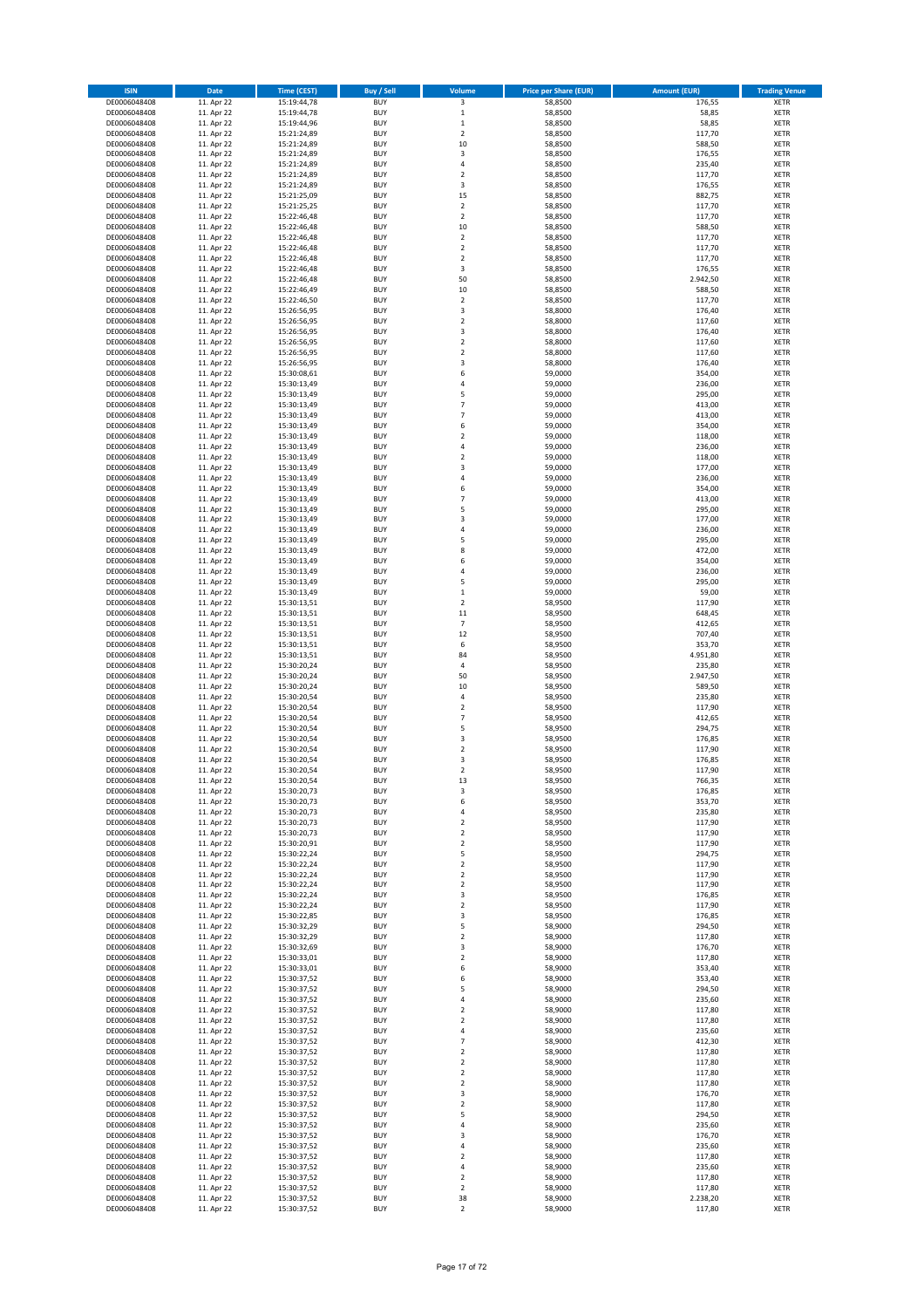| <b>ISIN</b>                  | Date                     | <b>Time (CEST)</b>         | <b>Buy / Sell</b>        | Volume                                    | <b>Price per Share (EUR)</b> | <b>Amount (EUR)</b> | <b>Trading Venue</b>       |
|------------------------------|--------------------------|----------------------------|--------------------------|-------------------------------------------|------------------------------|---------------------|----------------------------|
| DE0006048408                 | 11. Apr 22               | 15:19:44,78                | <b>BUY</b>               | 3                                         | 58,8500                      | 176,55              | <b>XETR</b>                |
| DE0006048408                 | 11. Apr 22               | 15:19:44,78                | <b>BUY</b>               | $\,$ 1                                    | 58,8500                      | 58,85               | <b>XETR</b>                |
| DE0006048408<br>DE0006048408 | 11. Apr 22<br>11. Apr 22 | 15:19:44,96<br>15:21:24,89 | <b>BUY</b><br><b>BUY</b> | $\,$ 1<br>$\mathbf 2$                     | 58,8500<br>58,8500           | 58,85<br>117,70     | <b>XETR</b><br><b>XETR</b> |
| DE0006048408                 | 11. Apr 22               | 15:21:24,89                | <b>BUY</b>               | 10                                        | 58,8500                      | 588,50              | <b>XETR</b>                |
| DE0006048408                 | 11. Apr 22               | 15:21:24,89                | <b>BUY</b>               | 3                                         | 58,8500                      | 176,55              | <b>XETR</b>                |
| DE0006048408                 | 11. Apr 22               | 15:21:24,89                | <b>BUY</b>               | $\sqrt{4}$                                | 58,8500                      | 235,40              | <b>XETR</b>                |
| DE0006048408                 | 11. Apr 22               | 15:21:24,89                | <b>BUY</b>               | $\overline{2}$                            | 58,8500                      | 117,70              | <b>XETR</b>                |
| DE0006048408<br>DE0006048408 | 11. Apr 22<br>11. Apr 22 | 15:21:24,89<br>15:21:25,09 | <b>BUY</b><br><b>BUY</b> | 3<br>15                                   | 58,8500<br>58,8500           | 176,55<br>882,75    | XETR<br><b>XETR</b>        |
| DE0006048408                 | 11. Apr 22               | 15:21:25,25                | <b>BUY</b>               | $\mathbf 2$                               | 58,8500                      | 117,70              | XETR                       |
| DE0006048408                 | 11. Apr 22               | 15:22:46,48                | <b>BUY</b>               | $\overline{2}$                            | 58,8500                      | 117,70              | <b>XETR</b>                |
| DE0006048408                 | 11. Apr 22               | 15:22:46,48                | <b>BUY</b>               | 10                                        | 58,8500                      | 588,50              | XETR                       |
| DE0006048408                 | 11. Apr 22               | 15:22:46,48                | <b>BUY</b>               | $\overline{2}$                            | 58,8500                      | 117,70              | <b>XETR</b>                |
| DE0006048408                 | 11. Apr 22               | 15:22:46,48                | <b>BUY</b>               | $\mathbf 2$                               | 58,8500                      | 117,70              | XETR                       |
| DE0006048408<br>DE0006048408 | 11. Apr 22<br>11. Apr 22 | 15:22:46,48<br>15:22:46,48 | <b>BUY</b><br><b>BUY</b> | $\overline{2}$<br>3                       | 58,8500<br>58,8500           | 117,70<br>176,55    | <b>XETR</b><br>XETR        |
| DE0006048408                 | 11. Apr 22               | 15:22:46,48                | <b>BUY</b>               | 50                                        | 58,8500                      | 2.942,50            | <b>XETR</b>                |
| DE0006048408                 | 11. Apr 22               | 15:22:46,49                | <b>BUY</b>               | 10                                        | 58,8500                      | 588,50              | XETR                       |
| DE0006048408                 | 11. Apr 22               | 15:22:46,50                | <b>BUY</b>               | $\overline{2}$                            | 58,8500                      | 117,70              | <b>XETR</b>                |
| DE0006048408                 | 11. Apr 22<br>11. Apr 22 | 15:26:56,95                | <b>BUY</b><br><b>BUY</b> | 3<br>$\mathbf 2$                          | 58,8000<br>58,8000           | 176,40<br>117,60    | <b>XETR</b><br><b>XETR</b> |
| DE0006048408<br>DE0006048408 | 11. Apr 22               | 15:26:56,95<br>15:26:56,95 | <b>BUY</b>               | 3                                         | 58,8000                      | 176,40              | <b>XETR</b>                |
| DE0006048408                 | 11. Apr 22               | 15:26:56,95                | <b>BUY</b>               | $\mathbf 2$                               | 58,8000                      | 117,60              | <b>XETR</b>                |
| DE0006048408                 | 11. Apr 22               | 15:26:56,95                | <b>BUY</b>               | $\overline{2}$                            | 58,8000                      | 117,60              | <b>XETR</b>                |
| DE0006048408                 | 11. Apr 22               | 15:26:56,95                | <b>BUY</b>               | 3                                         | 58,8000                      | 176,40              | <b>XETR</b>                |
| DE0006048408                 | 11. Apr 22               | 15:30:08,61                | <b>BUY</b>               | 6                                         | 59,0000                      | 354,00              | <b>XETR</b>                |
| DE0006048408<br>DE0006048408 | 11. Apr 22<br>11. Apr 22 | 15:30:13,49<br>15:30:13,49 | <b>BUY</b><br><b>BUY</b> | $\sqrt{4}$<br>5                           | 59,0000<br>59,0000           | 236,00<br>295,00    | <b>XETR</b><br><b>XETR</b> |
| DE0006048408                 | 11. Apr 22               | 15:30:13,49                | <b>BUY</b>               | $\overline{7}$                            | 59,0000                      | 413,00              | <b>XETR</b>                |
| DE0006048408                 | 11. Apr 22               | 15:30:13,49                | <b>BUY</b>               | $\overline{7}$                            | 59,0000                      | 413,00              | <b>XETR</b>                |
| DE0006048408                 | 11. Apr 22               | 15:30:13,49                | <b>BUY</b>               | 6                                         | 59,0000                      | 354,00              | <b>XETR</b>                |
| DE0006048408                 | 11. Apr 22               | 15:30:13,49                | <b>BUY</b><br><b>BUY</b> | $\overline{2}$<br>$\sqrt{4}$              | 59,0000<br>59,0000           | 118,00<br>236,00    | <b>XETR</b><br>XETR        |
| DE0006048408<br>DE0006048408 | 11. Apr 22<br>11. Apr 22 | 15:30:13,49<br>15:30:13,49 | <b>BUY</b>               | $\overline{2}$                            | 59,0000                      | 118,00              | <b>XETR</b>                |
| DE0006048408                 | 11. Apr 22               | 15:30:13,49                | <b>BUY</b>               | 3                                         | 59,0000                      | 177,00              | XETR                       |
| DE0006048408                 | 11. Apr 22               | 15:30:13,49                | <b>BUY</b>               | $\sqrt{4}$                                | 59,0000                      | 236,00              | <b>XETR</b>                |
| DE0006048408                 | 11. Apr 22               | 15:30:13,49                | <b>BUY</b>               | 6                                         | 59,0000                      | 354,00              | XETR                       |
| DE0006048408                 | 11. Apr 22               | 15:30:13,49                | <b>BUY</b>               | $\overline{7}$                            | 59,0000                      | 413,00              | <b>XETR</b>                |
| DE0006048408<br>DE0006048408 | 11. Apr 22<br>11. Apr 22 | 15:30:13,49<br>15:30:13,49 | <b>BUY</b><br><b>BUY</b> | 5<br>3                                    | 59,0000<br>59,0000           | 295,00<br>177,00    | <b>XETR</b><br><b>XETR</b> |
| DE0006048408                 | 11. Apr 22               | 15:30:13,49                | <b>BUY</b>               | $\sqrt{4}$                                | 59,0000                      | 236,00              | <b>XETR</b>                |
| DE0006048408                 | 11. Apr 22               | 15:30:13,49                | <b>BUY</b>               | 5                                         | 59,0000                      | 295,00              | <b>XETR</b>                |
| DE0006048408                 | 11. Apr 22               | 15:30:13,49                | <b>BUY</b>               | 8                                         | 59,0000                      | 472,00              | <b>XETR</b>                |
| DE0006048408                 | 11. Apr 22               | 15:30:13,49                | <b>BUY</b>               | 6                                         | 59,0000                      | 354,00              | <b>XETR</b>                |
| DE0006048408                 | 11. Apr 22               | 15:30:13,49                | <b>BUY</b>               | $\sqrt{4}$                                | 59,0000                      | 236,00              | <b>XETR</b>                |
| DE0006048408<br>DE0006048408 | 11. Apr 22<br>11. Apr 22 | 15:30:13,49<br>15:30:13,49 | <b>BUY</b><br><b>BUY</b> | 5<br>$\,1\,$                              | 59,0000<br>59,0000           | 295,00<br>59,00     | XETR<br><b>XETR</b>        |
| DE0006048408                 | 11. Apr 22               | 15:30:13,51                | <b>BUY</b>               | $\mathbf 2$                               | 58,9500                      | 117,90              | <b>XETR</b>                |
| DE0006048408                 | 11. Apr 22               | 15:30:13,51                | <b>BUY</b>               | 11                                        | 58,9500                      | 648,45              | <b>XETR</b>                |
| DE0006048408                 | 11. Apr 22               | 15:30:13,51                | <b>BUY</b>               | $\overline{7}$                            | 58,9500                      | 412,65              | <b>XETR</b>                |
| DE0006048408                 | 11. Apr 22               | 15:30:13,51                | <b>BUY</b><br><b>BUY</b> | 12                                        | 58,9500                      | 707,40              | <b>XETR</b>                |
| DE0006048408<br>DE0006048408 | 11. Apr 22<br>11. Apr 22 | 15:30:13,51<br>15:30:13,51 | <b>BUY</b>               | 6<br>84                                   | 58,9500<br>58,9500           | 353,70<br>4.951,80  | <b>XETR</b><br><b>XETR</b> |
| DE0006048408                 | 11. Apr 22               | 15:30:20,24                | <b>BUY</b>               | 4                                         | 58,9500                      | 235,80              | <b>XETR</b>                |
| DE0006048408                 | 11. Apr 22               | 15:30:20,24                | <b>BUY</b>               | 50                                        | 58,9500                      | 2.947,50            | <b>XETR</b>                |
| DE0006048408                 | 11. Apr 22               | 15:30:20,24                | <b>BUY</b>               | 10                                        | 58,9500                      | 589,50              | <b>XETR</b>                |
| DE0006048408                 | 11. Apr 22               | 15:30:20,54                | <b>BUY</b><br><b>BUY</b> | $\sqrt{4}$<br>$\overline{2}$              | 58,9500                      | 235,80              | <b>XETR</b><br><b>XETR</b> |
| DE0006048408<br>DE0006048408 | 11. Apr 22<br>11. Apr 22 | 15:30:20,54<br>15:30:20,54 | <b>BUY</b>               | $\overline{7}$                            | 58,9500<br>58,9500           | 117,90<br>412,65    | <b>XETR</b>                |
| DE0006048408                 | 11. Apr 22               | 15:30:20,54                | <b>BUY</b>               | 5                                         | 58,9500                      | 294,75              | XETR                       |
| DE0006048408                 | 11. Apr 22               | 15:30:20,54                | <b>BUY</b>               | 3                                         | 58,9500                      | 176,85              | <b>XETR</b>                |
| DE0006048408                 | 11. Apr 22               | 15:30:20,54                | <b>BUY</b>               | $\sqrt{2}$                                | 58,9500                      | 117,90              | XETR                       |
| DE0006048408                 | 11. Apr 22               | 15:30:20,54                | <b>BUY</b><br><b>BUY</b> | 3<br>$\overline{2}$                       | 58,9500                      | 176,85              | <b>XETR</b>                |
| DE0006048408<br>DE0006048408 | 11. Apr 22<br>11. Apr 22 | 15:30:20,54<br>15:30:20,54 | <b>BUY</b>               | 13                                        | 58,9500<br>58,9500           | 117,90<br>766,35    | <b>XETR</b><br>XETR        |
| DE0006048408                 | 11. Apr 22               | 15:30:20,73                | <b>BUY</b>               | 3                                         | 58,9500                      | 176,85              | XETR                       |
| DE0006048408                 | 11. Apr 22               | 15:30:20,73                | <b>BUY</b>               | 6                                         | 58,9500                      | 353,70              | XETR                       |
| DE0006048408                 | 11. Apr 22               | 15:30:20,73                | <b>BUY</b>               | 4                                         | 58,9500                      | 235,80              | XETR                       |
| DE0006048408                 | 11. Apr 22               | 15:30:20,73                | <b>BUY</b>               | $\mathbf 2$                               | 58,9500<br>58,9500           | 117,90<br>117,90    | XETR                       |
| DE0006048408<br>DE0006048408 | 11. Apr 22<br>11. Apr 22 | 15:30:20,73<br>15:30:20,91 | <b>BUY</b><br><b>BUY</b> | $\overline{2}$<br>$\overline{2}$          | 58,9500                      | 117,90              | XETR<br><b>XETR</b>        |
| DE0006048408                 | 11. Apr 22               | 15:30:22,24                | <b>BUY</b>               | 5                                         | 58,9500                      | 294,75              | XETR                       |
| DE0006048408                 | 11. Apr 22               | 15:30:22,24                | <b>BUY</b>               | $\mathbf 2$                               | 58,9500                      | 117,90              | <b>XETR</b>                |
| DE0006048408                 | 11. Apr 22               | 15:30:22,24                | <b>BUY</b>               | $\mathbf 2$                               | 58,9500                      | 117,90              | <b>XETR</b>                |
| DE0006048408<br>DE0006048408 | 11. Apr 22<br>11. Apr 22 | 15:30:22,24<br>15:30:22,24 | <b>BUY</b><br><b>BUY</b> | $\mathbf 2$<br>3                          | 58,9500<br>58,9500           | 117,90<br>176,85    | <b>XETR</b><br><b>XETR</b> |
| DE0006048408                 | 11. Apr 22               | 15:30:22,24                | <b>BUY</b>               | $\mathbf 2$                               | 58,9500                      | 117,90              | <b>XETR</b>                |
| DE0006048408                 | 11. Apr 22               | 15:30:22,85                | <b>BUY</b>               | 3                                         | 58,9500                      | 176,85              | XETR                       |
| DE0006048408                 | 11. Apr 22               | 15:30:32,29                | <b>BUY</b>               | 5                                         | 58,9000                      | 294,50              | <b>XETR</b>                |
| DE0006048408                 | 11. Apr 22               | 15:30:32,29                | <b>BUY</b>               | $\mathbf 2$                               | 58,9000                      | 117,80              | <b>XETR</b>                |
| DE0006048408<br>DE0006048408 | 11. Apr 22<br>11. Apr 22 | 15:30:32,69<br>15:30:33,01 | <b>BUY</b><br><b>BUY</b> | 3<br>$\mathbf 2$                          | 58,9000<br>58,9000           | 176,70<br>117,80    | <b>XETR</b><br><b>XETR</b> |
| DE0006048408                 | 11. Apr 22               | 15:30:33,01                | <b>BUY</b>               | 6                                         | 58,9000                      | 353,40              | <b>XETR</b>                |
| DE0006048408                 | 11. Apr 22               | 15:30:37,52                | <b>BUY</b>               | 6                                         | 58,9000                      | 353,40              | <b>XETR</b>                |
| DE0006048408                 | 11. Apr 22               | 15:30:37,52                | <b>BUY</b>               | 5                                         | 58,9000                      | 294,50              | <b>XETR</b>                |
| DE0006048408                 | 11. Apr 22               | 15:30:37,52                | <b>BUY</b>               | $\sqrt{4}$                                | 58,9000                      | 235,60              | XETR                       |
| DE0006048408<br>DE0006048408 | 11. Apr 22<br>11. Apr 22 | 15:30:37,52<br>15:30:37,52 | <b>BUY</b><br><b>BUY</b> | $\overline{\mathbf{c}}$<br>$\overline{2}$ | 58,9000<br>58,9000           | 117,80<br>117,80    | XETR<br>XETR               |
| DE0006048408                 | 11. Apr 22               | 15:30:37,52                | <b>BUY</b>               | $\sqrt{4}$                                | 58,9000                      | 235,60              | XETR                       |
| DE0006048408                 | 11. Apr 22               | 15:30:37,52                | <b>BUY</b>               | $\overline{7}$                            | 58,9000                      | 412,30              | <b>XETR</b>                |
| DE0006048408                 | 11. Apr 22               | 15:30:37,52                | <b>BUY</b>               | $\sqrt{2}$                                | 58,9000                      | 117,80              | XETR                       |
| DE0006048408                 | 11. Apr 22               | 15:30:37,52                | <b>BUY</b>               | $\overline{2}$                            | 58,9000                      | 117,80              | XETR                       |
| DE0006048408                 | 11. Apr 22               | 15:30:37,52                | <b>BUY</b><br><b>BUY</b> | $\mathbf 2$                               | 58,9000                      | 117,80              | XETR                       |
| DE0006048408<br>DE0006048408 | 11. Apr 22<br>11. Apr 22 | 15:30:37,52<br>15:30:37,52 | <b>BUY</b>               | $\mathbf 2$<br>3                          | 58,9000<br>58,9000           | 117,80<br>176,70    | XETR<br>XETR               |
| DE0006048408                 | 11. Apr 22               | 15:30:37,52                | <b>BUY</b>               | $\mathbf 2$                               | 58,9000                      | 117,80              | XETR                       |
| DE0006048408                 | 11. Apr 22               | 15:30:37,52                | <b>BUY</b>               | 5                                         | 58,9000                      | 294,50              | XETR                       |
| DE0006048408                 | 11. Apr 22               | 15:30:37,52                | <b>BUY</b>               | 4                                         | 58,9000                      | 235,60              | <b>XETR</b>                |
| DE0006048408<br>DE0006048408 | 11. Apr 22<br>11. Apr 22 | 15:30:37,52<br>15:30:37,52 | <b>BUY</b><br><b>BUY</b> | 3<br>4                                    | 58,9000<br>58,9000           | 176,70<br>235,60    | <b>XETR</b><br><b>XETR</b> |
| DE0006048408                 | 11. Apr 22               | 15:30:37,52                | <b>BUY</b>               | $\sqrt{2}$                                | 58,9000                      | 117,80              | <b>XETR</b>                |
| DE0006048408                 | 11. Apr 22               | 15:30:37,52                | <b>BUY</b>               | 4                                         | 58,9000                      | 235,60              | <b>XETR</b>                |
| DE0006048408                 | 11. Apr 22               | 15:30:37,52                | <b>BUY</b>               | $\mathbf 2$                               | 58,9000                      | 117,80              | <b>XETR</b>                |
| DE0006048408                 | 11. Apr 22               | 15:30:37,52                | <b>BUY</b>               | $\overline{2}$                            | 58,9000                      | 117,80              | <b>XETR</b>                |
| DE0006048408<br>DE0006048408 | 11. Apr 22<br>11. Apr 22 | 15:30:37,52<br>15:30:37,52 | <b>BUY</b><br><b>BUY</b> | 38<br>$\mathbf 2$                         | 58,9000<br>58,9000           | 2.238,20<br>117,80  | <b>XETR</b><br>XETR        |
|                              |                          |                            |                          |                                           |                              |                     |                            |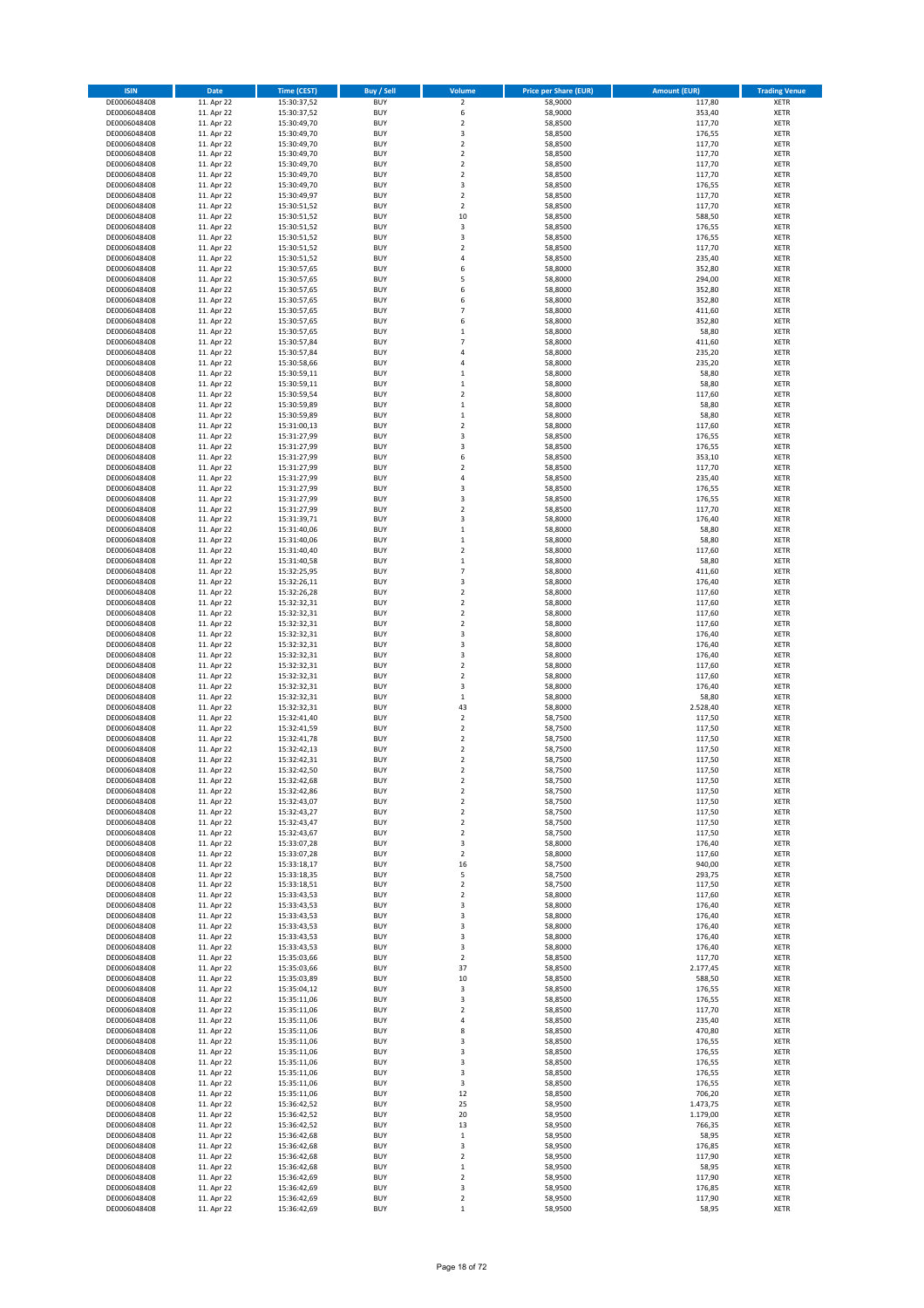| <b>ISIN</b>                  | <b>Date</b>              | <b>Time (CEST)</b>         | <b>Buy / Sell</b>        | Volume                        | <b>Price per Share (EUR)</b> | <b>Amount (EUR)</b> | <b>Trading Venue</b>       |
|------------------------------|--------------------------|----------------------------|--------------------------|-------------------------------|------------------------------|---------------------|----------------------------|
| DE0006048408                 | 11. Apr 22               | 15:30:37,52                | <b>BUY</b>               | $\mathbf 2$                   | 58,9000                      | 117,80              | XETR                       |
| DE0006048408                 | 11. Apr 22               | 15:30:37,52                | <b>BUY</b>               | 6                             | 58,9000                      | 353,40              | XETR                       |
| DE0006048408<br>DE0006048408 | 11. Apr 22<br>11. Apr 22 | 15:30:49,70<br>15:30:49,70 | <b>BUY</b><br><b>BUY</b> | $\mathbf 2$<br>3              | 58,8500<br>58,8500           | 117,70<br>176,55    | XETR<br>XETR               |
| DE0006048408                 | 11. Apr 22               | 15:30:49,70                | <b>BUY</b>               | $\mathbf 2$                   | 58,8500                      | 117,70              | XETR                       |
| DE0006048408                 | 11. Apr 22               | 15:30:49,70                | <b>BUY</b>               | $\mathbf 2$                   | 58,8500                      | 117,70              | <b>XETR</b>                |
| DE0006048408                 | 11. Apr 22               | 15:30:49,70                | <b>BUY</b>               | $\mathbf 2$                   | 58,8500                      | 117,70              | <b>XETR</b>                |
| DE0006048408                 | 11. Apr 22               | 15:30:49,70                | <b>BUY</b>               | $\mathbf 2$                   | 58,8500                      | 117,70              | <b>XETR</b>                |
| DE0006048408<br>DE0006048408 | 11. Apr 22<br>11. Apr 22 | 15:30:49,70                | <b>BUY</b><br><b>BUY</b> | 3<br>$\mathbf 2$              | 58,8500<br>58,8500           | 176,55<br>117,70    | <b>XETR</b><br><b>XETR</b> |
| DE0006048408                 | 11. Apr 22               | 15:30:49,97<br>15:30:51,52 | <b>BUY</b>               | $\mathbf 2$                   | 58,8500                      | 117,70              | XETR                       |
| DE0006048408                 | 11. Apr 22               | 15:30:51,52                | <b>BUY</b>               | 10                            | 58,8500                      | 588,50              | <b>XETR</b>                |
| DE0006048408                 | 11. Apr 22               | 15:30:51,52                | <b>BUY</b>               | 3                             | 58,8500                      | 176,55              | XETR                       |
| DE0006048408                 | 11. Apr 22               | 15:30:51,52                | <b>BUY</b>               | 3                             | 58,8500                      | 176,55              | <b>XETR</b>                |
| DE0006048408                 | 11. Apr 22               | 15:30:51,52                | <b>BUY</b>               | $\mathbf 2$                   | 58,8500                      | 117,70              | XETR                       |
| DE0006048408<br>DE0006048408 | 11. Apr 22<br>11. Apr 22 | 15:30:51,52<br>15:30:57,65 | <b>BUY</b><br><b>BUY</b> | 4<br>6                        | 58,8500<br>58,8000           | 235,40<br>352,80    | <b>XETR</b><br>XETR        |
| DE0006048408                 | 11. Apr 22               | 15:30:57,65                | <b>BUY</b>               | 5                             | 58,8000                      | 294,00              | <b>XETR</b>                |
| DE0006048408                 | 11. Apr 22               | 15:30:57,65                | <b>BUY</b>               | 6                             | 58,8000                      | 352,80              | XETR                       |
| DE0006048408                 | 11. Apr 22               | 15:30:57,65                | <b>BUY</b>               | 6                             | 58,8000                      | 352,80              | <b>XETR</b>                |
| DE0006048408                 | 11. Apr 22<br>11. Apr 22 | 15:30:57,65                | <b>BUY</b><br><b>BUY</b> | $\overline{7}$<br>6           | 58,8000<br>58,8000           | 411,60<br>352,80    | XETR<br>XETR               |
| DE0006048408<br>DE0006048408 | 11. Apr 22               | 15:30:57,65<br>15:30:57,65 | <b>BUY</b>               | $\mathbf{1}$                  | 58,8000                      | 58,80               | <b>XETR</b>                |
| DE0006048408                 | 11. Apr 22               | 15:30:57,84                | <b>BUY</b>               | $\overline{7}$                | 58,8000                      | 411,60              | <b>XETR</b>                |
| DE0006048408                 | 11. Apr 22               | 15:30:57,84                | <b>BUY</b>               | $\overline{4}$                | 58,8000                      | 235,20              | <b>XETR</b>                |
| DE0006048408                 | 11. Apr 22               | 15:30:58,66                | <b>BUY</b>               | 4                             | 58,8000                      | 235,20              | <b>XETR</b>                |
| DE0006048408                 | 11. Apr 22               | 15:30:59,11                | <b>BUY</b>               | $\mathbf 1$                   | 58,8000                      | 58,80               | <b>XETR</b>                |
| DE0006048408<br>DE0006048408 | 11. Apr 22<br>11. Apr 22 | 15:30:59,11<br>15:30:59,54 | <b>BUY</b><br><b>BUY</b> | $\mathbf 1$<br>$\mathbf 2$    | 58,8000<br>58,8000           | 58,80<br>117,60     | <b>XETR</b><br><b>XETR</b> |
| DE0006048408                 | 11. Apr 22               | 15:30:59,89                | <b>BUY</b>               | $\mathbf 1$                   | 58,8000                      | 58,80               | <b>XETR</b>                |
| DE0006048408                 | 11. Apr 22               | 15:30:59,89                | <b>BUY</b>               | $\mathbf 1$                   | 58,8000                      | 58,80               | <b>XETR</b>                |
| DE0006048408                 | 11. Apr 22               | 15:31:00,13                | <b>BUY</b>               | $\mathbf 2$                   | 58,8000                      | 117,60              | <b>XETR</b>                |
| DE0006048408                 | 11. Apr 22               | 15:31:27,99                | <b>BUY</b>               | 3                             | 58,8500                      | 176,55              | <b>XETR</b>                |
| DE0006048408<br>DE0006048408 | 11. Apr 22<br>11. Apr 22 | 15:31:27,99<br>15:31:27,99 | <b>BUY</b><br><b>BUY</b> | 3<br>6                        | 58,8500<br>58,8500           | 176,55<br>353,10    | XETR<br><b>XETR</b>        |
| DE0006048408                 | 11. Apr 22               | 15:31:27,99                | <b>BUY</b>               | $\mathbf 2$                   | 58,8500                      | 117,70              | XETR                       |
| DE0006048408                 | 11. Apr 22               | 15:31:27,99                | <b>BUY</b>               | 4                             | 58,8500                      | 235,40              | <b>XETR</b>                |
| DE0006048408                 | 11. Apr 22               | 15:31:27,99                | <b>BUY</b>               | 3                             | 58,8500                      | 176,55              | XETR                       |
| DE0006048408                 | 11. Apr 22               | 15:31:27,99                | <b>BUY</b>               | 3                             | 58,8500                      | 176,55              | <b>XETR</b>                |
| DE0006048408<br>DE0006048408 | 11. Apr 22<br>11. Apr 22 | 15:31:27,99<br>15:31:39,71 | <b>BUY</b><br><b>BUY</b> | $\mathbf 2$<br>3              | 58,8500<br>58,8000           | 117,70<br>176,40    | <b>XETR</b><br><b>XETR</b> |
| DE0006048408                 | 11. Apr 22               | 15:31:40,06                | <b>BUY</b>               | $\mathbf 1$                   | 58,8000                      | 58,80               | <b>XETR</b>                |
| DE0006048408                 | 11. Apr 22               | 15:31:40,06                | <b>BUY</b>               | $\mathbf{1}$                  | 58,8000                      | 58,80               | <b>XETR</b>                |
| DE0006048408                 | 11. Apr 22               | 15:31:40,40                | <b>BUY</b>               | $\overline{\mathbf{c}}$       | 58,8000                      | 117,60              | <b>XETR</b>                |
| DE0006048408                 | 11. Apr 22               | 15:31:40,58                | <b>BUY</b>               | $\mathbf 1$                   | 58,8000                      | 58,80               | <b>XETR</b>                |
| DE0006048408                 | 11. Apr 22               | 15:32:25,95                | <b>BUY</b>               | $\overline{7}$                | 58,8000                      | 411,60              | XETR                       |
| DE0006048408<br>DE0006048408 | 11. Apr 22<br>11. Apr 22 | 15:32:26,11<br>15:32:26,28 | <b>BUY</b><br><b>BUY</b> | 3<br>$\mathbf 2$              | 58,8000<br>58,8000           | 176,40<br>117,60    | XETR<br><b>XETR</b>        |
| DE0006048408                 | 11. Apr 22               | 15:32:32,31                | <b>BUY</b>               | $\mathbf 2$                   | 58,8000                      | 117,60              | <b>XETR</b>                |
| DE0006048408                 | 11. Apr 22               | 15:32:32,31                | <b>BUY</b>               | $\mathbf 2$                   | 58,8000                      | 117,60              | XETR                       |
| DE0006048408                 | 11. Apr 22               | 15:32:32,31                | <b>BUY</b>               | $\mathbf 2$                   | 58,8000                      | 117,60              | <b>XETR</b>                |
| DE0006048408                 | 11. Apr 22               | 15:32:32,31                | <b>BUY</b><br><b>BUY</b> | 3<br>3                        | 58,8000                      | 176,40              | <b>XETR</b>                |
| DE0006048408<br>DE0006048408 | 11. Apr 22<br>11. Apr 22 | 15:32:32,31<br>15:32:32,31 | <b>BUY</b>               | 3                             | 58,8000<br>58,8000           | 176,40<br>176,40    | <b>XETR</b><br><b>XETR</b> |
| DE0006048408                 | 11. Apr 22               | 15:32:32,31                | <b>BUY</b>               | $\mathbf 2$                   | 58,8000                      | 117,60              | <b>XETR</b>                |
| DE0006048408                 | 11. Apr 22               | 15:32:32,31                | <b>BUY</b>               | $\overline{\mathbf{c}}$       | 58,8000                      | 117,60              | <b>XETR</b>                |
| DE0006048408                 | 11. Apr 22               | 15:32:32,31                | <b>BUY</b>               | 3                             | 58,8000                      | 176,40              | <b>XETR</b>                |
| DE0006048408                 | 11. Apr 22               | 15:32:32,31                | <b>BUY</b>               | $\mathbf 1$                   | 58,8000                      | 58,80               | <b>XETR</b>                |
| DE0006048408<br>DE0006048408 | 11. Apr 22<br>11. Apr 22 | 15:32:32,31<br>15:32:41,40 | <b>BUY</b><br><b>BUY</b> | 43<br>$\overline{\mathbf{c}}$ | 58,8000<br>58,7500           | 2.528,40<br>117,50  | <b>XETR</b><br><b>XETR</b> |
| DE0006048408                 | 11. Apr 22               | 15:32:41,59                | <b>BUY</b>               | $\mathbf 2$                   | 58,7500                      | 117,50              | XETR                       |
| DE0006048408                 | 11. Apr 22               | 15:32:41,78                | <b>BUY</b>               | $\overline{\mathbf{c}}$       | 58,7500                      | 117,50              | <b>XETR</b>                |
| DE0006048408                 | 11. Apr 22               | 15:32:42,13                | <b>BUY</b>               | 2                             | 58,7500                      | 117,50              | XETR                       |
| DE0006048408                 | 11. Apr 22               | 15:32:42,31                | <b>BUY</b>               | $\overline{\mathbf{c}}$       | 58,7500                      | 117,50              | <b>XETR</b>                |
| DE0006048408<br>DE0006048408 | 11. Apr 22<br>11. Apr 22 | 15:32:42,50<br>15:32:42,68 | <b>BUY</b><br><b>BUY</b> | $\overline{\mathbf{c}}$<br>2  | 58,7500<br>58,7500           | 117,50<br>117,50    | XETR<br>XETR               |
| DE0006048408                 | 11. Apr 22               | 15:32:42,86                | <b>BUY</b>               | $\boldsymbol{2}$              | 58,7500                      | 117,50              | XETR                       |
| DE0006048408                 | 11. Apr 22               | 15:32:43,07                | <b>BUY</b>               | $\mathbf 2$                   | 58,7500                      | 117,50              | XETR                       |
| DE0006048408                 | 11. Apr 22               | 15:32:43,27                | <b>BUY</b>               | 2                             | 58,7500                      | 117,50              | XETR                       |
| DE0006048408                 | 11. Apr 22               | 15:32:43,47                | <b>BUY</b>               | $\mathbf 2$                   | 58,7500                      | 117,50              | <b>XETR</b>                |
| DE0006048408<br>DE0006048408 | 11. Apr 22<br>11. Apr 22 | 15:32:43,67<br>15:33:07,28 | <b>BUY</b><br><b>BUY</b> | 2<br>3                        | 58,7500<br>58,8000           | 117,50<br>176,40    | XETR<br><b>XETR</b>        |
| DE0006048408                 | 11. Apr 22               | 15:33:07,28                | <b>BUY</b>               | $\mathbf 2$                   | 58,8000                      | 117,60              | XETR                       |
| DE0006048408                 | 11. Apr 22               | 15:33:18,17                | <b>BUY</b>               | 16                            | 58,7500                      | 940,00              | <b>XETR</b>                |
| DE0006048408                 | 11. Apr 22               | 15:33:18,35                | <b>BUY</b>               | 5                             | 58,7500                      | 293,75              | XETR                       |
| DE0006048408<br>DE0006048408 | 11. Apr 22<br>11. Apr 22 | 15:33:18,51<br>15:33:43,53 | <b>BUY</b><br><b>BUY</b> | $\mathbf 2$<br>$\mathbf 2$    | 58,7500<br>58,8000           | 117,50<br>117,60    | <b>XETR</b><br>XETR        |
| DE0006048408                 | 11. Apr 22               | 15:33:43,53                | <b>BUY</b>               | 3                             | 58,8000                      | 176,40              | <b>XETR</b>                |
| DE0006048408                 | 11. Apr 22               | 15:33:43,53                | <b>BUY</b>               | 3                             | 58,8000                      | 176,40              | XETR                       |
| DE0006048408                 | 11. Apr 22               | 15:33:43,53                | <b>BUY</b>               | 3                             | 58,8000                      | 176,40              | <b>XETR</b>                |
| DE0006048408                 | 11. Apr 22               | 15:33:43,53                | <b>BUY</b>               | 3                             | 58,8000                      | 176,40              | XETR                       |
| DE0006048408<br>DE0006048408 | 11. Apr 22<br>11. Apr 22 | 15:33:43,53<br>15:35:03,66 | <b>BUY</b><br><b>BUY</b> | 3<br>2                        | 58,8000<br>58,8500           | 176,40<br>117,70    | <b>XETR</b><br><b>XETR</b> |
| DE0006048408                 | 11. Apr 22               | 15:35:03,66                | <b>BUY</b>               | 37                            | 58,8500                      | 2.177,45            | <b>XETR</b>                |
| DE0006048408                 | 11. Apr 22               | 15:35:03,89                | <b>BUY</b>               | 10                            | 58,8500                      | 588,50              | XETR                       |
| DE0006048408                 | 11. Apr 22               | 15:35:04,12                | <b>BUY</b>               | 3                             | 58,8500                      | 176,55              | <b>XETR</b>                |
| DE0006048408                 | 11. Apr 22               | 15:35:11,06                | <b>BUY</b>               | 3                             | 58,8500                      | 176,55              | <b>XETR</b>                |
| DE0006048408<br>DE0006048408 | 11. Apr 22<br>11. Apr 22 | 15:35:11,06<br>15:35:11,06 | <b>BUY</b><br><b>BUY</b> | 2<br>4                        | 58,8500<br>58,8500           | 117,70<br>235,40    | XETR<br><b>XETR</b>        |
| DE0006048408                 | 11. Apr 22               | 15:35:11,06                | <b>BUY</b>               | 8                             | 58,8500                      | 470,80              | XETR                       |
| DE0006048408                 | 11. Apr 22               | 15:35:11,06                | <b>BUY</b>               | 3                             | 58,8500                      | 176,55              | <b>XETR</b>                |
| DE0006048408                 | 11. Apr 22               | 15:35:11,06                | <b>BUY</b>               | 3                             | 58,8500                      | 176,55              | XETR                       |
| DE0006048408                 | 11. Apr 22               | 15:35:11,06                | <b>BUY</b>               | 3                             | 58,8500                      | 176,55              | <b>XETR</b>                |
| DE0006048408                 | 11. Apr 22               | 15:35:11,06                | <b>BUY</b><br><b>BUY</b> | 3<br>3                        | 58,8500                      | 176,55              | XETR<br><b>XETR</b>        |
| DE0006048408<br>DE0006048408 | 11. Apr 22<br>11. Apr 22 | 15:35:11,06<br>15:35:11,06 | <b>BUY</b>               | 12                            | 58,8500<br>58,8500           | 176,55<br>706,20    | XETR                       |
| DE0006048408                 | 11. Apr 22               | 15:36:42,52                | <b>BUY</b>               | 25                            | 58,9500                      | 1.473,75            | <b>XETR</b>                |
| DE0006048408                 | 11. Apr 22               | 15:36:42,52                | <b>BUY</b>               | 20                            | 58,9500                      | 1.179,00            | XETR                       |
| DE0006048408                 | 11. Apr 22               | 15:36:42,52                | <b>BUY</b>               | 13                            | 58,9500                      | 766,35              | <b>XETR</b>                |
| DE0006048408<br>DE0006048408 | 11. Apr 22<br>11. Apr 22 | 15:36:42,68<br>15:36:42,68 | <b>BUY</b><br><b>BUY</b> | $\mathbf 1$<br>3              | 58,9500<br>58,9500           | 58,95<br>176,85     | <b>XETR</b><br><b>XETR</b> |
| DE0006048408                 | 11. Apr 22               | 15:36:42,68                | <b>BUY</b>               | $\mathbf 2$                   | 58,9500                      | 117,90              | XETR                       |
| DE0006048408                 | 11. Apr 22               | 15:36:42,68                | <b>BUY</b>               | $\mathbf 1$                   | 58,9500                      | 58,95               | <b>XETR</b>                |
| DE0006048408                 | 11. Apr 22               | 15:36:42,69                | <b>BUY</b>               | $\boldsymbol{2}$              | 58,9500                      | 117,90              | XETR                       |
| DE0006048408                 | 11. Apr 22               | 15:36:42,69                | <b>BUY</b>               | 3                             | 58,9500                      | 176,85              | XETR                       |
| DE0006048408<br>DE0006048408 | 11. Apr 22<br>11. Apr 22 | 15:36:42,69<br>15:36:42,69 | <b>BUY</b><br><b>BUY</b> | $\mathbf 2$<br>$\mathbf 1$    | 58,9500<br>58,9500           | 117,90<br>58,95     | XETR<br>XETR               |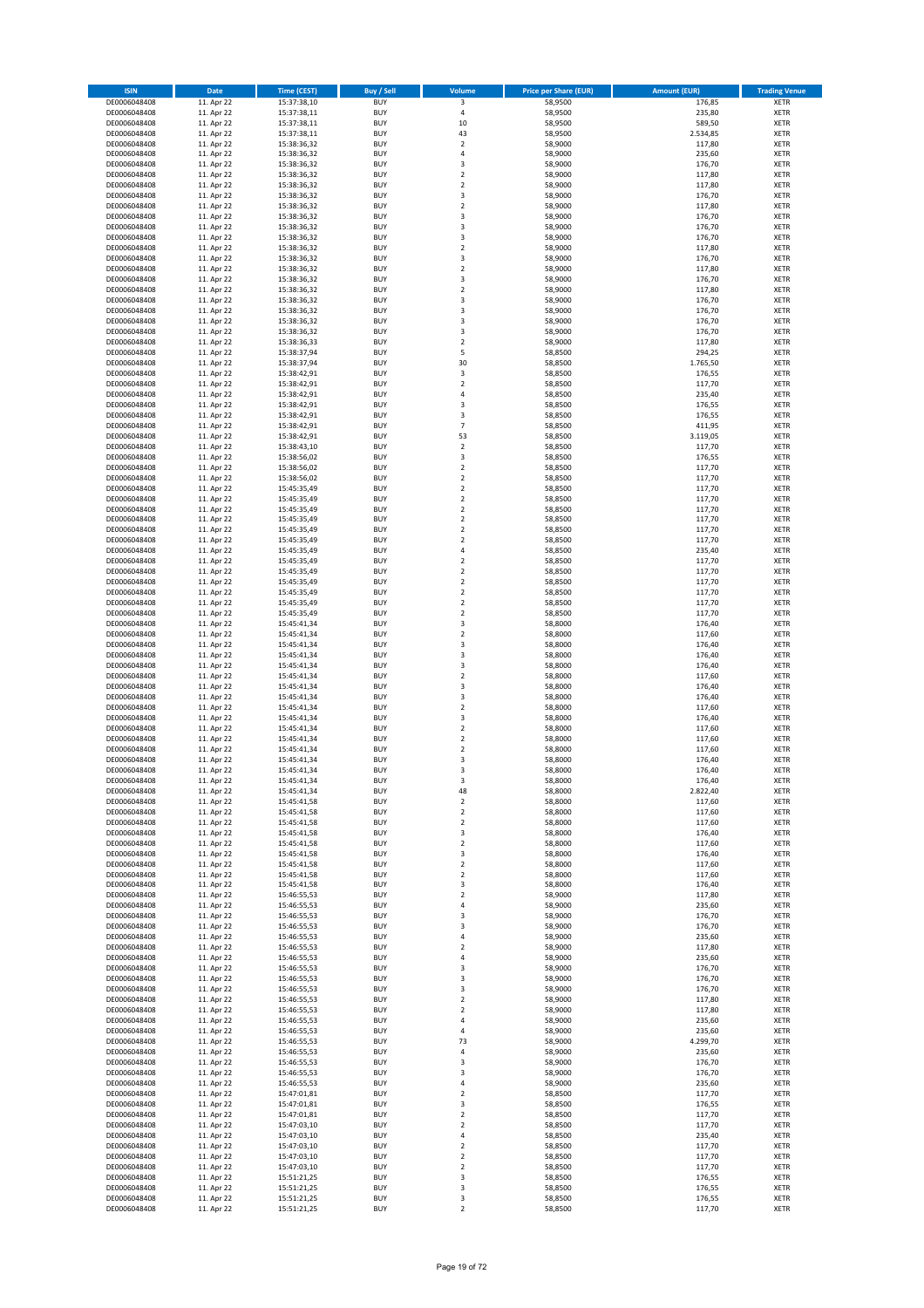| <b>ISIN</b>                  | <b>Date</b>              | <b>Time (CEST)</b>         | <b>Buy / Sell</b>        | Volume                       | <b>Price per Share (EUR)</b> | <b>Amount (EUR)</b> | <b>Trading Venue</b>       |
|------------------------------|--------------------------|----------------------------|--------------------------|------------------------------|------------------------------|---------------------|----------------------------|
| DE0006048408                 | 11. Apr 22               | 15:37:38,10                | <b>BUY</b>               | 3                            | 58,9500                      | 176,85              | XETR                       |
| DE0006048408                 | 11. Apr 22               | 15:37:38,11                | <b>BUY</b>               | 4                            | 58,9500                      | 235,80              | XETR                       |
| DE0006048408<br>DE0006048408 | 11. Apr 22<br>11. Apr 22 | 15:37:38,11<br>15:37:38,11 | <b>BUY</b><br><b>BUY</b> | 10<br>43                     | 58,9500<br>58,9500           | 589,50<br>2.534,85  | <b>XETR</b><br><b>XETR</b> |
| DE0006048408                 | 11. Apr 22               | 15:38:36,32                | <b>BUY</b>               | $\mathbf 2$                  | 58,9000                      | 117,80              | <b>XETR</b>                |
| DE0006048408                 | 11. Apr 22               | 15:38:36,32                | <b>BUY</b>               | $\overline{4}$               | 58,9000                      | 235,60              | <b>XETR</b>                |
| DE0006048408                 | 11. Apr 22               | 15:38:36,32                | <b>BUY</b>               | 3                            | 58,9000                      | 176,70              | <b>XETR</b>                |
| DE0006048408                 | 11. Apr 22               | 15:38:36,32                | <b>BUY</b>               | $\mathbf 2$                  | 58,9000                      | 117,80              | <b>XETR</b>                |
| DE0006048408                 | 11. Apr 22               | 15:38:36,32                | <b>BUY</b><br><b>BUY</b> | $\mathbf 2$<br>3             | 58,9000                      | 117,80              | <b>XETR</b><br><b>XETR</b> |
| DE0006048408<br>DE0006048408 | 11. Apr 22<br>11. Apr 22 | 15:38:36,32<br>15:38:36,32 | <b>BUY</b>               | $\mathbf 2$                  | 58,9000<br>58,9000           | 176,70<br>117,80    | XETR                       |
| DE0006048408                 | 11. Apr 22               | 15:38:36,32                | <b>BUY</b>               | 3                            | 58,9000                      | 176,70              | <b>XETR</b>                |
| DE0006048408                 | 11. Apr 22               | 15:38:36,32                | <b>BUY</b>               | 3                            | 58,9000                      | 176,70              | XETR                       |
| DE0006048408                 | 11. Apr 22               | 15:38:36,32                | <b>BUY</b>               | 3                            | 58,9000                      | 176,70              | <b>XETR</b>                |
| DE0006048408                 | 11. Apr 22               | 15:38:36,32                | <b>BUY</b>               | $\mathbf 2$                  | 58,9000                      | 117,80              | XETR                       |
| DE0006048408                 | 11. Apr 22<br>11. Apr 22 | 15:38:36,32<br>15:38:36,32 | <b>BUY</b>               | 3                            | 58,9000                      | 176,70              | <b>XETR</b>                |
| DE0006048408<br>DE0006048408 | 11. Apr 22               | 15:38:36,32                | <b>BUY</b><br><b>BUY</b> | $\mathbf 2$<br>3             | 58,9000<br>58,9000           | 117,80<br>176,70    | XETR<br><b>XETR</b>        |
| DE0006048408                 | 11. Apr 22               | 15:38:36,32                | <b>BUY</b>               | $\mathbf 2$                  | 58,9000                      | 117,80              | XETR                       |
| DE0006048408                 | 11. Apr 22               | 15:38:36,32                | <b>BUY</b>               | 3                            | 58,9000                      | 176,70              | <b>XETR</b>                |
| DE0006048408                 | 11. Apr 22               | 15:38:36,32                | <b>BUY</b>               | 3                            | 58,9000                      | 176,70              | <b>XETR</b>                |
| DE0006048408                 | 11. Apr 22               | 15:38:36,32                | <b>BUY</b>               | 3                            | 58,9000                      | 176,70              | <b>XETR</b>                |
| DE0006048408                 | 11. Apr 22<br>11. Apr 22 | 15:38:36,32                | <b>BUY</b><br><b>BUY</b> | 3<br>$\mathbf 2$             | 58,9000<br>58,9000           | 176,70<br>117,80    | <b>XETR</b><br><b>XETR</b> |
| DE0006048408<br>DE0006048408 | 11. Apr 22               | 15:38:36,33<br>15:38:37,94 | <b>BUY</b>               | 5                            | 58,8500                      | 294,25              | <b>XETR</b>                |
| DE0006048408                 | 11. Apr 22               | 15:38:37,94                | <b>BUY</b>               | 30                           | 58,8500                      | 1.765,50            | <b>XETR</b>                |
| DE0006048408                 | 11. Apr 22               | 15:38:42,91                | <b>BUY</b>               | 3                            | 58,8500                      | 176,55              | <b>XETR</b>                |
| DE0006048408                 | 11. Apr 22               | 15:38:42,91                | <b>BUY</b>               | $\mathbf 2$                  | 58,8500                      | 117,70              | <b>XETR</b>                |
| DE0006048408                 | 11. Apr 22               | 15:38:42,91                | <b>BUY</b>               | 4                            | 58,8500                      | 235,40              | <b>XETR</b>                |
| DE0006048408                 | 11. Apr 22               | 15:38:42,91                | <b>BUY</b><br><b>BUY</b> | 3<br>3                       | 58,8500                      | 176,55              | <b>XETR</b><br><b>XETR</b> |
| DE0006048408<br>DE0006048408 | 11. Apr 22<br>11. Apr 22 | 15:38:42,91<br>15:38:42,91 | <b>BUY</b>               | $\overline{7}$               | 58,8500<br>58,8500           | 176,55<br>411,95    | <b>XETR</b>                |
| DE0006048408                 | 11. Apr 22               | 15:38:42,91                | <b>BUY</b>               | 53                           | 58,8500                      | 3.119,05            | <b>XETR</b>                |
| DE0006048408                 | 11. Apr 22               | 15:38:43,10                | <b>BUY</b>               | $\mathbf 2$                  | 58,8500                      | 117,70              | XETR                       |
| DE0006048408                 | 11. Apr 22               | 15:38:56,02                | <b>BUY</b>               | 3                            | 58,8500                      | 176,55              | <b>XETR</b>                |
| DE0006048408                 | 11. Apr 22               | 15:38:56,02                | <b>BUY</b>               | $\mathbf 2$                  | 58,8500                      | 117,70              | XETR                       |
| DE0006048408                 | 11. Apr 22               | 15:38:56,02                | <b>BUY</b>               | $\mathbf 2$                  | 58,8500                      | 117,70<br>117,70    | <b>XETR</b>                |
| DE0006048408<br>DE0006048408 | 11. Apr 22<br>11. Apr 22 | 15:45:35,49<br>15:45:35,49 | <b>BUY</b><br><b>BUY</b> | $\mathbf 2$<br>$\mathbf 2$   | 58,8500<br>58,8500           | 117,70              | XETR<br><b>XETR</b>        |
| DE0006048408                 | 11. Apr 22               | 15:45:35,49                | <b>BUY</b>               | $\mathbf 2$                  | 58,8500                      | 117,70              | <b>XETR</b>                |
| DE0006048408                 | 11. Apr 22               | 15:45:35,49                | <b>BUY</b>               | $\mathbf 2$                  | 58,8500                      | 117,70              | <b>XETR</b>                |
| DE0006048408                 | 11. Apr 22               | 15:45:35,49                | <b>BUY</b>               | $\mathbf 2$                  | 58,8500                      | 117,70              | <b>XETR</b>                |
| DE0006048408                 | 11. Apr 22               | 15:45:35,49                | <b>BUY</b>               | $\mathbf 2$                  | 58,8500                      | 117,70              | <b>XETR</b>                |
| DE0006048408                 | 11. Apr 22               | 15:45:35,49                | <b>BUY</b><br><b>BUY</b> | 4<br>$\mathbf 2$             | 58,8500                      | 235,40              | <b>XETR</b><br><b>XETR</b> |
| DE0006048408<br>DE0006048408 | 11. Apr 22<br>11. Apr 22 | 15:45:35,49<br>15:45:35,49 | <b>BUY</b>               | $\mathbf 2$                  | 58,8500<br>58,8500           | 117,70<br>117,70    | XETR                       |
| DE0006048408                 | 11. Apr 22               | 15:45:35,49                | <b>BUY</b>               | 2                            | 58,8500                      | 117,70              | XETR                       |
| DE0006048408                 | 11. Apr 22               | 15:45:35,49                | <b>BUY</b>               | $\mathbf 2$                  | 58,8500                      | 117,70              | <b>XETR</b>                |
| DE0006048408                 | 11. Apr 22               | 15:45:35,49                | <b>BUY</b>               | $\mathbf 2$                  | 58,8500                      | 117,70              | <b>XETR</b>                |
| DE0006048408                 | 11. Apr 22               | 15:45:35,49                | <b>BUY</b>               | $\mathbf 2$                  | 58,8500                      | 117,70              | XETR                       |
| DE0006048408<br>DE0006048408 | 11. Apr 22<br>11. Apr 22 | 15:45:41,34<br>15:45:41,34 | <b>BUY</b><br><b>BUY</b> | 3<br>$\overline{\mathbf{c}}$ | 58,8000<br>58,8000           | 176,40<br>117,60    | <b>XETR</b><br><b>XETR</b> |
| DE0006048408                 | 11. Apr 22               | 15:45:41,34                | <b>BUY</b>               | 3                            | 58,8000                      | 176,40              | <b>XETR</b>                |
| DE0006048408                 | 11. Apr 22               | 15:45:41,34                | <b>BUY</b>               | 3                            | 58,8000                      | 176,40              | <b>XETR</b>                |
| DE0006048408                 | 11. Apr 22               | 15:45:41,34                | <b>BUY</b>               | 3                            | 58,8000                      | 176,40              | <b>XETR</b>                |
| DE0006048408                 | 11. Apr 22               | 15:45:41,34                | <b>BUY</b>               | $\overline{\mathbf{c}}$      | 58,8000                      | 117,60              | <b>XETR</b>                |
| DE0006048408                 | 11. Apr 22               | 15:45:41,34                | <b>BUY</b>               | 3                            | 58,8000                      | 176,40              | <b>XETR</b>                |
| DE0006048408<br>DE0006048408 | 11. Apr 22<br>11. Apr 22 | 15:45:41,34<br>15:45:41,34 | <b>BUY</b><br><b>BUY</b> | 3<br>$\overline{\mathbf{c}}$ | 58,8000<br>58,8000           | 176,40<br>117,60    | <b>XETR</b><br><b>XETR</b> |
| DE0006048408                 | 11. Apr 22               | 15:45:41,34                | <b>BUY</b>               | 3                            | 58,8000                      | 176,40              | <b>XETR</b>                |
| DE0006048408                 | 11. Apr 22               | 15:45:41,34                | <b>BUY</b>               | $\mathbf 2$                  | 58,8000                      | 117,60              | XETR                       |
| DE0006048408                 | 11. Apr 22               | 15:45:41,34                | <b>BUY</b>               | $\overline{\mathbf{c}}$      | 58,8000                      | 117,60              | <b>XETR</b>                |
| DE0006048408                 | 11. Apr 22               | 15:45:41,34                | <b>BUY</b>               | 2                            | 58,8000                      | 117,60              | XETR                       |
| DE0006048408                 | 11. Apr 22               | 15:45:41,34<br>15:45:41,34 | <b>BUY</b><br><b>BUY</b> | 3<br>3                       | 58,8000                      | 176,40              | <b>XETR</b>                |
| DE0006048408<br>DE0006048408 | 11. Apr 22<br>11. Apr 22 | 15:45:41,34                | <b>BUY</b>               | 3                            | 58,8000<br>58,8000           | 176,40<br>176,40    | XETR<br>XETR               |
| DE0006048408                 | 11. Apr 22               | 15:45:41,34                | <b>BUY</b>               | 48                           | 58,8000                      | 2.822,40            | XETR                       |
| DE0006048408                 | 11. Apr 22               | 15:45:41,58                | <b>BUY</b>               | 2                            | 58,8000                      | 117,60              | XETR                       |
| DE0006048408                 | 11. Apr 22               | 15:45:41,58                | <b>BUY</b>               | 2                            | 58,8000                      | 117,60              | XETR                       |
| DE0006048408                 | 11. Apr 22               | 15:45:41,58                | <b>BUY</b>               | $\mathbf 2$                  | 58,8000                      | 117,60              | <b>XETR</b>                |
| DE0006048408                 | 11. Apr 22               | 15:45:41,58                | <b>BUY</b>               | 3                            | 58,8000                      | 176,40              | XETR                       |
| DE0006048408<br>DE0006048408 | 11. Apr 22<br>11. Apr 22 | 15:45:41,58<br>15:45:41,58 | <b>BUY</b><br><b>BUY</b> | $\overline{\mathbf{c}}$<br>3 | 58,8000<br>58,8000           | 117,60<br>176,40    | <b>XETR</b><br>XETR        |
| DE0006048408                 | 11. Apr 22               | 15:45:41,58                | <b>BUY</b>               | $\mathbf 2$                  | 58,8000                      | 117,60              | <b>XETR</b>                |
| DE0006048408                 | 11. Apr 22               | 15:45:41,58                | <b>BUY</b>               | $\mathbf 2$                  | 58,8000                      | 117,60              | XETR                       |
| DE0006048408                 | 11. Apr 22               | 15:45:41,58                | <b>BUY</b>               | 3                            | 58,8000                      | 176,40              | <b>XETR</b>                |
| DE0006048408                 | 11. Apr 22               | 15:46:55,53                | <b>BUY</b>               | $\mathbf 2$                  | 58,9000                      | 117,80              | XETR                       |
| DE0006048408<br>DE0006048408 | 11. Apr 22<br>11. Apr 22 | 15:46:55,53<br>15:46:55,53 | <b>BUY</b><br><b>BUY</b> | 4<br>3                       | 58,9000<br>58,9000           | 235,60<br>176,70    | <b>XETR</b><br>XETR        |
| DE0006048408                 | 11. Apr 22               | 15:46:55,53                | <b>BUY</b>               | 3                            | 58,9000                      | 176,70              | <b>XETR</b>                |
| DE0006048408                 | 11. Apr 22               | 15:46:55,53                | <b>BUY</b>               | 4                            | 58,9000                      | 235,60              | XETR                       |
| DE0006048408                 | 11. Apr 22               | 15:46:55,53                | <b>BUY</b>               | 2                            | 58,9000                      | 117,80              | <b>XETR</b>                |
| DE0006048408                 | 11. Apr 22               | 15:46:55,53                | <b>BUY</b>               | 4                            | 58,9000                      | 235,60              | <b>XETR</b>                |
| DE0006048408                 | 11. Apr 22               | 15:46:55,53                | <b>BUY</b>               | 3                            | 58,9000                      | 176,70              | <b>XETR</b>                |
| DE0006048408<br>DE0006048408 | 11. Apr 22<br>11. Apr 22 | 15:46:55,53<br>15:46:55,53 | <b>BUY</b><br><b>BUY</b> | 3<br>3                       | 58,9000<br>58,9000           | 176,70<br>176,70    | XETR<br><b>XETR</b>        |
| DE0006048408                 | 11. Apr 22               | 15:46:55,53                | <b>BUY</b>               | 2                            | 58,9000                      | 117,80              | <b>XETR</b>                |
| DE0006048408                 | 11. Apr 22               | 15:46:55,53                | <b>BUY</b>               | 2                            | 58,9000                      | 117,80              | XETR                       |
| DE0006048408                 | 11. Apr 22               | 15:46:55,53                | <b>BUY</b>               | 4                            | 58,9000                      | 235,60              | <b>XETR</b>                |
| DE0006048408                 | 11. Apr 22               | 15:46:55,53                | <b>BUY</b>               | 4                            | 58,9000                      | 235,60              | XETR                       |
| DE0006048408                 | 11. Apr 22               | 15:46:55,53                | <b>BUY</b>               | 73                           | 58,9000                      | 4.299,70            | <b>XETR</b>                |
| DE0006048408<br>DE0006048408 | 11. Apr 22<br>11. Apr 22 | 15:46:55,53<br>15:46:55,53 | <b>BUY</b><br><b>BUY</b> | 4<br>3                       | 58,9000<br>58,9000           | 235,60<br>176,70    | XETR<br><b>XETR</b>        |
| DE0006048408                 | 11. Apr 22               | 15:46:55,53                | <b>BUY</b>               | 3                            | 58,9000                      | 176,70              | XETR                       |
| DE0006048408                 | 11. Apr 22               | 15:46:55,53                | <b>BUY</b>               | 4                            | 58,9000                      | 235,60              | <b>XETR</b>                |
| DE0006048408                 | 11. Apr 22               | 15:47:01,81                | <b>BUY</b>               | 2                            | 58,8500                      | 117,70              | XETR                       |
| DE0006048408                 | 11. Apr 22               | 15:47:01,81                | <b>BUY</b>               | 3                            | 58,8500                      | 176,55              | <b>XETR</b>                |
| DE0006048408                 | 11. Apr 22               | 15:47:01,81                | <b>BUY</b>               | $\mathbf 2$                  | 58,8500                      | 117,70              | XETR                       |
| DE0006048408<br>DE0006048408 | 11. Apr 22<br>11. Apr 22 | 15:47:03,10<br>15:47:03,10 | <b>BUY</b><br><b>BUY</b> | 2<br>4                       | 58,8500<br>58,8500           | 117,70<br>235,40    | <b>XETR</b><br><b>XETR</b> |
| DE0006048408                 | 11. Apr 22               | 15:47:03,10                | <b>BUY</b>               | 2                            | 58,8500                      | 117,70              | <b>XETR</b>                |
| DE0006048408                 | 11. Apr 22               | 15:47:03,10                | <b>BUY</b>               | $\mathbf 2$                  | 58,8500                      | 117,70              | XETR                       |
| DE0006048408                 | 11. Apr 22               | 15:47:03,10                | <b>BUY</b>               | $\mathbf 2$                  | 58,8500                      | 117,70              | <b>XETR</b>                |
| DE0006048408                 | 11. Apr 22               | 15:51:21,25                | <b>BUY</b>               | 3                            | 58,8500                      | 176,55              | XETR                       |
| DE0006048408                 | 11. Apr 22               | 15:51:21,25                | <b>BUY</b>               | 3                            | 58,8500                      | 176,55              | XETR                       |
| DE0006048408<br>DE0006048408 | 11. Apr 22<br>11. Apr 22 | 15:51:21,25<br>15:51:21,25 | <b>BUY</b><br><b>BUY</b> | 3<br>$\mathbf 2$             | 58,8500<br>58,8500           | 176,55<br>117,70    | XETR<br><b>XETR</b>        |
|                              |                          |                            |                          |                              |                              |                     |                            |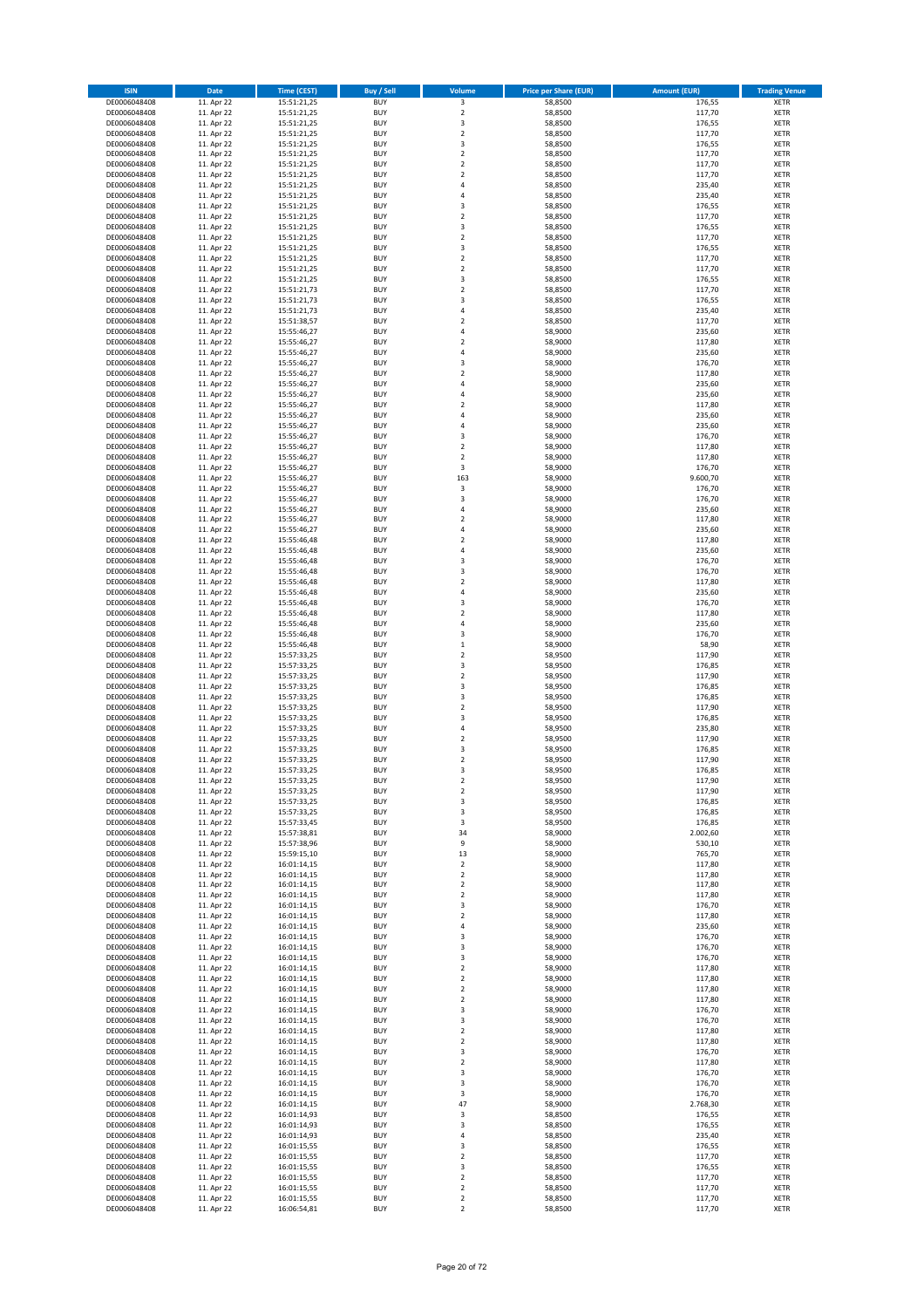| <b>ISIN</b>                  | <b>Date</b>              | <b>Time (CEST)</b>         | <b>Buy / Sell</b>        | Volume                                    | <b>Price per Share (EUR)</b> | <b>Amount (EUR)</b> | <b>Trading Venue</b>       |
|------------------------------|--------------------------|----------------------------|--------------------------|-------------------------------------------|------------------------------|---------------------|----------------------------|
| DE0006048408                 | 11. Apr 22               | 15:51:21,25                | <b>BUY</b>               | 3                                         | 58,8500                      | 176,55              | XETR                       |
| DE0006048408                 | 11. Apr 22               | 15:51:21,25                | <b>BUY</b>               | $\mathbf 2$                               | 58,8500                      | 117,70              | XETR                       |
| DE0006048408<br>DE0006048408 | 11. Apr 22<br>11. Apr 22 | 15:51:21,25<br>15:51:21,25 | <b>BUY</b><br><b>BUY</b> | 3<br>$\mathbf 2$                          | 58,8500<br>58,8500           | 176,55<br>117,70    | <b>XETR</b><br><b>XETR</b> |
| DE0006048408                 | 11. Apr 22               | 15:51:21,25                | <b>BUY</b>               | 3                                         | 58,8500                      | 176,55              | <b>XETR</b>                |
| DE0006048408                 | 11. Apr 22               | 15:51:21,25                | <b>BUY</b>               | $\mathbf 2$                               | 58,8500                      | 117,70              | <b>XETR</b>                |
| DE0006048408                 | 11. Apr 22               | 15:51:21,25                | <b>BUY</b>               | $\mathbf 2$                               | 58,8500                      | 117,70              | <b>XETR</b>                |
| DE0006048408                 | 11. Apr 22               | 15:51:21,25                | <b>BUY</b>               | $\mathbf 2$                               | 58,8500                      | 117,70              | <b>XETR</b>                |
| DE0006048408<br>DE0006048408 | 11. Apr 22<br>11. Apr 22 | 15:51:21,25<br>15:51:21,25 | <b>BUY</b><br><b>BUY</b> | 4<br>$\overline{a}$                       | 58,8500<br>58,8500           | 235,40<br>235,40    | <b>XETR</b><br><b>XETR</b> |
| DE0006048408                 | 11. Apr 22               | 15:51:21,25                | <b>BUY</b>               | 3                                         | 58,8500                      | 176,55              | <b>XETR</b>                |
| DE0006048408                 | 11. Apr 22               | 15:51:21,25                | <b>BUY</b>               | $\mathbf 2$                               | 58,8500                      | 117,70              | <b>XETR</b>                |
| DE0006048408                 | 11. Apr 22               | 15:51:21,25                | <b>BUY</b>               | 3                                         | 58,8500                      | 176,55              | XETR                       |
| DE0006048408                 | 11. Apr 22               | 15:51:21,25                | <b>BUY</b>               | $\mathbf 2$                               | 58,8500                      | 117,70              | <b>XETR</b>                |
| DE0006048408                 | 11. Apr 22               | 15:51:21,25                | <b>BUY</b>               | 3                                         | 58,8500                      | 176,55              | XETR                       |
| DE0006048408<br>DE0006048408 | 11. Apr 22<br>11. Apr 22 | 15:51:21,25<br>15:51:21,25 | <b>BUY</b><br><b>BUY</b> | $\mathbf 2$<br>$\mathbf 2$                | 58,8500<br>58,8500           | 117,70<br>117,70    | <b>XETR</b><br>XETR        |
| DE0006048408                 | 11. Apr 22               | 15:51:21,25                | <b>BUY</b>               | 3                                         | 58,8500                      | 176,55              | <b>XETR</b>                |
| DE0006048408                 | 11. Apr 22               | 15:51:21,73                | <b>BUY</b>               | $\overline{\mathbf{c}}$                   | 58,8500                      | 117,70              | XETR                       |
| DE0006048408                 | 11. Apr 22               | 15:51:21,73                | <b>BUY</b>               | 3                                         | 58,8500                      | 176,55              | <b>XETR</b>                |
| DE0006048408                 | 11. Apr 22               | 15:51:21,73                | <b>BUY</b>               | 4                                         | 58,8500                      | 235,40              | <b>XETR</b>                |
| DE0006048408<br>DE0006048408 | 11. Apr 22<br>11. Apr 22 | 15:51:38,57<br>15:55:46,27 | <b>BUY</b><br><b>BUY</b> | $\overline{\mathbf{c}}$<br>$\overline{4}$ | 58,8500<br>58,9000           | 117,70<br>235,60    | <b>XETR</b><br><b>XETR</b> |
| DE0006048408                 | 11. Apr 22               | 15:55:46,27                | <b>BUY</b>               | $\overline{\mathbf{c}}$                   | 58,9000                      | 117,80              | <b>XETR</b>                |
| DE0006048408                 | 11. Apr 22               | 15:55:46,27                | <b>BUY</b>               | $\overline{4}$                            | 58,9000                      | 235,60              | <b>XETR</b>                |
| DE0006048408                 | 11. Apr 22               | 15:55:46,27                | <b>BUY</b>               | 3                                         | 58,9000                      | 176,70              | <b>XETR</b>                |
| DE0006048408                 | 11. Apr 22               | 15:55:46,27                | <b>BUY</b>               | $\overline{\mathbf{c}}$                   | 58,9000                      | 117,80              | <b>XETR</b>                |
| DE0006048408                 | 11. Apr 22               | 15:55:46,27                | <b>BUY</b><br><b>BUY</b> | 4<br>4                                    | 58,9000                      | 235,60              | <b>XETR</b><br><b>XETR</b> |
| DE0006048408<br>DE0006048408 | 11. Apr 22<br>11. Apr 22 | 15:55:46,27<br>15:55:46,27 | <b>BUY</b>               | $\overline{\mathbf{c}}$                   | 58,9000<br>58,9000           | 235,60<br>117,80    | <b>XETR</b>                |
| DE0006048408                 | 11. Apr 22               | 15:55:46,27                | <b>BUY</b>               | $\overline{4}$                            | 58,9000                      | 235,60              | <b>XETR</b>                |
| DE0006048408                 | 11. Apr 22               | 15:55:46,27                | <b>BUY</b>               | 4                                         | 58,9000                      | 235,60              | <b>XETR</b>                |
| DE0006048408                 | 11. Apr 22               | 15:55:46,27                | <b>BUY</b>               | 3                                         | 58,9000                      | 176,70              | <b>XETR</b>                |
| DE0006048408                 | 11. Apr 22               | 15:55:46,27                | <b>BUY</b>               | $\mathbf 2$                               | 58,9000                      | 117,80              | XETR                       |
| DE0006048408<br>DE0006048408 | 11. Apr 22<br>11. Apr 22 | 15:55:46,27<br>15:55:46,27 | <b>BUY</b><br><b>BUY</b> | $\overline{\mathbf{c}}$<br>3              | 58,9000<br>58,9000           | 117,80<br>176,70    | <b>XETR</b><br>XETR        |
| DE0006048408                 | 11. Apr 22               | 15:55:46,27                | <b>BUY</b>               | 163                                       | 58,9000                      | 9.600,70            | <b>XETR</b>                |
| DE0006048408                 | 11. Apr 22               | 15:55:46,27                | <b>BUY</b>               | 3                                         | 58,9000                      | 176,70              | XETR                       |
| DE0006048408                 | 11. Apr 22               | 15:55:46,27                | <b>BUY</b>               | 3                                         | 58,9000                      | 176,70              | <b>XETR</b>                |
| DE0006048408                 | 11. Apr 22               | 15:55:46,27                | <b>BUY</b>               | 4                                         | 58,9000                      | 235,60              | <b>XETR</b>                |
| DE0006048408                 | 11. Apr 22               | 15:55:46,27                | <b>BUY</b>               | $\overline{\mathbf{c}}$                   | 58,9000                      | 117,80              | <b>XETR</b><br><b>XETR</b> |
| DE0006048408<br>DE0006048408 | 11. Apr 22<br>11. Apr 22 | 15:55:46,27<br>15:55:46,48 | <b>BUY</b><br><b>BUY</b> | 4<br>$\overline{\mathbf{c}}$              | 58,9000<br>58,9000           | 235,60<br>117,80    | <b>XETR</b>                |
| DE0006048408                 | 11. Apr 22               | 15:55:46,48                | <b>BUY</b>               | 4                                         | 58,9000                      | 235,60              | <b>XETR</b>                |
| DE0006048408                 | 11. Apr 22               | 15:55:46,48                | <b>BUY</b>               | 3                                         | 58,9000                      | 176,70              | <b>XETR</b>                |
| DE0006048408                 | 11. Apr 22               | 15:55:46,48                | <b>BUY</b>               | 3                                         | 58,9000                      | 176,70              | XETR                       |
| DE0006048408                 | 11. Apr 22               | 15:55:46,48                | <b>BUY</b>               | $\overline{\mathbf{2}}$                   | 58,9000                      | 117,80              | XETR                       |
| DE0006048408<br>DE0006048408 | 11. Apr 22<br>11. Apr 22 | 15:55:46,48<br>15:55:46,48 | <b>BUY</b><br><b>BUY</b> | $\overline{4}$<br>3                       | 58,9000<br>58,9000           | 235,60<br>176,70    | <b>XETR</b><br><b>XETR</b> |
| DE0006048408                 | 11. Apr 22               | 15:55:46,48                | <b>BUY</b>               | $\mathbf 2$                               | 58,9000                      | 117,80              | XETR                       |
| DE0006048408                 | 11. Apr 22               | 15:55:46,48                | <b>BUY</b>               | 4                                         | 58,9000                      | 235,60              | <b>XETR</b>                |
| DE0006048408                 | 11. Apr 22               | 15:55:46,48                | <b>BUY</b>               | 3                                         | 58,9000                      | 176,70              | <b>XETR</b>                |
| DE0006048408                 | 11. Apr 22               | 15:55:46,48                | <b>BUY</b>               | $\mathbf 1$                               | 58,9000                      | 58,90               | <b>XETR</b>                |
| DE0006048408<br>DE0006048408 | 11. Apr 22<br>11. Apr 22 | 15:57:33,25<br>15:57:33,25 | <b>BUY</b><br><b>BUY</b> | $\mathbf 2$<br>3                          | 58,9500<br>58,9500           | 117,90<br>176,85    | <b>XETR</b><br><b>XETR</b> |
| DE0006048408                 | 11. Apr 22               | 15:57:33,25                | <b>BUY</b>               | $\mathbf 2$                               | 58,9500                      | 117,90              | <b>XETR</b>                |
| DE0006048408                 | 11. Apr 22               | 15:57:33,25                | <b>BUY</b>               | 3                                         | 58,9500                      | 176,85              | <b>XETR</b>                |
| DE0006048408                 | 11. Apr 22               | 15:57:33,25                | <b>BUY</b>               | 3                                         | 58,9500                      | 176,85              | <b>XETR</b>                |
| DE0006048408                 | 11. Apr 22               | 15:57:33,25                | <b>BUY</b>               | $\mathbf 2$                               | 58,9500                      | 117,90              | <b>XETR</b>                |
| DE0006048408                 | 11. Apr 22               | 15:57:33,25<br>15:57:33,25 | <b>BUY</b><br><b>BUY</b> | 3<br>4                                    | 58,9500<br>58,9500           | 176,85<br>235,80    | <b>XETR</b><br>XETR        |
| DE0006048408<br>DE0006048408 | 11. Apr 22<br>11. Apr 22 | 15:57:33,25                | <b>BUY</b>               | $\mathbf 2$                               | 58,9500                      | 117,90              | <b>XETR</b>                |
| DE0006048408                 | 11. Apr 22               | 15:57:33,25                | <b>BUY</b>               | 3                                         | 58,9500                      | 176,85              | XETR                       |
| DE0006048408                 | 11. Apr 22               | 15:57:33,25                | <b>BUY</b>               | $\mathbf 2$                               | 58,9500                      | 117,90              | <b>XETR</b>                |
| DE0006048408                 | 11. Apr 22               | 15:57:33,25                | <b>BUY</b>               | 3                                         | 58,9500                      | 176,85              | XETR                       |
| DE0006048408                 | 11. Apr 22               | 15:57:33,25                | <b>BUY</b>               | 2                                         | 58,9500                      | 117,90              | XETR                       |
| DE0006048408<br>DE0006048408 | 11. Apr 22<br>11. Apr 22 | 15:57:33,25<br>15:57:33,25 | <b>BUY</b><br><b>BUY</b> | $\boldsymbol{2}$<br>3                     | 58,9500<br>58,9500           | 117,90<br>176,85    | XETR<br>XETR               |
| DE0006048408                 | 11. Apr 22               | 15:57:33,25                | <b>BUY</b>               | 3                                         | 58,9500                      | 176,85              | XETR                       |
| DE0006048408                 | 11. Apr 22               | 15:57:33,45                | <b>BUY</b>               | 3                                         | 58,9500                      | 176,85              | <b>XETR</b>                |
| DE0006048408                 | 11. Apr 22               | 15:57:38,81                | <b>BUY</b>               | 34                                        | 58,9000                      | 2.002,60            | XETR                       |
| DE0006048408                 | 11. Apr 22               | 15:57:38,96                | <b>BUY</b>               | 9                                         | 58,9000                      | 530,10              | <b>XETR</b>                |
| DE0006048408<br>DE0006048408 | 11. Apr 22<br>11. Apr 22 | 15:59:15,10<br>16:01:14,15 | <b>BUY</b><br><b>BUY</b> | 13<br>$\mathbf 2$                         | 58,9000<br>58,9000           | 765,70<br>117,80    | XETR<br><b>XETR</b>        |
| DE0006048408                 | 11. Apr 22               | 16:01:14,15                | <b>BUY</b>               | $\mathbf 2$                               | 58,9000                      | 117,80              | XETR                       |
| DE0006048408                 | 11. Apr 22               | 16:01:14,15                | <b>BUY</b>               | 2                                         | 58,9000                      | 117,80              | <b>XETR</b>                |
| DE0006048408                 | 11. Apr 22               | 16:01:14,15                | <b>BUY</b>               | $\mathbf 2$                               | 58,9000                      | 117,80              | XETR                       |
| DE0006048408<br>DE0006048408 | 11. Apr 22               | 16:01:14,15                | <b>BUY</b><br><b>BUY</b> | 3<br>$\mathbf 2$                          | 58,9000<br>58,9000           | 176,70              | <b>XETR</b><br>XETR        |
| DE0006048408                 | 11. Apr 22<br>11. Apr 22 | 16:01:14,15<br>16:01:14,15 | <b>BUY</b>               | 4                                         | 58,9000                      | 117,80<br>235,60    | <b>XETR</b>                |
| DE0006048408                 | 11. Apr 22               | 16:01:14,15                | <b>BUY</b>               | 3                                         | 58,9000                      | 176,70              | XETR                       |
| DE0006048408                 | 11. Apr 22               | 16:01:14,15                | <b>BUY</b>               | 3                                         | 58,9000                      | 176,70              | <b>XETR</b>                |
| DE0006048408                 | 11. Apr 22               | 16:01:14,15                | <b>BUY</b>               | 3                                         | 58,9000                      | 176,70              | XETR                       |
| DE0006048408                 | 11. Apr 22               | 16:01:14,15                | <b>BUY</b>               | 2                                         | 58,9000                      | 117,80              | <b>XETR</b>                |
| DE0006048408<br>DE0006048408 | 11. Apr 22<br>11. Apr 22 | 16:01:14,15<br>16:01:14,15 | <b>BUY</b><br><b>BUY</b> | $\mathbf 2$<br>$\mathbf 2$                | 58,9000<br>58,9000           | 117,80<br>117,80    | XETR<br><b>XETR</b>        |
| DE0006048408                 | 11. Apr 22               | 16:01:14,15                | <b>BUY</b>               | $\mathbf 2$                               | 58,9000                      | 117,80              | <b>XETR</b>                |
| DE0006048408                 | 11. Apr 22               | 16:01:14,15                | <b>BUY</b>               | 3                                         | 58,9000                      | 176,70              | XETR                       |
| DE0006048408                 | 11. Apr 22               | 16:01:14,15                | <b>BUY</b>               | 3                                         | 58,9000                      | 176,70              | <b>XETR</b>                |
| DE0006048408                 | 11. Apr 22               | 16:01:14,15                | <b>BUY</b>               | $\mathbf 2$                               | 58,9000                      | 117,80              | XETR                       |
| DE0006048408                 | 11. Apr 22<br>11. Apr 22 | 16:01:14,15                | <b>BUY</b><br><b>BUY</b> | $\overline{\mathbf{c}}$                   | 58,9000<br>58,9000           | 117,80<br>176,70    | <b>XETR</b><br>XETR        |
| DE0006048408<br>DE0006048408 | 11. Apr 22               | 16:01:14,15<br>16:01:14,15 | <b>BUY</b>               | 3<br>$\overline{\mathbf{c}}$              | 58,9000                      | 117,80              | <b>XETR</b>                |
| DE0006048408                 | 11. Apr 22               | 16:01:14,15                | <b>BUY</b>               | 3                                         | 58,9000                      | 176,70              | XETR                       |
| DE0006048408                 | 11. Apr 22               | 16:01:14,15                | <b>BUY</b>               | 3                                         | 58,9000                      | 176,70              | <b>XETR</b>                |
| DE0006048408                 | 11. Apr 22               | 16:01:14,15                | <b>BUY</b>               | 3                                         | 58,9000                      | 176,70              | XETR                       |
| DE0006048408                 | 11. Apr 22               | 16:01:14,15                | <b>BUY</b>               | 47                                        | 58,9000                      | 2.768,30            | <b>XETR</b>                |
| DE0006048408<br>DE0006048408 | 11. Apr 22<br>11. Apr 22 | 16:01:14,93                | <b>BUY</b><br><b>BUY</b> | 3<br>3                                    | 58,8500<br>58,8500           | 176,55<br>176,55    | XETR<br><b>XETR</b>        |
| DE0006048408                 | 11. Apr 22               | 16:01:14,93<br>16:01:14,93 | <b>BUY</b>               | 4                                         | 58,8500                      | 235,40              | <b>XETR</b>                |
| DE0006048408                 | 11. Apr 22               | 16:01:15,55                | <b>BUY</b>               | 3                                         | 58,8500                      | 176,55              | <b>XETR</b>                |
| DE0006048408                 | 11. Apr 22               | 16:01:15,55                | <b>BUY</b>               | $\mathbf 2$                               | 58,8500                      | 117,70              | XETR                       |
| DE0006048408                 | 11. Apr 22               | 16:01:15,55                | <b>BUY</b>               | 3                                         | 58,8500                      | 176,55              | <b>XETR</b>                |
| DE0006048408<br>DE0006048408 | 11. Apr 22<br>11. Apr 22 | 16:01:15,55<br>16:01:15,55 | <b>BUY</b><br><b>BUY</b> | $\mathbf 2$<br>$\mathbf 2$                | 58,8500<br>58,8500           | 117,70<br>117,70    | XETR<br>XETR               |
| DE0006048408                 | 11. Apr 22               | 16:01:15,55                | <b>BUY</b>               | $\mathbf 2$                               | 58,8500                      | 117,70              | XETR                       |
| DE0006048408                 | 11. Apr 22               | 16:06:54,81                | <b>BUY</b>               | $\mathbf 2$                               | 58,8500                      | 117,70              | XETR                       |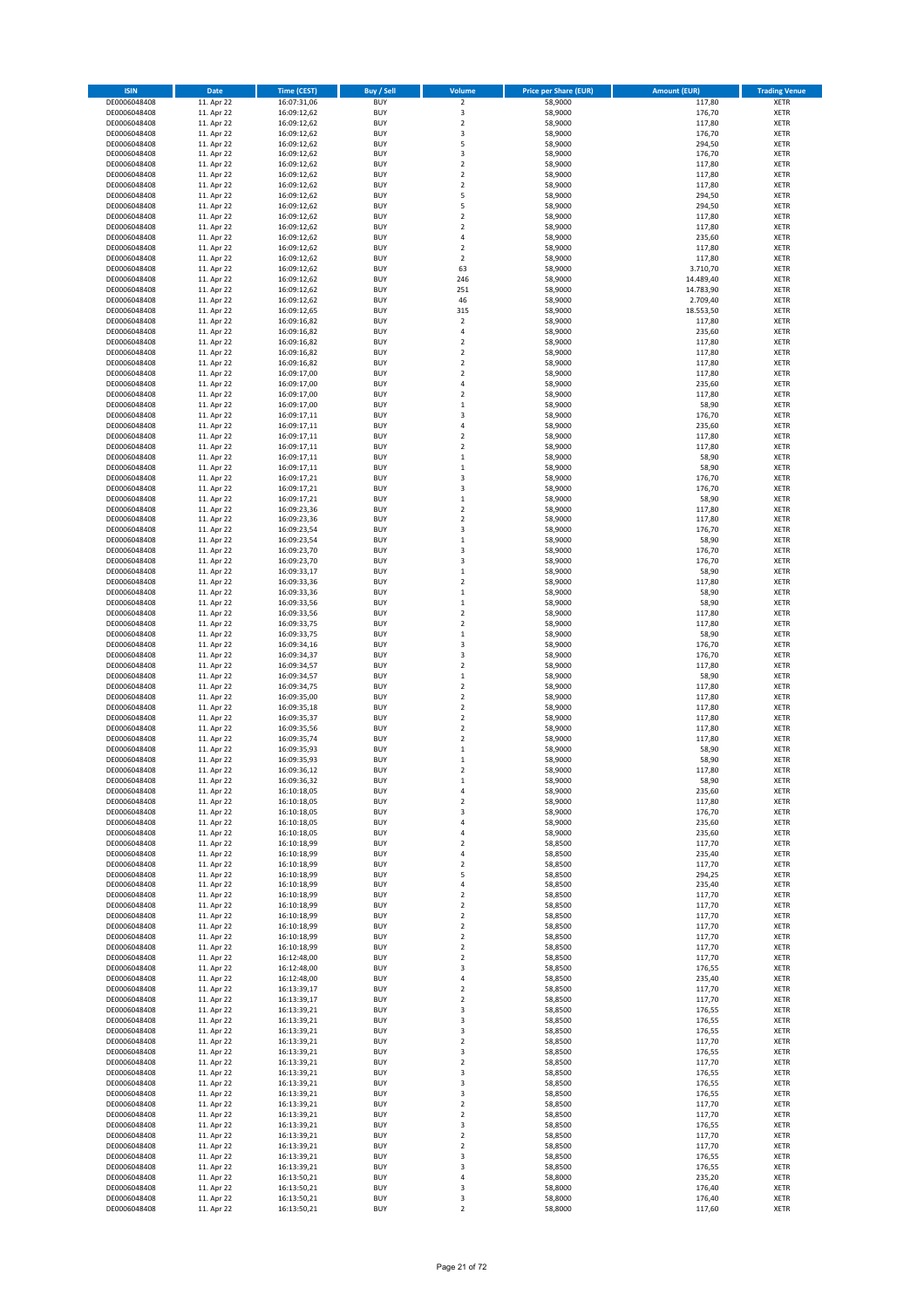| <b>ISIN</b>                  | Date                     | <b>Time (CEST)</b>         | <b>Buy / Sell</b>        | Volume                             | <b>Price per Share (EUR)</b> | <b>Amount (EUR)</b> | <b>Trading Venue</b>       |
|------------------------------|--------------------------|----------------------------|--------------------------|------------------------------------|------------------------------|---------------------|----------------------------|
| DE0006048408                 | 11. Apr 22               | 16:07:31,06                | <b>BUY</b>               | $\overline{2}$                     | 58,9000                      | 117,80              | <b>XETR</b>                |
| DE0006048408                 | 11. Apr 22               | 16:09:12,62                | <b>BUY</b>               | 3                                  | 58,9000                      | 176,70              | <b>XETR</b>                |
| DE0006048408                 | 11. Apr 22               | 16:09:12,62                | <b>BUY</b>               | $\mathbf 2$                        | 58,9000                      | 117,80              | <b>XETR</b>                |
| DE0006048408<br>DE0006048408 | 11. Apr 22<br>11. Apr 22 | 16:09:12,62<br>16:09:12,62 | <b>BUY</b><br><b>BUY</b> | 3<br>5                             | 58,9000<br>58,9000           | 176,70<br>294,50    | <b>XETR</b><br><b>XETR</b> |
| DE0006048408                 | 11. Apr 22               | 16:09:12,62                | <b>BUY</b>               | 3                                  | 58,9000                      | 176,70              | <b>XETR</b>                |
| DE0006048408                 | 11. Apr 22               | 16:09:12,62                | <b>BUY</b>               | $\overline{2}$                     | 58,9000                      | 117,80              | <b>XETR</b>                |
| DE0006048408                 | 11. Apr 22               | 16:09:12,62                | <b>BUY</b>               | $\mathbf 2$                        | 58,9000                      | 117,80              | <b>XETR</b>                |
| DE0006048408                 | 11. Apr 22               | 16:09:12,62                | <b>BUY</b>               | $\overline{2}$                     | 58,9000                      | 117,80              | <b>XETR</b>                |
| DE0006048408<br>DE0006048408 | 11. Apr 22<br>11. Apr 22 | 16:09:12,62<br>16:09:12,62 | <b>BUY</b><br><b>BUY</b> | 5<br>5                             | 58,9000<br>58,9000           | 294,50<br>294,50    | <b>XETR</b><br><b>XETR</b> |
| DE0006048408                 | 11. Apr 22               | 16:09:12,62                | <b>BUY</b>               | $\mathbf 2$                        | 58,9000                      | 117,80              | <b>XETR</b>                |
| DE0006048408                 | 11. Apr 22               | 16:09:12,62                | <b>BUY</b>               | $\overline{2}$                     | 58,9000                      | 117,80              | <b>XETR</b>                |
| DE0006048408                 | 11. Apr 22               | 16:09:12,62                | <b>BUY</b>               | $\sqrt{4}$                         | 58,9000                      | 235,60              | <b>XETR</b>                |
| DE0006048408                 | 11. Apr 22               | 16:09:12,62                | <b>BUY</b>               | $\overline{2}$                     | 58,9000                      | 117,80              | <b>XETR</b>                |
| DE0006048408<br>DE0006048408 | 11. Apr 22<br>11. Apr 22 | 16:09:12,62<br>16:09:12,62 | <b>BUY</b><br><b>BUY</b> | $\boldsymbol{2}$<br>63             | 58,9000<br>58,9000           | 117,80<br>3.710,70  | <b>XETR</b><br><b>XETR</b> |
| DE0006048408                 | 11. Apr 22               | 16:09:12,62                | <b>BUY</b>               | 246                                | 58,9000                      | 14.489,40           | <b>XETR</b>                |
| DE0006048408                 | 11. Apr 22               | 16:09:12,62                | <b>BUY</b>               | 251                                | 58,9000                      | 14.783,90           | <b>XETR</b>                |
| DE0006048408                 | 11. Apr 22               | 16:09:12,62                | <b>BUY</b>               | 46                                 | 58,9000                      | 2.709,40            | <b>XETR</b>                |
| DE0006048408                 | 11. Apr 22               | 16:09:12,65                | <b>BUY</b>               | 315                                | 58,9000                      | 18.553,50           | <b>XETR</b>                |
| DE0006048408<br>DE0006048408 | 11. Apr 22<br>11. Apr 22 | 16:09:16,82                | <b>BUY</b><br><b>BUY</b> | $\sqrt{2}$<br>4                    | 58,9000<br>58,9000           | 117,80<br>235,60    | <b>XETR</b><br><b>XETR</b> |
| DE0006048408                 | 11. Apr 22               | 16:09:16,82<br>16:09:16,82 | <b>BUY</b>               | $\overline{2}$                     | 58,9000                      | 117,80              | <b>XETR</b>                |
| DE0006048408                 | 11. Apr 22               | 16:09:16,82                | <b>BUY</b>               | $\mathbf 2$                        | 58,9000                      | 117,80              | <b>XETR</b>                |
| DE0006048408                 | 11. Apr 22               | 16:09:16,82                | <b>BUY</b>               | $\boldsymbol{2}$                   | 58,9000                      | 117,80              | <b>XETR</b>                |
| DE0006048408                 | 11. Apr 22               | 16:09:17,00                | <b>BUY</b>               | $\mathbf 2$                        | 58,9000                      | 117,80              | <b>XETR</b>                |
| DE0006048408                 | 11. Apr 22               | 16:09:17,00                | <b>BUY</b>               | 4                                  | 58,9000                      | 235,60              | <b>XETR</b>                |
| DE0006048408<br>DE0006048408 | 11. Apr 22<br>11. Apr 22 | 16:09:17,00<br>16:09:17,00 | <b>BUY</b><br><b>BUY</b> | $\mathbf 2$<br>$\mathbf 1$         | 58,9000<br>58,9000           | 117,80<br>58,90     | <b>XETR</b><br><b>XETR</b> |
| DE0006048408                 | 11. Apr 22               | 16:09:17,11                | <b>BUY</b>               | 3                                  | 58,9000                      | 176,70              | <b>XETR</b>                |
| DE0006048408                 | 11. Apr 22               | 16:09:17,11                | <b>BUY</b>               | 4                                  | 58,9000                      | 235,60              | <b>XETR</b>                |
| DE0006048408                 | 11. Apr 22               | 16:09:17,11                | <b>BUY</b>               | $\mathbf 2$                        | 58,9000                      | 117,80              | <b>XETR</b>                |
| DE0006048408                 | 11. Apr 22               | 16:09:17,11                | <b>BUY</b>               | $\overline{2}$<br>$\mathbf 1$      | 58,9000                      | 117,80              | <b>XETR</b>                |
| DE0006048408<br>DE0006048408 | 11. Apr 22<br>11. Apr 22 | 16:09:17,11<br>16:09:17,11 | <b>BUY</b><br><b>BUY</b> | $\mathbf 1$                        | 58,9000<br>58,9000           | 58,90<br>58,90      | <b>XETR</b><br><b>XETR</b> |
| DE0006048408                 | 11. Apr 22               | 16:09:17,21                | <b>BUY</b>               | 3                                  | 58,9000                      | 176,70              | <b>XETR</b>                |
| DE0006048408                 | 11. Apr 22               | 16:09:17,21                | <b>BUY</b>               | 3                                  | 58,9000                      | 176,70              | <b>XETR</b>                |
| DE0006048408                 | 11. Apr 22               | 16:09:17,21                | <b>BUY</b>               | $\,$ 1                             | 58,9000                      | 58,90               | <b>XETR</b>                |
| DE0006048408                 | 11. Apr 22               | 16:09:23,36                | <b>BUY</b>               | $\overline{2}$                     | 58,9000                      | 117,80              | <b>XETR</b>                |
| DE0006048408                 | 11. Apr 22               | 16:09:23,36                | <b>BUY</b><br><b>BUY</b> | $\mathbf 2$<br>3                   | 58,9000                      | 117,80              | XETR<br><b>XETR</b>        |
| DE0006048408<br>DE0006048408 | 11. Apr 22<br>11. Apr 22 | 16:09:23,54<br>16:09:23,54 | <b>BUY</b>               | $\,$ 1                             | 58,9000<br>58,9000           | 176,70<br>58,90     | XETR                       |
| DE0006048408                 | 11. Apr 22               | 16:09:23,70                | <b>BUY</b>               | 3                                  | 58,9000                      | 176,70              | <b>XETR</b>                |
| DE0006048408                 | 11. Apr 22               | 16:09:23,70                | <b>BUY</b>               | 3                                  | 58,9000                      | 176,70              | XETR                       |
| DE0006048408                 | 11. Apr 22               | 16:09:33,17                | <b>BUY</b>               | $\,1\,$                            | 58,9000                      | 58,90               | <b>XETR</b>                |
| DE0006048408                 | 11. Apr 22               | 16:09:33,36                | <b>BUY</b>               | $\boldsymbol{2}$                   | 58,9000                      | 117,80              | <b>XETR</b>                |
| DE0006048408<br>DE0006048408 | 11. Apr 22<br>11. Apr 22 | 16:09:33,36                | <b>BUY</b><br><b>BUY</b> | $\,$ 1<br>$\,$ 1                   | 58,9000<br>58,9000           | 58,90<br>58,90      | <b>XETR</b><br><b>XETR</b> |
| DE0006048408                 | 11. Apr 22               | 16:09:33,56<br>16:09:33,56 | <b>BUY</b>               | $\mathbf 2$                        | 58,9000                      | 117,80              | <b>XETR</b>                |
| DE0006048408                 | 11. Apr 22               | 16:09:33,75                | <b>BUY</b>               | $\mathbf 2$                        | 58,9000                      | 117,80              | <b>XETR</b>                |
| DE0006048408                 | 11. Apr 22               | 16:09:33,75                | <b>BUY</b>               | $\,$ 1 $\,$                        | 58,9000                      | 58,90               | <b>XETR</b>                |
| DE0006048408                 | 11. Apr 22               | 16:09:34,16                | <b>BUY</b>               | 3                                  | 58,9000                      | 176,70              | <b>XETR</b>                |
| DE0006048408<br>DE0006048408 | 11. Apr 22               | 16:09:34,37                | <b>BUY</b><br><b>BUY</b> | 3<br>$\mathbf 2$                   | 58,9000                      | 176,70              | <b>XETR</b><br><b>XETR</b> |
| DE0006048408                 | 11. Apr 22<br>11. Apr 22 | 16:09:34,57<br>16:09:34,57 | <b>BUY</b>               | $\mathbf 1$                        | 58,9000<br>58,9000           | 117,80<br>58,90     | <b>XETR</b>                |
| DE0006048408                 | 11. Apr 22               | 16:09:34,75                | <b>BUY</b>               | $\overline{2}$                     | 58,9000                      | 117,80              | <b>XETR</b>                |
| DE0006048408                 | 11. Apr 22               | 16:09:35,00                | <b>BUY</b>               | $\mathbf 2$                        | 58,9000                      | 117,80              | <b>XETR</b>                |
| DE0006048408                 | 11. Apr 22               | 16:09:35,18                | <b>BUY</b>               | $\mathbf 2$                        | 58,9000                      | 117,80              | <b>XETR</b>                |
| DE0006048408                 | 11. Apr 22               | 16:09:35,37                | <b>BUY</b>               | $\overline{2}$                     | 58,9000                      | 117,80              | <b>XETR</b>                |
| DE0006048408<br>DE0006048408 | 11. Apr 22<br>11. Apr 22 | 16:09:35,56<br>16:09:35,74 | <b>BUY</b><br><b>BUY</b> | $\overline{2}$<br>$\mathbf 2$      | 58,9000<br>58,9000           | 117,80<br>117,80    | <b>XETR</b><br><b>XETR</b> |
| DE0006048408                 | 11. Apr 22               | 16:09:35,93                | <b>BUY</b>               | $\,1\,$                            | 58,9000                      | 58,90               | <b>XETR</b>                |
| DE0006048408                 | 11. Apr 22               | 16:09:35,93                | <b>BUY</b>               | $\,1\,$                            | 58,9000                      | 58,90               | <b>XETR</b>                |
| DE0006048408                 | 11. Apr 22               | 16:09:36,12                | <b>BUY</b>               | $\overline{2}$                     | 58,9000                      | 117,80              | <b>XETR</b>                |
| DE0006048408                 | 11. Apr 22               | 16:09:36,32                | <b>BUY</b>               | $\mathbf 1$                        | 58,9000                      | 58,90               | XETR                       |
| DE0006048408<br>DE0006048408 | 11. Apr 22<br>11. Apr 22 | 16:10:18,05<br>16:10:18,05 | <b>BUY</b><br><b>BUY</b> | 4<br>$\mathbf 2$                   | 58,9000<br>58,9000           | 235,60<br>117,80    | XETR<br>XETR               |
| DE0006048408                 | 11. Apr 22               | 16:10:18,05                | <b>BUY</b>               | 3                                  | 58,9000                      | 176,70              | <b>XETR</b>                |
| DE0006048408                 | 11. Apr 22               | 16:10:18,05                | <b>BUY</b>               | 4                                  | 58,9000                      | 235,60              | XETR                       |
| DE0006048408                 | 11. Apr 22               | 16:10:18,05                | <b>BUY</b>               | $\sqrt{4}$                         | 58,9000                      | 235,60              | XETR                       |
| DE0006048408                 | 11. Apr 22               | 16:10:18,99                | <b>BUY</b>               | $\boldsymbol{2}$                   | 58,8500                      | 117,70              | <b>XETR</b>                |
| DE0006048408<br>DE0006048408 | 11. Apr 22<br>11. Apr 22 | 16:10:18,99<br>16:10:18,99 | <b>BUY</b><br><b>BUY</b> | 4<br>$\mathbf 2$                   | 58,8500<br>58,8500           | 235,40<br>117,70    | <b>XETR</b><br><b>XETR</b> |
| DE0006048408                 | 11. Apr 22               | 16:10:18,99                | <b>BUY</b>               | 5                                  | 58,8500                      | 294,25              | <b>XETR</b>                |
| DE0006048408                 | 11. Apr 22               | 16:10:18,99                | <b>BUY</b>               | 4                                  | 58,8500                      | 235,40              | <b>XETR</b>                |
| DE0006048408                 | 11. Apr 22               | 16:10:18,99                | <b>BUY</b>               | $\mathbf 2$                        | 58,8500                      | 117,70              | <b>XETR</b>                |
| DE0006048408                 | 11. Apr 22               | 16:10:18,99                | <b>BUY</b>               | $\overline{2}$                     | 58,8500                      | 117,70              | <b>XETR</b>                |
| DE0006048408                 | 11. Apr 22<br>11. Apr 22 | 16:10:18,99<br>16:10:18,99 | <b>BUY</b>               | $\mathbf 2$<br>$\mathbf 2$         | 58,8500                      | 117,70              | XETR<br><b>XETR</b>        |
| DE0006048408<br>DE0006048408 | 11. Apr 22               | 16:10:18,99                | <b>BUY</b><br><b>BUY</b> | $\mathbf 2$                        | 58,8500<br>58,8500           | 117,70<br>117,70    | <b>XETR</b>                |
| DE0006048408                 | 11. Apr 22               | 16:10:18,99                | <b>BUY</b>               | $\overline{2}$                     | 58,8500                      | 117,70              | <b>XETR</b>                |
| DE0006048408                 | 11. Apr 22               | 16:12:48,00                | <b>BUY</b>               | $\mathbf 2$                        | 58,8500                      | 117,70              | <b>XETR</b>                |
| DE0006048408                 | 11. Apr 22               | 16:12:48,00                | <b>BUY</b>               | 3                                  | 58,8500                      | 176,55              | <b>XETR</b>                |
| DE0006048408                 | 11. Apr 22               | 16:12:48,00                | <b>BUY</b>               | 4                                  | 58,8500                      | 235,40              | <b>XETR</b>                |
| DE0006048408<br>DE0006048408 | 11. Apr 22<br>11. Apr 22 | 16:13:39,17<br>16:13:39,17 | <b>BUY</b><br><b>BUY</b> | $\overline{2}$<br>$\boldsymbol{2}$ | 58,8500<br>58,8500           | 117,70<br>117,70    | <b>XETR</b><br>XETR        |
| DE0006048408                 | 11. Apr 22               | 16:13:39,21                | <b>BUY</b>               | 3                                  | 58,8500                      | 176,55              | <b>XETR</b>                |
| DE0006048408                 | 11. Apr 22               | 16:13:39,21                | <b>BUY</b>               | 3                                  | 58,8500                      | 176,55              | <b>XETR</b>                |
| DE0006048408                 | 11. Apr 22               | 16:13:39,21                | <b>BUY</b>               | 3                                  | 58,8500                      | 176,55              | <b>XETR</b>                |
| DE0006048408                 | 11. Apr 22               | 16:13:39,21                | <b>BUY</b>               | $\mathbf 2$                        | 58,8500                      | 117,70              | <b>XETR</b>                |
| DE0006048408<br>DE0006048408 | 11. Apr 22<br>11. Apr 22 | 16:13:39,21                | <b>BUY</b><br><b>BUY</b> | 3<br>$\overline{2}$                | 58,8500<br>58,8500           | 176,55<br>117,70    | XETR<br><b>XETR</b>        |
| DE0006048408                 | 11. Apr 22               | 16:13:39,21<br>16:13:39,21 | <b>BUY</b>               | 3                                  | 58,8500                      | 176,55              | <b>XETR</b>                |
| DE0006048408                 | 11. Apr 22               | 16:13:39,21                | <b>BUY</b>               | 3                                  | 58,8500                      | 176,55              | XETR                       |
| DE0006048408                 | 11. Apr 22               | 16:13:39,21                | <b>BUY</b>               | 3                                  | 58,8500                      | 176,55              | <b>XETR</b>                |
| DE0006048408                 | 11. Apr 22               | 16:13:39,21                | <b>BUY</b>               | $\mathbf 2$                        | 58,8500                      | 117,70              | <b>XETR</b>                |
| DE0006048408                 | 11. Apr 22<br>11. Apr 22 | 16:13:39,21                | <b>BUY</b>               | $\boldsymbol{2}$                   | 58,8500                      | 117,70<br>176,55    | <b>XETR</b>                |
| DE0006048408<br>DE0006048408 | 11. Apr 22               | 16:13:39,21<br>16:13:39,21 | <b>BUY</b><br><b>BUY</b> | 3<br>$\overline{\mathbf{c}}$       | 58,8500<br>58,8500           | 117,70              | <b>XETR</b><br><b>XETR</b> |
| DE0006048408                 | 11. Apr 22               | 16:13:39,21                | <b>BUY</b>               | $\overline{2}$                     | 58,8500                      | 117,70              | <b>XETR</b>                |
| DE0006048408                 | 11. Apr 22               | 16:13:39,21                | <b>BUY</b>               | 3                                  | 58,8500                      | 176,55              | <b>XETR</b>                |
| DE0006048408                 | 11. Apr 22               | 16:13:39,21                | <b>BUY</b>               | 3                                  | 58,8500                      | 176,55              | <b>XETR</b>                |
| DE0006048408                 | 11. Apr 22               | 16:13:50,21                | <b>BUY</b>               | $\pmb{4}$                          | 58,8000                      | 235,20              | XETR                       |
| DE0006048408<br>DE0006048408 | 11. Apr 22<br>11. Apr 22 | 16:13:50,21<br>16:13:50,21 | <b>BUY</b><br><b>BUY</b> | 3<br>3                             | 58,8000<br>58,8000           | 176,40<br>176,40    | <b>XETR</b><br><b>XETR</b> |
| DE0006048408                 | 11. Apr 22               | 16:13:50,21                | <b>BUY</b>               | $\overline{2}$                     | 58,8000                      | 117,60              | XETR                       |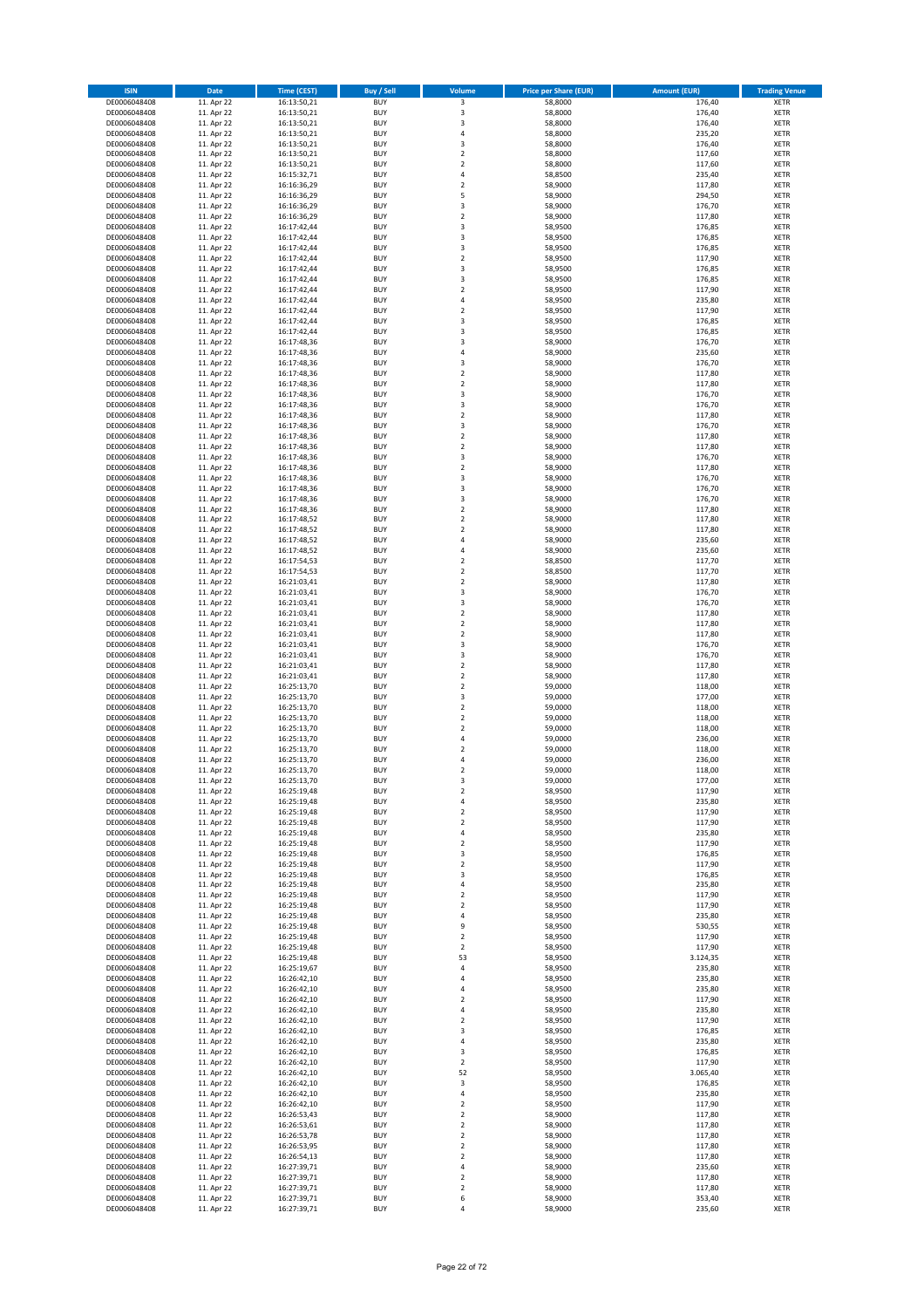| <b>ISIN</b>                  | <b>Date</b>              | <b>Time (CEST)</b>         | <b>Buy / Sell</b>        | Volume                          | <b>Price per Share (EUR)</b> | <b>Amount (EUR)</b> | <b>Trading Venue</b>       |
|------------------------------|--------------------------|----------------------------|--------------------------|---------------------------------|------------------------------|---------------------|----------------------------|
| DE0006048408                 | 11. Apr 22               | 16:13:50,21                | <b>BUY</b>               | 3                               | 58,8000                      | 176,40              | XETR                       |
| DE0006048408<br>DE0006048408 | 11. Apr 22<br>11. Apr 22 | 16:13:50,21<br>16:13:50,21 | <b>BUY</b><br><b>BUY</b> | 3<br>3                          | 58,8000<br>58,8000           | 176,40<br>176,40    | XETR<br><b>XETR</b>        |
| DE0006048408                 | 11. Apr 22               | 16:13:50,21                | <b>BUY</b>               | 4                               | 58,8000                      | 235,20              | <b>XETR</b>                |
| DE0006048408                 | 11. Apr 22               | 16:13:50,21                | <b>BUY</b>               | 3                               | 58,8000                      | 176,40              | <b>XETR</b>                |
| DE0006048408                 | 11. Apr 22               | 16:13:50,21                | <b>BUY</b>               | $\mathbf 2$                     | 58,8000                      | 117,60              | <b>XETR</b>                |
| DE0006048408<br>DE0006048408 | 11. Apr 22<br>11. Apr 22 | 16:13:50,21<br>16:15:32,71 | <b>BUY</b><br><b>BUY</b> | $\mathbf 2$<br>$\overline{4}$   | 58,8000<br>58,8500           | 117,60<br>235,40    | <b>XETR</b><br><b>XETR</b> |
| DE0006048408                 | 11. Apr 22               | 16:16:36,29                | <b>BUY</b>               | $\mathbf 2$                     | 58,9000                      | 117,80              | <b>XETR</b>                |
| DE0006048408                 | 11. Apr 22               | 16:16:36,29                | <b>BUY</b>               | 5                               | 58,9000                      | 294,50              | <b>XETR</b>                |
| DE0006048408                 | 11. Apr 22               | 16:16:36,29                | <b>BUY</b>               | 3                               | 58,9000                      | 176,70              | XETR                       |
| DE0006048408<br>DE0006048408 | 11. Apr 22<br>11. Apr 22 | 16:16:36,29<br>16:17:42,44 | <b>BUY</b><br><b>BUY</b> | $\mathbf 2$<br>3                | 58,9000<br>58,9500           | 117,80<br>176,85    | <b>XETR</b><br>XETR        |
| DE0006048408                 | 11. Apr 22               | 16:17:42,44                | <b>BUY</b>               | 3                               | 58,9500                      | 176,85              | <b>XETR</b>                |
| DE0006048408                 | 11. Apr 22               | 16:17:42,44                | <b>BUY</b>               | 3                               | 58,9500                      | 176,85              | XETR                       |
| DE0006048408                 | 11. Apr 22               | 16:17:42,44                | <b>BUY</b>               | $\mathbf 2$                     | 58,9500                      | 117,90              | <b>XETR</b>                |
| DE0006048408<br>DE0006048408 | 11. Apr 22<br>11. Apr 22 | 16:17:42,44                | <b>BUY</b><br><b>BUY</b> | 3<br>3                          | 58,9500<br>58,9500           | 176,85<br>176,85    | XETR<br><b>XETR</b>        |
| DE0006048408                 | 11. Apr 22               | 16:17:42,44<br>16:17:42,44 | <b>BUY</b>               | $\mathbf 2$                     | 58,9500                      | 117,90              | XETR                       |
| DE0006048408                 | 11. Apr 22               | 16:17:42,44                | <b>BUY</b>               | 4                               | 58,9500                      | 235,80              | <b>XETR</b>                |
| DE0006048408                 | 11. Apr 22               | 16:17:42,44                | <b>BUY</b>               | $\mathbf 2$                     | 58,9500                      | 117,90              | <b>XETR</b>                |
| DE0006048408<br>DE0006048408 | 11. Apr 22<br>11. Apr 22 | 16:17:42,44<br>16:17:42,44 | <b>BUY</b><br><b>BUY</b> | 3<br>3                          | 58,9500<br>58,9500           | 176,85<br>176,85    | <b>XETR</b><br><b>XETR</b> |
| DE0006048408                 | 11. Apr 22               | 16:17:48,36                | <b>BUY</b>               | 3                               | 58,9000                      | 176,70              | <b>XETR</b>                |
| DE0006048408                 | 11. Apr 22               | 16:17:48,36                | <b>BUY</b>               | 4                               | 58,9000                      | 235,60              | <b>XETR</b>                |
| DE0006048408                 | 11. Apr 22               | 16:17:48,36                | <b>BUY</b>               | 3                               | 58,9000                      | 176,70              | <b>XETR</b>                |
| DE0006048408<br>DE0006048408 | 11. Apr 22<br>11. Apr 22 | 16:17:48,36<br>16:17:48,36 | <b>BUY</b><br><b>BUY</b> | $\mathbf 2$<br>$\mathbf 2$      | 58,9000<br>58,9000           | 117,80<br>117,80    | <b>XETR</b><br><b>XETR</b> |
| DE0006048408                 | 11. Apr 22               | 16:17:48,36                | <b>BUY</b>               | 3                               | 58,9000                      | 176,70              | <b>XETR</b>                |
| DE0006048408                 | 11. Apr 22               | 16:17:48,36                | <b>BUY</b>               | 3                               | 58,9000                      | 176,70              | <b>XETR</b>                |
| DE0006048408                 | 11. Apr 22               | 16:17:48,36                | <b>BUY</b>               | $\mathbf 2$                     | 58,9000                      | 117,80              | <b>XETR</b>                |
| DE0006048408<br>DE0006048408 | 11. Apr 22<br>11. Apr 22 | 16:17:48,36<br>16:17:48,36 | <b>BUY</b><br><b>BUY</b> | 3<br>$\mathbf 2$                | 58,9000<br>58,9000           | 176,70<br>117,80    | <b>XETR</b><br><b>XETR</b> |
| DE0006048408                 | 11. Apr 22               | 16:17:48,36                | <b>BUY</b>               | $\mathbf 2$                     | 58,9000                      | 117,80              | XETR                       |
| DE0006048408                 | 11. Apr 22               | 16:17:48,36                | <b>BUY</b>               | 3                               | 58,9000                      | 176,70              | <b>XETR</b>                |
| DE0006048408                 | 11. Apr 22               | 16:17:48,36                | <b>BUY</b>               | $\mathbf 2$                     | 58,9000                      | 117,80              | XETR                       |
| DE0006048408<br>DE0006048408 | 11. Apr 22<br>11. Apr 22 | 16:17:48,36<br>16:17:48,36 | <b>BUY</b><br><b>BUY</b> | 3<br>3                          | 58,9000<br>58,9000           | 176,70<br>176,70    | <b>XETR</b><br>XETR        |
| DE0006048408                 | 11. Apr 22               | 16:17:48,36                | <b>BUY</b>               | 3                               | 58,9000                      | 176,70              | <b>XETR</b>                |
| DE0006048408                 | 11. Apr 22               | 16:17:48,36                | <b>BUY</b>               | $\mathbf 2$                     | 58,9000                      | 117,80              | <b>XETR</b>                |
| DE0006048408                 | 11. Apr 22               | 16:17:48,52                | <b>BUY</b>               | $\mathbf 2$                     | 58,9000                      | 117,80              | <b>XETR</b>                |
| DE0006048408<br>DE0006048408 | 11. Apr 22<br>11. Apr 22 | 16:17:48,52<br>16:17:48,52 | <b>BUY</b><br><b>BUY</b> | $\mathbf 2$<br>$\overline{4}$   | 58,9000<br>58,9000           | 117,80<br>235,60    | <b>XETR</b><br><b>XETR</b> |
| DE0006048408                 | 11. Apr 22               | 16:17:48,52                | <b>BUY</b>               | 4                               | 58,9000                      | 235,60              | <b>XETR</b>                |
| DE0006048408                 | 11. Apr 22               | 16:17:54,53                | <b>BUY</b>               | $\mathbf 2$                     | 58,8500                      | 117,70              | <b>XETR</b>                |
| DE0006048408                 | 11. Apr 22               | 16:17:54,53                | <b>BUY</b>               | $\mathbf 2$                     | 58,8500                      | 117,70              | XETR                       |
| DE0006048408<br>DE0006048408 | 11. Apr 22<br>11. Apr 22 | 16:21:03,41<br>16:21:03,41 | <b>BUY</b><br><b>BUY</b> | 2<br>3                          | 58,9000<br>58,9000           | 117,80<br>176,70    | XETR<br><b>XETR</b>        |
| DE0006048408                 | 11. Apr 22               | 16:21:03,41                | <b>BUY</b>               | 3                               | 58,9000                      | 176,70              | <b>XETR</b>                |
| DE0006048408                 | 11. Apr 22               | 16:21:03,41                | <b>BUY</b>               | $\mathbf 2$                     | 58,9000                      | 117,80              | XETR                       |
| DE0006048408                 | 11. Apr 22               | 16:21:03,41                | <b>BUY</b>               | $\mathbf 2$                     | 58,9000                      | 117,80              | <b>XETR</b>                |
| DE0006048408<br>DE0006048408 | 11. Apr 22<br>11. Apr 22 | 16:21:03,41<br>16:21:03,41 | <b>BUY</b><br><b>BUY</b> | $\mathbf 2$<br>3                | 58,9000<br>58,9000           | 117,80<br>176,70    | <b>XETR</b><br><b>XETR</b> |
| DE0006048408                 | 11. Apr 22               | 16:21:03,41                | <b>BUY</b>               | 3                               | 58,9000                      | 176,70              | <b>XETR</b>                |
| DE0006048408                 | 11. Apr 22               | 16:21:03,41                | <b>BUY</b>               | $\mathbf 2$                     | 58,9000                      | 117,80              | <b>XETR</b>                |
| DE0006048408                 | 11. Apr 22               | 16:21:03,41                | <b>BUY</b>               | $\mathbf 2$                     | 58,9000                      | 117,80              | <b>XETR</b>                |
| DE0006048408<br>DE0006048408 | 11. Apr 22<br>11. Apr 22 | 16:25:13,70<br>16:25:13,70 | <b>BUY</b><br><b>BUY</b> | $\mathbf 2$<br>3                | 59,0000<br>59,0000           | 118,00<br>177,00    | <b>XETR</b><br><b>XETR</b> |
| DE0006048408                 | 11. Apr 22               | 16:25:13,70                | <b>BUY</b>               | $\mathbf 2$                     | 59,0000                      | 118,00              | <b>XETR</b>                |
| DE0006048408                 | 11. Apr 22               | 16:25:13,70                | <b>BUY</b>               | $\mathbf 2$                     | 59,0000                      | 118,00              | <b>XETR</b>                |
| DE0006048408                 | 11. Apr 22               | 16:25:13,70                | <b>BUY</b><br><b>BUY</b> | $\mathbf 2$<br>4                | 59,0000                      | 118,00              | XETR<br><b>XETR</b>        |
| DE0006048408<br>DE0006048408 | 11. Apr 22<br>11. Apr 22 | 16:25:13,70<br>16:25:13,70 | <b>BUY</b>               | $\mathbf 2$                     | 59,0000<br>59,0000           | 236,00<br>118,00    | XETR                       |
| DE0006048408                 | 11. Apr 22               | 16:25:13,70                | <b>BUY</b>               | 4                               | 59,0000                      | 236,00              | <b>XETR</b>                |
| DE0006048408                 | 11. Apr 22               | 16:25:13,70                | <b>BUY</b>               | $\overline{\mathbf{2}}$         | 59,0000                      | 118,00              | XETR                       |
| DE0006048408<br>DE0006048408 | 11. Apr 22<br>11. Apr 22 | 16:25:13,70<br>16:25:19,48 | <b>BUY</b><br><b>BUY</b> | 3<br>$\boldsymbol{2}$           | 59,0000<br>58,9500           | 177,00<br>117,90    | XETR<br>XETR               |
| DE0006048408                 | 11. Apr 22               | 16:25:19,48                | <b>BUY</b>               | 4                               | 58,9500                      | 235,80              | XETR                       |
| DE0006048408                 | 11. Apr 22               | 16:25:19,48                | <b>BUY</b>               | 2                               | 58,9500                      | 117,90              | XETR                       |
| DE0006048408                 | 11. Apr 22               | 16:25:19,48                | <b>BUY</b>               | $\mathbf 2$                     | 58,9500                      | 117,90              | <b>XETR</b>                |
| DE0006048408<br>DE0006048408 | 11. Apr 22<br>11. Apr 22 | 16:25:19,48<br>16:25:19,48 | <b>BUY</b><br><b>BUY</b> | 4<br>$\mathbf 2$                | 58,9500<br>58,9500           | 235,80<br>117,90    | XETR<br><b>XETR</b>        |
| DE0006048408                 | 11. Apr 22               | 16:25:19,48                | <b>BUY</b>               | 3                               | 58,9500                      | 176,85              | XETR                       |
| DE0006048408                 | 11. Apr 22               | 16:25:19,48                | <b>BUY</b>               | $\mathbf 2$                     | 58,9500                      | 117,90              | <b>XETR</b>                |
| DE0006048408                 | 11. Apr 22               | 16:25:19,48                | <b>BUY</b><br><b>BUY</b> | 3                               | 58,9500                      | 176,85              | XETR                       |
| DE0006048408<br>DE0006048408 | 11. Apr 22<br>11. Apr 22 | 16:25:19,48<br>16:25:19,48 | <b>BUY</b>               | 4<br>$\mathbf 2$                | 58,9500<br>58,9500           | 235,80<br>117,90    | <b>XETR</b><br>XETR        |
| DE0006048408                 | 11. Apr 22               | 16:25:19,48                | <b>BUY</b>               | $\mathbf 2$                     | 58,9500                      | 117,90              | <b>XETR</b>                |
| DE0006048408                 | 11. Apr 22               | 16:25:19,48                | <b>BUY</b>               | 4                               | 58,9500                      | 235,80              | XETR                       |
| DE0006048408<br>DE0006048408 | 11. Apr 22<br>11. Apr 22 | 16:25:19,48<br>16:25:19,48 | <b>BUY</b><br><b>BUY</b> | 9<br>$\mathbf 2$                | 58,9500<br>58,9500           | 530,55<br>117,90    | <b>XETR</b><br>XETR        |
| DE0006048408                 | 11. Apr 22               | 16:25:19,48                | <b>BUY</b>               | 2                               | 58,9500                      | 117,90              | <b>XETR</b>                |
| DE0006048408                 | 11. Apr 22               | 16:25:19,48                | <b>BUY</b>               | 53                              | 58,9500                      | 3.124,35            | <b>XETR</b>                |
| DE0006048408                 | 11. Apr 22               | 16:25:19,67                | <b>BUY</b>               | 4                               | 58,9500                      | 235,80              | <b>XETR</b>                |
| DE0006048408<br>DE0006048408 | 11. Apr 22<br>11. Apr 22 | 16:26:42,10<br>16:26:42,10 | <b>BUY</b><br><b>BUY</b> | 4<br>4                          | 58,9500<br>58,9500           | 235,80<br>235,80    | XETR<br><b>XETR</b>        |
| DE0006048408                 | 11. Apr 22               | 16:26:42,10                | <b>BUY</b>               | 2                               | 58,9500                      | 117,90              | <b>XETR</b>                |
| DE0006048408                 | 11. Apr 22               | 16:26:42,10                | <b>BUY</b>               | 4                               | 58,9500                      | 235,80              | XETR                       |
| DE0006048408<br>DE0006048408 | 11. Apr 22<br>11. Apr 22 | 16:26:42,10<br>16:26:42,10 | <b>BUY</b><br><b>BUY</b> | $\overline{\mathbf{c}}$<br>3    | 58,9500<br>58,9500           | 117,90<br>176,85    | XETR<br>XETR               |
| DE0006048408                 | 11. Apr 22               | 16:26:42,10                | <b>BUY</b>               | 4                               | 58,9500                      | 235,80              | <b>XETR</b>                |
| DE0006048408                 | 11. Apr 22               | 16:26:42,10                | <b>BUY</b>               | 3                               | 58,9500                      | 176,85              | XETR                       |
| DE0006048408                 | 11. Apr 22               | 16:26:42,10                | <b>BUY</b>               | $\overline{\mathbf{c}}$         | 58,9500                      | 117,90              | <b>XETR</b>                |
| DE0006048408                 | 11. Apr 22               | 16:26:42,10                | <b>BUY</b><br><b>BUY</b> | 52                              | 58,9500                      | 3.065,40            | XETR<br><b>XETR</b>        |
| DE0006048408<br>DE0006048408 | 11. Apr 22<br>11. Apr 22 | 16:26:42,10<br>16:26:42,10 | <b>BUY</b>               | 3<br>4                          | 58,9500<br>58,9500           | 176,85<br>235,80    | XETR                       |
| DE0006048408                 | 11. Apr 22               | 16:26:42,10                | <b>BUY</b>               | 2                               | 58,9500                      | 117,90              | <b>XETR</b>                |
| DE0006048408                 | 11. Apr 22               | 16:26:53,43                | <b>BUY</b>               | $\mathbf 2$                     | 58,9000                      | 117,80              | XETR                       |
| DE0006048408<br>DE0006048408 | 11. Apr 22<br>11. Apr 22 | 16:26:53,61<br>16:26:53,78 | <b>BUY</b><br><b>BUY</b> | $\mathbf 2$<br>2                | 58,9000<br>58,9000           | 117,80<br>117,80    | <b>XETR</b><br><b>XETR</b> |
| DE0006048408                 | 11. Apr 22               | 16:26:53,95                | <b>BUY</b>               | 2                               | 58,9000                      | 117,80              | <b>XETR</b>                |
| DE0006048408                 | 11. Apr 22               | 16:26:54,13                | <b>BUY</b>               | $\mathbf 2$                     | 58,9000                      | 117,80              | XETR                       |
| DE0006048408                 | 11. Apr 22               | 16:27:39,71                | <b>BUY</b>               | 4                               | 58,9000                      | 235,60              | <b>XETR</b>                |
| DE0006048408<br>DE0006048408 | 11. Apr 22<br>11. Apr 22 | 16:27:39,71<br>16:27:39,71 | <b>BUY</b><br><b>BUY</b> | $\boldsymbol{2}$<br>$\mathbf 2$ | 58,9000<br>58,9000           | 117,80<br>117,80    | XETR<br>XETR               |
| DE0006048408                 | 11. Apr 22               | 16:27:39,71                | <b>BUY</b>               | 6                               | 58,9000                      | 353,40              | XETR                       |
| DE0006048408                 | 11. Apr 22               | 16:27:39,71                | <b>BUY</b>               | 4                               | 58,9000                      | 235,60              | XETR                       |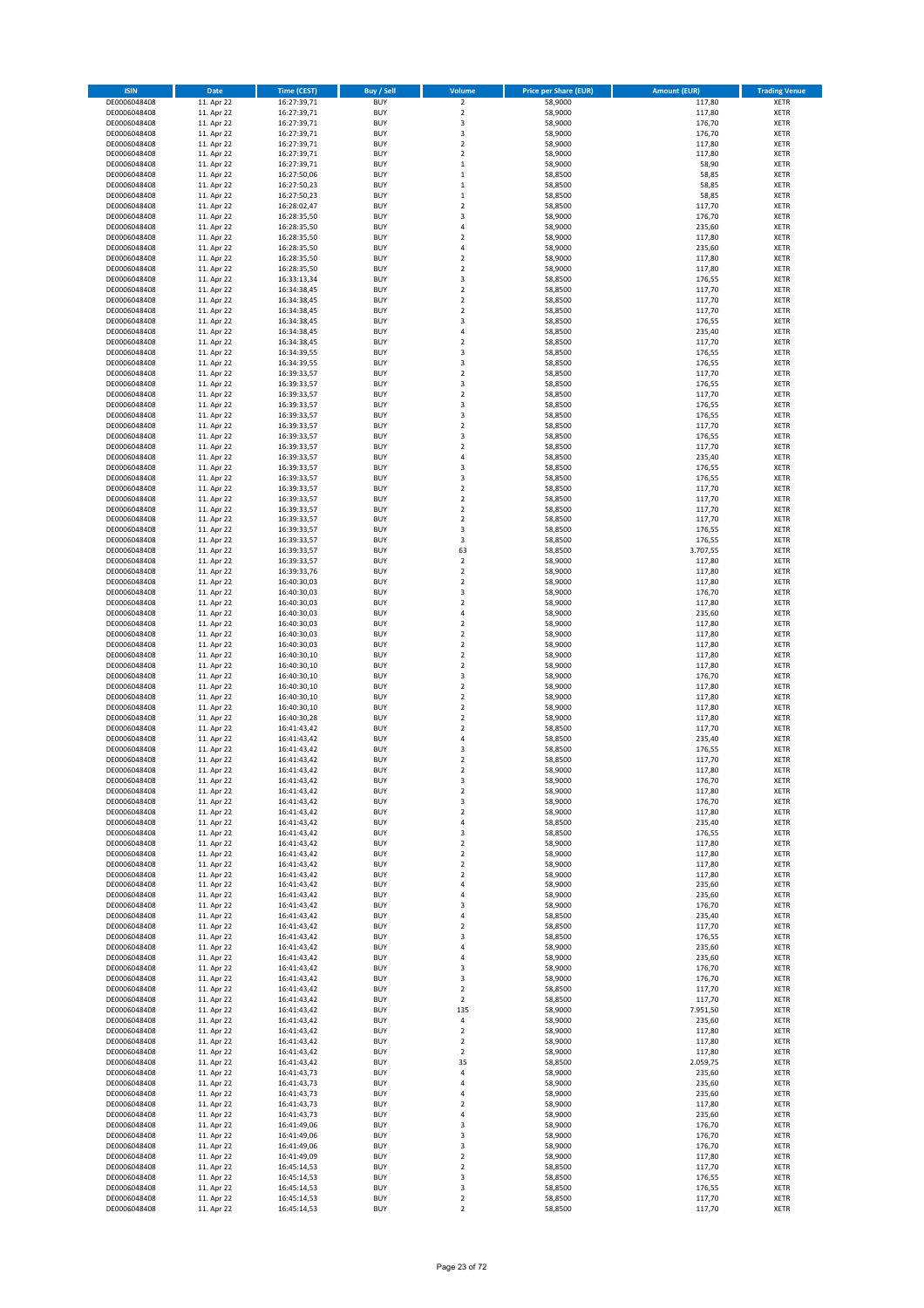| <b>ISIN</b>                  | <b>Date</b>              | <b>Time (CEST)</b>         | <b>Buy / Sell</b>        | Volume                                             | <b>Price per Share (EUR)</b> | <b>Amount (EUR)</b> | <b>Trading Venue</b>       |
|------------------------------|--------------------------|----------------------------|--------------------------|----------------------------------------------------|------------------------------|---------------------|----------------------------|
| DE0006048408                 | 11. Apr 22               | 16:27:39,71                | <b>BUY</b>               | $\overline{\mathbf{c}}$                            | 58,9000                      | 117,80              | XETR                       |
| DE0006048408                 | 11. Apr 22               | 16:27:39,71                | <b>BUY</b>               | $\mathbf 2$                                        | 58,9000                      | 117,80              | XETR                       |
| DE0006048408<br>DE0006048408 | 11. Apr 22<br>11. Apr 22 | 16:27:39,71<br>16:27:39,71 | <b>BUY</b><br><b>BUY</b> | 3<br>3                                             | 58,9000<br>58,9000           | 176,70<br>176,70    | <b>XETR</b><br><b>XETR</b> |
| DE0006048408                 | 11. Apr 22               | 16:27:39,71                | <b>BUY</b>               | $\mathbf 2$                                        | 58,9000                      | 117,80              | <b>XETR</b>                |
| DE0006048408                 | 11. Apr 22               | 16:27:39,71                | <b>BUY</b>               | $\overline{\mathbf{c}}$                            | 58,9000                      | 117,80              | <b>XETR</b>                |
| DE0006048408                 | 11. Apr 22               | 16:27:39,71                | <b>BUY</b>               | $\mathbf 1$                                        | 58,9000                      | 58,90               | <b>XETR</b>                |
| DE0006048408                 | 11. Apr 22               | 16:27:50,06                | <b>BUY</b>               | $\mathbf 1$                                        | 58,8500                      | 58,85               | <b>XETR</b>                |
| DE0006048408<br>DE0006048408 | 11. Apr 22<br>11. Apr 22 | 16:27:50,23                | <b>BUY</b><br><b>BUY</b> | $\mathbf 1$<br>$\mathbf{1}$                        | 58,8500<br>58,8500           | 58,85<br>58,85      | <b>XETR</b><br><b>XETR</b> |
| DE0006048408                 | 11. Apr 22               | 16:27:50,23<br>16:28:02,47 | <b>BUY</b>               | $\mathbf 2$                                        | 58,8500                      | 117,70              | XETR                       |
| DE0006048408                 | 11. Apr 22               | 16:28:35,50                | <b>BUY</b>               | 3                                                  | 58,9000                      | 176,70              | <b>XETR</b>                |
| DE0006048408                 | 11. Apr 22               | 16:28:35,50                | <b>BUY</b>               | 4                                                  | 58,9000                      | 235,60              | XETR                       |
| DE0006048408                 | 11. Apr 22               | 16:28:35,50                | <b>BUY</b>               | $\overline{\mathbf{2}}$                            | 58,9000                      | 117,80              | <b>XETR</b>                |
| DE0006048408                 | 11. Apr 22               | 16:28:35,50                | <b>BUY</b>               | 4                                                  | 58,9000                      | 235,60              | XETR                       |
| DE0006048408<br>DE0006048408 | 11. Apr 22<br>11. Apr 22 | 16:28:35,50<br>16:28:35,50 | <b>BUY</b><br><b>BUY</b> | $\overline{\mathbf{c}}$<br>$\mathbf 2$             | 58,9000<br>58,9000           | 117,80<br>117,80    | <b>XETR</b><br>XETR        |
| DE0006048408                 | 11. Apr 22               | 16:33:13,34                | <b>BUY</b>               | 3                                                  | 58,8500                      | 176,55              | <b>XETR</b>                |
| DE0006048408                 | 11. Apr 22               | 16:34:38,45                | <b>BUY</b>               | $\mathbf 2$                                        | 58,8500                      | 117,70              | XETR                       |
| DE0006048408                 | 11. Apr 22               | 16:34:38,45                | <b>BUY</b>               | $\overline{\mathbf{c}}$                            | 58,8500                      | 117,70              | <b>XETR</b>                |
| DE0006048408                 | 11. Apr 22<br>11. Apr 22 | 16:34:38,45                | <b>BUY</b><br><b>BUY</b> | $\overline{\mathbf{c}}$<br>3                       | 58,8500<br>58,8500           | 117,70<br>176,55    | XETR<br>XETR               |
| DE0006048408<br>DE0006048408 | 11. Apr 22               | 16:34:38,45<br>16:34:38,45 | <b>BUY</b>               | $\overline{4}$                                     | 58,8500                      | 235,40              | <b>XETR</b>                |
| DE0006048408                 | 11. Apr 22               | 16:34:38,45                | <b>BUY</b>               | $\mathbf 2$                                        | 58,8500                      | 117,70              | <b>XETR</b>                |
| DE0006048408                 | 11. Apr 22               | 16:34:39,55                | <b>BUY</b>               | 3                                                  | 58,8500                      | 176,55              | <b>XETR</b>                |
| DE0006048408                 | 11. Apr 22               | 16:34:39,55                | <b>BUY</b>               | 3                                                  | 58,8500                      | 176,55              | <b>XETR</b>                |
| DE0006048408                 | 11. Apr 22               | 16:39:33,57                | <b>BUY</b>               | $\overline{\mathbf{c}}$                            | 58,8500                      | 117,70              | <b>XETR</b>                |
| DE0006048408<br>DE0006048408 | 11. Apr 22<br>11. Apr 22 | 16:39:33,57<br>16:39:33,57 | <b>BUY</b><br><b>BUY</b> | 3<br>$\mathbf 2$                                   | 58,8500<br>58,8500           | 176,55<br>117,70    | <b>XETR</b><br><b>XETR</b> |
| DE0006048408                 | 11. Apr 22               | 16:39:33,57                | <b>BUY</b>               | 3                                                  | 58,8500                      | 176,55              | <b>XETR</b>                |
| DE0006048408                 | 11. Apr 22               | 16:39:33,57                | <b>BUY</b>               | 3                                                  | 58,8500                      | 176,55              | <b>XETR</b>                |
| DE0006048408                 | 11. Apr 22               | 16:39:33,57                | <b>BUY</b>               | $\mathbf 2$                                        | 58,8500                      | 117,70              | <b>XETR</b>                |
| DE0006048408                 | 11. Apr 22               | 16:39:33,57                | <b>BUY</b>               | 3                                                  | 58,8500                      | 176,55              | <b>XETR</b>                |
| DE0006048408<br>DE0006048408 | 11. Apr 22<br>11. Apr 22 | 16:39:33,57<br>16:39:33,57 | <b>BUY</b><br><b>BUY</b> | $\mathbf 2$<br>4                                   | 58,8500<br>58,8500           | 117,70<br>235,40    | XETR<br><b>XETR</b>        |
| DE0006048408                 | 11. Apr 22               | 16:39:33,57                | <b>BUY</b>               | 3                                                  | 58,8500                      | 176,55              | XETR                       |
| DE0006048408                 | 11. Apr 22               | 16:39:33,57                | <b>BUY</b>               | 3                                                  | 58,8500                      | 176,55              | <b>XETR</b>                |
| DE0006048408                 | 11. Apr 22               | 16:39:33,57                | <b>BUY</b>               | $\mathbf 2$                                        | 58,8500                      | 117,70              | XETR                       |
| DE0006048408                 | 11. Apr 22               | 16:39:33,57                | <b>BUY</b>               | $\overline{\mathbf{c}}$                            | 58,8500                      | 117,70              | <b>XETR</b>                |
| DE0006048408<br>DE0006048408 | 11. Apr 22<br>11. Apr 22 | 16:39:33,57                | <b>BUY</b><br><b>BUY</b> | $\mathbf 2$<br>$\overline{\mathbf{c}}$             | 58,8500<br>58,8500           | 117,70<br>117,70    | <b>XETR</b><br><b>XETR</b> |
| DE0006048408                 | 11. Apr 22               | 16:39:33,57<br>16:39:33,57 | <b>BUY</b>               | 3                                                  | 58,8500                      | 176,55              | <b>XETR</b>                |
| DE0006048408                 | 11. Apr 22               | 16:39:33,57                | <b>BUY</b>               | 3                                                  | 58,8500                      | 176,55              | <b>XETR</b>                |
| DE0006048408                 | 11. Apr 22               | 16:39:33,57                | <b>BUY</b>               | 63                                                 | 58,8500                      | 3.707,55            | <b>XETR</b>                |
| DE0006048408                 | 11. Apr 22               | 16:39:33,57                | <b>BUY</b>               | $\overline{\mathbf{c}}$                            | 58,9000                      | 117,80              | <b>XETR</b>                |
| DE0006048408                 | 11. Apr 22               | 16:39:33,76                | <b>BUY</b>               | $\mathbf 2$                                        | 58,9000                      | 117,80              | XETR                       |
| DE0006048408<br>DE0006048408 | 11. Apr 22<br>11. Apr 22 | 16:40:30,03<br>16:40:30,03 | <b>BUY</b><br><b>BUY</b> | 2<br>3                                             | 58,9000<br>58,9000           | 117,80<br>176,70    | XETR<br><b>XETR</b>        |
| DE0006048408                 | 11. Apr 22               | 16:40:30,03                | <b>BUY</b>               | $\mathbf 2$                                        | 58,9000                      | 117,80              | <b>XETR</b>                |
| DE0006048408                 | 11. Apr 22               | 16:40:30,03                | <b>BUY</b>               | 4                                                  | 58,9000                      | 235,60              | XETR                       |
| DE0006048408                 | 11. Apr 22               | 16:40:30,03                | <b>BUY</b>               | 2                                                  | 58,9000                      | 117,80              | <b>XETR</b>                |
| DE0006048408                 | 11. Apr 22               | 16:40:30,03                | <b>BUY</b><br><b>BUY</b> | $\overline{\mathbf{c}}$<br>$\mathbf 2$             | 58,9000                      | 117,80              | <b>XETR</b>                |
| DE0006048408<br>DE0006048408 | 11. Apr 22<br>11. Apr 22 | 16:40:30,03<br>16:40:30,10 | <b>BUY</b>               | $\mathbf 2$                                        | 58,9000<br>58,9000           | 117,80<br>117,80    | <b>XETR</b><br><b>XETR</b> |
| DE0006048408                 | 11. Apr 22               | 16:40:30,10                | <b>BUY</b>               | $\mathbf 2$                                        | 58,9000                      | 117,80              | XETR                       |
| DE0006048408                 | 11. Apr 22               | 16:40:30,10                | <b>BUY</b>               | 3                                                  | 58,9000                      | 176,70              | <b>XETR</b>                |
| DE0006048408                 | 11. Apr 22               | 16:40:30,10                | <b>BUY</b>               | $\mathbf 2$                                        | 58,9000                      | 117,80              | <b>XETR</b>                |
| DE0006048408                 | 11. Apr 22               | 16:40:30,10                | <b>BUY</b><br><b>BUY</b> | $\overline{\mathbf{c}}$<br>$\overline{\mathbf{c}}$ | 58,9000                      | 117,80              | <b>XETR</b><br><b>XETR</b> |
| DE0006048408<br>DE0006048408 | 11. Apr 22<br>11. Apr 22 | 16:40:30,10<br>16:40:30,28 | <b>BUY</b>               | $\overline{\mathbf{c}}$                            | 58,9000<br>58,9000           | 117,80<br>117,80    | <b>XETR</b>                |
| DE0006048408                 | 11. Apr 22               | 16:41:43,42                | <b>BUY</b>               | $\mathbf 2$                                        | 58,8500                      | 117,70              | XETR                       |
| DE0006048408                 | 11. Apr 22               | 16:41:43,42                | <b>BUY</b>               | 4                                                  | 58,8500                      | 235,40              | <b>XETR</b>                |
| DE0006048408                 | 11. Apr 22               | 16:41:43,42                | <b>BUY</b>               | 3                                                  | 58,8500                      | 176,55              | XETR                       |
| DE0006048408<br>DE0006048408 | 11. Apr 22               | 16:41:43,42<br>16:41:43,42 | <b>BUY</b><br><b>BUY</b> | $\overline{\mathbf{c}}$<br>$\overline{\mathbf{c}}$ | 58,8500<br>58,9000           | 117,70<br>117,80    | <b>XETR</b><br>XETR        |
| DE0006048408                 | 11. Apr 22<br>11. Apr 22 | 16:41:43,42                | <b>BUY</b>               | 3                                                  | 58,9000                      | 176,70              | XETR                       |
| DE0006048408                 | 11. Apr 22               | 16:41:43,42                | <b>BUY</b>               | $\boldsymbol{2}$                                   | 58,9000                      | 117,80              | XETR                       |
| DE0006048408                 | 11. Apr 22               | 16:41:43,42                | <b>BUY</b>               | 3                                                  | 58,9000                      | 176,70              | XETR                       |
| DE0006048408                 | 11. Apr 22               | 16:41:43,42                | <b>BUY</b>               | 2                                                  | 58,9000                      | 117,80              | XETR                       |
| DE0006048408                 | 11. Apr 22               | 16:41:43,42<br>16:41:43,42 | <b>BUY</b>               | 4                                                  | 58,8500                      | 235,40              | <b>XETR</b>                |
| DE0006048408<br>DE0006048408 | 11. Apr 22<br>11. Apr 22 | 16:41:43,42                | <b>BUY</b><br><b>BUY</b> | 3<br>$\mathbf 2$                                   | 58,8500<br>58,9000           | 176,55<br>117,80    | XETR<br><b>XETR</b>        |
| DE0006048408                 | 11. Apr 22               | 16:41:43,42                | <b>BUY</b>               | $\mathbf 2$                                        | 58,9000                      | 117,80              | XETR                       |
| DE0006048408                 | 11. Apr 22               | 16:41:43,42                | <b>BUY</b>               | $\mathbf 2$                                        | 58,9000                      | 117,80              | <b>XETR</b>                |
| DE0006048408                 | 11. Apr 22               | 16:41:43,42                | <b>BUY</b>               | $\mathbf 2$                                        | 58,9000                      | 117,80              | XETR                       |
| DE0006048408<br>DE0006048408 | 11. Apr 22<br>11. Apr 22 | 16:41:43,42<br>16:41:43,42 | <b>BUY</b><br><b>BUY</b> | 4<br>4                                             | 58,9000<br>58,9000           | 235,60<br>235,60    | <b>XETR</b><br>XETR        |
| DE0006048408                 | 11. Apr 22               | 16:41:43,42                | <b>BUY</b>               | 3                                                  | 58,9000                      | 176,70              | <b>XETR</b>                |
| DE0006048408                 | 11. Apr 22               | 16:41:43,42                | <b>BUY</b>               | 4                                                  | 58,8500                      | 235,40              | XETR                       |
| DE0006048408                 | 11. Apr 22               | 16:41:43,42                | <b>BUY</b>               | 2                                                  | 58,8500                      | 117,70              | <b>XETR</b>                |
| DE0006048408                 | 11. Apr 22               | 16:41:43,42                | <b>BUY</b>               | 3                                                  | 58,8500                      | 176,55              | XETR                       |
| DE0006048408<br>DE0006048408 | 11. Apr 22<br>11. Apr 22 | 16:41:43,42                | <b>BUY</b><br><b>BUY</b> | 4<br>4                                             | 58,9000<br>58,9000           | 235,60<br>235,60    | <b>XETR</b><br><b>XETR</b> |
| DE0006048408                 | 11. Apr 22               | 16:41:43,42<br>16:41:43,42 | <b>BUY</b>               | 3                                                  | 58,9000                      | 176,70              | <b>XETR</b>                |
| DE0006048408                 | 11. Apr 22               | 16:41:43,42                | <b>BUY</b>               | 3                                                  | 58,9000                      | 176,70              | XETR                       |
| DE0006048408                 | 11. Apr 22               | 16:41:43,42                | <b>BUY</b>               | $\mathbf 2$                                        | 58,8500                      | 117,70              | <b>XETR</b>                |
| DE0006048408                 | 11. Apr 22               | 16:41:43,42                | <b>BUY</b>               | 2                                                  | 58,8500                      | 117,70              | <b>XETR</b>                |
| DE0006048408<br>DE0006048408 | 11. Apr 22<br>11. Apr 22 | 16:41:43,42<br>16:41:43,42 | <b>BUY</b><br><b>BUY</b> | 135<br>4                                           | 58,9000<br>58,9000           | 7.951,50<br>235,60  | XETR<br><b>XETR</b>        |
| DE0006048408                 | 11. Apr 22               | 16:41:43,42                | <b>BUY</b>               | $\mathbf 2$                                        | 58,9000                      | 117,80              | XETR                       |
| DE0006048408                 | 11. Apr 22               | 16:41:43,42                | <b>BUY</b>               | $\mathbf 2$                                        | 58,9000                      | 117,80              | <b>XETR</b>                |
| DE0006048408                 | 11. Apr 22               | 16:41:43,42                | <b>BUY</b>               | 2                                                  | 58,9000                      | 117,80              | XETR                       |
| DE0006048408                 | 11. Apr 22               | 16:41:43,42                | <b>BUY</b>               | 35                                                 | 58,8500                      | 2.059,75            | <b>XETR</b>                |
| DE0006048408                 | 11. Apr 22               | 16:41:43,73                | <b>BUY</b><br><b>BUY</b> | 4                                                  | 58,9000                      | 235,60              | XETR<br><b>XETR</b>        |
| DE0006048408<br>DE0006048408 | 11. Apr 22<br>11. Apr 22 | 16:41:43,73<br>16:41:43,73 | <b>BUY</b>               | 4<br>4                                             | 58,9000<br>58,9000           | 235,60<br>235,60    | XETR                       |
| DE0006048408                 | 11. Apr 22               | 16:41:43,73                | <b>BUY</b>               | 2                                                  | 58,9000                      | 117,80              | <b>XETR</b>                |
| DE0006048408                 | 11. Apr 22               | 16:41:43,73                | <b>BUY</b>               | 4                                                  | 58,9000                      | 235,60              | XETR                       |
| DE0006048408                 | 11. Apr 22               | 16:41:49,06                | <b>BUY</b>               | 3                                                  | 58,9000                      | 176,70              | <b>XETR</b>                |
| DE0006048408<br>DE0006048408 | 11. Apr 22<br>11. Apr 22 | 16:41:49,06<br>16:41:49,06 | <b>BUY</b><br><b>BUY</b> | 3<br>3                                             | 58,9000<br>58,9000           | 176,70<br>176,70    | <b>XETR</b><br><b>XETR</b> |
| DE0006048408                 | 11. Apr 22               | 16:41:49,09                | <b>BUY</b>               | $\mathbf 2$                                        | 58,9000                      | 117,80              | XETR                       |
| DE0006048408                 | 11. Apr 22               | 16:45:14,53                | <b>BUY</b>               | $\mathbf 2$                                        | 58,8500                      | 117,70              | <b>XETR</b>                |
| DE0006048408                 |                          |                            |                          |                                                    |                              | 176,55              | XETR                       |
|                              | 11. Apr 22               | 16:45:14,53                | <b>BUY</b>               | 3                                                  | 58,8500                      |                     |                            |
| DE0006048408<br>DE0006048408 | 11. Apr 22<br>11. Apr 22 | 16:45:14,53<br>16:45:14,53 | <b>BUY</b><br><b>BUY</b> | 3<br>$\mathbf 2$                                   | 58,8500<br>58,8500           | 176,55<br>117,70    | XETR<br>XETR               |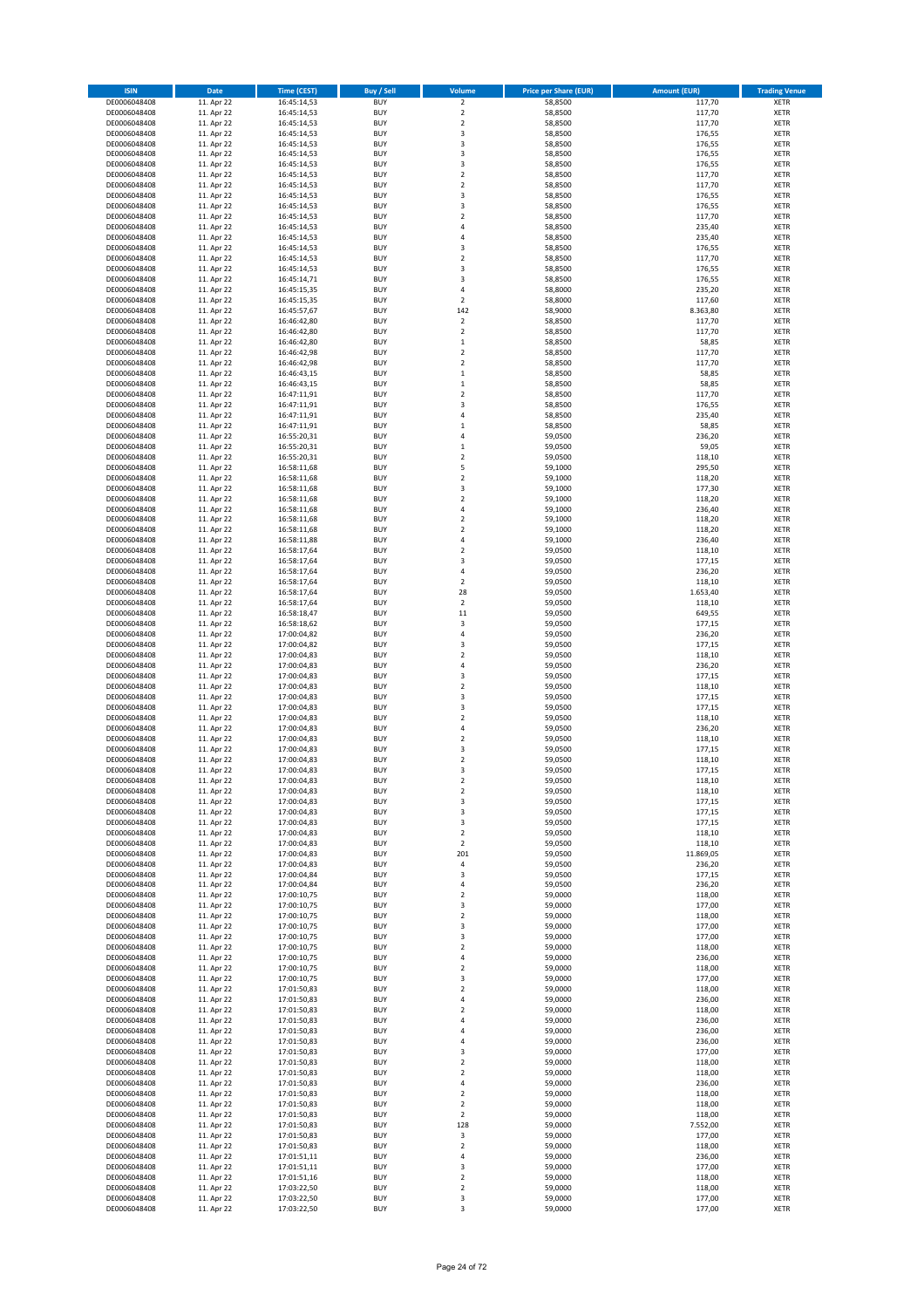| <b>ISIN</b>                  | <b>Date</b>              | <b>Time (CEST)</b>         | <b>Buy / Sell</b>        | Volume                                 | <b>Price per Share (EUR)</b> | <b>Amount (EUR)</b> | <b>Trading Venue</b>       |
|------------------------------|--------------------------|----------------------------|--------------------------|----------------------------------------|------------------------------|---------------------|----------------------------|
| DE0006048408                 | 11. Apr 22               | 16:45:14,53                | <b>BUY</b>               | $\overline{\mathbf{c}}$                | 58,8500                      | 117,70              | XETR                       |
| DE0006048408                 | 11. Apr 22               | 16:45:14,53                | <b>BUY</b>               | $\mathbf 2$                            | 58,8500                      | 117,70              | XETR                       |
| DE0006048408<br>DE0006048408 | 11. Apr 22<br>11. Apr 22 | 16:45:14,53<br>16:45:14,53 | <b>BUY</b><br><b>BUY</b> | $\mathbf 2$<br>3                       | 58,8500<br>58,8500           | 117,70<br>176,55    | XETR<br>XETR               |
| DE0006048408                 | 11. Apr 22               | 16:45:14,53                | <b>BUY</b>               | 3                                      | 58,8500                      | 176,55              | XETR                       |
| DE0006048408                 | 11. Apr 22               | 16:45:14,53                | <b>BUY</b>               | 3                                      | 58,8500                      | 176,55              | <b>XETR</b>                |
| DE0006048408                 | 11. Apr 22               | 16:45:14,53                | <b>BUY</b>               | 3                                      | 58,8500                      | 176,55              | <b>XETR</b>                |
| DE0006048408                 | 11. Apr 22               | 16:45:14,53                | <b>BUY</b>               | $\mathbf 2$                            | 58,8500                      | 117,70              | <b>XETR</b>                |
| DE0006048408<br>DE0006048408 | 11. Apr 22<br>11. Apr 22 | 16:45:14,53                | <b>BUY</b><br><b>BUY</b> | $\mathbf 2$<br>3                       | 58,8500<br>58,8500           | 117,70<br>176,55    | <b>XETR</b><br><b>XETR</b> |
| DE0006048408                 | 11. Apr 22               | 16:45:14,53<br>16:45:14,53 | <b>BUY</b>               | 3                                      | 58,8500                      | 176,55              | XETR                       |
| DE0006048408                 | 11. Apr 22               | 16:45:14,53                | <b>BUY</b>               | $\mathbf 2$                            | 58,8500                      | 117,70              | <b>XETR</b>                |
| DE0006048408                 | 11. Apr 22               | 16:45:14,53                | <b>BUY</b>               | 4                                      | 58,8500                      | 235,40              | XETR                       |
| DE0006048408                 | 11. Apr 22               | 16:45:14,53                | <b>BUY</b>               | 4                                      | 58,8500                      | 235,40              | <b>XETR</b>                |
| DE0006048408                 | 11. Apr 22               | 16:45:14,53                | <b>BUY</b>               | 3                                      | 58,8500                      | 176,55              | XETR                       |
| DE0006048408<br>DE0006048408 | 11. Apr 22<br>11. Apr 22 | 16:45:14,53<br>16:45:14,53 | <b>BUY</b><br><b>BUY</b> | $\mathbf 2$<br>3                       | 58,8500<br>58,8500           | 117,70<br>176,55    | <b>XETR</b><br>XETR        |
| DE0006048408                 | 11. Apr 22               | 16:45:14,71                | <b>BUY</b>               | 3                                      | 58,8500                      | 176,55              | <b>XETR</b>                |
| DE0006048408                 | 11. Apr 22               | 16:45:15,35                | <b>BUY</b>               | 4                                      | 58,8000                      | 235,20              | XETR                       |
| DE0006048408                 | 11. Apr 22               | 16:45:15,35                | <b>BUY</b>               | $\overline{2}$                         | 58,8000                      | 117,60              | <b>XETR</b>                |
| DE0006048408                 | 11. Apr 22<br>11. Apr 22 | 16:45:57,67                | <b>BUY</b><br><b>BUY</b> | 142<br>$\mathbf 2$                     | 58,9000<br>58,8500           | 8.363,80<br>117,70  | <b>XETR</b><br><b>XETR</b> |
| DE0006048408<br>DE0006048408 | 11. Apr 22               | 16:46:42,80<br>16:46:42,80 | <b>BUY</b>               | $\mathbf 2$                            | 58,8500                      | 117,70              | <b>XETR</b>                |
| DE0006048408                 | 11. Apr 22               | 16:46:42,80                | <b>BUY</b>               | $\mathbf 1$                            | 58,8500                      | 58,85               | <b>XETR</b>                |
| DE0006048408                 | 11. Apr 22               | 16:46:42,98                | <b>BUY</b>               | $\mathbf 2$                            | 58,8500                      | 117,70              | <b>XETR</b>                |
| DE0006048408                 | 11. Apr 22               | 16:46:42,98                | <b>BUY</b>               | $\mathbf 2$                            | 58,8500                      | 117,70              | <b>XETR</b>                |
| DE0006048408                 | 11. Apr 22               | 16:46:43,15                | <b>BUY</b>               | $\mathbf 1$                            | 58,8500                      | 58,85               | <b>XETR</b>                |
| DE0006048408<br>DE0006048408 | 11. Apr 22<br>11. Apr 22 | 16:46:43,15<br>16:47:11,91 | <b>BUY</b><br><b>BUY</b> | $\mathbf 1$<br>$\mathbf 2$             | 58,8500<br>58,8500           | 58,85<br>117,70     | <b>XETR</b><br><b>XETR</b> |
| DE0006048408                 | 11. Apr 22               | 16:47:11,91                | <b>BUY</b>               | 3                                      | 58,8500                      | 176,55              | <b>XETR</b>                |
| DE0006048408                 | 11. Apr 22               | 16:47:11,91                | <b>BUY</b>               | $\overline{4}$                         | 58,8500                      | 235,40              | <b>XETR</b>                |
| DE0006048408                 | 11. Apr 22               | 16:47:11,91                | <b>BUY</b>               | $\mathbf{1}$                           | 58,8500                      | 58,85               | <b>XETR</b>                |
| DE0006048408                 | 11. Apr 22               | 16:55:20,31                | <b>BUY</b><br><b>BUY</b> | 4                                      | 59,0500                      | 236,20<br>59,05     | <b>XETR</b><br>XETR        |
| DE0006048408<br>DE0006048408 | 11. Apr 22<br>11. Apr 22 | 16:55:20,31<br>16:55:20,31 | <b>BUY</b>               | $\mathbf 1$<br>$\overline{\mathbf{c}}$ | 59,0500<br>59,0500           | 118,10              | <b>XETR</b>                |
| DE0006048408                 | 11. Apr 22               | 16:58:11,68                | <b>BUY</b>               | 5                                      | 59,1000                      | 295,50              | XETR                       |
| DE0006048408                 | 11. Apr 22               | 16:58:11,68                | <b>BUY</b>               | $\overline{\mathbf{c}}$                | 59,1000                      | 118,20              | <b>XETR</b>                |
| DE0006048408                 | 11. Apr 22               | 16:58:11,68                | <b>BUY</b>               | 3                                      | 59,1000                      | 177,30              | XETR                       |
| DE0006048408                 | 11. Apr 22               | 16:58:11,68                | <b>BUY</b>               | $\overline{\mathbf{c}}$                | 59,1000                      | 118,20              | <b>XETR</b>                |
| DE0006048408<br>DE0006048408 | 11. Apr 22<br>11. Apr 22 | 16:58:11,68<br>16:58:11,68 | <b>BUY</b><br><b>BUY</b> | 4<br>$\overline{\mathbf{c}}$           | 59,1000<br>59,1000           | 236,40<br>118,20    | <b>XETR</b><br><b>XETR</b> |
| DE0006048408                 | 11. Apr 22               | 16:58:11,68                | <b>BUY</b>               | $\overline{\mathbf{c}}$                | 59,1000                      | 118,20              | <b>XETR</b>                |
| DE0006048408                 | 11. Apr 22               | 16:58:11,88                | <b>BUY</b>               | 4                                      | 59,1000                      | 236,40              | <b>XETR</b>                |
| DE0006048408                 | 11. Apr 22               | 16:58:17,64                | <b>BUY</b>               | $\overline{\mathbf{c}}$                | 59,0500                      | 118,10              | <b>XETR</b>                |
| DE0006048408                 | 11. Apr 22               | 16:58:17,64                | <b>BUY</b>               | 3                                      | 59,0500                      | 177,15              | <b>XETR</b>                |
| DE0006048408                 | 11. Apr 22               | 16:58:17,64                | <b>BUY</b>               | 4                                      | 59,0500                      | 236,20              | XETR                       |
| DE0006048408<br>DE0006048408 | 11. Apr 22<br>11. Apr 22 | 16:58:17,64<br>16:58:17,64 | <b>BUY</b><br><b>BUY</b> | 2<br>28                                | 59,0500<br>59,0500           | 118,10<br>1.653,40  | XETR<br><b>XETR</b>        |
| DE0006048408                 | 11. Apr 22               | 16:58:17,64                | <b>BUY</b>               | 2                                      | 59,0500                      | 118,10              | <b>XETR</b>                |
| DE0006048408                 | 11. Apr 22               | 16:58:18,47                | <b>BUY</b>               | 11                                     | 59,0500                      | 649,55              | XETR                       |
| DE0006048408                 | 11. Apr 22               | 16:58:18,62                | <b>BUY</b>               | 3                                      | 59,0500                      | 177,15              | <b>XETR</b>                |
| DE0006048408                 | 11. Apr 22               | 17:00:04,82                | <b>BUY</b><br><b>BUY</b> | $\overline{4}$<br>3                    | 59,0500                      | 236,20              | <b>XETR</b>                |
| DE0006048408<br>DE0006048408 | 11. Apr 22<br>11. Apr 22 | 17:00:04,82<br>17:00:04,83 | <b>BUY</b>               | $\overline{\mathbf{c}}$                | 59,0500<br>59,0500           | 177,15<br>118,10    | <b>XETR</b><br><b>XETR</b> |
| DE0006048408                 | 11. Apr 22               | 17:00:04,83                | <b>BUY</b>               | 4                                      | 59,0500                      | 236,20              | <b>XETR</b>                |
| DE0006048408                 | 11. Apr 22               | 17:00:04,83                | <b>BUY</b>               | 3                                      | 59,0500                      | 177,15              | <b>XETR</b>                |
| DE0006048408                 | 11. Apr 22               | 17:00:04,83                | <b>BUY</b>               | $\mathbf 2$                            | 59,0500                      | 118,10              | <b>XETR</b>                |
| DE0006048408                 | 11. Apr 22               | 17:00:04,83                | <b>BUY</b><br><b>BUY</b> | 3                                      | 59,0500                      | 177,15              | <b>XETR</b><br><b>XETR</b> |
| DE0006048408<br>DE0006048408 | 11. Apr 22<br>11. Apr 22 | 17:00:04,83<br>17:00:04,83 | <b>BUY</b>               | 3<br>$\overline{\mathbf{c}}$           | 59,0500<br>59,0500           | 177,15<br>118,10    | <b>XETR</b>                |
| DE0006048408                 | 11. Apr 22               | 17:00:04,83                | <b>BUY</b>               | 4                                      | 59,0500                      | 236,20              | XETR                       |
| DE0006048408                 | 11. Apr 22               | 17:00:04,83                | <b>BUY</b>               | $\overline{\mathbf{c}}$                | 59,0500                      | 118,10              | <b>XETR</b>                |
| DE0006048408                 | 11. Apr 22               | 17:00:04,83                | <b>BUY</b>               | 3                                      | 59,0500                      | 177,15              | XETR                       |
| DE0006048408<br>DE0006048408 | 11. Apr 22               | 17:00:04,83<br>17:00:04,83 | <b>BUY</b><br><b>BUY</b> | $\overline{\mathbf{c}}$<br>3           | 59,0500<br>59,0500           | 118,10<br>177,15    | <b>XETR</b><br>XETR        |
| DE0006048408                 | 11. Apr 22<br>11. Apr 22 | 17:00:04,83                | <b>BUY</b>               | 2                                      | 59,0500                      | 118,10              | XETR                       |
| DE0006048408                 | 11. Apr 22               | 17:00:04,83                | <b>BUY</b>               | $\boldsymbol{2}$                       | 59,0500                      | 118,10              | XETR                       |
| DE0006048408                 | 11. Apr 22               | 17:00:04,83                | <b>BUY</b>               | 3                                      | 59,0500                      | 177,15              | XETR                       |
| DE0006048408                 | 11. Apr 22               | 17:00:04,83                | <b>BUY</b>               | 3                                      | 59,0500                      | 177,15              | XETR                       |
| DE0006048408<br>DE0006048408 | 11. Apr 22               | 17:00:04,83                | <b>BUY</b>               | 3                                      | 59,0500                      | 177,15              | <b>XETR</b>                |
| DE0006048408                 | 11. Apr 22<br>11. Apr 22 | 17:00:04,83<br>17:00:04,83 | <b>BUY</b><br><b>BUY</b> | 2<br>$\overline{\mathbf{c}}$           | 59,0500<br>59.0500           | 118,10<br>118,10    | XETR<br><b>XETR</b>        |
| DE0006048408                 | 11. Apr 22               | 17:00:04,83                | <b>BUY</b>               | 201                                    | 59,0500                      | 11.869,05           | XETR                       |
| DE0006048408                 | 11. Apr 22               | 17:00:04,83                | <b>BUY</b>               | 4                                      | 59,0500                      | 236,20              | <b>XETR</b>                |
| DE0006048408                 | 11. Apr 22               | 17:00:04,84                | <b>BUY</b>               | 3                                      | 59,0500                      | 177,15              | XETR                       |
| DE0006048408<br>DE0006048408 | 11. Apr 22<br>11. Apr 22 | 17:00:04,84<br>17:00:10,75 | <b>BUY</b><br><b>BUY</b> | 4<br>2                                 | 59,0500<br>59,0000           | 236,20<br>118,00    | <b>XETR</b><br>XETR        |
| DE0006048408                 | 11. Apr 22               | 17:00:10,75                | <b>BUY</b>               | 3                                      | 59,0000                      | 177,00              | <b>XETR</b>                |
| DE0006048408                 | 11. Apr 22               | 17:00:10,75                | <b>BUY</b>               | $\mathbf 2$                            | 59,0000                      | 118,00              | XETR                       |
| DE0006048408                 | 11. Apr 22               | 17:00:10,75                | <b>BUY</b>               | 3                                      | 59,0000                      | 177,00              | <b>XETR</b>                |
| DE0006048408                 | 11. Apr 22               | 17:00:10,75                | <b>BUY</b>               | 3                                      | 59,0000                      | 177,00              | XETR                       |
| DE0006048408<br>DE0006048408 | 11. Apr 22<br>11. Apr 22 | 17:00:10,75<br>17:00:10,75 | <b>BUY</b><br><b>BUY</b> | $\mathbf 2$<br>4                       | 59,0000<br>59,0000           | 118,00<br>236,00    | <b>XETR</b><br>XETR        |
| DE0006048408                 | 11. Apr 22               | 17:00:10,75                | <b>BUY</b>               | 2                                      | 59,0000                      | 118,00              | <b>XETR</b>                |
| DE0006048408                 | 11. Apr 22               | 17:00:10,75                | <b>BUY</b>               | 3                                      | 59,0000                      | 177,00              | XETR                       |
| DE0006048408                 | 11. Apr 22               | 17:01:50,83                | <b>BUY</b>               | $\mathbf 2$                            | 59,0000                      | 118,00              | <b>XETR</b>                |
| DE0006048408                 | 11. Apr 22               | 17:01:50,83                | <b>BUY</b>               | 4                                      | 59,0000                      | 236,00              | <b>XETR</b>                |
| DE0006048408<br>DE0006048408 | 11. Apr 22<br>11. Apr 22 | 17:01:50,83<br>17:01:50,83 | <b>BUY</b><br><b>BUY</b> | 2<br>4                                 | 59,0000<br>59,0000           | 118,00<br>236,00    | XETR<br><b>XETR</b>        |
| DE0006048408                 | 11. Apr 22               | 17:01:50,83                | <b>BUY</b>               | 4                                      | 59,0000                      | 236,00              | XETR                       |
| DE0006048408                 | 11. Apr 22               | 17:01:50,83                | <b>BUY</b>               | 4                                      | 59,0000                      | 236,00              | <b>XETR</b>                |
| DE0006048408                 | 11. Apr 22               | 17:01:50,83                | <b>BUY</b>               | 3                                      | 59,0000                      | 177,00              | XETR                       |
| DE0006048408                 | 11. Apr 22               | 17:01:50,83                | <b>BUY</b>               | $\overline{\mathbf{c}}$                | 59,0000                      | 118,00              | <b>XETR</b>                |
| DE0006048408                 | 11. Apr 22               | 17:01:50,83                | <b>BUY</b><br><b>BUY</b> | $\mathbf 2$<br>4                       | 59,0000                      | 118,00              | XETR<br><b>XETR</b>        |
| DE0006048408<br>DE0006048408 | 11. Apr 22<br>11. Apr 22 | 17:01:50,83<br>17:01:50,83 | <b>BUY</b>               | 2                                      | 59,0000<br>59,0000           | 236,00<br>118,00    | XETR                       |
| DE0006048408                 | 11. Apr 22               | 17:01:50,83                | <b>BUY</b>               | $\mathbf 2$                            | 59,0000                      | 118,00              | <b>XETR</b>                |
| DE0006048408                 | 11. Apr 22               | 17:01:50,83                | <b>BUY</b>               | 2                                      | 59,0000                      | 118,00              | XETR                       |
| DE0006048408                 | 11. Apr 22               | 17:01:50,83                | <b>BUY</b>               | 128                                    | 59,0000                      | 7.552,00            | <b>XETR</b>                |
|                              |                          |                            |                          |                                        |                              |                     |                            |
| DE0006048408                 | 11. Apr 22               | 17:01:50,83                | <b>BUY</b>               | 3                                      | 59,0000                      | 177,00              | <b>XETR</b>                |
| DE0006048408                 | 11. Apr 22               | 17:01:50,83                | <b>BUY</b>               | 2<br>4                                 | 59,0000                      | 118,00              | <b>XETR</b>                |
| DE0006048408<br>DE0006048408 | 11. Apr 22<br>11. Apr 22 | 17:01:51,11<br>17:01:51,11 | <b>BUY</b><br><b>BUY</b> | 3                                      | 59,0000<br>59,0000           | 236,00<br>177,00    | XETR<br><b>XETR</b>        |
| DE0006048408                 | 11. Apr 22               | 17:01:51,16                | <b>BUY</b>               | $\mathbf 2$                            | 59,0000                      | 118,00              | XETR                       |
| DE0006048408<br>DE0006048408 | 11. Apr 22<br>11. Apr 22 | 17:03:22,50<br>17:03:22,50 | <b>BUY</b><br><b>BUY</b> | $\mathbf 2$<br>3                       | 59,0000<br>59,0000           | 118,00<br>177,00    | XETR<br>XETR               |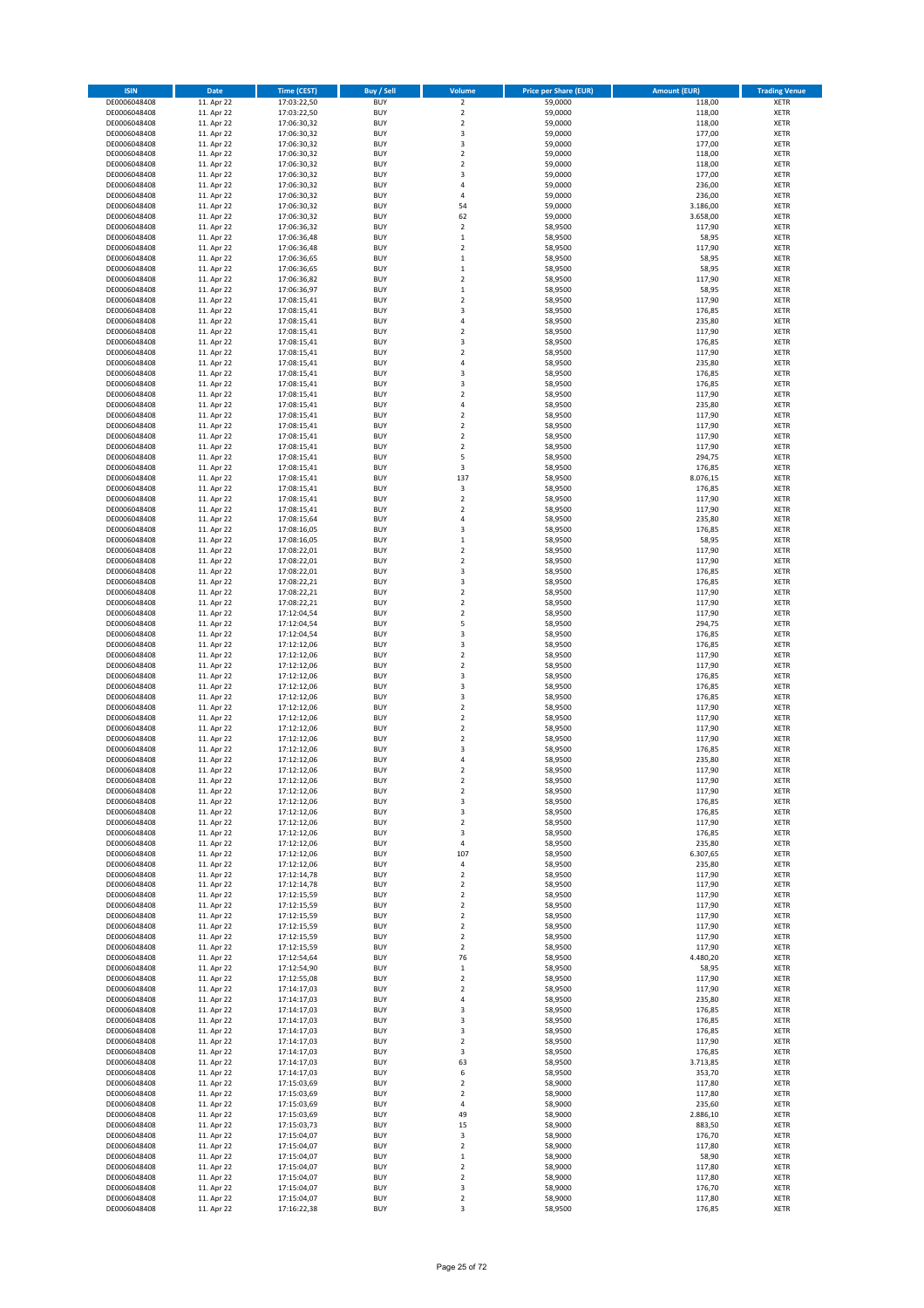| <b>ISIN</b>                  | <b>Date</b>              | <b>Time (CEST)</b>         | <b>Buy / Sell</b>        | Volume                       | <b>Price per Share (EUR)</b> | <b>Amount (EUR)</b> | <b>Trading Venue</b>       |
|------------------------------|--------------------------|----------------------------|--------------------------|------------------------------|------------------------------|---------------------|----------------------------|
| DE0006048408                 | 11. Apr 22               | 17:03:22,50                | <b>BUY</b>               | $\overline{\mathbf{c}}$      | 59,0000                      | 118,00              | XETR                       |
| DE0006048408                 | 11. Apr 22               | 17:03:22,50                | <b>BUY</b>               | $\mathbf 2$                  | 59,0000                      | 118,00              | XETR                       |
| DE0006048408<br>DE0006048408 | 11. Apr 22<br>11. Apr 22 | 17:06:30,32<br>17:06:30,32 | <b>BUY</b><br><b>BUY</b> | $\mathbf 2$<br>3             | 59,0000<br>59,0000           | 118,00<br>177,00    | <b>XETR</b><br><b>XETR</b> |
| DE0006048408                 | 11. Apr 22               | 17:06:30,32                | <b>BUY</b>               | 3                            | 59,0000                      | 177,00              | <b>XETR</b>                |
| DE0006048408                 | 11. Apr 22               | 17:06:30,32                | <b>BUY</b>               | $\mathbf 2$                  | 59,0000                      | 118,00              | <b>XETR</b>                |
| DE0006048408                 | 11. Apr 22               | 17:06:30,32                | <b>BUY</b>               | $\mathbf 2$                  | 59,0000                      | 118,00              | <b>XETR</b>                |
| DE0006048408                 | 11. Apr 22               | 17:06:30,32                | <b>BUY</b>               | 3                            | 59,0000                      | 177,00              | <b>XETR</b>                |
| DE0006048408<br>DE0006048408 | 11. Apr 22<br>11. Apr 22 | 17:06:30,32                | <b>BUY</b><br><b>BUY</b> | 4<br>4                       | 59,0000<br>59,0000           | 236,00<br>236,00    | <b>XETR</b><br><b>XETR</b> |
| DE0006048408                 | 11. Apr 22               | 17:06:30,32<br>17:06:30,32 | <b>BUY</b>               | 54                           | 59,0000                      | 3.186,00            | XETR                       |
| DE0006048408                 | 11. Apr 22               | 17:06:30,32                | <b>BUY</b>               | 62                           | 59,0000                      | 3.658,00            | <b>XETR</b>                |
| DE0006048408                 | 11. Apr 22               | 17:06:36,32                | <b>BUY</b>               | $\mathbf 2$                  | 58,9500                      | 117,90              | XETR                       |
| DE0006048408                 | 11. Apr 22               | 17:06:36,48                | <b>BUY</b>               | $\mathbf 1$                  | 58,9500                      | 58,95               | <b>XETR</b>                |
| DE0006048408                 | 11. Apr 22               | 17:06:36,48                | <b>BUY</b>               | $\mathbf 2$                  | 58,9500                      | 117,90              | XETR                       |
| DE0006048408<br>DE0006048408 | 11. Apr 22<br>11. Apr 22 | 17:06:36,65<br>17:06:36,65 | <b>BUY</b><br><b>BUY</b> | $\mathbf 1$<br>$\mathbf 1$   | 58,9500<br>58,9500           | 58,95<br>58,95      | <b>XETR</b><br>XETR        |
| DE0006048408                 | 11. Apr 22               | 17:06:36,82                | <b>BUY</b>               | $\mathbf 2$                  | 58,9500                      | 117,90              | <b>XETR</b>                |
| DE0006048408                 | 11. Apr 22               | 17:06:36,97                | <b>BUY</b>               | $\mathbf 1$                  | 58,9500                      | 58,95               | XETR                       |
| DE0006048408                 | 11. Apr 22               | 17:08:15,41                | <b>BUY</b>               | $\mathbf 2$                  | 58,9500                      | 117,90              | <b>XETR</b>                |
| DE0006048408                 | 11. Apr 22               | 17:08:15,41                | <b>BUY</b>               | 3                            | 58,9500                      | 176,85              | <b>XETR</b>                |
| DE0006048408<br>DE0006048408 | 11. Apr 22<br>11. Apr 22 | 17:08:15,41<br>17:08:15,41 | <b>BUY</b><br><b>BUY</b> | 4<br>$\mathbf 2$             | 58,9500<br>58,9500           | 235,80<br>117,90    | <b>XETR</b><br><b>XETR</b> |
| DE0006048408                 | 11. Apr 22               | 17:08:15,41                | <b>BUY</b>               | 3                            | 58,9500                      | 176,85              | <b>XETR</b>                |
| DE0006048408                 | 11. Apr 22               | 17:08:15,41                | <b>BUY</b>               | $\mathbf 2$                  | 58,9500                      | 117,90              | <b>XETR</b>                |
| DE0006048408                 | 11. Apr 22               | 17:08:15,41                | <b>BUY</b>               | 4                            | 58,9500                      | 235,80              | <b>XETR</b>                |
| DE0006048408                 | 11. Apr 22               | 17:08:15,41                | <b>BUY</b>               | 3                            | 58,9500                      | 176,85              | <b>XETR</b>                |
| DE0006048408<br>DE0006048408 | 11. Apr 22<br>11. Apr 22 | 17:08:15,41                | <b>BUY</b><br><b>BUY</b> | 3<br>$\mathbf 2$             | 58,9500<br>58,9500           | 176,85<br>117,90    | <b>XETR</b><br><b>XETR</b> |
| DE0006048408                 | 11. Apr 22               | 17:08:15,41<br>17:08:15,41 | <b>BUY</b>               | 4                            | 58,9500                      | 235,80              | <b>XETR</b>                |
| DE0006048408                 | 11. Apr 22               | 17:08:15,41                | <b>BUY</b>               | $\mathbf 2$                  | 58,9500                      | 117,90              | <b>XETR</b>                |
| DE0006048408                 | 11. Apr 22               | 17:08:15,41                | <b>BUY</b>               | $\mathbf 2$                  | 58,9500                      | 117,90              | <b>XETR</b>                |
| DE0006048408                 | 11. Apr 22               | 17:08:15,41                | <b>BUY</b>               | $\mathbf 2$                  | 58,9500                      | 117,90              | <b>XETR</b>                |
| DE0006048408<br>DE0006048408 | 11. Apr 22<br>11. Apr 22 | 17:08:15,41                | <b>BUY</b><br><b>BUY</b> | $\mathbf 2$<br>5             | 58,9500<br>58,9500           | 117,90<br>294,75    | XETR<br><b>XETR</b>        |
| DE0006048408                 | 11. Apr 22               | 17:08:15,41<br>17:08:15,41 | <b>BUY</b>               | 3                            | 58,9500                      | 176,85              | XETR                       |
| DE0006048408                 | 11. Apr 22               | 17:08:15,41                | <b>BUY</b>               | 137                          | 58,9500                      | 8.076,15            | <b>XETR</b>                |
| DE0006048408                 | 11. Apr 22               | 17:08:15,41                | <b>BUY</b>               | 3                            | 58,9500                      | 176,85              | XETR                       |
| DE0006048408                 | 11. Apr 22               | 17:08:15,41                | <b>BUY</b>               | $\mathbf 2$                  | 58,9500                      | 117,90              | <b>XETR</b>                |
| DE0006048408                 | 11. Apr 22               | 17:08:15,41                | <b>BUY</b>               | $\mathbf 2$                  | 58,9500                      | 117,90              | <b>XETR</b>                |
| DE0006048408<br>DE0006048408 | 11. Apr 22<br>11. Apr 22 | 17:08:15,64<br>17:08:16,05 | <b>BUY</b><br><b>BUY</b> | $\overline{4}$<br>3          | 58,9500<br>58,9500           | 235,80<br>176,85    | <b>XETR</b><br><b>XETR</b> |
| DE0006048408                 | 11. Apr 22               | 17:08:16,05                | <b>BUY</b>               | $\mathbf{1}$                 | 58,9500                      | 58,95               | <b>XETR</b>                |
| DE0006048408                 | 11. Apr 22               | 17:08:22,01                | <b>BUY</b>               | $\mathbf 2$                  | 58,9500                      | 117,90              | <b>XETR</b>                |
| DE0006048408                 | 11. Apr 22               | 17:08:22,01                | <b>BUY</b>               | $\mathbf 2$                  | 58,9500                      | 117,90              | <b>XETR</b>                |
| DE0006048408                 | 11. Apr 22               | 17:08:22,01                | <b>BUY</b>               | 3                            | 58,9500                      | 176,85              | XETR                       |
| DE0006048408<br>DE0006048408 | 11. Apr 22<br>11. Apr 22 | 17:08:22,21                | <b>BUY</b><br><b>BUY</b> | 3<br>$\mathbf 2$             | 58,9500<br>58,9500           | 176,85<br>117,90    | XETR<br><b>XETR</b>        |
| DE0006048408                 | 11. Apr 22               | 17:08:22,21<br>17:08:22,21 | <b>BUY</b>               | $\mathbf 2$                  | 58,9500                      | 117,90              | <b>XETR</b>                |
| DE0006048408                 | 11. Apr 22               | 17:12:04,54                | <b>BUY</b>               | $\mathbf 2$                  | 58,9500                      | 117,90              | <b>XETR</b>                |
| DE0006048408                 | 11. Apr 22               | 17:12:04,54                | <b>BUY</b>               | 5                            | 58,9500                      | 294,75              | <b>XETR</b>                |
| DE0006048408                 | 11. Apr 22               | 17:12:04,54                | <b>BUY</b>               | 3                            | 58,9500                      | 176,85              | <b>XETR</b>                |
| DE0006048408                 | 11. Apr 22               | 17:12:12,06                | <b>BUY</b>               | 3                            | 58,9500                      | 176,85              | <b>XETR</b>                |
| DE0006048408<br>DE0006048408 | 11. Apr 22<br>11. Apr 22 | 17:12:12,06<br>17:12:12,06 | <b>BUY</b><br><b>BUY</b> | $\mathbf 2$<br>$\mathbf 2$   | 58,9500<br>58,9500           | 117,90<br>117,90    | <b>XETR</b><br><b>XETR</b> |
| DE0006048408                 | 11. Apr 22               | 17:12:12,06                | <b>BUY</b>               | 3                            | 58,9500                      | 176,85              | <b>XETR</b>                |
| DE0006048408                 | 11. Apr 22               | 17:12:12,06                | <b>BUY</b>               | 3                            | 58,9500                      | 176,85              | <b>XETR</b>                |
| DE0006048408                 | 11. Apr 22               | 17:12:12,06                | <b>BUY</b>               | 3                            | 58,9500                      | 176,85              | <b>XETR</b>                |
| DE0006048408                 | 11. Apr 22               | 17:12:12,06                | <b>BUY</b><br><b>BUY</b> | $\mathbf 2$<br>$\mathbf 2$   | 58,9500                      | 117,90              | <b>XETR</b><br><b>XETR</b> |
| DE0006048408<br>DE0006048408 | 11. Apr 22<br>11. Apr 22 | 17:12:12,06<br>17:12:12,06 | <b>BUY</b>               | $\mathbf 2$                  | 58,9500<br>58,9500           | 117,90<br>117,90    | XETR                       |
| DE0006048408                 | 11. Apr 22               | 17:12:12,06                | <b>BUY</b>               | $\mathbf 2$                  | 58,9500                      | 117,90              | <b>XETR</b>                |
| DE0006048408                 | 11. Apr 22               | 17:12:12,06                | <b>BUY</b>               | 3                            | 58,9500                      | 176,85              | XETR                       |
| DE0006048408                 | 11. Apr 22               | 17:12:12,06                | <b>BUY</b>               | 4                            | 58,9500                      | 235,80              | <b>XETR</b>                |
| DE0006048408                 | 11. Apr 22               | 17:12:12,06                | <b>BUY</b>               | 2                            | 58,9500                      | 117,90              | XETR                       |
| DE0006048408<br>DE0006048408 | 11. Apr 22<br>11. Apr 22 | 17:12:12,06<br>17:12:12,06 | <b>BUY</b><br><b>BUY</b> | 2<br>$\boldsymbol{2}$        | 58,9500<br>58,9500           | 117,90<br>117,90    | XETR<br>XETR               |
| DE0006048408                 | 11. Apr 22               | 17:12:12,06                | <b>BUY</b>               | 3                            | 58,9500                      | 176,85              | XETR                       |
| DE0006048408                 | 11. Apr 22               | 17:12:12,06                | <b>BUY</b>               | 3                            | 58,9500                      | 176,85              | XETR                       |
| DE0006048408                 | 11. Apr 22               | 17:12:12,06                | <b>BUY</b>               | $\mathbf 2$                  | 58,9500                      | 117,90              | <b>XETR</b>                |
| DE0006048408                 | 11. Apr 22               | 17:12:12,06                | <b>BUY</b>               | 3                            | 58,9500                      | 176,85              | XETR                       |
| DE0006048408<br>DE0006048408 | 11. Apr 22<br>11. Apr 22 | 17:12:12.06<br>17:12:12,06 | <b>BUY</b><br><b>BUY</b> | 4<br>107                     | 58,9500<br>58,9500           | 235,80<br>6.307,65  | <b>XETR</b><br>XETR        |
| DE0006048408                 | 11. Apr 22               | 17:12:12,06                | <b>BUY</b>               | 4                            | 58,9500                      | 235,80              | <b>XETR</b>                |
| DE0006048408                 | 11. Apr 22               | 17:12:14,78                | <b>BUY</b>               | $\mathbf 2$                  | 58,9500                      | 117,90              | XETR                       |
| DE0006048408                 | 11. Apr 22               | 17:12:14,78                | <b>BUY</b>               | 2                            | 58,9500                      | 117,90              | <b>XETR</b>                |
| DE0006048408                 | 11. Apr 22<br>11. Apr 22 | 17:12:15,59                | <b>BUY</b><br><b>BUY</b> | $\mathbf 2$<br>$\mathbf 2$   | 58,9500<br>58,9500           | 117,90<br>117,90    | XETR                       |
| DE0006048408<br>DE0006048408 | 11. Apr 22               | 17:12:15,59<br>17:12:15,59 | <b>BUY</b>               | $\mathbf 2$                  | 58,9500                      | 117,90              | <b>XETR</b><br>XETR        |
| DE0006048408                 | 11. Apr 22               | 17:12:15,59                | <b>BUY</b>               | $\mathbf 2$                  | 58,9500                      | 117,90              | <b>XETR</b>                |
| DE0006048408                 | 11. Apr 22               | 17:12:15,59                | <b>BUY</b>               | $\mathbf 2$                  | 58,9500                      | 117,90              | XETR                       |
| DE0006048408                 | 11. Apr 22               | 17:12:15,59                | <b>BUY</b>               | 2                            | 58,9500                      | 117,90              | <b>XETR</b>                |
| DE0006048408                 | 11. Apr 22               | 17:12:54,64                | <b>BUY</b>               | 76                           | 58,9500                      | 4.480,20            | XETR                       |
| DE0006048408<br>DE0006048408 | 11. Apr 22<br>11. Apr 22 | 17:12:54,90<br>17:12:55,08 | <b>BUY</b><br><b>BUY</b> | $\mathbf 1$<br>$\mathbf 2$   | 58,9500<br>58,9500           | 58,95<br>117,90     | <b>XETR</b><br>XETR        |
| DE0006048408                 | 11. Apr 22               | 17:14:17,03                | <b>BUY</b>               | $\mathbf 2$                  | 58,9500                      | 117,90              | <b>XETR</b>                |
| DE0006048408                 | 11. Apr 22               | 17:14:17,03                | <b>BUY</b>               | 4                            | 58,9500                      | 235,80              | <b>XETR</b>                |
| DE0006048408                 | 11. Apr 22               | 17:14:17,03                | <b>BUY</b>               | 3                            | 58,9500                      | 176,85              | XETR                       |
| DE0006048408                 | 11. Apr 22<br>11. Apr 22 | 17:14:17,03                | <b>BUY</b>               | 3                            | 58,9500                      | 176,85              | <b>XETR</b>                |
| DE0006048408<br>DE0006048408 | 11. Apr 22               | 17:14:17,03<br>17:14:17,03 | <b>BUY</b><br><b>BUY</b> | 3<br>$\overline{\mathbf{c}}$ | 58,9500<br>58,9500           | 176,85<br>117,90    | XETR<br><b>XETR</b>        |
| DE0006048408                 | 11. Apr 22               | 17:14:17,03                | <b>BUY</b>               | 3                            | 58,9500                      | 176,85              | XETR                       |
| DE0006048408                 | 11. Apr 22               | 17:14:17,03                | <b>BUY</b>               | 63                           | 58,9500                      | 3.713,85            | <b>XETR</b>                |
| DE0006048408                 | 11. Apr 22               | 17:14:17,03                | <b>BUY</b>               | 6                            | 58,9500                      | 353,70              | XETR                       |
| DE0006048408                 | 11. Apr 22               | 17:15:03,69                | <b>BUY</b>               | $\mathbf 2$                  | 58,9000                      | 117,80              | <b>XETR</b>                |
| DE0006048408<br>DE0006048408 | 11. Apr 22<br>11. Apr 22 | 17:15:03,69<br>17:15:03,69 | <b>BUY</b><br><b>BUY</b> | 2<br>4                       | 58,9000<br>58,9000           | 117,80<br>235,60    | XETR<br><b>XETR</b>        |
| DE0006048408                 | 11. Apr 22               | 17:15:03,69                | <b>BUY</b>               | 49                           | 58,9000                      | 2.886,10            | XETR                       |
| DE0006048408                 | 11. Apr 22               | 17:15:03,73                | <b>BUY</b>               | 15                           | 58,9000                      | 883,50              | <b>XETR</b>                |
| DE0006048408                 | 11. Apr 22               | 17:15:04,07                | <b>BUY</b>               | 3                            | 58,9000                      | 176,70              | <b>XETR</b>                |
| DE0006048408                 | 11. Apr 22               | 17:15:04,07                | <b>BUY</b>               | 2                            | 58,9000                      | 117,80              | <b>XETR</b>                |
| DE0006048408<br>DE0006048408 | 11. Apr 22<br>11. Apr 22 | 17:15:04,07<br>17:15:04,07 | <b>BUY</b><br><b>BUY</b> | $\mathbf 1$<br>$\mathbf 2$   | 58,9000<br>58,9000           | 58,90<br>117,80     | XETR<br><b>XETR</b>        |
| DE0006048408                 | 11. Apr 22               | 17:15:04,07                | <b>BUY</b>               | $\mathbf 2$                  | 58,9000                      | 117,80              | XETR                       |
| DE0006048408                 | 11. Apr 22               | 17:15:04,07                | <b>BUY</b>               | 3                            | 58,9000                      | 176,70              | XETR                       |
| DE0006048408                 | 11. Apr 22               | 17:15:04,07                | <b>BUY</b>               | $\mathbf 2$                  | 58,9000                      | 117,80              | XETR                       |
| DE0006048408                 | 11. Apr 22               | 17:16:22,38                | <b>BUY</b>               | 3                            | 58,9500                      | 176,85              | XETR                       |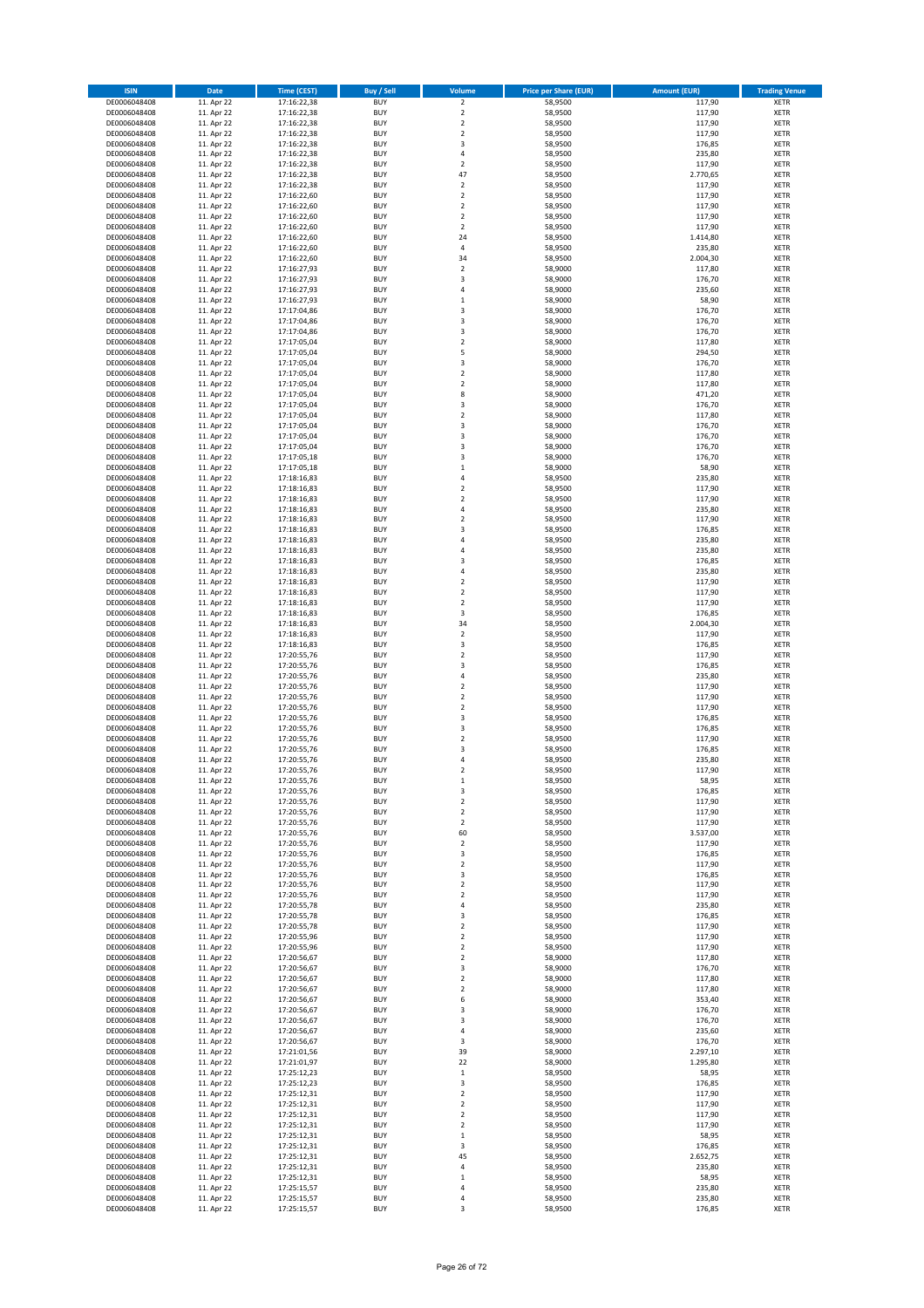| <b>ISIN</b>                  | Date                     | <b>Time (CEST)</b>         | <b>Buy / Sell</b>        | Volume                             | <b>Price per Share (EUR)</b> | <b>Amount (EUR)</b> | <b>Trading Venue</b>       |
|------------------------------|--------------------------|----------------------------|--------------------------|------------------------------------|------------------------------|---------------------|----------------------------|
| DE0006048408                 | 11. Apr 22               | 17:16:22,38                | <b>BUY</b>               | $\overline{2}$                     | 58,9500                      | 117,90              | <b>XETR</b>                |
| DE0006048408                 | 11. Apr 22               | 17:16:22,38                | <b>BUY</b>               | $\mathbf 2$                        | 58,9500                      | 117,90              | <b>XETR</b>                |
| DE0006048408<br>DE0006048408 | 11. Apr 22<br>11. Apr 22 | 17:16:22,38<br>17:16:22,38 | <b>BUY</b><br><b>BUY</b> | $\mathbf 2$<br>$\mathbf 2$         | 58,9500<br>58,9500           | 117,90<br>117,90    | <b>XETR</b><br><b>XETR</b> |
| DE0006048408                 | 11. Apr 22               | 17:16:22,38                | <b>BUY</b>               | 3                                  | 58,9500                      | 176,85              | <b>XETR</b>                |
| DE0006048408                 | 11. Apr 22               | 17:16:22,38                | <b>BUY</b>               | $\overline{4}$                     | 58,9500                      | 235,80              | <b>XETR</b>                |
| DE0006048408                 | 11. Apr 22               | 17:16:22,38                | <b>BUY</b>               | $\overline{2}$                     | 58,9500                      | 117,90              | <b>XETR</b>                |
| DE0006048408                 | 11. Apr 22               | 17:16:22,38                | <b>BUY</b>               | 47                                 | 58,9500                      | 2.770,65            | <b>XETR</b>                |
| DE0006048408                 | 11. Apr 22               | 17:16:22,38                | <b>BUY</b><br><b>BUY</b> | $\boldsymbol{2}$<br>$\overline{2}$ | 58,9500                      | 117,90              | XETR<br><b>XETR</b>        |
| DE0006048408<br>DE0006048408 | 11. Apr 22<br>11. Apr 22 | 17:16:22,60<br>17:16:22,60 | <b>BUY</b>               | $\overline{2}$                     | 58,9500<br>58,9500           | 117,90<br>117,90    | XETR                       |
| DE0006048408                 | 11. Apr 22               | 17:16:22,60                | <b>BUY</b>               | $\overline{2}$                     | 58,9500                      | 117,90              | <b>XETR</b>                |
| DE0006048408                 | 11. Apr 22               | 17:16:22,60                | <b>BUY</b>               | $\boldsymbol{2}$                   | 58,9500                      | 117,90              | XETR                       |
| DE0006048408                 | 11. Apr 22               | 17:16:22,60                | <b>BUY</b>               | 24                                 | 58,9500                      | 1.414,80            | <b>XETR</b>                |
| DE0006048408                 | 11. Apr 22               | 17:16:22,60                | <b>BUY</b>               | $\sqrt{4}$                         | 58,9500                      | 235,80              | XETR                       |
| DE0006048408<br>DE0006048408 | 11. Apr 22<br>11. Apr 22 | 17:16:22,60<br>17:16:27,93 | <b>BUY</b><br><b>BUY</b> | 34<br>$\boldsymbol{2}$             | 58,9500<br>58,9000           | 2.004,30<br>117,80  | <b>XETR</b><br>XETR        |
| DE0006048408                 | 11. Apr 22               | 17:16:27,93                | <b>BUY</b>               | 3                                  | 58,9000                      | 176,70              | <b>XETR</b>                |
| DE0006048408                 | 11. Apr 22               | 17:16:27,93                | <b>BUY</b>               | $\overline{4}$                     | 58,9000                      | 235,60              | XETR                       |
| DE0006048408                 | 11. Apr 22               | 17:16:27,93                | <b>BUY</b>               | $\mathbf 1$                        | 58,9000                      | 58,90               | <b>XETR</b>                |
| DE0006048408                 | 11. Apr 22               | 17:17:04,86                | <b>BUY</b>               | 3                                  | 58,9000                      | 176,70              | <b>XETR</b>                |
| DE0006048408<br>DE0006048408 | 11. Apr 22<br>11. Apr 22 | 17:17:04,86<br>17:17:04,86 | <b>BUY</b><br><b>BUY</b> | 3<br>3                             | 58,9000<br>58,9000           | 176,70<br>176,70    | <b>XETR</b><br><b>XETR</b> |
| DE0006048408                 | 11. Apr 22               | 17:17:05,04                | <b>BUY</b>               | $\mathbf 2$                        | 58,9000                      | 117,80              | <b>XETR</b>                |
| DE0006048408                 | 11. Apr 22               | 17:17:05,04                | <b>BUY</b>               | 5                                  | 58,9000                      | 294,50              | <b>XETR</b>                |
| DE0006048408                 | 11. Apr 22               | 17:17:05,04                | <b>BUY</b>               | 3                                  | 58,9000                      | 176,70              | <b>XETR</b>                |
| DE0006048408                 | 11. Apr 22               | 17:17:05,04                | <b>BUY</b>               | $\overline{2}$                     | 58,9000                      | 117,80              | <b>XETR</b>                |
| DE0006048408<br>DE0006048408 | 11. Apr 22               | 17:17:05,04                | <b>BUY</b><br><b>BUY</b> | $\mathbf 2$<br>8                   | 58,9000<br>58,9000           | 117,80              | <b>XETR</b><br><b>XETR</b> |
| DE0006048408                 | 11. Apr 22<br>11. Apr 22 | 17:17:05,04<br>17:17:05,04 | <b>BUY</b>               | 3                                  | 58,9000                      | 471,20<br>176,70    | <b>XETR</b>                |
| DE0006048408                 | 11. Apr 22               | 17:17:05,04                | <b>BUY</b>               | $\overline{2}$                     | 58,9000                      | 117,80              | <b>XETR</b>                |
| DE0006048408                 | 11. Apr 22               | 17:17:05,04                | <b>BUY</b>               | 3                                  | 58,9000                      | 176,70              | <b>XETR</b>                |
| DE0006048408                 | 11. Apr 22               | 17:17:05,04                | <b>BUY</b>               | 3                                  | 58,9000                      | 176,70              | <b>XETR</b>                |
| DE0006048408                 | 11. Apr 22               | 17:17:05,04                | <b>BUY</b><br><b>BUY</b> | 3<br>3                             | 58,9000                      | 176,70              | XETR<br><b>XETR</b>        |
| DE0006048408<br>DE0006048408 | 11. Apr 22<br>11. Apr 22 | 17:17:05,18<br>17:17:05,18 | <b>BUY</b>               | $\,1\,$                            | 58,9000<br>58,9000           | 176,70<br>58,90     | XETR                       |
| DE0006048408                 | 11. Apr 22               | 17:18:16,83                | <b>BUY</b>               | $\sqrt{4}$                         | 58,9500                      | 235,80              | <b>XETR</b>                |
| DE0006048408                 | 11. Apr 22               | 17:18:16,83                | <b>BUY</b>               | $\sqrt{2}$                         | 58,9500                      | 117,90              | <b>XETR</b>                |
| DE0006048408                 | 11. Apr 22               | 17:18:16,83                | <b>BUY</b>               | $\overline{2}$                     | 58,9500                      | 117,90              | <b>XETR</b>                |
| DE0006048408                 | 11. Apr 22               | 17:18:16,83                | <b>BUY</b>               | $\overline{4}$                     | 58,9500                      | 235,80              | <b>XETR</b>                |
| DE0006048408<br>DE0006048408 | 11. Apr 22<br>11. Apr 22 | 17:18:16,83<br>17:18:16,83 | <b>BUY</b><br><b>BUY</b> | $\overline{2}$<br>3                | 58,9500<br>58,9500           | 117,90<br>176,85    | <b>XETR</b><br>XETR        |
| DE0006048408                 | 11. Apr 22               | 17:18:16,83                | <b>BUY</b>               | $\overline{4}$                     | 58,9500                      | 235,80              | <b>XETR</b>                |
| DE0006048408                 | 11. Apr 22               | 17:18:16,83                | <b>BUY</b>               | $\overline{4}$                     | 58,9500                      | 235,80              | <b>XETR</b>                |
| DE0006048408                 | 11. Apr 22               | 17:18:16,83                | <b>BUY</b>               | 3                                  | 58,9500                      | 176,85              | <b>XETR</b>                |
| DE0006048408                 | 11. Apr 22               | 17:18:16,83                | <b>BUY</b>               | $\sqrt{4}$                         | 58,9500                      | 235,80              | <b>XETR</b>                |
| DE0006048408<br>DE0006048408 | 11. Apr 22<br>11. Apr 22 | 17:18:16,83                | <b>BUY</b><br><b>BUY</b> | $\sqrt{2}$<br>$\sqrt{2}$           | 58,9500<br>58,9500           | 117,90<br>117,90    | <b>XETR</b><br><b>XETR</b> |
| DE0006048408                 | 11. Apr 22               | 17:18:16,83<br>17:18:16,83 | <b>BUY</b>               | $\boldsymbol{2}$                   | 58,9500                      | 117,90              | <b>XETR</b>                |
| DE0006048408                 | 11. Apr 22               | 17:18:16,83                | <b>BUY</b>               | 3                                  | 58,9500                      | 176,85              | <b>XETR</b>                |
| DE0006048408                 | 11. Apr 22               | 17:18:16,83                | <b>BUY</b>               | 34                                 | 58,9500                      | 2.004,30            | <b>XETR</b>                |
| DE0006048408                 | 11. Apr 22               | 17:18:16,83                | <b>BUY</b>               | $\boldsymbol{2}$                   | 58,9500                      | 117,90              | <b>XETR</b>                |
| DE0006048408                 | 11. Apr 22               | 17:18:16,83                | <b>BUY</b>               | 3                                  | 58,9500                      | 176,85              | <b>XETR</b>                |
| DE0006048408<br>DE0006048408 | 11. Apr 22<br>11. Apr 22 | 17:20:55,76<br>17:20:55,76 | <b>BUY</b><br><b>BUY</b> | $\overline{2}$<br>3                | 58,9500<br>58,9500           | 117,90<br>176,85    | <b>XETR</b><br><b>XETR</b> |
| DE0006048408                 | 11. Apr 22               | 17:20:55,76                | <b>BUY</b>               | $\overline{4}$                     | 58,9500                      | 235,80              | <b>XETR</b>                |
| DE0006048408                 | 11. Apr 22               | 17:20:55,76                | <b>BUY</b>               | $\mathbf 2$                        | 58,9500                      | 117,90              | <b>XETR</b>                |
| DE0006048408                 | 11. Apr 22               | 17:20:55,76                | <b>BUY</b>               | $\overline{2}$                     | 58,9500                      | 117,90              | <b>XETR</b>                |
| DE0006048408                 | 11. Apr 22               | 17:20:55,76                | <b>BUY</b>               | $\mathbf 2$                        | 58,9500                      | 117,90              | <b>XETR</b>                |
| DE0006048408                 | 11. Apr 22               | 17:20:55,76                | <b>BUY</b>               | 3<br>$\overline{\mathbf{3}}$       | 58,9500                      | 176,85              | <b>XETR</b>                |
| DE0006048408<br>DE0006048408 | 11. Apr 22<br>11. Apr 22 | 17:20:55,76<br>17:20:55,76 | <b>BUY</b><br><b>BUY</b> | $\overline{2}$                     | 58,9500<br>58,9500           | 176,85<br>117,90    | XETR<br><b>XETR</b>        |
| DE0006048408                 | 11. Apr 22               | 17:20:55,76                | <b>BUY</b>               | 3                                  | 58,9500                      | 176,85              | XETR                       |
| DE0006048408                 | 11. Apr 22               | 17:20:55,76                | <b>BUY</b>               | 4                                  | 58,9500                      | 235,80              | <b>XETR</b>                |
| DE0006048408                 | 11. Apr 22               | 17:20:55,76                | <b>BUY</b>               | $\overline{2}$                     | 58,9500                      | 117,90              | <b>XETR</b>                |
| DE0006048408                 | 11. Apr 22               | 17:20:55,76                | <b>BUY</b>               | $\mathbf{1}$                       | 58,9500                      | 58,95               | XETR                       |
| DE0006048408<br>DE0006048408 | 11. Apr 22<br>11. Apr 22 | 17:20:55,76<br>17:20:55,76 | <b>BUY</b><br><b>BUY</b> | 3<br>$\boldsymbol{2}$              | 58,9500<br>58,9500           | 176,85<br>117,90    | XETR<br>XETR               |
| DE0006048408                 | 11. Apr 22               | 17:20:55,76                | <b>BUY</b>               | $\overline{2}$                     | 58,9500                      | 117,90              | XETR                       |
| DE0006048408                 | 11. Apr 22               | 17:20:55,76                | <b>BUY</b>               | $\overline{2}$                     | 58,9500                      | 117,90              | XETR                       |
| DE0006048408                 | 11. Apr 22               | 17:20:55,76                | <b>BUY</b>               | 60                                 | 58,9500                      | 3.537,00            | XETR                       |
| DE0006048408<br>DE0006048408 | 11. Apr 22               | 17:20:55,76                | <b>BUY</b><br><b>BUY</b> | $\boldsymbol{2}$<br>3              | 58,9500<br>58,9500           | 117,90              | <b>XETR</b><br>XETR        |
| DE0006048408                 | 11. Apr 22<br>11. Apr 22 | 17:20:55,76<br>17:20:55,76 | <b>BUY</b>               | $\boldsymbol{2}$                   | 58,9500                      | 176,85<br>117,90    | <b>XETR</b>                |
| DE0006048408                 | 11. Apr 22               | 17:20:55,76                | <b>BUY</b>               | 3                                  | 58,9500                      | 176,85              | XETR                       |
| DE0006048408                 | 11. Apr 22               | 17:20:55,76                | <b>BUY</b>               | $\boldsymbol{2}$                   | 58,9500                      | 117,90              | <b>XETR</b>                |
| DE0006048408                 | 11. Apr 22               | 17:20:55,76                | <b>BUY</b>               | $\boldsymbol{2}$                   | 58,9500                      | 117,90              | <b>XETR</b>                |
| DE0006048408                 | 11. Apr 22               | 17:20:55,78                | <b>BUY</b>               | 4                                  | 58,9500                      | 235,80              | XETR                       |
| DE0006048408<br>DE0006048408 | 11. Apr 22<br>11. Apr 22 | 17:20:55,78<br>17:20:55,78 | <b>BUY</b><br><b>BUY</b> | 3<br>$\boldsymbol{2}$              | 58,9500<br>58,9500           | 176,85<br>117,90    | XETR<br><b>XETR</b>        |
| DE0006048408                 | 11. Apr 22               | 17:20:55,96                | <b>BUY</b>               | $\boldsymbol{2}$                   | 58,9500                      | 117,90              | <b>XETR</b>                |
| DE0006048408                 | 11. Apr 22               | 17:20:55,96                | <b>BUY</b>               | $\boldsymbol{2}$                   | 58,9500                      | 117,90              | <b>XETR</b>                |
| DE0006048408                 | 11. Apr 22               | 17:20:56,67                | <b>BUY</b>               | $\mathbf 2$                        | 58,9000                      | 117,80              | <b>XETR</b>                |
| DE0006048408                 | 11. Apr 22               | 17:20:56,67                | <b>BUY</b>               | 3                                  | 58,9000                      | 176,70              | <b>XETR</b>                |
| DE0006048408<br>DE0006048408 | 11. Apr 22<br>11. Apr 22 | 17:20:56,67<br>17:20:56,67 | <b>BUY</b><br><b>BUY</b> | $\boldsymbol{2}$<br>$\overline{2}$ | 58,9000<br>58,9000           | 117,80<br>117,80    | <b>XETR</b><br><b>XETR</b> |
| DE0006048408                 | 11. Apr 22               | 17:20:56,67                | <b>BUY</b>               | 6                                  | 58,9000                      | 353,40              | XETR                       |
| DE0006048408                 | 11. Apr 22               | 17:20:56,67                | <b>BUY</b>               | 3                                  | 58,9000                      | 176,70              | XETR                       |
| DE0006048408                 | 11. Apr 22               | 17:20:56,67                | <b>BUY</b>               | 3                                  | 58,9000                      | 176,70              | XETR                       |
| DE0006048408                 | 11. Apr 22               | 17:20:56,67                | <b>BUY</b>               | $\sqrt{4}$                         | 58,9000                      | 235,60              | XETR                       |
| DE0006048408<br>DE0006048408 | 11. Apr 22<br>11. Apr 22 | 17:20:56,67<br>17:21:01,56 | <b>BUY</b><br><b>BUY</b> | 3<br>39                            | 58,9000<br>58,9000           | 176,70<br>2.297,10  | <b>XETR</b><br>XETR        |
| DE0006048408                 | 11. Apr 22               | 17:21:01,97                | <b>BUY</b>               | 22                                 | 58,9000                      | 1.295,80            | XETR                       |
| DE0006048408                 | 11. Apr 22               | 17:25:12,23                | <b>BUY</b>               | $\,$ 1                             | 58,9500                      | 58,95               | XETR                       |
| DE0006048408                 | 11. Apr 22               | 17:25:12,23                | <b>BUY</b>               | 3                                  | 58,9500                      | 176,85              | XETR                       |
| DE0006048408                 | 11. Apr 22               | 17:25:12,31                | <b>BUY</b>               | $\overline{2}$                     | 58,9500                      | 117,90              | XETR                       |
| DE0006048408                 | 11. Apr 22               | 17:25:12,31                | <b>BUY</b>               | $\mathbf 2$                        | 58,9500                      | 117,90              | XETR                       |
| DE0006048408<br>DE0006048408 | 11. Apr 22<br>11. Apr 22 | 17:25:12,31<br>17:25:12,31 | <b>BUY</b><br><b>BUY</b> | $\mathbf 2$<br>$\mathbf 2$         | 58,9500<br>58,9500           | 117,90<br>117,90    | <b>XETR</b><br><b>XETR</b> |
| DE0006048408                 | 11. Apr 22               | 17:25:12,31                | <b>BUY</b>               | $\mathbf{1}$                       | 58,9500                      | 58,95               | <b>XETR</b>                |
| DE0006048408                 | 11. Apr 22               | 17:25:12,31                | <b>BUY</b>               | 3                                  | 58,9500                      | 176,85              | <b>XETR</b>                |
| DE0006048408                 | 11. Apr 22               | 17:25:12,31                | <b>BUY</b>               | 45                                 | 58,9500                      | 2.652,75            | <b>XETR</b>                |
| DE0006048408                 | 11. Apr 22               | 17:25:12,31                | <b>BUY</b>               | 4                                  | 58,9500                      | 235,80              | <b>XETR</b>                |
| DE0006048408                 | 11. Apr 22               | 17:25:12,31                | <b>BUY</b>               | $\mathbf 1$                        | 58,9500<br>58,9500           | 58,95<br>235,80     | <b>XETR</b>                |
| DE0006048408<br>DE0006048408 | 11. Apr 22<br>11. Apr 22 | 17:25:15,57<br>17:25:15,57 | <b>BUY</b><br><b>BUY</b> | 4<br>4                             | 58,9500                      | 235,80              | <b>XETR</b><br><b>XETR</b> |
| DE0006048408                 | 11. Apr 22               | 17:25:15,57                | <b>BUY</b>               | 3                                  | 58,9500                      | 176,85              | <b>XETR</b>                |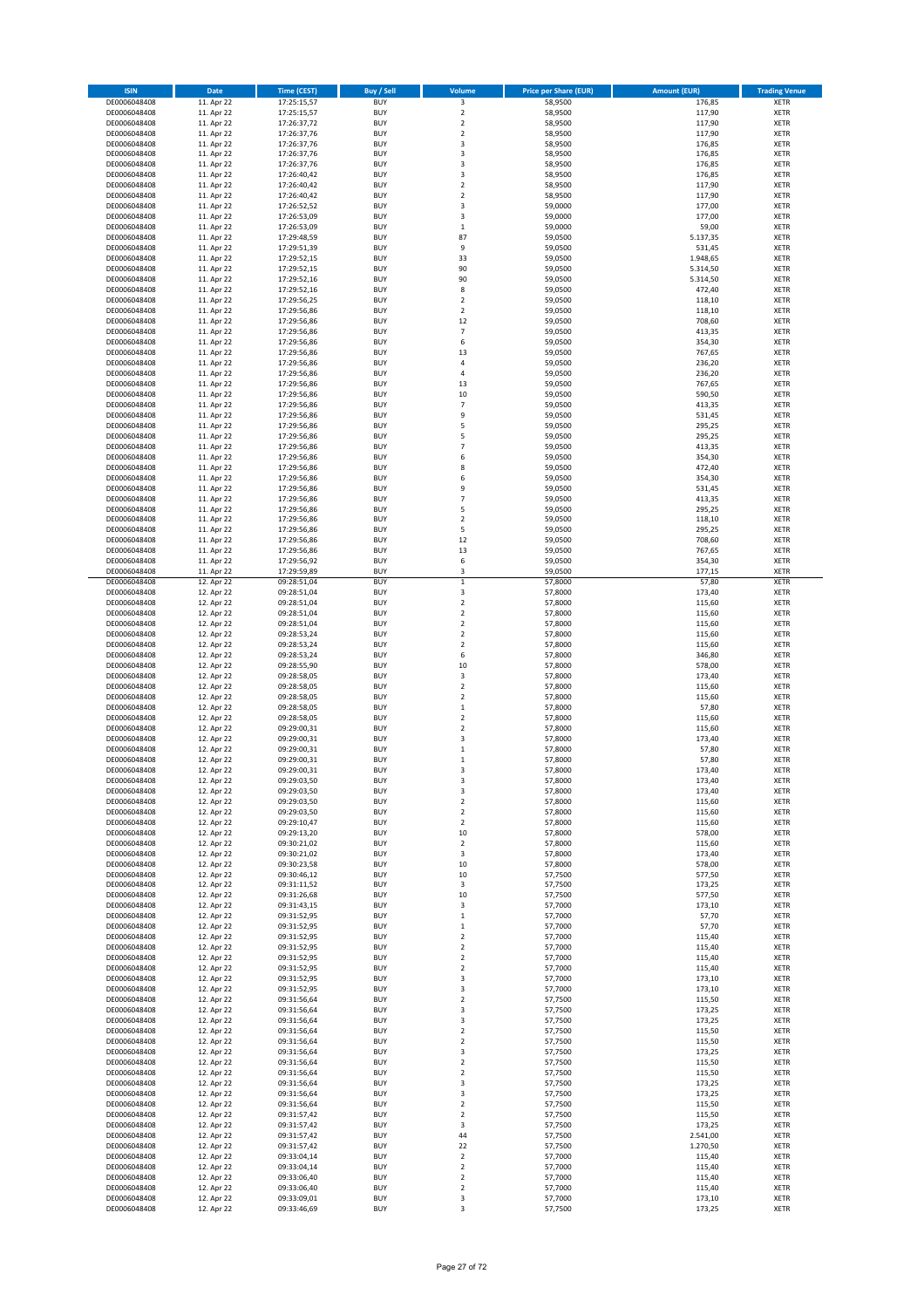| <b>ISIN</b>                  | <b>Date</b>              | Time (CEST)                | <b>Buy / Sell</b>        | Volume                                             | <b>Price per Share (EUR)</b> | <b>Amount (EUR)</b> | <b>Trading Venue</b>       |
|------------------------------|--------------------------|----------------------------|--------------------------|----------------------------------------------------|------------------------------|---------------------|----------------------------|
| DE0006048408                 | 11. Apr 22               | 17:25:15,57                | <b>BUY</b>               | 3                                                  | 58,9500                      | 176,85              | <b>XETR</b>                |
| DE0006048408                 | 11. Apr 22               | 17:25:15,57                | <b>BUY</b>               | $\mathbf 2$                                        | 58,9500                      | 117,90              | <b>XETR</b>                |
| DE0006048408                 | 11. Apr 22               | 17:26:37,72                | <b>BUY</b>               | $\mathbf 2$                                        | 58,9500                      | 117,90              | <b>XETR</b>                |
| DE0006048408                 | 11. Apr 22               | 17:26:37,76                | <b>BUY</b>               | $\mathbf 2$                                        | 58,9500                      | 117,90              | <b>XETR</b>                |
| DE0006048408                 | 11. Apr 22               | 17:26:37,76                | <b>BUY</b>               | 3                                                  | 58,9500                      | 176,85              | <b>XETR</b>                |
| DE0006048408                 | 11. Apr 22               | 17:26:37,76                | <b>BUY</b>               | 3                                                  | 58,9500                      | 176,85              | <b>XETR</b>                |
| DE0006048408                 | 11. Apr 22               | 17:26:37,76                | <b>BUY</b>               | 3                                                  | 58,9500                      | 176,85              | <b>XETR</b>                |
| DE0006048408<br>DE0006048408 | 11. Apr 22<br>11. Apr 22 | 17:26:40,42<br>17:26:40,42 | <b>BUY</b><br><b>BUY</b> | 3<br>$\mathbf 2$                                   | 58,9500<br>58,9500           | 176,85<br>117,90    | <b>XETR</b><br><b>XETR</b> |
| DE0006048408                 | 11. Apr 22               | 17:26:40,42                | <b>BUY</b>               | $\mathbf 2$                                        | 58,9500                      | 117,90              | <b>XETR</b>                |
| DE0006048408                 | 11. Apr 22               | 17:26:52,52                | <b>BUY</b>               | 3                                                  | 59,0000                      | 177,00              | <b>XETR</b>                |
| DE0006048408                 | 11. Apr 22               | 17:26:53,09                | <b>BUY</b>               | 3                                                  | 59,0000                      | 177,00              | <b>XETR</b>                |
| DE0006048408                 | 11. Apr 22               | 17:26:53,09                | <b>BUY</b>               | $\mathbf 1$                                        | 59,0000                      | 59,00               | <b>XETR</b>                |
| DE0006048408                 | 11. Apr 22               | 17:29:48,59                | <b>BUY</b>               | 87                                                 | 59,0500                      | 5.137,35            | <b>XETR</b>                |
| DE0006048408                 | 11. Apr 22               | 17:29:51,39                | <b>BUY</b>               | 9                                                  | 59,0500                      | 531,45              | <b>XETR</b>                |
| DE0006048408                 | 11. Apr 22               | 17:29:52.15                | <b>BUY</b>               | 33                                                 | 59,0500                      | 1.948,65            | <b>XETR</b>                |
| DE0006048408                 | 11. Apr 22               | 17:29:52,15                | <b>BUY</b>               | 90                                                 | 59,0500                      | 5.314,50            | <b>XETR</b>                |
| DE0006048408                 | 11. Apr 22               | 17:29:52,16                | <b>BUY</b>               | 90                                                 | 59,0500                      | 5.314,50            | <b>XETR</b>                |
| DE0006048408                 | 11. Apr 22               | 17:29:52,16                | <b>BUY</b>               | 8                                                  | 59,0500                      | 472,40              | <b>XETR</b>                |
| DE0006048408                 | 11. Apr 22               | 17:29:56,25                | <b>BUY</b>               | $\overline{2}$                                     | 59,0500                      | 118,10              | <b>XETR</b>                |
| DE0006048408                 | 11. Apr 22               | 17:29:56,86                | <b>BUY</b>               | $\overline{2}$                                     | 59,0500                      | 118,10              | <b>XETR</b>                |
| DE0006048408                 | 11. Apr 22               | 17:29:56,86                | <b>BUY</b>               | $12\,$                                             | 59,0500                      | 708,60              | <b>XETR</b>                |
| DE0006048408<br>DE0006048408 | 11. Apr 22<br>11. Apr 22 | 17:29:56,86<br>17:29:56,86 | <b>BUY</b><br><b>BUY</b> | $\overline{7}$<br>6                                | 59,0500<br>59,0500           | 413,35<br>354,30    | <b>XETR</b><br><b>XETR</b> |
| DE0006048408                 | 11. Apr 22               | 17:29:56,86                | <b>BUY</b>               | 13                                                 | 59,0500                      | 767,65              | <b>XETR</b>                |
| DE0006048408                 | 11. Apr 22               | 17:29:56,86                | <b>BUY</b>               | 4                                                  | 59,0500                      | 236,20              | <b>XETR</b>                |
| DE0006048408                 | 11. Apr 22               | 17:29:56,86                | <b>BUY</b>               | $\overline{4}$                                     | 59,0500                      | 236,20              | <b>XETR</b>                |
| DE0006048408                 | 11. Apr 22               | 17:29:56,86                | <b>BUY</b>               | 13                                                 | 59,0500                      | 767,65              | <b>XETR</b>                |
| DE0006048408                 | 11. Apr 22               | 17:29:56,86                | <b>BUY</b>               | $10\,$                                             | 59,0500                      | 590,50              | <b>XETR</b>                |
| DE0006048408                 | 11. Apr 22               | 17:29:56,86                | <b>BUY</b>               | $\overline{\phantom{a}}$                           | 59,0500                      | 413,35              | <b>XETR</b>                |
| DE0006048408                 | 11. Apr 22               | 17:29:56,86                | <b>BUY</b>               | 9                                                  | 59,0500                      | 531,45              | <b>XETR</b>                |
| DE0006048408                 | 11. Apr 22               | 17:29:56,86                | <b>BUY</b>               | 5                                                  | 59,0500                      | 295,25              | <b>XETR</b>                |
| DE0006048408                 | 11. Apr 22               | 17:29:56,86                | <b>BUY</b>               | 5                                                  | 59,0500                      | 295,25              | <b>XETR</b>                |
| DE0006048408                 | 11. Apr 22               | 17:29:56,86                | <b>BUY</b>               | $\overline{7}$                                     | 59,0500                      | 413,35              | <b>XETR</b>                |
| DE0006048408                 | 11. Apr 22               | 17:29:56,86                | <b>BUY</b>               | 6                                                  | 59,0500                      | 354,30              | <b>XETR</b>                |
| DE0006048408                 | 11. Apr 22               | 17:29:56,86                | <b>BUY</b>               | 8                                                  | 59,0500                      | 472,40              | <b>XETR</b>                |
| DE0006048408<br>DE0006048408 | 11. Apr 22               | 17:29:56,86                | <b>BUY</b>               | 6                                                  | 59,0500                      | 354,30              | <b>XETR</b>                |
| DE0006048408                 | 11. Apr 22<br>11. Apr 22 | 17:29:56,86<br>17:29:56,86 | <b>BUY</b><br><b>BUY</b> | 9<br>$\overline{7}$                                | 59,0500<br>59,0500           | 531,45<br>413,35    | <b>XETR</b><br><b>XETR</b> |
| DE0006048408                 | 11. Apr 22               | 17:29:56,86                | <b>BUY</b>               | 5                                                  | 59,0500                      | 295,25              | <b>XETR</b>                |
| DE0006048408                 | 11. Apr 22               | 17:29:56,86                | <b>BUY</b>               | $\overline{2}$                                     | 59,0500                      | 118,10              | <b>XETR</b>                |
| DE0006048408                 | 11. Apr 22               | 17:29:56,86                | <b>BUY</b>               | 5                                                  | 59,0500                      | 295,25              | <b>XETR</b>                |
| DE0006048408                 | 11. Apr 22               | 17:29:56,86                | <b>BUY</b>               | 12                                                 | 59,0500                      | 708,60              | <b>XETR</b>                |
| DE0006048408                 | 11. Apr 22               | 17:29:56,86                | <b>BUY</b>               | 13                                                 | 59,0500                      | 767,65              | <b>XETR</b>                |
| DE0006048408                 | 11. Apr 22               | 17:29:56,92                | <b>BUY</b>               | 6                                                  | 59,0500                      | 354,30              | <b>XETR</b>                |
| DE0006048408                 | 11. Apr 22               | 17:29:59,89                | <b>BUY</b>               | 3                                                  | 59,0500                      | 177,15              | <b>XETR</b>                |
| DE0006048408                 | 12. Apr 22               | 09:28:51,04                | <b>BUY</b>               | $\mathbf 1$                                        | 57,8000                      | 57,80               | <b>XETR</b>                |
| DE0006048408                 | 12. Apr 22               | 09:28:51,04                | <b>BUY</b>               | 3                                                  | 57,8000                      | 173,40              | <b>XETR</b>                |
| DE0006048408                 | 12. Apr 22               | 09:28:51,04                | <b>BUY</b>               | $\mathbf 2$                                        | 57,8000                      | 115,60              | <b>XETR</b>                |
| DE0006048408                 | 12. Apr 22               | 09:28:51,04                | <b>BUY</b>               | $\mathbf 2$                                        | 57,8000                      | 115,60              | <b>XETR</b>                |
| DE0006048408                 | 12. Apr 22               | 09:28:51,04                | <b>BUY</b>               | $\mathbf 2$                                        | 57,8000                      | 115,60              | <b>XETR</b>                |
| DE0006048408                 | 12. Apr 22               | 09:28:53,24                | <b>BUY</b><br><b>BUY</b> | $\overline{\mathbf{c}}$<br>$\overline{\mathbf{c}}$ | 57,8000                      | 115,60              | <b>XETR</b>                |
| DE0006048408<br>DE0006048408 | 12. Apr 22<br>12. Apr 22 | 09:28:53,24<br>09:28:53,24 | <b>BUY</b>               | 6                                                  | 57,8000<br>57,8000           | 115,60<br>346,80    | <b>XETR</b><br><b>XETR</b> |
| DE0006048408                 | 12. Apr 22               | 09:28:55,90                | <b>BUY</b>               | 10                                                 | 57,8000                      | 578,00              | <b>XETR</b>                |
| DE0006048408                 | 12. Apr 22               | 09:28:58,05                | <b>BUY</b>               | 3                                                  | 57,8000                      | 173,40              | <b>XETR</b>                |
| DE0006048408                 | 12. Apr 22               | 09:28:58,05                | <b>BUY</b>               | $\overline{\mathbf{c}}$                            | 57,8000                      | 115,60              | <b>XETR</b>                |
| DE0006048408                 | 12. Apr 22               | 09:28:58,05                | <b>BUY</b>               | $\overline{\mathbf{c}}$                            | 57,8000                      | 115,60              | <b>XETR</b>                |
| DE0006048408                 | 12. Apr 22               | 09:28:58,05                | <b>BUY</b>               | $\mathbf 1$                                        | 57,8000                      | 57,80               | <b>XETR</b>                |
| DE0006048408                 | 12. Apr 22               | 09:28:58,05                | <b>BUY</b>               | $\overline{\mathbf{2}}$                            | 57,8000                      | 115,60              | <b>XETR</b>                |
| DE0006048408                 | 12. Apr 22               | 09:29:00,31                | <b>BUY</b>               | $\mathbf 2$                                        | 57,8000                      | 115,60              | <b>XETR</b>                |
| DE0006048408                 | 12. Apr 22               | 09:29:00,31                | <b>BUY</b>               | 3                                                  | 57,8000                      | 173,40              | <b>XETR</b>                |
| DE0006048408                 | 12. Apr 22               | 09:29:00,31                | <b>BUY</b>               | $\mathbf 1$                                        | 57,8000                      | 57,80               | <b>XETR</b>                |
| DE0006048408                 | 12. Apr 22               | 09:29:00,31                | <b>BUY</b>               | $\mathbf 1$                                        | 57,8000                      | 57,80               | <b>XETR</b>                |
| DE0006048408                 | 12. Apr 22               | 09:29:00,31                | <b>BUY</b>               | 3                                                  | 57,8000                      | 173,40              | <b>XETR</b>                |
| DE0006048408                 | 12. Apr 22               | 09:29:03,50                | <b>BUY</b>               | 3                                                  | 57,8000                      | 173,40              | <b>XETR</b>                |
| DE0006048408<br>DE0006048408 | 12. Apr 22<br>12. Apr 22 | 09:29:03,50<br>09:29:03,50 | <b>BUY</b><br><b>BUY</b> | 3<br>$\mathbf 2$                                   | 57,8000<br>57,8000           | 173,40<br>115,60    | <b>XETR</b><br><b>XETR</b> |
| DE0006048408                 | 12. Apr 22               | 09:29:03,50                | <b>BUY</b>               | 2                                                  | 57,8000                      | 115,60              | <b>XETR</b>                |
| DE0006048408                 | 12. Apr 22               | 09:29:10,47                | <b>BUY</b>               | 2                                                  | 57,8000                      | 115,60              | <b>XETR</b>                |
| DE0006048408                 | 12. Apr 22               | 09:29:13,20                | <b>BUY</b>               | 10                                                 | 57,8000                      | 578,00              | <b>XETR</b>                |
| DE0006048408                 | 12. Apr 22               | 09:30:21,02                | <b>BUY</b>               | $\mathbf 2$                                        | 57,8000                      | 115,60              | <b>XETR</b>                |
| DE0006048408                 | 12. Apr 22               | 09:30:21,02                | <b>BUY</b>               | 3                                                  | 57,8000                      | 173,40              | <b>XETR</b>                |
| DE0006048408                 | 12. Apr 22               | 09:30:23,58                | <b>BUY</b>               | 10                                                 | 57,8000                      | 578,00              | <b>XETR</b>                |
| DE0006048408                 | 12. Apr 22               | 09:30:46,12                | <b>BUY</b>               | $10\,$                                             | 57,7500                      | 577,50              | <b>XETR</b>                |
| DE0006048408                 | 12. Apr 22               | 09:31:11,52                | <b>BUY</b>               | 3                                                  | 57,7500                      | 173,25              | <b>XETR</b>                |
| DE0006048408                 | 12. Apr 22               | 09:31:26,68                | <b>BUY</b>               | $10\,$                                             | 57,7500                      | 577,50              | <b>XETR</b>                |
| DE0006048408<br>DE0006048408 | 12. Apr 22<br>12. Apr 22 | 09:31:43,15<br>09:31:52,95 | <b>BUY</b><br><b>BUY</b> | 3<br>$\mathbf 1$                                   | 57,7000<br>57,7000           | 173,10<br>57,70     | <b>XETR</b><br><b>XETR</b> |
| DE0006048408                 | 12. Apr 22               | 09:31:52,95                | <b>BUY</b>               | $\mathbf 1$                                        | 57,7000                      | 57,70               | <b>XETR</b>                |
| DE0006048408                 | 12. Apr 22               | 09:31:52,95                | <b>BUY</b>               | $\mathbf 2$                                        | 57,7000                      | 115,40              | <b>XETR</b>                |
| DE0006048408                 | 12. Apr 22               | 09:31:52,95                | <b>BUY</b>               | $\overline{\mathbf{c}}$                            | 57,7000                      | 115,40              | <b>XETR</b>                |
| DE0006048408                 | 12. Apr 22               | 09:31:52,95                | <b>BUY</b>               | $\overline{\mathbf{c}}$                            | 57,7000                      | 115,40              | <b>XETR</b>                |
| DE0006048408                 | 12. Apr 22               | 09:31:52,95                | <b>BUY</b>               | $\overline{\mathbf{2}}$                            | 57,7000                      | 115,40              | <b>XETR</b>                |
| DE0006048408                 | 12. Apr 22               | 09:31:52,95                | <b>BUY</b>               | 3                                                  | 57,7000                      | 173,10              | <b>XETR</b>                |
| DE0006048408                 | 12. Apr 22               | 09:31:52,95                | <b>BUY</b>               | 3                                                  | 57,7000                      | 173,10              | <b>XETR</b>                |
| DE0006048408                 | 12. Apr 22               | 09:31:56,64                | <b>BUY</b>               | $\overline{2}$                                     | 57,7500                      | 115,50              | <b>XETR</b>                |
| DE0006048408                 | 12. Apr 22               | 09:31:56,64                | <b>BUY</b>               | 3                                                  | 57,7500                      | 173,25              | <b>XETR</b>                |
| DE0006048408                 | 12. Apr 22               | 09:31:56,64                | <b>BUY</b>               | 3                                                  | 57,7500                      | 173,25              | <b>XETR</b>                |
| DE0006048408                 | 12. Apr 22               | 09:31:56,64                | <b>BUY</b>               | $\mathbf 2$                                        | 57,7500                      | 115,50              | <b>XETR</b>                |
| DE0006048408                 | 12. Apr 22               | 09:31:56,64                | <b>BUY</b>               | $\overline{\mathbf{2}}$                            | 57,7500                      | 115,50              | <b>XETR</b>                |
| DE0006048408                 | 12. Apr 22<br>12. Apr 22 | 09:31:56,64                | <b>BUY</b><br><b>BUY</b> | 3<br>$\overline{\mathbf{2}}$                       | 57,7500                      | 173,25<br>115,50    | <b>XETR</b><br><b>XETR</b> |
| DE0006048408<br>DE0006048408 | 12. Apr 22               | 09:31:56,64<br>09:31:56,64 | <b>BUY</b>               | 2                                                  | 57,7500<br>57,7500           | 115,50              | <b>XETR</b>                |
| DE0006048408                 | 12. Apr 22               | 09:31:56,64                | <b>BUY</b>               | 3                                                  | 57,7500                      | 173,25              | <b>XETR</b>                |
| DE0006048408                 | 12. Apr 22               | 09:31:56,64                | <b>BUY</b>               | 3                                                  | 57,7500                      | 173,25              | <b>XETR</b>                |
| DE0006048408                 | 12. Apr 22               | 09:31:56,64                | <b>BUY</b>               | $\mathbf 2$                                        | 57,7500                      | 115,50              | <b>XETR</b>                |
| DE0006048408                 | 12. Apr 22               | 09:31:57,42                | <b>BUY</b>               | 2                                                  | 57,7500                      | 115,50              | <b>XETR</b>                |
| DE0006048408                 | 12. Apr 22               | 09:31:57,42                | <b>BUY</b>               | 3                                                  | 57,7500                      | 173,25              | <b>XETR</b>                |
| DE0006048408                 | 12. Apr 22               | 09:31:57,42                | <b>BUY</b>               | 44                                                 | 57,7500                      | 2.541,00            | <b>XETR</b>                |
| DE0006048408                 | 12. Apr 22               | 09:31:57,42                | <b>BUY</b>               | 22                                                 | 57,7500                      | 1.270,50            | <b>XETR</b>                |
| DE0006048408                 | 12. Apr 22               | 09:33:04,14                | <b>BUY</b>               | $\mathbf 2$                                        | 57,7000                      | 115,40              | <b>XETR</b>                |
| DE0006048408                 | 12. Apr 22               | 09:33:04,14                | <b>BUY</b>               | 2                                                  | 57,7000                      | 115,40              | <b>XETR</b>                |
| DE0006048408                 | 12. Apr 22               | 09:33:06,40                | <b>BUY</b>               | 2                                                  | 57,7000                      | 115,40              | <b>XETR</b>                |
| DE0006048408                 | 12. Apr 22               | 09:33:06,40                | <b>BUY</b>               | 2                                                  | 57,7000                      | 115,40              | <b>XETR</b>                |
| DE0006048408                 | 12. Apr 22               | 09:33:09,01                | <b>BUY</b>               | 3                                                  | 57,7000                      | 173,10              | <b>XETR</b>                |
| DE0006048408                 | 12. Apr 22               | 09:33:46,69                | <b>BUY</b>               | 3                                                  | 57,7500                      | 173,25              | <b>XETR</b>                |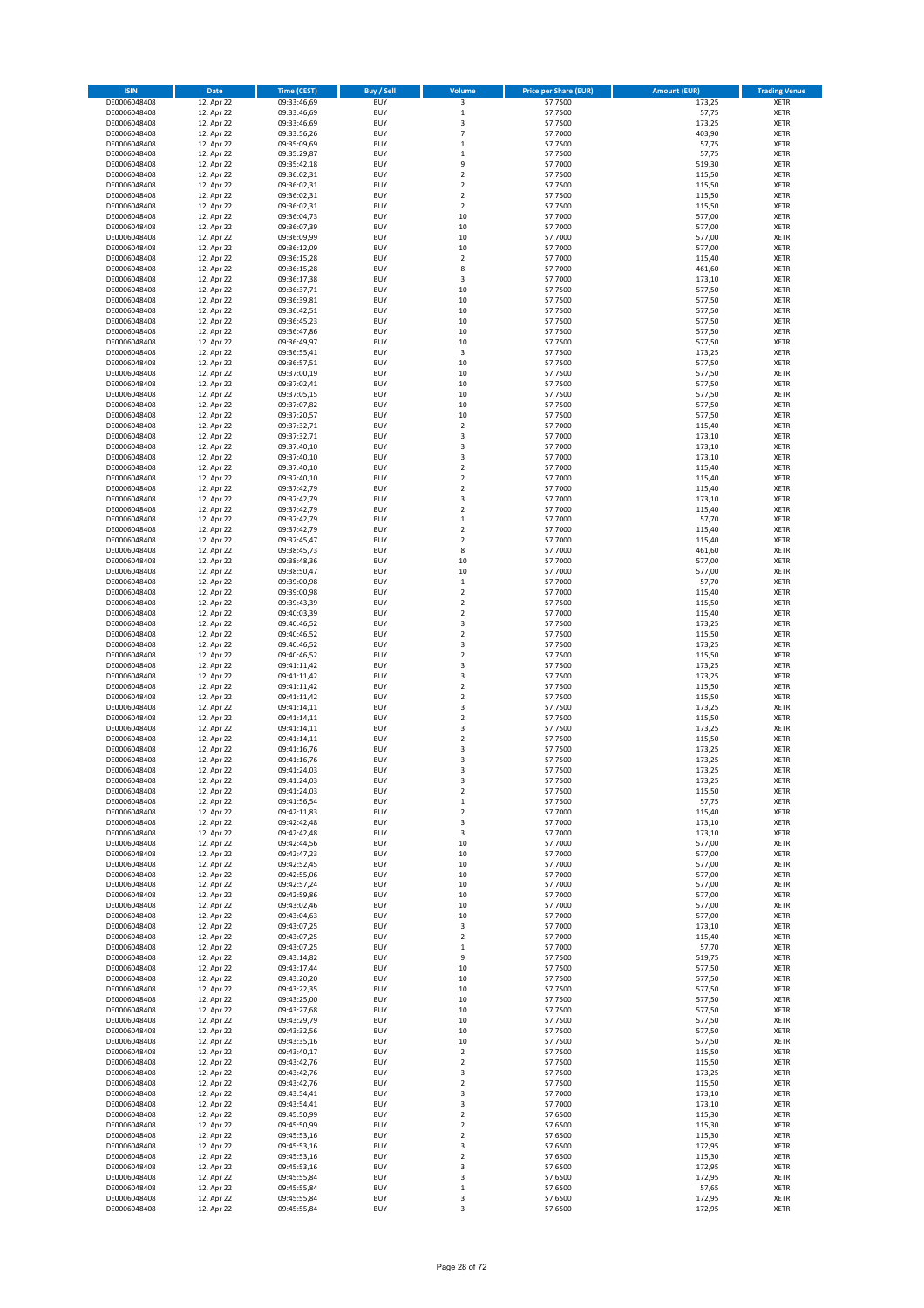| <b>ISIN</b>                  | <b>Date</b>              | <b>Time (CEST)</b>         | <b>Buy / Sell</b>        | Volume                                             | <b>Price per Share (EUR)</b> | <b>Amount (EUR)</b> | <b>Trading Venue</b>       |
|------------------------------|--------------------------|----------------------------|--------------------------|----------------------------------------------------|------------------------------|---------------------|----------------------------|
| DE0006048408                 | 12. Apr 22               | 09:33:46,69                | <b>BUY</b>               | 3                                                  | 57,7500                      | 173,25              | XETR                       |
| DE0006048408<br>DE0006048408 | 12. Apr 22<br>12. Apr 22 | 09:33:46,69<br>09:33:46,69 | <b>BUY</b><br><b>BUY</b> | $\mathbf 1$<br>3                                   | 57,7500<br>57,7500           | 57,75<br>173,25     | XETR<br><b>XETR</b>        |
| DE0006048408                 | 12. Apr 22               | 09:33:56,26                | <b>BUY</b>               | $\overline{7}$                                     | 57,7000                      | 403,90              | <b>XETR</b>                |
| DE0006048408                 | 12. Apr 22               | 09:35:09,69                | <b>BUY</b>               | $\mathbf 1$                                        | 57,7500                      | 57,75               | <b>XETR</b>                |
| DE0006048408                 | 12. Apr 22               | 09:35:29,87                | <b>BUY</b>               | $\mathbf{1}$                                       | 57,7500                      | 57,75               | <b>XETR</b>                |
| DE0006048408<br>DE0006048408 | 12. Apr 22<br>12. Apr 22 | 09:35:42,18<br>09:36:02,31 | <b>BUY</b><br><b>BUY</b> | 9<br>$\overline{\mathbf{c}}$                       | 57,7000<br>57,7500           | 519,30<br>115,50    | <b>XETR</b><br><b>XETR</b> |
| DE0006048408                 | 12. Apr 22               | 09:36:02,31                | <b>BUY</b>               | $\mathbf 2$                                        | 57,7500                      | 115,50              | <b>XETR</b>                |
| DE0006048408                 | 12. Apr 22               | 09:36:02,31                | <b>BUY</b>               | $\overline{\mathbf{c}}$                            | 57,7500                      | 115,50              | <b>XETR</b>                |
| DE0006048408                 | 12. Apr 22               | 09:36:02,31                | <b>BUY</b>               | $\mathbf 2$                                        | 57,7500                      | 115,50              | <b>XETR</b>                |
| DE0006048408<br>DE0006048408 | 12. Apr 22               | 09:36:04,73<br>09:36:07,39 | <b>BUY</b><br><b>BUY</b> | 10<br>10                                           | 57,7000<br>57,7000           | 577,00<br>577,00    | <b>XETR</b><br>XETR        |
| DE0006048408                 | 12. Apr 22<br>12. Apr 22 | 09:36:09,99                | <b>BUY</b>               | 10                                                 | 57,7000                      | 577,00              | <b>XETR</b>                |
| DE0006048408                 | 12. Apr 22               | 09:36:12,09                | <b>BUY</b>               | 10                                                 | 57,7000                      | 577,00              | XETR                       |
| DE0006048408                 | 12. Apr 22               | 09:36:15,28                | <b>BUY</b>               | $\overline{\mathbf{c}}$                            | 57,7000                      | 115,40              | <b>XETR</b>                |
| DE0006048408<br>DE0006048408 | 12. Apr 22<br>12. Apr 22 | 09:36:15,28<br>09:36:17,38 | <b>BUY</b><br><b>BUY</b> | 8<br>3                                             | 57,7000<br>57,7000           | 461,60<br>173,10    | XETR<br><b>XETR</b>        |
| DE0006048408                 | 12. Apr 22               | 09:36:37,71                | <b>BUY</b>               | 10                                                 | 57,7500                      | 577,50              | XETR                       |
| DE0006048408                 | 12. Apr 22               | 09:36:39,81                | <b>BUY</b>               | 10                                                 | 57,7500                      | 577,50              | <b>XETR</b>                |
| DE0006048408                 | 12. Apr 22               | 09:36:42,51                | <b>BUY</b>               | 10                                                 | 57,7500                      | 577,50              | <b>XETR</b>                |
| DE0006048408<br>DE0006048408 | 12. Apr 22<br>12. Apr 22 | 09:36:45,23<br>09:36:47,86 | <b>BUY</b><br><b>BUY</b> | 10<br>10                                           | 57,7500<br>57,7500           | 577,50<br>577,50    | <b>XETR</b><br><b>XETR</b> |
| DE0006048408                 | 12. Apr 22               | 09:36:49,97                | <b>BUY</b>               | 10                                                 | 57,7500                      | 577,50              | <b>XETR</b>                |
| DE0006048408                 | 12. Apr 22               | 09:36:55,41                | <b>BUY</b>               | 3                                                  | 57,7500                      | 173,25              | <b>XETR</b>                |
| DE0006048408                 | 12. Apr 22               | 09:36:57,51                | <b>BUY</b>               | 10                                                 | 57,7500                      | 577,50              | <b>XETR</b>                |
| DE0006048408<br>DE0006048408 | 12. Apr 22<br>12. Apr 22 | 09:37:00,19<br>09:37:02,41 | <b>BUY</b><br><b>BUY</b> | 10<br>10                                           | 57,7500<br>57,7500           | 577,50<br>577,50    | <b>XETR</b><br><b>XETR</b> |
| DE0006048408                 | 12. Apr 22               | 09:37:05,15                | <b>BUY</b>               | 10                                                 | 57,7500                      | 577,50              | <b>XETR</b>                |
| DE0006048408                 | 12. Apr 22               | 09:37:07,82                | <b>BUY</b>               | 10                                                 | 57,7500                      | 577,50              | <b>XETR</b>                |
| DE0006048408                 | 12. Apr 22               | 09:37:20,57                | <b>BUY</b>               | 10                                                 | 57,7500                      | 577,50              | <b>XETR</b>                |
| DE0006048408<br>DE0006048408 | 12. Apr 22<br>12. Apr 22 | 09:37:32,71<br>09:37:32,71 | <b>BUY</b><br><b>BUY</b> | $\mathbf 2$<br>3                                   | 57,7000<br>57,7000           | 115,40<br>173,10    | <b>XETR</b><br><b>XETR</b> |
| DE0006048408                 | 12. Apr 22               | 09:37:40,10                | <b>BUY</b>               | 3                                                  | 57,7000                      | 173,10              | XETR                       |
| DE0006048408                 | 12. Apr 22               | 09:37:40,10                | <b>BUY</b>               | 3                                                  | 57,7000                      | 173,10              | <b>XETR</b>                |
| DE0006048408                 | 12. Apr 22               | 09:37:40,10                | <b>BUY</b>               | $\mathbf 2$                                        | 57,7000                      | 115,40              | XETR                       |
| DE0006048408<br>DE0006048408 | 12. Apr 22<br>12. Apr 22 | 09:37:40,10<br>09:37:42,79 | <b>BUY</b><br><b>BUY</b> | $\overline{\mathbf{c}}$<br>$\mathbf 2$             | 57,7000<br>57,7000           | 115,40<br>115,40    | <b>XETR</b><br>XETR        |
| DE0006048408                 | 12. Apr 22               | 09:37:42,79                | <b>BUY</b>               | 3                                                  | 57,7000                      | 173,10              | <b>XETR</b>                |
| DE0006048408                 | 12. Apr 22               | 09:37:42,79                | <b>BUY</b>               | $\mathbf 2$                                        | 57,7000                      | 115,40              | <b>XETR</b>                |
| DE0006048408                 | 12. Apr 22               | 09:37:42,79                | <b>BUY</b>               | $\mathbf 1$                                        | 57,7000                      | 57,70               | <b>XETR</b>                |
| DE0006048408<br>DE0006048408 | 12. Apr 22<br>12. Apr 22 | 09:37:42,79<br>09:37:45,47 | <b>BUY</b><br><b>BUY</b> | $\overline{\mathbf{c}}$<br>$\overline{\mathbf{c}}$ | 57,7000<br>57,7000           | 115,40<br>115,40    | XETR<br><b>XETR</b>        |
| DE0006048408                 | 12. Apr 22               | 09:38:45,73                | <b>BUY</b>               | 8                                                  | 57,7000                      | 461,60              | XETR                       |
| DE0006048408                 | 12. Apr 22               | 09:38:48,36                | <b>BUY</b>               | 10                                                 | 57,7000                      | 577,00              | <b>XETR</b>                |
| DE0006048408                 | 12. Apr 22               | 09:38:50,47                | <b>BUY</b>               | 10                                                 | 57,7000                      | 577,00              | XETR                       |
| DE0006048408<br>DE0006048408 | 12. Apr 22<br>12. Apr 22 | 09:39:00,98<br>09:39:00,98 | <b>BUY</b><br><b>BUY</b> | $\mathbf 1$<br>$\mathbf 2$                         | 57,7000<br>57,7000           | 57,70<br>115,40     | XETR<br><b>XETR</b>        |
| DE0006048408                 | 12. Apr 22               | 09:39:43,39                | <b>BUY</b>               | $\mathbf 2$                                        | 57,7500                      | 115,50              | <b>XETR</b>                |
| DE0006048408                 | 12. Apr 22               | 09:40:03,39                | <b>BUY</b>               | $\mathbf 2$                                        | 57,7000                      | 115,40              | XETR                       |
| DE0006048408                 | 12. Apr 22               | 09:40:46,52                | <b>BUY</b>               | 3                                                  | 57,7500                      | 173,25              | <b>XETR</b>                |
| DE0006048408<br>DE0006048408 | 12. Apr 22<br>12. Apr 22 | 09:40:46,52<br>09:40:46,52 | <b>BUY</b><br><b>BUY</b> | $\mathbf 2$<br>3                                   | 57,7500<br>57,7500           | 115,50<br>173,25    | <b>XETR</b><br><b>XETR</b> |
| DE0006048408                 | 12. Apr 22               | 09:40:46,52                | <b>BUY</b>               | $\mathbf 2$                                        | 57,7500                      | 115,50              | XETR                       |
| DE0006048408                 | 12. Apr 22               | 09:41:11,42                | <b>BUY</b>               | 3                                                  | 57,7500                      | 173,25              | XETR                       |
| DE0006048408<br>DE0006048408 | 12. Apr 22<br>12. Apr 22 | 09:41:11,42<br>09:41:11,42 | <b>BUY</b><br><b>BUY</b> | 3<br>$\mathbf 2$                                   | 57,7500<br>57,7500           | 173,25<br>115,50    | <b>XETR</b><br><b>XETR</b> |
| DE0006048408                 | 12. Apr 22               | 09:41:11,42                | <b>BUY</b>               | $\mathbf 2$                                        | 57,7500                      | 115,50              | XETR                       |
| DE0006048408                 | 12. Apr 22               | 09:41:14,11                | <b>BUY</b>               | 3                                                  | 57,7500                      | 173,25              | XETR                       |
| DE0006048408                 | 12. Apr 22               | 09:41:14,11                | <b>BUY</b>               | $\mathbf 2$                                        | 57,7500                      | 115,50              | <b>XETR</b>                |
| DE0006048408<br>DE0006048408 | 12. Apr 22<br>12. Apr 22 | 09:41:14,11<br>09:41:14,11 | <b>BUY</b><br><b>BUY</b> | 3<br>$\mathbf 2$                                   | 57,7500<br>57,7500           | 173,25<br>115,50    | XETR<br><b>XETR</b>        |
| DE0006048408                 | 12. Apr 22               | 09:41:16,76                | <b>BUY</b>               | 3                                                  | 57,7500                      | 173,25              | XETR                       |
| DE0006048408                 | 12. Apr 22               | 09:41:16,76                | <b>BUY</b>               | 3                                                  | 57,7500                      | 173,25              | <b>XETR</b>                |
| DE0006048408                 | 12. Apr 22               | 09:41:24,03                | <b>BUY</b>               | 3                                                  | 57,7500                      | 173,25              | <b>XETR</b>                |
| DE0006048408<br>DE0006048408 | 12. Apr 22<br>12. Apr 22 | 09:41:24,03<br>09:41:24,03 | <b>BUY</b><br><b>BUY</b> | 3<br>2                                             | 57,7500<br>57,7500           | 173,25<br>115,50    | XETR<br>XETR               |
| DE0006048408                 | 12. Apr 22               | 09:41:56,54                | <b>BUY</b>               | $\mathbf 1$                                        | 57,7500                      | 57,75               | XETR                       |
| DE0006048408                 | 12. Apr 22               | 09:42:11,83                | <b>BUY</b>               | 2                                                  | 57,7000                      | 115,40              | XETR                       |
| DE0006048408                 | 12. Apr 22               | 09:42:42,48<br>09:42:42,48 | <b>BUY</b><br><b>BUY</b> | 3                                                  | 57,7000<br>57,7000           | 173,10              | <b>XETR</b><br>XETR        |
| DE0006048408<br>DE0006048408 | 12. Apr 22<br>12. Apr 22 | 09:42:44,56                | <b>BUY</b>               | 3<br>10                                            | 57,7000                      | 173,10<br>577,00    | <b>XETR</b>                |
| DE0006048408                 | 12. Apr 22               | 09:42:47,23                | <b>BUY</b>               | 10                                                 | 57,7000                      | 577,00              | XETR                       |
| DE0006048408                 | 12. Apr 22               | 09:42:52,45                | <b>BUY</b>               | 10                                                 | 57,7000                      | 577,00              | <b>XETR</b>                |
| DE0006048408<br>DE0006048408 | 12. Apr 22<br>12. Apr 22 | 09:42:55,06<br>09:42:57,24 | <b>BUY</b><br><b>BUY</b> | 10<br>10                                           | 57,7000<br>57,7000           | 577,00<br>577,00    | XETR<br><b>XETR</b>        |
| DE0006048408                 | 12. Apr 22               | 09:42:59,86                | <b>BUY</b>               | 10                                                 | 57,7000                      | 577,00              | XETR                       |
| DE0006048408                 | 12. Apr 22               | 09:43:02,46                | <b>BUY</b>               | 10                                                 | 57,7000                      | 577,00              | <b>XETR</b>                |
| DE0006048408<br>DE0006048408 | 12. Apr 22<br>12. Apr 22 | 09:43:04,63<br>09:43:07,25 | <b>BUY</b><br><b>BUY</b> | 10<br>3                                            | 57,7000<br>57,7000           | 577,00<br>173,10    | XETR<br><b>XETR</b>        |
| DE0006048408                 | 12. Apr 22               | 09:43:07,25                | <b>BUY</b>               | $\mathbf 2$                                        | 57,7000                      | 115,40              | XETR                       |
| DE0006048408                 | 12. Apr 22               | 09:43:07,25                | <b>BUY</b>               | $\mathbf 1$                                        | 57,7000                      | 57,70               | <b>XETR</b>                |
| DE0006048408                 | 12. Apr 22               | 09:43:14,82                | <b>BUY</b>               | 9                                                  | 57,7500                      | 519,75              | <b>XETR</b>                |
| DE0006048408                 | 12. Apr 22               | 09:43:17,44                | <b>BUY</b><br><b>BUY</b> | 10<br>10                                           | 57,7500<br>57,7500           | 577,50              | <b>XETR</b><br>XETR        |
| DE0006048408<br>DE0006048408 | 12. Apr 22<br>12. Apr 22 | 09:43:20,20<br>09:43:22,35 | <b>BUY</b>               | 10                                                 | 57,7500                      | 577,50<br>577,50    | <b>XETR</b>                |
| DE0006048408                 | 12. Apr 22               | 09:43:25,00                | <b>BUY</b>               | 10                                                 | 57,7500                      | 577,50              | <b>XETR</b>                |
| DE0006048408                 | 12. Apr 22               | 09:43:27,68                | <b>BUY</b>               | 10                                                 | 57,7500                      | 577,50              | XETR                       |
| DE0006048408<br>DE0006048408 | 12. Apr 22<br>12. Apr 22 | 09:43:29,79<br>09:43:32,56 | <b>BUY</b><br><b>BUY</b> | 10<br>10                                           | 57,7500<br>57,7500           | 577,50<br>577,50    | <b>XETR</b><br>XETR        |
| DE0006048408                 | 12. Apr 22               | 09:43:35,16                | <b>BUY</b>               | 10                                                 | 57,7500                      | 577,50              | <b>XETR</b>                |
| DE0006048408                 | 12. Apr 22               | 09:43:40,17                | <b>BUY</b>               | 2                                                  | 57,7500                      | 115,50              | XETR                       |
| DE0006048408                 | 12. Apr 22               | 09:43:42,76                | <b>BUY</b>               | $\mathbf 2$                                        | 57,7500                      | 115,50              | <b>XETR</b>                |
| DE0006048408<br>DE0006048408 | 12. Apr 22<br>12. Apr 22 | 09:43:42,76<br>09:43:42,76 | <b>BUY</b><br><b>BUY</b> | 3<br>$\mathbf 2$                                   | 57,7500<br>57,7500           | 173,25<br>115,50    | XETR<br><b>XETR</b>        |
| DE0006048408                 | 12. Apr 22               | 09:43:54,41                | <b>BUY</b>               | 3                                                  | 57,7000                      | 173,10              | XETR                       |
| DE0006048408                 | 12. Apr 22               | 09:43:54,41                | <b>BUY</b>               | 3                                                  | 57,7000                      | 173,10              | <b>XETR</b>                |
| DE0006048408                 | 12. Apr 22               | 09:45:50,99                | <b>BUY</b>               | $\mathbf 2$                                        | 57,6500                      | 115,30              | XETR                       |
| DE0006048408<br>DE0006048408 | 12. Apr 22<br>12. Apr 22 | 09:45:50,99<br>09:45:53,16 | <b>BUY</b><br><b>BUY</b> | 2<br>2                                             | 57,6500<br>57,6500           | 115,30<br>115,30    | <b>XETR</b><br><b>XETR</b> |
| DE0006048408                 | 12. Apr 22               | 09:45:53,16                | <b>BUY</b>               | 3                                                  | 57,6500                      | 172,95              | <b>XETR</b>                |
| DE0006048408                 | 12. Apr 22               | 09:45:53,16                | <b>BUY</b>               | $\mathbf 2$                                        | 57,6500                      | 115,30              | XETR                       |
| DE0006048408<br>DE0006048408 | 12. Apr 22<br>12. Apr 22 | 09:45:53,16<br>09:45:55,84 | <b>BUY</b><br><b>BUY</b> | 3<br>3                                             | 57,6500<br>57,6500           | 172,95<br>172,95    | <b>XETR</b><br>XETR        |
| DE0006048408                 | 12. Apr 22               | 09:45:55,84                | <b>BUY</b>               | $\mathbf 1$                                        | 57,6500                      | 57,65               | XETR                       |
| DE0006048408                 | 12. Apr 22               | 09:45:55,84                | <b>BUY</b>               | 3                                                  | 57,6500                      | 172,95              | XETR                       |
| DE0006048408                 | 12. Apr 22               | 09:45:55,84                | <b>BUY</b>               | 3                                                  | 57,6500                      | 172,95              | <b>XETR</b>                |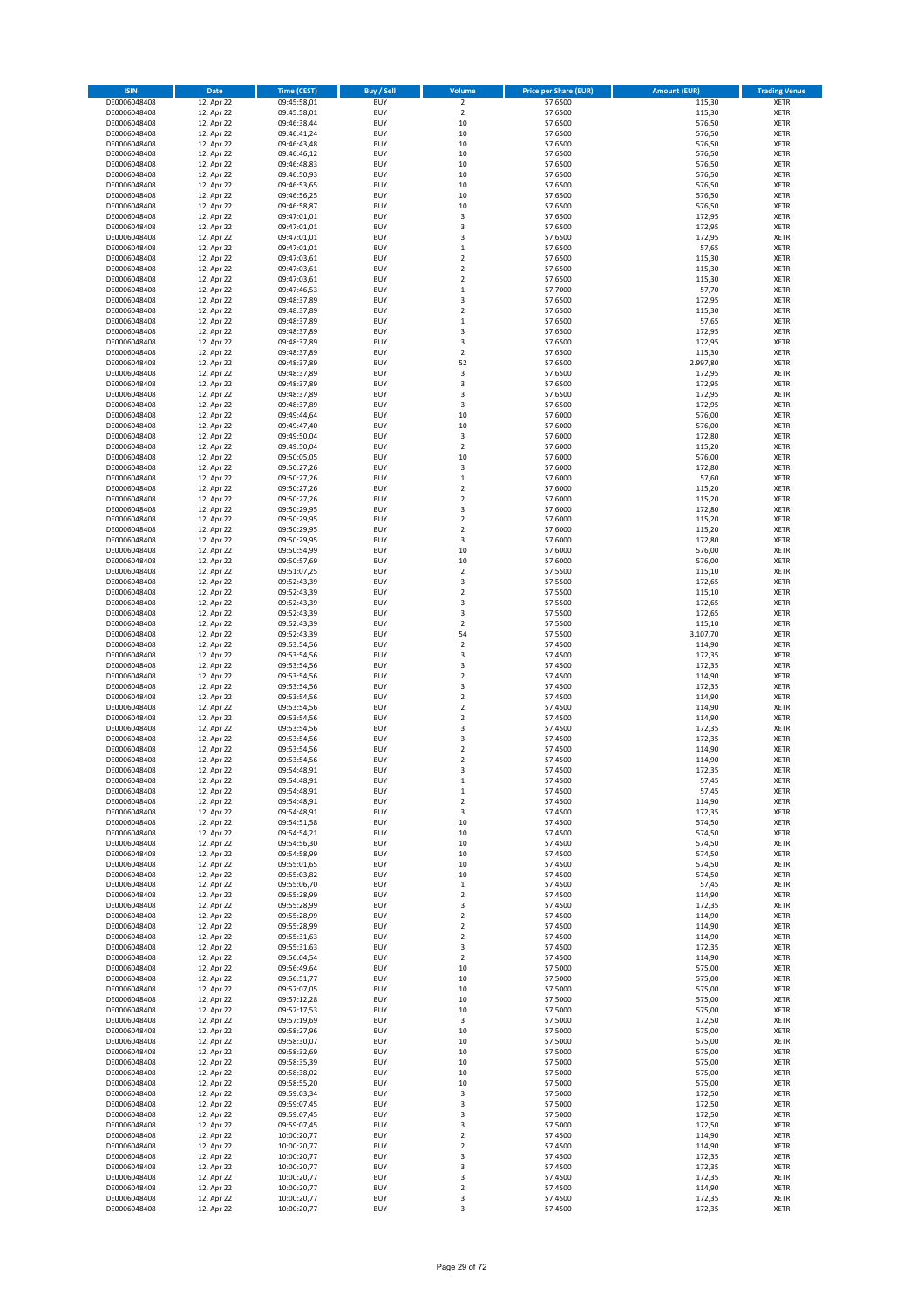| <b>ISIN</b>                  | Date                     | <b>Time (CEST)</b>         | <b>Buy / Sell</b>        | Volume                           | <b>Price per Share (EUR)</b> | <b>Amount (EUR)</b> | <b>Trading Venue</b>       |
|------------------------------|--------------------------|----------------------------|--------------------------|----------------------------------|------------------------------|---------------------|----------------------------|
| DE0006048408                 | 12. Apr 22               | 09:45:58,01                | <b>BUY</b>               | $\overline{2}$                   | 57,6500                      | 115,30              | <b>XETR</b>                |
| DE0006048408                 | 12. Apr 22               | 09:45:58,01                | <b>BUY</b>               | $\mathbf 2$                      | 57,6500                      | 115,30              | <b>XETR</b>                |
| DE0006048408<br>DE0006048408 | 12. Apr 22<br>12. Apr 22 | 09:46:38,44<br>09:46:41,24 | <b>BUY</b><br><b>BUY</b> | $10\,$<br>10                     | 57,6500<br>57,6500           | 576,50<br>576,50    | <b>XETR</b><br><b>XETR</b> |
| DE0006048408                 | 12. Apr 22               | 09:46:43,48                | <b>BUY</b>               | $10\,$                           | 57,6500                      | 576,50              | <b>XETR</b>                |
| DE0006048408                 | 12. Apr 22               | 09:46:46,12                | <b>BUY</b>               | 10                               | 57,6500                      | 576,50              | <b>XETR</b>                |
| DE0006048408                 | 12. Apr 22               | 09:46:48,83                | <b>BUY</b>               | 10                               | 57,6500                      | 576,50              | <b>XETR</b>                |
| DE0006048408                 | 12. Apr 22               | 09:46:50,93                | <b>BUY</b>               | 10                               | 57,6500                      | 576,50              | <b>XETR</b>                |
| DE0006048408<br>DE0006048408 | 12. Apr 22<br>12. Apr 22 | 09:46:53,65                | <b>BUY</b><br><b>BUY</b> | 10<br>10                         | 57,6500<br>57,6500           | 576,50<br>576,50    | XETR<br><b>XETR</b>        |
| DE0006048408                 | 12. Apr 22               | 09:46:56,25<br>09:46:58,87 | <b>BUY</b>               | 10                               | 57,6500                      | 576,50              | XETR                       |
| DE0006048408                 | 12. Apr 22               | 09:47:01,01                | <b>BUY</b>               | 3                                | 57,6500                      | 172,95              | <b>XETR</b>                |
| DE0006048408                 | 12. Apr 22               | 09:47:01,01                | <b>BUY</b>               | 3                                | 57,6500                      | 172,95              | XETR                       |
| DE0006048408                 | 12. Apr 22               | 09:47:01,01                | <b>BUY</b>               | 3                                | 57,6500                      | 172,95              | <b>XETR</b>                |
| DE0006048408                 | 12. Apr 22               | 09:47:01,01                | <b>BUY</b>               | $\,$ 1                           | 57,6500                      | 57,65               | <b>XETR</b>                |
| DE0006048408<br>DE0006048408 | 12. Apr 22<br>12. Apr 22 | 09:47:03,61<br>09:47:03,61 | <b>BUY</b><br><b>BUY</b> | $\overline{2}$<br>$\mathbf 2$    | 57,6500<br>57,6500           | 115,30<br>115,30    | <b>XETR</b><br>XETR        |
| DE0006048408                 | 12. Apr 22               | 09:47:03,61                | <b>BUY</b>               | $\overline{2}$                   | 57,6500                      | 115,30              | <b>XETR</b>                |
| DE0006048408                 | 12. Apr 22               | 09:47:46,53                | <b>BUY</b>               | $\,1\,$                          | 57,7000                      | 57,70               | XETR                       |
| DE0006048408                 | 12. Apr 22               | 09:48:37,89                | <b>BUY</b>               | 3                                | 57,6500                      | 172,95              | <b>XETR</b>                |
| DE0006048408                 | 12. Apr 22               | 09:48:37,89                | <b>BUY</b>               | $\overline{2}$                   | 57,6500                      | 115,30              | <b>XETR</b>                |
| DE0006048408<br>DE0006048408 | 12. Apr 22<br>12. Apr 22 | 09:48:37,89<br>09:48:37,89 | <b>BUY</b><br><b>BUY</b> | $\,$ 1<br>3                      | 57,6500<br>57,6500           | 57,65<br>172,95     | <b>XETR</b><br><b>XETR</b> |
| DE0006048408                 | 12. Apr 22               | 09:48:37,89                | <b>BUY</b>               | 3                                | 57,6500                      | 172,95              | <b>XETR</b>                |
| DE0006048408                 | 12. Apr 22               | 09:48:37,89                | <b>BUY</b>               | $\overline{2}$                   | 57,6500                      | 115,30              | <b>XETR</b>                |
| DE0006048408                 | 12. Apr 22               | 09:48:37,89                | <b>BUY</b>               | 52                               | 57,6500                      | 2.997,80            | <b>XETR</b>                |
| DE0006048408                 | 12. Apr 22               | 09:48:37,89                | <b>BUY</b>               | 3                                | 57,6500                      | 172,95              | <b>XETR</b>                |
| DE0006048408<br>DE0006048408 | 12. Apr 22<br>12. Apr 22 | 09:48:37,89                | <b>BUY</b><br><b>BUY</b> | 3<br>3                           | 57,6500<br>57,6500           | 172,95<br>172,95    | <b>XETR</b><br><b>XETR</b> |
| DE0006048408                 | 12. Apr 22               | 09:48:37,89<br>09:48:37,89 | <b>BUY</b>               | 3                                | 57,6500                      | 172,95              | <b>XETR</b>                |
| DE0006048408                 | 12. Apr 22               | 09:49:44,64                | <b>BUY</b>               | 10                               | 57,6000                      | 576,00              | <b>XETR</b>                |
| DE0006048408                 | 12. Apr 22               | 09:49:47,40                | <b>BUY</b>               | 10                               | 57,6000                      | 576,00              | <b>XETR</b>                |
| DE0006048408                 | 12. Apr 22               | 09:49:50,04                | <b>BUY</b>               | 3                                | 57,6000                      | 172,80              | <b>XETR</b>                |
| DE0006048408<br>DE0006048408 | 12. Apr 22<br>12. Apr 22 | 09:49:50,04<br>09:50:05,05 | <b>BUY</b><br><b>BUY</b> | $\mathbf 2$<br>10                | 57,6000<br>57,6000           | 115,20<br>576,00    | XETR<br><b>XETR</b>        |
| DE0006048408                 | 12. Apr 22               | 09:50:27,26                | <b>BUY</b>               | $\overline{\mathbf{3}}$          | 57,6000                      | 172,80              | XETR                       |
| DE0006048408                 | 12. Apr 22               | 09:50:27,26                | <b>BUY</b>               | $\,1\,$                          | 57,6000                      | 57,60               | <b>XETR</b>                |
| DE0006048408                 | 12. Apr 22               | 09:50:27,26                | <b>BUY</b>               | $\sqrt{2}$                       | 57,6000                      | 115,20              | XETR                       |
| DE0006048408                 | 12. Apr 22               | 09:50:27,26                | <b>BUY</b>               | $\overline{2}$                   | 57,6000                      | 115,20              | <b>XETR</b>                |
| DE0006048408                 | 12. Apr 22               | 09:50:29,95                | <b>BUY</b>               | $\overline{\mathbf{3}}$          | 57,6000                      | 172,80              | <b>XETR</b>                |
| DE0006048408<br>DE0006048408 | 12. Apr 22<br>12. Apr 22 | 09:50:29,95<br>09:50:29,95 | <b>BUY</b><br><b>BUY</b> | $\overline{2}$<br>$\overline{2}$ | 57,6000<br>57,6000           | 115,20<br>115,20    | <b>XETR</b><br>XETR        |
| DE0006048408                 | 12. Apr 22               | 09:50:29,95                | <b>BUY</b>               | 3                                | 57,6000                      | 172,80              | <b>XETR</b>                |
| DE0006048408                 | 12. Apr 22               | 09:50:54,99                | <b>BUY</b>               | 10                               | 57,6000                      | 576,00              | <b>XETR</b>                |
| DE0006048408                 | 12. Apr 22               | 09:50:57,69                | <b>BUY</b>               | 10                               | 57,6000                      | 576,00              | <b>XETR</b>                |
| DE0006048408                 | 12. Apr 22               | 09:51:07,25                | <b>BUY</b>               | $\mathbf 2$                      | 57,5500                      | 115,10              | XETR                       |
| DE0006048408<br>DE0006048408 | 12. Apr 22<br>12. Apr 22 | 09:52:43,39<br>09:52:43,39 | <b>BUY</b><br><b>BUY</b> | 3<br>$\overline{2}$              | 57,5500<br>57,5500           | 172,65<br>115,10    | <b>XETR</b><br><b>XETR</b> |
| DE0006048408                 | 12. Apr 22               | 09:52:43,39                | <b>BUY</b>               | 3                                | 57,5500                      | 172,65              | <b>XETR</b>                |
| DE0006048408                 | 12. Apr 22               | 09:52:43,39                | <b>BUY</b>               | 3                                | 57,5500                      | 172,65              | <b>XETR</b>                |
| DE0006048408                 | 12. Apr 22               | 09:52:43,39                | <b>BUY</b>               | $\mathbf 2$                      | 57,5500                      | 115,10              | <b>XETR</b>                |
| DE0006048408                 | 12. Apr 22               | 09:52:43,39                | <b>BUY</b>               | 54                               | 57,5500                      | 3.107,70            | <b>XETR</b>                |
| DE0006048408<br>DE0006048408 | 12. Apr 22<br>12. Apr 22 | 09:53:54,56                | <b>BUY</b><br><b>BUY</b> | $\mathbf 2$<br>3                 | 57,4500<br>57,4500           | 114,90<br>172,35    | <b>XETR</b><br><b>XETR</b> |
| DE0006048408                 | 12. Apr 22               | 09:53:54,56<br>09:53:54,56 | <b>BUY</b>               | 3                                | 57,4500                      | 172,35              | <b>XETR</b>                |
| DE0006048408                 | 12. Apr 22               | 09:53:54,56                | <b>BUY</b>               | $\overline{2}$                   | 57,4500                      | 114,90              | <b>XETR</b>                |
| DE0006048408                 | 12. Apr 22               | 09:53:54,56                | <b>BUY</b>               | 3                                | 57,4500                      | 172,35              | <b>XETR</b>                |
| DE0006048408                 | 12. Apr 22               | 09:53:54,56                | <b>BUY</b>               | $\overline{2}$                   | 57,4500                      | 114,90              | <b>XETR</b>                |
| DE0006048408<br>DE0006048408 | 12. Apr 22<br>12. Apr 22 | 09:53:54,56<br>09:53:54,56 | <b>BUY</b><br><b>BUY</b> | $\mathbf 2$<br>$\overline{2}$    | 57,4500<br>57,4500           | 114,90<br>114,90    | <b>XETR</b><br><b>XETR</b> |
| DE0006048408                 | 12. Apr 22               | 09:53:54,56                | <b>BUY</b>               | 3                                | 57,4500                      | 172,35              | XETR                       |
| DE0006048408                 | 12. Apr 22               | 09:53:54,56                | <b>BUY</b>               | 3                                | 57,4500                      | 172,35              | <b>XETR</b>                |
| DE0006048408                 | 12. Apr 22               | 09:53:54,56                | <b>BUY</b>               | $\sqrt{2}$                       | 57,4500                      | 114,90              | XETR                       |
| DE0006048408                 | 12. Apr 22               | 09:53:54,56                | <b>BUY</b>               | $\overline{2}$                   | 57,4500                      | 114,90              | <b>XETR</b>                |
| DE0006048408<br>DE0006048408 | 12. Apr 22<br>12. Apr 22 | 09:54:48,91<br>09:54:48,91 | <b>BUY</b><br><b>BUY</b> | 3<br>$\,$ 1                      | 57,4500<br>57,4500           | 172,35              | <b>XETR</b><br>XETR        |
| DE0006048408                 | 12. Apr 22               | 09:54:48,91                | <b>BUY</b>               | $\,$ 1                           | 57,4500                      | 57,45<br>57,45      | XETR                       |
| DE0006048408                 | 12. Apr 22               | 09:54:48,91                | <b>BUY</b>               | $\mathbf 2$                      | 57,4500                      | 114,90              | XETR                       |
| DE0006048408                 | 12. Apr 22               | 09:54:48,91                | <b>BUY</b>               | 3                                | 57,4500                      | 172,35              | <b>XETR</b>                |
| DE0006048408                 | 12. Apr 22               | 09:54:51,58                | <b>BUY</b>               | $10\,$                           | 57,4500                      | 574,50              | <b>XETR</b>                |
| DE0006048408<br>DE0006048408 | 12. Apr 22<br>12. Apr 22 | 09:54:54,21<br>09:54:56,30 | <b>BUY</b><br><b>BUY</b> | 10<br>10                         | 57,4500<br>57,4500           | 574,50<br>574,50    | XETR<br><b>XETR</b>        |
| DE0006048408                 | 12. Apr 22               | 09:54:58,99                | <b>BUY</b>               | 10                               | 57,4500                      | 574,50              | <b>XETR</b>                |
| DE0006048408                 | 12. Apr 22               | 09:55:01,65                | <b>BUY</b>               | 10                               | 57,4500                      | 574,50              | <b>XETR</b>                |
| DE0006048408                 | 12. Apr 22               | 09:55:03,82                | <b>BUY</b>               | 10                               | 57,4500                      | 574,50              | XETR                       |
| DE0006048408                 | 12. Apr 22<br>12. Apr 22 | 09:55:06,70<br>09:55:28,99 | <b>BUY</b>               | $\,$ 1                           | 57,4500                      | 57,45               | <b>XETR</b>                |
| DE0006048408<br>DE0006048408 | 12. Apr 22               | 09:55:28,99                | <b>BUY</b><br><b>BUY</b> | $\sqrt{2}$<br>3                  | 57,4500<br>57,4500           | 114,90<br>172,35    | <b>XETR</b><br><b>XETR</b> |
| DE0006048408                 | 12. Apr 22               | 09:55:28,99                | <b>BUY</b>               | $\mathbf 2$                      | 57,4500                      | 114,90              | XETR                       |
| DE0006048408                 | 12. Apr 22               | 09:55:28,99                | <b>BUY</b>               | $\mathbf 2$                      | 57,4500                      | 114,90              | <b>XETR</b>                |
| DE0006048408                 | 12. Apr 22               | 09:55:31,63                | <b>BUY</b>               | $\mathbf 2$                      | 57,4500                      | 114,90              | <b>XETR</b>                |
| DE0006048408                 | 12. Apr 22               | 09:55:31,63                | <b>BUY</b>               | 3                                | 57,4500                      | 172,35              | <b>XETR</b>                |
| DE0006048408<br>DE0006048408 | 12. Apr 22<br>12. Apr 22 | 09:56:04,54<br>09:56:49,64 | <b>BUY</b><br><b>BUY</b> | $\overline{2}$<br>10             | 57,4500<br>57,5000           | 114,90<br>575,00    | <b>XETR</b><br><b>XETR</b> |
| DE0006048408                 | 12. Apr 22               | 09:56:51,77                | <b>BUY</b>               | 10                               | 57,5000                      | 575,00              | <b>XETR</b>                |
| DE0006048408                 | 12. Apr 22               | 09:57:07,05                | <b>BUY</b>               | 10                               | 57,5000                      | 575,00              | <b>XETR</b>                |
| DE0006048408                 | 12. Apr 22               | 09:57:12,28                | <b>BUY</b>               | 10                               | 57,5000                      | 575,00              | <b>XETR</b>                |
| DE0006048408                 | 12. Apr 22               | 09:57:17,53                | <b>BUY</b><br><b>BUY</b> | 10<br>3                          | 57,5000                      | 575,00              | XETR                       |
| DE0006048408<br>DE0006048408 | 12. Apr 22<br>12. Apr 22 | 09:57:19,69<br>09:58:27,96 | <b>BUY</b>               | 10                               | 57,5000<br>57,5000           | 172,50<br>575,00    | XETR<br><b>XETR</b>        |
| DE0006048408                 | 12. Apr 22               | 09:58:30,07                | <b>BUY</b>               | 10                               | 57,5000                      | 575,00              | <b>XETR</b>                |
| DE0006048408                 | 12. Apr 22               | 09:58:32,69                | <b>BUY</b>               | 10                               | 57,5000                      | 575,00              | XETR                       |
| DE0006048408                 | 12. Apr 22               | 09:58:35,39                | <b>BUY</b>               | 10                               | 57,5000                      | 575,00              | XETR                       |
| DE0006048408                 | 12. Apr 22               | 09:58:38,02                | <b>BUY</b>               | 10                               | 57,5000                      | 575,00              | <b>XETR</b>                |
| DE0006048408<br>DE0006048408 | 12. Apr 22<br>12. Apr 22 | 09:58:55,20<br>09:59:03,34 | <b>BUY</b><br><b>BUY</b> | 10<br>3                          | 57,5000<br>57,5000           | 575,00<br>172,50    | <b>XETR</b><br>XETR        |
| DE0006048408                 | 12. Apr 22               | 09:59:07,45                | <b>BUY</b>               | 3                                | 57,5000                      | 172,50              | XETR                       |
| DE0006048408                 | 12. Apr 22               | 09:59:07,45                | <b>BUY</b>               | 3                                | 57,5000                      | 172,50              | <b>XETR</b>                |
| DE0006048408                 | 12. Apr 22               | 09:59:07,45                | <b>BUY</b>               | 3                                | 57,5000                      | 172,50              | <b>XETR</b>                |
| DE0006048408                 | 12. Apr 22               | 10:00:20,77                | <b>BUY</b>               | $\overline{2}$                   | 57,4500                      | 114,90              | <b>XETR</b>                |
| DE0006048408<br>DE0006048408 | 12. Apr 22<br>12. Apr 22 | 10:00:20,77<br>10:00:20,77 | <b>BUY</b><br><b>BUY</b> | $\overline{2}$<br>3              | 57,4500<br>57,4500           | 114,90<br>172,35    | <b>XETR</b><br><b>XETR</b> |
| DE0006048408                 | 12. Apr 22               | 10:00:20,77                | <b>BUY</b>               | 3                                | 57,4500                      | 172,35              | <b>XETR</b>                |
| DE0006048408                 | 12. Apr 22               | 10:00:20,77                | <b>BUY</b>               | 3                                | 57,4500                      | 172,35              | <b>XETR</b>                |
| DE0006048408                 | 12. Apr 22               | 10:00:20,77                | <b>BUY</b>               | $\overline{2}$                   | 57,4500                      | 114,90              | <b>XETR</b>                |
| DE0006048408                 | 12. Apr 22               | 10:00:20,77                | <b>BUY</b>               | 3                                | 57,4500                      | 172,35              | <b>XETR</b>                |
| DE0006048408                 | 12. Apr 22               | 10:00:20,77                | <b>BUY</b>               | 3                                | 57,4500                      | 172,35              | <b>XETR</b>                |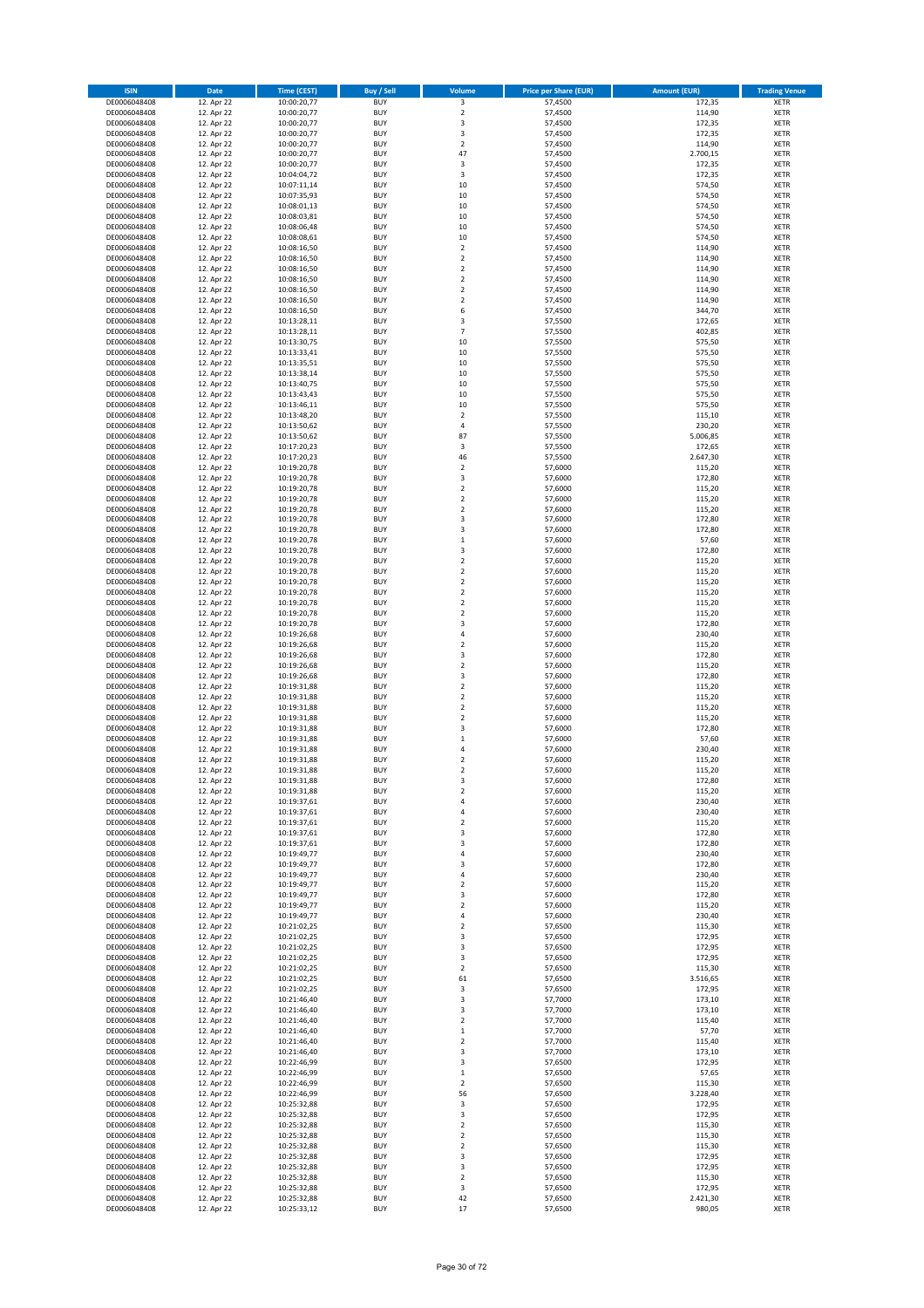| <b>ISIN</b>                  | Date                     | <b>Time (CEST)</b>         | <b>Buy / Sell</b>        | Volume                                    | <b>Price per Share (EUR)</b> | <b>Amount (EUR)</b> | <b>Trading Venue</b>       |
|------------------------------|--------------------------|----------------------------|--------------------------|-------------------------------------------|------------------------------|---------------------|----------------------------|
| DE0006048408                 | 12. Apr 22               | 10:00:20,77                | <b>BUY</b>               | 3                                         | 57,4500                      | 172,35              | <b>XETR</b>                |
| DE0006048408                 | 12. Apr 22               | 10:00:20,77                | <b>BUY</b>               | $\mathbf 2$                               | 57,4500                      | 114,90              | <b>XETR</b>                |
| DE0006048408<br>DE0006048408 | 12. Apr 22<br>12. Apr 22 | 10:00:20,77<br>10:00:20,77 | <b>BUY</b><br><b>BUY</b> | 3<br>3                                    | 57,4500<br>57,4500           | 172,35<br>172,35    | <b>XETR</b><br><b>XETR</b> |
| DE0006048408                 | 12. Apr 22               | 10:00:20,77                | <b>BUY</b>               | $\mathbf 2$                               | 57,4500                      | 114,90              | <b>XETR</b>                |
| DE0006048408                 | 12. Apr 22               | 10:00:20,77                | <b>BUY</b>               | 47                                        | 57,4500                      | 2.700,15            | <b>XETR</b>                |
| DE0006048408                 | 12. Apr 22               | 10:00:20,77                | <b>BUY</b>               | 3                                         | 57,4500                      | 172,35              | <b>XETR</b>                |
| DE0006048408                 | 12. Apr 22               | 10:04:04,72                | <b>BUY</b>               | 3                                         | 57,4500                      | 172,35              | <b>XETR</b>                |
| DE0006048408<br>DE0006048408 | 12. Apr 22<br>12. Apr 22 | 10:07:11,14                | <b>BUY</b><br><b>BUY</b> | $10\,$<br>10                              | 57,4500<br>57,4500           | 574,50<br>574,50    | XETR<br><b>XETR</b>        |
| DE0006048408                 | 12. Apr 22               | 10:07:35,93<br>10:08:01,13 | <b>BUY</b>               | 10                                        | 57,4500                      | 574,50              | XETR                       |
| DE0006048408                 | 12. Apr 22               | 10:08:03,81                | <b>BUY</b>               | 10                                        | 57,4500                      | 574,50              | <b>XETR</b>                |
| DE0006048408                 | 12. Apr 22               | 10:08:06,48                | <b>BUY</b>               | 10                                        | 57,4500                      | 574,50              | XETR                       |
| DE0006048408                 | 12. Apr 22               | 10:08:08,61                | <b>BUY</b>               | 10                                        | 57,4500                      | 574,50              | <b>XETR</b>                |
| DE0006048408                 | 12. Apr 22               | 10:08:16,50                | <b>BUY</b>               | $\mathbf 2$                               | 57,4500                      | 114,90              | <b>XETR</b>                |
| DE0006048408                 | 12. Apr 22               | 10:08:16,50                | <b>BUY</b><br><b>BUY</b> | $\overline{2}$<br>$\mathbf 2$             | 57,4500                      | 114,90              | <b>XETR</b><br>XETR        |
| DE0006048408<br>DE0006048408 | 12. Apr 22<br>12. Apr 22 | 10:08:16,50<br>10:08:16,50 | <b>BUY</b>               | $\overline{2}$                            | 57,4500<br>57,4500           | 114,90<br>114,90    | <b>XETR</b>                |
| DE0006048408                 | 12. Apr 22               | 10:08:16,50                | <b>BUY</b>               | $\mathbf 2$                               | 57,4500                      | 114,90              | XETR                       |
| DE0006048408                 | 12. Apr 22               | 10:08:16,50                | <b>BUY</b>               | $\overline{2}$                            | 57,4500                      | 114,90              | <b>XETR</b>                |
| DE0006048408                 | 12. Apr 22               | 10:08:16,50                | <b>BUY</b>               | 6                                         | 57,4500                      | 344,70              | <b>XETR</b>                |
| DE0006048408                 | 12. Apr 22               | 10:13:28,11                | <b>BUY</b>               | 3                                         | 57,5500                      | 172,65              | <b>XETR</b>                |
| DE0006048408                 | 12. Apr 22<br>12. Apr 22 | 10:13:28,11                | <b>BUY</b><br><b>BUY</b> | $\overline{7}$<br>10                      | 57,5500                      | 402,85<br>575,50    | <b>XETR</b><br><b>XETR</b> |
| DE0006048408<br>DE0006048408 | 12. Apr 22               | 10:13:30,75<br>10:13:33,41 | <b>BUY</b>               | 10                                        | 57,5500<br>57,5500           | 575,50              | <b>XETR</b>                |
| DE0006048408                 | 12. Apr 22               | 10:13:35,51                | <b>BUY</b>               | 10                                        | 57,5500                      | 575,50              | <b>XETR</b>                |
| DE0006048408                 | 12. Apr 22               | 10:13:38,14                | <b>BUY</b>               | 10                                        | 57,5500                      | 575,50              | <b>XETR</b>                |
| DE0006048408                 | 12. Apr 22               | 10:13:40,75                | <b>BUY</b>               | $10\,$                                    | 57,5500                      | 575,50              | <b>XETR</b>                |
| DE0006048408                 | 12. Apr 22               | 10:13:43,43                | <b>BUY</b>               | 10                                        | 57,5500                      | 575,50              | <b>XETR</b>                |
| DE0006048408<br>DE0006048408 | 12. Apr 22<br>12. Apr 22 | 10:13:46,11<br>10:13:48,20 | <b>BUY</b><br><b>BUY</b> | 10<br>$\boldsymbol{2}$                    | 57,5500<br>57,5500           | 575,50<br>115,10    | <b>XETR</b><br><b>XETR</b> |
| DE0006048408                 | 12. Apr 22               | 10:13:50,62                | <b>BUY</b>               | $\sqrt{4}$                                | 57,5500                      | 230,20              | <b>XETR</b>                |
| DE0006048408                 | 12. Apr 22               | 10:13:50,62                | <b>BUY</b>               | 87                                        | 57,5500                      | 5.006,85            | <b>XETR</b>                |
| DE0006048408                 | 12. Apr 22               | 10:17:20,23                | <b>BUY</b>               | 3                                         | 57,5500                      | 172,65              | XETR                       |
| DE0006048408                 | 12. Apr 22               | 10:17:20,23                | <b>BUY</b>               | 46                                        | 57,5500                      | 2.647,30            | <b>XETR</b>                |
| DE0006048408                 | 12. Apr 22               | 10:19:20,78                | <b>BUY</b>               | $\mathbf 2$                               | 57,6000                      | 115,20              | XETR                       |
| DE0006048408<br>DE0006048408 | 12. Apr 22<br>12. Apr 22 | 10:19:20,78<br>10:19:20,78 | <b>BUY</b><br><b>BUY</b> | 3<br>$\mathbf 2$                          | 57,6000<br>57,6000           | 172,80<br>115,20    | <b>XETR</b><br><b>XETR</b> |
| DE0006048408                 | 12. Apr 22               | 10:19:20,78                | <b>BUY</b>               | $\overline{2}$                            | 57,6000                      | 115,20              | <b>XETR</b>                |
| DE0006048408                 | 12. Apr 22               | 10:19:20,78                | <b>BUY</b>               | $\overline{2}$                            | 57,6000                      | 115,20              | <b>XETR</b>                |
| DE0006048408                 | 12. Apr 22               | 10:19:20,78                | <b>BUY</b>               | 3                                         | 57,6000                      | 172,80              | <b>XETR</b>                |
| DE0006048408                 | 12. Apr 22               | 10:19:20,78                | <b>BUY</b>               | 3                                         | 57,6000                      | 172,80              | XETR                       |
| DE0006048408                 | 12. Apr 22               | 10:19:20,78                | <b>BUY</b>               | $\,1\,$                                   | 57,6000                      | 57,60               | <b>XETR</b>                |
| DE0006048408                 | 12. Apr 22               | 10:19:20,78                | <b>BUY</b><br><b>BUY</b> | $\overline{\mathbf{3}}$<br>$\overline{2}$ | 57,6000                      | 172,80              | <b>XETR</b><br><b>XETR</b> |
| DE0006048408<br>DE0006048408 | 12. Apr 22<br>12. Apr 22 | 10:19:20,78<br>10:19:20,78 | <b>BUY</b>               | $\mathbf 2$                               | 57,6000<br>57,6000           | 115,20<br>115,20    | <b>XETR</b>                |
| DE0006048408                 | 12. Apr 22               | 10:19:20,78                | <b>BUY</b>               | $\mathbf 2$                               | 57,6000                      | 115,20              | <b>XETR</b>                |
| DE0006048408                 | 12. Apr 22               | 10:19:20,78                | <b>BUY</b>               | $\mathbf 2$                               | 57,6000                      | 115,20              | <b>XETR</b>                |
| DE0006048408                 | 12. Apr 22               | 10:19:20,78                | <b>BUY</b>               | $\mathbf 2$                               | 57,6000                      | 115,20              | <b>XETR</b>                |
| DE0006048408                 | 12. Apr 22               | 10:19:20,78                | <b>BUY</b>               | $\mathbf 2$                               | 57,6000                      | 115,20              | <b>XETR</b>                |
| DE0006048408<br>DE0006048408 | 12. Apr 22<br>12. Apr 22 | 10:19:20,78<br>10:19:26,68 | <b>BUY</b><br><b>BUY</b> | 3<br>$\overline{4}$                       | 57,6000<br>57,6000           | 172,80<br>230,40    | <b>XETR</b><br><b>XETR</b> |
| DE0006048408                 | 12. Apr 22               | 10:19:26,68                | <b>BUY</b>               | $\mathbf 2$                               | 57,6000                      | 115,20              | <b>XETR</b>                |
| DE0006048408                 | 12. Apr 22               | 10:19:26,68                | <b>BUY</b>               | 3                                         | 57,6000                      | 172,80              | <b>XETR</b>                |
| DE0006048408                 | 12. Apr 22               | 10:19:26,68                | <b>BUY</b>               | $\mathbf 2$                               | 57,6000                      | 115,20              | <b>XETR</b>                |
| DE0006048408                 | 12. Apr 22               | 10:19:26,68                | <b>BUY</b>               | 3                                         | 57,6000                      | 172,80              | <b>XETR</b>                |
| DE0006048408<br>DE0006048408 | 12. Apr 22               | 10:19:31,88<br>10:19:31,88 | <b>BUY</b>               | $\mathbf 2$                               | 57,6000                      | 115,20              | <b>XETR</b>                |
| DE0006048408                 | 12. Apr 22<br>12. Apr 22 | 10:19:31,88                | <b>BUY</b><br><b>BUY</b> | $\overline{2}$<br>$\mathbf 2$             | 57,6000<br>57,6000           | 115,20<br>115,20    | <b>XETR</b><br><b>XETR</b> |
| DE0006048408                 | 12. Apr 22               | 10:19:31,88                | <b>BUY</b>               | $\overline{2}$                            | 57,6000                      | 115,20              | <b>XETR</b>                |
| DE0006048408                 | 12. Apr 22               | 10:19:31,88                | <b>BUY</b>               | 3                                         | 57,6000                      | 172,80              | XETR                       |
| DE0006048408                 | 12. Apr 22               | 10:19:31,88                | <b>BUY</b>               | $\,1\,$                                   | 57,6000                      | 57,60               | <b>XETR</b>                |
| DE0006048408                 | 12. Apr 22               | 10:19:31,88                | <b>BUY</b>               | 4                                         | 57,6000                      | 230,40              | XETR                       |
| DE0006048408                 | 12. Apr 22               | 10:19:31,88                | <b>BUY</b><br><b>BUY</b> | $\overline{2}$<br>$\overline{2}$          | 57,6000                      | 115,20              | <b>XETR</b>                |
| DE0006048408<br>DE0006048408 | 12. Apr 22<br>12. Apr 22 | 10:19:31,88<br>10:19:31,88 | <b>BUY</b>               | 3                                         | 57,6000<br>57,6000           | 115,20<br>172,80    | <b>XETR</b><br>XETR        |
| DE0006048408                 | 12. Apr 22               | 10:19:31,88                | <b>BUY</b>               | $\mathbf 2$                               | 57,6000                      | 115,20              | XETR                       |
| DE0006048408                 | 12. Apr 22               | 10:19:37,61                | <b>BUY</b>               | 4                                         | 57,6000                      | 230,40              | XETR                       |
| DE0006048408                 | 12. Apr 22               | 10:19:37,61                | <b>BUY</b>               | 4                                         | 57,6000                      | 230,40              | <b>XETR</b>                |
| DE0006048408                 | 12. Apr 22               | 10:19:37,61                | <b>BUY</b>               | $\mathbf 2$                               | 57,6000                      | 115,20              | <b>XETR</b>                |
| DE0006048408<br>DE0006048408 | 12. Apr 22<br>12. Apr 22 | 10:19:37,61<br>10:19:37,61 | <b>BUY</b><br><b>BUY</b> | 3<br>3                                    | 57,6000<br>57,6000           | 172,80<br>172,80    | XETR<br><b>XETR</b>        |
| DE0006048408                 | 12. Apr 22               | 10:19:49,77                | <b>BUY</b>               | $\sqrt{4}$                                | 57,6000                      | 230,40              | <b>XETR</b>                |
| DE0006048408                 | 12. Apr 22               | 10:19:49,77                | <b>BUY</b>               | 3                                         | 57,6000                      | 172,80              | <b>XETR</b>                |
| DE0006048408                 | 12. Apr 22               | 10:19:49,77                | <b>BUY</b>               | $\overline{4}$                            | 57,6000                      | 230,40              | <b>XETR</b>                |
| DE0006048408                 | 12. Apr 22               | 10:19:49,77                | <b>BUY</b>               | $\mathbf 2$                               | 57,6000                      | 115,20              | <b>XETR</b>                |
| DE0006048408                 | 12. Apr 22<br>12. Apr 22 | 10:19:49,77                | <b>BUY</b><br><b>BUY</b> | 3<br>$\mathbf 2$                          | 57,6000<br>57,6000           | 172,80<br>115,20    | <b>XETR</b>                |
| DE0006048408<br>DE0006048408 | 12. Apr 22               | 10:19:49,77<br>10:19:49,77 | <b>BUY</b>               | $\sqrt{4}$                                | 57,6000                      | 230,40              | <b>XETR</b><br>XETR        |
| DE0006048408                 | 12. Apr 22               | 10:21:02,25                | <b>BUY</b>               | $\mathbf 2$                               | 57,6500                      | 115,30              | <b>XETR</b>                |
| DE0006048408                 | 12. Apr 22               | 10:21:02,25                | <b>BUY</b>               | 3                                         | 57,6500                      | 172,95              | <b>XETR</b>                |
| DE0006048408                 | 12. Apr 22               | 10:21:02,25                | <b>BUY</b>               | 3                                         | 57,6500                      | 172,95              | <b>XETR</b>                |
| DE0006048408                 | 12. Apr 22               | 10:21:02,25                | <b>BUY</b>               | 3                                         | 57,6500                      | 172,95              | <b>XETR</b>                |
| DE0006048408<br>DE0006048408 | 12. Apr 22<br>12. Apr 22 | 10:21:02,25<br>10:21:02,25 | <b>BUY</b><br><b>BUY</b> | $\overline{2}$<br>61                      | 57,6500<br>57,6500           | 115,30<br>3.516,65  | <b>XETR</b><br><b>XETR</b> |
| DE0006048408                 | 12. Apr 22               | 10:21:02,25                | <b>BUY</b>               | 3                                         | 57,6500                      | 172,95              | <b>XETR</b>                |
| DE0006048408                 | 12. Apr 22               | 10:21:46,40                | <b>BUY</b>               | 3                                         | 57,7000                      | 173,10              | XETR                       |
| DE0006048408                 | 12. Apr 22               | 10:21:46,40                | <b>BUY</b>               | 3                                         | 57,7000                      | 173,10              | XETR                       |
| DE0006048408                 | 12. Apr 22               | 10:21:46,40                | <b>BUY</b>               | $\overline{2}$                            | 57,7000                      | 115,40              | XETR                       |
| DE0006048408<br>DE0006048408 | 12. Apr 22<br>12. Apr 22 | 10:21:46,40<br>10:21:46,40 | <b>BUY</b><br><b>BUY</b> | $\,$ 1<br>$\overline{2}$                  | 57,7000<br>57,7000           | 57,70<br>115,40     | XETR<br><b>XETR</b>        |
| DE0006048408                 | 12. Apr 22               | 10:21:46,40                | <b>BUY</b>               | 3                                         | 57,7000                      | 173,10              | XETR                       |
| DE0006048408                 | 12. Apr 22               | 10:22:46,99                | <b>BUY</b>               | 3                                         | 57,6500                      | 172,95              | XETR                       |
| DE0006048408                 | 12. Apr 22               | 10:22:46,99                | <b>BUY</b>               | $\,$ 1                                    | 57,6500                      | 57,65               | XETR                       |
| DE0006048408                 | 12. Apr 22               | 10:22:46,99                | <b>BUY</b>               | $\overline{2}$                            | 57,6500                      | 115,30              | XETR                       |
| DE0006048408                 | 12. Apr 22               | 10:22:46,99                | <b>BUY</b>               | 56                                        | 57,6500                      | 3.228,40            | XETR                       |
| DE0006048408                 | 12. Apr 22               | 10:25:32,88                | <b>BUY</b>               | 3                                         | 57,6500                      | 172,95              | XETR                       |
| DE0006048408<br>DE0006048408 | 12. Apr 22<br>12. Apr 22 | 10:25:32,88<br>10:25:32,88 | <b>BUY</b><br><b>BUY</b> | 3<br>$\mathbf 2$                          | 57,6500<br>57,6500           | 172,95<br>115,30    | <b>XETR</b><br><b>XETR</b> |
| DE0006048408                 | 12. Apr 22               | 10:25:32,88                | <b>BUY</b>               | $\overline{2}$                            | 57,6500                      | 115,30              | <b>XETR</b>                |
| DE0006048408                 | 12. Apr 22               | 10:25:32,88                | <b>BUY</b>               | $\overline{2}$                            | 57,6500                      | 115,30              | <b>XETR</b>                |
| DE0006048408                 | 12. Apr 22               | 10:25:32,88                | <b>BUY</b>               | 3                                         | 57,6500                      | 172,95              | <b>XETR</b>                |
| DE0006048408                 | 12. Apr 22               | 10:25:32,88                | <b>BUY</b>               | 3                                         | 57,6500                      | 172,95              | <b>XETR</b>                |
| DE0006048408                 | 12. Apr 22               | 10:25:32,88                | <b>BUY</b>               | $\mathbf 2$                               | 57,6500<br>57,6500           | 115,30<br>172,95    | <b>XETR</b>                |
| DE0006048408<br>DE0006048408 | 12. Apr 22<br>12. Apr 22 | 10:25:32,88<br>10:25:32,88 | <b>BUY</b><br><b>BUY</b> | 3<br>42                                   | 57,6500                      | 2.421,30            | <b>XETR</b><br><b>XETR</b> |
| DE0006048408                 | 12. Apr 22               | 10:25:33,12                | <b>BUY</b>               | 17                                        | 57,6500                      | 980,05              | <b>XETR</b>                |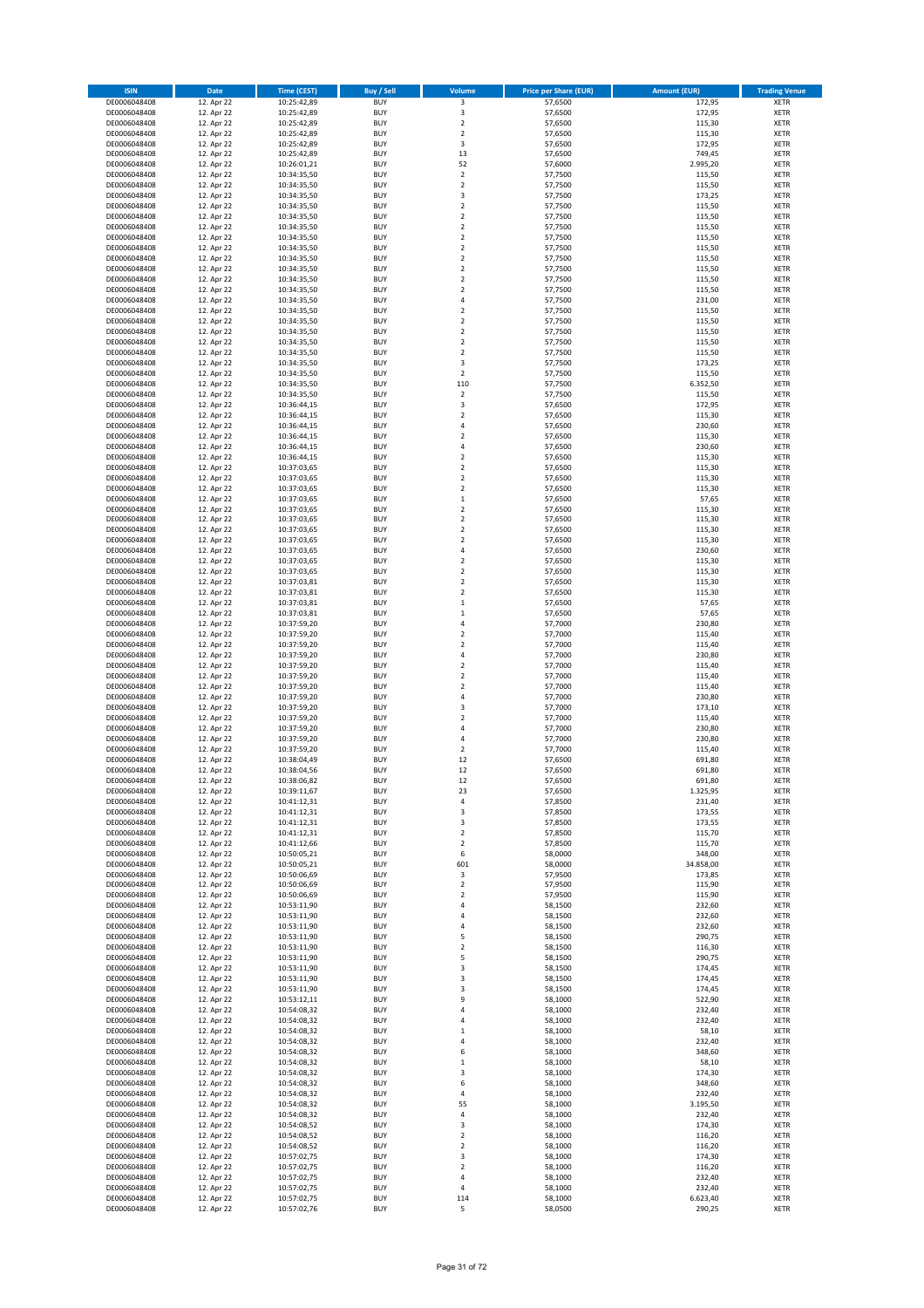| <b>ISIN</b>                  | Date                     | <b>Time (CEST)</b>         | <b>Buy / Sell</b>        | Volume                             | <b>Price per Share (EUR)</b> | <b>Amount (EUR)</b> | <b>Trading Venue</b>       |
|------------------------------|--------------------------|----------------------------|--------------------------|------------------------------------|------------------------------|---------------------|----------------------------|
| DE0006048408                 | 12. Apr 22               | 10:25:42,89                | <b>BUY</b>               | 3                                  | 57,6500                      | 172,95              | <b>XETR</b>                |
| DE0006048408                 | 12. Apr 22               | 10:25:42,89                | <b>BUY</b>               | 3                                  | 57,6500                      | 172,95              | XETR                       |
| DE0006048408<br>DE0006048408 | 12. Apr 22<br>12. Apr 22 | 10:25:42,89<br>10:25:42,89 | <b>BUY</b><br><b>BUY</b> | $\mathbf 2$<br>$\overline{2}$      | 57,6500<br>57,6500           | 115,30<br>115,30    | <b>XETR</b><br><b>XETR</b> |
| DE0006048408                 | 12. Apr 22               | 10:25:42,89                | <b>BUY</b>               | 3                                  | 57,6500                      | 172,95              | <b>XETR</b>                |
| DE0006048408                 | 12. Apr 22               | 10:25:42,89                | <b>BUY</b>               | 13                                 | 57,6500                      | 749,45              | <b>XETR</b>                |
| DE0006048408                 | 12. Apr 22               | 10:26:01,21                | <b>BUY</b>               | 52                                 | 57,6000                      | 2.995,20            | <b>XETR</b>                |
| DE0006048408                 | 12. Apr 22               | 10:34:35,50                | <b>BUY</b>               | $\overline{2}$                     | 57,7500                      | 115,50              | <b>XETR</b>                |
| DE0006048408<br>DE0006048408 | 12. Apr 22<br>12. Apr 22 | 10:34:35,50                | <b>BUY</b><br><b>BUY</b> | $\boldsymbol{2}$<br>3              | 57,7500<br>57,7500           | 115,50<br>173,25    | XETR<br><b>XETR</b>        |
| DE0006048408                 | 12. Apr 22               | 10:34:35,50<br>10:34:35,50 | <b>BUY</b>               | $\overline{2}$                     | 57,7500                      | 115,50              | XETR                       |
| DE0006048408                 | 12. Apr 22               | 10:34:35,50                | <b>BUY</b>               | $\overline{2}$                     | 57,7500                      | 115,50              | <b>XETR</b>                |
| DE0006048408                 | 12. Apr 22               | 10:34:35,50                | <b>BUY</b>               | $\boldsymbol{2}$                   | 57,7500                      | 115,50              | XETR                       |
| DE0006048408                 | 12. Apr 22               | 10:34:35,50                | <b>BUY</b>               | $\overline{2}$                     | 57,7500                      | 115,50              | <b>XETR</b>                |
| DE0006048408                 | 12. Apr 22               | 10:34:35,50                | <b>BUY</b>               | $\boldsymbol{2}$                   | 57,7500                      | 115,50              | <b>XETR</b>                |
| DE0006048408<br>DE0006048408 | 12. Apr 22<br>12. Apr 22 | 10:34:35,50<br>10:34:35,50 | <b>BUY</b><br><b>BUY</b> | $\overline{2}$<br>$\boldsymbol{2}$ | 57,7500<br>57,7500           | 115,50<br>115,50    | <b>XETR</b><br>XETR        |
| DE0006048408                 | 12. Apr 22               | 10:34:35,50                | <b>BUY</b>               | $\overline{2}$                     | 57,7500                      | 115,50              | <b>XETR</b>                |
| DE0006048408                 | 12. Apr 22               | 10:34:35,50                | <b>BUY</b>               | $\boldsymbol{2}$                   | 57,7500                      | 115,50              | XETR                       |
| DE0006048408                 | 12. Apr 22               | 10:34:35,50                | <b>BUY</b>               | $\sqrt{4}$                         | 57,7500                      | 231,00              | <b>XETR</b>                |
| DE0006048408                 | 12. Apr 22               | 10:34:35,50                | <b>BUY</b>               | $\overline{2}$                     | 57,7500                      | 115,50              | <b>XETR</b>                |
| DE0006048408<br>DE0006048408 | 12. Apr 22<br>12. Apr 22 | 10:34:35,50<br>10:34:35,50 | <b>BUY</b><br><b>BUY</b> | $\mathbf 2$<br>$\overline{2}$      | 57,7500<br>57,7500           | 115,50<br>115,50    | <b>XETR</b><br><b>XETR</b> |
| DE0006048408                 | 12. Apr 22               | 10:34:35,50                | <b>BUY</b>               | $\overline{2}$                     | 57,7500                      | 115,50              | <b>XETR</b>                |
| DE0006048408                 | 12. Apr 22               | 10:34:35,50                | <b>BUY</b>               | $\overline{2}$                     | 57,7500                      | 115,50              | <b>XETR</b>                |
| DE0006048408                 | 12. Apr 22               | 10:34:35,50                | <b>BUY</b>               | 3                                  | 57,7500                      | 173,25              | <b>XETR</b>                |
| DE0006048408                 | 12. Apr 22               | 10:34:35,50                | <b>BUY</b>               | $\overline{2}$                     | 57,7500                      | 115,50              | <b>XETR</b>                |
| DE0006048408<br>DE0006048408 | 12. Apr 22<br>12. Apr 22 | 10:34:35,50                | <b>BUY</b><br><b>BUY</b> | 110<br>$\mathbf 2$                 | 57,7500<br>57,7500           | 6.352,50<br>115,50  | <b>XETR</b><br><b>XETR</b> |
| DE0006048408                 | 12. Apr 22               | 10:34:35,50<br>10:36:44,15 | <b>BUY</b>               | 3                                  | 57,6500                      | 172,95              | <b>XETR</b>                |
| DE0006048408                 | 12. Apr 22               | 10:36:44,15                | <b>BUY</b>               | $\overline{2}$                     | 57,6500                      | 115,30              | <b>XETR</b>                |
| DE0006048408                 | 12. Apr 22               | 10:36:44,15                | <b>BUY</b>               | $\sqrt{4}$                         | 57,6500                      | 230,60              | <b>XETR</b>                |
| DE0006048408                 | 12. Apr 22               | 10:36:44,15                | <b>BUY</b>               | $\overline{2}$                     | 57,6500                      | 115,30              | <b>XETR</b>                |
| DE0006048408<br>DE0006048408 | 12. Apr 22<br>12. Apr 22 | 10:36:44,15                | <b>BUY</b><br><b>BUY</b> | 4<br>$\overline{2}$                | 57,6500<br>57,6500           | 230,60<br>115,30    | XETR<br><b>XETR</b>        |
| DE0006048408                 | 12. Apr 22               | 10:36:44,15<br>10:37:03,65 | <b>BUY</b>               | $\overline{2}$                     | 57,6500                      | 115,30              | XETR                       |
| DE0006048408                 | 12. Apr 22               | 10:37:03,65                | <b>BUY</b>               | $\overline{2}$                     | 57,6500                      | 115,30              | <b>XETR</b>                |
| DE0006048408                 | 12. Apr 22               | 10:37:03,65                | <b>BUY</b>               | $\boldsymbol{2}$                   | 57,6500                      | 115,30              | XETR                       |
| DE0006048408                 | 12. Apr 22               | 10:37:03,65                | <b>BUY</b>               | $\,1\,$                            | 57,6500                      | 57,65               | <b>XETR</b>                |
| DE0006048408                 | 12. Apr 22               | 10:37:03,65                | <b>BUY</b>               | $\overline{2}$                     | 57,6500                      | 115,30              | <b>XETR</b>                |
| DE0006048408<br>DE0006048408 | 12. Apr 22<br>12. Apr 22 | 10:37:03,65<br>10:37:03,65 | <b>BUY</b><br><b>BUY</b> | $\overline{2}$<br>$\overline{2}$   | 57,6500<br>57,6500           | 115,30<br>115,30    | <b>XETR</b><br>XETR        |
| DE0006048408                 | 12. Apr 22               | 10:37:03,65                | <b>BUY</b>               | $\overline{2}$                     | 57,6500                      | 115,30              | <b>XETR</b>                |
| DE0006048408                 | 12. Apr 22               | 10:37:03,65                | <b>BUY</b>               | $\sqrt{4}$                         | 57,6500                      | 230,60              | <b>XETR</b>                |
| DE0006048408                 | 12. Apr 22               | 10:37:03,65                | <b>BUY</b>               | $\overline{2}$                     | 57,6500                      | 115,30              | <b>XETR</b>                |
| DE0006048408                 | 12. Apr 22               | 10:37:03,65                | <b>BUY</b>               | $\mathbf 2$                        | 57,6500                      | 115,30              | XETR                       |
| DE0006048408<br>DE0006048408 | 12. Apr 22<br>12. Apr 22 | 10:37:03,81                | <b>BUY</b><br><b>BUY</b> | $\mathbf 2$<br>$\boldsymbol{2}$    | 57,6500<br>57,6500           | 115,30              | <b>XETR</b><br><b>XETR</b> |
| DE0006048408                 | 12. Apr 22               | 10:37:03,81<br>10:37:03,81 | <b>BUY</b>               | $\,$ 1                             | 57,6500                      | 115,30<br>57,65     | <b>XETR</b>                |
| DE0006048408                 | 12. Apr 22               | 10:37:03,81                | <b>BUY</b>               | $\,$ 1                             | 57,6500                      | 57,65               | <b>XETR</b>                |
| DE0006048408                 | 12. Apr 22               | 10:37:59,20                | <b>BUY</b>               | 4                                  | 57,7000                      | 230,80              | <b>XETR</b>                |
| DE0006048408                 | 12. Apr 22               | 10:37:59,20                | <b>BUY</b>               | $\overline{2}$                     | 57,7000                      | 115,40              | <b>XETR</b>                |
| DE0006048408                 | 12. Apr 22               | 10:37:59,20                | <b>BUY</b>               | $\mathbf 2$                        | 57,7000                      | 115,40              | <b>XETR</b>                |
| DE0006048408<br>DE0006048408 | 12. Apr 22<br>12. Apr 22 | 10:37:59,20<br>10:37:59,20 | <b>BUY</b><br><b>BUY</b> | $\sqrt{4}$<br>$\mathbf 2$          | 57,7000<br>57,7000           | 230,80<br>115,40    | <b>XETR</b><br><b>XETR</b> |
| DE0006048408                 | 12. Apr 22               | 10:37:59,20                | <b>BUY</b>               | $\overline{2}$                     | 57,7000                      | 115,40              | <b>XETR</b>                |
| DE0006048408                 | 12. Apr 22               | 10:37:59,20                | <b>BUY</b>               | $\mathbf 2$                        | 57,7000                      | 115,40              | <b>XETR</b>                |
| DE0006048408                 | 12. Apr 22               | 10:37:59,20                | <b>BUY</b>               | $\sqrt{4}$                         | 57,7000                      | 230,80              | <b>XETR</b>                |
| DE0006048408                 | 12. Apr 22               | 10:37:59,20                | <b>BUY</b>               | 3                                  | 57,7000                      | 173,10              | <b>XETR</b>                |
| DE0006048408<br>DE0006048408 | 12. Apr 22<br>12. Apr 22 | 10:37:59,20<br>10:37:59,20 | <b>BUY</b><br><b>BUY</b> | $\overline{2}$<br>$\sqrt{4}$       | 57,7000<br>57,7000           | 115,40<br>230,80    | <b>XETR</b><br>XETR        |
| DE0006048408                 | 12. Apr 22               | 10:37:59,20                | <b>BUY</b>               | $\sqrt{4}$                         | 57,7000                      | 230,80              | <b>XETR</b>                |
| DE0006048408                 | 12. Apr 22               | 10:37:59,20                | <b>BUY</b>               | $\boldsymbol{2}$                   | 57,7000                      | 115,40              | XETR                       |
| DE0006048408                 | 12. Apr 22               | 10:38:04,49                | <b>BUY</b>               | 12                                 | 57,6500                      | 691,80              | <b>XETR</b>                |
| DE0006048408                 | 12. Apr 22               | 10:38:04,56                | <b>BUY</b>               | 12                                 | 57,6500                      | 691,80              | <b>XETR</b>                |
| DE0006048408<br>DE0006048408 | 12. Apr 22<br>12. Apr 22 | 10:38:06,82<br>10:39:11,67 | <b>BUY</b><br><b>BUY</b> | 12<br>23                           | 57,6500<br>57,6500           | 691,80<br>1.325,95  | XETR<br>XETR               |
| DE0006048408                 | 12. Apr 22               | 10:41:12,31                | <b>BUY</b>               | 4                                  | 57,8500                      | 231,40              | XETR                       |
| DE0006048408                 | 12. Apr 22               | 10:41:12,31                | <b>BUY</b>               | 3                                  | 57,8500                      | 173,55              | <b>XETR</b>                |
| DE0006048408                 | 12. Apr 22               | 10:41:12,31                | <b>BUY</b>               | 3                                  | 57,8500                      | 173,55              | <b>XETR</b>                |
| DE0006048408                 | 12. Apr 22               | 10:41:12,31                | <b>BUY</b>               | $\mathbf 2$                        | 57,8500                      | 115,70              | XETR                       |
| DE0006048408<br>DE0006048408 | 12. Apr 22<br>12. Apr 22 | 10:41:12,66<br>10:50:05,21 | <b>BUY</b><br><b>BUY</b> | $\overline{2}$<br>6                | 57,8500<br>58,0000           | 115,70<br>348,00    | <b>XETR</b><br><b>XETR</b> |
| DE0006048408                 | 12. Apr 22               | 10:50:05,21                | <b>BUY</b>               | 601                                | 58,0000                      | 34.858,00           | <b>XETR</b>                |
| DE0006048408                 | 12. Apr 22               | 10:50:06,69                | <b>BUY</b>               | 3                                  | 57,9500                      | 173,85              | <b>XETR</b>                |
| DE0006048408                 | 12. Apr 22               | 10:50:06,69                | <b>BUY</b>               | $\mathbf 2$                        | 57,9500                      | 115,90              | <b>XETR</b>                |
| DE0006048408                 | 12. Apr 22               | 10:50:06,69                | <b>BUY</b>               | $\sqrt{2}$                         | 57,9500                      | 115,90              | <b>XETR</b>                |
| DE0006048408<br>DE0006048408 | 12. Apr 22<br>12. Apr 22 | 10:53:11,90<br>10:53:11,90 | <b>BUY</b><br><b>BUY</b> | 4<br>4                             | 58,1500<br>58,1500           | 232,60<br>232,60    | <b>XETR</b><br>XETR        |
| DE0006048408                 | 12. Apr 22               | 10:53:11,90                | <b>BUY</b>               | 4                                  | 58,1500                      | 232,60              | <b>XETR</b>                |
| DE0006048408                 | 12. Apr 22               | 10:53:11,90                | <b>BUY</b>               | 5                                  | 58,1500                      | 290,75              | <b>XETR</b>                |
| DE0006048408                 | 12. Apr 22               | 10:53:11,90                | <b>BUY</b>               | $\mathbf 2$                        | 58,1500                      | 116,30              | <b>XETR</b>                |
| DE0006048408                 | 12. Apr 22               | 10:53:11,90                | <b>BUY</b>               | 5                                  | 58,1500                      | 290,75              | <b>XETR</b>                |
| DE0006048408<br>DE0006048408 | 12. Apr 22<br>12. Apr 22 | 10:53:11,90<br>10:53:11,90 | <b>BUY</b><br><b>BUY</b> | 3<br>3                             | 58,1500<br>58,1500           | 174,45<br>174,45    | <b>XETR</b><br><b>XETR</b> |
| DE0006048408                 | 12. Apr 22               | 10:53:11,90                | <b>BUY</b>               | 3                                  | 58,1500                      | 174,45              | <b>XETR</b>                |
| DE0006048408                 | 12. Apr 22               | 10:53:12,11                | <b>BUY</b>               | 9                                  | 58,1000                      | 522,90              | <b>XETR</b>                |
| DE0006048408                 | 12. Apr 22               | 10:54:08,32                | <b>BUY</b>               | 4                                  | 58,1000                      | 232,40              | XETR                       |
| DE0006048408                 | 12. Apr 22<br>12. Apr 22 | 10:54:08,32                | <b>BUY</b>               | 4<br>$\mathbf{1}$                  | 58,1000                      | 232,40              | XETR                       |
| DE0006048408<br>DE0006048408 | 12. Apr 22               | 10:54:08,32<br>10:54:08,32 | <b>BUY</b><br><b>BUY</b> | $\overline{4}$                     | 58,1000<br>58,1000           | 58,10<br>232,40     | <b>XETR</b><br><b>XETR</b> |
| DE0006048408                 | 12. Apr 22               | 10:54:08,32                | <b>BUY</b>               | 6                                  | 58,1000                      | 348,60              | XETR                       |
| DE0006048408                 | 12. Apr 22               | 10:54:08,32                | <b>BUY</b>               | $\mathbf 1$                        | 58,1000                      | 58,10               | XETR                       |
| DE0006048408                 | 12. Apr 22               | 10:54:08,32                | <b>BUY</b>               | 3                                  | 58,1000                      | 174,30              | <b>XETR</b>                |
| DE0006048408                 | 12. Apr 22               | 10:54:08,32                | <b>BUY</b>               | 6                                  | 58,1000                      | 348,60              | <b>XETR</b>                |
| DE0006048408<br>DE0006048408 | 12. Apr 22<br>12. Apr 22 | 10:54:08,32<br>10:54:08,32 | <b>BUY</b><br><b>BUY</b> | 4<br>55                            | 58,1000<br>58,1000           | 232,40<br>3.195,50  | XETR<br>XETR               |
| DE0006048408                 | 12. Apr 22               | 10:54:08,32                | <b>BUY</b>               | 4                                  | 58,1000                      | 232,40              | <b>XETR</b>                |
| DE0006048408                 | 12. Apr 22               | 10:54:08,52                | <b>BUY</b>               | 3                                  | 58,1000                      | 174,30              | <b>XETR</b>                |
| DE0006048408                 | 12. Apr 22               | 10:54:08,52                | <b>BUY</b>               | $\mathbf 2$                        | 58,1000                      | 116,20              | <b>XETR</b>                |
| DE0006048408                 | 12. Apr 22               | 10:54:08,52                | <b>BUY</b>               | $\overline{2}$                     | 58,1000                      | 116,20              | <b>XETR</b>                |
| DE0006048408<br>DE0006048408 | 12. Apr 22<br>12. Apr 22 | 10:57:02,75<br>10:57:02,75 | <b>BUY</b><br><b>BUY</b> | 3<br>$\mathbf 2$                   | 58,1000<br>58,1000           | 174,30<br>116,20    | <b>XETR</b><br><b>XETR</b> |
| DE0006048408                 | 12. Apr 22               | 10:57:02,75                | <b>BUY</b>               | $\pmb{4}$                          | 58,1000                      | 232,40              | <b>XETR</b>                |
| DE0006048408                 | 12. Apr 22               | 10:57:02,75                | <b>BUY</b>               | 4                                  | 58,1000                      | 232,40              | <b>XETR</b>                |
| DE0006048408                 | 12. Apr 22               | 10:57:02,75                | <b>BUY</b>               | 114                                | 58,1000                      | 6.623,40            | <b>XETR</b>                |
| DE0006048408                 | 12. Apr 22               | 10:57:02,76                | <b>BUY</b>               | 5                                  | 58,0500                      | 290,25              | <b>XETR</b>                |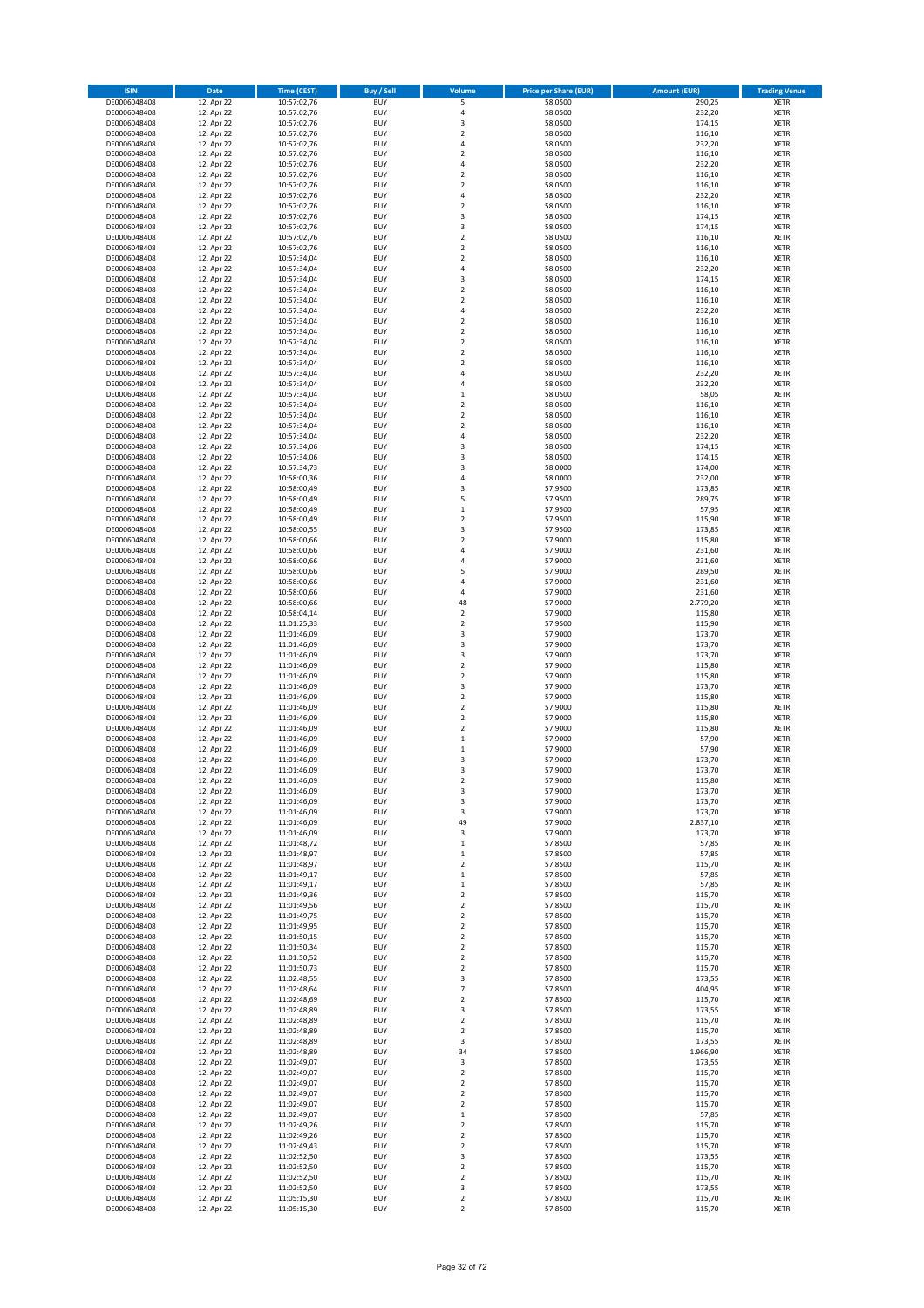| <b>ISIN</b>                  | Date                     | <b>Time (CEST)</b>         | <b>Buy / Sell</b>        | Volume                                             | <b>Price per Share (EUR)</b> | <b>Amount (EUR)</b> | <b>Trading Venue</b>       |
|------------------------------|--------------------------|----------------------------|--------------------------|----------------------------------------------------|------------------------------|---------------------|----------------------------|
| DE0006048408                 | 12. Apr 22               | 10:57:02,76                | <b>BUY</b>               | 5                                                  | 58,0500                      | 290,25              | XETR                       |
| DE0006048408                 | 12. Apr 22               | 10:57:02,76                | <b>BUY</b>               | 4                                                  | 58,0500                      | 232,20              | XETR                       |
| DE0006048408<br>DE0006048408 | 12. Apr 22<br>12. Apr 22 | 10:57:02,76<br>10:57:02,76 | <b>BUY</b><br><b>BUY</b> | 3<br>$\mathbf 2$                                   | 58,0500<br>58,0500           | 174,15<br>116,10    | <b>XETR</b><br><b>XETR</b> |
| DE0006048408                 | 12. Apr 22               | 10:57:02,76                | <b>BUY</b>               | 4                                                  | 58,0500                      | 232,20              | <b>XETR</b>                |
| DE0006048408                 | 12. Apr 22               | 10:57:02,76                | <b>BUY</b>               | $\overline{2}$                                     | 58,0500                      | 116,10              | <b>XETR</b>                |
| DE0006048408                 | 12. Apr 22               | 10:57:02,76                | <b>BUY</b>               | 4                                                  | 58,0500                      | 232,20              | <b>XETR</b>                |
| DE0006048408                 | 12. Apr 22               | 10:57:02,76                | <b>BUY</b>               | $\mathbf 2$                                        | 58,0500                      | 116,10              | <b>XETR</b>                |
| DE0006048408<br>DE0006048408 | 12. Apr 22<br>12. Apr 22 | 10:57:02,76                | <b>BUY</b><br><b>BUY</b> | $\mathbf 2$<br>4                                   | 58,0500<br>58,0500           | 116,10<br>232,20    | <b>XETR</b><br><b>XETR</b> |
| DE0006048408                 | 12. Apr 22               | 10:57:02,76<br>10:57:02,76 | <b>BUY</b>               | $\mathbf 2$                                        | 58,0500                      | 116,10              | <b>XETR</b>                |
| DE0006048408                 | 12. Apr 22               | 10:57:02,76                | <b>BUY</b>               | 3                                                  | 58,0500                      | 174,15              | <b>XETR</b>                |
| DE0006048408                 | 12. Apr 22               | 10:57:02,76                | <b>BUY</b>               | 3                                                  | 58,0500                      | 174,15              | XETR                       |
| DE0006048408                 | 12. Apr 22               | 10:57:02,76                | <b>BUY</b>               | $\overline{\mathbf{c}}$                            | 58,0500                      | 116,10              | <b>XETR</b>                |
| DE0006048408                 | 12. Apr 22               | 10:57:02,76                | <b>BUY</b>               | $\mathbf 2$                                        | 58,0500                      | 116,10              | XETR                       |
| DE0006048408<br>DE0006048408 | 12. Apr 22<br>12. Apr 22 | 10:57:34,04<br>10:57:34,04 | <b>BUY</b><br><b>BUY</b> | $\overline{\mathbf{c}}$<br>4                       | 58,0500<br>58,0500           | 116,10<br>232,20    | <b>XETR</b><br>XETR        |
| DE0006048408                 | 12. Apr 22               | 10:57:34,04                | <b>BUY</b>               | 3                                                  | 58,0500                      | 174,15              | <b>XETR</b>                |
| DE0006048408                 | 12. Apr 22               | 10:57:34,04                | <b>BUY</b>               | $\overline{\mathbf{c}}$                            | 58,0500                      | 116,10              | XETR                       |
| DE0006048408                 | 12. Apr 22               | 10:57:34,04                | <b>BUY</b>               | $\overline{\mathbf{c}}$                            | 58,0500                      | 116,10              | <b>XETR</b>                |
| DE0006048408                 | 12. Apr 22               | 10:57:34,04                | <b>BUY</b>               | 4                                                  | 58,0500                      | 232,20              | <b>XETR</b>                |
| DE0006048408<br>DE0006048408 | 12. Apr 22<br>12. Apr 22 | 10:57:34,04<br>10:57:34,04 | <b>BUY</b><br><b>BUY</b> | $\overline{\mathbf{c}}$<br>$\overline{\mathbf{c}}$ | 58,0500<br>58,0500           | 116,10<br>116,10    | <b>XETR</b><br><b>XETR</b> |
| DE0006048408                 | 12. Apr 22               | 10:57:34,04                | <b>BUY</b>               | $\mathbf 2$                                        | 58,0500                      | 116,10              | <b>XETR</b>                |
| DE0006048408                 | 12. Apr 22               | 10:57:34,04                | <b>BUY</b>               | $\overline{\mathbf{c}}$                            | 58,0500                      | 116,10              | <b>XETR</b>                |
| DE0006048408                 | 12. Apr 22               | 10:57:34,04                | <b>BUY</b>               | $\overline{\mathbf{c}}$                            | 58,0500                      | 116,10              | <b>XETR</b>                |
| DE0006048408                 | 12. Apr 22               | 10:57:34,04                | <b>BUY</b>               | $\overline{4}$                                     | 58,0500                      | 232,20              | <b>XETR</b>                |
| DE0006048408<br>DE0006048408 | 12. Apr 22<br>12. Apr 22 | 10:57:34,04                | <b>BUY</b><br><b>BUY</b> | 4<br>$\mathbf 1$                                   | 58,0500<br>58,0500           | 232,20<br>58,05     | <b>XETR</b><br><b>XETR</b> |
| DE0006048408                 | 12. Apr 22               | 10:57:34,04<br>10:57:34,04 | <b>BUY</b>               | $\mathbf 2$                                        | 58,0500                      | 116,10              | <b>XETR</b>                |
| DE0006048408                 | 12. Apr 22               | 10:57:34,04                | <b>BUY</b>               | $\mathbf 2$                                        | 58,0500                      | 116,10              | <b>XETR</b>                |
| DE0006048408                 | 12. Apr 22               | 10:57:34,04                | <b>BUY</b>               | $\mathbf 2$                                        | 58,0500                      | 116,10              | <b>XETR</b>                |
| DE0006048408                 | 12. Apr 22               | 10:57:34,04                | <b>BUY</b>               | 4                                                  | 58,0500                      | 232,20              | <b>XETR</b>                |
| DE0006048408<br>DE0006048408 | 12. Apr 22<br>12. Apr 22 | 10:57:34,06                | <b>BUY</b><br><b>BUY</b> | 3<br>$\overline{\mathbf{3}}$                       | 58,0500<br>58,0500           | 174,15<br>174,15    | XETR<br><b>XETR</b>        |
| DE0006048408                 | 12. Apr 22               | 10:57:34,06<br>10:57:34,73 | <b>BUY</b>               | 3                                                  | 58,0000                      | 174,00              | XETR                       |
| DE0006048408                 | 12. Apr 22               | 10:58:00,36                | <b>BUY</b>               | 4                                                  | 58,0000                      | 232,00              | <b>XETR</b>                |
| DE0006048408                 | 12. Apr 22               | 10:58:00,49                | <b>BUY</b>               | 3                                                  | 57,9500                      | 173,85              | XETR                       |
| DE0006048408                 | 12. Apr 22               | 10:58:00,49                | <b>BUY</b>               | 5                                                  | 57,9500                      | 289,75              | <b>XETR</b>                |
| DE0006048408                 | 12. Apr 22               | 10:58:00,49                | <b>BUY</b>               | $\mathbf{1}$                                       | 57,9500                      | 57,95               | <b>XETR</b>                |
| DE0006048408<br>DE0006048408 | 12. Apr 22<br>12. Apr 22 | 10:58:00,49<br>10:58:00,55 | <b>BUY</b><br><b>BUY</b> | $\overline{\mathbf{c}}$<br>3                       | 57,9500<br>57,9500           | 115,90<br>173,85    | <b>XETR</b><br><b>XETR</b> |
| DE0006048408                 | 12. Apr 22               | 10:58:00,66                | <b>BUY</b>               | $\overline{\mathbf{c}}$                            | 57,9000                      | 115,80              | <b>XETR</b>                |
| DE0006048408                 | 12. Apr 22               | 10:58:00,66                | <b>BUY</b>               | 4                                                  | 57,9000                      | 231,60              | <b>XETR</b>                |
| DE0006048408                 | 12. Apr 22               | 10:58:00,66                | <b>BUY</b>               | 4                                                  | 57,9000                      | 231,60              | <b>XETR</b>                |
| DE0006048408                 | 12. Apr 22               | 10:58:00,66                | <b>BUY</b>               | 5                                                  | 57,9000                      | 289,50              | XETR                       |
| DE0006048408<br>DE0006048408 | 12. Apr 22<br>12. Apr 22 | 10:58:00,66                | <b>BUY</b><br><b>BUY</b> | 4<br>$\overline{4}$                                | 57,9000<br>57,9000           | 231,60<br>231,60    | XETR<br><b>XETR</b>        |
| DE0006048408                 | 12. Apr 22               | 10:58:00,66<br>10:58:00,66 | <b>BUY</b>               | 48                                                 | 57,9000                      | 2.779,20            | <b>XETR</b>                |
| DE0006048408                 | 12. Apr 22               | 10:58:04,14                | <b>BUY</b>               | $\mathbf 2$                                        | 57,9000                      | 115,80              | <b>XETR</b>                |
| DE0006048408                 | 12. Apr 22               | 11:01:25,33                | <b>BUY</b>               | 2                                                  | 57,9500                      | 115,90              | <b>XETR</b>                |
| DE0006048408                 | 12. Apr 22               | 11:01:46,09                | <b>BUY</b>               | 3                                                  | 57,9000                      | 173,70              | <b>XETR</b>                |
| DE0006048408                 | 12. Apr 22               | 11:01:46,09                | <b>BUY</b>               | 3                                                  | 57,9000                      | 173,70              | <b>XETR</b>                |
| DE0006048408<br>DE0006048408 | 12. Apr 22<br>12. Apr 22 | 11:01:46,09<br>11:01:46,09 | <b>BUY</b><br><b>BUY</b> | 3<br>$\mathbf 2$                                   | 57,9000<br>57,9000           | 173,70<br>115,80    | <b>XETR</b><br><b>XETR</b> |
| DE0006048408                 | 12. Apr 22               | 11:01:46,09                | <b>BUY</b>               | $\overline{\mathbf{c}}$                            | 57,9000                      | 115,80              | <b>XETR</b>                |
| DE0006048408                 | 12. Apr 22               | 11:01:46,09                | <b>BUY</b>               | 3                                                  | 57,9000                      | 173,70              | <b>XETR</b>                |
| DE0006048408                 | 12. Apr 22               | 11:01:46,09                | <b>BUY</b>               | $\overline{\mathbf{c}}$                            | 57,9000                      | 115,80              | <b>XETR</b>                |
| DE0006048408                 | 12. Apr 22<br>12. Apr 22 | 11:01:46,09                | <b>BUY</b>               | $\overline{\mathbf{c}}$                            | 57,9000                      | 115,80              | <b>XETR</b>                |
| DE0006048408<br>DE0006048408 | 12. Apr 22               | 11:01:46,09<br>11:01:46,09 | <b>BUY</b><br><b>BUY</b> | $\overline{\mathbf{c}}$<br>$\mathbf 2$             | 57,9000<br>57,9000           | 115,80<br>115,80    | <b>XETR</b><br>XETR        |
| DE0006048408                 | 12. Apr 22               | 11:01:46,09                | <b>BUY</b>               | $\mathbf 1$                                        | 57,9000                      | 57,90               | <b>XETR</b>                |
| DE0006048408                 | 12. Apr 22               | 11:01:46,09                | <b>BUY</b>               | $\mathbf 1$                                        | 57,9000                      | 57,90               | XETR                       |
| DE0006048408                 | 12. Apr 22               | 11:01:46.09                | <b>BUY</b>               | 3                                                  | 57,9000                      | 173,70              | <b>XETR</b>                |
| DE0006048408                 | 12. Apr 22               | 11:01:46,09                | <b>BUY</b>               | 3                                                  | 57,9000                      | 173,70              | <b>XETR</b>                |
| DE0006048408<br>DE0006048408 | 12. Apr 22<br>12. Apr 22 | 11:01:46,09<br>11:01:46,09 | <b>BUY</b><br><b>BUY</b> | 2<br>3                                             | 57,9000<br>57,9000           | 115,80<br>173,70    | XETR<br>XETR               |
| DE0006048408                 | 12. Apr 22               | 11:01:46,09                | <b>BUY</b>               | 3                                                  | 57,9000                      | 173,70              | XETR                       |
| DE0006048408                 | 12. Apr 22               | 11:01:46,09                | <b>BUY</b>               | 3                                                  | 57,9000                      | 173,70              | XETR                       |
| DE0006048408                 | 12. Apr 22               | 11:01:46,09                | <b>BUY</b>               | 49                                                 | 57,9000                      | 2.837,10            | XETR                       |
| DE0006048408                 | 12. Apr 22               | 11:01:46,09                | <b>BUY</b>               | 3                                                  | 57,9000                      | 173,70              | XETR                       |
| DE0006048408<br>DE0006048408 | 12. Apr 22<br>12. Apr 22 | 11:01:48,72<br>11:01:48,97 | <b>BUY</b><br><b>BUY</b> | $\mathbf 1$<br>$\mathbf 1$                         | 57,8500<br>57,8500           | 57,85<br>57,85      | <b>XETR</b><br>XETR        |
| DE0006048408                 | 12. Apr 22               | 11:01:48,97                | <b>BUY</b>               | $\mathbf 2$                                        | 57,8500                      | 115,70              | <b>XETR</b>                |
| DE0006048408                 | 12. Apr 22               | 11:01:49,17                | <b>BUY</b>               | $\mathbf 1$                                        | 57,8500                      | 57,85               | XETR                       |
| DE0006048408                 | 12. Apr 22               | 11:01:49,17                | <b>BUY</b>               | $\mathbf 1$                                        | 57,8500                      | 57,85               | <b>XETR</b>                |
| DE0006048408                 | 12. Apr 22<br>12. Apr 22 | 11:01:49,36                | <b>BUY</b><br><b>BUY</b> | $\mathbf 2$<br>$\mathbf 2$                         | 57,8500<br>57,8500           | 115,70<br>115,70    | XETR                       |
| DE0006048408<br>DE0006048408 | 12. Apr 22               | 11:01:49,56<br>11:01:49,75 | <b>BUY</b>               | $\mathbf 2$                                        | 57,8500                      | 115,70              | <b>XETR</b><br>XETR        |
| DE0006048408                 | 12. Apr 22               | 11:01:49,95                | <b>BUY</b>               | $\mathbf 2$                                        | 57,8500                      | 115,70              | XETR                       |
| DE0006048408                 | 12. Apr 22               | 11:01:50,15                | <b>BUY</b>               | $\mathbf 2$                                        | 57,8500                      | 115,70              | XETR                       |
| DE0006048408                 | 12. Apr 22               | 11:01:50,34                | <b>BUY</b>               | $\mathbf 2$                                        | 57,8500                      | 115,70              | <b>XETR</b>                |
| DE0006048408                 | 12. Apr 22               | 11:01:50,52                | <b>BUY</b><br><b>BUY</b> | $\boldsymbol{2}$                                   | 57,8500<br>57,8500           | 115,70<br>115,70    | XETR                       |
| DE0006048408<br>DE0006048408 | 12. Apr 22<br>12. Apr 22 | 11:01:50,73<br>11:02:48,55 | <b>BUY</b>               | 2<br>3                                             | 57,8500                      | 173,55              | <b>XETR</b><br>XETR        |
| DE0006048408                 | 12. Apr 22               | 11:02:48,64                | <b>BUY</b>               | 7                                                  | 57,8500                      | 404,95              | <b>XETR</b>                |
| DE0006048408                 | 12. Apr 22               | 11:02:48,69                | <b>BUY</b>               | $\mathbf 2$                                        | 57,8500                      | 115,70              | <b>XETR</b>                |
| DE0006048408                 | 12. Apr 22               | 11:02:48,89                | <b>BUY</b>               | 3                                                  | 57,8500                      | 173,55              | XETR                       |
| DE0006048408<br>DE0006048408 | 12. Apr 22<br>12. Apr 22 | 11:02:48,89<br>11:02:48,89 | <b>BUY</b><br><b>BUY</b> | $\mathbf 2$<br>$\mathbf 2$                         | 57,8500<br>57,8500           | 115,70<br>115,70    | <b>XETR</b><br>XETR        |
| DE0006048408                 | 12. Apr 22               | 11:02:48,89                | <b>BUY</b>               | 3                                                  | 57,8500                      | 173,55              | <b>XETR</b>                |
| DE0006048408                 | 12. Apr 22               | 11:02:48,89                | <b>BUY</b>               | 34                                                 | 57,8500                      | 1.966,90            | XETR                       |
| DE0006048408                 | 12. Apr 22               | 11:02:49,07                | <b>BUY</b>               | 3                                                  | 57,8500                      | 173,55              | <b>XETR</b>                |
| DE0006048408                 | 12. Apr 22               | 11:02:49,07                | <b>BUY</b>               | $\mathbf 2$                                        | 57,8500                      | 115,70              | XETR                       |
| DE0006048408                 | 12. Apr 22               | 11:02:49,07                | <b>BUY</b>               | $\mathbf 2$                                        | 57,8500                      | 115,70              | <b>XETR</b>                |
| DE0006048408<br>DE0006048408 | 12. Apr 22<br>12. Apr 22 | 11:02:49,07<br>11:02:49,07 | <b>BUY</b><br><b>BUY</b> | 2<br>$\mathbf 2$                                   | 57,8500<br>57,8500           | 115,70<br>115,70    | XETR<br><b>XETR</b>        |
| DE0006048408                 | 12. Apr 22               | 11:02:49,07                | <b>BUY</b>               | $\mathbf 1$                                        | 57,8500                      | 57,85               | XETR                       |
| DE0006048408                 | 12. Apr 22               | 11:02:49,26                | <b>BUY</b>               | $\mathbf 2$                                        | 57,8500                      | 115,70              | <b>XETR</b>                |
| DE0006048408                 | 12. Apr 22               | 11:02:49,26                | <b>BUY</b>               | 2                                                  | 57,8500                      | 115,70              | <b>XETR</b>                |
| DE0006048408                 | 12. Apr 22               | 11:02:49,43                | <b>BUY</b>               | 2                                                  | 57,8500                      | 115,70              | <b>XETR</b>                |
| DE0006048408<br>DE0006048408 | 12. Apr 22<br>12. Apr 22 | 11:02:52,50<br>11:02:52,50 | <b>BUY</b><br><b>BUY</b> | 3<br>$\mathbf 2$                                   | 57,8500<br>57,8500           | 173,55<br>115,70    | XETR<br><b>XETR</b>        |
| DE0006048408                 | 12. Apr 22               | 11:02:52,50                | <b>BUY</b>               | $\mathbf 2$                                        | 57,8500                      | 115,70              | XETR                       |
| DE0006048408                 | 12. Apr 22               | 11:02:52,50                | <b>BUY</b>               | 3                                                  | 57,8500                      | 173,55              | XETR                       |
| DE0006048408                 | 12. Apr 22               | 11:05:15,30                | <b>BUY</b>               | $\mathbf 2$                                        | 57,8500                      | 115,70              | XETR                       |
| DE0006048408                 | 12. Apr 22               | 11:05:15,30                | <b>BUY</b>               | $\mathbf 2$                                        | 57,8500                      | 115,70              | XETR                       |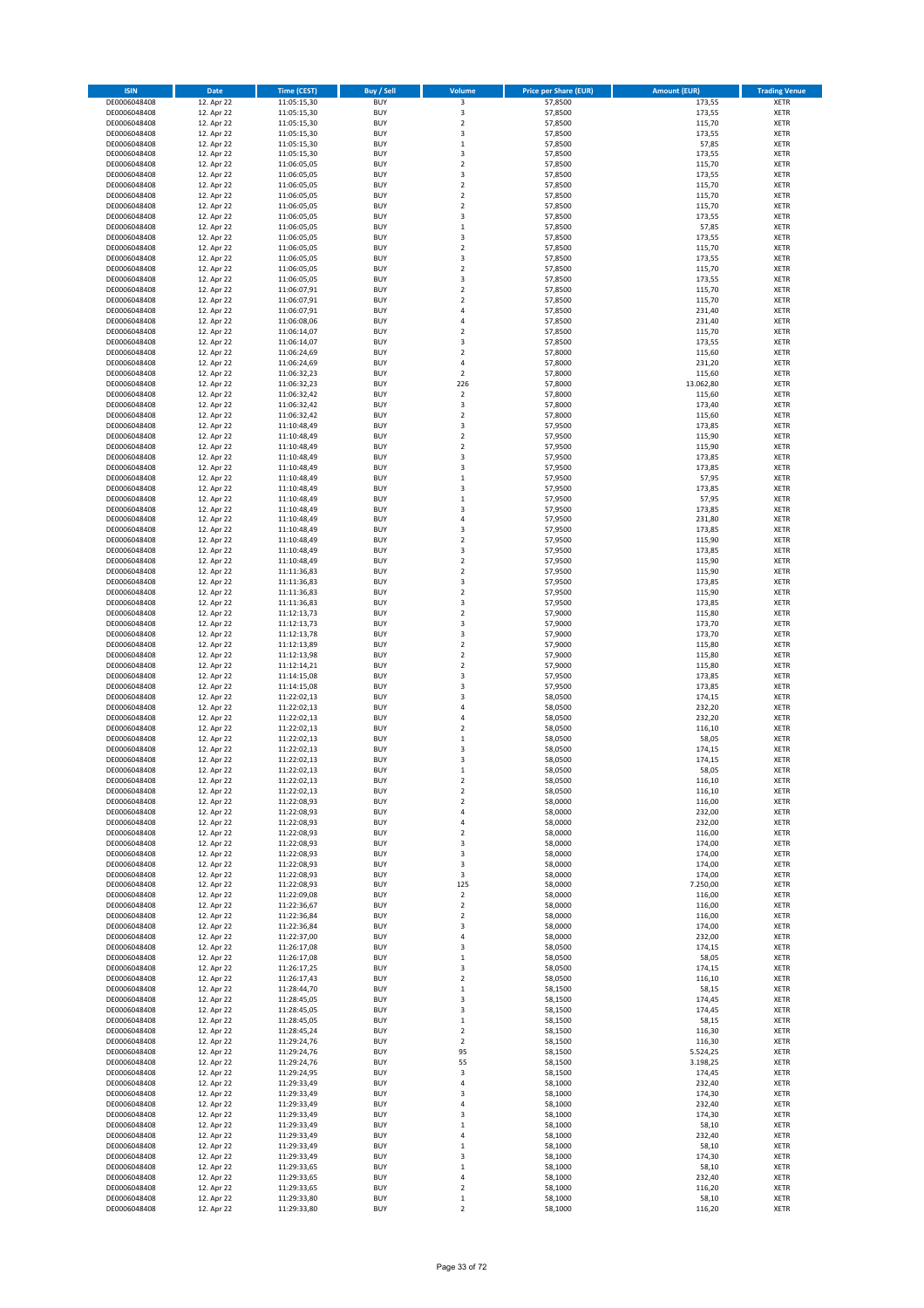| <b>ISIN</b>                  | Date                     | <b>Time (CEST)</b>         | <b>Buy / Sell</b>        | Volume                                | <b>Price per Share (EUR)</b> | <b>Amount (EUR)</b>  | <b>Trading Venue</b>       |
|------------------------------|--------------------------|----------------------------|--------------------------|---------------------------------------|------------------------------|----------------------|----------------------------|
| DE0006048408                 | 12. Apr 22               | 11:05:15,30                | <b>BUY</b>               | $\overline{\mathbf{3}}$               | 57,8500                      | 173,55               | <b>XETR</b>                |
| DE0006048408                 | 12. Apr 22               | 11:05:15,30                | <b>BUY</b>               | $\mathsf 3$                           | 57,8500                      | 173,55               | <b>XETR</b>                |
| DE0006048408<br>DE0006048408 | 12. Apr 22<br>12. Apr 22 | 11:05:15,30<br>11:05:15,30 | <b>BUY</b><br><b>BUY</b> | $\mathbf 2$<br>3                      | 57,8500<br>57,8500           | 115,70<br>173,55     | <b>XETR</b><br><b>XETR</b> |
| DE0006048408                 | 12. Apr 22               | 11:05:15,30                | <b>BUY</b>               | $\,$ 1                                | 57,8500                      | 57,85                | <b>XETR</b>                |
| DE0006048408                 | 12. Apr 22               | 11:05:15,30                | <b>BUY</b>               | 3                                     | 57,8500                      | 173,55               | <b>XETR</b>                |
| DE0006048408                 | 12. Apr 22               | 11:06:05,05                | <b>BUY</b>               | $\overline{2}$                        | 57,8500                      | 115,70               | <b>XETR</b>                |
| DE0006048408                 | 12. Apr 22               | 11:06:05,05                | <b>BUY</b>               | 3                                     | 57,8500                      | 173,55               | <b>XETR</b>                |
| DE0006048408                 | 12. Apr 22               | 11:06:05,05                | <b>BUY</b><br><b>BUY</b> | $\overline{2}$<br>$\overline{2}$      | 57,8500                      | 115,70               | <b>XETR</b><br><b>XETR</b> |
| DE0006048408<br>DE0006048408 | 12. Apr 22<br>12. Apr 22 | 11:06:05,05<br>11:06:05,05 | <b>BUY</b>               | $\mathbf 2$                           | 57,8500<br>57,8500           | 115,70<br>115,70     | <b>XETR</b>                |
| DE0006048408                 | 12. Apr 22               | 11:06:05,05                | <b>BUY</b>               | 3                                     | 57,8500                      | 173,55               | <b>XETR</b>                |
| DE0006048408                 | 12. Apr 22               | 11:06:05,05                | <b>BUY</b>               | $\,$ 1                                | 57,8500                      | 57,85                | XETR                       |
| DE0006048408                 | 12. Apr 22               | 11:06:05,05                | <b>BUY</b>               | 3                                     | 57,8500                      | 173,55               | <b>XETR</b>                |
| DE0006048408                 | 12. Apr 22               | 11:06:05,05                | <b>BUY</b>               | $\mathbf 2$                           | 57,8500                      | 115,70               | XETR                       |
| DE0006048408<br>DE0006048408 | 12. Apr 22<br>12. Apr 22 | 11:06:05,05<br>11:06:05,05 | <b>BUY</b><br><b>BUY</b> | 3<br>$\mathbf 2$                      | 57,8500<br>57,8500           | 173,55<br>115,70     | <b>XETR</b><br>XETR        |
| DE0006048408                 | 12. Apr 22               | 11:06:05,05                | <b>BUY</b>               | 3                                     | 57,8500                      | 173,55               | <b>XETR</b>                |
| DE0006048408                 | 12. Apr 22               | 11:06:07,91                | <b>BUY</b>               | $\overline{2}$                        | 57,8500                      | 115,70               | XETR                       |
| DE0006048408                 | 12. Apr 22               | 11:06:07,91                | <b>BUY</b>               | $\overline{2}$                        | 57,8500                      | 115,70               | <b>XETR</b>                |
| DE0006048408<br>DE0006048408 | 12. Apr 22<br>12. Apr 22 | 11:06:07,91<br>11:06:08,06 | <b>BUY</b><br><b>BUY</b> | $\sqrt{4}$<br>$\sqrt{4}$              | 57,8500<br>57,8500           | 231,40<br>231,40     | <b>XETR</b><br><b>XETR</b> |
| DE0006048408                 | 12. Apr 22               | 11:06:14,07                | <b>BUY</b>               | $\overline{2}$                        | 57,8500                      | 115,70               | <b>XETR</b>                |
| DE0006048408                 | 12. Apr 22               | 11:06:14,07                | <b>BUY</b>               | 3                                     | 57,8500                      | 173,55               | <b>XETR</b>                |
| DE0006048408                 | 12. Apr 22               | 11:06:24,69                | <b>BUY</b>               | $\overline{2}$                        | 57,8000                      | 115,60               | <b>XETR</b>                |
| DE0006048408                 | 12. Apr 22               | 11:06:24,69                | <b>BUY</b>               | $\sqrt{4}$                            | 57,8000                      | 231,20               | <b>XETR</b>                |
| DE0006048408                 | 12. Apr 22               | 11:06:32,23                | <b>BUY</b>               | $\overline{2}$<br>226                 | 57,8000                      | 115,60<br>13.062,80  | <b>XETR</b>                |
| DE0006048408<br>DE0006048408 | 12. Apr 22<br>12. Apr 22 | 11:06:32,23<br>11:06:32,42 | <b>BUY</b><br><b>BUY</b> | $\boldsymbol{2}$                      | 57,8000<br>57,8000           | 115,60               | <b>XETR</b><br><b>XETR</b> |
| DE0006048408                 | 12. Apr 22               | 11:06:32,42                | <b>BUY</b>               | 3                                     | 57,8000                      | 173,40               | <b>XETR</b>                |
| DE0006048408                 | 12. Apr 22               | 11:06:32,42                | <b>BUY</b>               | $\mathbf 2$                           | 57,8000                      | 115,60               | <b>XETR</b>                |
| DE0006048408                 | 12. Apr 22               | 11:10:48,49                | <b>BUY</b>               | 3                                     | 57,9500                      | 173,85               | <b>XETR</b>                |
| DE0006048408                 | 12. Apr 22               | 11:10:48,49                | <b>BUY</b><br><b>BUY</b> | $\overline{2}$<br>$\boldsymbol{2}$    | 57,9500<br>57,9500           | 115,90<br>115,90     | <b>XETR</b><br>XETR        |
| DE0006048408<br>DE0006048408 | 12. Apr 22<br>12. Apr 22 | 11:10:48,49<br>11:10:48,49 | <b>BUY</b>               | 3                                     | 57,9500                      | 173,85               | <b>XETR</b>                |
| DE0006048408                 | 12. Apr 22               | 11:10:48,49                | <b>BUY</b>               | $\overline{\mathbf{3}}$               | 57,9500                      | 173,85               | XETR                       |
| DE0006048408                 | 12. Apr 22               | 11:10:48,49                | <b>BUY</b>               | $\,1\,$                               | 57,9500                      | 57,95                | <b>XETR</b>                |
| DE0006048408                 | 12. Apr 22               | 11:10:48,49                | <b>BUY</b>               | 3                                     | 57,9500                      | 173,85               | XETR                       |
| DE0006048408                 | 12. Apr 22               | 11:10:48,49                | <b>BUY</b>               | $\,1\,$                               | 57,9500                      | 57,95                | <b>XETR</b>                |
| DE0006048408<br>DE0006048408 | 12. Apr 22<br>12. Apr 22 | 11:10:48,49<br>11:10:48,49 | <b>BUY</b><br><b>BUY</b> | $\overline{\mathbf{3}}$<br>$\sqrt{4}$ | 57,9500<br>57,9500           | 173,85<br>231,80     | <b>XETR</b><br><b>XETR</b> |
| DE0006048408                 | 12. Apr 22               | 11:10:48,49                | <b>BUY</b>               | 3                                     | 57,9500                      | 173,85               | <b>XETR</b>                |
| DE0006048408                 | 12. Apr 22               | 11:10:48,49                | <b>BUY</b>               | $\overline{2}$                        | 57,9500                      | 115,90               | <b>XETR</b>                |
| DE0006048408                 | 12. Apr 22               | 11:10:48,49                | <b>BUY</b>               | $\overline{\mathbf{3}}$               | 57,9500                      | 173,85               | <b>XETR</b>                |
| DE0006048408                 | 12. Apr 22               | 11:10:48,49                | <b>BUY</b>               | $\overline{2}$                        | 57,9500                      | 115,90               | <b>XETR</b>                |
| DE0006048408<br>DE0006048408 | 12. Apr 22<br>12. Apr 22 | 11:11:36,83<br>11:11:36,83 | <b>BUY</b><br><b>BUY</b> | $\mathbf 2$<br>3                      | 57,9500<br>57,9500           | 115,90<br>173,85     | <b>XETR</b><br><b>XETR</b> |
| DE0006048408                 | 12. Apr 22               | 11:11:36,83                | <b>BUY</b>               | $\overline{2}$                        | 57,9500                      | 115,90               | <b>XETR</b>                |
| DE0006048408                 | 12. Apr 22               | 11:11:36,83                | <b>BUY</b>               | 3                                     | 57,9500                      | 173,85               | <b>XETR</b>                |
| DE0006048408                 | 12. Apr 22               | 11:12:13,73                | <b>BUY</b>               | $\mathbf 2$                           | 57,9000                      | 115,80               | <b>XETR</b>                |
| DE0006048408                 | 12. Apr 22               | 11:12:13,73                | <b>BUY</b>               | 3                                     | 57,9000                      | 173,70               | <b>XETR</b>                |
| DE0006048408<br>DE0006048408 | 12. Apr 22<br>12. Apr 22 | 11:12:13,78<br>11:12:13,89 | <b>BUY</b><br><b>BUY</b> | 3<br>$\mathbf 2$                      | 57,9000<br>57,9000           | 173,70<br>115,80     | <b>XETR</b><br><b>XETR</b> |
| DE0006048408                 | 12. Apr 22               | 11:12:13,98                | <b>BUY</b>               | $\overline{2}$                        | 57,9000                      | 115,80               | <b>XETR</b>                |
| DE0006048408                 | 12. Apr 22               | 11:12:14,21                | <b>BUY</b>               | $\mathbf 2$                           | 57,9000                      | 115,80               | <b>XETR</b>                |
| DE0006048408                 | 12. Apr 22               | 11:14:15,08                | <b>BUY</b>               | $\overline{\mathbf{3}}$               | 57,9500                      | 173,85               | <b>XETR</b>                |
| DE0006048408                 | 12. Apr 22               | 11:14:15,08                | <b>BUY</b>               | $\overline{\mathbf{3}}$               | 57,9500                      | 173,85               | <b>XETR</b>                |
| DE0006048408<br>DE0006048408 | 12. Apr 22<br>12. Apr 22 | 11:22:02,13<br>11:22:02,13 | <b>BUY</b><br><b>BUY</b> | 3<br>4                                | 58,0500<br>58,0500           | 174,15<br>232,20     | <b>XETR</b><br><b>XETR</b> |
| DE0006048408                 | 12. Apr 22               | 11:22:02,13                | <b>BUY</b>               | 4                                     | 58,0500                      | 232,20               | <b>XETR</b>                |
| DE0006048408                 | 12. Apr 22               | 11:22:02,13                | <b>BUY</b>               | $\overline{2}$                        | 58,0500                      | 116,10               | XETR                       |
| DE0006048408                 | 12. Apr 22               | 11:22:02,13                | <b>BUY</b>               | $\,1\,$                               | 58,0500                      | 58,05                | <b>XETR</b>                |
| DE0006048408<br>DE0006048408 | 12. Apr 22<br>12. Apr 22 | 11:22:02,13<br>11:22:02,13 | <b>BUY</b><br><b>BUY</b> | 3<br>3                                | 58,0500<br>58,0500           | 174,15<br>174,15     | XETR<br><b>XETR</b>        |
| DE0006048408                 | 12. Apr 22               | 11:22:02,13                | <b>BUY</b>               | $\,1\,$                               | 58,0500                      | 58,05                | <b>XETR</b>                |
| DE0006048408                 | 12. Apr 22               | 11:22:02,13                | <b>BUY</b>               | 2                                     | 58,0500                      | 116,10               | XETR                       |
| DE0006048408                 | 12. Apr 22               | 11:22:02,13                | <b>BUY</b>               | $\mathbf 2$                           | 58,0500                      | 116,10               | XETR                       |
| DE0006048408                 | 12. Apr 22               | 11:22:08,93                | <b>BUY</b>               | $\mathbf 2$                           | 58,0000                      | 116,00               | XETR                       |
| DE0006048408<br>DE0006048408 | 12. Apr 22<br>12. Apr 22 | 11:22:08,93<br>11:22:08,93 | <b>BUY</b><br><b>BUY</b> | 4<br>$\sqrt{4}$                       | 58,0000<br>58,0000           | 232,00<br>232,00     | <b>XETR</b><br><b>XETR</b> |
| DE0006048408                 | 12. Apr 22               | 11:22:08,93                | <b>BUY</b>               | $\sqrt{2}$                            | 58,0000                      | 116,00               | XETR                       |
| DE0006048408                 | 12. Apr 22               | 11:22:08,93                | <b>BUY</b>               | 3                                     | 58,0000                      | 174,00               | <b>XETR</b>                |
| DE0006048408                 | 12. Apr 22               | 11:22:08,93                | <b>BUY</b>               | 3                                     | 58,0000                      | 174,00               | XETR                       |
| DE0006048408<br>DE0006048408 | 12. Apr 22<br>12. Apr 22 | 11:22:08,93<br>11:22:08,93 | <b>BUY</b><br><b>BUY</b> | 3<br>3                                | 58,0000<br>58,0000           | 174,00               | <b>XETR</b><br>XETR        |
| DE0006048408                 | 12. Apr 22               | 11:22:08,93                | <b>BUY</b>               | 125                                   | 58,0000                      | 174,00<br>7.250,00   | <b>XETR</b>                |
| DE0006048408                 | 12. Apr 22               | 11:22:09,08                | <b>BUY</b>               | $\boldsymbol{2}$                      | 58,0000                      | 116,00               | <b>XETR</b>                |
| DE0006048408                 | 12. Apr 22               | 11:22:36,67                | <b>BUY</b>               | $\mathbf 2$                           | 58,0000                      | 116,00               | <b>XETR</b>                |
| DE0006048408                 | 12. Apr 22               | 11:22:36,84                | <b>BUY</b>               | $\mathbf 2$                           | 58,0000                      | 116,00               | XETR                       |
| DE0006048408<br>DE0006048408 | 12. Apr 22<br>12. Apr 22 | 11:22:36,84<br>11:22:37,00 | <b>BUY</b><br><b>BUY</b> | 3<br>4                                | 58,0000<br>58,0000           | 174,00               | <b>XETR</b><br><b>XETR</b> |
| DE0006048408                 | 12. Apr 22               | 11:26:17,08                | <b>BUY</b>               | 3                                     | 58,0500                      | 232,00<br>174,15     | <b>XETR</b>                |
| DE0006048408                 | 12. Apr 22               | 11:26:17,08                | <b>BUY</b>               | $\mathbf 1$                           | 58,0500                      | 58,05                | <b>XETR</b>                |
| DE0006048408                 | 12. Apr 22               | 11:26:17,25                | <b>BUY</b>               | 3                                     | 58,0500                      | 174,15               | <b>XETR</b>                |
| DE0006048408                 | 12. Apr 22               | 11:26:17,43                | <b>BUY</b>               | $\mathbf 2$                           | 58,0500                      | 116,10               | <b>XETR</b>                |
| DE0006048408<br>DE0006048408 | 12. Apr 22               | 11:28:44,70<br>11:28:45,05 | <b>BUY</b><br><b>BUY</b> | $\,$ 1<br>3                           | 58,1500<br>58,1500           | 58,15<br>174,45      | <b>XETR</b><br>XETR        |
| DE0006048408                 | 12. Apr 22<br>12. Apr 22 | 11:28:45,05                | <b>BUY</b>               | 3                                     | 58,1500                      | 174,45               | XETR                       |
| DE0006048408                 | 12. Apr 22               | 11:28:45,05                | <b>BUY</b>               | $\mathbf 1$                           | 58,1500                      | 58,15                | XETR                       |
| DE0006048408                 | 12. Apr 22               | 11:28:45,24                | <b>BUY</b>               | $\boldsymbol{2}$                      | 58,1500                      | 116,30               | XETR                       |
| DE0006048408                 | 12. Apr 22               | 11:29:24,76                | <b>BUY</b>               | $\overline{2}$                        | 58,1500                      | 116,30               | <b>XETR</b>                |
| DE0006048408<br>DE0006048408 | 12. Apr 22<br>12. Apr 22 | 11:29:24,76<br>11:29:24,76 | <b>BUY</b><br><b>BUY</b> | 95<br>55                              | 58,1500<br>58,1500           | 5.524,25<br>3.198,25 | XETR<br>XETR               |
| DE0006048408                 | 12. Apr 22               | 11:29:24,95                | <b>BUY</b>               | 3                                     | 58,1500                      | 174,45               | XETR                       |
| DE0006048408                 | 12. Apr 22               | 11:29:33,49                | <b>BUY</b>               | $\sqrt{4}$                            | 58,1000                      | 232,40               | <b>XETR</b>                |
| DE0006048408                 | 12. Apr 22               | 11:29:33,49                | <b>BUY</b>               | 3                                     | 58,1000                      | 174,30               | XETR                       |
| DE0006048408                 | 12. Apr 22               | 11:29:33,49                | <b>BUY</b>               | 4                                     | 58,1000                      | 232,40               | XETR                       |
| DE0006048408                 | 12. Apr 22               | 11:29:33,49                | <b>BUY</b>               | 3                                     | 58,1000                      | 174,30               | <b>XETR</b>                |
| DE0006048408<br>DE0006048408 | 12. Apr 22<br>12. Apr 22 | 11:29:33,49<br>11:29:33,49 | <b>BUY</b><br><b>BUY</b> | $\mathbf 1$<br>4                      | 58,1000<br>58,1000           | 58,10<br>232,40      | <b>XETR</b><br><b>XETR</b> |
| DE0006048408                 | 12. Apr 22               | 11:29:33,49                | <b>BUY</b>               | $\,$ 1                                | 58,1000                      | 58,10                | <b>XETR</b>                |
| DE0006048408                 | 12. Apr 22               | 11:29:33,49                | <b>BUY</b>               | 3                                     | 58,1000                      | 174,30               | <b>XETR</b>                |
| DE0006048408                 | 12. Apr 22               | 11:29:33,65                | <b>BUY</b>               | $\,$ 1                                | 58,1000                      | 58,10                | <b>XETR</b>                |
| DE0006048408                 | 12. Apr 22               | 11:29:33,65                | <b>BUY</b>               | $\pmb{4}$<br>$\mathbf 2$              | 58,1000<br>58,1000           | 232,40<br>116,20     | <b>XETR</b>                |
| DE0006048408<br>DE0006048408 | 12. Apr 22<br>12. Apr 22 | 11:29:33,65<br>11:29:33,80 | <b>BUY</b><br><b>BUY</b> | $\mathbf 1$                           | 58,1000                      | 58,10                | <b>XETR</b><br><b>XETR</b> |
| DE0006048408                 | 12. Apr 22               | 11:29:33,80                | <b>BUY</b>               | $\mathbf 2$                           | 58,1000                      | 116,20               | <b>XETR</b>                |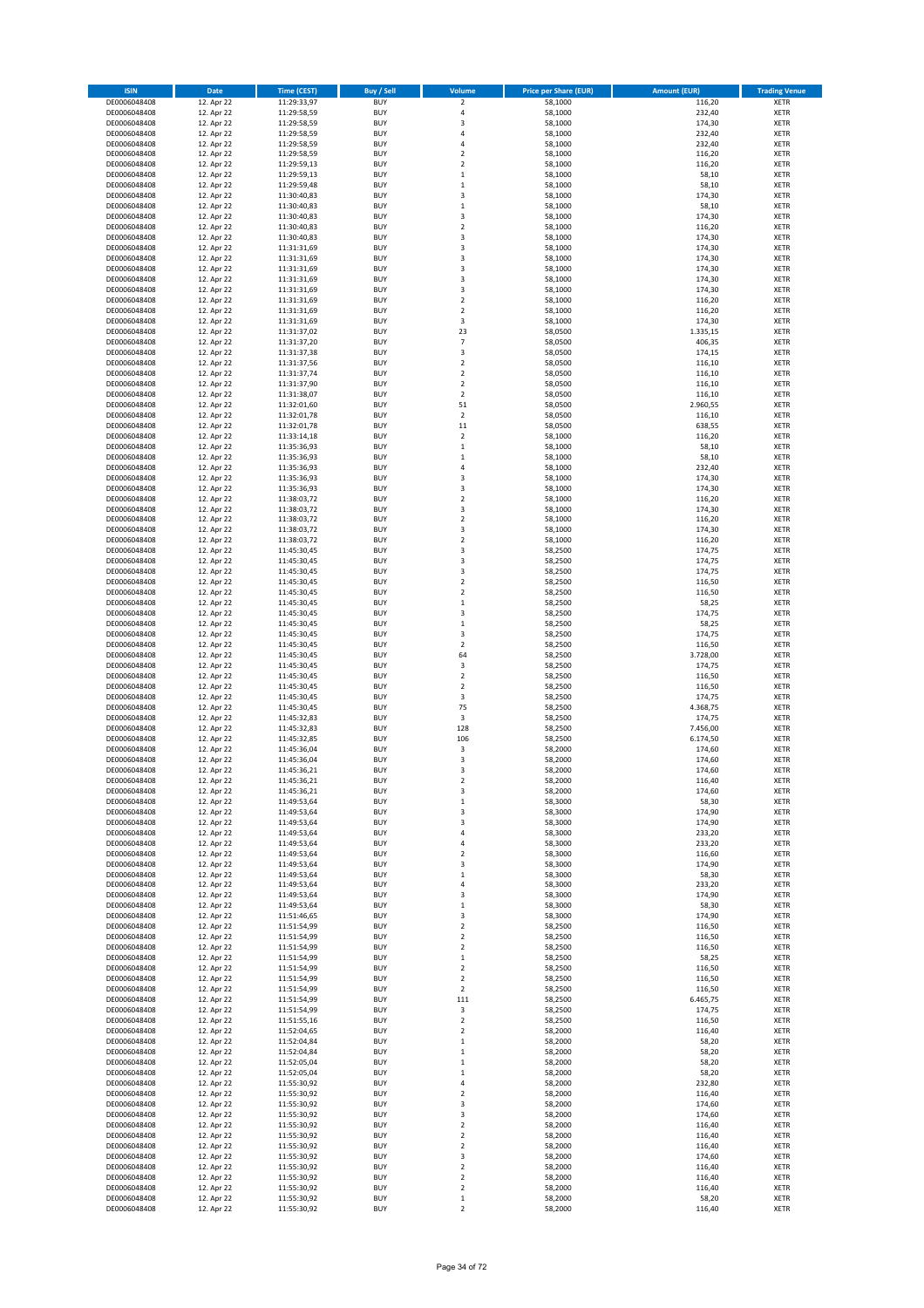| <b>ISIN</b>                  | <b>Date</b>              | <b>Time (CEST)</b>         | <b>Buy / Sell</b>        | Volume                        | <b>Price per Share (EUR)</b> | <b>Amount (EUR)</b> | <b>Trading Venue</b>       |
|------------------------------|--------------------------|----------------------------|--------------------------|-------------------------------|------------------------------|---------------------|----------------------------|
| DE0006048408                 | 12. Apr 22               | 11:29:33,97                | <b>BUY</b>               | $\overline{\mathbf{c}}$       | 58,1000                      | 116,20              | <b>XETR</b>                |
| DE0006048408                 | 12. Apr 22               | 11:29:58,59                | <b>BUY</b>               | 4                             | 58,1000                      | 232,40              | XETR                       |
| DE0006048408<br>DE0006048408 | 12. Apr 22<br>12. Apr 22 | 11:29:58,59<br>11:29:58,59 | <b>BUY</b><br><b>BUY</b> | 3<br>4                        | 58,1000<br>58,1000           | 174,30<br>232,40    | XETR<br>XETR               |
| DE0006048408                 | 12. Apr 22               | 11:29:58,59                | <b>BUY</b>               | 4                             | 58,1000                      | 232,40              | XETR                       |
| DE0006048408                 | 12. Apr 22               | 11:29:58,59                | <b>BUY</b>               | $\mathbf 2$                   | 58,1000                      | 116,20              | <b>XETR</b>                |
| DE0006048408                 | 12. Apr 22               | 11:29:59,13                | <b>BUY</b>               | $\mathbf 2$                   | 58,1000                      | 116,20              | <b>XETR</b>                |
| DE0006048408                 | 12. Apr 22               | 11:29:59,13                | <b>BUY</b>               | $\mathbf 1$                   | 58,1000                      | 58,10               | <b>XETR</b>                |
| DE0006048408<br>DE0006048408 | 12. Apr 22<br>12. Apr 22 | 11:29:59,48<br>11:30:40,83 | <b>BUY</b><br><b>BUY</b> | $\mathbf 1$<br>3              | 58,1000<br>58,1000           | 58,10<br>174,30     | <b>XETR</b><br><b>XETR</b> |
| DE0006048408                 | 12. Apr 22               | 11:30:40,83                | <b>BUY</b>               | $\mathbf 1$                   | 58,1000                      | 58,10               | <b>XETR</b>                |
| DE0006048408                 | 12. Apr 22               | 11:30:40,83                | <b>BUY</b>               | 3                             | 58,1000                      | 174,30              | <b>XETR</b>                |
| DE0006048408                 | 12. Apr 22               | 11:30:40,83                | <b>BUY</b>               | $\mathbf 2$                   | 58,1000                      | 116,20              | XETR                       |
| DE0006048408                 | 12. Apr 22               | 11:30:40,83                | <b>BUY</b>               | 3                             | 58,1000                      | 174,30              | <b>XETR</b>                |
| DE0006048408                 | 12. Apr 22               | 11:31:31,69                | <b>BUY</b>               | 3                             | 58,1000                      | 174,30              | XETR                       |
| DE0006048408<br>DE0006048408 | 12. Apr 22<br>12. Apr 22 | 11:31:31,69<br>11:31:31,69 | <b>BUY</b><br><b>BUY</b> | 3<br>3                        | 58,1000<br>58,1000           | 174,30<br>174,30    | <b>XETR</b><br>XETR        |
| DE0006048408                 | 12. Apr 22               | 11:31:31,69                | <b>BUY</b>               | 3                             | 58,1000                      | 174,30              | <b>XETR</b>                |
| DE0006048408                 | 12. Apr 22               | 11:31:31,69                | <b>BUY</b>               | 3                             | 58,1000                      | 174,30              | XETR                       |
| DE0006048408                 | 12. Apr 22               | 11:31:31,69                | <b>BUY</b>               | $\mathbf 2$                   | 58,1000                      | 116,20              | <b>XETR</b>                |
| DE0006048408                 | 12. Apr 22<br>12. Apr 22 | 11:31:31,69                | <b>BUY</b><br><b>BUY</b> | $\mathbf 2$<br>3              | 58,1000<br>58,1000           | 116,20<br>174,30    | XETR<br>XETR               |
| DE0006048408<br>DE0006048408 | 12. Apr 22               | 11:31:31,69<br>11:31:37,02 | <b>BUY</b>               | 23                            | 58,0500                      | 1.335,15            | <b>XETR</b>                |
| DE0006048408                 | 12. Apr 22               | 11:31:37,20                | <b>BUY</b>               | $\overline{7}$                | 58,0500                      | 406,35              | <b>XETR</b>                |
| DE0006048408                 | 12. Apr 22               | 11:31:37,38                | <b>BUY</b>               | 3                             | 58,0500                      | 174,15              | <b>XETR</b>                |
| DE0006048408                 | 12. Apr 22               | 11:31:37,56                | <b>BUY</b>               | $\mathbf 2$                   | 58,0500                      | 116,10              | XETR                       |
| DE0006048408                 | 12. Apr 22               | 11:31:37,74<br>11:31:37,90 | <b>BUY</b><br><b>BUY</b> | $\mathbf 2$<br>$\overline{2}$ | 58,0500                      | 116,10              | <b>XETR</b>                |
| DE0006048408<br>DE0006048408 | 12. Apr 22<br>12. Apr 22 | 11:31:38,07                | <b>BUY</b>               | $\mathbf 2$                   | 58,0500<br>58,0500           | 116,10<br>116,10    | <b>XETR</b><br><b>XETR</b> |
| DE0006048408                 | 12. Apr 22               | 11:32:01,60                | <b>BUY</b>               | 51                            | 58,0500                      | 2.960,55            | XETR                       |
| DE0006048408                 | 12. Apr 22               | 11:32:01,78                | <b>BUY</b>               | $\mathbf 2$                   | 58,0500                      | 116,10              | <b>XETR</b>                |
| DE0006048408                 | 12. Apr 22               | 11:32:01,78                | <b>BUY</b>               | $11\,$                        | 58,0500                      | 638,55              | <b>XETR</b>                |
| DE0006048408                 | 12. Apr 22               | 11:33:14,18                | <b>BUY</b><br><b>BUY</b> | $\overline{\mathbf{2}}$       | 58,1000                      | 116,20<br>58,10     | <b>XETR</b><br>XETR        |
| DE0006048408<br>DE0006048408 | 12. Apr 22<br>12. Apr 22 | 11:35:36,93<br>11:35:36,93 | <b>BUY</b>               | $\mathbf 1$<br>$\mathbf{1}$   | 58,1000<br>58,1000           | 58,10               | <b>XETR</b>                |
| DE0006048408                 | 12. Apr 22               | 11:35:36,93                | <b>BUY</b>               | 4                             | 58,1000                      | 232,40              | XETR                       |
| DE0006048408                 | 12. Apr 22               | 11:35:36,93                | <b>BUY</b>               | 3                             | 58,1000                      | 174,30              | <b>XETR</b>                |
| DE0006048408                 | 12. Apr 22               | 11:35:36,93                | <b>BUY</b>               | 3                             | 58,1000                      | 174,30              | XETR                       |
| DE0006048408                 | 12. Apr 22               | 11:38:03,72                | <b>BUY</b>               | $\mathbf 2$                   | 58,1000                      | 116,20              | <b>XETR</b>                |
| DE0006048408<br>DE0006048408 | 12. Apr 22<br>12. Apr 22 | 11:38:03,72<br>11:38:03,72 | <b>BUY</b><br><b>BUY</b> | 3<br>$\mathbf 2$              | 58,1000<br>58,1000           | 174,30<br>116,20    | <b>XETR</b><br><b>XETR</b> |
| DE0006048408                 | 12. Apr 22               | 11:38:03,72                | <b>BUY</b>               | 3                             | 58,1000                      | 174,30              | <b>XETR</b>                |
| DE0006048408                 | 12. Apr 22               | 11:38:03,72                | <b>BUY</b>               | $\mathbf 2$                   | 58,1000                      | 116,20              | <b>XETR</b>                |
| DE0006048408                 | 12. Apr 22               | 11:45:30,45                | <b>BUY</b>               | 3                             | 58,2500                      | 174,75              | <b>XETR</b>                |
| DE0006048408                 | 12. Apr 22               | 11:45:30,45                | <b>BUY</b>               | 3                             | 58,2500                      | 174,75              | <b>XETR</b>                |
| DE0006048408                 | 12. Apr 22               | 11:45:30,45                | <b>BUY</b>               | 3                             | 58,2500                      | 174,75              | XETR                       |
| DE0006048408<br>DE0006048408 | 12. Apr 22<br>12. Apr 22 | 11:45:30,45<br>11:45:30,45 | <b>BUY</b><br><b>BUY</b> | 2<br>$\overline{\mathbf{c}}$  | 58,2500<br>58,2500           | 116,50<br>116,50    | XETR<br><b>XETR</b>        |
| DE0006048408                 | 12. Apr 22               | 11:45:30,45                | <b>BUY</b>               | $\mathbf 1$                   | 58,2500                      | 58,25               | <b>XETR</b>                |
| DE0006048408                 | 12. Apr 22               | 11:45:30,45                | <b>BUY</b>               | 3                             | 58,2500                      | 174,75              | <b>XETR</b>                |
| DE0006048408                 | 12. Apr 22               | 11:45:30,45                | <b>BUY</b>               | $\mathbf 1$                   | 58,2500                      | 58,25               | <b>XETR</b>                |
| DE0006048408                 | 12. Apr 22               | 11:45:30,45                | <b>BUY</b><br><b>BUY</b> | 3                             | 58,2500                      | 174,75              | <b>XETR</b>                |
| DE0006048408<br>DE0006048408 | 12. Apr 22<br>12. Apr 22 | 11:45:30,45<br>11:45:30,45 | <b>BUY</b>               | $\mathbf 2$<br>64             | 58,2500<br>58,2500           | 116,50<br>3.728,00  | <b>XETR</b><br>XETR        |
| DE0006048408                 | 12. Apr 22               | 11:45:30,45                | <b>BUY</b>               | 3                             | 58,2500                      | 174,75              | XETR                       |
| DE0006048408                 | 12. Apr 22               | 11:45:30,45                | <b>BUY</b>               | $\mathbf 2$                   | 58,2500                      | 116,50              | <b>XETR</b>                |
| DE0006048408                 | 12. Apr 22               | 11:45:30,45                | <b>BUY</b>               | $\overline{2}$                | 58,2500                      | 116,50              | <b>XETR</b>                |
| DE0006048408                 | 12. Apr 22               | 11:45:30,45                | <b>BUY</b><br><b>BUY</b> | 3<br>75                       | 58,2500                      | 174,75              | <b>XETR</b><br>XETR        |
| DE0006048408<br>DE0006048408 | 12. Apr 22<br>12. Apr 22 | 11:45:30,45<br>11:45:32,83 | <b>BUY</b>               | 3                             | 58,2500<br>58,2500           | 4.368,75<br>174,75  | <b>XETR</b>                |
| DE0006048408                 | 12. Apr 22               | 11:45:32,83                | <b>BUY</b>               | 128                           | 58,2500                      | 7.456,00            | XETR                       |
| DE0006048408                 | 12. Apr 22               | 11:45:32,85                | <b>BUY</b>               | 106                           | 58,2500                      | 6.174,50            | <b>XETR</b>                |
| DE0006048408                 | 12. Apr 22               | 11:45:36,04                | <b>BUY</b>               | 3                             | 58,2000                      | 174,60              | XETR                       |
| DE0006048408<br>DE0006048408 | 12. Apr 22<br>12. Apr 22 | 11:45:36,04<br>11:45:36,21 | <b>BUY</b><br><b>BUY</b> | 3<br>3                        | 58,2000<br>58,2000           | 174,60<br>174,60    | <b>XETR</b><br><b>XETR</b> |
| DE0006048408                 | 12. Apr 22               | 11:45:36,21                | <b>BUY</b>               | 2                             | 58,2000                      | 116,40              | XETR                       |
| DE0006048408                 | 12. Apr 22               | 11:45:36,21                | <b>BUY</b>               | 3                             | 58,2000                      | 174,60              | XETR                       |
| DE0006048408                 | 12. Apr 22               | 11:49:53,64                | <b>BUY</b>               | $\mathbf 1$                   | 58,3000                      | 58,30               | XETR                       |
| DE0006048408                 | 12. Apr 22               | 11:49:53,64                | <b>BUY</b>               | 3                             | 58,3000                      | 174,90              | XETR                       |
| DE0006048408<br>DE0006048408 | 12. Apr 22<br>12. Apr 22 | 11:49:53,64                | <b>BUY</b><br><b>BUY</b> | 3                             | 58,3000<br>58,3000           | 174,90<br>233,20    | <b>XETR</b><br>XETR        |
| DE0006048408                 | 12. Apr 22               | 11:49:53,64<br>11:49:53,64 | <b>BUY</b>               | 4<br>4                        | 58,3000                      | 233,20              | <b>XETR</b>                |
| DE0006048408                 | 12. Apr 22               | 11:49:53,64                | <b>BUY</b>               | $\overline{\mathbf{c}}$       | 58,3000                      | 116,60              | XETR                       |
| DE0006048408                 | 12. Apr 22               | 11:49:53,64                | <b>BUY</b>               | 3                             | 58,3000                      | 174,90              | <b>XETR</b>                |
| DE0006048408                 | 12. Apr 22               | 11:49:53,64                | <b>BUY</b>               | $\mathbf 1$                   | 58,3000                      | 58,30               | XETR                       |
| DE0006048408<br>DE0006048408 | 12. Apr 22<br>12. Apr 22 | 11:49:53,64<br>11:49:53,64 | <b>BUY</b><br><b>BUY</b> | 4<br>3                        | 58,3000<br>58,3000           | 233,20<br>174,90    | <b>XETR</b><br>XETR        |
| DE0006048408                 | 12. Apr 22               | 11:49:53,64                | <b>BUY</b>               | $\mathbf 1$                   | 58,3000                      | 58,30               | <b>XETR</b>                |
| DE0006048408                 | 12. Apr 22               | 11:51:46,65                | <b>BUY</b>               | 3                             | 58,3000                      | 174,90              | XETR                       |
| DE0006048408                 | 12. Apr 22               | 11:51:54,99                | <b>BUY</b>               | $\mathbf 2$                   | 58,2500                      | 116,50              | <b>XETR</b>                |
| DE0006048408                 | 12. Apr 22               | 11:51:54,99                | <b>BUY</b><br><b>BUY</b> | $\mathbf 2$<br>$\mathbf 2$    | 58,2500<br>58,2500           | 116,50              | XETR                       |
| DE0006048408<br>DE0006048408 | 12. Apr 22<br>12. Apr 22 | 11:51:54,99<br>11:51:54,99 | <b>BUY</b>               | $\mathbf 1$                   | 58,2500                      | 116,50<br>58,25     | <b>XETR</b><br>XETR        |
| DE0006048408                 | 12. Apr 22               | 11:51:54,99                | <b>BUY</b>               | 2                             | 58,2500                      | 116,50              | <b>XETR</b>                |
| DE0006048408                 | 12. Apr 22               | 11:51:54,99                | <b>BUY</b>               | $\mathbf 2$                   | 58,2500                      | 116,50              | XETR                       |
| DE0006048408                 | 12. Apr 22               | 11:51:54,99                | <b>BUY</b>               | $\mathbf 2$                   | 58,2500                      | 116,50              | <b>XETR</b>                |
| DE0006048408<br>DE0006048408 | 12. Apr 22<br>12. Apr 22 | 11:51:54,99<br>11:51:54,99 | <b>BUY</b><br><b>BUY</b> | 111<br>3                      | 58,2500<br>58,2500           | 6.465,75<br>174,75  | <b>XETR</b><br>XETR        |
| DE0006048408                 | 12. Apr 22               | 11:51:55,16                | <b>BUY</b>               | $\mathbf 2$                   | 58,2500                      | 116,50              | <b>XETR</b>                |
| DE0006048408                 | 12. Apr 22               | 11:52:04,65                | <b>BUY</b>               | $\mathbf 2$                   | 58,2000                      | 116,40              | XETR                       |
| DE0006048408                 | 12. Apr 22               | 11:52:04,84                | <b>BUY</b>               | $\mathbf 1$                   | 58,2000                      | 58,20               | <b>XETR</b>                |
| DE0006048408                 | 12. Apr 22               | 11:52:04,84                | <b>BUY</b>               | 1                             | 58,2000                      | 58,20               | XETR                       |
| DE0006048408                 | 12. Apr 22               | 11:52:05,04                | <b>BUY</b>               | $\mathbf 1$                   | 58,2000                      | 58,20               | <b>XETR</b>                |
| DE0006048408<br>DE0006048408 | 12. Apr 22<br>12. Apr 22 | 11:52:05,04<br>11:55:30,92 | <b>BUY</b><br><b>BUY</b> | $\mathbf 1$<br>4              | 58,2000<br>58,2000           | 58,20<br>232,80     | XETR<br><b>XETR</b>        |
| DE0006048408                 | 12. Apr 22               | 11:55:30,92                | <b>BUY</b>               | 2                             | 58,2000                      | 116,40              | XETR                       |
| DE0006048408                 | 12. Apr 22               | 11:55:30,92                | <b>BUY</b>               | 3                             | 58,2000                      | 174,60              | <b>XETR</b>                |
| DE0006048408                 | 12. Apr 22               | 11:55:30,92                | <b>BUY</b>               | 3                             | 58,2000                      | 174,60              | XETR                       |
| DE0006048408                 | 12. Apr 22               | 11:55:30,92                | <b>BUY</b>               | $\mathbf 2$                   | 58,2000                      | 116,40              | <b>XETR</b>                |
| DE0006048408<br>DE0006048408 | 12. Apr 22<br>12. Apr 22 | 11:55:30,92<br>11:55:30,92 | <b>BUY</b><br><b>BUY</b> | 2<br>2                        | 58,2000<br>58,2000           | 116,40<br>116,40    | <b>XETR</b><br><b>XETR</b> |
| DE0006048408                 | 12. Apr 22               | 11:55:30,92                | <b>BUY</b>               | 3                             | 58,2000                      | 174,60              | XETR                       |
| DE0006048408                 | 12. Apr 22               | 11:55:30,92                | <b>BUY</b>               | $\mathbf 2$                   | 58,2000                      | 116,40              | <b>XETR</b>                |
| DE0006048408                 | 12. Apr 22               | 11:55:30,92                | <b>BUY</b>               | $\boldsymbol{2}$              | 58,2000                      | 116,40              | XETR                       |
| DE0006048408<br>DE0006048408 | 12. Apr 22<br>12. Apr 22 | 11:55:30,92<br>11:55:30,92 | <b>BUY</b><br><b>BUY</b> | $\mathbf 2$<br>$\mathbf 1$    | 58,2000<br>58,2000           | 116,40<br>58,20     | XETR<br>XETR               |
| DE0006048408                 | 12. Apr 22               | 11:55:30,92                | <b>BUY</b>               | $\mathbf 2$                   | 58,2000                      | 116,40              | XETR                       |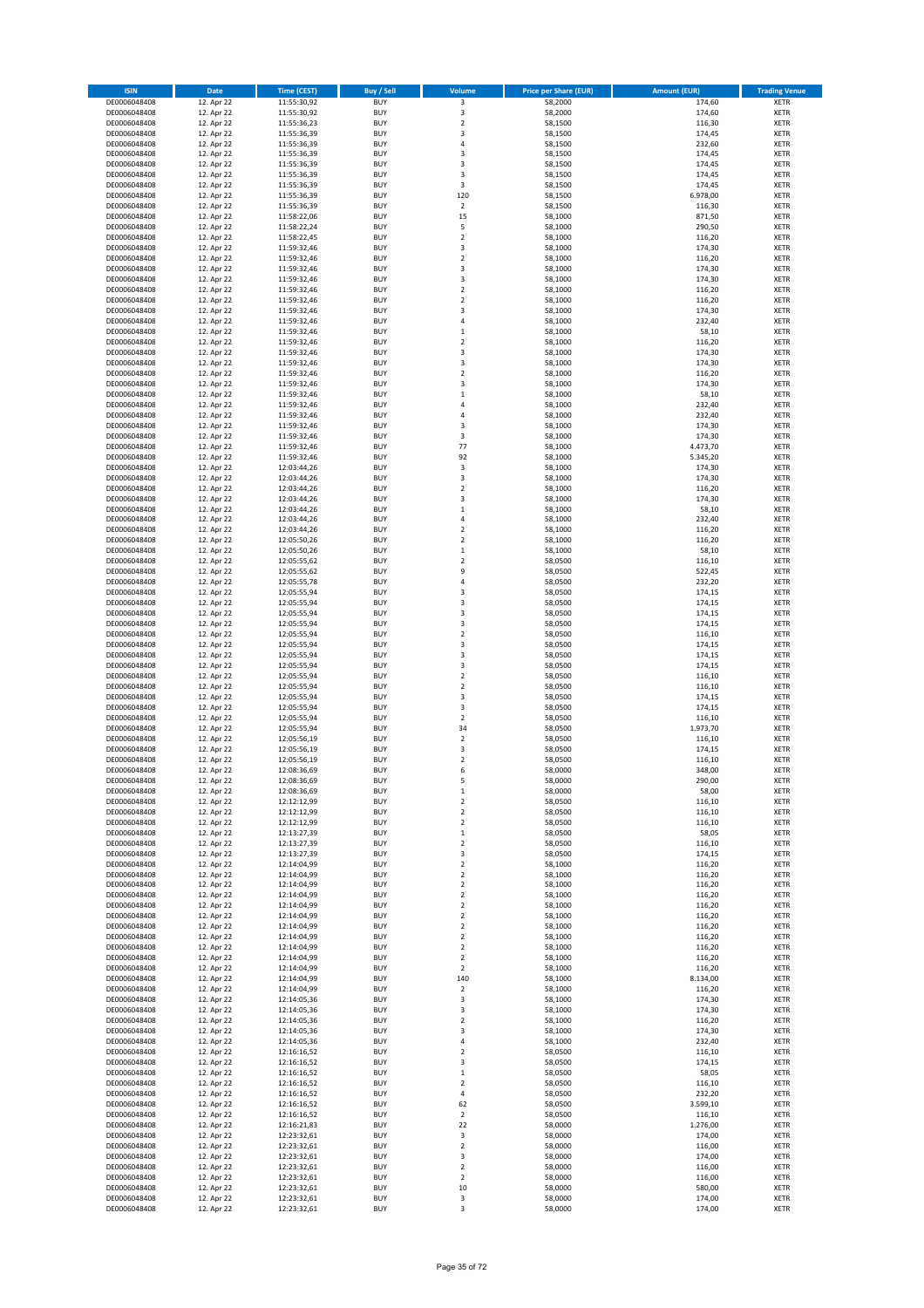| <b>ISIN</b>                  | Date                     | <b>Time (CEST)</b>         | <b>Buy / Sell</b>        | Volume                     | <b>Price per Share (EUR)</b> | <b>Amount (EUR)</b> | <b>Trading Venue</b>       |
|------------------------------|--------------------------|----------------------------|--------------------------|----------------------------|------------------------------|---------------------|----------------------------|
| DE0006048408                 | 12. Apr 22               | 11:55:30,92                | <b>BUY</b>               | 3                          | 58,2000                      | 174,60              | <b>XETR</b>                |
| DE0006048408                 | 12. Apr 22               | 11:55:30,92                | <b>BUY</b>               | $\mathsf 3$                | 58,2000                      | 174,60              | <b>XETR</b>                |
| DE0006048408<br>DE0006048408 | 12. Apr 22<br>12. Apr 22 | 11:55:36,23<br>11:55:36,39 | <b>BUY</b><br><b>BUY</b> | $\mathbf 2$<br>3           | 58,1500<br>58,1500           | 116,30<br>174,45    | <b>XETR</b><br><b>XETR</b> |
| DE0006048408                 | 12. Apr 22               | 11:55:36,39                | <b>BUY</b>               | $\sqrt{4}$                 | 58,1500                      | 232,60              | <b>XETR</b>                |
| DE0006048408                 | 12. Apr 22               | 11:55:36,39                | <b>BUY</b>               | 3                          | 58,1500                      | 174,45              | <b>XETR</b>                |
| DE0006048408                 | 12. Apr 22               | 11:55:36,39                | <b>BUY</b>               | 3                          | 58,1500                      | 174,45              | <b>XETR</b>                |
| DE0006048408                 | 12. Apr 22               | 11:55:36,39                | <b>BUY</b>               | 3                          | 58,1500                      | 174,45              | <b>XETR</b>                |
| DE0006048408<br>DE0006048408 | 12. Apr 22<br>12. Apr 22 | 11:55:36,39                | <b>BUY</b><br><b>BUY</b> | 3<br>120                   | 58,1500<br>58,1500           | 174,45<br>6.978,00  | XETR<br><b>XETR</b>        |
| DE0006048408                 | 12. Apr 22               | 11:55:36,39<br>11:55:36,39 | <b>BUY</b>               | $\mathbf 2$                | 58,1500                      | 116,30              | XETR                       |
| DE0006048408                 | 12. Apr 22               | 11:58:22,06                | <b>BUY</b>               | 15                         | 58,1000                      | 871,50              | <b>XETR</b>                |
| DE0006048408                 | 12. Apr 22               | 11:58:22,24                | <b>BUY</b>               | 5                          | 58,1000                      | 290,50              | XETR                       |
| DE0006048408                 | 12. Apr 22               | 11:58:22,45                | <b>BUY</b>               | $\overline{2}$             | 58,1000                      | 116,20              | <b>XETR</b>                |
| DE0006048408                 | 12. Apr 22               | 11:59:32,46                | <b>BUY</b>               | $\mathsf 3$                | 58,1000                      | 174,30              | <b>XETR</b>                |
| DE0006048408<br>DE0006048408 | 12. Apr 22<br>12. Apr 22 | 11:59:32,46<br>11:59:32,46 | <b>BUY</b><br><b>BUY</b> | $\overline{2}$<br>3        | 58,1000<br>58,1000           | 116,20<br>174,30    | <b>XETR</b><br>XETR        |
| DE0006048408                 | 12. Apr 22               | 11:59:32,46                | <b>BUY</b>               | 3                          | 58,1000                      | 174,30              | <b>XETR</b>                |
| DE0006048408                 | 12. Apr 22               | 11:59:32,46                | <b>BUY</b>               | $\overline{2}$             | 58,1000                      | 116,20              | XETR                       |
| DE0006048408                 | 12. Apr 22               | 11:59:32,46                | <b>BUY</b>               | $\overline{2}$             | 58,1000                      | 116,20              | <b>XETR</b>                |
| DE0006048408<br>DE0006048408 | 12. Apr 22<br>12. Apr 22 | 11:59:32,46<br>11:59:32,46 | <b>BUY</b><br><b>BUY</b> | 3<br>4                     | 58,1000<br>58,1000           | 174,30<br>232,40    | <b>XETR</b><br><b>XETR</b> |
| DE0006048408                 | 12. Apr 22               | 11:59:32,46                | <b>BUY</b>               | $\,1\,$                    | 58,1000                      | 58,10               | <b>XETR</b>                |
| DE0006048408                 | 12. Apr 22               | 11:59:32,46                | <b>BUY</b>               | $\mathbf 2$                | 58,1000                      | 116,20              | <b>XETR</b>                |
| DE0006048408                 | 12. Apr 22               | 11:59:32,46                | <b>BUY</b>               | 3                          | 58,1000                      | 174,30              | <b>XETR</b>                |
| DE0006048408                 | 12. Apr 22               | 11:59:32,46                | <b>BUY</b>               | 3                          | 58,1000                      | 174,30              | <b>XETR</b>                |
| DE0006048408                 | 12. Apr 22<br>12. Apr 22 | 11:59:32,46                | <b>BUY</b>               | $\overline{2}$             | 58,1000                      | 116,20              | <b>XETR</b>                |
| DE0006048408<br>DE0006048408 | 12. Apr 22               | 11:59:32,46<br>11:59:32,46 | <b>BUY</b><br><b>BUY</b> | 3<br>$\,$ 1                | 58,1000<br>58,1000           | 174,30<br>58,10     | <b>XETR</b><br><b>XETR</b> |
| DE0006048408                 | 12. Apr 22               | 11:59:32,46                | <b>BUY</b>               | 4                          | 58,1000                      | 232,40              | <b>XETR</b>                |
| DE0006048408                 | 12. Apr 22               | 11:59:32,46                | <b>BUY</b>               | $\sqrt{4}$                 | 58,1000                      | 232,40              | <b>XETR</b>                |
| DE0006048408                 | 12. Apr 22               | 11:59:32,46                | <b>BUY</b>               | 3                          | 58,1000                      | 174,30              | <b>XETR</b>                |
| DE0006048408                 | 12. Apr 22               | 11:59:32,46<br>11:59:32,46 | <b>BUY</b><br><b>BUY</b> | 3<br>77                    | 58,1000<br>58,1000           | 174,30<br>4.473,70  | <b>XETR</b><br>XETR        |
| DE0006048408<br>DE0006048408 | 12. Apr 22<br>12. Apr 22 | 11:59:32,46                | <b>BUY</b>               | 92                         | 58,1000                      | 5.345,20            | <b>XETR</b>                |
| DE0006048408                 | 12. Apr 22               | 12:03:44,26                | <b>BUY</b>               | $\mathsf 3$                | 58,1000                      | 174,30              | XETR                       |
| DE0006048408                 | 12. Apr 22               | 12:03:44,26                | <b>BUY</b>               | 3                          | 58,1000                      | 174,30              | <b>XETR</b>                |
| DE0006048408                 | 12. Apr 22               | 12:03:44,26                | <b>BUY</b>               | $\boldsymbol{2}$           | 58,1000                      | 116,20              | XETR                       |
| DE0006048408                 | 12. Apr 22               | 12:03:44,26                | <b>BUY</b>               | 3                          | 58,1000                      | 174,30              | <b>XETR</b>                |
| DE0006048408<br>DE0006048408 | 12. Apr 22<br>12. Apr 22 | 12:03:44,26<br>12:03:44,26 | <b>BUY</b><br><b>BUY</b> | $\,1\,$<br>$\sqrt{4}$      | 58,1000<br>58,1000           | 58,10<br>232,40     | <b>XETR</b><br><b>XETR</b> |
| DE0006048408                 | 12. Apr 22               | 12:03:44,26                | <b>BUY</b>               | $\overline{2}$             | 58,1000                      | 116,20              | <b>XETR</b>                |
| DE0006048408                 | 12. Apr 22               | 12:05:50,26                | <b>BUY</b>               | $\overline{2}$             | 58,1000                      | 116,20              | <b>XETR</b>                |
| DE0006048408                 | 12. Apr 22               | 12:05:50,26                | <b>BUY</b>               | $\,1\,$                    | 58,1000                      | 58,10               | <b>XETR</b>                |
| DE0006048408                 | 12. Apr 22               | 12:05:55,62                | <b>BUY</b>               | $\overline{2}$             | 58,0500                      | 116,10              | <b>XETR</b>                |
| DE0006048408<br>DE0006048408 | 12. Apr 22<br>12. Apr 22 | 12:05:55,62<br>12:05:55,78 | <b>BUY</b><br><b>BUY</b> | 9<br>4                     | 58,0500<br>58,0500           | 522,45<br>232,20    | <b>XETR</b><br>XETR        |
| DE0006048408                 | 12. Apr 22               | 12:05:55,94                | <b>BUY</b>               | 3                          | 58,0500                      | 174,15              | <b>XETR</b>                |
| DE0006048408                 | 12. Apr 22               | 12:05:55,94                | <b>BUY</b>               | 3                          | 58,0500                      | 174,15              | <b>XETR</b>                |
| DE0006048408                 | 12. Apr 22               | 12:05:55,94                | <b>BUY</b>               | 3                          | 58,0500                      | 174,15              | <b>XETR</b>                |
| DE0006048408                 | 12. Apr 22               | 12:05:55,94                | <b>BUY</b>               | 3                          | 58,0500                      | 174,15              | <b>XETR</b>                |
| DE0006048408<br>DE0006048408 | 12. Apr 22<br>12. Apr 22 | 12:05:55,94<br>12:05:55,94 | <b>BUY</b><br><b>BUY</b> | $\overline{2}$<br>3        | 58,0500<br>58,0500           | 116,10<br>174,15    | <b>XETR</b><br><b>XETR</b> |
| DE0006048408                 | 12. Apr 22               | 12:05:55,94                | <b>BUY</b>               | 3                          | 58,0500                      | 174,15              | <b>XETR</b>                |
| DE0006048408                 | 12. Apr 22               | 12:05:55,94                | <b>BUY</b>               | 3                          | 58,0500                      | 174,15              | <b>XETR</b>                |
| DE0006048408                 | 12. Apr 22               | 12:05:55,94                | <b>BUY</b>               | $\overline{2}$             | 58,0500                      | 116,10              | <b>XETR</b>                |
| DE0006048408                 | 12. Apr 22               | 12:05:55,94                | <b>BUY</b>               | $\mathbf 2$                | 58,0500                      | 116,10              | <b>XETR</b>                |
| DE0006048408<br>DE0006048408 | 12. Apr 22<br>12. Apr 22 | 12:05:55,94<br>12:05:55,94 | <b>BUY</b><br><b>BUY</b> | 3<br>3                     | 58,0500<br>58,0500           | 174,15<br>174,15    | <b>XETR</b><br><b>XETR</b> |
| DE0006048408                 | 12. Apr 22               | 12:05:55,94                | <b>BUY</b>               | $\overline{2}$             | 58,0500                      | 116,10              | <b>XETR</b>                |
| DE0006048408                 | 12. Apr 22               | 12:05:55,94                | <b>BUY</b>               | 34                         | 58,0500                      | 1.973,70            | XETR                       |
| DE0006048408                 | 12. Apr 22               | 12:05:56,19                | <b>BUY</b>               | $\overline{2}$             | 58,0500                      | 116,10              | <b>XETR</b>                |
| DE0006048408<br>DE0006048408 | 12. Apr 22<br>12. Apr 22 | 12:05:56,19                | <b>BUY</b><br><b>BUY</b> | 3<br>$\overline{2}$        | 58,0500<br>58,0500           | 174,15<br>116,10    | XETR<br><b>XETR</b>        |
| DE0006048408                 | 12. Apr 22               | 12:05:56,19<br>12:08:36,69 | <b>BUY</b>               | 6                          | 58,0000                      | 348,00              | <b>XETR</b>                |
| DE0006048408                 | 12. Apr 22               | 12:08:36,69                | <b>BUY</b>               | 5                          | 58,0000                      | 290,00              | XETR                       |
| DE0006048408                 | 12. Apr 22               | 12:08:36,69                | <b>BUY</b>               | $\mathbf 1$                | 58,0000                      | 58,00               | XETR                       |
| DE0006048408                 | 12. Apr 22               | 12:12:12,99                | <b>BUY</b>               | $\mathbf 2$                | 58,0500                      | 116,10              | XETR                       |
| DE0006048408<br>DE0006048408 | 12. Apr 22               | 12:12:12,99<br>12:12:12,99 | <b>BUY</b><br><b>BUY</b> | $\mathbf 2$<br>$\mathbf 2$ | 58,0500<br>58,0500           | 116,10<br>116,10    | <b>XETR</b>                |
| DE0006048408                 | 12. Apr 22<br>12. Apr 22 | 12:13:27,39                | <b>BUY</b>               | $\,$ 1                     | 58,0500                      | 58,05               | <b>XETR</b><br>XETR        |
| DE0006048408                 | 12. Apr 22               | 12:13:27,39                | <b>BUY</b>               | $\overline{2}$             | 58,0500                      | 116,10              | <b>XETR</b>                |
| DE0006048408                 | 12. Apr 22               | 12:13:27,39                | <b>BUY</b>               | 3                          | 58,0500                      | 174,15              | <b>XETR</b>                |
| DE0006048408                 | 12. Apr 22               | 12:14:04,99                | <b>BUY</b>               | $\mathbf 2$                | 58,1000                      | 116,20              | <b>XETR</b>                |
| DE0006048408<br>DE0006048408 | 12. Apr 22<br>12. Apr 22 | 12:14:04,99<br>12:14:04,99 | <b>BUY</b><br><b>BUY</b> | $\mathbf 2$<br>$\mathbf 2$ | 58,1000<br>58,1000           | 116,20<br>116,20    | <b>XETR</b><br><b>XETR</b> |
| DE0006048408                 | 12. Apr 22               | 12:14:04,99                | <b>BUY</b>               | $\mathbf 2$                | 58,1000                      | 116,20              | <b>XETR</b>                |
| DE0006048408                 | 12. Apr 22               | 12:14:04,99                | <b>BUY</b>               | $\overline{2}$             | 58,1000                      | 116,20              | <b>XETR</b>                |
| DE0006048408                 | 12. Apr 22               | 12:14:04,99                | <b>BUY</b>               | $\overline{2}$             | 58,1000                      | 116,20              | XETR                       |
| DE0006048408                 | 12. Apr 22               | 12:14:04,99                | <b>BUY</b>               | $\mathbf 2$                | 58,1000                      | 116,20              | <b>XETR</b>                |
| DE0006048408<br>DE0006048408 | 12. Apr 22<br>12. Apr 22 | 12:14:04,99<br>12:14:04,99 | <b>BUY</b><br><b>BUY</b> | $\mathbf 2$<br>$\mathbf 2$ | 58,1000<br>58,1000           | 116,20<br>116,20    | <b>XETR</b><br><b>XETR</b> |
| DE0006048408                 | 12. Apr 22               | 12:14:04,99                | <b>BUY</b>               | $\mathbf 2$                | 58,1000                      | 116,20              | <b>XETR</b>                |
| DE0006048408                 | 12. Apr 22               | 12:14:04,99                | <b>BUY</b>               | $\overline{2}$             | 58,1000                      | 116,20              | <b>XETR</b>                |
| DE0006048408                 | 12. Apr 22               | 12:14:04,99                | <b>BUY</b>               | 140                        | 58,1000                      | 8.134,00            | <b>XETR</b>                |
| DE0006048408<br>DE0006048408 | 12. Apr 22<br>12. Apr 22 | 12:14:04,99<br>12:14:05,36 | <b>BUY</b><br><b>BUY</b> | $\mathbf 2$<br>3           | 58,1000<br>58,1000           | 116,20<br>174,30    | <b>XETR</b><br><b>XETR</b> |
| DE0006048408                 | 12. Apr 22               | 12:14:05,36                | <b>BUY</b>               | 3                          | 58,1000                      | 174,30              | XETR                       |
| DE0006048408                 | 12. Apr 22               | 12:14:05,36                | <b>BUY</b>               | $\overline{2}$             | 58,1000                      | 116,20              | XETR                       |
| DE0006048408                 | 12. Apr 22               | 12:14:05,36                | <b>BUY</b>               | 3                          | 58,1000                      | 174,30              | <b>XETR</b>                |
| DE0006048408                 | 12. Apr 22               | 12:14:05,36                | <b>BUY</b>               | $\sqrt{4}$                 | 58,1000                      | 232,40              | <b>XETR</b>                |
| DE0006048408                 | 12. Apr 22<br>12. Apr 22 | 12:16:16,52<br>12:16:16,52 | <b>BUY</b><br><b>BUY</b> | $\boldsymbol{2}$<br>3      | 58,0500<br>58,0500           | 116,10<br>174,15    | XETR<br>XETR               |
| DE0006048408<br>DE0006048408 | 12. Apr 22               | 12:16:16,52                | <b>BUY</b>               | $\,$ 1                     | 58,0500                      | 58,05               | XETR                       |
| DE0006048408                 | 12. Apr 22               | 12:16:16,52                | <b>BUY</b>               | $\overline{2}$             | 58,0500                      | 116,10              | <b>XETR</b>                |
| DE0006048408                 | 12. Apr 22               | 12:16:16,52                | <b>BUY</b>               | 4                          | 58,0500                      | 232,20              | XETR                       |
| DE0006048408                 | 12. Apr 22               | 12:16:16,52                | <b>BUY</b>               | 62                         | 58,0500                      | 3.599,10            | XETR                       |
| DE0006048408                 | 12. Apr 22               | 12:16:16,52                | <b>BUY</b>               | $\mathbf 2$                | 58,0500                      | 116,10              | <b>XETR</b>                |
| DE0006048408<br>DE0006048408 | 12. Apr 22<br>12. Apr 22 | 12:16:21,83<br>12:23:32,61 | <b>BUY</b><br><b>BUY</b> | 22<br>3                    | 58,0000<br>58,0000           | 1.276,00<br>174,00  | <b>XETR</b><br><b>XETR</b> |
| DE0006048408                 | 12. Apr 22               | 12:23:32,61                | <b>BUY</b>               | $\mathbf 2$                | 58,0000                      | 116,00              | <b>XETR</b>                |
| DE0006048408                 | 12. Apr 22               | 12:23:32,61                | <b>BUY</b>               | 3                          | 58,0000                      | 174,00              | <b>XETR</b>                |
| DE0006048408                 | 12. Apr 22               | 12:23:32,61                | <b>BUY</b>               | $\overline{2}$             | 58,0000                      | 116,00              | <b>XETR</b>                |
| DE0006048408                 | 12. Apr 22               | 12:23:32,61                | <b>BUY</b>               | $\mathbf 2$                | 58,0000<br>58,0000           | 116,00<br>580,00    | <b>XETR</b>                |
| DE0006048408<br>DE0006048408 | 12. Apr 22<br>12. Apr 22 | 12:23:32,61<br>12:23:32,61 | <b>BUY</b><br><b>BUY</b> | 10<br>3                    | 58,0000                      | 174,00              | <b>XETR</b><br><b>XETR</b> |
| DE0006048408                 | 12. Apr 22               | 12:23:32,61                | <b>BUY</b>               | 3                          | 58,0000                      | 174,00              | <b>XETR</b>                |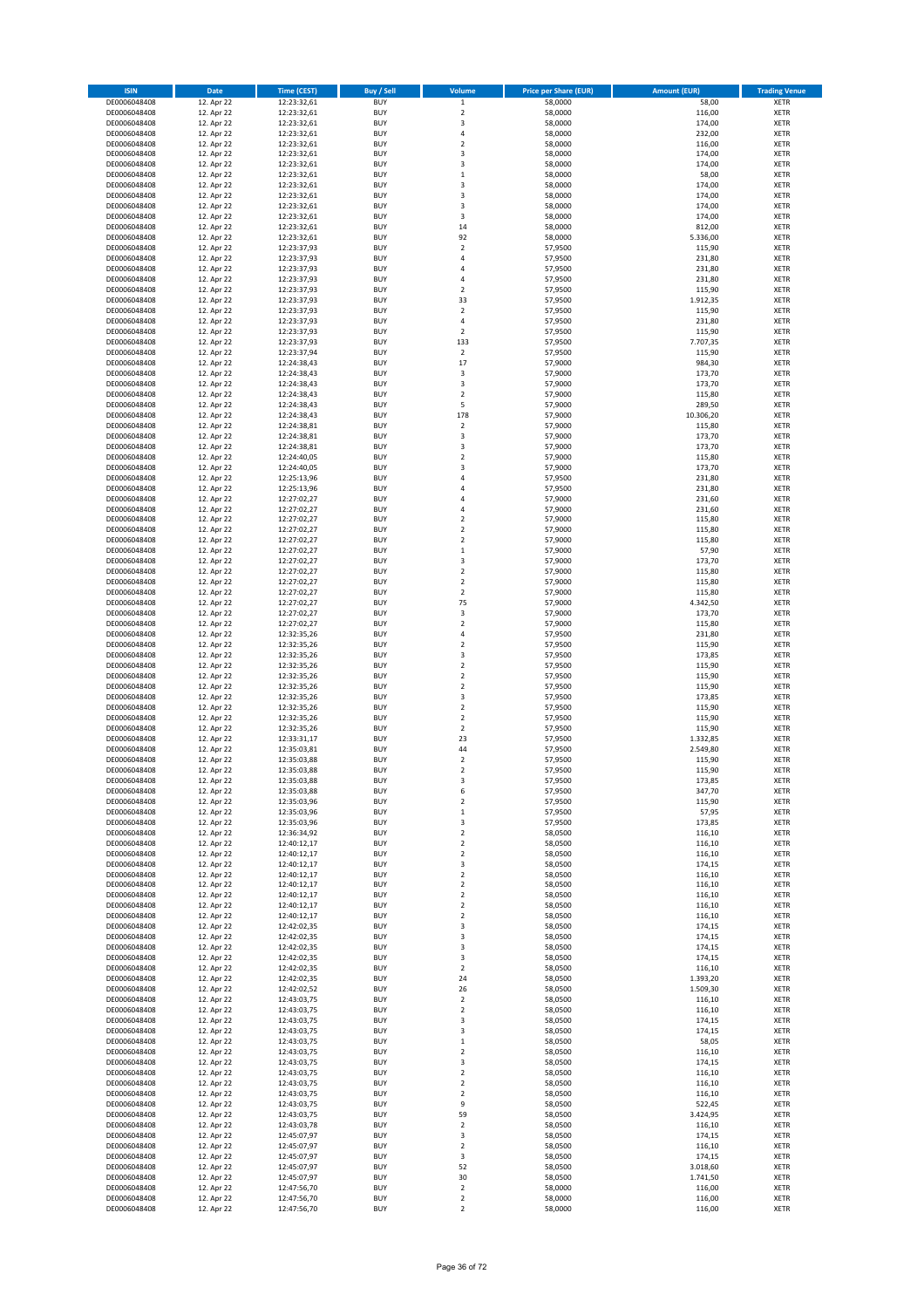| <b>ISIN</b>                  | Date                     | <b>Time (CEST)</b>         | <b>Buy / Sell</b>        | Volume                                      | <b>Price per Share (EUR)</b> | <b>Amount (EUR)</b> | <b>Trading Venue</b>       |
|------------------------------|--------------------------|----------------------------|--------------------------|---------------------------------------------|------------------------------|---------------------|----------------------------|
| DE0006048408                 | 12. Apr 22               | 12:23:32,61                | <b>BUY</b>               | $\mathbf 1$                                 | 58,0000                      | 58,00               | <b>XETR</b>                |
| DE0006048408                 | 12. Apr 22               | 12:23:32,61                | <b>BUY</b>               | $\mathbf 2$                                 | 58,0000                      | 116,00              | <b>XETR</b>                |
| DE0006048408<br>DE0006048408 | 12. Apr 22<br>12. Apr 22 | 12:23:32,61<br>12:23:32,61 | <b>BUY</b><br><b>BUY</b> | 3<br>$\sqrt{4}$                             | 58,0000<br>58,0000           | 174,00<br>232,00    | <b>XETR</b><br><b>XETR</b> |
| DE0006048408                 | 12. Apr 22               | 12:23:32,61                | <b>BUY</b>               | $\mathbf 2$                                 | 58,0000                      | 116,00              | <b>XETR</b>                |
| DE0006048408                 | 12. Apr 22               | 12:23:32,61                | <b>BUY</b>               | 3                                           | 58,0000                      | 174,00              | <b>XETR</b>                |
| DE0006048408                 | 12. Apr 22               | 12:23:32,61                | <b>BUY</b>               | 3                                           | 58,0000                      | 174,00              | <b>XETR</b>                |
| DE0006048408                 | 12. Apr 22               | 12:23:32,61                | <b>BUY</b>               | $\,1\,$                                     | 58,0000                      | 58,00               | <b>XETR</b>                |
| DE0006048408<br>DE0006048408 | 12. Apr 22<br>12. Apr 22 | 12:23:32,61<br>12:23:32,61 | <b>BUY</b><br><b>BUY</b> | 3<br>3                                      | 58,0000<br>58,0000           | 174,00<br>174,00    | XETR<br><b>XETR</b>        |
| DE0006048408                 | 12. Apr 22               | 12:23:32,61                | <b>BUY</b>               | $\overline{\mathbf{3}}$                     | 58,0000                      | 174,00              | <b>XETR</b>                |
| DE0006048408                 | 12. Apr 22               | 12:23:32,61                | <b>BUY</b>               | 3                                           | 58,0000                      | 174,00              | <b>XETR</b>                |
| DE0006048408                 | 12. Apr 22               | 12:23:32,61                | <b>BUY</b>               | 14                                          | 58,0000                      | 812,00              | XETR                       |
| DE0006048408                 | 12. Apr 22               | 12:23:32,61                | <b>BUY</b>               | 92                                          | 58,0000                      | 5.336,00            | <b>XETR</b>                |
| DE0006048408                 | 12. Apr 22               | 12:23:37,93                | <b>BUY</b>               | $\mathbf 2$                                 | 57,9500                      | 115,90              | XETR                       |
| DE0006048408<br>DE0006048408 | 12. Apr 22<br>12. Apr 22 | 12:23:37,93<br>12:23:37,93 | <b>BUY</b><br><b>BUY</b> | $\sqrt{4}$<br>$\sqrt{4}$                    | 57,9500<br>57,9500           | 231,80<br>231,80    | <b>XETR</b><br>XETR        |
| DE0006048408                 | 12. Apr 22               | 12:23:37,93                | <b>BUY</b>               | 4                                           | 57,9500                      | 231,80              | <b>XETR</b>                |
| DE0006048408                 | 12. Apr 22               | 12:23:37,93                | <b>BUY</b>               | $\overline{2}$                              | 57,9500                      | 115,90              | XETR                       |
| DE0006048408                 | 12. Apr 22               | 12:23:37,93                | <b>BUY</b>               | 33                                          | 57,9500                      | 1.912,35            | <b>XETR</b>                |
| DE0006048408                 | 12. Apr 22               | 12:23:37,93                | <b>BUY</b>               | $\overline{2}$                              | 57,9500                      | 115,90              | <b>XETR</b>                |
| DE0006048408<br>DE0006048408 | 12. Apr 22<br>12. Apr 22 | 12:23:37,93<br>12:23:37,93 | <b>BUY</b><br><b>BUY</b> | $\sqrt{4}$<br>$\overline{2}$                | 57,9500<br>57,9500           | 231,80<br>115,90    | <b>XETR</b><br><b>XETR</b> |
| DE0006048408                 | 12. Apr 22               | 12:23:37,93                | <b>BUY</b>               | 133                                         | 57,9500                      | 7.707,35            | <b>XETR</b>                |
| DE0006048408                 | 12. Apr 22               | 12:23:37,94                | <b>BUY</b>               | $\overline{2}$                              | 57,9500                      | 115,90              | <b>XETR</b>                |
| DE0006048408                 | 12. Apr 22               | 12:24:38,43                | <b>BUY</b>               | 17                                          | 57,9000                      | 984,30              | <b>XETR</b>                |
| DE0006048408                 | 12. Apr 22               | 12:24:38,43                | <b>BUY</b>               | 3                                           | 57,9000                      | 173,70              | <b>XETR</b>                |
| DE0006048408<br>DE0006048408 | 12. Apr 22               | 12:24:38,43                | <b>BUY</b><br><b>BUY</b> | 3<br>$\overline{2}$                         | 57,9000<br>57,9000           | 173,70              | <b>XETR</b><br><b>XETR</b> |
| DE0006048408                 | 12. Apr 22<br>12. Apr 22 | 12:24:38,43<br>12:24:38,43 | <b>BUY</b>               | 5                                           | 57,9000                      | 115,80<br>289,50    | <b>XETR</b>                |
| DE0006048408                 | 12. Apr 22               | 12:24:38,43                | <b>BUY</b>               | 178                                         | 57,9000                      | 10.306,20           | <b>XETR</b>                |
| DE0006048408                 | 12. Apr 22               | 12:24:38,81                | <b>BUY</b>               | $\mathbf 2$                                 | 57,9000                      | 115,80              | <b>XETR</b>                |
| DE0006048408                 | 12. Apr 22               | 12:24:38,81                | <b>BUY</b>               | 3                                           | 57,9000                      | 173,70              | <b>XETR</b>                |
| DE0006048408<br>DE0006048408 | 12. Apr 22<br>12. Apr 22 | 12:24:38,81<br>12:24:40,05 | <b>BUY</b><br><b>BUY</b> | 3<br>$\overline{2}$                         | 57,9000<br>57,9000           | 173,70<br>115,80    | XETR<br><b>XETR</b>        |
| DE0006048408                 | 12. Apr 22               | 12:24:40,05                | <b>BUY</b>               | 3                                           | 57,9000                      | 173,70              | XETR                       |
| DE0006048408                 | 12. Apr 22               | 12:25:13,96                | <b>BUY</b>               | $\overline{4}$                              | 57,9500                      | 231,80              | <b>XETR</b>                |
| DE0006048408                 | 12. Apr 22               | 12:25:13,96                | <b>BUY</b>               | $\sqrt{4}$                                  | 57,9500                      | 231,80              | XETR                       |
| DE0006048408                 | 12. Apr 22               | 12:27:02,27                | <b>BUY</b>               | $\overline{4}$                              | 57,9000                      | 231,60              | <b>XETR</b>                |
| DE0006048408                 | 12. Apr 22               | 12:27:02,27                | <b>BUY</b>               | $\overline{4}$                              | 57,9000                      | 231,60              | <b>XETR</b>                |
| DE0006048408<br>DE0006048408 | 12. Apr 22<br>12. Apr 22 | 12:27:02,27<br>12:27:02,27 | <b>BUY</b><br><b>BUY</b> | $\overline{2}$<br>$\overline{2}$            | 57,9000<br>57,9000           | 115,80<br>115,80    | <b>XETR</b><br><b>XETR</b> |
| DE0006048408                 | 12. Apr 22               | 12:27:02,27                | <b>BUY</b>               | $\overline{2}$                              | 57,9000                      | 115,80              | <b>XETR</b>                |
| DE0006048408                 | 12. Apr 22               | 12:27:02,27                | <b>BUY</b>               | $\,1\,$                                     | 57,9000                      | 57,90               | <b>XETR</b>                |
| DE0006048408                 | 12. Apr 22               | 12:27:02,27                | <b>BUY</b>               | 3                                           | 57,9000                      | 173,70              | <b>XETR</b>                |
| DE0006048408                 | 12. Apr 22               | 12:27:02,27                | <b>BUY</b>               | $\boldsymbol{2}$                            | 57,9000                      | 115,80              | <b>XETR</b>                |
| DE0006048408<br>DE0006048408 | 12. Apr 22<br>12. Apr 22 | 12:27:02,27<br>12:27:02,27 | <b>BUY</b><br><b>BUY</b> | $\boldsymbol{2}$<br>$\boldsymbol{2}$        | 57,9000<br>57,9000           | 115,80<br>115,80    | <b>XETR</b><br><b>XETR</b> |
| DE0006048408                 | 12. Apr 22               | 12:27:02,27                | <b>BUY</b>               | 75                                          | 57,9000                      | 4.342,50            | <b>XETR</b>                |
| DE0006048408                 | 12. Apr 22               | 12:27:02,27                | <b>BUY</b>               | 3                                           | 57,9000                      | 173,70              | <b>XETR</b>                |
| DE0006048408                 | 12. Apr 22               | 12:27:02,27                | <b>BUY</b>               | $\boldsymbol{2}$                            | 57,9000                      | 115,80              | <b>XETR</b>                |
| DE0006048408                 | 12. Apr 22               | 12:32:35,26                | <b>BUY</b>               | $\overline{4}$                              | 57,9500                      | 231,80              | <b>XETR</b>                |
| DE0006048408<br>DE0006048408 | 12. Apr 22<br>12. Apr 22 | 12:32:35,26<br>12:32:35,26 | <b>BUY</b><br><b>BUY</b> | $\mathbf 2$<br>3                            | 57,9500<br>57,9500           | 115,90<br>173,85    | <b>XETR</b><br><b>XETR</b> |
| DE0006048408                 | 12. Apr 22               | 12:32:35,26                | <b>BUY</b>               | $\mathbf 2$                                 | 57,9500                      | 115,90              | <b>XETR</b>                |
| DE0006048408                 | 12. Apr 22               | 12:32:35,26                | <b>BUY</b>               | $\overline{2}$                              | 57,9500                      | 115,90              | <b>XETR</b>                |
| DE0006048408                 | 12. Apr 22               | 12:32:35,26                | <b>BUY</b>               | $\overline{2}$                              | 57,9500                      | 115,90              | <b>XETR</b>                |
| DE0006048408                 | 12. Apr 22               | 12:32:35,26                | <b>BUY</b>               | 3                                           | 57,9500                      | 173,85              | <b>XETR</b>                |
| DE0006048408<br>DE0006048408 | 12. Apr 22<br>12. Apr 22 | 12:32:35,26<br>12:32:35,26 | <b>BUY</b><br><b>BUY</b> | $\overline{2}$<br>$\overline{2}$            | 57,9500<br>57,9500           | 115,90<br>115,90    | <b>XETR</b><br><b>XETR</b> |
| DE0006048408                 | 12. Apr 22               | 12:32:35,26                | <b>BUY</b>               | $\mathbf 2$                                 | 57,9500                      | 115,90              | XETR                       |
| DE0006048408                 | 12. Apr 22               | 12:33:31,17                | <b>BUY</b>               | 23                                          | 57,9500                      | 1.332,85            | <b>XETR</b>                |
| DE0006048408                 | 12. Apr 22               | 12:35:03,81                | <b>BUY</b>               | 44                                          | 57,9500                      | 2.549,80            | XETR                       |
| DE0006048408                 | 12. Apr 22               | 12:35:03,88                | <b>BUY</b>               | $\overline{2}$                              | 57,9500                      | 115,90              | <b>XETR</b>                |
| DE0006048408<br>DE0006048408 | 12. Apr 22<br>12. Apr 22 | 12:35:03,88<br>12:35:03,88 | <b>BUY</b><br><b>BUY</b> | $\overline{2}$<br>3                         | 57,9500<br>57,9500           | 115,90<br>173,85    | <b>XETR</b><br>XETR        |
| DE0006048408                 | 12. Apr 22               | 12:35:03,88                | <b>BUY</b>               | 6                                           | 57,9500                      | 347,70              | XETR                       |
| DE0006048408                 | 12. Apr 22               | 12:35:03,96                | <b>BUY</b>               | $\boldsymbol{2}$                            | 57,9500                      | 115,90              | XETR                       |
| DE0006048408                 | 12. Apr 22               | 12:35:03,96                | <b>BUY</b>               | $\,$ 1                                      | 57,9500                      | 57,95               | <b>XETR</b>                |
| DE0006048408                 | 12. Apr 22               | 12:35:03,96                | <b>BUY</b>               | 3                                           | 57,9500                      | 173,85              | <b>XETR</b>                |
| DE0006048408<br>DE0006048408 | 12. Apr 22<br>12. Apr 22 | 12:36:34,92<br>12:40:12,17 | <b>BUY</b><br><b>BUY</b> | $\boldsymbol{2}$<br>$\boldsymbol{2}$        | 58,0500<br>58,0500           | 116,10<br>116,10    | XETR<br><b>XETR</b>        |
| DE0006048408                 | 12. Apr 22               | 12:40:12,17                | <b>BUY</b>               | $\boldsymbol{2}$                            | 58,0500                      | 116,10              | <b>XETR</b>                |
| DE0006048408                 | 12. Apr 22               | 12:40:12,17                | <b>BUY</b>               | 3                                           | 58,0500                      | 174,15              | <b>XETR</b>                |
| DE0006048408                 | 12. Apr 22               | 12:40:12,17                | <b>BUY</b>               | $\boldsymbol{2}$                            | 58,0500                      | 116,10              | <b>XETR</b>                |
| DE0006048408                 | 12. Apr 22               | 12:40:12,17                | <b>BUY</b>               | $\boldsymbol{2}$                            | 58,0500                      | 116,10              | <b>XETR</b>                |
| DE0006048408<br>DE0006048408 | 12. Apr 22<br>12. Apr 22 | 12:40:12,17<br>12:40:12,17 | <b>BUY</b><br><b>BUY</b> | $\boldsymbol{2}$<br>$\overline{2}$          | 58,0500<br>58,0500           | 116,10<br>116,10    | <b>XETR</b><br><b>XETR</b> |
| DE0006048408                 | 12. Apr 22               | 12:40:12,17                | <b>BUY</b>               | $\mathbf 2$                                 | 58,0500                      | 116,10              | XETR                       |
| DE0006048408                 | 12. Apr 22               | 12:42:02,35                | <b>BUY</b>               | 3                                           | 58,0500                      | 174,15              | <b>XETR</b>                |
| DE0006048408                 | 12. Apr 22               | 12:42:02,35                | <b>BUY</b>               | 3                                           | 58,0500                      | 174,15              | <b>XETR</b>                |
| DE0006048408                 | 12. Apr 22               | 12:42:02,35                | <b>BUY</b>               | 3                                           | 58,0500                      | 174,15              | <b>XETR</b>                |
| DE0006048408<br>DE0006048408 | 12. Apr 22<br>12. Apr 22 | 12:42:02,35<br>12:42:02,35 | <b>BUY</b><br><b>BUY</b> | 3<br>$\overline{2}$                         | 58,0500<br>58,0500           | 174,15<br>116,10    | <b>XETR</b><br><b>XETR</b> |
| DE0006048408                 | 12. Apr 22               | 12:42:02,35                | <b>BUY</b>               | 24                                          | 58,0500                      | 1.393,20            | <b>XETR</b>                |
| DE0006048408                 | 12. Apr 22               | 12:42:02,52                | <b>BUY</b>               | 26                                          | 58,0500                      | 1.509,30            | <b>XETR</b>                |
| DE0006048408                 | 12. Apr 22               | 12:43:03,75                | <b>BUY</b>               | $\boldsymbol{2}$                            | 58,0500                      | 116,10              | <b>XETR</b>                |
| DE0006048408                 | 12. Apr 22               | 12:43:03,75                | <b>BUY</b>               | $\overline{2}$                              | 58,0500                      | 116,10              | XETR                       |
| DE0006048408<br>DE0006048408 | 12. Apr 22<br>12. Apr 22 | 12:43:03,75<br>12:43:03,75 | <b>BUY</b><br><b>BUY</b> | 3<br>3                                      | 58,0500<br>58,0500           | 174,15<br>174,15    | XETR<br><b>XETR</b>        |
| DE0006048408                 | 12. Apr 22               | 12:43:03,75                | <b>BUY</b>               | $\mathbf 1$                                 | 58,0500                      | 58,05               | <b>XETR</b>                |
| DE0006048408                 | 12. Apr 22               | 12:43:03,75                | <b>BUY</b>               | $\overline{\mathbf{c}}$                     | 58,0500                      | 116,10              | XETR                       |
| DE0006048408                 | 12. Apr 22               | 12:43:03,75                | <b>BUY</b>               | 3                                           | 58,0500                      | 174,15              | XETR                       |
| DE0006048408                 | 12. Apr 22               | 12:43:03,75                | <b>BUY</b>               | $\boldsymbol{2}$                            | 58,0500                      | 116,10              | <b>XETR</b>                |
| DE0006048408<br>DE0006048408 | 12. Apr 22<br>12. Apr 22 | 12:43:03,75<br>12:43:03,75 | <b>BUY</b><br><b>BUY</b> | $\boldsymbol{2}$<br>$\overline{\mathbf{c}}$ | 58,0500<br>58,0500           | 116,10<br>116,10    | <b>XETR</b><br>XETR        |
| DE0006048408                 | 12. Apr 22               | 12:43:03,75                | <b>BUY</b>               | 9                                           | 58,0500                      | 522,45              | XETR                       |
| DE0006048408                 | 12. Apr 22               | 12:43:03,75                | <b>BUY</b>               | 59                                          | 58,0500                      | 3.424,95            | <b>XETR</b>                |
| DE0006048408                 | 12. Apr 22               | 12:43:03,78                | <b>BUY</b>               | $\mathbf 2$                                 | 58,0500                      | 116,10              | <b>XETR</b>                |
| DE0006048408                 | 12. Apr 22               | 12:45:07,97                | <b>BUY</b>               | 3                                           | 58,0500                      | 174,15              | <b>XETR</b>                |
| DE0006048408<br>DE0006048408 | 12. Apr 22<br>12. Apr 22 | 12:45:07,97<br>12:45:07,97 | <b>BUY</b><br><b>BUY</b> | $\overline{2}$<br>3                         | 58,0500<br>58,0500           | 116,10<br>174,15    | <b>XETR</b><br><b>XETR</b> |
| DE0006048408                 | 12. Apr 22               | 12:45:07,97                | <b>BUY</b>               | 52                                          | 58,0500                      | 3.018,60            | <b>XETR</b>                |
| DE0006048408                 | 12. Apr 22               | 12:45:07,97                | <b>BUY</b>               | 30                                          | 58,0500                      | 1.741,50            | <b>XETR</b>                |
| DE0006048408                 | 12. Apr 22               | 12:47:56,70                | <b>BUY</b>               | $\overline{2}$                              | 58,0000                      | 116,00              | <b>XETR</b>                |
| DE0006048408                 | 12. Apr 22               | 12:47:56,70                | <b>BUY</b>               | $\mathbf 2$                                 | 58,0000                      | 116,00              | <b>XETR</b>                |
| DE0006048408                 | 12. Apr 22               | 12:47:56,70                | <b>BUY</b>               | $\overline{2}$                              | 58,0000                      | 116,00              | <b>XETR</b>                |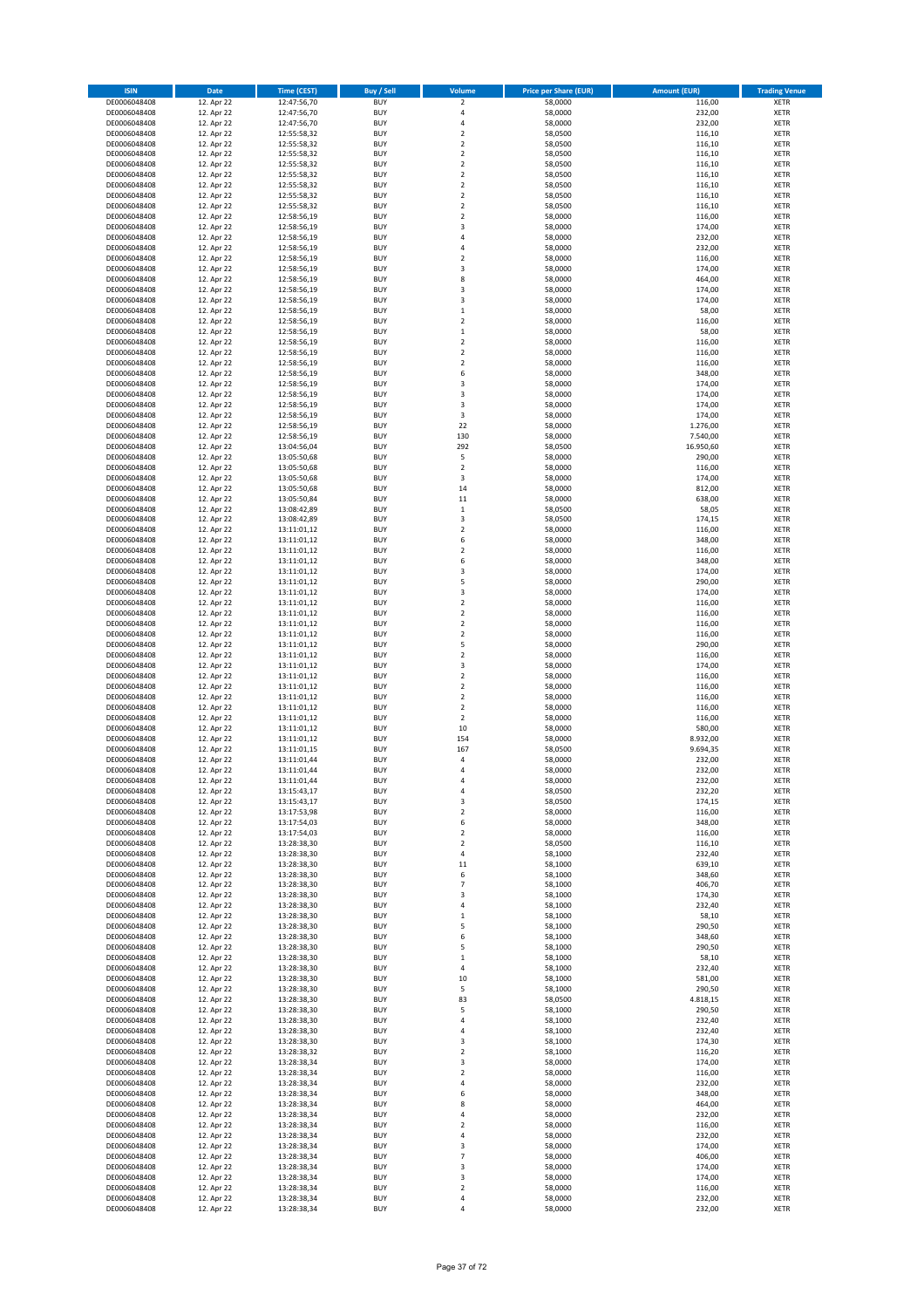| <b>ISIN</b>                  | Date                     | <b>Time (CEST)</b>         | <b>Buy / Sell</b>        | Volume                        | <b>Price per Share (EUR)</b> | <b>Amount (EUR)</b>   | <b>Trading Venue</b>       |
|------------------------------|--------------------------|----------------------------|--------------------------|-------------------------------|------------------------------|-----------------------|----------------------------|
| DE0006048408                 | 12. Apr 22               | 12:47:56,70                | <b>BUY</b>               | $\mathbf 2$                   | 58,0000                      | 116,00                | <b>XETR</b>                |
| DE0006048408                 | 12. Apr 22               | 12:47:56,70                | <b>BUY</b>               | 4                             | 58,0000                      | 232,00                | XETR                       |
| DE0006048408<br>DE0006048408 | 12. Apr 22<br>12. Apr 22 | 12:47:56,70<br>12:55:58,32 | <b>BUY</b><br><b>BUY</b> | 4<br>$\mathbf 2$              | 58,0000<br>58,0500           | 232,00<br>116,10      | XETR<br>XETR               |
| DE0006048408                 | 12. Apr 22               | 12:55:58,32                | <b>BUY</b>               | $\mathbf 2$                   | 58,0500                      | 116,10                | XETR                       |
| DE0006048408                 | 12. Apr 22               | 12:55:58,32                | <b>BUY</b>               | $\mathbf 2$                   | 58,0500                      | 116,10                | <b>XETR</b>                |
| DE0006048408                 | 12. Apr 22               | 12:55:58,32                | <b>BUY</b>               | $\mathbf 2$                   | 58,0500                      | 116,10                | <b>XETR</b>                |
| DE0006048408                 | 12. Apr 22               | 12:55:58,32                | <b>BUY</b>               | $\mathbf 2$                   | 58,0500                      | 116,10                | <b>XETR</b>                |
| DE0006048408<br>DE0006048408 | 12. Apr 22<br>12. Apr 22 | 12:55:58,32                | <b>BUY</b><br><b>BUY</b> | $\mathbf 2$<br>$\mathbf 2$    | 58,0500<br>58,0500           | 116,10<br>116,10      | <b>XETR</b><br><b>XETR</b> |
| DE0006048408                 | 12. Apr 22               | 12:55:58,32<br>12:55:58,32 | <b>BUY</b>               | $\mathbf 2$                   | 58,0500                      | 116,10                | <b>XETR</b>                |
| DE0006048408                 | 12. Apr 22               | 12:58:56,19                | <b>BUY</b>               | $\mathbf 2$                   | 58,0000                      | 116,00                | <b>XETR</b>                |
| DE0006048408                 | 12. Apr 22               | 12:58:56,19                | <b>BUY</b>               | 3                             | 58,0000                      | 174,00                | XETR                       |
| DE0006048408                 | 12. Apr 22               | 12:58:56,19                | <b>BUY</b>               | 4                             | 58,0000                      | 232,00                | <b>XETR</b>                |
| DE0006048408                 | 12. Apr 22               | 12:58:56,19                | <b>BUY</b>               | 4                             | 58,0000                      | 232,00                | XETR                       |
| DE0006048408<br>DE0006048408 | 12. Apr 22<br>12. Apr 22 | 12:58:56,19<br>12:58:56,19 | <b>BUY</b><br><b>BUY</b> | $\mathbf 2$<br>3              | 58,0000<br>58,0000           | 116,00<br>174,00      | <b>XETR</b><br>XETR        |
| DE0006048408                 | 12. Apr 22               | 12:58:56,19                | <b>BUY</b>               | 8                             | 58,0000                      | 464,00                | <b>XETR</b>                |
| DE0006048408                 | 12. Apr 22               | 12:58:56,19                | <b>BUY</b>               | 3                             | 58,0000                      | 174,00                | XETR                       |
| DE0006048408                 | 12. Apr 22               | 12:58:56,19                | <b>BUY</b>               | 3                             | 58,0000                      | 174,00                | <b>XETR</b>                |
| DE0006048408                 | 12. Apr 22<br>12. Apr 22 | 12:58:56,19                | <b>BUY</b><br><b>BUY</b> | $\mathbf 1$<br>$\mathbf 2$    | 58,0000<br>58,0000           | 58,00<br>116,00       | <b>XETR</b><br>XETR        |
| DE0006048408<br>DE0006048408 | 12. Apr 22               | 12:58:56,19<br>12:58:56,19 | <b>BUY</b>               | $\mathbf{1}$                  | 58,0000                      | 58,00                 | <b>XETR</b>                |
| DE0006048408                 | 12. Apr 22               | 12:58:56,19                | <b>BUY</b>               | $\mathbf 2$                   | 58,0000                      | 116,00                | <b>XETR</b>                |
| DE0006048408                 | 12. Apr 22               | 12:58:56,19                | <b>BUY</b>               | $\mathbf 2$                   | 58,0000                      | 116,00                | <b>XETR</b>                |
| DE0006048408                 | 12. Apr 22               | 12:58:56,19                | <b>BUY</b>               | $\mathbf 2$                   | 58,0000                      | 116,00                | <b>XETR</b>                |
| DE0006048408                 | 12. Apr 22               | 12:58:56,19<br>12:58:56,19 | <b>BUY</b><br><b>BUY</b> | 6<br>3                        | 58,0000                      | 348,00                | <b>XETR</b>                |
| DE0006048408<br>DE0006048408 | 12. Apr 22<br>12. Apr 22 | 12:58:56,19                | <b>BUY</b>               | 3                             | 58,0000<br>58,0000           | 174,00<br>174,00      | <b>XETR</b><br><b>XETR</b> |
| DE0006048408                 | 12. Apr 22               | 12:58:56,19                | <b>BUY</b>               | 3                             | 58,0000                      | 174,00                | XETR                       |
| DE0006048408                 | 12. Apr 22               | 12:58:56,19                | <b>BUY</b>               | 3                             | 58,0000                      | 174,00                | <b>XETR</b>                |
| DE0006048408                 | 12. Apr 22               | 12:58:56,19                | <b>BUY</b>               | 22                            | 58,0000                      | 1.276,00              | <b>XETR</b>                |
| DE0006048408<br>DE0006048408 | 12. Apr 22               | 12:58:56,19                | <b>BUY</b><br><b>BUY</b> | 130<br>292                    | 58,0000                      | 7.540,00<br>16.950,60 | <b>XETR</b><br>XETR        |
| DE0006048408                 | 12. Apr 22<br>12. Apr 22 | 13:04:56,04<br>13:05:50,68 | <b>BUY</b>               | 5                             | 58,0500<br>58,0000           | 290,00                | <b>XETR</b>                |
| DE0006048408                 | 12. Apr 22               | 13:05:50,68                | <b>BUY</b>               | $\mathbf 2$                   | 58,0000                      | 116,00                | XETR                       |
| DE0006048408                 | 12. Apr 22               | 13:05:50,68                | <b>BUY</b>               | 3                             | 58,0000                      | 174,00                | <b>XETR</b>                |
| DE0006048408                 | 12. Apr 22               | 13:05:50,68                | <b>BUY</b>               | 14                            | 58,0000                      | 812,00                | XETR                       |
| DE0006048408                 | 12. Apr 22               | 13:05:50,84                | <b>BUY</b>               | 11                            | 58,0000                      | 638,00                | <b>XETR</b>                |
| DE0006048408<br>DE0006048408 | 12. Apr 22<br>12. Apr 22 | 13:08:42,89<br>13:08:42,89 | <b>BUY</b><br><b>BUY</b> | $\mathbf 1$<br>3              | 58,0500<br>58,0500           | 58,05<br>174,15       | <b>XETR</b><br><b>XETR</b> |
| DE0006048408                 | 12. Apr 22               | 13:11:01,12                | <b>BUY</b>               | $\mathbf 2$                   | 58,0000                      | 116,00                | <b>XETR</b>                |
| DE0006048408                 | 12. Apr 22               | 13:11:01,12                | <b>BUY</b>               | 6                             | 58,0000                      | 348,00                | <b>XETR</b>                |
| DE0006048408                 | 12. Apr 22               | 13:11:01,12                | <b>BUY</b>               | $\mathbf 2$                   | 58,0000                      | 116,00                | <b>XETR</b>                |
| DE0006048408                 | 12. Apr 22               | 13:11:01,12                | <b>BUY</b>               | 6                             | 58,0000                      | 348,00                | <b>XETR</b>                |
| DE0006048408                 | 12. Apr 22               | 13:11:01,12                | <b>BUY</b>               | 3                             | 58,0000                      | 174,00                | XETR                       |
| DE0006048408<br>DE0006048408 | 12. Apr 22<br>12. Apr 22 | 13:11:01,12<br>13:11:01,12 | <b>BUY</b><br><b>BUY</b> | 5<br>3                        | 58,0000<br>58,0000           | 290,00<br>174,00      | XETR<br><b>XETR</b>        |
| DE0006048408                 | 12. Apr 22               | 13:11:01,12                | <b>BUY</b>               | $\mathbf 2$                   | 58,0000                      | 116,00                | <b>XETR</b>                |
| DE0006048408                 | 12. Apr 22               | 13:11:01,12                | <b>BUY</b>               | $\mathbf 2$                   | 58,0000                      | 116,00                | <b>XETR</b>                |
| DE0006048408                 | 12. Apr 22               | 13:11:01,12                | <b>BUY</b>               | $\mathbf 2$                   | 58,0000                      | 116,00                | <b>XETR</b>                |
| DE0006048408                 | 12. Apr 22               | 13:11:01,12                | <b>BUY</b>               | $\mathbf 2$                   | 58,0000                      | 116,00                | <b>XETR</b>                |
| DE0006048408<br>DE0006048408 | 12. Apr 22<br>12. Apr 22 | 13:11:01,12<br>13:11:01,12 | <b>BUY</b><br><b>BUY</b> | 5<br>$\mathbf 2$              | 58,0000<br>58,0000           | 290,00<br>116,00      | <b>XETR</b><br><b>XETR</b> |
| DE0006048408                 | 12. Apr 22               | 13:11:01,12                | <b>BUY</b>               | 3                             | 58,0000                      | 174,00                | <b>XETR</b>                |
| DE0006048408                 | 12. Apr 22               | 13:11:01,12                | <b>BUY</b>               | $\mathbf 2$                   | 58,0000                      | 116,00                | <b>XETR</b>                |
| DE0006048408                 | 12. Apr 22               | 13:11:01,12                | <b>BUY</b>               | $\overline{2}$                | 58,0000                      | 116,00                | <b>XETR</b>                |
| DE0006048408                 | 12. Apr 22               | 13:11:01,12                | <b>BUY</b>               | $\mathbf 2$                   | 58,0000                      | 116,00                | <b>XETR</b>                |
| DE0006048408<br>DE0006048408 | 12. Apr 22<br>12. Apr 22 | 13:11:01,12<br>13:11:01,12 | <b>BUY</b><br><b>BUY</b> | $\mathbf 2$<br>$\overline{2}$ | 58,0000<br>58,0000           | 116,00<br>116,00      | <b>XETR</b><br><b>XETR</b> |
| DE0006048408                 | 12. Apr 22               | 13:11:01,12                | <b>BUY</b>               | 10                            | 58,0000                      | 580,00                | XETR                       |
| DE0006048408                 | 12. Apr 22               | 13:11:01,12                | <b>BUY</b>               | 154                           | 58,0000                      | 8.932,00              | <b>XETR</b>                |
| DE0006048408                 | 12. Apr 22               | 13:11:01,15                | <b>BUY</b>               | 167                           | 58,0500                      | 9.694,35              | XETR                       |
| DE0006048408                 | 12. Apr 22               | 13:11:01,44                | <b>BUY</b>               | 4                             | 58,0000                      | 232,00                | <b>XETR</b>                |
| DE0006048408<br>DE0006048408 | 12. Apr 22<br>12. Apr 22 | 13:11:01,44<br>13:11:01,44 | <b>BUY</b><br><b>BUY</b> | $\overline{a}$<br>4           | 58,0000<br>58,0000           | 232,00<br>232,00      | <b>XETR</b><br>XETR        |
| DE0006048408                 | 12. Apr 22               | 13:15:43,17                | <b>BUY</b>               | 4                             | 58,0500                      | 232,20                | XETR                       |
| DE0006048408                 | 12. Apr 22               | 13:15:43,17                | <b>BUY</b>               | 3                             | 58,0500                      | 174,15                | XETR                       |
| DE0006048408                 | 12. Apr 22               | 13:17:53,98                | <b>BUY</b>               | 2                             | 58,0000                      | 116,00                | XETR                       |
| DE0006048408                 | 12. Apr 22               | 13:17:54,03                | <b>BUY</b>               | 6                             | 58,0000                      | 348,00                | <b>XETR</b>                |
| DE0006048408<br>DE0006048408 | 12. Apr 22<br>12. Apr 22 | 13:17:54,03<br>13:28:38,30 | <b>BUY</b><br><b>BUY</b> | 2<br>$\mathbf 2$              | 58,0000<br>58,0500           | 116,00<br>116,10      | XETR<br><b>XETR</b>        |
| DE0006048408                 | 12. Apr 22               | 13:28:38,30                | <b>BUY</b>               | 4                             | 58,1000                      | 232,40                | XETR                       |
| DE0006048408                 | 12. Apr 22               | 13:28:38,30                | <b>BUY</b>               | 11                            | 58,1000                      | 639,10                | <b>XETR</b>                |
| DE0006048408                 | 12. Apr 22               | 13:28:38,30                | <b>BUY</b>               | 6                             | 58,1000                      | 348,60                | XETR                       |
| DE0006048408                 | 12. Apr 22               | 13:28:38,30                | <b>BUY</b>               | $\overline{7}$                | 58,1000                      | 406,70                | <b>XETR</b>                |
| DE0006048408<br>DE0006048408 | 12. Apr 22<br>12. Apr 22 | 13:28:38,30<br>13:28:38,30 | <b>BUY</b><br><b>BUY</b> | 3<br>4                        | 58,1000<br>58,1000           | 174,30<br>232,40      | XETR<br><b>XETR</b>        |
| DE0006048408                 | 12. Apr 22               | 13:28:38,30                | <b>BUY</b>               | $\mathbf 1$                   | 58,1000                      | 58,10                 | XETR                       |
| DE0006048408                 | 12. Apr 22               | 13:28:38,30                | <b>BUY</b>               | 5                             | 58,1000                      | 290,50                | <b>XETR</b>                |
| DE0006048408                 | 12. Apr 22               | 13:28:38,30                | <b>BUY</b>               | 6                             | 58,1000                      | 348,60                | XETR                       |
| DE0006048408                 | 12. Apr 22               | 13:28:38,30                | <b>BUY</b>               | 5                             | 58,1000                      | 290,50                | <b>XETR</b>                |
| DE0006048408<br>DE0006048408 | 12. Apr 22<br>12. Apr 22 | 13:28:38,30<br>13:28:38,30 | <b>BUY</b><br><b>BUY</b> | $\mathbf 1$<br>4              | 58,1000<br>58,1000           | 58,10<br>232,40       | <b>XETR</b><br><b>XETR</b> |
| DE0006048408                 | 12. Apr 22               | 13:28:38,30                | <b>BUY</b>               | 10                            | 58,1000                      | 581,00                | XETR                       |
| DE0006048408                 | 12. Apr 22               | 13:28:38,30                | <b>BUY</b>               | 5                             | 58,1000                      | 290,50                | <b>XETR</b>                |
| DE0006048408                 | 12. Apr 22               | 13:28:38,30                | <b>BUY</b>               | 83                            | 58,0500                      | 4.818,15              | <b>XETR</b>                |
| DE0006048408                 | 12. Apr 22               | 13:28:38,30                | <b>BUY</b>               | 5                             | 58,1000                      | 290,50                | XETR                       |
| DE0006048408<br>DE0006048408 | 12. Apr 22<br>12. Apr 22 | 13:28:38,30<br>13:28:38,30 | <b>BUY</b><br><b>BUY</b> | 4<br>4                        | 58,1000<br>58,1000           | 232,40<br>232,40      | <b>XETR</b><br>XETR        |
| DE0006048408                 | 12. Apr 22               | 13:28:38,30                | <b>BUY</b>               | 3                             | 58,1000                      | 174,30                | <b>XETR</b>                |
| DE0006048408                 | 12. Apr 22               | 13:28:38,32                | <b>BUY</b>               | 2                             | 58,1000                      | 116,20                | XETR                       |
| DE0006048408                 | 12. Apr 22               | 13:28:38,34                | <b>BUY</b>               | 3                             | 58,0000                      | 174,00                | <b>XETR</b>                |
| DE0006048408                 | 12. Apr 22               | 13:28:38,34                | <b>BUY</b>               | $\mathbf 2$                   | 58,0000                      | 116,00                | XETR                       |
| DE0006048408                 | 12. Apr 22<br>12. Apr 22 | 13:28:38,34                | <b>BUY</b><br><b>BUY</b> | 4                             | 58,0000<br>58,0000           | 232,00<br>348,00      | <b>XETR</b><br>XETR        |
| DE0006048408<br>DE0006048408 | 12. Apr 22               | 13:28:38,34<br>13:28:38,34 | <b>BUY</b>               | 6<br>8                        | 58,0000                      | 464,00                | <b>XETR</b>                |
| DE0006048408                 | 12. Apr 22               | 13:28:38,34                | <b>BUY</b>               | 4                             | 58,0000                      | 232,00                | XETR                       |
| DE0006048408                 | 12. Apr 22               | 13:28:38,34                | <b>BUY</b>               | 2                             | 58,0000                      | 116,00                | <b>XETR</b>                |
| DE0006048408                 | 12. Apr 22               | 13:28:38,34                | <b>BUY</b>               | 4                             | 58,0000                      | 232,00                | <b>XETR</b>                |
| DE0006048408<br>DE0006048408 | 12. Apr 22<br>12. Apr 22 | 13:28:38,34                | <b>BUY</b><br><b>BUY</b> | 3<br>$\overline{7}$           | 58,0000<br>58,0000           | 174,00<br>406,00      | <b>XETR</b><br>XETR        |
| DE0006048408                 | 12. Apr 22               | 13:28:38,34<br>13:28:38,34 | <b>BUY</b>               | 3                             | 58,0000                      | 174,00                | <b>XETR</b>                |
| DE0006048408                 | 12. Apr 22               | 13:28:38,34                | <b>BUY</b>               | 3                             | 58,0000                      | 174,00                | XETR                       |
| DE0006048408                 | 12. Apr 22               | 13:28:38,34                | <b>BUY</b>               | $\mathbf 2$                   | 58,0000                      | 116,00                | XETR                       |
| DE0006048408                 | 12. Apr 22               | 13:28:38,34                | <b>BUY</b>               | 4                             | 58,0000                      | 232,00                | XETR                       |
| DE0006048408                 | 12. Apr 22               | 13:28:38,34                | <b>BUY</b>               | 4                             | 58,0000                      | 232,00                | XETR                       |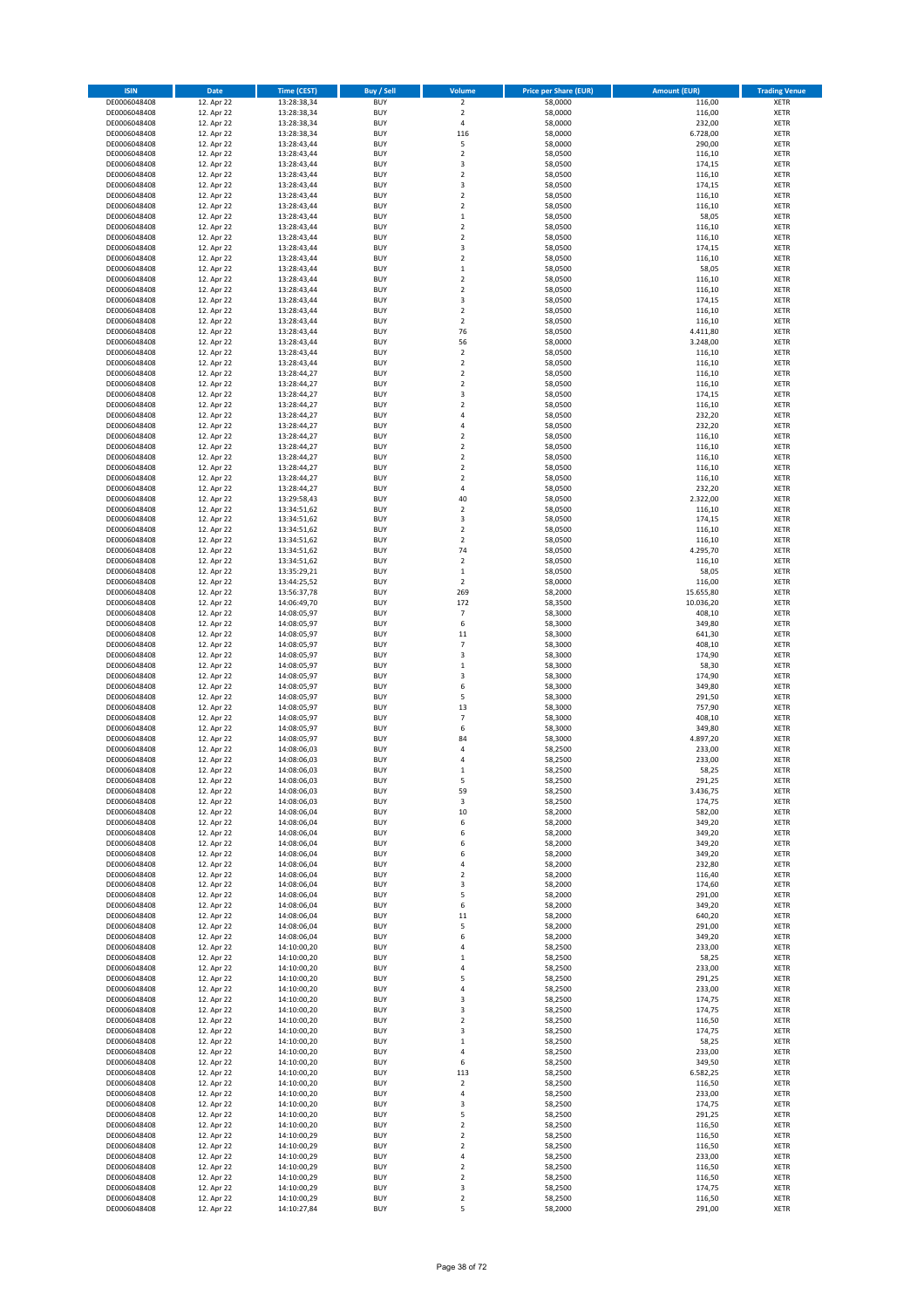| <b>ISIN</b>                  | Date                     | <b>Time (CEST)</b>         | Buy / Sell               | Volume                                 | <b>Price per Share (EUR)</b> | <b>Amount (EUR)</b>  | <b>Trading Venue</b>       |
|------------------------------|--------------------------|----------------------------|--------------------------|----------------------------------------|------------------------------|----------------------|----------------------------|
| DE0006048408                 | 12. Apr 22               | 13:28:38,34                | <b>BUY</b>               | $\overline{\mathbf{c}}$                | 58,0000                      | 116,00               | XETR                       |
| DE0006048408<br>DE0006048408 | 12. Apr 22<br>12. Apr 22 | 13:28:38,34<br>13:28:38,34 | <b>BUY</b><br><b>BUY</b> | $\mathbf 2$<br>4                       | 58,0000<br>58,0000           | 116,00<br>232,00     | XETR<br><b>XETR</b>        |
| DE0006048408                 | 12. Apr 22               | 13:28:38,34                | <b>BUY</b>               | 116                                    | 58,0000                      | 6.728,00             | <b>XETR</b>                |
| DE0006048408                 | 12. Apr 22               | 13:28:43,44                | <b>BUY</b>               | 5                                      | 58,0000                      | 290,00               | <b>XETR</b>                |
| DE0006048408                 | 12. Apr 22               | 13:28:43,44                | <b>BUY</b>               | $\mathbf 2$                            | 58,0500                      | 116,10               | <b>XETR</b>                |
| DE0006048408<br>DE0006048408 | 12. Apr 22<br>12. Apr 22 | 13:28:43,44<br>13:28:43,44 | <b>BUY</b><br><b>BUY</b> | 3<br>$\mathbf 2$                       | 58,0500<br>58,0500           | 174,15<br>116,10     | <b>XETR</b><br><b>XETR</b> |
| DE0006048408                 | 12. Apr 22               | 13:28:43,44                | <b>BUY</b>               | 3                                      | 58,0500                      | 174,15               | <b>XETR</b>                |
| DE0006048408                 | 12. Apr 22               | 13:28:43,44                | <b>BUY</b>               | $\mathbf 2$                            | 58,0500                      | 116,10               | <b>XETR</b>                |
| DE0006048408                 | 12. Apr 22               | 13:28:43,44                | <b>BUY</b>               | $\mathbf 2$                            | 58,0500                      | 116,10               | <b>XETR</b>                |
| DE0006048408                 | 12. Apr 22               | 13:28:43,44                | <b>BUY</b>               | $\mathbf 1$                            | 58,0500                      | 58,05                | <b>XETR</b>                |
| DE0006048408<br>DE0006048408 | 12. Apr 22<br>12. Apr 22 | 13:28:43,44<br>13:28:43,44 | <b>BUY</b><br><b>BUY</b> | $\mathbf 2$<br>$\mathbf 2$             | 58,0500<br>58,0500           | 116,10<br>116,10     | XETR<br><b>XETR</b>        |
| DE0006048408                 | 12. Apr 22               | 13:28:43,44                | <b>BUY</b>               | 3                                      | 58,0500                      | 174,15               | XETR                       |
| DE0006048408                 | 12. Apr 22               | 13:28:43,44                | <b>BUY</b>               | $\mathbf 2$                            | 58,0500                      | 116,10               | <b>XETR</b>                |
| DE0006048408                 | 12. Apr 22               | 13:28:43,44                | <b>BUY</b>               | $\mathbf 1$                            | 58,0500                      | 58,05                | XETR                       |
| DE0006048408<br>DE0006048408 | 12. Apr 22<br>12. Apr 22 | 13:28:43,44<br>13:28:43,44 | <b>BUY</b><br><b>BUY</b> | $\mathbf 2$<br>$\mathbf 2$             | 58,0500<br>58,0500           | 116,10<br>116,10     | <b>XETR</b><br>XETR        |
| DE0006048408                 | 12. Apr 22               | 13:28:43,44                | <b>BUY</b>               | 3                                      | 58,0500                      | 174,15               | <b>XETR</b>                |
| DE0006048408                 | 12. Apr 22               | 13:28:43,44                | <b>BUY</b>               | $\mathbf 2$                            | 58,0500                      | 116,10               | <b>XETR</b>                |
| DE0006048408                 | 12. Apr 22               | 13:28:43,44                | <b>BUY</b>               | $\mathbf 2$                            | 58,0500                      | 116,10               | <b>XETR</b>                |
| DE0006048408<br>DE0006048408 | 12. Apr 22<br>12. Apr 22 | 13:28:43,44<br>13:28:43,44 | <b>BUY</b><br><b>BUY</b> | 76<br>56                               | 58,0500<br>58,0000           | 4.411,80<br>3.248,00 | <b>XETR</b><br><b>XETR</b> |
| DE0006048408                 | 12. Apr 22               | 13:28:43,44                | <b>BUY</b>               | $\mathbf 2$                            | 58,0500                      | 116,10               | <b>XETR</b>                |
| DE0006048408                 | 12. Apr 22               | 13:28:43,44                | <b>BUY</b>               | $\mathbf 2$                            | 58,0500                      | 116,10               | <b>XETR</b>                |
| DE0006048408                 | 12. Apr 22               | 13:28:44,27                | <b>BUY</b>               | $\mathbf 2$                            | 58,0500                      | 116,10               | <b>XETR</b>                |
| DE0006048408                 | 12. Apr 22               | 13:28:44,27                | <b>BUY</b>               | $\mathbf 2$                            | 58,0500                      | 116,10               | <b>XETR</b>                |
| DE0006048408<br>DE0006048408 | 12. Apr 22<br>12. Apr 22 | 13:28:44,27<br>13:28:44,27 | <b>BUY</b><br><b>BUY</b> | 3<br>$\mathbf 2$                       | 58,0500<br>58,0500           | 174,15<br>116,10     | <b>XETR</b><br><b>XETR</b> |
| DE0006048408                 | 12. Apr 22               | 13:28:44,27                | <b>BUY</b>               | $\overline{4}$                         | 58,0500                      | 232,20               | <b>XETR</b>                |
| DE0006048408                 | 12. Apr 22               | 13:28:44,27                | <b>BUY</b>               | 4                                      | 58,0500                      | 232,20               | <b>XETR</b>                |
| DE0006048408                 | 12. Apr 22               | 13:28:44,27                | <b>BUY</b>               | $\mathbf 2$                            | 58,0500                      | 116,10               | <b>XETR</b>                |
| DE0006048408<br>DE0006048408 | 12. Apr 22<br>12. Apr 22 | 13:28:44,27<br>13:28:44,27 | <b>BUY</b><br><b>BUY</b> | $\mathbf 2$<br>$\mathbf 2$             | 58,0500<br>58,0500           | 116,10<br>116,10     | XETR<br><b>XETR</b>        |
| DE0006048408                 | 12. Apr 22               | 13:28:44,27                | <b>BUY</b>               | $\mathbf 2$                            | 58,0500                      | 116,10               | XETR                       |
| DE0006048408                 | 12. Apr 22               | 13:28:44,27                | <b>BUY</b>               | $\mathbf 2$                            | 58,0500                      | 116,10               | <b>XETR</b>                |
| DE0006048408                 | 12. Apr 22               | 13:28:44,27                | <b>BUY</b>               | 4                                      | 58,0500                      | 232,20               | <b>XETR</b>                |
| DE0006048408                 | 12. Apr 22               | 13:29:58,43                | <b>BUY</b>               | 40<br>$\mathbf 2$                      | 58,0500                      | 2.322,00             | <b>XETR</b>                |
| DE0006048408<br>DE0006048408 | 12. Apr 22<br>12. Apr 22 | 13:34:51,62<br>13:34:51,62 | <b>BUY</b><br><b>BUY</b> | 3                                      | 58,0500<br>58,0500           | 116,10<br>174,15     | <b>XETR</b><br><b>XETR</b> |
| DE0006048408                 | 12. Apr 22               | 13:34:51,62                | <b>BUY</b>               | $\mathbf 2$                            | 58,0500                      | 116,10               | <b>XETR</b>                |
| DE0006048408                 | 12. Apr 22               | 13:34:51,62                | <b>BUY</b>               | $\overline{\mathbf{c}}$                | 58,0500                      | 116,10               | <b>XETR</b>                |
| DE0006048408                 | 12. Apr 22               | 13:34:51,62                | <b>BUY</b>               | 74                                     | 58,0500                      | 4.295,70             | <b>XETR</b>                |
| DE0006048408<br>DE0006048408 | 12. Apr 22<br>12. Apr 22 | 13:34:51,62<br>13:35:29,21 | <b>BUY</b><br><b>BUY</b> | $\overline{\mathbf{c}}$<br>$\mathbf 1$ | 58,0500<br>58,0500           | 116,10<br>58,05      | <b>XETR</b><br>XETR        |
| DE0006048408                 | 12. Apr 22               | 13:44:25,52                | <b>BUY</b>               | 2                                      | 58,0000                      | 116,00               | XETR                       |
| DE0006048408                 | 12. Apr 22               | 13:56:37,78                | <b>BUY</b>               | 269                                    | 58,2000                      | 15.655,80            | <b>XETR</b>                |
| DE0006048408                 | 12. Apr 22               | 14:06:49,70                | <b>BUY</b>               | 172                                    | 58,3500                      | 10.036,20            | <b>XETR</b>                |
| DE0006048408                 | 12. Apr 22               | 14:08:05,97                | <b>BUY</b><br><b>BUY</b> | $\overline{7}$                         | 58,3000                      | 408,10               | <b>XETR</b>                |
| DE0006048408<br>DE0006048408 | 12. Apr 22<br>12. Apr 22 | 14:08:05,97<br>14:08:05,97 | <b>BUY</b>               | 6<br>11                                | 58,3000<br>58,3000           | 349,80<br>641,30     | <b>XETR</b><br><b>XETR</b> |
| DE0006048408                 | 12. Apr 22               | 14:08:05,97                | <b>BUY</b>               | $\overline{7}$                         | 58,3000                      | 408,10               | <b>XETR</b>                |
| DE0006048408                 | 12. Apr 22               | 14:08:05,97                | <b>BUY</b>               | 3                                      | 58,3000                      | 174,90               | <b>XETR</b>                |
| DE0006048408                 | 12. Apr 22               | 14:08:05,97                | <b>BUY</b>               | $\mathbf 1$                            | 58,3000                      | 58,30                | <b>XETR</b>                |
| DE0006048408<br>DE0006048408 | 12. Apr 22<br>12. Apr 22 | 14:08:05,97<br>14:08:05,97 | <b>BUY</b><br><b>BUY</b> | 3<br>6                                 | 58,3000<br>58,3000           | 174,90<br>349,80     | <b>XETR</b><br><b>XETR</b> |
| DE0006048408                 | 12. Apr 22               | 14:08:05,97                | <b>BUY</b>               | 5                                      | 58,3000                      | 291,50               | <b>XETR</b>                |
| DE0006048408                 | 12. Apr 22               | 14:08:05,97                | <b>BUY</b>               | 13                                     | 58,3000                      | 757,90               | <b>XETR</b>                |
| DE0006048408                 | 12. Apr 22               | 14:08:05,97                | <b>BUY</b>               | $\overline{7}$                         | 58,3000                      | 408,10               | <b>XETR</b>                |
| DE0006048408<br>DE0006048408 | 12. Apr 22<br>12. Apr 22 | 14:08:05,97<br>14:08:05,97 | <b>BUY</b><br><b>BUY</b> | 6<br>84                                | 58,3000<br>58,3000           | 349,80<br>4.897,20   | XETR<br><b>XETR</b>        |
| DE0006048408                 | 12. Apr 22               | 14:08:06,03                | <b>BUY</b>               | 4                                      | 58,2500                      | 233,00               | XETR                       |
| DE0006048408                 | 12. Apr 22               | 14:08:06,03                | <b>BUY</b>               | 4                                      | 58,2500                      | 233,00               | <b>XETR</b>                |
| DE0006048408                 | 12. Apr 22               | 14:08:06,03                | <b>BUY</b>               | $\mathbf 1$                            | 58,2500                      | 58,25                | <b>XETR</b>                |
| DE0006048408<br>DE0006048408 | 12. Apr 22<br>12. Apr 22 | 14:08:06,03<br>14:08:06,03 | <b>BUY</b><br><b>BUY</b> | 5<br>59                                | 58,2500<br>58,2500           | 291,25<br>3.436,75   | <b>XETR</b><br>XETR        |
| DE0006048408                 | 12. Apr 22               | 14:08:06,03                | <b>BUY</b>               | 3                                      | 58,2500                      | 174,75               | XETR                       |
| DE0006048408                 | 12. Apr 22               | 14:08:06,04                | <b>BUY</b>               | 10                                     | 58,2000                      | 582,00               | <b>XETR</b>                |
| DE0006048408                 | 12. Apr 22               | 14:08:06,04                | <b>BUY</b>               | 6                                      | 58,2000                      | 349,20               | <b>XETR</b>                |
| DE0006048408<br>DE0006048408 | 12. Apr 22<br>12. Apr 22 | 14:08:06,04<br>14:08:06.04 | <b>BUY</b><br><b>BUY</b> | 6<br>6                                 | 58,2000<br>58,2000           | 349,20<br>349,20     | XETR<br><b>XETR</b>        |
| DE0006048408                 | 12. Apr 22               | 14:08:06,04                | <b>BUY</b>               | 6                                      | 58,2000                      | 349,20               | XETR                       |
| DE0006048408                 | 12. Apr 22               | 14:08:06,04                | <b>BUY</b>               | 4                                      | 58,2000                      | 232,80               | <b>XETR</b>                |
| DE0006048408                 | 12. Apr 22               | 14:08:06,04                | <b>BUY</b>               | $\mathbf 2$                            | 58,2000                      | 116,40               | XETR                       |
| DE0006048408<br>DE0006048408 | 12. Apr 22<br>12. Apr 22 | 14:08:06,04<br>14:08:06,04 | <b>BUY</b><br><b>BUY</b> | 3<br>5                                 | 58,2000<br>58,2000           | 174,60<br>291,00     | <b>XETR</b><br>XETR        |
| DE0006048408                 | 12. Apr 22               | 14:08:06,04                | <b>BUY</b>               | 6                                      | 58,2000                      | 349,20               | <b>XETR</b>                |
| DE0006048408                 | 12. Apr 22               | 14:08:06,04                | <b>BUY</b>               | 11                                     | 58,2000                      | 640,20               | XETR                       |
| DE0006048408                 | 12. Apr 22               | 14:08:06,04                | <b>BUY</b>               | 5                                      | 58,2000                      | 291,00               | <b>XETR</b>                |
| DE0006048408<br>DE0006048408 | 12. Apr 22<br>12. Apr 22 | 14:08:06,04<br>14:10:00,20 | <b>BUY</b><br><b>BUY</b> | 6<br>4                                 | 58,2000<br>58,2500           | 349,20<br>233,00     | XETR<br><b>XETR</b>        |
| DE0006048408                 | 12. Apr 22               | 14:10:00,20                | <b>BUY</b>               | 1                                      | 58,2500                      | 58,25                | <b>XETR</b>                |
| DE0006048408                 | 12. Apr 22               | 14:10:00,20                | <b>BUY</b>               | 4                                      | 58,2500                      | 233,00               | <b>XETR</b>                |
| DE0006048408                 | 12. Apr 22               | 14:10:00,20                | <b>BUY</b>               | 5                                      | 58,2500                      | 291,25               | XETR                       |
| DE0006048408<br>DE0006048408 | 12. Apr 22<br>12. Apr 22 | 14:10:00,20<br>14:10:00,20 | <b>BUY</b><br><b>BUY</b> | 4<br>3                                 | 58,2500<br>58,2500           | 233,00<br>174,75     | <b>XETR</b><br><b>XETR</b> |
| DE0006048408                 | 12. Apr 22               | 14:10:00,20                | <b>BUY</b>               | 3                                      | 58,2500                      | 174,75               | XETR                       |
| DE0006048408                 | 12. Apr 22               | 14:10:00,20                | <b>BUY</b>               | $\overline{\mathbf{c}}$                | 58,2500                      | 116,50               | <b>XETR</b>                |
| DE0006048408                 | 12. Apr 22               | 14:10:00,20                | <b>BUY</b>               | 3                                      | 58,2500                      | 174,75               | XETR                       |
| DE0006048408                 | 12. Apr 22               | 14:10:00,20                | <b>BUY</b>               | $\mathbf 1$                            | 58,2500                      | 58,25                | <b>XETR</b>                |
| DE0006048408<br>DE0006048408 | 12. Apr 22<br>12. Apr 22 | 14:10:00,20<br>14:10:00,20 | <b>BUY</b><br><b>BUY</b> | 4<br>6                                 | 58,2500<br>58,2500           | 233,00<br>349,50     | XETR<br><b>XETR</b>        |
| DE0006048408                 | 12. Apr 22               | 14:10:00,20                | <b>BUY</b>               | 113                                    | 58,2500                      | 6.582,25             | XETR                       |
| DE0006048408                 | 12. Apr 22               | 14:10:00,20                | <b>BUY</b>               | $\mathbf 2$                            | 58,2500                      | 116,50               | <b>XETR</b>                |
| DE0006048408                 | 12. Apr 22               | 14:10:00,20                | <b>BUY</b>               | 4                                      | 58,2500                      | 233,00               | XETR                       |
| DE0006048408<br>DE0006048408 | 12. Apr 22<br>12. Apr 22 | 14:10:00,20<br>14:10:00,20 | <b>BUY</b><br><b>BUY</b> | 3<br>5                                 | 58,2500<br>58,2500           | 174,75<br>291,25     | <b>XETR</b><br>XETR        |
| DE0006048408                 | 12. Apr 22               | 14:10:00,20                | <b>BUY</b>               | 2                                      | 58,2500                      | 116,50               | <b>XETR</b>                |
| DE0006048408                 | 12. Apr 22               | 14:10:00,29                | <b>BUY</b>               | 2                                      | 58,2500                      | 116,50               | <b>XETR</b>                |
| DE0006048408                 | 12. Apr 22               | 14:10:00,29                | <b>BUY</b>               | 2                                      | 58,2500                      | 116,50               | <b>XETR</b>                |
| DE0006048408<br>DE0006048408 | 12. Apr 22<br>12. Apr 22 | 14:10:00,29<br>14:10:00,29 | <b>BUY</b><br><b>BUY</b> | 4<br>$\mathbf 2$                       | 58,2500<br>58,2500           | 233,00<br>116,50     | XETR<br><b>XETR</b>        |
| DE0006048408                 | 12. Apr 22               | 14:10:00,29                | <b>BUY</b>               | $\boldsymbol{2}$                       | 58,2500                      | 116,50               | XETR                       |
| DE0006048408                 | 12. Apr 22               | 14:10:00,29                | <b>BUY</b>               | 3                                      | 58,2500                      | 174,75               | <b>XETR</b>                |
| DE0006048408                 | 12. Apr 22               | 14:10:00,29                | <b>BUY</b>               | $\mathbf 2$                            | 58,2500                      | 116,50               | XETR                       |
| DE0006048408                 | 12. Apr 22               | 14:10:27,84                | <b>BUY</b>               | 5                                      | 58,2000                      | 291,00               | <b>XETR</b>                |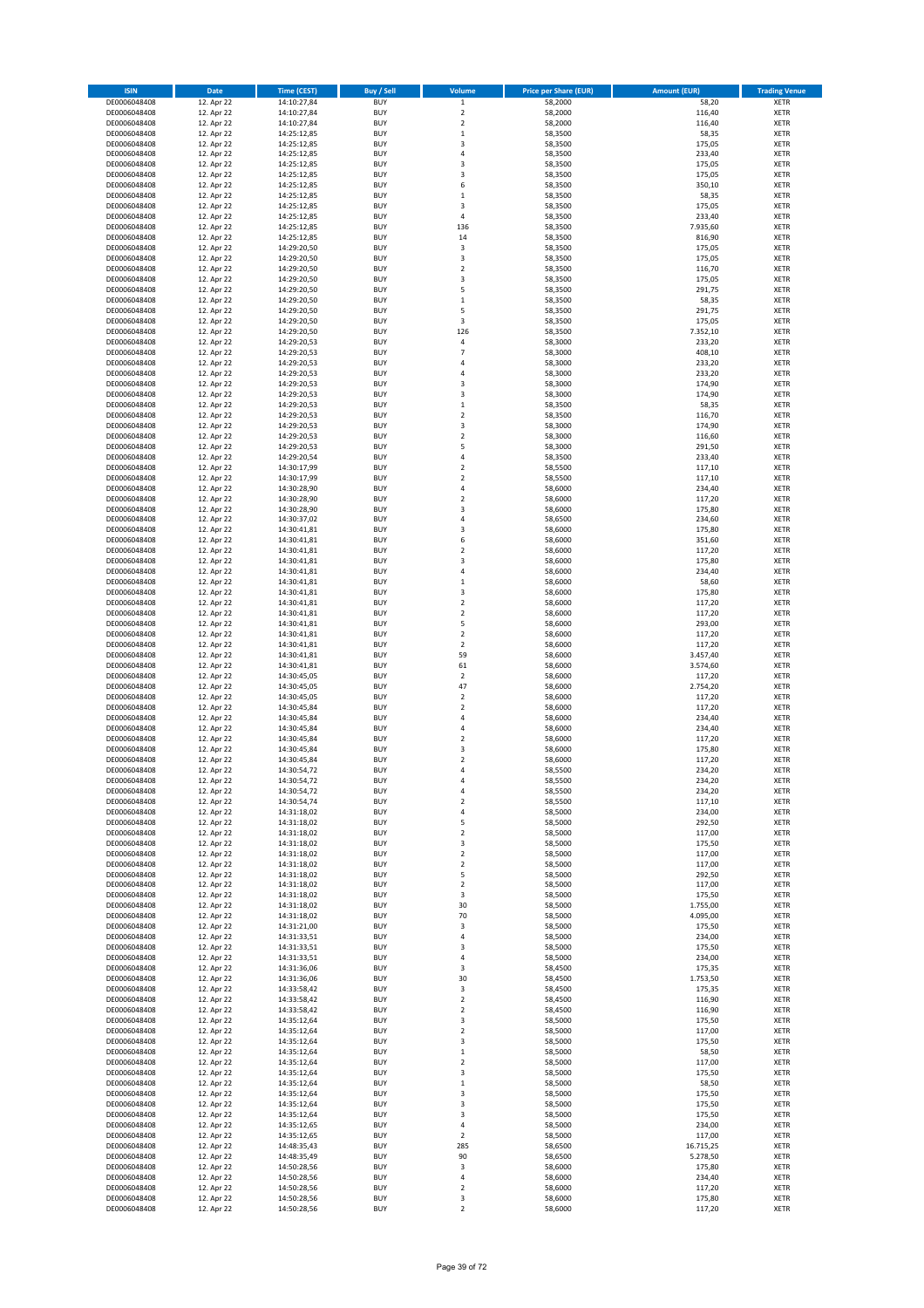| <b>ISIN</b>                  | Date                     | <b>Time (CEST)</b>         | Buy / Sell               | Volume                     | <b>Price per Share (EUR)</b> | <b>Amount (EUR)</b> | <b>Trading Venue</b>       |
|------------------------------|--------------------------|----------------------------|--------------------------|----------------------------|------------------------------|---------------------|----------------------------|
| DE0006048408                 | 12. Apr 22               | 14:10:27,84                | <b>BUY</b>               | $\,$ 1 $\,$                | 58,2000                      | 58,20               | XETR                       |
| DE0006048408<br>DE0006048408 | 12. Apr 22<br>12. Apr 22 | 14:10:27,84<br>14:10:27,84 | <b>BUY</b><br><b>BUY</b> | $\mathbf 2$<br>$\mathbf 2$ | 58,2000<br>58,2000           | 116,40<br>116,40    | XETR<br><b>XETR</b>        |
| DE0006048408                 | 12. Apr 22               | 14:25:12,85                | <b>BUY</b>               | $\mathbf 1$                | 58,3500                      | 58,35               | <b>XETR</b>                |
| DE0006048408                 | 12. Apr 22               | 14:25:12,85                | <b>BUY</b>               | 3                          | 58,3500                      | 175,05              | <b>XETR</b>                |
| DE0006048408                 | 12. Apr 22               | 14:25:12,85                | <b>BUY</b>               | $\overline{4}$             | 58,3500                      | 233,40              | <b>XETR</b>                |
| DE0006048408                 | 12. Apr 22               | 14:25:12,85                | <b>BUY</b>               | 3                          | 58,3500                      | 175,05              | <b>XETR</b>                |
| DE0006048408<br>DE0006048408 | 12. Apr 22<br>12. Apr 22 | 14:25:12,85<br>14:25:12,85 | <b>BUY</b><br><b>BUY</b> | 3<br>6                     | 58,3500<br>58,3500           | 175,05<br>350,10    | <b>XETR</b><br><b>XETR</b> |
| DE0006048408                 | 12. Apr 22               | 14:25:12,85                | <b>BUY</b>               | $\mathbf 1$                | 58,3500                      | 58,35               | <b>XETR</b>                |
| DE0006048408                 | 12. Apr 22               | 14:25:12,85                | <b>BUY</b>               | 3                          | 58,3500                      | 175,05              | <b>XETR</b>                |
| DE0006048408                 | 12. Apr 22               | 14:25:12,85                | <b>BUY</b>               | 4                          | 58,3500                      | 233,40              | <b>XETR</b>                |
| DE0006048408                 | 12. Apr 22               | 14:25:12,85                | <b>BUY</b>               | 136                        | 58,3500                      | 7.935,60            | XETR                       |
| DE0006048408                 | 12. Apr 22               | 14:25:12,85                | <b>BUY</b>               | 14                         | 58,3500                      | 816,90              | <b>XETR</b>                |
| DE0006048408<br>DE0006048408 | 12. Apr 22<br>12. Apr 22 | 14:29:20,50<br>14:29:20,50 | <b>BUY</b><br><b>BUY</b> | 3<br>3                     | 58,3500<br>58,3500           | 175,05<br>175,05    | XETR<br><b>XETR</b>        |
| DE0006048408                 | 12. Apr 22               | 14:29:20,50                | <b>BUY</b>               | $\mathbf 2$                | 58,3500                      | 116,70              | XETR                       |
| DE0006048408                 | 12. Apr 22               | 14:29:20,50                | <b>BUY</b>               | 3                          | 58,3500                      | 175,05              | <b>XETR</b>                |
| DE0006048408                 | 12. Apr 22               | 14:29:20,50                | <b>BUY</b>               | 5                          | 58,3500                      | 291,75              | XETR                       |
| DE0006048408                 | 12. Apr 22               | 14:29:20,50                | <b>BUY</b>               | $\mathbf 1$                | 58,3500                      | 58,35               | <b>XETR</b>                |
| DE0006048408<br>DE0006048408 | 12. Apr 22<br>12. Apr 22 | 14:29:20,50<br>14:29:20,50 | <b>BUY</b><br><b>BUY</b> | 5<br>3                     | 58,3500<br>58,3500           | 291,75<br>175,05    | <b>XETR</b><br><b>XETR</b> |
| DE0006048408                 | 12. Apr 22               | 14:29:20,50                | <b>BUY</b>               | 126                        | 58,3500                      | 7.352,10            | <b>XETR</b>                |
| DE0006048408                 | 12. Apr 22               | 14:29:20,53                | <b>BUY</b>               | 4                          | 58,3000                      | 233,20              | <b>XETR</b>                |
| DE0006048408                 | 12. Apr 22               | 14:29:20,53                | <b>BUY</b>               | $\overline{7}$             | 58,3000                      | 408,10              | <b>XETR</b>                |
| DE0006048408                 | 12. Apr 22               | 14:29:20,53                | <b>BUY</b>               | 4                          | 58,3000                      | 233,20              | <b>XETR</b>                |
| DE0006048408<br>DE0006048408 | 12. Apr 22<br>12. Apr 22 | 14:29:20,53<br>14:29:20,53 | <b>BUY</b><br><b>BUY</b> | $\overline{4}$<br>3        | 58,3000<br>58,3000           | 233,20<br>174,90    | <b>XETR</b><br><b>XETR</b> |
| DE0006048408                 | 12. Apr 22               | 14:29:20,53                | <b>BUY</b>               | 3                          | 58,3000                      | 174,90              | <b>XETR</b>                |
| DE0006048408                 | 12. Apr 22               | 14:29:20,53                | <b>BUY</b>               | $\mathbf 1$                | 58,3500                      | 58,35               | <b>XETR</b>                |
| DE0006048408                 | 12. Apr 22               | 14:29:20,53                | <b>BUY</b>               | $\mathbf 2$                | 58,3500                      | 116,70              | <b>XETR</b>                |
| DE0006048408                 | 12. Apr 22               | 14:29:20,53                | <b>BUY</b>               | 3                          | 58,3000                      | 174,90              | <b>XETR</b>                |
| DE0006048408<br>DE0006048408 | 12. Apr 22<br>12. Apr 22 | 14:29:20,53<br>14:29:20,53 | <b>BUY</b><br><b>BUY</b> | $\mathbf 2$<br>5           | 58,3000<br>58,3000           | 116,60<br>291,50    | <b>XETR</b><br>XETR        |
| DE0006048408                 | 12. Apr 22               | 14:29:20,54                | <b>BUY</b>               | 4                          | 58,3500                      | 233,40              | <b>XETR</b>                |
| DE0006048408                 | 12. Apr 22               | 14:30:17,99                | <b>BUY</b>               | $\mathbf 2$                | 58,5500                      | 117,10              | XETR                       |
| DE0006048408                 | 12. Apr 22               | 14:30:17,99                | <b>BUY</b>               | $\mathbf 2$                | 58,5500                      | 117,10              | <b>XETR</b>                |
| DE0006048408                 | 12. Apr 22               | 14:30:28,90                | <b>BUY</b>               | 4                          | 58,6000                      | 234,40              | XETR                       |
| DE0006048408                 | 12. Apr 22               | 14:30:28,90                | <b>BUY</b>               | $\mathbf 2$                | 58,6000                      | 117,20              | <b>XETR</b>                |
| DE0006048408<br>DE0006048408 | 12. Apr 22<br>12. Apr 22 | 14:30:28,90<br>14:30:37,02 | <b>BUY</b><br><b>BUY</b> | 3<br>$\overline{4}$        | 58,6000<br>58,6500           | 175,80<br>234,60    | <b>XETR</b><br><b>XETR</b> |
| DE0006048408                 | 12. Apr 22               | 14:30:41,81                | <b>BUY</b>               | 3                          | 58,6000                      | 175,80              | <b>XETR</b>                |
| DE0006048408                 | 12. Apr 22               | 14:30:41,81                | <b>BUY</b>               | 6                          | 58,6000                      | 351,60              | <b>XETR</b>                |
| DE0006048408                 | 12. Apr 22               | 14:30:41,81                | <b>BUY</b>               | $\mathbf 2$                | 58,6000                      | 117,20              | <b>XETR</b>                |
| DE0006048408                 | 12. Apr 22               | 14:30:41,81                | <b>BUY</b>               | 3                          | 58,6000                      | 175,80              | <b>XETR</b>                |
| DE0006048408                 | 12. Apr 22               | 14:30:41,81                | <b>BUY</b>               | 4                          | 58,6000                      | 234,40              | XETR                       |
| DE0006048408<br>DE0006048408 | 12. Apr 22<br>12. Apr 22 | 14:30:41,81<br>14:30:41,81 | <b>BUY</b><br><b>BUY</b> | $\mathbf{1}$<br>3          | 58,6000<br>58,6000           | 58,60<br>175,80     | XETR<br><b>XETR</b>        |
| DE0006048408                 | 12. Apr 22               | 14:30:41,81                | <b>BUY</b>               | $\mathbf 2$                | 58,6000                      | 117,20              | <b>XETR</b>                |
| DE0006048408                 | 12. Apr 22               | 14:30:41,81                | <b>BUY</b>               | $\mathbf 2$                | 58,6000                      | 117,20              | <b>XETR</b>                |
| DE0006048408                 | 12. Apr 22               | 14:30:41,81                | <b>BUY</b>               | 5                          | 58,6000                      | 293,00              | <b>XETR</b>                |
| DE0006048408                 | 12. Apr 22               | 14:30:41,81                | <b>BUY</b>               | $\mathbf 2$                | 58,6000                      | 117,20              | <b>XETR</b>                |
| DE0006048408<br>DE0006048408 | 12. Apr 22<br>12. Apr 22 | 14:30:41,81<br>14:30:41,81 | <b>BUY</b><br><b>BUY</b> | $\mathbf 2$<br>59          | 58,6000<br>58,6000           | 117,20<br>3.457,40  | <b>XETR</b><br><b>XETR</b> |
| DE0006048408                 | 12. Apr 22               | 14:30:41,81                | <b>BUY</b>               | 61                         | 58,6000                      | 3.574,60            | <b>XETR</b>                |
| DE0006048408                 | 12. Apr 22               | 14:30:45,05                | <b>BUY</b>               | $\mathbf 2$                | 58,6000                      | 117,20              | <b>XETR</b>                |
| DE0006048408                 | 12. Apr 22               | 14:30:45,05                | <b>BUY</b>               | 47                         | 58,6000                      | 2.754,20            | <b>XETR</b>                |
| DE0006048408                 | 12. Apr 22               | 14:30:45,05                | <b>BUY</b>               | $\mathbf 2$                | 58,6000                      | 117,20              | <b>XETR</b>                |
| DE0006048408<br>DE0006048408 | 12. Apr 22<br>12. Apr 22 | 14:30:45,84<br>14:30:45,84 | <b>BUY</b><br><b>BUY</b> | $\mathbf 2$<br>4           | 58,6000<br>58,6000           | 117,20<br>234,40    | <b>XETR</b><br><b>XETR</b> |
| DE0006048408                 | 12. Apr 22               | 14:30:45,84                | <b>BUY</b>               | 4                          | 58,6000                      | 234,40              | XETR                       |
| DE0006048408                 | 12. Apr 22               | 14:30:45,84                | <b>BUY</b>               | $\mathbf 2$                | 58,6000                      | 117,20              | <b>XETR</b>                |
| DE0006048408                 | 12. Apr 22               | 14:30:45,84                | <b>BUY</b>               | 3                          | 58,6000                      | 175,80              | XETR                       |
| DE0006048408                 | 12. Apr 22               | 14:30:45,84                | <b>BUY</b>               | $\mathbf 2$                | 58,6000                      | 117,20              | <b>XETR</b>                |
| DE0006048408                 | 12. Apr 22<br>12. Apr 22 | 14:30:54,72                | <b>BUY</b><br><b>BUY</b> | 4<br>4                     | 58,5500                      | 234,20              | XETR                       |
| DE0006048408<br>DE0006048408 | 12. Apr 22               | 14:30:54,72<br>14:30:54,72 | <b>BUY</b>               | 4                          | 58,5500<br>58,5500           | 234,20<br>234,20    | XETR<br>XETR               |
| DE0006048408                 | 12. Apr 22               | 14:30:54,74                | <b>BUY</b>               | 2                          | 58,5500                      | 117,10              | XETR                       |
| DE0006048408                 | 12. Apr 22               | 14:31:18,02                | <b>BUY</b>               | 4                          | 58,5000                      | 234,00              | XETR                       |
| DE0006048408                 | 12. Apr 22               | 14:31:18,02                | <b>BUY</b>               | 5                          | 58,5000                      | 292,50              | <b>XETR</b>                |
| DE0006048408<br>DE0006048408 | 12. Apr 22               | 14:31:18,02                | <b>BUY</b><br><b>BUY</b> | $\mathbf 2$<br>3           | 58,5000                      | 117,00              | XETR<br><b>XETR</b>        |
| DE0006048408                 | 12. Apr 22<br>12. Apr 22 | 14:31:18,02<br>14:31:18,02 | <b>BUY</b>               | $\mathbf 2$                | 58,5000<br>58,5000           | 175,50<br>117,00    | XETR                       |
| DE0006048408                 | 12. Apr 22               | 14:31:18,02                | <b>BUY</b>               | $\mathbf 2$                | 58,5000                      | 117,00              | <b>XETR</b>                |
| DE0006048408                 | 12. Apr 22               | 14:31:18,02                | <b>BUY</b>               | 5                          | 58,5000                      | 292,50              | XETR                       |
| DE0006048408                 | 12. Apr 22               | 14:31:18,02                | <b>BUY</b>               | 2                          | 58,5000                      | 117,00              | <b>XETR</b>                |
| DE0006048408<br>DE0006048408 | 12. Apr 22<br>12. Apr 22 | 14:31:18,02<br>14:31:18,02 | <b>BUY</b><br><b>BUY</b> | 3<br>30                    | 58,5000<br>58,5000           | 175,50<br>1.755,00  | XETR<br><b>XETR</b>        |
| DE0006048408                 | 12. Apr 22               | 14:31:18,02                | <b>BUY</b>               | 70                         | 58,5000                      | 4.095,00            | XETR                       |
| DE0006048408                 | 12. Apr 22               | 14:31:21,00                | <b>BUY</b>               | 3                          | 58,5000                      | 175,50              | <b>XETR</b>                |
| DE0006048408                 | 12. Apr 22               | 14:31:33,51                | <b>BUY</b>               | 4                          | 58,5000                      | 234,00              | XETR                       |
| DE0006048408                 | 12. Apr 22               | 14:31:33,51                | <b>BUY</b>               | 3                          | 58,5000                      | 175,50              | <b>XETR</b>                |
| DE0006048408<br>DE0006048408 | 12. Apr 22<br>12. Apr 22 | 14:31:33,51<br>14:31:36,06 | <b>BUY</b><br><b>BUY</b> | 4<br>3                     | 58,5000<br>58,4500           | 234,00<br>175,35    | <b>XETR</b><br><b>XETR</b> |
| DE0006048408                 | 12. Apr 22               | 14:31:36,06                | <b>BUY</b>               | 30                         | 58,4500                      | 1.753,50            | XETR                       |
| DE0006048408                 | 12. Apr 22               | 14:33:58,42                | <b>BUY</b>               | 3                          | 58,4500                      | 175,35              | <b>XETR</b>                |
| DE0006048408                 | 12. Apr 22               | 14:33:58,42                | <b>BUY</b>               | $\mathbf 2$                | 58,4500                      | 116,90              | <b>XETR</b>                |
| DE0006048408                 | 12. Apr 22               | 14:33:58,42                | <b>BUY</b>               | 2                          | 58,4500                      | 116,90              | XETR                       |
| DE0006048408<br>DE0006048408 | 12. Apr 22<br>12. Apr 22 | 14:35:12,64<br>14:35:12,64 | <b>BUY</b><br><b>BUY</b> | 3<br>$\mathbf 2$           | 58,5000<br>58,5000           | 175,50<br>117,00    | <b>XETR</b><br>XETR        |
| DE0006048408                 | 12. Apr 22               | 14:35:12,64                | <b>BUY</b>               | 3                          | 58,5000                      | 175,50              | <b>XETR</b>                |
| DE0006048408                 | 12. Apr 22               | 14:35:12,64                | <b>BUY</b>               | 1                          | 58,5000                      | 58,50               | XETR                       |
| DE0006048408                 | 12. Apr 22               | 14:35:12,64                | <b>BUY</b>               | $\overline{\mathbf{2}}$    | 58,5000                      | 117,00              | <b>XETR</b>                |
| DE0006048408                 | 12. Apr 22               | 14:35:12,64                | <b>BUY</b>               | 3                          | 58,5000                      | 175,50              | XETR                       |
| DE0006048408                 | 12. Apr 22               | 14:35:12,64                | <b>BUY</b>               | $\mathbf 1$                | 58,5000                      | 58,50               | <b>XETR</b>                |
| DE0006048408<br>DE0006048408 | 12. Apr 22<br>12. Apr 22 | 14:35:12,64<br>14:35:12,64 | <b>BUY</b><br><b>BUY</b> | 3<br>3                     | 58,5000<br>58,5000           | 175,50<br>175,50    | XETR<br><b>XETR</b>        |
| DE0006048408                 | 12. Apr 22               | 14:35:12,64                | <b>BUY</b>               | 3                          | 58,5000                      | 175,50              | XETR                       |
| DE0006048408                 | 12. Apr 22               | 14:35:12,65                | <b>BUY</b>               | 4                          | 58,5000                      | 234,00              | <b>XETR</b>                |
| DE0006048408                 | 12. Apr 22               | 14:35:12,65                | <b>BUY</b>               | 2                          | 58,5000                      | 117,00              | <b>XETR</b>                |
| DE0006048408                 | 12. Apr 22               | 14:48:35,43                | <b>BUY</b>               | 285                        | 58,6500                      | 16.715,25           | <b>XETR</b>                |
| DE0006048408<br>DE0006048408 | 12. Apr 22<br>12. Apr 22 | 14:48:35,49<br>14:50:28,56 | <b>BUY</b><br><b>BUY</b> | 90<br>3                    | 58,6500<br>58,6000           | 5.278,50<br>175,80  | XETR<br><b>XETR</b>        |
| DE0006048408                 | 12. Apr 22               | 14:50:28,56                | <b>BUY</b>               | 4                          | 58,6000                      | 234,40              | XETR                       |
| DE0006048408                 | 12. Apr 22               | 14:50:28,56                | <b>BUY</b>               | 2                          | 58,6000                      | 117,20              | XETR                       |
| DE0006048408                 | 12. Apr 22               | 14:50:28,56                | <b>BUY</b>               | 3                          | 58,6000                      | 175,80              | XETR                       |
| DE0006048408                 | 12. Apr 22               | 14:50:28,56                | <b>BUY</b>               | $\mathbf 2$                | 58,6000                      | 117,20              | <b>XETR</b>                |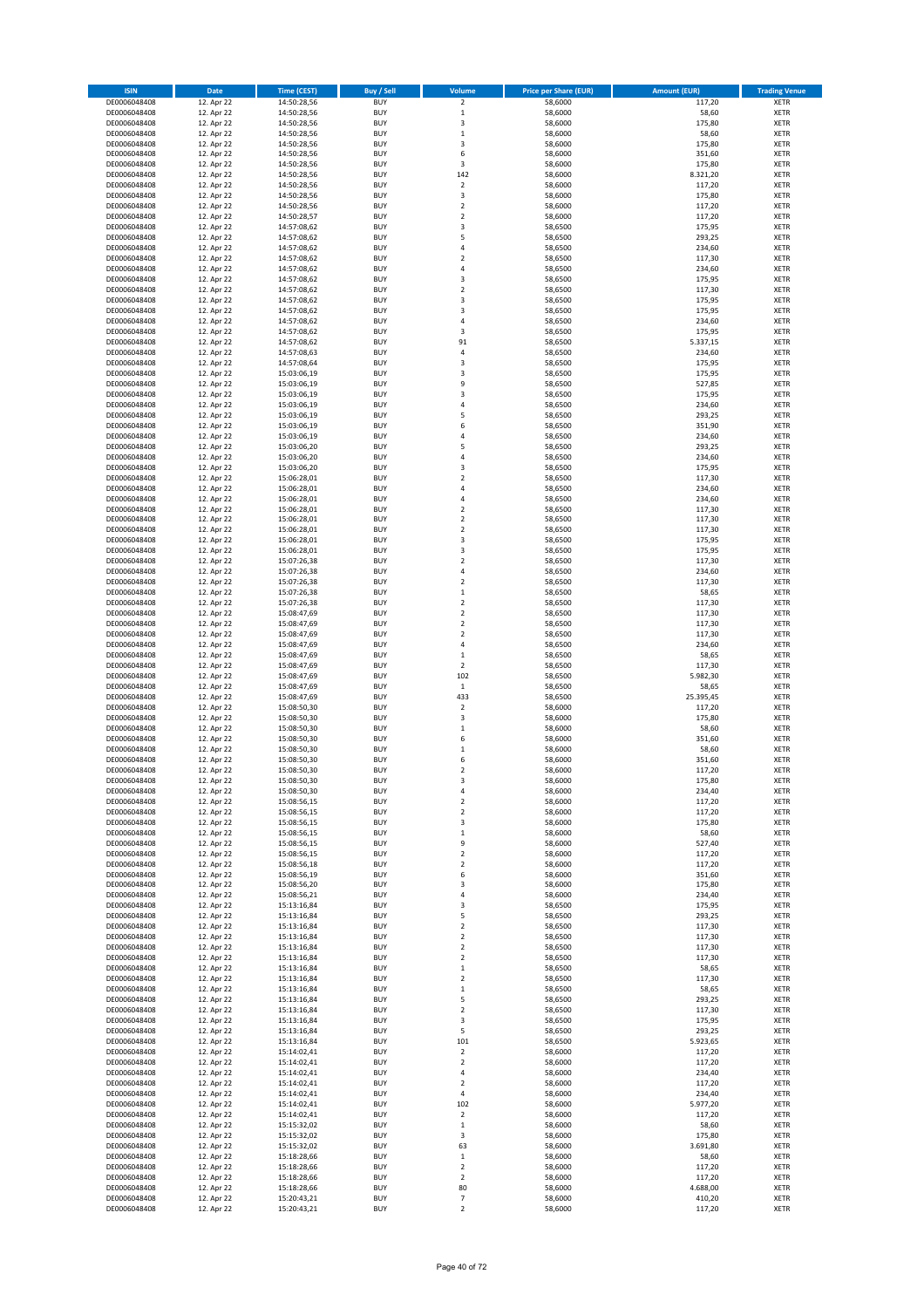| <b>ISIN</b>                  | Date                     | <b>Time (CEST)</b>         | Buy / Sell               | Volume                       | <b>Price per Share (EUR)</b> | <b>Amount (EUR)</b> | <b>Trading Venue</b>       |
|------------------------------|--------------------------|----------------------------|--------------------------|------------------------------|------------------------------|---------------------|----------------------------|
| DE0006048408                 | 12. Apr 22               | 14:50:28,56                | <b>BUY</b>               | $\overline{\mathbf{c}}$      | 58,6000                      | 117,20              | XETR                       |
| DE0006048408                 | 12. Apr 22               | 14:50:28,56                | <b>BUY</b>               | $\mathbf 1$                  | 58,6000                      | 58,60               | XETR                       |
| DE0006048408<br>DE0006048408 | 12. Apr 22<br>12. Apr 22 | 14:50:28,56<br>14:50:28,56 | <b>BUY</b><br><b>BUY</b> | 3<br>$\mathbf 1$             | 58,6000<br>58,6000           | 175,80<br>58,60     | <b>XETR</b><br><b>XETR</b> |
| DE0006048408                 | 12. Apr 22               | 14:50:28,56                | <b>BUY</b>               | 3                            | 58,6000                      | 175,80              | <b>XETR</b>                |
| DE0006048408                 | 12. Apr 22               | 14:50:28,56                | <b>BUY</b>               | 6                            | 58,6000                      | 351,60              | <b>XETR</b>                |
| DE0006048408                 | 12. Apr 22               | 14:50:28,56                | <b>BUY</b>               | 3                            | 58,6000                      | 175,80              | <b>XETR</b>                |
| DE0006048408                 | 12. Apr 22               | 14:50:28,56                | <b>BUY</b>               | 142                          | 58,6000                      | 8.321,20            | <b>XETR</b>                |
| DE0006048408<br>DE0006048408 | 12. Apr 22<br>12. Apr 22 | 14:50:28,56                | <b>BUY</b><br><b>BUY</b> | $\mathbf 2$<br>3             | 58,6000<br>58,6000           | 117,20<br>175,80    | <b>XETR</b><br><b>XETR</b> |
| DE0006048408                 | 12. Apr 22               | 14:50:28,56<br>14:50:28,56 | <b>BUY</b>               | $\mathbf 2$                  | 58,6000                      | 117,20              | <b>XETR</b>                |
| DE0006048408                 | 12. Apr 22               | 14:50:28,57                | <b>BUY</b>               | $\mathbf 2$                  | 58,6000                      | 117,20              | <b>XETR</b>                |
| DE0006048408                 | 12. Apr 22               | 14:57:08,62                | <b>BUY</b>               | 3                            | 58,6500                      | 175,95              | XETR                       |
| DE0006048408                 | 12. Apr 22               | 14:57:08,62                | <b>BUY</b>               | 5                            | 58,6500                      | 293,25              | <b>XETR</b>                |
| DE0006048408                 | 12. Apr 22               | 14:57:08,62                | <b>BUY</b>               | 4                            | 58,6500                      | 234,60              | XETR                       |
| DE0006048408<br>DE0006048408 | 12. Apr 22<br>12. Apr 22 | 14:57:08,62<br>14:57:08,62 | <b>BUY</b><br><b>BUY</b> | $\overline{\mathbf{c}}$<br>4 | 58,6500<br>58,6500           | 117,30<br>234,60    | <b>XETR</b><br>XETR        |
| DE0006048408                 | 12. Apr 22               | 14:57:08,62                | <b>BUY</b>               | 3                            | 58,6500                      | 175,95              | <b>XETR</b>                |
| DE0006048408                 | 12. Apr 22               | 14:57:08,62                | <b>BUY</b>               | $\mathbf 2$                  | 58,6500                      | 117,30              | XETR                       |
| DE0006048408                 | 12. Apr 22               | 14:57:08,62                | <b>BUY</b>               | 3                            | 58,6500                      | 175,95              | <b>XETR</b>                |
| DE0006048408                 | 12. Apr 22               | 14:57:08,62                | <b>BUY</b><br><b>BUY</b> | 3<br>4                       | 58,6500<br>58,6500           | 175,95<br>234,60    | <b>XETR</b><br><b>XETR</b> |
| DE0006048408<br>DE0006048408 | 12. Apr 22<br>12. Apr 22 | 14:57:08,62<br>14:57:08,62 | <b>BUY</b>               | 3                            | 58,6500                      | 175,95              | <b>XETR</b>                |
| DE0006048408                 | 12. Apr 22               | 14:57:08,62                | <b>BUY</b>               | 91                           | 58,6500                      | 5.337,15            | <b>XETR</b>                |
| DE0006048408                 | 12. Apr 22               | 14:57:08,63                | <b>BUY</b>               | 4                            | 58,6500                      | 234,60              | <b>XETR</b>                |
| DE0006048408                 | 12. Apr 22               | 14:57:08,64                | <b>BUY</b>               | 3                            | 58,6500                      | 175,95              | <b>XETR</b>                |
| DE0006048408                 | 12. Apr 22               | 15:03:06,19                | <b>BUY</b>               | 3                            | 58,6500                      | 175,95              | <b>XETR</b>                |
| DE0006048408<br>DE0006048408 | 12. Apr 22<br>12. Apr 22 | 15:03:06,19<br>15:03:06,19 | <b>BUY</b><br><b>BUY</b> | 9<br>3                       | 58,6500<br>58,6500           | 527,85<br>175,95    | <b>XETR</b><br><b>XETR</b> |
| DE0006048408                 | 12. Apr 22               | 15:03:06,19                | <b>BUY</b>               | 4                            | 58,6500                      | 234,60              | <b>XETR</b>                |
| DE0006048408                 | 12. Apr 22               | 15:03:06,19                | <b>BUY</b>               | 5                            | 58,6500                      | 293,25              | <b>XETR</b>                |
| DE0006048408                 | 12. Apr 22               | 15:03:06,19                | <b>BUY</b>               | 6                            | 58,6500                      | 351,90              | <b>XETR</b>                |
| DE0006048408<br>DE0006048408 | 12. Apr 22               | 15:03:06,19                | <b>BUY</b><br><b>BUY</b> | 4<br>5                       | 58,6500                      | 234,60<br>293,25    | <b>XETR</b><br>XETR        |
| DE0006048408                 | 12. Apr 22<br>12. Apr 22 | 15:03:06,20<br>15:03:06,20 | <b>BUY</b>               | $\overline{a}$               | 58,6500<br>58,6500           | 234,60              | <b>XETR</b>                |
| DE0006048408                 | 12. Apr 22               | 15:03:06,20                | <b>BUY</b>               | 3                            | 58,6500                      | 175,95              | XETR                       |
| DE0006048408                 | 12. Apr 22               | 15:06:28,01                | <b>BUY</b>               | $\overline{\mathbf{c}}$      | 58,6500                      | 117,30              | <b>XETR</b>                |
| DE0006048408                 | 12. Apr 22               | 15:06:28,01                | <b>BUY</b>               | 4                            | 58,6500                      | 234,60              | XETR                       |
| DE0006048408                 | 12. Apr 22               | 15:06:28,01                | <b>BUY</b>               | 4                            | 58,6500                      | 234,60              | <b>XETR</b>                |
| DE0006048408<br>DE0006048408 | 12. Apr 22<br>12. Apr 22 | 15:06:28,01                | <b>BUY</b><br><b>BUY</b> | $\mathbf 2$<br>$\mathbf 2$   | 58,6500<br>58,6500           | 117,30<br>117,30    | <b>XETR</b><br><b>XETR</b> |
| DE0006048408                 | 12. Apr 22               | 15:06:28,01<br>15:06:28,01 | <b>BUY</b>               | $\mathbf 2$                  | 58,6500                      | 117,30              | <b>XETR</b>                |
| DE0006048408                 | 12. Apr 22               | 15:06:28,01                | <b>BUY</b>               | 3                            | 58,6500                      | 175,95              | <b>XETR</b>                |
| DE0006048408                 | 12. Apr 22               | 15:06:28,01                | <b>BUY</b>               | 3                            | 58,6500                      | 175,95              | <b>XETR</b>                |
| DE0006048408                 | 12. Apr 22               | 15:07:26,38                | <b>BUY</b>               | $\mathbf 2$                  | 58,6500                      | 117,30              | <b>XETR</b>                |
| DE0006048408                 | 12. Apr 22               | 15:07:26,38                | <b>BUY</b>               | 4                            | 58,6500                      | 234,60              | XETR                       |
| DE0006048408<br>DE0006048408 | 12. Apr 22<br>12. Apr 22 | 15:07:26,38<br>15:07:26,38 | <b>BUY</b><br><b>BUY</b> | 2<br>$\mathbf 1$             | 58,6500<br>58,6500           | 117,30<br>58,65     | XETR<br><b>XETR</b>        |
| DE0006048408                 | 12. Apr 22               | 15:07:26,38                | <b>BUY</b>               | $\mathbf 2$                  | 58,6500                      | 117,30              | <b>XETR</b>                |
| DE0006048408                 | 12. Apr 22               | 15:08:47,69                | <b>BUY</b>               | $\mathbf 2$                  | 58,6500                      | 117,30              | <b>XETR</b>                |
| DE0006048408                 | 12. Apr 22               | 15:08:47,69                | <b>BUY</b>               | 2                            | 58,6500                      | 117,30              | <b>XETR</b>                |
| DE0006048408                 | 12. Apr 22               | 15:08:47,69                | <b>BUY</b><br><b>BUY</b> | $\mathbf 2$                  | 58,6500                      | 117,30              | <b>XETR</b>                |
| DE0006048408<br>DE0006048408 | 12. Apr 22<br>12. Apr 22 | 15:08:47,69<br>15:08:47,69 | <b>BUY</b>               | 4<br>$\mathbf 1$             | 58,6500<br>58,6500           | 234,60<br>58,65     | <b>XETR</b><br><b>XETR</b> |
| DE0006048408                 | 12. Apr 22               | 15:08:47,69                | <b>BUY</b>               | $\mathbf 2$                  | 58,6500                      | 117,30              | <b>XETR</b>                |
| DE0006048408                 | 12. Apr 22               | 15:08:47,69                | <b>BUY</b>               | 102                          | 58,6500                      | 5.982,30            | <b>XETR</b>                |
| DE0006048408                 | 12. Apr 22               | 15:08:47,69                | <b>BUY</b>               | $\,$ 1                       | 58,6500                      | 58,65               | <b>XETR</b>                |
| DE0006048408                 | 12. Apr 22               | 15:08:47,69                | <b>BUY</b><br><b>BUY</b> | 433<br>$\mathbf 2$           | 58,6500                      | 25.395,45           | <b>XETR</b><br><b>XETR</b> |
| DE0006048408<br>DE0006048408 | 12. Apr 22<br>12. Apr 22 | 15:08:50,30<br>15:08:50,30 | <b>BUY</b>               | 3                            | 58,6000<br>58,6000           | 117,20<br>175,80    | <b>XETR</b>                |
| DE0006048408                 | 12. Apr 22               | 15:08:50,30                | <b>BUY</b>               | $\mathbf 1$                  | 58,6000                      | 58,60               | XETR                       |
| DE0006048408                 | 12. Apr 22               | 15:08:50,30                | <b>BUY</b>               | 6                            | 58,6000                      | 351,60              | <b>XETR</b>                |
| DE0006048408                 | 12. Apr 22               | 15:08:50,30                | <b>BUY</b>               | 1                            | 58,6000                      | 58,60               | XETR                       |
| DE0006048408<br>DE0006048408 | 12. Apr 22               | 15:08:50,30<br>15:08:50,30 | <b>BUY</b><br><b>BUY</b> | 6<br>2                       | 58,6000<br>58,6000           | 351,60<br>117,20    | <b>XETR</b><br>XETR        |
| DE0006048408                 | 12. Apr 22<br>12. Apr 22 | 15:08:50,30                | <b>BUY</b>               | 3                            | 58,6000                      | 175,80              | XETR                       |
| DE0006048408                 | 12. Apr 22               | 15:08:50,30                | <b>BUY</b>               | 4                            | 58,6000                      | 234,40              | XETR                       |
| DE0006048408                 | 12. Apr 22               | 15:08:56,15                | <b>BUY</b>               | 2                            | 58,6000                      | 117,20              | XETR                       |
| DE0006048408                 | 12. Apr 22               | 15:08:56,15                | <b>BUY</b>               | 2                            | 58,6000                      | 117,20              | XETR                       |
| DE0006048408                 | 12. Apr 22<br>12. Apr 22 | 15:08:56,15                | <b>BUY</b><br><b>BUY</b> | 3                            | 58,6000<br>58,6000           | 175,80              | <b>XETR</b><br>XETR        |
| DE0006048408<br>DE0006048408 | 12. Apr 22               | 15:08:56,15<br>15:08:56,15 | <b>BUY</b>               | $\mathbf 1$<br>9             | 58,6000                      | 58,60<br>527,40     | <b>XETR</b>                |
| DE0006048408                 | 12. Apr 22               | 15:08:56,15                | <b>BUY</b>               | $\mathbf 2$                  | 58,6000                      | 117,20              | XETR                       |
| DE0006048408                 | 12. Apr 22               | 15:08:56,18                | <b>BUY</b>               | $\mathbf 2$                  | 58,6000                      | 117,20              | <b>XETR</b>                |
| DE0006048408                 | 12. Apr 22               | 15:08:56,19                | <b>BUY</b>               | 6                            | 58,6000                      | 351,60              | XETR                       |
| DE0006048408<br>DE0006048408 | 12. Apr 22<br>12. Apr 22 | 15:08:56,20<br>15:08:56,21 | <b>BUY</b><br><b>BUY</b> | 3<br>4                       | 58,6000<br>58,6000           | 175,80<br>234,40    | <b>XETR</b><br>XETR        |
| DE0006048408                 | 12. Apr 22               | 15:13:16,84                | <b>BUY</b>               | 3                            | 58,6500                      | 175,95              | <b>XETR</b>                |
| DE0006048408                 | 12. Apr 22               | 15:13:16,84                | <b>BUY</b>               | 5                            | 58,6500                      | 293,25              | XETR                       |
| DE0006048408                 | 12. Apr 22               | 15:13:16,84                | <b>BUY</b>               | $\mathbf 2$                  | 58,6500                      | 117,30              | <b>XETR</b>                |
| DE0006048408                 | 12. Apr 22               | 15:13:16,84                | <b>BUY</b>               | $\mathbf 2$                  | 58,6500                      | 117,30              | XETR                       |
| DE0006048408<br>DE0006048408 | 12. Apr 22<br>12. Apr 22 | 15:13:16,84<br>15:13:16,84 | <b>BUY</b><br><b>BUY</b> | $\mathbf 2$<br>2             | 58,6500<br>58,6500           | 117,30<br>117,30    | <b>XETR</b><br>XETR        |
| DE0006048408                 | 12. Apr 22               | 15:13:16,84                | <b>BUY</b>               | $\mathbf 1$                  | 58,6500                      | 58,65               | <b>XETR</b>                |
| DE0006048408                 | 12. Apr 22               | 15:13:16,84                | <b>BUY</b>               | $\boldsymbol{2}$             | 58,6500                      | 117,30              | XETR                       |
| DE0006048408                 | 12. Apr 22               | 15:13:16,84                | <b>BUY</b>               | $\mathbf 1$                  | 58,6500                      | 58,65               | <b>XETR</b>                |
| DE0006048408                 | 12. Apr 22               | 15:13:16,84                | <b>BUY</b><br><b>BUY</b> | 5<br>$\mathbf 2$             | 58,6500<br>58,6500           | 293,25<br>117,30    | <b>XETR</b><br>XETR        |
| DE0006048408<br>DE0006048408 | 12. Apr 22<br>12. Apr 22 | 15:13:16,84<br>15:13:16,84 | <b>BUY</b>               | 3                            | 58,6500                      | 175,95              | <b>XETR</b>                |
| DE0006048408                 | 12. Apr 22               | 15:13:16,84                | <b>BUY</b>               | 5                            | 58,6500                      | 293,25              | XETR                       |
| DE0006048408                 | 12. Apr 22               | 15:13:16,84                | <b>BUY</b>               | 101                          | 58,6500                      | 5.923,65            | <b>XETR</b>                |
| DE0006048408                 | 12. Apr 22               | 15:14:02,41                | <b>BUY</b>               | 2                            | 58,6000                      | 117,20              | XETR                       |
| DE0006048408                 | 12. Apr 22               | 15:14:02,41                | <b>BUY</b>               | $\mathbf 2$                  | 58,6000                      | 117,20              | <b>XETR</b>                |
| DE0006048408<br>DE0006048408 | 12. Apr 22<br>12. Apr 22 | 15:14:02,41<br>15:14:02,41 | <b>BUY</b><br><b>BUY</b> | 4<br>2                       | 58,6000<br>58,6000           | 234,40<br>117,20    | XETR<br><b>XETR</b>        |
| DE0006048408                 | 12. Apr 22               | 15:14:02,41                | <b>BUY</b>               | 4                            | 58,6000                      | 234,40              | XETR                       |
| DE0006048408                 | 12. Apr 22               | 15:14:02,41                | <b>BUY</b>               | 102                          | 58,6000                      | 5.977,20            | <b>XETR</b>                |
| DE0006048408                 | 12. Apr 22               | 15:14:02,41                | <b>BUY</b>               | $\boldsymbol{2}$             | 58,6000                      | 117,20              | XETR                       |
| DE0006048408                 | 12. Apr 22               | 15:15:32,02                | <b>BUY</b>               | $\mathbf 1$                  | 58,6000                      | 58,60               | <b>XETR</b>                |
| DE0006048408<br>DE0006048408 | 12. Apr 22<br>12. Apr 22 | 15:15:32,02<br>15:15:32,02 | <b>BUY</b><br><b>BUY</b> | 3<br>63                      | 58,6000<br>58,6000           | 175,80<br>3.691,80  | <b>XETR</b><br><b>XETR</b> |
| DE0006048408                 | 12. Apr 22               | 15:18:28,66                | <b>BUY</b>               | $\mathbf 1$                  | 58,6000                      | 58,60               | XETR                       |
| DE0006048408                 | 12. Apr 22               | 15:18:28,66                | <b>BUY</b>               | $\mathbf 2$                  | 58,6000                      | 117,20              | <b>XETR</b>                |
| DE0006048408                 | 12. Apr 22               | 15:18:28,66                | <b>BUY</b>               | $\mathbf 2$                  | 58,6000                      | 117,20              | XETR                       |
| DE0006048408<br>DE0006048408 | 12. Apr 22<br>12. Apr 22 | 15:18:28,66<br>15:20:43,21 | <b>BUY</b><br><b>BUY</b> | 80<br>7                      | 58,6000<br>58,6000           | 4.688,00<br>410,20  | XETR<br>XETR               |
| DE0006048408                 | 12. Apr 22               | 15:20:43,21                | <b>BUY</b>               | $\mathbf 2$                  | 58,6000                      | 117,20              | XETR                       |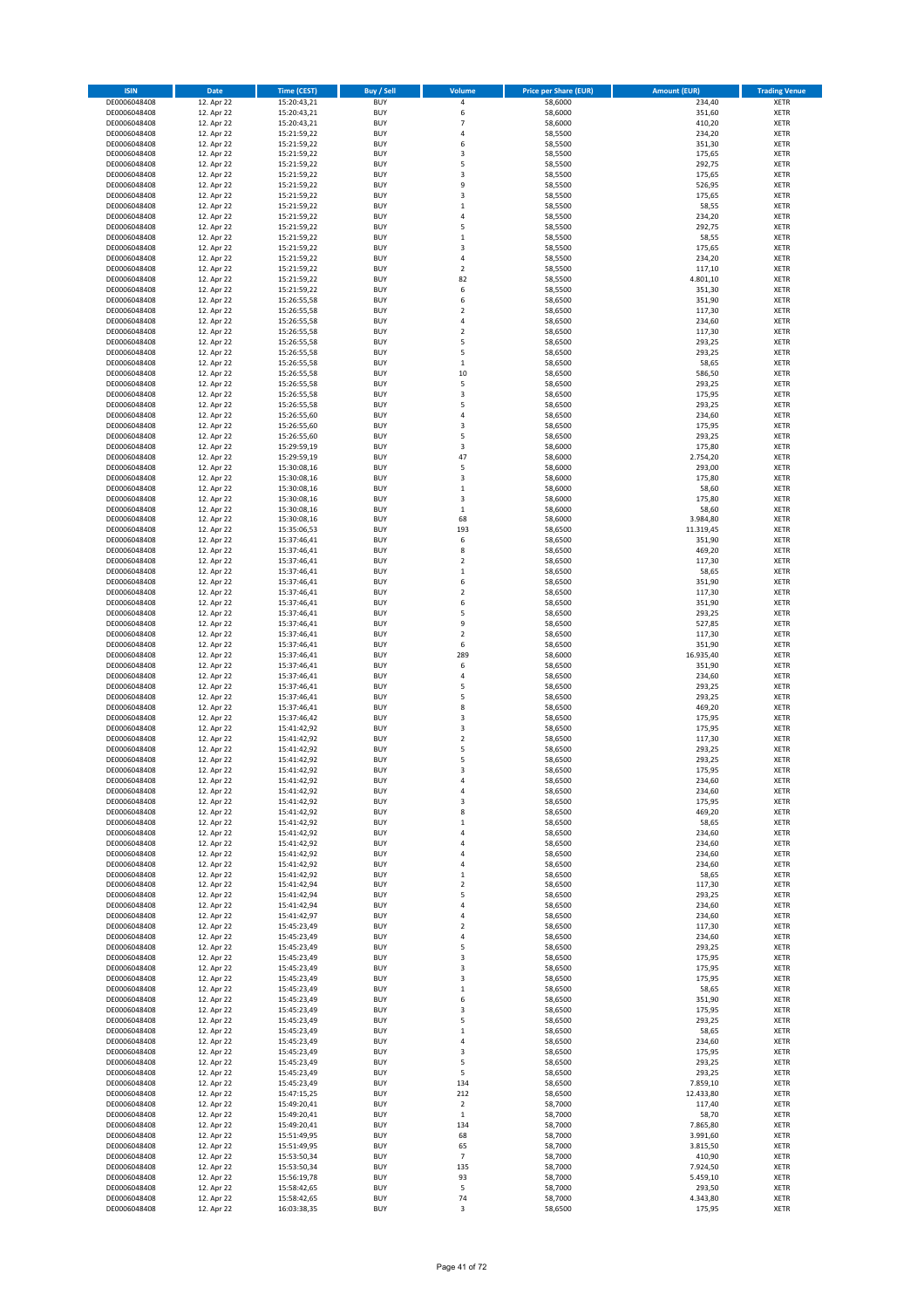| <b>BUY</b><br>DE0006048408<br>12. Apr 22<br>15:20:43,21<br>$\pmb{4}$<br>58,6000<br>234,40<br><b>XETR</b><br>58,6000<br>351,60<br>DE0006048408<br>12. Apr 22<br>15:20:43,21<br><b>BUY</b><br>6<br><b>XETR</b><br>58,6000<br>410,20<br>12. Apr 22<br>15:20:43,21<br><b>BUY</b><br>$\overline{7}$<br><b>XETR</b><br>DE0006048408<br>58,5500<br>DE0006048408<br>12. Apr 22<br>15:21:59,22<br><b>BUY</b><br>$\sqrt{4}$<br>234,20<br><b>XETR</b><br>12. Apr 22<br>15:21:59,22<br><b>BUY</b><br>6<br>58,5500<br>351,30<br><b>XETR</b><br>DE0006048408<br>DE0006048408<br>12. Apr 22<br>15:21:59,22<br><b>BUY</b><br>3<br>58,5500<br>175,65<br><b>XETR</b><br>12. Apr 22<br>5<br>DE0006048408<br>15:21:59,22<br><b>BUY</b><br>292,75<br><b>XETR</b><br>58,5500<br>DE0006048408<br>12. Apr 22<br>15:21:59,22<br><b>BUY</b><br>3<br>58,5500<br>175,65<br><b>XETR</b><br>12. Apr 22<br>15:21:59,22<br><b>BUY</b><br>9<br>58,5500<br>526,95<br>XETR<br>DE0006048408<br>DE0006048408<br>12. Apr 22<br><b>BUY</b><br>3<br>58,5500<br>175,65<br><b>XETR</b><br>15:21:59,22<br>12. Apr 22<br><b>BUY</b><br>$\,1\,$<br>58,5500<br>58,55<br>XETR<br>DE0006048408<br>15:21:59,22<br>DE0006048408<br>12. Apr 22<br><b>BUY</b><br>$\sqrt{4}$<br>58,5500<br>234,20<br><b>XETR</b><br>15:21:59,22<br><b>BUY</b><br>5<br>58,5500<br>292,75<br>XETR<br>DE0006048408<br>12. Apr 22<br>15:21:59,22<br>DE0006048408<br>12. Apr 22<br><b>BUY</b><br>$\,1\,$<br>58,5500<br>58,55<br><b>XETR</b><br>15:21:59,22<br>DE0006048408<br>12. Apr 22<br><b>BUY</b><br>3<br>175,65<br><b>XETR</b><br>15:21:59,22<br>58,5500<br>DE0006048408<br>12. Apr 22<br><b>BUY</b><br>$\sqrt{4}$<br>234,20<br><b>XETR</b><br>15:21:59,22<br>58,5500<br>12. Apr 22<br><b>BUY</b><br>$\boldsymbol{2}$<br>117,10<br>XETR<br>DE0006048408<br>15:21:59,22<br>58,5500<br>DE0006048408<br>12. Apr 22<br><b>BUY</b><br>82<br>58,5500<br>4.801,10<br><b>XETR</b><br>15:21:59,22<br>6<br>12. Apr 22<br><b>BUY</b><br>58,5500<br>351,30<br>XETR<br>DE0006048408<br>15:21:59,22<br><b>BUY</b><br>6<br>351,90<br>DE0006048408<br>12. Apr 22<br>15:26:55,58<br>58,6500<br><b>XETR</b><br>DE0006048408<br>12. Apr 22<br>15:26:55,58<br><b>BUY</b><br>$\overline{2}$<br>58,6500<br>117,30<br><b>XETR</b><br>12. Apr 22<br><b>BUY</b><br>$\sqrt{4}$<br>58,6500<br>234,60<br><b>XETR</b><br>DE0006048408<br>15:26:55,58<br>DE0006048408<br>12. Apr 22<br>15:26:55,58<br><b>BUY</b><br>$\overline{2}$<br>58,6500<br>117,30<br><b>XETR</b><br>5<br>12. Apr 22<br><b>BUY</b><br>58,6500<br>293,25<br>DE0006048408<br>15:26:55,58<br><b>XETR</b><br>DE0006048408<br>12. Apr 22<br>15:26:55,58<br><b>BUY</b><br>5<br>58,6500<br>293,25<br><b>XETR</b><br>12. Apr 22<br><b>BUY</b><br>58,6500<br>58,65<br><b>XETR</b><br>DE0006048408<br>15:26:55,58<br>$\,$ 1<br>DE0006048408<br>12. Apr 22<br><b>BUY</b><br>10<br>58,6500<br>586,50<br><b>XETR</b><br>15:26:55,58<br>5<br>12. Apr 22<br><b>BUY</b><br>58,6500<br>293,25<br>DE0006048408<br>15:26:55,58<br><b>XETR</b><br>DE0006048408<br>12. Apr 22<br><b>BUY</b><br>3<br>58,6500<br>175,95<br><b>XETR</b><br>15:26:55,58<br><b>BUY</b><br>5<br>58,6500<br>293,25<br><b>XETR</b><br>DE0006048408<br>12. Apr 22<br>15:26:55,58<br>DE0006048408<br>12. Apr 22<br><b>BUY</b><br>$\sqrt{4}$<br>58,6500<br>234,60<br><b>XETR</b><br>15:26:55,60<br>12. Apr 22<br><b>BUY</b><br>3<br>175,95<br>DE0006048408<br>15:26:55,60<br>58,6500<br><b>XETR</b><br>DE0006048408<br><b>BUY</b><br>5<br>293,25<br>12. Apr 22<br>15:26:55,60<br>58,6500<br><b>XETR</b><br><b>BUY</b><br>3<br>175,80<br>XETR<br>DE0006048408<br>12. Apr 22<br>15:29:59,19<br>58,6000<br>DE0006048408<br>12. Apr 22<br><b>BUY</b><br>47<br>58,6000<br>2.754,20<br><b>XETR</b><br>15:29:59,19<br>5<br>12. Apr 22<br><b>BUY</b><br>58,6000<br>293,00<br>XETR<br>DE0006048408<br>15:30:08,16<br>DE0006048408<br>12. Apr 22<br><b>BUY</b><br>3<br>58,6000<br>175,80<br><b>XETR</b><br>15:30:08,16<br>DE0006048408<br>12. Apr 22<br><b>BUY</b><br>58,6000<br>58,60<br><b>XETR</b><br>15:30:08,16<br>$\,$ 1<br>DE0006048408<br>12. Apr 22<br>15:30:08,16<br><b>BUY</b><br>3<br>58,6000<br>175,80<br><b>XETR</b><br>12. Apr 22<br>DE0006048408<br>15:30:08,16<br><b>BUY</b><br>$\,1\,$<br>58,6000<br>58,60<br><b>XETR</b><br>DE0006048408<br>12. Apr 22<br>15:30:08,16<br><b>BUY</b><br>68<br>58,6000<br>3.984,80<br><b>XETR</b><br>11.319,45<br>12. Apr 22<br><b>BUY</b><br>193<br>58,6500<br>XETR<br>DE0006048408<br>15:35:06,53<br>DE0006048408<br>12. Apr 22<br><b>BUY</b><br>6<br>58,6500<br>351,90<br><b>XETR</b><br>15:37:46,41<br>12. Apr 22<br><b>BUY</b><br>8<br>58,6500<br>469,20<br><b>XETR</b><br>DE0006048408<br>15:37:46,41<br>DE0006048408<br>12. Apr 22<br><b>BUY</b><br>$\overline{2}$<br>58,6500<br>117,30<br><b>XETR</b><br>15:37:46,41<br>DE0006048408<br>12. Apr 22<br><b>BUY</b><br>58,6500<br>58,65<br>XETR<br>15:37:46,41<br>$\,$ 1<br>351,90<br>DE0006048408<br>12. Apr 22<br>15:37:46,41<br><b>BUY</b><br>6<br>58,6500<br><b>XETR</b><br>DE0006048408<br>12. Apr 22<br><b>BUY</b><br>$\boldsymbol{2}$<br>58,6500<br>117,30<br><b>XETR</b><br>15:37:46,41<br><b>BUY</b><br>6<br>351,90<br>DE0006048408<br>12. Apr 22<br>15:37:46,41<br>58,6500<br><b>XETR</b><br>DE0006048408<br>12. Apr 22<br><b>BUY</b><br>5<br>58,6500<br>293,25<br><b>XETR</b><br>15:37:46,41<br><b>BUY</b><br>9<br>527,85<br>DE0006048408<br>12. Apr 22<br>15:37:46,41<br>58,6500<br><b>XETR</b><br>DE0006048408<br>12. Apr 22<br><b>BUY</b><br>$\overline{2}$<br>58,6500<br>117,30<br><b>XETR</b><br>15:37:46,41<br><b>BUY</b><br>6<br>58,6500<br>351,90<br>DE0006048408<br>12. Apr 22<br>15:37:46,41<br><b>XETR</b><br>DE0006048408<br>12. Apr 22<br>15:37:46,41<br><b>BUY</b><br>289<br>58,6000<br>16.935,40<br><b>XETR</b><br>12. Apr 22<br><b>BUY</b><br>6<br>351,90<br><b>XETR</b><br>DE0006048408<br>15:37:46,41<br>58,6500<br>DE0006048408<br>12. Apr 22<br>15:37:46,41<br><b>BUY</b><br>$\overline{4}$<br>58,6500<br>234,60<br><b>XETR</b><br>5<br>12. Apr 22<br><b>BUY</b><br>58,6500<br>293,25<br>DE0006048408<br>15:37:46,41<br><b>XETR</b><br>DE0006048408<br>12. Apr 22<br>15:37:46,41<br><b>BUY</b><br>5<br>58,6500<br>293,25<br><b>XETR</b><br>12. Apr 22<br><b>BUY</b><br>8<br>58,6500<br>469,20<br><b>XETR</b><br>DE0006048408<br>15:37:46,41<br>DE0006048408<br>12. Apr 22<br><b>BUY</b><br>3<br>58,6500<br>175,95<br><b>XETR</b><br>15:37:46,42<br>$\overline{\mathbf{3}}$<br>12. Apr 22<br><b>BUY</b><br>58,6500<br>175,95<br>XETR<br>DE0006048408<br>15:41:42,92<br>DE0006048408<br>12. Apr 22<br><b>BUY</b><br>$\overline{2}$<br>58,6500<br>117,30<br><b>XETR</b><br>15:41:42,92<br><b>BUY</b><br>5<br>293,25<br><b>XETR</b><br>DE0006048408<br>12. Apr 22<br>15:41:42,92<br>58,6500<br>DE0006048408<br><b>BUY</b><br>5<br>58,6500<br>293,25<br><b>XETR</b><br>12. Apr 22<br>15:41:42,92<br>DE0006048408<br><b>BUY</b><br>3<br>58,6500<br>175,95<br><b>XETR</b><br>12. Apr 22<br>15:41:42,92<br>DE0006048408<br>12. Apr 22<br>15:41:42,92<br><b>BUY</b><br>4<br>58,6500<br>234,60<br>XETR<br>DE0006048408<br>58,6500<br>234,60<br>12. Apr 22<br>15:41:42,92<br><b>BUY</b><br>4<br>XETR<br>DE0006048408<br>12. Apr 22<br>15:41:42,92<br><b>BUY</b><br>58,6500<br>175,95<br>XETR<br>3<br>58,6500<br>12. Apr 22<br>15:41:42,92<br><b>BUY</b><br>8<br>469,20<br>DE0006048408<br><b>XETR</b><br>DE0006048408<br>12. Apr 22<br>15:41:42,92<br><b>BUY</b><br>58,6500<br>58,65<br>$\,$ 1<br>XETR<br>12. Apr 22<br>15:41:42,92<br><b>BUY</b><br>58,6500<br>234,60<br>XETR<br>DE0006048408<br>4<br>DE0006048408<br>12. Apr 22<br>15:41:42,92<br><b>BUY</b><br>58,6500<br>234,60<br><b>XETR</b><br>4<br>DE0006048408<br>12. Apr 22<br>15:41:42,92<br><b>BUY</b><br>$\overline{4}$<br>58,6500<br>234,60<br><b>XETR</b><br>12. Apr 22<br>58,6500<br>234,60<br>DE0006048408<br>15:41:42,92<br><b>BUY</b><br>4<br><b>XETR</b><br>DE0006048408<br>12. Apr 22<br>15:41:42,92<br><b>BUY</b><br>58,6500<br>58,65<br>XETR<br>$\,$ 1<br>12. Apr 22<br>$\boldsymbol{2}$<br>58,6500<br>117,30<br>DE0006048408<br>15:41:42,94<br><b>BUY</b><br><b>XETR</b><br>DE0006048408<br>12. Apr 22<br><b>BUY</b><br>5<br>58,6500<br>293,25<br><b>XETR</b><br>15:41:42,94<br>58,6500<br>234,60<br>DE0006048408<br>12. Apr 22<br>15:41:42,94<br><b>BUY</b><br>4<br><b>XETR</b><br>12. Apr 22<br><b>BUY</b><br>4<br>58,6500<br>234,60<br>XETR<br>DE0006048408<br>15:41:42,97<br>$\boldsymbol{2}$<br>58,6500<br>DE0006048408<br>12. Apr 22<br>15:45:23,49<br><b>BUY</b><br>117,30<br><b>XETR</b><br>DE0006048408<br>12. Apr 22<br><b>BUY</b><br>4<br>58,6500<br>234,60<br><b>XETR</b><br>15:45:23,49<br>5<br>58,6500<br>DE0006048408<br>12. Apr 22<br>15:45:23,49<br><b>BUY</b><br>293,25<br><b>XETR</b><br>12. Apr 22<br><b>BUY</b><br>3<br>58,6500<br>175,95<br><b>XETR</b><br>DE0006048408<br>15:45:23,49<br>58,6500<br>175,95<br>DE0006048408<br>12. Apr 22<br>15:45:23,49<br><b>BUY</b><br>3<br><b>XETR</b><br>12. Apr 22<br><b>BUY</b><br>3<br>58,6500<br>175,95<br><b>XETR</b><br>DE0006048408<br>15:45:23,49<br>58,6500<br>DE0006048408<br>12. Apr 22<br>15:45:23,49<br><b>BUY</b><br>$\,$ 1<br>58,65<br><b>XETR</b><br><b>BUY</b><br>6<br>58,6500<br>351,90<br>DE0006048408<br>12. Apr 22<br>15:45:23,49<br>XETR<br><b>BUY</b><br>58,6500<br>175,95<br>XETR<br>DE0006048408<br>12. Apr 22<br>15:45:23,49<br>3<br>DE0006048408<br>12. Apr 22<br><b>BUY</b><br>5<br>58,6500<br>293,25<br>XETR<br>15:45:23,49<br>DE0006048408<br>12. Apr 22<br><b>BUY</b><br>58,6500<br>58,65<br>15:45:23,49<br>$\,$ 1<br>XETR<br>DE0006048408<br>12. Apr 22<br><b>BUY</b><br>$\sqrt{4}$<br>58,6500<br>234,60<br>15:45:23,49<br><b>XETR</b><br>175,95<br>12. Apr 22<br><b>BUY</b><br>58,6500<br>XETR<br>DE0006048408<br>15:45:23,49<br>3<br>12. Apr 22<br><b>BUY</b><br>5<br>58,6500<br>293,25<br>XETR<br>DE0006048408<br>15:45:23,49<br>12. Apr 22<br><b>BUY</b><br>5<br>58,6500<br>293,25<br>DE0006048408<br>15:45:23,49<br>XETR<br>12. Apr 22<br><b>BUY</b><br>134<br>58,6500<br>7.859,10<br>DE0006048408<br>15:45:23,49<br>XETR<br><b>BUY</b><br>58,6500<br>12.433,80<br>XETR<br>DE0006048408<br>12. Apr 22<br>15:47:15,25<br>212<br>DE0006048408<br>12. Apr 22<br><b>BUY</b><br>$\mathbf 2$<br>58,7000<br>117,40<br>XETR<br>15:49:20,41<br>DE0006048408<br>12. Apr 22<br><b>BUY</b><br>58,7000<br>58,70<br>15:49:20,41<br>$\,$ 1<br><b>XETR</b><br>DE0006048408<br>12. Apr 22<br><b>BUY</b><br>58,7000<br>7.865,80<br>15:49:20,41<br>134<br><b>XETR</b><br><b>BUY</b><br>58,7000<br>3.991,60<br>DE0006048408<br>12. Apr 22<br>15:51:49,95<br>68<br><b>XETR</b><br>58,7000<br>DE0006048408<br>12. Apr 22<br>15:51:49,95<br><b>BUY</b><br>65<br>3.815,50<br><b>XETR</b><br>12. Apr 22<br><b>BUY</b><br>$\overline{\phantom{a}}$<br>58,7000<br>410,90<br><b>XETR</b><br>DE0006048408<br>15:53:50,34<br>58,7000<br>DE0006048408<br>12. Apr 22<br>15:53:50,34<br><b>BUY</b><br>135<br>7.924,50<br><b>XETR</b><br>DE0006048408<br>12. Apr 22<br><b>BUY</b><br>93<br>58,7000<br>5.459,10<br><b>XETR</b><br>15:56:19,78<br>5<br>58,7000<br>DE0006048408<br>12. Apr 22<br>15:58:42,65<br><b>BUY</b><br>293,50<br><b>XETR</b> | <b>Amount (EUR)</b><br><b>Price per Share (EUR)</b><br><b>Trading Venue</b> | Volume | <b>Buy / Sell</b> | <b>Time (CEST)</b> | Date | <b>ISIN</b> |
|---------------------------------------------------------------------------------------------------------------------------------------------------------------------------------------------------------------------------------------------------------------------------------------------------------------------------------------------------------------------------------------------------------------------------------------------------------------------------------------------------------------------------------------------------------------------------------------------------------------------------------------------------------------------------------------------------------------------------------------------------------------------------------------------------------------------------------------------------------------------------------------------------------------------------------------------------------------------------------------------------------------------------------------------------------------------------------------------------------------------------------------------------------------------------------------------------------------------------------------------------------------------------------------------------------------------------------------------------------------------------------------------------------------------------------------------------------------------------------------------------------------------------------------------------------------------------------------------------------------------------------------------------------------------------------------------------------------------------------------------------------------------------------------------------------------------------------------------------------------------------------------------------------------------------------------------------------------------------------------------------------------------------------------------------------------------------------------------------------------------------------------------------------------------------------------------------------------------------------------------------------------------------------------------------------------------------------------------------------------------------------------------------------------------------------------------------------------------------------------------------------------------------------------------------------------------------------------------------------------------------------------------------------------------------------------------------------------------------------------------------------------------------------------------------------------------------------------------------------------------------------------------------------------------------------------------------------------------------------------------------------------------------------------------------------------------------------------------------------------------------------------------------------------------------------------------------------------------------------------------------------------------------------------------------------------------------------------------------------------------------------------------------------------------------------------------------------------------------------------------------------------------------------------------------------------------------------------------------------------------------------------------------------------------------------------------------------------------------------------------------------------------------------------------------------------------------------------------------------------------------------------------------------------------------------------------------------------------------------------------------------------------------------------------------------------------------------------------------------------------------------------------------------------------------------------------------------------------------------------------------------------------------------------------------------------------------------------------------------------------------------------------------------------------------------------------------------------------------------------------------------------------------------------------------------------------------------------------------------------------------------------------------------------------------------------------------------------------------------------------------------------------------------------------------------------------------------------------------------------------------------------------------------------------------------------------------------------------------------------------------------------------------------------------------------------------------------------------------------------------------------------------------------------------------------------------------------------------------------------------------------------------------------------------------------------------------------------------------------------------------------------------------------------------------------------------------------------------------------------------------------------------------------------------------------------------------------------------------------------------------------------------------------------------------------------------------------------------------------------------------------------------------------------------------------------------------------------------------------------------------------------------------------------------------------------------------------------------------------------------------------------------------------------------------------------------------------------------------------------------------------------------------------------------------------------------------------------------------------------------------------------------------------------------------------------------------------------------------------------------------------------------------------------------------------------------------------------------------------------------------------------------------------------------------------------------------------------------------------------------------------------------------------------------------------------------------------------------------------------------------------------------------------------------------------------------------------------------------------------------------------------------------------------------------------------------------------------------------------------------------------------------------------------------------------------------------------------------------------------------------------------------------------------------------------------------------------------------------------------------------------------------------------------------------------------------------------------------------------------------------------------------------------------------------------------------------------------------------------------------------------------------------------------------------------------------------------------------------------------------------------------------------------------------------------------------------------------------------------------------------------------------------------------------------------------------------------------------------------------------------------------------------------------------------------------------------------------------------------------------------------------------------------------------------------------------------------------------------------------------------------------------------------------------------------------------------------------------------------------------------------------------------------------------------------------------------------------------------------------------------------------------------------------------------------------------------------------------------------------------------------------------------------------------------------------------------------------------------------------------------------------------------------------------------------------------------------------------------------------------------------------------------------------------------------------------------------------------------------------------------------------------------------------------------------------------------------------------------------------------------------------------------------------------------------------------------------------------------------------------------------------------------------------------------------------------------------------------------------------------------------------------------------------------------------------------------------------------------------------------------------------------------------------------------------------------------------------------------------------------------------------------------------------------------------------------------------------------------------------------------------------------------------------------------------------------------------------------------------------------------------------------------------------------------------------------------------------------------------------------------------------------------------------------------------------------------------------------------------------------------------------------------------------------------------------------------------------------------------------------------------------------------------------------------------------------------------------------------------------------------------------------------------------------------------------------------------------------------------------------------------------------------------------------------------------------------------------------------------------------------------------------------------------------------------------------------------------------------------------------------------------------------------------------------------------------------------------------------------------------------------------------------------------------------------------------------------------------------------------------------------------------------------------------------------------------------------------------------------------------------------------------------------------------------------------------------------------------------------------------------|-----------------------------------------------------------------------------|--------|-------------------|--------------------|------|-------------|
|                                                                                                                                                                                                                                                                                                                                                                                                                                                                                                                                                                                                                                                                                                                                                                                                                                                                                                                                                                                                                                                                                                                                                                                                                                                                                                                                                                                                                                                                                                                                                                                                                                                                                                                                                                                                                                                                                                                                                                                                                                                                                                                                                                                                                                                                                                                                                                                                                                                                                                                                                                                                                                                                                                                                                                                                                                                                                                                                                                                                                                                                                                                                                                                                                                                                                                                                                                                                                                                                                                                                                                                                                                                                                                                                                                                                                                                                                                                                                                                                                                                                                                                                                                                                                                                                                                                                                                                                                                                                                                                                                                                                                                                                                                                                                                                                                                                                                                                                                                                                                                                                                                                                                                                                                                                                                                                                                                                                                                                                                                                                                                                                                                                                                                                                                                                                                                                                                                                                                                                                                                                                                                                                                                                                                                                                                                                                                                                                                                                                                                                                                                                                                                                                                                                                                                                                                                                                                                                                                                                                                                                                                                                                                                                                                                                                                                                                                                                                                                                                                                                                                                                                                                                                                                                                                                                                                                                                                                                                                                                                                                                                                                                                                                                                                                                                                                                                                                                                                                                                                                                                                                                                                                                                                                                                                                                                                                                                                                                                                                                                                                                                                                                                                                                                                                                                                                                                                                                                                                                                                                                                                                                                                                                                                                                                                                                                                                                                                                                                                                                                                                                                                                                                                                                                                                                                                                                                                                                                                                                                                                                                                                                                                                                                                                                                                                                                                                                                                                                                                                                                                                                                                                                           |                                                                             |        |                   |                    |      |             |
|                                                                                                                                                                                                                                                                                                                                                                                                                                                                                                                                                                                                                                                                                                                                                                                                                                                                                                                                                                                                                                                                                                                                                                                                                                                                                                                                                                                                                                                                                                                                                                                                                                                                                                                                                                                                                                                                                                                                                                                                                                                                                                                                                                                                                                                                                                                                                                                                                                                                                                                                                                                                                                                                                                                                                                                                                                                                                                                                                                                                                                                                                                                                                                                                                                                                                                                                                                                                                                                                                                                                                                                                                                                                                                                                                                                                                                                                                                                                                                                                                                                                                                                                                                                                                                                                                                                                                                                                                                                                                                                                                                                                                                                                                                                                                                                                                                                                                                                                                                                                                                                                                                                                                                                                                                                                                                                                                                                                                                                                                                                                                                                                                                                                                                                                                                                                                                                                                                                                                                                                                                                                                                                                                                                                                                                                                                                                                                                                                                                                                                                                                                                                                                                                                                                                                                                                                                                                                                                                                                                                                                                                                                                                                                                                                                                                                                                                                                                                                                                                                                                                                                                                                                                                                                                                                                                                                                                                                                                                                                                                                                                                                                                                                                                                                                                                                                                                                                                                                                                                                                                                                                                                                                                                                                                                                                                                                                                                                                                                                                                                                                                                                                                                                                                                                                                                                                                                                                                                                                                                                                                                                                                                                                                                                                                                                                                                                                                                                                                                                                                                                                                                                                                                                                                                                                                                                                                                                                                                                                                                                                                                                                                                                                                                                                                                                                                                                                                                                                                                                                                                                                                                                                                           |                                                                             |        |                   |                    |      |             |
|                                                                                                                                                                                                                                                                                                                                                                                                                                                                                                                                                                                                                                                                                                                                                                                                                                                                                                                                                                                                                                                                                                                                                                                                                                                                                                                                                                                                                                                                                                                                                                                                                                                                                                                                                                                                                                                                                                                                                                                                                                                                                                                                                                                                                                                                                                                                                                                                                                                                                                                                                                                                                                                                                                                                                                                                                                                                                                                                                                                                                                                                                                                                                                                                                                                                                                                                                                                                                                                                                                                                                                                                                                                                                                                                                                                                                                                                                                                                                                                                                                                                                                                                                                                                                                                                                                                                                                                                                                                                                                                                                                                                                                                                                                                                                                                                                                                                                                                                                                                                                                                                                                                                                                                                                                                                                                                                                                                                                                                                                                                                                                                                                                                                                                                                                                                                                                                                                                                                                                                                                                                                                                                                                                                                                                                                                                                                                                                                                                                                                                                                                                                                                                                                                                                                                                                                                                                                                                                                                                                                                                                                                                                                                                                                                                                                                                                                                                                                                                                                                                                                                                                                                                                                                                                                                                                                                                                                                                                                                                                                                                                                                                                                                                                                                                                                                                                                                                                                                                                                                                                                                                                                                                                                                                                                                                                                                                                                                                                                                                                                                                                                                                                                                                                                                                                                                                                                                                                                                                                                                                                                                                                                                                                                                                                                                                                                                                                                                                                                                                                                                                                                                                                                                                                                                                                                                                                                                                                                                                                                                                                                                                                                                                                                                                                                                                                                                                                                                                                                                                                                                                                                                                                           |                                                                             |        |                   |                    |      |             |
|                                                                                                                                                                                                                                                                                                                                                                                                                                                                                                                                                                                                                                                                                                                                                                                                                                                                                                                                                                                                                                                                                                                                                                                                                                                                                                                                                                                                                                                                                                                                                                                                                                                                                                                                                                                                                                                                                                                                                                                                                                                                                                                                                                                                                                                                                                                                                                                                                                                                                                                                                                                                                                                                                                                                                                                                                                                                                                                                                                                                                                                                                                                                                                                                                                                                                                                                                                                                                                                                                                                                                                                                                                                                                                                                                                                                                                                                                                                                                                                                                                                                                                                                                                                                                                                                                                                                                                                                                                                                                                                                                                                                                                                                                                                                                                                                                                                                                                                                                                                                                                                                                                                                                                                                                                                                                                                                                                                                                                                                                                                                                                                                                                                                                                                                                                                                                                                                                                                                                                                                                                                                                                                                                                                                                                                                                                                                                                                                                                                                                                                                                                                                                                                                                                                                                                                                                                                                                                                                                                                                                                                                                                                                                                                                                                                                                                                                                                                                                                                                                                                                                                                                                                                                                                                                                                                                                                                                                                                                                                                                                                                                                                                                                                                                                                                                                                                                                                                                                                                                                                                                                                                                                                                                                                                                                                                                                                                                                                                                                                                                                                                                                                                                                                                                                                                                                                                                                                                                                                                                                                                                                                                                                                                                                                                                                                                                                                                                                                                                                                                                                                                                                                                                                                                                                                                                                                                                                                                                                                                                                                                                                                                                                                                                                                                                                                                                                                                                                                                                                                                                                                                                                                                           |                                                                             |        |                   |                    |      |             |
|                                                                                                                                                                                                                                                                                                                                                                                                                                                                                                                                                                                                                                                                                                                                                                                                                                                                                                                                                                                                                                                                                                                                                                                                                                                                                                                                                                                                                                                                                                                                                                                                                                                                                                                                                                                                                                                                                                                                                                                                                                                                                                                                                                                                                                                                                                                                                                                                                                                                                                                                                                                                                                                                                                                                                                                                                                                                                                                                                                                                                                                                                                                                                                                                                                                                                                                                                                                                                                                                                                                                                                                                                                                                                                                                                                                                                                                                                                                                                                                                                                                                                                                                                                                                                                                                                                                                                                                                                                                                                                                                                                                                                                                                                                                                                                                                                                                                                                                                                                                                                                                                                                                                                                                                                                                                                                                                                                                                                                                                                                                                                                                                                                                                                                                                                                                                                                                                                                                                                                                                                                                                                                                                                                                                                                                                                                                                                                                                                                                                                                                                                                                                                                                                                                                                                                                                                                                                                                                                                                                                                                                                                                                                                                                                                                                                                                                                                                                                                                                                                                                                                                                                                                                                                                                                                                                                                                                                                                                                                                                                                                                                                                                                                                                                                                                                                                                                                                                                                                                                                                                                                                                                                                                                                                                                                                                                                                                                                                                                                                                                                                                                                                                                                                                                                                                                                                                                                                                                                                                                                                                                                                                                                                                                                                                                                                                                                                                                                                                                                                                                                                                                                                                                                                                                                                                                                                                                                                                                                                                                                                                                                                                                                                                                                                                                                                                                                                                                                                                                                                                                                                                                                                                           |                                                                             |        |                   |                    |      |             |
|                                                                                                                                                                                                                                                                                                                                                                                                                                                                                                                                                                                                                                                                                                                                                                                                                                                                                                                                                                                                                                                                                                                                                                                                                                                                                                                                                                                                                                                                                                                                                                                                                                                                                                                                                                                                                                                                                                                                                                                                                                                                                                                                                                                                                                                                                                                                                                                                                                                                                                                                                                                                                                                                                                                                                                                                                                                                                                                                                                                                                                                                                                                                                                                                                                                                                                                                                                                                                                                                                                                                                                                                                                                                                                                                                                                                                                                                                                                                                                                                                                                                                                                                                                                                                                                                                                                                                                                                                                                                                                                                                                                                                                                                                                                                                                                                                                                                                                                                                                                                                                                                                                                                                                                                                                                                                                                                                                                                                                                                                                                                                                                                                                                                                                                                                                                                                                                                                                                                                                                                                                                                                                                                                                                                                                                                                                                                                                                                                                                                                                                                                                                                                                                                                                                                                                                                                                                                                                                                                                                                                                                                                                                                                                                                                                                                                                                                                                                                                                                                                                                                                                                                                                                                                                                                                                                                                                                                                                                                                                                                                                                                                                                                                                                                                                                                                                                                                                                                                                                                                                                                                                                                                                                                                                                                                                                                                                                                                                                                                                                                                                                                                                                                                                                                                                                                                                                                                                                                                                                                                                                                                                                                                                                                                                                                                                                                                                                                                                                                                                                                                                                                                                                                                                                                                                                                                                                                                                                                                                                                                                                                                                                                                                                                                                                                                                                                                                                                                                                                                                                                                                                                                                                           |                                                                             |        |                   |                    |      |             |
|                                                                                                                                                                                                                                                                                                                                                                                                                                                                                                                                                                                                                                                                                                                                                                                                                                                                                                                                                                                                                                                                                                                                                                                                                                                                                                                                                                                                                                                                                                                                                                                                                                                                                                                                                                                                                                                                                                                                                                                                                                                                                                                                                                                                                                                                                                                                                                                                                                                                                                                                                                                                                                                                                                                                                                                                                                                                                                                                                                                                                                                                                                                                                                                                                                                                                                                                                                                                                                                                                                                                                                                                                                                                                                                                                                                                                                                                                                                                                                                                                                                                                                                                                                                                                                                                                                                                                                                                                                                                                                                                                                                                                                                                                                                                                                                                                                                                                                                                                                                                                                                                                                                                                                                                                                                                                                                                                                                                                                                                                                                                                                                                                                                                                                                                                                                                                                                                                                                                                                                                                                                                                                                                                                                                                                                                                                                                                                                                                                                                                                                                                                                                                                                                                                                                                                                                                                                                                                                                                                                                                                                                                                                                                                                                                                                                                                                                                                                                                                                                                                                                                                                                                                                                                                                                                                                                                                                                                                                                                                                                                                                                                                                                                                                                                                                                                                                                                                                                                                                                                                                                                                                                                                                                                                                                                                                                                                                                                                                                                                                                                                                                                                                                                                                                                                                                                                                                                                                                                                                                                                                                                                                                                                                                                                                                                                                                                                                                                                                                                                                                                                                                                                                                                                                                                                                                                                                                                                                                                                                                                                                                                                                                                                                                                                                                                                                                                                                                                                                                                                                                                                                                                                                           |                                                                             |        |                   |                    |      |             |
|                                                                                                                                                                                                                                                                                                                                                                                                                                                                                                                                                                                                                                                                                                                                                                                                                                                                                                                                                                                                                                                                                                                                                                                                                                                                                                                                                                                                                                                                                                                                                                                                                                                                                                                                                                                                                                                                                                                                                                                                                                                                                                                                                                                                                                                                                                                                                                                                                                                                                                                                                                                                                                                                                                                                                                                                                                                                                                                                                                                                                                                                                                                                                                                                                                                                                                                                                                                                                                                                                                                                                                                                                                                                                                                                                                                                                                                                                                                                                                                                                                                                                                                                                                                                                                                                                                                                                                                                                                                                                                                                                                                                                                                                                                                                                                                                                                                                                                                                                                                                                                                                                                                                                                                                                                                                                                                                                                                                                                                                                                                                                                                                                                                                                                                                                                                                                                                                                                                                                                                                                                                                                                                                                                                                                                                                                                                                                                                                                                                                                                                                                                                                                                                                                                                                                                                                                                                                                                                                                                                                                                                                                                                                                                                                                                                                                                                                                                                                                                                                                                                                                                                                                                                                                                                                                                                                                                                                                                                                                                                                                                                                                                                                                                                                                                                                                                                                                                                                                                                                                                                                                                                                                                                                                                                                                                                                                                                                                                                                                                                                                                                                                                                                                                                                                                                                                                                                                                                                                                                                                                                                                                                                                                                                                                                                                                                                                                                                                                                                                                                                                                                                                                                                                                                                                                                                                                                                                                                                                                                                                                                                                                                                                                                                                                                                                                                                                                                                                                                                                                                                                                                                                                                           |                                                                             |        |                   |                    |      |             |
|                                                                                                                                                                                                                                                                                                                                                                                                                                                                                                                                                                                                                                                                                                                                                                                                                                                                                                                                                                                                                                                                                                                                                                                                                                                                                                                                                                                                                                                                                                                                                                                                                                                                                                                                                                                                                                                                                                                                                                                                                                                                                                                                                                                                                                                                                                                                                                                                                                                                                                                                                                                                                                                                                                                                                                                                                                                                                                                                                                                                                                                                                                                                                                                                                                                                                                                                                                                                                                                                                                                                                                                                                                                                                                                                                                                                                                                                                                                                                                                                                                                                                                                                                                                                                                                                                                                                                                                                                                                                                                                                                                                                                                                                                                                                                                                                                                                                                                                                                                                                                                                                                                                                                                                                                                                                                                                                                                                                                                                                                                                                                                                                                                                                                                                                                                                                                                                                                                                                                                                                                                                                                                                                                                                                                                                                                                                                                                                                                                                                                                                                                                                                                                                                                                                                                                                                                                                                                                                                                                                                                                                                                                                                                                                                                                                                                                                                                                                                                                                                                                                                                                                                                                                                                                                                                                                                                                                                                                                                                                                                                                                                                                                                                                                                                                                                                                                                                                                                                                                                                                                                                                                                                                                                                                                                                                                                                                                                                                                                                                                                                                                                                                                                                                                                                                                                                                                                                                                                                                                                                                                                                                                                                                                                                                                                                                                                                                                                                                                                                                                                                                                                                                                                                                                                                                                                                                                                                                                                                                                                                                                                                                                                                                                                                                                                                                                                                                                                                                                                                                                                                                                                                                                           |                                                                             |        |                   |                    |      |             |
|                                                                                                                                                                                                                                                                                                                                                                                                                                                                                                                                                                                                                                                                                                                                                                                                                                                                                                                                                                                                                                                                                                                                                                                                                                                                                                                                                                                                                                                                                                                                                                                                                                                                                                                                                                                                                                                                                                                                                                                                                                                                                                                                                                                                                                                                                                                                                                                                                                                                                                                                                                                                                                                                                                                                                                                                                                                                                                                                                                                                                                                                                                                                                                                                                                                                                                                                                                                                                                                                                                                                                                                                                                                                                                                                                                                                                                                                                                                                                                                                                                                                                                                                                                                                                                                                                                                                                                                                                                                                                                                                                                                                                                                                                                                                                                                                                                                                                                                                                                                                                                                                                                                                                                                                                                                                                                                                                                                                                                                                                                                                                                                                                                                                                                                                                                                                                                                                                                                                                                                                                                                                                                                                                                                                                                                                                                                                                                                                                                                                                                                                                                                                                                                                                                                                                                                                                                                                                                                                                                                                                                                                                                                                                                                                                                                                                                                                                                                                                                                                                                                                                                                                                                                                                                                                                                                                                                                                                                                                                                                                                                                                                                                                                                                                                                                                                                                                                                                                                                                                                                                                                                                                                                                                                                                                                                                                                                                                                                                                                                                                                                                                                                                                                                                                                                                                                                                                                                                                                                                                                                                                                                                                                                                                                                                                                                                                                                                                                                                                                                                                                                                                                                                                                                                                                                                                                                                                                                                                                                                                                                                                                                                                                                                                                                                                                                                                                                                                                                                                                                                                                                                                                                                           |                                                                             |        |                   |                    |      |             |
|                                                                                                                                                                                                                                                                                                                                                                                                                                                                                                                                                                                                                                                                                                                                                                                                                                                                                                                                                                                                                                                                                                                                                                                                                                                                                                                                                                                                                                                                                                                                                                                                                                                                                                                                                                                                                                                                                                                                                                                                                                                                                                                                                                                                                                                                                                                                                                                                                                                                                                                                                                                                                                                                                                                                                                                                                                                                                                                                                                                                                                                                                                                                                                                                                                                                                                                                                                                                                                                                                                                                                                                                                                                                                                                                                                                                                                                                                                                                                                                                                                                                                                                                                                                                                                                                                                                                                                                                                                                                                                                                                                                                                                                                                                                                                                                                                                                                                                                                                                                                                                                                                                                                                                                                                                                                                                                                                                                                                                                                                                                                                                                                                                                                                                                                                                                                                                                                                                                                                                                                                                                                                                                                                                                                                                                                                                                                                                                                                                                                                                                                                                                                                                                                                                                                                                                                                                                                                                                                                                                                                                                                                                                                                                                                                                                                                                                                                                                                                                                                                                                                                                                                                                                                                                                                                                                                                                                                                                                                                                                                                                                                                                                                                                                                                                                                                                                                                                                                                                                                                                                                                                                                                                                                                                                                                                                                                                                                                                                                                                                                                                                                                                                                                                                                                                                                                                                                                                                                                                                                                                                                                                                                                                                                                                                                                                                                                                                                                                                                                                                                                                                                                                                                                                                                                                                                                                                                                                                                                                                                                                                                                                                                                                                                                                                                                                                                                                                                                                                                                                                                                                                                                                                           |                                                                             |        |                   |                    |      |             |
|                                                                                                                                                                                                                                                                                                                                                                                                                                                                                                                                                                                                                                                                                                                                                                                                                                                                                                                                                                                                                                                                                                                                                                                                                                                                                                                                                                                                                                                                                                                                                                                                                                                                                                                                                                                                                                                                                                                                                                                                                                                                                                                                                                                                                                                                                                                                                                                                                                                                                                                                                                                                                                                                                                                                                                                                                                                                                                                                                                                                                                                                                                                                                                                                                                                                                                                                                                                                                                                                                                                                                                                                                                                                                                                                                                                                                                                                                                                                                                                                                                                                                                                                                                                                                                                                                                                                                                                                                                                                                                                                                                                                                                                                                                                                                                                                                                                                                                                                                                                                                                                                                                                                                                                                                                                                                                                                                                                                                                                                                                                                                                                                                                                                                                                                                                                                                                                                                                                                                                                                                                                                                                                                                                                                                                                                                                                                                                                                                                                                                                                                                                                                                                                                                                                                                                                                                                                                                                                                                                                                                                                                                                                                                                                                                                                                                                                                                                                                                                                                                                                                                                                                                                                                                                                                                                                                                                                                                                                                                                                                                                                                                                                                                                                                                                                                                                                                                                                                                                                                                                                                                                                                                                                                                                                                                                                                                                                                                                                                                                                                                                                                                                                                                                                                                                                                                                                                                                                                                                                                                                                                                                                                                                                                                                                                                                                                                                                                                                                                                                                                                                                                                                                                                                                                                                                                                                                                                                                                                                                                                                                                                                                                                                                                                                                                                                                                                                                                                                                                                                                                                                                                                                                           |                                                                             |        |                   |                    |      |             |
|                                                                                                                                                                                                                                                                                                                                                                                                                                                                                                                                                                                                                                                                                                                                                                                                                                                                                                                                                                                                                                                                                                                                                                                                                                                                                                                                                                                                                                                                                                                                                                                                                                                                                                                                                                                                                                                                                                                                                                                                                                                                                                                                                                                                                                                                                                                                                                                                                                                                                                                                                                                                                                                                                                                                                                                                                                                                                                                                                                                                                                                                                                                                                                                                                                                                                                                                                                                                                                                                                                                                                                                                                                                                                                                                                                                                                                                                                                                                                                                                                                                                                                                                                                                                                                                                                                                                                                                                                                                                                                                                                                                                                                                                                                                                                                                                                                                                                                                                                                                                                                                                                                                                                                                                                                                                                                                                                                                                                                                                                                                                                                                                                                                                                                                                                                                                                                                                                                                                                                                                                                                                                                                                                                                                                                                                                                                                                                                                                                                                                                                                                                                                                                                                                                                                                                                                                                                                                                                                                                                                                                                                                                                                                                                                                                                                                                                                                                                                                                                                                                                                                                                                                                                                                                                                                                                                                                                                                                                                                                                                                                                                                                                                                                                                                                                                                                                                                                                                                                                                                                                                                                                                                                                                                                                                                                                                                                                                                                                                                                                                                                                                                                                                                                                                                                                                                                                                                                                                                                                                                                                                                                                                                                                                                                                                                                                                                                                                                                                                                                                                                                                                                                                                                                                                                                                                                                                                                                                                                                                                                                                                                                                                                                                                                                                                                                                                                                                                                                                                                                                                                                                                                                                           |                                                                             |        |                   |                    |      |             |
|                                                                                                                                                                                                                                                                                                                                                                                                                                                                                                                                                                                                                                                                                                                                                                                                                                                                                                                                                                                                                                                                                                                                                                                                                                                                                                                                                                                                                                                                                                                                                                                                                                                                                                                                                                                                                                                                                                                                                                                                                                                                                                                                                                                                                                                                                                                                                                                                                                                                                                                                                                                                                                                                                                                                                                                                                                                                                                                                                                                                                                                                                                                                                                                                                                                                                                                                                                                                                                                                                                                                                                                                                                                                                                                                                                                                                                                                                                                                                                                                                                                                                                                                                                                                                                                                                                                                                                                                                                                                                                                                                                                                                                                                                                                                                                                                                                                                                                                                                                                                                                                                                                                                                                                                                                                                                                                                                                                                                                                                                                                                                                                                                                                                                                                                                                                                                                                                                                                                                                                                                                                                                                                                                                                                                                                                                                                                                                                                                                                                                                                                                                                                                                                                                                                                                                                                                                                                                                                                                                                                                                                                                                                                                                                                                                                                                                                                                                                                                                                                                                                                                                                                                                                                                                                                                                                                                                                                                                                                                                                                                                                                                                                                                                                                                                                                                                                                                                                                                                                                                                                                                                                                                                                                                                                                                                                                                                                                                                                                                                                                                                                                                                                                                                                                                                                                                                                                                                                                                                                                                                                                                                                                                                                                                                                                                                                                                                                                                                                                                                                                                                                                                                                                                                                                                                                                                                                                                                                                                                                                                                                                                                                                                                                                                                                                                                                                                                                                                                                                                                                                                                                                                                                           |                                                                             |        |                   |                    |      |             |
|                                                                                                                                                                                                                                                                                                                                                                                                                                                                                                                                                                                                                                                                                                                                                                                                                                                                                                                                                                                                                                                                                                                                                                                                                                                                                                                                                                                                                                                                                                                                                                                                                                                                                                                                                                                                                                                                                                                                                                                                                                                                                                                                                                                                                                                                                                                                                                                                                                                                                                                                                                                                                                                                                                                                                                                                                                                                                                                                                                                                                                                                                                                                                                                                                                                                                                                                                                                                                                                                                                                                                                                                                                                                                                                                                                                                                                                                                                                                                                                                                                                                                                                                                                                                                                                                                                                                                                                                                                                                                                                                                                                                                                                                                                                                                                                                                                                                                                                                                                                                                                                                                                                                                                                                                                                                                                                                                                                                                                                                                                                                                                                                                                                                                                                                                                                                                                                                                                                                                                                                                                                                                                                                                                                                                                                                                                                                                                                                                                                                                                                                                                                                                                                                                                                                                                                                                                                                                                                                                                                                                                                                                                                                                                                                                                                                                                                                                                                                                                                                                                                                                                                                                                                                                                                                                                                                                                                                                                                                                                                                                                                                                                                                                                                                                                                                                                                                                                                                                                                                                                                                                                                                                                                                                                                                                                                                                                                                                                                                                                                                                                                                                                                                                                                                                                                                                                                                                                                                                                                                                                                                                                                                                                                                                                                                                                                                                                                                                                                                                                                                                                                                                                                                                                                                                                                                                                                                                                                                                                                                                                                                                                                                                                                                                                                                                                                                                                                                                                                                                                                                                                                                                                                           |                                                                             |        |                   |                    |      |             |
|                                                                                                                                                                                                                                                                                                                                                                                                                                                                                                                                                                                                                                                                                                                                                                                                                                                                                                                                                                                                                                                                                                                                                                                                                                                                                                                                                                                                                                                                                                                                                                                                                                                                                                                                                                                                                                                                                                                                                                                                                                                                                                                                                                                                                                                                                                                                                                                                                                                                                                                                                                                                                                                                                                                                                                                                                                                                                                                                                                                                                                                                                                                                                                                                                                                                                                                                                                                                                                                                                                                                                                                                                                                                                                                                                                                                                                                                                                                                                                                                                                                                                                                                                                                                                                                                                                                                                                                                                                                                                                                                                                                                                                                                                                                                                                                                                                                                                                                                                                                                                                                                                                                                                                                                                                                                                                                                                                                                                                                                                                                                                                                                                                                                                                                                                                                                                                                                                                                                                                                                                                                                                                                                                                                                                                                                                                                                                                                                                                                                                                                                                                                                                                                                                                                                                                                                                                                                                                                                                                                                                                                                                                                                                                                                                                                                                                                                                                                                                                                                                                                                                                                                                                                                                                                                                                                                                                                                                                                                                                                                                                                                                                                                                                                                                                                                                                                                                                                                                                                                                                                                                                                                                                                                                                                                                                                                                                                                                                                                                                                                                                                                                                                                                                                                                                                                                                                                                                                                                                                                                                                                                                                                                                                                                                                                                                                                                                                                                                                                                                                                                                                                                                                                                                                                                                                                                                                                                                                                                                                                                                                                                                                                                                                                                                                                                                                                                                                                                                                                                                                                                                                                                                                           |                                                                             |        |                   |                    |      |             |
|                                                                                                                                                                                                                                                                                                                                                                                                                                                                                                                                                                                                                                                                                                                                                                                                                                                                                                                                                                                                                                                                                                                                                                                                                                                                                                                                                                                                                                                                                                                                                                                                                                                                                                                                                                                                                                                                                                                                                                                                                                                                                                                                                                                                                                                                                                                                                                                                                                                                                                                                                                                                                                                                                                                                                                                                                                                                                                                                                                                                                                                                                                                                                                                                                                                                                                                                                                                                                                                                                                                                                                                                                                                                                                                                                                                                                                                                                                                                                                                                                                                                                                                                                                                                                                                                                                                                                                                                                                                                                                                                                                                                                                                                                                                                                                                                                                                                                                                                                                                                                                                                                                                                                                                                                                                                                                                                                                                                                                                                                                                                                                                                                                                                                                                                                                                                                                                                                                                                                                                                                                                                                                                                                                                                                                                                                                                                                                                                                                                                                                                                                                                                                                                                                                                                                                                                                                                                                                                                                                                                                                                                                                                                                                                                                                                                                                                                                                                                                                                                                                                                                                                                                                                                                                                                                                                                                                                                                                                                                                                                                                                                                                                                                                                                                                                                                                                                                                                                                                                                                                                                                                                                                                                                                                                                                                                                                                                                                                                                                                                                                                                                                                                                                                                                                                                                                                                                                                                                                                                                                                                                                                                                                                                                                                                                                                                                                                                                                                                                                                                                                                                                                                                                                                                                                                                                                                                                                                                                                                                                                                                                                                                                                                                                                                                                                                                                                                                                                                                                                                                                                                                                                                                           |                                                                             |        |                   |                    |      |             |
|                                                                                                                                                                                                                                                                                                                                                                                                                                                                                                                                                                                                                                                                                                                                                                                                                                                                                                                                                                                                                                                                                                                                                                                                                                                                                                                                                                                                                                                                                                                                                                                                                                                                                                                                                                                                                                                                                                                                                                                                                                                                                                                                                                                                                                                                                                                                                                                                                                                                                                                                                                                                                                                                                                                                                                                                                                                                                                                                                                                                                                                                                                                                                                                                                                                                                                                                                                                                                                                                                                                                                                                                                                                                                                                                                                                                                                                                                                                                                                                                                                                                                                                                                                                                                                                                                                                                                                                                                                                                                                                                                                                                                                                                                                                                                                                                                                                                                                                                                                                                                                                                                                                                                                                                                                                                                                                                                                                                                                                                                                                                                                                                                                                                                                                                                                                                                                                                                                                                                                                                                                                                                                                                                                                                                                                                                                                                                                                                                                                                                                                                                                                                                                                                                                                                                                                                                                                                                                                                                                                                                                                                                                                                                                                                                                                                                                                                                                                                                                                                                                                                                                                                                                                                                                                                                                                                                                                                                                                                                                                                                                                                                                                                                                                                                                                                                                                                                                                                                                                                                                                                                                                                                                                                                                                                                                                                                                                                                                                                                                                                                                                                                                                                                                                                                                                                                                                                                                                                                                                                                                                                                                                                                                                                                                                                                                                                                                                                                                                                                                                                                                                                                                                                                                                                                                                                                                                                                                                                                                                                                                                                                                                                                                                                                                                                                                                                                                                                                                                                                                                                                                                                                                                           |                                                                             |        |                   |                    |      |             |
|                                                                                                                                                                                                                                                                                                                                                                                                                                                                                                                                                                                                                                                                                                                                                                                                                                                                                                                                                                                                                                                                                                                                                                                                                                                                                                                                                                                                                                                                                                                                                                                                                                                                                                                                                                                                                                                                                                                                                                                                                                                                                                                                                                                                                                                                                                                                                                                                                                                                                                                                                                                                                                                                                                                                                                                                                                                                                                                                                                                                                                                                                                                                                                                                                                                                                                                                                                                                                                                                                                                                                                                                                                                                                                                                                                                                                                                                                                                                                                                                                                                                                                                                                                                                                                                                                                                                                                                                                                                                                                                                                                                                                                                                                                                                                                                                                                                                                                                                                                                                                                                                                                                                                                                                                                                                                                                                                                                                                                                                                                                                                                                                                                                                                                                                                                                                                                                                                                                                                                                                                                                                                                                                                                                                                                                                                                                                                                                                                                                                                                                                                                                                                                                                                                                                                                                                                                                                                                                                                                                                                                                                                                                                                                                                                                                                                                                                                                                                                                                                                                                                                                                                                                                                                                                                                                                                                                                                                                                                                                                                                                                                                                                                                                                                                                                                                                                                                                                                                                                                                                                                                                                                                                                                                                                                                                                                                                                                                                                                                                                                                                                                                                                                                                                                                                                                                                                                                                                                                                                                                                                                                                                                                                                                                                                                                                                                                                                                                                                                                                                                                                                                                                                                                                                                                                                                                                                                                                                                                                                                                                                                                                                                                                                                                                                                                                                                                                                                                                                                                                                                                                                                                                                           |                                                                             |        |                   |                    |      |             |
|                                                                                                                                                                                                                                                                                                                                                                                                                                                                                                                                                                                                                                                                                                                                                                                                                                                                                                                                                                                                                                                                                                                                                                                                                                                                                                                                                                                                                                                                                                                                                                                                                                                                                                                                                                                                                                                                                                                                                                                                                                                                                                                                                                                                                                                                                                                                                                                                                                                                                                                                                                                                                                                                                                                                                                                                                                                                                                                                                                                                                                                                                                                                                                                                                                                                                                                                                                                                                                                                                                                                                                                                                                                                                                                                                                                                                                                                                                                                                                                                                                                                                                                                                                                                                                                                                                                                                                                                                                                                                                                                                                                                                                                                                                                                                                                                                                                                                                                                                                                                                                                                                                                                                                                                                                                                                                                                                                                                                                                                                                                                                                                                                                                                                                                                                                                                                                                                                                                                                                                                                                                                                                                                                                                                                                                                                                                                                                                                                                                                                                                                                                                                                                                                                                                                                                                                                                                                                                                                                                                                                                                                                                                                                                                                                                                                                                                                                                                                                                                                                                                                                                                                                                                                                                                                                                                                                                                                                                                                                                                                                                                                                                                                                                                                                                                                                                                                                                                                                                                                                                                                                                                                                                                                                                                                                                                                                                                                                                                                                                                                                                                                                                                                                                                                                                                                                                                                                                                                                                                                                                                                                                                                                                                                                                                                                                                                                                                                                                                                                                                                                                                                                                                                                                                                                                                                                                                                                                                                                                                                                                                                                                                                                                                                                                                                                                                                                                                                                                                                                                                                                                                                                                                           |                                                                             |        |                   |                    |      |             |
|                                                                                                                                                                                                                                                                                                                                                                                                                                                                                                                                                                                                                                                                                                                                                                                                                                                                                                                                                                                                                                                                                                                                                                                                                                                                                                                                                                                                                                                                                                                                                                                                                                                                                                                                                                                                                                                                                                                                                                                                                                                                                                                                                                                                                                                                                                                                                                                                                                                                                                                                                                                                                                                                                                                                                                                                                                                                                                                                                                                                                                                                                                                                                                                                                                                                                                                                                                                                                                                                                                                                                                                                                                                                                                                                                                                                                                                                                                                                                                                                                                                                                                                                                                                                                                                                                                                                                                                                                                                                                                                                                                                                                                                                                                                                                                                                                                                                                                                                                                                                                                                                                                                                                                                                                                                                                                                                                                                                                                                                                                                                                                                                                                                                                                                                                                                                                                                                                                                                                                                                                                                                                                                                                                                                                                                                                                                                                                                                                                                                                                                                                                                                                                                                                                                                                                                                                                                                                                                                                                                                                                                                                                                                                                                                                                                                                                                                                                                                                                                                                                                                                                                                                                                                                                                                                                                                                                                                                                                                                                                                                                                                                                                                                                                                                                                                                                                                                                                                                                                                                                                                                                                                                                                                                                                                                                                                                                                                                                                                                                                                                                                                                                                                                                                                                                                                                                                                                                                                                                                                                                                                                                                                                                                                                                                                                                                                                                                                                                                                                                                                                                                                                                                                                                                                                                                                                                                                                                                                                                                                                                                                                                                                                                                                                                                                                                                                                                                                                                                                                                                                                                                                                                                           |                                                                             |        |                   |                    |      |             |
|                                                                                                                                                                                                                                                                                                                                                                                                                                                                                                                                                                                                                                                                                                                                                                                                                                                                                                                                                                                                                                                                                                                                                                                                                                                                                                                                                                                                                                                                                                                                                                                                                                                                                                                                                                                                                                                                                                                                                                                                                                                                                                                                                                                                                                                                                                                                                                                                                                                                                                                                                                                                                                                                                                                                                                                                                                                                                                                                                                                                                                                                                                                                                                                                                                                                                                                                                                                                                                                                                                                                                                                                                                                                                                                                                                                                                                                                                                                                                                                                                                                                                                                                                                                                                                                                                                                                                                                                                                                                                                                                                                                                                                                                                                                                                                                                                                                                                                                                                                                                                                                                                                                                                                                                                                                                                                                                                                                                                                                                                                                                                                                                                                                                                                                                                                                                                                                                                                                                                                                                                                                                                                                                                                                                                                                                                                                                                                                                                                                                                                                                                                                                                                                                                                                                                                                                                                                                                                                                                                                                                                                                                                                                                                                                                                                                                                                                                                                                                                                                                                                                                                                                                                                                                                                                                                                                                                                                                                                                                                                                                                                                                                                                                                                                                                                                                                                                                                                                                                                                                                                                                                                                                                                                                                                                                                                                                                                                                                                                                                                                                                                                                                                                                                                                                                                                                                                                                                                                                                                                                                                                                                                                                                                                                                                                                                                                                                                                                                                                                                                                                                                                                                                                                                                                                                                                                                                                                                                                                                                                                                                                                                                                                                                                                                                                                                                                                                                                                                                                                                                                                                                                                                                           |                                                                             |        |                   |                    |      |             |
|                                                                                                                                                                                                                                                                                                                                                                                                                                                                                                                                                                                                                                                                                                                                                                                                                                                                                                                                                                                                                                                                                                                                                                                                                                                                                                                                                                                                                                                                                                                                                                                                                                                                                                                                                                                                                                                                                                                                                                                                                                                                                                                                                                                                                                                                                                                                                                                                                                                                                                                                                                                                                                                                                                                                                                                                                                                                                                                                                                                                                                                                                                                                                                                                                                                                                                                                                                                                                                                                                                                                                                                                                                                                                                                                                                                                                                                                                                                                                                                                                                                                                                                                                                                                                                                                                                                                                                                                                                                                                                                                                                                                                                                                                                                                                                                                                                                                                                                                                                                                                                                                                                                                                                                                                                                                                                                                                                                                                                                                                                                                                                                                                                                                                                                                                                                                                                                                                                                                                                                                                                                                                                                                                                                                                                                                                                                                                                                                                                                                                                                                                                                                                                                                                                                                                                                                                                                                                                                                                                                                                                                                                                                                                                                                                                                                                                                                                                                                                                                                                                                                                                                                                                                                                                                                                                                                                                                                                                                                                                                                                                                                                                                                                                                                                                                                                                                                                                                                                                                                                                                                                                                                                                                                                                                                                                                                                                                                                                                                                                                                                                                                                                                                                                                                                                                                                                                                                                                                                                                                                                                                                                                                                                                                                                                                                                                                                                                                                                                                                                                                                                                                                                                                                                                                                                                                                                                                                                                                                                                                                                                                                                                                                                                                                                                                                                                                                                                                                                                                                                                                                                                                                                                           |                                                                             |        |                   |                    |      |             |
|                                                                                                                                                                                                                                                                                                                                                                                                                                                                                                                                                                                                                                                                                                                                                                                                                                                                                                                                                                                                                                                                                                                                                                                                                                                                                                                                                                                                                                                                                                                                                                                                                                                                                                                                                                                                                                                                                                                                                                                                                                                                                                                                                                                                                                                                                                                                                                                                                                                                                                                                                                                                                                                                                                                                                                                                                                                                                                                                                                                                                                                                                                                                                                                                                                                                                                                                                                                                                                                                                                                                                                                                                                                                                                                                                                                                                                                                                                                                                                                                                                                                                                                                                                                                                                                                                                                                                                                                                                                                                                                                                                                                                                                                                                                                                                                                                                                                                                                                                                                                                                                                                                                                                                                                                                                                                                                                                                                                                                                                                                                                                                                                                                                                                                                                                                                                                                                                                                                                                                                                                                                                                                                                                                                                                                                                                                                                                                                                                                                                                                                                                                                                                                                                                                                                                                                                                                                                                                                                                                                                                                                                                                                                                                                                                                                                                                                                                                                                                                                                                                                                                                                                                                                                                                                                                                                                                                                                                                                                                                                                                                                                                                                                                                                                                                                                                                                                                                                                                                                                                                                                                                                                                                                                                                                                                                                                                                                                                                                                                                                                                                                                                                                                                                                                                                                                                                                                                                                                                                                                                                                                                                                                                                                                                                                                                                                                                                                                                                                                                                                                                                                                                                                                                                                                                                                                                                                                                                                                                                                                                                                                                                                                                                                                                                                                                                                                                                                                                                                                                                                                                                                                                                                           |                                                                             |        |                   |                    |      |             |
|                                                                                                                                                                                                                                                                                                                                                                                                                                                                                                                                                                                                                                                                                                                                                                                                                                                                                                                                                                                                                                                                                                                                                                                                                                                                                                                                                                                                                                                                                                                                                                                                                                                                                                                                                                                                                                                                                                                                                                                                                                                                                                                                                                                                                                                                                                                                                                                                                                                                                                                                                                                                                                                                                                                                                                                                                                                                                                                                                                                                                                                                                                                                                                                                                                                                                                                                                                                                                                                                                                                                                                                                                                                                                                                                                                                                                                                                                                                                                                                                                                                                                                                                                                                                                                                                                                                                                                                                                                                                                                                                                                                                                                                                                                                                                                                                                                                                                                                                                                                                                                                                                                                                                                                                                                                                                                                                                                                                                                                                                                                                                                                                                                                                                                                                                                                                                                                                                                                                                                                                                                                                                                                                                                                                                                                                                                                                                                                                                                                                                                                                                                                                                                                                                                                                                                                                                                                                                                                                                                                                                                                                                                                                                                                                                                                                                                                                                                                                                                                                                                                                                                                                                                                                                                                                                                                                                                                                                                                                                                                                                                                                                                                                                                                                                                                                                                                                                                                                                                                                                                                                                                                                                                                                                                                                                                                                                                                                                                                                                                                                                                                                                                                                                                                                                                                                                                                                                                                                                                                                                                                                                                                                                                                                                                                                                                                                                                                                                                                                                                                                                                                                                                                                                                                                                                                                                                                                                                                                                                                                                                                                                                                                                                                                                                                                                                                                                                                                                                                                                                                                                                                                                                                           |                                                                             |        |                   |                    |      |             |
|                                                                                                                                                                                                                                                                                                                                                                                                                                                                                                                                                                                                                                                                                                                                                                                                                                                                                                                                                                                                                                                                                                                                                                                                                                                                                                                                                                                                                                                                                                                                                                                                                                                                                                                                                                                                                                                                                                                                                                                                                                                                                                                                                                                                                                                                                                                                                                                                                                                                                                                                                                                                                                                                                                                                                                                                                                                                                                                                                                                                                                                                                                                                                                                                                                                                                                                                                                                                                                                                                                                                                                                                                                                                                                                                                                                                                                                                                                                                                                                                                                                                                                                                                                                                                                                                                                                                                                                                                                                                                                                                                                                                                                                                                                                                                                                                                                                                                                                                                                                                                                                                                                                                                                                                                                                                                                                                                                                                                                                                                                                                                                                                                                                                                                                                                                                                                                                                                                                                                                                                                                                                                                                                                                                                                                                                                                                                                                                                                                                                                                                                                                                                                                                                                                                                                                                                                                                                                                                                                                                                                                                                                                                                                                                                                                                                                                                                                                                                                                                                                                                                                                                                                                                                                                                                                                                                                                                                                                                                                                                                                                                                                                                                                                                                                                                                                                                                                                                                                                                                                                                                                                                                                                                                                                                                                                                                                                                                                                                                                                                                                                                                                                                                                                                                                                                                                                                                                                                                                                                                                                                                                                                                                                                                                                                                                                                                                                                                                                                                                                                                                                                                                                                                                                                                                                                                                                                                                                                                                                                                                                                                                                                                                                                                                                                                                                                                                                                                                                                                                                                                                                                                                                                           |                                                                             |        |                   |                    |      |             |
|                                                                                                                                                                                                                                                                                                                                                                                                                                                                                                                                                                                                                                                                                                                                                                                                                                                                                                                                                                                                                                                                                                                                                                                                                                                                                                                                                                                                                                                                                                                                                                                                                                                                                                                                                                                                                                                                                                                                                                                                                                                                                                                                                                                                                                                                                                                                                                                                                                                                                                                                                                                                                                                                                                                                                                                                                                                                                                                                                                                                                                                                                                                                                                                                                                                                                                                                                                                                                                                                                                                                                                                                                                                                                                                                                                                                                                                                                                                                                                                                                                                                                                                                                                                                                                                                                                                                                                                                                                                                                                                                                                                                                                                                                                                                                                                                                                                                                                                                                                                                                                                                                                                                                                                                                                                                                                                                                                                                                                                                                                                                                                                                                                                                                                                                                                                                                                                                                                                                                                                                                                                                                                                                                                                                                                                                                                                                                                                                                                                                                                                                                                                                                                                                                                                                                                                                                                                                                                                                                                                                                                                                                                                                                                                                                                                                                                                                                                                                                                                                                                                                                                                                                                                                                                                                                                                                                                                                                                                                                                                                                                                                                                                                                                                                                                                                                                                                                                                                                                                                                                                                                                                                                                                                                                                                                                                                                                                                                                                                                                                                                                                                                                                                                                                                                                                                                                                                                                                                                                                                                                                                                                                                                                                                                                                                                                                                                                                                                                                                                                                                                                                                                                                                                                                                                                                                                                                                                                                                                                                                                                                                                                                                                                                                                                                                                                                                                                                                                                                                                                                                                                                                                                                           |                                                                             |        |                   |                    |      |             |
|                                                                                                                                                                                                                                                                                                                                                                                                                                                                                                                                                                                                                                                                                                                                                                                                                                                                                                                                                                                                                                                                                                                                                                                                                                                                                                                                                                                                                                                                                                                                                                                                                                                                                                                                                                                                                                                                                                                                                                                                                                                                                                                                                                                                                                                                                                                                                                                                                                                                                                                                                                                                                                                                                                                                                                                                                                                                                                                                                                                                                                                                                                                                                                                                                                                                                                                                                                                                                                                                                                                                                                                                                                                                                                                                                                                                                                                                                                                                                                                                                                                                                                                                                                                                                                                                                                                                                                                                                                                                                                                                                                                                                                                                                                                                                                                                                                                                                                                                                                                                                                                                                                                                                                                                                                                                                                                                                                                                                                                                                                                                                                                                                                                                                                                                                                                                                                                                                                                                                                                                                                                                                                                                                                                                                                                                                                                                                                                                                                                                                                                                                                                                                                                                                                                                                                                                                                                                                                                                                                                                                                                                                                                                                                                                                                                                                                                                                                                                                                                                                                                                                                                                                                                                                                                                                                                                                                                                                                                                                                                                                                                                                                                                                                                                                                                                                                                                                                                                                                                                                                                                                                                                                                                                                                                                                                                                                                                                                                                                                                                                                                                                                                                                                                                                                                                                                                                                                                                                                                                                                                                                                                                                                                                                                                                                                                                                                                                                                                                                                                                                                                                                                                                                                                                                                                                                                                                                                                                                                                                                                                                                                                                                                                                                                                                                                                                                                                                                                                                                                                                                                                                                                                                           |                                                                             |        |                   |                    |      |             |
|                                                                                                                                                                                                                                                                                                                                                                                                                                                                                                                                                                                                                                                                                                                                                                                                                                                                                                                                                                                                                                                                                                                                                                                                                                                                                                                                                                                                                                                                                                                                                                                                                                                                                                                                                                                                                                                                                                                                                                                                                                                                                                                                                                                                                                                                                                                                                                                                                                                                                                                                                                                                                                                                                                                                                                                                                                                                                                                                                                                                                                                                                                                                                                                                                                                                                                                                                                                                                                                                                                                                                                                                                                                                                                                                                                                                                                                                                                                                                                                                                                                                                                                                                                                                                                                                                                                                                                                                                                                                                                                                                                                                                                                                                                                                                                                                                                                                                                                                                                                                                                                                                                                                                                                                                                                                                                                                                                                                                                                                                                                                                                                                                                                                                                                                                                                                                                                                                                                                                                                                                                                                                                                                                                                                                                                                                                                                                                                                                                                                                                                                                                                                                                                                                                                                                                                                                                                                                                                                                                                                                                                                                                                                                                                                                                                                                                                                                                                                                                                                                                                                                                                                                                                                                                                                                                                                                                                                                                                                                                                                                                                                                                                                                                                                                                                                                                                                                                                                                                                                                                                                                                                                                                                                                                                                                                                                                                                                                                                                                                                                                                                                                                                                                                                                                                                                                                                                                                                                                                                                                                                                                                                                                                                                                                                                                                                                                                                                                                                                                                                                                                                                                                                                                                                                                                                                                                                                                                                                                                                                                                                                                                                                                                                                                                                                                                                                                                                                                                                                                                                                                                                                                                                           |                                                                             |        |                   |                    |      |             |
|                                                                                                                                                                                                                                                                                                                                                                                                                                                                                                                                                                                                                                                                                                                                                                                                                                                                                                                                                                                                                                                                                                                                                                                                                                                                                                                                                                                                                                                                                                                                                                                                                                                                                                                                                                                                                                                                                                                                                                                                                                                                                                                                                                                                                                                                                                                                                                                                                                                                                                                                                                                                                                                                                                                                                                                                                                                                                                                                                                                                                                                                                                                                                                                                                                                                                                                                                                                                                                                                                                                                                                                                                                                                                                                                                                                                                                                                                                                                                                                                                                                                                                                                                                                                                                                                                                                                                                                                                                                                                                                                                                                                                                                                                                                                                                                                                                                                                                                                                                                                                                                                                                                                                                                                                                                                                                                                                                                                                                                                                                                                                                                                                                                                                                                                                                                                                                                                                                                                                                                                                                                                                                                                                                                                                                                                                                                                                                                                                                                                                                                                                                                                                                                                                                                                                                                                                                                                                                                                                                                                                                                                                                                                                                                                                                                                                                                                                                                                                                                                                                                                                                                                                                                                                                                                                                                                                                                                                                                                                                                                                                                                                                                                                                                                                                                                                                                                                                                                                                                                                                                                                                                                                                                                                                                                                                                                                                                                                                                                                                                                                                                                                                                                                                                                                                                                                                                                                                                                                                                                                                                                                                                                                                                                                                                                                                                                                                                                                                                                                                                                                                                                                                                                                                                                                                                                                                                                                                                                                                                                                                                                                                                                                                                                                                                                                                                                                                                                                                                                                                                                                                                                                                                           |                                                                             |        |                   |                    |      |             |
|                                                                                                                                                                                                                                                                                                                                                                                                                                                                                                                                                                                                                                                                                                                                                                                                                                                                                                                                                                                                                                                                                                                                                                                                                                                                                                                                                                                                                                                                                                                                                                                                                                                                                                                                                                                                                                                                                                                                                                                                                                                                                                                                                                                                                                                                                                                                                                                                                                                                                                                                                                                                                                                                                                                                                                                                                                                                                                                                                                                                                                                                                                                                                                                                                                                                                                                                                                                                                                                                                                                                                                                                                                                                                                                                                                                                                                                                                                                                                                                                                                                                                                                                                                                                                                                                                                                                                                                                                                                                                                                                                                                                                                                                                                                                                                                                                                                                                                                                                                                                                                                                                                                                                                                                                                                                                                                                                                                                                                                                                                                                                                                                                                                                                                                                                                                                                                                                                                                                                                                                                                                                                                                                                                                                                                                                                                                                                                                                                                                                                                                                                                                                                                                                                                                                                                                                                                                                                                                                                                                                                                                                                                                                                                                                                                                                                                                                                                                                                                                                                                                                                                                                                                                                                                                                                                                                                                                                                                                                                                                                                                                                                                                                                                                                                                                                                                                                                                                                                                                                                                                                                                                                                                                                                                                                                                                                                                                                                                                                                                                                                                                                                                                                                                                                                                                                                                                                                                                                                                                                                                                                                                                                                                                                                                                                                                                                                                                                                                                                                                                                                                                                                                                                                                                                                                                                                                                                                                                                                                                                                                                                                                                                                                                                                                                                                                                                                                                                                                                                                                                                                                                                                                                           |                                                                             |        |                   |                    |      |             |
|                                                                                                                                                                                                                                                                                                                                                                                                                                                                                                                                                                                                                                                                                                                                                                                                                                                                                                                                                                                                                                                                                                                                                                                                                                                                                                                                                                                                                                                                                                                                                                                                                                                                                                                                                                                                                                                                                                                                                                                                                                                                                                                                                                                                                                                                                                                                                                                                                                                                                                                                                                                                                                                                                                                                                                                                                                                                                                                                                                                                                                                                                                                                                                                                                                                                                                                                                                                                                                                                                                                                                                                                                                                                                                                                                                                                                                                                                                                                                                                                                                                                                                                                                                                                                                                                                                                                                                                                                                                                                                                                                                                                                                                                                                                                                                                                                                                                                                                                                                                                                                                                                                                                                                                                                                                                                                                                                                                                                                                                                                                                                                                                                                                                                                                                                                                                                                                                                                                                                                                                                                                                                                                                                                                                                                                                                                                                                                                                                                                                                                                                                                                                                                                                                                                                                                                                                                                                                                                                                                                                                                                                                                                                                                                                                                                                                                                                                                                                                                                                                                                                                                                                                                                                                                                                                                                                                                                                                                                                                                                                                                                                                                                                                                                                                                                                                                                                                                                                                                                                                                                                                                                                                                                                                                                                                                                                                                                                                                                                                                                                                                                                                                                                                                                                                                                                                                                                                                                                                                                                                                                                                                                                                                                                                                                                                                                                                                                                                                                                                                                                                                                                                                                                                                                                                                                                                                                                                                                                                                                                                                                                                                                                                                                                                                                                                                                                                                                                                                                                                                                                                                                                                                                           |                                                                             |        |                   |                    |      |             |
|                                                                                                                                                                                                                                                                                                                                                                                                                                                                                                                                                                                                                                                                                                                                                                                                                                                                                                                                                                                                                                                                                                                                                                                                                                                                                                                                                                                                                                                                                                                                                                                                                                                                                                                                                                                                                                                                                                                                                                                                                                                                                                                                                                                                                                                                                                                                                                                                                                                                                                                                                                                                                                                                                                                                                                                                                                                                                                                                                                                                                                                                                                                                                                                                                                                                                                                                                                                                                                                                                                                                                                                                                                                                                                                                                                                                                                                                                                                                                                                                                                                                                                                                                                                                                                                                                                                                                                                                                                                                                                                                                                                                                                                                                                                                                                                                                                                                                                                                                                                                                                                                                                                                                                                                                                                                                                                                                                                                                                                                                                                                                                                                                                                                                                                                                                                                                                                                                                                                                                                                                                                                                                                                                                                                                                                                                                                                                                                                                                                                                                                                                                                                                                                                                                                                                                                                                                                                                                                                                                                                                                                                                                                                                                                                                                                                                                                                                                                                                                                                                                                                                                                                                                                                                                                                                                                                                                                                                                                                                                                                                                                                                                                                                                                                                                                                                                                                                                                                                                                                                                                                                                                                                                                                                                                                                                                                                                                                                                                                                                                                                                                                                                                                                                                                                                                                                                                                                                                                                                                                                                                                                                                                                                                                                                                                                                                                                                                                                                                                                                                                                                                                                                                                                                                                                                                                                                                                                                                                                                                                                                                                                                                                                                                                                                                                                                                                                                                                                                                                                                                                                                                                                                                           |                                                                             |        |                   |                    |      |             |
|                                                                                                                                                                                                                                                                                                                                                                                                                                                                                                                                                                                                                                                                                                                                                                                                                                                                                                                                                                                                                                                                                                                                                                                                                                                                                                                                                                                                                                                                                                                                                                                                                                                                                                                                                                                                                                                                                                                                                                                                                                                                                                                                                                                                                                                                                                                                                                                                                                                                                                                                                                                                                                                                                                                                                                                                                                                                                                                                                                                                                                                                                                                                                                                                                                                                                                                                                                                                                                                                                                                                                                                                                                                                                                                                                                                                                                                                                                                                                                                                                                                                                                                                                                                                                                                                                                                                                                                                                                                                                                                                                                                                                                                                                                                                                                                                                                                                                                                                                                                                                                                                                                                                                                                                                                                                                                                                                                                                                                                                                                                                                                                                                                                                                                                                                                                                                                                                                                                                                                                                                                                                                                                                                                                                                                                                                                                                                                                                                                                                                                                                                                                                                                                                                                                                                                                                                                                                                                                                                                                                                                                                                                                                                                                                                                                                                                                                                                                                                                                                                                                                                                                                                                                                                                                                                                                                                                                                                                                                                                                                                                                                                                                                                                                                                                                                                                                                                                                                                                                                                                                                                                                                                                                                                                                                                                                                                                                                                                                                                                                                                                                                                                                                                                                                                                                                                                                                                                                                                                                                                                                                                                                                                                                                                                                                                                                                                                                                                                                                                                                                                                                                                                                                                                                                                                                                                                                                                                                                                                                                                                                                                                                                                                                                                                                                                                                                                                                                                                                                                                                                                                                                                                                           |                                                                             |        |                   |                    |      |             |
|                                                                                                                                                                                                                                                                                                                                                                                                                                                                                                                                                                                                                                                                                                                                                                                                                                                                                                                                                                                                                                                                                                                                                                                                                                                                                                                                                                                                                                                                                                                                                                                                                                                                                                                                                                                                                                                                                                                                                                                                                                                                                                                                                                                                                                                                                                                                                                                                                                                                                                                                                                                                                                                                                                                                                                                                                                                                                                                                                                                                                                                                                                                                                                                                                                                                                                                                                                                                                                                                                                                                                                                                                                                                                                                                                                                                                                                                                                                                                                                                                                                                                                                                                                                                                                                                                                                                                                                                                                                                                                                                                                                                                                                                                                                                                                                                                                                                                                                                                                                                                                                                                                                                                                                                                                                                                                                                                                                                                                                                                                                                                                                                                                                                                                                                                                                                                                                                                                                                                                                                                                                                                                                                                                                                                                                                                                                                                                                                                                                                                                                                                                                                                                                                                                                                                                                                                                                                                                                                                                                                                                                                                                                                                                                                                                                                                                                                                                                                                                                                                                                                                                                                                                                                                                                                                                                                                                                                                                                                                                                                                                                                                                                                                                                                                                                                                                                                                                                                                                                                                                                                                                                                                                                                                                                                                                                                                                                                                                                                                                                                                                                                                                                                                                                                                                                                                                                                                                                                                                                                                                                                                                                                                                                                                                                                                                                                                                                                                                                                                                                                                                                                                                                                                                                                                                                                                                                                                                                                                                                                                                                                                                                                                                                                                                                                                                                                                                                                                                                                                                                                                                                                                                                           |                                                                             |        |                   |                    |      |             |
|                                                                                                                                                                                                                                                                                                                                                                                                                                                                                                                                                                                                                                                                                                                                                                                                                                                                                                                                                                                                                                                                                                                                                                                                                                                                                                                                                                                                                                                                                                                                                                                                                                                                                                                                                                                                                                                                                                                                                                                                                                                                                                                                                                                                                                                                                                                                                                                                                                                                                                                                                                                                                                                                                                                                                                                                                                                                                                                                                                                                                                                                                                                                                                                                                                                                                                                                                                                                                                                                                                                                                                                                                                                                                                                                                                                                                                                                                                                                                                                                                                                                                                                                                                                                                                                                                                                                                                                                                                                                                                                                                                                                                                                                                                                                                                                                                                                                                                                                                                                                                                                                                                                                                                                                                                                                                                                                                                                                                                                                                                                                                                                                                                                                                                                                                                                                                                                                                                                                                                                                                                                                                                                                                                                                                                                                                                                                                                                                                                                                                                                                                                                                                                                                                                                                                                                                                                                                                                                                                                                                                                                                                                                                                                                                                                                                                                                                                                                                                                                                                                                                                                                                                                                                                                                                                                                                                                                                                                                                                                                                                                                                                                                                                                                                                                                                                                                                                                                                                                                                                                                                                                                                                                                                                                                                                                                                                                                                                                                                                                                                                                                                                                                                                                                                                                                                                                                                                                                                                                                                                                                                                                                                                                                                                                                                                                                                                                                                                                                                                                                                                                                                                                                                                                                                                                                                                                                                                                                                                                                                                                                                                                                                                                                                                                                                                                                                                                                                                                                                                                                                                                                                                                                           |                                                                             |        |                   |                    |      |             |
|                                                                                                                                                                                                                                                                                                                                                                                                                                                                                                                                                                                                                                                                                                                                                                                                                                                                                                                                                                                                                                                                                                                                                                                                                                                                                                                                                                                                                                                                                                                                                                                                                                                                                                                                                                                                                                                                                                                                                                                                                                                                                                                                                                                                                                                                                                                                                                                                                                                                                                                                                                                                                                                                                                                                                                                                                                                                                                                                                                                                                                                                                                                                                                                                                                                                                                                                                                                                                                                                                                                                                                                                                                                                                                                                                                                                                                                                                                                                                                                                                                                                                                                                                                                                                                                                                                                                                                                                                                                                                                                                                                                                                                                                                                                                                                                                                                                                                                                                                                                                                                                                                                                                                                                                                                                                                                                                                                                                                                                                                                                                                                                                                                                                                                                                                                                                                                                                                                                                                                                                                                                                                                                                                                                                                                                                                                                                                                                                                                                                                                                                                                                                                                                                                                                                                                                                                                                                                                                                                                                                                                                                                                                                                                                                                                                                                                                                                                                                                                                                                                                                                                                                                                                                                                                                                                                                                                                                                                                                                                                                                                                                                                                                                                                                                                                                                                                                                                                                                                                                                                                                                                                                                                                                                                                                                                                                                                                                                                                                                                                                                                                                                                                                                                                                                                                                                                                                                                                                                                                                                                                                                                                                                                                                                                                                                                                                                                                                                                                                                                                                                                                                                                                                                                                                                                                                                                                                                                                                                                                                                                                                                                                                                                                                                                                                                                                                                                                                                                                                                                                                                                                                                                                           |                                                                             |        |                   |                    |      |             |
|                                                                                                                                                                                                                                                                                                                                                                                                                                                                                                                                                                                                                                                                                                                                                                                                                                                                                                                                                                                                                                                                                                                                                                                                                                                                                                                                                                                                                                                                                                                                                                                                                                                                                                                                                                                                                                                                                                                                                                                                                                                                                                                                                                                                                                                                                                                                                                                                                                                                                                                                                                                                                                                                                                                                                                                                                                                                                                                                                                                                                                                                                                                                                                                                                                                                                                                                                                                                                                                                                                                                                                                                                                                                                                                                                                                                                                                                                                                                                                                                                                                                                                                                                                                                                                                                                                                                                                                                                                                                                                                                                                                                                                                                                                                                                                                                                                                                                                                                                                                                                                                                                                                                                                                                                                                                                                                                                                                                                                                                                                                                                                                                                                                                                                                                                                                                                                                                                                                                                                                                                                                                                                                                                                                                                                                                                                                                                                                                                                                                                                                                                                                                                                                                                                                                                                                                                                                                                                                                                                                                                                                                                                                                                                                                                                                                                                                                                                                                                                                                                                                                                                                                                                                                                                                                                                                                                                                                                                                                                                                                                                                                                                                                                                                                                                                                                                                                                                                                                                                                                                                                                                                                                                                                                                                                                                                                                                                                                                                                                                                                                                                                                                                                                                                                                                                                                                                                                                                                                                                                                                                                                                                                                                                                                                                                                                                                                                                                                                                                                                                                                                                                                                                                                                                                                                                                                                                                                                                                                                                                                                                                                                                                                                                                                                                                                                                                                                                                                                                                                                                                                                                                                                                           |                                                                             |        |                   |                    |      |             |
|                                                                                                                                                                                                                                                                                                                                                                                                                                                                                                                                                                                                                                                                                                                                                                                                                                                                                                                                                                                                                                                                                                                                                                                                                                                                                                                                                                                                                                                                                                                                                                                                                                                                                                                                                                                                                                                                                                                                                                                                                                                                                                                                                                                                                                                                                                                                                                                                                                                                                                                                                                                                                                                                                                                                                                                                                                                                                                                                                                                                                                                                                                                                                                                                                                                                                                                                                                                                                                                                                                                                                                                                                                                                                                                                                                                                                                                                                                                                                                                                                                                                                                                                                                                                                                                                                                                                                                                                                                                                                                                                                                                                                                                                                                                                                                                                                                                                                                                                                                                                                                                                                                                                                                                                                                                                                                                                                                                                                                                                                                                                                                                                                                                                                                                                                                                                                                                                                                                                                                                                                                                                                                                                                                                                                                                                                                                                                                                                                                                                                                                                                                                                                                                                                                                                                                                                                                                                                                                                                                                                                                                                                                                                                                                                                                                                                                                                                                                                                                                                                                                                                                                                                                                                                                                                                                                                                                                                                                                                                                                                                                                                                                                                                                                                                                                                                                                                                                                                                                                                                                                                                                                                                                                                                                                                                                                                                                                                                                                                                                                                                                                                                                                                                                                                                                                                                                                                                                                                                                                                                                                                                                                                                                                                                                                                                                                                                                                                                                                                                                                                                                                                                                                                                                                                                                                                                                                                                                                                                                                                                                                                                                                                                                                                                                                                                                                                                                                                                                                                                                                                                                                                                                                           |                                                                             |        |                   |                    |      |             |
|                                                                                                                                                                                                                                                                                                                                                                                                                                                                                                                                                                                                                                                                                                                                                                                                                                                                                                                                                                                                                                                                                                                                                                                                                                                                                                                                                                                                                                                                                                                                                                                                                                                                                                                                                                                                                                                                                                                                                                                                                                                                                                                                                                                                                                                                                                                                                                                                                                                                                                                                                                                                                                                                                                                                                                                                                                                                                                                                                                                                                                                                                                                                                                                                                                                                                                                                                                                                                                                                                                                                                                                                                                                                                                                                                                                                                                                                                                                                                                                                                                                                                                                                                                                                                                                                                                                                                                                                                                                                                                                                                                                                                                                                                                                                                                                                                                                                                                                                                                                                                                                                                                                                                                                                                                                                                                                                                                                                                                                                                                                                                                                                                                                                                                                                                                                                                                                                                                                                                                                                                                                                                                                                                                                                                                                                                                                                                                                                                                                                                                                                                                                                                                                                                                                                                                                                                                                                                                                                                                                                                                                                                                                                                                                                                                                                                                                                                                                                                                                                                                                                                                                                                                                                                                                                                                                                                                                                                                                                                                                                                                                                                                                                                                                                                                                                                                                                                                                                                                                                                                                                                                                                                                                                                                                                                                                                                                                                                                                                                                                                                                                                                                                                                                                                                                                                                                                                                                                                                                                                                                                                                                                                                                                                                                                                                                                                                                                                                                                                                                                                                                                                                                                                                                                                                                                                                                                                                                                                                                                                                                                                                                                                                                                                                                                                                                                                                                                                                                                                                                                                                                                                                                                           |                                                                             |        |                   |                    |      |             |
|                                                                                                                                                                                                                                                                                                                                                                                                                                                                                                                                                                                                                                                                                                                                                                                                                                                                                                                                                                                                                                                                                                                                                                                                                                                                                                                                                                                                                                                                                                                                                                                                                                                                                                                                                                                                                                                                                                                                                                                                                                                                                                                                                                                                                                                                                                                                                                                                                                                                                                                                                                                                                                                                                                                                                                                                                                                                                                                                                                                                                                                                                                                                                                                                                                                                                                                                                                                                                                                                                                                                                                                                                                                                                                                                                                                                                                                                                                                                                                                                                                                                                                                                                                                                                                                                                                                                                                                                                                                                                                                                                                                                                                                                                                                                                                                                                                                                                                                                                                                                                                                                                                                                                                                                                                                                                                                                                                                                                                                                                                                                                                                                                                                                                                                                                                                                                                                                                                                                                                                                                                                                                                                                                                                                                                                                                                                                                                                                                                                                                                                                                                                                                                                                                                                                                                                                                                                                                                                                                                                                                                                                                                                                                                                                                                                                                                                                                                                                                                                                                                                                                                                                                                                                                                                                                                                                                                                                                                                                                                                                                                                                                                                                                                                                                                                                                                                                                                                                                                                                                                                                                                                                                                                                                                                                                                                                                                                                                                                                                                                                                                                                                                                                                                                                                                                                                                                                                                                                                                                                                                                                                                                                                                                                                                                                                                                                                                                                                                                                                                                                                                                                                                                                                                                                                                                                                                                                                                                                                                                                                                                                                                                                                                                                                                                                                                                                                                                                                                                                                                                                                                                                                                                           |                                                                             |        |                   |                    |      |             |
|                                                                                                                                                                                                                                                                                                                                                                                                                                                                                                                                                                                                                                                                                                                                                                                                                                                                                                                                                                                                                                                                                                                                                                                                                                                                                                                                                                                                                                                                                                                                                                                                                                                                                                                                                                                                                                                                                                                                                                                                                                                                                                                                                                                                                                                                                                                                                                                                                                                                                                                                                                                                                                                                                                                                                                                                                                                                                                                                                                                                                                                                                                                                                                                                                                                                                                                                                                                                                                                                                                                                                                                                                                                                                                                                                                                                                                                                                                                                                                                                                                                                                                                                                                                                                                                                                                                                                                                                                                                                                                                                                                                                                                                                                                                                                                                                                                                                                                                                                                                                                                                                                                                                                                                                                                                                                                                                                                                                                                                                                                                                                                                                                                                                                                                                                                                                                                                                                                                                                                                                                                                                                                                                                                                                                                                                                                                                                                                                                                                                                                                                                                                                                                                                                                                                                                                                                                                                                                                                                                                                                                                                                                                                                                                                                                                                                                                                                                                                                                                                                                                                                                                                                                                                                                                                                                                                                                                                                                                                                                                                                                                                                                                                                                                                                                                                                                                                                                                                                                                                                                                                                                                                                                                                                                                                                                                                                                                                                                                                                                                                                                                                                                                                                                                                                                                                                                                                                                                                                                                                                                                                                                                                                                                                                                                                                                                                                                                                                                                                                                                                                                                                                                                                                                                                                                                                                                                                                                                                                                                                                                                                                                                                                                                                                                                                                                                                                                                                                                                                                                                                                                                                                                                           |                                                                             |        |                   |                    |      |             |
|                                                                                                                                                                                                                                                                                                                                                                                                                                                                                                                                                                                                                                                                                                                                                                                                                                                                                                                                                                                                                                                                                                                                                                                                                                                                                                                                                                                                                                                                                                                                                                                                                                                                                                                                                                                                                                                                                                                                                                                                                                                                                                                                                                                                                                                                                                                                                                                                                                                                                                                                                                                                                                                                                                                                                                                                                                                                                                                                                                                                                                                                                                                                                                                                                                                                                                                                                                                                                                                                                                                                                                                                                                                                                                                                                                                                                                                                                                                                                                                                                                                                                                                                                                                                                                                                                                                                                                                                                                                                                                                                                                                                                                                                                                                                                                                                                                                                                                                                                                                                                                                                                                                                                                                                                                                                                                                                                                                                                                                                                                                                                                                                                                                                                                                                                                                                                                                                                                                                                                                                                                                                                                                                                                                                                                                                                                                                                                                                                                                                                                                                                                                                                                                                                                                                                                                                                                                                                                                                                                                                                                                                                                                                                                                                                                                                                                                                                                                                                                                                                                                                                                                                                                                                                                                                                                                                                                                                                                                                                                                                                                                                                                                                                                                                                                                                                                                                                                                                                                                                                                                                                                                                                                                                                                                                                                                                                                                                                                                                                                                                                                                                                                                                                                                                                                                                                                                                                                                                                                                                                                                                                                                                                                                                                                                                                                                                                                                                                                                                                                                                                                                                                                                                                                                                                                                                                                                                                                                                                                                                                                                                                                                                                                                                                                                                                                                                                                                                                                                                                                                                                                                                                                                           |                                                                             |        |                   |                    |      |             |
|                                                                                                                                                                                                                                                                                                                                                                                                                                                                                                                                                                                                                                                                                                                                                                                                                                                                                                                                                                                                                                                                                                                                                                                                                                                                                                                                                                                                                                                                                                                                                                                                                                                                                                                                                                                                                                                                                                                                                                                                                                                                                                                                                                                                                                                                                                                                                                                                                                                                                                                                                                                                                                                                                                                                                                                                                                                                                                                                                                                                                                                                                                                                                                                                                                                                                                                                                                                                                                                                                                                                                                                                                                                                                                                                                                                                                                                                                                                                                                                                                                                                                                                                                                                                                                                                                                                                                                                                                                                                                                                                                                                                                                                                                                                                                                                                                                                                                                                                                                                                                                                                                                                                                                                                                                                                                                                                                                                                                                                                                                                                                                                                                                                                                                                                                                                                                                                                                                                                                                                                                                                                                                                                                                                                                                                                                                                                                                                                                                                                                                                                                                                                                                                                                                                                                                                                                                                                                                                                                                                                                                                                                                                                                                                                                                                                                                                                                                                                                                                                                                                                                                                                                                                                                                                                                                                                                                                                                                                                                                                                                                                                                                                                                                                                                                                                                                                                                                                                                                                                                                                                                                                                                                                                                                                                                                                                                                                                                                                                                                                                                                                                                                                                                                                                                                                                                                                                                                                                                                                                                                                                                                                                                                                                                                                                                                                                                                                                                                                                                                                                                                                                                                                                                                                                                                                                                                                                                                                                                                                                                                                                                                                                                                                                                                                                                                                                                                                                                                                                                                                                                                                                                                                           |                                                                             |        |                   |                    |      |             |
|                                                                                                                                                                                                                                                                                                                                                                                                                                                                                                                                                                                                                                                                                                                                                                                                                                                                                                                                                                                                                                                                                                                                                                                                                                                                                                                                                                                                                                                                                                                                                                                                                                                                                                                                                                                                                                                                                                                                                                                                                                                                                                                                                                                                                                                                                                                                                                                                                                                                                                                                                                                                                                                                                                                                                                                                                                                                                                                                                                                                                                                                                                                                                                                                                                                                                                                                                                                                                                                                                                                                                                                                                                                                                                                                                                                                                                                                                                                                                                                                                                                                                                                                                                                                                                                                                                                                                                                                                                                                                                                                                                                                                                                                                                                                                                                                                                                                                                                                                                                                                                                                                                                                                                                                                                                                                                                                                                                                                                                                                                                                                                                                                                                                                                                                                                                                                                                                                                                                                                                                                                                                                                                                                                                                                                                                                                                                                                                                                                                                                                                                                                                                                                                                                                                                                                                                                                                                                                                                                                                                                                                                                                                                                                                                                                                                                                                                                                                                                                                                                                                                                                                                                                                                                                                                                                                                                                                                                                                                                                                                                                                                                                                                                                                                                                                                                                                                                                                                                                                                                                                                                                                                                                                                                                                                                                                                                                                                                                                                                                                                                                                                                                                                                                                                                                                                                                                                                                                                                                                                                                                                                                                                                                                                                                                                                                                                                                                                                                                                                                                                                                                                                                                                                                                                                                                                                                                                                                                                                                                                                                                                                                                                                                                                                                                                                                                                                                                                                                                                                                                                                                                                                                                           |                                                                             |        |                   |                    |      |             |
|                                                                                                                                                                                                                                                                                                                                                                                                                                                                                                                                                                                                                                                                                                                                                                                                                                                                                                                                                                                                                                                                                                                                                                                                                                                                                                                                                                                                                                                                                                                                                                                                                                                                                                                                                                                                                                                                                                                                                                                                                                                                                                                                                                                                                                                                                                                                                                                                                                                                                                                                                                                                                                                                                                                                                                                                                                                                                                                                                                                                                                                                                                                                                                                                                                                                                                                                                                                                                                                                                                                                                                                                                                                                                                                                                                                                                                                                                                                                                                                                                                                                                                                                                                                                                                                                                                                                                                                                                                                                                                                                                                                                                                                                                                                                                                                                                                                                                                                                                                                                                                                                                                                                                                                                                                                                                                                                                                                                                                                                                                                                                                                                                                                                                                                                                                                                                                                                                                                                                                                                                                                                                                                                                                                                                                                                                                                                                                                                                                                                                                                                                                                                                                                                                                                                                                                                                                                                                                                                                                                                                                                                                                                                                                                                                                                                                                                                                                                                                                                                                                                                                                                                                                                                                                                                                                                                                                                                                                                                                                                                                                                                                                                                                                                                                                                                                                                                                                                                                                                                                                                                                                                                                                                                                                                                                                                                                                                                                                                                                                                                                                                                                                                                                                                                                                                                                                                                                                                                                                                                                                                                                                                                                                                                                                                                                                                                                                                                                                                                                                                                                                                                                                                                                                                                                                                                                                                                                                                                                                                                                                                                                                                                                                                                                                                                                                                                                                                                                                                                                                                                                                                                                                                           |                                                                             |        |                   |                    |      |             |
|                                                                                                                                                                                                                                                                                                                                                                                                                                                                                                                                                                                                                                                                                                                                                                                                                                                                                                                                                                                                                                                                                                                                                                                                                                                                                                                                                                                                                                                                                                                                                                                                                                                                                                                                                                                                                                                                                                                                                                                                                                                                                                                                                                                                                                                                                                                                                                                                                                                                                                                                                                                                                                                                                                                                                                                                                                                                                                                                                                                                                                                                                                                                                                                                                                                                                                                                                                                                                                                                                                                                                                                                                                                                                                                                                                                                                                                                                                                                                                                                                                                                                                                                                                                                                                                                                                                                                                                                                                                                                                                                                                                                                                                                                                                                                                                                                                                                                                                                                                                                                                                                                                                                                                                                                                                                                                                                                                                                                                                                                                                                                                                                                                                                                                                                                                                                                                                                                                                                                                                                                                                                                                                                                                                                                                                                                                                                                                                                                                                                                                                                                                                                                                                                                                                                                                                                                                                                                                                                                                                                                                                                                                                                                                                                                                                                                                                                                                                                                                                                                                                                                                                                                                                                                                                                                                                                                                                                                                                                                                                                                                                                                                                                                                                                                                                                                                                                                                                                                                                                                                                                                                                                                                                                                                                                                                                                                                                                                                                                                                                                                                                                                                                                                                                                                                                                                                                                                                                                                                                                                                                                                                                                                                                                                                                                                                                                                                                                                                                                                                                                                                                                                                                                                                                                                                                                                                                                                                                                                                                                                                                                                                                                                                                                                                                                                                                                                                                                                                                                                                                                                                                                                                                           |                                                                             |        |                   |                    |      |             |
|                                                                                                                                                                                                                                                                                                                                                                                                                                                                                                                                                                                                                                                                                                                                                                                                                                                                                                                                                                                                                                                                                                                                                                                                                                                                                                                                                                                                                                                                                                                                                                                                                                                                                                                                                                                                                                                                                                                                                                                                                                                                                                                                                                                                                                                                                                                                                                                                                                                                                                                                                                                                                                                                                                                                                                                                                                                                                                                                                                                                                                                                                                                                                                                                                                                                                                                                                                                                                                                                                                                                                                                                                                                                                                                                                                                                                                                                                                                                                                                                                                                                                                                                                                                                                                                                                                                                                                                                                                                                                                                                                                                                                                                                                                                                                                                                                                                                                                                                                                                                                                                                                                                                                                                                                                                                                                                                                                                                                                                                                                                                                                                                                                                                                                                                                                                                                                                                                                                                                                                                                                                                                                                                                                                                                                                                                                                                                                                                                                                                                                                                                                                                                                                                                                                                                                                                                                                                                                                                                                                                                                                                                                                                                                                                                                                                                                                                                                                                                                                                                                                                                                                                                                                                                                                                                                                                                                                                                                                                                                                                                                                                                                                                                                                                                                                                                                                                                                                                                                                                                                                                                                                                                                                                                                                                                                                                                                                                                                                                                                                                                                                                                                                                                                                                                                                                                                                                                                                                                                                                                                                                                                                                                                                                                                                                                                                                                                                                                                                                                                                                                                                                                                                                                                                                                                                                                                                                                                                                                                                                                                                                                                                                                                                                                                                                                                                                                                                                                                                                                                                                                                                                                                                           |                                                                             |        |                   |                    |      |             |
|                                                                                                                                                                                                                                                                                                                                                                                                                                                                                                                                                                                                                                                                                                                                                                                                                                                                                                                                                                                                                                                                                                                                                                                                                                                                                                                                                                                                                                                                                                                                                                                                                                                                                                                                                                                                                                                                                                                                                                                                                                                                                                                                                                                                                                                                                                                                                                                                                                                                                                                                                                                                                                                                                                                                                                                                                                                                                                                                                                                                                                                                                                                                                                                                                                                                                                                                                                                                                                                                                                                                                                                                                                                                                                                                                                                                                                                                                                                                                                                                                                                                                                                                                                                                                                                                                                                                                                                                                                                                                                                                                                                                                                                                                                                                                                                                                                                                                                                                                                                                                                                                                                                                                                                                                                                                                                                                                                                                                                                                                                                                                                                                                                                                                                                                                                                                                                                                                                                                                                                                                                                                                                                                                                                                                                                                                                                                                                                                                                                                                                                                                                                                                                                                                                                                                                                                                                                                                                                                                                                                                                                                                                                                                                                                                                                                                                                                                                                                                                                                                                                                                                                                                                                                                                                                                                                                                                                                                                                                                                                                                                                                                                                                                                                                                                                                                                                                                                                                                                                                                                                                                                                                                                                                                                                                                                                                                                                                                                                                                                                                                                                                                                                                                                                                                                                                                                                                                                                                                                                                                                                                                                                                                                                                                                                                                                                                                                                                                                                                                                                                                                                                                                                                                                                                                                                                                                                                                                                                                                                                                                                                                                                                                                                                                                                                                                                                                                                                                                                                                                                                                                                                                                                           |                                                                             |        |                   |                    |      |             |
|                                                                                                                                                                                                                                                                                                                                                                                                                                                                                                                                                                                                                                                                                                                                                                                                                                                                                                                                                                                                                                                                                                                                                                                                                                                                                                                                                                                                                                                                                                                                                                                                                                                                                                                                                                                                                                                                                                                                                                                                                                                                                                                                                                                                                                                                                                                                                                                                                                                                                                                                                                                                                                                                                                                                                                                                                                                                                                                                                                                                                                                                                                                                                                                                                                                                                                                                                                                                                                                                                                                                                                                                                                                                                                                                                                                                                                                                                                                                                                                                                                                                                                                                                                                                                                                                                                                                                                                                                                                                                                                                                                                                                                                                                                                                                                                                                                                                                                                                                                                                                                                                                                                                                                                                                                                                                                                                                                                                                                                                                                                                                                                                                                                                                                                                                                                                                                                                                                                                                                                                                                                                                                                                                                                                                                                                                                                                                                                                                                                                                                                                                                                                                                                                                                                                                                                                                                                                                                                                                                                                                                                                                                                                                                                                                                                                                                                                                                                                                                                                                                                                                                                                                                                                                                                                                                                                                                                                                                                                                                                                                                                                                                                                                                                                                                                                                                                                                                                                                                                                                                                                                                                                                                                                                                                                                                                                                                                                                                                                                                                                                                                                                                                                                                                                                                                                                                                                                                                                                                                                                                                                                                                                                                                                                                                                                                                                                                                                                                                                                                                                                                                                                                                                                                                                                                                                                                                                                                                                                                                                                                                                                                                                                                                                                                                                                                                                                                                                                                                                                                                                                                                                                                                           |                                                                             |        |                   |                    |      |             |
|                                                                                                                                                                                                                                                                                                                                                                                                                                                                                                                                                                                                                                                                                                                                                                                                                                                                                                                                                                                                                                                                                                                                                                                                                                                                                                                                                                                                                                                                                                                                                                                                                                                                                                                                                                                                                                                                                                                                                                                                                                                                                                                                                                                                                                                                                                                                                                                                                                                                                                                                                                                                                                                                                                                                                                                                                                                                                                                                                                                                                                                                                                                                                                                                                                                                                                                                                                                                                                                                                                                                                                                                                                                                                                                                                                                                                                                                                                                                                                                                                                                                                                                                                                                                                                                                                                                                                                                                                                                                                                                                                                                                                                                                                                                                                                                                                                                                                                                                                                                                                                                                                                                                                                                                                                                                                                                                                                                                                                                                                                                                                                                                                                                                                                                                                                                                                                                                                                                                                                                                                                                                                                                                                                                                                                                                                                                                                                                                                                                                                                                                                                                                                                                                                                                                                                                                                                                                                                                                                                                                                                                                                                                                                                                                                                                                                                                                                                                                                                                                                                                                                                                                                                                                                                                                                                                                                                                                                                                                                                                                                                                                                                                                                                                                                                                                                                                                                                                                                                                                                                                                                                                                                                                                                                                                                                                                                                                                                                                                                                                                                                                                                                                                                                                                                                                                                                                                                                                                                                                                                                                                                                                                                                                                                                                                                                                                                                                                                                                                                                                                                                                                                                                                                                                                                                                                                                                                                                                                                                                                                                                                                                                                                                                                                                                                                                                                                                                                                                                                                                                                                                                                                                                           |                                                                             |        |                   |                    |      |             |
|                                                                                                                                                                                                                                                                                                                                                                                                                                                                                                                                                                                                                                                                                                                                                                                                                                                                                                                                                                                                                                                                                                                                                                                                                                                                                                                                                                                                                                                                                                                                                                                                                                                                                                                                                                                                                                                                                                                                                                                                                                                                                                                                                                                                                                                                                                                                                                                                                                                                                                                                                                                                                                                                                                                                                                                                                                                                                                                                                                                                                                                                                                                                                                                                                                                                                                                                                                                                                                                                                                                                                                                                                                                                                                                                                                                                                                                                                                                                                                                                                                                                                                                                                                                                                                                                                                                                                                                                                                                                                                                                                                                                                                                                                                                                                                                                                                                                                                                                                                                                                                                                                                                                                                                                                                                                                                                                                                                                                                                                                                                                                                                                                                                                                                                                                                                                                                                                                                                                                                                                                                                                                                                                                                                                                                                                                                                                                                                                                                                                                                                                                                                                                                                                                                                                                                                                                                                                                                                                                                                                                                                                                                                                                                                                                                                                                                                                                                                                                                                                                                                                                                                                                                                                                                                                                                                                                                                                                                                                                                                                                                                                                                                                                                                                                                                                                                                                                                                                                                                                                                                                                                                                                                                                                                                                                                                                                                                                                                                                                                                                                                                                                                                                                                                                                                                                                                                                                                                                                                                                                                                                                                                                                                                                                                                                                                                                                                                                                                                                                                                                                                                                                                                                                                                                                                                                                                                                                                                                                                                                                                                                                                                                                                                                                                                                                                                                                                                                                                                                                                                                                                                                                                                           |                                                                             |        |                   |                    |      |             |
|                                                                                                                                                                                                                                                                                                                                                                                                                                                                                                                                                                                                                                                                                                                                                                                                                                                                                                                                                                                                                                                                                                                                                                                                                                                                                                                                                                                                                                                                                                                                                                                                                                                                                                                                                                                                                                                                                                                                                                                                                                                                                                                                                                                                                                                                                                                                                                                                                                                                                                                                                                                                                                                                                                                                                                                                                                                                                                                                                                                                                                                                                                                                                                                                                                                                                                                                                                                                                                                                                                                                                                                                                                                                                                                                                                                                                                                                                                                                                                                                                                                                                                                                                                                                                                                                                                                                                                                                                                                                                                                                                                                                                                                                                                                                                                                                                                                                                                                                                                                                                                                                                                                                                                                                                                                                                                                                                                                                                                                                                                                                                                                                                                                                                                                                                                                                                                                                                                                                                                                                                                                                                                                                                                                                                                                                                                                                                                                                                                                                                                                                                                                                                                                                                                                                                                                                                                                                                                                                                                                                                                                                                                                                                                                                                                                                                                                                                                                                                                                                                                                                                                                                                                                                                                                                                                                                                                                                                                                                                                                                                                                                                                                                                                                                                                                                                                                                                                                                                                                                                                                                                                                                                                                                                                                                                                                                                                                                                                                                                                                                                                                                                                                                                                                                                                                                                                                                                                                                                                                                                                                                                                                                                                                                                                                                                                                                                                                                                                                                                                                                                                                                                                                                                                                                                                                                                                                                                                                                                                                                                                                                                                                                                                                                                                                                                                                                                                                                                                                                                                                                                                                                                                                           |                                                                             |        |                   |                    |      |             |
|                                                                                                                                                                                                                                                                                                                                                                                                                                                                                                                                                                                                                                                                                                                                                                                                                                                                                                                                                                                                                                                                                                                                                                                                                                                                                                                                                                                                                                                                                                                                                                                                                                                                                                                                                                                                                                                                                                                                                                                                                                                                                                                                                                                                                                                                                                                                                                                                                                                                                                                                                                                                                                                                                                                                                                                                                                                                                                                                                                                                                                                                                                                                                                                                                                                                                                                                                                                                                                                                                                                                                                                                                                                                                                                                                                                                                                                                                                                                                                                                                                                                                                                                                                                                                                                                                                                                                                                                                                                                                                                                                                                                                                                                                                                                                                                                                                                                                                                                                                                                                                                                                                                                                                                                                                                                                                                                                                                                                                                                                                                                                                                                                                                                                                                                                                                                                                                                                                                                                                                                                                                                                                                                                                                                                                                                                                                                                                                                                                                                                                                                                                                                                                                                                                                                                                                                                                                                                                                                                                                                                                                                                                                                                                                                                                                                                                                                                                                                                                                                                                                                                                                                                                                                                                                                                                                                                                                                                                                                                                                                                                                                                                                                                                                                                                                                                                                                                                                                                                                                                                                                                                                                                                                                                                                                                                                                                                                                                                                                                                                                                                                                                                                                                                                                                                                                                                                                                                                                                                                                                                                                                                                                                                                                                                                                                                                                                                                                                                                                                                                                                                                                                                                                                                                                                                                                                                                                                                                                                                                                                                                                                                                                                                                                                                                                                                                                                                                                                                                                                                                                                                                                                                                           |                                                                             |        |                   |                    |      |             |
|                                                                                                                                                                                                                                                                                                                                                                                                                                                                                                                                                                                                                                                                                                                                                                                                                                                                                                                                                                                                                                                                                                                                                                                                                                                                                                                                                                                                                                                                                                                                                                                                                                                                                                                                                                                                                                                                                                                                                                                                                                                                                                                                                                                                                                                                                                                                                                                                                                                                                                                                                                                                                                                                                                                                                                                                                                                                                                                                                                                                                                                                                                                                                                                                                                                                                                                                                                                                                                                                                                                                                                                                                                                                                                                                                                                                                                                                                                                                                                                                                                                                                                                                                                                                                                                                                                                                                                                                                                                                                                                                                                                                                                                                                                                                                                                                                                                                                                                                                                                                                                                                                                                                                                                                                                                                                                                                                                                                                                                                                                                                                                                                                                                                                                                                                                                                                                                                                                                                                                                                                                                                                                                                                                                                                                                                                                                                                                                                                                                                                                                                                                                                                                                                                                                                                                                                                                                                                                                                                                                                                                                                                                                                                                                                                                                                                                                                                                                                                                                                                                                                                                                                                                                                                                                                                                                                                                                                                                                                                                                                                                                                                                                                                                                                                                                                                                                                                                                                                                                                                                                                                                                                                                                                                                                                                                                                                                                                                                                                                                                                                                                                                                                                                                                                                                                                                                                                                                                                                                                                                                                                                                                                                                                                                                                                                                                                                                                                                                                                                                                                                                                                                                                                                                                                                                                                                                                                                                                                                                                                                                                                                                                                                                                                                                                                                                                                                                                                                                                                                                                                                                                                                                                           |                                                                             |        |                   |                    |      |             |
|                                                                                                                                                                                                                                                                                                                                                                                                                                                                                                                                                                                                                                                                                                                                                                                                                                                                                                                                                                                                                                                                                                                                                                                                                                                                                                                                                                                                                                                                                                                                                                                                                                                                                                                                                                                                                                                                                                                                                                                                                                                                                                                                                                                                                                                                                                                                                                                                                                                                                                                                                                                                                                                                                                                                                                                                                                                                                                                                                                                                                                                                                                                                                                                                                                                                                                                                                                                                                                                                                                                                                                                                                                                                                                                                                                                                                                                                                                                                                                                                                                                                                                                                                                                                                                                                                                                                                                                                                                                                                                                                                                                                                                                                                                                                                                                                                                                                                                                                                                                                                                                                                                                                                                                                                                                                                                                                                                                                                                                                                                                                                                                                                                                                                                                                                                                                                                                                                                                                                                                                                                                                                                                                                                                                                                                                                                                                                                                                                                                                                                                                                                                                                                                                                                                                                                                                                                                                                                                                                                                                                                                                                                                                                                                                                                                                                                                                                                                                                                                                                                                                                                                                                                                                                                                                                                                                                                                                                                                                                                                                                                                                                                                                                                                                                                                                                                                                                                                                                                                                                                                                                                                                                                                                                                                                                                                                                                                                                                                                                                                                                                                                                                                                                                                                                                                                                                                                                                                                                                                                                                                                                                                                                                                                                                                                                                                                                                                                                                                                                                                                                                                                                                                                                                                                                                                                                                                                                                                                                                                                                                                                                                                                                                                                                                                                                                                                                                                                                                                                                                                                                                                                                                                           |                                                                             |        |                   |                    |      |             |
|                                                                                                                                                                                                                                                                                                                                                                                                                                                                                                                                                                                                                                                                                                                                                                                                                                                                                                                                                                                                                                                                                                                                                                                                                                                                                                                                                                                                                                                                                                                                                                                                                                                                                                                                                                                                                                                                                                                                                                                                                                                                                                                                                                                                                                                                                                                                                                                                                                                                                                                                                                                                                                                                                                                                                                                                                                                                                                                                                                                                                                                                                                                                                                                                                                                                                                                                                                                                                                                                                                                                                                                                                                                                                                                                                                                                                                                                                                                                                                                                                                                                                                                                                                                                                                                                                                                                                                                                                                                                                                                                                                                                                                                                                                                                                                                                                                                                                                                                                                                                                                                                                                                                                                                                                                                                                                                                                                                                                                                                                                                                                                                                                                                                                                                                                                                                                                                                                                                                                                                                                                                                                                                                                                                                                                                                                                                                                                                                                                                                                                                                                                                                                                                                                                                                                                                                                                                                                                                                                                                                                                                                                                                                                                                                                                                                                                                                                                                                                                                                                                                                                                                                                                                                                                                                                                                                                                                                                                                                                                                                                                                                                                                                                                                                                                                                                                                                                                                                                                                                                                                                                                                                                                                                                                                                                                                                                                                                                                                                                                                                                                                                                                                                                                                                                                                                                                                                                                                                                                                                                                                                                                                                                                                                                                                                                                                                                                                                                                                                                                                                                                                                                                                                                                                                                                                                                                                                                                                                                                                                                                                                                                                                                                                                                                                                                                                                                                                                                                                                                                                                                                                                                                                           |                                                                             |        |                   |                    |      |             |
|                                                                                                                                                                                                                                                                                                                                                                                                                                                                                                                                                                                                                                                                                                                                                                                                                                                                                                                                                                                                                                                                                                                                                                                                                                                                                                                                                                                                                                                                                                                                                                                                                                                                                                                                                                                                                                                                                                                                                                                                                                                                                                                                                                                                                                                                                                                                                                                                                                                                                                                                                                                                                                                                                                                                                                                                                                                                                                                                                                                                                                                                                                                                                                                                                                                                                                                                                                                                                                                                                                                                                                                                                                                                                                                                                                                                                                                                                                                                                                                                                                                                                                                                                                                                                                                                                                                                                                                                                                                                                                                                                                                                                                                                                                                                                                                                                                                                                                                                                                                                                                                                                                                                                                                                                                                                                                                                                                                                                                                                                                                                                                                                                                                                                                                                                                                                                                                                                                                                                                                                                                                                                                                                                                                                                                                                                                                                                                                                                                                                                                                                                                                                                                                                                                                                                                                                                                                                                                                                                                                                                                                                                                                                                                                                                                                                                                                                                                                                                                                                                                                                                                                                                                                                                                                                                                                                                                                                                                                                                                                                                                                                                                                                                                                                                                                                                                                                                                                                                                                                                                                                                                                                                                                                                                                                                                                                                                                                                                                                                                                                                                                                                                                                                                                                                                                                                                                                                                                                                                                                                                                                                                                                                                                                                                                                                                                                                                                                                                                                                                                                                                                                                                                                                                                                                                                                                                                                                                                                                                                                                                                                                                                                                                                                                                                                                                                                                                                                                                                                                                                                                                                                                                                           |                                                                             |        |                   |                    |      |             |
|                                                                                                                                                                                                                                                                                                                                                                                                                                                                                                                                                                                                                                                                                                                                                                                                                                                                                                                                                                                                                                                                                                                                                                                                                                                                                                                                                                                                                                                                                                                                                                                                                                                                                                                                                                                                                                                                                                                                                                                                                                                                                                                                                                                                                                                                                                                                                                                                                                                                                                                                                                                                                                                                                                                                                                                                                                                                                                                                                                                                                                                                                                                                                                                                                                                                                                                                                                                                                                                                                                                                                                                                                                                                                                                                                                                                                                                                                                                                                                                                                                                                                                                                                                                                                                                                                                                                                                                                                                                                                                                                                                                                                                                                                                                                                                                                                                                                                                                                                                                                                                                                                                                                                                                                                                                                                                                                                                                                                                                                                                                                                                                                                                                                                                                                                                                                                                                                                                                                                                                                                                                                                                                                                                                                                                                                                                                                                                                                                                                                                                                                                                                                                                                                                                                                                                                                                                                                                                                                                                                                                                                                                                                                                                                                                                                                                                                                                                                                                                                                                                                                                                                                                                                                                                                                                                                                                                                                                                                                                                                                                                                                                                                                                                                                                                                                                                                                                                                                                                                                                                                                                                                                                                                                                                                                                                                                                                                                                                                                                                                                                                                                                                                                                                                                                                                                                                                                                                                                                                                                                                                                                                                                                                                                                                                                                                                                                                                                                                                                                                                                                                                                                                                                                                                                                                                                                                                                                                                                                                                                                                                                                                                                                                                                                                                                                                                                                                                                                                                                                                                                                                                                                                                           |                                                                             |        |                   |                    |      |             |
|                                                                                                                                                                                                                                                                                                                                                                                                                                                                                                                                                                                                                                                                                                                                                                                                                                                                                                                                                                                                                                                                                                                                                                                                                                                                                                                                                                                                                                                                                                                                                                                                                                                                                                                                                                                                                                                                                                                                                                                                                                                                                                                                                                                                                                                                                                                                                                                                                                                                                                                                                                                                                                                                                                                                                                                                                                                                                                                                                                                                                                                                                                                                                                                                                                                                                                                                                                                                                                                                                                                                                                                                                                                                                                                                                                                                                                                                                                                                                                                                                                                                                                                                                                                                                                                                                                                                                                                                                                                                                                                                                                                                                                                                                                                                                                                                                                                                                                                                                                                                                                                                                                                                                                                                                                                                                                                                                                                                                                                                                                                                                                                                                                                                                                                                                                                                                                                                                                                                                                                                                                                                                                                                                                                                                                                                                                                                                                                                                                                                                                                                                                                                                                                                                                                                                                                                                                                                                                                                                                                                                                                                                                                                                                                                                                                                                                                                                                                                                                                                                                                                                                                                                                                                                                                                                                                                                                                                                                                                                                                                                                                                                                                                                                                                                                                                                                                                                                                                                                                                                                                                                                                                                                                                                                                                                                                                                                                                                                                                                                                                                                                                                                                                                                                                                                                                                                                                                                                                                                                                                                                                                                                                                                                                                                                                                                                                                                                                                                                                                                                                                                                                                                                                                                                                                                                                                                                                                                                                                                                                                                                                                                                                                                                                                                                                                                                                                                                                                                                                                                                                                                                                                                                           |                                                                             |        |                   |                    |      |             |
|                                                                                                                                                                                                                                                                                                                                                                                                                                                                                                                                                                                                                                                                                                                                                                                                                                                                                                                                                                                                                                                                                                                                                                                                                                                                                                                                                                                                                                                                                                                                                                                                                                                                                                                                                                                                                                                                                                                                                                                                                                                                                                                                                                                                                                                                                                                                                                                                                                                                                                                                                                                                                                                                                                                                                                                                                                                                                                                                                                                                                                                                                                                                                                                                                                                                                                                                                                                                                                                                                                                                                                                                                                                                                                                                                                                                                                                                                                                                                                                                                                                                                                                                                                                                                                                                                                                                                                                                                                                                                                                                                                                                                                                                                                                                                                                                                                                                                                                                                                                                                                                                                                                                                                                                                                                                                                                                                                                                                                                                                                                                                                                                                                                                                                                                                                                                                                                                                                                                                                                                                                                                                                                                                                                                                                                                                                                                                                                                                                                                                                                                                                                                                                                                                                                                                                                                                                                                                                                                                                                                                                                                                                                                                                                                                                                                                                                                                                                                                                                                                                                                                                                                                                                                                                                                                                                                                                                                                                                                                                                                                                                                                                                                                                                                                                                                                                                                                                                                                                                                                                                                                                                                                                                                                                                                                                                                                                                                                                                                                                                                                                                                                                                                                                                                                                                                                                                                                                                                                                                                                                                                                                                                                                                                                                                                                                                                                                                                                                                                                                                                                                                                                                                                                                                                                                                                                                                                                                                                                                                                                                                                                                                                                                                                                                                                                                                                                                                                                                                                                                                                                                                                                                                           |                                                                             |        |                   |                    |      |             |
|                                                                                                                                                                                                                                                                                                                                                                                                                                                                                                                                                                                                                                                                                                                                                                                                                                                                                                                                                                                                                                                                                                                                                                                                                                                                                                                                                                                                                                                                                                                                                                                                                                                                                                                                                                                                                                                                                                                                                                                                                                                                                                                                                                                                                                                                                                                                                                                                                                                                                                                                                                                                                                                                                                                                                                                                                                                                                                                                                                                                                                                                                                                                                                                                                                                                                                                                                                                                                                                                                                                                                                                                                                                                                                                                                                                                                                                                                                                                                                                                                                                                                                                                                                                                                                                                                                                                                                                                                                                                                                                                                                                                                                                                                                                                                                                                                                                                                                                                                                                                                                                                                                                                                                                                                                                                                                                                                                                                                                                                                                                                                                                                                                                                                                                                                                                                                                                                                                                                                                                                                                                                                                                                                                                                                                                                                                                                                                                                                                                                                                                                                                                                                                                                                                                                                                                                                                                                                                                                                                                                                                                                                                                                                                                                                                                                                                                                                                                                                                                                                                                                                                                                                                                                                                                                                                                                                                                                                                                                                                                                                                                                                                                                                                                                                                                                                                                                                                                                                                                                                                                                                                                                                                                                                                                                                                                                                                                                                                                                                                                                                                                                                                                                                                                                                                                                                                                                                                                                                                                                                                                                                                                                                                                                                                                                                                                                                                                                                                                                                                                                                                                                                                                                                                                                                                                                                                                                                                                                                                                                                                                                                                                                                                                                                                                                                                                                                                                                                                                                                                                                                                                                                                                           |                                                                             |        |                   |                    |      |             |
|                                                                                                                                                                                                                                                                                                                                                                                                                                                                                                                                                                                                                                                                                                                                                                                                                                                                                                                                                                                                                                                                                                                                                                                                                                                                                                                                                                                                                                                                                                                                                                                                                                                                                                                                                                                                                                                                                                                                                                                                                                                                                                                                                                                                                                                                                                                                                                                                                                                                                                                                                                                                                                                                                                                                                                                                                                                                                                                                                                                                                                                                                                                                                                                                                                                                                                                                                                                                                                                                                                                                                                                                                                                                                                                                                                                                                                                                                                                                                                                                                                                                                                                                                                                                                                                                                                                                                                                                                                                                                                                                                                                                                                                                                                                                                                                                                                                                                                                                                                                                                                                                                                                                                                                                                                                                                                                                                                                                                                                                                                                                                                                                                                                                                                                                                                                                                                                                                                                                                                                                                                                                                                                                                                                                                                                                                                                                                                                                                                                                                                                                                                                                                                                                                                                                                                                                                                                                                                                                                                                                                                                                                                                                                                                                                                                                                                                                                                                                                                                                                                                                                                                                                                                                                                                                                                                                                                                                                                                                                                                                                                                                                                                                                                                                                                                                                                                                                                                                                                                                                                                                                                                                                                                                                                                                                                                                                                                                                                                                                                                                                                                                                                                                                                                                                                                                                                                                                                                                                                                                                                                                                                                                                                                                                                                                                                                                                                                                                                                                                                                                                                                                                                                                                                                                                                                                                                                                                                                                                                                                                                                                                                                                                                                                                                                                                                                                                                                                                                                                                                                                                                                                                                                           |                                                                             |        |                   |                    |      |             |
|                                                                                                                                                                                                                                                                                                                                                                                                                                                                                                                                                                                                                                                                                                                                                                                                                                                                                                                                                                                                                                                                                                                                                                                                                                                                                                                                                                                                                                                                                                                                                                                                                                                                                                                                                                                                                                                                                                                                                                                                                                                                                                                                                                                                                                                                                                                                                                                                                                                                                                                                                                                                                                                                                                                                                                                                                                                                                                                                                                                                                                                                                                                                                                                                                                                                                                                                                                                                                                                                                                                                                                                                                                                                                                                                                                                                                                                                                                                                                                                                                                                                                                                                                                                                                                                                                                                                                                                                                                                                                                                                                                                                                                                                                                                                                                                                                                                                                                                                                                                                                                                                                                                                                                                                                                                                                                                                                                                                                                                                                                                                                                                                                                                                                                                                                                                                                                                                                                                                                                                                                                                                                                                                                                                                                                                                                                                                                                                                                                                                                                                                                                                                                                                                                                                                                                                                                                                                                                                                                                                                                                                                                                                                                                                                                                                                                                                                                                                                                                                                                                                                                                                                                                                                                                                                                                                                                                                                                                                                                                                                                                                                                                                                                                                                                                                                                                                                                                                                                                                                                                                                                                                                                                                                                                                                                                                                                                                                                                                                                                                                                                                                                                                                                                                                                                                                                                                                                                                                                                                                                                                                                                                                                                                                                                                                                                                                                                                                                                                                                                                                                                                                                                                                                                                                                                                                                                                                                                                                                                                                                                                                                                                                                                                                                                                                                                                                                                                                                                                                                                                                                                                                                                                           |                                                                             |        |                   |                    |      |             |
|                                                                                                                                                                                                                                                                                                                                                                                                                                                                                                                                                                                                                                                                                                                                                                                                                                                                                                                                                                                                                                                                                                                                                                                                                                                                                                                                                                                                                                                                                                                                                                                                                                                                                                                                                                                                                                                                                                                                                                                                                                                                                                                                                                                                                                                                                                                                                                                                                                                                                                                                                                                                                                                                                                                                                                                                                                                                                                                                                                                                                                                                                                                                                                                                                                                                                                                                                                                                                                                                                                                                                                                                                                                                                                                                                                                                                                                                                                                                                                                                                                                                                                                                                                                                                                                                                                                                                                                                                                                                                                                                                                                                                                                                                                                                                                                                                                                                                                                                                                                                                                                                                                                                                                                                                                                                                                                                                                                                                                                                                                                                                                                                                                                                                                                                                                                                                                                                                                                                                                                                                                                                                                                                                                                                                                                                                                                                                                                                                                                                                                                                                                                                                                                                                                                                                                                                                                                                                                                                                                                                                                                                                                                                                                                                                                                                                                                                                                                                                                                                                                                                                                                                                                                                                                                                                                                                                                                                                                                                                                                                                                                                                                                                                                                                                                                                                                                                                                                                                                                                                                                                                                                                                                                                                                                                                                                                                                                                                                                                                                                                                                                                                                                                                                                                                                                                                                                                                                                                                                                                                                                                                                                                                                                                                                                                                                                                                                                                                                                                                                                                                                                                                                                                                                                                                                                                                                                                                                                                                                                                                                                                                                                                                                                                                                                                                                                                                                                                                                                                                                                                                                                                                                                           |                                                                             |        |                   |                    |      |             |
|                                                                                                                                                                                                                                                                                                                                                                                                                                                                                                                                                                                                                                                                                                                                                                                                                                                                                                                                                                                                                                                                                                                                                                                                                                                                                                                                                                                                                                                                                                                                                                                                                                                                                                                                                                                                                                                                                                                                                                                                                                                                                                                                                                                                                                                                                                                                                                                                                                                                                                                                                                                                                                                                                                                                                                                                                                                                                                                                                                                                                                                                                                                                                                                                                                                                                                                                                                                                                                                                                                                                                                                                                                                                                                                                                                                                                                                                                                                                                                                                                                                                                                                                                                                                                                                                                                                                                                                                                                                                                                                                                                                                                                                                                                                                                                                                                                                                                                                                                                                                                                                                                                                                                                                                                                                                                                                                                                                                                                                                                                                                                                                                                                                                                                                                                                                                                                                                                                                                                                                                                                                                                                                                                                                                                                                                                                                                                                                                                                                                                                                                                                                                                                                                                                                                                                                                                                                                                                                                                                                                                                                                                                                                                                                                                                                                                                                                                                                                                                                                                                                                                                                                                                                                                                                                                                                                                                                                                                                                                                                                                                                                                                                                                                                                                                                                                                                                                                                                                                                                                                                                                                                                                                                                                                                                                                                                                                                                                                                                                                                                                                                                                                                                                                                                                                                                                                                                                                                                                                                                                                                                                                                                                                                                                                                                                                                                                                                                                                                                                                                                                                                                                                                                                                                                                                                                                                                                                                                                                                                                                                                                                                                                                                                                                                                                                                                                                                                                                                                                                                                                                                                                                                                           |                                                                             |        |                   |                    |      |             |
|                                                                                                                                                                                                                                                                                                                                                                                                                                                                                                                                                                                                                                                                                                                                                                                                                                                                                                                                                                                                                                                                                                                                                                                                                                                                                                                                                                                                                                                                                                                                                                                                                                                                                                                                                                                                                                                                                                                                                                                                                                                                                                                                                                                                                                                                                                                                                                                                                                                                                                                                                                                                                                                                                                                                                                                                                                                                                                                                                                                                                                                                                                                                                                                                                                                                                                                                                                                                                                                                                                                                                                                                                                                                                                                                                                                                                                                                                                                                                                                                                                                                                                                                                                                                                                                                                                                                                                                                                                                                                                                                                                                                                                                                                                                                                                                                                                                                                                                                                                                                                                                                                                                                                                                                                                                                                                                                                                                                                                                                                                                                                                                                                                                                                                                                                                                                                                                                                                                                                                                                                                                                                                                                                                                                                                                                                                                                                                                                                                                                                                                                                                                                                                                                                                                                                                                                                                                                                                                                                                                                                                                                                                                                                                                                                                                                                                                                                                                                                                                                                                                                                                                                                                                                                                                                                                                                                                                                                                                                                                                                                                                                                                                                                                                                                                                                                                                                                                                                                                                                                                                                                                                                                                                                                                                                                                                                                                                                                                                                                                                                                                                                                                                                                                                                                                                                                                                                                                                                                                                                                                                                                                                                                                                                                                                                                                                                                                                                                                                                                                                                                                                                                                                                                                                                                                                                                                                                                                                                                                                                                                                                                                                                                                                                                                                                                                                                                                                                                                                                                                                                                                                                                                                           |                                                                             |        |                   |                    |      |             |
|                                                                                                                                                                                                                                                                                                                                                                                                                                                                                                                                                                                                                                                                                                                                                                                                                                                                                                                                                                                                                                                                                                                                                                                                                                                                                                                                                                                                                                                                                                                                                                                                                                                                                                                                                                                                                                                                                                                                                                                                                                                                                                                                                                                                                                                                                                                                                                                                                                                                                                                                                                                                                                                                                                                                                                                                                                                                                                                                                                                                                                                                                                                                                                                                                                                                                                                                                                                                                                                                                                                                                                                                                                                                                                                                                                                                                                                                                                                                                                                                                                                                                                                                                                                                                                                                                                                                                                                                                                                                                                                                                                                                                                                                                                                                                                                                                                                                                                                                                                                                                                                                                                                                                                                                                                                                                                                                                                                                                                                                                                                                                                                                                                                                                                                                                                                                                                                                                                                                                                                                                                                                                                                                                                                                                                                                                                                                                                                                                                                                                                                                                                                                                                                                                                                                                                                                                                                                                                                                                                                                                                                                                                                                                                                                                                                                                                                                                                                                                                                                                                                                                                                                                                                                                                                                                                                                                                                                                                                                                                                                                                                                                                                                                                                                                                                                                                                                                                                                                                                                                                                                                                                                                                                                                                                                                                                                                                                                                                                                                                                                                                                                                                                                                                                                                                                                                                                                                                                                                                                                                                                                                                                                                                                                                                                                                                                                                                                                                                                                                                                                                                                                                                                                                                                                                                                                                                                                                                                                                                                                                                                                                                                                                                                                                                                                                                                                                                                                                                                                                                                                                                                                                                                           |                                                                             |        |                   |                    |      |             |
|                                                                                                                                                                                                                                                                                                                                                                                                                                                                                                                                                                                                                                                                                                                                                                                                                                                                                                                                                                                                                                                                                                                                                                                                                                                                                                                                                                                                                                                                                                                                                                                                                                                                                                                                                                                                                                                                                                                                                                                                                                                                                                                                                                                                                                                                                                                                                                                                                                                                                                                                                                                                                                                                                                                                                                                                                                                                                                                                                                                                                                                                                                                                                                                                                                                                                                                                                                                                                                                                                                                                                                                                                                                                                                                                                                                                                                                                                                                                                                                                                                                                                                                                                                                                                                                                                                                                                                                                                                                                                                                                                                                                                                                                                                                                                                                                                                                                                                                                                                                                                                                                                                                                                                                                                                                                                                                                                                                                                                                                                                                                                                                                                                                                                                                                                                                                                                                                                                                                                                                                                                                                                                                                                                                                                                                                                                                                                                                                                                                                                                                                                                                                                                                                                                                                                                                                                                                                                                                                                                                                                                                                                                                                                                                                                                                                                                                                                                                                                                                                                                                                                                                                                                                                                                                                                                                                                                                                                                                                                                                                                                                                                                                                                                                                                                                                                                                                                                                                                                                                                                                                                                                                                                                                                                                                                                                                                                                                                                                                                                                                                                                                                                                                                                                                                                                                                                                                                                                                                                                                                                                                                                                                                                                                                                                                                                                                                                                                                                                                                                                                                                                                                                                                                                                                                                                                                                                                                                                                                                                                                                                                                                                                                                                                                                                                                                                                                                                                                                                                                                                                                                                                                                                           |                                                                             |        |                   |                    |      |             |
|                                                                                                                                                                                                                                                                                                                                                                                                                                                                                                                                                                                                                                                                                                                                                                                                                                                                                                                                                                                                                                                                                                                                                                                                                                                                                                                                                                                                                                                                                                                                                                                                                                                                                                                                                                                                                                                                                                                                                                                                                                                                                                                                                                                                                                                                                                                                                                                                                                                                                                                                                                                                                                                                                                                                                                                                                                                                                                                                                                                                                                                                                                                                                                                                                                                                                                                                                                                                                                                                                                                                                                                                                                                                                                                                                                                                                                                                                                                                                                                                                                                                                                                                                                                                                                                                                                                                                                                                                                                                                                                                                                                                                                                                                                                                                                                                                                                                                                                                                                                                                                                                                                                                                                                                                                                                                                                                                                                                                                                                                                                                                                                                                                                                                                                                                                                                                                                                                                                                                                                                                                                                                                                                                                                                                                                                                                                                                                                                                                                                                                                                                                                                                                                                                                                                                                                                                                                                                                                                                                                                                                                                                                                                                                                                                                                                                                                                                                                                                                                                                                                                                                                                                                                                                                                                                                                                                                                                                                                                                                                                                                                                                                                                                                                                                                                                                                                                                                                                                                                                                                                                                                                                                                                                                                                                                                                                                                                                                                                                                                                                                                                                                                                                                                                                                                                                                                                                                                                                                                                                                                                                                                                                                                                                                                                                                                                                                                                                                                                                                                                                                                                                                                                                                                                                                                                                                                                                                                                                                                                                                                                                                                                                                                                                                                                                                                                                                                                                                                                                                                                                                                                                                                                           |                                                                             |        |                   |                    |      |             |
|                                                                                                                                                                                                                                                                                                                                                                                                                                                                                                                                                                                                                                                                                                                                                                                                                                                                                                                                                                                                                                                                                                                                                                                                                                                                                                                                                                                                                                                                                                                                                                                                                                                                                                                                                                                                                                                                                                                                                                                                                                                                                                                                                                                                                                                                                                                                                                                                                                                                                                                                                                                                                                                                                                                                                                                                                                                                                                                                                                                                                                                                                                                                                                                                                                                                                                                                                                                                                                                                                                                                                                                                                                                                                                                                                                                                                                                                                                                                                                                                                                                                                                                                                                                                                                                                                                                                                                                                                                                                                                                                                                                                                                                                                                                                                                                                                                                                                                                                                                                                                                                                                                                                                                                                                                                                                                                                                                                                                                                                                                                                                                                                                                                                                                                                                                                                                                                                                                                                                                                                                                                                                                                                                                                                                                                                                                                                                                                                                                                                                                                                                                                                                                                                                                                                                                                                                                                                                                                                                                                                                                                                                                                                                                                                                                                                                                                                                                                                                                                                                                                                                                                                                                                                                                                                                                                                                                                                                                                                                                                                                                                                                                                                                                                                                                                                                                                                                                                                                                                                                                                                                                                                                                                                                                                                                                                                                                                                                                                                                                                                                                                                                                                                                                                                                                                                                                                                                                                                                                                                                                                                                                                                                                                                                                                                                                                                                                                                                                                                                                                                                                                                                                                                                                                                                                                                                                                                                                                                                                                                                                                                                                                                                                                                                                                                                                                                                                                                                                                                                                                                                                                                                                                           |                                                                             |        |                   |                    |      |             |
|                                                                                                                                                                                                                                                                                                                                                                                                                                                                                                                                                                                                                                                                                                                                                                                                                                                                                                                                                                                                                                                                                                                                                                                                                                                                                                                                                                                                                                                                                                                                                                                                                                                                                                                                                                                                                                                                                                                                                                                                                                                                                                                                                                                                                                                                                                                                                                                                                                                                                                                                                                                                                                                                                                                                                                                                                                                                                                                                                                                                                                                                                                                                                                                                                                                                                                                                                                                                                                                                                                                                                                                                                                                                                                                                                                                                                                                                                                                                                                                                                                                                                                                                                                                                                                                                                                                                                                                                                                                                                                                                                                                                                                                                                                                                                                                                                                                                                                                                                                                                                                                                                                                                                                                                                                                                                                                                                                                                                                                                                                                                                                                                                                                                                                                                                                                                                                                                                                                                                                                                                                                                                                                                                                                                                                                                                                                                                                                                                                                                                                                                                                                                                                                                                                                                                                                                                                                                                                                                                                                                                                                                                                                                                                                                                                                                                                                                                                                                                                                                                                                                                                                                                                                                                                                                                                                                                                                                                                                                                                                                                                                                                                                                                                                                                                                                                                                                                                                                                                                                                                                                                                                                                                                                                                                                                                                                                                                                                                                                                                                                                                                                                                                                                                                                                                                                                                                                                                                                                                                                                                                                                                                                                                                                                                                                                                                                                                                                                                                                                                                                                                                                                                                                                                                                                                                                                                                                                                                                                                                                                                                                                                                                                                                                                                                                                                                                                                                                                                                                                                                                                                                                                                                           |                                                                             |        |                   |                    |      |             |
|                                                                                                                                                                                                                                                                                                                                                                                                                                                                                                                                                                                                                                                                                                                                                                                                                                                                                                                                                                                                                                                                                                                                                                                                                                                                                                                                                                                                                                                                                                                                                                                                                                                                                                                                                                                                                                                                                                                                                                                                                                                                                                                                                                                                                                                                                                                                                                                                                                                                                                                                                                                                                                                                                                                                                                                                                                                                                                                                                                                                                                                                                                                                                                                                                                                                                                                                                                                                                                                                                                                                                                                                                                                                                                                                                                                                                                                                                                                                                                                                                                                                                                                                                                                                                                                                                                                                                                                                                                                                                                                                                                                                                                                                                                                                                                                                                                                                                                                                                                                                                                                                                                                                                                                                                                                                                                                                                                                                                                                                                                                                                                                                                                                                                                                                                                                                                                                                                                                                                                                                                                                                                                                                                                                                                                                                                                                                                                                                                                                                                                                                                                                                                                                                                                                                                                                                                                                                                                                                                                                                                                                                                                                                                                                                                                                                                                                                                                                                                                                                                                                                                                                                                                                                                                                                                                                                                                                                                                                                                                                                                                                                                                                                                                                                                                                                                                                                                                                                                                                                                                                                                                                                                                                                                                                                                                                                                                                                                                                                                                                                                                                                                                                                                                                                                                                                                                                                                                                                                                                                                                                                                                                                                                                                                                                                                                                                                                                                                                                                                                                                                                                                                                                                                                                                                                                                                                                                                                                                                                                                                                                                                                                                                                                                                                                                                                                                                                                                                                                                                                                                                                                                                                                           |                                                                             |        |                   |                    |      |             |
|                                                                                                                                                                                                                                                                                                                                                                                                                                                                                                                                                                                                                                                                                                                                                                                                                                                                                                                                                                                                                                                                                                                                                                                                                                                                                                                                                                                                                                                                                                                                                                                                                                                                                                                                                                                                                                                                                                                                                                                                                                                                                                                                                                                                                                                                                                                                                                                                                                                                                                                                                                                                                                                                                                                                                                                                                                                                                                                                                                                                                                                                                                                                                                                                                                                                                                                                                                                                                                                                                                                                                                                                                                                                                                                                                                                                                                                                                                                                                                                                                                                                                                                                                                                                                                                                                                                                                                                                                                                                                                                                                                                                                                                                                                                                                                                                                                                                                                                                                                                                                                                                                                                                                                                                                                                                                                                                                                                                                                                                                                                                                                                                                                                                                                                                                                                                                                                                                                                                                                                                                                                                                                                                                                                                                                                                                                                                                                                                                                                                                                                                                                                                                                                                                                                                                                                                                                                                                                                                                                                                                                                                                                                                                                                                                                                                                                                                                                                                                                                                                                                                                                                                                                                                                                                                                                                                                                                                                                                                                                                                                                                                                                                                                                                                                                                                                                                                                                                                                                                                                                                                                                                                                                                                                                                                                                                                                                                                                                                                                                                                                                                                                                                                                                                                                                                                                                                                                                                                                                                                                                                                                                                                                                                                                                                                                                                                                                                                                                                                                                                                                                                                                                                                                                                                                                                                                                                                                                                                                                                                                                                                                                                                                                                                                                                                                                                                                                                                                                                                                                                                                                                                                                                           |                                                                             |        |                   |                    |      |             |
|                                                                                                                                                                                                                                                                                                                                                                                                                                                                                                                                                                                                                                                                                                                                                                                                                                                                                                                                                                                                                                                                                                                                                                                                                                                                                                                                                                                                                                                                                                                                                                                                                                                                                                                                                                                                                                                                                                                                                                                                                                                                                                                                                                                                                                                                                                                                                                                                                                                                                                                                                                                                                                                                                                                                                                                                                                                                                                                                                                                                                                                                                                                                                                                                                                                                                                                                                                                                                                                                                                                                                                                                                                                                                                                                                                                                                                                                                                                                                                                                                                                                                                                                                                                                                                                                                                                                                                                                                                                                                                                                                                                                                                                                                                                                                                                                                                                                                                                                                                                                                                                                                                                                                                                                                                                                                                                                                                                                                                                                                                                                                                                                                                                                                                                                                                                                                                                                                                                                                                                                                                                                                                                                                                                                                                                                                                                                                                                                                                                                                                                                                                                                                                                                                                                                                                                                                                                                                                                                                                                                                                                                                                                                                                                                                                                                                                                                                                                                                                                                                                                                                                                                                                                                                                                                                                                                                                                                                                                                                                                                                                                                                                                                                                                                                                                                                                                                                                                                                                                                                                                                                                                                                                                                                                                                                                                                                                                                                                                                                                                                                                                                                                                                                                                                                                                                                                                                                                                                                                                                                                                                                                                                                                                                                                                                                                                                                                                                                                                                                                                                                                                                                                                                                                                                                                                                                                                                                                                                                                                                                                                                                                                                                                                                                                                                                                                                                                                                                                                                                                                                                                                                                                                           |                                                                             |        |                   |                    |      |             |
|                                                                                                                                                                                                                                                                                                                                                                                                                                                                                                                                                                                                                                                                                                                                                                                                                                                                                                                                                                                                                                                                                                                                                                                                                                                                                                                                                                                                                                                                                                                                                                                                                                                                                                                                                                                                                                                                                                                                                                                                                                                                                                                                                                                                                                                                                                                                                                                                                                                                                                                                                                                                                                                                                                                                                                                                                                                                                                                                                                                                                                                                                                                                                                                                                                                                                                                                                                                                                                                                                                                                                                                                                                                                                                                                                                                                                                                                                                                                                                                                                                                                                                                                                                                                                                                                                                                                                                                                                                                                                                                                                                                                                                                                                                                                                                                                                                                                                                                                                                                                                                                                                                                                                                                                                                                                                                                                                                                                                                                                                                                                                                                                                                                                                                                                                                                                                                                                                                                                                                                                                                                                                                                                                                                                                                                                                                                                                                                                                                                                                                                                                                                                                                                                                                                                                                                                                                                                                                                                                                                                                                                                                                                                                                                                                                                                                                                                                                                                                                                                                                                                                                                                                                                                                                                                                                                                                                                                                                                                                                                                                                                                                                                                                                                                                                                                                                                                                                                                                                                                                                                                                                                                                                                                                                                                                                                                                                                                                                                                                                                                                                                                                                                                                                                                                                                                                                                                                                                                                                                                                                                                                                                                                                                                                                                                                                                                                                                                                                                                                                                                                                                                                                                                                                                                                                                                                                                                                                                                                                                                                                                                                                                                                                                                                                                                                                                                                                                                                                                                                                                                                                                                                                                           |                                                                             |        |                   |                    |      |             |
|                                                                                                                                                                                                                                                                                                                                                                                                                                                                                                                                                                                                                                                                                                                                                                                                                                                                                                                                                                                                                                                                                                                                                                                                                                                                                                                                                                                                                                                                                                                                                                                                                                                                                                                                                                                                                                                                                                                                                                                                                                                                                                                                                                                                                                                                                                                                                                                                                                                                                                                                                                                                                                                                                                                                                                                                                                                                                                                                                                                                                                                                                                                                                                                                                                                                                                                                                                                                                                                                                                                                                                                                                                                                                                                                                                                                                                                                                                                                                                                                                                                                                                                                                                                                                                                                                                                                                                                                                                                                                                                                                                                                                                                                                                                                                                                                                                                                                                                                                                                                                                                                                                                                                                                                                                                                                                                                                                                                                                                                                                                                                                                                                                                                                                                                                                                                                                                                                                                                                                                                                                                                                                                                                                                                                                                                                                                                                                                                                                                                                                                                                                                                                                                                                                                                                                                                                                                                                                                                                                                                                                                                                                                                                                                                                                                                                                                                                                                                                                                                                                                                                                                                                                                                                                                                                                                                                                                                                                                                                                                                                                                                                                                                                                                                                                                                                                                                                                                                                                                                                                                                                                                                                                                                                                                                                                                                                                                                                                                                                                                                                                                                                                                                                                                                                                                                                                                                                                                                                                                                                                                                                                                                                                                                                                                                                                                                                                                                                                                                                                                                                                                                                                                                                                                                                                                                                                                                                                                                                                                                                                                                                                                                                                                                                                                                                                                                                                                                                                                                                                                                                                                                                                                           |                                                                             |        |                   |                    |      |             |
|                                                                                                                                                                                                                                                                                                                                                                                                                                                                                                                                                                                                                                                                                                                                                                                                                                                                                                                                                                                                                                                                                                                                                                                                                                                                                                                                                                                                                                                                                                                                                                                                                                                                                                                                                                                                                                                                                                                                                                                                                                                                                                                                                                                                                                                                                                                                                                                                                                                                                                                                                                                                                                                                                                                                                                                                                                                                                                                                                                                                                                                                                                                                                                                                                                                                                                                                                                                                                                                                                                                                                                                                                                                                                                                                                                                                                                                                                                                                                                                                                                                                                                                                                                                                                                                                                                                                                                                                                                                                                                                                                                                                                                                                                                                                                                                                                                                                                                                                                                                                                                                                                                                                                                                                                                                                                                                                                                                                                                                                                                                                                                                                                                                                                                                                                                                                                                                                                                                                                                                                                                                                                                                                                                                                                                                                                                                                                                                                                                                                                                                                                                                                                                                                                                                                                                                                                                                                                                                                                                                                                                                                                                                                                                                                                                                                                                                                                                                                                                                                                                                                                                                                                                                                                                                                                                                                                                                                                                                                                                                                                                                                                                                                                                                                                                                                                                                                                                                                                                                                                                                                                                                                                                                                                                                                                                                                                                                                                                                                                                                                                                                                                                                                                                                                                                                                                                                                                                                                                                                                                                                                                                                                                                                                                                                                                                                                                                                                                                                                                                                                                                                                                                                                                                                                                                                                                                                                                                                                                                                                                                                                                                                                                                                                                                                                                                                                                                                                                                                                                                                                                                                                                                                           |                                                                             |        |                   |                    |      |             |
|                                                                                                                                                                                                                                                                                                                                                                                                                                                                                                                                                                                                                                                                                                                                                                                                                                                                                                                                                                                                                                                                                                                                                                                                                                                                                                                                                                                                                                                                                                                                                                                                                                                                                                                                                                                                                                                                                                                                                                                                                                                                                                                                                                                                                                                                                                                                                                                                                                                                                                                                                                                                                                                                                                                                                                                                                                                                                                                                                                                                                                                                                                                                                                                                                                                                                                                                                                                                                                                                                                                                                                                                                                                                                                                                                                                                                                                                                                                                                                                                                                                                                                                                                                                                                                                                                                                                                                                                                                                                                                                                                                                                                                                                                                                                                                                                                                                                                                                                                                                                                                                                                                                                                                                                                                                                                                                                                                                                                                                                                                                                                                                                                                                                                                                                                                                                                                                                                                                                                                                                                                                                                                                                                                                                                                                                                                                                                                                                                                                                                                                                                                                                                                                                                                                                                                                                                                                                                                                                                                                                                                                                                                                                                                                                                                                                                                                                                                                                                                                                                                                                                                                                                                                                                                                                                                                                                                                                                                                                                                                                                                                                                                                                                                                                                                                                                                                                                                                                                                                                                                                                                                                                                                                                                                                                                                                                                                                                                                                                                                                                                                                                                                                                                                                                                                                                                                                                                                                                                                                                                                                                                                                                                                                                                                                                                                                                                                                                                                                                                                                                                                                                                                                                                                                                                                                                                                                                                                                                                                                                                                                                                                                                                                                                                                                                                                                                                                                                                                                                                                                                                                                                                                                           |                                                                             |        |                   |                    |      |             |
|                                                                                                                                                                                                                                                                                                                                                                                                                                                                                                                                                                                                                                                                                                                                                                                                                                                                                                                                                                                                                                                                                                                                                                                                                                                                                                                                                                                                                                                                                                                                                                                                                                                                                                                                                                                                                                                                                                                                                                                                                                                                                                                                                                                                                                                                                                                                                                                                                                                                                                                                                                                                                                                                                                                                                                                                                                                                                                                                                                                                                                                                                                                                                                                                                                                                                                                                                                                                                                                                                                                                                                                                                                                                                                                                                                                                                                                                                                                                                                                                                                                                                                                                                                                                                                                                                                                                                                                                                                                                                                                                                                                                                                                                                                                                                                                                                                                                                                                                                                                                                                                                                                                                                                                                                                                                                                                                                                                                                                                                                                                                                                                                                                                                                                                                                                                                                                                                                                                                                                                                                                                                                                                                                                                                                                                                                                                                                                                                                                                                                                                                                                                                                                                                                                                                                                                                                                                                                                                                                                                                                                                                                                                                                                                                                                                                                                                                                                                                                                                                                                                                                                                                                                                                                                                                                                                                                                                                                                                                                                                                                                                                                                                                                                                                                                                                                                                                                                                                                                                                                                                                                                                                                                                                                                                                                                                                                                                                                                                                                                                                                                                                                                                                                                                                                                                                                                                                                                                                                                                                                                                                                                                                                                                                                                                                                                                                                                                                                                                                                                                                                                                                                                                                                                                                                                                                                                                                                                                                                                                                                                                                                                                                                                                                                                                                                                                                                                                                                                                                                                                                                                                                                                                           |                                                                             |        |                   |                    |      |             |
|                                                                                                                                                                                                                                                                                                                                                                                                                                                                                                                                                                                                                                                                                                                                                                                                                                                                                                                                                                                                                                                                                                                                                                                                                                                                                                                                                                                                                                                                                                                                                                                                                                                                                                                                                                                                                                                                                                                                                                                                                                                                                                                                                                                                                                                                                                                                                                                                                                                                                                                                                                                                                                                                                                                                                                                                                                                                                                                                                                                                                                                                                                                                                                                                                                                                                                                                                                                                                                                                                                                                                                                                                                                                                                                                                                                                                                                                                                                                                                                                                                                                                                                                                                                                                                                                                                                                                                                                                                                                                                                                                                                                                                                                                                                                                                                                                                                                                                                                                                                                                                                                                                                                                                                                                                                                                                                                                                                                                                                                                                                                                                                                                                                                                                                                                                                                                                                                                                                                                                                                                                                                                                                                                                                                                                                                                                                                                                                                                                                                                                                                                                                                                                                                                                                                                                                                                                                                                                                                                                                                                                                                                                                                                                                                                                                                                                                                                                                                                                                                                                                                                                                                                                                                                                                                                                                                                                                                                                                                                                                                                                                                                                                                                                                                                                                                                                                                                                                                                                                                                                                                                                                                                                                                                                                                                                                                                                                                                                                                                                                                                                                                                                                                                                                                                                                                                                                                                                                                                                                                                                                                                                                                                                                                                                                                                                                                                                                                                                                                                                                                                                                                                                                                                                                                                                                                                                                                                                                                                                                                                                                                                                                                                                                                                                                                                                                                                                                                                                                                                                                                                                                                                                                           |                                                                             |        |                   |                    |      |             |
|                                                                                                                                                                                                                                                                                                                                                                                                                                                                                                                                                                                                                                                                                                                                                                                                                                                                                                                                                                                                                                                                                                                                                                                                                                                                                                                                                                                                                                                                                                                                                                                                                                                                                                                                                                                                                                                                                                                                                                                                                                                                                                                                                                                                                                                                                                                                                                                                                                                                                                                                                                                                                                                                                                                                                                                                                                                                                                                                                                                                                                                                                                                                                                                                                                                                                                                                                                                                                                                                                                                                                                                                                                                                                                                                                                                                                                                                                                                                                                                                                                                                                                                                                                                                                                                                                                                                                                                                                                                                                                                                                                                                                                                                                                                                                                                                                                                                                                                                                                                                                                                                                                                                                                                                                                                                                                                                                                                                                                                                                                                                                                                                                                                                                                                                                                                                                                                                                                                                                                                                                                                                                                                                                                                                                                                                                                                                                                                                                                                                                                                                                                                                                                                                                                                                                                                                                                                                                                                                                                                                                                                                                                                                                                                                                                                                                                                                                                                                                                                                                                                                                                                                                                                                                                                                                                                                                                                                                                                                                                                                                                                                                                                                                                                                                                                                                                                                                                                                                                                                                                                                                                                                                                                                                                                                                                                                                                                                                                                                                                                                                                                                                                                                                                                                                                                                                                                                                                                                                                                                                                                                                                                                                                                                                                                                                                                                                                                                                                                                                                                                                                                                                                                                                                                                                                                                                                                                                                                                                                                                                                                                                                                                                                                                                                                                                                                                                                                                                                                                                                                                                                                                                                                           |                                                                             |        |                   |                    |      |             |
|                                                                                                                                                                                                                                                                                                                                                                                                                                                                                                                                                                                                                                                                                                                                                                                                                                                                                                                                                                                                                                                                                                                                                                                                                                                                                                                                                                                                                                                                                                                                                                                                                                                                                                                                                                                                                                                                                                                                                                                                                                                                                                                                                                                                                                                                                                                                                                                                                                                                                                                                                                                                                                                                                                                                                                                                                                                                                                                                                                                                                                                                                                                                                                                                                                                                                                                                                                                                                                                                                                                                                                                                                                                                                                                                                                                                                                                                                                                                                                                                                                                                                                                                                                                                                                                                                                                                                                                                                                                                                                                                                                                                                                                                                                                                                                                                                                                                                                                                                                                                                                                                                                                                                                                                                                                                                                                                                                                                                                                                                                                                                                                                                                                                                                                                                                                                                                                                                                                                                                                                                                                                                                                                                                                                                                                                                                                                                                                                                                                                                                                                                                                                                                                                                                                                                                                                                                                                                                                                                                                                                                                                                                                                                                                                                                                                                                                                                                                                                                                                                                                                                                                                                                                                                                                                                                                                                                                                                                                                                                                                                                                                                                                                                                                                                                                                                                                                                                                                                                                                                                                                                                                                                                                                                                                                                                                                                                                                                                                                                                                                                                                                                                                                                                                                                                                                                                                                                                                                                                                                                                                                                                                                                                                                                                                                                                                                                                                                                                                                                                                                                                                                                                                                                                                                                                                                                                                                                                                                                                                                                                                                                                                                                                                                                                                                                                                                                                                                                                                                                                                                                                                                                                                           |                                                                             |        |                   |                    |      |             |
|                                                                                                                                                                                                                                                                                                                                                                                                                                                                                                                                                                                                                                                                                                                                                                                                                                                                                                                                                                                                                                                                                                                                                                                                                                                                                                                                                                                                                                                                                                                                                                                                                                                                                                                                                                                                                                                                                                                                                                                                                                                                                                                                                                                                                                                                                                                                                                                                                                                                                                                                                                                                                                                                                                                                                                                                                                                                                                                                                                                                                                                                                                                                                                                                                                                                                                                                                                                                                                                                                                                                                                                                                                                                                                                                                                                                                                                                                                                                                                                                                                                                                                                                                                                                                                                                                                                                                                                                                                                                                                                                                                                                                                                                                                                                                                                                                                                                                                                                                                                                                                                                                                                                                                                                                                                                                                                                                                                                                                                                                                                                                                                                                                                                                                                                                                                                                                                                                                                                                                                                                                                                                                                                                                                                                                                                                                                                                                                                                                                                                                                                                                                                                                                                                                                                                                                                                                                                                                                                                                                                                                                                                                                                                                                                                                                                                                                                                                                                                                                                                                                                                                                                                                                                                                                                                                                                                                                                                                                                                                                                                                                                                                                                                                                                                                                                                                                                                                                                                                                                                                                                                                                                                                                                                                                                                                                                                                                                                                                                                                                                                                                                                                                                                                                                                                                                                                                                                                                                                                                                                                                                                                                                                                                                                                                                                                                                                                                                                                                                                                                                                                                                                                                                                                                                                                                                                                                                                                                                                                                                                                                                                                                                                                                                                                                                                                                                                                                                                                                                                                                                                                                                                                                           |                                                                             |        |                   |                    |      |             |
|                                                                                                                                                                                                                                                                                                                                                                                                                                                                                                                                                                                                                                                                                                                                                                                                                                                                                                                                                                                                                                                                                                                                                                                                                                                                                                                                                                                                                                                                                                                                                                                                                                                                                                                                                                                                                                                                                                                                                                                                                                                                                                                                                                                                                                                                                                                                                                                                                                                                                                                                                                                                                                                                                                                                                                                                                                                                                                                                                                                                                                                                                                                                                                                                                                                                                                                                                                                                                                                                                                                                                                                                                                                                                                                                                                                                                                                                                                                                                                                                                                                                                                                                                                                                                                                                                                                                                                                                                                                                                                                                                                                                                                                                                                                                                                                                                                                                                                                                                                                                                                                                                                                                                                                                                                                                                                                                                                                                                                                                                                                                                                                                                                                                                                                                                                                                                                                                                                                                                                                                                                                                                                                                                                                                                                                                                                                                                                                                                                                                                                                                                                                                                                                                                                                                                                                                                                                                                                                                                                                                                                                                                                                                                                                                                                                                                                                                                                                                                                                                                                                                                                                                                                                                                                                                                                                                                                                                                                                                                                                                                                                                                                                                                                                                                                                                                                                                                                                                                                                                                                                                                                                                                                                                                                                                                                                                                                                                                                                                                                                                                                                                                                                                                                                                                                                                                                                                                                                                                                                                                                                                                                                                                                                                                                                                                                                                                                                                                                                                                                                                                                                                                                                                                                                                                                                                                                                                                                                                                                                                                                                                                                                                                                                                                                                                                                                                                                                                                                                                                                                                                                                                                                                           |                                                                             |        |                   |                    |      |             |
| DE0006048408<br>12. Apr 22<br>15:58:42,65<br><b>BUY</b><br>74<br>58,7000<br>4.343,80<br><b>XETR</b><br>DE0006048408<br>12. Apr 22<br>16:03:38,35<br><b>BUY</b><br>3<br>58,6500<br>175,95<br><b>XETR</b>                                                                                                                                                                                                                                                                                                                                                                                                                                                                                                                                                                                                                                                                                                                                                                                                                                                                                                                                                                                                                                                                                                                                                                                                                                                                                                                                                                                                                                                                                                                                                                                                                                                                                                                                                                                                                                                                                                                                                                                                                                                                                                                                                                                                                                                                                                                                                                                                                                                                                                                                                                                                                                                                                                                                                                                                                                                                                                                                                                                                                                                                                                                                                                                                                                                                                                                                                                                                                                                                                                                                                                                                                                                                                                                                                                                                                                                                                                                                                                                                                                                                                                                                                                                                                                                                                                                                                                                                                                                                                                                                                                                                                                                                                                                                                                                                                                                                                                                                                                                                                                                                                                                                                                                                                                                                                                                                                                                                                                                                                                                                                                                                                                                                                                                                                                                                                                                                                                                                                                                                                                                                                                                                                                                                                                                                                                                                                                                                                                                                                                                                                                                                                                                                                                                                                                                                                                                                                                                                                                                                                                                                                                                                                                                                                                                                                                                                                                                                                                                                                                                                                                                                                                                                                                                                                                                                                                                                                                                                                                                                                                                                                                                                                                                                                                                                                                                                                                                                                                                                                                                                                                                                                                                                                                                                                                                                                                                                                                                                                                                                                                                                                                                                                                                                                                                                                                                                                                                                                                                                                                                                                                                                                                                                                                                                                                                                                                                                                                                                                                                                                                                                                                                                                                                                                                                                                                                                                                                                                                                                                                                                                                                                                                                                                                                                                                                                                                                                                                                   |                                                                             |        |                   |                    |      |             |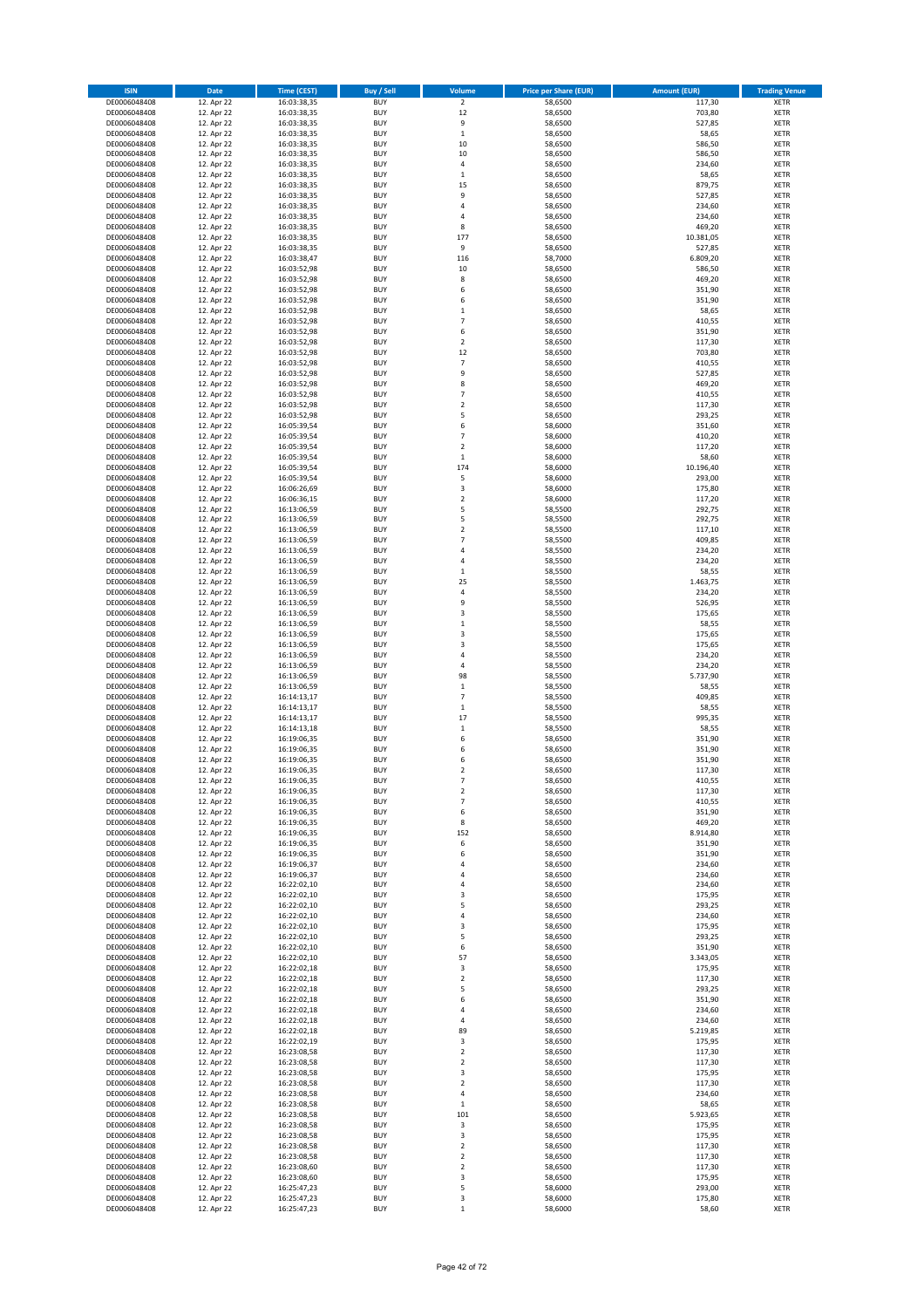| <b>ISIN</b>                  | Date                     | <b>Time (CEST)</b>         | <b>Buy / Sell</b>        | Volume                                    | <b>Price per Share (EUR)</b> | <b>Amount (EUR)</b> | <b>Trading Venue</b>       |
|------------------------------|--------------------------|----------------------------|--------------------------|-------------------------------------------|------------------------------|---------------------|----------------------------|
| DE0006048408                 | 12. Apr 22               | 16:03:38,35                | <b>BUY</b>               | $\overline{2}$                            | 58,6500                      | 117,30              | <b>XETR</b>                |
| DE0006048408                 | 12. Apr 22               | 16:03:38,35                | <b>BUY</b>               | 12                                        | 58,6500                      | 703,80              | <b>XETR</b>                |
| DE0006048408<br>DE0006048408 | 12. Apr 22<br>12. Apr 22 | 16:03:38,35<br>16:03:38,35 | <b>BUY</b><br><b>BUY</b> | 9<br>$\,$ 1 $\,$                          | 58,6500<br>58,6500           | 527,85<br>58,65     | <b>XETR</b><br><b>XETR</b> |
| DE0006048408                 | 12. Apr 22               | 16:03:38,35                | <b>BUY</b>               | 10                                        | 58,6500                      | 586,50              | <b>XETR</b>                |
| DE0006048408                 | 12. Apr 22               | 16:03:38,35                | <b>BUY</b>               | 10                                        | 58,6500                      | 586,50              | <b>XETR</b>                |
| DE0006048408                 | 12. Apr 22               | 16:03:38,35                | <b>BUY</b>               | $\sqrt{4}$                                | 58,6500                      | 234,60              | <b>XETR</b>                |
| DE0006048408                 | 12. Apr 22               | 16:03:38,35                | <b>BUY</b>               | $\,1\,$                                   | 58,6500                      | 58,65               | <b>XETR</b>                |
| DE0006048408<br>DE0006048408 | 12. Apr 22<br>12. Apr 22 | 16:03:38,35                | <b>BUY</b><br><b>BUY</b> | 15<br>9                                   | 58,6500<br>58,6500           | 879,75<br>527,85    | XETR<br><b>XETR</b>        |
| DE0006048408                 | 12. Apr 22               | 16:03:38,35<br>16:03:38,35 | <b>BUY</b>               | $\overline{4}$                            | 58,6500                      | 234,60              | XETR                       |
| DE0006048408                 | 12. Apr 22               | 16:03:38,35                | <b>BUY</b>               | $\sqrt{4}$                                | 58,6500                      | 234,60              | <b>XETR</b>                |
| DE0006048408                 | 12. Apr 22               | 16:03:38,35                | <b>BUY</b>               | 8                                         | 58,6500                      | 469,20              | XETR                       |
| DE0006048408                 | 12. Apr 22               | 16:03:38,35                | <b>BUY</b>               | 177                                       | 58,6500                      | 10.381,05           | <b>XETR</b>                |
| DE0006048408                 | 12. Apr 22               | 16:03:38,35                | <b>BUY</b>               | 9                                         | 58,6500                      | 527,85              | XETR                       |
| DE0006048408<br>DE0006048408 | 12. Apr 22<br>12. Apr 22 | 16:03:38,47<br>16:03:52,98 | <b>BUY</b><br><b>BUY</b> | 116<br>10                                 | 58,7000<br>58,6500           | 6.809,20<br>586,50  | <b>XETR</b><br>XETR        |
| DE0006048408                 | 12. Apr 22               | 16:03:52,98                | <b>BUY</b>               | 8                                         | 58,6500                      | 469,20              | <b>XETR</b>                |
| DE0006048408                 | 12. Apr 22               | 16:03:52,98                | <b>BUY</b>               | 6                                         | 58,6500                      | 351,90              | XETR                       |
| DE0006048408                 | 12. Apr 22               | 16:03:52,98                | <b>BUY</b>               | 6                                         | 58,6500                      | 351,90              | <b>XETR</b>                |
| DE0006048408                 | 12. Apr 22<br>12. Apr 22 | 16:03:52,98                | <b>BUY</b><br><b>BUY</b> | $\,1\,$<br>$\overline{7}$                 | 58,6500<br>58,6500           | 58,65<br>410,55     | <b>XETR</b><br><b>XETR</b> |
| DE0006048408<br>DE0006048408 | 12. Apr 22               | 16:03:52,98<br>16:03:52,98 | <b>BUY</b>               | 6                                         | 58,6500                      | 351,90              | <b>XETR</b>                |
| DE0006048408                 | 12. Apr 22               | 16:03:52,98                | <b>BUY</b>               | $\overline{2}$                            | 58,6500                      | 117,30              | <b>XETR</b>                |
| DE0006048408                 | 12. Apr 22               | 16:03:52,98                | <b>BUY</b>               | 12                                        | 58,6500                      | 703,80              | <b>XETR</b>                |
| DE0006048408                 | 12. Apr 22               | 16:03:52,98                | <b>BUY</b>               | $\overline{7}$                            | 58,6500                      | 410,55              | <b>XETR</b>                |
| DE0006048408                 | 12. Apr 22<br>12. Apr 22 | 16:03:52,98                | <b>BUY</b>               | 9<br>8                                    | 58,6500                      | 527,85              | <b>XETR</b>                |
| DE0006048408<br>DE0006048408 | 12. Apr 22               | 16:03:52,98<br>16:03:52,98 | <b>BUY</b><br><b>BUY</b> | $\overline{7}$                            | 58,6500<br>58,6500           | 469,20<br>410,55    | <b>XETR</b><br><b>XETR</b> |
| DE0006048408                 | 12. Apr 22               | 16:03:52,98                | <b>BUY</b>               | $\mathbf 2$                               | 58,6500                      | 117,30              | <b>XETR</b>                |
| DE0006048408                 | 12. Apr 22               | 16:03:52,98                | <b>BUY</b>               | 5                                         | 58,6500                      | 293,25              | <b>XETR</b>                |
| DE0006048408                 | 12. Apr 22               | 16:05:39,54                | <b>BUY</b>               | 6                                         | 58,6000                      | 351,60              | <b>XETR</b>                |
| DE0006048408                 | 12. Apr 22               | 16:05:39,54                | <b>BUY</b><br><b>BUY</b> | $\overline{7}$<br>$\mathbf 2$             | 58,6000                      | 410,20<br>117,20    | <b>XETR</b><br>XETR        |
| DE0006048408<br>DE0006048408 | 12. Apr 22<br>12. Apr 22 | 16:05:39,54<br>16:05:39,54 | <b>BUY</b>               | $\mathbf 1$                               | 58,6000<br>58,6000           | 58,60               | <b>XETR</b>                |
| DE0006048408                 | 12. Apr 22               | 16:05:39,54                | <b>BUY</b>               | 174                                       | 58,6000                      | 10.196,40           | XETR                       |
| DE0006048408                 | 12. Apr 22               | 16:05:39,54                | <b>BUY</b>               | 5                                         | 58,6000                      | 293,00              | <b>XETR</b>                |
| DE0006048408                 | 12. Apr 22               | 16:06:26,69                | <b>BUY</b>               | $\mathsf 3$                               | 58,6000                      | 175,80              | XETR                       |
| DE0006048408                 | 12. Apr 22               | 16:06:36,15                | <b>BUY</b>               | $\overline{2}$                            | 58,6000                      | 117,20              | <b>XETR</b>                |
| DE0006048408<br>DE0006048408 | 12. Apr 22<br>12. Apr 22 | 16:13:06,59<br>16:13:06,59 | <b>BUY</b><br><b>BUY</b> | 5<br>5                                    | 58,5500<br>58,5500           | 292,75<br>292,75    | <b>XETR</b><br><b>XETR</b> |
| DE0006048408                 | 12. Apr 22               | 16:13:06,59                | <b>BUY</b>               | $\overline{2}$                            | 58,5500                      | 117,10              | <b>XETR</b>                |
| DE0006048408                 | 12. Apr 22               | 16:13:06,59                | <b>BUY</b>               | $\overline{7}$                            | 58,5500                      | 409,85              | <b>XETR</b>                |
| DE0006048408                 | 12. Apr 22               | 16:13:06,59                | <b>BUY</b>               | $\sqrt{4}$                                | 58,5500                      | 234,20              | <b>XETR</b>                |
| DE0006048408                 | 12. Apr 22               | 16:13:06,59                | <b>BUY</b>               | $\sqrt{4}$                                | 58,5500                      | 234,20              | <b>XETR</b>                |
| DE0006048408<br>DE0006048408 | 12. Apr 22<br>12. Apr 22 | 16:13:06,59<br>16:13:06,59 | <b>BUY</b><br><b>BUY</b> | $\,$ 1<br>25                              | 58,5500<br>58,5500           | 58,55<br>1.463,75   | <b>XETR</b><br><b>XETR</b> |
| DE0006048408                 | 12. Apr 22               | 16:13:06,59                | <b>BUY</b>               | $\sqrt{4}$                                | 58,5500                      | 234,20              | <b>XETR</b>                |
| DE0006048408                 | 12. Apr 22               | 16:13:06,59                | <b>BUY</b>               | 9                                         | 58,5500                      | 526,95              | <b>XETR</b>                |
| DE0006048408                 | 12. Apr 22               | 16:13:06,59                | <b>BUY</b>               | 3                                         | 58,5500                      | 175,65              | <b>XETR</b>                |
| DE0006048408                 | 12. Apr 22               | 16:13:06,59                | <b>BUY</b>               | $\mathbf 1$                               | 58,5500                      | 58,55               | <b>XETR</b>                |
| DE0006048408<br>DE0006048408 | 12. Apr 22<br>12. Apr 22 | 16:13:06,59<br>16:13:06,59 | <b>BUY</b><br><b>BUY</b> | 3<br>3                                    | 58,5500<br>58,5500           | 175,65<br>175,65    | <b>XETR</b><br><b>XETR</b> |
| DE0006048408                 | 12. Apr 22               | 16:13:06,59                | <b>BUY</b>               | $\sqrt{4}$                                | 58,5500                      | 234,20              | <b>XETR</b>                |
| DE0006048408                 | 12. Apr 22               | 16:13:06,59                | <b>BUY</b>               | 4                                         | 58,5500                      | 234,20              | <b>XETR</b>                |
| DE0006048408                 | 12. Apr 22               | 16:13:06,59                | <b>BUY</b>               | 98                                        | 58,5500                      | 5.737,90            | <b>XETR</b>                |
| DE0006048408                 | 12. Apr 22               | 16:13:06,59                | <b>BUY</b>               | $\,1\,$                                   | 58,5500                      | 58,55               | <b>XETR</b>                |
| DE0006048408<br>DE0006048408 | 12. Apr 22<br>12. Apr 22 | 16:14:13,17<br>16:14:13,17 | <b>BUY</b><br><b>BUY</b> | $\overline{7}$<br>$\mathbf 1$             | 58,5500<br>58,5500           | 409,85<br>58,55     | <b>XETR</b><br><b>XETR</b> |
| DE0006048408                 | 12. Apr 22               | 16:14:13,17                | <b>BUY</b>               | 17                                        | 58,5500                      | 995,35              | <b>XETR</b>                |
| DE0006048408                 | 12. Apr 22               | 16:14:13,18                | <b>BUY</b>               | $\,$ 1                                    | 58,5500                      | 58,55               | XETR                       |
| DE0006048408                 | 12. Apr 22               | 16:19:06,35                | <b>BUY</b>               | 6                                         | 58,6500                      | 351,90              | <b>XETR</b>                |
| DE0006048408<br>DE0006048408 | 12. Apr 22<br>12. Apr 22 | 16:19:06,35<br>16:19:06.35 | <b>BUY</b><br><b>BUY</b> | 6<br>6                                    | 58,6500<br>58,6500           | 351,90<br>351,90    | <b>XETR</b><br><b>XETR</b> |
| DE0006048408                 | 12. Apr 22               | 16:19:06,35                | <b>BUY</b>               | $\overline{2}$                            | 58,6500                      | 117,30              | <b>XETR</b>                |
| DE0006048408                 | 12. Apr 22               | 16:19:06,35                | <b>BUY</b>               | $\overline{7}$                            | 58,6500                      | 410,55              | XETR                       |
| DE0006048408                 | 12. Apr 22               | 16:19:06,35                | <b>BUY</b>               | $\mathbf 2$                               | 58,6500                      | 117,30              | XETR                       |
| DE0006048408                 | 12. Apr 22               | 16:19:06,35                | <b>BUY</b>               | $\overline{7}$                            | 58,6500                      | 410,55              | XETR                       |
| DE0006048408<br>DE0006048408 | 12. Apr 22<br>12. Apr 22 | 16:19:06,35<br>16:19:06,35 | <b>BUY</b><br><b>BUY</b> | 6<br>8                                    | 58,6500<br>58,6500           | 351,90<br>469,20    | XETR<br>XETR               |
| DE0006048408                 | 12. Apr 22               | 16:19:06,35                | <b>BUY</b>               | 152                                       | 58,6500                      | 8.914,80            | XETR                       |
| DE0006048408                 | 12. Apr 22               | 16:19:06,35                | <b>BUY</b>               | 6                                         | 58,6500                      | 351,90              | <b>XETR</b>                |
| DE0006048408                 | 12. Apr 22               | 16:19:06,35                | <b>BUY</b>               | 6                                         | 58,6500                      | 351,90              | <b>XETR</b>                |
| DE0006048408<br>DE0006048408 | 12. Apr 22<br>12. Apr 22 | 16:19:06,37<br>16:19:06,37 | <b>BUY</b><br><b>BUY</b> | 4<br>$\sqrt{4}$                           | 58,6500<br>58,6500           | 234,60<br>234,60    | <b>XETR</b><br><b>XETR</b> |
| DE0006048408                 | 12. Apr 22               | 16:22:02,10                | <b>BUY</b>               | $\overline{4}$                            | 58,6500                      | 234,60              | <b>XETR</b>                |
| DE0006048408                 | 12. Apr 22               | 16:22:02,10                | <b>BUY</b>               | 3                                         | 58,6500                      | 175,95              | <b>XETR</b>                |
| DE0006048408                 | 12. Apr 22               | 16:22:02,10                | <b>BUY</b>               | 5                                         | 58,6500                      | 293,25              | <b>XETR</b>                |
| DE0006048408                 | 12. Apr 22               | 16:22:02,10                | <b>BUY</b>               | $\pmb{4}$                                 | 58,6500                      | 234,60              | XETR                       |
| DE0006048408<br>DE0006048408 | 12. Apr 22<br>12. Apr 22 | 16:22:02,10<br>16:22:02,10 | <b>BUY</b><br><b>BUY</b> | 3<br>5                                    | 58,6500<br>58,6500           | 175,95<br>293,25    | <b>XETR</b><br><b>XETR</b> |
| DE0006048408                 | 12. Apr 22               | 16:22:02,10                | <b>BUY</b>               | 6                                         | 58,6500                      | 351,90              | <b>XETR</b>                |
| DE0006048408                 | 12. Apr 22               | 16:22:02,10                | <b>BUY</b>               | 57                                        | 58,6500                      | 3.343,05            | <b>XETR</b>                |
| DE0006048408                 | 12. Apr 22               | 16:22:02,18                | <b>BUY</b>               | 3                                         | 58,6500                      | 175,95              | <b>XETR</b>                |
| DE0006048408                 | 12. Apr 22               | 16:22:02,18                | <b>BUY</b>               | $\mathbf 2$                               | 58,6500                      | 117,30              | <b>XETR</b>                |
| DE0006048408<br>DE0006048408 | 12. Apr 22<br>12. Apr 22 | 16:22:02,18<br>16:22:02,18 | <b>BUY</b><br><b>BUY</b> | 5<br>6                                    | 58,6500<br>58,6500           | 293,25<br>351,90    | <b>XETR</b><br>XETR        |
| DE0006048408                 | 12. Apr 22               | 16:22:02,18                | <b>BUY</b>               | 4                                         | 58,6500                      | 234,60              | XETR                       |
| DE0006048408                 | 12. Apr 22               | 16:22:02,18                | <b>BUY</b>               | 4                                         | 58,6500                      | 234,60              | XETR                       |
| DE0006048408                 | 12. Apr 22               | 16:22:02,18                | <b>BUY</b>               | 89                                        | 58,6500                      | 5.219,85            | XETR                       |
| DE0006048408                 | 12. Apr 22               | 16:22:02,19                | <b>BUY</b>               | 3                                         | 58,6500                      | 175,95              | <b>XETR</b>                |
| DE0006048408                 | 12. Apr 22<br>12. Apr 22 | 16:23:08,58<br>16:23:08,58 | <b>BUY</b><br><b>BUY</b> | $\overline{\mathbf{c}}$<br>$\overline{2}$ | 58,6500<br>58,6500           | 117,30<br>117,30    | XETR<br>XETR               |
| DE0006048408<br>DE0006048408 | 12. Apr 22               | 16:23:08,58                | <b>BUY</b>               | 3                                         | 58,6500                      | 175,95              | XETR                       |
| DE0006048408                 | 12. Apr 22               | 16:23:08,58                | <b>BUY</b>               | $\overline{2}$                            | 58,6500                      | 117,30              | XETR                       |
| DE0006048408                 | 12. Apr 22               | 16:23:08,58                | <b>BUY</b>               | 4                                         | 58,6500                      | 234,60              | XETR                       |
| DE0006048408                 | 12. Apr 22               | 16:23:08,58                | <b>BUY</b>               | $\,$ 1                                    | 58,6500                      | 58,65               | XETR                       |
| DE0006048408<br>DE0006048408 | 12. Apr 22<br>12. Apr 22 | 16:23:08,58                | <b>BUY</b><br><b>BUY</b> | 101                                       | 58,6500<br>58,6500           | 5.923,65<br>175,95  | <b>XETR</b><br><b>XETR</b> |
| DE0006048408                 | 12. Apr 22               | 16:23:08,58<br>16:23:08,58 | <b>BUY</b>               | 3<br>3                                    | 58,6500                      | 175,95              | <b>XETR</b>                |
| DE0006048408                 | 12. Apr 22               | 16:23:08,58                | <b>BUY</b>               | $\overline{2}$                            | 58,6500                      | 117,30              | <b>XETR</b>                |
| DE0006048408                 | 12. Apr 22               | 16:23:08,58                | <b>BUY</b>               | $\mathbf 2$                               | 58,6500                      | 117,30              | <b>XETR</b>                |
| DE0006048408                 | 12. Apr 22               | 16:23:08,60                | <b>BUY</b>               | $\overline{2}$                            | 58,6500                      | 117,30              | <b>XETR</b>                |
| DE0006048408<br>DE0006048408 | 12. Apr 22<br>12. Apr 22 | 16:23:08,60<br>16:25:47,23 | <b>BUY</b><br><b>BUY</b> | 3<br>5                                    | 58,6500<br>58,6000           | 175,95<br>293,00    | <b>XETR</b><br><b>XETR</b> |
| DE0006048408                 | 12. Apr 22               | 16:25:47,23                | <b>BUY</b>               | 3                                         | 58,6000                      | 175,80              | <b>XETR</b>                |
| DE0006048408                 | 12. Apr 22               | 16:25:47,23                | <b>BUY</b>               | $\,$ 1                                    | 58,6000                      | 58,60               | <b>XETR</b>                |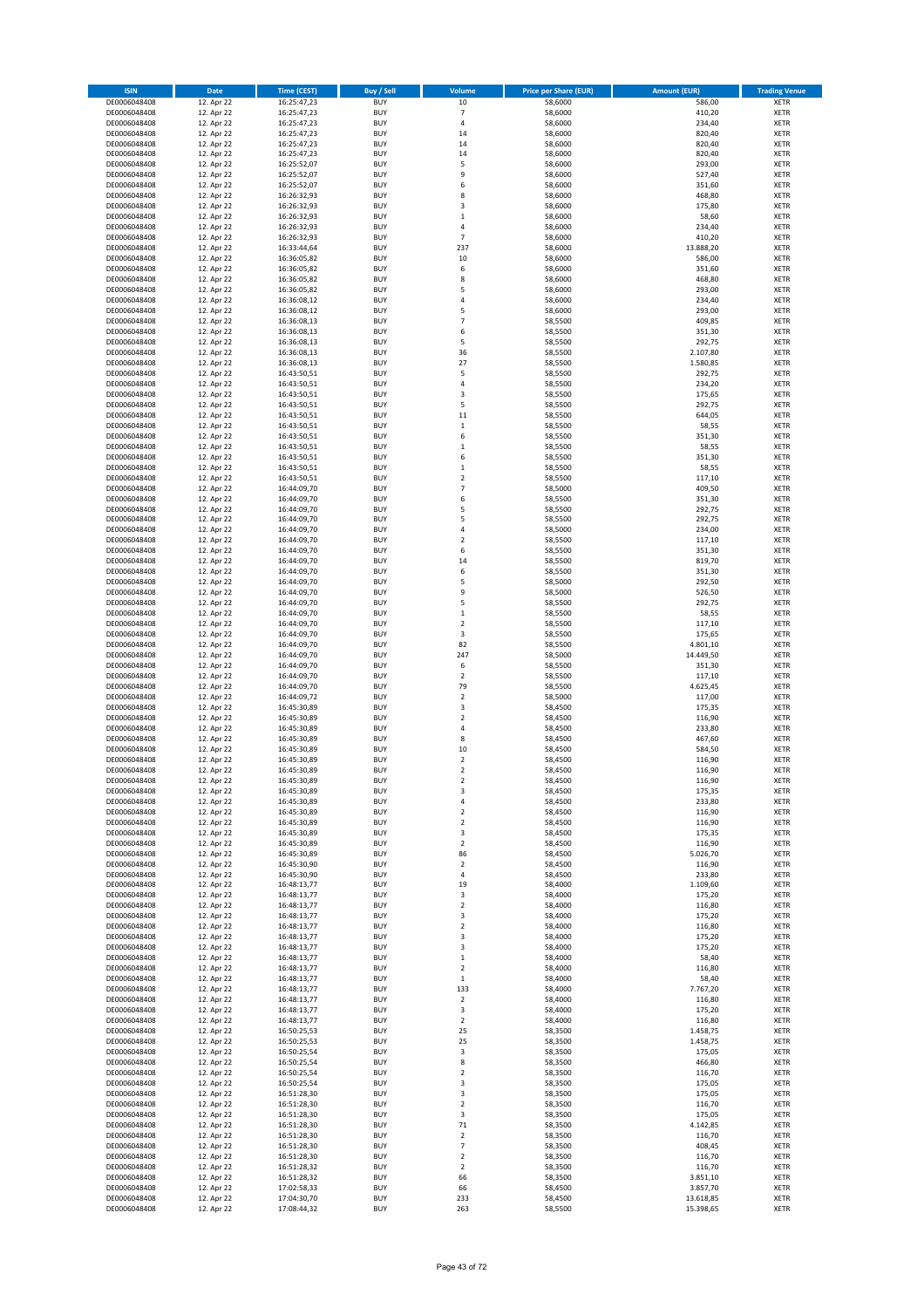| <b>ISIN</b>                  | Date                     | <b>Time (CEST)</b>         | <b>Buy / Sell</b>        | Volume                                              | <b>Price per Share (EUR)</b> | <b>Amount (EUR)</b>   | <b>Trading Venue</b>       |
|------------------------------|--------------------------|----------------------------|--------------------------|-----------------------------------------------------|------------------------------|-----------------------|----------------------------|
| DE0006048408                 | 12. Apr 22               | 16:25:47,23                | <b>BUY</b>               | $10\,$                                              | 58,6000                      | 586,00                | <b>XETR</b>                |
| DE0006048408                 | 12. Apr 22               | 16:25:47,23                | <b>BUY</b>               | $\overline{7}$                                      | 58,6000                      | 410,20                | <b>XETR</b>                |
| DE0006048408<br>DE0006048408 | 12. Apr 22<br>12. Apr 22 | 16:25:47,23<br>16:25:47,23 | <b>BUY</b><br><b>BUY</b> | $\sqrt{4}$<br>14                                    | 58,6000<br>58,6000           | 234,40<br>820,40      | <b>XETR</b><br><b>XETR</b> |
| DE0006048408                 | 12. Apr 22               | 16:25:47,23                | <b>BUY</b>               | 14                                                  | 58,6000                      | 820,40                | <b>XETR</b>                |
| DE0006048408                 | 12. Apr 22               | 16:25:47,23                | <b>BUY</b>               | 14                                                  | 58,6000                      | 820,40                | <b>XETR</b>                |
| DE0006048408                 | 12. Apr 22               | 16:25:52,07                | <b>BUY</b>               | 5                                                   | 58,6000                      | 293,00                | <b>XETR</b>                |
| DE0006048408                 | 12. Apr 22               | 16:25:52,07                | <b>BUY</b>               | 9                                                   | 58,6000                      | 527,40                | <b>XETR</b>                |
| DE0006048408<br>DE0006048408 | 12. Apr 22<br>12. Apr 22 | 16:25:52,07                | <b>BUY</b><br><b>BUY</b> | 6<br>8                                              | 58,6000<br>58,6000           | 351,60<br>468,80      | XETR<br><b>XETR</b>        |
| DE0006048408                 | 12. Apr 22               | 16:26:32,93<br>16:26:32,93 | <b>BUY</b>               | 3                                                   | 58,6000                      | 175,80                | XETR                       |
| DE0006048408                 | 12. Apr 22               | 16:26:32,93                | <b>BUY</b>               | $\,1\,$                                             | 58,6000                      | 58,60                 | <b>XETR</b>                |
| DE0006048408                 | 12. Apr 22               | 16:26:32,93                | <b>BUY</b>               | 4                                                   | 58,6000                      | 234,40                | XETR                       |
| DE0006048408                 | 12. Apr 22               | 16:26:32,93                | <b>BUY</b>               | $\overline{7}$                                      | 58,6000                      | 410,20                | <b>XETR</b>                |
| DE0006048408                 | 12. Apr 22               | 16:33:44,64                | <b>BUY</b>               | 237                                                 | 58,6000                      | 13.888,20             | XETR                       |
| DE0006048408<br>DE0006048408 | 12. Apr 22<br>12. Apr 22 | 16:36:05,82<br>16:36:05,82 | <b>BUY</b><br><b>BUY</b> | 10<br>6                                             | 58,6000<br>58,6000           | 586,00<br>351,60      | <b>XETR</b><br>XETR        |
| DE0006048408                 | 12. Apr 22               | 16:36:05,82                | <b>BUY</b>               | 8                                                   | 58,6000                      | 468,80                | <b>XETR</b>                |
| DE0006048408                 | 12. Apr 22               | 16:36:05,82                | <b>BUY</b>               | 5                                                   | 58,6000                      | 293,00                | XETR                       |
| DE0006048408                 | 12. Apr 22               | 16:36:08,12                | <b>BUY</b>               | 4                                                   | 58,6000                      | 234,40                | <b>XETR</b>                |
| DE0006048408                 | 12. Apr 22               | 16:36:08,12                | <b>BUY</b><br><b>BUY</b> | 5<br>$\overline{7}$                                 | 58,6000                      | 293,00<br>409,85      | <b>XETR</b><br><b>XETR</b> |
| DE0006048408<br>DE0006048408 | 12. Apr 22<br>12. Apr 22 | 16:36:08,13<br>16:36:08,13 | <b>BUY</b>               | 6                                                   | 58,5500<br>58,5500           | 351,30                | <b>XETR</b>                |
| DE0006048408                 | 12. Apr 22               | 16:36:08,13                | <b>BUY</b>               | 5                                                   | 58,5500                      | 292,75                | <b>XETR</b>                |
| DE0006048408                 | 12. Apr 22               | 16:36:08,13                | <b>BUY</b>               | 36                                                  | 58,5500                      | 2.107,80              | <b>XETR</b>                |
| DE0006048408                 | 12. Apr 22               | 16:36:08,13                | <b>BUY</b>               | 27                                                  | 58,5500                      | 1.580,85              | <b>XETR</b>                |
| DE0006048408                 | 12. Apr 22               | 16:43:50,51                | <b>BUY</b>               | 5                                                   | 58,5500                      | 292,75                | <b>XETR</b>                |
| DE0006048408<br>DE0006048408 | 12. Apr 22<br>12. Apr 22 | 16:43:50,51<br>16:43:50,51 | <b>BUY</b><br><b>BUY</b> | 4<br>3                                              | 58,5500<br>58,5500           | 234,20<br>175,65      | <b>XETR</b><br><b>XETR</b> |
| DE0006048408                 | 12. Apr 22               | 16:43:50,51                | <b>BUY</b>               | 5                                                   | 58,5500                      | 292,75                | <b>XETR</b>                |
| DE0006048408                 | 12. Apr 22               | 16:43:50,51                | <b>BUY</b>               | 11                                                  | 58,5500                      | 644,05                | <b>XETR</b>                |
| DE0006048408                 | 12. Apr 22               | 16:43:50,51                | <b>BUY</b>               | $\,$ 1                                              | 58,5500                      | 58,55                 | <b>XETR</b>                |
| DE0006048408                 | 12. Apr 22               | 16:43:50,51                | <b>BUY</b><br><b>BUY</b> | 6                                                   | 58,5500                      | 351,30<br>58,55       | <b>XETR</b><br>XETR        |
| DE0006048408<br>DE0006048408 | 12. Apr 22<br>12. Apr 22 | 16:43:50,51<br>16:43:50,51 | <b>BUY</b>               | $\,$ 1<br>6                                         | 58,5500<br>58,5500           | 351,30                | <b>XETR</b>                |
| DE0006048408                 | 12. Apr 22               | 16:43:50,51                | <b>BUY</b>               | $\,1\,$                                             | 58,5500                      | 58,55                 | XETR                       |
| DE0006048408                 | 12. Apr 22               | 16:43:50,51                | <b>BUY</b>               | $\overline{2}$                                      | 58,5500                      | 117,10                | <b>XETR</b>                |
| DE0006048408                 | 12. Apr 22               | 16:44:09,70                | <b>BUY</b>               | $\overline{7}$                                      | 58,5000                      | 409,50                | XETR                       |
| DE0006048408                 | 12. Apr 22               | 16:44:09,70                | <b>BUY</b>               | 6                                                   | 58,5500                      | 351,30                | <b>XETR</b>                |
| DE0006048408<br>DE0006048408 | 12. Apr 22<br>12. Apr 22 | 16:44:09,70<br>16:44:09,70 | <b>BUY</b><br><b>BUY</b> | 5<br>5                                              | 58,5500<br>58,5500           | 292,75<br>292,75      | <b>XETR</b><br><b>XETR</b> |
| DE0006048408                 | 12. Apr 22               | 16:44:09,70                | <b>BUY</b>               | $\sqrt{4}$                                          | 58,5000                      | 234,00                | <b>XETR</b>                |
| DE0006048408                 | 12. Apr 22               | 16:44:09,70                | <b>BUY</b>               | $\overline{2}$                                      | 58,5500                      | 117,10                | <b>XETR</b>                |
| DE0006048408                 | 12. Apr 22               | 16:44:09,70                | <b>BUY</b>               | 6                                                   | 58,5500                      | 351,30                | <b>XETR</b>                |
| DE0006048408                 | 12. Apr 22               | 16:44:09,70                | <b>BUY</b>               | 14                                                  | 58,5500                      | 819,70                | <b>XETR</b>                |
| DE0006048408                 | 12. Apr 22               | 16:44:09,70                | <b>BUY</b><br><b>BUY</b> | 6                                                   | 58,5500                      | 351,30<br>292,50      | <b>XETR</b>                |
| DE0006048408<br>DE0006048408 | 12. Apr 22<br>12. Apr 22 | 16:44:09,70<br>16:44:09,70 | <b>BUY</b>               | 5<br>9                                              | 58,5000<br>58,5000           | 526,50                | <b>XETR</b><br><b>XETR</b> |
| DE0006048408                 | 12. Apr 22               | 16:44:09,70                | <b>BUY</b>               | 5                                                   | 58,5500                      | 292,75                | <b>XETR</b>                |
| DE0006048408                 | 12. Apr 22               | 16:44:09,70                | <b>BUY</b>               | $\,$ 1                                              | 58,5500                      | 58,55                 | <b>XETR</b>                |
| DE0006048408                 | 12. Apr 22               | 16:44:09,70                | <b>BUY</b>               | $\overline{2}$                                      | 58,5500                      | 117,10                | <b>XETR</b>                |
| DE0006048408<br>DE0006048408 | 12. Apr 22<br>12. Apr 22 | 16:44:09,70<br>16:44:09,70 | <b>BUY</b><br><b>BUY</b> | 3<br>82                                             | 58,5500<br>58,5500           | 175,65<br>4.801,10    | <b>XETR</b><br><b>XETR</b> |
| DE0006048408                 | 12. Apr 22               | 16:44:09,70                | <b>BUY</b>               | 247                                                 | 58,5000                      | 14.449,50             | <b>XETR</b>                |
| DE0006048408                 | 12. Apr 22               | 16:44:09,70                | <b>BUY</b>               | 6                                                   | 58,5500                      | 351,30                | <b>XETR</b>                |
| DE0006048408                 | 12. Apr 22               | 16:44:09,70                | <b>BUY</b>               | $\overline{2}$                                      | 58,5500                      | 117,10                | <b>XETR</b>                |
| DE0006048408                 | 12. Apr 22               | 16:44:09,70                | <b>BUY</b>               | 79                                                  | 58,5500                      | 4.625,45              | <b>XETR</b>                |
| DE0006048408<br>DE0006048408 | 12. Apr 22<br>12. Apr 22 | 16:44:09,72<br>16:45:30,89 | <b>BUY</b><br><b>BUY</b> | $\overline{2}$<br>3                                 | 58,5000<br>58,4500           | 117,00<br>175,35      | <b>XETR</b><br><b>XETR</b> |
| DE0006048408                 | 12. Apr 22               | 16:45:30,89                | <b>BUY</b>               | $\overline{2}$                                      | 58,4500                      | 116,90                | <b>XETR</b>                |
| DE0006048408                 | 12. Apr 22               | 16:45:30,89                | <b>BUY</b>               | $\sqrt{4}$                                          | 58,4500                      | 233,80                | XETR                       |
| DE0006048408                 | 12. Apr 22               | 16:45:30,89                | <b>BUY</b>               | 8                                                   | 58,4500                      | 467,60                | <b>XETR</b>                |
| DE0006048408                 | 12. Apr 22               | 16:45:30,89                | <b>BUY</b>               | 10                                                  | 58,4500                      | 584,50                | <b>XETR</b>                |
| DE0006048408<br>DE0006048408 | 12. Apr 22               | 16:45:30,89<br>16:45:30,89 | <b>BUY</b><br><b>BUY</b> | $\overline{2}$<br>$\overline{2}$                    | 58,4500<br>58,4500           | 116,90<br>116,90      | <b>XETR</b><br><b>XETR</b> |
| DE0006048408                 | 12. Apr 22<br>12. Apr 22 | 16:45:30,89                | <b>BUY</b>               | $\overline{\mathbf{c}}$                             | 58,4500                      | 116,90                | XETR                       |
| DE0006048408                 | 12. Apr 22               | 16:45:30,89                | <b>BUY</b>               | 3                                                   | 58,4500                      | 175,35                | XETR                       |
| DE0006048408                 | 12. Apr 22               | 16:45:30,89                | <b>BUY</b>               | $\sqrt{4}$                                          | 58,4500                      | 233,80                | XETR                       |
| DE0006048408                 | 12. Apr 22               | 16:45:30,89                | <b>BUY</b>               | $\overline{2}$                                      | 58,4500                      | 116,90                | <b>XETR</b>                |
| DE0006048408<br>DE0006048408 | 12. Apr 22<br>12. Apr 22 | 16:45:30,89<br>16:45:30,89 | <b>BUY</b><br><b>BUY</b> | $\overline{2}$                                      | 58,4500<br>58,4500           | 116,90<br>175,35      | <b>XETR</b><br>XETR        |
| DE0006048408                 | 12. Apr 22               | 16:45:30,89                | <b>BUY</b>               | 3<br>$\overline{2}$                                 | 58,4500                      | 116,90                | <b>XETR</b>                |
| DE0006048408                 | 12. Apr 22               | 16:45:30,89                | <b>BUY</b>               | 86                                                  | 58,4500                      | 5.026,70              | <b>XETR</b>                |
| DE0006048408                 | 12. Apr 22               | 16:45:30,90                | <b>BUY</b>               | $\overline{2}$                                      | 58,4500                      | 116,90                | <b>XETR</b>                |
| DE0006048408                 | 12. Apr 22               | 16:45:30,90                | <b>BUY</b>               | $\pmb{4}$                                           | 58,4500                      | 233,80                | XETR                       |
| DE0006048408<br>DE0006048408 | 12. Apr 22<br>12. Apr 22 | 16:48:13,77<br>16:48:13,77 | <b>BUY</b><br><b>BUY</b> | 19<br>3                                             | 58,4000<br>58,4000           | 1.109,60<br>175,20    | <b>XETR</b><br><b>XETR</b> |
| DE0006048408                 | 12. Apr 22               | 16:48:13,77                | <b>BUY</b>               | $\mathbf 2$                                         | 58,4000                      | 116,80                | <b>XETR</b>                |
| DE0006048408                 | 12. Apr 22               | 16:48:13,77                | <b>BUY</b>               | 3                                                   | 58,4000                      | 175,20                | XETR                       |
| DE0006048408                 | 12. Apr 22               | 16:48:13,77                | <b>BUY</b>               | $\mathbf 2$                                         | 58,4000                      | 116,80                | <b>XETR</b>                |
| DE0006048408                 | 12. Apr 22               | 16:48:13,77                | <b>BUY</b>               | 3                                                   | 58,4000                      | 175,20                | <b>XETR</b>                |
| DE0006048408<br>DE0006048408 | 12. Apr 22<br>12. Apr 22 | 16:48:13,77<br>16:48:13,77 | <b>BUY</b><br><b>BUY</b> | 3<br>$\,$ 1                                         | 58,4000<br>58,4000           | 175,20<br>58,40       | <b>XETR</b><br><b>XETR</b> |
| DE0006048408                 | 12. Apr 22               | 16:48:13,77                | <b>BUY</b>               | $\overline{2}$                                      | 58,4000                      | 116,80                | <b>XETR</b>                |
| DE0006048408                 | 12. Apr 22               | 16:48:13,77                | <b>BUY</b>               | $\mathbf 1$                                         | 58,4000                      | 58,40                 | <b>XETR</b>                |
| DE0006048408                 | 12. Apr 22               | 16:48:13,77                | <b>BUY</b>               | 133                                                 | 58,4000                      | 7.767,20              | <b>XETR</b>                |
| DE0006048408                 | 12. Apr 22               | 16:48:13,77                | <b>BUY</b>               | $\mathbf 2$                                         | 58,4000                      | 116,80                | <b>XETR</b>                |
| DE0006048408<br>DE0006048408 | 12. Apr 22<br>12. Apr 22 | 16:48:13,77<br>16:48:13,77 | <b>BUY</b><br><b>BUY</b> | 3<br>$\mathbf 2$                                    | 58,4000<br>58,4000           | 175,20<br>116,80      | XETR<br>XETR               |
| DE0006048408                 | 12. Apr 22               | 16:50:25,53                | <b>BUY</b>               | 25                                                  | 58,3500                      | 1.458,75              | <b>XETR</b>                |
| DE0006048408                 | 12. Apr 22               | 16:50:25,53                | <b>BUY</b>               | 25                                                  | 58,3500                      | 1.458,75              | <b>XETR</b>                |
| DE0006048408                 | 12. Apr 22               | 16:50:25,54                | <b>BUY</b>               | 3                                                   | 58,3500                      | 175,05                | XETR                       |
| DE0006048408                 | 12. Apr 22               | 16:50:25,54                | <b>BUY</b>               | 8                                                   | 58,3500                      | 466,80                | XETR                       |
| DE0006048408<br>DE0006048408 | 12. Apr 22<br>12. Apr 22 | 16:50:25,54<br>16:50:25,54 | <b>BUY</b><br><b>BUY</b> | $\boldsymbol{2}$<br>3                               | 58,3500<br>58,3500           | 116,70<br>175,05      | <b>XETR</b><br><b>XETR</b> |
| DE0006048408                 | 12. Apr 22               | 16:51:28,30                | <b>BUY</b>               | 3                                                   | 58,3500                      | 175,05                | XETR                       |
| DE0006048408                 | 12. Apr 22               | 16:51:28,30                | <b>BUY</b>               | $\mathbf 2$                                         | 58,3500                      | 116,70                | XETR                       |
| DE0006048408                 | 12. Apr 22               | 16:51:28,30                | <b>BUY</b>               | 3                                                   | 58,3500                      | 175,05                | <b>XETR</b>                |
| DE0006048408                 | 12. Apr 22               | 16:51:28,30                | <b>BUY</b><br><b>BUY</b> | 71                                                  | 58,3500                      | 4.142,85              | <b>XETR</b>                |
| DE0006048408<br>DE0006048408 | 12. Apr 22<br>12. Apr 22 | 16:51:28,30<br>16:51:28,30 | <b>BUY</b>               | $\overline{\mathbf{c}}$<br>$\overline{\phantom{a}}$ | 58,3500<br>58,3500           | 116,70<br>408,45      | <b>XETR</b><br><b>XETR</b> |
| DE0006048408                 | 12. Apr 22               | 16:51:28,30                | <b>BUY</b>               | $\mathbf 2$                                         | 58,3500                      | 116,70                | <b>XETR</b>                |
| DE0006048408                 | 12. Apr 22               | 16:51:28,32                | <b>BUY</b>               | $\overline{2}$                                      | 58,3500                      | 116,70                | <b>XETR</b>                |
| DE0006048408                 | 12. Apr 22               | 16:51:28,32                | <b>BUY</b>               | 66                                                  | 58,3500                      | 3.851,10              | <b>XETR</b>                |
| DE0006048408<br>DE0006048408 | 12. Apr 22<br>12. Apr 22 | 17:02:58,33<br>17:04:30,70 | <b>BUY</b><br><b>BUY</b> | 66<br>233                                           | 58,4500<br>58,4500           | 3.857,70<br>13.618,85 | <b>XETR</b><br><b>XETR</b> |
| DE0006048408                 | 12. Apr 22               | 17:08:44,32                | <b>BUY</b>               | 263                                                 | 58,5500                      | 15.398,65             | <b>XETR</b>                |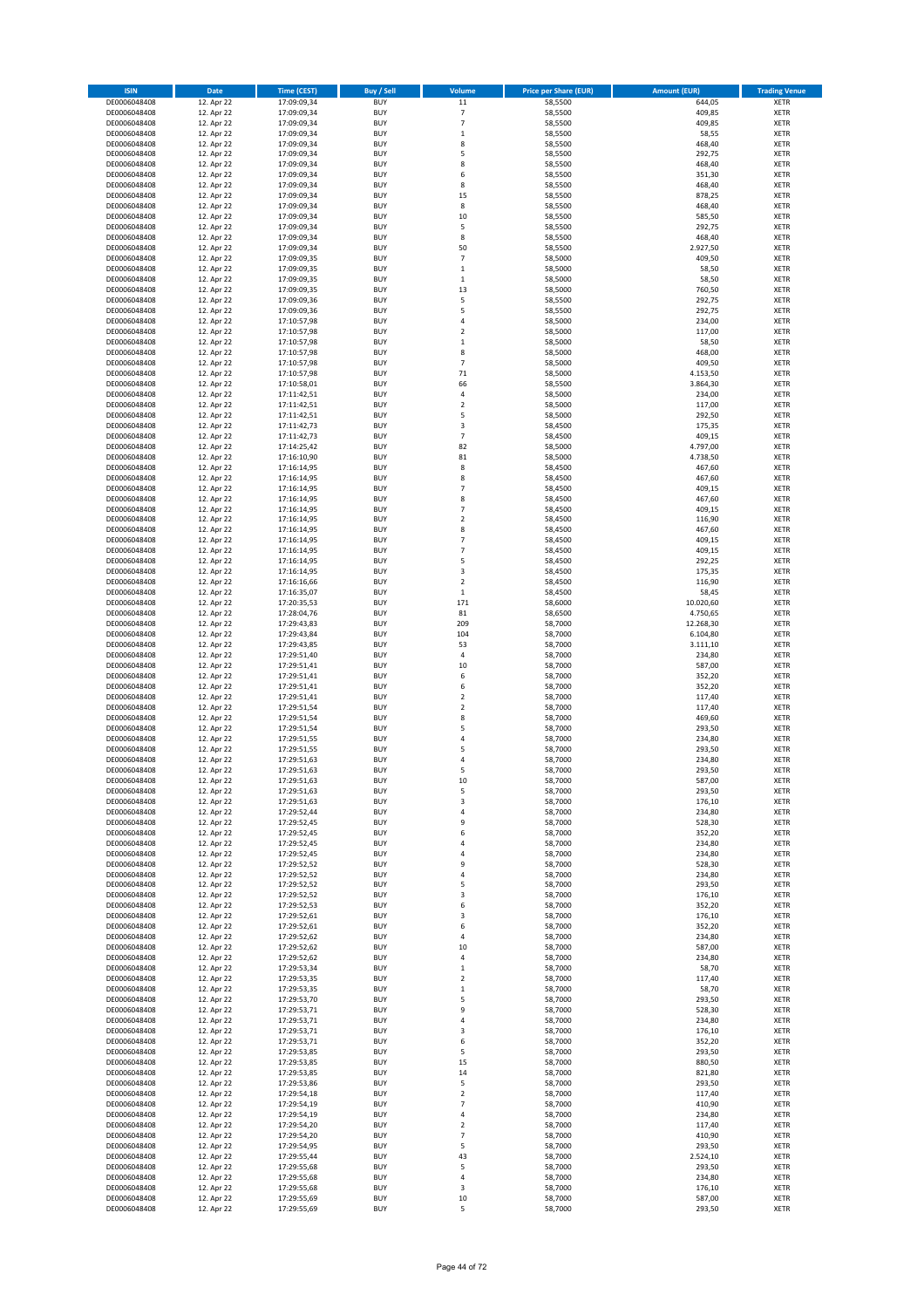| <b>ISIN</b>                  | Date                     | <b>Time (CEST)</b>         | <b>Buy / Sell</b>        | Volume                             | <b>Price per Share (EUR)</b> | <b>Amount (EUR)</b>  | <b>Trading Venue</b>       |
|------------------------------|--------------------------|----------------------------|--------------------------|------------------------------------|------------------------------|----------------------|----------------------------|
| DE0006048408                 | 12. Apr 22               | 17:09:09,34                | <b>BUY</b>               | 11                                 | 58,5500                      | 644,05               | <b>XETR</b>                |
| DE0006048408                 | 12. Apr 22               | 17:09:09,34                | <b>BUY</b>               | $\overline{\phantom{a}}$           | 58,5500                      | 409,85               | <b>XETR</b>                |
| DE0006048408<br>DE0006048408 | 12. Apr 22<br>12. Apr 22 | 17:09:09,34<br>17:09:09,34 | <b>BUY</b><br><b>BUY</b> | $\overline{7}$<br>$\,$ 1           | 58,5500<br>58,5500           | 409,85<br>58,55      | <b>XETR</b><br><b>XETR</b> |
| DE0006048408                 | 12. Apr 22               | 17:09:09,34                | <b>BUY</b>               | 8                                  | 58,5500                      | 468,40               | <b>XETR</b>                |
| DE0006048408                 | 12. Apr 22               | 17:09:09,34                | <b>BUY</b>               | 5                                  | 58,5500                      | 292,75               | <b>XETR</b>                |
| DE0006048408                 | 12. Apr 22               | 17:09:09,34                | <b>BUY</b>               | 8                                  | 58,5500                      | 468,40               | <b>XETR</b>                |
| DE0006048408                 | 12. Apr 22               | 17:09:09,34                | <b>BUY</b>               | 6                                  | 58,5500                      | 351,30               | <b>XETR</b>                |
| DE0006048408<br>DE0006048408 | 12. Apr 22<br>12. Apr 22 | 17:09:09,34                | <b>BUY</b><br><b>BUY</b> | 8<br>15                            | 58,5500<br>58,5500           | 468,40<br>878,25     | XETR<br><b>XETR</b>        |
| DE0006048408                 | 12. Apr 22               | 17:09:09,34<br>17:09:09,34 | <b>BUY</b>               | 8                                  | 58,5500                      | 468,40               | XETR                       |
| DE0006048408                 | 12. Apr 22               | 17:09:09,34                | <b>BUY</b>               | 10                                 | 58,5500                      | 585,50               | <b>XETR</b>                |
| DE0006048408                 | 12. Apr 22               | 17:09:09,34                | <b>BUY</b>               | 5                                  | 58,5500                      | 292,75               | XETR                       |
| DE0006048408                 | 12. Apr 22               | 17:09:09,34                | <b>BUY</b>               | 8                                  | 58,5500                      | 468,40               | <b>XETR</b>                |
| DE0006048408                 | 12. Apr 22               | 17:09:09,34                | <b>BUY</b>               | 50                                 | 58,5500                      | 2.927,50             | XETR                       |
| DE0006048408<br>DE0006048408 | 12. Apr 22<br>12. Apr 22 | 17:09:09,35<br>17:09:09,35 | <b>BUY</b><br><b>BUY</b> | $\overline{7}$<br>$\,$ 1           | 58,5000<br>58,5000           | 409,50<br>58,50      | <b>XETR</b><br>XETR        |
| DE0006048408                 | 12. Apr 22               | 17:09:09,35                | <b>BUY</b>               | $\,1\,$                            | 58,5000                      | 58,50                | <b>XETR</b>                |
| DE0006048408                 | 12. Apr 22               | 17:09:09,35                | <b>BUY</b>               | 13                                 | 58,5000                      | 760,50               | XETR                       |
| DE0006048408                 | 12. Apr 22               | 17:09:09,36                | <b>BUY</b>               | 5                                  | 58,5500                      | 292,75               | <b>XETR</b>                |
| DE0006048408                 | 12. Apr 22               | 17:09:09,36                | <b>BUY</b>               | 5                                  | 58,5500                      | 292,75               | <b>XETR</b>                |
| DE0006048408<br>DE0006048408 | 12. Apr 22<br>12. Apr 22 | 17:10:57,98<br>17:10:57,98 | <b>BUY</b><br><b>BUY</b> | 4<br>$\overline{2}$                | 58,5000<br>58,5000           | 234,00<br>117,00     | <b>XETR</b><br><b>XETR</b> |
| DE0006048408                 | 12. Apr 22               | 17:10:57,98                | <b>BUY</b>               | $\,1\,$                            | 58,5000                      | 58,50                | <b>XETR</b>                |
| DE0006048408                 | 12. Apr 22               | 17:10:57,98                | <b>BUY</b>               | 8                                  | 58,5000                      | 468,00               | <b>XETR</b>                |
| DE0006048408                 | 12. Apr 22               | 17:10:57,98                | <b>BUY</b>               | $\overline{7}$                     | 58,5000                      | 409,50               | <b>XETR</b>                |
| DE0006048408                 | 12. Apr 22               | 17:10:57,98                | <b>BUY</b>               | 71                                 | 58,5000                      | 4.153,50             | <b>XETR</b>                |
| DE0006048408<br>DE0006048408 | 12. Apr 22<br>12. Apr 22 | 17:10:58,01<br>17:11:42,51 | <b>BUY</b><br><b>BUY</b> | 66<br>4                            | 58,5500<br>58,5000           | 3.864,30<br>234,00   | <b>XETR</b><br><b>XETR</b> |
| DE0006048408                 | 12. Apr 22               | 17:11:42,51                | <b>BUY</b>               | $\mathbf 2$                        | 58,5000                      | 117,00               | <b>XETR</b>                |
| DE0006048408                 | 12. Apr 22               | 17:11:42,51                | <b>BUY</b>               | 5                                  | 58,5000                      | 292,50               | <b>XETR</b>                |
| DE0006048408                 | 12. Apr 22               | 17:11:42,73                | <b>BUY</b>               | 3                                  | 58,4500                      | 175,35               | <b>XETR</b>                |
| DE0006048408                 | 12. Apr 22               | 17:11:42,73                | <b>BUY</b>               | $\overline{7}$                     | 58,4500                      | 409,15               | <b>XETR</b>                |
| DE0006048408<br>DE0006048408 | 12. Apr 22<br>12. Apr 22 | 17:14:25,42<br>17:16:10,90 | <b>BUY</b><br><b>BUY</b> | 82<br>81                           | 58,5000<br>58,5000           | 4.797,00<br>4.738,50 | XETR<br><b>XETR</b>        |
| DE0006048408                 | 12. Apr 22               | 17:16:14,95                | <b>BUY</b>               | 8                                  | 58,4500                      | 467,60               | XETR                       |
| DE0006048408                 | 12. Apr 22               | 17:16:14,95                | <b>BUY</b>               | 8                                  | 58,4500                      | 467,60               | <b>XETR</b>                |
| DE0006048408                 | 12. Apr 22               | 17:16:14,95                | <b>BUY</b>               | $\overline{7}$                     | 58,4500                      | 409,15               | XETR                       |
| DE0006048408                 | 12. Apr 22               | 17:16:14,95                | <b>BUY</b>               | 8                                  | 58,4500                      | 467,60               | <b>XETR</b>                |
| DE0006048408                 | 12. Apr 22<br>12. Apr 22 | 17:16:14,95                | <b>BUY</b>               | $\overline{7}$                     | 58,4500                      | 409,15               | <b>XETR</b>                |
| DE0006048408<br>DE0006048408 | 12. Apr 22               | 17:16:14,95<br>17:16:14,95 | <b>BUY</b><br><b>BUY</b> | $\overline{2}$<br>8                | 58,4500<br>58,4500           | 116,90<br>467,60     | <b>XETR</b><br><b>XETR</b> |
| DE0006048408                 | 12. Apr 22               | 17:16:14,95                | <b>BUY</b>               | $\overline{7}$                     | 58,4500                      | 409,15               | <b>XETR</b>                |
| DE0006048408                 | 12. Apr 22               | 17:16:14,95                | <b>BUY</b>               | $\overline{7}$                     | 58,4500                      | 409,15               | <b>XETR</b>                |
| DE0006048408                 | 12. Apr 22               | 17:16:14,95                | <b>BUY</b>               | 5                                  | 58,4500                      | 292,25               | <b>XETR</b>                |
| DE0006048408                 | 12. Apr 22               | 17:16:14,95                | <b>BUY</b>               | 3                                  | 58,4500                      | 175,35               | <b>XETR</b>                |
| DE0006048408<br>DE0006048408 | 12. Apr 22<br>12. Apr 22 | 17:16:16,66<br>17:16:35,07 | <b>BUY</b><br><b>BUY</b> | $\overline{2}$<br>$\,$ 1           | 58,4500<br>58,4500           | 116,90<br>58,45      | XETR<br><b>XETR</b>        |
| DE0006048408                 | 12. Apr 22               | 17:20:35,53                | <b>BUY</b>               | 171                                | 58,6000                      | 10.020,60            | <b>XETR</b>                |
| DE0006048408                 | 12. Apr 22               | 17:28:04,76                | <b>BUY</b>               | 81                                 | 58,6500                      | 4.750,65             | <b>XETR</b>                |
| DE0006048408                 | 12. Apr 22               | 17:29:43,83                | <b>BUY</b>               | 209                                | 58,7000                      | 12.268,30            | <b>XETR</b>                |
| DE0006048408                 | 12. Apr 22               | 17:29:43,84                | <b>BUY</b>               | 104                                | 58,7000                      | 6.104,80             | <b>XETR</b>                |
| DE0006048408<br>DE0006048408 | 12. Apr 22               | 17:29:43,85<br>17:29:51,40 | <b>BUY</b><br><b>BUY</b> | 53<br>$\sqrt{4}$                   | 58,7000<br>58,7000           | 3.111,10<br>234,80   | <b>XETR</b><br><b>XETR</b> |
| DE0006048408                 | 12. Apr 22<br>12. Apr 22 | 17:29:51,41                | <b>BUY</b>               | 10                                 | 58,7000                      | 587,00               | <b>XETR</b>                |
| DE0006048408                 | 12. Apr 22               | 17:29:51,41                | <b>BUY</b>               | 6                                  | 58,7000                      | 352,20               | <b>XETR</b>                |
| DE0006048408                 | 12. Apr 22               | 17:29:51,41                | <b>BUY</b>               | 6                                  | 58,7000                      | 352,20               | <b>XETR</b>                |
| DE0006048408                 | 12. Apr 22               | 17:29:51,41                | <b>BUY</b>               | $\overline{2}$                     | 58,7000                      | 117,40               | <b>XETR</b>                |
| DE0006048408                 | 12. Apr 22               | 17:29:51,54                | <b>BUY</b>               | $\overline{2}$                     | 58,7000                      | 117,40               | <b>XETR</b>                |
| DE0006048408<br>DE0006048408 | 12. Apr 22<br>12. Apr 22 | 17:29:51,54<br>17:29:51,54 | <b>BUY</b><br><b>BUY</b> | 8<br>5                             | 58,7000<br>58,7000           | 469,60<br>293,50     | <b>XETR</b><br>XETR        |
| DE0006048408                 | 12. Apr 22               | 17:29:51,55                | <b>BUY</b>               | $\sqrt{4}$                         | 58,7000                      | 234,80               | <b>XETR</b>                |
| DE0006048408                 | 12. Apr 22               | 17:29:51,55                | <b>BUY</b>               | 5                                  | 58,7000                      | 293,50               | XETR                       |
| DE0006048408                 | 12. Apr 22               | 17:29:51,63                | <b>BUY</b>               | 4                                  | 58,7000                      | 234,80               | <b>XETR</b>                |
| DE0006048408                 | 12. Apr 22               | 17:29:51,63                | <b>BUY</b>               | 5                                  | 58,7000                      | 293,50               | <b>XETR</b>                |
| DE0006048408<br>DE0006048408 | 12. Apr 22<br>12. Apr 22 | 17:29:51,63<br>17:29:51,63 | <b>BUY</b><br><b>BUY</b> | 10<br>5                            | 58,7000<br>58,7000           | 587,00<br>293,50     | XETR<br>XETR               |
| DE0006048408                 | 12. Apr 22               | 17:29:51,63                | <b>BUY</b>               | 3                                  | 58,7000                      | 176,10               | XETR                       |
| DE0006048408                 | 12. Apr 22               | 17:29:52,44                | <b>BUY</b>               | 4                                  | 58,7000                      | 234,80               | XETR                       |
| DE0006048408                 | 12. Apr 22               | 17:29:52,45                | <b>BUY</b>               | 9                                  | 58,7000                      | 528,30               | XETR                       |
| DE0006048408                 | 12. Apr 22               | 17:29:52,45                | <b>BUY</b>               | 6                                  | 58,7000                      | 352,20               | XETR                       |
| DE0006048408<br>DE0006048408 | 12. Apr 22<br>12. Apr 22 | 17:29:52,45<br>17:29:52,45 | <b>BUY</b><br><b>BUY</b> | 4<br>$\sqrt{4}$                    | 58,7000<br>58,7000           | 234,80<br>234,80     | <b>XETR</b><br>XETR        |
| DE0006048408                 | 12. Apr 22               | 17:29:52,52                | <b>BUY</b>               | 9                                  | 58,7000                      | 528,30               | <b>XETR</b>                |
| DE0006048408                 | 12. Apr 22               | 17:29:52,52                | <b>BUY</b>               | $\overline{4}$                     | 58,7000                      | 234,80               | XETR                       |
| DE0006048408                 | 12. Apr 22               | 17:29:52,52                | <b>BUY</b>               | 5                                  | 58,7000                      | 293,50               | <b>XETR</b>                |
| DE0006048408                 | 12. Apr 22<br>12. Apr 22 | 17:29:52,52                | <b>BUY</b><br><b>BUY</b> | 3<br>6                             | 58,7000<br>58,7000           | 176,10<br>352,20     | <b>XETR</b>                |
| DE0006048408<br>DE0006048408 | 12. Apr 22               | 17:29:52,53<br>17:29:52,61 | <b>BUY</b>               | 3                                  | 58,7000                      | 176,10               | <b>XETR</b><br>XETR        |
| DE0006048408                 | 12. Apr 22               | 17:29:52,61                | <b>BUY</b>               | 6                                  | 58,7000                      | 352,20               | <b>XETR</b>                |
| DE0006048408                 | 12. Apr 22               | 17:29:52,62                | <b>BUY</b>               | 4                                  | 58,7000                      | 234,80               | <b>XETR</b>                |
| DE0006048408                 | 12. Apr 22               | 17:29:52,62                | <b>BUY</b>               | 10                                 | 58,7000                      | 587,00               | <b>XETR</b>                |
| DE0006048408                 | 12. Apr 22               | 17:29:52,62                | <b>BUY</b><br><b>BUY</b> | 4                                  | 58,7000<br>58,7000           | 234,80               | <b>XETR</b>                |
| DE0006048408<br>DE0006048408 | 12. Apr 22<br>12. Apr 22 | 17:29:53,34<br>17:29:53,35 | <b>BUY</b>               | $\,$ 1<br>$\boldsymbol{2}$         | 58,7000                      | 58,70<br>117,40      | <b>XETR</b><br><b>XETR</b> |
| DE0006048408                 | 12. Apr 22               | 17:29:53,35                | <b>BUY</b>               | $\,$ 1                             | 58,7000                      | 58,70                | <b>XETR</b>                |
| DE0006048408                 | 12. Apr 22               | 17:29:53,70                | <b>BUY</b>               | 5                                  | 58,7000                      | 293,50               | XETR                       |
| DE0006048408                 | 12. Apr 22               | 17:29:53,71                | <b>BUY</b>               | 9                                  | 58,7000                      | 528,30               | XETR                       |
| DE0006048408                 | 12. Apr 22<br>12. Apr 22 | 17:29:53,71                | <b>BUY</b>               | $\sqrt{4}$                         | 58,7000                      | 234,80               | XETR                       |
| DE0006048408<br>DE0006048408 | 12. Apr 22               | 17:29:53,71<br>17:29:53,71 | <b>BUY</b><br><b>BUY</b> | 3<br>6                             | 58,7000<br>58,7000           | 176,10<br>352,20     | XETR<br><b>XETR</b>        |
| DE0006048408                 | 12. Apr 22               | 17:29:53,85                | <b>BUY</b>               | 5                                  | 58,7000                      | 293,50               | XETR                       |
| DE0006048408                 | 12. Apr 22               | 17:29:53,85                | <b>BUY</b>               | 15                                 | 58,7000                      | 880,50               | XETR                       |
| DE0006048408                 | 12. Apr 22               | 17:29:53,85                | <b>BUY</b>               | 14                                 | 58,7000                      | 821,80               | XETR                       |
| DE0006048408                 | 12. Apr 22               | 17:29:53,86                | <b>BUY</b>               | 5                                  | 58,7000                      | 293,50               | XETR                       |
| DE0006048408<br>DE0006048408 | 12. Apr 22<br>12. Apr 22 | 17:29:54,18                | <b>BUY</b><br><b>BUY</b> | $\boldsymbol{2}$<br>$\overline{7}$ | 58,7000<br>58,7000           | 117,40<br>410,90     | XETR<br>XETR               |
| DE0006048408                 | 12. Apr 22               | 17:29:54,19<br>17:29:54,19 | <b>BUY</b>               | 4                                  | 58,7000                      | 234,80               | XETR                       |
| DE0006048408                 | 12. Apr 22               | 17:29:54,20                | <b>BUY</b>               | $\boldsymbol{2}$                   | 58,7000                      | 117,40               | <b>XETR</b>                |
| DE0006048408                 | 12. Apr 22               | 17:29:54,20                | <b>BUY</b>               | $\overline{7}$                     | 58,7000                      | 410,90               | <b>XETR</b>                |
| DE0006048408                 | 12. Apr 22               | 17:29:54,95                | <b>BUY</b>               | 5                                  | 58,7000                      | 293,50               | <b>XETR</b>                |
| DE0006048408<br>DE0006048408 | 12. Apr 22<br>12. Apr 22 | 17:29:55,44<br>17:29:55,68 | <b>BUY</b><br><b>BUY</b> | 43<br>5                            | 58,7000<br>58,7000           | 2.524,10<br>293,50   | <b>XETR</b><br><b>XETR</b> |
| DE0006048408                 | 12. Apr 22               | 17:29:55,68                | <b>BUY</b>               | $\pmb{4}$                          | 58,7000                      | 234,80               | <b>XETR</b>                |
| DE0006048408                 | 12. Apr 22               | 17:29:55,68                | <b>BUY</b>               | 3                                  | 58,7000                      | 176,10               | <b>XETR</b>                |
| DE0006048408                 | 12. Apr 22               | 17:29:55,69                | <b>BUY</b>               | 10                                 | 58,7000                      | 587,00               | <b>XETR</b>                |
| DE0006048408                 | 12. Apr 22               | 17:29:55,69                | <b>BUY</b>               | 5                                  | 58,7000                      | 293,50               | XETR                       |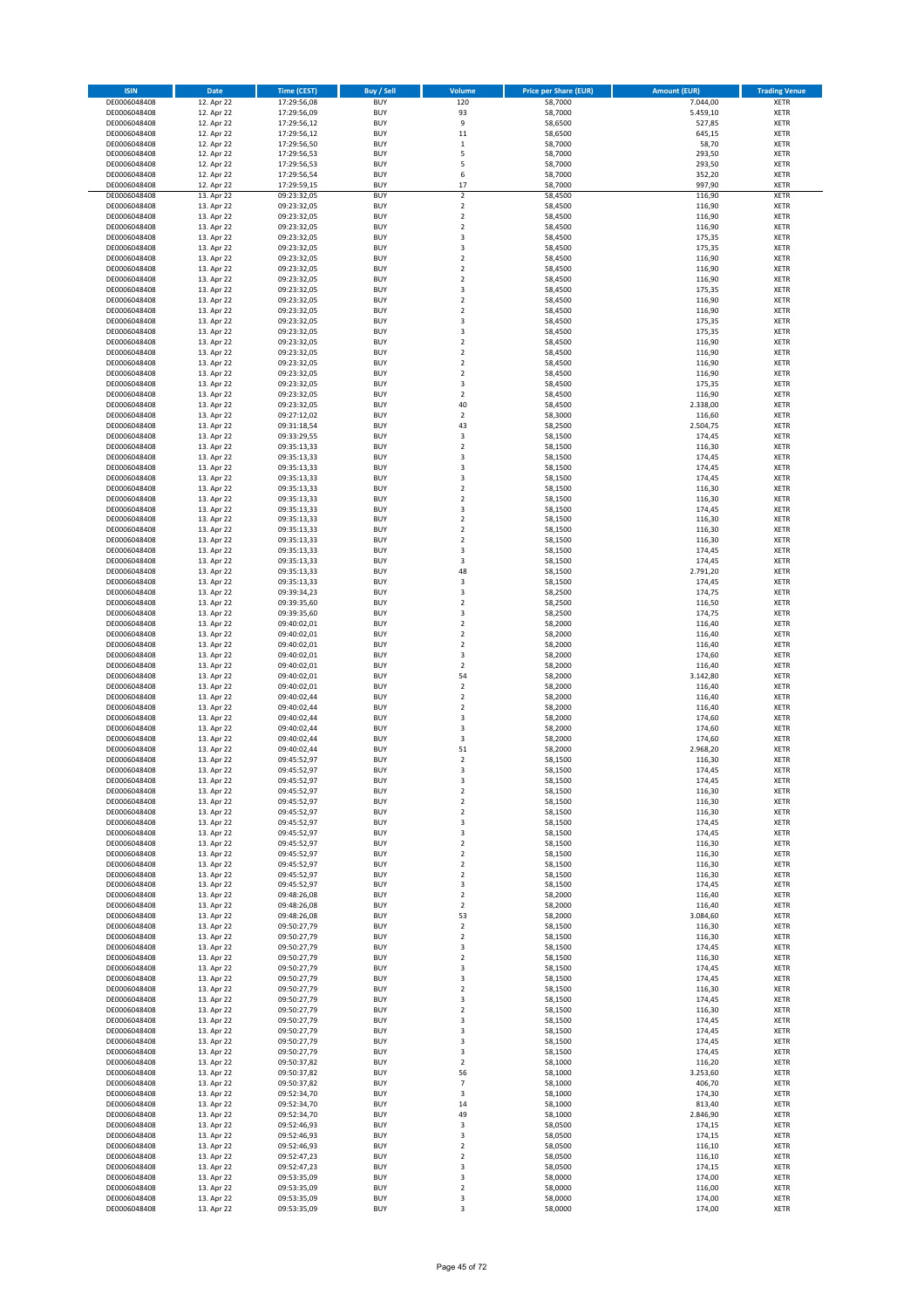| <b>ISIN</b>                  | Date                     | Time (CEST)                | <b>Buy / Sell</b>        | Volume                                    | <b>Price per Share (EUR)</b> | <b>Amount (EUR)</b> | <b>Trading Venue</b>       |
|------------------------------|--------------------------|----------------------------|--------------------------|-------------------------------------------|------------------------------|---------------------|----------------------------|
| DE0006048408                 | 12. Apr 22               | 17:29:56,08                | <b>BUY</b>               | 120                                       | 58,7000                      | 7.044,00            | <b>XETR</b>                |
| DE0006048408                 | 12. Apr 22               | 17:29:56,09                | <b>BUY</b>               | 93<br>9                                   | 58,7000                      | 5.459,10            | <b>XETR</b>                |
| DE0006048408<br>DE0006048408 | 12. Apr 22<br>12. Apr 22 | 17:29:56,12<br>17:29:56,12 | <b>BUY</b><br><b>BUY</b> | $11\,$                                    | 58,6500<br>58,6500           | 527,85<br>645,15    | <b>XETR</b><br><b>XETR</b> |
| DE0006048408                 | 12. Apr 22               | 17:29:56,50                | <b>BUY</b>               | $\mathbf 1$                               | 58,7000                      | 58,70               | <b>XETR</b>                |
| DE0006048408                 | 12. Apr 22               | 17:29:56,53                | <b>BUY</b>               | 5                                         | 58,7000                      | 293,50              | <b>XETR</b>                |
| DE0006048408                 | 12. Apr 22               | 17:29:56,53                | <b>BUY</b>               | 5                                         | 58,7000                      | 293,50              | <b>XETR</b>                |
| DE0006048408                 | 12. Apr 22               | 17:29:56,54                | <b>BUY</b>               | 6                                         | 58,7000                      | 352,20              | <b>XETR</b>                |
| DE0006048408<br>DE0006048408 | 12. Apr 22<br>13. Apr 22 | 17:29:59,15<br>09:23:32,05 | <b>BUY</b><br><b>BUY</b> | 17<br>$\overline{2}$                      | 58,7000<br>58,4500           | 997,90<br>116,90    | <b>XETR</b><br><b>XETR</b> |
| DE0006048408                 | 13. Apr 22               | 09:23:32,05                | <b>BUY</b>               | $\mathbf 2$                               | 58,4500                      | 116,90              | <b>XETR</b>                |
| DE0006048408                 | 13. Apr 22               | 09:23:32,05                | <b>BUY</b>               | $\overline{2}$                            | 58,4500                      | 116,90              | <b>XETR</b>                |
| DE0006048408                 | 13. Apr 22               | 09:23:32,05                | <b>BUY</b>               | $\mathbf 2$                               | 58,4500                      | 116,90              | <b>XETR</b>                |
| DE0006048408                 | 13. Apr 22               | 09:23:32,05                | <b>BUY</b>               | 3                                         | 58,4500                      | 175,35              | <b>XETR</b>                |
| DE0006048408                 | 13. Apr 22               | 09:23:32,05                | <b>BUY</b>               | 3                                         | 58,4500                      | 175,35              | <b>XETR</b>                |
| DE0006048408<br>DE0006048408 | 13. Apr 22<br>13. Apr 22 | 09:23:32,05<br>09:23:32,05 | <b>BUY</b><br><b>BUY</b> | $\mathbf 2$<br>$\mathbf 2$                | 58,4500<br>58,4500           | 116,90<br>116,90    | <b>XETR</b><br><b>XETR</b> |
| DE0006048408                 | 13. Apr 22               | 09:23:32,05                | <b>BUY</b>               | $\mathbf 2$                               | 58,4500                      | 116,90              | <b>XETR</b>                |
| DE0006048408                 | 13. Apr 22               | 09:23:32,05                | <b>BUY</b>               | 3                                         | 58,4500                      | 175,35              | <b>XETR</b>                |
| DE0006048408                 | 13. Apr 22               | 09:23:32,05                | <b>BUY</b>               | $\mathbf 2$                               | 58,4500                      | 116,90              | <b>XETR</b>                |
| DE0006048408                 | 13. Apr 22               | 09:23:32,05                | <b>BUY</b>               | $\mathbf 2$                               | 58,4500                      | 116,90              | <b>XETR</b>                |
| DE0006048408                 | 13. Apr 22               | 09:23:32,05                | <b>BUY</b>               | 3                                         | 58,4500                      | 175,35              | <b>XETR</b>                |
| DE0006048408                 | 13. Apr 22<br>13. Apr 22 | 09:23:32,05                | <b>BUY</b><br><b>BUY</b> | 3<br>$\mathbf 2$                          | 58,4500                      | 175,35<br>116,90    | <b>XETR</b><br><b>XETR</b> |
| DE0006048408<br>DE0006048408 | 13. Apr 22               | 09:23:32,05<br>09:23:32,05 | <b>BUY</b>               | $\mathbf 2$                               | 58,4500<br>58,4500           | 116,90              | <b>XETR</b>                |
| DE0006048408                 | 13. Apr 22               | 09:23:32,05                | <b>BUY</b>               | $\overline{\mathbf{2}}$                   | 58,4500                      | 116,90              | <b>XETR</b>                |
| DE0006048408                 | 13. Apr 22               | 09:23:32,05                | <b>BUY</b>               | $\mathbf 2$                               | 58,4500                      | 116,90              | <b>XETR</b>                |
| DE0006048408                 | 13. Apr 22               | 09:23:32,05                | <b>BUY</b>               | 3                                         | 58,4500                      | 175,35              | <b>XETR</b>                |
| DE0006048408                 | 13. Apr 22               | 09:23:32,05                | <b>BUY</b>               | $\mathbf 2$                               | 58,4500                      | 116,90              | <b>XETR</b>                |
| DE0006048408                 | 13. Apr 22               | 09:23:32,05                | <b>BUY</b>               | 40                                        | 58,4500                      | 2.338,00            | <b>XETR</b>                |
| DE0006048408<br>DE0006048408 | 13. Apr 22<br>13. Apr 22 | 09:27:12,02<br>09:31:18,54 | <b>BUY</b><br><b>BUY</b> | $\mathbf 2$<br>43                         | 58,3000<br>58,2500           | 116,60<br>2.504,75  | <b>XETR</b><br><b>XETR</b> |
| DE0006048408                 | 13. Apr 22               | 09:33:29,55                | <b>BUY</b>               | 3                                         | 58,1500                      | 174,45              | <b>XETR</b>                |
| DE0006048408                 | 13. Apr 22               | 09:35:13,33                | <b>BUY</b>               | $\mathbf 2$                               | 58,1500                      | 116,30              | <b>XETR</b>                |
| DE0006048408                 | 13. Apr 22               | 09:35:13,33                | <b>BUY</b>               | 3                                         | 58,1500                      | 174,45              | <b>XETR</b>                |
| DE0006048408                 | 13. Apr 22               | 09:35:13,33                | <b>BUY</b>               | 3                                         | 58,1500                      | 174,45              | <b>XETR</b>                |
| DE0006048408<br>DE0006048408 | 13. Apr 22               | 09:35:13,33                | <b>BUY</b>               | 3                                         | 58,1500                      | 174,45              | <b>XETR</b>                |
| DE0006048408                 | 13. Apr 22<br>13. Apr 22 | 09:35:13,33<br>09:35:13,33 | <b>BUY</b><br><b>BUY</b> | $\mathbf 2$<br>$\overline{\mathbf{c}}$    | 58,1500<br>58,1500           | 116,30<br>116,30    | <b>XETR</b><br><b>XETR</b> |
| DE0006048408                 | 13. Apr 22               | 09:35:13,33                | <b>BUY</b>               | 3                                         | 58,1500                      | 174,45              | <b>XETR</b>                |
| DE0006048408                 | 13. Apr 22               | 09:35:13,33                | <b>BUY</b>               | $\overline{\mathbf{c}}$                   | 58,1500                      | 116,30              | <b>XETR</b>                |
| DE0006048408                 | 13. Apr 22               | 09:35:13,33                | <b>BUY</b>               | $\mathbf 2$                               | 58,1500                      | 116,30              | <b>XETR</b>                |
| DE0006048408                 | 13. Apr 22               | 09:35:13,33                | <b>BUY</b>               | $\overline{\mathbf{c}}$                   | 58,1500                      | 116,30              | <b>XETR</b>                |
| DE0006048408<br>DE0006048408 | 13. Apr 22               | 09:35:13,33                | <b>BUY</b><br><b>BUY</b> | 3<br>3                                    | 58,1500                      | 174,45              | <b>XETR</b><br><b>XETR</b> |
| DE0006048408                 | 13. Apr 22<br>13. Apr 22 | 09:35:13,33<br>09:35:13,33 | <b>BUY</b>               | 48                                        | 58,1500<br>58,1500           | 174,45<br>2.791,20  | <b>XETR</b>                |
| DE0006048408                 | 13. Apr 22               | 09:35:13,33                | <b>BUY</b>               | 3                                         | 58,1500                      | 174,45              | <b>XETR</b>                |
| DE0006048408                 | 13. Apr 22               | 09:39:34,23                | <b>BUY</b>               | 3                                         | 58,2500                      | 174,75              | <b>XETR</b>                |
| DE0006048408                 | 13. Apr 22               | 09:39:35,60                | <b>BUY</b>               | $\overline{\mathbf{c}}$                   | 58,2500                      | 116,50              | <b>XETR</b>                |
| DE0006048408                 | 13. Apr 22               | 09:39:35,60                | <b>BUY</b>               | 3                                         | 58,2500                      | 174,75              | <b>XETR</b>                |
| DE0006048408                 | 13. Apr 22               | 09:40:02,01                | <b>BUY</b><br><b>BUY</b> | $\overline{\mathbf{c}}$<br>$\overline{2}$ | 58,2000                      | 116,40              | <b>XETR</b><br><b>XETR</b> |
| DE0006048408<br>DE0006048408 | 13. Apr 22<br>13. Apr 22 | 09:40:02,01<br>09:40:02,01 | <b>BUY</b>               | $\overline{\mathbf{c}}$                   | 58,2000<br>58,2000           | 116,40<br>116,40    | <b>XETR</b>                |
| DE0006048408                 | 13. Apr 22               | 09:40:02,01                | <b>BUY</b>               | 3                                         | 58,2000                      | 174,60              | <b>XETR</b>                |
| DE0006048408                 | 13. Apr 22               | 09:40:02,01                | <b>BUY</b>               | $\mathbf 2$                               | 58,2000                      | 116,40              | <b>XETR</b>                |
| DE0006048408                 | 13. Apr 22               | 09:40:02,01                | <b>BUY</b>               | 54                                        | 58,2000                      | 3.142,80            | <b>XETR</b>                |
| DE0006048408                 | 13. Apr 22               | 09:40:02,01                | <b>BUY</b>               | $\mathbf 2$                               | 58,2000                      | 116,40              | <b>XETR</b>                |
| DE0006048408                 | 13. Apr 22<br>13. Apr 22 | 09:40:02,44<br>09:40:02,44 | <b>BUY</b><br><b>BUY</b> | $\mathbf 2$<br>$\overline{\mathbf{2}}$    | 58,2000                      | 116,40              | <b>XETR</b><br><b>XETR</b> |
| DE0006048408<br>DE0006048408 | 13. Apr 22               | 09:40:02,44                | <b>BUY</b>               | 3                                         | 58,2000<br>58,2000           | 116,40<br>174,60    | <b>XETR</b>                |
| DE0006048408                 | 13. Apr 22               | 09:40:02,44                | <b>BUY</b>               | 3                                         | 58,2000                      | 174,60              | <b>XETR</b>                |
| DE0006048408                 | 13. Apr 22               | 09:40:02,44                | <b>BUY</b>               | 3                                         | 58,2000                      | 174,60              | <b>XETR</b>                |
| DE0006048408                 | 13. Apr 22               | 09:40:02,44                | <b>BUY</b>               | 51                                        | 58,2000                      | 2.968,20            | <b>XETR</b>                |
| DE0006048408                 | 13. Apr 22               | 09:45:52,97                | <b>BUY</b>               | $\mathbf 2$                               | 58,1500                      | 116,30              | <b>XETR</b>                |
| DE0006048408<br>DE0006048408 | 13. Apr 22<br>13. Apr 22 | 09:45:52,97<br>09:45:52,97 | <b>BUY</b><br><b>BUY</b> | 3<br>3                                    | 58,1500<br>58,1500           | 174,45<br>174,45    | <b>XETR</b><br><b>XETR</b> |
| DE0006048408                 | 13. Apr 22               | 09:45:52,97                | <b>BUY</b>               | 2                                         | 58,1500                      | 116,30              | <b>XETR</b>                |
| DE0006048408                 | 13. Apr 22               | 09:45:52,97                | <b>BUY</b>               | $\mathbf 2$                               | 58,1500                      | 116,30              | <b>XETR</b>                |
| DE0006048408                 | 13. Apr 22               | 09:45:52,97                | <b>BUY</b>               | 2                                         | 58,1500                      | 116,30              | <b>XETR</b>                |
| DE0006048408                 | 13. Apr 22               | 09:45:52,97                | <b>BUY</b>               | 3                                         | 58,1500                      | 174,45              | <b>XETR</b>                |
| DE0006048408                 | 13. Apr 22               | 09:45:52,97                | <b>BUY</b>               | 3                                         | 58,1500                      | 174,45              | <b>XETR</b>                |
| DE0006048408<br>DE0006048408 | 13. Apr 22<br>13. Apr 22 | 09:45:52,97<br>09:45:52,97 | <b>BUY</b><br><b>BUY</b> | $\mathbf 2$<br>2                          | 58,1500<br>58,1500           | 116,30<br>116,30    | <b>XETR</b><br><b>XETR</b> |
| DE0006048408                 | 13. Apr 22               | 09:45:52,97                | <b>BUY</b>               | 2                                         | 58,1500                      | 116,30              | <b>XETR</b>                |
| DE0006048408                 | 13. Apr 22               | 09:45:52,97                | <b>BUY</b>               | 2                                         | 58,1500                      | 116,30              | <b>XETR</b>                |
| DE0006048408                 | 13. Apr 22               | 09:45:52,97                | <b>BUY</b>               | 3                                         | 58,1500                      | 174,45              | <b>XETR</b>                |
| DE0006048408                 | 13. Apr 22               | 09:48:26,08                | <b>BUY</b>               | $\mathbf 2$                               | 58,2000                      | 116,40              | <b>XETR</b>                |
| DE0006048408<br>DE0006048408 | 13. Apr 22<br>13. Apr 22 | 09:48:26,08<br>09:48:26,08 | <b>BUY</b><br><b>BUY</b> | $\mathbf 2$<br>53                         | 58,2000<br>58,2000           | 116,40<br>3.084,60  | <b>XETR</b><br><b>XETR</b> |
| DE0006048408                 | 13. Apr 22               | 09:50:27,79                | <b>BUY</b>               | $\mathbf 2$                               | 58,1500                      | 116,30              | <b>XETR</b>                |
| DE0006048408                 | 13. Apr 22               | 09:50:27,79                | <b>BUY</b>               | $\mathbf 2$                               | 58,1500                      | 116,30              | <b>XETR</b>                |
| DE0006048408                 | 13. Apr 22               | 09:50:27,79                | <b>BUY</b>               | 3                                         | 58,1500                      | 174,45              | <b>XETR</b>                |
| DE0006048408                 | 13. Apr 22               | 09:50:27,79                | <b>BUY</b>               | $\overline{\mathbf{2}}$                   | 58,1500                      | 116,30              | <b>XETR</b>                |
| DE0006048408                 | 13. Apr 22               | 09:50:27,79                | <b>BUY</b>               | 3                                         | 58,1500                      | 174,45              | <b>XETR</b>                |
| DE0006048408<br>DE0006048408 | 13. Apr 22<br>13. Apr 22 | 09:50:27,79<br>09:50:27,79 | <b>BUY</b><br><b>BUY</b> | 3<br>$\mathbf 2$                          | 58,1500<br>58,1500           | 174,45<br>116,30    | <b>XETR</b><br><b>XETR</b> |
| DE0006048408                 | 13. Apr 22               | 09:50:27,79                | <b>BUY</b>               | 3                                         | 58,1500                      | 174,45              | <b>XETR</b>                |
| DE0006048408                 | 13. Apr 22               | 09:50:27,79                | <b>BUY</b>               | 2                                         | 58,1500                      | 116,30              | <b>XETR</b>                |
| DE0006048408                 | 13. Apr 22               | 09:50:27,79                | <b>BUY</b>               | 3                                         | 58,1500                      | 174,45              | <b>XETR</b>                |
| DE0006048408                 | 13. Apr 22               | 09:50:27,79                | <b>BUY</b>               | 3                                         | 58,1500                      | 174,45              | <b>XETR</b>                |
| DE0006048408                 | 13. Apr 22               | 09:50:27,79                | <b>BUY</b>               | 3                                         | 58,1500                      | 174,45              | <b>XETR</b>                |
| DE0006048408<br>DE0006048408 | 13. Apr 22<br>13. Apr 22 | 09:50:27,79<br>09:50:37,82 | <b>BUY</b><br><b>BUY</b> | 3<br>$\overline{2}$                       | 58,1500<br>58,1000           | 174,45<br>116,20    | <b>XETR</b><br><b>XETR</b> |
| DE0006048408                 | 13. Apr 22               | 09:50:37,82                | <b>BUY</b>               | 56                                        | 58,1000                      | 3.253,60            | <b>XETR</b>                |
| DE0006048408                 | 13. Apr 22               | 09:50:37,82                | <b>BUY</b>               | 7                                         | 58,1000                      | 406,70              | <b>XETR</b>                |
| DE0006048408                 | 13. Apr 22               | 09:52:34,70                | <b>BUY</b>               | 3                                         | 58,1000                      | 174,30              | <b>XETR</b>                |
| DE0006048408                 | 13. Apr 22               | 09:52:34,70                | <b>BUY</b>               | 14                                        | 58,1000                      | 813,40              | <b>XETR</b>                |
| DE0006048408                 | 13. Apr 22               | 09:52:34,70                | <b>BUY</b>               | 49                                        | 58,1000                      | 2.846,90            | <b>XETR</b>                |
| DE0006048408<br>DE0006048408 | 13. Apr 22<br>13. Apr 22 | 09:52:46,93<br>09:52:46,93 | <b>BUY</b><br><b>BUY</b> | 3<br>3                                    | 58,0500<br>58,0500           | 174,15<br>174,15    | <b>XETR</b><br><b>XETR</b> |
| DE0006048408                 | 13. Apr 22               | 09:52:46,93                | <b>BUY</b>               | 2                                         | 58,0500                      | 116,10              | <b>XETR</b>                |
| DE0006048408                 | 13. Apr 22               | 09:52:47,23                | <b>BUY</b>               | $\mathbf 2$                               | 58,0500                      | 116,10              | <b>XETR</b>                |
| DE0006048408                 | 13. Apr 22               | 09:52:47,23                | <b>BUY</b>               | 3                                         | 58,0500                      | 174,15              | <b>XETR</b>                |
| DE0006048408                 | 13. Apr 22               | 09:53:35,09                | <b>BUY</b>               | 3                                         | 58,0000                      | 174,00              | <b>XETR</b>                |
| DE0006048408                 | 13. Apr 22               | 09:53:35,09                | <b>BUY</b>               | 2                                         | 58,0000                      | 116,00              | <b>XETR</b>                |
| DE0006048408<br>DE0006048408 | 13. Apr 22<br>13. Apr 22 | 09:53:35,09<br>09:53:35,09 | <b>BUY</b><br><b>BUY</b> | 3<br>3                                    | 58,0000<br>58,0000           | 174,00<br>174,00    | <b>XETR</b><br><b>XETR</b> |
|                              |                          |                            |                          |                                           |                              |                     |                            |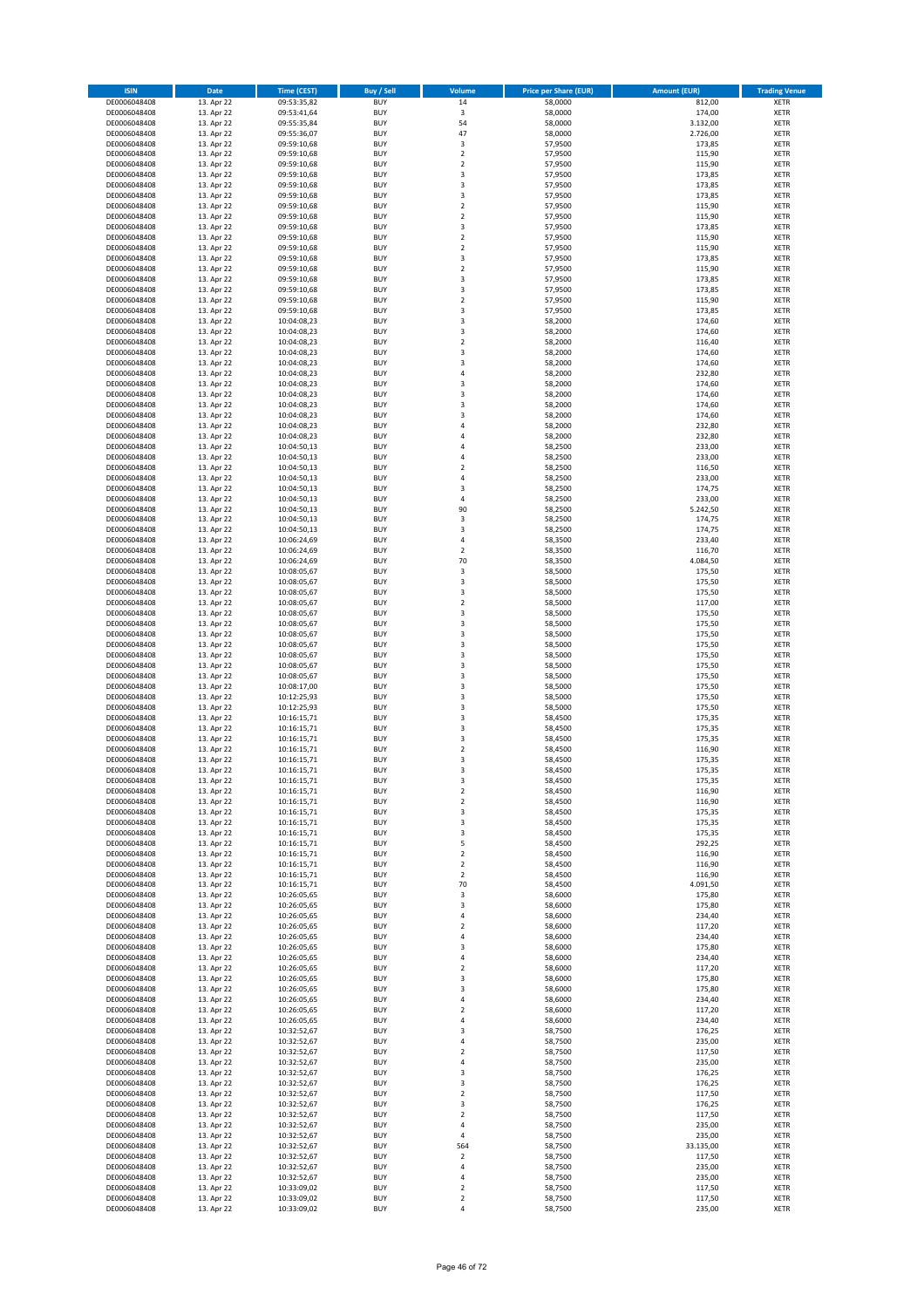| <b>ISIN</b>                  | Date                     | <b>Time (CEST)</b>         | <b>Buy / Sell</b>        | Volume                       | <b>Price per Share (EUR)</b> | <b>Amount (EUR)</b>  | <b>Trading Venue</b>       |
|------------------------------|--------------------------|----------------------------|--------------------------|------------------------------|------------------------------|----------------------|----------------------------|
| DE0006048408                 | 13. Apr 22               | 09:53:35,82                | <b>BUY</b>               | 14                           | 58,0000                      | 812,00               | <b>XETR</b>                |
| DE0006048408                 | 13. Apr 22               | 09:53:41,64                | <b>BUY</b>               | 3                            | 58,0000                      | 174,00               | <b>XETR</b>                |
| DE0006048408<br>DE0006048408 | 13. Apr 22<br>13. Apr 22 | 09:55:35,84<br>09:55:36,07 | <b>BUY</b><br><b>BUY</b> | 54<br>47                     | 58,0000<br>58,0000           | 3.132,00<br>2.726,00 | <b>XETR</b><br><b>XETR</b> |
| DE0006048408                 | 13. Apr 22               | 09:59:10,68                | <b>BUY</b>               | 3                            | 57,9500                      | 173,85               | <b>XETR</b>                |
| DE0006048408                 | 13. Apr 22               | 09:59:10,68                | <b>BUY</b>               | $\overline{2}$               | 57,9500                      | 115,90               | <b>XETR</b>                |
| DE0006048408                 | 13. Apr 22               | 09:59:10,68                | <b>BUY</b>               | $\overline{2}$               | 57,9500                      | 115,90               | <b>XETR</b>                |
| DE0006048408                 | 13. Apr 22               | 09:59:10,68                | <b>BUY</b>               | 3                            | 57,9500                      | 173,85               | <b>XETR</b>                |
| DE0006048408<br>DE0006048408 | 13. Apr 22<br>13. Apr 22 | 09:59:10,68                | <b>BUY</b><br><b>BUY</b> | 3<br>3                       | 57,9500<br>57,9500           | 173,85<br>173,85     | XETR<br><b>XETR</b>        |
| DE0006048408                 | 13. Apr 22               | 09:59:10,68<br>09:59:10,68 | <b>BUY</b>               | $\overline{2}$               | 57,9500                      | 115,90               | XETR                       |
| DE0006048408                 | 13. Apr 22               | 09:59:10,68                | <b>BUY</b>               | $\overline{2}$               | 57,9500                      | 115,90               | <b>XETR</b>                |
| DE0006048408                 | 13. Apr 22               | 09:59:10,68                | <b>BUY</b>               | 3                            | 57,9500                      | 173,85               | XETR                       |
| DE0006048408                 | 13. Apr 22               | 09:59:10,68                | <b>BUY</b>               | $\overline{2}$               | 57,9500                      | 115,90               | <b>XETR</b>                |
| DE0006048408                 | 13. Apr 22               | 09:59:10,68                | <b>BUY</b>               | $\mathbf 2$                  | 57,9500                      | 115,90               | <b>XETR</b>                |
| DE0006048408<br>DE0006048408 | 13. Apr 22<br>13. Apr 22 | 09:59:10,68<br>09:59:10,68 | <b>BUY</b><br><b>BUY</b> | 3<br>$\mathbf 2$             | 57,9500<br>57,9500           | 173,85<br>115,90     | <b>XETR</b><br>XETR        |
| DE0006048408                 | 13. Apr 22               | 09:59:10,68                | <b>BUY</b>               | 3                            | 57,9500                      | 173,85               | <b>XETR</b>                |
| DE0006048408                 | 13. Apr 22               | 09:59:10,68                | <b>BUY</b>               | $\overline{\mathbf{3}}$      | 57,9500                      | 173,85               | XETR                       |
| DE0006048408                 | 13. Apr 22               | 09:59:10,68                | <b>BUY</b>               | $\overline{2}$               | 57,9500                      | 115,90               | <b>XETR</b>                |
| DE0006048408                 | 13. Apr 22               | 09:59:10,68                | <b>BUY</b>               | 3                            | 57,9500                      | 173,85               | <b>XETR</b>                |
| DE0006048408<br>DE0006048408 | 13. Apr 22<br>13. Apr 22 | 10:04:08,23<br>10:04:08,23 | <b>BUY</b><br><b>BUY</b> | 3<br>3                       | 58,2000<br>58,2000           | 174,60<br>174,60     | <b>XETR</b><br><b>XETR</b> |
| DE0006048408                 | 13. Apr 22               | 10:04:08,23                | <b>BUY</b>               | $\mathbf 2$                  | 58,2000                      | 116,40               | <b>XETR</b>                |
| DE0006048408                 | 13. Apr 22               | 10:04:08,23                | <b>BUY</b>               | 3                            | 58,2000                      | 174,60               | <b>XETR</b>                |
| DE0006048408                 | 13. Apr 22               | 10:04:08,23                | <b>BUY</b>               | 3                            | 58,2000                      | 174,60               | <b>XETR</b>                |
| DE0006048408                 | 13. Apr 22               | 10:04:08,23                | <b>BUY</b>               | $\overline{4}$               | 58,2000                      | 232,80               | <b>XETR</b>                |
| DE0006048408<br>DE0006048408 | 13. Apr 22<br>13. Apr 22 | 10:04:08,23                | <b>BUY</b><br><b>BUY</b> | 3<br>3                       | 58,2000<br>58,2000           | 174,60<br>174,60     | <b>XETR</b><br><b>XETR</b> |
| DE0006048408                 | 13. Apr 22               | 10:04:08,23<br>10:04:08,23 | <b>BUY</b>               | 3                            | 58,2000                      | 174,60               | <b>XETR</b>                |
| DE0006048408                 | 13. Apr 22               | 10:04:08,23                | <b>BUY</b>               | 3                            | 58,2000                      | 174,60               | <b>XETR</b>                |
| DE0006048408                 | 13. Apr 22               | 10:04:08,23                | <b>BUY</b>               | 4                            | 58,2000                      | 232,80               | <b>XETR</b>                |
| DE0006048408                 | 13. Apr 22               | 10:04:08,23                | <b>BUY</b>               | $\overline{4}$               | 58,2000                      | 232,80               | <b>XETR</b>                |
| DE0006048408<br>DE0006048408 | 13. Apr 22<br>13. Apr 22 | 10:04:50,13                | <b>BUY</b><br><b>BUY</b> | $\sqrt{4}$<br>$\overline{a}$ | 58,2500<br>58,2500           | 233,00<br>233,00     | XETR<br><b>XETR</b>        |
| DE0006048408                 | 13. Apr 22               | 10:04:50,13<br>10:04:50,13 | <b>BUY</b>               | $\overline{2}$               | 58,2500                      | 116,50               | XETR                       |
| DE0006048408                 | 13. Apr 22               | 10:04:50,13                | <b>BUY</b>               | $\sqrt{4}$                   | 58,2500                      | 233,00               | <b>XETR</b>                |
| DE0006048408                 | 13. Apr 22               | 10:04:50,13                | <b>BUY</b>               | 3                            | 58,2500                      | 174,75               | XETR                       |
| DE0006048408                 | 13. Apr 22               | 10:04:50,13                | <b>BUY</b>               | $\sqrt{4}$                   | 58,2500                      | 233,00               | <b>XETR</b>                |
| DE0006048408                 | 13. Apr 22               | 10:04:50,13                | <b>BUY</b>               | 90                           | 58,2500                      | 5.242,50             | <b>XETR</b>                |
| DE0006048408<br>DE0006048408 | 13. Apr 22<br>13. Apr 22 | 10:04:50,13<br>10:04:50,13 | <b>BUY</b><br><b>BUY</b> | 3<br>3                       | 58,2500<br>58,2500           | 174,75<br>174,75     | <b>XETR</b><br>XETR        |
| DE0006048408                 | 13. Apr 22               | 10:06:24,69                | <b>BUY</b>               | $\sqrt{4}$                   | 58,3500                      | 233,40               | <b>XETR</b>                |
| DE0006048408                 | 13. Apr 22               | 10:06:24,69                | <b>BUY</b>               | $\overline{2}$               | 58,3500                      | 116,70               | <b>XETR</b>                |
| DE0006048408                 | 13. Apr 22               | 10:06:24,69                | <b>BUY</b>               | 70                           | 58,3500                      | 4.084,50             | <b>XETR</b>                |
| DE0006048408                 | 13. Apr 22               | 10:08:05,67                | <b>BUY</b>               | $\mathsf 3$                  | 58,5000                      | 175,50               | <b>XETR</b>                |
| DE0006048408<br>DE0006048408 | 13. Apr 22<br>13. Apr 22 | 10:08:05,67                | <b>BUY</b><br><b>BUY</b> | 3<br>3                       | 58,5000<br>58,5000           | 175,50               | <b>XETR</b><br><b>XETR</b> |
| DE0006048408                 | 13. Apr 22               | 10:08:05,67<br>10:08:05,67 | <b>BUY</b>               | $\mathbf 2$                  | 58,5000                      | 175,50<br>117,00     | <b>XETR</b>                |
| DE0006048408                 | 13. Apr 22               | 10:08:05,67                | <b>BUY</b>               | 3                            | 58,5000                      | 175,50               | <b>XETR</b>                |
| DE0006048408                 | 13. Apr 22               | 10:08:05,67                | <b>BUY</b>               | 3                            | 58,5000                      | 175,50               | <b>XETR</b>                |
| DE0006048408                 | 13. Apr 22               | 10:08:05,67                | <b>BUY</b>               | 3                            | 58,5000                      | 175,50               | <b>XETR</b>                |
| DE0006048408                 | 13. Apr 22               | 10:08:05,67                | <b>BUY</b>               | 3                            | 58,5000                      | 175,50               | <b>XETR</b>                |
| DE0006048408<br>DE0006048408 | 13. Apr 22<br>13. Apr 22 | 10:08:05,67<br>10:08:05,67 | <b>BUY</b><br><b>BUY</b> | 3<br>3                       | 58,5000<br>58,5000           | 175,50<br>175,50     | <b>XETR</b><br><b>XETR</b> |
| DE0006048408                 | 13. Apr 22               | 10:08:05,67                | <b>BUY</b>               | 3                            | 58,5000                      | 175,50               | <b>XETR</b>                |
| DE0006048408                 | 13. Apr 22               | 10:08:17,00                | <b>BUY</b>               | 3                            | 58,5000                      | 175,50               | <b>XETR</b>                |
| DE0006048408                 | 13. Apr 22               | 10:12:25,93                | <b>BUY</b>               | 3                            | 58,5000                      | 175,50               | <b>XETR</b>                |
| DE0006048408                 | 13. Apr 22               | 10:12:25,93                | <b>BUY</b>               | 3                            | 58,5000                      | 175,50               | <b>XETR</b>                |
| DE0006048408<br>DE0006048408 | 13. Apr 22<br>13. Apr 22 | 10:16:15,71<br>10:16:15,71 | <b>BUY</b><br><b>BUY</b> | 3<br>$\overline{\mathbf{3}}$ | 58,4500<br>58,4500           | 175,35<br>175,35     | <b>XETR</b><br>XETR        |
| DE0006048408                 | 13. Apr 22               | 10:16:15,71                | <b>BUY</b>               | 3                            | 58,4500                      | 175,35               | <b>XETR</b>                |
| DE0006048408                 | 13. Apr 22               | 10:16:15,71                | <b>BUY</b>               | $\boldsymbol{2}$             | 58,4500                      | 116,90               | <b>XETR</b>                |
| DE0006048408                 | 13. Apr 22               | 10:16:15,71                | <b>BUY</b>               | 3                            | 58,4500                      | 175,35               | <b>XETR</b>                |
| DE0006048408                 | 13. Apr 22               | 10:16:15,71                | <b>BUY</b>               | 3                            | 58,4500                      | 175,35               | <b>XETR</b>                |
| DE0006048408<br>DE0006048408 | 13. Apr 22<br>13. Apr 22 | 10:16:15,71<br>10:16:15,71 | <b>BUY</b><br><b>BUY</b> | 3<br>$\mathbf 2$             | 58,4500<br>58,4500           | 175,35<br>116,90     | XETR<br>XETR               |
| DE0006048408                 | 13. Apr 22               | 10:16:15,71                | <b>BUY</b>               | $\mathbf 2$                  | 58,4500                      | 116,90               | XETR                       |
| DE0006048408                 | 13. Apr 22               | 10:16:15,71                | <b>BUY</b>               | 3                            | 58,4500                      | 175,35               | <b>XETR</b>                |
| DE0006048408                 | 13. Apr 22               | 10:16:15,71                | <b>BUY</b>               | 3                            | 58,4500                      | 175,35               | <b>XETR</b>                |
| DE0006048408                 | 13. Apr 22               | 10:16:15,71                | <b>BUY</b>               | 3                            | 58,4500                      | 175,35               | XETR                       |
| DE0006048408<br>DE0006048408 | 13. Apr 22<br>13. Apr 22 | 10:16:15,71<br>10:16:15,71 | <b>BUY</b><br><b>BUY</b> | 5<br>$\boldsymbol{2}$        | 58,4500<br>58,4500           | 292,25<br>116,90     | <b>XETR</b><br>XETR        |
| DE0006048408                 | 13. Apr 22               | 10:16:15,71                | <b>BUY</b>               | $\overline{2}$               | 58,4500                      | 116,90               | <b>XETR</b>                |
| DE0006048408                 | 13. Apr 22               | 10:16:15,71                | <b>BUY</b>               | $\mathbf 2$                  | 58,4500                      | 116,90               | XETR                       |
| DE0006048408                 | 13. Apr 22               | 10:16:15,71                | <b>BUY</b>               | 70                           | 58,4500                      | 4.091,50             | <b>XETR</b>                |
| DE0006048408                 | 13. Apr 22               | 10:26:05,65                | <b>BUY</b>               | 3                            | 58,6000                      | 175,80               | <b>XETR</b>                |
| DE0006048408<br>DE0006048408 | 13. Apr 22<br>13. Apr 22 | 10:26:05,65<br>10:26:05,65 | <b>BUY</b><br><b>BUY</b> | 3<br>$\sqrt{4}$              | 58,6000<br>58,6000           | 175,80<br>234,40     | <b>XETR</b><br>XETR        |
| DE0006048408                 | 13. Apr 22               | 10:26:05,65                | <b>BUY</b>               | $\overline{\mathbf{c}}$      | 58,6000                      | 117,20               | <b>XETR</b>                |
| DE0006048408                 | 13. Apr 22               | 10:26:05,65                | <b>BUY</b>               | 4                            | 58,6000                      | 234,40               | <b>XETR</b>                |
| DE0006048408                 | 13. Apr 22               | 10:26:05,65                | <b>BUY</b>               | 3                            | 58,6000                      | 175,80               | <b>XETR</b>                |
| DE0006048408                 | 13. Apr 22               | 10:26:05,65                | <b>BUY</b>               | 4                            | 58,6000                      | 234,40               | <b>XETR</b>                |
| DE0006048408<br>DE0006048408 | 13. Apr 22<br>13. Apr 22 | 10:26:05,65<br>10:26:05,65 | <b>BUY</b><br><b>BUY</b> | $\overline{2}$<br>3          | 58,6000<br>58,6000           | 117,20<br>175,80     | <b>XETR</b><br><b>XETR</b> |
| DE0006048408                 | 13. Apr 22               | 10:26:05,65                | <b>BUY</b>               | 3                            | 58,6000                      | 175,80               | <b>XETR</b>                |
| DE0006048408                 | 13. Apr 22               | 10:26:05,65                | <b>BUY</b>               | 4                            | 58,6000                      | 234,40               | <b>XETR</b>                |
| DE0006048408                 | 13. Apr 22               | 10:26:05,65                | <b>BUY</b>               | $\overline{\mathbf{c}}$      | 58,6000                      | 117,20               | XETR                       |
| DE0006048408                 | 13. Apr 22               | 10:26:05,65                | <b>BUY</b>               | 4                            | 58,6000                      | 234,40               | XETR                       |
| DE0006048408<br>DE0006048408 | 13. Apr 22<br>13. Apr 22 | 10:32:52,67<br>10:32:52,67 | <b>BUY</b><br><b>BUY</b> | 3<br>$\overline{4}$          | 58,7500<br>58,7500           | 176,25<br>235,00     | <b>XETR</b><br><b>XETR</b> |
| DE0006048408                 | 13. Apr 22               | 10:32:52,67                | <b>BUY</b>               | $\boldsymbol{2}$             | 58,7500                      | 117,50               | XETR                       |
| DE0006048408                 | 13. Apr 22               | 10:32:52,67                | <b>BUY</b>               | 4                            | 58,7500                      | 235,00               | XETR                       |
| DE0006048408                 | 13. Apr 22               | 10:32:52,67                | <b>BUY</b>               | 3                            | 58,7500                      | 176,25               | <b>XETR</b>                |
| DE0006048408                 | 13. Apr 22               | 10:32:52,67                | <b>BUY</b>               | 3                            | 58,7500                      | 176,25               | <b>XETR</b>                |
| DE0006048408<br>DE0006048408 | 13. Apr 22<br>13. Apr 22 | 10:32:52,67<br>10:32:52,67 | <b>BUY</b><br><b>BUY</b> | $\overline{2}$<br>3          | 58,7500<br>58,7500           | 117,50<br>176,25     | XETR<br>XETR               |
| DE0006048408                 | 13. Apr 22               | 10:32:52,67                | <b>BUY</b>               | $\boldsymbol{2}$             | 58,7500                      | 117,50               | <b>XETR</b>                |
| DE0006048408                 | 13. Apr 22               | 10:32:52,67                | <b>BUY</b>               | 4                            | 58,7500                      | 235,00               | <b>XETR</b>                |
| DE0006048408                 | 13. Apr 22               | 10:32:52,67                | <b>BUY</b>               | 4                            | 58,7500                      | 235,00               | <b>XETR</b>                |
| DE0006048408                 | 13. Apr 22               | 10:32:52,67                | <b>BUY</b>               | 564                          | 58,7500                      | 33.135,00            | <b>XETR</b>                |
| DE0006048408<br>DE0006048408 | 13. Apr 22<br>13. Apr 22 | 10:32:52,67<br>10:32:52,67 | <b>BUY</b><br><b>BUY</b> | $\mathbf 2$<br>4             | 58,7500<br>58,7500           | 117,50<br>235,00     | <b>XETR</b><br><b>XETR</b> |
| DE0006048408                 | 13. Apr 22               | 10:32:52,67                | <b>BUY</b>               | $\sqrt{4}$                   | 58,7500                      | 235,00               | <b>XETR</b>                |
| DE0006048408                 | 13. Apr 22               | 10:33:09,02                | <b>BUY</b>               | $\mathbf 2$                  | 58,7500                      | 117,50               | <b>XETR</b>                |
| DE0006048408                 | 13. Apr 22               | 10:33:09,02                | <b>BUY</b>               | $\mathbf 2$                  | 58,7500                      | 117,50               | <b>XETR</b>                |
| DE0006048408                 | 13. Apr 22               | 10:33:09,02                | <b>BUY</b>               | $\sqrt{4}$                   | 58,7500                      | 235,00               | <b>XETR</b>                |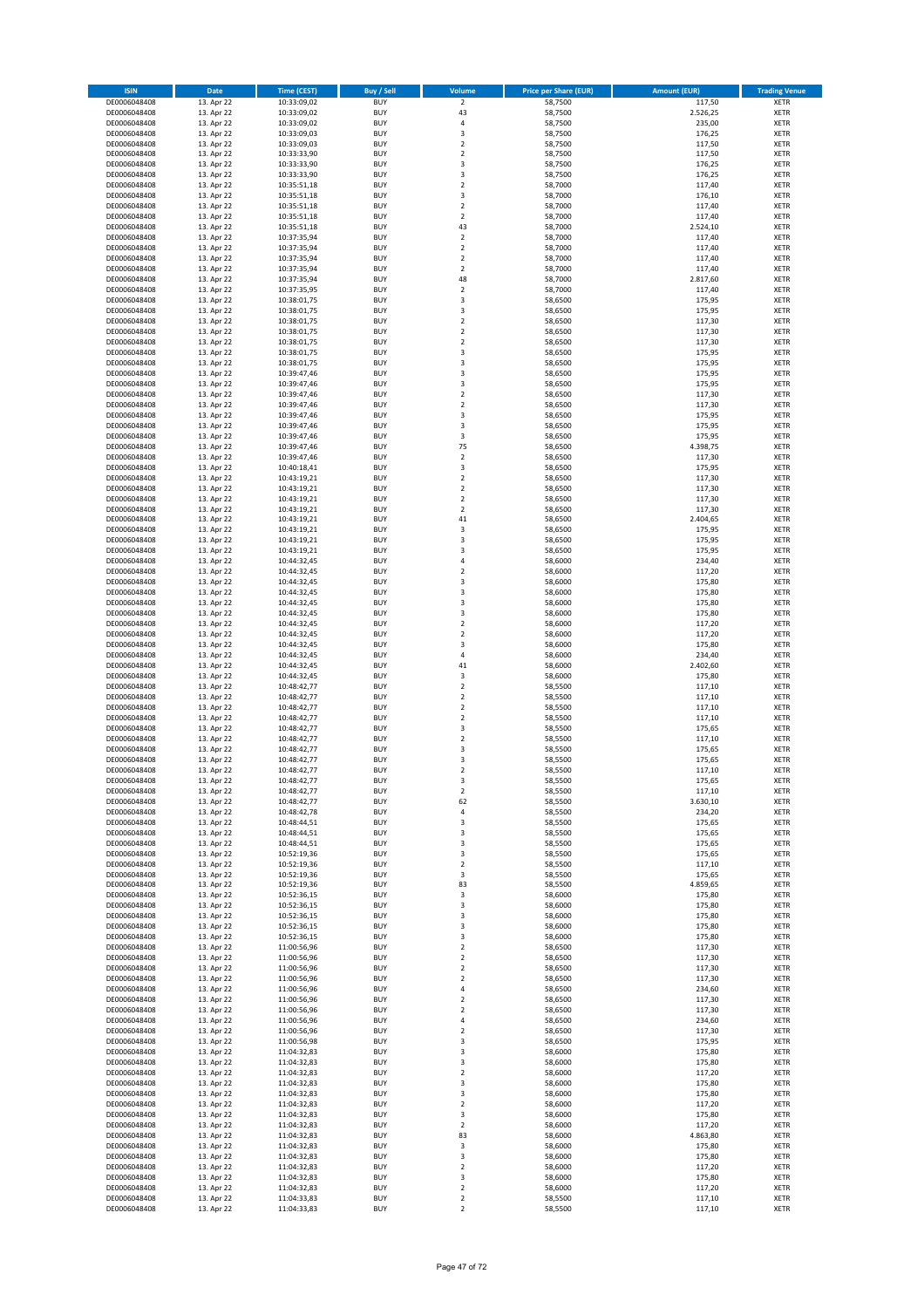| <b>ISIN</b>                  | Date                     | <b>Time (CEST)</b>         | Buy / Sell               | Volume                       | <b>Price per Share (EUR)</b> | <b>Amount (EUR)</b> | <b>Trading Venue</b>       |
|------------------------------|--------------------------|----------------------------|--------------------------|------------------------------|------------------------------|---------------------|----------------------------|
| DE0006048408                 | 13. Apr 22               | 10:33:09,02                | <b>BUY</b>               | $\overline{2}$               | 58,7500                      | 117,50              | XETR                       |
| DE0006048408<br>DE0006048408 | 13. Apr 22<br>13. Apr 22 | 10:33:09,02<br>10:33:09,02 | <b>BUY</b><br><b>BUY</b> | 43<br>4                      | 58,7500<br>58,7500           | 2.526,25<br>235,00  | XETR<br>XETR               |
| DE0006048408                 | 13. Apr 22               | 10:33:09,03                | <b>BUY</b>               | 3                            | 58,7500                      | 176,25              | XETR                       |
| DE0006048408                 | 13. Apr 22               | 10:33:09,03                | <b>BUY</b>               | $\mathbf 2$                  | 58,7500                      | 117,50              | XETR                       |
| DE0006048408                 | 13. Apr 22               | 10:33:33,90                | <b>BUY</b>               | $\mathbf 2$                  | 58,7500                      | 117,50              | <b>XETR</b>                |
| DE0006048408<br>DE0006048408 | 13. Apr 22<br>13. Apr 22 | 10:33:33,90<br>10:33:33,90 | <b>BUY</b><br><b>BUY</b> | 3<br>3                       | 58,7500<br>58,7500           | 176,25<br>176,25    | <b>XETR</b><br><b>XETR</b> |
| DE0006048408                 | 13. Apr 22               | 10:35:51,18                | <b>BUY</b>               | $\mathbf 2$                  | 58,7000                      | 117,40              | <b>XETR</b>                |
| DE0006048408                 | 13. Apr 22               | 10:35:51,18                | <b>BUY</b>               | 3                            | 58,7000                      | 176,10              | <b>XETR</b>                |
| DE0006048408                 | 13. Apr 22               | 10:35:51,18                | <b>BUY</b>               | $\mathbf 2$                  | 58,7000                      | 117,40              | XETR                       |
| DE0006048408                 | 13. Apr 22               | 10:35:51,18                | <b>BUY</b>               | $\overline{2}$               | 58,7000                      | 117,40              | <b>XETR</b>                |
| DE0006048408<br>DE0006048408 | 13. Apr 22<br>13. Apr 22 | 10:35:51,18<br>10:37:35,94 | <b>BUY</b><br><b>BUY</b> | 43<br>$\mathbf 2$            | 58,7000<br>58,7000           | 2.524,10<br>117,40  | XETR<br><b>XETR</b>        |
| DE0006048408                 | 13. Apr 22               | 10:37:35,94                | <b>BUY</b>               | $\mathbf 2$                  | 58,7000                      | 117,40              | XETR                       |
| DE0006048408                 | 13. Apr 22               | 10:37:35,94                | <b>BUY</b>               | $\mathbf 2$                  | 58,7000                      | 117,40              | <b>XETR</b>                |
| DE0006048408                 | 13. Apr 22               | 10:37:35,94                | <b>BUY</b>               | 2                            | 58,7000                      | 117,40              | XETR                       |
| DE0006048408<br>DE0006048408 | 13. Apr 22<br>13. Apr 22 | 10:37:35,94<br>10:37:35,95 | <b>BUY</b><br><b>BUY</b> | 48<br>$\mathbf 2$            | 58,7000<br>58,7000           | 2.817,60<br>117,40  | <b>XETR</b><br>XETR        |
| DE0006048408                 | 13. Apr 22               | 10:38:01,75                | <b>BUY</b>               | 3                            | 58,6500                      | 175,95              | <b>XETR</b>                |
| DE0006048408                 | 13. Apr 22               | 10:38:01,75                | <b>BUY</b>               | 3                            | 58,6500                      | 175,95              | XETR                       |
| DE0006048408                 | 13. Apr 22               | 10:38:01,75                | <b>BUY</b>               | $\mathbf 2$                  | 58,6500                      | 117,30              | XETR                       |
| DE0006048408<br>DE0006048408 | 13. Apr 22<br>13. Apr 22 | 10:38:01,75<br>10:38:01,75 | <b>BUY</b><br><b>BUY</b> | $\mathbf 2$<br>$\mathbf 2$   | 58,6500<br>58,6500           | 117,30<br>117,30    | <b>XETR</b><br><b>XETR</b> |
| DE0006048408                 | 13. Apr 22               | 10:38:01,75                | <b>BUY</b>               | 3                            | 58,6500                      | 175,95              | <b>XETR</b>                |
| DE0006048408                 | 13. Apr 22               | 10:38:01,75                | <b>BUY</b>               | 3                            | 58,6500                      | 175,95              | <b>XETR</b>                |
| DE0006048408                 | 13. Apr 22               | 10:39:47,46                | <b>BUY</b>               | 3                            | 58,6500                      | 175,95              | <b>XETR</b>                |
| DE0006048408                 | 13. Apr 22               | 10:39:47,46                | <b>BUY</b>               | 3                            | 58,6500                      | 175,95              | <b>XETR</b>                |
| DE0006048408<br>DE0006048408 | 13. Apr 22<br>13. Apr 22 | 10:39:47,46<br>10:39:47,46 | <b>BUY</b><br><b>BUY</b> | $\mathbf 2$<br>$\mathbf 2$   | 58,6500<br>58,6500           | 117,30<br>117,30    | <b>XETR</b><br><b>XETR</b> |
| DE0006048408                 | 13. Apr 22               | 10:39:47,46                | <b>BUY</b>               | 3                            | 58,6500                      | 175,95              | <b>XETR</b>                |
| DE0006048408                 | 13. Apr 22               | 10:39:47,46                | <b>BUY</b>               | 3                            | 58,6500                      | 175,95              | <b>XETR</b>                |
| DE0006048408                 | 13. Apr 22               | 10:39:47,46                | <b>BUY</b>               | 3                            | 58,6500                      | 175,95              | <b>XETR</b>                |
| DE0006048408<br>DE0006048408 | 13. Apr 22<br>13. Apr 22 | 10:39:47,46<br>10:39:47,46 | <b>BUY</b><br><b>BUY</b> | 75<br>$\mathbf 2$            | 58,6500<br>58,6500           | 4.398,75<br>117,30  | XETR<br><b>XETR</b>        |
| DE0006048408                 | 13. Apr 22               | 10:40:18,41                | <b>BUY</b>               | 3                            | 58,6500                      | 175,95              | XETR                       |
| DE0006048408                 | 13. Apr 22               | 10:43:19,21                | <b>BUY</b>               | $\mathbf 2$                  | 58,6500                      | 117,30              | <b>XETR</b>                |
| DE0006048408                 | 13. Apr 22               | 10:43:19,21                | <b>BUY</b>               | $\mathbf 2$                  | 58,6500                      | 117,30              | XETR                       |
| DE0006048408                 | 13. Apr 22               | 10:43:19,21                | <b>BUY</b>               | $\mathbf 2$                  | 58,6500                      | 117,30              | <b>XETR</b>                |
| DE0006048408<br>DE0006048408 | 13. Apr 22<br>13. Apr 22 | 10:43:19,21<br>10:43:19,21 | <b>BUY</b><br><b>BUY</b> | $\mathbf 2$<br>41            | 58,6500<br>58,6500           | 117,30<br>2.404,65  | <b>XETR</b><br><b>XETR</b> |
| DE0006048408                 | 13. Apr 22               | 10:43:19,21                | <b>BUY</b>               | 3                            | 58,6500                      | 175,95              | <b>XETR</b>                |
| DE0006048408                 | 13. Apr 22               | 10:43:19,21                | <b>BUY</b>               | 3                            | 58,6500                      | 175,95              | <b>XETR</b>                |
| DE0006048408                 | 13. Apr 22               | 10:43:19,21                | <b>BUY</b>               | 3                            | 58,6500                      | 175,95              | <b>XETR</b>                |
| DE0006048408<br>DE0006048408 | 13. Apr 22<br>13. Apr 22 | 10:44:32,45<br>10:44:32,45 | <b>BUY</b><br><b>BUY</b> | 4<br>$\mathbf 2$             | 58,6000<br>58,6000           | 234,40<br>117,20    | <b>XETR</b><br>XETR        |
| DE0006048408                 | 13. Apr 22               | 10:44:32,45                | <b>BUY</b>               | 3                            | 58,6000                      | 175,80              | XETR                       |
| DE0006048408                 | 13. Apr 22               | 10:44:32,45                | <b>BUY</b>               | 3                            | 58,6000                      | 175,80              | <b>XETR</b>                |
| DE0006048408                 | 13. Apr 22               | 10:44:32,45                | <b>BUY</b>               | 3                            | 58,6000                      | 175,80              | <b>XETR</b>                |
| DE0006048408                 | 13. Apr 22               | 10:44:32,45                | <b>BUY</b><br><b>BUY</b> | 3                            | 58,6000                      | 175,80              | XETR                       |
| DE0006048408<br>DE0006048408 | 13. Apr 22<br>13. Apr 22 | 10:44:32,45<br>10:44:32,45 | <b>BUY</b>               | $\mathbf 2$<br>$\mathbf 2$   | 58,6000<br>58,6000           | 117,20<br>117,20    | <b>XETR</b><br><b>XETR</b> |
| DE0006048408                 | 13. Apr 22               | 10:44:32,45                | <b>BUY</b>               | 3                            | 58,6000                      | 175,80              | <b>XETR</b>                |
| DE0006048408                 | 13. Apr 22               | 10:44:32,45                | <b>BUY</b>               | 4                            | 58,6000                      | 234,40              | XETR                       |
| DE0006048408                 | 13. Apr 22               | 10:44:32,45                | <b>BUY</b>               | 41                           | 58,6000                      | 2.402,60            | XETR                       |
| DE0006048408<br>DE0006048408 | 13. Apr 22<br>13. Apr 22 | 10:44:32,45<br>10:48:42,77 | <b>BUY</b><br><b>BUY</b> | 3<br>$\mathbf 2$             | 58,6000<br>58,5500           | 175,80<br>117,10    | <b>XETR</b><br><b>XETR</b> |
| DE0006048408                 | 13. Apr 22               | 10:48:42,77                | <b>BUY</b>               | $\overline{\mathbf{c}}$      | 58,5500                      | 117,10              | <b>XETR</b>                |
| DE0006048408                 | 13. Apr 22               | 10:48:42,77                | <b>BUY</b>               | $\overline{\mathbf{c}}$      | 58,5500                      | 117,10              | XETR                       |
| DE0006048408                 | 13. Apr 22               | 10:48:42,77                | <b>BUY</b>               | $\overline{\mathbf{c}}$      | 58,5500                      | 117,10              | <b>XETR</b>                |
| DE0006048408<br>DE0006048408 | 13. Apr 22<br>13. Apr 22 | 10:48:42,77<br>10:48:42,77 | <b>BUY</b><br><b>BUY</b> | 3<br>$\overline{\mathbf{c}}$ | 58,5500<br>58,5500           | 175,65<br>117,10    | XETR<br><b>XETR</b>        |
| DE0006048408                 | 13. Apr 22               | 10:48:42,77                | <b>BUY</b>               | 3                            | 58,5500                      | 175,65              | XETR                       |
| DE0006048408                 | 13. Apr 22               | 10:48:42,77                | <b>BUY</b>               | 3                            | 58,5500                      | 175,65              | <b>XETR</b>                |
| DE0006048408                 | 13. Apr 22               | 10:48:42,77                | <b>BUY</b>               | $\mathbf 2$                  | 58,5500                      | 117,10              | XETR                       |
| DE0006048408<br>DE0006048408 | 13. Apr 22<br>13. Apr 22 | 10:48:42,77<br>10:48:42,77 | <b>BUY</b><br><b>BUY</b> | 3<br>$\boldsymbol{2}$        | 58,5500<br>58,5500           | 175,65<br>117,10    | XETR<br>XETR               |
| DE0006048408                 | 13. Apr 22               | 10:48:42,77                | <b>BUY</b>               | 62                           | 58,5500                      | 3.630,10            | XETR                       |
| DE0006048408                 | 13. Apr 22               | 10:48:42,78                | <b>BUY</b>               | 4                            | 58,5500                      | 234,20              | XETR                       |
| DE0006048408                 | 13. Apr 22               | 10:48:44,51                | <b>BUY</b>               | 3                            | 58,5500                      | 175,65              | <b>XETR</b>                |
| DE0006048408<br>DE0006048408 | 13. Apr 22<br>13. Apr 22 | 10:48:44,51<br>10:48:44,51 | <b>BUY</b><br><b>BUY</b> | 3<br>3                       | 58,5500<br>58,5500           | 175,65<br>175,65    | XETR<br><b>XETR</b>        |
| DE0006048408                 | 13. Apr 22               | 10:52:19,36                | <b>BUY</b>               | 3                            | 58,5500                      | 175,65              | XETR                       |
| DE0006048408                 | 13. Apr 22               | 10:52:19,36                | <b>BUY</b>               | $\mathbf 2$                  | 58,5500                      | 117,10              | <b>XETR</b>                |
| DE0006048408                 | 13. Apr 22               | 10:52:19,36                | <b>BUY</b>               | 3                            | 58,5500                      | 175,65              | XETR                       |
| DE0006048408<br>DE0006048408 | 13. Apr 22<br>13. Apr 22 | 10:52:19,36<br>10:52:36,15 | <b>BUY</b><br><b>BUY</b> | 83<br>3                      | 58,5500<br>58,6000           | 4.859,65<br>175,80  | <b>XETR</b><br>XETR        |
| DE0006048408                 | 13. Apr 22               | 10:52:36,15                | <b>BUY</b>               | 3                            | 58,6000                      | 175,80              | <b>XETR</b>                |
| DE0006048408                 | 13. Apr 22               | 10:52:36,15                | <b>BUY</b>               | 3                            | 58,6000                      | 175,80              | XETR                       |
| DE0006048408                 | 13. Apr 22               | 10:52:36,15                | <b>BUY</b>               | 3                            | 58,6000                      | 175,80              | <b>XETR</b>                |
| DE0006048408                 | 13. Apr 22               | 10:52:36,15                | <b>BUY</b>               | 3                            | 58,6000                      | 175,80              | XETR                       |
| DE0006048408<br>DE0006048408 | 13. Apr 22<br>13. Apr 22 | 11:00:56,96<br>11:00:56,96 | <b>BUY</b><br><b>BUY</b> | 2<br>2                       | 58,6500<br>58,6500           | 117,30<br>117,30    | <b>XETR</b><br><b>XETR</b> |
| DE0006048408                 | 13. Apr 22               | 11:00:56,96                | <b>BUY</b>               | 2                            | 58,6500                      | 117,30              | <b>XETR</b>                |
| DE0006048408                 | 13. Apr 22               | 11:00:56,96                | <b>BUY</b>               | $\boldsymbol{2}$             | 58,6500                      | 117,30              | XETR                       |
| DE0006048408<br>DE0006048408 | 13. Apr 22<br>13. Apr 22 | 11:00:56,96<br>11:00:56,96 | <b>BUY</b><br><b>BUY</b> | 4<br>2                       | 58,6500<br>58,6500           | 234,60<br>117,30    | <b>XETR</b><br><b>XETR</b> |
| DE0006048408                 | 13. Apr 22               | 11:00:56,96                | <b>BUY</b>               | 2                            | 58,6500                      | 117,30              | XETR                       |
| DE0006048408                 | 13. Apr 22               | 11:00:56,96                | <b>BUY</b>               | 4                            | 58,6500                      | 234,60              | <b>XETR</b>                |
| DE0006048408                 | 13. Apr 22               | 11:00:56,96                | <b>BUY</b>               | 2                            | 58,6500                      | 117,30              | XETR                       |
| DE0006048408                 | 13. Apr 22               | 11:00:56,98                | <b>BUY</b>               | 3                            | 58,6500                      | 175,95              | <b>XETR</b>                |
| DE0006048408<br>DE0006048408 | 13. Apr 22<br>13. Apr 22 | 11:04:32,83<br>11:04:32,83 | <b>BUY</b><br><b>BUY</b> | 3<br>3                       | 58,6000<br>58,6000           | 175,80<br>175,80    | XETR<br><b>XETR</b>        |
| DE0006048408                 | 13. Apr 22               | 11:04:32,83                | <b>BUY</b>               | $\mathbf 2$                  | 58,6000                      | 117,20              | XETR                       |
| DE0006048408                 | 13. Apr 22               | 11:04:32,83                | <b>BUY</b>               | 3                            | 58,6000                      | 175,80              | <b>XETR</b>                |
| DE0006048408                 | 13. Apr 22               | 11:04:32,83                | <b>BUY</b>               | 3                            | 58,6000                      | 175,80              | XETR                       |
| DE0006048408<br>DE0006048408 | 13. Apr 22<br>13. Apr 22 | 11:04:32,83<br>11:04:32,83 | <b>BUY</b><br><b>BUY</b> | $\mathbf 2$<br>3             | 58,6000<br>58,6000           | 117,20<br>175,80    | <b>XETR</b><br>XETR        |
| DE0006048408                 | 13. Apr 22               | 11:04:32,83                | <b>BUY</b>               | 2                            | 58,6000                      | 117,20              | <b>XETR</b>                |
| DE0006048408                 | 13. Apr 22               | 11:04:32,83                | <b>BUY</b>               | 83                           | 58,6000                      | 4.863,80            | <b>XETR</b>                |
| DE0006048408                 | 13. Apr 22               | 11:04:32,83                | <b>BUY</b>               | 3                            | 58,6000                      | 175,80              | <b>XETR</b>                |
| DE0006048408<br>DE0006048408 | 13. Apr 22<br>13. Apr 22 | 11:04:32,83<br>11:04:32,83 | <b>BUY</b><br><b>BUY</b> | 3<br>$\mathbf 2$             | 58,6000<br>58,6000           | 175,80<br>117,20    | XETR<br><b>XETR</b>        |
| DE0006048408                 | 13. Apr 22               | 11:04:32,83                | <b>BUY</b>               | 3                            | 58,6000                      | 175,80              | XETR                       |
| DE0006048408                 | 13. Apr 22               | 11:04:32,83                | <b>BUY</b>               | $\mathbf 2$                  | 58,6000                      | 117,20              | XETR                       |
| DE0006048408                 | 13. Apr 22               | 11:04:33,83                | <b>BUY</b>               | $\boldsymbol{2}$             | 58,5500                      | 117,10              | XETR                       |
| DE0006048408                 | 13. Apr 22               | 11:04:33,83                | <b>BUY</b>               | $\mathbf 2$                  | 58,5500                      | 117,10              | <b>XETR</b>                |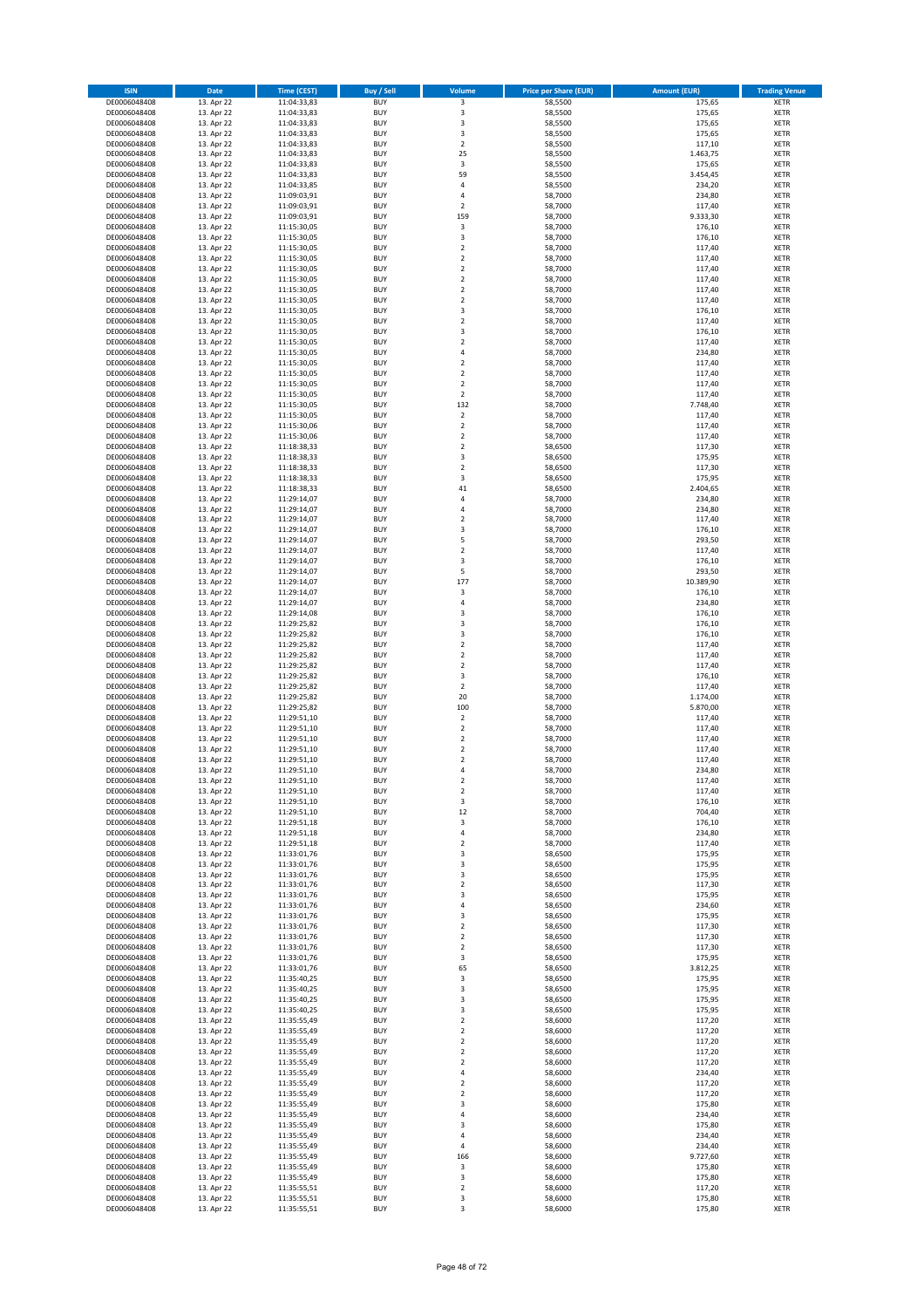| <b>ISIN</b>                  | Date                     | Time (CEST)                | Buy / Sell               | Volume                                    | <b>Price per Share (EUR)</b> | <b>Amount (EUR)</b> | <b>Trading Venue</b>       |
|------------------------------|--------------------------|----------------------------|--------------------------|-------------------------------------------|------------------------------|---------------------|----------------------------|
| DE0006048408                 | 13. Apr 22               | 11:04:33,83                | <b>BUY</b>               | $\overline{\mathbf{3}}$                   | 58,5500                      | 175,65              | <b>XETR</b>                |
| DE0006048408<br>DE0006048408 | 13. Apr 22<br>13. Apr 22 | 11:04:33,83<br>11:04:33,83 | <b>BUY</b><br><b>BUY</b> | 3<br>3                                    | 58,5500<br>58,5500           | 175,65<br>175,65    | XETR<br>XETR               |
| DE0006048408                 | 13. Apr 22               | 11:04:33,83                | <b>BUY</b>               | 3                                         | 58,5500                      | 175,65              | XETR                       |
| DE0006048408                 | 13. Apr 22               | 11:04:33,83                | <b>BUY</b>               | $\mathbf 2$                               | 58,5500                      | 117,10              | XETR                       |
| DE0006048408                 | 13. Apr 22               | 11:04:33,83                | <b>BUY</b>               | 25                                        | 58,5500                      | 1.463,75            | <b>XETR</b>                |
| DE0006048408                 | 13. Apr 22               | 11:04:33,83                | <b>BUY</b>               | 3                                         | 58,5500                      | 175,65              | <b>XETR</b>                |
| DE0006048408<br>DE0006048408 | 13. Apr 22<br>13. Apr 22 | 11:04:33,83<br>11:04:33,85 | <b>BUY</b><br><b>BUY</b> | 59<br>4                                   | 58,5500<br>58,5500           | 3.454,45<br>234,20  | <b>XETR</b><br><b>XETR</b> |
| DE0006048408                 | 13. Apr 22               | 11:09:03,91                | <b>BUY</b>               | $\overline{a}$                            | 58,7000                      | 234,80              | <b>XETR</b>                |
| DE0006048408                 | 13. Apr 22               | 11:09:03,91                | <b>BUY</b>               | $\mathbf 2$                               | 58,7000                      | 117,40              | <b>XETR</b>                |
| DE0006048408                 | 13. Apr 22               | 11:09:03,91                | <b>BUY</b>               | 159                                       | 58,7000                      | 9.333,30            | <b>XETR</b>                |
| DE0006048408                 | 13. Apr 22               | 11:15:30,05                | <b>BUY</b>               | 3                                         | 58,7000                      | 176,10              | XETR                       |
| DE0006048408                 | 13. Apr 22               | 11:15:30,05                | <b>BUY</b>               | 3<br>$\mathbf 2$                          | 58,7000                      | 176,10              | <b>XETR</b>                |
| DE0006048408<br>DE0006048408 | 13. Apr 22<br>13. Apr 22 | 11:15:30,05<br>11:15:30,05 | <b>BUY</b><br><b>BUY</b> | $\mathbf 2$                               | 58,7000<br>58,7000           | 117,40<br>117,40    | XETR<br><b>XETR</b>        |
| DE0006048408                 | 13. Apr 22               | 11:15:30,05                | <b>BUY</b>               | $\mathbf 2$                               | 58,7000                      | 117,40              | XETR                       |
| DE0006048408                 | 13. Apr 22               | 11:15:30,05                | <b>BUY</b>               | $\mathbf 2$                               | 58,7000                      | 117,40              | <b>XETR</b>                |
| DE0006048408                 | 13. Apr 22               | 11:15:30,05                | <b>BUY</b>               | $\mathbf 2$                               | 58,7000                      | 117,40              | XETR                       |
| DE0006048408                 | 13. Apr 22               | 11:15:30,05                | <b>BUY</b>               | $\mathbf 2$                               | 58,7000                      | 117,40              | <b>XETR</b>                |
| DE0006048408<br>DE0006048408 | 13. Apr 22<br>13. Apr 22 | 11:15:30,05<br>11:15:30,05 | <b>BUY</b><br><b>BUY</b> | 3<br>$\mathbf 2$                          | 58,7000<br>58,7000           | 176,10<br>117,40    | <b>XETR</b><br>XETR        |
| DE0006048408                 | 13. Apr 22               | 11:15:30,05                | <b>BUY</b>               | 3                                         | 58,7000                      | 176,10              | <b>XETR</b>                |
| DE0006048408                 | 13. Apr 22               | 11:15:30,05                | <b>BUY</b>               | $\mathbf 2$                               | 58,7000                      | 117,40              | <b>XETR</b>                |
| DE0006048408                 | 13. Apr 22               | 11:15:30,05                | <b>BUY</b>               | 4                                         | 58,7000                      | 234,80              | <b>XETR</b>                |
| DE0006048408                 | 13. Apr 22               | 11:15:30,05                | <b>BUY</b>               | $\mathbf 2$                               | 58,7000                      | 117,40              | <b>XETR</b>                |
| DE0006048408<br>DE0006048408 | 13. Apr 22<br>13. Apr 22 | 11:15:30,05<br>11:15:30,05 | <b>BUY</b><br><b>BUY</b> | $\overline{\mathbf{c}}$<br>$\overline{2}$ | 58,7000<br>58,7000           | 117,40<br>117,40    | <b>XETR</b><br><b>XETR</b> |
| DE0006048408                 | 13. Apr 22               | 11:15:30,05                | <b>BUY</b>               | $\mathbf 2$                               | 58,7000                      | 117,40              | <b>XETR</b>                |
| DE0006048408                 | 13. Apr 22               | 11:15:30,05                | <b>BUY</b>               | 132                                       | 58,7000                      | 7.748,40            | XETR                       |
| DE0006048408                 | 13. Apr 22               | 11:15:30,05                | <b>BUY</b>               | $\sqrt{2}$                                | 58,7000                      | 117,40              | <b>XETR</b>                |
| DE0006048408                 | 13. Apr 22               | 11:15:30,06                | <b>BUY</b>               | $\mathbf 2$                               | 58,7000                      | 117,40              | <b>XETR</b>                |
| DE0006048408                 | 13. Apr 22               | 11:15:30,06                | <b>BUY</b><br><b>BUY</b> | $\overline{\mathbf{c}}$<br>$\mathbf 2$    | 58,7000<br>58,6500           | 117,40<br>117,30    | <b>XETR</b><br>XETR        |
| DE0006048408<br>DE0006048408 | 13. Apr 22<br>13. Apr 22 | 11:18:38,33<br>11:18:38,33 | <b>BUY</b>               | 3                                         | 58,6500                      | 175,95              | <b>XETR</b>                |
| DE0006048408                 | 13. Apr 22               | 11:18:38,33                | <b>BUY</b>               | $\mathbf 2$                               | 58,6500                      | 117,30              | XETR                       |
| DE0006048408                 | 13. Apr 22               | 11:18:38,33                | <b>BUY</b>               | 3                                         | 58,6500                      | 175,95              | <b>XETR</b>                |
| DE0006048408                 | 13. Apr 22               | 11:18:38,33                | <b>BUY</b>               | 41                                        | 58,6500                      | 2.404,65            | XETR                       |
| DE0006048408                 | 13. Apr 22               | 11:29:14,07                | <b>BUY</b>               | 4                                         | 58,7000                      | 234,80              | <b>XETR</b>                |
| DE0006048408<br>DE0006048408 | 13. Apr 22               | 11:29:14,07                | <b>BUY</b><br><b>BUY</b> | 4<br>$\overline{\mathbf{c}}$              | 58,7000                      | 234,80              | <b>XETR</b><br><b>XETR</b> |
| DE0006048408                 | 13. Apr 22<br>13. Apr 22 | 11:29:14,07<br>11:29:14,07 | <b>BUY</b>               | 3                                         | 58,7000<br>58,7000           | 117,40<br>176,10    | <b>XETR</b>                |
| DE0006048408                 | 13. Apr 22               | 11:29:14,07                | <b>BUY</b>               | 5                                         | 58,7000                      | 293,50              | <b>XETR</b>                |
| DE0006048408                 | 13. Apr 22               | 11:29:14,07                | <b>BUY</b>               | $\mathbf 2$                               | 58,7000                      | 117,40              | <b>XETR</b>                |
| DE0006048408                 | 13. Apr 22               | 11:29:14,07                | <b>BUY</b>               | 3                                         | 58,7000                      | 176,10              | <b>XETR</b>                |
| DE0006048408                 | 13. Apr 22               | 11:29:14,07                | <b>BUY</b>               | 5                                         | 58,7000                      | 293,50              | XETR                       |
| DE0006048408<br>DE0006048408 | 13. Apr 22<br>13. Apr 22 | 11:29:14,07                | <b>BUY</b><br><b>BUY</b> | 177<br>3                                  | 58,7000<br>58,7000           | 10.389,90           | XETR<br><b>XETR</b>        |
| DE0006048408                 | 13. Apr 22               | 11:29:14,07<br>11:29:14,07 | <b>BUY</b>               | 4                                         | 58,7000                      | 176,10<br>234,80    | <b>XETR</b>                |
| DE0006048408                 | 13. Apr 22               | 11:29:14,08                | <b>BUY</b>               | 3                                         | 58,7000                      | 176,10              | <b>XETR</b>                |
| DE0006048408                 | 13. Apr 22               | 11:29:25,82                | <b>BUY</b>               | 3                                         | 58,7000                      | 176,10              | <b>XETR</b>                |
| DE0006048408                 | 13. Apr 22               | 11:29:25,82                | <b>BUY</b>               | 3                                         | 58,7000                      | 176,10              | <b>XETR</b>                |
| DE0006048408                 | 13. Apr 22               | 11:29:25,82                | <b>BUY</b>               | $\mathbf 2$                               | 58,7000                      | 117,40              | <b>XETR</b>                |
| DE0006048408<br>DE0006048408 | 13. Apr 22<br>13. Apr 22 | 11:29:25,82<br>11:29:25,82 | <b>BUY</b><br><b>BUY</b> | $\mathbf 2$<br>$\mathbf 2$                | 58,7000<br>58,7000           | 117,40<br>117,40    | <b>XETR</b><br>XETR        |
| DE0006048408                 | 13. Apr 22               | 11:29:25,82                | <b>BUY</b>               | 3                                         | 58,7000                      | 176,10              | <b>XETR</b>                |
| DE0006048408                 | 13. Apr 22               | 11:29:25,82                | <b>BUY</b>               | $\mathbf 2$                               | 58,7000                      | 117,40              | <b>XETR</b>                |
| DE0006048408                 | 13. Apr 22               | 11:29:25,82                | <b>BUY</b>               | 20                                        | 58,7000                      | 1.174,00            | <b>XETR</b>                |
| DE0006048408                 | 13. Apr 22               | 11:29:25,82                | <b>BUY</b>               | 100                                       | 58,7000                      | 5.870,00            | <b>XETR</b>                |
| DE0006048408                 | 13. Apr 22               | 11:29:51,10                | <b>BUY</b>               | $\overline{\mathbf{c}}$<br>$\mathbf 2$    | 58,7000                      | 117,40              | <b>XETR</b>                |
| DE0006048408<br>DE0006048408 | 13. Apr 22<br>13. Apr 22 | 11:29:51,10<br>11:29:51,10 | <b>BUY</b><br><b>BUY</b> | $\overline{\mathbf{c}}$                   | 58,7000<br>58,7000           | 117,40<br>117,40    | XETR<br><b>XETR</b>        |
| DE0006048408                 | 13. Apr 22               | 11:29:51,10                | <b>BUY</b>               | $\mathbf 2$                               | 58,7000                      | 117,40              | XETR                       |
| DE0006048408                 | 13. Apr 22               | 11:29:51,10                | <b>BUY</b>               | $\overline{\mathbf{c}}$                   | 58,7000                      | 117,40              | <b>XETR</b>                |
| DE0006048408                 | 13. Apr 22               | 11:29:51,10                | <b>BUY</b>               | 4                                         | 58,7000                      | 234,80              | <b>XETR</b>                |
| DE0006048408                 | 13. Apr 22               | 11:29:51,10                | <b>BUY</b>               | 2                                         | 58,7000                      | 117,40              | XETR                       |
| DE0006048408<br>DE0006048408 | 13. Apr 22<br>13. Apr 22 | 11:29:51,10<br>11:29:51,10 | <b>BUY</b><br><b>BUY</b> | $\boldsymbol{2}$<br>3                     | 58,7000<br>58,7000           | 117,40<br>176,10    | XETR<br>XETR               |
| DE0006048408                 | 13. Apr 22               | 11:29:51,10                | <b>BUY</b>               | 12                                        | 58,7000                      | 704,40              | XETR                       |
| DE0006048408                 | 13. Apr 22               | 11:29:51,18                | <b>BUY</b>               | 3                                         | 58,7000                      | 176,10              | <b>XETR</b>                |
| DE0006048408                 | 13. Apr 22               | 11:29:51,18                | <b>BUY</b>               | 4                                         | 58,7000                      | 234,80              | XETR                       |
| DE0006048408                 | 13. Apr 22               | 11:29:51,18                | <b>BUY</b>               | $\overline{\mathbf{2}}$                   | 58,7000                      | 117,40              | <b>XETR</b>                |
| DE0006048408<br>DE0006048408 | 13. Apr 22<br>13. Apr 22 | 11:33:01,76<br>11:33:01,76 | <b>BUY</b><br><b>BUY</b> | 3<br>3                                    | 58,6500<br>58,6500           | 175,95<br>175,95    | XETR<br><b>XETR</b>        |
| DE0006048408                 | 13. Apr 22               | 11:33:01,76                | <b>BUY</b>               | 3                                         | 58,6500                      | 175,95              | XETR                       |
| DE0006048408                 | 13. Apr 22               | 11:33:01,76                | <b>BUY</b>               | 2                                         | 58,6500                      | 117,30              | <b>XETR</b>                |
| DE0006048408                 | 13. Apr 22               | 11:33:01,76                | <b>BUY</b>               | 3                                         | 58,6500                      | 175,95              | XETR                       |
| DE0006048408                 | 13. Apr 22               | 11:33:01,76                | <b>BUY</b>               | 4                                         | 58,6500                      | 234,60              | <b>XETR</b>                |
| DE0006048408                 | 13. Apr 22<br>13. Apr 22 | 11:33:01,76                | <b>BUY</b>               | 3                                         | 58,6500<br>58,6500           | 175,95              | XETR                       |
| DE0006048408<br>DE0006048408 | 13. Apr 22               | 11:33:01,76<br>11:33:01,76 | <b>BUY</b><br><b>BUY</b> | 2<br>$\mathbf 2$                          | 58,6500                      | 117,30<br>117,30    | <b>XETR</b><br>XETR        |
| DE0006048408                 | 13. Apr 22               | 11:33:01,76                | <b>BUY</b>               | 2                                         | 58,6500                      | 117,30              | <b>XETR</b>                |
| DE0006048408                 | 13. Apr 22               | 11:33:01,76                | <b>BUY</b>               | 3                                         | 58,6500                      | 175,95              | XETR                       |
| DE0006048408                 | 13. Apr 22               | 11:33:01,76                | <b>BUY</b>               | 65                                        | 58,6500                      | 3.812,25            | <b>XETR</b>                |
| DE0006048408                 | 13. Apr 22               | 11:35:40,25                | <b>BUY</b>               | 3                                         | 58,6500                      | 175,95              | XETR                       |
| DE0006048408<br>DE0006048408 | 13. Apr 22<br>13. Apr 22 | 11:35:40,25<br>11:35:40,25 | <b>BUY</b><br><b>BUY</b> | 3<br>3                                    | 58,6500<br>58,6500           | 175,95<br>175,95    | <b>XETR</b><br><b>XETR</b> |
| DE0006048408                 | 13. Apr 22               | 11:35:40,25                | <b>BUY</b>               | 3                                         | 58,6500                      | 175,95              | XETR                       |
| DE0006048408                 | 13. Apr 22               | 11:35:55,49                | <b>BUY</b>               | $\overline{\mathbf{c}}$                   | 58,6000                      | 117,20              | <b>XETR</b>                |
| DE0006048408                 | 13. Apr 22               | 11:35:55,49                | <b>BUY</b>               | $\mathbf 2$                               | 58,6000                      | 117,20              | XETR                       |
| DE0006048408                 | 13. Apr 22               | 11:35:55,49                | <b>BUY</b>               | $\overline{\mathbf{c}}$                   | 58,6000                      | 117,20              | <b>XETR</b>                |
| DE0006048408<br>DE0006048408 | 13. Apr 22<br>13. Apr 22 | 11:35:55,49<br>11:35:55,49 | <b>BUY</b><br><b>BUY</b> | 2<br>$\overline{\mathbf{c}}$              | 58,6000<br>58,6000           | 117,20<br>117,20    | XETR<br><b>XETR</b>        |
| DE0006048408                 | 13. Apr 22               | 11:35:55,49                | <b>BUY</b>               | 4                                         | 58,6000                      | 234,40              | XETR                       |
| DE0006048408                 | 13. Apr 22               | 11:35:55,49                | <b>BUY</b>               | 2                                         | 58,6000                      | 117,20              | <b>XETR</b>                |
| DE0006048408                 | 13. Apr 22               | 11:35:55,49                | <b>BUY</b>               | 2                                         | 58,6000                      | 117,20              | XETR                       |
| DE0006048408                 | 13. Apr 22               | 11:35:55,49                | <b>BUY</b>               | 3                                         | 58,6000                      | 175,80              | <b>XETR</b>                |
| DE0006048408<br>DE0006048408 | 13. Apr 22               | 11:35:55,49                | <b>BUY</b><br><b>BUY</b> | 4                                         | 58,6000                      | 234,40              | XETR                       |
| DE0006048408                 | 13. Apr 22<br>13. Apr 22 | 11:35:55,49<br>11:35:55,49 | <b>BUY</b>               | 3<br>4                                    | 58,6000<br>58,6000           | 175,80<br>234,40    | <b>XETR</b><br><b>XETR</b> |
| DE0006048408                 | 13. Apr 22               | 11:35:55,49                | <b>BUY</b>               | 4                                         | 58,6000                      | 234,40              | <b>XETR</b>                |
| DE0006048408                 | 13. Apr 22               | 11:35:55,49                | <b>BUY</b>               | 166                                       | 58,6000                      | 9.727,60            | XETR                       |
| DE0006048408                 | 13. Apr 22               | 11:35:55,49                | <b>BUY</b>               | 3                                         | 58,6000                      | 175,80              | <b>XETR</b>                |
| DE0006048408                 | 13. Apr 22               | 11:35:55,49                | <b>BUY</b>               | 3                                         | 58,6000                      | 175,80              | XETR                       |
| DE0006048408<br>DE0006048408 | 13. Apr 22<br>13. Apr 22 | 11:35:55,51<br>11:35:55,51 | <b>BUY</b><br><b>BUY</b> | $\mathbf 2$<br>3                          | 58,6000<br>58,6000           | 117,20<br>175,80    | XETR<br>XETR               |
| DE0006048408                 | 13. Apr 22               | 11:35:55,51                | <b>BUY</b>               | 3                                         | 58,6000                      | 175,80              | <b>XETR</b>                |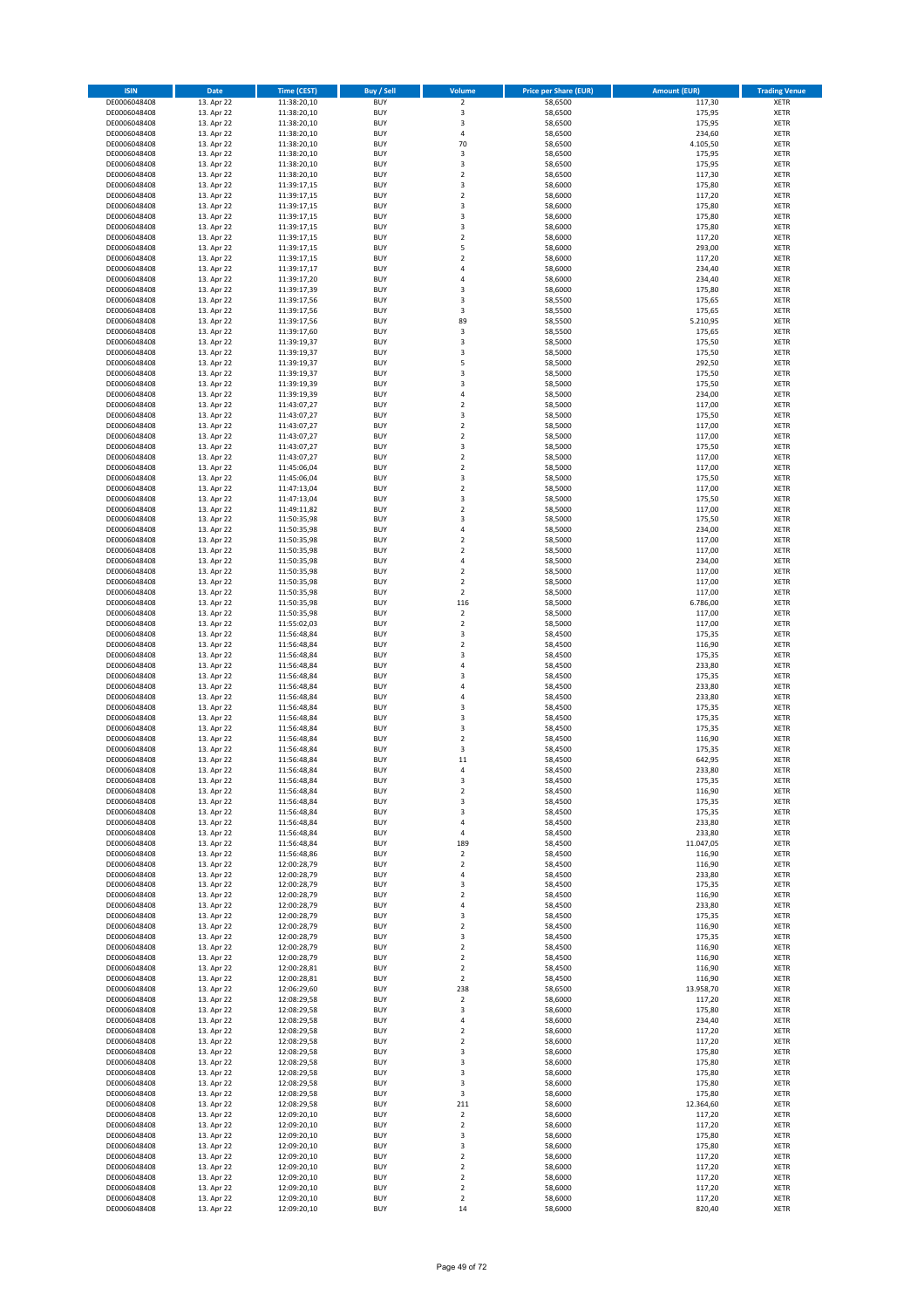| <b>ISIN</b>                  | Date                     | <b>Time (CEST)</b>         | <b>Buy / Sell</b>        | Volume                             | <b>Price per Share (EUR)</b> | <b>Amount (EUR)</b> | <b>Trading Venue</b>       |
|------------------------------|--------------------------|----------------------------|--------------------------|------------------------------------|------------------------------|---------------------|----------------------------|
| DE0006048408                 | 13. Apr 22               | 11:38:20,10                | <b>BUY</b>               | $\overline{2}$                     | 58,6500                      | 117,30              | <b>XETR</b>                |
| DE0006048408                 | 13. Apr 22               | 11:38:20,10                | <b>BUY</b>               | $\mathsf 3$                        | 58,6500                      | 175,95              | <b>XETR</b>                |
| DE0006048408<br>DE0006048408 | 13. Apr 22<br>13. Apr 22 | 11:38:20,10<br>11:38:20,10 | <b>BUY</b><br><b>BUY</b> | 3<br>$\sqrt{4}$                    | 58,6500<br>58,6500           | 175,95<br>234,60    | <b>XETR</b><br><b>XETR</b> |
| DE0006048408                 | 13. Apr 22               | 11:38:20,10                | <b>BUY</b>               | 70                                 | 58,6500                      | 4.105,50            | <b>XETR</b>                |
| DE0006048408                 | 13. Apr 22               | 11:38:20,10                | <b>BUY</b>               | 3                                  | 58,6500                      | 175,95              | <b>XETR</b>                |
| DE0006048408                 | 13. Apr 22               | 11:38:20,10                | <b>BUY</b>               | 3                                  | 58,6500                      | 175,95              | <b>XETR</b>                |
| DE0006048408                 | 13. Apr 22               | 11:38:20,10                | <b>BUY</b>               | $\overline{2}$                     | 58,6500                      | 117,30              | <b>XETR</b>                |
| DE0006048408                 | 13. Apr 22               | 11:39:17,15                | <b>BUY</b><br><b>BUY</b> | 3<br>$\overline{2}$                | 58,6000                      | 175,80              | <b>XETR</b><br><b>XETR</b> |
| DE0006048408<br>DE0006048408 | 13. Apr 22<br>13. Apr 22 | 11:39:17,15<br>11:39:17,15 | <b>BUY</b>               | $\overline{\mathbf{3}}$            | 58,6000<br>58,6000           | 117,20<br>175,80    | XETR                       |
| DE0006048408                 | 13. Apr 22               | 11:39:17,15                | <b>BUY</b>               | 3                                  | 58,6000                      | 175,80              | <b>XETR</b>                |
| DE0006048408                 | 13. Apr 22               | 11:39:17,15                | <b>BUY</b>               | 3                                  | 58,6000                      | 175,80              | XETR                       |
| DE0006048408                 | 13. Apr 22               | 11:39:17,15                | <b>BUY</b>               | $\overline{2}$                     | 58,6000                      | 117,20              | <b>XETR</b>                |
| DE0006048408                 | 13. Apr 22               | 11:39:17,15                | <b>BUY</b>               | 5                                  | 58,6000                      | 293,00              | XETR                       |
| DE0006048408<br>DE0006048408 | 13. Apr 22<br>13. Apr 22 | 11:39:17,15<br>11:39:17,17 | <b>BUY</b><br><b>BUY</b> | $\overline{2}$<br>$\sqrt{4}$       | 58,6000<br>58,6000           | 117,20<br>234,40    | <b>XETR</b><br>XETR        |
| DE0006048408                 | 13. Apr 22               | 11:39:17,20                | <b>BUY</b>               | $\overline{4}$                     | 58,6000                      | 234,40              | <b>XETR</b>                |
| DE0006048408                 | 13. Apr 22               | 11:39:17,39                | <b>BUY</b>               | 3                                  | 58,6000                      | 175,80              | XETR                       |
| DE0006048408                 | 13. Apr 22               | 11:39:17,56                | <b>BUY</b>               | 3                                  | 58,5500                      | 175,65              | <b>XETR</b>                |
| DE0006048408                 | 13. Apr 22               | 11:39:17,56                | <b>BUY</b><br><b>BUY</b> | 3<br>89                            | 58,5500                      | 175,65              | <b>XETR</b><br><b>XETR</b> |
| DE0006048408<br>DE0006048408 | 13. Apr 22<br>13. Apr 22 | 11:39:17,56<br>11:39:17,60 | <b>BUY</b>               | 3                                  | 58,5500<br>58,5500           | 5.210,95<br>175,65  | <b>XETR</b>                |
| DE0006048408                 | 13. Apr 22               | 11:39:19,37                | <b>BUY</b>               | $\overline{\mathbf{3}}$            | 58,5000                      | 175,50              | <b>XETR</b>                |
| DE0006048408                 | 13. Apr 22               | 11:39:19,37                | <b>BUY</b>               | 3                                  | 58,5000                      | 175,50              | <b>XETR</b>                |
| DE0006048408                 | 13. Apr 22               | 11:39:19,37                | <b>BUY</b>               | 5                                  | 58,5000                      | 292,50              | <b>XETR</b>                |
| DE0006048408                 | 13. Apr 22               | 11:39:19,37                | <b>BUY</b>               | 3                                  | 58,5000                      | 175,50              | <b>XETR</b>                |
| DE0006048408<br>DE0006048408 | 13. Apr 22<br>13. Apr 22 | 11:39:19,39<br>11:39:19,39 | <b>BUY</b><br><b>BUY</b> | 3<br>$\sqrt{4}$                    | 58,5000<br>58,5000           | 175,50<br>234,00    | <b>XETR</b><br><b>XETR</b> |
| DE0006048408                 | 13. Apr 22               | 11:43:07,27                | <b>BUY</b>               | $\sqrt{2}$                         | 58,5000                      | 117,00              | <b>XETR</b>                |
| DE0006048408                 | 13. Apr 22               | 11:43:07,27                | <b>BUY</b>               | 3                                  | 58,5000                      | 175,50              | <b>XETR</b>                |
| DE0006048408                 | 13. Apr 22               | 11:43:07,27                | <b>BUY</b>               | $\mathbf 2$                        | 58,5000                      | 117,00              | <b>XETR</b>                |
| DE0006048408<br>DE0006048408 | 13. Apr 22               | 11:43:07,27                | <b>BUY</b><br><b>BUY</b> | $\overline{2}$                     | 58,5000                      | 117,00              | <b>XETR</b>                |
| DE0006048408                 | 13. Apr 22<br>13. Apr 22 | 11:43:07,27<br>11:43:07,27 | <b>BUY</b>               | 3<br>$\overline{2}$                | 58,5000<br>58,5000           | 175,50<br>117,00    | XETR<br><b>XETR</b>        |
| DE0006048408                 | 13. Apr 22               | 11:45:06,04                | <b>BUY</b>               | $\mathbf 2$                        | 58,5000                      | 117,00              | XETR                       |
| DE0006048408                 | 13. Apr 22               | 11:45:06,04                | <b>BUY</b>               | 3                                  | 58,5000                      | 175,50              | <b>XETR</b>                |
| DE0006048408                 | 13. Apr 22               | 11:47:13,04                | <b>BUY</b>               | $\mathbf 2$                        | 58,5000                      | 117,00              | XETR                       |
| DE0006048408                 | 13. Apr 22               | 11:47:13,04                | <b>BUY</b>               | 3                                  | 58,5000                      | 175,50              | <b>XETR</b>                |
| DE0006048408<br>DE0006048408 | 13. Apr 22<br>13. Apr 22 | 11:49:11,82                | <b>BUY</b><br><b>BUY</b> | $\overline{2}$<br>3                | 58,5000<br>58,5000           | 117,00<br>175,50    | <b>XETR</b><br><b>XETR</b> |
| DE0006048408                 | 13. Apr 22               | 11:50:35,98<br>11:50:35,98 | <b>BUY</b>               | $\sqrt{4}$                         | 58,5000                      | 234,00              | <b>XETR</b>                |
| DE0006048408                 | 13. Apr 22               | 11:50:35,98                | <b>BUY</b>               | $\overline{2}$                     | 58,5000                      | 117,00              | <b>XETR</b>                |
| DE0006048408                 | 13. Apr 22               | 11:50:35,98                | <b>BUY</b>               | $\overline{2}$                     | 58,5000                      | 117,00              | <b>XETR</b>                |
| DE0006048408                 | 13. Apr 22               | 11:50:35,98                | <b>BUY</b>               | $\sqrt{4}$                         | 58,5000                      | 234,00              | <b>XETR</b>                |
| DE0006048408                 | 13. Apr 22               | 11:50:35,98                | <b>BUY</b>               | $\sqrt{2}$                         | 58,5000                      | 117,00              | <b>XETR</b>                |
| DE0006048408<br>DE0006048408 | 13. Apr 22<br>13. Apr 22 | 11:50:35,98<br>11:50:35,98 | <b>BUY</b><br><b>BUY</b> | $\mathbf 2$<br>$\sqrt{2}$          | 58,5000<br>58,5000           | 117,00<br>117,00    | <b>XETR</b><br><b>XETR</b> |
| DE0006048408                 | 13. Apr 22               | 11:50:35,98                | <b>BUY</b>               | 116                                | 58,5000                      | 6.786,00            | <b>XETR</b>                |
| DE0006048408                 | 13. Apr 22               | 11:50:35,98                | <b>BUY</b>               | $\mathbf 2$                        | 58,5000                      | 117,00              | <b>XETR</b>                |
| DE0006048408                 | 13. Apr 22               | 11:55:02,03                | <b>BUY</b>               | $\boldsymbol{2}$                   | 58,5000                      | 117,00              | <b>XETR</b>                |
| DE0006048408                 | 13. Apr 22               | 11:56:48,84                | <b>BUY</b>               | 3                                  | 58,4500                      | 175,35              | <b>XETR</b>                |
| DE0006048408<br>DE0006048408 | 13. Apr 22<br>13. Apr 22 | 11:56:48,84<br>11:56:48,84 | <b>BUY</b><br><b>BUY</b> | $\mathbf 2$<br>3                   | 58,4500<br>58,4500           | 116,90<br>175,35    | <b>XETR</b><br><b>XETR</b> |
| DE0006048408                 | 13. Apr 22               | 11:56:48,84                | <b>BUY</b>               | $\sqrt{4}$                         | 58,4500                      | 233,80              | <b>XETR</b>                |
| DE0006048408                 | 13. Apr 22               | 11:56:48,84                | <b>BUY</b>               | 3                                  | 58,4500                      | 175,35              | <b>XETR</b>                |
| DE0006048408                 | 13. Apr 22               | 11:56:48,84                | <b>BUY</b>               | $\sqrt{4}$                         | 58,4500                      | 233,80              | <b>XETR</b>                |
| DE0006048408                 | 13. Apr 22               | 11:56:48,84                | <b>BUY</b>               | $\overline{4}$                     | 58,4500                      | 233,80              | <b>XETR</b>                |
| DE0006048408<br>DE0006048408 | 13. Apr 22<br>13. Apr 22 | 11:56:48,84<br>11:56:48,84 | <b>BUY</b><br><b>BUY</b> | 3<br>3                             | 58,4500<br>58,4500           | 175,35<br>175,35    | <b>XETR</b><br><b>XETR</b> |
| DE0006048408                 | 13. Apr 22               | 11:56:48,84                | <b>BUY</b>               | $\overline{\mathbf{3}}$            | 58,4500                      | 175,35              | XETR                       |
| DE0006048408                 | 13. Apr 22               | 11:56:48,84                | <b>BUY</b>               | $\overline{2}$                     | 58,4500                      | 116,90              | <b>XETR</b>                |
| DE0006048408                 | 13. Apr 22               | 11:56:48,84                | <b>BUY</b>               | 3                                  | 58,4500                      | 175,35              | XETR                       |
| DE0006048408                 | 13. Apr 22               | 11:56:48,84                | <b>BUY</b><br><b>BUY</b> | 11<br>$\overline{a}$               | 58,4500                      | 642,95              | <b>XETR</b>                |
| DE0006048408<br>DE0006048408 | 13. Apr 22<br>13. Apr 22 | 11:56:48,84<br>11:56:48,84 | <b>BUY</b>               | 3                                  | 58,4500<br>58,4500           | 233,80<br>175,35    | <b>XETR</b><br>XETR        |
| DE0006048408                 | 13. Apr 22               | 11:56:48,84                | <b>BUY</b>               | $\mathbf 2$                        | 58,4500                      | 116,90              | XETR                       |
| DE0006048408                 | 13. Apr 22               | 11:56:48,84                | <b>BUY</b>               | 3                                  | 58,4500                      | 175,35              | XETR                       |
| DE0006048408                 | 13. Apr 22               | 11:56:48,84                | <b>BUY</b>               | 3                                  | 58,4500                      | 175,35              | <b>XETR</b>                |
| DE0006048408                 | 13. Apr 22               | 11:56:48,84                | <b>BUY</b>               | 4                                  | 58,4500                      | 233,80              | <b>XETR</b>                |
| DE0006048408<br>DE0006048408 | 13. Apr 22<br>13. Apr 22 | 11:56:48,84<br>11:56:48,84 | <b>BUY</b><br><b>BUY</b> | 4<br>189                           | 58,4500<br>58,4500           | 233,80<br>11.047,05 | XETR<br><b>XETR</b>        |
| DE0006048408                 | 13. Apr 22               | 11:56:48,86                | <b>BUY</b>               | $\boldsymbol{2}$                   | 58,4500                      | 116,90              | XETR                       |
| DE0006048408                 | 13. Apr 22               | 12:00:28,79                | <b>BUY</b>               | $\mathbf 2$                        | 58,4500                      | 116,90              | <b>XETR</b>                |
| DE0006048408                 | 13. Apr 22               | 12:00:28,79                | <b>BUY</b>               | 4                                  | 58,4500                      | 233,80              | XETR                       |
| DE0006048408<br>DE0006048408 | 13. Apr 22<br>13. Apr 22 | 12:00:28,79<br>12:00:28,79 | <b>BUY</b><br><b>BUY</b> | 3<br>$\boldsymbol{2}$              | 58,4500<br>58,4500           | 175,35<br>116,90    | <b>XETR</b><br>XETR        |
| DE0006048408                 | 13. Apr 22               | 12:00:28,79                | <b>BUY</b>               | 4                                  | 58,4500                      | 233,80              | <b>XETR</b>                |
| DE0006048408                 | 13. Apr 22               | 12:00:28,79                | <b>BUY</b>               | 3                                  | 58,4500                      | 175,35              | XETR                       |
| DE0006048408                 | 13. Apr 22               | 12:00:28,79                | <b>BUY</b>               | $\boldsymbol{2}$                   | 58,4500                      | 116,90              | <b>XETR</b>                |
| DE0006048408                 | 13. Apr 22               | 12:00:28,79                | <b>BUY</b>               | 3                                  | 58,4500                      | 175,35              | <b>XETR</b>                |
| DE0006048408<br>DE0006048408 | 13. Apr 22<br>13. Apr 22 | 12:00:28,79<br>12:00:28,79 | <b>BUY</b><br><b>BUY</b> | $\boldsymbol{2}$<br>$\mathbf 2$    | 58,4500<br>58,4500           | 116,90<br>116,90    | <b>XETR</b><br><b>XETR</b> |
| DE0006048408                 | 13. Apr 22               | 12:00:28,81                | <b>BUY</b>               | $\overline{2}$                     | 58,4500                      | 116,90              | <b>XETR</b>                |
| DE0006048408                 | 13. Apr 22               | 12:00:28,81                | <b>BUY</b>               | $\overline{2}$                     | 58,4500                      | 116,90              | <b>XETR</b>                |
| DE0006048408                 | 13. Apr 22               | 12:06:29,60                | <b>BUY</b>               | 238                                | 58,6500                      | 13.958,70           | <b>XETR</b>                |
| DE0006048408                 | 13. Apr 22               | 12:08:29,58                | <b>BUY</b>               | $\boldsymbol{2}$                   | 58,6000                      | 117,20              | <b>XETR</b>                |
| DE0006048408<br>DE0006048408 | 13. Apr 22<br>13. Apr 22 | 12:08:29,58<br>12:08:29,58 | <b>BUY</b><br><b>BUY</b> | 3<br>$\sqrt{4}$                    | 58,6000<br>58,6000           | 175,80<br>234,40    | XETR<br>XETR               |
| DE0006048408                 | 13. Apr 22               | 12:08:29,58                | <b>BUY</b>               | $\boldsymbol{2}$                   | 58,6000                      | 117,20              | <b>XETR</b>                |
| DE0006048408                 | 13. Apr 22               | 12:08:29,58                | <b>BUY</b>               | $\overline{2}$                     | 58,6000                      | 117,20              | <b>XETR</b>                |
| DE0006048408                 | 13. Apr 22               | 12:08:29,58                | <b>BUY</b>               | 3                                  | 58,6000                      | 175,80              | XETR                       |
| DE0006048408                 | 13. Apr 22               | 12:08:29,58                | <b>BUY</b>               | 3                                  | 58,6000                      | 175,80              | XETR                       |
| DE0006048408<br>DE0006048408 | 13. Apr 22<br>13. Apr 22 | 12:08:29,58<br>12:08:29,58 | <b>BUY</b><br><b>BUY</b> | 3<br>3                             | 58,6000<br>58,6000           | 175,80<br>175,80    | <b>XETR</b><br><b>XETR</b> |
| DE0006048408                 | 13. Apr 22               | 12:08:29,58                | <b>BUY</b>               | 3                                  | 58,6000                      | 175,80              | XETR                       |
| DE0006048408                 | 13. Apr 22               | 12:08:29,58                | <b>BUY</b>               | 211                                | 58,6000                      | 12.364,60           | XETR                       |
| DE0006048408                 | 13. Apr 22               | 12:09:20,10                | <b>BUY</b>               | $\mathbf 2$                        | 58,6000                      | 117,20              | <b>XETR</b>                |
| DE0006048408                 | 13. Apr 22               | 12:09:20,10                | <b>BUY</b>               | $\boldsymbol{2}$                   | 58,6000                      | 117,20              | <b>XETR</b>                |
| DE0006048408<br>DE0006048408 | 13. Apr 22<br>13. Apr 22 | 12:09:20,10<br>12:09:20,10 | <b>BUY</b><br><b>BUY</b> | 3<br>3                             | 58,6000<br>58,6000           | 175,80<br>175,80    | <b>XETR</b><br><b>XETR</b> |
| DE0006048408                 | 13. Apr 22               | 12:09:20,10                | <b>BUY</b>               | $\boldsymbol{2}$                   | 58,6000                      | 117,20              | <b>XETR</b>                |
| DE0006048408                 | 13. Apr 22               | 12:09:20,10                | <b>BUY</b>               | $\overline{2}$                     | 58,6000                      | 117,20              | <b>XETR</b>                |
| DE0006048408                 | 13. Apr 22               | 12:09:20,10                | <b>BUY</b>               | $\mathbf 2$                        | 58,6000                      | 117,20              | <b>XETR</b>                |
| DE0006048408<br>DE0006048408 | 13. Apr 22               | 12:09:20,10<br>12:09:20,10 | <b>BUY</b><br><b>BUY</b> | $\overline{2}$<br>$\boldsymbol{2}$ | 58,6000                      | 117,20<br>117,20    | <b>XETR</b><br><b>XETR</b> |
| DE0006048408                 | 13. Apr 22<br>13. Apr 22 | 12:09:20,10                | <b>BUY</b>               | 14                                 | 58,6000<br>58,6000           | 820,40              | <b>XETR</b>                |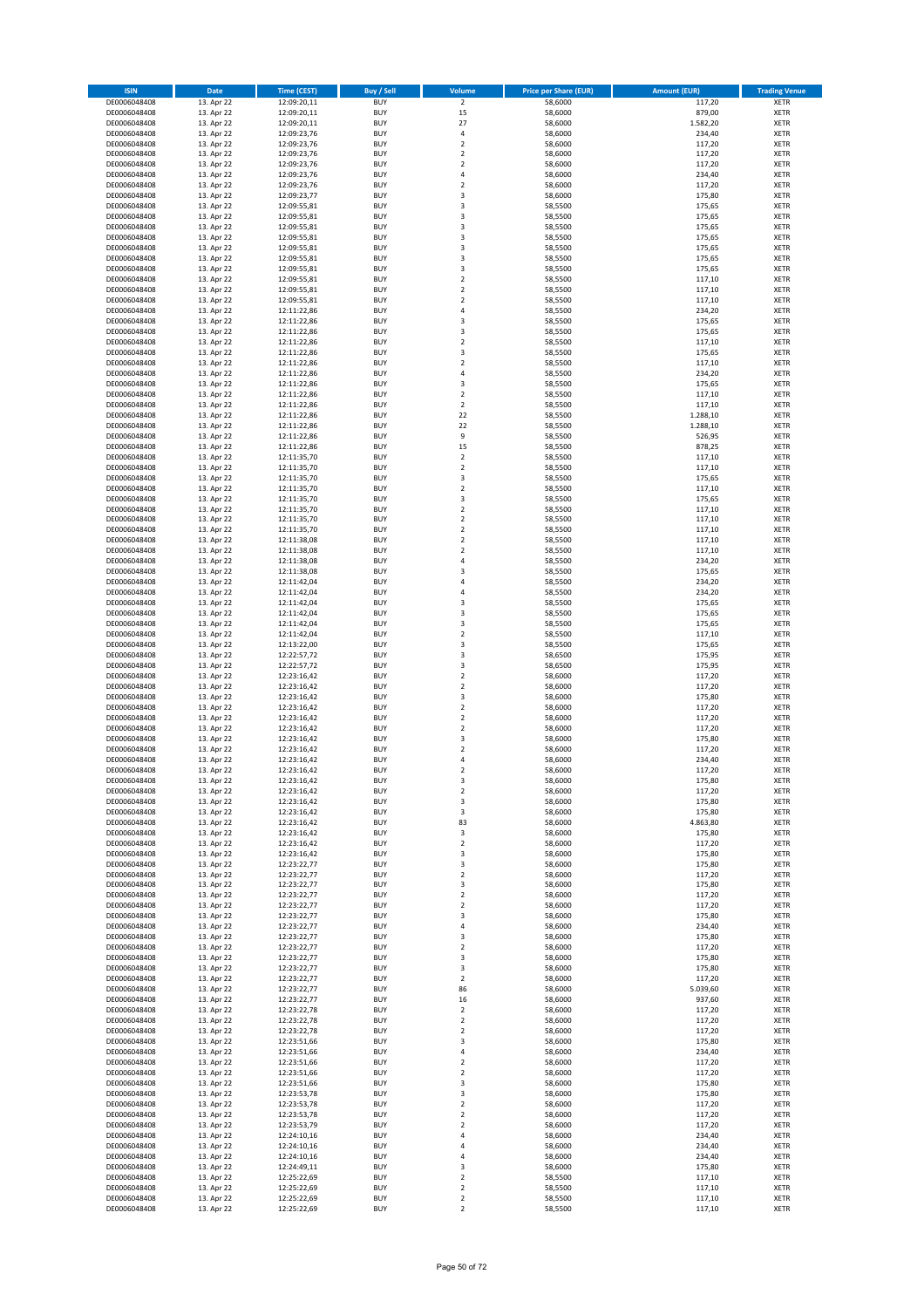| <b>ISIN</b>                  | Date                     | <b>Time (CEST)</b>         | <b>Buy / Sell</b>        | Volume                        | <b>Price per Share (EUR)</b> | <b>Amount (EUR)</b> | <b>Trading Venue</b>       |
|------------------------------|--------------------------|----------------------------|--------------------------|-------------------------------|------------------------------|---------------------|----------------------------|
| DE0006048408                 | 13. Apr 22               | 12:09:20,11                | <b>BUY</b>               | $\overline{2}$                | 58,6000                      | 117,20              | <b>XETR</b>                |
| DE0006048408                 | 13. Apr 22               | 12:09:20,11                | <b>BUY</b>               | 15                            | 58,6000                      | 879,00              | <b>XETR</b>                |
| DE0006048408<br>DE0006048408 | 13. Apr 22<br>13. Apr 22 | 12:09:20,11<br>12:09:23,76 | <b>BUY</b><br><b>BUY</b> | 27<br>$\sqrt{4}$              | 58,6000<br>58,6000           | 1.582,20<br>234,40  | <b>XETR</b><br><b>XETR</b> |
| DE0006048408                 | 13. Apr 22               | 12:09:23,76                | <b>BUY</b>               | $\mathbf 2$                   | 58,6000                      | 117,20              | <b>XETR</b>                |
| DE0006048408                 | 13. Apr 22               | 12:09:23,76                | <b>BUY</b>               | $\overline{2}$                | 58,6000                      | 117,20              | <b>XETR</b>                |
| DE0006048408                 | 13. Apr 22               | 12:09:23,76                | <b>BUY</b>               | $\overline{2}$                | 58,6000                      | 117,20              | <b>XETR</b>                |
| DE0006048408                 | 13. Apr 22               | 12:09:23,76                | <b>BUY</b>               | $\sqrt{4}$                    | 58,6000                      | 234,40              | <b>XETR</b>                |
| DE0006048408<br>DE0006048408 | 13. Apr 22<br>13. Apr 22 | 12:09:23,76                | <b>BUY</b><br><b>BUY</b> | $\overline{2}$<br>3           | 58,6000<br>58,6000           | 117,20<br>175,80    | XETR<br><b>XETR</b>        |
| DE0006048408                 | 13. Apr 22               | 12:09:23,77<br>12:09:55,81 | <b>BUY</b>               | $\overline{\mathbf{3}}$       | 58,5500                      | 175,65              | XETR                       |
| DE0006048408                 | 13. Apr 22               | 12:09:55,81                | <b>BUY</b>               | 3                             | 58,5500                      | 175,65              | <b>XETR</b>                |
| DE0006048408                 | 13. Apr 22               | 12:09:55,81                | <b>BUY</b>               | 3                             | 58,5500                      | 175,65              | XETR                       |
| DE0006048408                 | 13. Apr 22               | 12:09:55,81                | <b>BUY</b>               | 3                             | 58,5500                      | 175,65              | <b>XETR</b>                |
| DE0006048408                 | 13. Apr 22               | 12:09:55,81                | <b>BUY</b>               | $\overline{\mathbf{3}}$       | 58,5500                      | 175,65              | <b>XETR</b>                |
| DE0006048408<br>DE0006048408 | 13. Apr 22<br>13. Apr 22 | 12:09:55,81<br>12:09:55,81 | <b>BUY</b><br><b>BUY</b> | 3<br>3                        | 58,5500<br>58,5500           | 175,65<br>175,65    | <b>XETR</b><br>XETR        |
| DE0006048408                 | 13. Apr 22               | 12:09:55,81                | <b>BUY</b>               | $\overline{2}$                | 58,5500                      | 117,10              | <b>XETR</b>                |
| DE0006048408                 | 13. Apr 22               | 12:09:55,81                | <b>BUY</b>               | $\mathbf 2$                   | 58,5500                      | 117,10              | XETR                       |
| DE0006048408                 | 13. Apr 22               | 12:09:55,81                | <b>BUY</b>               | $\overline{2}$                | 58,5500                      | 117,10              | <b>XETR</b>                |
| DE0006048408                 | 13. Apr 22               | 12:11:22,86                | <b>BUY</b>               | $\sqrt{4}$                    | 58,5500                      | 234,20              | <b>XETR</b>                |
| DE0006048408<br>DE0006048408 | 13. Apr 22<br>13. Apr 22 | 12:11:22,86<br>12:11:22,86 | <b>BUY</b><br><b>BUY</b> | 3<br>3                        | 58,5500<br>58,5500           | 175,65<br>175,65    | <b>XETR</b><br><b>XETR</b> |
| DE0006048408                 | 13. Apr 22               | 12:11:22,86                | <b>BUY</b>               | $\mathbf 2$                   | 58,5500                      | 117,10              | <b>XETR</b>                |
| DE0006048408                 | 13. Apr 22               | 12:11:22,86                | <b>BUY</b>               | 3                             | 58,5500                      | 175,65              | <b>XETR</b>                |
| DE0006048408                 | 13. Apr 22               | 12:11:22,86                | <b>BUY</b>               | $\overline{2}$                | 58,5500                      | 117,10              | <b>XETR</b>                |
| DE0006048408                 | 13. Apr 22               | 12:11:22,86                | <b>BUY</b>               | $\overline{4}$                | 58,5500                      | 234,20              | <b>XETR</b>                |
| DE0006048408<br>DE0006048408 | 13. Apr 22               | 12:11:22,86<br>12:11:22,86 | <b>BUY</b><br><b>BUY</b> | 3<br>$\overline{2}$           | 58,5500                      | 175,65              | <b>XETR</b><br><b>XETR</b> |
| DE0006048408                 | 13. Apr 22<br>13. Apr 22 | 12:11:22,86                | <b>BUY</b>               | $\mathbf 2$                   | 58,5500<br>58,5500           | 117,10<br>117,10    | <b>XETR</b>                |
| DE0006048408                 | 13. Apr 22               | 12:11:22,86                | <b>BUY</b>               | 22                            | 58,5500                      | 1.288,10            | <b>XETR</b>                |
| DE0006048408                 | 13. Apr 22               | 12:11:22,86                | <b>BUY</b>               | 22                            | 58,5500                      | 1.288,10            | <b>XETR</b>                |
| DE0006048408                 | 13. Apr 22               | 12:11:22,86                | <b>BUY</b>               | 9                             | 58,5500                      | 526,95              | <b>XETR</b>                |
| DE0006048408                 | 13. Apr 22               | 12:11:22,86                | <b>BUY</b>               | 15                            | 58,5500                      | 878,25              | XETR                       |
| DE0006048408<br>DE0006048408 | 13. Apr 22<br>13. Apr 22 | 12:11:35,70<br>12:11:35,70 | <b>BUY</b><br><b>BUY</b> | $\overline{2}$<br>$\mathbf 2$ | 58,5500<br>58,5500           | 117,10<br>117,10    | <b>XETR</b><br>XETR        |
| DE0006048408                 | 13. Apr 22               | 12:11:35,70                | <b>BUY</b>               | 3                             | 58,5500                      | 175,65              | <b>XETR</b>                |
| DE0006048408                 | 13. Apr 22               | 12:11:35,70                | <b>BUY</b>               | $\boldsymbol{2}$              | 58,5500                      | 117,10              | <b>XETR</b>                |
| DE0006048408                 | 13. Apr 22               | 12:11:35,70                | <b>BUY</b>               | 3                             | 58,5500                      | 175,65              | <b>XETR</b>                |
| DE0006048408                 | 13. Apr 22               | 12:11:35,70                | <b>BUY</b>               | $\overline{2}$                | 58,5500                      | 117,10              | <b>XETR</b>                |
| DE0006048408<br>DE0006048408 | 13. Apr 22<br>13. Apr 22 | 12:11:35,70<br>12:11:35,70 | <b>BUY</b><br><b>BUY</b> | $\mathbf 2$<br>$\overline{2}$ | 58,5500<br>58,5500           | 117,10<br>117,10    | <b>XETR</b><br><b>XETR</b> |
| DE0006048408                 | 13. Apr 22               | 12:11:38,08                | <b>BUY</b>               | $\overline{2}$                | 58,5500                      | 117,10              | <b>XETR</b>                |
| DE0006048408                 | 13. Apr 22               | 12:11:38,08                | <b>BUY</b>               | $\overline{2}$                | 58,5500                      | 117,10              | <b>XETR</b>                |
| DE0006048408                 | 13. Apr 22               | 12:11:38,08                | <b>BUY</b>               | $\sqrt{4}$                    | 58,5500                      | 234,20              | <b>XETR</b>                |
| DE0006048408                 | 13. Apr 22               | 12:11:38,08                | <b>BUY</b>               | 3                             | 58,5500                      | 175,65              | <b>XETR</b>                |
| DE0006048408                 | 13. Apr 22               | 12:11:42,04                | <b>BUY</b>               | 4<br>$\overline{4}$           | 58,5500                      | 234,20              | <b>XETR</b>                |
| DE0006048408<br>DE0006048408 | 13. Apr 22<br>13. Apr 22 | 12:11:42,04<br>12:11:42,04 | <b>BUY</b><br><b>BUY</b> | 3                             | 58,5500<br>58,5500           | 234,20<br>175,65    | <b>XETR</b><br><b>XETR</b> |
| DE0006048408                 | 13. Apr 22               | 12:11:42,04                | <b>BUY</b>               | 3                             | 58,5500                      | 175,65              | <b>XETR</b>                |
| DE0006048408                 | 13. Apr 22               | 12:11:42,04                | <b>BUY</b>               | 3                             | 58,5500                      | 175,65              | <b>XETR</b>                |
| DE0006048408                 | 13. Apr 22               | 12:11:42,04                | <b>BUY</b>               | $\overline{2}$                | 58,5500                      | 117,10              | <b>XETR</b>                |
| DE0006048408                 | 13. Apr 22               | 12:13:22,00                | <b>BUY</b>               | 3                             | 58,5500                      | 175,65              | <b>XETR</b>                |
| DE0006048408<br>DE0006048408 | 13. Apr 22<br>13. Apr 22 | 12:22:57,72<br>12:22:57,72 | <b>BUY</b><br><b>BUY</b> | 3<br>3                        | 58,6500<br>58,6500           | 175,95<br>175,95    | <b>XETR</b><br><b>XETR</b> |
| DE0006048408                 | 13. Apr 22               | 12:23:16,42                | <b>BUY</b>               | $\overline{2}$                | 58,6000                      | 117,20              | <b>XETR</b>                |
| DE0006048408                 | 13. Apr 22               | 12:23:16,42                | <b>BUY</b>               | $\mathbf 2$                   | 58,6000                      | 117,20              | <b>XETR</b>                |
| DE0006048408                 | 13. Apr 22               | 12:23:16,42                | <b>BUY</b>               | 3                             | 58,6000                      | 175,80              | <b>XETR</b>                |
| DE0006048408                 | 13. Apr 22               | 12:23:16,42                | <b>BUY</b>               | $\mathbf 2$                   | 58,6000                      | 117,20              | <b>XETR</b>                |
| DE0006048408                 | 13. Apr 22               | 12:23:16,42<br>12:23:16,42 | <b>BUY</b>               | $\overline{2}$                | 58,6000                      | 117,20              | <b>XETR</b>                |
| DE0006048408<br>DE0006048408 | 13. Apr 22<br>13. Apr 22 | 12:23:16,42                | <b>BUY</b><br><b>BUY</b> | $\mathbf 2$<br>3              | 58,6000<br>58,6000           | 117,20<br>175,80    | XETR<br><b>XETR</b>        |
| DE0006048408                 | 13. Apr 22               | 12:23:16,42                | <b>BUY</b>               | $\sqrt{2}$                    | 58,6000                      | 117,20              | <b>XETR</b>                |
| DE0006048408                 | 13. Apr 22               | 12:23:16,42                | <b>BUY</b>               | 4                             | 58,6000                      | 234,40              | <b>XETR</b>                |
| DE0006048408                 | 13. Apr 22               | 12:23:16,42                | <b>BUY</b>               | $\overline{2}$                | 58,6000                      | 117,20              | <b>XETR</b>                |
| DE0006048408                 | 13. Apr 22               | 12:23:16,42                | <b>BUY</b>               | 3                             | 58,6000                      | 175,80              | XETR                       |
| DE0006048408<br>DE0006048408 | 13. Apr 22<br>13. Apr 22 | 12:23:16,42<br>12:23:16,42 | <b>BUY</b><br><b>BUY</b> | $\mathbf 2$<br>3              | 58,6000<br>58,6000           | 117,20<br>175,80    | XETR<br>XETR               |
| DE0006048408                 | 13. Apr 22               | 12:23:16,42                | <b>BUY</b>               | 3                             | 58,6000                      | 175,80              | <b>XETR</b>                |
| DE0006048408                 | 13. Apr 22               | 12:23:16,42                | <b>BUY</b>               | 83                            | 58,6000                      | 4.863,80            | <b>XETR</b>                |
| DE0006048408                 | 13. Apr 22               | 12:23:16,42                | <b>BUY</b>               | 3                             | 58,6000                      | 175,80              | XETR                       |
| DE0006048408                 | 13. Apr 22               | 12:23:16,42                | <b>BUY</b>               | $\mathbf 2$                   | 58,6000                      | 117,20              | <b>XETR</b>                |
| DE0006048408<br>DE0006048408 | 13. Apr 22<br>13. Apr 22 | 12:23:16,42<br>12:23:22,77 | <b>BUY</b><br><b>BUY</b> | 3<br>3                        | 58,6000<br>58,6000           | 175,80<br>175,80    | XETR<br><b>XETR</b>        |
| DE0006048408                 | 13. Apr 22               | 12:23:22,77                | <b>BUY</b>               | $\mathbf 2$                   | 58,6000                      | 117,20              | XETR                       |
| DE0006048408                 | 13. Apr 22               | 12:23:22,77                | <b>BUY</b>               | 3                             | 58,6000                      | 175,80              | <b>XETR</b>                |
| DE0006048408                 | 13. Apr 22               | 12:23:22,77                | <b>BUY</b>               | $\sqrt{2}$                    | 58,6000                      | 117,20              | <b>XETR</b>                |
| DE0006048408                 | 13. Apr 22               | 12:23:22,77                | <b>BUY</b>               | $\overline{2}$                | 58,6000                      | 117,20              | <b>XETR</b>                |
| DE0006048408                 | 13. Apr 22               | 12:23:22,77<br>12:23:22,77 | <b>BUY</b><br><b>BUY</b> | 3                             | 58,6000<br>58,6000           | 175,80              | XETR                       |
| DE0006048408<br>DE0006048408 | 13. Apr 22<br>13. Apr 22 | 12:23:22,77                | <b>BUY</b>               | 4<br>3                        | 58,6000                      | 234,40<br>175,80    | <b>XETR</b><br><b>XETR</b> |
| DE0006048408                 | 13. Apr 22               | 12:23:22,77                | <b>BUY</b>               | $\mathbf 2$                   | 58,6000                      | 117,20              | <b>XETR</b>                |
| DE0006048408                 | 13. Apr 22               | 12:23:22,77                | <b>BUY</b>               | 3                             | 58,6000                      | 175,80              | <b>XETR</b>                |
| DE0006048408                 | 13. Apr 22               | 12:23:22,77                | <b>BUY</b>               | 3                             | 58,6000                      | 175,80              | <b>XETR</b>                |
| DE0006048408                 | 13. Apr 22               | 12:23:22,77                | <b>BUY</b>               | $\mathbf 2$                   | 58,6000                      | 117,20              | <b>XETR</b>                |
| DE0006048408<br>DE0006048408 | 13. Apr 22<br>13. Apr 22 | 12:23:22,77<br>12:23:22,77 | <b>BUY</b><br><b>BUY</b> | 86<br>16                      | 58,6000<br>58,6000           | 5.039,60<br>937,60  | <b>XETR</b><br><b>XETR</b> |
| DE0006048408                 | 13. Apr 22               | 12:23:22,78                | <b>BUY</b>               | $\mathbf 2$                   | 58,6000                      | 117,20              | XETR                       |
| DE0006048408                 | 13. Apr 22               | 12:23:22,78                | <b>BUY</b>               | $\mathbf 2$                   | 58,6000                      | 117,20              | XETR                       |
| DE0006048408                 | 13. Apr 22               | 12:23:22,78                | <b>BUY</b>               | $\sqrt{2}$                    | 58,6000                      | 117,20              | <b>XETR</b>                |
| DE0006048408                 | 13. Apr 22               | 12:23:51,66                | <b>BUY</b>               | 3                             | 58,6000                      | 175,80              | <b>XETR</b>                |
| DE0006048408<br>DE0006048408 | 13. Apr 22<br>13. Apr 22 | 12:23:51,66<br>12:23:51,66 | <b>BUY</b><br><b>BUY</b> | 4<br>$\overline{2}$           | 58,6000<br>58,6000           | 234,40<br>117,20    | XETR<br>XETR               |
| DE0006048408                 | 13. Apr 22               | 12:23:51,66                | <b>BUY</b>               | $\mathbf 2$                   | 58,6000                      | 117,20              | XETR                       |
| DE0006048408                 | 13. Apr 22               | 12:23:51,66                | <b>BUY</b>               | 3                             | 58,6000                      | 175,80              | <b>XETR</b>                |
| DE0006048408                 | 13. Apr 22               | 12:23:53,78                | <b>BUY</b>               | 3                             | 58,6000                      | 175,80              | XETR                       |
| DE0006048408                 | 13. Apr 22               | 12:23:53,78                | <b>BUY</b>               | $\mathbf 2$                   | 58,6000                      | 117,20              | XETR                       |
| DE0006048408                 | 13. Apr 22               | 12:23:53,78                | <b>BUY</b>               | $\mathbf 2$                   | 58,6000                      | 117,20              | XETR                       |
| DE0006048408<br>DE0006048408 | 13. Apr 22<br>13. Apr 22 | 12:23:53,79<br>12:24:10,16 | <b>BUY</b><br><b>BUY</b> | $\mathbf 2$<br>4              | 58,6000<br>58,6000           | 117,20<br>234,40    | <b>XETR</b><br><b>XETR</b> |
| DE0006048408                 | 13. Apr 22               | 12:24:10,16                | <b>BUY</b>               | $\overline{4}$                | 58,6000                      | 234,40              | <b>XETR</b>                |
| DE0006048408                 | 13. Apr 22               | 12:24:10,16                | <b>BUY</b>               | $\overline{4}$                | 58,6000                      | 234,40              | <b>XETR</b>                |
| DE0006048408                 | 13. Apr 22               | 12:24:49,11                | <b>BUY</b>               | 3                             | 58,6000                      | 175,80              | <b>XETR</b>                |
| DE0006048408                 | 13. Apr 22               | 12:25:22,69                | <b>BUY</b>               | $\mathbf 2$                   | 58,5500                      | 117,10              | <b>XETR</b>                |
| DE0006048408<br>DE0006048408 | 13. Apr 22<br>13. Apr 22 | 12:25:22,69<br>12:25:22,69 | <b>BUY</b><br><b>BUY</b> | $\overline{2}$<br>$\mathbf 2$ | 58,5500<br>58,5500           | 117,10<br>117,10    | <b>XETR</b><br><b>XETR</b> |
| DE0006048408                 | 13. Apr 22               | 12:25:22,69                | <b>BUY</b>               | $\mathbf 2$                   | 58,5500                      | 117,10              | <b>XETR</b>                |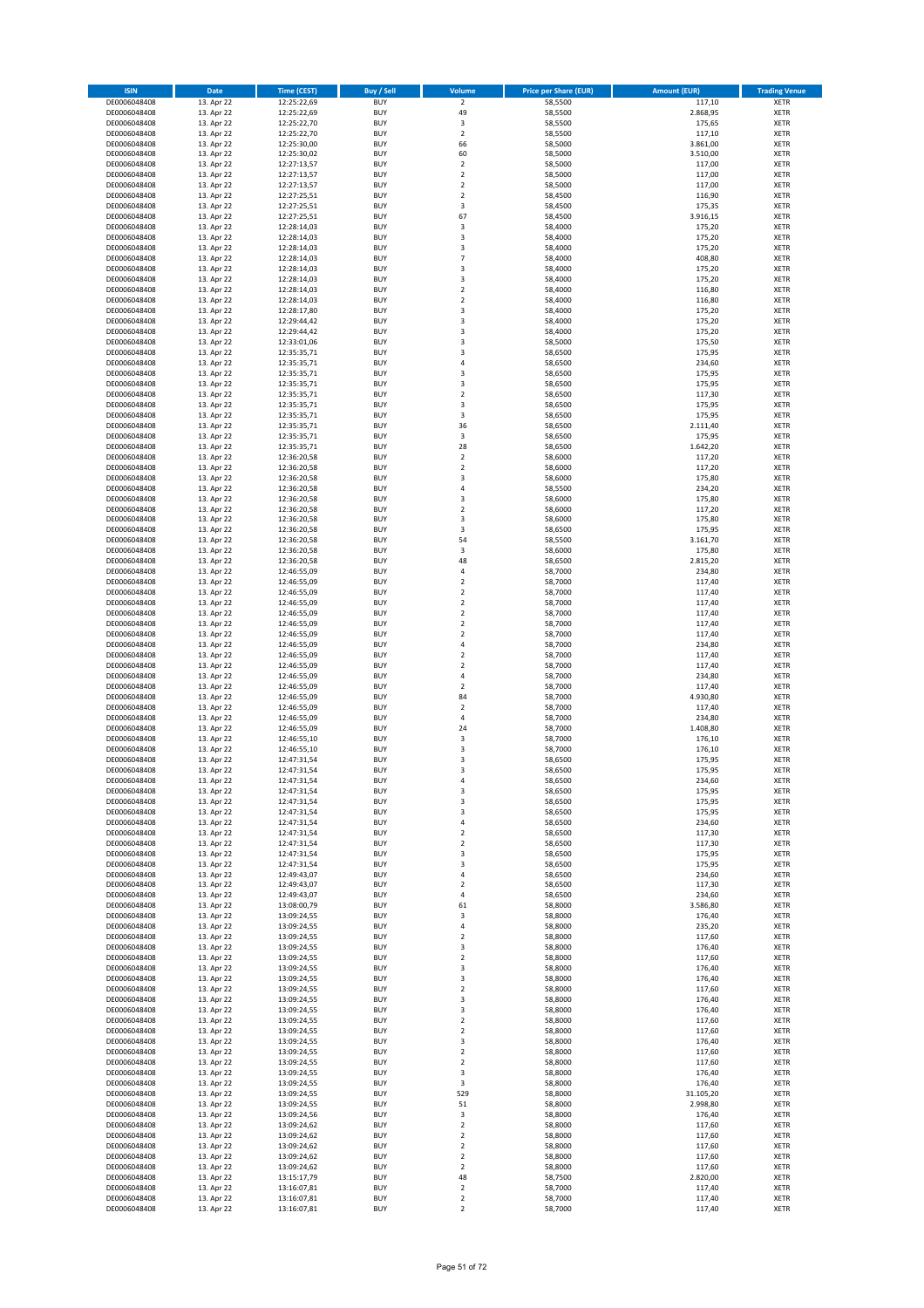| <b>ISIN</b>                  | Date                     | <b>Time (CEST)</b>         | <b>Buy / Sell</b>        | Volume                                    | <b>Price per Share (EUR)</b> | <b>Amount (EUR)</b> | <b>Trading Venue</b>       |
|------------------------------|--------------------------|----------------------------|--------------------------|-------------------------------------------|------------------------------|---------------------|----------------------------|
| DE0006048408                 | 13. Apr 22               | 12:25:22,69                | <b>BUY</b>               | $\overline{2}$                            | 58,5500                      | 117,10              | <b>XETR</b>                |
| DE0006048408                 | 13. Apr 22               | 12:25:22,69                | <b>BUY</b>               | 49                                        | 58,5500                      | 2.868,95            | <b>XETR</b>                |
| DE0006048408<br>DE0006048408 | 13. Apr 22<br>13. Apr 22 | 12:25:22,70<br>12:25:22,70 | <b>BUY</b><br><b>BUY</b> | 3<br>$\mathbf 2$                          | 58,5500<br>58,5500           | 175,65<br>117,10    | <b>XETR</b><br><b>XETR</b> |
| DE0006048408                 | 13. Apr 22               | 12:25:30,00                | <b>BUY</b>               | 66                                        | 58,5000                      | 3.861,00            | <b>XETR</b>                |
| DE0006048408                 | 13. Apr 22               | 12:25:30,02                | <b>BUY</b>               | 60                                        | 58,5000                      | 3.510,00            | <b>XETR</b>                |
| DE0006048408                 | 13. Apr 22               | 12:27:13,57                | <b>BUY</b>               | $\overline{2}$                            | 58,5000                      | 117,00              | <b>XETR</b>                |
| DE0006048408                 | 13. Apr 22               | 12:27:13,57                | <b>BUY</b>               | $\mathbf 2$                               | 58,5000                      | 117,00              | <b>XETR</b>                |
| DE0006048408<br>DE0006048408 | 13. Apr 22<br>13. Apr 22 | 12:27:13,57                | <b>BUY</b><br><b>BUY</b> | $\sqrt{2}$<br>$\overline{2}$              | 58,5000<br>58,4500           | 117,00<br>116,90    | XETR<br><b>XETR</b>        |
| DE0006048408                 | 13. Apr 22               | 12:27:25,51<br>12:27:25,51 | <b>BUY</b>               | 3                                         | 58,4500                      | 175,35              | XETR                       |
| DE0006048408                 | 13. Apr 22               | 12:27:25,51                | <b>BUY</b>               | 67                                        | 58,4500                      | 3.916,15            | <b>XETR</b>                |
| DE0006048408                 | 13. Apr 22               | 12:28:14,03                | <b>BUY</b>               | 3                                         | 58,4000                      | 175,20              | XETR                       |
| DE0006048408                 | 13. Apr 22               | 12:28:14,03                | <b>BUY</b>               | 3                                         | 58,4000                      | 175,20              | <b>XETR</b>                |
| DE0006048408                 | 13. Apr 22               | 12:28:14,03                | <b>BUY</b><br><b>BUY</b> | 3<br>$\overline{7}$                       | 58,4000                      | 175,20              | XETR<br><b>XETR</b>        |
| DE0006048408<br>DE0006048408 | 13. Apr 22<br>13. Apr 22 | 12:28:14,03<br>12:28:14,03 | <b>BUY</b>               | 3                                         | 58,4000<br>58,4000           | 408,80<br>175,20    | XETR                       |
| DE0006048408                 | 13. Apr 22               | 12:28:14,03                | <b>BUY</b>               | 3                                         | 58,4000                      | 175,20              | <b>XETR</b>                |
| DE0006048408                 | 13. Apr 22               | 12:28:14,03                | <b>BUY</b>               | $\overline{2}$                            | 58,4000                      | 116,80              | XETR                       |
| DE0006048408                 | 13. Apr 22               | 12:28:14,03                | <b>BUY</b>               | $\overline{2}$                            | 58,4000                      | 116,80              | <b>XETR</b>                |
| DE0006048408<br>DE0006048408 | 13. Apr 22<br>13. Apr 22 | 12:28:17,80<br>12:29:44,42 | <b>BUY</b><br><b>BUY</b> | 3<br>3                                    | 58,4000<br>58,4000           | 175,20<br>175,20    | <b>XETR</b><br><b>XETR</b> |
| DE0006048408                 | 13. Apr 22               | 12:29:44,42                | <b>BUY</b>               | 3                                         | 58,4000                      | 175,20              | <b>XETR</b>                |
| DE0006048408                 | 13. Apr 22               | 12:33:01,06                | <b>BUY</b>               | 3                                         | 58,5000                      | 175,50              | <b>XETR</b>                |
| DE0006048408                 | 13. Apr 22               | 12:35:35,71                | <b>BUY</b>               | 3                                         | 58,6500                      | 175,95              | <b>XETR</b>                |
| DE0006048408                 | 13. Apr 22               | 12:35:35,71                | <b>BUY</b>               | 4                                         | 58,6500                      | 234,60              | <b>XETR</b>                |
| DE0006048408                 | 13. Apr 22               | 12:35:35,71                | <b>BUY</b>               | 3                                         | 58,6500                      | 175,95              | <b>XETR</b>                |
| DE0006048408<br>DE0006048408 | 13. Apr 22<br>13. Apr 22 | 12:35:35,71<br>12:35:35,71 | <b>BUY</b><br><b>BUY</b> | 3<br>$\overline{2}$                       | 58,6500<br>58,6500           | 175,95<br>117,30    | <b>XETR</b><br><b>XETR</b> |
| DE0006048408                 | 13. Apr 22               | 12:35:35,71                | <b>BUY</b>               | 3                                         | 58,6500                      | 175,95              | <b>XETR</b>                |
| DE0006048408                 | 13. Apr 22               | 12:35:35,71                | <b>BUY</b>               | 3                                         | 58,6500                      | 175,95              | <b>XETR</b>                |
| DE0006048408                 | 13. Apr 22               | 12:35:35,71                | <b>BUY</b>               | 36                                        | 58,6500                      | 2.111,40            | <b>XETR</b>                |
| DE0006048408                 | 13. Apr 22               | 12:35:35,71                | <b>BUY</b>               | 3                                         | 58,6500                      | 175,95<br>1.642,20  | <b>XETR</b>                |
| DE0006048408<br>DE0006048408 | 13. Apr 22<br>13. Apr 22 | 12:35:35,71<br>12:36:20,58 | <b>BUY</b><br><b>BUY</b> | 28<br>$\overline{2}$                      | 58,6500<br>58,6000           | 117,20              | XETR<br><b>XETR</b>        |
| DE0006048408                 | 13. Apr 22               | 12:36:20,58                | <b>BUY</b>               | $\mathbf 2$                               | 58,6000                      | 117,20              | XETR                       |
| DE0006048408                 | 13. Apr 22               | 12:36:20,58                | <b>BUY</b>               | 3                                         | 58,6000                      | 175,80              | <b>XETR</b>                |
| DE0006048408                 | 13. Apr 22               | 12:36:20,58                | <b>BUY</b>               | $\sqrt{4}$                                | 58,5500                      | 234,20              | XETR                       |
| DE0006048408                 | 13. Apr 22               | 12:36:20,58                | <b>BUY</b>               | 3                                         | 58,6000                      | 175,80              | <b>XETR</b>                |
| DE0006048408<br>DE0006048408 | 13. Apr 22<br>13. Apr 22 | 12:36:20,58<br>12:36:20,58 | <b>BUY</b><br><b>BUY</b> | $\overline{2}$<br>3                       | 58,6000<br>58,6000           | 117,20<br>175,80    | <b>XETR</b><br><b>XETR</b> |
| DE0006048408                 | 13. Apr 22               | 12:36:20,58                | <b>BUY</b>               | 3                                         | 58,6500                      | 175,95              | XETR                       |
| DE0006048408                 | 13. Apr 22               | 12:36:20,58                | <b>BUY</b>               | 54                                        | 58,5500                      | 3.161,70            | <b>XETR</b>                |
| DE0006048408                 | 13. Apr 22               | 12:36:20,58                | <b>BUY</b>               | 3                                         | 58,6000                      | 175,80              | <b>XETR</b>                |
| DE0006048408                 | 13. Apr 22               | 12:36:20,58                | <b>BUY</b>               | 48                                        | 58,6500                      | 2.815,20            | <b>XETR</b>                |
| DE0006048408                 | 13. Apr 22               | 12:46:55,09                | <b>BUY</b>               | 4                                         | 58,7000                      | 234,80              | <b>XETR</b>                |
| DE0006048408<br>DE0006048408 | 13. Apr 22<br>13. Apr 22 | 12:46:55,09<br>12:46:55,09 | <b>BUY</b><br><b>BUY</b> | $\sqrt{2}$<br>$\sqrt{2}$                  | 58,7000<br>58,7000           | 117,40<br>117,40    | <b>XETR</b><br><b>XETR</b> |
| DE0006048408                 | 13. Apr 22               | 12:46:55,09                | <b>BUY</b>               | $\mathbf 2$                               | 58,7000                      | 117,40              | <b>XETR</b>                |
| DE0006048408                 | 13. Apr 22               | 12:46:55,09                | <b>BUY</b>               | $\mathbf 2$                               | 58,7000                      | 117,40              | <b>XETR</b>                |
| DE0006048408                 | 13. Apr 22               | 12:46:55,09                | <b>BUY</b>               | $\mathbf 2$                               | 58,7000                      | 117,40              | <b>XETR</b>                |
| DE0006048408                 | 13. Apr 22               | 12:46:55,09                | <b>BUY</b><br><b>BUY</b> | $\overline{2}$<br>$\sqrt{4}$              | 58,7000                      | 117,40              | <b>XETR</b>                |
| DE0006048408<br>DE0006048408 | 13. Apr 22<br>13. Apr 22 | 12:46:55,09<br>12:46:55,09 | <b>BUY</b>               | $\overline{2}$                            | 58,7000<br>58,7000           | 234,80<br>117,40    | <b>XETR</b><br><b>XETR</b> |
| DE0006048408                 | 13. Apr 22               | 12:46:55,09                | <b>BUY</b>               | $\mathbf 2$                               | 58,7000                      | 117,40              | <b>XETR</b>                |
| DE0006048408                 | 13. Apr 22               | 12:46:55,09                | <b>BUY</b>               | $\overline{4}$                            | 58,7000                      | 234,80              | <b>XETR</b>                |
| DE0006048408                 | 13. Apr 22               | 12:46:55,09                | <b>BUY</b>               | $\overline{2}$                            | 58,7000                      | 117,40              | <b>XETR</b>                |
| DE0006048408                 | 13. Apr 22               | 12:46:55,09                | <b>BUY</b>               | 84                                        | 58,7000                      | 4.930,80            | <b>XETR</b>                |
| DE0006048408<br>DE0006048408 | 13. Apr 22<br>13. Apr 22 | 12:46:55,09<br>12:46:55,09 | <b>BUY</b><br><b>BUY</b> | $\overline{2}$<br>$\sqrt{4}$              | 58,7000<br>58,7000           | 117,40<br>234,80    | <b>XETR</b><br><b>XETR</b> |
| DE0006048408                 | 13. Apr 22               | 12:46:55,09                | <b>BUY</b>               | 24                                        | 58,7000                      | 1.408,80            | XETR                       |
| DE0006048408                 | 13. Apr 22               | 12:46:55,10                | <b>BUY</b>               | 3                                         | 58,7000                      | 176,10              | <b>XETR</b>                |
| DE0006048408                 | 13. Apr 22               | 12:46:55,10                | <b>BUY</b>               | 3                                         | 58,7000                      | 176,10              | XETR                       |
| DE0006048408                 | 13. Apr 22               | 12:47:31,54                | <b>BUY</b>               | 3                                         | 58,6500                      | 175,95              | <b>XETR</b>                |
| DE0006048408<br>DE0006048408 | 13. Apr 22<br>13. Apr 22 | 12:47:31,54<br>12:47:31,54 | <b>BUY</b><br><b>BUY</b> | 3<br>4                                    | 58,6500<br>58,6500           | 175,95<br>234,60    | <b>XETR</b><br>XETR        |
| DE0006048408                 | 13. Apr 22               | 12:47:31,54                | <b>BUY</b>               | 3                                         | 58,6500                      | 175,95              | XETR                       |
| DE0006048408                 | 13. Apr 22               | 12:47:31,54                | <b>BUY</b>               | 3                                         | 58,6500                      | 175,95              | XETR                       |
| DE0006048408                 | 13. Apr 22               | 12:47:31,54                | <b>BUY</b>               | 3                                         | 58,6500                      | 175,95              | <b>XETR</b>                |
| DE0006048408                 | 13. Apr 22               | 12:47:31,54                | <b>BUY</b>               | $\sqrt{4}$                                | 58,6500                      | 234,60              | <b>XETR</b>                |
| DE0006048408<br>DE0006048408 | 13. Apr 22<br>13. Apr 22 | 12:47:31,54<br>12:47:31,54 | <b>BUY</b><br><b>BUY</b> | $\sqrt{2}$<br>$\mathbf 2$                 | 58,6500<br>58,6500           | 117,30<br>117,30    | XETR<br><b>XETR</b>        |
| DE0006048408                 | 13. Apr 22               | 12:47:31,54                | <b>BUY</b>               | 3                                         | 58,6500                      | 175,95              | XETR                       |
| DE0006048408                 | 13. Apr 22               | 12:47:31,54                | <b>BUY</b>               | 3                                         | 58,6500                      | 175,95              | <b>XETR</b>                |
| DE0006048408                 | 13. Apr 22               | 12:49:43,07                | <b>BUY</b>               | $\bf{4}$                                  | 58,6500                      | 234,60              | XETR                       |
| DE0006048408<br>DE0006048408 | 13. Apr 22<br>13. Apr 22 | 12:49:43,07<br>12:49:43,07 | <b>BUY</b><br><b>BUY</b> | $\mathbf 2$<br>$\sqrt{4}$                 | 58,6500<br>58,6500           | 117,30<br>234,60    | <b>XETR</b><br>XETR        |
| DE0006048408                 | 13. Apr 22               | 13:08:00,79                | <b>BUY</b>               | 61                                        | 58,8000                      | 3.586,80            | <b>XETR</b>                |
| DE0006048408                 | 13. Apr 22               | 13:09:24,55                | <b>BUY</b>               | 3                                         | 58,8000                      | 176,40              | XETR                       |
| DE0006048408                 | 13. Apr 22               | 13:09:24,55                | <b>BUY</b>               | 4                                         | 58,8000                      | 235,20              | <b>XETR</b>                |
| DE0006048408                 | 13. Apr 22               | 13:09:24,55                | <b>BUY</b>               | $\sqrt{2}$                                | 58,8000                      | 117,60              | <b>XETR</b>                |
| DE0006048408<br>DE0006048408 | 13. Apr 22<br>13. Apr 22 | 13:09:24,55<br>13:09:24,55 | <b>BUY</b><br><b>BUY</b> | 3<br>$\mathbf 2$                          | 58,8000<br>58,8000           | 176,40<br>117,60    | <b>XETR</b><br><b>XETR</b> |
| DE0006048408                 | 13. Apr 22               | 13:09:24,55                | <b>BUY</b>               | 3                                         | 58,8000                      | 176,40              | <b>XETR</b>                |
| DE0006048408                 | 13. Apr 22               | 13:09:24,55                | <b>BUY</b>               | 3                                         | 58,8000                      | 176,40              | <b>XETR</b>                |
| DE0006048408                 | 13. Apr 22               | 13:09:24,55                | <b>BUY</b>               | $\mathbf 2$                               | 58,8000                      | 117,60              | <b>XETR</b>                |
| DE0006048408                 | 13. Apr 22               | 13:09:24,55                | <b>BUY</b>               | 3                                         | 58,8000                      | 176,40              | <b>XETR</b>                |
| DE0006048408<br>DE0006048408 | 13. Apr 22<br>13. Apr 22 | 13:09:24,55<br>13:09:24,55 | <b>BUY</b><br><b>BUY</b> | 3<br>$\mathbf 2$                          | 58,8000<br>58,8000           | 176,40<br>117,60    | XETR<br>XETR               |
| DE0006048408                 | 13. Apr 22               | 13:09:24,55                | <b>BUY</b>               | $\sqrt{2}$                                | 58,8000                      | 117,60              | <b>XETR</b>                |
| DE0006048408                 | 13. Apr 22               | 13:09:24,55                | <b>BUY</b>               | 3                                         | 58,8000                      | 176,40              | <b>XETR</b>                |
| DE0006048408                 | 13. Apr 22               | 13:09:24,55                | <b>BUY</b>               | $\overline{\mathbf{c}}$                   | 58,8000                      | 117,60              | XETR                       |
| DE0006048408                 | 13. Apr 22               | 13:09:24,55                | <b>BUY</b>               | $\overline{2}$                            | 58,8000                      | 117,60              | XETR                       |
| DE0006048408                 | 13. Apr 22               | 13:09:24,55                | <b>BUY</b><br><b>BUY</b> | 3<br>3                                    | 58,8000                      | 176,40              | XETR                       |
| DE0006048408<br>DE0006048408 | 13. Apr 22<br>13. Apr 22 | 13:09:24,55<br>13:09:24,55 | <b>BUY</b>               | 529                                       | 58,8000<br>58,8000           | 176,40<br>31.105,20 | <b>XETR</b><br>XETR        |
| DE0006048408                 | 13. Apr 22               | 13:09:24,55                | <b>BUY</b>               | 51                                        | 58,8000                      | 2.998,80            | XETR                       |
| DE0006048408                 | 13. Apr 22               | 13:09:24,56                | <b>BUY</b>               | 3                                         | 58,8000                      | 176,40              | <b>XETR</b>                |
| DE0006048408                 | 13. Apr 22               | 13:09:24,62                | <b>BUY</b>               | $\mathbf 2$                               | 58,8000                      | 117,60              | <b>XETR</b>                |
| DE0006048408<br>DE0006048408 | 13. Apr 22<br>13. Apr 22 | 13:09:24,62<br>13:09:24,62 | <b>BUY</b><br><b>BUY</b> | $\overline{\mathbf{c}}$<br>$\overline{2}$ | 58,8000<br>58,8000           | 117,60<br>117,60    | <b>XETR</b><br><b>XETR</b> |
| DE0006048408                 | 13. Apr 22               | 13:09:24,62                | <b>BUY</b>               | $\mathbf 2$                               | 58,8000                      | 117,60              | <b>XETR</b>                |
| DE0006048408                 | 13. Apr 22               | 13:09:24,62                | <b>BUY</b>               | $\overline{2}$                            | 58,8000                      | 117,60              | <b>XETR</b>                |
| DE0006048408                 | 13. Apr 22               | 13:15:17,79                | <b>BUY</b>               | 48                                        | 58,7500                      | 2.820,00            | <b>XETR</b>                |
| DE0006048408                 | 13. Apr 22               | 13:16:07,81                | <b>BUY</b>               | $\overline{2}$                            | 58,7000                      | 117,40              | <b>XETR</b>                |
| DE0006048408<br>DE0006048408 | 13. Apr 22<br>13. Apr 22 | 13:16:07,81<br>13:16:07,81 | <b>BUY</b><br><b>BUY</b> | $\mathbf 2$<br>$\mathbf 2$                | 58,7000<br>58,7000           | 117,40<br>117,40    | <b>XETR</b><br><b>XETR</b> |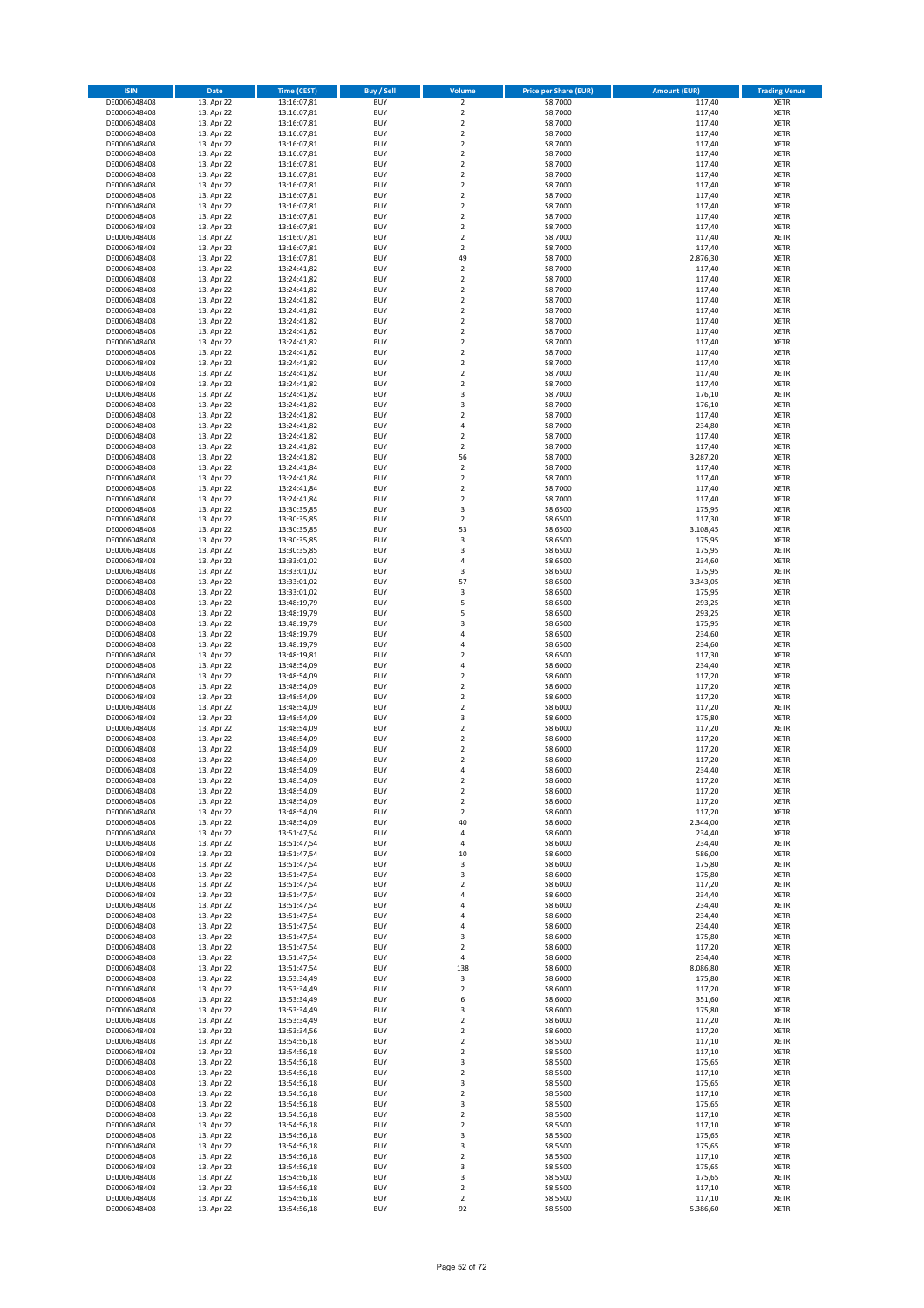| <b>ISIN</b>                  | <b>Date</b>              | <b>Time (CEST)</b>         | Buy / Sell               | Volume                        | <b>Price per Share (EUR)</b> | <b>Amount (EUR)</b> | <b>Trading Venue</b>       |
|------------------------------|--------------------------|----------------------------|--------------------------|-------------------------------|------------------------------|---------------------|----------------------------|
| DE0006048408                 | 13. Apr 22               | 13:16:07,81                | <b>BUY</b>               | $\overline{\mathbf{c}}$       | 58,7000                      | 117,40              | XETR                       |
| DE0006048408<br>DE0006048408 | 13. Apr 22<br>13. Apr 22 | 13:16:07,81<br>13:16:07,81 | <b>BUY</b><br><b>BUY</b> | $\mathbf 2$<br>$\mathbf 2$    | 58,7000<br>58,7000           | 117,40<br>117,40    | XETR<br>XETR               |
| DE0006048408                 | 13. Apr 22               | 13:16:07,81                | <b>BUY</b>               | $\mathbf 2$                   | 58,7000                      | 117,40              | XETR                       |
| DE0006048408                 | 13. Apr 22               | 13:16:07,81                | <b>BUY</b>               | $\mathbf 2$                   | 58,7000                      | 117,40              | XETR                       |
| DE0006048408                 | 13. Apr 22               | 13:16:07,81                | <b>BUY</b>               | $\mathbf 2$                   | 58,7000                      | 117,40              | <b>XETR</b>                |
| DE0006048408<br>DE0006048408 | 13. Apr 22<br>13. Apr 22 | 13:16:07,81<br>13:16:07,81 | <b>BUY</b><br><b>BUY</b> | $\mathbf 2$<br>$\mathbf 2$    | 58,7000<br>58,7000           | 117,40<br>117,40    | <b>XETR</b><br><b>XETR</b> |
| DE0006048408                 | 13. Apr 22               | 13:16:07,81                | <b>BUY</b>               | $\mathbf 2$                   | 58,7000                      | 117,40              | <b>XETR</b>                |
| DE0006048408                 | 13. Apr 22               | 13:16:07,81                | <b>BUY</b>               | $\mathbf 2$                   | 58,7000                      | 117,40              | <b>XETR</b>                |
| DE0006048408                 | 13. Apr 22               | 13:16:07,81                | <b>BUY</b>               | $\mathbf 2$                   | 58,7000                      | 117,40              | XETR                       |
| DE0006048408<br>DE0006048408 | 13. Apr 22               | 13:16:07,81<br>13:16:07,81 | <b>BUY</b><br><b>BUY</b> | $\overline{2}$<br>$\mathbf 2$ | 58,7000<br>58,7000           | 117,40<br>117,40    | <b>XETR</b><br>XETR        |
| DE0006048408                 | 13. Apr 22<br>13. Apr 22 | 13:16:07,81                | <b>BUY</b>               | $\mathbf 2$                   | 58,7000                      | 117,40              | <b>XETR</b>                |
| DE0006048408                 | 13. Apr 22               | 13:16:07,81                | <b>BUY</b>               | $\mathbf 2$                   | 58,7000                      | 117,40              | XETR                       |
| DE0006048408                 | 13. Apr 22               | 13:16:07,81                | <b>BUY</b>               | 49                            | 58,7000                      | 2.876,30            | <b>XETR</b>                |
| DE0006048408<br>DE0006048408 | 13. Apr 22<br>13. Apr 22 | 13:24:41,82                | <b>BUY</b><br><b>BUY</b> | $\mathbf 2$<br>$\mathbf 2$    | 58,7000<br>58,7000           | 117,40<br>117,40    | XETR<br><b>XETR</b>        |
| DE0006048408                 | 13. Apr 22               | 13:24:41,82<br>13:24:41,82 | <b>BUY</b>               | $\mathbf 2$                   | 58,7000                      | 117,40              | XETR                       |
| DE0006048408                 | 13. Apr 22               | 13:24:41,82                | <b>BUY</b>               | $\mathbf 2$                   | 58,7000                      | 117,40              | <b>XETR</b>                |
| DE0006048408                 | 13. Apr 22               | 13:24:41,82                | <b>BUY</b>               | $\mathbf 2$                   | 58,7000                      | 117,40              | XETR                       |
| DE0006048408<br>DE0006048408 | 13. Apr 22<br>13. Apr 22 | 13:24:41,82<br>13:24:41,82 | <b>BUY</b><br><b>BUY</b> | $\mathbf 2$<br>$\mathbf 2$    | 58,7000<br>58,7000           | 117,40<br>117,40    | XETR<br><b>XETR</b>        |
| DE0006048408                 | 13. Apr 22               | 13:24:41,82                | <b>BUY</b>               | $\mathbf 2$                   | 58,7000                      | 117,40              | <b>XETR</b>                |
| DE0006048408                 | 13. Apr 22               | 13:24:41,82                | <b>BUY</b>               | $\mathbf 2$                   | 58,7000                      | 117,40              | <b>XETR</b>                |
| DE0006048408                 | 13. Apr 22               | 13:24:41,82                | <b>BUY</b>               | $\mathbf 2$                   | 58,7000                      | 117,40              | <b>XETR</b>                |
| DE0006048408<br>DE0006048408 | 13. Apr 22<br>13. Apr 22 | 13:24:41,82<br>13:24:41,82 | <b>BUY</b><br><b>BUY</b> | $\mathbf 2$<br>$\mathbf 2$    | 58,7000<br>58,7000           | 117,40<br>117,40    | <b>XETR</b><br><b>XETR</b> |
| DE0006048408                 | 13. Apr 22               | 13:24:41,82                | <b>BUY</b>               | 3                             | 58,7000                      | 176,10              | <b>XETR</b>                |
| DE0006048408                 | 13. Apr 22               | 13:24:41,82                | <b>BUY</b>               | 3                             | 58,7000                      | 176,10              | <b>XETR</b>                |
| DE0006048408                 | 13. Apr 22               | 13:24:41,82                | <b>BUY</b>               | $\mathbf 2$                   | 58,7000                      | 117,40              | <b>XETR</b>                |
| DE0006048408<br>DE0006048408 | 13. Apr 22<br>13. Apr 22 | 13:24:41,82<br>13:24:41,82 | <b>BUY</b><br><b>BUY</b> | 4<br>$\mathbf 2$              | 58,7000<br>58,7000           | 234,80<br>117,40    | <b>XETR</b><br><b>XETR</b> |
| DE0006048408                 | 13. Apr 22               | 13:24:41,82                | <b>BUY</b>               | $\mathbf 2$                   | 58,7000                      | 117,40              | XETR                       |
| DE0006048408                 | 13. Apr 22               | 13:24:41,82                | <b>BUY</b>               | 56                            | 58,7000                      | 3.287,20            | <b>XETR</b>                |
| DE0006048408                 | 13. Apr 22               | 13:24:41,84                | <b>BUY</b><br><b>BUY</b> | $\mathbf 2$<br>$\mathbf 2$    | 58,7000                      | 117,40              | XETR<br><b>XETR</b>        |
| DE0006048408<br>DE0006048408 | 13. Apr 22<br>13. Apr 22 | 13:24:41,84<br>13:24:41,84 | <b>BUY</b>               | $\mathbf 2$                   | 58,7000<br>58,7000           | 117,40<br>117,40    | XETR                       |
| DE0006048408                 | 13. Apr 22               | 13:24:41,84                | <b>BUY</b>               | $\mathbf 2$                   | 58,7000                      | 117,40              | <b>XETR</b>                |
| DE0006048408                 | 13. Apr 22               | 13:30:35,85                | <b>BUY</b>               | 3                             | 58,6500                      | 175,95              | <b>XETR</b>                |
| DE0006048408<br>DE0006048408 | 13. Apr 22<br>13. Apr 22 | 13:30:35,85                | <b>BUY</b><br><b>BUY</b> | $\mathbf 2$<br>53             | 58,6500<br>58,6500           | 117,30<br>3.108,45  | <b>XETR</b><br><b>XETR</b> |
| DE0006048408                 | 13. Apr 22               | 13:30:35,85<br>13:30:35,85 | <b>BUY</b>               | 3                             | 58,6500                      | 175,95              | <b>XETR</b>                |
| DE0006048408                 | 13. Apr 22               | 13:30:35,85                | <b>BUY</b>               | 3                             | 58,6500                      | 175,95              | <b>XETR</b>                |
| DE0006048408                 | 13. Apr 22               | 13:33:01,02                | <b>BUY</b>               | 4                             | 58,6500                      | 234,60              | <b>XETR</b>                |
| DE0006048408<br>DE0006048408 | 13. Apr 22<br>13. Apr 22 | 13:33:01,02<br>13:33:01,02 | <b>BUY</b><br><b>BUY</b> | 3<br>57                       | 58,6500<br>58,6500           | 175,95<br>3.343,05  | XETR<br>XETR               |
| DE0006048408                 | 13. Apr 22               | 13:33:01,02                | <b>BUY</b>               | 3                             | 58,6500                      | 175,95              | <b>XETR</b>                |
| DE0006048408                 | 13. Apr 22               | 13:48:19,79                | <b>BUY</b>               | 5                             | 58,6500                      | 293,25              | <b>XETR</b>                |
| DE0006048408                 | 13. Apr 22               | 13:48:19,79                | <b>BUY</b>               | 5                             | 58,6500                      | 293,25              | XETR                       |
| DE0006048408<br>DE0006048408 | 13. Apr 22<br>13. Apr 22 | 13:48:19,79<br>13:48:19,79 | <b>BUY</b><br><b>BUY</b> | 3<br>$\overline{4}$           | 58,6500<br>58,6500           | 175,95<br>234,60    | <b>XETR</b><br><b>XETR</b> |
| DE0006048408                 | 13. Apr 22               | 13:48:19,79                | <b>BUY</b>               | 4                             | 58,6500                      | 234,60              | <b>XETR</b>                |
| DE0006048408                 | 13. Apr 22               | 13:48:19,81                | <b>BUY</b>               | $\mathbf 2$                   | 58,6500                      | 117,30              | XETR                       |
| DE0006048408                 | 13. Apr 22               | 13:48:54,09                | <b>BUY</b>               | 4                             | 58,6000                      | 234,40              | XETR                       |
| DE0006048408<br>DE0006048408 | 13. Apr 22<br>13. Apr 22 | 13:48:54,09<br>13:48:54,09 | <b>BUY</b><br><b>BUY</b> | $\mathbf 2$<br>$\mathbf 2$    | 58,6000<br>58,6000           | 117,20<br>117,20    | <b>XETR</b><br><b>XETR</b> |
| DE0006048408                 | 13. Apr 22               | 13:48:54,09                | <b>BUY</b>               | $\mathbf 2$                   | 58,6000                      | 117,20              | <b>XETR</b>                |
| DE0006048408                 | 13. Apr 22               | 13:48:54,09                | <b>BUY</b>               | $\mathbf 2$                   | 58,6000                      | 117,20              | XETR                       |
| DE0006048408                 | 13. Apr 22               | 13:48:54,09<br>13:48:54,09 | <b>BUY</b>               | 3<br>$\mathbf 2$              | 58,6000                      | 175,80              | <b>XETR</b>                |
| DE0006048408<br>DE0006048408 | 13. Apr 22<br>13. Apr 22 | 13:48:54,09                | <b>BUY</b><br><b>BUY</b> | $\overline{\mathbf{c}}$       | 58,6000<br>58,6000           | 117,20<br>117,20    | XETR<br><b>XETR</b>        |
| DE0006048408                 | 13. Apr 22               | 13:48:54,09                | <b>BUY</b>               | 2                             | 58,6000                      | 117,20              | XETR                       |
| DE0006048408                 | 13. Apr 22               | 13:48:54,09                | <b>BUY</b>               | $\overline{\mathbf{c}}$       | 58,6000                      | 117,20              | <b>XETR</b>                |
| DE0006048408<br>DE0006048408 | 13. Apr 22<br>13. Apr 22 | 13:48:54,09<br>13:48:54,09 | <b>BUY</b><br><b>BUY</b> | 4<br>2                        | 58,6000<br>58,6000           | 234,40<br>117,20    | XETR<br>XETR               |
| DE0006048408                 | 13. Apr 22               | 13:48:54,09                | <b>BUY</b>               | $\boldsymbol{2}$              | 58,6000                      | 117,20              | XETR                       |
| DE0006048408                 | 13. Apr 22               | 13:48:54,09                | <b>BUY</b>               | $\mathbf 2$                   | 58,6000                      | 117,20              | XETR                       |
| DE0006048408                 | 13. Apr 22               | 13:48:54,09                | <b>BUY</b>               | 2                             | 58,6000                      | 117,20              | XETR                       |
| DE0006048408<br>DE0006048408 | 13. Apr 22<br>13. Apr 22 | 13:48:54,09<br>13:51:47,54 | <b>BUY</b><br><b>BUY</b> | 40<br>4                       | 58,6000<br>58,6000           | 2.344,00<br>234,40  | XETR<br>XETR               |
| DE0006048408                 | 13. Apr 22               | 13:51:47,54                | <b>BUY</b>               | 4                             | 58,6000                      | 234,40              | <b>XETR</b>                |
| DE0006048408                 | 13. Apr 22               | 13:51:47,54                | <b>BUY</b>               | 10                            | 58,6000                      | 586,00              | XETR                       |
| DE0006048408                 | 13. Apr 22<br>13. Apr 22 | 13:51:47,54                | <b>BUY</b>               | 3                             | 58,6000                      | 175,80              | <b>XETR</b>                |
| DE0006048408<br>DE0006048408 | 13. Apr 22               | 13:51:47,54<br>13:51:47,54 | <b>BUY</b><br><b>BUY</b> | 3<br>2                        | 58,6000<br>58,6000           | 175,80<br>117,20    | XETR<br><b>XETR</b>        |
| DE0006048408                 | 13. Apr 22               | 13:51:47,54                | <b>BUY</b>               | 4                             | 58,6000                      | 234,40              | XETR                       |
| DE0006048408                 | 13. Apr 22               | 13:51:47,54                | <b>BUY</b>               | 4                             | 58,6000                      | 234,40              | <b>XETR</b>                |
| DE0006048408<br>DE0006048408 | 13. Apr 22<br>13. Apr 22 | 13:51:47,54<br>13:51:47,54 | <b>BUY</b><br><b>BUY</b> | 4<br>4                        | 58,6000<br>58,6000           | 234,40<br>234,40    | XETR<br><b>XETR</b>        |
| DE0006048408                 | 13. Apr 22               | 13:51:47,54                | <b>BUY</b>               | 3                             | 58,6000                      | 175,80              | XETR                       |
| DE0006048408                 | 13. Apr 22               | 13:51:47,54                | <b>BUY</b>               | 2                             | 58,6000                      | 117,20              | <b>XETR</b>                |
| DE0006048408                 | 13. Apr 22               | 13:51:47,54                | <b>BUY</b>               | 4                             | 58,6000                      | 234,40              | XETR                       |
| DE0006048408<br>DE0006048408 | 13. Apr 22<br>13. Apr 22 | 13:51:47,54<br>13:53:34,49 | <b>BUY</b><br><b>BUY</b> | 138<br>3                      | 58,6000<br>58,6000           | 8.086,80<br>175,80  | <b>XETR</b><br>XETR        |
| DE0006048408                 | 13. Apr 22               | 13:53:34,49                | <b>BUY</b>               | $\mathbf 2$                   | 58,6000                      | 117,20              | <b>XETR</b>                |
| DE0006048408                 | 13. Apr 22               | 13:53:34,49                | <b>BUY</b>               | 6                             | 58,6000                      | 351,60              | <b>XETR</b>                |
| DE0006048408                 | 13. Apr 22               | 13:53:34,49                | <b>BUY</b>               | 3                             | 58,6000                      | 175,80              | XETR                       |
| DE0006048408<br>DE0006048408 | 13. Apr 22<br>13. Apr 22 | 13:53:34,49<br>13:53:34,56 | <b>BUY</b><br><b>BUY</b> | $\mathbf 2$<br>$\mathbf 2$    | 58,6000<br>58,6000           | 117,20<br>117,20    | <b>XETR</b><br>XETR        |
| DE0006048408                 | 13. Apr 22               | 13:54:56,18                | <b>BUY</b>               | $\mathbf 2$                   | 58,5500                      | 117,10              | <b>XETR</b>                |
| DE0006048408                 | 13. Apr 22               | 13:54:56,18                | <b>BUY</b>               | 2                             | 58,5500                      | 117,10              | XETR                       |
| DE0006048408                 | 13. Apr 22               | 13:54:56,18                | <b>BUY</b>               | 3                             | 58,5500                      | 175,65              | <b>XETR</b>                |
| DE0006048408<br>DE0006048408 | 13. Apr 22<br>13. Apr 22 | 13:54:56,18<br>13:54:56,18 | <b>BUY</b><br><b>BUY</b> | $\mathbf 2$<br>3              | 58,5500<br>58,5500           | 117,10<br>175,65    | XETR<br><b>XETR</b>        |
| DE0006048408                 | 13. Apr 22               | 13:54:56,18                | <b>BUY</b>               | $\mathbf 2$                   | 58,5500                      | 117,10              | XETR                       |
| DE0006048408                 | 13. Apr 22               | 13:54:56,18                | <b>BUY</b>               | 3                             | 58,5500                      | 175,65              | <b>XETR</b>                |
| DE0006048408<br>DE0006048408 | 13. Apr 22               | 13:54:56,18                | <b>BUY</b><br><b>BUY</b> | $\mathbf 2$                   | 58,5500                      | 117,10              | XETR                       |
| DE0006048408                 | 13. Apr 22<br>13. Apr 22 | 13:54:56,18<br>13:54:56,18 | <b>BUY</b>               | $\mathbf 2$<br>3              | 58,5500<br>58,5500           | 117,10<br>175,65    | <b>XETR</b><br><b>XETR</b> |
| DE0006048408                 | 13. Apr 22               | 13:54:56,18                | <b>BUY</b>               | 3                             | 58,5500                      | 175,65              | <b>XETR</b>                |
| DE0006048408                 | 13. Apr 22               | 13:54:56,18                | <b>BUY</b>               | $\mathbf 2$                   | 58,5500                      | 117,10              | XETR                       |
| DE0006048408<br>DE0006048408 | 13. Apr 22<br>13. Apr 22 | 13:54:56,18<br>13:54:56,18 | <b>BUY</b><br><b>BUY</b> | 3<br>3                        | 58,5500<br>58,5500           | 175,65<br>175,65    | <b>XETR</b><br>XETR        |
| DE0006048408                 | 13. Apr 22               | 13:54:56,18                | <b>BUY</b>               | $\mathbf 2$                   | 58,5500                      | 117,10              | XETR                       |
| DE0006048408                 | 13. Apr 22               | 13:54:56,18                | <b>BUY</b>               | $\boldsymbol{2}$              | 58,5500                      | 117,10              | XETR                       |
| DE0006048408                 | 13. Apr 22               | 13:54:56,18                | <b>BUY</b>               | 92                            | 58,5500                      | 5.386,60            | XETR                       |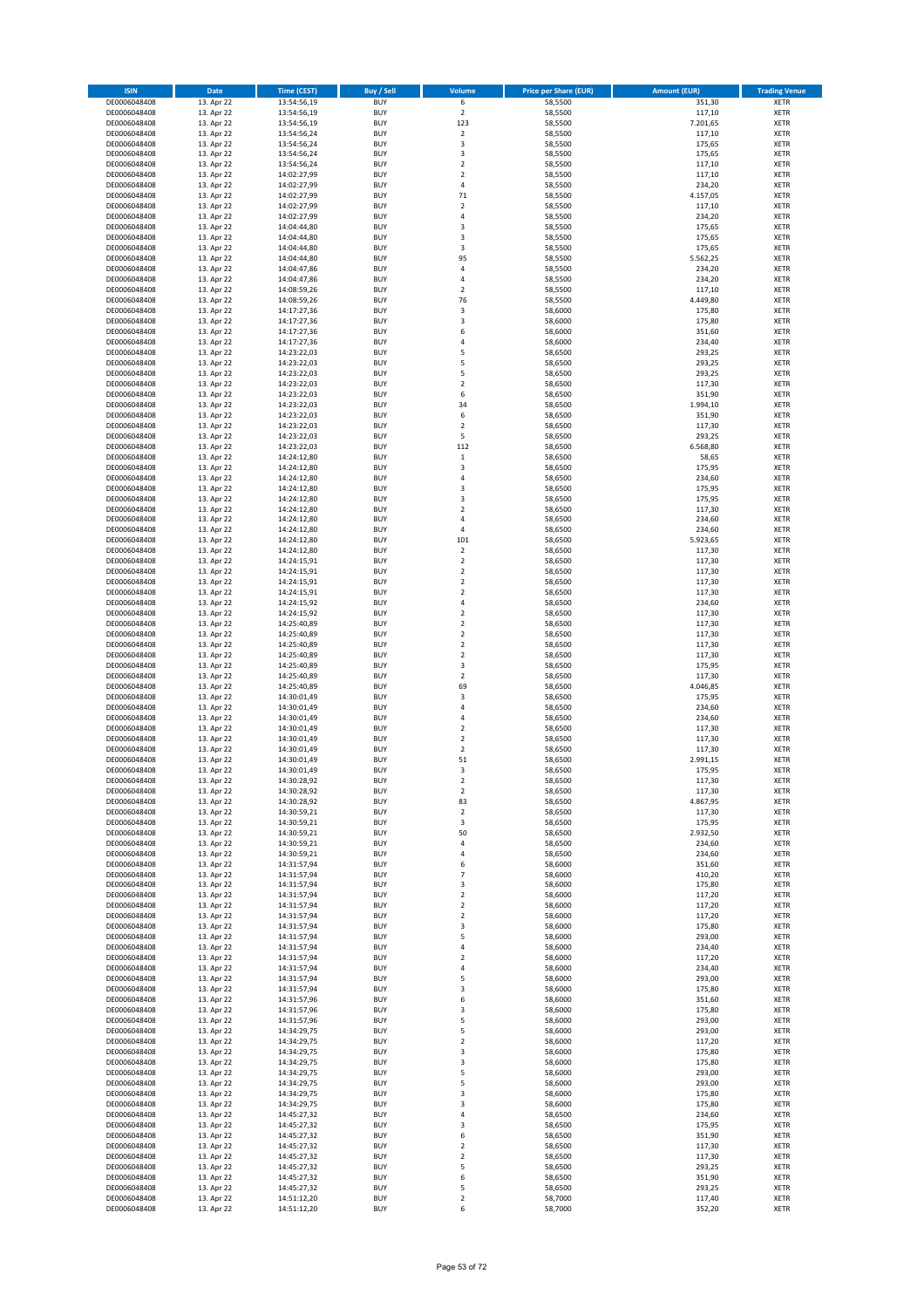| <b>ISIN</b>                  | Date                     | <b>Time (CEST)</b>         | <b>Buy / Sell</b>        | Volume                               | <b>Price per Share (EUR)</b> | <b>Amount (EUR)</b> | <b>Trading Venue</b>       |
|------------------------------|--------------------------|----------------------------|--------------------------|--------------------------------------|------------------------------|---------------------|----------------------------|
| DE0006048408                 | 13. Apr 22               | 13:54:56,19                | <b>BUY</b>               | 6                                    | 58,5500                      | 351,30              | <b>XETR</b>                |
| DE0006048408                 | 13. Apr 22               | 13:54:56,19                | <b>BUY</b>               | $\mathbf 2$                          | 58,5500                      | 117,10              | <b>XETR</b>                |
| DE0006048408<br>DE0006048408 | 13. Apr 22<br>13. Apr 22 | 13:54:56,19<br>13:54:56,24 | <b>BUY</b><br><b>BUY</b> | 123<br>$\mathbf 2$                   | 58,5500<br>58,5500           | 7.201,65<br>117,10  | <b>XETR</b><br><b>XETR</b> |
| DE0006048408                 | 13. Apr 22               | 13:54:56,24                | <b>BUY</b>               | $\mathsf 3$                          | 58,5500                      | 175,65              | <b>XETR</b>                |
| DE0006048408                 | 13. Apr 22               | 13:54:56,24                | <b>BUY</b>               | 3                                    | 58,5500                      | 175,65              | <b>XETR</b>                |
| DE0006048408                 | 13. Apr 22               | 13:54:56,24                | <b>BUY</b>               | $\overline{2}$                       | 58,5500                      | 117,10              | <b>XETR</b>                |
| DE0006048408                 | 13. Apr 22               | 14:02:27,99                | <b>BUY</b>               | $\overline{2}$                       | 58,5500                      | 117,10              | <b>XETR</b>                |
| DE0006048408<br>DE0006048408 | 13. Apr 22<br>13. Apr 22 | 14:02:27,99                | <b>BUY</b><br><b>BUY</b> | $\sqrt{4}$<br>71                     | 58,5500<br>58,5500           | 234,20<br>4.157,05  | XETR<br><b>XETR</b>        |
| DE0006048408                 | 13. Apr 22               | 14:02:27,99<br>14:02:27,99 | <b>BUY</b>               | $\overline{2}$                       | 58,5500                      | 117,10              | XETR                       |
| DE0006048408                 | 13. Apr 22               | 14:02:27,99                | <b>BUY</b>               | $\sqrt{4}$                           | 58,5500                      | 234,20              | <b>XETR</b>                |
| DE0006048408                 | 13. Apr 22               | 14:04:44,80                | <b>BUY</b>               | 3                                    | 58,5500                      | 175,65              | XETR                       |
| DE0006048408                 | 13. Apr 22               | 14:04:44,80                | <b>BUY</b>               | 3                                    | 58,5500                      | 175,65              | <b>XETR</b>                |
| DE0006048408                 | 13. Apr 22               | 14:04:44,80                | <b>BUY</b>               | 3                                    | 58,5500                      | 175,65              | XETR                       |
| DE0006048408<br>DE0006048408 | 13. Apr 22<br>13. Apr 22 | 14:04:44,80<br>14:04:47,86 | <b>BUY</b><br><b>BUY</b> | 95<br>4                              | 58,5500<br>58,5500           | 5.562,25<br>234,20  | <b>XETR</b><br>XETR        |
| DE0006048408                 | 13. Apr 22               | 14:04:47,86                | <b>BUY</b>               | 4                                    | 58,5500                      | 234,20              | <b>XETR</b>                |
| DE0006048408                 | 13. Apr 22               | 14:08:59,26                | <b>BUY</b>               | $\overline{2}$                       | 58,5500                      | 117,10              | XETR                       |
| DE0006048408                 | 13. Apr 22               | 14:08:59,26                | <b>BUY</b>               | 76                                   | 58,5500                      | 4.449,80            | <b>XETR</b>                |
| DE0006048408<br>DE0006048408 | 13. Apr 22<br>13. Apr 22 | 14:17:27,36<br>14:17:27,36 | <b>BUY</b><br><b>BUY</b> | 3<br>$\overline{\mathbf{3}}$         | 58,6000<br>58,6000           | 175,80<br>175,80    | <b>XETR</b><br><b>XETR</b> |
| DE0006048408                 | 13. Apr 22               | 14:17:27,36                | <b>BUY</b>               | 6                                    | 58,6000                      | 351,60              | <b>XETR</b>                |
| DE0006048408                 | 13. Apr 22               | 14:17:27,36                | <b>BUY</b>               | 4                                    | 58,6000                      | 234,40              | <b>XETR</b>                |
| DE0006048408                 | 13. Apr 22               | 14:23:22,03                | <b>BUY</b>               | 5                                    | 58,6500                      | 293,25              | <b>XETR</b>                |
| DE0006048408                 | 13. Apr 22               | 14:23:22,03                | <b>BUY</b>               | 5                                    | 58,6500                      | 293,25              | <b>XETR</b>                |
| DE0006048408                 | 13. Apr 22               | 14:23:22,03                | <b>BUY</b>               | 5                                    | 58,6500                      | 293,25              | <b>XETR</b>                |
| DE0006048408<br>DE0006048408 | 13. Apr 22<br>13. Apr 22 | 14:23:22,03<br>14:23:22,03 | <b>BUY</b><br><b>BUY</b> | $\mathbf 2$<br>6                     | 58,6500<br>58,6500           | 117,30<br>351,90    | <b>XETR</b><br><b>XETR</b> |
| DE0006048408                 | 13. Apr 22               | 14:23:22,03                | <b>BUY</b>               | 34                                   | 58,6500                      | 1.994,10            | <b>XETR</b>                |
| DE0006048408                 | 13. Apr 22               | 14:23:22,03                | <b>BUY</b>               | 6                                    | 58,6500                      | 351,90              | <b>XETR</b>                |
| DE0006048408                 | 13. Apr 22               | 14:23:22,03                | <b>BUY</b>               | $\boldsymbol{2}$                     | 58,6500                      | 117,30              | <b>XETR</b>                |
| DE0006048408                 | 13. Apr 22               | 14:23:22,03                | <b>BUY</b><br><b>BUY</b> | 5<br>112                             | 58,6500                      | 293,25<br>6.568,80  | <b>XETR</b><br>XETR        |
| DE0006048408<br>DE0006048408 | 13. Apr 22<br>13. Apr 22 | 14:23:22,03<br>14:24:12,80 | <b>BUY</b>               | $\,1\,$                              | 58,6500<br>58,6500           | 58,65               | <b>XETR</b>                |
| DE0006048408                 | 13. Apr 22               | 14:24:12,80                | <b>BUY</b>               | $\overline{\mathbf{3}}$              | 58,6500                      | 175,95              | XETR                       |
| DE0006048408                 | 13. Apr 22               | 14:24:12,80                | <b>BUY</b>               | $\sqrt{4}$                           | 58,6500                      | 234,60              | <b>XETR</b>                |
| DE0006048408                 | 13. Apr 22               | 14:24:12,80                | <b>BUY</b>               | 3                                    | 58,6500                      | 175,95              | XETR                       |
| DE0006048408                 | 13. Apr 22               | 14:24:12,80                | <b>BUY</b>               | 3                                    | 58,6500                      | 175,95              | <b>XETR</b>                |
| DE0006048408<br>DE0006048408 | 13. Apr 22<br>13. Apr 22 | 14:24:12,80<br>14:24:12,80 | <b>BUY</b><br><b>BUY</b> | $\overline{2}$<br>$\overline{a}$     | 58,6500<br>58,6500           | 117,30<br>234,60    | <b>XETR</b><br><b>XETR</b> |
| DE0006048408                 | 13. Apr 22               | 14:24:12,80                | <b>BUY</b>               | $\sqrt{4}$                           | 58,6500                      | 234,60              | XETR                       |
| DE0006048408                 | 13. Apr 22               | 14:24:12,80                | <b>BUY</b>               | 101                                  | 58,6500                      | 5.923,65            | <b>XETR</b>                |
| DE0006048408                 | 13. Apr 22               | 14:24:12,80                | <b>BUY</b>               | $\overline{2}$                       | 58,6500                      | 117,30              | <b>XETR</b>                |
| DE0006048408                 | 13. Apr 22               | 14:24:15,91                | <b>BUY</b>               | $\overline{2}$                       | 58,6500                      | 117,30              | <b>XETR</b>                |
| DE0006048408                 | 13. Apr 22               | 14:24:15,91                | <b>BUY</b><br><b>BUY</b> | $\boldsymbol{2}$<br>$\boldsymbol{2}$ | 58,6500                      | 117,30              | XETR                       |
| DE0006048408<br>DE0006048408 | 13. Apr 22<br>13. Apr 22 | 14:24:15,91<br>14:24:15,91 | <b>BUY</b>               | $\overline{2}$                       | 58,6500<br>58,6500           | 117,30<br>117,30    | <b>XETR</b><br><b>XETR</b> |
| DE0006048408                 | 13. Apr 22               | 14:24:15,92                | <b>BUY</b>               | $\sqrt{4}$                           | 58,6500                      | 234,60              | <b>XETR</b>                |
| DE0006048408                 | 13. Apr 22               | 14:24:15,92                | <b>BUY</b>               | $\boldsymbol{2}$                     | 58,6500                      | 117,30              | <b>XETR</b>                |
| DE0006048408                 | 13. Apr 22               | 14:25:40,89                | <b>BUY</b>               | $\boldsymbol{2}$                     | 58,6500                      | 117,30              | <b>XETR</b>                |
| DE0006048408<br>DE0006048408 | 13. Apr 22<br>13. Apr 22 | 14:25:40,89<br>14:25:40,89 | <b>BUY</b><br><b>BUY</b> | $\overline{2}$<br>$\mathbf 2$        | 58,6500<br>58,6500           | 117,30<br>117,30    | <b>XETR</b><br><b>XETR</b> |
| DE0006048408                 | 13. Apr 22               | 14:25:40,89                | <b>BUY</b>               | $\overline{2}$                       | 58,6500                      | 117,30              | <b>XETR</b>                |
| DE0006048408                 | 13. Apr 22               | 14:25:40,89                | <b>BUY</b>               | 3                                    | 58,6500                      | 175,95              | <b>XETR</b>                |
| DE0006048408                 | 13. Apr 22               | 14:25:40,89                | <b>BUY</b>               | $\overline{2}$                       | 58,6500                      | 117,30              | <b>XETR</b>                |
| DE0006048408                 | 13. Apr 22               | 14:25:40,89                | <b>BUY</b>               | 69                                   | 58,6500                      | 4.046,85            | <b>XETR</b>                |
| DE0006048408                 | 13. Apr 22<br>13. Apr 22 | 14:30:01,49                | <b>BUY</b><br><b>BUY</b> | 3<br>4                               | 58,6500<br>58,6500           | 175,95<br>234,60    | <b>XETR</b><br><b>XETR</b> |
| DE0006048408<br>DE0006048408 | 13. Apr 22               | 14:30:01,49<br>14:30:01,49 | <b>BUY</b>               | 4                                    | 58,6500                      | 234,60              | <b>XETR</b>                |
| DE0006048408                 | 13. Apr 22               | 14:30:01,49                | <b>BUY</b>               | $\overline{2}$                       | 58,6500                      | 117,30              | XETR                       |
| DE0006048408                 | 13. Apr 22               | 14:30:01,49                | <b>BUY</b>               | $\overline{2}$                       | 58,6500                      | 117,30              | <b>XETR</b>                |
| DE0006048408                 | 13. Apr 22               | 14:30:01,49                | <b>BUY</b>               | $\boldsymbol{2}$                     | 58,6500                      | 117,30              | <b>XETR</b>                |
| DE0006048408<br>DE0006048408 | 13. Apr 22               | 14:30:01,49                | <b>BUY</b><br><b>BUY</b> | 51<br>3                              | 58,6500<br>58,6500           | 2.991,15<br>175,95  | <b>XETR</b><br><b>XETR</b> |
| DE0006048408                 | 13. Apr 22<br>13. Apr 22 | 14:30:01,49<br>14:30:28,92 | <b>BUY</b>               | $\overline{\mathbf{c}}$              | 58,6500                      | 117,30              | XETR                       |
| DE0006048408                 | 13. Apr 22               | 14:30:28,92                | <b>BUY</b>               | $\mathbf 2$                          | 58,6500                      | 117,30              | XETR                       |
| DE0006048408                 | 13. Apr 22               | 14:30:28,92                | <b>BUY</b>               | 83                                   | 58,6500                      | 4.867,95            | XETR                       |
| DE0006048408                 | 13. Apr 22               | 14:30:59,21                | <b>BUY</b>               | $\boldsymbol{2}$                     | 58,6500                      | 117,30              | <b>XETR</b>                |
| DE0006048408                 | 13. Apr 22               | 14:30:59,21                | <b>BUY</b><br><b>BUY</b> | 3                                    | 58,6500<br>58,6500           | 175,95<br>2.932,50  | <b>XETR</b><br>XETR        |
| DE0006048408<br>DE0006048408 | 13. Apr 22<br>13. Apr 22 | 14:30:59,21<br>14:30:59,21 | <b>BUY</b>               | 50<br>4                              | 58,6500                      | 234,60              | <b>XETR</b>                |
| DE0006048408                 | 13. Apr 22               | 14:30:59,21                | <b>BUY</b>               | $\sqrt{4}$                           | 58,6500                      | 234,60              | <b>XETR</b>                |
| DE0006048408                 | 13. Apr 22               | 14:31:57,94                | <b>BUY</b>               | 6                                    | 58,6000                      | 351,60              | <b>XETR</b>                |
| DE0006048408                 | 13. Apr 22               | 14:31:57,94                | <b>BUY</b>               | $\overline{7}$                       | 58,6000                      | 410,20              | XETR                       |
| DE0006048408<br>DE0006048408 | 13. Apr 22<br>13. Apr 22 | 14:31:57,94<br>14:31:57,94 | <b>BUY</b><br><b>BUY</b> | 3<br>$\boldsymbol{2}$                | 58,6000<br>58,6000           | 175,80<br>117,20    | <b>XETR</b><br><b>XETR</b> |
| DE0006048408                 | 13. Apr 22               | 14:31:57,94                | <b>BUY</b>               | $\overline{2}$                       | 58,6000                      | 117,20              | <b>XETR</b>                |
| DE0006048408                 | 13. Apr 22               | 14:31:57,94                | <b>BUY</b>               | $\mathbf 2$                          | 58,6000                      | 117,20              | XETR                       |
| DE0006048408                 | 13. Apr 22               | 14:31:57,94                | <b>BUY</b>               | 3                                    | 58,6000                      | 175,80              | <b>XETR</b>                |
| DE0006048408                 | 13. Apr 22               | 14:31:57,94                | <b>BUY</b>               | 5                                    | 58,6000                      | 293,00              | <b>XETR</b>                |
| DE0006048408<br>DE0006048408 | 13. Apr 22<br>13. Apr 22 | 14:31:57,94<br>14:31:57,94 | <b>BUY</b><br><b>BUY</b> | 4<br>$\boldsymbol{2}$                | 58,6000<br>58,6000           | 234,40<br>117,20    | <b>XETR</b><br><b>XETR</b> |
| DE0006048408                 | 13. Apr 22               | 14:31:57,94                | <b>BUY</b>               | 4                                    | 58,6000                      | 234,40              | <b>XETR</b>                |
| DE0006048408                 | 13. Apr 22               | 14:31:57,94                | <b>BUY</b>               | 5                                    | 58,6000                      | 293,00              | <b>XETR</b>                |
| DE0006048408                 | 13. Apr 22               | 14:31:57,94                | <b>BUY</b>               | 3                                    | 58,6000                      | 175,80              | <b>XETR</b>                |
| DE0006048408                 | 13. Apr 22               | 14:31:57,96                | <b>BUY</b>               | 6                                    | 58,6000                      | 351,60              | <b>XETR</b>                |
| DE0006048408<br>DE0006048408 | 13. Apr 22<br>13. Apr 22 | 14:31:57,96<br>14:31:57,96 | <b>BUY</b><br><b>BUY</b> | 3<br>5                               | 58,6000<br>58,6000           | 175,80<br>293,00    | XETR<br>XETR               |
| DE0006048408                 | 13. Apr 22               | 14:34:29,75                | <b>BUY</b>               | 5                                    | 58,6000                      | 293,00              | <b>XETR</b>                |
| DE0006048408                 | 13. Apr 22               | 14:34:29,75                | <b>BUY</b>               | $\overline{2}$                       | 58,6000                      | 117,20              | <b>XETR</b>                |
| DE0006048408                 | 13. Apr 22               | 14:34:29,75                | <b>BUY</b>               | 3                                    | 58,6000                      | 175,80              | XETR                       |
| DE0006048408                 | 13. Apr 22               | 14:34:29,75                | <b>BUY</b>               | 3                                    | 58,6000                      | 175,80              | XETR                       |
| DE0006048408                 | 13. Apr 22               | 14:34:29,75                | <b>BUY</b>               | 5                                    | 58,6000                      | 293,00              | <b>XETR</b>                |
| DE0006048408<br>DE0006048408 | 13. Apr 22<br>13. Apr 22 | 14:34:29,75<br>14:34:29,75 | <b>BUY</b><br><b>BUY</b> | 5<br>3                               | 58,6000<br>58,6000           | 293,00<br>175,80    | <b>XETR</b><br>XETR        |
| DE0006048408                 | 13. Apr 22               | 14:34:29,75                | <b>BUY</b>               | 3                                    | 58,6000                      | 175,80              | XETR                       |
| DE0006048408                 | 13. Apr 22               | 14:45:27,32                | <b>BUY</b>               | 4                                    | 58,6500                      | 234,60              | <b>XETR</b>                |
| DE0006048408                 | 13. Apr 22               | 14:45:27,32                | <b>BUY</b>               | 3                                    | 58,6500                      | 175,95              | <b>XETR</b>                |
| DE0006048408<br>DE0006048408 | 13. Apr 22<br>13. Apr 22 | 14:45:27,32<br>14:45:27,32 | <b>BUY</b><br><b>BUY</b> | 6<br>$\overline{2}$                  | 58,6500<br>58,6500           | 351,90<br>117,30    | <b>XETR</b><br><b>XETR</b> |
| DE0006048408                 | 13. Apr 22               | 14:45:27,32                | <b>BUY</b>               | $\boldsymbol{2}$                     | 58,6500                      | 117,30              | <b>XETR</b>                |
| DE0006048408                 | 13. Apr 22               | 14:45:27,32                | <b>BUY</b>               | 5                                    | 58,6500                      | 293,25              | <b>XETR</b>                |
| DE0006048408                 | 13. Apr 22               | 14:45:27,32                | <b>BUY</b>               | 6                                    | 58,6500                      | 351,90              | <b>XETR</b>                |
| DE0006048408                 | 13. Apr 22               | 14:45:27,32                | <b>BUY</b>               | 5                                    | 58,6500                      | 293,25              | <b>XETR</b>                |
| DE0006048408<br>DE0006048408 | 13. Apr 22<br>13. Apr 22 | 14:51:12,20<br>14:51:12,20 | <b>BUY</b><br><b>BUY</b> | $\mathbf 2$<br>6                     | 58,7000<br>58,7000           | 117,40<br>352,20    | <b>XETR</b><br><b>XETR</b> |
|                              |                          |                            |                          |                                      |                              |                     |                            |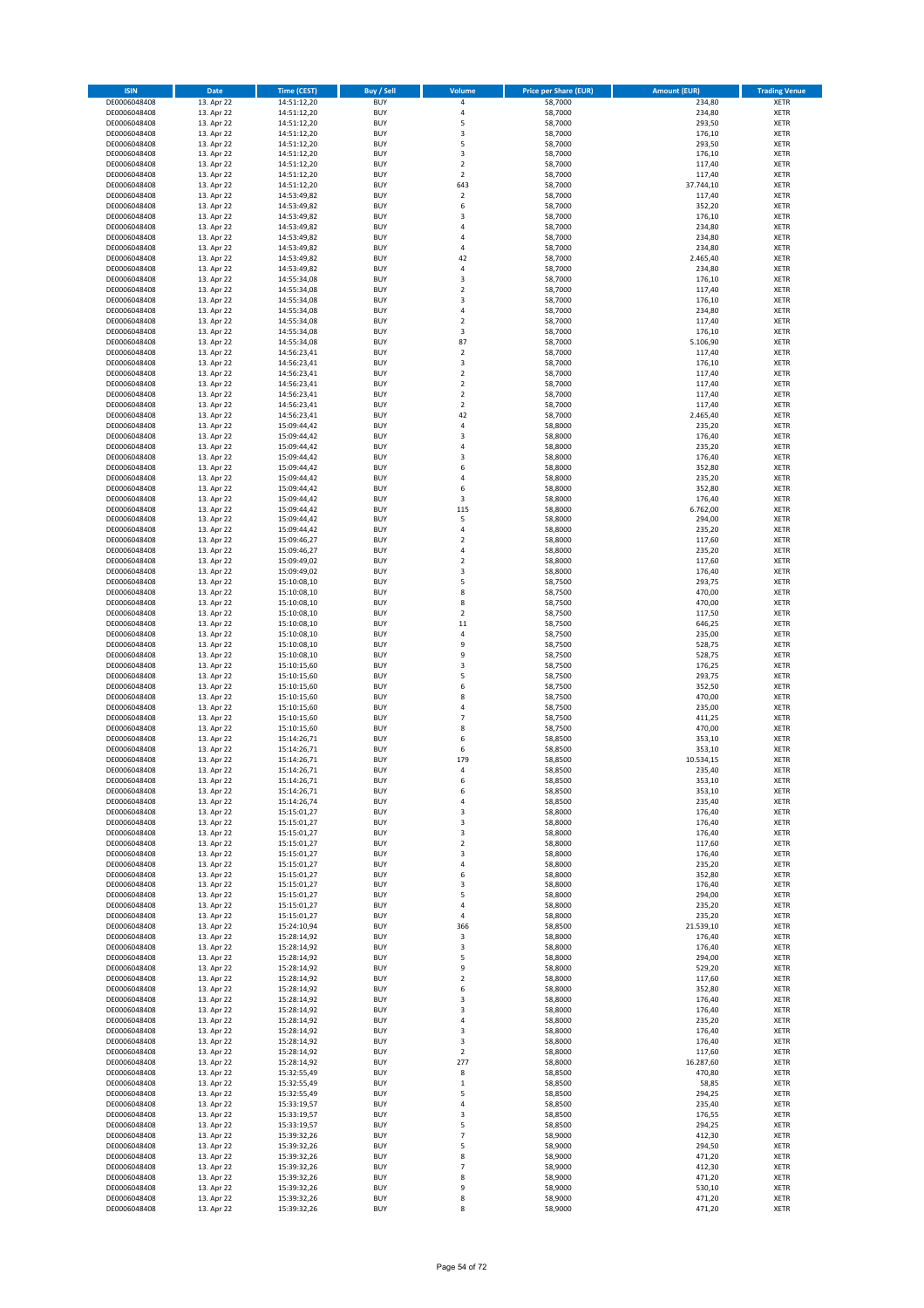| <b>ISIN</b>                  | <b>Date</b>              | <b>Time (CEST)</b>         | Buy / Sell               | Volume                         | <b>Price per Share (EUR)</b> | <b>Amount (EUR)</b> | <b>Trading Venue</b>       |
|------------------------------|--------------------------|----------------------------|--------------------------|--------------------------------|------------------------------|---------------------|----------------------------|
| DE0006048408                 | 13. Apr 22               | 14:51:12,20                | <b>BUY</b>               | 4                              | 58,7000                      | 234,80              | XETR                       |
| DE0006048408                 | 13. Apr 22               | 14:51:12,20                | <b>BUY</b>               | 4                              | 58,7000                      | 234,80              | XETR                       |
| DE0006048408<br>DE0006048408 | 13. Apr 22<br>13. Apr 22 | 14:51:12,20<br>14:51:12,20 | <b>BUY</b><br><b>BUY</b> | 5<br>3                         | 58,7000<br>58,7000           | 293,50<br>176,10    | XETR<br>XETR               |
| DE0006048408                 | 13. Apr 22               | 14:51:12,20                | <b>BUY</b>               | 5                              | 58,7000                      | 293,50              | XETR                       |
| DE0006048408                 | 13. Apr 22               | 14:51:12,20                | <b>BUY</b>               | 3                              | 58,7000                      | 176,10              | <b>XETR</b>                |
| DE0006048408                 | 13. Apr 22               | 14:51:12,20                | <b>BUY</b>               | $\overline{\mathbf{c}}$        | 58,7000                      | 117,40              | <b>XETR</b>                |
| DE0006048408                 | 13. Apr 22               | 14:51:12,20                | <b>BUY</b>               | $\overline{\mathbf{c}}$        | 58,7000                      | 117,40              | <b>XETR</b>                |
| DE0006048408<br>DE0006048408 | 13. Apr 22<br>13. Apr 22 | 14:51:12,20                | <b>BUY</b><br><b>BUY</b> | 643<br>$\overline{\mathbf{c}}$ | 58,7000<br>58,7000           | 37.744,10<br>117,40 | <b>XETR</b><br><b>XETR</b> |
| DE0006048408                 | 13. Apr 22               | 14:53:49,82<br>14:53:49,82 | <b>BUY</b>               | 6                              | 58,7000                      | 352,20              | <b>XETR</b>                |
| DE0006048408                 | 13. Apr 22               | 14:53:49,82                | <b>BUY</b>               | 3                              | 58,7000                      | 176,10              | <b>XETR</b>                |
| DE0006048408                 | 13. Apr 22               | 14:53:49,82                | <b>BUY</b>               | 4                              | 58,7000                      | 234,80              | XETR                       |
| DE0006048408                 | 13. Apr 22               | 14:53:49,82                | <b>BUY</b>               | 4                              | 58,7000                      | 234,80              | <b>XETR</b>                |
| DE0006048408                 | 13. Apr 22               | 14:53:49,82                | <b>BUY</b>               | 4                              | 58,7000                      | 234,80              | XETR                       |
| DE0006048408<br>DE0006048408 | 13. Apr 22<br>13. Apr 22 | 14:53:49,82<br>14:53:49,82 | <b>BUY</b><br><b>BUY</b> | 42<br>4                        | 58,7000<br>58,7000           | 2.465,40<br>234,80  | <b>XETR</b><br>XETR        |
| DE0006048408                 | 13. Apr 22               | 14:55:34,08                | <b>BUY</b>               | 3                              | 58,7000                      | 176,10              | <b>XETR</b>                |
| DE0006048408                 | 13. Apr 22               | 14:55:34,08                | <b>BUY</b>               | $\overline{\mathbf{c}}$        | 58,7000                      | 117,40              | XETR                       |
| DE0006048408                 | 13. Apr 22               | 14:55:34,08                | <b>BUY</b>               | 3                              | 58,7000                      | 176,10              | <b>XETR</b>                |
| DE0006048408                 | 13. Apr 22<br>13. Apr 22 | 14:55:34,08                | <b>BUY</b><br><b>BUY</b> | 4<br>$\overline{\mathbf{c}}$   | 58,7000<br>58,7000           | 234,80<br>117,40    | <b>XETR</b><br><b>XETR</b> |
| DE0006048408<br>DE0006048408 | 13. Apr 22               | 14:55:34,08<br>14:55:34,08 | <b>BUY</b>               | 3                              | 58,7000                      | 176,10              | <b>XETR</b>                |
| DE0006048408                 | 13. Apr 22               | 14:55:34,08                | <b>BUY</b>               | 87                             | 58,7000                      | 5.106,90            | <b>XETR</b>                |
| DE0006048408                 | 13. Apr 22               | 14:56:23,41                | <b>BUY</b>               | $\overline{\mathbf{c}}$        | 58,7000                      | 117,40              | <b>XETR</b>                |
| DE0006048408                 | 13. Apr 22               | 14:56:23,41                | <b>BUY</b>               | 3                              | 58,7000                      | 176,10              | <b>XETR</b>                |
| DE0006048408                 | 13. Apr 22               | 14:56:23,41                | <b>BUY</b>               | $\mathbf 2$                    | 58,7000                      | 117,40              | <b>XETR</b>                |
| DE0006048408<br>DE0006048408 | 13. Apr 22<br>13. Apr 22 | 14:56:23,41<br>14:56:23,41 | <b>BUY</b><br><b>BUY</b> | $\overline{2}$<br>$\mathbf 2$  | 58,7000<br>58,7000           | 117,40<br>117,40    | <b>XETR</b><br><b>XETR</b> |
| DE0006048408                 | 13. Apr 22               | 14:56:23,41                | <b>BUY</b>               | $\mathbf 2$                    | 58,7000                      | 117,40              | <b>XETR</b>                |
| DE0006048408                 | 13. Apr 22               | 14:56:23,41                | <b>BUY</b>               | 42                             | 58,7000                      | 2.465,40            | <b>XETR</b>                |
| DE0006048408                 | 13. Apr 22               | 15:09:44,42                | <b>BUY</b>               | 4                              | 58,8000                      | 235,20              | <b>XETR</b>                |
| DE0006048408                 | 13. Apr 22               | 15:09:44,42                | <b>BUY</b><br><b>BUY</b> | 3<br>4                         | 58,8000                      | 176,40<br>235,20    | <b>XETR</b><br>XETR        |
| DE0006048408<br>DE0006048408 | 13. Apr 22<br>13. Apr 22 | 15:09:44,42<br>15:09:44,42 | <b>BUY</b>               | 3                              | 58,8000<br>58,8000           | 176,40              | <b>XETR</b>                |
| DE0006048408                 | 13. Apr 22               | 15:09:44,42                | <b>BUY</b>               | 6                              | 58,8000                      | 352,80              | XETR                       |
| DE0006048408                 | 13. Apr 22               | 15:09:44,42                | <b>BUY</b>               | 4                              | 58,8000                      | 235,20              | <b>XETR</b>                |
| DE0006048408                 | 13. Apr 22               | 15:09:44,42                | <b>BUY</b>               | 6                              | 58,8000                      | 352,80              | XETR                       |
| DE0006048408                 | 13. Apr 22               | 15:09:44,42                | <b>BUY</b>               | $\overline{\mathbf{3}}$        | 58,8000                      | 176,40              | <b>XETR</b>                |
| DE0006048408<br>DE0006048408 | 13. Apr 22<br>13. Apr 22 | 15:09:44,42<br>15:09:44,42 | <b>BUY</b><br><b>BUY</b> | 115<br>5                       | 58,8000<br>58,8000           | 6.762,00<br>294,00  | <b>XETR</b><br><b>XETR</b> |
| DE0006048408                 | 13. Apr 22               | 15:09:44,42                | <b>BUY</b>               | 4                              | 58,8000                      | 235,20              | <b>XETR</b>                |
| DE0006048408                 | 13. Apr 22               | 15:09:46,27                | <b>BUY</b>               | $\mathbf 2$                    | 58,8000                      | 117,60              | <b>XETR</b>                |
| DE0006048408                 | 13. Apr 22               | 15:09:46,27                | <b>BUY</b>               | 4                              | 58,8000                      | 235,20              | <b>XETR</b>                |
| DE0006048408                 | 13. Apr 22               | 15:09:49,02                | <b>BUY</b>               | $\mathbf 2$                    | 58,8000                      | 117,60              | <b>XETR</b>                |
| DE0006048408                 | 13. Apr 22               | 15:09:49,02                | <b>BUY</b>               | 3                              | 58,8000                      | 176,40              | XETR                       |
| DE0006048408<br>DE0006048408 | 13. Apr 22<br>13. Apr 22 | 15:10:08,10<br>15:10:08,10 | <b>BUY</b><br><b>BUY</b> | 5<br>8                         | 58,7500<br>58,7500           | 293,75<br>470,00    | XETR<br><b>XETR</b>        |
| DE0006048408                 | 13. Apr 22               | 15:10:08,10                | <b>BUY</b>               | 8                              | 58,7500                      | 470,00              | <b>XETR</b>                |
| DE0006048408                 | 13. Apr 22               | 15:10:08,10                | <b>BUY</b>               | $\mathbf 2$                    | 58,7500                      | 117,50              | <b>XETR</b>                |
| DE0006048408                 | 13. Apr 22               | 15:10:08,10                | <b>BUY</b>               | 11                             | 58,7500                      | 646,25              | <b>XETR</b>                |
| DE0006048408                 | 13. Apr 22               | 15:10:08,10                | <b>BUY</b><br><b>BUY</b> | $\overline{4}$<br>9            | 58,7500                      | 235,00              | <b>XETR</b>                |
| DE0006048408<br>DE0006048408 | 13. Apr 22<br>13. Apr 22 | 15:10:08,10<br>15:10:08,10 | <b>BUY</b>               | 9                              | 58,7500<br>58,7500           | 528,75<br>528,75    | <b>XETR</b><br><b>XETR</b> |
| DE0006048408                 | 13. Apr 22               | 15:10:15,60                | <b>BUY</b>               | 3                              | 58,7500                      | 176,25              | <b>XETR</b>                |
| DE0006048408                 | 13. Apr 22               | 15:10:15,60                | <b>BUY</b>               | 5                              | 58,7500                      | 293,75              | <b>XETR</b>                |
| DE0006048408                 | 13. Apr 22               | 15:10:15,60                | <b>BUY</b>               | 6                              | 58,7500                      | 352,50              | <b>XETR</b>                |
| DE0006048408                 | 13. Apr 22               | 15:10:15,60                | <b>BUY</b>               | 8                              | 58,7500                      | 470,00              | <b>XETR</b>                |
| DE0006048408<br>DE0006048408 | 13. Apr 22<br>13. Apr 22 | 15:10:15,60<br>15:10:15,60 | <b>BUY</b><br><b>BUY</b> | 4<br>$\overline{7}$            | 58,7500<br>58,7500           | 235,00<br>411,25    | <b>XETR</b><br><b>XETR</b> |
| DE0006048408                 | 13. Apr 22               | 15:10:15,60                | <b>BUY</b>               | 8                              | 58,7500                      | 470,00              | XETR                       |
| DE0006048408                 | 13. Apr 22               | 15:14:26,71                | <b>BUY</b>               | 6                              | 58,8500                      | 353,10              | <b>XETR</b>                |
| DE0006048408                 | 13. Apr 22               | 15:14:26,71                | <b>BUY</b>               | 6                              | 58,8500                      | 353,10              | XETR                       |
| DE0006048408                 | 13. Apr 22               | 15:14:26,71                | <b>BUY</b>               | 179                            | 58,8500                      | 10.534,15           | <b>XETR</b>                |
| DE0006048408<br>DE0006048408 | 13. Apr 22<br>13. Apr 22 | 15:14:26,71<br>15:14:26,71 | <b>BUY</b><br><b>BUY</b> | 4<br>6                         | 58,8500<br>58,8500           | 235,40<br>353,10    | <b>XETR</b><br>XETR        |
| DE0006048408                 | 13. Apr 22               | 15:14:26,71                | <b>BUY</b>               | 6                              | 58,8500                      | 353,10              | XETR                       |
| DE0006048408                 | 13. Apr 22               | 15:14:26,74                | <b>BUY</b>               | 4                              | 58,8500                      | 235,40              | XETR                       |
| DE0006048408                 | 13. Apr 22               | 15:15:01,27                | <b>BUY</b>               | 3                              | 58,8000                      | 176,40              | XETR                       |
| DE0006048408                 | 13. Apr 22               | 15:15:01,27                | <b>BUY</b>               | 3                              | 58,8000                      | 176,40              | <b>XETR</b>                |
| DE0006048408<br>DE0006048408 | 13. Apr 22<br>13. Apr 22 | 15:15:01,27<br>15:15:01,27 | <b>BUY</b><br><b>BUY</b> | 3<br>$\mathbf 2$               | 58,8000<br>58,8000           | 176,40<br>117,60    | XETR<br><b>XETR</b>        |
| DE0006048408                 | 13. Apr 22               | 15:15:01,27                | <b>BUY</b>               | 3                              | 58,8000                      | 176,40              | XETR                       |
| DE0006048408                 | 13. Apr 22               | 15:15:01,27                | <b>BUY</b>               | 4                              | 58,8000                      | 235,20              | <b>XETR</b>                |
| DE0006048408                 | 13. Apr 22               | 15:15:01,27                | <b>BUY</b>               | 6                              | 58,8000                      | 352,80              | XETR                       |
| DE0006048408<br>DE0006048408 | 13. Apr 22<br>13. Apr 22 | 15:15:01,27<br>15:15:01,27 | <b>BUY</b><br><b>BUY</b> | 3<br>5                         | 58,8000<br>58,8000           | 176,40<br>294,00    | <b>XETR</b><br>XETR        |
| DE0006048408                 | 13. Apr 22               | 15:15:01,27                | <b>BUY</b>               | 4                              | 58,8000                      | 235,20              | <b>XETR</b>                |
| DE0006048408                 | 13. Apr 22               | 15:15:01,27                | <b>BUY</b>               | 4                              | 58,8000                      | 235,20              | XETR                       |
| DE0006048408                 | 13. Apr 22               | 15:24:10,94                | <b>BUY</b>               | 366                            | 58,8500                      | 21.539,10           | <b>XETR</b>                |
| DE0006048408                 | 13. Apr 22               | 15:28:14,92                | <b>BUY</b>               | 3                              | 58,8000                      | 176,40              | XETR                       |
| DE0006048408                 | 13. Apr 22               | 15:28:14,92                | <b>BUY</b>               | 3                              | 58,8000                      | 176,40              | <b>XETR</b>                |
| DE0006048408<br>DE0006048408 | 13. Apr 22<br>13. Apr 22 | 15:28:14,92<br>15:28:14,92 | <b>BUY</b><br><b>BUY</b> | 5<br>9                         | 58,8000<br>58,8000           | 294,00<br>529,20    | <b>XETR</b><br><b>XETR</b> |
| DE0006048408                 | 13. Apr 22               | 15:28:14,92                | <b>BUY</b>               | $\mathbf 2$                    | 58,8000                      | 117,60              | XETR                       |
| DE0006048408                 | 13. Apr 22               | 15:28:14,92                | <b>BUY</b>               | 6                              | 58,8000                      | 352,80              | <b>XETR</b>                |
| DE0006048408                 | 13. Apr 22               | 15:28:14,92                | <b>BUY</b>               | 3                              | 58,8000                      | 176,40              | <b>XETR</b>                |
| DE0006048408<br>DE0006048408 | 13. Apr 22<br>13. Apr 22 | 15:28:14,92<br>15:28:14,92 | <b>BUY</b><br><b>BUY</b> | 3<br>4                         | 58,8000<br>58,8000           | 176,40<br>235,20    | XETR<br><b>XETR</b>        |
| DE0006048408                 | 13. Apr 22               | 15:28:14,92                | <b>BUY</b>               | 3                              | 58,8000                      | 176,40              | XETR                       |
| DE0006048408                 | 13. Apr 22               | 15:28:14,92                | <b>BUY</b>               | 3                              | 58,8000                      | 176,40              | <b>XETR</b>                |
| DE0006048408                 | 13. Apr 22               | 15:28:14,92                | <b>BUY</b>               | 2                              | 58,8000                      | 117,60              | XETR                       |
| DE0006048408                 | 13. Apr 22               | 15:28:14,92                | <b>BUY</b>               | 277                            | 58,8000                      | 16.287,60           | <b>XETR</b>                |
| DE0006048408                 | 13. Apr 22               | 15:32:55,49                | <b>BUY</b><br><b>BUY</b> | 8                              | 58,8500                      | 470,80              | XETR<br><b>XETR</b>        |
| DE0006048408<br>DE0006048408 | 13. Apr 22<br>13. Apr 22 | 15:32:55,49<br>15:32:55,49 | <b>BUY</b>               | $\mathbf 1$<br>5               | 58,8500<br>58,8500           | 58,85<br>294,25     | XETR                       |
| DE0006048408                 | 13. Apr 22               | 15:33:19,57                | <b>BUY</b>               | 4                              | 58,8500                      | 235,40              | <b>XETR</b>                |
| DE0006048408                 | 13. Apr 22               | 15:33:19,57                | <b>BUY</b>               | 3                              | 58,8500                      | 176,55              | XETR                       |
| DE0006048408                 | 13. Apr 22               | 15:33:19,57                | <b>BUY</b>               | 5                              | 58,8500                      | 294,25              | <b>XETR</b>                |
| DE0006048408<br>DE0006048408 | 13. Apr 22<br>13. Apr 22 | 15:39:32,26<br>15:39:32,26 | <b>BUY</b><br><b>BUY</b> | $\overline{7}$<br>5            | 58,9000<br>58,9000           | 412,30<br>294,50    | <b>XETR</b><br><b>XETR</b> |
| DE0006048408                 | 13. Apr 22               | 15:39:32,26                | <b>BUY</b>               | 8                              | 58,9000                      | 471,20              | XETR                       |
| DE0006048408                 | 13. Apr 22               | 15:39:32,26                | <b>BUY</b>               | 7                              | 58,9000                      | 412,30              | <b>XETR</b>                |
| DE0006048408                 | 13. Apr 22               | 15:39:32,26                | <b>BUY</b>               | 8                              | 58,9000                      | 471,20              | XETR                       |
| DE0006048408                 | 13. Apr 22               | 15:39:32,26                | <b>BUY</b>               | 9                              | 58,9000                      | 530,10              | XETR                       |
| DE0006048408<br>DE0006048408 | 13. Apr 22<br>13. Apr 22 | 15:39:32,26<br>15:39:32,26 | <b>BUY</b><br><b>BUY</b> | 8<br>8                         | 58,9000<br>58,9000           | 471,20<br>471,20    | XETR<br>XETR               |
|                              |                          |                            |                          |                                |                              |                     |                            |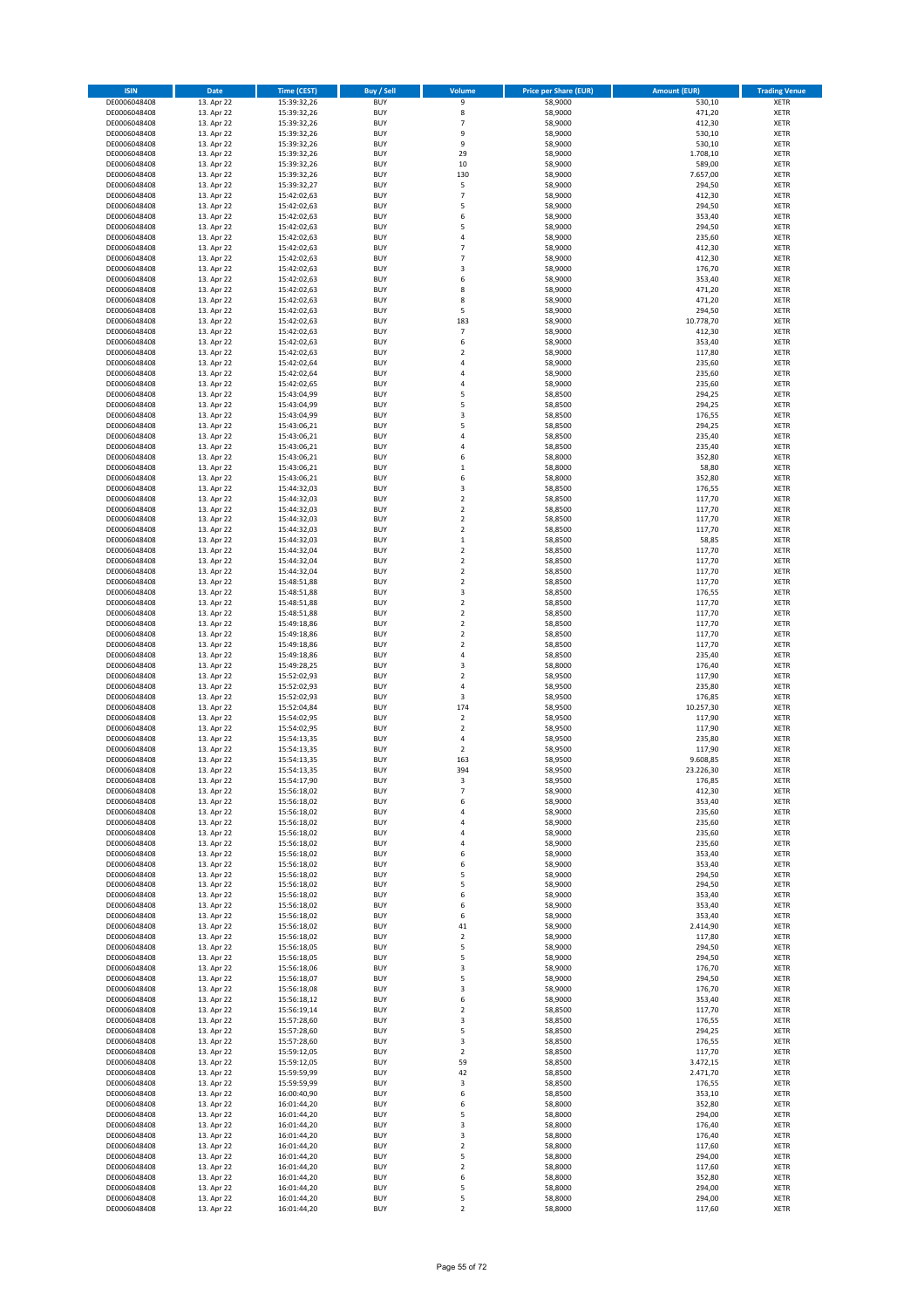| <b>ISIN</b>                  | Date                     | <b>Time (CEST)</b>         | <b>Buy / Sell</b>        | Volume                           | <b>Price per Share (EUR)</b> | <b>Amount (EUR)</b> | <b>Trading Venue</b>       |
|------------------------------|--------------------------|----------------------------|--------------------------|----------------------------------|------------------------------|---------------------|----------------------------|
| DE0006048408                 | 13. Apr 22               | 15:39:32,26                | <b>BUY</b>               | 9                                | 58,9000                      | 530,10              | <b>XETR</b>                |
| DE0006048408                 | 13. Apr 22               | 15:39:32,26                | <b>BUY</b>               | 8                                | 58,9000                      | 471,20              | <b>XETR</b>                |
| DE0006048408<br>DE0006048408 | 13. Apr 22               | 15:39:32,26<br>15:39:32,26 | <b>BUY</b><br><b>BUY</b> | $\overline{7}$<br>9              | 58,9000<br>58,9000           | 412,30<br>530,10    | <b>XETR</b><br><b>XETR</b> |
| DE0006048408                 | 13. Apr 22<br>13. Apr 22 | 15:39:32,26                | <b>BUY</b>               | 9                                | 58,9000                      | 530,10              | <b>XETR</b>                |
| DE0006048408                 | 13. Apr 22               | 15:39:32,26                | <b>BUY</b>               | 29                               | 58,9000                      | 1.708,10            | <b>XETR</b>                |
| DE0006048408                 | 13. Apr 22               | 15:39:32,26                | <b>BUY</b>               | 10                               | 58,9000                      | 589,00              | <b>XETR</b>                |
| DE0006048408                 | 13. Apr 22               | 15:39:32,26                | <b>BUY</b>               | 130                              | 58,9000                      | 7.657,00            | <b>XETR</b>                |
| DE0006048408<br>DE0006048408 | 13. Apr 22<br>13. Apr 22 | 15:39:32,27                | <b>BUY</b><br><b>BUY</b> | 5<br>$\overline{7}$              | 58,9000<br>58,9000           | 294,50<br>412,30    | XETR<br><b>XETR</b>        |
| DE0006048408                 | 13. Apr 22               | 15:42:02,63<br>15:42:02,63 | <b>BUY</b>               | 5                                | 58,9000                      | 294,50              | XETR                       |
| DE0006048408                 | 13. Apr 22               | 15:42:02,63                | <b>BUY</b>               | 6                                | 58,9000                      | 353,40              | <b>XETR</b>                |
| DE0006048408                 | 13. Apr 22               | 15:42:02,63                | <b>BUY</b>               | 5                                | 58,9000                      | 294,50              | XETR                       |
| DE0006048408                 | 13. Apr 22               | 15:42:02,63                | <b>BUY</b>               | $\sqrt{4}$                       | 58,9000                      | 235,60              | <b>XETR</b>                |
| DE0006048408                 | 13. Apr 22               | 15:42:02,63                | <b>BUY</b>               | $\overline{7}$                   | 58,9000                      | 412,30              | XETR                       |
| DE0006048408<br>DE0006048408 | 13. Apr 22<br>13. Apr 22 | 15:42:02,63<br>15:42:02,63 | <b>BUY</b><br><b>BUY</b> | $\overline{7}$<br>3              | 58,9000<br>58,9000           | 412,30<br>176,70    | <b>XETR</b><br>XETR        |
| DE0006048408                 | 13. Apr 22               | 15:42:02,63                | <b>BUY</b>               | 6                                | 58,9000                      | 353,40              | <b>XETR</b>                |
| DE0006048408                 | 13. Apr 22               | 15:42:02,63                | <b>BUY</b>               | 8                                | 58,9000                      | 471,20              | XETR                       |
| DE0006048408                 | 13. Apr 22               | 15:42:02,63                | <b>BUY</b>               | 8                                | 58,9000                      | 471,20              | <b>XETR</b>                |
| DE0006048408                 | 13. Apr 22               | 15:42:02,63                | <b>BUY</b><br><b>BUY</b> | 5<br>183                         | 58,9000<br>58,9000           | 294,50<br>10.778,70 | <b>XETR</b><br><b>XETR</b> |
| DE0006048408<br>DE0006048408 | 13. Apr 22<br>13. Apr 22 | 15:42:02,63<br>15:42:02,63 | <b>BUY</b>               | $\overline{7}$                   | 58,9000                      | 412,30              | <b>XETR</b>                |
| DE0006048408                 | 13. Apr 22               | 15:42:02,63                | <b>BUY</b>               | 6                                | 58,9000                      | 353,40              | <b>XETR</b>                |
| DE0006048408                 | 13. Apr 22               | 15:42:02,63                | <b>BUY</b>               | $\overline{2}$                   | 58,9000                      | 117,80              | <b>XETR</b>                |
| DE0006048408                 | 13. Apr 22               | 15:42:02,64                | <b>BUY</b>               | 4                                | 58,9000                      | 235,60              | <b>XETR</b>                |
| DE0006048408                 | 13. Apr 22               | 15:42:02,64                | <b>BUY</b>               | $\overline{a}$                   | 58,9000                      | 235,60              | <b>XETR</b>                |
| DE0006048408<br>DE0006048408 | 13. Apr 22<br>13. Apr 22 | 15:42:02,65<br>15:43:04,99 | <b>BUY</b><br><b>BUY</b> | 4<br>5                           | 58,9000<br>58,8500           | 235,60<br>294,25    | <b>XETR</b><br><b>XETR</b> |
| DE0006048408                 | 13. Apr 22               | 15:43:04,99                | <b>BUY</b>               | 5                                | 58,8500                      | 294,25              | <b>XETR</b>                |
| DE0006048408                 | 13. Apr 22               | 15:43:04,99                | <b>BUY</b>               | 3                                | 58,8500                      | 176,55              | <b>XETR</b>                |
| DE0006048408                 | 13. Apr 22               | 15:43:06,21                | <b>BUY</b>               | 5                                | 58,8500                      | 294,25              | <b>XETR</b>                |
| DE0006048408                 | 13. Apr 22               | 15:43:06,21                | <b>BUY</b><br><b>BUY</b> | $\overline{4}$<br>$\sqrt{4}$     | 58,8500                      | 235,40<br>235,40    | <b>XETR</b><br>XETR        |
| DE0006048408<br>DE0006048408 | 13. Apr 22<br>13. Apr 22 | 15:43:06,21<br>15:43:06,21 | <b>BUY</b>               | 6                                | 58,8500<br>58,8000           | 352,80              | <b>XETR</b>                |
| DE0006048408                 | 13. Apr 22               | 15:43:06,21                | <b>BUY</b>               | $\,1\,$                          | 58,8000                      | 58,80               | XETR                       |
| DE0006048408                 | 13. Apr 22               | 15:43:06,21                | <b>BUY</b>               | 6                                | 58,8000                      | 352,80              | <b>XETR</b>                |
| DE0006048408                 | 13. Apr 22               | 15:44:32,03                | <b>BUY</b>               | 3                                | 58,8500                      | 176,55              | <b>XETR</b>                |
| DE0006048408                 | 13. Apr 22               | 15:44:32,03                | <b>BUY</b>               | $\overline{2}$                   | 58,8500                      | 117,70              | <b>XETR</b>                |
| DE0006048408<br>DE0006048408 | 13. Apr 22<br>13. Apr 22 | 15:44:32,03<br>15:44:32,03 | <b>BUY</b><br><b>BUY</b> | $\overline{2}$<br>$\overline{2}$ | 58,8500<br>58,8500           | 117,70<br>117,70    | <b>XETR</b><br><b>XETR</b> |
| DE0006048408                 | 13. Apr 22               | 15:44:32,03                | <b>BUY</b>               | $\overline{2}$                   | 58,8500                      | 117,70              | <b>XETR</b>                |
| DE0006048408                 | 13. Apr 22               | 15:44:32,03                | <b>BUY</b>               | $\,1\,$                          | 58,8500                      | 58,85               | <b>XETR</b>                |
| DE0006048408                 | 13. Apr 22               | 15:44:32,04                | <b>BUY</b>               | $\overline{2}$                   | 58,8500                      | 117,70              | <b>XETR</b>                |
| DE0006048408                 | 13. Apr 22               | 15:44:32,04                | <b>BUY</b>               | $\overline{2}$                   | 58,8500                      | 117,70              | <b>XETR</b>                |
| DE0006048408                 | 13. Apr 22               | 15:44:32,04                | <b>BUY</b>               | $\mathbf 2$                      | 58,8500                      | 117,70              | <b>XETR</b>                |
| DE0006048408<br>DE0006048408 | 13. Apr 22<br>13. Apr 22 | 15:48:51,88<br>15:48:51,88 | <b>BUY</b><br><b>BUY</b> | $\mathbf 2$<br>3                 | 58,8500<br>58,8500           | 117,70<br>176,55    | <b>XETR</b><br><b>XETR</b> |
| DE0006048408                 | 13. Apr 22               | 15:48:51,88                | <b>BUY</b>               | $\mathbf 2$                      | 58,8500                      | 117,70              | <b>XETR</b>                |
| DE0006048408                 | 13. Apr 22               | 15:48:51,88                | <b>BUY</b>               | $\mathbf 2$                      | 58,8500                      | 117,70              | <b>XETR</b>                |
| DE0006048408                 | 13. Apr 22               | 15:49:18,86                | <b>BUY</b>               | $\mathbf 2$                      | 58,8500                      | 117,70              | <b>XETR</b>                |
| DE0006048408                 | 13. Apr 22               | 15:49:18,86                | <b>BUY</b><br><b>BUY</b> | $\overline{2}$<br>$\mathbf 2$    | 58,8500                      | 117,70              | <b>XETR</b>                |
| DE0006048408<br>DE0006048408 | 13. Apr 22<br>13. Apr 22 | 15:49:18,86<br>15:49:18,86 | <b>BUY</b>               | $\sqrt{4}$                       | 58,8500<br>58,8500           | 117,70<br>235,40    | <b>XETR</b><br><b>XETR</b> |
| DE0006048408                 | 13. Apr 22               | 15:49:28,25                | <b>BUY</b>               | 3                                | 58,8000                      | 176,40              | <b>XETR</b>                |
| DE0006048408                 | 13. Apr 22               | 15:52:02,93                | <b>BUY</b>               | $\overline{2}$                   | 58,9500                      | 117,90              | <b>XETR</b>                |
| DE0006048408                 | 13. Apr 22               | 15:52:02,93                | <b>BUY</b>               | $\sqrt{4}$                       | 58,9500                      | 235,80              | <b>XETR</b>                |
| DE0006048408                 | 13. Apr 22               | 15:52:02,93                | <b>BUY</b>               | 3                                | 58,9500                      | 176,85              | <b>XETR</b>                |
| DE0006048408<br>DE0006048408 | 13. Apr 22<br>13. Apr 22 | 15:52:04,84<br>15:54:02,95 | <b>BUY</b><br><b>BUY</b> | 174<br>$\overline{2}$            | 58,9500<br>58,9500           | 10.257,30<br>117,90 | <b>XETR</b><br><b>XETR</b> |
| DE0006048408                 | 13. Apr 22               | 15:54:02,95                | <b>BUY</b>               | $\mathbf 2$                      | 58,9500                      | 117,90              | XETR                       |
| DE0006048408                 | 13. Apr 22               | 15:54:13,35                | <b>BUY</b>               | $\sqrt{4}$                       | 58,9500                      | 235,80              | <b>XETR</b>                |
| DE0006048408                 | 13. Apr 22               | 15:54:13,35                | <b>BUY</b>               | $\sqrt{2}$                       | 58,9500                      | 117,90              | <b>XETR</b>                |
| DE0006048408<br>DE0006048408 | 13. Apr 22               | 15:54:13,35                | <b>BUY</b>               | 163<br>394                       | 58,9500                      | 9.608,85            | <b>XETR</b>                |
| DE0006048408                 | 13. Apr 22<br>13. Apr 22 | 15:54:13,35<br>15:54:17,90 | <b>BUY</b><br><b>BUY</b> | 3                                | 58,9500<br>58,9500           | 23.226,30<br>176,85 | <b>XETR</b><br>XETR        |
| DE0006048408                 | 13. Apr 22               | 15:56:18,02                | <b>BUY</b>               | $\overline{\phantom{a}}$         | 58,9000                      | 412,30              | XETR                       |
| DE0006048408                 | 13. Apr 22               | 15:56:18,02                | <b>BUY</b>               | 6                                | 58,9000                      | 353,40              | XETR                       |
| DE0006048408                 | 13. Apr 22               | 15:56:18,02                | <b>BUY</b>               | 4                                | 58,9000                      | 235,60              | <b>XETR</b>                |
| DE0006048408                 | 13. Apr 22               | 15:56:18,02                | <b>BUY</b>               | 4                                | 58,9000                      | 235,60              | <b>XETR</b>                |
| DE0006048408<br>DE0006048408 | 13. Apr 22<br>13. Apr 22 | 15:56:18,02<br>15:56:18,02 | <b>BUY</b><br><b>BUY</b> | 4<br>4                           | 58,9000<br>58,9000           | 235,60<br>235,60    | XETR<br><b>XETR</b>        |
| DE0006048408                 | 13. Apr 22               | 15:56:18,02                | <b>BUY</b>               | 6                                | 58,9000                      | 353,40              | XETR                       |
| DE0006048408                 | 13. Apr 22               | 15:56:18,02                | <b>BUY</b>               | 6                                | 58,9000                      | 353,40              | <b>XETR</b>                |
| DE0006048408                 | 13. Apr 22               | 15:56:18,02                | <b>BUY</b>               | 5                                | 58,9000                      | 294,50              | XETR                       |
| DE0006048408<br>DE0006048408 | 13. Apr 22<br>13. Apr 22 | 15:56:18,02<br>15:56:18,02 | <b>BUY</b><br><b>BUY</b> | 5<br>6                           | 58,9000<br>58,9000           | 294,50<br>353,40    | <b>XETR</b><br><b>XETR</b> |
| DE0006048408                 | 13. Apr 22               | 15:56:18,02                | <b>BUY</b>               | 6                                | 58,9000                      | 353,40              | <b>XETR</b>                |
| DE0006048408                 | 13. Apr 22               | 15:56:18,02                | <b>BUY</b>               | 6                                | 58,9000                      | 353,40              | XETR                       |
| DE0006048408                 | 13. Apr 22               | 15:56:18,02                | <b>BUY</b>               | 41                               | 58,9000                      | 2.414,90            | <b>XETR</b>                |
| DE0006048408                 | 13. Apr 22               | 15:56:18,02                | <b>BUY</b>               | $\mathbf 2$                      | 58,9000                      | 117,80              | <b>XETR</b>                |
| DE0006048408<br>DE0006048408 | 13. Apr 22               | 15:56:18,05                | <b>BUY</b><br><b>BUY</b> | 5                                | 58,9000<br>58,9000           | 294,50              | <b>XETR</b><br><b>XETR</b> |
| DE0006048408                 | 13. Apr 22<br>13. Apr 22 | 15:56:18,05<br>15:56:18,06 | <b>BUY</b>               | 5<br>3                           | 58,9000                      | 294,50<br>176,70    | <b>XETR</b>                |
| DE0006048408                 | 13. Apr 22               | 15:56:18,07                | <b>BUY</b>               | 5                                | 58,9000                      | 294,50              | <b>XETR</b>                |
| DE0006048408                 | 13. Apr 22               | 15:56:18,08                | <b>BUY</b>               | 3                                | 58,9000                      | 176,70              | <b>XETR</b>                |
| DE0006048408                 | 13. Apr 22               | 15:56:18,12                | <b>BUY</b>               | 6                                | 58,9000                      | 353,40              | <b>XETR</b>                |
| DE0006048408<br>DE0006048408 | 13. Apr 22<br>13. Apr 22 | 15:56:19,14<br>15:57:28,60 | <b>BUY</b><br><b>BUY</b> | $\mathbf 2$<br>3                 | 58,8500<br>58,8500           | 117,70<br>176,55    | XETR<br>XETR               |
| DE0006048408                 | 13. Apr 22               | 15:57:28,60                | <b>BUY</b>               | 5                                | 58,8500                      | 294,25              | XETR                       |
| DE0006048408                 | 13. Apr 22               | 15:57:28,60                | <b>BUY</b>               | 3                                | 58,8500                      | 176,55              | <b>XETR</b>                |
| DE0006048408                 | 13. Apr 22               | 15:59:12,05                | <b>BUY</b>               | $\overline{\mathbf{c}}$          | 58,8500                      | 117,70              | XETR                       |
| DE0006048408                 | 13. Apr 22               | 15:59:12,05                | <b>BUY</b>               | 59                               | 58,8500                      | 3.472,15            | XETR                       |
| DE0006048408                 | 13. Apr 22               | 15:59:59,99                | <b>BUY</b><br><b>BUY</b> | 42                               | 58,8500                      | 2.471,70            | XETR                       |
| DE0006048408<br>DE0006048408 | 13. Apr 22<br>13. Apr 22 | 15:59:59,99<br>16:00:40,90 | <b>BUY</b>               | 3<br>6                           | 58,8500<br>58,8500           | 176,55<br>353,10    | <b>XETR</b><br>XETR        |
| DE0006048408                 | 13. Apr 22               | 16:01:44,20                | <b>BUY</b>               | 6                                | 58,8000                      | 352,80              | XETR                       |
| DE0006048408                 | 13. Apr 22               | 16:01:44,20                | <b>BUY</b>               | 5                                | 58,8000                      | 294,00              | XETR                       |
| DE0006048408                 | 13. Apr 22               | 16:01:44,20                | <b>BUY</b>               | 3                                | 58,8000                      | 176,40              | <b>XETR</b>                |
| DE0006048408<br>DE0006048408 | 13. Apr 22<br>13. Apr 22 | 16:01:44,20<br>16:01:44,20 | <b>BUY</b><br><b>BUY</b> | 3<br>$\mathbf 2$                 | 58,8000<br>58,8000           | 176,40<br>117,60    | <b>XETR</b><br><b>XETR</b> |
| DE0006048408                 | 13. Apr 22               | 16:01:44,20                | <b>BUY</b>               | 5                                | 58,8000                      | 294,00              | <b>XETR</b>                |
| DE0006048408                 | 13. Apr 22               | 16:01:44,20                | <b>BUY</b>               | $\overline{2}$                   | 58,8000                      | 117,60              | <b>XETR</b>                |
| DE0006048408                 | 13. Apr 22               | 16:01:44,20                | <b>BUY</b>               | 6                                | 58,8000                      | 352,80              | <b>XETR</b>                |
| DE0006048408                 | 13. Apr 22               | 16:01:44,20                | <b>BUY</b>               | 5                                | 58,8000                      | 294,00              | <b>XETR</b>                |
| DE0006048408<br>DE0006048408 | 13. Apr 22<br>13. Apr 22 | 16:01:44,20<br>16:01:44,20 | <b>BUY</b><br><b>BUY</b> | 5<br>$\overline{2}$              | 58,8000<br>58,8000           | 294,00<br>117,60    | <b>XETR</b><br><b>XETR</b> |
|                              |                          |                            |                          |                                  |                              |                     |                            |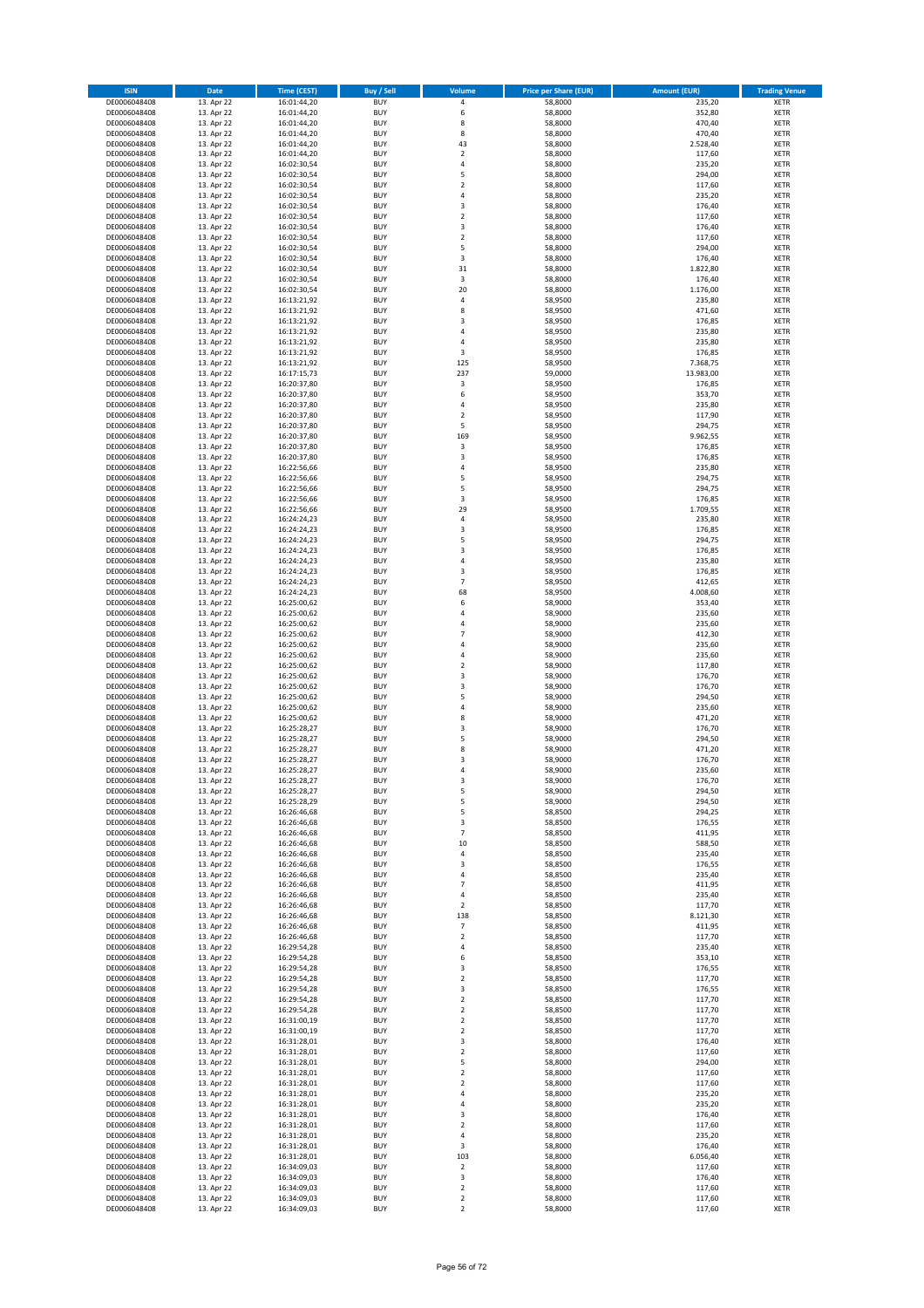| <b>ISIN</b>                  | Date                     | <b>Time (CEST)</b>         | <b>Buy / Sell</b>        | Volume                                 | <b>Price per Share (EUR)</b> | <b>Amount (EUR)</b> | <b>Trading Venue</b>       |
|------------------------------|--------------------------|----------------------------|--------------------------|----------------------------------------|------------------------------|---------------------|----------------------------|
| DE0006048408                 | 13. Apr 22               | 16:01:44,20                | <b>BUY</b>               | $\pmb{4}$                              | 58,8000                      | 235,20              | <b>XETR</b>                |
| DE0006048408                 | 13. Apr 22               | 16:01:44,20                | <b>BUY</b>               | 6                                      | 58,8000                      | 352,80              | <b>XETR</b>                |
| DE0006048408<br>DE0006048408 | 13. Apr 22               | 16:01:44,20<br>16:01:44,20 | <b>BUY</b><br><b>BUY</b> | 8<br>8                                 | 58,8000<br>58,8000           | 470,40<br>470,40    | <b>XETR</b><br><b>XETR</b> |
| DE0006048408                 | 13. Apr 22<br>13. Apr 22 | 16:01:44,20                | <b>BUY</b>               | 43                                     | 58,8000                      | 2.528,40            | <b>XETR</b>                |
| DE0006048408                 | 13. Apr 22               | 16:01:44,20                | <b>BUY</b>               | $\overline{2}$                         | 58,8000                      | 117,60              | <b>XETR</b>                |
| DE0006048408                 | 13. Apr 22               | 16:02:30,54                | <b>BUY</b>               | $\sqrt{4}$                             | 58,8000                      | 235,20              | <b>XETR</b>                |
| DE0006048408                 | 13. Apr 22               | 16:02:30,54                | <b>BUY</b>               | 5                                      | 58,8000                      | 294,00              | <b>XETR</b>                |
| DE0006048408<br>DE0006048408 | 13. Apr 22<br>13. Apr 22 | 16:02:30,54                | <b>BUY</b><br><b>BUY</b> | $\overline{2}$<br>$\sqrt{4}$           | 58,8000<br>58,8000           | 117,60<br>235,20    | XETR<br><b>XETR</b>        |
| DE0006048408                 | 13. Apr 22               | 16:02:30,54<br>16:02:30,54 | <b>BUY</b>               | 3                                      | 58,8000                      | 176,40              | XETR                       |
| DE0006048408                 | 13. Apr 22               | 16:02:30,54                | <b>BUY</b>               | $\overline{2}$                         | 58,8000                      | 117,60              | <b>XETR</b>                |
| DE0006048408                 | 13. Apr 22               | 16:02:30,54                | <b>BUY</b>               | 3                                      | 58,8000                      | 176,40              | XETR                       |
| DE0006048408                 | 13. Apr 22               | 16:02:30,54                | <b>BUY</b>               | $\overline{2}$                         | 58,8000                      | 117,60              | <b>XETR</b>                |
| DE0006048408                 | 13. Apr 22               | 16:02:30,54                | <b>BUY</b>               | 5                                      | 58,8000                      | 294,00              | XETR                       |
| DE0006048408<br>DE0006048408 | 13. Apr 22<br>13. Apr 22 | 16:02:30,54<br>16:02:30,54 | <b>BUY</b><br><b>BUY</b> | 3<br>31                                | 58,8000<br>58,8000           | 176,40<br>1.822,80  | <b>XETR</b><br>XETR        |
| DE0006048408                 | 13. Apr 22               | 16:02:30,54                | <b>BUY</b>               | 3                                      | 58,8000                      | 176,40              | <b>XETR</b>                |
| DE0006048408                 | 13. Apr 22               | 16:02:30,54                | <b>BUY</b>               | 20                                     | 58,8000                      | 1.176,00            | XETR                       |
| DE0006048408                 | 13. Apr 22               | 16:13:21,92                | <b>BUY</b>               | 4                                      | 58,9500                      | 235,80              | <b>XETR</b>                |
| DE0006048408                 | 13. Apr 22<br>13. Apr 22 | 16:13:21,92<br>16:13:21,92 | <b>BUY</b><br><b>BUY</b> | 8<br>3                                 | 58,9500<br>58,9500           | 471,60<br>176,85    | <b>XETR</b><br><b>XETR</b> |
| DE0006048408<br>DE0006048408 | 13. Apr 22               | 16:13:21,92                | <b>BUY</b>               | $\overline{4}$                         | 58,9500                      | 235,80              | <b>XETR</b>                |
| DE0006048408                 | 13. Apr 22               | 16:13:21,92                | <b>BUY</b>               | $\sqrt{4}$                             | 58,9500                      | 235,80              | <b>XETR</b>                |
| DE0006048408                 | 13. Apr 22               | 16:13:21,92                | <b>BUY</b>               | 3                                      | 58,9500                      | 176,85              | <b>XETR</b>                |
| DE0006048408                 | 13. Apr 22               | 16:13:21,92                | <b>BUY</b>               | 125                                    | 58,9500                      | 7.368,75            | <b>XETR</b>                |
| DE0006048408                 | 13. Apr 22               | 16:17:15,73                | <b>BUY</b>               | 237                                    | 59,0000                      | 13.983,00           | <b>XETR</b>                |
| DE0006048408<br>DE0006048408 | 13. Apr 22<br>13. Apr 22 | 16:20:37,80<br>16:20:37,80 | <b>BUY</b><br><b>BUY</b> | 3<br>6                                 | 58,9500<br>58,9500           | 176,85<br>353,70    | <b>XETR</b><br><b>XETR</b> |
| DE0006048408                 | 13. Apr 22               | 16:20:37,80                | <b>BUY</b>               | 4                                      | 58,9500                      | 235,80              | <b>XETR</b>                |
| DE0006048408                 | 13. Apr 22               | 16:20:37,80                | <b>BUY</b>               | $\overline{2}$                         | 58,9500                      | 117,90              | <b>XETR</b>                |
| DE0006048408                 | 13. Apr 22               | 16:20:37,80                | <b>BUY</b>               | 5                                      | 58,9500                      | 294,75              | <b>XETR</b>                |
| DE0006048408                 | 13. Apr 22               | 16:20:37,80                | <b>BUY</b>               | 169                                    | 58,9500                      | 9.962,55            | <b>XETR</b>                |
| DE0006048408<br>DE0006048408 | 13. Apr 22<br>13. Apr 22 | 16:20:37,80<br>16:20:37,80 | <b>BUY</b><br><b>BUY</b> | 3<br>3                                 | 58,9500<br>58,9500           | 176,85<br>176,85    | XETR<br><b>XETR</b>        |
| DE0006048408                 | 13. Apr 22               | 16:22:56,66                | <b>BUY</b>               | $\overline{4}$                         | 58,9500                      | 235,80              | XETR                       |
| DE0006048408                 | 13. Apr 22               | 16:22:56,66                | <b>BUY</b>               | 5                                      | 58,9500                      | 294,75              | <b>XETR</b>                |
| DE0006048408                 | 13. Apr 22               | 16:22:56,66                | <b>BUY</b>               | 5                                      | 58,9500                      | 294,75              | <b>XETR</b>                |
| DE0006048408                 | 13. Apr 22               | 16:22:56,66                | <b>BUY</b>               | 3                                      | 58,9500                      | 176,85              | <b>XETR</b>                |
| DE0006048408<br>DE0006048408 | 13. Apr 22<br>13. Apr 22 | 16:22:56,66<br>16:24:24,23 | <b>BUY</b><br><b>BUY</b> | 29<br>$\sqrt{4}$                       | 58,9500<br>58,9500           | 1.709,55<br>235,80  | <b>XETR</b><br><b>XETR</b> |
| DE0006048408                 | 13. Apr 22               | 16:24:24,23                | <b>BUY</b>               | 3                                      | 58,9500                      | 176,85              | XETR                       |
| DE0006048408                 | 13. Apr 22               | 16:24:24,23                | <b>BUY</b>               | 5                                      | 58,9500                      | 294,75              | <b>XETR</b>                |
| DE0006048408                 | 13. Apr 22               | 16:24:24,23                | <b>BUY</b>               | 3                                      | 58,9500                      | 176,85              | <b>XETR</b>                |
| DE0006048408                 | 13. Apr 22               | 16:24:24,23                | <b>BUY</b>               | $\sqrt{4}$                             | 58,9500                      | 235,80              | <b>XETR</b>                |
| DE0006048408                 | 13. Apr 22               | 16:24:24,23                | <b>BUY</b>               | 3                                      | 58,9500                      | 176,85              | XETR                       |
| DE0006048408<br>DE0006048408 | 13. Apr 22<br>13. Apr 22 | 16:24:24,23<br>16:24:24,23 | <b>BUY</b><br><b>BUY</b> | $\overline{7}$<br>68                   | 58,9500<br>58,9500           | 412,65<br>4.008,60  | <b>XETR</b><br><b>XETR</b> |
| DE0006048408                 | 13. Apr 22               | 16:25:00,62                | <b>BUY</b>               | 6                                      | 58,9000                      | 353,40              | <b>XETR</b>                |
| DE0006048408                 | 13. Apr 22               | 16:25:00,62                | <b>BUY</b>               | $\sqrt{4}$                             | 58,9000                      | 235,60              | <b>XETR</b>                |
| DE0006048408                 | 13. Apr 22               | 16:25:00,62                | <b>BUY</b>               | 4                                      | 58,9000                      | 235,60              | <b>XETR</b>                |
| DE0006048408                 | 13. Apr 22               | 16:25:00,62                | <b>BUY</b><br><b>BUY</b> | $\overline{7}$<br>$\sqrt{4}$           | 58,9000                      | 412,30              | <b>XETR</b>                |
| DE0006048408<br>DE0006048408 | 13. Apr 22<br>13. Apr 22 | 16:25:00,62<br>16:25:00,62 | <b>BUY</b>               | $\sqrt{4}$                             | 58,9000<br>58,9000           | 235,60<br>235,60    | <b>XETR</b><br><b>XETR</b> |
| DE0006048408                 | 13. Apr 22               | 16:25:00,62                | <b>BUY</b>               | $\mathbf 2$                            | 58,9000                      | 117,80              | <b>XETR</b>                |
| DE0006048408                 | 13. Apr 22               | 16:25:00,62                | <b>BUY</b>               | 3                                      | 58,9000                      | 176,70              | <b>XETR</b>                |
| DE0006048408                 | 13. Apr 22               | 16:25:00,62                | <b>BUY</b>               | $\overline{\mathbf{3}}$                | 58,9000                      | 176,70              | <b>XETR</b>                |
| DE0006048408                 | 13. Apr 22               | 16:25:00,62                | <b>BUY</b>               | 5                                      | 58,9000                      | 294,50              | <b>XETR</b>                |
| DE0006048408<br>DE0006048408 | 13. Apr 22<br>13. Apr 22 | 16:25:00,62<br>16:25:00,62 | <b>BUY</b><br><b>BUY</b> | 4<br>8                                 | 58,9000<br>58,9000           | 235,60<br>471,20    | <b>XETR</b><br><b>XETR</b> |
| DE0006048408                 | 13. Apr 22               | 16:25:28,27                | <b>BUY</b>               | 3                                      | 58,9000                      | 176,70              | XETR                       |
| DE0006048408                 | 13. Apr 22               | 16:25:28,27                | <b>BUY</b>               | 5                                      | 58,9000                      | 294,50              | <b>XETR</b>                |
| DE0006048408                 | 13. Apr 22               | 16:25:28,27                | <b>BUY</b>               | 8                                      | 58,9000                      | 471,20              | <b>XETR</b>                |
| DE0006048408                 | 13. Apr 22               | 16:25:28,27                | <b>BUY</b>               | 3<br>$\overline{4}$                    | 58,9000                      | 176,70              | <b>XETR</b>                |
| DE0006048408<br>DE0006048408 | 13. Apr 22<br>13. Apr 22 | 16:25:28,27<br>16:25:28,27 | <b>BUY</b><br><b>BUY</b> | 3                                      | 58,9000<br>58,9000           | 235,60<br>176,70    | <b>XETR</b><br>XETR        |
| DE0006048408                 | 13. Apr 22               | 16:25:28,27                | <b>BUY</b>               | 5                                      | 58,9000                      | 294,50              | XETR                       |
| DE0006048408                 | 13. Apr 22               | 16:25:28,29                | <b>BUY</b>               | 5                                      | 58,9000                      | 294,50              | XETR                       |
| DE0006048408                 | 13. Apr 22               | 16:26:46,68                | <b>BUY</b>               | 5                                      | 58,8500                      | 294,25              | <b>XETR</b>                |
| DE0006048408                 | 13. Apr 22               | 16:26:46,68                | <b>BUY</b>               | 3                                      | 58,8500                      | 176,55              | <b>XETR</b>                |
| DE0006048408<br>DE0006048408 | 13. Apr 22<br>13. Apr 22 | 16:26:46,68<br>16:26:46,68 | <b>BUY</b><br><b>BUY</b> | $\overline{\phantom{a}}$<br>10         | 58,8500<br>58,8500           | 411,95<br>588,50    | XETR<br><b>XETR</b>        |
| DE0006048408                 | 13. Apr 22               | 16:26:46,68                | <b>BUY</b>               | 4                                      | 58,8500                      | 235,40              | XETR                       |
| DE0006048408                 | 13. Apr 22               | 16:26:46,68                | <b>BUY</b>               | 3                                      | 58,8500                      | 176,55              | <b>XETR</b>                |
| DE0006048408                 | 13. Apr 22               | 16:26:46,68                | <b>BUY</b>               | $\overline{4}$                         | 58,8500                      | 235,40              | XETR                       |
| DE0006048408<br>DE0006048408 | 13. Apr 22<br>13. Apr 22 | 16:26:46,68<br>16:26:46,68 | <b>BUY</b><br><b>BUY</b> | $\overline{7}$<br>$\sqrt{4}$           | 58,8500<br>58,8500           | 411,95<br>235,40    | <b>XETR</b><br><b>XETR</b> |
| DE0006048408                 | 13. Apr 22               | 16:26:46,68                | <b>BUY</b>               | $\overline{2}$                         | 58,8500                      | 117,70              | <b>XETR</b>                |
| DE0006048408                 | 13. Apr 22               | 16:26:46,68                | <b>BUY</b>               | 138                                    | 58,8500                      | 8.121,30            | XETR                       |
| DE0006048408                 | 13. Apr 22               | 16:26:46,68                | <b>BUY</b>               | $\overline{\phantom{a}}$               | 58,8500                      | 411,95              | <b>XETR</b>                |
| DE0006048408                 | 13. Apr 22               | 16:26:46,68                | <b>BUY</b>               | $\mathbf 2$                            | 58,8500                      | 117,70              | <b>XETR</b>                |
| DE0006048408<br>DE0006048408 | 13. Apr 22<br>13. Apr 22 | 16:29:54,28<br>16:29:54,28 | <b>BUY</b><br><b>BUY</b> | 4<br>6                                 | 58,8500<br>58,8500           | 235,40<br>353,10    | <b>XETR</b><br><b>XETR</b> |
| DE0006048408                 | 13. Apr 22               | 16:29:54,28                | <b>BUY</b>               | 3                                      | 58,8500                      | 176,55              | <b>XETR</b>                |
| DE0006048408                 | 13. Apr 22               | 16:29:54,28                | <b>BUY</b>               | $\mathbf 2$                            | 58,8500                      | 117,70              | <b>XETR</b>                |
| DE0006048408                 | 13. Apr 22               | 16:29:54,28                | <b>BUY</b>               | 3                                      | 58,8500                      | 176,55              | <b>XETR</b>                |
| DE0006048408                 | 13. Apr 22               | 16:29:54,28                | <b>BUY</b>               | $\mathbf 2$                            | 58,8500                      | 117,70              | <b>XETR</b>                |
| DE0006048408<br>DE0006048408 | 13. Apr 22<br>13. Apr 22 | 16:29:54,28<br>16:31:00,19 | <b>BUY</b><br><b>BUY</b> | $\overline{\mathbf{c}}$<br>$\mathbf 2$ | 58,8500<br>58,8500           | 117,70<br>117,70    | XETR<br>XETR               |
| DE0006048408                 | 13. Apr 22               | 16:31:00,19                | <b>BUY</b>               | $\boldsymbol{2}$                       | 58,8500                      | 117,70              | <b>XETR</b>                |
| DE0006048408                 | 13. Apr 22               | 16:31:28,01                | <b>BUY</b>               | 3                                      | 58,8000                      | 176,40              | <b>XETR</b>                |
| DE0006048408                 | 13. Apr 22               | 16:31:28,01                | <b>BUY</b>               | $\boldsymbol{2}$                       | 58,8000                      | 117,60              | XETR                       |
| DE0006048408                 | 13. Apr 22               | 16:31:28,01                | <b>BUY</b>               | 5                                      | 58,8000                      | 294,00              | XETR                       |
| DE0006048408                 | 13. Apr 22               | 16:31:28,01                | <b>BUY</b><br><b>BUY</b> | $\boldsymbol{2}$                       | 58,8000                      | 117,60              | XETR                       |
| DE0006048408<br>DE0006048408 | 13. Apr 22<br>13. Apr 22 | 16:31:28,01<br>16:31:28,01 | <b>BUY</b>               | $\mathbf 2$<br>4                       | 58,8000<br>58,8000           | 117,60<br>235,20    | <b>XETR</b><br>XETR        |
| DE0006048408                 | 13. Apr 22               | 16:31:28,01                | <b>BUY</b>               | 4                                      | 58,8000                      | 235,20              | XETR                       |
| DE0006048408                 | 13. Apr 22               | 16:31:28,01                | <b>BUY</b>               | 3                                      | 58,8000                      | 176,40              | <b>XETR</b>                |
| DE0006048408                 | 13. Apr 22               | 16:31:28,01                | <b>BUY</b>               | $\mathbf 2$                            | 58,8000                      | 117,60              | <b>XETR</b>                |
| DE0006048408<br>DE0006048408 | 13. Apr 22<br>13. Apr 22 | 16:31:28,01<br>16:31:28,01 | <b>BUY</b><br><b>BUY</b> | 4<br>3                                 | 58,8000<br>58,8000           | 235,20<br>176,40    | <b>XETR</b><br><b>XETR</b> |
| DE0006048408                 | 13. Apr 22               | 16:31:28,01                | <b>BUY</b>               | 103                                    | 58,8000                      | 6.056,40            | <b>XETR</b>                |
| DE0006048408                 | 13. Apr 22               | 16:34:09,03                | <b>BUY</b>               | $\mathbf 2$                            | 58,8000                      | 117,60              | <b>XETR</b>                |
| DE0006048408                 | 13. Apr 22               | 16:34:09,03                | <b>BUY</b>               | 3                                      | 58,8000                      | 176,40              | <b>XETR</b>                |
| DE0006048408                 | 13. Apr 22               | 16:34:09,03                | <b>BUY</b>               | $\overline{2}$                         | 58,8000                      | 117,60              | <b>XETR</b>                |
| DE0006048408<br>DE0006048408 | 13. Apr 22<br>13. Apr 22 | 16:34:09,03<br>16:34:09,03 | <b>BUY</b><br><b>BUY</b> | $\mathbf 2$<br>$\mathbf 2$             | 58,8000<br>58,8000           | 117,60<br>117,60    | <b>XETR</b><br><b>XETR</b> |
|                              |                          |                            |                          |                                        |                              |                     |                            |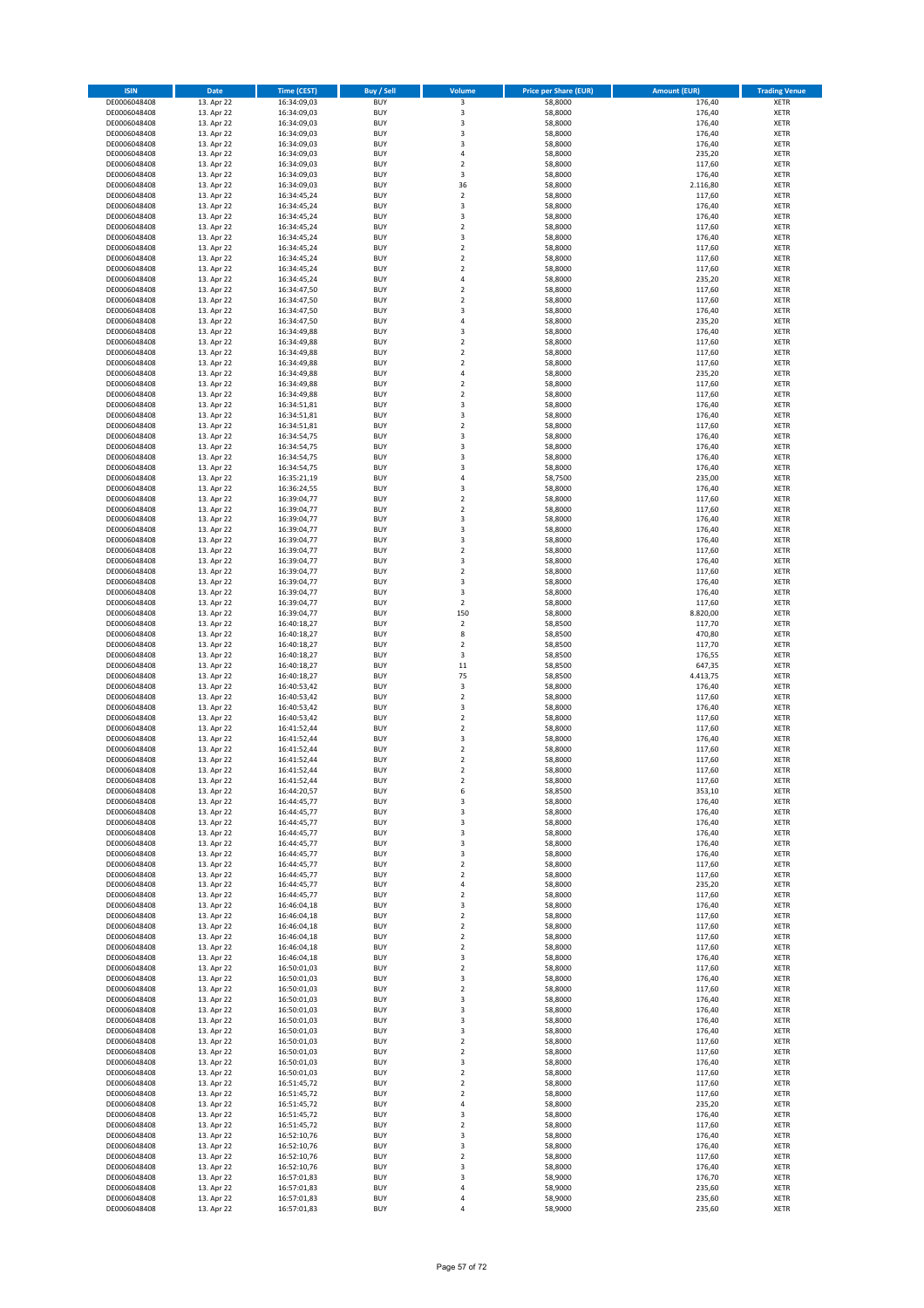| <b>ISIN</b>                  | Date                     | <b>Time (CEST)</b>         | Buy / Sell               | Volume                                 | <b>Price per Share (EUR)</b> | <b>Amount (EUR)</b> | <b>Trading Venue</b>       |
|------------------------------|--------------------------|----------------------------|--------------------------|----------------------------------------|------------------------------|---------------------|----------------------------|
| DE0006048408                 | 13. Apr 22               | 16:34:09,03                | <b>BUY</b>               | 3                                      | 58,8000                      | 176,40              | XETR                       |
| DE0006048408<br>DE0006048408 | 13. Apr 22<br>13. Apr 22 | 16:34:09,03<br>16:34:09,03 | <b>BUY</b><br><b>BUY</b> | 3<br>3                                 | 58,8000<br>58,8000           | 176,40<br>176,40    | XETR<br><b>XETR</b>        |
| DE0006048408                 | 13. Apr 22               | 16:34:09,03                | <b>BUY</b>               | 3                                      | 58,8000                      | 176,40              | <b>XETR</b>                |
| DE0006048408                 | 13. Apr 22               | 16:34:09,03                | <b>BUY</b>               | 3                                      | 58,8000                      | 176,40              | <b>XETR</b>                |
| DE0006048408                 | 13. Apr 22               | 16:34:09,03                | <b>BUY</b>               | $\overline{4}$                         | 58,8000                      | 235,20              | <b>XETR</b>                |
| DE0006048408<br>DE0006048408 | 13. Apr 22<br>13. Apr 22 | 16:34:09,03<br>16:34:09,03 | <b>BUY</b><br><b>BUY</b> | $\overline{\mathbf{c}}$<br>3           | 58,8000<br>58,8000           | 117,60<br>176,40    | <b>XETR</b><br><b>XETR</b> |
| DE0006048408                 | 13. Apr 22               | 16:34:09,03                | <b>BUY</b>               | 36                                     | 58,8000                      | 2.116,80            | <b>XETR</b>                |
| DE0006048408                 | 13. Apr 22               | 16:34:45,24                | <b>BUY</b>               | $\overline{\mathbf{c}}$                | 58,8000                      | 117,60              | <b>XETR</b>                |
| DE0006048408                 | 13. Apr 22               | 16:34:45,24                | <b>BUY</b>               | 3                                      | 58,8000                      | 176,40              | XETR                       |
| DE0006048408                 | 13. Apr 22               | 16:34:45,24                | <b>BUY</b>               | 3                                      | 58,8000                      | 176,40              | <b>XETR</b>                |
| DE0006048408<br>DE0006048408 | 13. Apr 22<br>13. Apr 22 | 16:34:45,24<br>16:34:45,24 | <b>BUY</b><br><b>BUY</b> | $\mathbf 2$<br>3                       | 58,8000<br>58,8000           | 117,60<br>176,40    | XETR<br><b>XETR</b>        |
| DE0006048408                 | 13. Apr 22               | 16:34:45,24                | <b>BUY</b>               | $\mathbf 2$                            | 58,8000                      | 117,60              | XETR                       |
| DE0006048408                 | 13. Apr 22               | 16:34:45,24                | <b>BUY</b>               | $\overline{\mathbf{c}}$                | 58,8000                      | 117,60              | <b>XETR</b>                |
| DE0006048408                 | 13. Apr 22               | 16:34:45,24                | <b>BUY</b>               | $\mathbf 2$                            | 58,8000                      | 117,60              | XETR                       |
| DE0006048408<br>DE0006048408 | 13. Apr 22<br>13. Apr 22 | 16:34:45,24<br>16:34:47,50 | <b>BUY</b><br><b>BUY</b> | 4<br>$\mathbf 2$                       | 58,8000<br>58,8000           | 235,20<br>117,60    | <b>XETR</b><br>XETR        |
| DE0006048408                 | 13. Apr 22               | 16:34:47,50                | <b>BUY</b>               | $\overline{\mathbf{c}}$                | 58,8000                      | 117,60              | <b>XETR</b>                |
| DE0006048408                 | 13. Apr 22               | 16:34:47,50                | <b>BUY</b>               | 3                                      | 58,8000                      | 176,40              | XETR                       |
| DE0006048408                 | 13. Apr 22               | 16:34:47,50                | <b>BUY</b>               | 4                                      | 58,8000                      | 235,20              | XETR                       |
| DE0006048408<br>DE0006048408 | 13. Apr 22<br>13. Apr 22 | 16:34:49,88<br>16:34:49,88 | <b>BUY</b><br><b>BUY</b> | 3<br>$\mathbf 2$                       | 58,8000<br>58,8000           | 176,40<br>117,60    | <b>XETR</b><br><b>XETR</b> |
| DE0006048408                 | 13. Apr 22               | 16:34:49,88                | <b>BUY</b>               | $\overline{\mathbf{c}}$                | 58,8000                      | 117,60              | <b>XETR</b>                |
| DE0006048408                 | 13. Apr 22               | 16:34:49,88                | <b>BUY</b>               | $\overline{\mathbf{c}}$                | 58,8000                      | 117,60              | <b>XETR</b>                |
| DE0006048408                 | 13. Apr 22               | 16:34:49,88                | <b>BUY</b>               | $\overline{4}$                         | 58,8000                      | 235,20              | <b>XETR</b>                |
| DE0006048408                 | 13. Apr 22               | 16:34:49,88                | <b>BUY</b><br><b>BUY</b> | $\overline{\mathbf{c}}$                | 58,8000                      | 117,60              | <b>XETR</b><br><b>XETR</b> |
| DE0006048408<br>DE0006048408 | 13. Apr 22<br>13. Apr 22 | 16:34:49,88<br>16:34:51,81 | <b>BUY</b>               | $\mathbf 2$<br>3                       | 58,8000<br>58,8000           | 117,60<br>176,40    | <b>XETR</b>                |
| DE0006048408                 | 13. Apr 22               | 16:34:51,81                | <b>BUY</b>               | 3                                      | 58,8000                      | 176,40              | <b>XETR</b>                |
| DE0006048408                 | 13. Apr 22               | 16:34:51,81                | <b>BUY</b>               | $\mathbf 2$                            | 58,8000                      | 117,60              | <b>XETR</b>                |
| DE0006048408                 | 13. Apr 22               | 16:34:54,75                | <b>BUY</b>               | 3                                      | 58,8000                      | 176,40              | <b>XETR</b>                |
| DE0006048408<br>DE0006048408 | 13. Apr 22<br>13. Apr 22 | 16:34:54,75<br>16:34:54,75 | <b>BUY</b><br><b>BUY</b> | 3<br>3                                 | 58,8000<br>58,8000           | 176,40<br>176,40    | XETR<br><b>XETR</b>        |
| DE0006048408                 | 13. Apr 22               | 16:34:54,75                | <b>BUY</b>               | $\overline{\mathbf{3}}$                | 58,8000                      | 176,40              | XETR                       |
| DE0006048408                 | 13. Apr 22               | 16:35:21,19                | <b>BUY</b>               | 4                                      | 58,7500                      | 235,00              | <b>XETR</b>                |
| DE0006048408                 | 13. Apr 22               | 16:36:24,55                | <b>BUY</b>               | 3                                      | 58,8000                      | 176,40              | XETR                       |
| DE0006048408<br>DE0006048408 | 13. Apr 22<br>13. Apr 22 | 16:39:04,77                | <b>BUY</b><br><b>BUY</b> | $\overline{\mathbf{c}}$<br>$\mathbf 2$ | 58,8000<br>58,8000           | 117,60<br>117,60    | <b>XETR</b><br><b>XETR</b> |
| DE0006048408                 | 13. Apr 22               | 16:39:04,77<br>16:39:04,77 | <b>BUY</b>               | 3                                      | 58,8000                      | 176,40              | <b>XETR</b>                |
| DE0006048408                 | 13. Apr 22               | 16:39:04,77                | <b>BUY</b>               | 3                                      | 58,8000                      | 176,40              | <b>XETR</b>                |
| DE0006048408                 | 13. Apr 22               | 16:39:04,77                | <b>BUY</b>               | 3                                      | 58,8000                      | 176,40              | <b>XETR</b>                |
| DE0006048408                 | 13. Apr 22               | 16:39:04,77                | <b>BUY</b>               | $\mathbf 2$                            | 58,8000                      | 117,60              | <b>XETR</b>                |
| DE0006048408<br>DE0006048408 | 13. Apr 22<br>13. Apr 22 | 16:39:04,77<br>16:39:04,77 | <b>BUY</b><br><b>BUY</b> | 3<br>$\mathbf 2$                       | 58,8000<br>58,8000           | 176,40<br>117,60    | <b>XETR</b><br>XETR        |
| DE0006048408                 | 13. Apr 22               | 16:39:04,77                | <b>BUY</b>               | 3                                      | 58,8000                      | 176,40              | XETR                       |
| DE0006048408                 | 13. Apr 22               | 16:39:04,77                | <b>BUY</b>               | 3                                      | 58,8000                      | 176,40              | <b>XETR</b>                |
| DE0006048408                 | 13. Apr 22               | 16:39:04,77                | <b>BUY</b>               | $\mathbf 2$                            | 58,8000                      | 117,60              | <b>XETR</b>                |
| DE0006048408                 | 13. Apr 22               | 16:39:04,77                | <b>BUY</b><br><b>BUY</b> | 150<br>$\mathbf 2$                     | 58,8000                      | 8.820,00            | XETR                       |
| DE0006048408<br>DE0006048408 | 13. Apr 22<br>13. Apr 22 | 16:40:18,27<br>16:40:18,27 | <b>BUY</b>               | 8                                      | 58,8500<br>58,8500           | 117,70<br>470,80    | <b>XETR</b><br><b>XETR</b> |
| DE0006048408                 | 13. Apr 22               | 16:40:18,27                | <b>BUY</b>               | $\mathbf 2$                            | 58,8500                      | 117,70              | <b>XETR</b>                |
| DE0006048408                 | 13. Apr 22               | 16:40:18,27                | <b>BUY</b>               | 3                                      | 58,8500                      | 176,55              | <b>XETR</b>                |
| DE0006048408<br>DE0006048408 | 13. Apr 22<br>13. Apr 22 | 16:40:18,27<br>16:40:18,27 | <b>BUY</b><br><b>BUY</b> | $11\,$<br>75                           | 58,8500<br>58,8500           | 647,35<br>4.413,75  | XETR<br><b>XETR</b>        |
| DE0006048408                 | 13. Apr 22               | 16:40:53,42                | <b>BUY</b>               | 3                                      | 58,8000                      | 176,40              | <b>XETR</b>                |
| DE0006048408                 | 13. Apr 22               | 16:40:53,42                | <b>BUY</b>               | $\overline{\mathbf{c}}$                | 58,8000                      | 117,60              | <b>XETR</b>                |
| DE0006048408                 | 13. Apr 22               | 16:40:53,42                | <b>BUY</b>               | 3                                      | 58,8000                      | 176,40              | <b>XETR</b>                |
| DE0006048408                 | 13. Apr 22               | 16:40:53,42                | <b>BUY</b>               | $\overline{\mathbf{c}}$                | 58,8000                      | 117,60              | <b>XETR</b>                |
| DE0006048408<br>DE0006048408 | 13. Apr 22<br>13. Apr 22 | 16:41:52,44<br>16:41:52,44 | <b>BUY</b><br><b>BUY</b> | $\mathbf 2$<br>3                       | 58,8000<br>58,8000           | 117,60<br>176,40    | XETR<br><b>XETR</b>        |
| DE0006048408                 | 13. Apr 22               | 16:41:52,44                | <b>BUY</b>               | 2                                      | 58,8000                      | 117,60              | XETR                       |
| DE0006048408                 | 13. Apr 22               | 16:41:52,44                | <b>BUY</b>               | $\overline{\mathbf{c}}$                | 58,8000                      | 117,60              | <b>XETR</b>                |
| DE0006048408                 | 13. Apr 22               | 16:41:52,44                | <b>BUY</b>               | $\mathbf 2$                            | 58,8000                      | 117,60              | XETR                       |
| DE0006048408<br>DE0006048408 | 13. Apr 22<br>13. Apr 22 | 16:41:52,44<br>16:44:20,57 | <b>BUY</b><br><b>BUY</b> | 2<br>6                                 | 58,8000<br>58,8500           | 117,60<br>353,10    | XETR<br>XETR               |
| DE0006048408                 | 13. Apr 22               | 16:44:45,77                | <b>BUY</b>               | 3                                      | 58,8000                      | 176,40              | XETR                       |
| DE0006048408                 | 13. Apr 22               | 16:44:45,77                | <b>BUY</b>               | 3                                      | 58,8000                      | 176,40              | XETR                       |
| DE0006048408                 | 13. Apr 22               | 16:44:45,77                | <b>BUY</b>               | 3                                      | 58,8000                      | 176,40              | <b>XETR</b>                |
| DE0006048408<br>DE0006048408 | 13. Apr 22<br>13. Apr 22 | 16:44:45,77<br>16:44:45,77 | <b>BUY</b><br><b>BUY</b> | 3<br>3                                 | 58,8000<br>58,8000           | 176,40<br>176,40    | XETR<br><b>XETR</b>        |
| DE0006048408                 | 13. Apr 22               | 16:44:45,77                | <b>BUY</b>               | 3                                      | 58,8000                      | 176,40              | XETR                       |
| DE0006048408                 | 13. Apr 22               | 16:44:45,77                | <b>BUY</b>               | $\mathbf 2$                            | 58,8000                      | 117,60              | <b>XETR</b>                |
| DE0006048408<br>DE0006048408 | 13. Apr 22<br>13. Apr 22 | 16:44:45,77<br>16:44:45,77 | <b>BUY</b><br><b>BUY</b> | $\mathbf 2$<br>4                       | 58,8000<br>58,8000           | 117,60<br>235,20    | XETR<br><b>XETR</b>        |
| DE0006048408                 | 13. Apr 22               | 16:44:45,77                | <b>BUY</b>               | 2                                      | 58,8000                      | 117,60              | XETR                       |
| DE0006048408                 | 13. Apr 22               | 16:46:04,18                | <b>BUY</b>               | 3                                      | 58,8000                      | 176,40              | <b>XETR</b>                |
| DE0006048408                 | 13. Apr 22               | 16:46:04,18                | <b>BUY</b>               | $\boldsymbol{2}$                       | 58,8000                      | 117,60              | XETR                       |
| DE0006048408                 | 13. Apr 22               | 16:46:04,18                | <b>BUY</b>               | 2                                      | 58,8000                      | 117,60              | <b>XETR</b>                |
| DE0006048408<br>DE0006048408 | 13. Apr 22<br>13. Apr 22 | 16:46:04,18<br>16:46:04,18 | <b>BUY</b><br><b>BUY</b> | $\mathbf 2$<br>$\mathbf 2$             | 58,8000<br>58,8000           | 117,60<br>117,60    | XETR<br><b>XETR</b>        |
| DE0006048408                 | 13. Apr 22               | 16:46:04,18                | <b>BUY</b>               | 3                                      | 58,8000                      | 176,40              | <b>XETR</b>                |
| DE0006048408                 | 13. Apr 22               | 16:50:01,03                | <b>BUY</b>               | 2                                      | 58,8000                      | 117,60              | <b>XETR</b>                |
| DE0006048408                 | 13. Apr 22               | 16:50:01,03                | <b>BUY</b>               | 3                                      | 58,8000                      | 176,40              | XETR                       |
| DE0006048408<br>DE0006048408 | 13. Apr 22<br>13. Apr 22 | 16:50:01,03<br>16:50:01,03 | <b>BUY</b><br><b>BUY</b> | $\mathbf 2$<br>3                       | 58,8000<br>58,8000           | 117,60<br>176,40    | <b>XETR</b><br><b>XETR</b> |
| DE0006048408                 | 13. Apr 22               | 16:50:01,03                | <b>BUY</b>               | 3                                      | 58,8000                      | 176,40              | XETR                       |
| DE0006048408                 | 13. Apr 22               | 16:50:01,03                | <b>BUY</b>               | 3                                      | 58,8000                      | 176,40              | <b>XETR</b>                |
| DE0006048408                 | 13. Apr 22               | 16:50:01,03                | <b>BUY</b>               | 3<br>$\overline{\mathbf{c}}$           | 58,8000                      | 176,40              | XETR                       |
| DE0006048408<br>DE0006048408 | 13. Apr 22<br>13. Apr 22 | 16:50:01,03<br>16:50:01,03 | <b>BUY</b><br><b>BUY</b> | 2                                      | 58,8000<br>58,8000           | 117,60<br>117,60    | <b>XETR</b><br>XETR        |
| DE0006048408                 | 13. Apr 22               | 16:50:01,03                | <b>BUY</b>               | 3                                      | 58,8000                      | 176,40              | <b>XETR</b>                |
| DE0006048408                 | 13. Apr 22               | 16:50:01,03                | <b>BUY</b>               | $\mathbf 2$                            | 58,8000                      | 117,60              | XETR                       |
| DE0006048408                 | 13. Apr 22               | 16:51:45,72                | <b>BUY</b>               | $\mathbf 2$                            | 58,8000                      | 117,60              | <b>XETR</b>                |
| DE0006048408<br>DE0006048408 | 13. Apr 22<br>13. Apr 22 | 16:51:45,72<br>16:51:45,72 | <b>BUY</b><br><b>BUY</b> | 2<br>4                                 | 58,8000<br>58,8000           | 117,60<br>235,20    | XETR<br><b>XETR</b>        |
| DE0006048408                 | 13. Apr 22               | 16:51:45,72                | <b>BUY</b>               | 3                                      | 58,8000                      | 176,40              | XETR                       |
| DE0006048408                 | 13. Apr 22               | 16:51:45,72                | <b>BUY</b>               | 2                                      | 58,8000                      | 117,60              | <b>XETR</b>                |
| DE0006048408                 | 13. Apr 22               | 16:52:10,76                | <b>BUY</b>               | 3                                      | 58,8000                      | 176,40              | <b>XETR</b>                |
| DE0006048408<br>DE0006048408 | 13. Apr 22<br>13. Apr 22 | 16:52:10,76<br>16:52:10,76 | <b>BUY</b><br><b>BUY</b> | 3<br>$\mathbf 2$                       | 58,8000<br>58,8000           | 176,40<br>117,60    | <b>XETR</b><br>XETR        |
| DE0006048408                 | 13. Apr 22               | 16:52:10,76                | <b>BUY</b>               | 3                                      | 58,8000                      | 176,40              | <b>XETR</b>                |
| DE0006048408                 | 13. Apr 22               | 16:57:01,83                | <b>BUY</b>               | 3                                      | 58,9000                      | 176,70              | XETR                       |
| DE0006048408                 | 13. Apr 22               | 16:57:01,83                | <b>BUY</b>               | 4                                      | 58,9000                      | 235,60              | XETR                       |
| DE0006048408<br>DE0006048408 | 13. Apr 22<br>13. Apr 22 | 16:57:01,83<br>16:57:01,83 | <b>BUY</b><br><b>BUY</b> | 4<br>4                                 | 58,9000<br>58,9000           | 235,60<br>235,60    | XETR<br><b>XETR</b>        |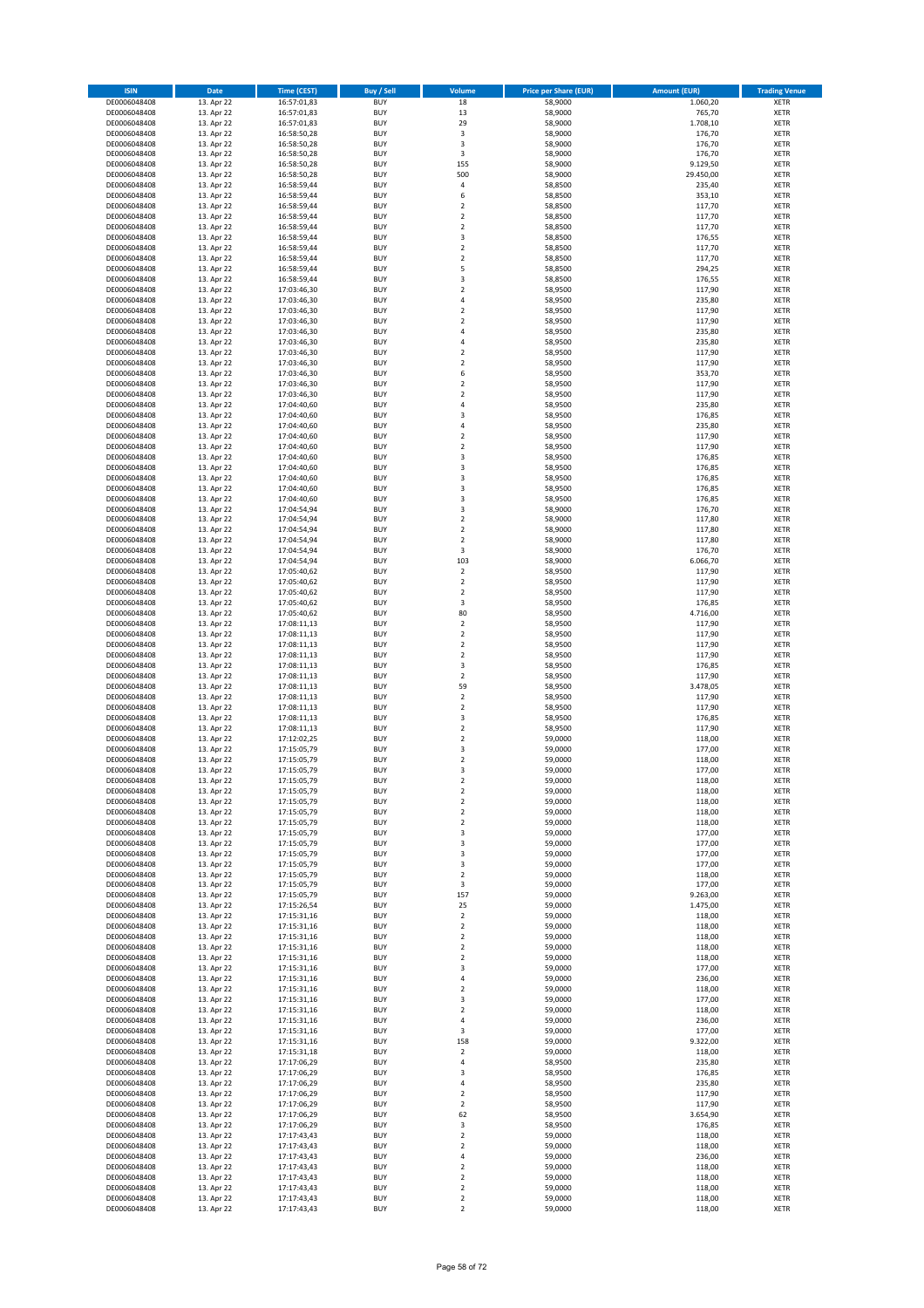| <b>ISIN</b>                  | Date                     | <b>Time (CEST)</b>         | <b>Buy / Sell</b>        | Volume                                    | <b>Price per Share (EUR)</b> | <b>Amount (EUR)</b> | <b>Trading Venue</b>       |
|------------------------------|--------------------------|----------------------------|--------------------------|-------------------------------------------|------------------------------|---------------------|----------------------------|
| DE0006048408                 | 13. Apr 22               | 16:57:01,83                | <b>BUY</b>               | 18                                        | 58,9000                      | 1.060,20            | <b>XETR</b>                |
| DE0006048408                 | 13. Apr 22               | 16:57:01,83                | <b>BUY</b>               | 13                                        | 58,9000                      | 765,70              | <b>XETR</b>                |
| DE0006048408<br>DE0006048408 | 13. Apr 22<br>13. Apr 22 | 16:57:01,83<br>16:58:50,28 | <b>BUY</b><br><b>BUY</b> | 29<br>$\overline{\mathbf{3}}$             | 58,9000<br>58,9000           | 1.708,10<br>176,70  | <b>XETR</b><br><b>XETR</b> |
| DE0006048408                 | 13. Apr 22               | 16:58:50,28                | <b>BUY</b>               | 3                                         | 58,9000                      | 176,70              | <b>XETR</b>                |
| DE0006048408                 | 13. Apr 22               | 16:58:50,28                | <b>BUY</b>               | 3                                         | 58,9000                      | 176,70              | <b>XETR</b>                |
| DE0006048408                 | 13. Apr 22               | 16:58:50,28                | <b>BUY</b>               | 155                                       | 58,9000                      | 9.129,50            | <b>XETR</b>                |
| DE0006048408                 | 13. Apr 22               | 16:58:50,28                | <b>BUY</b>               | 500                                       | 58,9000                      | 29.450,00           | <b>XETR</b>                |
| DE0006048408<br>DE0006048408 | 13. Apr 22<br>13. Apr 22 | 16:58:59,44                | <b>BUY</b><br><b>BUY</b> | 4<br>6                                    | 58,8500<br>58,8500           | 235,40<br>353,10    | XETR<br><b>XETR</b>        |
| DE0006048408                 | 13. Apr 22               | 16:58:59,44<br>16:58:59,44 | <b>BUY</b>               | $\overline{2}$                            | 58,8500                      | 117,70              | XETR                       |
| DE0006048408                 | 13. Apr 22               | 16:58:59,44                | <b>BUY</b>               | $\overline{2}$                            | 58,8500                      | 117,70              | <b>XETR</b>                |
| DE0006048408                 | 13. Apr 22               | 16:58:59,44                | <b>BUY</b>               | $\mathbf 2$                               | 58,8500                      | 117,70              | XETR                       |
| DE0006048408                 | 13. Apr 22               | 16:58:59,44                | <b>BUY</b>               | 3                                         | 58,8500                      | 176,55              | <b>XETR</b>                |
| DE0006048408                 | 13. Apr 22               | 16:58:59,44                | <b>BUY</b>               | $\mathbf 2$                               | 58,8500                      | 117,70              | XETR                       |
| DE0006048408<br>DE0006048408 | 13. Apr 22<br>13. Apr 22 | 16:58:59,44<br>16:58:59,44 | <b>BUY</b><br><b>BUY</b> | $\overline{2}$<br>5                       | 58,8500<br>58,8500           | 117,70<br>294,25    | <b>XETR</b><br>XETR        |
| DE0006048408                 | 13. Apr 22               | 16:58:59,44                | <b>BUY</b>               | 3                                         | 58,8500                      | 176,55              | <b>XETR</b>                |
| DE0006048408                 | 13. Apr 22               | 17:03:46,30                | <b>BUY</b>               | $\mathbf 2$                               | 58,9500                      | 117,90              | XETR                       |
| DE0006048408                 | 13. Apr 22               | 17:03:46,30                | <b>BUY</b>               | $\sqrt{4}$                                | 58,9500                      | 235,80              | <b>XETR</b>                |
| DE0006048408                 | 13. Apr 22<br>13. Apr 22 | 17:03:46,30                | <b>BUY</b><br><b>BUY</b> | $\overline{2}$<br>$\mathbf 2$             | 58,9500<br>58,9500           | 117,90<br>117,90    | <b>XETR</b><br><b>XETR</b> |
| DE0006048408<br>DE0006048408 | 13. Apr 22               | 17:03:46,30<br>17:03:46,30 | <b>BUY</b>               | $\overline{4}$                            | 58,9500                      | 235,80              | <b>XETR</b>                |
| DE0006048408                 | 13. Apr 22               | 17:03:46,30                | <b>BUY</b>               | $\sqrt{4}$                                | 58,9500                      | 235,80              | <b>XETR</b>                |
| DE0006048408                 | 13. Apr 22               | 17:03:46,30                | <b>BUY</b>               | $\overline{2}$                            | 58,9500                      | 117,90              | <b>XETR</b>                |
| DE0006048408                 | 13. Apr 22               | 17:03:46,30                | <b>BUY</b>               | $\overline{2}$                            | 58,9500                      | 117,90              | <b>XETR</b>                |
| DE0006048408                 | 13. Apr 22               | 17:03:46,30                | <b>BUY</b>               | 6                                         | 58,9500                      | 353,70              | <b>XETR</b>                |
| DE0006048408<br>DE0006048408 | 13. Apr 22<br>13. Apr 22 | 17:03:46,30<br>17:03:46,30 | <b>BUY</b><br><b>BUY</b> | $\overline{2}$<br>$\overline{2}$          | 58,9500<br>58,9500           | 117,90<br>117,90    | <b>XETR</b><br><b>XETR</b> |
| DE0006048408                 | 13. Apr 22               | 17:04:40,60                | <b>BUY</b>               | 4                                         | 58,9500                      | 235,80              | <b>XETR</b>                |
| DE0006048408                 | 13. Apr 22               | 17:04:40,60                | <b>BUY</b>               | 3                                         | 58,9500                      | 176,85              | <b>XETR</b>                |
| DE0006048408                 | 13. Apr 22               | 17:04:40,60                | <b>BUY</b>               | $\sqrt{4}$                                | 58,9500                      | 235,80              | <b>XETR</b>                |
| DE0006048408                 | 13. Apr 22               | 17:04:40,60                | <b>BUY</b>               | $\overline{2}$                            | 58,9500                      | 117,90              | <b>XETR</b>                |
| DE0006048408<br>DE0006048408 | 13. Apr 22<br>13. Apr 22 | 17:04:40,60<br>17:04:40,60 | <b>BUY</b><br><b>BUY</b> | $\sqrt{2}$<br>3                           | 58,9500<br>58,9500           | 117,90<br>176,85    | XETR<br><b>XETR</b>        |
| DE0006048408                 | 13. Apr 22               | 17:04:40,60                | <b>BUY</b>               | $\overline{\mathbf{3}}$                   | 58,9500                      | 176,85              | XETR                       |
| DE0006048408                 | 13. Apr 22               | 17:04:40,60                | <b>BUY</b>               | 3                                         | 58,9500                      | 176,85              | <b>XETR</b>                |
| DE0006048408                 | 13. Apr 22               | 17:04:40,60                | <b>BUY</b>               | 3                                         | 58,9500                      | 176,85              | XETR                       |
| DE0006048408                 | 13. Apr 22               | 17:04:40,60                | <b>BUY</b>               | 3                                         | 58,9500                      | 176,85              | <b>XETR</b>                |
| DE0006048408<br>DE0006048408 | 13. Apr 22<br>13. Apr 22 | 17:04:54,94<br>17:04:54,94 | <b>BUY</b><br><b>BUY</b> | $\overline{\mathbf{3}}$<br>$\overline{2}$ | 58,9000<br>58,9000           | 176,70<br>117,80    | <b>XETR</b><br><b>XETR</b> |
| DE0006048408                 | 13. Apr 22               | 17:04:54,94                | <b>BUY</b>               | $\overline{2}$                            | 58,9000                      | 117,80              | <b>XETR</b>                |
| DE0006048408                 | 13. Apr 22               | 17:04:54,94                | <b>BUY</b>               | $\overline{2}$                            | 58,9000                      | 117,80              | <b>XETR</b>                |
| DE0006048408                 | 13. Apr 22               | 17:04:54,94                | <b>BUY</b>               | 3                                         | 58,9000                      | 176,70              | <b>XETR</b>                |
| DE0006048408                 | 13. Apr 22               | 17:04:54,94                | <b>BUY</b>               | 103                                       | 58,9000                      | 6.066,70            | <b>XETR</b>                |
| DE0006048408                 | 13. Apr 22               | 17:05:40,62                | <b>BUY</b>               | $\mathbf 2$                               | 58,9500                      | 117,90              | <b>XETR</b>                |
| DE0006048408<br>DE0006048408 | 13. Apr 22<br>13. Apr 22 | 17:05:40,62<br>17:05:40,62 | <b>BUY</b><br><b>BUY</b> | $\mathbf 2$<br>$\sqrt{2}$                 | 58,9500<br>58,9500           | 117,90<br>117,90    | <b>XETR</b><br><b>XETR</b> |
| DE0006048408                 | 13. Apr 22               | 17:05:40,62                | <b>BUY</b>               | 3                                         | 58,9500                      | 176,85              | <b>XETR</b>                |
| DE0006048408                 | 13. Apr 22               | 17:05:40,62                | <b>BUY</b>               | 80                                        | 58,9500                      | 4.716,00            | <b>XETR</b>                |
| DE0006048408                 | 13. Apr 22               | 17:08:11,13                | <b>BUY</b>               | $\sqrt{2}$                                | 58,9500                      | 117,90              | <b>XETR</b>                |
| DE0006048408                 | 13. Apr 22               | 17:08:11,13                | <b>BUY</b><br><b>BUY</b> | $\overline{2}$<br>$\mathbf 2$             | 58,9500                      | 117,90              | <b>XETR</b>                |
| DE0006048408<br>DE0006048408 | 13. Apr 22<br>13. Apr 22 | 17:08:11,13<br>17:08:11,13 | <b>BUY</b>               | $\overline{2}$                            | 58,9500<br>58,9500           | 117,90<br>117,90    | <b>XETR</b><br><b>XETR</b> |
| DE0006048408                 | 13. Apr 22               | 17:08:11,13                | <b>BUY</b>               | 3                                         | 58,9500                      | 176,85              | <b>XETR</b>                |
| DE0006048408                 | 13. Apr 22               | 17:08:11,13                | <b>BUY</b>               | $\overline{2}$                            | 58,9500                      | 117,90              | <b>XETR</b>                |
| DE0006048408                 | 13. Apr 22               | 17:08:11,13                | <b>BUY</b>               | 59                                        | 58,9500                      | 3.478,05            | <b>XETR</b>                |
| DE0006048408                 | 13. Apr 22               | 17:08:11,13                | <b>BUY</b><br><b>BUY</b> | $\overline{2}$<br>$\mathbf 2$             | 58,9500                      | 117,90              | <b>XETR</b><br><b>XETR</b> |
| DE0006048408<br>DE0006048408 | 13. Apr 22<br>13. Apr 22 | 17:08:11,13<br>17:08:11,13 | <b>BUY</b>               | 3                                         | 58,9500<br>58,9500           | 117,90<br>176,85    | <b>XETR</b>                |
| DE0006048408                 | 13. Apr 22               | 17:08:11,13                | <b>BUY</b>               | $\overline{2}$                            | 58,9500                      | 117,90              | XETR                       |
| DE0006048408                 | 13. Apr 22               | 17:12:02,25                | <b>BUY</b>               | $\overline{2}$                            | 59,0000                      | 118,00              | <b>XETR</b>                |
| DE0006048408                 | 13. Apr 22               | 17:15:05,79                | <b>BUY</b>               | 3                                         | 59,0000                      | 177,00              | XETR                       |
| DE0006048408                 | 13. Apr 22               | 17:15:05,79                | <b>BUY</b><br><b>BUY</b> | $\overline{2}$<br>3                       | 59,0000                      | 118,00              | <b>XETR</b>                |
| DE0006048408<br>DE0006048408 | 13. Apr 22<br>13. Apr 22 | 17:15:05,79<br>17:15:05,79 | <b>BUY</b>               | 2                                         | 59,0000<br>59,0000           | 177,00<br>118,00    | <b>XETR</b><br>XETR        |
| DE0006048408                 | 13. Apr 22               | 17:15:05,79                | <b>BUY</b>               | $\mathbf 2$                               | 59,0000                      | 118,00              | XETR                       |
| DE0006048408                 | 13. Apr 22               | 17:15:05,79                | <b>BUY</b>               | $\boldsymbol{2}$                          | 59,0000                      | 118,00              | XETR                       |
| DE0006048408                 | 13. Apr 22               | 17:15:05,79                | <b>BUY</b>               | $\boldsymbol{2}$                          | 59,0000                      | 118,00              | <b>XETR</b>                |
| DE0006048408                 | 13. Apr 22               | 17:15:05,79                | <b>BUY</b>               | $\overline{2}$                            | 59,0000<br>59,0000           | 118,00              | <b>XETR</b>                |
| DE0006048408<br>DE0006048408 | 13. Apr 22<br>13. Apr 22 | 17:15:05,79<br>17:15:05,79 | <b>BUY</b><br><b>BUY</b> | 3<br>3                                    | 59,0000                      | 177,00<br>177,00    | XETR<br><b>XETR</b>        |
| DE0006048408                 | 13. Apr 22               | 17:15:05,79                | <b>BUY</b>               | 3                                         | 59,0000                      | 177,00              | XETR                       |
| DE0006048408                 | 13. Apr 22               | 17:15:05,79                | <b>BUY</b>               | 3                                         | 59,0000                      | 177,00              | <b>XETR</b>                |
| DE0006048408                 | 13. Apr 22               | 17:15:05,79                | <b>BUY</b>               | $\boldsymbol{2}$                          | 59,0000                      | 118,00              | XETR                       |
| DE0006048408<br>DE0006048408 | 13. Apr 22<br>13. Apr 22 | 17:15:05,79<br>17:15:05,79 | <b>BUY</b><br><b>BUY</b> | 3<br>157                                  | 59,0000<br>59,0000           | 177,00<br>9.263,00  | <b>XETR</b><br><b>XETR</b> |
| DE0006048408                 | 13. Apr 22               | 17:15:26,54                | <b>BUY</b>               | 25                                        | 59,0000                      | 1.475,00            | XETR                       |
| DE0006048408                 | 13. Apr 22               | 17:15:31,16                | <b>BUY</b>               | $\mathbf 2$                               | 59,0000                      | 118,00              | XETR                       |
| DE0006048408                 | 13. Apr 22               | 17:15:31,16                | <b>BUY</b>               | $\boldsymbol{2}$                          | 59,0000                      | 118,00              | <b>XETR</b>                |
| DE0006048408                 | 13. Apr 22               | 17:15:31,16                | <b>BUY</b>               | $\boldsymbol{2}$                          | 59,0000                      | 118,00              | <b>XETR</b>                |
| DE0006048408<br>DE0006048408 | 13. Apr 22<br>13. Apr 22 | 17:15:31,16<br>17:15:31,16 | <b>BUY</b><br><b>BUY</b> | $\boldsymbol{2}$<br>$\mathbf 2$           | 59,0000<br>59,0000           | 118,00<br>118,00    | <b>XETR</b><br><b>XETR</b> |
| DE0006048408                 | 13. Apr 22               | 17:15:31,16                | <b>BUY</b>               | 3                                         | 59,0000                      | 177,00              | <b>XETR</b>                |
| DE0006048408                 | 13. Apr 22               | 17:15:31,16                | <b>BUY</b>               | 4                                         | 59,0000                      | 236,00              | <b>XETR</b>                |
| DE0006048408                 | 13. Apr 22               | 17:15:31,16                | <b>BUY</b>               | $\boldsymbol{2}$                          | 59,0000                      | 118,00              | <b>XETR</b>                |
| DE0006048408                 | 13. Apr 22               | 17:15:31,16                | <b>BUY</b>               | 3                                         | 59,0000                      | 177,00              | XETR                       |
| DE0006048408<br>DE0006048408 | 13. Apr 22<br>13. Apr 22 | 17:15:31,16<br>17:15:31,16 | <b>BUY</b><br><b>BUY</b> | $\overline{\mathbf{c}}$<br>$\sqrt{4}$     | 59,0000<br>59,0000           | 118,00<br>236,00    | XETR<br>XETR               |
| DE0006048408                 | 13. Apr 22               | 17:15:31,16                | <b>BUY</b>               | 3                                         | 59,0000                      | 177,00              | XETR                       |
| DE0006048408                 | 13. Apr 22               | 17:15:31,16                | <b>BUY</b>               | 158                                       | 59,0000                      | 9.322,00            | <b>XETR</b>                |
| DE0006048408                 | 13. Apr 22               | 17:15:31,18                | <b>BUY</b>               | $\boldsymbol{2}$                          | 59,0000                      | 118,00              | XETR                       |
| DE0006048408                 | 13. Apr 22               | 17:17:06,29                | <b>BUY</b>               | $\sqrt{4}$                                | 58,9500                      | 235,80              | XETR                       |
| DE0006048408                 | 13. Apr 22               | 17:17:06,29                | <b>BUY</b><br><b>BUY</b> | 3<br>$\sqrt{4}$                           | 58,9500                      | 176,85              | XETR                       |
| DE0006048408<br>DE0006048408 | 13. Apr 22<br>13. Apr 22 | 17:17:06,29<br>17:17:06,29 | <b>BUY</b>               | $\overline{2}$                            | 58,9500<br>58,9500           | 235,80<br>117,90    | XETR<br>XETR               |
| DE0006048408                 | 13. Apr 22               | 17:17:06,29                | <b>BUY</b>               | $\boldsymbol{2}$                          | 58,9500                      | 117,90              | XETR                       |
| DE0006048408                 | 13. Apr 22               | 17:17:06,29                | <b>BUY</b>               | 62                                        | 58,9500                      | 3.654,90            | XETR                       |
| DE0006048408                 | 13. Apr 22               | 17:17:06,29                | <b>BUY</b>               | 3                                         | 58,9500                      | 176,85              | <b>XETR</b>                |
| DE0006048408<br>DE0006048408 | 13. Apr 22<br>13. Apr 22 | 17:17:43,43<br>17:17:43,43 | <b>BUY</b><br><b>BUY</b> | $\mathbf 2$<br>$\overline{2}$             | 59,0000<br>59,0000           | 118,00<br>118,00    | <b>XETR</b><br><b>XETR</b> |
| DE0006048408                 | 13. Apr 22               | 17:17:43,43                | <b>BUY</b>               | 4                                         | 59,0000                      | 236,00              | <b>XETR</b>                |
| DE0006048408                 | 13. Apr 22               | 17:17:43,43                | <b>BUY</b>               | $\overline{2}$                            | 59,0000                      | 118,00              | <b>XETR</b>                |
| DE0006048408                 | 13. Apr 22               | 17:17:43,43                | <b>BUY</b>               | $\mathbf 2$                               | 59,0000                      | 118,00              | <b>XETR</b>                |
|                              |                          |                            |                          |                                           |                              |                     |                            |
| DE0006048408<br>DE0006048408 | 13. Apr 22<br>13. Apr 22 | 17:17:43,43<br>17:17:43,43 | <b>BUY</b><br><b>BUY</b> | $\overline{2}$<br>$\boldsymbol{2}$        | 59,0000<br>59,0000           | 118,00<br>118,00    | <b>XETR</b><br><b>XETR</b> |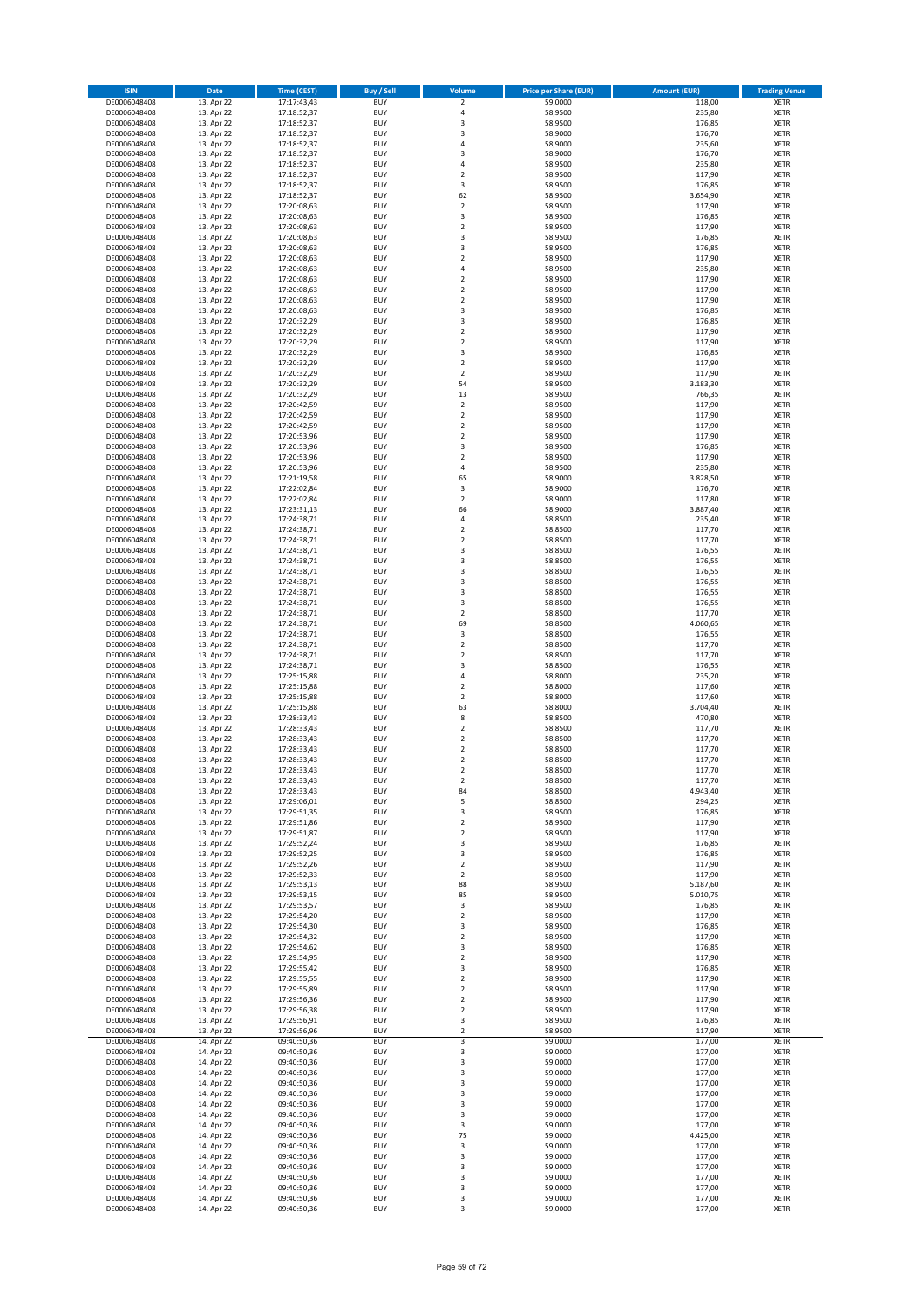| <b>ISIN</b>                  | Date                     | <b>Time (CEST)</b>         | Buy / Sell               | Volume                        | <b>Price per Share (EUR)</b> | <b>Amount (EUR)</b> | <b>Trading Venue</b>       |
|------------------------------|--------------------------|----------------------------|--------------------------|-------------------------------|------------------------------|---------------------|----------------------------|
| DE0006048408                 | 13. Apr 22               | 17:17:43,43                | <b>BUY</b>               | $\mathbf 2$                   | 59,0000                      | 118,00              | <b>XETR</b>                |
| DE0006048408                 | 13. Apr 22               | 17:18:52,37                | <b>BUY</b>               | 4                             | 58,9500                      | 235,80              | <b>XETR</b>                |
| DE0006048408                 | 13. Apr 22               | 17:18:52,37                | <b>BUY</b>               | 3                             | 58,9500                      | 176,85              | <b>XETR</b>                |
| DE0006048408                 | 13. Apr 22               | 17:18:52,37                | <b>BUY</b>               | 3                             | 58,9000                      | 176,70              | <b>XETR</b>                |
| DE0006048408                 | 13. Apr 22               | 17:18:52,37                | <b>BUY</b>               | $\overline{4}$                | 58,9000                      | 235,60              | <b>XETR</b>                |
| DE0006048408<br>DE0006048408 | 13. Apr 22               | 17:18:52,37                | <b>BUY</b>               | 3                             | 58,9000                      | 176,70              | <b>XETR</b>                |
| DE0006048408                 | 13. Apr 22<br>13. Apr 22 | 17:18:52,37<br>17:18:52,37 | <b>BUY</b><br><b>BUY</b> | 4<br>2                        | 58,9500<br>58,9500           | 235,80<br>117,90    | <b>XETR</b><br><b>XETR</b> |
| DE0006048408                 | 13. Apr 22               | 17:18:52,37                | <b>BUY</b>               | 3                             | 58,9500                      | 176,85              | <b>XETR</b>                |
| DE0006048408                 | 13. Apr 22               | 17:18:52,37                | <b>BUY</b>               | 62                            | 58,9500                      | 3.654,90            | <b>XETR</b>                |
| DE0006048408                 | 13. Apr 22               | 17:20:08,63                | <b>BUY</b>               | $\mathbf 2$                   | 58,9500                      | 117,90              | <b>XETR</b>                |
| DE0006048408                 | 13. Apr 22               | 17:20:08,63                | <b>BUY</b>               | 3                             | 58,9500                      | 176,85              | <b>XETR</b>                |
| DE0006048408                 | 13. Apr 22               | 17:20:08,63                | <b>BUY</b>               | $\mathbf 2$                   | 58,9500                      | 117,90              | <b>XETR</b>                |
| DE0006048408                 | 13. Apr 22               | 17:20:08,63                | <b>BUY</b>               | 3                             | 58,9500                      | 176,85              | <b>XETR</b>                |
| DE0006048408                 | 13. Apr 22               | 17:20:08,63                | <b>BUY</b>               | 3                             | 58,9500                      | 176,85              | <b>XETR</b>                |
| DE0006048408                 | 13. Apr 22               | 17:20:08,63                | <b>BUY</b>               | 2                             | 58,9500                      | 117,90              | <b>XETR</b>                |
| DE0006048408                 | 13. Apr 22               | 17:20:08,63<br>17:20:08,63 | <b>BUY</b><br><b>BUY</b> | $\overline{a}$<br>$\mathbf 2$ | 58,9500                      | 235,80<br>117,90    | <b>XETR</b>                |
| DE0006048408<br>DE0006048408 | 13. Apr 22<br>13. Apr 22 | 17:20:08,63                | <b>BUY</b>               | $\mathbf 2$                   | 58,9500<br>58,9500           | 117,90              | <b>XETR</b><br><b>XETR</b> |
| DE0006048408                 | 13. Apr 22               | 17:20:08,63                | <b>BUY</b>               | 2                             | 58,9500                      | 117,90              | <b>XETR</b>                |
| DE0006048408                 | 13. Apr 22               | 17:20:08,63                | <b>BUY</b>               | 3                             | 58,9500                      | 176,85              | <b>XETR</b>                |
| DE0006048408                 | 13. Apr 22               | 17:20:32,29                | <b>BUY</b>               | 3                             | 58,9500                      | 176,85              | <b>XETR</b>                |
| DE0006048408                 | 13. Apr 22               | 17:20:32,29                | <b>BUY</b>               | $\mathbf 2$                   | 58,9500                      | 117,90              | <b>XETR</b>                |
| DE0006048408                 | 13. Apr 22               | 17:20:32,29                | <b>BUY</b>               | $\mathbf 2$                   | 58,9500                      | 117,90              | <b>XETR</b>                |
| DE0006048408                 | 13. Apr 22               | 17:20:32,29                | <b>BUY</b>               | 3                             | 58,9500                      | 176,85              | <b>XETR</b>                |
| DE0006048408                 | 13. Apr 22               | 17:20:32,29                | <b>BUY</b>               | $\mathbf 2$                   | 58,9500                      | 117,90              | <b>XETR</b>                |
| DE0006048408<br>DE0006048408 | 13. Apr 22<br>13. Apr 22 | 17:20:32,29<br>17:20:32,29 | <b>BUY</b><br><b>BUY</b> | $\mathbf 2$<br>54             | 58,9500<br>58,9500           | 117,90<br>3.183,30  | <b>XETR</b><br><b>XETR</b> |
| DE0006048408                 | 13. Apr 22               | 17:20:32,29                | <b>BUY</b>               | 13                            | 58,9500                      | 766,35              | <b>XETR</b>                |
| DE0006048408                 | 13. Apr 22               | 17:20:42,59                | <b>BUY</b>               | $\boldsymbol{2}$              | 58,9500                      | 117,90              | <b>XETR</b>                |
| DE0006048408                 | 13. Apr 22               | 17:20:42,59                | <b>BUY</b>               | $\mathbf 2$                   | 58,9500                      | 117,90              | <b>XETR</b>                |
| DE0006048408                 | 13. Apr 22               | 17:20:42,59                | <b>BUY</b>               | $\mathbf 2$                   | 58,9500                      | 117,90              | <b>XETR</b>                |
| DE0006048408                 | 13. Apr 22               | 17:20:53,96                | <b>BUY</b>               | 2                             | 58,9500                      | 117,90              | <b>XETR</b>                |
| DE0006048408                 | 13. Apr 22               | 17:20:53,96                | <b>BUY</b>               | 3                             | 58,9500                      | 176,85              | <b>XETR</b>                |
| DE0006048408                 | 13. Apr 22               | 17:20:53,96                | <b>BUY</b>               | $\mathbf 2$                   | 58,9500                      | 117,90              | <b>XETR</b>                |
| DE0006048408                 | 13. Apr 22               | 17:20:53,96                | <b>BUY</b>               | 4                             | 58,9500                      | 235,80<br>3.828,50  | <b>XETR</b>                |
| DE0006048408<br>DE0006048408 | 13. Apr 22<br>13. Apr 22 | 17:21:19,58<br>17:22:02,84 | <b>BUY</b><br><b>BUY</b> | 65<br>3                       | 58,9000<br>58,9000           | 176,70              | <b>XETR</b><br><b>XETR</b> |
| DE0006048408                 | 13. Apr 22               | 17:22:02,84                | <b>BUY</b>               | $\mathbf 2$                   | 58,9000                      | 117,80              | <b>XETR</b>                |
| DE0006048408                 | 13. Apr 22               | 17:23:31,13                | <b>BUY</b>               | 66                            | 58,9000                      | 3.887,40            | <b>XETR</b>                |
| DE0006048408                 | 13. Apr 22               | 17:24:38,71                | <b>BUY</b>               | 4                             | 58,8500                      | 235,40              | <b>XETR</b>                |
| DE0006048408                 | 13. Apr 22               | 17:24:38,71                | <b>BUY</b>               | $\overline{\mathbf{2}}$       | 58,8500                      | 117,70              | <b>XETR</b>                |
| DE0006048408                 | 13. Apr 22               | 17:24:38,71                | <b>BUY</b>               | $\mathbf 2$                   | 58,8500                      | 117,70              | <b>XETR</b>                |
| DE0006048408                 | 13. Apr 22               | 17:24:38,71                | <b>BUY</b>               | 3                             | 58,8500                      | 176,55              | <b>XETR</b>                |
| DE0006048408                 | 13. Apr 22               | 17:24:38,71                | <b>BUY</b>               | 3                             | 58,8500                      | 176,55              | <b>XETR</b>                |
| DE0006048408                 | 13. Apr 22               | 17:24:38,71                | <b>BUY</b><br><b>BUY</b> | 3<br>3                        | 58,8500                      | 176,55              | <b>XETR</b><br><b>XETR</b> |
| DE0006048408<br>DE0006048408 | 13. Apr 22<br>13. Apr 22 | 17:24:38,71<br>17:24:38,71 | <b>BUY</b>               | 3                             | 58,8500<br>58,8500           | 176,55<br>176,55    | <b>XETR</b>                |
| DE0006048408                 | 13. Apr 22               | 17:24:38,71                | <b>BUY</b>               | 3                             | 58,8500                      | 176,55              | <b>XETR</b>                |
| DE0006048408                 | 13. Apr 22               | 17:24:38,71                | <b>BUY</b>               | 2                             | 58,8500                      | 117,70              | <b>XETR</b>                |
| DE0006048408                 | 13. Apr 22               | 17:24:38,71                | <b>BUY</b>               | 69                            | 58,8500                      | 4.060,65            | <b>XETR</b>                |
| DE0006048408                 | 13. Apr 22               | 17:24:38,71                | <b>BUY</b>               | 3                             | 58,8500                      | 176,55              | <b>XETR</b>                |
| DE0006048408                 | 13. Apr 22               | 17:24:38,71                | <b>BUY</b>               | $\mathbf 2$                   | 58,8500                      | 117,70              | <b>XETR</b>                |
| DE0006048408                 | 13. Apr 22               | 17:24:38,71                | <b>BUY</b>               | 2                             | 58,8500                      | 117,70              | <b>XETR</b>                |
| DE0006048408                 | 13. Apr 22               | 17:24:38,71                | <b>BUY</b>               | 3                             | 58,8500                      | 176,55              | <b>XETR</b>                |
| DE0006048408<br>DE0006048408 | 13. Apr 22               | 17:25:15,88                | <b>BUY</b><br><b>BUY</b> | 4<br>$\mathbf 2$              | 58,8000                      | 235,20              | <b>XETR</b><br><b>XETR</b> |
| DE0006048408                 | 13. Apr 22<br>13. Apr 22 | 17:25:15,88<br>17:25:15,88 | <b>BUY</b>               | 2                             | 58,8000<br>58,8000           | 117,60<br>117,60    | <b>XETR</b>                |
| DE0006048408                 | 13. Apr 22               | 17:25:15,88                | <b>BUY</b>               | 63                            | 58,8000                      | 3.704,40            | <b>XETR</b>                |
| DE0006048408                 | 13. Apr 22               | 17:28:33,43                | <b>BUY</b>               | 8                             | 58,8500                      | 470,80              | <b>XETR</b>                |
| DE0006048408                 | 13. Apr 22               | 17:28:33,43                | <b>BUY</b>               | $\mathbf 2$                   | 58,8500                      | 117,70              | <b>XETR</b>                |
| DE0006048408                 | 13. Apr 22               | 17:28:33,43                | <b>BUY</b>               | 2                             | 58,8500                      | 117,70              | <b>XETR</b>                |
| DE0006048408                 | 13. Apr 22               | 17:28:33,43                | <b>BUY</b>               | $\overline{\mathbf{2}}$       | 58,8500                      | 117,70              | <b>XETR</b>                |
| DE0006048408                 | 13. Apr 22               | 17:28:33,43                | <b>BUY</b>               | $\mathbf 2$                   | 58,8500                      | 117,70              | <b>XETR</b>                |
| DE0006048408                 | 13. Apr 22               | 17:28:33,43                | <b>BUY</b>               | $\mathfrak{p}$                | 58,8500                      | 117,70              | <b>XETR</b>                |
| DE0006048408<br>DE0006048408 | 13. Apr 22<br>13. Apr 22 | 17:28:33,43<br>17:28:33,43 | <b>BUY</b><br><b>BUY</b> | 2<br>84                       | 58,8500<br>58,8500           | 117,70<br>4.943,40  | XETR<br><b>XETR</b>        |
| DE0006048408                 | 13. Apr 22               | 17:29:06,01                | <b>BUY</b>               | 5                             | 58,8500                      | 294,25              | <b>XETR</b>                |
| DE0006048408                 | 13. Apr 22               | 17:29:51,35                | <b>BUY</b>               | 3                             | 58,9500                      | 176,85              | <b>XETR</b>                |
| DE0006048408                 | 13. Apr 22               | 17:29:51,86                | <b>BUY</b>               | 2                             | 58,9500                      | 117,90              | <b>XETR</b>                |
| DE0006048408                 | 13. Apr 22               | 17:29:51,87                | <b>BUY</b>               | $\overline{\mathbf{2}}$       | 58,9500                      | 117,90              | <b>XETR</b>                |
| DE0006048408                 | 13. Apr 22               | 17:29:52,24                | <b>BUY</b>               | 3                             | 58,9500                      | 176,85              | <b>XETR</b>                |
| DE0006048408                 | 13. Apr 22               | 17:29:52,25                | <b>BUY</b>               | 3                             | 58,9500                      | 176,85              | <b>XETR</b>                |
| DE0006048408                 | 13. Apr 22               | 17:29:52,26                | <b>BUY</b>               | $\mathbf 2$                   | 58,9500                      | 117,90              | <b>XETR</b>                |
| DE0006048408<br>DE0006048408 | 13. Apr 22<br>13. Apr 22 | 17:29:52,33<br>17:29:53,13 | <b>BUY</b><br><b>BUY</b> | 2<br>88                       | 58,9500<br>58,9500           | 117,90<br>5.187,60  | <b>XETR</b><br><b>XETR</b> |
| DE0006048408                 | 13. Apr 22               | 17:29:53,15                | <b>BUY</b>               | 85                            | 58,9500                      | 5.010,75            | <b>XETR</b>                |
| DE0006048408                 | 13. Apr 22               | 17:29:53,57                | <b>BUY</b>               | 3                             | 58,9500                      | 176,85              | <b>XETR</b>                |
| DE0006048408                 | 13. Apr 22               | 17:29:54,20                | <b>BUY</b>               | 2                             | 58,9500                      | 117,90              | <b>XETR</b>                |
| DE0006048408                 | 13. Apr 22               | 17:29:54,30                | <b>BUY</b>               | 3                             | 58,9500                      | 176,85              | <b>XETR</b>                |
| DE0006048408                 | 13. Apr 22               | 17:29:54,32                | <b>BUY</b>               | 2                             | 58,9500                      | 117,90              | <b>XETR</b>                |
| DE0006048408                 | 13. Apr 22               | 17:29:54,62                | <b>BUY</b>               | 3                             | 58,9500                      | 176,85              | <b>XETR</b>                |
| DE0006048408                 | 13. Apr 22               | 17:29:54,95                | <b>BUY</b>               | 2                             | 58,9500                      | 117,90              | <b>XETR</b>                |
| DE0006048408<br>DE0006048408 | 13. Apr 22<br>13. Apr 22 | 17:29:55,42<br>17:29:55,55 | <b>BUY</b><br><b>BUY</b> | 3<br>$\mathbf 2$              | 58,9500<br>58,9500           | 176,85<br>117,90    | <b>XETR</b><br><b>XETR</b> |
| DE0006048408                 | 13. Apr 22               | 17:29:55,89                | <b>BUY</b>               | $\mathbf 2$                   | 58,9500                      | 117,90              | <b>XETR</b>                |
| DE0006048408                 | 13. Apr 22               | 17:29:56,36                | <b>BUY</b>               | 2                             | 58,9500                      | 117,90              | <b>XETR</b>                |
| DE0006048408                 | 13. Apr 22               | 17:29:56,38                | <b>BUY</b>               | $\mathbf 2$                   | 58,9500                      | 117,90              | <b>XETR</b>                |
| DE0006048408                 | 13. Apr 22               | 17:29:56,91                | <b>BUY</b>               | 3                             | 58,9500                      | 176,85              | <b>XETR</b>                |
| DE0006048408                 | 13. Apr 22               | 17:29:56,96                | <b>BUY</b>               | $\overline{\mathbf{2}}$       | 58,9500                      | 117,90              | <b>XETR</b>                |
| DE0006048408                 | 14. Apr 22               | 09:40:50,36                | <b>BUY</b>               | 3                             | 59,0000                      | 177,00              | <b>XETR</b>                |
| DE0006048408                 | 14. Apr 22               | 09:40:50,36                | <b>BUY</b>               | 3                             | 59,0000                      | 177,00              | <b>XETR</b>                |
| DE0006048408<br>DE0006048408 | 14. Apr 22               | 09:40:50,36                | <b>BUY</b><br><b>BUY</b> | 3                             | 59,0000                      | 177,00              | <b>XETR</b>                |
| DE0006048408                 | 14. Apr 22<br>14. Apr 22 | 09:40:50,36<br>09:40:50,36 | <b>BUY</b>               | 3<br>3                        | 59,0000<br>59,0000           | 177,00<br>177,00    | <b>XETR</b><br><b>XETR</b> |
| DE0006048408                 | 14. Apr 22               | 09:40:50,36                | <b>BUY</b>               | 3                             | 59,0000                      | 177,00              | <b>XETR</b>                |
| DE0006048408                 | 14. Apr 22               | 09:40:50,36                | <b>BUY</b>               | 3                             | 59,0000                      | 177,00              | <b>XETR</b>                |
| DE0006048408                 | 14. Apr 22               | 09:40:50,36                | <b>BUY</b>               | 3                             | 59,0000                      | 177,00              | <b>XETR</b>                |
| DE0006048408                 | 14. Apr 22               | 09:40:50,36                | <b>BUY</b>               | 3                             | 59,0000                      | 177,00              | <b>XETR</b>                |
| DE0006048408                 | 14. Apr 22               | 09:40:50,36                | <b>BUY</b>               | 75                            | 59,0000                      | 4.425,00            | <b>XETR</b>                |
| DE0006048408                 | 14. Apr 22               | 09:40:50,36                | <b>BUY</b>               | 3                             | 59,0000                      | 177,00              | <b>XETR</b>                |
| DE0006048408                 | 14. Apr 22               | 09:40:50,36                | <b>BUY</b>               | 3                             | 59,0000                      | 177,00              | <b>XETR</b>                |
| DE0006048408<br>DE0006048408 | 14. Apr 22<br>14. Apr 22 | 09:40:50,36<br>09:40:50,36 | <b>BUY</b><br><b>BUY</b> | 3<br>3                        | 59,0000<br>59,0000           | 177,00<br>177,00    | <b>XETR</b><br><b>XETR</b> |
| DE0006048408                 | 14. Apr 22               | 09:40:50,36                | <b>BUY</b>               | 3                             | 59,0000                      | 177,00              | <b>XETR</b>                |
| DE0006048408                 | 14. Apr 22               | 09:40:50,36                | <b>BUY</b>               | 3                             | 59,0000                      | 177,00              | <b>XETR</b>                |
| DE0006048408                 | 14. Apr 22               | 09:40:50,36                | <b>BUY</b>               | 3                             | 59,0000                      | 177,00              | <b>XETR</b>                |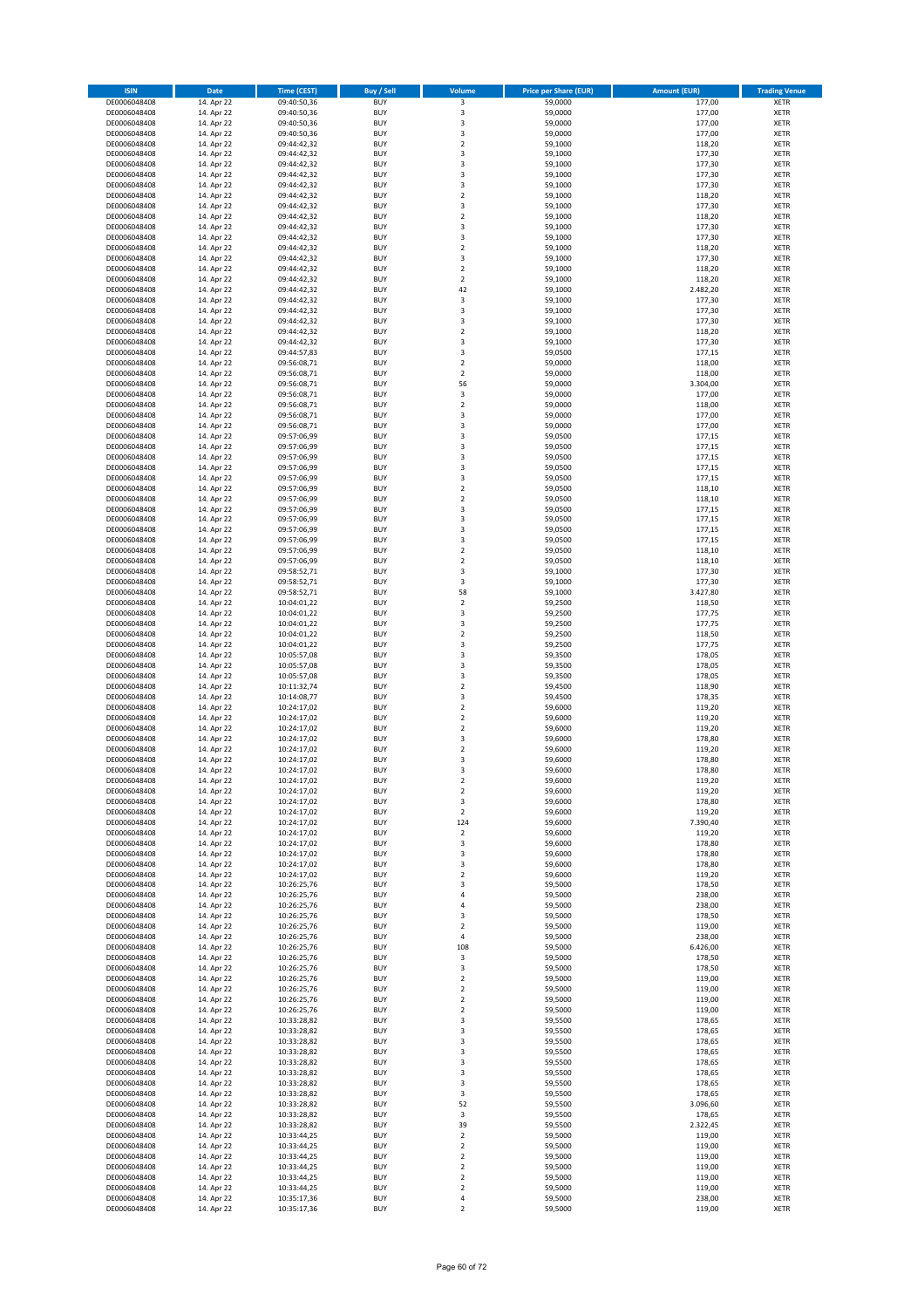| <b>ISIN</b>                  | Date                     | <b>Time (CEST)</b>         | <b>Buy / Sell</b>        | Volume                                 | <b>Price per Share (EUR)</b> | <b>Amount (EUR)</b> | <b>Trading Venue</b>       |
|------------------------------|--------------------------|----------------------------|--------------------------|----------------------------------------|------------------------------|---------------------|----------------------------|
| DE0006048408                 | 14. Apr 22               | 09:40:50,36                | <b>BUY</b>               | 3                                      | 59,0000                      | 177,00              | <b>XETR</b>                |
| DE0006048408                 | 14. Apr 22               | 09:40:50,36                | <b>BUY</b>               | 3                                      | 59,0000                      | 177,00              | <b>XETR</b>                |
| DE0006048408<br>DE0006048408 | 14. Apr 22<br>14. Apr 22 | 09:40:50,36<br>09:40:50,36 | <b>BUY</b><br><b>BUY</b> | 3<br>3                                 | 59,0000<br>59,0000           | 177,00<br>177,00    | <b>XETR</b><br><b>XETR</b> |
| DE0006048408                 | 14. Apr 22               | 09:44:42,32                | <b>BUY</b>               | $\mathbf 2$                            | 59,1000                      | 118,20              | <b>XETR</b>                |
| DE0006048408                 | 14. Apr 22               | 09:44:42,32                | <b>BUY</b>               | 3                                      | 59,1000                      | 177,30              | <b>XETR</b>                |
| DE0006048408                 | 14. Apr 22               | 09:44:42,32                | <b>BUY</b>               | 3                                      | 59,1000                      | 177,30              | <b>XETR</b>                |
| DE0006048408                 | 14. Apr 22               | 09:44:42,32                | <b>BUY</b>               | 3                                      | 59,1000                      | 177,30              | <b>XETR</b>                |
| DE0006048408<br>DE0006048408 | 14. Apr 22<br>14. Apr 22 | 09:44:42,32<br>09:44:42,32 | <b>BUY</b><br><b>BUY</b> | 3<br>$\overline{2}$                    | 59,1000<br>59,1000           | 177,30<br>118,20    | XETR<br><b>XETR</b>        |
| DE0006048408                 | 14. Apr 22               | 09:44:42,32                | <b>BUY</b>               | 3                                      | 59,1000                      | 177,30              | XETR                       |
| DE0006048408                 | 14. Apr 22               | 09:44:42,32                | <b>BUY</b>               | $\overline{2}$                         | 59,1000                      | 118,20              | <b>XETR</b>                |
| DE0006048408                 | 14. Apr 22               | 09:44:42,32                | <b>BUY</b>               | 3                                      | 59,1000                      | 177,30              | XETR                       |
| DE0006048408                 | 14. Apr 22               | 09:44:42,32                | <b>BUY</b>               | 3                                      | 59,1000                      | 177,30              | <b>XETR</b>                |
| DE0006048408                 | 14. Apr 22               | 09:44:42,32                | <b>BUY</b>               | $\mathbf 2$                            | 59,1000                      | 118,20              | XETR                       |
| DE0006048408<br>DE0006048408 | 14. Apr 22<br>14. Apr 22 | 09:44:42,32<br>09:44:42,32 | <b>BUY</b><br><b>BUY</b> | 3<br>$\mathbf 2$                       | 59,1000<br>59,1000           | 177,30<br>118,20    | <b>XETR</b><br>XETR        |
| DE0006048408                 | 14. Apr 22               | 09:44:42,32                | <b>BUY</b>               | $\overline{2}$                         | 59,1000                      | 118,20              | <b>XETR</b>                |
| DE0006048408                 | 14. Apr 22               | 09:44:42,32                | <b>BUY</b>               | 42                                     | 59,1000                      | 2.482,20            | XETR                       |
| DE0006048408                 | 14. Apr 22               | 09:44:42,32                | <b>BUY</b>               | 3                                      | 59,1000                      | 177,30              | <b>XETR</b>                |
| DE0006048408                 | 14. Apr 22               | 09:44:42,32                | <b>BUY</b>               | 3                                      | 59,1000                      | 177,30              | <b>XETR</b>                |
| DE0006048408<br>DE0006048408 | 14. Apr 22<br>14. Apr 22 | 09:44:42,32<br>09:44:42,32 | <b>BUY</b><br><b>BUY</b> | 3<br>$\overline{2}$                    | 59,1000<br>59,1000           | 177,30<br>118,20    | <b>XETR</b><br><b>XETR</b> |
| DE0006048408                 | 14. Apr 22               | 09:44:42,32                | <b>BUY</b>               | 3                                      | 59,1000                      | 177,30              | <b>XETR</b>                |
| DE0006048408                 | 14. Apr 22               | 09:44:57,83                | <b>BUY</b>               | 3                                      | 59,0500                      | 177,15              | <b>XETR</b>                |
| DE0006048408                 | 14. Apr 22               | 09:56:08,71                | <b>BUY</b>               | $\overline{2}$                         | 59,0000                      | 118,00              | <b>XETR</b>                |
| DE0006048408                 | 14. Apr 22               | 09:56:08,71                | <b>BUY</b>               | $\overline{2}$                         | 59,0000                      | 118,00              | <b>XETR</b>                |
| DE0006048408<br>DE0006048408 | 14. Apr 22<br>14. Apr 22 | 09:56:08,71<br>09:56:08,71 | <b>BUY</b><br><b>BUY</b> | 56<br>3                                | 59,0000<br>59,0000           | 3.304,00<br>177,00  | <b>XETR</b><br><b>XETR</b> |
| DE0006048408                 | 14. Apr 22               | 09:56:08,71                | <b>BUY</b>               | $\mathbf 2$                            | 59,0000                      | 118,00              | <b>XETR</b>                |
| DE0006048408                 | 14. Apr 22               | 09:56:08,71                | <b>BUY</b>               | 3                                      | 59,0000                      | 177,00              | <b>XETR</b>                |
| DE0006048408                 | 14. Apr 22               | 09:56:08,71                | <b>BUY</b>               | 3                                      | 59,0000                      | 177,00              | <b>XETR</b>                |
| DE0006048408                 | 14. Apr 22               | 09:57:06,99                | <b>BUY</b>               | 3                                      | 59,0500                      | 177,15              | <b>XETR</b>                |
| DE0006048408<br>DE0006048408 | 14. Apr 22<br>14. Apr 22 | 09:57:06,99                | <b>BUY</b><br><b>BUY</b> | 3<br>3                                 | 59,0500<br>59,0500           | 177,15<br>177,15    | XETR<br><b>XETR</b>        |
| DE0006048408                 | 14. Apr 22               | 09:57:06,99<br>09:57:06,99 | <b>BUY</b>               | $\overline{\mathbf{3}}$                | 59,0500                      | 177,15              | XETR                       |
| DE0006048408                 | 14. Apr 22               | 09:57:06,99                | <b>BUY</b>               | 3                                      | 59,0500                      | 177,15              | <b>XETR</b>                |
| DE0006048408                 | 14. Apr 22               | 09:57:06,99                | <b>BUY</b>               | $\sqrt{2}$                             | 59,0500                      | 118,10              | XETR                       |
| DE0006048408                 | 14. Apr 22               | 09:57:06,99                | <b>BUY</b>               | $\overline{2}$                         | 59,0500                      | 118,10              | <b>XETR</b>                |
| DE0006048408                 | 14. Apr 22               | 09:57:06,99                | <b>BUY</b>               | $\overline{\mathbf{3}}$                | 59,0500                      | 177,15              | <b>XETR</b>                |
| DE0006048408<br>DE0006048408 | 14. Apr 22<br>14. Apr 22 | 09:57:06,99<br>09:57:06,99 | <b>BUY</b><br><b>BUY</b> | 3<br>3                                 | 59,0500<br>59,0500           | 177,15<br>177,15    | <b>XETR</b><br><b>XETR</b> |
| DE0006048408                 | 14. Apr 22               | 09:57:06,99                | <b>BUY</b>               | 3                                      | 59,0500                      | 177,15              | <b>XETR</b>                |
| DE0006048408                 | 14. Apr 22               | 09:57:06,99                | <b>BUY</b>               | $\overline{2}$                         | 59,0500                      | 118,10              | <b>XETR</b>                |
| DE0006048408                 | 14. Apr 22               | 09:57:06,99                | <b>BUY</b>               | $\overline{2}$                         | 59,0500                      | 118,10              | <b>XETR</b>                |
| DE0006048408                 | 14. Apr 22               | 09:58:52,71                | <b>BUY</b>               | 3                                      | 59,1000                      | 177,30              | <b>XETR</b>                |
| DE0006048408<br>DE0006048408 | 14. Apr 22<br>14. Apr 22 | 09:58:52,71<br>09:58:52,71 | <b>BUY</b><br><b>BUY</b> | 3<br>58                                | 59,1000<br>59,1000           | 177,30<br>3.427,80  | <b>XETR</b><br><b>XETR</b> |
| DE0006048408                 | 14. Apr 22               | 10:04:01,22                | <b>BUY</b>               | $\mathbf 2$                            | 59,2500                      | 118,50              | <b>XETR</b>                |
| DE0006048408                 | 14. Apr 22               | 10:04:01,22                | <b>BUY</b>               | 3                                      | 59,2500                      | 177,75              | <b>XETR</b>                |
| DE0006048408                 | 14. Apr 22               | 10:04:01,22                | <b>BUY</b>               | 3                                      | 59,2500                      | 177,75              | <b>XETR</b>                |
| DE0006048408                 | 14. Apr 22               | 10:04:01,22                | <b>BUY</b>               | $\overline{2}$                         | 59,2500                      | 118,50              | <b>XETR</b>                |
| DE0006048408<br>DE0006048408 | 14. Apr 22<br>14. Apr 22 | 10:04:01,22<br>10:05:57,08 | <b>BUY</b><br><b>BUY</b> | 3<br>3                                 | 59,2500<br>59,3500           | 177,75<br>178,05    | <b>XETR</b><br><b>XETR</b> |
| DE0006048408                 | 14. Apr 22               | 10:05:57,08                | <b>BUY</b>               | 3                                      | 59,3500                      | 178,05              | <b>XETR</b>                |
| DE0006048408                 | 14. Apr 22               | 10:05:57,08                | <b>BUY</b>               | 3                                      | 59,3500                      | 178,05              | <b>XETR</b>                |
| DE0006048408                 | 14. Apr 22               | 10:11:32,74                | <b>BUY</b>               | $\mathbf 2$                            | 59,4500                      | 118,90              | <b>XETR</b>                |
| DE0006048408                 | 14. Apr 22               | 10:14:08,77                | <b>BUY</b>               | 3                                      | 59,4500                      | 178,35              | <b>XETR</b>                |
| DE0006048408<br>DE0006048408 | 14. Apr 22<br>14. Apr 22 | 10:24:17,02<br>10:24:17,02 | <b>BUY</b><br><b>BUY</b> | $\overline{2}$<br>$\overline{2}$       | 59,6000<br>59,6000           | 119,20<br>119,20    | <b>XETR</b><br><b>XETR</b> |
| DE0006048408                 | 14. Apr 22               | 10:24:17,02                | <b>BUY</b>               | $\mathbf 2$                            | 59,6000                      | 119,20              | XETR                       |
| DE0006048408                 | 14. Apr 22               | 10:24:17,02                | <b>BUY</b>               | 3                                      | 59,6000                      | 178,80              | <b>XETR</b>                |
| DE0006048408                 | 14. Apr 22               | 10:24:17,02                | <b>BUY</b>               | $\boldsymbol{2}$                       | 59,6000                      | 119,20              | XETR                       |
| DE0006048408                 | 14. Apr 22               | 10:24:17,02                | <b>BUY</b>               | 3                                      | 59,6000                      | 178,80              | <b>XETR</b>                |
| DE0006048408                 | 14. Apr 22               | 10:24:17,02<br>10:24:17,02 | <b>BUY</b><br><b>BUY</b> | 3                                      | 59,6000                      | 178,80              | <b>XETR</b>                |
| DE0006048408<br>DE0006048408 | 14. Apr 22<br>14. Apr 22 | 10:24:17,02                | <b>BUY</b>               | $\overline{\mathbf{c}}$<br>$\mathbf 2$ | 59,6000<br>59,6000           | 119,20<br>119,20    | XETR<br>XETR               |
| DE0006048408                 | 14. Apr 22               | 10:24:17,02                | <b>BUY</b>               | 3                                      | 59,6000                      | 178,80              | XETR                       |
| DE0006048408                 | 14. Apr 22               | 10:24:17,02                | <b>BUY</b>               | $\overline{2}$                         | 59,6000                      | 119,20              | <b>XETR</b>                |
| DE0006048408                 | 14. Apr 22               | 10:24:17,02                | <b>BUY</b>               | 124                                    | 59,6000                      | 7.390,40            | <b>XETR</b>                |
| DE0006048408<br>DE0006048408 | 14. Apr 22<br>14. Apr 22 | 10:24:17,02<br>10:24:17,02 | <b>BUY</b><br><b>BUY</b> | $\mathbf 2$<br>3                       | 59,6000<br>59,6000           | 119,20<br>178,80    | XETR<br><b>XETR</b>        |
| DE0006048408                 | 14. Apr 22               | 10:24:17,02                | <b>BUY</b>               | 3                                      | 59,6000                      | 178,80              | XETR                       |
| DE0006048408                 | 14. Apr 22               | 10:24:17,02                | <b>BUY</b>               | 3                                      | 59,6000                      | 178,80              | <b>XETR</b>                |
| DE0006048408                 | 14. Apr 22               | 10:24:17,02                | <b>BUY</b>               | $\boldsymbol{2}$                       | 59,6000                      | 119,20              | XETR                       |
| DE0006048408                 | 14. Apr 22               | 10:26:25,76                | <b>BUY</b>               | 3                                      | 59,5000                      | 178,50              | <b>XETR</b>                |
| DE0006048408<br>DE0006048408 | 14. Apr 22<br>14. Apr 22 | 10:26:25,76<br>10:26:25,76 | <b>BUY</b><br><b>BUY</b> | $\sqrt{4}$<br>4                        | 59,5000<br>59,5000           | 238,00<br>238,00    | <b>XETR</b><br><b>XETR</b> |
| DE0006048408                 | 14. Apr 22               | 10:26:25,76                | <b>BUY</b>               | 3                                      | 59,5000                      | 178,50              | XETR                       |
| DE0006048408                 | 14. Apr 22               | 10:26:25,76                | <b>BUY</b>               | $\overline{2}$                         | 59,5000                      | 119,00              | <b>XETR</b>                |
| DE0006048408                 | 14. Apr 22               | 10:26:25,76                | <b>BUY</b>               | 4                                      | 59,5000                      | 238,00              | <b>XETR</b>                |
| DE0006048408                 | 14. Apr 22               | 10:26:25,76                | <b>BUY</b>               | 108                                    | 59,5000                      | 6.426,00            | <b>XETR</b>                |
| DE0006048408<br>DE0006048408 | 14. Apr 22<br>14. Apr 22 | 10:26:25,76<br>10:26:25,76 | <b>BUY</b><br><b>BUY</b> | 3<br>3                                 | 59,5000<br>59,5000           | 178,50<br>178,50    | <b>XETR</b><br><b>XETR</b> |
| DE0006048408                 | 14. Apr 22               | 10:26:25,76                | <b>BUY</b>               | $\boldsymbol{2}$                       | 59,5000                      | 119,00              | <b>XETR</b>                |
| DE0006048408                 | 14. Apr 22               | 10:26:25,76                | <b>BUY</b>               | $\overline{2}$                         | 59,5000                      | 119,00              | <b>XETR</b>                |
| DE0006048408                 | 14. Apr 22               | 10:26:25,76                | <b>BUY</b>               | $\boldsymbol{2}$                       | 59,5000                      | 119,00              | <b>XETR</b>                |
| DE0006048408                 | 14. Apr 22               | 10:26:25,76                | <b>BUY</b>               | $\overline{\mathbf{c}}$                | 59,5000                      | 119,00              | XETR                       |
| DE0006048408<br>DE0006048408 | 14. Apr 22<br>14. Apr 22 | 10:33:28,82<br>10:33:28,82 | <b>BUY</b><br><b>BUY</b> | 3<br>3                                 | 59,5500<br>59,5500           | 178,65<br>178,65    | XETR<br>XETR               |
| DE0006048408                 | 14. Apr 22               | 10:33:28,82                | <b>BUY</b>               | 3                                      | 59,5500                      | 178,65              | <b>XETR</b>                |
| DE0006048408                 | 14. Apr 22               | 10:33:28,82                | <b>BUY</b>               | 3                                      | 59,5500                      | 178,65              | XETR                       |
| DE0006048408                 | 14. Apr 22               | 10:33:28,82                | <b>BUY</b>               | 3                                      | 59,5500                      | 178,65              | XETR                       |
| DE0006048408                 | 14. Apr 22               | 10:33:28,82                | <b>BUY</b>               | 3                                      | 59,5500                      | 178,65              | XETR                       |
| DE0006048408                 | 14. Apr 22               | 10:33:28,82                | <b>BUY</b><br><b>BUY</b> | 3                                      | 59,5500<br>59,5500           | 178,65<br>178,65    | <b>XETR</b><br>XETR        |
| DE0006048408<br>DE0006048408 | 14. Apr 22<br>14. Apr 22 | 10:33:28,82<br>10:33:28,82 | <b>BUY</b>               | 3<br>52                                | 59,5500                      | 3.096,60            | XETR                       |
| DE0006048408                 | 14. Apr 22               | 10:33:28,82                | <b>BUY</b>               | 3                                      | 59,5500                      | 178,65              | XETR                       |
| DE0006048408                 | 14. Apr 22               | 10:33:28,82                | <b>BUY</b>               | 39                                     | 59,5500                      | 2.322,45            | <b>XETR</b>                |
| DE0006048408                 | 14. Apr 22               | 10:33:44,25                | <b>BUY</b>               | $\overline{\mathbf{c}}$                | 59,5000                      | 119,00              | <b>XETR</b>                |
| DE0006048408<br>DE0006048408 | 14. Apr 22<br>14. Apr 22 | 10:33:44,25                | <b>BUY</b><br><b>BUY</b> | $\overline{2}$<br>$\boldsymbol{2}$     | 59,5000<br>59,5000           | 119,00<br>119,00    | <b>XETR</b><br><b>XETR</b> |
| DE0006048408                 | 14. Apr 22               | 10:33:44,25<br>10:33:44,25 | <b>BUY</b>               | $\overline{2}$                         | 59,5000                      | 119,00              | <b>XETR</b>                |
| DE0006048408                 | 14. Apr 22               | 10:33:44,25                | <b>BUY</b>               | $\mathbf 2$                            | 59,5000                      | 119,00              | <b>XETR</b>                |
| DE0006048408                 | 14. Apr 22               | 10:33:44,25                | <b>BUY</b>               | $\overline{2}$                         | 59,5000                      | 119,00              | <b>XETR</b>                |
| DE0006048408                 | 14. Apr 22               | 10:35:17,36                | <b>BUY</b>               | $\pmb{4}$                              | 59,5000                      | 238,00              | <b>XETR</b>                |
| DE0006048408                 | 14. Apr 22               | 10:35:17,36                | <b>BUY</b>               | $\overline{2}$                         | 59,5000                      | 119,00              | <b>XETR</b>                |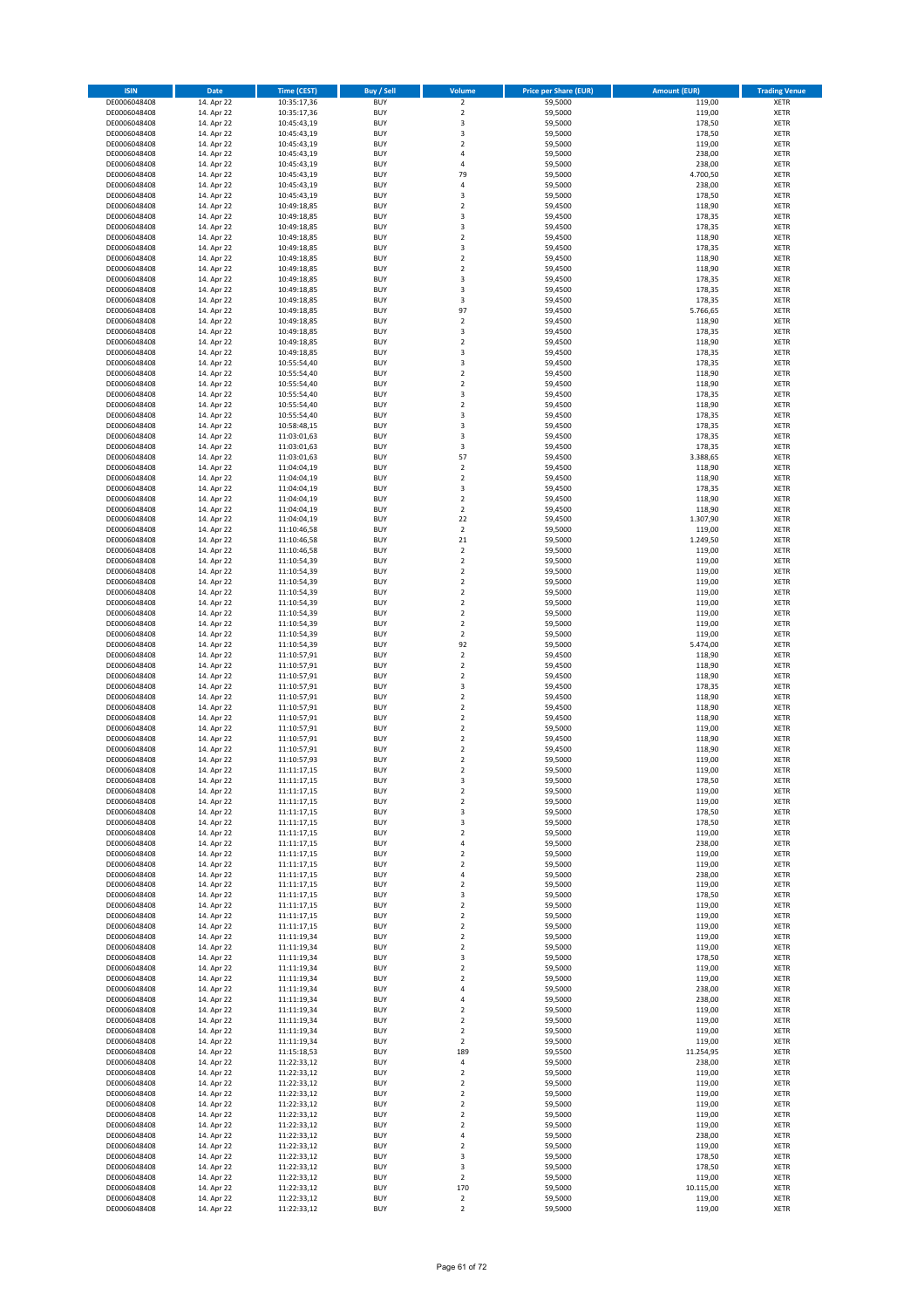| <b>ISIN</b>                  | Date                     | Time (CEST)                | Buy / Sell               | Volume                                 | <b>Price per Share (EUR)</b> | <b>Amount (EUR)</b> | <b>Trading Venue</b>       |
|------------------------------|--------------------------|----------------------------|--------------------------|----------------------------------------|------------------------------|---------------------|----------------------------|
| DE0006048408                 | 14. Apr 22               | 10:35:17,36                | <b>BUY</b>               | $\overline{2}$                         | 59,5000                      | 119,00              | <b>XETR</b>                |
| DE0006048408                 | 14. Apr 22               | 10:35:17,36                | <b>BUY</b>               | $\mathbf 2$                            | 59,5000                      | 119,00              | XETR                       |
| DE0006048408<br>DE0006048408 | 14. Apr 22<br>14. Apr 22 | 10:45:43,19<br>10:45:43,19 | <b>BUY</b><br><b>BUY</b> | 3<br>3                                 | 59,5000<br>59,5000           | 178,50<br>178,50    | XETR<br>XETR               |
| DE0006048408                 | 14. Apr 22               | 10:45:43,19                | <b>BUY</b>               | $\mathbf 2$                            | 59,5000                      | 119,00              | XETR                       |
| DE0006048408                 | 14. Apr 22               | 10:45:43,19                | <b>BUY</b>               | $\overline{4}$                         | 59,5000                      | 238,00              | <b>XETR</b>                |
| DE0006048408                 | 14. Apr 22               | 10:45:43,19                | <b>BUY</b>               | 4                                      | 59,5000                      | 238,00              | <b>XETR</b>                |
| DE0006048408                 | 14. Apr 22               | 10:45:43,19                | <b>BUY</b>               | 79                                     | 59,5000                      | 4.700,50            | <b>XETR</b>                |
| DE0006048408<br>DE0006048408 | 14. Apr 22<br>14. Apr 22 | 10:45:43,19                | <b>BUY</b><br><b>BUY</b> | 4<br>3                                 | 59,5000<br>59,5000           | 238,00<br>178,50    | <b>XETR</b><br><b>XETR</b> |
| DE0006048408                 | 14. Apr 22               | 10:45:43,19<br>10:49:18,85 | <b>BUY</b>               | $\mathbf 2$                            | 59,4500                      | 118,90              | <b>XETR</b>                |
| DE0006048408                 | 14. Apr 22               | 10:49:18,85                | <b>BUY</b>               | 3                                      | 59,4500                      | 178,35              | <b>XETR</b>                |
| DE0006048408                 | 14. Apr 22               | 10:49:18,85                | <b>BUY</b>               | 3                                      | 59,4500                      | 178,35              | XETR                       |
| DE0006048408                 | 14. Apr 22               | 10:49:18,85                | <b>BUY</b>               | $\mathbf 2$                            | 59,4500                      | 118,90              | <b>XETR</b>                |
| DE0006048408                 | 14. Apr 22               | 10:49:18,85                | <b>BUY</b>               | 3                                      | 59,4500                      | 178,35              | XETR                       |
| DE0006048408<br>DE0006048408 | 14. Apr 22<br>14. Apr 22 | 10:49:18,85<br>10:49:18,85 | <b>BUY</b><br><b>BUY</b> | $\mathbf 2$<br>$\mathbf 2$             | 59,4500<br>59,4500           | 118,90<br>118,90    | <b>XETR</b><br>XETR        |
| DE0006048408                 | 14. Apr 22               | 10:49:18,85                | <b>BUY</b>               | 3                                      | 59,4500                      | 178,35              | <b>XETR</b>                |
| DE0006048408                 | 14. Apr 22               | 10:49:18,85                | <b>BUY</b>               | 3                                      | 59,4500                      | 178,35              | XETR                       |
| DE0006048408                 | 14. Apr 22               | 10:49:18,85                | <b>BUY</b>               | 3                                      | 59,4500                      | 178,35              | <b>XETR</b>                |
| DE0006048408                 | 14. Apr 22               | 10:49:18,85                | <b>BUY</b>               | 97                                     | 59,4500                      | 5.766,65            | XETR                       |
| DE0006048408<br>DE0006048408 | 14. Apr 22<br>14. Apr 22 | 10:49:18,85<br>10:49:18,85 | <b>BUY</b><br><b>BUY</b> | $\mathbf 2$<br>3                       | 59,4500<br>59,4500           | 118,90<br>178,35    | XETR<br><b>XETR</b>        |
| DE0006048408                 | 14. Apr 22               | 10:49:18,85                | <b>BUY</b>               | $\mathbf 2$                            | 59,4500                      | 118,90              | <b>XETR</b>                |
| DE0006048408                 | 14. Apr 22               | 10:49:18,85                | <b>BUY</b>               | 3                                      | 59,4500                      | 178,35              | <b>XETR</b>                |
| DE0006048408                 | 14. Apr 22               | 10:55:54,40                | <b>BUY</b>               | 3                                      | 59,4500                      | 178,35              | <b>XETR</b>                |
| DE0006048408                 | 14. Apr 22               | 10:55:54,40                | <b>BUY</b>               | $\overline{\mathbf{c}}$                | 59,4500                      | 118,90              | <b>XETR</b>                |
| DE0006048408                 | 14. Apr 22               | 10:55:54,40                | <b>BUY</b><br><b>BUY</b> | $\mathbf 2$                            | 59,4500                      | 118,90              | <b>XETR</b><br><b>XETR</b> |
| DE0006048408<br>DE0006048408 | 14. Apr 22<br>14. Apr 22 | 10:55:54,40<br>10:55:54,40 | <b>BUY</b>               | 3<br>$\mathbf 2$                       | 59,4500<br>59,4500           | 178,35<br>118,90    | XETR                       |
| DE0006048408                 | 14. Apr 22               | 10:55:54,40                | <b>BUY</b>               | 3                                      | 59,4500                      | 178,35              | <b>XETR</b>                |
| DE0006048408                 | 14. Apr 22               | 10:58:48,15                | <b>BUY</b>               | 3                                      | 59,4500                      | 178,35              | <b>XETR</b>                |
| DE0006048408                 | 14. Apr 22               | 11:03:01,63                | <b>BUY</b>               | 3                                      | 59,4500                      | 178,35              | <b>XETR</b>                |
| DE0006048408                 | 14. Apr 22               | 11:03:01,63                | <b>BUY</b>               | 3                                      | 59,4500                      | 178,35              | XETR                       |
| DE0006048408<br>DE0006048408 | 14. Apr 22<br>14. Apr 22 | 11:03:01,63<br>11:04:04,19 | <b>BUY</b><br><b>BUY</b> | 57<br>$\mathbf 2$                      | 59,4500<br>59,4500           | 3.388,65<br>118,90  | <b>XETR</b><br>XETR        |
| DE0006048408                 | 14. Apr 22               | 11:04:04,19                | <b>BUY</b>               | $\overline{\mathbf{c}}$                | 59,4500                      | 118,90              | <b>XETR</b>                |
| DE0006048408                 | 14. Apr 22               | 11:04:04,19                | <b>BUY</b>               | 3                                      | 59,4500                      | 178,35              | XETR                       |
| DE0006048408                 | 14. Apr 22               | 11:04:04,19                | <b>BUY</b>               | $\overline{\mathbf{c}}$                | 59,4500                      | 118,90              | <b>XETR</b>                |
| DE0006048408                 | 14. Apr 22               | 11:04:04,19                | <b>BUY</b>               | $\mathbf 2$                            | 59,4500                      | 118,90              | <b>XETR</b>                |
| DE0006048408                 | 14. Apr 22               | 11:04:04,19                | <b>BUY</b>               | 22                                     | 59,4500                      | 1.307.90            | <b>XETR</b>                |
| DE0006048408<br>DE0006048408 | 14. Apr 22<br>14. Apr 22 | 11:10:46,58<br>11:10:46,58 | <b>BUY</b><br><b>BUY</b> | $\mathbf 2$<br>21                      | 59,5000<br>59,5000           | 119,00<br>1.249,50  | <b>XETR</b><br><b>XETR</b> |
| DE0006048408                 | 14. Apr 22               | 11:10:46,58                | <b>BUY</b>               | $\mathbf 2$                            | 59,5000                      | 119,00              | <b>XETR</b>                |
| DE0006048408                 | 14. Apr 22               | 11:10:54,39                | <b>BUY</b>               | $\overline{\mathbf{c}}$                | 59,5000                      | 119,00              | <b>XETR</b>                |
| DE0006048408                 | 14. Apr 22               | 11:10:54,39                | <b>BUY</b>               | $\mathbf 2$                            | 59,5000                      | 119,00              | XETR                       |
| DE0006048408                 | 14. Apr 22               | 11:10:54,39                | <b>BUY</b>               | 2                                      | 59,5000                      | 119,00              | XETR                       |
| DE0006048408<br>DE0006048408 | 14. Apr 22<br>14. Apr 22 | 11:10:54,39<br>11:10:54,39 | <b>BUY</b><br><b>BUY</b> | $\mathbf 2$<br>$\mathbf 2$             | 59,5000<br>59,5000           | 119,00<br>119,00    | <b>XETR</b><br><b>XETR</b> |
| DE0006048408                 | 14. Apr 22               | 11:10:54,39                | <b>BUY</b>               | $\mathbf 2$                            | 59,5000                      | 119,00              | <b>XETR</b>                |
| DE0006048408                 | 14. Apr 22               | 11:10:54,39                | <b>BUY</b>               | $\mathbf 2$                            | 59,5000                      | 119,00              | <b>XETR</b>                |
| DE0006048408                 | 14. Apr 22               | 11:10:54,39                | <b>BUY</b>               | $\mathbf 2$                            | 59,5000                      | 119,00              | <b>XETR</b>                |
| DE0006048408                 | 14. Apr 22               | 11:10:54,39                | <b>BUY</b>               | 92                                     | 59,5000                      | 5.474,00            | <b>XETR</b>                |
| DE0006048408                 | 14. Apr 22               | 11:10:57,91                | <b>BUY</b>               | $\mathbf 2$                            | 59,4500                      | 118,90              | <b>XETR</b>                |
| DE0006048408<br>DE0006048408 | 14. Apr 22<br>14. Apr 22 | 11:10:57,91<br>11:10:57,91 | <b>BUY</b><br><b>BUY</b> | $\mathbf 2$<br>$\mathbf 2$             | 59,4500<br>59,4500           | 118,90<br>118,90    | XETR<br><b>XETR</b>        |
| DE0006048408                 | 14. Apr 22               | 11:10:57,91                | <b>BUY</b>               | 3                                      | 59,4500                      | 178,35              | <b>XETR</b>                |
| DE0006048408                 | 14. Apr 22               | 11:10:57,91                | <b>BUY</b>               | $\overline{\mathbf{c}}$                | 59,4500                      | 118,90              | <b>XETR</b>                |
| DE0006048408                 | 14. Apr 22               | 11:10:57,91                | <b>BUY</b>               | $\overline{\mathbf{c}}$                | 59,4500                      | 118,90              | XETR                       |
| DE0006048408                 | 14. Apr 22               | 11:10:57,91                | <b>BUY</b>               | $\overline{\mathbf{c}}$                | 59,4500                      | 118,90              | <b>XETR</b>                |
| DE0006048408<br>DE0006048408 | 14. Apr 22               | 11:10:57,91<br>11:10:57,91 | <b>BUY</b><br><b>BUY</b> | $\mathbf 2$<br>$\overline{\mathbf{c}}$ | 59,5000<br>59,4500           | 119,00<br>118,90    | XETR<br><b>XETR</b>        |
| DE0006048408                 | 14. Apr 22<br>14. Apr 22 | 11:10:57,91                | <b>BUY</b>               | $\mathbf 2$                            | 59,4500                      | 118,90              | XETR                       |
| DE0006048408                 | 14. Apr 22               | 11:10:57,93                | <b>BUY</b>               | $\overline{\mathbf{c}}$                | 59,5000                      | 119,00              | <b>XETR</b>                |
| DE0006048408                 | 14. Apr 22               | 11:11:17,15                | <b>BUY</b>               | $\overline{\mathbf{c}}$                | 59,5000                      | 119,00              | <b>XETR</b>                |
| DE0006048408                 | 14. Apr 22               | 11:11:17,15                | <b>BUY</b>               | 3                                      | 59,5000                      | 178,50              | <b>XETR</b>                |
| DE0006048408<br>DE0006048408 | 14. Apr 22<br>14. Apr 22 | 11:11:17,15                | <b>BUY</b><br><b>BUY</b> | $\boldsymbol{2}$                       | 59,5000                      | 119,00              | XETR                       |
| DE0006048408                 | 14. Apr 22               | 11:11:17,15<br>11:11:17,15 | <b>BUY</b>               | $\mathbf 2$<br>3                       | 59,5000<br>59,5000           | 119,00<br>178,50    | XETR<br>XETR               |
| DE0006048408                 | 14. Apr 22               | 11:11:17,15                | <b>BUY</b>               | 3                                      | 59,5000                      | 178,50              | XETR                       |
| DE0006048408                 | 14. Apr 22               | 11:11:17,15                | <b>BUY</b>               | $\mathbf 2$                            | 59,5000                      | 119,00              | XETR                       |
| DE0006048408                 | 14. Apr 22               | 11:11:17,15                | <b>BUY</b>               | 4                                      | 59,5000                      | 238,00              | <b>XETR</b>                |
| DE0006048408                 | 14. Apr 22               | 11:11:17,15                | <b>BUY</b>               | $\mathbf 2$                            | 59,5000                      | 119,00              | XETR                       |
| DE0006048408<br>DE0006048408 | 14. Apr 22<br>14. Apr 22 | 11:11:17,15<br>11:11:17,15 | <b>BUY</b><br><b>BUY</b> | $\mathbf 2$<br>4                       | 59,5000<br>59,5000           | 119,00<br>238,00    | <b>XETR</b><br>XETR        |
| DE0006048408                 | 14. Apr 22               | 11:11:17,15                | <b>BUY</b>               | $\mathbf 2$                            | 59,5000                      | 119,00              | <b>XETR</b>                |
| DE0006048408                 | 14. Apr 22               | 11:11:17,15                | <b>BUY</b>               | 3                                      | 59,5000                      | 178,50              | XETR                       |
| DE0006048408                 | 14. Apr 22               | 11:11:17,15                | <b>BUY</b>               | $\mathbf 2$                            | 59,5000                      | 119,00              | <b>XETR</b>                |
| DE0006048408                 | 14. Apr 22               | 11:11:17,15                | <b>BUY</b>               | $\mathbf 2$                            | 59,5000                      | 119,00              | XETR                       |
| DE0006048408<br>DE0006048408 | 14. Apr 22<br>14. Apr 22 | 11:11:17,15<br>11:11:19,34 | <b>BUY</b><br><b>BUY</b> | $\mathbf 2$<br>$\mathbf 2$             | 59,5000<br>59,5000           | 119,00<br>119,00    | <b>XETR</b><br>XETR        |
| DE0006048408                 | 14. Apr 22               | 11:11:19,34                | <b>BUY</b>               | $\mathbf 2$                            | 59,5000                      | 119,00              | <b>XETR</b>                |
| DE0006048408                 | 14. Apr 22               | 11:11:19,34                | <b>BUY</b>               | 3                                      | 59,5000                      | 178,50              | XETR                       |
| DE0006048408                 | 14. Apr 22               | 11:11:19,34                | <b>BUY</b>               | 2                                      | 59,5000                      | 119,00              | <b>XETR</b>                |
| DE0006048408                 | 14. Apr 22               | 11:11:19,34                | <b>BUY</b>               | $\mathbf 2$                            | 59,5000                      | 119,00              | XETR                       |
| DE0006048408                 | 14. Apr 22               | 11:11:19,34                | <b>BUY</b>               | 4                                      | 59,5000                      | 238,00              | <b>XETR</b>                |
| DE0006048408<br>DE0006048408 | 14. Apr 22<br>14. Apr 22 | 11:11:19,34<br>11:11:19,34 | <b>BUY</b><br><b>BUY</b> | 4<br>2                                 | 59,5000<br>59,5000           | 238,00<br>119,00    | <b>XETR</b><br>XETR        |
| DE0006048408                 | 14. Apr 22               | 11:11:19,34                | <b>BUY</b>               | $\mathbf 2$                            | 59,5000                      | 119,00              | <b>XETR</b>                |
| DE0006048408                 | 14. Apr 22               | 11:11:19,34                | <b>BUY</b>               | $\mathbf 2$                            | 59,5000                      | 119,00              | XETR                       |
| DE0006048408                 | 14. Apr 22               | 11:11:19,34                | <b>BUY</b>               | $\mathbf 2$                            | 59,5000                      | 119,00              | <b>XETR</b>                |
| DE0006048408                 | 14. Apr 22               | 11:15:18,53                | <b>BUY</b>               | 189                                    | 59,5500                      | 11.254,95           | XETR                       |
| DE0006048408<br>DE0006048408 | 14. Apr 22<br>14. Apr 22 | 11:22:33,12<br>11:22:33,12 | <b>BUY</b><br><b>BUY</b> | 4<br>$\mathbf 2$                       | 59,5000<br>59,5000           | 238,00<br>119,00    | <b>XETR</b><br>XETR        |
| DE0006048408                 | 14. Apr 22               | 11:22:33,12                | <b>BUY</b>               | $\overline{2}$                         | 59,5000                      | 119,00              | <b>XETR</b>                |
| DE0006048408                 | 14. Apr 22               | 11:22:33,12                | <b>BUY</b>               | 2                                      | 59,5000                      | 119,00              | XETR                       |
| DE0006048408                 | 14. Apr 22               | 11:22:33,12                | <b>BUY</b>               | $\mathbf 2$                            | 59,5000                      | 119,00              | <b>XETR</b>                |
| DE0006048408                 | 14. Apr 22               | 11:22:33,12                | <b>BUY</b>               | $\mathbf 2$                            | 59,5000                      | 119,00              | XETR                       |
| DE0006048408                 | 14. Apr 22               | 11:22:33,12                | <b>BUY</b>               | $\mathbf 2$                            | 59,5000                      | 119,00              | <b>XETR</b>                |
| DE0006048408<br>DE0006048408 | 14. Apr 22<br>14. Apr 22 | 11:22:33,12<br>11:22:33,12 | <b>BUY</b><br><b>BUY</b> | 4<br>2                                 | 59,5000<br>59,5000           | 238,00<br>119,00    | <b>XETR</b><br><b>XETR</b> |
| DE0006048408                 | 14. Apr 22               | 11:22:33,12                | <b>BUY</b>               | 3                                      | 59,5000                      | 178,50              | XETR                       |
| DE0006048408                 | 14. Apr 22               | 11:22:33,12                | <b>BUY</b>               | 3                                      | 59,5000                      | 178,50              | <b>XETR</b>                |
| DE0006048408                 | 14. Apr 22               | 11:22:33,12                | <b>BUY</b>               | $\mathbf 2$                            | 59,5000                      | 119,00              | XETR                       |
|                              |                          |                            |                          |                                        |                              |                     |                            |
| DE0006048408<br>DE0006048408 | 14. Apr 22<br>14. Apr 22 | 11:22:33,12<br>11:22:33,12 | <b>BUY</b><br><b>BUY</b> | 170<br>$\mathbf 2$                     | 59,5000<br>59,5000           | 10.115,00<br>119,00 | XETR<br>XETR               |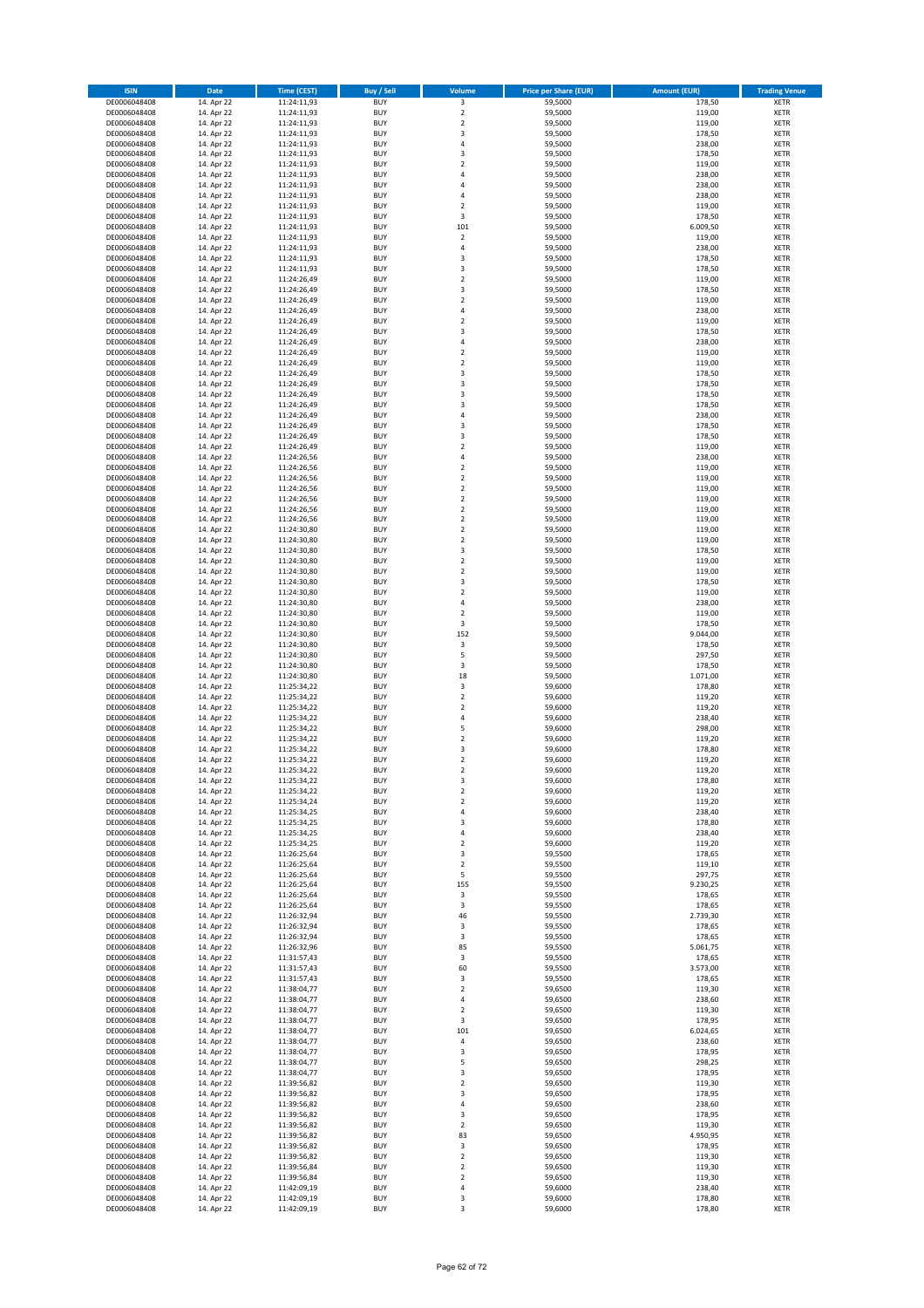| <b>ISIN</b>                  | Date                     | Time (CEST)                | <b>Buy / Sell</b>        | Volume                                             | <b>Price per Share (EUR)</b> | <b>Amount (EUR)</b> | <b>Trading Venue</b>       |
|------------------------------|--------------------------|----------------------------|--------------------------|----------------------------------------------------|------------------------------|---------------------|----------------------------|
| DE0006048408                 | 14. Apr 22               | 11:24:11,93                | <b>BUY</b>               | $\overline{\mathbf{3}}$                            | 59,5000                      | 178,50              | <b>XETR</b>                |
| DE0006048408<br>DE0006048408 | 14. Apr 22<br>14. Apr 22 | 11:24:11,93<br>11:24:11,93 | <b>BUY</b><br><b>BUY</b> | $\mathbf 2$<br>$\mathbf 2$                         | 59,5000<br>59,5000           | 119,00<br>119,00    | XETR<br>XETR               |
| DE0006048408                 | 14. Apr 22               | 11:24:11,93                | <b>BUY</b>               | 3                                                  | 59,5000                      | 178,50              | XETR                       |
| DE0006048408                 | 14. Apr 22               | 11:24:11,93                | <b>BUY</b>               | 4                                                  | 59,5000                      | 238,00              | XETR                       |
| DE0006048408                 | 14. Apr 22               | 11:24:11,93                | <b>BUY</b>               | 3                                                  | 59,5000                      | 178,50              | <b>XETR</b>                |
| DE0006048408                 | 14. Apr 22               | 11:24:11,93                | <b>BUY</b>               | $\mathbf 2$                                        | 59,5000                      | 119,00              | <b>XETR</b>                |
| DE0006048408<br>DE0006048408 | 14. Apr 22<br>14. Apr 22 | 11:24:11,93<br>11:24:11,93 | <b>BUY</b><br><b>BUY</b> | $\overline{4}$<br>4                                | 59,5000<br>59,5000           | 238,00<br>238,00    | <b>XETR</b><br><b>XETR</b> |
| DE0006048408                 | 14. Apr 22               | 11:24:11,93                | <b>BUY</b>               | $\overline{a}$                                     | 59,5000                      | 238,00              | <b>XETR</b>                |
| DE0006048408                 | 14. Apr 22               | 11:24:11,93                | <b>BUY</b>               | $\mathbf 2$                                        | 59,5000                      | 119,00              | <b>XETR</b>                |
| DE0006048408                 | 14. Apr 22               | 11:24:11,93                | <b>BUY</b>               | 3                                                  | 59,5000                      | 178,50              | <b>XETR</b>                |
| DE0006048408                 | 14. Apr 22               | 11:24:11,93                | <b>BUY</b>               | 101                                                | 59,5000                      | 6.009,50            | XETR                       |
| DE0006048408                 | 14. Apr 22               | 11:24:11,93                | <b>BUY</b>               | $\mathbf 2$<br>4                                   | 59,5000                      | 119,00              | <b>XETR</b>                |
| DE0006048408<br>DE0006048408 | 14. Apr 22<br>14. Apr 22 | 11:24:11,93<br>11:24:11,93 | <b>BUY</b><br><b>BUY</b> | 3                                                  | 59,5000<br>59,5000           | 238,00<br>178,50    | XETR<br><b>XETR</b>        |
| DE0006048408                 | 14. Apr 22               | 11:24:11,93                | <b>BUY</b>               | 3                                                  | 59,5000                      | 178,50              | XETR                       |
| DE0006048408                 | 14. Apr 22               | 11:24:26,49                | <b>BUY</b>               | $\mathbf 2$                                        | 59,5000                      | 119,00              | <b>XETR</b>                |
| DE0006048408                 | 14. Apr 22               | 11:24:26,49                | <b>BUY</b>               | 3                                                  | 59,5000                      | 178,50              | XETR                       |
| DE0006048408<br>DE0006048408 | 14. Apr 22               | 11:24:26,49                | <b>BUY</b><br><b>BUY</b> | $\mathbf 2$<br>4                                   | 59,5000                      | 119,00              | <b>XETR</b><br><b>XETR</b> |
| DE0006048408                 | 14. Apr 22<br>14. Apr 22 | 11:24:26,49<br>11:24:26,49 | <b>BUY</b>               | $\mathbf 2$                                        | 59,5000<br>59,5000           | 238,00<br>119,00    | XETR                       |
| DE0006048408                 | 14. Apr 22               | 11:24:26,49                | <b>BUY</b>               | 3                                                  | 59,5000                      | 178,50              | <b>XETR</b>                |
| DE0006048408                 | 14. Apr 22               | 11:24:26,49                | <b>BUY</b>               | 4                                                  | 59,5000                      | 238,00              | <b>XETR</b>                |
| DE0006048408                 | 14. Apr 22               | 11:24:26,49                | <b>BUY</b>               | $\mathbf 2$                                        | 59,5000                      | 119,00              | <b>XETR</b>                |
| DE0006048408                 | 14. Apr 22               | 11:24:26,49                | <b>BUY</b>               | $\mathbf 2$                                        | 59,5000                      | 119,00              | <b>XETR</b>                |
| DE0006048408<br>DE0006048408 | 14. Apr 22<br>14. Apr 22 | 11:24:26,49<br>11:24:26,49 | <b>BUY</b><br><b>BUY</b> | 3<br>3                                             | 59,5000<br>59,5000           | 178,50<br>178,50    | <b>XETR</b><br>XETR        |
| DE0006048408                 | 14. Apr 22               | 11:24:26,49                | <b>BUY</b>               | 3                                                  | 59,5000                      | 178,50              | <b>XETR</b>                |
| DE0006048408                 | 14. Apr 22               | 11:24:26,49                | <b>BUY</b>               | 3                                                  | 59,5000                      | 178,50              | XETR                       |
| DE0006048408                 | 14. Apr 22               | 11:24:26,49                | <b>BUY</b>               | $\overline{4}$                                     | 59,5000                      | 238,00              | <b>XETR</b>                |
| DE0006048408                 | 14. Apr 22               | 11:24:26,49                | <b>BUY</b>               | 3                                                  | 59,5000                      | 178,50              | <b>XETR</b>                |
| DE0006048408<br>DE0006048408 | 14. Apr 22<br>14. Apr 22 | 11:24:26,49<br>11:24:26,49 | <b>BUY</b><br><b>BUY</b> | 3<br>$\mathbf 2$                                   | 59,5000<br>59,5000           | 178,50<br>119,00    | <b>XETR</b><br>XETR        |
| DE0006048408                 | 14. Apr 22               | 11:24:26,56                | <b>BUY</b>               | 4                                                  | 59,5000                      | 238,00              | <b>XETR</b>                |
| DE0006048408                 | 14. Apr 22               | 11:24:26,56                | <b>BUY</b>               | $\mathbf 2$                                        | 59,5000                      | 119,00              | XETR                       |
| DE0006048408                 | 14. Apr 22               | 11:24:26,56                | <b>BUY</b>               | $\mathbf 2$                                        | 59,5000                      | 119,00              | <b>XETR</b>                |
| DE0006048408                 | 14. Apr 22               | 11:24:26,56                | <b>BUY</b>               | $\mathbf 2$                                        | 59,5000                      | 119,00              | XETR                       |
| DE0006048408                 | 14. Apr 22               | 11:24:26,56                | <b>BUY</b>               | $\overline{\mathbf{c}}$<br>$\mathbf 2$             | 59,5000                      | 119,00              | <b>XETR</b><br><b>XETR</b> |
| DE0006048408<br>DE0006048408 | 14. Apr 22<br>14. Apr 22 | 11:24:26,56<br>11:24:26,56 | <b>BUY</b><br><b>BUY</b> | $\overline{\mathbf{c}}$                            | 59,5000<br>59,5000           | 119,00<br>119,00    | <b>XETR</b>                |
| DE0006048408                 | 14. Apr 22               | 11:24:30,80                | <b>BUY</b>               | $\overline{\mathbf{c}}$                            | 59,5000                      | 119,00              | <b>XETR</b>                |
| DE0006048408                 | 14. Apr 22               | 11:24:30,80                | <b>BUY</b>               | $\overline{\mathbf{c}}$                            | 59,5000                      | 119,00              | <b>XETR</b>                |
| DE0006048408                 | 14. Apr 22               | 11:24:30,80                | <b>BUY</b>               | 3                                                  | 59,5000                      | 178,50              | <b>XETR</b>                |
| DE0006048408                 | 14. Apr 22               | 11:24:30,80                | <b>BUY</b>               | $\overline{\mathbf{c}}$                            | 59,5000                      | 119,00              | <b>XETR</b>                |
| DE0006048408<br>DE0006048408 | 14. Apr 22<br>14. Apr 22 | 11:24:30,80<br>11:24:30,80 | <b>BUY</b><br><b>BUY</b> | $\mathbf 2$<br>3                                   | 59,5000<br>59,5000           | 119,00<br>178,50    | XETR<br>XETR               |
| DE0006048408                 | 14. Apr 22               | 11:24:30,80                | <b>BUY</b>               | $\overline{\mathbf{c}}$                            | 59,5000                      | 119,00              | <b>XETR</b>                |
| DE0006048408                 | 14. Apr 22               | 11:24:30,80                | <b>BUY</b>               | 4                                                  | 59,5000                      | 238,00              | <b>XETR</b>                |
| DE0006048408                 | 14. Apr 22               | 11:24:30,80                | <b>BUY</b>               | $\overline{\mathbf{c}}$                            | 59,5000                      | 119,00              | <b>XETR</b>                |
| DE0006048408                 | 14. Apr 22               | 11:24:30,80                | <b>BUY</b>               | 3                                                  | 59,5000                      | 178,50              | <b>XETR</b>                |
| DE0006048408                 | 14. Apr 22               | 11:24:30,80                | <b>BUY</b><br><b>BUY</b> | 152<br>3                                           | 59,5000<br>59,5000           | 9.044,00<br>178,50  | <b>XETR</b><br><b>XETR</b> |
| DE0006048408<br>DE0006048408 | 14. Apr 22<br>14. Apr 22 | 11:24:30,80<br>11:24:30,80 | <b>BUY</b>               | 5                                                  | 59,5000                      | 297,50              | <b>XETR</b>                |
| DE0006048408                 | 14. Apr 22               | 11:24:30,80                | <b>BUY</b>               | 3                                                  | 59,5000                      | 178,50              | XETR                       |
| DE0006048408                 | 14. Apr 22               | 11:24:30,80                | <b>BUY</b>               | 18                                                 | 59,5000                      | 1.071,00            | <b>XETR</b>                |
| DE0006048408                 | 14. Apr 22               | 11:25:34,22                | <b>BUY</b>               | 3                                                  | 59,6000                      | 178,80              | <b>XETR</b>                |
| DE0006048408<br>DE0006048408 | 14. Apr 22               | 11:25:34,22                | <b>BUY</b><br><b>BUY</b> | $\overline{\mathbf{c}}$<br>$\overline{\mathbf{c}}$ | 59,6000                      | 119,20              | <b>XETR</b><br><b>XETR</b> |
| DE0006048408                 | 14. Apr 22<br>14. Apr 22 | 11:25:34,22<br>11:25:34,22 | <b>BUY</b>               | 4                                                  | 59,6000<br>59,6000           | 119,20<br>238,40    | <b>XETR</b>                |
| DE0006048408                 | 14. Apr 22               | 11:25:34,22                | <b>BUY</b>               | 5                                                  | 59,6000                      | 298,00              | XETR                       |
| DE0006048408                 | 14. Apr 22               | 11:25:34,22                | <b>BUY</b>               | $\overline{\mathbf{c}}$                            | 59,6000                      | 119,20              | <b>XETR</b>                |
| DE0006048408                 | 14. Apr 22               | 11:25:34,22                | <b>BUY</b>               | 3                                                  | 59,6000                      | 178,80              | XETR                       |
| DE0006048408<br>DE0006048408 | 14. Apr 22               | 11:25:34,22                | <b>BUY</b><br><b>BUY</b> | $\overline{\mathbf{c}}$<br>$\overline{\mathbf{c}}$ | 59,6000                      | 119,20              | <b>XETR</b><br><b>XETR</b> |
| DE0006048408                 | 14. Apr 22<br>14. Apr 22 | 11:25:34,22<br>11:25:34,22 | <b>BUY</b>               | 3                                                  | 59,6000<br>59,6000           | 119,20<br>178,80    | XETR                       |
| DE0006048408                 | 14. Apr 22               | 11:25:34,22                | <b>BUY</b>               | $\boldsymbol{2}$                                   | 59,6000                      | 119,20              | XETR                       |
| DE0006048408                 | 14. Apr 22               | 11:25:34,24                | <b>BUY</b>               | $\mathbf 2$                                        | 59,6000                      | 119,20              | XETR                       |
| DE0006048408                 | 14. Apr 22               | 11:25:34,25                | <b>BUY</b>               | 4                                                  | 59,6000                      | 238,40              | XETR                       |
| DE0006048408                 | 14. Apr 22               | 11:25:34,25                | <b>BUY</b>               | 3                                                  | 59,6000                      | 178,80              | <b>XETR</b>                |
| DE0006048408<br>DE0006048408 | 14. Apr 22<br>14. Apr 22 | 11:25:34,25<br>11:25:34.25 | <b>BUY</b><br><b>BUY</b> | 4<br>$\overline{\mathbf{2}}$                       | 59,6000<br>59,6000           | 238,40<br>119,20    | XETR<br><b>XETR</b>        |
| DE0006048408                 | 14. Apr 22               | 11:26:25,64                | <b>BUY</b>               | 3                                                  | 59,5500                      | 178,65              | XETR                       |
| DE0006048408                 | 14. Apr 22               | 11:26:25,64                | <b>BUY</b>               | $\mathbf 2$                                        | 59,5500                      | 119,10              | <b>XETR</b>                |
| DE0006048408                 | 14. Apr 22               | 11:26:25,64                | <b>BUY</b>               | 5                                                  | 59,5500                      | 297,75              | XETR                       |
| DE0006048408<br>DE0006048408 | 14. Apr 22<br>14. Apr 22 | 11:26:25,64<br>11:26:25,64 | <b>BUY</b><br><b>BUY</b> | 155<br>3                                           | 59,5500<br>59,5500           | 9.230,25<br>178,65  | <b>XETR</b><br>XETR        |
| DE0006048408                 | 14. Apr 22               | 11:26:25,64                | <b>BUY</b>               | 3                                                  | 59,5500                      | 178,65              | <b>XETR</b>                |
| DE0006048408                 | 14. Apr 22               | 11:26:32,94                | <b>BUY</b>               | 46                                                 | 59,5500                      | 2.739,30            | XETR                       |
| DE0006048408                 | 14. Apr 22               | 11:26:32,94                | <b>BUY</b>               | 3                                                  | 59,5500                      | 178,65              | <b>XETR</b>                |
| DE0006048408                 | 14. Apr 22               | 11:26:32,94                | <b>BUY</b>               | 3                                                  | 59,5500                      | 178,65              | XETR                       |
| DE0006048408<br>DE0006048408 | 14. Apr 22<br>14. Apr 22 | 11:26:32,96                | <b>BUY</b><br><b>BUY</b> | 85                                                 | 59,5500<br>59,5500           | 5.061,75<br>178,65  | <b>XETR</b><br>XETR        |
| DE0006048408                 | 14. Apr 22               | 11:31:57,43<br>11:31:57,43 | <b>BUY</b>               | 3<br>60                                            | 59,5500                      | 3.573,00            | <b>XETR</b>                |
| DE0006048408                 | 14. Apr 22               | 11:31:57,43                | <b>BUY</b>               | 3                                                  | 59,5500                      | 178,65              | XETR                       |
| DE0006048408                 | 14. Apr 22               | 11:38:04,77                | <b>BUY</b>               | $\mathbf 2$                                        | 59,6500                      | 119,30              | <b>XETR</b>                |
| DE0006048408                 | 14. Apr 22               | 11:38:04,77                | <b>BUY</b>               | 4                                                  | 59,6500                      | 238,60              | <b>XETR</b>                |
| DE0006048408<br>DE0006048408 | 14. Apr 22<br>14. Apr 22 | 11:38:04,77<br>11:38:04,77 | <b>BUY</b><br><b>BUY</b> | 2<br>3                                             | 59,6500<br>59,6500           | 119,30<br>178,95    | XETR<br><b>XETR</b>        |
| DE0006048408                 | 14. Apr 22               | 11:38:04,77                | <b>BUY</b>               | 101                                                | 59,6500                      | 6.024,65            | XETR                       |
| DE0006048408                 | 14. Apr 22               | 11:38:04,77                | <b>BUY</b>               | 4                                                  | 59,6500                      | 238,60              | <b>XETR</b>                |
| DE0006048408                 | 14. Apr 22               | 11:38:04,77                | <b>BUY</b>               | 3                                                  | 59,6500                      | 178,95              | XETR                       |
| DE0006048408                 | 14. Apr 22               | 11:38:04,77                | <b>BUY</b>               | 5                                                  | 59,6500                      | 298,25              | <b>XETR</b>                |
| DE0006048408                 | 14. Apr 22               | 11:38:04,77                | <b>BUY</b>               | 3                                                  | 59,6500                      | 178,95              | XETR                       |
| DE0006048408<br>DE0006048408 | 14. Apr 22<br>14. Apr 22 | 11:39:56,82<br>11:39:56,82 | <b>BUY</b><br><b>BUY</b> | $\mathbf 2$<br>3                                   | 59,6500<br>59,6500           | 119,30<br>178,95    | <b>XETR</b><br>XETR        |
| DE0006048408                 | 14. Apr 22               | 11:39:56,82                | <b>BUY</b>               | 4                                                  | 59,6500                      | 238,60              | <b>XETR</b>                |
| DE0006048408                 | 14. Apr 22               | 11:39:56,82                | <b>BUY</b>               | 3                                                  | 59,6500                      | 178,95              | XETR                       |
| DE0006048408                 | 14. Apr 22               | 11:39:56,82                | <b>BUY</b>               | 2                                                  | 59,6500                      | 119,30              | <b>XETR</b>                |
| DE0006048408                 | 14. Apr 22               | 11:39:56,82                | <b>BUY</b>               | 83                                                 | 59,6500                      | 4.950,95            | <b>XETR</b>                |
| DE0006048408<br>DE0006048408 | 14. Apr 22<br>14. Apr 22 | 11:39:56,82<br>11:39:56,82 | <b>BUY</b><br><b>BUY</b> | 3<br>$\mathbf 2$                                   | 59,6500<br>59,6500           | 178,95<br>119,30    | <b>XETR</b><br>XETR        |
| DE0006048408                 | 14. Apr 22               | 11:39:56,84                | <b>BUY</b>               | $\mathbf 2$                                        | 59,6500                      | 119,30              | <b>XETR</b>                |
| DE0006048408                 | 14. Apr 22               | 11:39:56,84                | <b>BUY</b>               | $\boldsymbol{2}$                                   | 59,6500                      | 119,30              | XETR                       |
| DE0006048408                 | 14. Apr 22               | 11:42:09,19                | <b>BUY</b>               | 4                                                  | 59,6000                      | 238,40              | XETR                       |
| DE0006048408                 | 14. Apr 22               | 11:42:09,19                | <b>BUY</b>               | 3                                                  | 59,6000                      | 178,80              | XETR                       |
| DE0006048408                 | 14. Apr 22               | 11:42:09,19                | <b>BUY</b>               | 3                                                  | 59,6000                      | 178,80              | <b>XETR</b>                |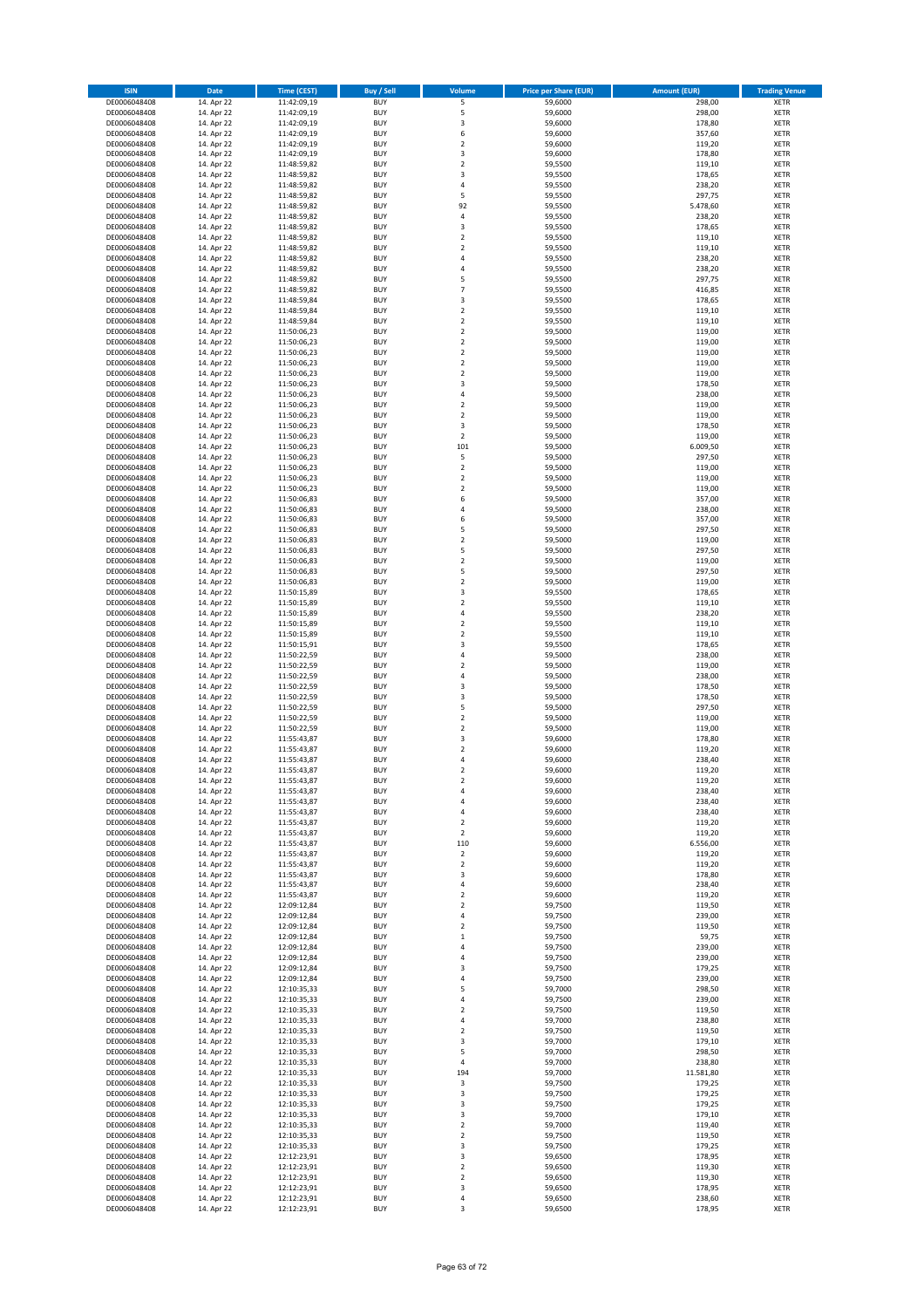| <b>ISIN</b>                  | Date                     | <b>Time (CEST)</b>         | <b>Buy / Sell</b>        | Volume                       | <b>Price per Share (EUR)</b> | <b>Amount (EUR)</b> | <b>Trading Venue</b>       |
|------------------------------|--------------------------|----------------------------|--------------------------|------------------------------|------------------------------|---------------------|----------------------------|
| DE0006048408                 | 14. Apr 22               | 11:42:09,19                | <b>BUY</b>               | 5                            | 59,6000                      | 298,00              | XETR                       |
| DE0006048408                 | 14. Apr 22               | 11:42:09,19                | <b>BUY</b>               | 5                            | 59,6000                      | 298,00              | XETR                       |
| DE0006048408<br>DE0006048408 | 14. Apr 22<br>14. Apr 22 | 11:42:09,19<br>11:42:09,19 | <b>BUY</b><br><b>BUY</b> | 3<br>6                       | 59,6000<br>59,6000           | 178,80<br>357,60    | XETR<br>XETR               |
| DE0006048408                 | 14. Apr 22               | 11:42:09,19                | <b>BUY</b>               | $\mathbf 2$                  | 59,6000                      | 119,20              | XETR                       |
| DE0006048408                 | 14. Apr 22               | 11:42:09,19                | <b>BUY</b>               | 3                            | 59,6000                      | 178,80              | <b>XETR</b>                |
| DE0006048408                 | 14. Apr 22               | 11:48:59,82                | <b>BUY</b>               | $\mathbf 2$                  | 59,5500                      | 119,10              | <b>XETR</b>                |
| DE0006048408                 | 14. Apr 22               | 11:48:59,82                | <b>BUY</b>               | 3                            | 59,5500                      | 178,65              | <b>XETR</b>                |
| DE0006048408<br>DE0006048408 | 14. Apr 22<br>14. Apr 22 | 11:48:59,82                | <b>BUY</b><br><b>BUY</b> | 4<br>5                       | 59,5500<br>59,5500           | 238,20<br>297,75    | <b>XETR</b><br><b>XETR</b> |
| DE0006048408                 | 14. Apr 22               | 11:48:59,82<br>11:48:59,82 | <b>BUY</b>               | 92                           | 59,5500                      | 5.478,60            | <b>XETR</b>                |
| DE0006048408                 | 14. Apr 22               | 11:48:59,82                | <b>BUY</b>               | 4                            | 59,5500                      | 238,20              | <b>XETR</b>                |
| DE0006048408                 | 14. Apr 22               | 11:48:59,82                | <b>BUY</b>               | 3                            | 59,5500                      | 178,65              | XETR                       |
| DE0006048408                 | 14. Apr 22               | 11:48:59,82                | <b>BUY</b>               | $\mathbf 2$                  | 59,5500                      | 119,10              | <b>XETR</b>                |
| DE0006048408                 | 14. Apr 22               | 11:48:59,82                | <b>BUY</b>               | $\mathbf 2$                  | 59,5500                      | 119,10              | XETR                       |
| DE0006048408<br>DE0006048408 | 14. Apr 22<br>14. Apr 22 | 11:48:59,82<br>11:48:59,82 | <b>BUY</b><br><b>BUY</b> | 4<br>4                       | 59,5500<br>59,5500           | 238,20<br>238,20    | <b>XETR</b><br>XETR        |
| DE0006048408                 | 14. Apr 22               | 11:48:59,82                | <b>BUY</b>               | 5                            | 59,5500                      | 297,75              | <b>XETR</b>                |
| DE0006048408                 | 14. Apr 22               | 11:48:59,82                | <b>BUY</b>               | $\overline{7}$               | 59,5500                      | 416,85              | XETR                       |
| DE0006048408                 | 14. Apr 22               | 11:48:59,84                | <b>BUY</b>               | 3                            | 59,5500                      | 178,65              | <b>XETR</b>                |
| DE0006048408                 | 14. Apr 22               | 11:48:59,84                | <b>BUY</b><br><b>BUY</b> | $\mathbf 2$<br>$\mathbf 2$   | 59,5500<br>59,5500           | 119,10<br>119,10    | XETR<br>XETR               |
| DE0006048408<br>DE0006048408 | 14. Apr 22<br>14. Apr 22 | 11:48:59,84<br>11:50:06,23 | <b>BUY</b>               | $\mathbf 2$                  | 59,5000                      | 119,00              | <b>XETR</b>                |
| DE0006048408                 | 14. Apr 22               | 11:50:06,23                | <b>BUY</b>               | $\mathbf 2$                  | 59,5000                      | 119,00              | <b>XETR</b>                |
| DE0006048408                 | 14. Apr 22               | 11:50:06,23                | <b>BUY</b>               | $\mathbf 2$                  | 59,5000                      | 119,00              | <b>XETR</b>                |
| DE0006048408                 | 14. Apr 22               | 11:50:06,23                | <b>BUY</b>               | $\mathbf 2$                  | 59,5000                      | 119,00              | <b>XETR</b>                |
| DE0006048408                 | 14. Apr 22               | 11:50:06,23                | <b>BUY</b>               | $\mathbf 2$                  | 59,5000                      | 119,00              | <b>XETR</b>                |
| DE0006048408<br>DE0006048408 | 14. Apr 22<br>14. Apr 22 | 11:50:06,23<br>11:50:06,23 | <b>BUY</b><br><b>BUY</b> | 3<br>4                       | 59,5000<br>59,5000           | 178,50<br>238,00    | <b>XETR</b><br><b>XETR</b> |
| DE0006048408                 | 14. Apr 22               | 11:50:06,23                | <b>BUY</b>               | $\mathbf 2$                  | 59,5000                      | 119,00              | XETR                       |
| DE0006048408                 | 14. Apr 22               | 11:50:06,23                | <b>BUY</b>               | $\mathbf 2$                  | 59,5000                      | 119,00              | <b>XETR</b>                |
| DE0006048408                 | 14. Apr 22               | 11:50:06,23                | <b>BUY</b>               | 3                            | 59,5000                      | 178,50              | <b>XETR</b>                |
| DE0006048408                 | 14. Apr 22               | 11:50:06,23<br>11:50:06,23 | <b>BUY</b><br><b>BUY</b> | $\mathbf 2$<br>101           | 59,5000                      | 119,00<br>6.009,50  | <b>XETR</b><br>XETR        |
| DE0006048408<br>DE0006048408 | 14. Apr 22<br>14. Apr 22 | 11:50:06,23                | <b>BUY</b>               | 5                            | 59,5000<br>59,5000           | 297,50              | <b>XETR</b>                |
| DE0006048408                 | 14. Apr 22               | 11:50:06,23                | <b>BUY</b>               | $\mathbf 2$                  | 59,5000                      | 119,00              | XETR                       |
| DE0006048408                 | 14. Apr 22               | 11:50:06,23                | <b>BUY</b>               | $\mathbf 2$                  | 59,5000                      | 119,00              | <b>XETR</b>                |
| DE0006048408                 | 14. Apr 22               | 11:50:06,23                | <b>BUY</b>               | $\mathbf 2$                  | 59,5000                      | 119,00              | XETR                       |
| DE0006048408                 | 14. Apr 22               | 11:50:06,83                | <b>BUY</b>               | 6                            | 59,5000                      | 357,00              | <b>XETR</b>                |
| DE0006048408<br>DE0006048408 | 14. Apr 22<br>14. Apr 22 | 11:50:06,83<br>11:50:06,83 | <b>BUY</b><br><b>BUY</b> | $\overline{4}$<br>6          | 59,5000<br>59,5000           | 238,00<br>357,00    | <b>XETR</b><br><b>XETR</b> |
| DE0006048408                 | 14. Apr 22               | 11:50:06,83                | <b>BUY</b>               | 5                            | 59,5000                      | 297,50              | <b>XETR</b>                |
| DE0006048408                 | 14. Apr 22               | 11:50:06,83                | <b>BUY</b>               | $\mathbf 2$                  | 59,5000                      | 119,00              | <b>XETR</b>                |
| DE0006048408                 | 14. Apr 22               | 11:50:06,83                | <b>BUY</b>               | 5                            | 59,5000                      | 297,50              | <b>XETR</b>                |
| DE0006048408                 | 14. Apr 22               | 11:50:06,83                | <b>BUY</b>               | $\mathbf 2$                  | 59,5000                      | 119,00              | <b>XETR</b>                |
| DE0006048408                 | 14. Apr 22               | 11:50:06,83                | <b>BUY</b>               | 5                            | 59,5000                      | 297,50              | XETR                       |
| DE0006048408<br>DE0006048408 | 14. Apr 22<br>14. Apr 22 | 11:50:06,83<br>11:50:15,89 | <b>BUY</b><br><b>BUY</b> | $\mathbf 2$<br>3             | 59,5000<br>59,5500           | 119,00<br>178,65    | XETR<br><b>XETR</b>        |
| DE0006048408                 | 14. Apr 22               | 11:50:15,89                | <b>BUY</b>               | $\mathbf 2$                  | 59,5500                      | 119,10              | <b>XETR</b>                |
| DE0006048408                 | 14. Apr 22               | 11:50:15,89                | <b>BUY</b>               | 4                            | 59,5500                      | 238,20              | <b>XETR</b>                |
| DE0006048408                 | 14. Apr 22               | 11:50:15,89                | <b>BUY</b>               | $\mathbf 2$                  | 59,5500                      | 119,10              | <b>XETR</b>                |
| DE0006048408                 | 14. Apr 22               | 11:50:15,89                | <b>BUY</b><br><b>BUY</b> | $\overline{\mathbf{c}}$<br>3 | 59,5500                      | 119,10              | <b>XETR</b>                |
| DE0006048408<br>DE0006048408 | 14. Apr 22<br>14. Apr 22 | 11:50:15,91<br>11:50:22,59 | <b>BUY</b>               | 4                            | 59,5500<br>59,5000           | 178,65<br>238,00    | <b>XETR</b><br><b>XETR</b> |
| DE0006048408                 | 14. Apr 22               | 11:50:22,59                | <b>BUY</b>               | $\overline{\mathbf{c}}$      | 59,5000                      | 119,00              | XETR                       |
| DE0006048408                 | 14. Apr 22               | 11:50:22,59                | <b>BUY</b>               | $\overline{4}$               | 59,5000                      | 238,00              | <b>XETR</b>                |
| DE0006048408                 | 14. Apr 22               | 11:50:22,59                | <b>BUY</b>               | 3                            | 59,5000                      | 178,50              | <b>XETR</b>                |
| DE0006048408                 | 14. Apr 22               | 11:50:22,59<br>11:50:22,59 | <b>BUY</b><br><b>BUY</b> | 3<br>5                       | 59,5000                      | 178,50              | <b>XETR</b><br><b>XETR</b> |
| DE0006048408<br>DE0006048408 | 14. Apr 22<br>14. Apr 22 | 11:50:22,59                | <b>BUY</b>               | $\overline{\mathbf{c}}$      | 59,5000<br>59,5000           | 297,50<br>119,00    | <b>XETR</b>                |
| DE0006048408                 | 14. Apr 22               | 11:50:22,59                | <b>BUY</b>               | $\mathbf 2$                  | 59,5000                      | 119,00              | XETR                       |
| DE0006048408                 | 14. Apr 22               | 11:55:43,87                | <b>BUY</b>               | 3                            | 59,6000                      | 178,80              | <b>XETR</b>                |
| DE0006048408                 | 14. Apr 22               | 11:55:43,87                | <b>BUY</b>               | $\mathbf 2$                  | 59,6000                      | 119,20              | XETR                       |
| DE0006048408<br>DE0006048408 | 14. Apr 22               | 11:55:43,87<br>11:55:43,87 | <b>BUY</b><br><b>BUY</b> | 4<br>$\overline{\mathbf{c}}$ | 59,6000<br>59,6000           | 238,40<br>119,20    | <b>XETR</b><br><b>XETR</b> |
| DE0006048408                 | 14. Apr 22<br>14. Apr 22 | 11:55:43,87                | <b>BUY</b>               | 2                            | 59,6000                      | 119,20              | XETR                       |
| DE0006048408                 | 14. Apr 22               | 11:55:43,87                | <b>BUY</b>               | 4                            | 59,6000                      | 238,40              | XETR                       |
| DE0006048408                 | 14. Apr 22               | 11:55:43,87                | <b>BUY</b>               | 4                            | 59,6000                      | 238,40              | XETR                       |
| DE0006048408                 | 14. Apr 22               | 11:55:43,87                | <b>BUY</b>               | 4                            | 59,6000                      | 238,40              | XETR                       |
| DE0006048408                 | 14. Apr 22               | 11:55:43,87                | <b>BUY</b>               | 2                            | 59,6000                      | 119,20<br>119,20    | <b>XETR</b>                |
| DE0006048408<br>DE0006048408 | 14. Apr 22<br>14. Apr 22 | 11:55:43,87<br>11:55:43,87 | <b>BUY</b><br><b>BUY</b> | 2<br>110                     | 59,6000<br>59,6000           | 6.556,00            | XETR<br><b>XETR</b>        |
| DE0006048408                 | 14. Apr 22               | 11:55:43,87                | <b>BUY</b>               | $\sqrt{2}$                   | 59,6000                      | 119,20              | XETR                       |
| DE0006048408                 | 14. Apr 22               | 11:55:43,87                | <b>BUY</b>               | $\mathbf 2$                  | 59,6000                      | 119,20              | <b>XETR</b>                |
| DE0006048408                 | 14. Apr 22               | 11:55:43,87                | <b>BUY</b>               | 3                            | 59,6000                      | 178,80              | XETR                       |
| DE0006048408<br>DE0006048408 | 14. Apr 22<br>14. Apr 22 | 11:55:43,87<br>11:55:43,87 | <b>BUY</b><br><b>BUY</b> | 4<br>$\mathbf 2$             | 59,6000<br>59,6000           | 238,40<br>119,20    | <b>XETR</b><br>XETR        |
| DE0006048408                 | 14. Apr 22               | 12:09:12,84                | <b>BUY</b>               | $\mathbf 2$                  | 59,7500                      | 119,50              | <b>XETR</b>                |
| DE0006048408                 | 14. Apr 22               | 12:09:12,84                | <b>BUY</b>               | 4                            | 59,7500                      | 239,00              | XETR                       |
| DE0006048408                 | 14. Apr 22               | 12:09:12,84                | <b>BUY</b>               | 2                            | 59,7500                      | 119,50              | <b>XETR</b>                |
| DE0006048408                 | 14. Apr 22               | 12:09:12,84                | <b>BUY</b>               | $\mathbf 1$                  | 59,7500                      | 59,75               | XETR                       |
| DE0006048408<br>DE0006048408 | 14. Apr 22<br>14. Apr 22 | 12:09:12,84<br>12:09:12,84 | <b>BUY</b><br><b>BUY</b> | 4<br>4                       | 59,7500<br>59,7500           | 239,00<br>239,00    | <b>XETR</b><br>XETR        |
| DE0006048408                 | 14. Apr 22               | 12:09:12,84                | <b>BUY</b>               | 3                            | 59,7500                      | 179,25              | <b>XETR</b>                |
| DE0006048408                 | 14. Apr 22               | 12:09:12,84                | <b>BUY</b>               | 4                            | 59,7500                      | 239,00              | XETR                       |
| DE0006048408                 | 14. Apr 22               | 12:10:35,33                | <b>BUY</b>               | 5                            | 59,7000                      | 298,50              | <b>XETR</b>                |
| DE0006048408                 | 14. Apr 22               | 12:10:35,33                | <b>BUY</b>               | 4                            | 59,7500                      | 239,00              | <b>XETR</b>                |
| DE0006048408<br>DE0006048408 | 14. Apr 22<br>14. Apr 22 | 12:10:35,33<br>12:10:35,33 | <b>BUY</b><br><b>BUY</b> | 2<br>4                       | 59,7500<br>59,7000           | 119,50<br>238,80    | XETR<br><b>XETR</b>        |
| DE0006048408                 | 14. Apr 22               | 12:10:35,33                | <b>BUY</b>               | $\mathbf 2$                  | 59,7500                      | 119,50              | XETR                       |
| DE0006048408                 | 14. Apr 22               | 12:10:35,33                | <b>BUY</b>               | 3                            | 59,7000                      | 179,10              | <b>XETR</b>                |
| DE0006048408                 | 14. Apr 22               | 12:10:35,33                | <b>BUY</b>               | 5                            | 59,7000                      | 298,50              | XETR                       |
| DE0006048408                 | 14. Apr 22               | 12:10:35,33                | <b>BUY</b>               | 4                            | 59,7000                      | 238,80              | <b>XETR</b>                |
| DE0006048408<br>DE0006048408 | 14. Apr 22<br>14. Apr 22 | 12:10:35,33<br>12:10:35,33 | <b>BUY</b><br><b>BUY</b> | 194<br>3                     | 59,7000<br>59,7500           | 11.581,80<br>179,25 | XETR<br><b>XETR</b>        |
| DE0006048408                 | 14. Apr 22               | 12:10:35,33                | <b>BUY</b>               | 3                            | 59,7500                      | 179,25              | XETR                       |
| DE0006048408                 | 14. Apr 22               | 12:10:35,33                | <b>BUY</b>               | 3                            | 59,7500                      | 179,25              | <b>XETR</b>                |
| DE0006048408                 | 14. Apr 22               | 12:10:35,33                | <b>BUY</b>               | 3                            | 59,7000                      | 179,10              | XETR                       |
| DE0006048408                 | 14. Apr 22               | 12:10:35,33                | <b>BUY</b>               | 2                            | 59,7000                      | 119,40              | <b>XETR</b>                |
| DE0006048408<br>DE0006048408 | 14. Apr 22<br>14. Apr 22 | 12:10:35,33<br>12:10:35,33 | <b>BUY</b><br><b>BUY</b> | 2<br>3                       | 59,7500<br>59,7500           | 119,50<br>179,25    | <b>XETR</b><br><b>XETR</b> |
| DE0006048408                 | 14. Apr 22               | 12:12:23,91                | <b>BUY</b>               | 3                            | 59,6500                      | 178,95              | XETR                       |
| DE0006048408                 | 14. Apr 22               | 12:12:23,91                | <b>BUY</b>               | $\mathbf 2$                  | 59,6500                      | 119,30              | <b>XETR</b>                |
| DE0006048408                 | 14. Apr 22               | 12:12:23,91                | <b>BUY</b>               | $\boldsymbol{2}$             | 59,6500                      | 119,30              | XETR                       |
| DE0006048408                 | 14. Apr 22               | 12:12:23,91                | <b>BUY</b>               | 3                            | 59,6500                      | 178,95              | XETR                       |
| DE0006048408<br>DE0006048408 | 14. Apr 22<br>14. Apr 22 | 12:12:23,91<br>12:12:23,91 | <b>BUY</b><br><b>BUY</b> | 4<br>3                       | 59,6500<br>59,6500           | 238,60<br>178,95    | XETR<br>XETR               |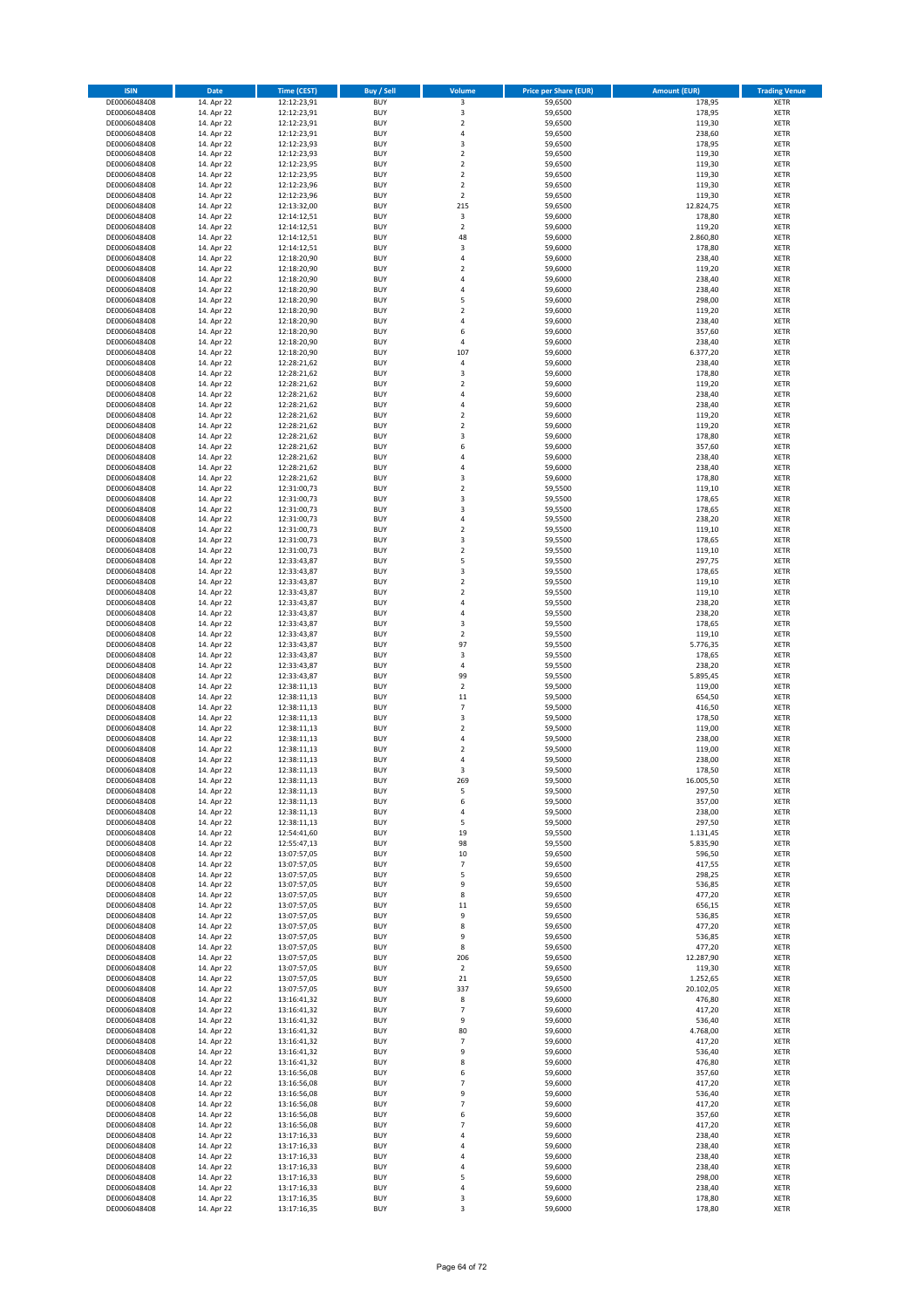| <b>ISIN</b>                  | Date                     | <b>Time (CEST)</b>         | <b>Buy / Sell</b>        | Volume                           | <b>Price per Share (EUR)</b> | <b>Amount (EUR)</b>   | <b>Trading Venue</b>       |
|------------------------------|--------------------------|----------------------------|--------------------------|----------------------------------|------------------------------|-----------------------|----------------------------|
| DE0006048408                 | 14. Apr 22               | 12:12:23,91                | <b>BUY</b>               | 3                                | 59,6500                      | 178,95                | <b>XETR</b>                |
| DE0006048408                 | 14. Apr 22               | 12:12:23,91                | <b>BUY</b>               | $\mathsf 3$                      | 59,6500                      | 178,95                | <b>XETR</b>                |
| DE0006048408<br>DE0006048408 | 14. Apr 22<br>14. Apr 22 | 12:12:23,91<br>12:12:23,91 | <b>BUY</b><br><b>BUY</b> | $\mathbf 2$<br>$\sqrt{4}$        | 59,6500<br>59,6500           | 119,30<br>238,60      | <b>XETR</b><br><b>XETR</b> |
| DE0006048408                 | 14. Apr 22               | 12:12:23,93                | <b>BUY</b>               | 3                                | 59,6500                      | 178,95                | <b>XETR</b>                |
| DE0006048408                 | 14. Apr 22               | 12:12:23,93                | <b>BUY</b>               | $\overline{2}$                   | 59,6500                      | 119,30                | <b>XETR</b>                |
| DE0006048408                 | 14. Apr 22               | 12:12:23,95                | <b>BUY</b>               | $\mathbf 2$                      | 59,6500                      | 119,30                | <b>XETR</b>                |
| DE0006048408                 | 14. Apr 22               | 12:12:23,95                | <b>BUY</b>               | $\overline{2}$                   | 59,6500                      | 119,30                | <b>XETR</b>                |
| DE0006048408<br>DE0006048408 | 14. Apr 22<br>14. Apr 22 | 12:12:23,96<br>12:12:23,96 | <b>BUY</b><br><b>BUY</b> | $\overline{2}$<br>$\overline{2}$ | 59,6500<br>59,6500           | 119,30<br>119,30      | <b>XETR</b><br><b>XETR</b> |
| DE0006048408                 | 14. Apr 22               | 12:13:32,00                | <b>BUY</b>               | 215                              | 59,6500                      | 12.824,75             | <b>XETR</b>                |
| DE0006048408                 | 14. Apr 22               | 12:14:12,51                | <b>BUY</b>               | 3                                | 59,6000                      | 178,80                | <b>XETR</b>                |
| DE0006048408                 | 14. Apr 22               | 12:14:12,51                | <b>BUY</b>               | $\mathbf 2$                      | 59,6000                      | 119,20                | XETR                       |
| DE0006048408                 | 14. Apr 22               | 12:14:12,51                | <b>BUY</b>               | 48                               | 59,6000                      | 2.860,80              | <b>XETR</b>                |
| DE0006048408                 | 14. Apr 22               | 12:14:12,51                | <b>BUY</b>               | $\mathsf 3$                      | 59,6000                      | 178,80                | XETR                       |
| DE0006048408<br>DE0006048408 | 14. Apr 22<br>14. Apr 22 | 12:18:20,90<br>12:18:20,90 | <b>BUY</b><br><b>BUY</b> | $\sqrt{4}$<br>$\sqrt{2}$         | 59,6000<br>59,6000           | 238,40<br>119,20      | <b>XETR</b><br>XETR        |
| DE0006048408                 | 14. Apr 22               | 12:18:20,90                | <b>BUY</b>               | $\overline{4}$                   | 59,6000                      | 238,40                | <b>XETR</b>                |
| DE0006048408                 | 14. Apr 22               | 12:18:20,90                | <b>BUY</b>               | $\overline{4}$                   | 59,6000                      | 238,40                | XETR                       |
| DE0006048408                 | 14. Apr 22               | 12:18:20,90                | <b>BUY</b>               | 5                                | 59,6000                      | 298,00                | <b>XETR</b>                |
| DE0006048408                 | 14. Apr 22               | 12:18:20,90                | <b>BUY</b>               | $\overline{2}$                   | 59,6000                      | 119,20                | <b>XETR</b>                |
| DE0006048408<br>DE0006048408 | 14. Apr 22<br>14. Apr 22 | 12:18:20,90<br>12:18:20,90 | <b>BUY</b><br><b>BUY</b> | $\sqrt{4}$<br>6                  | 59,6000<br>59,6000           | 238,40<br>357,60      | <b>XETR</b><br><b>XETR</b> |
| DE0006048408                 | 14. Apr 22               | 12:18:20,90                | <b>BUY</b>               | 4                                | 59,6000                      | 238,40                | <b>XETR</b>                |
| DE0006048408                 | 14. Apr 22               | 12:18:20,90                | <b>BUY</b>               | 107                              | 59,6000                      | 6.377,20              | <b>XETR</b>                |
| DE0006048408                 | 14. Apr 22               | 12:28:21,62                | <b>BUY</b>               | 4                                | 59,6000                      | 238,40                | <b>XETR</b>                |
| DE0006048408                 | 14. Apr 22               | 12:28:21,62                | <b>BUY</b>               | 3                                | 59,6000                      | 178,80                | <b>XETR</b>                |
| DE0006048408<br>DE0006048408 | 14. Apr 22               | 12:28:21,62<br>12:28:21,62 | <b>BUY</b><br><b>BUY</b> | $\overline{2}$<br>$\sqrt{4}$     | 59,6000<br>59,6000           | 119,20                | <b>XETR</b><br><b>XETR</b> |
| DE0006048408                 | 14. Apr 22<br>14. Apr 22 | 12:28:21,62                | <b>BUY</b>               | 4                                | 59,6000                      | 238,40<br>238,40      | <b>XETR</b>                |
| DE0006048408                 | 14. Apr 22               | 12:28:21,62                | <b>BUY</b>               | $\sqrt{2}$                       | 59,6000                      | 119,20                | <b>XETR</b>                |
| DE0006048408                 | 14. Apr 22               | 12:28:21,62                | <b>BUY</b>               | $\mathbf 2$                      | 59,6000                      | 119,20                | <b>XETR</b>                |
| DE0006048408                 | 14. Apr 22               | 12:28:21,62                | <b>BUY</b>               | 3                                | 59,6000                      | 178,80                | <b>XETR</b>                |
| DE0006048408                 | 14. Apr 22               | 12:28:21,62                | <b>BUY</b>               | 6<br>$\overline{a}$              | 59,6000                      | 357,60                | XETR                       |
| DE0006048408<br>DE0006048408 | 14. Apr 22<br>14. Apr 22 | 12:28:21,62<br>12:28:21,62 | <b>BUY</b><br><b>BUY</b> | $\overline{4}$                   | 59,6000<br>59,6000           | 238,40<br>238,40      | <b>XETR</b><br>XETR        |
| DE0006048408                 | 14. Apr 22               | 12:28:21,62                | <b>BUY</b>               | 3                                | 59,6000                      | 178,80                | <b>XETR</b>                |
| DE0006048408                 | 14. Apr 22               | 12:31:00,73                | <b>BUY</b>               | $\sqrt{2}$                       | 59,5500                      | 119,10                | XETR                       |
| DE0006048408                 | 14. Apr 22               | 12:31:00,73                | <b>BUY</b>               | 3                                | 59,5500                      | 178,65                | <b>XETR</b>                |
| DE0006048408                 | 14. Apr 22               | 12:31:00,73                | <b>BUY</b>               | $\overline{\mathbf{3}}$          | 59,5500                      | 178,65                | <b>XETR</b>                |
| DE0006048408<br>DE0006048408 | 14. Apr 22<br>14. Apr 22 | 12:31:00,73<br>12:31:00,73 | <b>BUY</b><br><b>BUY</b> | $\sqrt{4}$<br>$\overline{2}$     | 59,5500<br>59,5500           | 238,20<br>119,10      | <b>XETR</b><br><b>XETR</b> |
| DE0006048408                 | 14. Apr 22               | 12:31:00,73                | <b>BUY</b>               | 3                                | 59,5500                      | 178,65                | <b>XETR</b>                |
| DE0006048408                 | 14. Apr 22               | 12:31:00,73                | <b>BUY</b>               | $\overline{2}$                   | 59,5500                      | 119,10                | <b>XETR</b>                |
| DE0006048408                 | 14. Apr 22               | 12:33:43,87                | <b>BUY</b>               | 5                                | 59,5500                      | 297,75                | <b>XETR</b>                |
| DE0006048408                 | 14. Apr 22               | 12:33:43,87                | <b>BUY</b>               | 3                                | 59,5500                      | 178,65                | <b>XETR</b>                |
| DE0006048408                 | 14. Apr 22               | 12:33:43,87                | <b>BUY</b>               | $\mathbf 2$                      | 59,5500                      | 119,10                | XETR                       |
| DE0006048408<br>DE0006048408 | 14. Apr 22<br>14. Apr 22 | 12:33:43,87<br>12:33:43,87 | <b>BUY</b><br><b>BUY</b> | $\overline{2}$<br>4              | 59,5500<br>59,5500           | 119,10<br>238,20      | <b>XETR</b><br><b>XETR</b> |
| DE0006048408                 | 14. Apr 22               | 12:33:43,87                | <b>BUY</b>               | $\sqrt{4}$                       | 59,5500                      | 238,20                | <b>XETR</b>                |
| DE0006048408                 | 14. Apr 22               | 12:33:43,87                | <b>BUY</b>               | 3                                | 59,5500                      | 178,65                | <b>XETR</b>                |
| DE0006048408                 | 14. Apr 22               | 12:33:43,87                | <b>BUY</b>               | $\overline{2}$                   | 59,5500                      | 119,10                | <b>XETR</b>                |
| DE0006048408                 | 14. Apr 22               | 12:33:43,87                | <b>BUY</b>               | 97                               | 59,5500                      | 5.776,35              | <b>XETR</b>                |
| DE0006048408<br>DE0006048408 | 14. Apr 22<br>14. Apr 22 | 12:33:43,87<br>12:33:43,87 | <b>BUY</b><br><b>BUY</b> | 3<br>$\sqrt{4}$                  | 59,5500<br>59,5500           | 178,65<br>238,20      | <b>XETR</b><br><b>XETR</b> |
| DE0006048408                 | 14. Apr 22               | 12:33:43,87                | <b>BUY</b>               | 99                               | 59,5500                      | 5.895,45              | <b>XETR</b>                |
| DE0006048408                 | 14. Apr 22               | 12:38:11,13                | <b>BUY</b>               | $\mathbf 2$                      | 59,5000                      | 119,00                | <b>XETR</b>                |
| DE0006048408                 | 14. Apr 22               | 12:38:11,13                | <b>BUY</b>               | 11                               | 59,5000                      | 654,50                | <b>XETR</b>                |
| DE0006048408                 | 14. Apr 22               | 12:38:11,13                | <b>BUY</b>               | $\overline{7}$                   | 59,5000                      | 416,50                | <b>XETR</b>                |
| DE0006048408                 | 14. Apr 22               | 12:38:11,13                | <b>BUY</b>               | 3                                | 59,5000                      | 178,50                | <b>XETR</b>                |
| DE0006048408<br>DE0006048408 | 14. Apr 22<br>14. Apr 22 | 12:38:11,13<br>12:38:11,13 | <b>BUY</b><br><b>BUY</b> | $\overline{2}$<br>$\sqrt{4}$     | 59,5000<br>59,5000           | 119,00<br>238,00      | XETR<br><b>XETR</b>        |
| DE0006048408                 | 14. Apr 22               | 12:38:11,13                | <b>BUY</b>               | $\sqrt{2}$                       | 59,5000                      | 119,00                | XETR                       |
| DE0006048408                 | 14. Apr 22               | 12:38:11,13                | <b>BUY</b>               | 4                                | 59,5000                      | 238,00                | <b>XETR</b>                |
| DE0006048408                 | 14. Apr 22               | 12:38:11,13                | <b>BUY</b>               | 3                                | 59,5000                      | 178,50                | <b>XETR</b>                |
| DE0006048408                 | 14. Apr 22               | 12:38:11,13                | <b>BUY</b>               | 269                              | 59,5000                      | 16.005,50             | XETR                       |
| DE0006048408<br>DE0006048408 | 14. Apr 22<br>14. Apr 22 | 12:38:11,13<br>12:38:11,13 | <b>BUY</b><br><b>BUY</b> | 5<br>6                           | 59,5000<br>59,5000           | 297,50<br>357,00      | XETR<br>XETR               |
| DE0006048408                 | 14. Apr 22               | 12:38:11,13                | <b>BUY</b>               | 4                                | 59,5000                      | 238,00                | <b>XETR</b>                |
| DE0006048408                 | 14. Apr 22               | 12:38:11,13                | <b>BUY</b>               | 5                                | 59,5000                      | 297,50                | <b>XETR</b>                |
| DE0006048408                 | 14. Apr 22               | 12:54:41,60                | <b>BUY</b>               | 19                               | 59,5500                      | 1.131,45              | XETR                       |
| DE0006048408                 | 14. Apr 22               | 12:55:47,13                | <b>BUY</b>               | 98                               | 59,5500                      | 5.835,90              | <b>XETR</b>                |
| DE0006048408<br>DE0006048408 | 14. Apr 22<br>14. Apr 22 | 13:07:57,05<br>13:07:57,05 | <b>BUY</b><br><b>BUY</b> | 10<br>$\overline{\phantom{a}}$   | 59,6500<br>59,6500           | 596,50<br>417,55      | XETR<br><b>XETR</b>        |
| DE0006048408                 | 14. Apr 22               | 13:07:57,05                | <b>BUY</b>               | 5                                | 59,6500                      | 298,25                | <b>XETR</b>                |
| DE0006048408                 | 14. Apr 22               | 13:07:57,05                | <b>BUY</b>               | 9                                | 59,6500                      | 536,85                | <b>XETR</b>                |
| DE0006048408                 | 14. Apr 22               | 13:07:57,05                | <b>BUY</b>               | 8                                | 59,6500                      | 477,20                | <b>XETR</b>                |
| DE0006048408<br>DE0006048408 | 14. Apr 22<br>14. Apr 22 | 13:07:57,05<br>13:07:57,05 | <b>BUY</b><br><b>BUY</b> | $11\,$<br>9                      | 59,6500<br>59,6500           | 656,15<br>536,85      | <b>XETR</b><br>XETR        |
| DE0006048408                 | 14. Apr 22               | 13:07:57,05                | <b>BUY</b>               | 8                                | 59,6500                      | 477,20                | <b>XETR</b>                |
| DE0006048408                 | 14. Apr 22               | 13:07:57,05                | <b>BUY</b>               | 9                                | 59,6500                      | 536,85                | <b>XETR</b>                |
| DE0006048408                 | 14. Apr 22               | 13:07:57,05                | <b>BUY</b>               | 8                                | 59,6500                      | 477,20                | <b>XETR</b>                |
| DE0006048408                 | 14. Apr 22               | 13:07:57,05                | <b>BUY</b>               | 206                              | 59,6500                      | 12.287,90             | <b>XETR</b>                |
| DE0006048408                 | 14. Apr 22               | 13:07:57,05                | <b>BUY</b>               | $\overline{2}$                   | 59,6500                      | 119,30                | <b>XETR</b>                |
| DE0006048408<br>DE0006048408 | 14. Apr 22<br>14. Apr 22 | 13:07:57,05<br>13:07:57,05 | <b>BUY</b><br><b>BUY</b> | 21<br>337                        | 59,6500<br>59,6500           | 1.252,65<br>20.102,05 | <b>XETR</b><br><b>XETR</b> |
| DE0006048408                 | 14. Apr 22               | 13:16:41,32                | <b>BUY</b>               | 8                                | 59,6000                      | 476,80                | <b>XETR</b>                |
| DE0006048408                 | 14. Apr 22               | 13:16:41,32                | <b>BUY</b>               | $\overline{\phantom{a}}$         | 59,6000                      | 417,20                | XETR                       |
| DE0006048408                 | 14. Apr 22               | 13:16:41,32                | <b>BUY</b>               | 9                                | 59,6000                      | 536,40                | XETR                       |
| DE0006048408                 | 14. Apr 22               | 13:16:41,32                | <b>BUY</b>               | 80                               | 59,6000                      | 4.768,00              | XETR                       |
| DE0006048408<br>DE0006048408 | 14. Apr 22<br>14. Apr 22 | 13:16:41,32<br>13:16:41,32 | <b>BUY</b><br><b>BUY</b> | $\overline{7}$<br>9              | 59,6000<br>59,6000           | 417,20<br>536,40      | <b>XETR</b><br>XETR        |
| DE0006048408                 | 14. Apr 22               | 13:16:41,32                | <b>BUY</b>               | 8                                | 59,6000                      | 476,80                | XETR                       |
| DE0006048408                 | 14. Apr 22               | 13:16:56,08                | <b>BUY</b>               | 6                                | 59,6000                      | 357,60                | XETR                       |
| DE0006048408                 | 14. Apr 22               | 13:16:56,08                | <b>BUY</b>               | $\overline{7}$                   | 59,6000                      | 417,20                | <b>XETR</b>                |
| DE0006048408                 | 14. Apr 22               | 13:16:56,08                | <b>BUY</b>               | 9                                | 59,6000                      | 536,40                | XETR                       |
| DE0006048408<br>DE0006048408 | 14. Apr 22<br>14. Apr 22 | 13:16:56,08                | <b>BUY</b><br><b>BUY</b> | $\overline{7}$<br>6              | 59,6000<br>59,6000           | 417,20<br>357,60      | XETR<br>XETR               |
| DE0006048408                 | 14. Apr 22               | 13:16:56,08<br>13:16:56,08 | <b>BUY</b>               | $\overline{7}$                   | 59,6000                      | 417,20                | <b>XETR</b>                |
| DE0006048408                 | 14. Apr 22               | 13:17:16,33                | <b>BUY</b>               | 4                                | 59,6000                      | 238,40                | <b>XETR</b>                |
| DE0006048408                 | 14. Apr 22               | 13:17:16,33                | <b>BUY</b>               | 4                                | 59,6000                      | 238,40                | <b>XETR</b>                |
| DE0006048408                 | 14. Apr 22               | 13:17:16,33                | <b>BUY</b>               | $\overline{4}$                   | 59,6000                      | 238,40                | <b>XETR</b>                |
| DE0006048408<br>DE0006048408 | 14. Apr 22               | 13:17:16,33                | <b>BUY</b><br><b>BUY</b> | 4<br>5                           | 59,6000                      | 238,40                | <b>XETR</b><br><b>XETR</b> |
| DE0006048408                 | 14. Apr 22<br>14. Apr 22 | 13:17:16,33<br>13:17:16,33 | <b>BUY</b>               | 4                                | 59,6000<br>59,6000           | 298,00<br>238,40      | <b>XETR</b>                |
| DE0006048408                 | 14. Apr 22               | 13:17:16,35                | <b>BUY</b>               | 3                                | 59,6000                      | 178,80                | <b>XETR</b>                |
| DE0006048408                 | 14. Apr 22               | 13:17:16,35                | <b>BUY</b>               | 3                                | 59,6000                      | 178,80                | <b>XETR</b>                |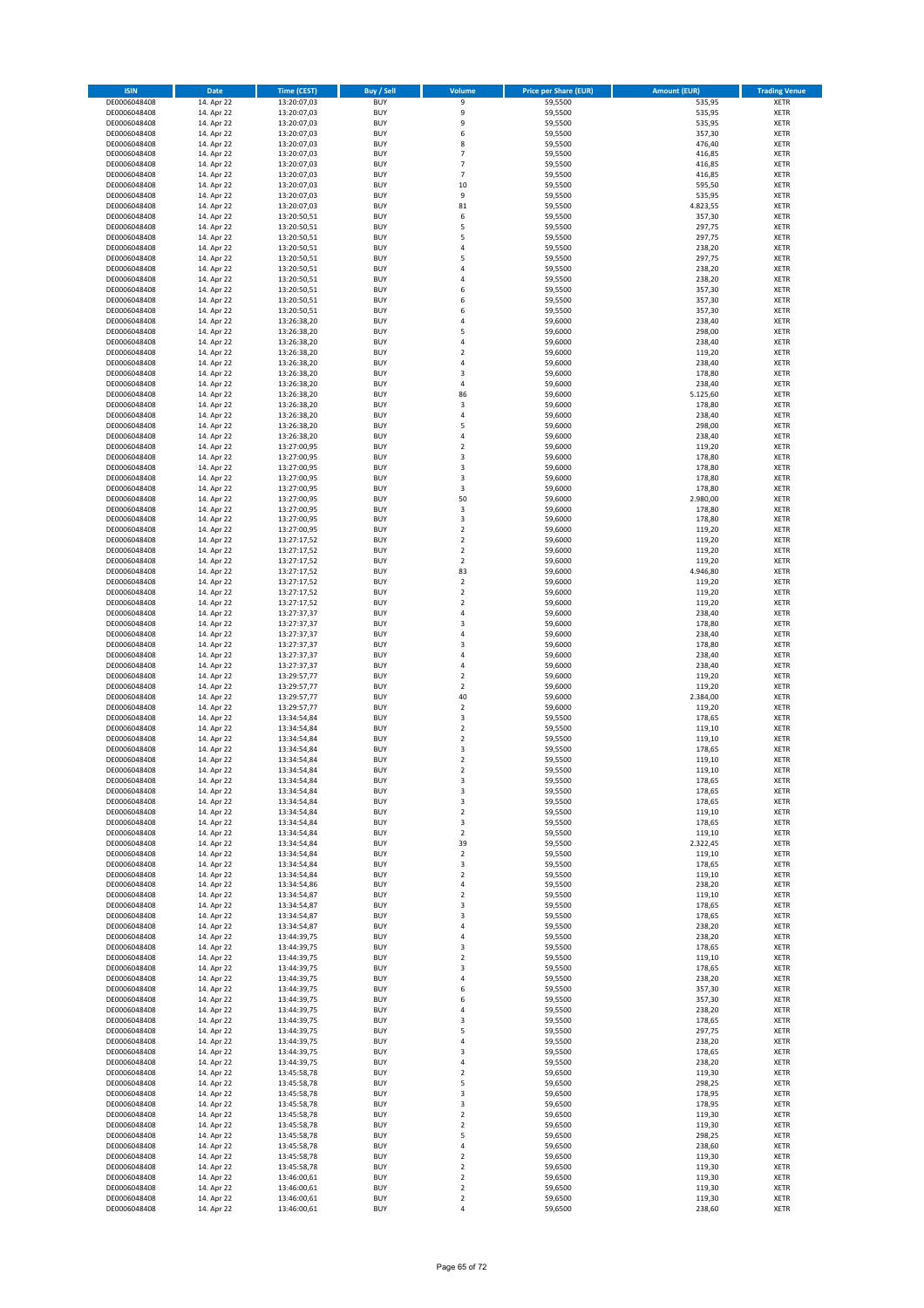| <b>ISIN</b>                  | Date                     | <b>Time (CEST)</b>         | <b>Buy / Sell</b>        | Volume                                 | <b>Price per Share (EUR)</b> | <b>Amount (EUR)</b> | <b>Trading Venue</b>       |
|------------------------------|--------------------------|----------------------------|--------------------------|----------------------------------------|------------------------------|---------------------|----------------------------|
| DE0006048408                 | 14. Apr 22               | 13:20:07,03                | <b>BUY</b>               | 9                                      | 59,5500                      | 535,95              | XETR                       |
| DE0006048408                 | 14. Apr 22               | 13:20:07,03                | <b>BUY</b>               | 9                                      | 59,5500                      | 535,95              | XETR                       |
| DE0006048408<br>DE0006048408 | 14. Apr 22<br>14. Apr 22 | 13:20:07,03<br>13:20:07,03 | <b>BUY</b><br><b>BUY</b> | 9<br>6                                 | 59,5500<br>59,5500           | 535,95<br>357,30    | XETR<br>XETR               |
| DE0006048408                 | 14. Apr 22               | 13:20:07,03                | <b>BUY</b>               | 8                                      | 59,5500                      | 476,40              | XETR                       |
| DE0006048408                 | 14. Apr 22               | 13:20:07,03                | <b>BUY</b>               | $\overline{7}$                         | 59,5500                      | 416,85              | <b>XETR</b>                |
| DE0006048408                 | 14. Apr 22               | 13:20:07,03                | <b>BUY</b>               | $\overline{7}$                         | 59,5500                      | 416,85              | <b>XETR</b>                |
| DE0006048408                 | 14. Apr 22               | 13:20:07,03                | <b>BUY</b>               | $\overline{7}$                         | 59,5500                      | 416,85              | <b>XETR</b>                |
| DE0006048408<br>DE0006048408 | 14. Apr 22<br>14. Apr 22 | 13:20:07,03<br>13:20:07,03 | <b>BUY</b><br><b>BUY</b> | 10<br>9                                | 59,5500<br>59,5500           | 595,50<br>535,95    | <b>XETR</b><br><b>XETR</b> |
| DE0006048408                 | 14. Apr 22               | 13:20:07,03                | <b>BUY</b>               | 81                                     | 59,5500                      | 4.823,55            | <b>XETR</b>                |
| DE0006048408                 | 14. Apr 22               | 13:20:50,51                | <b>BUY</b>               | 6                                      | 59,5500                      | 357,30              | <b>XETR</b>                |
| DE0006048408                 | 14. Apr 22               | 13:20:50,51                | <b>BUY</b>               | 5                                      | 59,5500                      | 297,75              | XETR                       |
| DE0006048408                 | 14. Apr 22               | 13:20:50,51                | <b>BUY</b>               | 5                                      | 59,5500                      | 297,75              | <b>XETR</b>                |
| DE0006048408                 | 14. Apr 22               | 13:20:50,51                | <b>BUY</b>               | 4                                      | 59,5500                      | 238,20              | XETR                       |
| DE0006048408                 | 14. Apr 22               | 13:20:50,51                | <b>BUY</b><br><b>BUY</b> | 5<br>4                                 | 59,5500                      | 297,75<br>238,20    | <b>XETR</b><br>XETR        |
| DE0006048408<br>DE0006048408 | 14. Apr 22<br>14. Apr 22 | 13:20:50,51<br>13:20:50,51 | <b>BUY</b>               | 4                                      | 59,5500<br>59,5500           | 238,20              | <b>XETR</b>                |
| DE0006048408                 | 14. Apr 22               | 13:20:50,51                | <b>BUY</b>               | 6                                      | 59,5500                      | 357,30              | XETR                       |
| DE0006048408                 | 14. Apr 22               | 13:20:50,51                | <b>BUY</b>               | 6                                      | 59,5500                      | 357,30              | <b>XETR</b>                |
| DE0006048408                 | 14. Apr 22               | 13:20:50,51                | <b>BUY</b>               | 6                                      | 59,5500                      | 357,30              | XETR                       |
| DE0006048408                 | 14. Apr 22               | 13:26:38,20                | <b>BUY</b><br><b>BUY</b> | 4<br>5                                 | 59,6000                      | 238,40              | XETR<br><b>XETR</b>        |
| DE0006048408<br>DE0006048408 | 14. Apr 22<br>14. Apr 22 | 13:26:38,20<br>13:26:38,20 | <b>BUY</b>               | 4                                      | 59,6000<br>59,6000           | 298,00<br>238,40    | <b>XETR</b>                |
| DE0006048408                 | 14. Apr 22               | 13:26:38,20                | <b>BUY</b>               | $\overline{\mathbf{c}}$                | 59,6000                      | 119,20              | <b>XETR</b>                |
| DE0006048408                 | 14. Apr 22               | 13:26:38,20                | <b>BUY</b>               | 4                                      | 59,6000                      | 238,40              | <b>XETR</b>                |
| DE0006048408                 | 14. Apr 22               | 13:26:38,20                | <b>BUY</b>               | 3                                      | 59,6000                      | 178,80              | <b>XETR</b>                |
| DE0006048408                 | 14. Apr 22               | 13:26:38,20                | <b>BUY</b>               | 4                                      | 59,6000                      | 238,40              | <b>XETR</b>                |
| DE0006048408<br>DE0006048408 | 14. Apr 22<br>14. Apr 22 | 13:26:38,20<br>13:26:38,20 | <b>BUY</b><br><b>BUY</b> | 86<br>3                                | 59,6000<br>59,6000           | 5.125,60<br>178,80  | <b>XETR</b><br>XETR        |
| DE0006048408                 | 14. Apr 22               | 13:26:38,20                | <b>BUY</b>               | $\overline{4}$                         | 59,6000                      | 238,40              | <b>XETR</b>                |
| DE0006048408                 | 14. Apr 22               | 13:26:38,20                | <b>BUY</b>               | 5                                      | 59,6000                      | 298,00              | <b>XETR</b>                |
| DE0006048408                 | 14. Apr 22               | 13:26:38,20                | <b>BUY</b>               | 4                                      | 59,6000                      | 238,40              | <b>XETR</b>                |
| DE0006048408                 | 14. Apr 22               | 13:27:00,95                | <b>BUY</b>               | $\mathbf 2$                            | 59,6000                      | 119,20              | XETR                       |
| DE0006048408<br>DE0006048408 | 14. Apr 22<br>14. Apr 22 | 13:27:00,95<br>13:27:00,95 | <b>BUY</b><br><b>BUY</b> | 3<br>3                                 | 59,6000<br>59,6000           | 178,80<br>178,80    | <b>XETR</b><br>XETR        |
| DE0006048408                 | 14. Apr 22               | 13:27:00,95                | <b>BUY</b>               | 3                                      | 59,6000                      | 178,80              | <b>XETR</b>                |
| DE0006048408                 | 14. Apr 22               | 13:27:00,95                | <b>BUY</b>               | 3                                      | 59,6000                      | 178,80              | XETR                       |
| DE0006048408                 | 14. Apr 22               | 13:27:00,95                | <b>BUY</b>               | 50                                     | 59,6000                      | 2.980,00            | <b>XETR</b>                |
| DE0006048408                 | 14. Apr 22               | 13:27:00,95                | <b>BUY</b>               | 3                                      | 59,6000                      | 178,80              | <b>XETR</b>                |
| DE0006048408                 | 14. Apr 22               | 13:27:00,95                | <b>BUY</b>               | 3                                      | 59,6000                      | 178,80              | <b>XETR</b>                |
| DE0006048408<br>DE0006048408 | 14. Apr 22<br>14. Apr 22 | 13:27:00,95<br>13:27:17,52 | <b>BUY</b><br><b>BUY</b> | $\mathbf 2$<br>$\overline{\mathbf{c}}$ | 59,6000<br>59,6000           | 119,20<br>119,20    | <b>XETR</b><br><b>XETR</b> |
| DE0006048408                 | 14. Apr 22               | 13:27:17,52                | <b>BUY</b>               | $\overline{\mathbf{c}}$                | 59,6000                      | 119,20              | <b>XETR</b>                |
| DE0006048408                 | 14. Apr 22               | 13:27:17,52                | <b>BUY</b>               | $\overline{2}$                         | 59,6000                      | 119,20              | <b>XETR</b>                |
| DE0006048408                 | 14. Apr 22               | 13:27:17,52                | <b>BUY</b>               | 83                                     | 59,6000                      | 4.946,80            | XETR                       |
| DE0006048408                 | 14. Apr 22               | 13:27:17,52                | <b>BUY</b>               | 2                                      | 59,6000                      | 119,20              | XETR                       |
| DE0006048408<br>DE0006048408 | 14. Apr 22<br>14. Apr 22 | 13:27:17,52<br>13:27:17,52 | <b>BUY</b><br><b>BUY</b> | $\mathbf 2$<br>$\mathbf 2$             | 59,6000<br>59,6000           | 119,20<br>119,20    | <b>XETR</b><br><b>XETR</b> |
| DE0006048408                 | 14. Apr 22               | 13:27:37,37                | <b>BUY</b>               | 4                                      | 59,6000                      | 238,40              | <b>XETR</b>                |
| DE0006048408                 | 14. Apr 22               | 13:27:37,37                | <b>BUY</b>               | 3                                      | 59,6000                      | 178,80              | <b>XETR</b>                |
| DE0006048408                 | 14. Apr 22               | 13:27:37,37                | <b>BUY</b>               | $\overline{4}$                         | 59,6000                      | 238,40              | <b>XETR</b>                |
| DE0006048408                 | 14. Apr 22               | 13:27:37,37                | <b>BUY</b>               | 3                                      | 59,6000                      | 178,80              | <b>XETR</b>                |
| DE0006048408                 | 14. Apr 22               | 13:27:37,37                | <b>BUY</b><br><b>BUY</b> | 4<br>4                                 | 59,6000<br>59,6000           | 238,40<br>238,40    | <b>XETR</b><br>XETR        |
| DE0006048408<br>DE0006048408 | 14. Apr 22<br>14. Apr 22 | 13:27:37,37<br>13:29:57,77 | <b>BUY</b>               | $\overline{\mathbf{c}}$                | 59,6000                      | 119,20              | <b>XETR</b>                |
| DE0006048408                 | 14. Apr 22               | 13:29:57,77                | <b>BUY</b>               | $\mathbf 2$                            | 59,6000                      | 119,20              | <b>XETR</b>                |
| DE0006048408                 | 14. Apr 22               | 13:29:57,77                | <b>BUY</b>               | 40                                     | 59,6000                      | 2.384,00            | <b>XETR</b>                |
| DE0006048408                 | 14. Apr 22               | 13:29:57,77                | <b>BUY</b>               | $\overline{\mathbf{c}}$                | 59,6000                      | 119,20              | XETR                       |
| DE0006048408<br>DE0006048408 | 14. Apr 22<br>14. Apr 22 | 13:34:54,84<br>13:34:54,84 | <b>BUY</b><br><b>BUY</b> | 3<br>$\mathbf 2$                       | 59,5500<br>59,5500           | 178,65<br>119,10    | <b>XETR</b><br>XETR        |
| DE0006048408                 | 14. Apr 22               | 13:34:54,84                | <b>BUY</b>               | $\overline{\mathbf{c}}$                | 59,5500                      | 119,10              | <b>XETR</b>                |
| DE0006048408                 | 14. Apr 22               | 13:34:54,84                | <b>BUY</b>               | 3                                      | 59,5500                      | 178,65              | XETR                       |
| DE0006048408                 | 14. Apr 22               | 13:34:54,84                | <b>BUY</b>               | $\overline{\mathbf{c}}$                | 59,5500                      | 119,10              | <b>XETR</b>                |
| DE0006048408                 | 14. Apr 22               | 13:34:54,84                | <b>BUY</b>               | $\overline{\mathbf{c}}$                | 59,5500                      | 119,10              | <b>XETR</b>                |
| DE0006048408                 | 14. Apr 22               | 13:34:54,84                | <b>BUY</b>               | 3                                      | 59,5500                      | 178,65              | <b>XETR</b>                |
| DE0006048408<br>DE0006048408 | 14. Apr 22<br>14. Apr 22 | 13:34:54,84<br>13:34:54,84 | <b>BUY</b><br><b>BUY</b> | 3<br>3                                 | 59,5500<br>59,5500           | 178,65<br>178,65    | XETR<br>XETR               |
| DE0006048408                 | 14. Apr 22               | 13:34:54,84                | <b>BUY</b>               | $\mathbf 2$                            | 59,5500                      | 119,10              | XETR                       |
| DE0006048408                 | 14. Apr 22               | 13:34:54,84                | <b>BUY</b>               | 3                                      | 59,5500                      | 178,65              | <b>XETR</b>                |
| DE0006048408                 | 14. Apr 22               | 13:34:54,84                | <b>BUY</b>               | $\mathbf 2$                            | 59,5500                      | 119,10              | XETR                       |
| DE0006048408<br>DE0006048408 | 14. Apr 22<br>14. Apr 22 | 13:34:54,84<br>13:34:54,84 | <b>BUY</b><br><b>BUY</b> | 39<br>$\mathbf 2$                      | 59,5500<br>59,5500           | 2.322,45<br>119,10  | <b>XETR</b><br>XETR        |
| DE0006048408                 | 14. Apr 22               | 13:34:54,84                | <b>BUY</b>               | 3                                      | 59,5500                      | 178,65              | <b>XETR</b>                |
| DE0006048408                 | 14. Apr 22               | 13:34:54,84                | <b>BUY</b>               | $\mathbf 2$                            | 59,5500                      | 119,10              | XETR                       |
| DE0006048408                 | 14. Apr 22               | 13:34:54,86                | <b>BUY</b>               | 4                                      | 59,5500                      | 238,20              | <b>XETR</b>                |
| DE0006048408                 | 14. Apr 22               | 13:34:54,87                | <b>BUY</b>               | 2                                      | 59,5500                      | 119,10              | XETR                       |
| DE0006048408<br>DE0006048408 | 14. Apr 22<br>14. Apr 22 | 13:34:54,87                | <b>BUY</b><br><b>BUY</b> | 3<br>3                                 | 59,5500<br>59,5500           | 178,65<br>178,65    | <b>XETR</b><br>XETR        |
| DE0006048408                 | 14. Apr 22               | 13:34:54,87<br>13:34:54,87 | <b>BUY</b>               | 4                                      | 59,5500                      | 238,20              | <b>XETR</b>                |
| DE0006048408                 | 14. Apr 22               | 13:44:39,75                | <b>BUY</b>               | 4                                      | 59,5500                      | 238,20              | XETR                       |
| DE0006048408                 | 14. Apr 22               | 13:44:39,75                | <b>BUY</b>               | 3                                      | 59,5500                      | 178,65              | <b>XETR</b>                |
| DE0006048408                 | 14. Apr 22               | 13:44:39,75                | <b>BUY</b>               | 2                                      | 59,5500                      | 119,10              | XETR                       |
| DE0006048408                 | 14. Apr 22               | 13:44:39,75                | <b>BUY</b><br><b>BUY</b> | 3<br>4                                 | 59,5500<br>59,5500           | 178,65              | <b>XETR</b><br>XETR        |
| DE0006048408<br>DE0006048408 | 14. Apr 22<br>14. Apr 22 | 13:44:39,75<br>13:44:39,75 | <b>BUY</b>               | 6                                      | 59,5500                      | 238,20<br>357,30    | <b>XETR</b>                |
| DE0006048408                 | 14. Apr 22               | 13:44:39,75                | <b>BUY</b>               | 6                                      | 59,5500                      | 357,30              | <b>XETR</b>                |
| DE0006048408                 | 14. Apr 22               | 13:44:39,75                | <b>BUY</b>               | 4                                      | 59,5500                      | 238,20              | XETR                       |
| DE0006048408                 | 14. Apr 22               | 13:44:39,75                | <b>BUY</b>               | 3                                      | 59,5500                      | 178,65              | <b>XETR</b>                |
| DE0006048408<br>DE0006048408 | 14. Apr 22<br>14. Apr 22 | 13:44:39,75<br>13:44:39,75 | <b>BUY</b><br><b>BUY</b> | 5<br>4                                 | 59,5500<br>59,5500           | 297,75<br>238,20    | XETR<br><b>XETR</b>        |
| DE0006048408                 | 14. Apr 22               | 13:44:39,75                | <b>BUY</b>               | 3                                      | 59,5500                      | 178,65              | XETR                       |
| DE0006048408                 | 14. Apr 22               | 13:44:39,75                | <b>BUY</b>               | 4                                      | 59,5500                      | 238,20              | <b>XETR</b>                |
| DE0006048408                 | 14. Apr 22               | 13:45:58,78                | <b>BUY</b>               | 2                                      | 59,6500                      | 119,30              | XETR                       |
| DE0006048408                 | 14. Apr 22               | 13:45:58,78                | <b>BUY</b>               | 5                                      | 59,6500                      | 298,25              | <b>XETR</b>                |
| DE0006048408<br>DE0006048408 | 14. Apr 22<br>14. Apr 22 | 13:45:58,78                | <b>BUY</b><br><b>BUY</b> | 3                                      | 59,6500<br>59,6500           | 178,95<br>178,95    | XETR<br><b>XETR</b>        |
| DE0006048408                 | 14. Apr 22               | 13:45:58,78<br>13:45:58,78 | <b>BUY</b>               | 3<br>$\mathbf 2$                       | 59,6500                      | 119,30              | XETR                       |
| DE0006048408                 | 14. Apr 22               | 13:45:58,78                | <b>BUY</b>               | 2                                      | 59,6500                      | 119,30              | <b>XETR</b>                |
| DE0006048408                 | 14. Apr 22               | 13:45:58,78                | <b>BUY</b>               | 5                                      | 59,6500                      | 298,25              | <b>XETR</b>                |
| DE0006048408                 | 14. Apr 22               | 13:45:58,78                | <b>BUY</b>               | 4                                      | 59,6500                      | 238,60              | <b>XETR</b>                |
| DE0006048408                 | 14. Apr 22               | 13:45:58,78                | <b>BUY</b>               | 2                                      | 59,6500                      | 119,30              | XETR                       |
| DE0006048408<br>DE0006048408 | 14. Apr 22<br>14. Apr 22 | 13:45:58,78<br>13:46:00,61 | <b>BUY</b><br><b>BUY</b> | $\mathbf 2$<br>$\boldsymbol{2}$        | 59,6500<br>59,6500           | 119,30<br>119,30    | <b>XETR</b><br>XETR        |
| DE0006048408                 | 14. Apr 22               | 13:46:00,61                | <b>BUY</b>               | $\mathbf 2$                            | 59,6500                      | 119,30              | XETR                       |
| DE0006048408                 | 14. Apr 22               | 13:46:00,61                | <b>BUY</b>               | $\mathbf 2$                            | 59,6500                      | 119,30              | XETR                       |
| DE0006048408                 | 14. Apr 22               | 13:46:00,61                | <b>BUY</b>               | 4                                      | 59,6500                      | 238,60              | <b>XETR</b>                |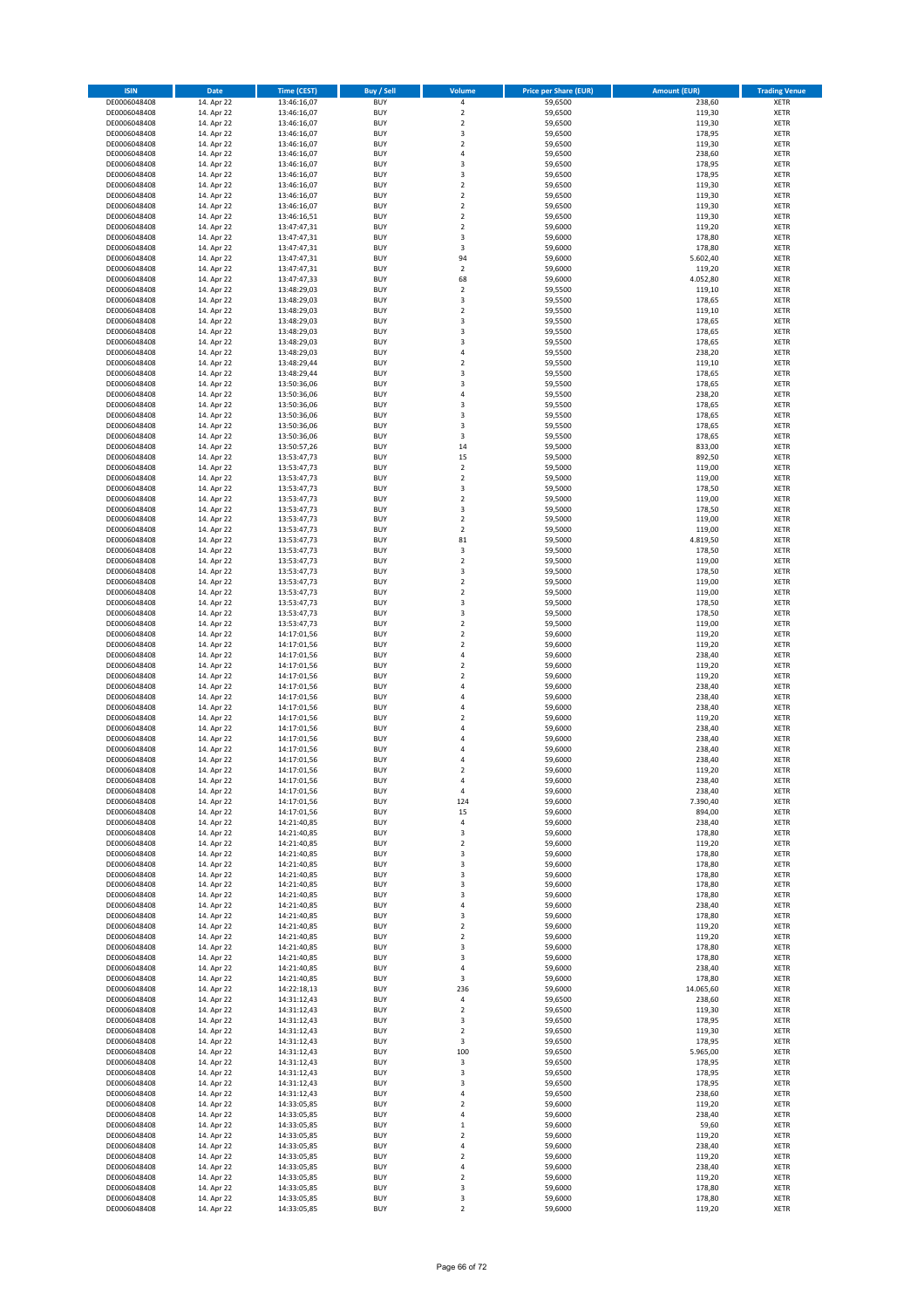| <b>ISIN</b>                  | Date                     | <b>Time (CEST)</b>         | <b>Buy / Sell</b>        | Volume                                    | <b>Price per Share (EUR)</b> | <b>Amount (EUR)</b> | <b>Trading Venue</b>       |
|------------------------------|--------------------------|----------------------------|--------------------------|-------------------------------------------|------------------------------|---------------------|----------------------------|
| DE0006048408                 | 14. Apr 22               | 13:46:16,07                | <b>BUY</b>               | $\pmb{4}$                                 | 59,6500                      | 238,60              | <b>XETR</b>                |
| DE0006048408                 | 14. Apr 22               | 13:46:16,07                | <b>BUY</b>               | $\mathbf 2$                               | 59,6500                      | 119,30              | <b>XETR</b>                |
| DE0006048408<br>DE0006048408 | 14. Apr 22<br>14. Apr 22 | 13:46:16,07<br>13:46:16,07 | <b>BUY</b><br><b>BUY</b> | $\mathbf 2$<br>3                          | 59,6500<br>59,6500           | 119,30<br>178,95    | <b>XETR</b><br><b>XETR</b> |
| DE0006048408                 | 14. Apr 22               | 13:46:16,07                | <b>BUY</b>               | $\mathbf 2$                               | 59,6500                      | 119,30              | <b>XETR</b>                |
| DE0006048408                 | 14. Apr 22               | 13:46:16,07                | <b>BUY</b>               | $\overline{4}$                            | 59,6500                      | 238,60              | <b>XETR</b>                |
| DE0006048408                 | 14. Apr 22               | 13:46:16,07                | <b>BUY</b>               | 3                                         | 59,6500                      | 178,95              | <b>XETR</b>                |
| DE0006048408                 | 14. Apr 22               | 13:46:16,07                | <b>BUY</b>               | 3                                         | 59,6500                      | 178,95              | <b>XETR</b>                |
| DE0006048408<br>DE0006048408 | 14. Apr 22<br>14. Apr 22 | 13:46:16,07                | <b>BUY</b><br><b>BUY</b> | $\mathbf 2$<br>$\overline{2}$             | 59,6500<br>59,6500           | 119,30<br>119,30    | XETR<br><b>XETR</b>        |
| DE0006048408                 | 14. Apr 22               | 13:46:16,07<br>13:46:16,07 | <b>BUY</b>               | $\overline{2}$                            | 59,6500                      | 119,30              | XETR                       |
| DE0006048408                 | 14. Apr 22               | 13:46:16,51                | <b>BUY</b>               | $\overline{2}$                            | 59,6500                      | 119,30              | <b>XETR</b>                |
| DE0006048408                 | 14. Apr 22               | 13:47:47,31                | <b>BUY</b>               | $\mathbf 2$                               | 59,6000                      | 119,20              | XETR                       |
| DE0006048408                 | 14. Apr 22               | 13:47:47,31                | <b>BUY</b>               | 3                                         | 59,6000                      | 178,80              | <b>XETR</b>                |
| DE0006048408                 | 14. Apr 22               | 13:47:47,31                | <b>BUY</b>               | 3                                         | 59,6000                      | 178,80              | XETR                       |
| DE0006048408<br>DE0006048408 | 14. Apr 22<br>14. Apr 22 | 13:47:47,31<br>13:47:47,31 | <b>BUY</b><br><b>BUY</b> | 94<br>$\mathbf 2$                         | 59,6000<br>59,6000           | 5.602,40<br>119,20  | <b>XETR</b><br>XETR        |
| DE0006048408                 | 14. Apr 22               | 13:47:47,33                | <b>BUY</b>               | 68                                        | 59,6000                      | 4.052,80            | <b>XETR</b>                |
| DE0006048408                 | 14. Apr 22               | 13:48:29,03                | <b>BUY</b>               | $\mathbf 2$                               | 59,5500                      | 119,10              | XETR                       |
| DE0006048408                 | 14. Apr 22               | 13:48:29,03                | <b>BUY</b>               | 3                                         | 59,5500                      | 178,65              | <b>XETR</b>                |
| DE0006048408                 | 14. Apr 22               | 13:48:29,03                | <b>BUY</b><br><b>BUY</b> | $\overline{2}$<br>3                       | 59,5500<br>59,5500           | 119,10<br>178,65    | <b>XETR</b><br><b>XETR</b> |
| DE0006048408<br>DE0006048408 | 14. Apr 22<br>14. Apr 22 | 13:48:29,03<br>13:48:29,03 | <b>BUY</b>               | 3                                         | 59,5500                      | 178,65              | <b>XETR</b>                |
| DE0006048408                 | 14. Apr 22               | 13:48:29,03                | <b>BUY</b>               | 3                                         | 59,5500                      | 178,65              | <b>XETR</b>                |
| DE0006048408                 | 14. Apr 22               | 13:48:29,03                | <b>BUY</b>               | $\overline{4}$                            | 59,5500                      | 238,20              | <b>XETR</b>                |
| DE0006048408                 | 14. Apr 22               | 13:48:29,44                | <b>BUY</b>               | $\overline{2}$                            | 59,5500                      | 119,10              | <b>XETR</b>                |
| DE0006048408                 | 14. Apr 22               | 13:48:29,44                | <b>BUY</b>               | 3                                         | 59,5500                      | 178,65              | <b>XETR</b>                |
| DE0006048408<br>DE0006048408 | 14. Apr 22<br>14. Apr 22 | 13:50:36,06<br>13:50:36,06 | <b>BUY</b><br><b>BUY</b> | 3<br>$\sqrt{4}$                           | 59,5500<br>59,5500           | 178,65<br>238,20    | <b>XETR</b><br><b>XETR</b> |
| DE0006048408                 | 14. Apr 22               | 13:50:36,06                | <b>BUY</b>               | 3                                         | 59,5500                      | 178,65              | <b>XETR</b>                |
| DE0006048408                 | 14. Apr 22               | 13:50:36,06                | <b>BUY</b>               | 3                                         | 59,5500                      | 178,65              | <b>XETR</b>                |
| DE0006048408                 | 14. Apr 22               | 13:50:36,06                | <b>BUY</b>               | 3                                         | 59,5500                      | 178,65              | <b>XETR</b>                |
| DE0006048408                 | 14. Apr 22               | 13:50:36,06                | <b>BUY</b><br><b>BUY</b> | 3                                         | 59,5500                      | 178,65<br>833,00    | <b>XETR</b><br>XETR        |
| DE0006048408<br>DE0006048408 | 14. Apr 22<br>14. Apr 22 | 13:50:57,26<br>13:53:47,73 | <b>BUY</b>               | 14<br>15                                  | 59,5000<br>59,5000           | 892,50              | <b>XETR</b>                |
| DE0006048408                 | 14. Apr 22               | 13:53:47,73                | <b>BUY</b>               | $\mathbf 2$                               | 59,5000                      | 119,00              | XETR                       |
| DE0006048408                 | 14. Apr 22               | 13:53:47,73                | <b>BUY</b>               | $\overline{2}$                            | 59,5000                      | 119,00              | <b>XETR</b>                |
| DE0006048408                 | 14. Apr 22               | 13:53:47,73                | <b>BUY</b>               | 3                                         | 59,5000                      | 178,50              | XETR                       |
| DE0006048408                 | 14. Apr 22               | 13:53:47,73                | <b>BUY</b>               | $\overline{2}$                            | 59,5000                      | 119,00              | <b>XETR</b>                |
| DE0006048408<br>DE0006048408 | 14. Apr 22<br>14. Apr 22 | 13:53:47,73<br>13:53:47,73 | <b>BUY</b><br><b>BUY</b> | $\overline{\mathbf{3}}$<br>$\overline{2}$ | 59,5000<br>59,5000           | 178,50<br>119,00    | <b>XETR</b><br><b>XETR</b> |
| DE0006048408                 | 14. Apr 22               | 13:53:47,73                | <b>BUY</b>               | $\boldsymbol{2}$                          | 59,5000                      | 119,00              | <b>XETR</b>                |
| DE0006048408                 | 14. Apr 22               | 13:53:47,73                | <b>BUY</b>               | 81                                        | 59,5000                      | 4.819,50            | <b>XETR</b>                |
| DE0006048408                 | 14. Apr 22               | 13:53:47,73                | <b>BUY</b>               | $\overline{\mathbf{3}}$                   | 59,5000                      | 178,50              | <b>XETR</b>                |
| DE0006048408                 | 14. Apr 22               | 13:53:47,73                | <b>BUY</b>               | $\overline{2}$                            | 59,5000                      | 119,00              | <b>XETR</b>                |
| DE0006048408                 | 14. Apr 22               | 13:53:47,73                | <b>BUY</b>               | 3                                         | 59,5000                      | 178,50              | XETR                       |
| DE0006048408<br>DE0006048408 | 14. Apr 22<br>14. Apr 22 | 13:53:47,73<br>13:53:47,73 | <b>BUY</b><br><b>BUY</b> | $\mathbf 2$<br>$\boldsymbol{2}$           | 59,5000<br>59,5000           | 119,00<br>119,00    | <b>XETR</b><br><b>XETR</b> |
| DE0006048408                 | 14. Apr 22               | 13:53:47,73                | <b>BUY</b>               | 3                                         | 59,5000                      | 178,50              | <b>XETR</b>                |
| DE0006048408                 | 14. Apr 22               | 13:53:47,73                | <b>BUY</b>               | 3                                         | 59,5000                      | 178,50              | <b>XETR</b>                |
| DE0006048408                 | 14. Apr 22               | 13:53:47,73                | <b>BUY</b>               | $\mathbf 2$                               | 59,5000                      | 119,00              | <b>XETR</b>                |
| DE0006048408                 | 14. Apr 22               | 14:17:01,56                | <b>BUY</b><br><b>BUY</b> | $\overline{2}$<br>$\mathbf 2$             | 59,6000                      | 119,20              | <b>XETR</b>                |
| DE0006048408<br>DE0006048408 | 14. Apr 22<br>14. Apr 22 | 14:17:01,56<br>14:17:01,56 | <b>BUY</b>               | $\sqrt{4}$                                | 59,6000<br>59,6000           | 119,20<br>238,40    | <b>XETR</b><br><b>XETR</b> |
| DE0006048408                 | 14. Apr 22               | 14:17:01,56                | <b>BUY</b>               | $\mathbf 2$                               | 59,6000                      | 119,20              | <b>XETR</b>                |
| DE0006048408                 | 14. Apr 22               | 14:17:01,56                | <b>BUY</b>               | $\overline{2}$                            | 59,6000                      | 119,20              | <b>XETR</b>                |
| DE0006048408                 | 14. Apr 22               | 14:17:01,56                | <b>BUY</b>               | $\sqrt{4}$                                | 59,6000                      | 238,40              | <b>XETR</b>                |
| DE0006048408                 | 14. Apr 22               | 14:17:01,56                | <b>BUY</b><br><b>BUY</b> | $\sqrt{4}$                                | 59,6000<br>59,6000           | 238,40              | <b>XETR</b><br><b>XETR</b> |
| DE0006048408<br>DE0006048408 | 14. Apr 22<br>14. Apr 22 | 14:17:01,56<br>14:17:01,56 | <b>BUY</b>               | 4<br>$\overline{2}$                       | 59,6000                      | 238,40<br>119,20    | <b>XETR</b>                |
| DE0006048408                 | 14. Apr 22               | 14:17:01,56                | <b>BUY</b>               | $\overline{4}$                            | 59,6000                      | 238,40              | XETR                       |
| DE0006048408                 | 14. Apr 22               | 14:17:01,56                | <b>BUY</b>               | $\overline{4}$                            | 59,6000                      | 238,40              | <b>XETR</b>                |
| DE0006048408                 | 14. Apr 22               | 14:17:01,56                | <b>BUY</b>               | 4                                         | 59,6000                      | 238,40              | XETR                       |
| DE0006048408<br>DE0006048408 | 14. Apr 22               | 14:17:01,56<br>14:17:01,56 | <b>BUY</b><br><b>BUY</b> | 4<br>$\overline{2}$                       | 59,6000                      | 238,40              | <b>XETR</b>                |
| DE0006048408                 | 14. Apr 22<br>14. Apr 22 | 14:17:01,56                | <b>BUY</b>               | 4                                         | 59,6000<br>59,6000           | 119,20<br>238,40    | <b>XETR</b><br>XETR        |
| DE0006048408                 | 14. Apr 22               | 14:17:01,56                | <b>BUY</b>               | 4                                         | 59,6000                      | 238,40              | XETR                       |
| DE0006048408                 | 14. Apr 22               | 14:17:01,56                | <b>BUY</b>               | 124                                       | 59,6000                      | 7.390,40            | XETR                       |
| DE0006048408                 | 14. Apr 22               | 14:17:01,56                | <b>BUY</b>               | 15                                        | 59,6000                      | 894,00              | <b>XETR</b>                |
| DE0006048408                 | 14. Apr 22               | 14:21:40,85<br>14:21:40,85 | <b>BUY</b>               | 4                                         | 59,6000<br>59,6000           | 238,40              | <b>XETR</b>                |
| DE0006048408<br>DE0006048408 | 14. Apr 22<br>14. Apr 22 | 14:21:40,85                | <b>BUY</b><br><b>BUY</b> | 3<br>$\overline{2}$                       | 59,6000                      | 178,80<br>119,20    | XETR<br><b>XETR</b>        |
| DE0006048408                 | 14. Apr 22               | 14:21:40,85                | <b>BUY</b>               | 3                                         | 59,6000                      | 178,80              | XETR                       |
| DE0006048408                 | 14. Apr 22               | 14:21:40,85                | <b>BUY</b>               | 3                                         | 59,6000                      | 178,80              | <b>XETR</b>                |
| DE0006048408                 | 14. Apr 22               | 14:21:40,85                | <b>BUY</b>               | 3                                         | 59,6000                      | 178,80              | XETR                       |
| DE0006048408<br>DE0006048408 | 14. Apr 22<br>14. Apr 22 | 14:21:40,85<br>14:21:40,85 | <b>BUY</b><br><b>BUY</b> | 3<br>3                                    | 59,6000<br>59,6000           | 178,80<br>178,80    | <b>XETR</b><br><b>XETR</b> |
| DE0006048408                 | 14. Apr 22               | 14:21:40,85                | <b>BUY</b>               | 4                                         | 59,6000                      | 238,40              | <b>XETR</b>                |
| DE0006048408                 | 14. Apr 22               | 14:21:40,85                | <b>BUY</b>               | 3                                         | 59,6000                      | 178,80              | XETR                       |
| DE0006048408                 | 14. Apr 22               | 14:21:40,85                | <b>BUY</b>               | $\boldsymbol{2}$                          | 59,6000                      | 119,20              | <b>XETR</b>                |
| DE0006048408                 | 14. Apr 22               | 14:21:40,85                | <b>BUY</b>               | $\boldsymbol{2}$                          | 59,6000                      | 119,20              | <b>XETR</b>                |
| DE0006048408<br>DE0006048408 | 14. Apr 22<br>14. Apr 22 | 14:21:40,85<br>14:21:40,85 | <b>BUY</b><br><b>BUY</b> | 3<br>3                                    | 59,6000<br>59,6000           | 178,80<br>178,80    | <b>XETR</b><br><b>XETR</b> |
| DE0006048408                 | 14. Apr 22               | 14:21:40,85                | <b>BUY</b>               | 4                                         | 59,6000                      | 238,40              | <b>XETR</b>                |
| DE0006048408                 | 14. Apr 22               | 14:21:40,85                | <b>BUY</b>               | 3                                         | 59,6000                      | 178,80              | <b>XETR</b>                |
| DE0006048408                 | 14. Apr 22               | 14:22:18,13                | <b>BUY</b>               | 236                                       | 59,6000                      | 14.065,60           | <b>XETR</b>                |
| DE0006048408                 | 14. Apr 22               | 14:31:12,43                | <b>BUY</b>               | 4                                         | 59,6500                      | 238,60              | <b>XETR</b>                |
| DE0006048408<br>DE0006048408 | 14. Apr 22<br>14. Apr 22 | 14:31:12,43<br>14:31:12,43 | <b>BUY</b><br><b>BUY</b> | $\boldsymbol{2}$<br>3                     | 59,6500<br>59,6500           | 119,30<br>178,95    | XETR<br>XETR               |
| DE0006048408                 | 14. Apr 22               | 14:31:12,43                | <b>BUY</b>               | $\sqrt{2}$                                | 59,6500                      | 119,30              | XETR                       |
| DE0006048408                 | 14. Apr 22               | 14:31:12,43                | <b>BUY</b>               | 3                                         | 59,6500                      | 178,95              | <b>XETR</b>                |
| DE0006048408                 | 14. Apr 22               | 14:31:12,43                | <b>BUY</b>               | 100                                       | 59,6500                      | 5.965,00            | XETR                       |
| DE0006048408                 | 14. Apr 22               | 14:31:12,43                | <b>BUY</b>               | 3                                         | 59,6500                      | 178,95              | XETR                       |
| DE0006048408                 | 14. Apr 22<br>14. Apr 22 | 14:31:12,43<br>14:31:12,43 | <b>BUY</b><br><b>BUY</b> | 3<br>3                                    | 59,6500<br>59,6500           | 178,95<br>178,95    | XETR<br><b>XETR</b>        |
| DE0006048408<br>DE0006048408 | 14. Apr 22               | 14:31:12,43                | <b>BUY</b>               | 4                                         | 59,6500                      | 238,60              | XETR                       |
| DE0006048408                 | 14. Apr 22               | 14:33:05,85                | <b>BUY</b>               | $\overline{\mathbf{c}}$                   | 59,6000                      | 119,20              | XETR                       |
| DE0006048408                 | 14. Apr 22               | 14:33:05,85                | <b>BUY</b>               | 4                                         | 59,6000                      | 238,40              | XETR                       |
| DE0006048408                 | 14. Apr 22               | 14:33:05,85                | <b>BUY</b>               | $\mathbf 1$                               | 59,6000                      | 59,60               | <b>XETR</b>                |
| DE0006048408<br>DE0006048408 | 14. Apr 22<br>14. Apr 22 | 14:33:05,85<br>14:33:05,85 | <b>BUY</b><br><b>BUY</b> | $\overline{\mathbf{c}}$<br>4              | 59,6000<br>59,6000           | 119,20<br>238,40    | <b>XETR</b><br><b>XETR</b> |
| DE0006048408                 | 14. Apr 22               | 14:33:05,85                | <b>BUY</b>               | $\sqrt{2}$                                | 59,6000                      | 119,20              | <b>XETR</b>                |
| DE0006048408                 | 14. Apr 22               | 14:33:05,85                | <b>BUY</b>               | 4                                         | 59,6000                      | 238,40              | <b>XETR</b>                |
| DE0006048408                 | 14. Apr 22               | 14:33:05,85                | <b>BUY</b>               | $\mathbf 2$                               | 59,6000                      | 119,20              | <b>XETR</b>                |
| DE0006048408<br>DE0006048408 | 14. Apr 22               | 14:33:05,85                | <b>BUY</b>               | 3                                         | 59,6000                      | 178,80              | <b>XETR</b>                |
|                              | 14. Apr 22               | 14:33:05,85                | <b>BUY</b>               | 3                                         | 59,6000                      | 178,80<br>119,20    | <b>XETR</b>                |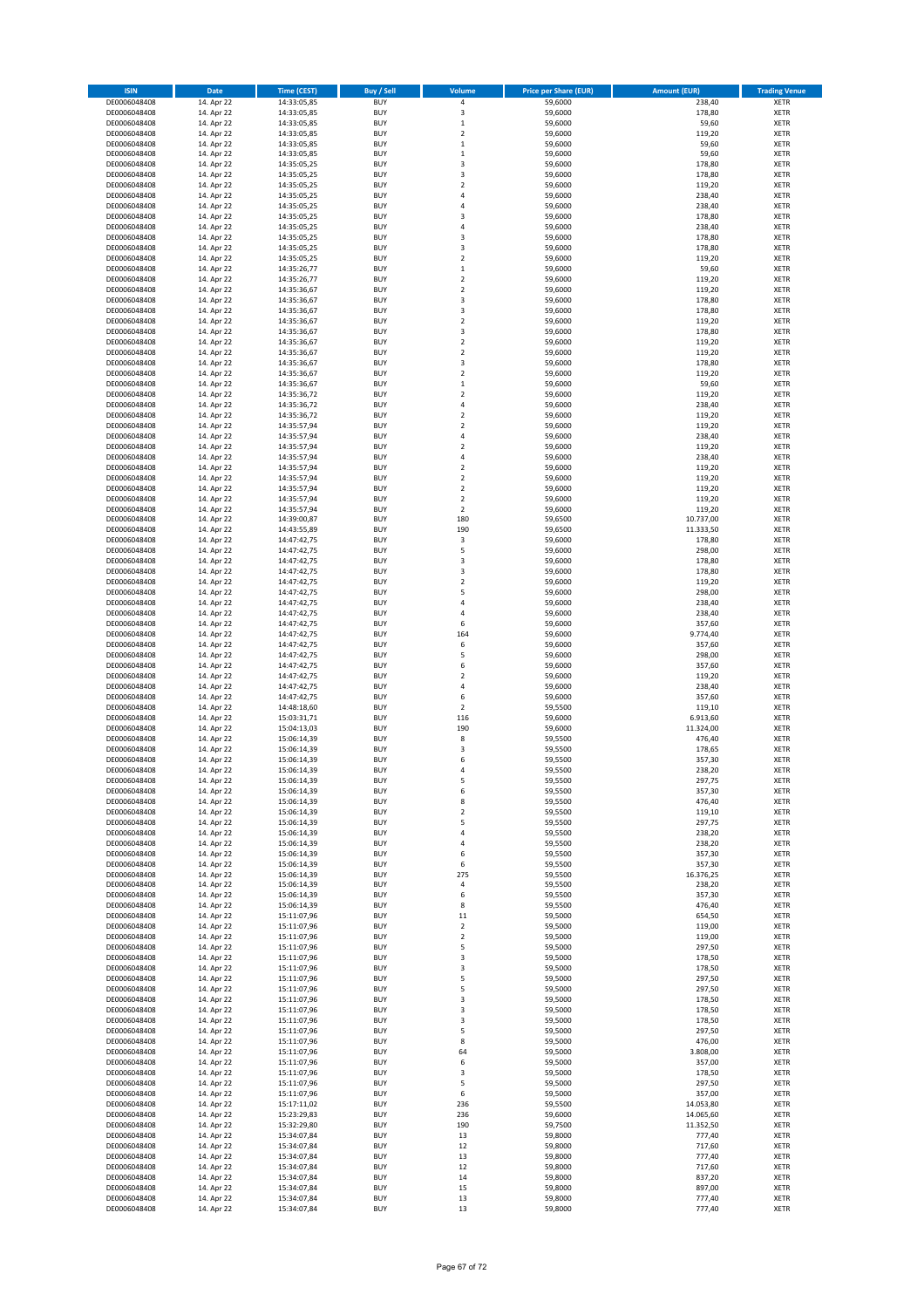| <b>ISIN</b>                  | Date                     | Time (CEST)                | <b>Buy / Sell</b>        | Volume                           | <b>Price per Share (EUR)</b> | <b>Amount (EUR)</b> | <b>Trading Venue</b>       |
|------------------------------|--------------------------|----------------------------|--------------------------|----------------------------------|------------------------------|---------------------|----------------------------|
| DE0006048408                 | 14. Apr 22               | 14:33:05,85                | <b>BUY</b>               | $\pmb{4}$                        | 59,6000                      | 238,40              | <b>XETR</b>                |
| DE0006048408                 | 14. Apr 22               | 14:33:05,85                | <b>BUY</b>               | 3                                | 59,6000                      | 178,80              | <b>XETR</b>                |
| DE0006048408                 | 14. Apr 22               | 14:33:05,85                | <b>BUY</b>               | $\mathbf 1$                      | 59,6000                      | 59,60               | <b>XETR</b>                |
| DE0006048408<br>DE0006048408 | 14. Apr 22<br>14. Apr 22 | 14:33:05,85<br>14:33:05,85 | <b>BUY</b><br><b>BUY</b> | $\mathbf 2$<br>$\,$ 1            | 59,6000<br>59,6000           | 119,20<br>59,60     | <b>XETR</b><br><b>XETR</b> |
| DE0006048408                 | 14. Apr 22               | 14:33:05,85                | <b>BUY</b>               | $\,$ 1                           | 59,6000                      | 59,60               | <b>XETR</b>                |
| DE0006048408                 | 14. Apr 22               | 14:35:05,25                | <b>BUY</b>               | 3                                | 59,6000                      | 178,80              | <b>XETR</b>                |
| DE0006048408                 | 14. Apr 22               | 14:35:05,25                | <b>BUY</b>               | 3                                | 59,6000                      | 178,80              | <b>XETR</b>                |
| DE0006048408                 | 14. Apr 22               | 14:35:05,25                | <b>BUY</b>               | $\overline{2}$<br>$\pmb{4}$      | 59,6000                      | 119,20              | <b>XETR</b>                |
| DE0006048408<br>DE0006048408 | 14. Apr 22<br>14. Apr 22 | 14:35:05,25<br>14:35:05,25 | <b>BUY</b><br><b>BUY</b> | $\overline{4}$                   | 59,6000<br>59,6000           | 238,40<br>238,40    | <b>XETR</b><br><b>XETR</b> |
| DE0006048408                 | 14. Apr 22               | 14:35:05,25                | <b>BUY</b>               | 3                                | 59,6000                      | 178,80              | <b>XETR</b>                |
| DE0006048408                 | 14. Apr 22               | 14:35:05,25                | <b>BUY</b>               | $\overline{4}$                   | 59,6000                      | 238,40              | <b>XETR</b>                |
| DE0006048408                 | 14. Apr 22               | 14:35:05,25                | <b>BUY</b>               | $\overline{\mathbf{3}}$          | 59,6000                      | 178,80              | <b>XETR</b>                |
| DE0006048408                 | 14. Apr 22               | 14:35:05,25                | <b>BUY</b>               | 3                                | 59,6000                      | 178,80              | <b>XETR</b>                |
| DE0006048408                 | 14. Apr 22               | 14:35:05,25                | <b>BUY</b>               | $\mathbf 2$                      | 59,6000                      | 119,20              | <b>XETR</b>                |
| DE0006048408<br>DE0006048408 | 14. Apr 22<br>14. Apr 22 | 14:35:26,77<br>14:35:26,77 | <b>BUY</b><br><b>BUY</b> | $\,1\,$<br>$\mathbf 2$           | 59,6000<br>59,6000           | 59,60<br>119,20     | <b>XETR</b><br><b>XETR</b> |
| DE0006048408                 | 14. Apr 22               | 14:35:36,67                | <b>BUY</b>               | $\overline{2}$                   | 59,6000                      | 119,20              | <b>XETR</b>                |
| DE0006048408                 | 14. Apr 22               | 14:35:36,67                | <b>BUY</b>               | 3                                | 59,6000                      | 178,80              | <b>XETR</b>                |
| DE0006048408                 | 14. Apr 22               | 14:35:36,67                | <b>BUY</b>               | 3                                | 59,6000                      | 178,80              | <b>XETR</b>                |
| DE0006048408                 | 14. Apr 22               | 14:35:36,67                | <b>BUY</b>               | $\overline{2}$                   | 59,6000                      | 119,20              | <b>XETR</b>                |
| DE0006048408                 | 14. Apr 22               | 14:35:36,67                | <b>BUY</b>               | 3                                | 59,6000                      | 178,80              | <b>XETR</b>                |
| DE0006048408<br>DE0006048408 | 14. Apr 22<br>14. Apr 22 | 14:35:36,67<br>14:35:36,67 | <b>BUY</b><br><b>BUY</b> | $\overline{2}$<br>$\mathbf 2$    | 59,6000<br>59,6000           | 119,20<br>119,20    | <b>XETR</b><br><b>XETR</b> |
| DE0006048408                 | 14. Apr 22               | 14:35:36,67                | <b>BUY</b>               | 3                                | 59,6000                      | 178,80              | <b>XETR</b>                |
| DE0006048408                 | 14. Apr 22               | 14:35:36,67                | <b>BUY</b>               | $\mathbf 2$                      | 59,6000                      | 119,20              | <b>XETR</b>                |
| DE0006048408                 | 14. Apr 22               | 14:35:36,67                | <b>BUY</b>               | $\mathbf 1$                      | 59,6000                      | 59,60               | <b>XETR</b>                |
| DE0006048408                 | 14. Apr 22               | 14:35:36,72                | <b>BUY</b>               | $\mathbf 2$                      | 59,6000                      | 119,20              | <b>XETR</b>                |
| DE0006048408                 | 14. Apr 22               | 14:35:36,72                | <b>BUY</b>               | $\sqrt{4}$                       | 59,6000                      | 238,40              | <b>XETR</b>                |
| DE0006048408<br>DE0006048408 | 14. Apr 22<br>14. Apr 22 | 14:35:36,72<br>14:35:57,94 | <b>BUY</b><br><b>BUY</b> | $\mathbf 2$<br>$\overline{2}$    | 59,6000<br>59,6000           | 119,20<br>119,20    | <b>XETR</b><br><b>XETR</b> |
| DE0006048408                 | 14. Apr 22               | 14:35:57,94                | <b>BUY</b>               | 4                                | 59,6000                      | 238,40              | <b>XETR</b>                |
| DE0006048408                 | 14. Apr 22               | 14:35:57,94                | <b>BUY</b>               | $\overline{2}$                   | 59,6000                      | 119,20              | <b>XETR</b>                |
| DE0006048408                 | 14. Apr 22               | 14:35:57,94                | <b>BUY</b>               | $\overline{4}$                   | 59,6000                      | 238,40              | <b>XETR</b>                |
| DE0006048408                 | 14. Apr 22               | 14:35:57,94                | <b>BUY</b>               | $\overline{2}$                   | 59,6000                      | 119,20              | <b>XETR</b>                |
| DE0006048408                 | 14. Apr 22               | 14:35:57,94                | <b>BUY</b>               | $\mathbf 2$                      | 59,6000                      | 119,20              | <b>XETR</b>                |
| DE0006048408<br>DE0006048408 | 14. Apr 22<br>14. Apr 22 | 14:35:57,94<br>14:35:57,94 | <b>BUY</b><br><b>BUY</b> | $\overline{2}$<br>$\overline{2}$ | 59,6000<br>59,6000           | 119,20<br>119,20    | <b>XETR</b><br><b>XETR</b> |
| DE0006048408                 | 14. Apr 22               | 14:35:57,94                | <b>BUY</b>               | $\overline{2}$                   | 59,6000                      | 119,20              | <b>XETR</b>                |
| DE0006048408                 | 14. Apr 22               | 14:39:00,87                | <b>BUY</b>               | 180                              | 59,6500                      | 10.737,00           | XETR                       |
| DE0006048408                 | 14. Apr 22               | 14:43:55,89                | <b>BUY</b>               | 190                              | 59,6500                      | 11.333,50           | <b>XETR</b>                |
| DE0006048408                 | 14. Apr 22               | 14:47:42,75                | <b>BUY</b>               | $\mathsf 3$                      | 59,6000                      | 178,80              | XETR                       |
| DE0006048408                 | 14. Apr 22               | 14:47:42,75                | <b>BUY</b>               | 5                                | 59,6000                      | 298,00              | <b>XETR</b>                |
| DE0006048408<br>DE0006048408 | 14. Apr 22<br>14. Apr 22 | 14:47:42,75<br>14:47:42,75 | <b>BUY</b><br><b>BUY</b> | 3<br>3                           | 59,6000<br>59,6000           | 178,80<br>178,80    | XETR<br><b>XETR</b>        |
| DE0006048408                 | 14. Apr 22               | 14:47:42,75                | <b>BUY</b>               | $\mathbf 2$                      | 59,6000                      | 119,20              | <b>XETR</b>                |
| DE0006048408                 | 14. Apr 22               | 14:47:42,75                | <b>BUY</b>               | 5                                | 59,6000                      | 298,00              | <b>XETR</b>                |
| DE0006048408                 | 14. Apr 22               | 14:47:42,75                | <b>BUY</b>               | 4                                | 59,6000                      | 238,40              | <b>XETR</b>                |
| DE0006048408                 | 14. Apr 22               | 14:47:42,75                | <b>BUY</b>               | 4                                | 59,6000                      | 238,40              | <b>XETR</b>                |
| DE0006048408                 | 14. Apr 22               | 14:47:42,75                | <b>BUY</b>               | 6                                | 59,6000                      | 357,60              | <b>XETR</b>                |
| DE0006048408<br>DE0006048408 | 14. Apr 22<br>14. Apr 22 | 14:47:42,75<br>14:47:42,75 | <b>BUY</b><br><b>BUY</b> | 164<br>6                         | 59,6000<br>59,6000           | 9.774,40<br>357,60  | <b>XETR</b><br><b>XETR</b> |
| DE0006048408                 | 14. Apr 22               | 14:47:42,75                | <b>BUY</b>               | 5                                | 59,6000                      | 298,00              | <b>XETR</b>                |
| DE0006048408                 | 14. Apr 22               | 14:47:42,75                | <b>BUY</b>               | 6                                | 59,6000                      | 357,60              | <b>XETR</b>                |
| DE0006048408                 | 14. Apr 22               | 14:47:42,75                | <b>BUY</b>               | $\overline{2}$                   | 59,6000                      | 119,20              | <b>XETR</b>                |
| DE0006048408                 | 14. Apr 22               | 14:47:42,75                | <b>BUY</b>               | 4                                | 59,6000                      | 238,40              | <b>XETR</b>                |
| DE0006048408<br>DE0006048408 | 14. Apr 22<br>14. Apr 22 | 14:47:42,75<br>14:48:18,60 | <b>BUY</b><br><b>BUY</b> | 6<br>$\overline{2}$              | 59,6000<br>59,5500           | 357,60<br>119,10    | <b>XETR</b><br><b>XETR</b> |
| DE0006048408                 | 14. Apr 22               | 15:03:31,71                | <b>BUY</b>               | 116                              | 59,6000                      | 6.913,60            | <b>XETR</b>                |
| DE0006048408                 | 14. Apr 22               | 15:04:13,03                | <b>BUY</b>               | 190                              | 59,6000                      | 11.324,00           | <b>XETR</b>                |
| DE0006048408                 | 14. Apr 22               | 15:06:14,39                | <b>BUY</b>               | $\bf 8$                          | 59,5500                      | 476,40              | <b>XETR</b>                |
| DE0006048408                 | 14. Apr 22               | 15:06:14,39                | <b>BUY</b>               | 3                                | 59,5500                      | 178,65              | <b>XETR</b>                |
| DE0006048408                 | 14. Apr 22               | 15:06:14,39                | <b>BUY</b>               | 6                                | 59,5500                      | 357,30              | <b>XETR</b>                |
| DE0006048408<br>DE0006048408 | 14. Apr 22<br>14. Apr 22 | 15:06:14,39<br>15:06:14,39 | <b>BUY</b><br><b>BUY</b> | 4<br>5                           | 59,5500<br>59,5500           | 238,20<br>297,75    | <b>XETR</b><br>XETR        |
| DE0006048408                 | 14. Apr 22               | 15:06:14,39                | <b>BUY</b>               | 6                                | 59,5500                      | 357,30              | XETR                       |
| DE0006048408                 | 14. Apr 22               | 15:06:14,39                | <b>BUY</b>               | 8                                | 59,5500                      | 476,40              | XETR                       |
| DE0006048408                 | 14. Apr 22               | 15:06:14,39                | <b>BUY</b>               | $\mathbf 2$                      | 59,5500                      | 119,10              | <b>XETR</b>                |
| DE0006048408                 | 14. Apr 22               | 15:06:14,39                | <b>BUY</b>               | 5                                | 59,5500                      | 297,75              | XETR                       |
| DE0006048408                 | 14. Apr 22               | 15:06:14,39                | <b>BUY</b>               | $\sqrt{4}$                       | 59,5500                      | 238,20              | <b>XETR</b>                |
| DE0006048408<br>DE0006048408 | 14. Apr 22<br>14. Apr 22 | 15:06:14,39<br>15:06:14,39 | <b>BUY</b><br><b>BUY</b> | 4<br>6                           | 59,5500<br>59,5500           | 238,20<br>357,30    | <b>XETR</b><br><b>XETR</b> |
| DE0006048408                 | 14. Apr 22               | 15:06:14,39                | <b>BUY</b>               | 6                                | 59,5500                      | 357,30              | <b>XETR</b>                |
| DE0006048408                 | 14. Apr 22               | 15:06:14,39                | <b>BUY</b>               | 275                              | 59,5500                      | 16.376,25           | <b>XETR</b>                |
| DE0006048408                 | 14. Apr 22               | 15:06:14,39                | <b>BUY</b>               | $\pmb{4}$                        | 59,5500                      | 238,20              | <b>XETR</b>                |
| DE0006048408                 | 14. Apr 22               | 15:06:14,39                | <b>BUY</b>               | 6                                | 59,5500                      | 357,30              | <b>XETR</b>                |
| DE0006048408<br>DE0006048408 | 14. Apr 22<br>14. Apr 22 | 15:06:14,39<br>15:11:07,96 | <b>BUY</b><br><b>BUY</b> | 8<br>$11\,$                      | 59,5500<br>59,5000           | 476,40<br>654,50    | <b>XETR</b><br>XETR        |
| DE0006048408                 | 14. Apr 22               | 15:11:07,96                | <b>BUY</b>               | $\overline{2}$                   | 59,5000                      | 119,00              | <b>XETR</b>                |
| DE0006048408                 | 14. Apr 22               | 15:11:07,96                | <b>BUY</b>               | $\mathbf 2$                      | 59,5000                      | 119,00              | <b>XETR</b>                |
| DE0006048408                 | 14. Apr 22               | 15:11:07,96                | <b>BUY</b>               | 5                                | 59,5000                      | 297,50              | <b>XETR</b>                |
| DE0006048408                 | 14. Apr 22               | 15:11:07,96                | <b>BUY</b>               | 3                                | 59,5000                      | 178,50              | <b>XETR</b>                |
| DE0006048408                 | 14. Apr 22               | 15:11:07,96                | <b>BUY</b>               | 3                                | 59,5000                      | 178,50              | <b>XETR</b>                |
| DE0006048408<br>DE0006048408 | 14. Apr 22<br>14. Apr 22 | 15:11:07,96<br>15:11:07,96 | <b>BUY</b><br><b>BUY</b> | 5                                | 59,5000<br>59,5000           | 297,50              | <b>XETR</b><br><b>XETR</b> |
| DE0006048408                 | 14. Apr 22               | 15:11:07,96                | <b>BUY</b>               | 5<br>3                           | 59,5000                      | 297,50<br>178,50    | XETR                       |
| DE0006048408                 | 14. Apr 22               | 15:11:07,96                | <b>BUY</b>               | 3                                | 59,5000                      | 178,50              | <b>XETR</b>                |
| DE0006048408                 | 14. Apr 22               | 15:11:07,96                | <b>BUY</b>               | 3                                | 59,5000                      | 178,50              | <b>XETR</b>                |
| DE0006048408                 | 14. Apr 22               | 15:11:07,96                | <b>BUY</b>               | 5                                | 59,5000                      | 297,50              | <b>XETR</b>                |
| DE0006048408                 | 14. Apr 22               | 15:11:07,96                | <b>BUY</b>               | 8                                | 59,5000                      | 476,00              | <b>XETR</b>                |
| DE0006048408<br>DE0006048408 | 14. Apr 22               | 15:11:07,96<br>15:11:07,96 | <b>BUY</b><br><b>BUY</b> | 64<br>6                          | 59,5000<br>59,5000           | 3.808,00<br>357,00  | <b>XETR</b><br><b>XETR</b> |
| DE0006048408                 | 14. Apr 22<br>14. Apr 22 | 15:11:07,96                | <b>BUY</b>               | 3                                | 59,5000                      | 178,50              | <b>XETR</b>                |
| DE0006048408                 | 14. Apr 22               | 15:11:07,96                | <b>BUY</b>               | 5                                | 59,5000                      | 297,50              | XETR                       |
| DE0006048408                 | 14. Apr 22               | 15:11:07,96                | <b>BUY</b>               | 6                                | 59,5000                      | 357,00              | <b>XETR</b>                |
| DE0006048408                 | 14. Apr 22               | 15:17:11,02                | <b>BUY</b>               | 236                              | 59,5500                      | 14.053,80           | <b>XETR</b>                |
| DE0006048408                 | 14. Apr 22               | 15:23:29,83                | <b>BUY</b>               | 236                              | 59,6000                      | 14.065,60           | <b>XETR</b>                |
| DE0006048408<br>DE0006048408 | 14. Apr 22<br>14. Apr 22 | 15:32:29,80<br>15:34:07,84 | <b>BUY</b><br><b>BUY</b> | 190<br>13                        | 59,7500<br>59,8000           | 11.352,50<br>777,40 | <b>XETR</b><br><b>XETR</b> |
| DE0006048408                 | 14. Apr 22               | 15:34:07,84                | <b>BUY</b>               | 12                               | 59,8000                      | 717,60              | <b>XETR</b>                |
| DE0006048408                 | 14. Apr 22               | 15:34:07,84                | <b>BUY</b>               | 13                               | 59,8000                      | 777,40              | <b>XETR</b>                |
| DE0006048408                 | 14. Apr 22               | 15:34:07,84                | <b>BUY</b>               | 12                               | 59,8000                      | 717,60              | <b>XETR</b>                |
| DE0006048408                 | 14. Apr 22               | 15:34:07,84                | <b>BUY</b>               | 14                               | 59,8000                      | 837,20              | XETR                       |
| DE0006048408                 | 14. Apr 22               | 15:34:07,84                | <b>BUY</b>               | 15                               | 59,8000                      | 897,00              | <b>XETR</b>                |
| DE0006048408<br>DE0006048408 | 14. Apr 22<br>14. Apr 22 | 15:34:07,84<br>15:34:07,84 | <b>BUY</b><br><b>BUY</b> | 13<br>13                         | 59,8000<br>59,8000           | 777,40<br>777,40    | <b>XETR</b><br>XETR        |
|                              |                          |                            |                          |                                  |                              |                     |                            |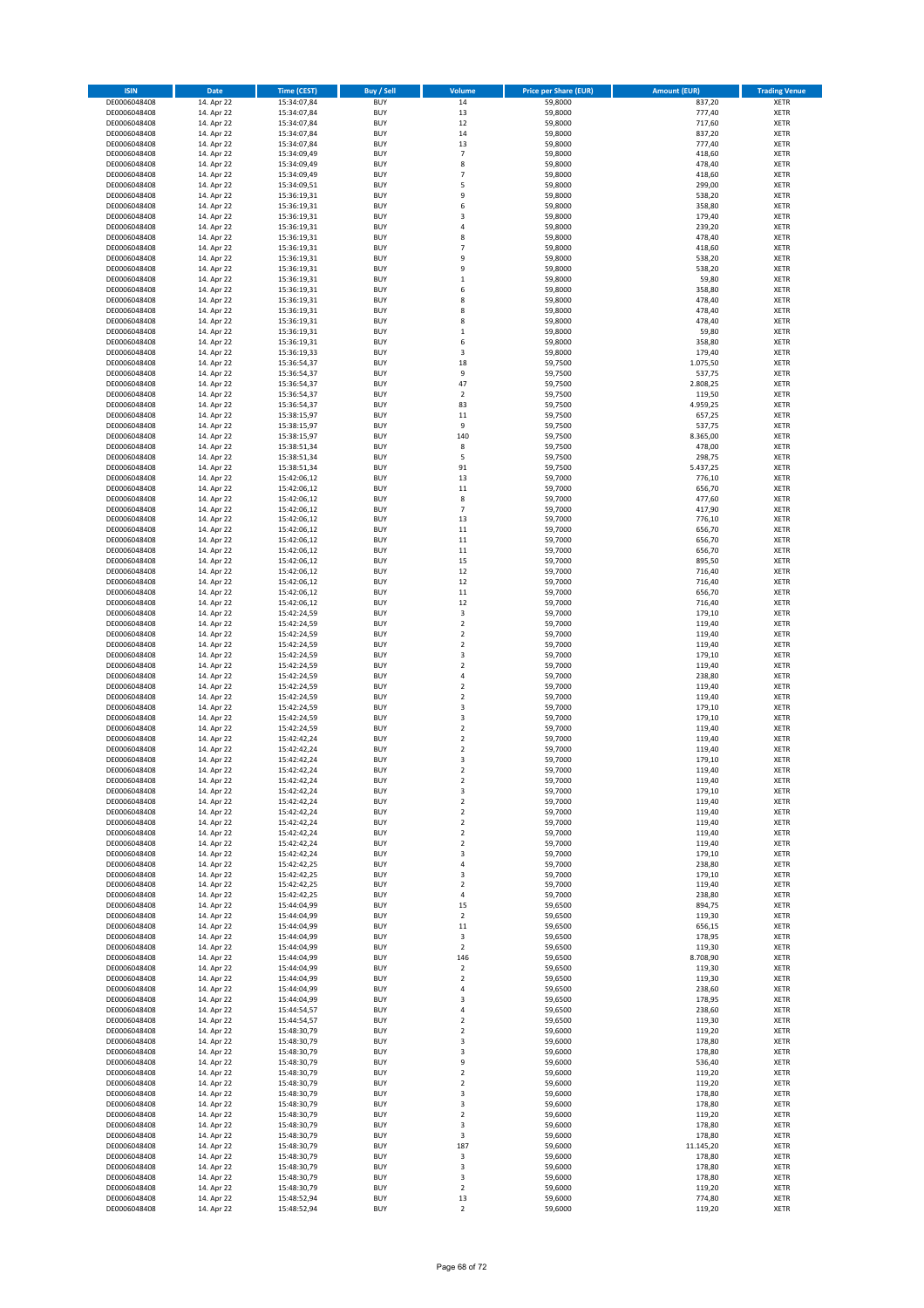| <b>ISIN</b>                  | Date                     | <b>Time (CEST)</b>         | <b>Buy / Sell</b>        | Volume                                 | <b>Price per Share (EUR)</b> | <b>Amount (EUR)</b> | <b>Trading Venue</b>       |
|------------------------------|--------------------------|----------------------------|--------------------------|----------------------------------------|------------------------------|---------------------|----------------------------|
| DE0006048408                 | 14. Apr 22               | 15:34:07,84                | <b>BUY</b>               | 14                                     | 59,8000                      | 837,20              | <b>XETR</b>                |
| DE0006048408                 | 14. Apr 22               | 15:34:07,84                | <b>BUY</b>               | 13                                     | 59,8000                      | 777,40              | <b>XETR</b>                |
| DE0006048408<br>DE0006048408 | 14. Apr 22<br>14. Apr 22 | 15:34:07,84<br>15:34:07,84 | <b>BUY</b><br><b>BUY</b> | 12<br>14                               | 59,8000<br>59,8000           | 717,60<br>837,20    | <b>XETR</b><br><b>XETR</b> |
| DE0006048408                 | 14. Apr 22               | 15:34:07,84                | <b>BUY</b>               | 13                                     | 59,8000                      | 777,40              | <b>XETR</b>                |
| DE0006048408                 | 14. Apr 22               | 15:34:09,49                | <b>BUY</b>               | $\overline{7}$                         | 59,8000                      | 418,60              | <b>XETR</b>                |
| DE0006048408                 | 14. Apr 22               | 15:34:09,49                | <b>BUY</b>               | 8                                      | 59,8000                      | 478,40              | <b>XETR</b>                |
| DE0006048408                 | 14. Apr 22               | 15:34:09,49                | <b>BUY</b>               | $\overline{7}$                         | 59,8000                      | 418,60              | <b>XETR</b>                |
| DE0006048408<br>DE0006048408 | 14. Apr 22<br>14. Apr 22 | 15:34:09,51                | <b>BUY</b><br><b>BUY</b> | 5<br>9                                 | 59,8000<br>59,8000           | 299,00<br>538,20    | XETR<br><b>XETR</b>        |
| DE0006048408                 | 14. Apr 22               | 15:36:19,31<br>15:36:19,31 | <b>BUY</b>               | 6                                      | 59,8000                      | 358,80              | <b>XETR</b>                |
| DE0006048408                 | 14. Apr 22               | 15:36:19,31                | <b>BUY</b>               | 3                                      | 59,8000                      | 179,40              | <b>XETR</b>                |
| DE0006048408                 | 14. Apr 22               | 15:36:19,31                | <b>BUY</b>               | $\sqrt{4}$                             | 59,8000                      | 239,20              | XETR                       |
| DE0006048408                 | 14. Apr 22               | 15:36:19,31                | <b>BUY</b>               | 8                                      | 59,8000                      | 478,40              | <b>XETR</b>                |
| DE0006048408                 | 14. Apr 22               | 15:36:19,31                | <b>BUY</b>               | $\overline{7}$                         | 59,8000                      | 418,60              | XETR                       |
| DE0006048408<br>DE0006048408 | 14. Apr 22<br>14. Apr 22 | 15:36:19,31<br>15:36:19,31 | <b>BUY</b><br><b>BUY</b> | 9<br>9                                 | 59,8000<br>59,8000           | 538,20<br>538,20    | <b>XETR</b><br>XETR        |
| DE0006048408                 | 14. Apr 22               | 15:36:19,31                | <b>BUY</b>               | $\,1\,$                                | 59,8000                      | 59,80               | <b>XETR</b>                |
| DE0006048408                 | 14. Apr 22               | 15:36:19,31                | <b>BUY</b>               | 6                                      | 59,8000                      | 358,80              | XETR                       |
| DE0006048408                 | 14. Apr 22               | 15:36:19,31                | <b>BUY</b>               | 8                                      | 59,8000                      | 478,40              | <b>XETR</b>                |
| DE0006048408                 | 14. Apr 22               | 15:36:19,31                | <b>BUY</b>               | 8                                      | 59,8000                      | 478,40              | <b>XETR</b>                |
| DE0006048408<br>DE0006048408 | 14. Apr 22<br>14. Apr 22 | 15:36:19,31<br>15:36:19,31 | <b>BUY</b><br><b>BUY</b> | 8<br>$\,1\,$                           | 59,8000<br>59,8000           | 478,40<br>59,80     | <b>XETR</b><br><b>XETR</b> |
| DE0006048408                 | 14. Apr 22               | 15:36:19,31                | <b>BUY</b>               | 6                                      | 59,8000                      | 358,80              | <b>XETR</b>                |
| DE0006048408                 | 14. Apr 22               | 15:36:19,33                | <b>BUY</b>               | 3                                      | 59,8000                      | 179,40              | <b>XETR</b>                |
| DE0006048408                 | 14. Apr 22               | 15:36:54,37                | <b>BUY</b>               | 18                                     | 59,7500                      | 1.075,50            | <b>XETR</b>                |
| DE0006048408                 | 14. Apr 22               | 15:36:54,37                | <b>BUY</b>               | 9                                      | 59,7500                      | 537,75              | <b>XETR</b>                |
| DE0006048408<br>DE0006048408 | 14. Apr 22<br>14. Apr 22 | 15:36:54,37                | <b>BUY</b><br><b>BUY</b> | 47<br>$\overline{2}$                   | 59,7500<br>59,7500           | 2.808,25<br>119,50  | <b>XETR</b><br><b>XETR</b> |
| DE0006048408                 | 14. Apr 22               | 15:36:54,37<br>15:36:54,37 | <b>BUY</b>               | 83                                     | 59,7500                      | 4.959,25            | <b>XETR</b>                |
| DE0006048408                 | 14. Apr 22               | 15:38:15,97                | <b>BUY</b>               | 11                                     | 59,7500                      | 657,25              | <b>XETR</b>                |
| DE0006048408                 | 14. Apr 22               | 15:38:15,97                | <b>BUY</b>               | 9                                      | 59,7500                      | 537,75              | <b>XETR</b>                |
| DE0006048408                 | 14. Apr 22               | 15:38:15,97                | <b>BUY</b>               | 140                                    | 59,7500                      | 8.365,00            | <b>XETR</b>                |
| DE0006048408<br>DE0006048408 | 14. Apr 22<br>14. Apr 22 | 15:38:51,34<br>15:38:51,34 | <b>BUY</b><br><b>BUY</b> | 8<br>5                                 | 59,7500<br>59,7500           | 478,00<br>298,75    | XETR<br><b>XETR</b>        |
| DE0006048408                 | 14. Apr 22               | 15:38:51,34                | <b>BUY</b>               | 91                                     | 59,7500                      | 5.437,25            | XETR                       |
| DE0006048408                 | 14. Apr 22               | 15:42:06,12                | <b>BUY</b>               | 13                                     | 59,7000                      | 776,10              | <b>XETR</b>                |
| DE0006048408                 | 14. Apr 22               | 15:42:06,12                | <b>BUY</b>               | $11\,$                                 | 59,7000                      | 656,70              | XETR                       |
| DE0006048408                 | 14. Apr 22               | 15:42:06,12                | <b>BUY</b>               | 8                                      | 59,7000                      | 477,60              | <b>XETR</b>                |
| DE0006048408                 | 14. Apr 22               | 15:42:06,12                | <b>BUY</b>               | $\overline{7}$                         | 59,7000                      | 417,90              | <b>XETR</b>                |
| DE0006048408<br>DE0006048408 | 14. Apr 22<br>14. Apr 22 | 15:42:06,12<br>15:42:06,12 | <b>BUY</b><br><b>BUY</b> | 13<br>11                               | 59,7000<br>59,7000           | 776,10<br>656,70    | <b>XETR</b><br><b>XETR</b> |
| DE0006048408                 | 14. Apr 22               | 15:42:06,12                | <b>BUY</b>               | 11                                     | 59,7000                      | 656,70              | <b>XETR</b>                |
| DE0006048408                 | 14. Apr 22               | 15:42:06,12                | <b>BUY</b>               | 11                                     | 59,7000                      | 656,70              | <b>XETR</b>                |
| DE0006048408                 | 14. Apr 22               | 15:42:06,12                | <b>BUY</b>               | 15                                     | 59,7000                      | 895,50              | <b>XETR</b>                |
| DE0006048408                 | 14. Apr 22               | 15:42:06,12                | <b>BUY</b>               | 12                                     | 59,7000                      | 716,40              | <b>XETR</b>                |
| DE0006048408<br>DE0006048408 | 14. Apr 22<br>14. Apr 22 | 15:42:06,12<br>15:42:06,12 | <b>BUY</b><br><b>BUY</b> | 12<br>11                               | 59,7000<br>59,7000           | 716,40              | <b>XETR</b><br><b>XETR</b> |
| DE0006048408                 | 14. Apr 22               | 15:42:06,12                | <b>BUY</b>               | 12                                     | 59,7000                      | 656,70<br>716,40    | <b>XETR</b>                |
| DE0006048408                 | 14. Apr 22               | 15:42:24,59                | <b>BUY</b>               | 3                                      | 59,7000                      | 179,10              | <b>XETR</b>                |
| DE0006048408                 | 14. Apr 22               | 15:42:24,59                | <b>BUY</b>               | $\boldsymbol{2}$                       | 59,7000                      | 119,40              | <b>XETR</b>                |
| DE0006048408                 | 14. Apr 22               | 15:42:24,59                | <b>BUY</b>               | $\overline{2}$                         | 59,7000                      | 119,40              | <b>XETR</b>                |
| DE0006048408                 | 14. Apr 22               | 15:42:24,59                | <b>BUY</b>               | $\mathbf 2$                            | 59,7000                      | 119,40              | <b>XETR</b>                |
| DE0006048408<br>DE0006048408 | 14. Apr 22<br>14. Apr 22 | 15:42:24,59<br>15:42:24,59 | <b>BUY</b><br><b>BUY</b> | 3<br>$\mathbf 2$                       | 59,7000<br>59,7000           | 179,10<br>119,40    | <b>XETR</b><br><b>XETR</b> |
| DE0006048408                 | 14. Apr 22               | 15:42:24,59                | <b>BUY</b>               | $\overline{4}$                         | 59,7000                      | 238,80              | <b>XETR</b>                |
| DE0006048408                 | 14. Apr 22               | 15:42:24,59                | <b>BUY</b>               | $\mathbf 2$                            | 59,7000                      | 119,40              | <b>XETR</b>                |
| DE0006048408                 | 14. Apr 22               | 15:42:24,59                | <b>BUY</b>               | $\overline{2}$                         | 59,7000                      | 119,40              | <b>XETR</b>                |
| DE0006048408                 | 14. Apr 22               | 15:42:24,59                | <b>BUY</b>               | 3                                      | 59,7000                      | 179,10              | <b>XETR</b>                |
| DE0006048408<br>DE0006048408 | 14. Apr 22<br>14. Apr 22 | 15:42:24,59<br>15:42:24,59 | <b>BUY</b><br><b>BUY</b> | 3<br>$\mathbf 2$                       | 59,7000<br>59,7000           | 179,10<br>119,40    | <b>XETR</b><br>XETR        |
| DE0006048408                 | 14. Apr 22               | 15:42:42,24                | <b>BUY</b>               | $\overline{2}$                         | 59,7000                      | 119,40              | <b>XETR</b>                |
| DE0006048408                 | 14. Apr 22               | 15:42:42,24                | <b>BUY</b>               | $\sqrt{2}$                             | 59,7000                      | 119,40              | XETR                       |
| DE0006048408                 | 14. Apr 22               | 15:42:42,24                | <b>BUY</b>               | 3                                      | 59,7000                      | 179,10              | <b>XETR</b>                |
| DE0006048408                 | 14. Apr 22               | 15:42:42,24                | <b>BUY</b>               | $\overline{2}$                         | 59,7000                      | 119,40              | <b>XETR</b>                |
| DE0006048408<br>DE0006048408 | 14. Apr 22<br>14. Apr 22 | 15:42:42,24<br>15:42:42,24 | <b>BUY</b><br><b>BUY</b> | $\overline{\mathbf{c}}$<br>3           | 59,7000<br>59,7000           | 119,40<br>179,10    | XETR<br>XETR               |
| DE0006048408                 | 14. Apr 22               | 15:42:42,24                | <b>BUY</b>               | $\boldsymbol{2}$                       | 59,7000                      | 119,40              | XETR                       |
| DE0006048408                 | 14. Apr 22               | 15:42:42,24                | <b>BUY</b>               | $\boldsymbol{2}$                       | 59,7000                      | 119,40              | <b>XETR</b>                |
| DE0006048408                 | 14. Apr 22               | 15:42:42,24                | <b>BUY</b>               | $\overline{2}$                         | 59,7000                      | 119,40              | <b>XETR</b>                |
| DE0006048408                 | 14. Apr 22               | 15:42:42,24                | <b>BUY</b>               | $\overline{\mathbf{c}}$                | 59,7000                      | 119,40              | XETR                       |
| DE0006048408<br>DE0006048408 | 14. Apr 22<br>14. Apr 22 | 15:42:42,24<br>15:42:42,24 | <b>BUY</b><br><b>BUY</b> | $\boldsymbol{2}$<br>3                  | 59,7000<br>59,7000           | 119,40<br>179,10    | <b>XETR</b><br>XETR        |
| DE0006048408                 | 14. Apr 22               | 15:42:42,25                | <b>BUY</b>               | 4                                      | 59,7000                      | 238,80              | <b>XETR</b>                |
| DE0006048408                 | 14. Apr 22               | 15:42:42,25                | <b>BUY</b>               | 3                                      | 59,7000                      | 179,10              | XETR                       |
| DE0006048408                 | 14. Apr 22               | 15:42:42,25                | <b>BUY</b>               | $\overline{2}$                         | 59,7000                      | 119,40              | <b>XETR</b>                |
| DE0006048408                 | 14. Apr 22               | 15:42:42,25                | <b>BUY</b>               | $\sqrt{4}$                             | 59,7000                      | 238,80              | <b>XETR</b>                |
| DE0006048408<br>DE0006048408 | 14. Apr 22<br>14. Apr 22 | 15:44:04,99<br>15:44:04,99 | <b>BUY</b><br><b>BUY</b> | 15<br>$\mathbf 2$                      | 59,6500<br>59,6500           | 894,75<br>119,30    | <b>XETR</b><br>XETR        |
| DE0006048408                 | 14. Apr 22               | 15:44:04,99                | <b>BUY</b>               | 11                                     | 59,6500                      | 656,15              | <b>XETR</b>                |
| DE0006048408                 | 14. Apr 22               | 15:44:04,99                | <b>BUY</b>               | 3                                      | 59,6500                      | 178,95              | <b>XETR</b>                |
| DE0006048408                 | 14. Apr 22               | 15:44:04,99                | <b>BUY</b>               | $\overline{2}$                         | 59,6500                      | 119,30              | <b>XETR</b>                |
| DE0006048408                 | 14. Apr 22               | 15:44:04,99                | <b>BUY</b>               | 146                                    | 59,6500                      | 8.708,90            | <b>XETR</b>                |
| DE0006048408<br>DE0006048408 | 14. Apr 22<br>14. Apr 22 | 15:44:04,99<br>15:44:04,99 | <b>BUY</b><br><b>BUY</b> | $\overline{\mathbf{c}}$<br>$\mathbf 2$ | 59,6500<br>59,6500           | 119,30<br>119,30    | <b>XETR</b><br><b>XETR</b> |
| DE0006048408                 | 14. Apr 22               | 15:44:04,99                | <b>BUY</b>               | 4                                      | 59,6500                      | 238,60              | <b>XETR</b>                |
| DE0006048408                 | 14. Apr 22               | 15:44:04,99                | <b>BUY</b>               | 3                                      | 59,6500                      | 178,95              | <b>XETR</b>                |
| DE0006048408                 | 14. Apr 22               | 15:44:54,57                | <b>BUY</b>               | 4                                      | 59,6500                      | 238,60              | XETR                       |
| DE0006048408                 | 14. Apr 22               | 15:44:54,57                | <b>BUY</b>               | $\overline{2}$                         | 59,6500                      | 119,30              | XETR                       |
| DE0006048408<br>DE0006048408 | 14. Apr 22<br>14. Apr 22 | 15:48:30,79<br>15:48:30,79 | <b>BUY</b><br><b>BUY</b> | $\sqrt{2}$<br>3                        | 59,6000<br>59,6000           | 119,20<br>178,80    | XETR<br><b>XETR</b>        |
| DE0006048408                 | 14. Apr 22               | 15:48:30,79                | <b>BUY</b>               | 3                                      | 59,6000                      | 178,80              | XETR                       |
| DE0006048408                 | 14. Apr 22               | 15:48:30,79                | <b>BUY</b>               | 9                                      | 59,6000                      | 536,40              | XETR                       |
| DE0006048408                 | 14. Apr 22               | 15:48:30,79                | <b>BUY</b>               | $\sqrt{2}$                             | 59,6000                      | 119,20              | XETR                       |
| DE0006048408                 | 14. Apr 22               | 15:48:30,79                | <b>BUY</b>               | $\boldsymbol{2}$                       | 59,6000                      | 119,20              | XETR                       |
| DE0006048408<br>DE0006048408 | 14. Apr 22<br>14. Apr 22 | 15:48:30,79<br>15:48:30,79 | <b>BUY</b><br><b>BUY</b> | 3<br>3                                 | 59,6000<br>59,6000           | 178,80<br>178,80    | XETR<br>XETR               |
| DE0006048408                 | 14. Apr 22               | 15:48:30,79                | <b>BUY</b>               | $\sqrt{2}$                             | 59,6000                      | 119,20              | XETR                       |
| DE0006048408                 | 14. Apr 22               | 15:48:30,79                | <b>BUY</b>               | 3                                      | 59,6000                      | 178,80              | <b>XETR</b>                |
| DE0006048408                 | 14. Apr 22               | 15:48:30,79                | <b>BUY</b>               | 3                                      | 59,6000                      | 178,80              | <b>XETR</b>                |
| DE0006048408                 | 14. Apr 22               | 15:48:30,79                | <b>BUY</b>               | 187                                    | 59,6000                      | 11.145,20           | <b>XETR</b>                |
| DE0006048408<br>DE0006048408 | 14. Apr 22<br>14. Apr 22 | 15:48:30,79<br>15:48:30,79 | <b>BUY</b><br><b>BUY</b> | 3<br>3                                 | 59,6000<br>59,6000           | 178,80<br>178,80    | <b>XETR</b><br><b>XETR</b> |
| DE0006048408                 | 14. Apr 22               | 15:48:30,79                | <b>BUY</b>               | 3                                      | 59,6000                      | 178,80              | <b>XETR</b>                |
| DE0006048408                 | 14. Apr 22               | 15:48:30,79                | <b>BUY</b>               | $\overline{2}$                         | 59,6000                      | 119,20              | <b>XETR</b>                |
| DE0006048408                 | 14. Apr 22               | 15:48:52,94                | <b>BUY</b>               | 13                                     | 59,6000                      | 774,80              | <b>XETR</b>                |
| DE0006048408                 | 14. Apr 22               | 15:48:52,94                | <b>BUY</b>               | $\boldsymbol{2}$                       | 59,6000                      | 119,20              | XETR                       |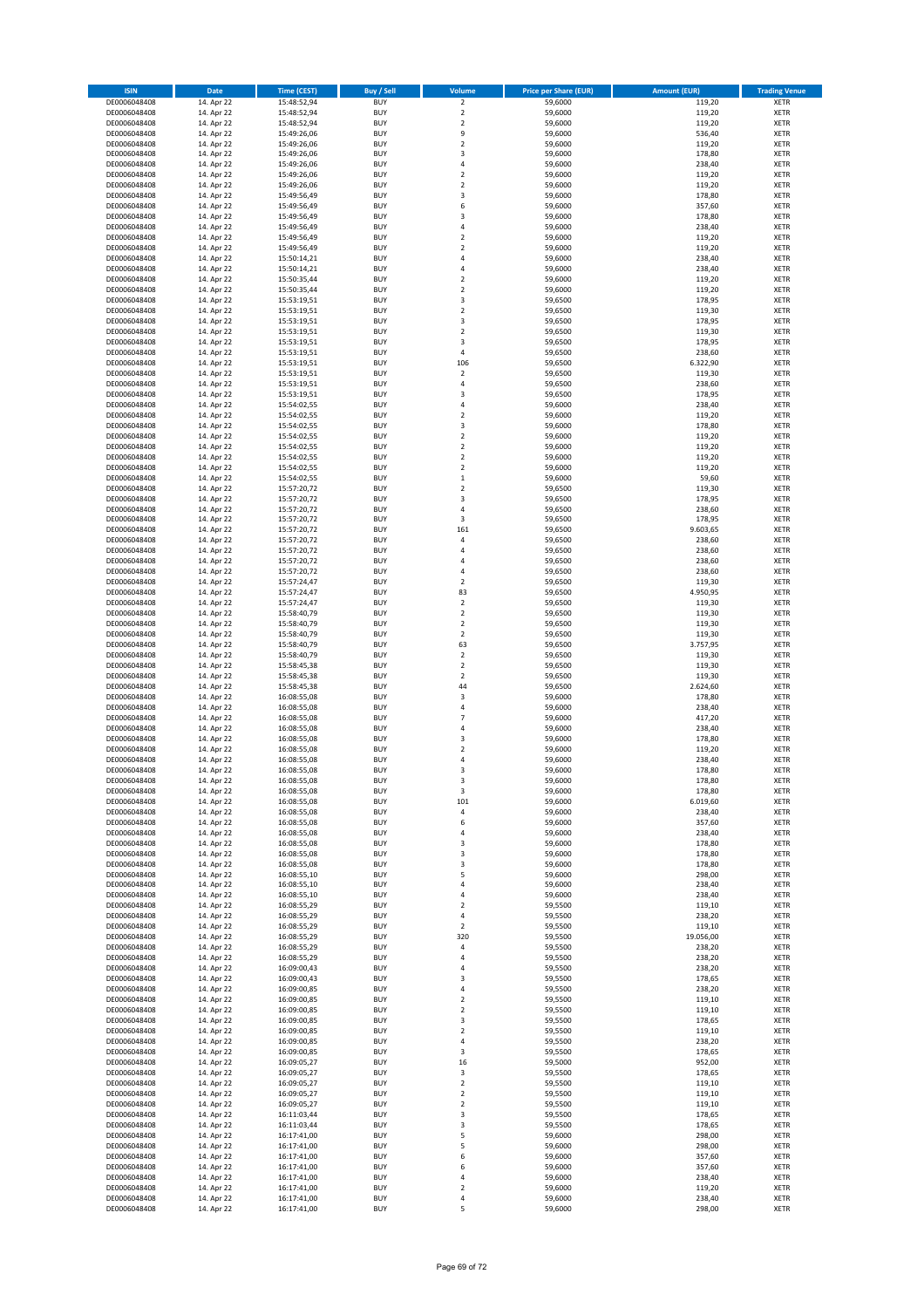| <b>ISIN</b>                  | Date                     | <b>Time (CEST)</b>         | <b>Buy / Sell</b>        | Volume                        | <b>Price per Share (EUR)</b> | <b>Amount (EUR)</b> | <b>Trading Venue</b>       |
|------------------------------|--------------------------|----------------------------|--------------------------|-------------------------------|------------------------------|---------------------|----------------------------|
| DE0006048408                 | 14. Apr 22               | 15:48:52,94                | <b>BUY</b>               | $\overline{2}$                | 59,6000                      | 119,20              | <b>XETR</b>                |
| DE0006048408                 | 14. Apr 22               | 15:48:52,94                | <b>BUY</b>               | $\mathbf 2$                   | 59,6000                      | 119,20              | <b>XETR</b>                |
| DE0006048408<br>DE0006048408 | 14. Apr 22<br>14. Apr 22 | 15:48:52,94<br>15:49:26,06 | <b>BUY</b><br><b>BUY</b> | $\mathbf 2$<br>9              | 59,6000<br>59,6000           | 119,20<br>536,40    | <b>XETR</b><br><b>XETR</b> |
| DE0006048408                 | 14. Apr 22               | 15:49:26,06                | <b>BUY</b>               | $\mathbf 2$                   | 59,6000                      | 119,20              | <b>XETR</b>                |
| DE0006048408                 | 14. Apr 22               | 15:49:26,06                | <b>BUY</b>               | 3                             | 59,6000                      | 178,80              | <b>XETR</b>                |
| DE0006048408                 | 14. Apr 22               | 15:49:26,06                | <b>BUY</b>               | $\overline{4}$                | 59,6000                      | 238,40              | <b>XETR</b>                |
| DE0006048408                 | 14. Apr 22               | 15:49:26,06                | <b>BUY</b>               | $\overline{2}$                | 59,6000                      | 119,20              | <b>XETR</b>                |
| DE0006048408<br>DE0006048408 | 14. Apr 22<br>14. Apr 22 | 15:49:26,06                | <b>BUY</b><br><b>BUY</b> | $\overline{2}$<br>3           | 59,6000<br>59,6000           | 119,20<br>178,80    | XETR<br><b>XETR</b>        |
| DE0006048408                 | 14. Apr 22               | 15:49:56,49<br>15:49:56,49 | <b>BUY</b>               | 6                             | 59,6000                      | 357,60              | XETR                       |
| DE0006048408                 | 14. Apr 22               | 15:49:56,49                | <b>BUY</b>               | 3                             | 59,6000                      | 178,80              | <b>XETR</b>                |
| DE0006048408                 | 14. Apr 22               | 15:49:56,49                | <b>BUY</b>               | 4                             | 59,6000                      | 238,40              | XETR                       |
| DE0006048408                 | 14. Apr 22               | 15:49:56,49                | <b>BUY</b>               | $\overline{2}$                | 59,6000                      | 119,20              | <b>XETR</b>                |
| DE0006048408                 | 14. Apr 22               | 15:49:56,49                | <b>BUY</b>               | $\sqrt{2}$                    | 59,6000                      | 119,20              | XETR                       |
| DE0006048408<br>DE0006048408 | 14. Apr 22<br>14. Apr 22 | 15:50:14,21<br>15:50:14,21 | <b>BUY</b><br><b>BUY</b> | $\overline{4}$<br>$\sqrt{4}$  | 59,6000<br>59,6000           | 238,40<br>238,40    | <b>XETR</b><br>XETR        |
| DE0006048408                 | 14. Apr 22               | 15:50:35,44                | <b>BUY</b>               | $\overline{2}$                | 59,6000                      | 119,20              | <b>XETR</b>                |
| DE0006048408                 | 14. Apr 22               | 15:50:35,44                | <b>BUY</b>               | $\overline{2}$                | 59,6000                      | 119,20              | XETR                       |
| DE0006048408                 | 14. Apr 22               | 15:53:19,51                | <b>BUY</b>               | 3                             | 59,6500                      | 178,95              | <b>XETR</b>                |
| DE0006048408                 | 14. Apr 22               | 15:53:19,51                | <b>BUY</b>               | $\overline{2}$                | 59,6500                      | 119,30              | <b>XETR</b>                |
| DE0006048408<br>DE0006048408 | 14. Apr 22<br>14. Apr 22 | 15:53:19,51<br>15:53:19,51 | <b>BUY</b><br><b>BUY</b> | 3<br>$\overline{2}$           | 59,6500<br>59,6500           | 178,95<br>119,30    | <b>XETR</b><br><b>XETR</b> |
| DE0006048408                 | 14. Apr 22               | 15:53:19,51                | <b>BUY</b>               | 3                             | 59,6500                      | 178,95              | <b>XETR</b>                |
| DE0006048408                 | 14. Apr 22               | 15:53:19,51                | <b>BUY</b>               | $\sqrt{4}$                    | 59,6500                      | 238,60              | <b>XETR</b>                |
| DE0006048408                 | 14. Apr 22               | 15:53:19,51                | <b>BUY</b>               | 106                           | 59,6500                      | 6.322,90            | <b>XETR</b>                |
| DE0006048408                 | 14. Apr 22               | 15:53:19,51                | <b>BUY</b>               | $\overline{2}$                | 59,6500                      | 119,30              | <b>XETR</b>                |
| DE0006048408<br>DE0006048408 | 14. Apr 22               | 15:53:19,51<br>15:53:19,51 | <b>BUY</b><br><b>BUY</b> | $\sqrt{4}$<br>3               | 59,6500<br>59,6500           | 238,60              | <b>XETR</b><br><b>XETR</b> |
| DE0006048408                 | 14. Apr 22<br>14. Apr 22 | 15:54:02,55                | <b>BUY</b>               | 4                             | 59,6000                      | 178,95<br>238,40    | <b>XETR</b>                |
| DE0006048408                 | 14. Apr 22               | 15:54:02,55                | <b>BUY</b>               | $\boldsymbol{2}$              | 59,6000                      | 119,20              | <b>XETR</b>                |
| DE0006048408                 | 14. Apr 22               | 15:54:02,55                | <b>BUY</b>               | 3                             | 59,6000                      | 178,80              | <b>XETR</b>                |
| DE0006048408                 | 14. Apr 22               | 15:54:02,55                | <b>BUY</b>               | $\overline{2}$                | 59,6000                      | 119,20              | <b>XETR</b>                |
| DE0006048408                 | 14. Apr 22               | 15:54:02,55                | <b>BUY</b>               | $\mathbf 2$                   | 59,6000                      | 119,20              | XETR                       |
| DE0006048408<br>DE0006048408 | 14. Apr 22<br>14. Apr 22 | 15:54:02,55<br>15:54:02,55 | <b>BUY</b><br><b>BUY</b> | $\overline{2}$<br>$\mathbf 2$ | 59,6000<br>59,6000           | 119,20<br>119,20    | <b>XETR</b><br>XETR        |
| DE0006048408                 | 14. Apr 22               | 15:54:02,55                | <b>BUY</b>               | $\,1\,$                       | 59,6000                      | 59,60               | <b>XETR</b>                |
| DE0006048408                 | 14. Apr 22               | 15:57:20,72                | <b>BUY</b>               | $\boldsymbol{2}$              | 59,6500                      | 119,30              | XETR                       |
| DE0006048408                 | 14. Apr 22               | 15:57:20,72                | <b>BUY</b>               | 3                             | 59,6500                      | 178,95              | <b>XETR</b>                |
| DE0006048408                 | 14. Apr 22               | 15:57:20,72                | <b>BUY</b>               | $\overline{4}$                | 59,6500                      | 238,60              | <b>XETR</b>                |
| DE0006048408                 | 14. Apr 22<br>14. Apr 22 | 15:57:20,72                | <b>BUY</b><br><b>BUY</b> | 3<br>161                      | 59,6500<br>59,6500           | 178,95<br>9.603,65  | <b>XETR</b><br>XETR        |
| DE0006048408<br>DE0006048408 | 14. Apr 22               | 15:57:20,72<br>15:57:20,72 | <b>BUY</b>               | $\sqrt{4}$                    | 59,6500                      | 238,60              | <b>XETR</b>                |
| DE0006048408                 | 14. Apr 22               | 15:57:20,72                | <b>BUY</b>               | $\sqrt{4}$                    | 59,6500                      | 238,60              | <b>XETR</b>                |
| DE0006048408                 | 14. Apr 22               | 15:57:20,72                | <b>BUY</b>               | $\sqrt{4}$                    | 59,6500                      | 238,60              | <b>XETR</b>                |
| DE0006048408                 | 14. Apr 22               | 15:57:20,72                | <b>BUY</b>               | $\sqrt{4}$                    | 59,6500                      | 238,60              | XETR                       |
| DE0006048408                 | 14. Apr 22               | 15:57:24,47                | <b>BUY</b>               | $\overline{\mathbf{c}}$       | 59,6500                      | 119,30              | <b>XETR</b>                |
| DE0006048408<br>DE0006048408 | 14. Apr 22<br>14. Apr 22 | 15:57:24,47<br>15:57:24,47 | <b>BUY</b><br><b>BUY</b> | 83<br>$\mathbf 2$             | 59,6500<br>59,6500           | 4.950,95<br>119,30  | <b>XETR</b><br><b>XETR</b> |
| DE0006048408                 | 14. Apr 22               | 15:58:40,79                | <b>BUY</b>               | $\mathbf 2$                   | 59,6500                      | 119,30              | <b>XETR</b>                |
| DE0006048408                 | 14. Apr 22               | 15:58:40,79                | <b>BUY</b>               | $\mathbf 2$                   | 59,6500                      | 119,30              | <b>XETR</b>                |
| DE0006048408                 | 14. Apr 22               | 15:58:40,79                | <b>BUY</b>               | $\mathbf 2$                   | 59,6500                      | 119,30              | <b>XETR</b>                |
| DE0006048408                 | 14. Apr 22               | 15:58:40,79                | <b>BUY</b>               | 63                            | 59,6500                      | 3.757,95            | <b>XETR</b>                |
| DE0006048408<br>DE0006048408 | 14. Apr 22<br>14. Apr 22 | 15:58:40,79<br>15:58:45,38 | <b>BUY</b><br><b>BUY</b> | $\mathbf 2$<br>$\mathbf 2$    | 59,6500<br>59,6500           | 119,30<br>119,30    | <b>XETR</b><br><b>XETR</b> |
| DE0006048408                 | 14. Apr 22               | 15:58:45,38                | <b>BUY</b>               | $\overline{2}$                | 59,6500                      | 119,30              | <b>XETR</b>                |
| DE0006048408                 | 14. Apr 22               | 15:58:45,38                | <b>BUY</b>               | 44                            | 59,6500                      | 2.624,60            | <b>XETR</b>                |
| DE0006048408                 | 14. Apr 22               | 16:08:55,08                | <b>BUY</b>               | 3                             | 59,6000                      | 178,80              | <b>XETR</b>                |
| DE0006048408                 | 14. Apr 22               | 16:08:55,08                | <b>BUY</b>               | 4                             | 59,6000                      | 238,40              | <b>XETR</b>                |
| DE0006048408                 | 14. Apr 22               | 16:08:55,08                | <b>BUY</b>               | $\overline{7}$                | 59,6000                      | 417,20              | <b>XETR</b>                |
| DE0006048408<br>DE0006048408 | 14. Apr 22<br>14. Apr 22 | 16:08:55,08<br>16:08:55,08 | <b>BUY</b><br><b>BUY</b> | $\sqrt{4}$<br>3               | 59,6000<br>59,6000           | 238,40<br>178,80    | XETR<br><b>XETR</b>        |
| DE0006048408                 | 14. Apr 22               | 16:08:55,08                | <b>BUY</b>               | $\sqrt{2}$                    | 59,6000                      | 119,20              | XETR                       |
| DE0006048408                 | 14. Apr 22               | 16:08:55,08                | <b>BUY</b>               | 4                             | 59,6000                      | 238,40              | <b>XETR</b>                |
| DE0006048408                 | 14. Apr 22               | 16:08:55,08                | <b>BUY</b>               | 3                             | 59,6000                      | 178,80              | <b>XETR</b>                |
| DE0006048408                 | 14. Apr 22               | 16:08:55,08                | <b>BUY</b>               | 3                             | 59,6000                      | 178,80              | <b>XETR</b>                |
| DE0006048408<br>DE0006048408 | 14. Apr 22<br>14. Apr 22 | 16:08:55,08<br>16:08:55,08 | <b>BUY</b><br><b>BUY</b> | 3<br>101                      | 59,6000<br>59,6000           | 178,80<br>6.019,60  | XETR<br>XETR               |
| DE0006048408                 | 14. Apr 22               | 16:08:55,08                | <b>BUY</b>               | 4                             | 59,6000                      | 238,40              | <b>XETR</b>                |
| DE0006048408                 | 14. Apr 22               | 16:08:55,08                | <b>BUY</b>               | 6                             | 59,6000                      | 357,60              | <b>XETR</b>                |
| DE0006048408                 | 14. Apr 22               | 16:08:55,08                | <b>BUY</b>               | 4                             | 59,6000                      | 238,40              | XETR                       |
| DE0006048408                 | 14. Apr 22               | 16:08:55,08                | <b>BUY</b>               | 3                             | 59,6000                      | 178,80              | <b>XETR</b>                |
| DE0006048408<br>DE0006048408 | 14. Apr 22<br>14. Apr 22 | 16:08:55,08<br>16:08:55,08 | <b>BUY</b><br><b>BUY</b> | 3<br>3                        | 59,6000<br>59,6000           | 178,80<br>178,80    | <b>XETR</b><br><b>XETR</b> |
| DE0006048408                 | 14. Apr 22               | 16:08:55,10                | <b>BUY</b>               | 5                             | 59,6000                      | 298,00              | <b>XETR</b>                |
| DE0006048408                 | 14. Apr 22               | 16:08:55,10                | <b>BUY</b>               | 4                             | 59,6000                      | 238,40              | <b>XETR</b>                |
| DE0006048408                 | 14. Apr 22               | 16:08:55,10                | <b>BUY</b>               | $\sqrt{4}$                    | 59,6000                      | 238,40              | <b>XETR</b>                |
| DE0006048408                 | 14. Apr 22               | 16:08:55,29                | <b>BUY</b>               | $\overline{2}$                | 59,5500                      | 119,10              | <b>XETR</b>                |
| DE0006048408<br>DE0006048408 | 14. Apr 22<br>14. Apr 22 | 16:08:55,29<br>16:08:55,29 | <b>BUY</b><br><b>BUY</b> | $\pmb{4}$<br>$\mathbf 2$      | 59,5500<br>59,5500           | 238,20<br>119,10    | XETR<br><b>XETR</b>        |
| DE0006048408                 | 14. Apr 22               | 16:08:55,29                | <b>BUY</b>               | 320                           | 59,5500                      | 19.056,00           | <b>XETR</b>                |
| DE0006048408                 | 14. Apr 22               | 16:08:55,29                | <b>BUY</b>               | 4                             | 59,5500                      | 238,20              | <b>XETR</b>                |
| DE0006048408                 | 14. Apr 22               | 16:08:55,29                | <b>BUY</b>               | 4                             | 59,5500                      | 238,20              | <b>XETR</b>                |
| DE0006048408                 | 14. Apr 22               | 16:09:00,43                | <b>BUY</b>               | $\overline{4}$                | 59,5500                      | 238,20              | <b>XETR</b>                |
| DE0006048408                 | 14. Apr 22               | 16:09:00,43                | <b>BUY</b><br><b>BUY</b> | 3                             | 59,5500<br>59,5500           | 178,65              | <b>XETR</b>                |
| DE0006048408<br>DE0006048408 | 14. Apr 22<br>14. Apr 22 | 16:09:00,85<br>16:09:00,85 | <b>BUY</b>               | 4<br>$\mathbf 2$              | 59,5500                      | 238,20<br>119,10    | <b>XETR</b><br><b>XETR</b> |
| DE0006048408                 | 14. Apr 22               | 16:09:00,85                | <b>BUY</b>               | $\overline{\mathbf{c}}$       | 59,5500                      | 119,10              | XETR                       |
| DE0006048408                 | 14. Apr 22               | 16:09:00,85                | <b>BUY</b>               | 3                             | 59,5500                      | 178,65              | XETR                       |
| DE0006048408                 | 14. Apr 22               | 16:09:00,85                | <b>BUY</b>               | $\boldsymbol{2}$              | 59,5500                      | 119,10              | XETR                       |
| DE0006048408                 | 14. Apr 22               | 16:09:00,85                | <b>BUY</b>               | $\sqrt{4}$                    | 59,5500                      | 238,20              | <b>XETR</b>                |
| DE0006048408<br>DE0006048408 | 14. Apr 22<br>14. Apr 22 | 16:09:00,85<br>16:09:05,27 | <b>BUY</b><br><b>BUY</b> | 3<br>16                       | 59,5500<br>59,5000           | 178,65<br>952,00    | XETR<br>XETR               |
| DE0006048408                 | 14. Apr 22               | 16:09:05,27                | <b>BUY</b>               | 3                             | 59,5500                      | 178,65              | XETR                       |
| DE0006048408                 | 14. Apr 22               | 16:09:05,27                | <b>BUY</b>               | $\boldsymbol{2}$              | 59,5500                      | 119,10              | <b>XETR</b>                |
| DE0006048408                 | 14. Apr 22               | 16:09:05,27                | <b>BUY</b>               | $\overline{\mathbf{c}}$       | 59,5500                      | 119,10              | XETR                       |
| DE0006048408                 | 14. Apr 22               | 16:09:05,27                | <b>BUY</b>               | $\boldsymbol{2}$              | 59,5500                      | 119,10              | XETR                       |
| DE0006048408<br>DE0006048408 | 14. Apr 22               | 16:11:03,44                | <b>BUY</b><br><b>BUY</b> | 3<br>3                        | 59,5500                      | 178,65              | <b>XETR</b>                |
| DE0006048408                 | 14. Apr 22<br>14. Apr 22 | 16:11:03,44<br>16:17:41,00 | <b>BUY</b>               | 5                             | 59,5500<br>59,6000           | 178,65<br>298,00    | <b>XETR</b><br><b>XETR</b> |
| DE0006048408                 | 14. Apr 22               | 16:17:41,00                | <b>BUY</b>               | 5                             | 59,6000                      | 298,00              | <b>XETR</b>                |
| DE0006048408                 | 14. Apr 22               | 16:17:41,00                | <b>BUY</b>               | 6                             | 59,6000                      | 357,60              | <b>XETR</b>                |
| DE0006048408                 | 14. Apr 22               | 16:17:41,00                | <b>BUY</b>               | 6                             | 59,6000                      | 357,60              | <b>XETR</b>                |
| DE0006048408                 | 14. Apr 22               | 16:17:41,00                | <b>BUY</b>               | $\pmb{4}$<br>$\boldsymbol{2}$ | 59,6000<br>59,6000           | 238,40<br>119,20    | <b>XETR</b>                |
| DE0006048408<br>DE0006048408 | 14. Apr 22<br>14. Apr 22 | 16:17:41,00<br>16:17:41,00 | <b>BUY</b><br><b>BUY</b> | $\pmb{4}$                     | 59,6000                      | 238,40              | <b>XETR</b><br><b>XETR</b> |
| DE0006048408                 | 14. Apr 22               | 16:17:41,00                | <b>BUY</b>               | 5                             | 59,6000                      | 298,00              | <b>XETR</b>                |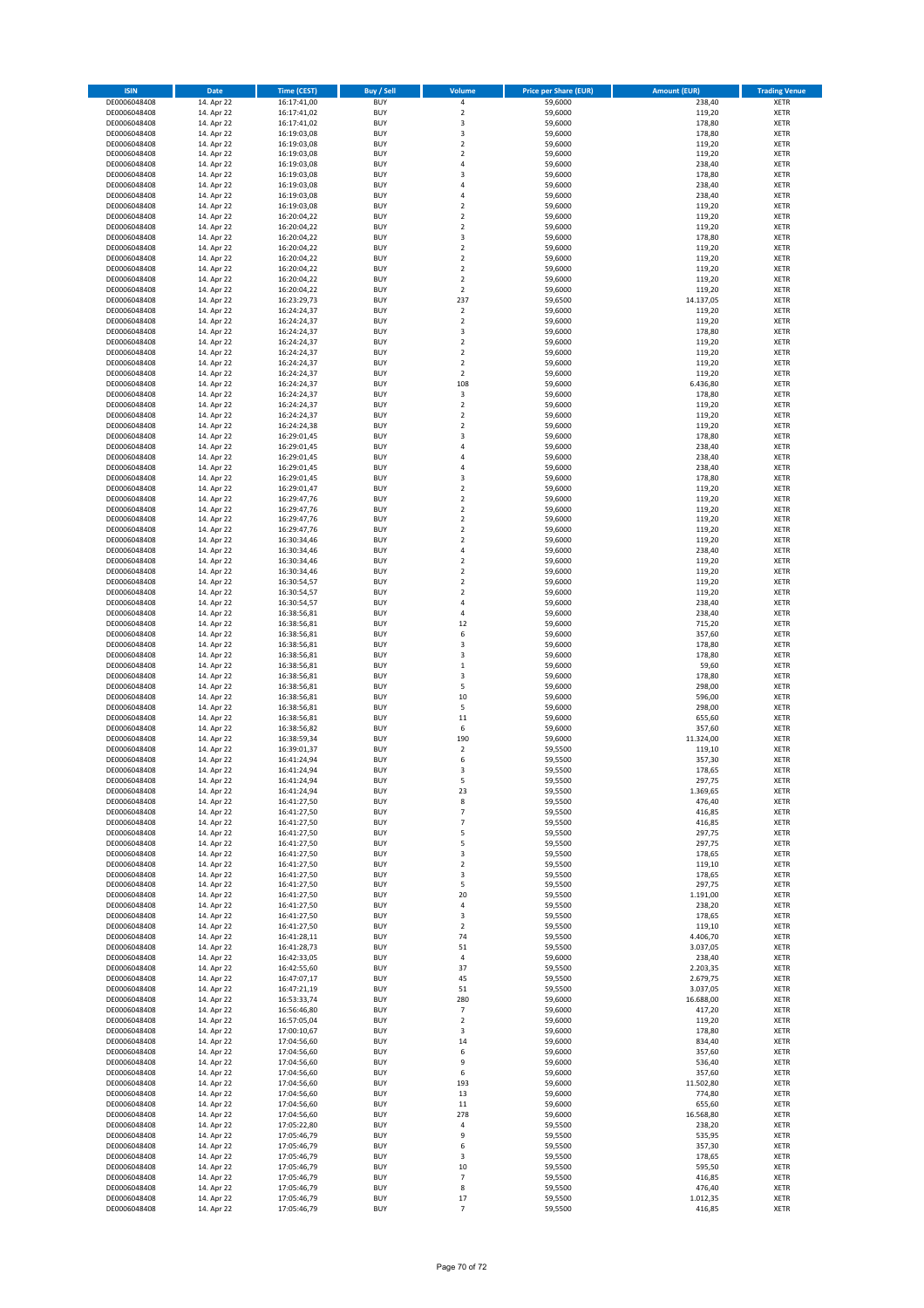| <b>ISIN</b>                  | Date                     | <b>Time (CEST)</b>         | <b>Buy / Sell</b>        | Volume                             | <b>Price per Share (EUR)</b> | <b>Amount (EUR)</b> | <b>Trading Venue</b>       |
|------------------------------|--------------------------|----------------------------|--------------------------|------------------------------------|------------------------------|---------------------|----------------------------|
| DE0006048408                 | 14. Apr 22               | 16:17:41,00                | <b>BUY</b>               | $\pmb{4}$                          | 59,6000                      | 238,40              | <b>XETR</b>                |
| DE0006048408                 | 14. Apr 22               | 16:17:41,02                | <b>BUY</b>               | $\mathbf 2$                        | 59,6000                      | 119,20              | <b>XETR</b>                |
| DE0006048408                 | 14. Apr 22               | 16:17:41,02                | <b>BUY</b>               | 3                                  | 59,6000                      | 178,80              | <b>XETR</b>                |
| DE0006048408<br>DE0006048408 | 14. Apr 22<br>14. Apr 22 | 16:19:03,08<br>16:19:03,08 | <b>BUY</b><br><b>BUY</b> | 3<br>$\overline{2}$                | 59,6000<br>59,6000           | 178,80<br>119,20    | <b>XETR</b><br><b>XETR</b> |
| DE0006048408                 | 14. Apr 22               | 16:19:03,08                | <b>BUY</b>               | $\mathbf 2$                        | 59,6000                      | 119,20              | <b>XETR</b>                |
| DE0006048408                 | 14. Apr 22               | 16:19:03,08                | <b>BUY</b>               | $\overline{4}$                     | 59,6000                      | 238,40              | <b>XETR</b>                |
| DE0006048408                 | 14. Apr 22               | 16:19:03,08                | <b>BUY</b>               | $\mathsf 3$                        | 59,6000                      | 178,80              | <b>XETR</b>                |
| DE0006048408                 | 14. Apr 22               | 16:19:03,08                | <b>BUY</b>               | $\overline{a}$<br>$\overline{a}$   | 59,6000                      | 238,40              | <b>XETR</b>                |
| DE0006048408<br>DE0006048408 | 14. Apr 22<br>14. Apr 22 | 16:19:03,08<br>16:19:03,08 | <b>BUY</b><br><b>BUY</b> | $\overline{2}$                     | 59,6000<br>59,6000           | 238,40<br>119,20    | <b>XETR</b><br><b>XETR</b> |
| DE0006048408                 | 14. Apr 22               | 16:20:04,22                | <b>BUY</b>               | $\mathbf 2$                        | 59,6000                      | 119,20              | <b>XETR</b>                |
| DE0006048408                 | 14. Apr 22               | 16:20:04,22                | <b>BUY</b>               | $\overline{2}$                     | 59,6000                      | 119,20              | <b>XETR</b>                |
| DE0006048408                 | 14. Apr 22               | 16:20:04,22                | <b>BUY</b>               | 3                                  | 59,6000                      | 178,80              | <b>XETR</b>                |
| DE0006048408                 | 14. Apr 22               | 16:20:04,22                | <b>BUY</b>               | $\overline{2}$                     | 59,6000                      | 119,20              | <b>XETR</b>                |
| DE0006048408<br>DE0006048408 | 14. Apr 22<br>14. Apr 22 | 16:20:04,22                | <b>BUY</b><br><b>BUY</b> | $\boldsymbol{2}$<br>$\overline{2}$ | 59,6000<br>59,6000           | 119,20<br>119,20    | <b>XETR</b><br><b>XETR</b> |
| DE0006048408                 | 14. Apr 22               | 16:20:04,22<br>16:20:04,22 | <b>BUY</b>               | $\overline{2}$                     | 59,6000                      | 119,20              | <b>XETR</b>                |
| DE0006048408                 | 14. Apr 22               | 16:20:04,22                | <b>BUY</b>               | $\overline{2}$                     | 59,6000                      | 119,20              | <b>XETR</b>                |
| DE0006048408                 | 14. Apr 22               | 16:23:29,73                | <b>BUY</b>               | 237                                | 59,6500                      | 14.137,05           | <b>XETR</b>                |
| DE0006048408                 | 14. Apr 22               | 16:24:24,37                | <b>BUY</b>               | $\overline{2}$                     | 59,6000                      | 119,20              | <b>XETR</b>                |
| DE0006048408<br>DE0006048408 | 14. Apr 22               | 16:24:24,37                | <b>BUY</b><br><b>BUY</b> | $\mathbf 2$<br>3                   | 59,6000                      | 119,20<br>178,80    | <b>XETR</b><br><b>XETR</b> |
| DE0006048408                 | 14. Apr 22<br>14. Apr 22 | 16:24:24,37<br>16:24:24,37 | <b>BUY</b>               | $\overline{2}$                     | 59,6000<br>59,6000           | 119,20              | <b>XETR</b>                |
| DE0006048408                 | 14. Apr 22               | 16:24:24,37                | <b>BUY</b>               | $\overline{\mathbf{c}}$            | 59,6000                      | 119,20              | <b>XETR</b>                |
| DE0006048408                 | 14. Apr 22               | 16:24:24,37                | <b>BUY</b>               | $\overline{2}$                     | 59,6000                      | 119,20              | <b>XETR</b>                |
| DE0006048408                 | 14. Apr 22               | 16:24:24,37                | <b>BUY</b>               | $\mathbf 2$                        | 59,6000                      | 119,20              | <b>XETR</b>                |
| DE0006048408                 | 14. Apr 22               | 16:24:24,37                | <b>BUY</b>               | 108                                | 59,6000                      | 6.436,80            | <b>XETR</b>                |
| DE0006048408<br>DE0006048408 | 14. Apr 22<br>14. Apr 22 | 16:24:24,37<br>16:24:24,37 | <b>BUY</b><br><b>BUY</b> | 3<br>$\mathbf 2$                   | 59,6000<br>59,6000           | 178,80<br>119,20    | <b>XETR</b><br><b>XETR</b> |
| DE0006048408                 | 14. Apr 22               | 16:24:24,37                | <b>BUY</b>               | $\mathbf 2$                        | 59,6000                      | 119,20              | <b>XETR</b>                |
| DE0006048408                 | 14. Apr 22               | 16:24:24,38                | <b>BUY</b>               | $\overline{2}$                     | 59,6000                      | 119,20              | <b>XETR</b>                |
| DE0006048408                 | 14. Apr 22               | 16:29:01,45                | <b>BUY</b>               | 3                                  | 59,6000                      | 178,80              | <b>XETR</b>                |
| DE0006048408                 | 14. Apr 22               | 16:29:01,45                | <b>BUY</b>               | $\overline{a}$                     | 59,6000                      | 238,40              | <b>XETR</b>                |
| DE0006048408<br>DE0006048408 | 14. Apr 22<br>14. Apr 22 | 16:29:01,45<br>16:29:01,45 | <b>BUY</b><br><b>BUY</b> | $\overline{4}$<br>$\overline{4}$   | 59,6000<br>59,6000           | 238,40<br>238,40    | <b>XETR</b><br><b>XETR</b> |
| DE0006048408                 | 14. Apr 22               | 16:29:01,45                | <b>BUY</b>               | 3                                  | 59,6000                      | 178,80              | <b>XETR</b>                |
| DE0006048408                 | 14. Apr 22               | 16:29:01,47                | <b>BUY</b>               | $\overline{2}$                     | 59,6000                      | 119,20              | <b>XETR</b>                |
| DE0006048408                 | 14. Apr 22               | 16:29:47,76                | <b>BUY</b>               | $\mathbf 2$                        | 59,6000                      | 119,20              | <b>XETR</b>                |
| DE0006048408                 | 14. Apr 22               | 16:29:47,76                | <b>BUY</b>               | $\overline{2}$                     | 59,6000                      | 119,20              | <b>XETR</b>                |
| DE0006048408                 | 14. Apr 22               | 16:29:47,76                | <b>BUY</b>               | $\mathbf 2$                        | 59,6000                      | 119,20              | XETR                       |
| DE0006048408<br>DE0006048408 | 14. Apr 22<br>14. Apr 22 | 16:29:47,76<br>16:30:34,46 | <b>BUY</b><br><b>BUY</b> | $\overline{2}$<br>$\mathbf 2$      | 59,6000<br>59,6000           | 119,20<br>119,20    | <b>XETR</b><br><b>XETR</b> |
| DE0006048408                 | 14. Apr 22               | 16:30:34,46                | <b>BUY</b>               | 4                                  | 59,6000                      | 238,40              | <b>XETR</b>                |
| DE0006048408                 | 14. Apr 22               | 16:30:34,46                | <b>BUY</b>               | $\mathbf 2$                        | 59,6000                      | 119,20              | XETR                       |
| DE0006048408                 | 14. Apr 22               | 16:30:34,46                | <b>BUY</b>               | $\overline{2}$                     | 59,6000                      | 119,20              | <b>XETR</b>                |
| DE0006048408                 | 14. Apr 22               | 16:30:54,57                | <b>BUY</b>               | $\overline{2}$                     | 59,6000                      | 119,20              | <b>XETR</b>                |
| DE0006048408<br>DE0006048408 | 14. Apr 22<br>14. Apr 22 | 16:30:54,57                | <b>BUY</b><br><b>BUY</b> | $\mathbf 2$<br>4                   | 59,6000<br>59,6000           | 119,20<br>238,40    | <b>XETR</b><br><b>XETR</b> |
| DE0006048408                 | 14. Apr 22               | 16:30:54,57<br>16:38:56,81 | <b>BUY</b>               | 4                                  | 59,6000                      | 238,40              | <b>XETR</b>                |
| DE0006048408                 | 14. Apr 22               | 16:38:56,81                | <b>BUY</b>               | 12                                 | 59,6000                      | 715,20              | <b>XETR</b>                |
| DE0006048408                 | 14. Apr 22               | 16:38:56,81                | <b>BUY</b>               | 6                                  | 59,6000                      | 357,60              | <b>XETR</b>                |
| DE0006048408                 | 14. Apr 22               | 16:38:56,81                | <b>BUY</b>               | 3                                  | 59,6000                      | 178,80              | <b>XETR</b>                |
| DE0006048408<br>DE0006048408 | 14. Apr 22               | 16:38:56,81                | <b>BUY</b><br><b>BUY</b> | 3<br>$\mathbf 1$                   | 59,6000                      | 178,80              | <b>XETR</b><br><b>XETR</b> |
| DE0006048408                 | 14. Apr 22<br>14. Apr 22 | 16:38:56,81<br>16:38:56,81 | <b>BUY</b>               | 3                                  | 59,6000<br>59,6000           | 59,60<br>178,80     | <b>XETR</b>                |
| DE0006048408                 | 14. Apr 22               | 16:38:56,81                | <b>BUY</b>               | 5                                  | 59,6000                      | 298,00              | <b>XETR</b>                |
| DE0006048408                 | 14. Apr 22               | 16:38:56,81                | <b>BUY</b>               | 10                                 | 59,6000                      | 596,00              | <b>XETR</b>                |
| DE0006048408                 | 14. Apr 22               | 16:38:56,81                | <b>BUY</b>               | 5                                  | 59,6000                      | 298,00              | <b>XETR</b>                |
| DE0006048408                 | 14. Apr 22               | 16:38:56,81                | <b>BUY</b>               | 11                                 | 59,6000                      | 655,60              | <b>XETR</b>                |
| DE0006048408<br>DE0006048408 | 14. Apr 22<br>14. Apr 22 | 16:38:56,82<br>16:38:59,34 | <b>BUY</b><br><b>BUY</b> | 6<br>190                           | 59,6000<br>59,6000           | 357,60<br>11.324,00 | <b>XETR</b><br><b>XETR</b> |
| DE0006048408                 | 14. Apr 22               | 16:39:01.37                | <b>BUY</b>               | $\overline{2}$                     | 59,5500                      | 119,10              | <b>XETR</b>                |
| DE0006048408                 | 14. Apr 22               | 16:41:24,94                | <b>BUY</b>               | 6                                  | 59,5500                      | 357,30              | <b>XETR</b>                |
| DE0006048408                 | 14. Apr 22               | 16:41:24,94                | <b>BUY</b>               | 3                                  | 59,5500                      | 178,65              | <b>XETR</b>                |
| DE0006048408                 | 14. Apr 22               | 16:41:24,94                | <b>BUY</b>               | 5                                  | 59,5500                      | 297,75              | XETR                       |
| DE0006048408                 | 14. Apr 22               | 16:41:24,94<br>16:41:27,50 | <b>BUY</b><br><b>BUY</b> | 23<br>8                            | 59,5500<br>59,5500           | 1.369,65            | XETR                       |
| DE0006048408<br>DE0006048408 | 14. Apr 22<br>14. Apr 22 | 16:41:27,50                | <b>BUY</b>               | $\overline{7}$                     | 59,5500                      | 476,40<br>416,85    | XETR<br><b>XETR</b>        |
| DE0006048408                 | 14. Apr 22               | 16:41:27,50                | <b>BUY</b>               | $\overline{\phantom{a}}$           | 59,5500                      | 416,85              | XETR                       |
| DE0006048408                 | 14. Apr 22               | 16:41:27,50                | <b>BUY</b>               | 5                                  | 59,5500                      | 297,75              | XETR                       |
| DE0006048408                 | 14. Apr 22               | 16:41:27,50                | <b>BUY</b>               | 5                                  | 59,5500                      | 297,75              | <b>XETR</b>                |
| DE0006048408<br>DE0006048408 | 14. Apr 22<br>14. Apr 22 | 16:41:27,50<br>16:41:27,50 | <b>BUY</b><br><b>BUY</b> | 3<br>$\overline{2}$                | 59,5500<br>59,5500           | 178,65<br>119,10    | <b>XETR</b><br><b>XETR</b> |
| DE0006048408                 | 14. Apr 22               | 16:41:27,50                | <b>BUY</b>               | 3                                  | 59,5500                      | 178,65              | <b>XETR</b>                |
| DE0006048408                 | 14. Apr 22               | 16:41:27,50                | <b>BUY</b>               | 5                                  | 59,5500                      | 297,75              | <b>XETR</b>                |
| DE0006048408                 | 14. Apr 22               | 16:41:27,50                | <b>BUY</b>               | 20                                 | 59,5500                      | 1.191,00            | <b>XETR</b>                |
| DE0006048408                 | 14. Apr 22               | 16:41:27,50                | <b>BUY</b>               | $\pmb{4}$                          | 59,5500                      | 238,20              | <b>XETR</b>                |
| DE0006048408                 | 14. Apr 22               | 16:41:27,50                | <b>BUY</b>               | 3                                  | 59,5500                      | 178,65              | XETR                       |
| DE0006048408<br>DE0006048408 | 14. Apr 22<br>14. Apr 22 | 16:41:27,50<br>16:41:28,11 | <b>BUY</b><br><b>BUY</b> | $\overline{2}$<br>74               | 59,5500<br>59,5500           | 119,10<br>4.406,70  | <b>XETR</b><br><b>XETR</b> |
| DE0006048408                 | 14. Apr 22               | 16:41:28,73                | <b>BUY</b>               | 51                                 | 59,5500                      | 3.037,05            | <b>XETR</b>                |
| DE0006048408                 | 14. Apr 22               | 16:42:33,05                | <b>BUY</b>               | 4                                  | 59,6000                      | 238,40              | <b>XETR</b>                |
| DE0006048408                 | 14. Apr 22               | 16:42:55,60                | <b>BUY</b>               | 37                                 | 59,5500                      | 2.203,35            | <b>XETR</b>                |
| DE0006048408                 | 14. Apr 22               | 16:47:07,17                | <b>BUY</b>               | 45                                 | 59,5500                      | 2.679,75            | <b>XETR</b>                |
| DE0006048408                 | 14. Apr 22               | 16:47:21,19                | <b>BUY</b>               | 51                                 | 59,5500                      | 3.037,05            | <b>XETR</b>                |
| DE0006048408<br>DE0006048408 | 14. Apr 22<br>14. Apr 22 | 16:53:33,74<br>16:56:46,80 | <b>BUY</b><br><b>BUY</b> | 280<br>$\overline{7}$              | 59,6000<br>59,6000           | 16.688,00<br>417,20 | XETR<br><b>XETR</b>        |
| DE0006048408                 | 14. Apr 22               | 16:57:05,04                | <b>BUY</b>               | $\mathbf 2$                        | 59,6000                      | 119,20              | <b>XETR</b>                |
| DE0006048408                 | 14. Apr 22               | 17:00:10,67                | <b>BUY</b>               | 3                                  | 59,6000                      | 178,80              | <b>XETR</b>                |
| DE0006048408                 | 14. Apr 22               | 17:04:56,60                | <b>BUY</b>               | 14                                 | 59,6000                      | 834,40              | <b>XETR</b>                |
| DE0006048408                 | 14. Apr 22               | 17:04:56,60                | <b>BUY</b>               | 6                                  | 59,6000                      | 357,60              | <b>XETR</b>                |
| DE0006048408                 | 14. Apr 22               | 17:04:56,60                | <b>BUY</b><br><b>BUY</b> | 9<br>6                             | 59,6000<br>59,6000           | 536,40<br>357,60    | <b>XETR</b>                |
| DE0006048408<br>DE0006048408 | 14. Apr 22<br>14. Apr 22 | 17:04:56,60<br>17:04:56,60 | <b>BUY</b>               | 193                                | 59,6000                      | 11.502,80           | <b>XETR</b><br>XETR        |
| DE0006048408                 | 14. Apr 22               | 17:04:56,60                | <b>BUY</b>               | 13                                 | 59,6000                      | 774,80              | <b>XETR</b>                |
| DE0006048408                 | 14. Apr 22               | 17:04:56,60                | <b>BUY</b>               | $11\,$                             | 59,6000                      | 655,60              | <b>XETR</b>                |
| DE0006048408                 | 14. Apr 22               | 17:04:56,60                | <b>BUY</b>               | 278                                | 59,6000                      | 16.568,80           | <b>XETR</b>                |
| DE0006048408                 | 14. Apr 22               | 17:05:22,80                | <b>BUY</b><br><b>BUY</b> | 4                                  | 59,5500                      | 238,20              | <b>XETR</b>                |
| DE0006048408<br>DE0006048408 | 14. Apr 22<br>14. Apr 22 | 17:05:46,79<br>17:05:46,79 | <b>BUY</b>               | 9<br>6                             | 59,5500<br>59,5500           | 535,95<br>357,30    | <b>XETR</b><br><b>XETR</b> |
| DE0006048408                 | 14. Apr 22               | 17:05:46,79                | <b>BUY</b>               | 3                                  | 59,5500                      | 178,65              | <b>XETR</b>                |
| DE0006048408                 | 14. Apr 22               | 17:05:46,79                | <b>BUY</b>               | 10                                 | 59,5500                      | 595,50              | <b>XETR</b>                |
| DE0006048408                 | 14. Apr 22               | 17:05:46,79                | <b>BUY</b>               | $\overline{\phantom{a}}$           | 59,5500                      | 416,85              | XETR                       |
| DE0006048408                 | 14. Apr 22               | 17:05:46,79                | <b>BUY</b>               | 8                                  | 59,5500                      | 476,40              | <b>XETR</b>                |
| DE0006048408<br>DE0006048408 | 14. Apr 22<br>14. Apr 22 | 17:05:46,79<br>17:05:46,79 | <b>BUY</b><br><b>BUY</b> | 17<br>$\overline{7}$               | 59,5500<br>59,5500           | 1.012,35<br>416,85  | <b>XETR</b><br>XETR        |
|                              |                          |                            |                          |                                    |                              |                     |                            |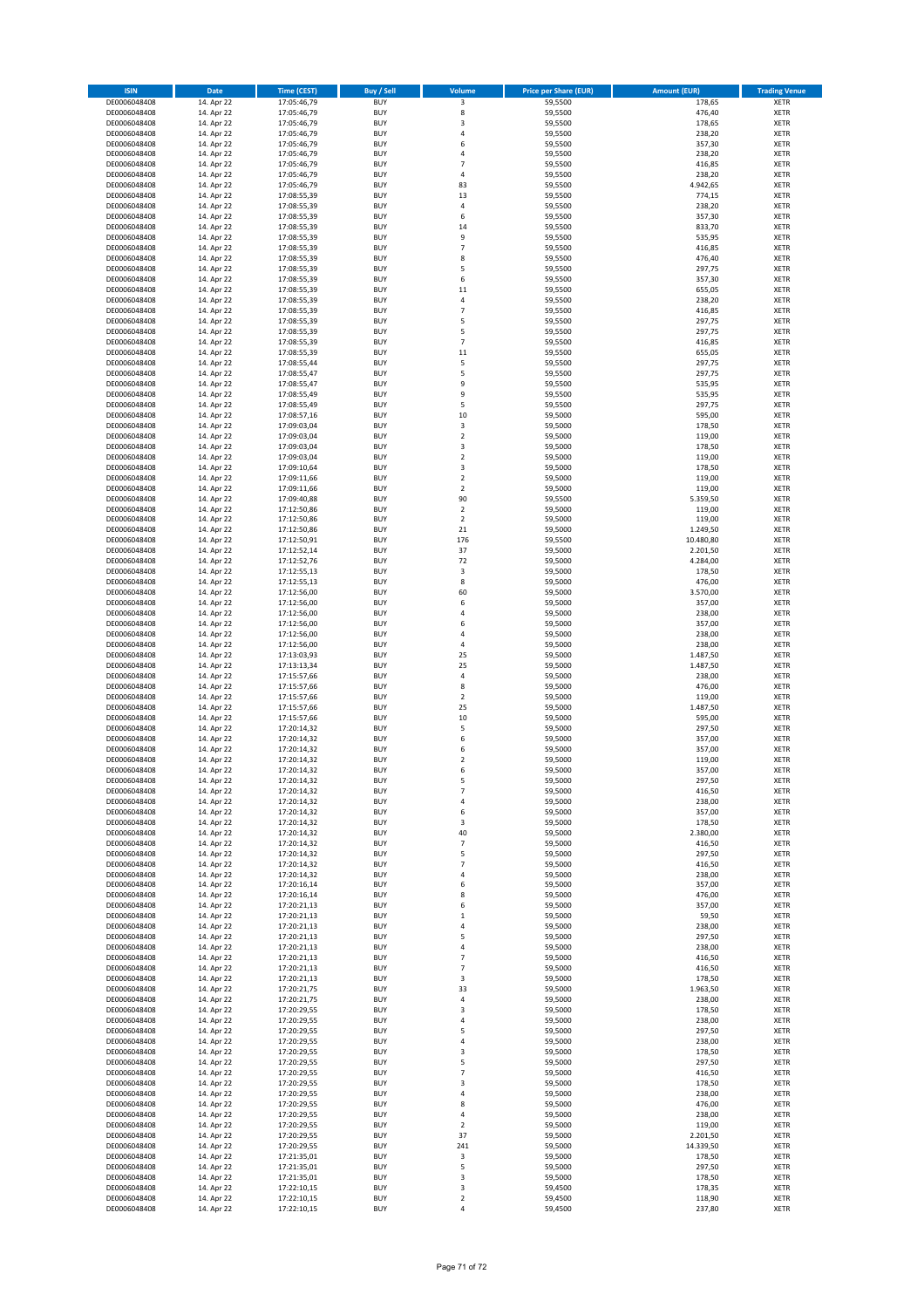| <b>ISIN</b>                  | Date                     | <b>Time (CEST)</b>         | <b>Buy / Sell</b>        | Volume                           | <b>Price per Share (EUR)</b> | <b>Amount (EUR)</b>   | <b>Trading Venue</b>       |
|------------------------------|--------------------------|----------------------------|--------------------------|----------------------------------|------------------------------|-----------------------|----------------------------|
| DE0006048408                 | 14. Apr 22               | 17:05:46,79                | <b>BUY</b>               | 3                                | 59,5500                      | 178,65                | <b>XETR</b>                |
| DE0006048408                 | 14. Apr 22               | 17:05:46,79                | <b>BUY</b>               | 8                                | 59,5500                      | 476,40                | <b>XETR</b>                |
| DE0006048408<br>DE0006048408 | 14. Apr 22<br>14. Apr 22 | 17:05:46,79<br>17:05:46,79 | <b>BUY</b><br><b>BUY</b> | 3<br>$\sqrt{4}$                  | 59,5500<br>59,5500           | 178,65<br>238,20      | <b>XETR</b><br><b>XETR</b> |
| DE0006048408                 | 14. Apr 22               | 17:05:46,79                | <b>BUY</b>               | 6                                | 59,5500                      | 357,30                | <b>XETR</b>                |
| DE0006048408                 | 14. Apr 22               | 17:05:46,79                | <b>BUY</b>               | $\overline{4}$                   | 59,5500                      | 238,20                | <b>XETR</b>                |
| DE0006048408                 | 14. Apr 22               | 17:05:46,79                | <b>BUY</b>               | $\overline{7}$                   | 59,5500                      | 416,85                | <b>XETR</b>                |
| DE0006048408                 | 14. Apr 22               | 17:05:46,79                | <b>BUY</b>               | $\sqrt{4}$                       | 59,5500                      | 238,20                | <b>XETR</b>                |
| DE0006048408<br>DE0006048408 | 14. Apr 22<br>14. Apr 22 | 17:05:46,79                | <b>BUY</b><br><b>BUY</b> | 83<br>13                         | 59,5500<br>59,5500           | 4.942,65<br>774,15    | <b>XETR</b><br><b>XETR</b> |
| DE0006048408                 | 14. Apr 22               | 17:08:55,39<br>17:08:55,39 | <b>BUY</b>               | $\sqrt{4}$                       | 59,5500                      | 238,20                | <b>XETR</b>                |
| DE0006048408                 | 14. Apr 22               | 17:08:55,39                | <b>BUY</b>               | 6                                | 59,5500                      | 357,30                | <b>XETR</b>                |
| DE0006048408                 | 14. Apr 22               | 17:08:55,39                | <b>BUY</b>               | 14                               | 59,5500                      | 833,70                | XETR                       |
| DE0006048408                 | 14. Apr 22               | 17:08:55,39                | <b>BUY</b>               | 9                                | 59,5500                      | 535,95                | <b>XETR</b>                |
| DE0006048408                 | 14. Apr 22               | 17:08:55,39                | <b>BUY</b>               | $\overline{\phantom{a}}$         | 59,5500                      | 416,85                | XETR                       |
| DE0006048408<br>DE0006048408 | 14. Apr 22<br>14. Apr 22 | 17:08:55,39<br>17:08:55,39 | <b>BUY</b><br><b>BUY</b> | 8<br>5                           | 59,5500<br>59,5500           | 476,40<br>297,75      | <b>XETR</b><br>XETR        |
| DE0006048408                 | 14. Apr 22               | 17:08:55,39                | <b>BUY</b>               | 6                                | 59,5500                      | 357,30                | <b>XETR</b>                |
| DE0006048408                 | 14. Apr 22               | 17:08:55,39                | <b>BUY</b>               | 11                               | 59,5500                      | 655,05                | XETR                       |
| DE0006048408                 | 14. Apr 22               | 17:08:55,39                | <b>BUY</b>               | $\sqrt{4}$                       | 59,5500                      | 238,20                | <b>XETR</b>                |
| DE0006048408                 | 14. Apr 22               | 17:08:55,39                | <b>BUY</b><br><b>BUY</b> | $\overline{7}$<br>5              | 59,5500<br>59,5500           | 416,85<br>297,75      | <b>XETR</b><br><b>XETR</b> |
| DE0006048408<br>DE0006048408 | 14. Apr 22<br>14. Apr 22 | 17:08:55,39<br>17:08:55,39 | <b>BUY</b>               | 5                                | 59,5500                      | 297,75                | <b>XETR</b>                |
| DE0006048408                 | 14. Apr 22               | 17:08:55,39                | <b>BUY</b>               | $\overline{7}$                   | 59,5500                      | 416,85                | <b>XETR</b>                |
| DE0006048408                 | 14. Apr 22               | 17:08:55,39                | <b>BUY</b>               | 11                               | 59,5500                      | 655,05                | <b>XETR</b>                |
| DE0006048408                 | 14. Apr 22               | 17:08:55,44                | <b>BUY</b>               | 5                                | 59,5500                      | 297,75                | <b>XETR</b>                |
| DE0006048408                 | 14. Apr 22               | 17:08:55,47                | <b>BUY</b>               | 5                                | 59,5500                      | 297,75                | <b>XETR</b>                |
| DE0006048408<br>DE0006048408 | 14. Apr 22<br>14. Apr 22 | 17:08:55,47<br>17:08:55,49 | <b>BUY</b><br><b>BUY</b> | 9<br>9                           | 59,5500<br>59,5500           | 535,95<br>535,95      | <b>XETR</b><br><b>XETR</b> |
| DE0006048408                 | 14. Apr 22               | 17:08:55,49                | <b>BUY</b>               | 5                                | 59,5500                      | 297,75                | <b>XETR</b>                |
| DE0006048408                 | 14. Apr 22               | 17:08:57,16                | <b>BUY</b>               | 10                               | 59,5000                      | 595,00                | <b>XETR</b>                |
| DE0006048408                 | 14. Apr 22               | 17:09:03,04                | <b>BUY</b>               | 3                                | 59,5000                      | 178,50                | <b>XETR</b>                |
| DE0006048408                 | 14. Apr 22               | 17:09:03,04                | <b>BUY</b>               | $\overline{2}$                   | 59,5000                      | 119,00                | <b>XETR</b>                |
| DE0006048408<br>DE0006048408 | 14. Apr 22<br>14. Apr 22 | 17:09:03,04<br>17:09:03,04 | <b>BUY</b><br><b>BUY</b> | 3<br>$\overline{2}$              | 59,5000<br>59,5000           | 178,50<br>119,00      | XETR<br><b>XETR</b>        |
| DE0006048408                 | 14. Apr 22               | 17:09:10,64                | <b>BUY</b>               | 3                                | 59,5000                      | 178,50                | XETR                       |
| DE0006048408                 | 14. Apr 22               | 17:09:11,66                | <b>BUY</b>               | $\overline{2}$                   | 59,5000                      | 119,00                | <b>XETR</b>                |
| DE0006048408                 | 14. Apr 22               | 17:09:11,66                | <b>BUY</b>               | $\sqrt{2}$                       | 59,5000                      | 119,00                | XETR                       |
| DE0006048408                 | 14. Apr 22               | 17:09:40,88                | <b>BUY</b>               | 90                               | 59,5500                      | 5.359,50              | <b>XETR</b>                |
| DE0006048408<br>DE0006048408 | 14. Apr 22<br>14. Apr 22 | 17:12:50,86<br>17:12:50,86 | <b>BUY</b><br><b>BUY</b> | $\overline{2}$<br>$\overline{2}$ | 59,5000<br>59,5000           | 119,00<br>119,00      | <b>XETR</b><br><b>XETR</b> |
| DE0006048408                 | 14. Apr 22               | 17:12:50,86                | <b>BUY</b>               | 21                               | 59,5000                      | 1.249,50              | <b>XETR</b>                |
| DE0006048408                 | 14. Apr 22               | 17:12:50,91                | <b>BUY</b>               | 176                              | 59,5500                      | 10.480,80             | <b>XETR</b>                |
| DE0006048408                 | 14. Apr 22               | 17:12:52,14                | <b>BUY</b>               | 37                               | 59,5000                      | 2.201,50              | <b>XETR</b>                |
| DE0006048408                 | 14. Apr 22               | 17:12:52,76                | <b>BUY</b>               | 72                               | 59,5000                      | 4.284,00              | <b>XETR</b>                |
| DE0006048408                 | 14. Apr 22               | 17:12:55,13                | <b>BUY</b>               | 3                                | 59,5000                      | 178,50                | <b>XETR</b>                |
| DE0006048408<br>DE0006048408 | 14. Apr 22<br>14. Apr 22 | 17:12:55,13<br>17:12:56,00 | <b>BUY</b><br><b>BUY</b> | 8<br>60                          | 59,5000<br>59,5000           | 476,00<br>3.570,00    | <b>XETR</b><br><b>XETR</b> |
| DE0006048408                 | 14. Apr 22               | 17:12:56,00                | <b>BUY</b>               | 6                                | 59,5000                      | 357,00                | <b>XETR</b>                |
| DE0006048408                 | 14. Apr 22               | 17:12:56,00                | <b>BUY</b>               | $\sqrt{4}$                       | 59,5000                      | 238,00                | <b>XETR</b>                |
| DE0006048408                 | 14. Apr 22               | 17:12:56,00                | <b>BUY</b>               | 6                                | 59,5000                      | 357,00                | <b>XETR</b>                |
| DE0006048408                 | 14. Apr 22               | 17:12:56,00                | <b>BUY</b><br><b>BUY</b> | $\overline{4}$<br>$\sqrt{4}$     | 59,5000                      | 238,00                | <b>XETR</b>                |
| DE0006048408<br>DE0006048408 | 14. Apr 22<br>14. Apr 22 | 17:12:56,00<br>17:13:03,93 | <b>BUY</b>               | 25                               | 59,5000<br>59,5000           | 238,00<br>1.487,50    | <b>XETR</b><br><b>XETR</b> |
| DE0006048408                 | 14. Apr 22               | 17:13:13,34                | <b>BUY</b>               | 25                               | 59,5000                      | 1.487,50              | <b>XETR</b>                |
| DE0006048408                 | 14. Apr 22               | 17:15:57,66                | <b>BUY</b>               | $\overline{4}$                   | 59,5000                      | 238,00                | <b>XETR</b>                |
| DE0006048408                 | 14. Apr 22               | 17:15:57,66                | <b>BUY</b>               | 8                                | 59,5000                      | 476,00                | <b>XETR</b>                |
| DE0006048408                 | 14. Apr 22               | 17:15:57,66                | <b>BUY</b>               | $\overline{2}$                   | 59,5000                      | 119,00                | <b>XETR</b>                |
| DE0006048408<br>DE0006048408 | 14. Apr 22<br>14. Apr 22 | 17:15:57,66<br>17:15:57,66 | <b>BUY</b><br><b>BUY</b> | 25<br>10                         | 59,5000<br>59,5000           | 1.487,50<br>595,00    | <b>XETR</b><br><b>XETR</b> |
| DE0006048408                 | 14. Apr 22               | 17:20:14,32                | <b>BUY</b>               | 5                                | 59,5000                      | 297,50                | XETR                       |
| DE0006048408                 | 14. Apr 22               | 17:20:14,32                | <b>BUY</b>               | 6                                | 59,5000                      | 357,00                | <b>XETR</b>                |
| DE0006048408                 | 14. Apr 22               | 17:20:14,32                | <b>BUY</b>               | 6                                | 59,5000                      | 357,00                | XETR                       |
| DE0006048408                 | 14. Apr 22               | 17:20:14,32                | <b>BUY</b>               | $\overline{2}$                   | 59,5000                      | 119,00                | <b>XETR</b>                |
| DE0006048408<br>DE0006048408 | 14. Apr 22<br>14. Apr 22 | 17:20:14,32<br>17:20:14,32 | <b>BUY</b><br><b>BUY</b> | 6<br>5                           | 59,5000<br>59,5000           | 357,00<br>297,50      | <b>XETR</b><br>XETR        |
| DE0006048408                 | 14. Apr 22               | 17:20:14,32                | <b>BUY</b>               | $\overline{\phantom{a}}$         | 59,5000                      | 416,50                | XETR                       |
| DE0006048408                 | 14. Apr 22               | 17:20:14,32                | <b>BUY</b>               | $\sqrt{4}$                       | 59,5000                      | 238,00                | XETR                       |
| DE0006048408                 | 14. Apr 22               | 17:20:14,32                | <b>BUY</b>               | 6                                | 59,5000                      | 357,00                | XETR                       |
| DE0006048408                 | 14. Apr 22               | 17:20:14,32                | <b>BUY</b>               | 3                                | 59,5000                      | 178,50                | <b>XETR</b>                |
| DE0006048408<br>DE0006048408 | 14. Apr 22<br>14. Apr 22 | 17:20:14,32<br>17:20:14.32 | <b>BUY</b><br><b>BUY</b> | 40<br>$\overline{7}$             | 59,5000<br>59,5000           | 2.380,00<br>416,50    | XETR<br><b>XETR</b>        |
| DE0006048408                 | 14. Apr 22               | 17:20:14,32                | <b>BUY</b>               | 5                                | 59,5000                      | 297,50                | XETR                       |
| DE0006048408                 | 14. Apr 22               | 17:20:14,32                | <b>BUY</b>               | $\overline{7}$                   | 59,5000                      | 416,50                | <b>XETR</b>                |
| DE0006048408                 | 14. Apr 22               | 17:20:14,32                | <b>BUY</b>               | $\overline{4}$                   | 59,5000                      | 238,00                | <b>XETR</b>                |
| DE0006048408<br>DE0006048408 | 14. Apr 22<br>14. Apr 22 | 17:20:16,14<br>17:20:16,14 | <b>BUY</b><br><b>BUY</b> | 6<br>8                           | 59,5000<br>59,5000           | 357,00<br>476,00      | <b>XETR</b><br><b>XETR</b> |
| DE0006048408                 | 14. Apr 22               | 17:20:21,13                | <b>BUY</b>               | 6                                | 59,5000                      | 357,00                | <b>XETR</b>                |
| DE0006048408                 | 14. Apr 22               | 17:20:21,13                | <b>BUY</b>               | $\,$ 1                           | 59,5000                      | 59,50                 | XETR                       |
| DE0006048408                 | 14. Apr 22               | 17:20:21,13                | <b>BUY</b>               | 4                                | 59,5000                      | 238,00                | <b>XETR</b>                |
| DE0006048408                 | 14. Apr 22               | 17:20:21,13                | <b>BUY</b>               | 5                                | 59,5000                      | 297,50                | <b>XETR</b>                |
| DE0006048408<br>DE0006048408 | 14. Apr 22<br>14. Apr 22 | 17:20:21,13<br>17:20:21,13 | <b>BUY</b><br><b>BUY</b> | 4<br>$\overline{7}$              | 59,5000<br>59,5000           | 238,00<br>416,50      | <b>XETR</b><br><b>XETR</b> |
| DE0006048408                 | 14. Apr 22               | 17:20:21,13                | <b>BUY</b>               | $\overline{7}$                   | 59,5000                      | 416,50                | <b>XETR</b>                |
| DE0006048408                 | 14. Apr 22               | 17:20:21,13                | <b>BUY</b>               | 3                                | 59,5000                      | 178,50                | <b>XETR</b>                |
| DE0006048408                 | 14. Apr 22               | 17:20:21,75                | <b>BUY</b>               | 33                               | 59,5000                      | 1.963,50              | <b>XETR</b>                |
| DE0006048408                 | 14. Apr 22               | 17:20:21,75                | <b>BUY</b>               | 4                                | 59,5000                      | 238,00                | <b>XETR</b>                |
| DE0006048408<br>DE0006048408 | 14. Apr 22<br>14. Apr 22 | 17:20:29,55<br>17:20:29,55 | <b>BUY</b><br><b>BUY</b> | 3<br>$\sqrt{4}$                  | 59,5000<br>59,5000           | 178,50<br>238,00      | XETR<br>XETR               |
| DE0006048408                 | 14. Apr 22               | 17:20:29,55                | <b>BUY</b>               | 5                                | 59,5000                      | 297,50                | XETR                       |
| DE0006048408                 | 14. Apr 22               | 17:20:29,55                | <b>BUY</b>               | $\overline{4}$                   | 59,5000                      | 238,00                | <b>XETR</b>                |
| DE0006048408                 | 14. Apr 22               | 17:20:29,55                | <b>BUY</b>               | 3                                | 59,5000                      | 178,50                | XETR                       |
| DE0006048408                 | 14. Apr 22               | 17:20:29,55                | <b>BUY</b>               | 5                                | 59,5000                      | 297,50                | XETR                       |
| DE0006048408<br>DE0006048408 | 14. Apr 22<br>14. Apr 22 | 17:20:29,55<br>17:20:29,55 | <b>BUY</b><br><b>BUY</b> | $\overline{\phantom{a}}$<br>3    | 59,5000<br>59,5000           | 416,50<br>178,50      | XETR<br><b>XETR</b>        |
| DE0006048408                 | 14. Apr 22               | 17:20:29,55                | <b>BUY</b>               | 4                                | 59,5000                      | 238,00                | XETR                       |
| DE0006048408                 | 14. Apr 22               | 17:20:29,55                | <b>BUY</b>               | 8                                | 59,5000                      | 476,00                | XETR                       |
| DE0006048408                 | 14. Apr 22               | 17:20:29,55                | <b>BUY</b>               | 4                                | 59,5000                      | 238,00                | XETR                       |
| DE0006048408                 | 14. Apr 22               | 17:20:29,55                | <b>BUY</b>               | $\boldsymbol{2}$                 | 59,5000                      | 119,00                | <b>XETR</b>                |
| DE0006048408<br>DE0006048408 | 14. Apr 22<br>14. Apr 22 | 17:20:29,55<br>17:20:29,55 | <b>BUY</b><br><b>BUY</b> | 37<br>241                        | 59,5000<br>59,5000           | 2.201,50<br>14.339,50 | <b>XETR</b><br><b>XETR</b> |
| DE0006048408                 | 14. Apr 22               | 17:21:35,01                | <b>BUY</b>               | 3                                | 59,5000                      | 178,50                | <b>XETR</b>                |
| DE0006048408                 | 14. Apr 22               | 17:21:35,01                | <b>BUY</b>               | 5                                | 59,5000                      | 297,50                | <b>XETR</b>                |
| DE0006048408                 | 14. Apr 22               | 17:21:35,01                | <b>BUY</b>               | 3                                | 59,5000                      | 178,50                | <b>XETR</b>                |
| DE0006048408                 | 14. Apr 22               | 17:22:10,15                | <b>BUY</b>               | 3                                | 59,4500                      | 178,35                | <b>XETR</b>                |
| DE0006048408<br>DE0006048408 | 14. Apr 22<br>14. Apr 22 | 17:22:10,15<br>17:22:10,15 | <b>BUY</b><br><b>BUY</b> | $\boldsymbol{2}$<br>$\sqrt{4}$   | 59,4500<br>59,4500           | 118,90<br>237,80      | <b>XETR</b><br><b>XETR</b> |